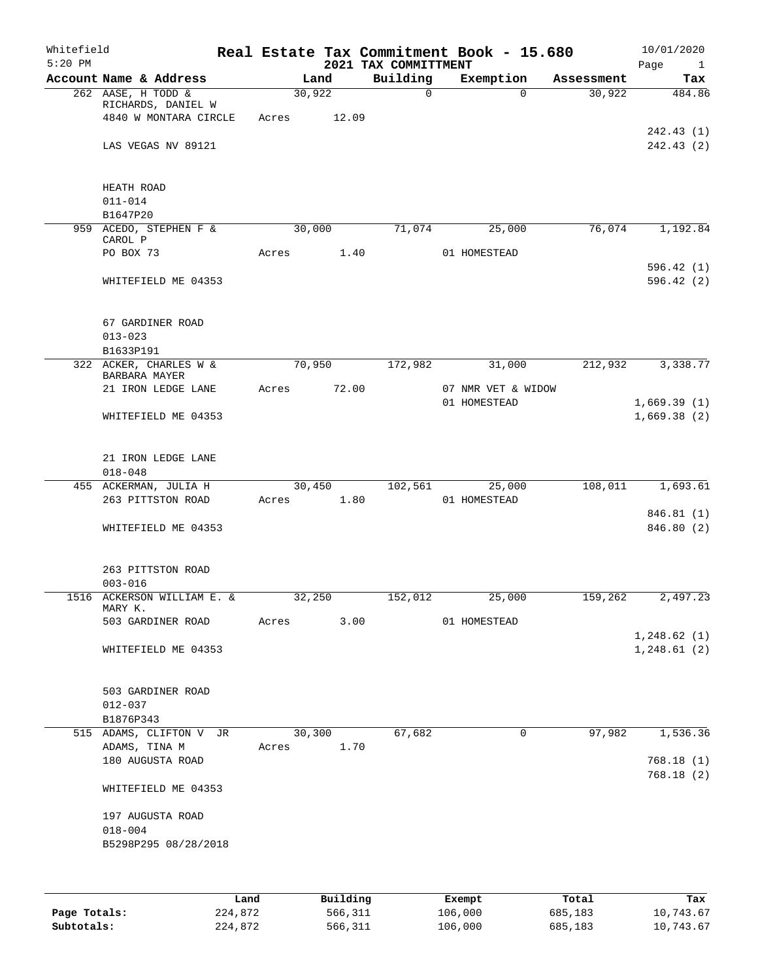|        |                                                   |                                |                                                                                                                                                     |                                                               |                                                                                                               | Whitefield<br>$5:20$ PM                                                                                                                                                                                                                                                 |
|--------|---------------------------------------------------|--------------------------------|-----------------------------------------------------------------------------------------------------------------------------------------------------|---------------------------------------------------------------|---------------------------------------------------------------------------------------------------------------|-------------------------------------------------------------------------------------------------------------------------------------------------------------------------------------------------------------------------------------------------------------------------|
|        | Exemption                                         |                                |                                                                                                                                                     |                                                               |                                                                                                               |                                                                                                                                                                                                                                                                         |
| 30,922 | $\Omega$                                          | $\mathbf 0$                    |                                                                                                                                                     | Acres                                                         | RICHARDS, DANIEL W<br>4840 W MONTARA CIRCLE                                                                   |                                                                                                                                                                                                                                                                         |
|        |                                                   |                                |                                                                                                                                                     |                                                               | LAS VEGAS NV 89121                                                                                            |                                                                                                                                                                                                                                                                         |
|        |                                                   |                                |                                                                                                                                                     |                                                               | HEATH ROAD<br>$011 - 014$                                                                                     |                                                                                                                                                                                                                                                                         |
|        |                                                   |                                |                                                                                                                                                     |                                                               | B1647P20                                                                                                      |                                                                                                                                                                                                                                                                         |
|        | 25,000                                            |                                |                                                                                                                                                     |                                                               | CAROL P                                                                                                       |                                                                                                                                                                                                                                                                         |
|        |                                                   |                                |                                                                                                                                                     |                                                               | WHITEFIELD ME 04353                                                                                           |                                                                                                                                                                                                                                                                         |
|        |                                                   |                                |                                                                                                                                                     |                                                               | 67 GARDINER ROAD<br>$013 - 023$                                                                               |                                                                                                                                                                                                                                                                         |
|        |                                                   |                                |                                                                                                                                                     |                                                               | B1633P191                                                                                                     |                                                                                                                                                                                                                                                                         |
|        |                                                   |                                |                                                                                                                                                     |                                                               | BARBARA MAYER                                                                                                 |                                                                                                                                                                                                                                                                         |
|        |                                                   |                                |                                                                                                                                                     |                                                               | WHITEFIELD ME 04353                                                                                           | 21 IRON LEDGE LANE                                                                                                                                                                                                                                                      |
|        |                                                   |                                |                                                                                                                                                     |                                                               | 21 IRON LEDGE LANE                                                                                            |                                                                                                                                                                                                                                                                         |
|        |                                                   |                                |                                                                                                                                                     |                                                               |                                                                                                               |                                                                                                                                                                                                                                                                         |
|        |                                                   |                                |                                                                                                                                                     | Acres                                                         | 263 PITTSTON ROAD                                                                                             |                                                                                                                                                                                                                                                                         |
|        |                                                   |                                |                                                                                                                                                     |                                                               | WHITEFIELD ME 04353                                                                                           |                                                                                                                                                                                                                                                                         |
|        |                                                   |                                |                                                                                                                                                     |                                                               | 263 PITTSTON ROAD<br>$003 - 016$                                                                              |                                                                                                                                                                                                                                                                         |
|        | 25,000                                            |                                |                                                                                                                                                     |                                                               | MARY K.                                                                                                       |                                                                                                                                                                                                                                                                         |
|        |                                                   |                                |                                                                                                                                                     |                                                               | 503 GARDINER ROAD                                                                                             |                                                                                                                                                                                                                                                                         |
|        |                                                   |                                |                                                                                                                                                     |                                                               | WHITEFIELD ME 04353                                                                                           |                                                                                                                                                                                                                                                                         |
|        |                                                   |                                |                                                                                                                                                     |                                                               | 503 GARDINER ROAD<br>$012 - 037$                                                                              |                                                                                                                                                                                                                                                                         |
|        | 0                                                 |                                |                                                                                                                                                     |                                                               |                                                                                                               |                                                                                                                                                                                                                                                                         |
|        |                                                   |                                |                                                                                                                                                     |                                                               | ADAMS, TINA M                                                                                                 |                                                                                                                                                                                                                                                                         |
|        |                                                   |                                |                                                                                                                                                     |                                                               | 180 AUGUSTA ROAD                                                                                              |                                                                                                                                                                                                                                                                         |
|        |                                                   |                                |                                                                                                                                                     |                                                               | WHITEFIELD ME 04353                                                                                           |                                                                                                                                                                                                                                                                         |
|        |                                                   |                                |                                                                                                                                                     |                                                               | 197 AUGUSTA ROAD                                                                                              |                                                                                                                                                                                                                                                                         |
|        |                                                   |                                |                                                                                                                                                     |                                                               | $018 - 004$                                                                                                   |                                                                                                                                                                                                                                                                         |
|        | 76,074<br>212,932<br>108,011<br>159,262<br>97,982 | Assessment<br>31,000<br>25,000 | Building<br>71,074<br>01 HOMESTEAD<br>172,982<br>07 NMR VET & WIDOW<br>01 HOMESTEAD<br>102,561<br>01 HOMESTEAD<br>152,012<br>01 HOMESTEAD<br>67,682 | 2021 TAX COMMITTMENT<br>1.40<br>72.00<br>1.80<br>3.00<br>1.70 | Land<br>30,922<br>12.09<br>30,000<br>Acres<br>70,950<br>Acres<br>30,450<br>32,250<br>Acres<br>30,300<br>Acres | Real Estate Tax Commitment Book - 15.680<br>Account Name & Address<br>262 AASE, H TODD &<br>959 ACEDO, STEPHEN F &<br>PO BOX 73<br>322 ACKER, CHARLES W &<br>$018 - 048$<br>455 ACKERMAN, JULIA H<br>1516 ACKERSON WILLIAM E. &<br>B1876P343<br>515 ADAMS, CLIFTON V JR |

|              | Land    | Building | Exempt  | Total   | Tax       |
|--------------|---------|----------|---------|---------|-----------|
| Page Totals: | 224,872 | 566,311  | 106,000 | 685,183 | 10,743.67 |
| Subtotals:   | 224,872 | 566,311  | 106,000 | 685,183 | 10,743.67 |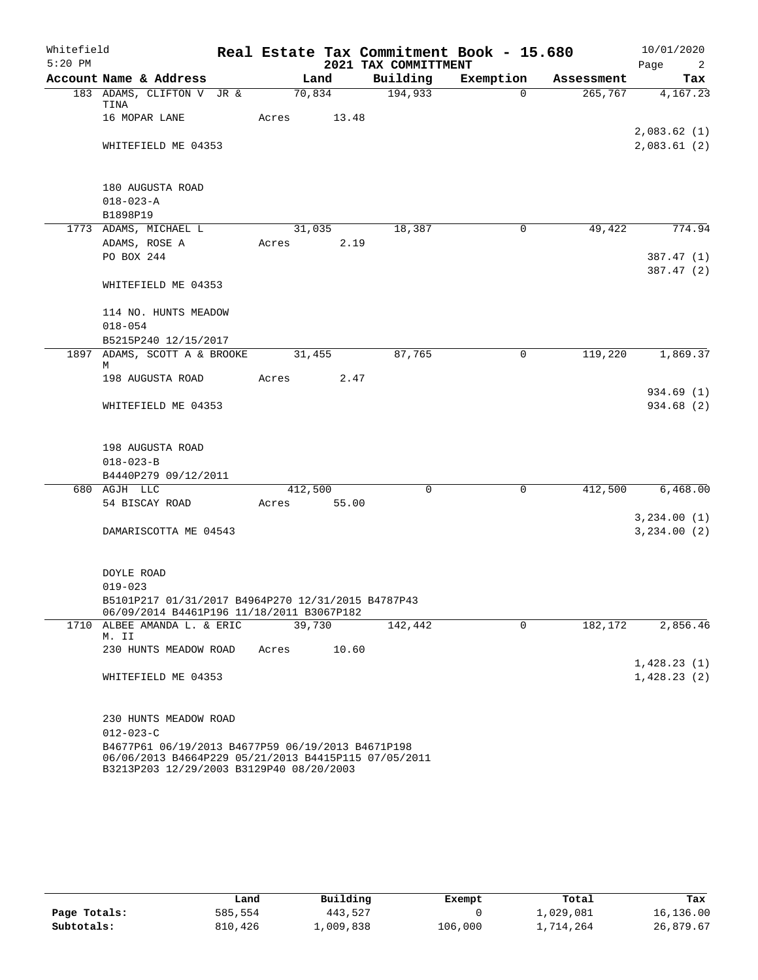| Whitefield |                                                                                                                                                       |        |         | Real Estate Tax Commitment Book - 15.680 |             |            | 10/01/2020                 |
|------------|-------------------------------------------------------------------------------------------------------------------------------------------------------|--------|---------|------------------------------------------|-------------|------------|----------------------------|
| $5:20$ PM  |                                                                                                                                                       |        |         | 2021 TAX COMMITTMENT                     |             |            | Page<br>2                  |
|            | Account Name & Address                                                                                                                                |        | Land    | Building                                 | Exemption   | Assessment | Tax                        |
|            | 183 ADAMS, CLIFTON V JR &<br>TINA                                                                                                                     | 70,834 |         | 194,933                                  | $\Omega$    | 265,767    | 4,167.23                   |
|            | 16 MOPAR LANE                                                                                                                                         | Acres  | 13.48   |                                          |             |            |                            |
|            | WHITEFIELD ME 04353                                                                                                                                   |        |         |                                          |             |            | 2,083.62(1)<br>2,083.61(2) |
|            | 180 AUGUSTA ROAD                                                                                                                                      |        |         |                                          |             |            |                            |
|            | $018 - 023 - A$                                                                                                                                       |        |         |                                          |             |            |                            |
|            | B1898P19                                                                                                                                              |        |         |                                          |             |            |                            |
|            | 1773 ADAMS, MICHAEL L                                                                                                                                 |        | 31,035  | 18,387                                   | $\mathbf 0$ | 49,422     | 774.94                     |
|            | ADAMS, ROSE A                                                                                                                                         | Acres  | 2.19    |                                          |             |            |                            |
|            | PO BOX 244                                                                                                                                            |        |         |                                          |             |            | 387.47(1)                  |
|            | WHITEFIELD ME 04353                                                                                                                                   |        |         |                                          |             |            | 387.47(2)                  |
|            | 114 NO. HUNTS MEADOW                                                                                                                                  |        |         |                                          |             |            |                            |
|            | $018 - 054$<br>B5215P240 12/15/2017                                                                                                                   |        |         |                                          |             |            |                            |
|            | 1897 ADAMS, SCOTT A & BROOKE                                                                                                                          |        | 31,455  | 87,765                                   | 0           | 119,220    | 1,869.37                   |
|            | М                                                                                                                                                     |        |         |                                          |             |            |                            |
|            | 198 AUGUSTA ROAD                                                                                                                                      | Acres  | 2.47    |                                          |             |            |                            |
|            | WHITEFIELD ME 04353                                                                                                                                   |        |         |                                          |             |            | 934.69 (1)<br>934.68 (2)   |
|            |                                                                                                                                                       |        |         |                                          |             |            |                            |
|            | 198 AUGUSTA ROAD                                                                                                                                      |        |         |                                          |             |            |                            |
|            | $018 - 023 - B$                                                                                                                                       |        |         |                                          |             |            |                            |
|            | B4440P279 09/12/2011                                                                                                                                  |        |         |                                          |             |            |                            |
|            | 680 AGJH LLC                                                                                                                                          |        | 412,500 | $\mathbf 0$                              | 0           | 412,500    | 6,468.00                   |
|            | 54 BISCAY ROAD                                                                                                                                        | Acres  | 55.00   |                                          |             |            |                            |
|            |                                                                                                                                                       |        |         |                                          |             |            | 3,234.00(1)                |
|            | DAMARISCOTTA ME 04543                                                                                                                                 |        |         |                                          |             |            | 3, 234.00 (2)              |
|            |                                                                                                                                                       |        |         |                                          |             |            |                            |
|            | DOYLE ROAD                                                                                                                                            |        |         |                                          |             |            |                            |
|            | $019 - 023$                                                                                                                                           |        |         |                                          |             |            |                            |
|            | B5101P217 01/31/2017 B4964P270 12/31/2015 B4787P43<br>06/09/2014 B4461P196 11/18/2011 B3067P182                                                       |        |         |                                          |             |            |                            |
|            | 1710 ALBEE AMANDA L. & ERIC                                                                                                                           | 39,730 |         | 142,442                                  | 0           | 182,172    | 2,856.46                   |
|            | M. II                                                                                                                                                 |        |         |                                          |             |            |                            |
|            | 230 HUNTS MEADOW ROAD                                                                                                                                 | Acres  | 10.60   |                                          |             |            | 1,428.23(1)                |
|            | WHITEFIELD ME 04353                                                                                                                                   |        |         |                                          |             |            | 1,428.23(2)                |
|            |                                                                                                                                                       |        |         |                                          |             |            |                            |
|            | 230 HUNTS MEADOW ROAD                                                                                                                                 |        |         |                                          |             |            |                            |
|            | $012 - 023 - C$                                                                                                                                       |        |         |                                          |             |            |                            |
|            | B4677P61 06/19/2013 B4677P59 06/19/2013 B4671P198<br>06/06/2013 B4664P229 05/21/2013 B4415P115 07/05/2011<br>B3213P203 12/29/2003 B3129P40 08/20/2003 |        |         |                                          |             |            |                            |

|              | Land    | Building  | Exempt  | Total     | Tax       |
|--------------|---------|-----------|---------|-----------|-----------|
| Page Totals: | 585,554 | 443,527   |         | 1,029,081 | 16,136.00 |
| Subtotals:   | 810,426 | 1,009,838 | 106,000 | 1,714,264 | 26,879.67 |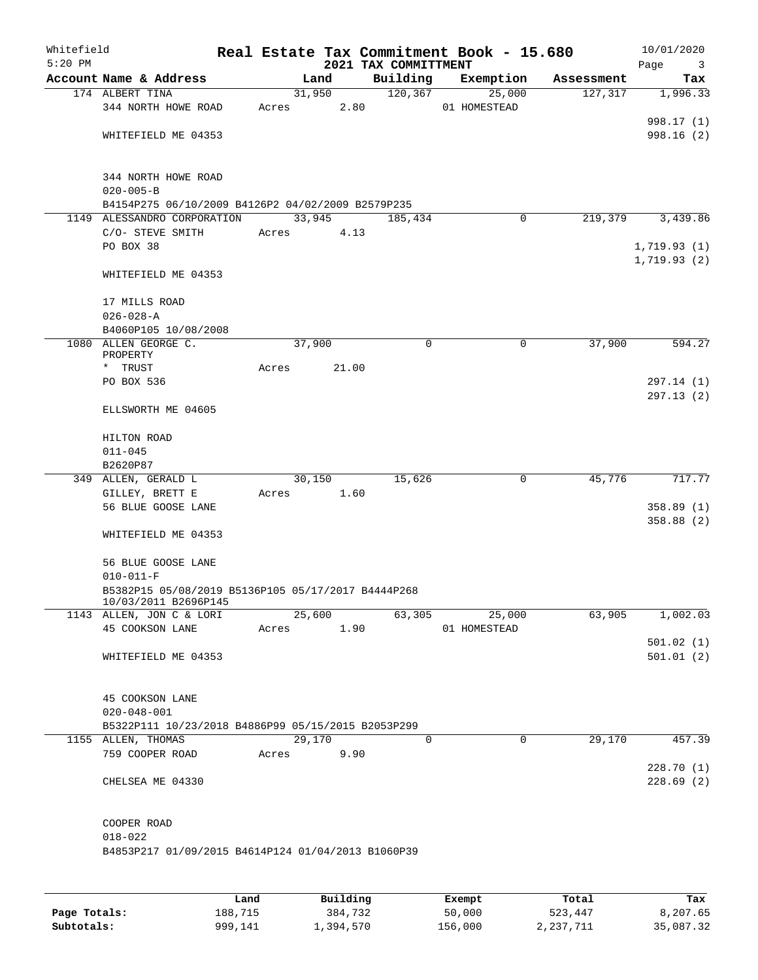| Whitefield<br>$5:20$ PM |                                                    |       |        |        |      | Real Estate Tax Commitment Book - 15.680<br>2021 TAX COMMITTMENT |              |             |            | 10/01/2020<br>Page<br>$\overline{\mathbf{3}}$ |
|-------------------------|----------------------------------------------------|-------|--------|--------|------|------------------------------------------------------------------|--------------|-------------|------------|-----------------------------------------------|
|                         | Account Name & Address                             |       | Land   |        |      | Building                                                         | Exemption    |             | Assessment | Tax                                           |
|                         | 174 ALBERT TINA                                    |       |        | 31,950 |      | 120, 367                                                         |              | 25,000      | 127, 317   | 1,996.33                                      |
|                         | 344 NORTH HOWE ROAD                                | Acres |        |        | 2.80 |                                                                  | 01 HOMESTEAD |             |            |                                               |
|                         |                                                    |       |        |        |      |                                                                  |              |             |            | 998.17 (1)                                    |
|                         | WHITEFIELD ME 04353                                |       |        |        |      |                                                                  |              |             |            | 998.16(2)                                     |
|                         |                                                    |       |        |        |      |                                                                  |              |             |            |                                               |
|                         |                                                    |       |        |        |      |                                                                  |              |             |            |                                               |
|                         | 344 NORTH HOWE ROAD<br>$020 - 005 - B$             |       |        |        |      |                                                                  |              |             |            |                                               |
|                         | B4154P275 06/10/2009 B4126P2 04/02/2009 B2579P235  |       |        |        |      |                                                                  |              |             |            |                                               |
|                         | 1149 ALESSANDRO CORPORATION                        |       | 33,945 |        |      | 185,434                                                          |              | $\mathbf 0$ | 219,379    | 3,439.86                                      |
|                         | C/O- STEVE SMITH                                   | Acres |        | 4.13   |      |                                                                  |              |             |            |                                               |
|                         | PO BOX 38                                          |       |        |        |      |                                                                  |              |             |            | 1,719.93(1)                                   |
|                         | WHITEFIELD ME 04353                                |       |        |        |      |                                                                  |              |             |            | 1,719.93(2)                                   |
|                         |                                                    |       |        |        |      |                                                                  |              |             |            |                                               |
|                         |                                                    |       |        |        |      |                                                                  |              |             |            |                                               |
|                         | 17 MILLS ROAD                                      |       |        |        |      |                                                                  |              |             |            |                                               |
| $026 - 028 - A$         |                                                    |       |        |        |      |                                                                  |              |             |            |                                               |
|                         | B4060P105 10/08/2008                               |       |        |        |      |                                                                  |              |             |            |                                               |
|                         | 1080 ALLEN GEORGE C.                               |       | 37,900 |        |      | 0                                                                |              | 0           | 37,900     | 594.27                                        |
| PROPERTY<br>* TRUST     | Acres                                              |       | 21.00  |        |      |                                                                  |              |             |            |                                               |
|                         | PO BOX 536                                         |       |        |        |      |                                                                  |              |             |            | 297.14 (1)                                    |
|                         |                                                    |       |        |        |      |                                                                  |              |             |            | 297.13(2)                                     |
|                         | ELLSWORTH ME 04605                                 |       |        |        |      |                                                                  |              |             |            |                                               |
|                         |                                                    |       |        |        |      |                                                                  |              |             |            |                                               |
|                         | HILTON ROAD                                        |       |        |        |      |                                                                  |              |             |            |                                               |
|                         | $011 - 045$                                        |       |        |        |      |                                                                  |              |             |            |                                               |
|                         | B2620P87                                           |       |        |        |      |                                                                  |              |             |            |                                               |
|                         | 349 ALLEN, GERALD L                                |       | 30,150 |        |      | 15,626                                                           |              | 0           | 45,776     | 717.77                                        |
|                         | GILLEY, BRETT E                                    | Acres |        | 1.60   |      |                                                                  |              |             |            |                                               |
|                         | 56 BLUE GOOSE LANE                                 |       |        |        |      |                                                                  |              |             |            | 358.89(1)                                     |
|                         |                                                    |       |        |        |      |                                                                  |              |             |            | 358.88(2)                                     |
|                         | WHITEFIELD ME 04353                                |       |        |        |      |                                                                  |              |             |            |                                               |
|                         | 56 BLUE GOOSE LANE                                 |       |        |        |      |                                                                  |              |             |            |                                               |
|                         | $010 - 011 - F$                                    |       |        |        |      |                                                                  |              |             |            |                                               |
|                         | B5382P15 05/08/2019 B5136P105 05/17/2017 B4444P268 |       |        |        |      |                                                                  |              |             |            |                                               |
|                         | 10/03/2011 B2696P145                               |       |        |        |      |                                                                  |              |             |            |                                               |
|                         | 1143 ALLEN, JON C & LORI                           |       | 25,600 |        |      | 63,305                                                           |              | 25,000      | 63,905     | 1,002.03                                      |
|                         | 45 COOKSON LANE                                    | Acres |        | 1.90   |      |                                                                  | 01 HOMESTEAD |             |            |                                               |
|                         |                                                    |       |        |        |      |                                                                  |              |             |            | 501.02(1)                                     |
|                         | WHITEFIELD ME 04353                                |       |        |        |      |                                                                  |              |             |            | 501.01(2)                                     |
|                         |                                                    |       |        |        |      |                                                                  |              |             |            |                                               |
|                         | 45 COOKSON LANE                                    |       |        |        |      |                                                                  |              |             |            |                                               |
|                         | $020 - 048 - 001$                                  |       |        |        |      |                                                                  |              |             |            |                                               |
|                         | B5322P111 10/23/2018 B4886P99 05/15/2015 B2053P299 |       |        |        |      |                                                                  |              |             |            |                                               |
|                         | 1155 ALLEN, THOMAS                                 |       |        | 29,170 |      | $\mathbf 0$                                                      |              | $\mathbf 0$ | 29,170     | 457.39                                        |
|                         | 759 COOPER ROAD                                    | Acres |        | 9.90   |      |                                                                  |              |             |            |                                               |
|                         |                                                    |       |        |        |      |                                                                  |              |             |            | 228.70(1)                                     |
|                         | CHELSEA ME 04330                                   |       |        |        |      |                                                                  |              |             |            | 228.69(2)                                     |
|                         |                                                    |       |        |        |      |                                                                  |              |             |            |                                               |
|                         |                                                    |       |        |        |      |                                                                  |              |             |            |                                               |
|                         | COOPER ROAD                                        |       |        |        |      |                                                                  |              |             |            |                                               |
|                         | $018 - 022$                                        |       |        |        |      |                                                                  |              |             |            |                                               |
|                         | B4853P217 01/09/2015 B4614P124 01/04/2013 B1060P39 |       |        |        |      |                                                                  |              |             |            |                                               |
|                         |                                                    |       |        |        |      |                                                                  |              |             |            |                                               |
|                         |                                                    |       |        |        |      |                                                                  |              |             |            |                                               |

|              | Land    | Building  | Exempt  | Total     | Tax       |
|--------------|---------|-----------|---------|-----------|-----------|
| Page Totals: | 188,715 | 384,732   | 50,000  | 523,447   | 8,207.65  |
| Subtotals:   | 999,141 | 1,394,570 | 156,000 | 2,237,711 | 35,087.32 |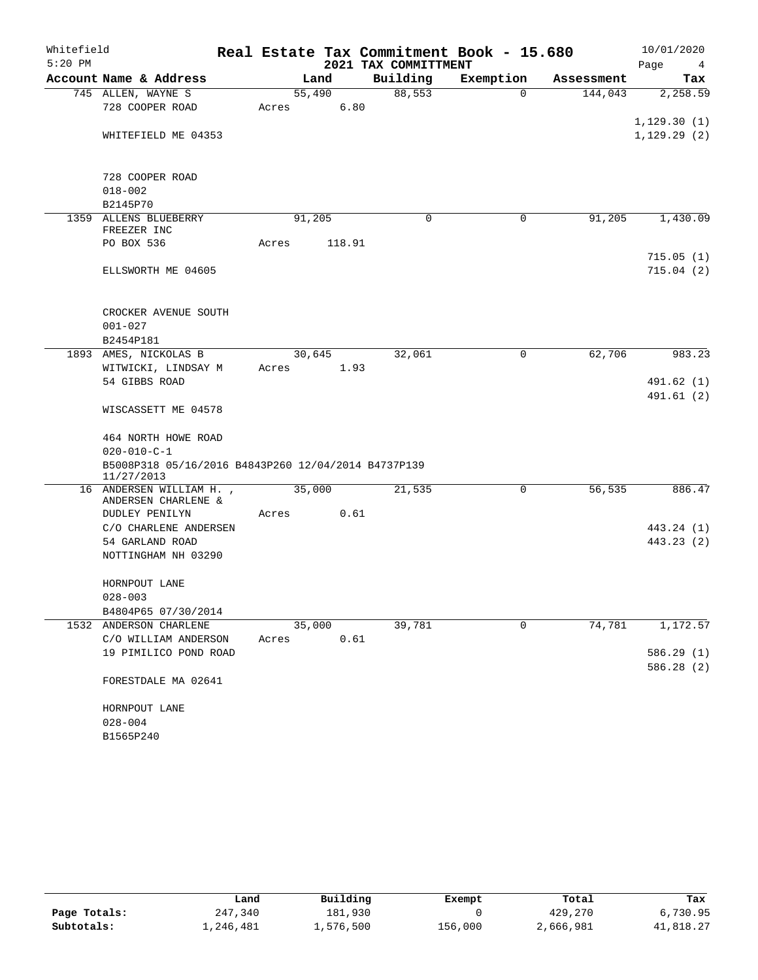| Whitefield |                                                     |       |        |                      | Real Estate Tax Commitment Book - 15.680 |            | 10/01/2020              |
|------------|-----------------------------------------------------|-------|--------|----------------------|------------------------------------------|------------|-------------------------|
| $5:20$ PM  |                                                     |       |        | 2021 TAX COMMITTMENT |                                          |            | Page<br>4               |
|            | Account Name & Address                              |       | Land   | Building             | Exemption                                | Assessment | Tax                     |
|            | 745 ALLEN, WAYNE S                                  |       | 55,490 | 88,553               | $\Omega$                                 | 144,043    | 2,258.59                |
|            | 728 COOPER ROAD                                     | Acres | 6.80   |                      |                                          |            |                         |
|            |                                                     |       |        |                      |                                          |            | 1,129.30(1)             |
|            | WHITEFIELD ME 04353                                 |       |        |                      |                                          |            | 1, 129.29(2)            |
|            |                                                     |       |        |                      |                                          |            |                         |
|            |                                                     |       |        |                      |                                          |            |                         |
|            | 728 COOPER ROAD                                     |       |        |                      |                                          |            |                         |
|            | $018 - 002$<br>B2145P70                             |       |        |                      |                                          |            |                         |
|            | 1359 ALLENS BLUEBERRY                               |       | 91,205 | $\mathbf 0$          | 0                                        | 91,205     | 1,430.09                |
|            | FREEZER INC                                         |       |        |                      |                                          |            |                         |
|            | PO BOX 536                                          | Acres | 118.91 |                      |                                          |            |                         |
|            |                                                     |       |        |                      |                                          |            | 715.05(1)               |
|            | ELLSWORTH ME 04605                                  |       |        |                      |                                          |            | 715.04(2)               |
|            |                                                     |       |        |                      |                                          |            |                         |
|            |                                                     |       |        |                      |                                          |            |                         |
|            | CROCKER AVENUE SOUTH                                |       |        |                      |                                          |            |                         |
|            | $001 - 027$                                         |       |        |                      |                                          |            |                         |
|            | B2454P181                                           |       |        |                      |                                          |            |                         |
|            | 1893 AMES, NICKOLAS B                               |       | 30,645 | 32,061               | 0                                        | 62,706     | 983.23                  |
|            | WITWICKI, LINDSAY M                                 | Acres | 1.93   |                      |                                          |            |                         |
|            | 54 GIBBS ROAD                                       |       |        |                      |                                          |            | 491.62 (1)<br>491.61(2) |
|            | WISCASSETT ME 04578                                 |       |        |                      |                                          |            |                         |
|            |                                                     |       |        |                      |                                          |            |                         |
|            | 464 NORTH HOWE ROAD                                 |       |        |                      |                                          |            |                         |
|            | $020 - 010 - C - 1$                                 |       |        |                      |                                          |            |                         |
|            | B5008P318 05/16/2016 B4843P260 12/04/2014 B4737P139 |       |        |                      |                                          |            |                         |
|            | 11/27/2013                                          |       |        |                      |                                          |            |                         |
|            | 16 ANDERSEN WILLIAM H.,                             |       | 35,000 | 21,535               | 0                                        | 56,535     | 886.47                  |
|            | ANDERSEN CHARLENE &<br>DUDLEY PENILYN               | Acres | 0.61   |                      |                                          |            |                         |
|            | C/O CHARLENE ANDERSEN                               |       |        |                      |                                          |            | 443.24 (1)              |
|            | 54 GARLAND ROAD                                     |       |        |                      |                                          |            | 443.23 (2)              |
|            | NOTTINGHAM NH 03290                                 |       |        |                      |                                          |            |                         |
|            |                                                     |       |        |                      |                                          |            |                         |
|            | HORNPOUT LANE                                       |       |        |                      |                                          |            |                         |
|            | $028 - 003$                                         |       |        |                      |                                          |            |                         |
|            | B4804P65 07/30/2014                                 |       |        |                      |                                          |            |                         |
|            | 1532 ANDERSON CHARLENE                              |       | 35,000 | 39,781               | 0                                        | 74,781     | 1,172.57                |
|            | C/O WILLIAM ANDERSON                                | Acres | 0.61   |                      |                                          |            |                         |
|            | 19 PIMILICO POND ROAD                               |       |        |                      |                                          |            | 586.29 (1)              |
|            |                                                     |       |        |                      |                                          |            | 586.28 (2)              |
|            | FORESTDALE MA 02641                                 |       |        |                      |                                          |            |                         |
|            |                                                     |       |        |                      |                                          |            |                         |
|            | HORNPOUT LANE                                       |       |        |                      |                                          |            |                         |
|            | $028 - 004$                                         |       |        |                      |                                          |            |                         |
|            | B1565P240                                           |       |        |                      |                                          |            |                         |

|              | Land      | Building  | Exempt  | Total     | Tax       |
|--------------|-----------|-----------|---------|-----------|-----------|
| Page Totals: | 247,340   | 181,930   |         | 429,270   | 6,730.95  |
| Subtotals:   | 1,246,481 | 1,576,500 | 156,000 | 2,666,981 | 41,818.27 |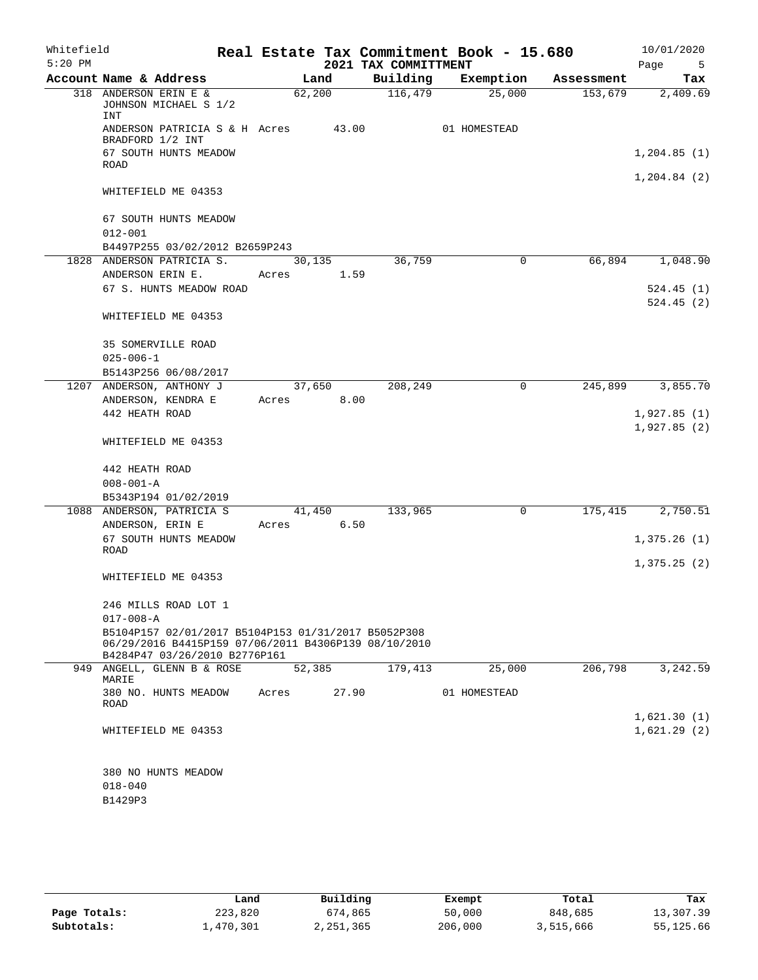| Whitefield<br>$5:20$ PM |                                                                                                                                              |        |        | 2021 TAX COMMITTMENT | Real Estate Tax Commitment Book - 15.680 |            | 10/01/2020<br>Page<br>5    |
|-------------------------|----------------------------------------------------------------------------------------------------------------------------------------------|--------|--------|----------------------|------------------------------------------|------------|----------------------------|
|                         | Account Name & Address                                                                                                                       |        | Land   | Building             | Exemption                                | Assessment | Tax                        |
|                         | 318 ANDERSON ERIN E &<br>JOHNSON MICHAEL S 1/2<br>INT                                                                                        | 62,200 |        | 116,479              | 25,000                                   | 153,679    | 2,409.69                   |
|                         | ANDERSON PATRICIA S & H Acres<br>BRADFORD 1/2 INT                                                                                            |        | 43.00  |                      | 01 HOMESTEAD                             |            |                            |
|                         | 67 SOUTH HUNTS MEADOW<br>ROAD                                                                                                                |        |        |                      |                                          |            | 1,204.85(1)                |
|                         | WHITEFIELD ME 04353                                                                                                                          |        |        |                      |                                          |            | 1, 204.84 (2)              |
|                         | 67 SOUTH HUNTS MEADOW<br>$012 - 001$                                                                                                         |        |        |                      |                                          |            |                            |
|                         | B4497P255 03/02/2012 B2659P243                                                                                                               |        |        |                      |                                          |            |                            |
|                         | 1828 ANDERSON PATRICIA S.                                                                                                                    | 30,135 |        | 36,759               | 0                                        | 66,894     | 1,048.90                   |
|                         | ANDERSON ERIN E.                                                                                                                             | Acres  | 1.59   |                      |                                          |            |                            |
|                         | 67 S. HUNTS MEADOW ROAD                                                                                                                      |        |        |                      |                                          |            | 524.45(1)                  |
|                         |                                                                                                                                              |        |        |                      |                                          |            | 524.45(2)                  |
|                         | WHITEFIELD ME 04353                                                                                                                          |        |        |                      |                                          |            |                            |
|                         | <b>35 SOMERVILLE ROAD</b>                                                                                                                    |        |        |                      |                                          |            |                            |
|                         | $025 - 006 - 1$                                                                                                                              |        |        |                      |                                          |            |                            |
|                         | B5143P256 06/08/2017                                                                                                                         |        |        |                      |                                          |            |                            |
|                         | 1207 ANDERSON, ANTHONY J                                                                                                                     | 37,650 |        | 208,249              | $\mathbf 0$                              | 245,899    | 3,855.70                   |
|                         | ANDERSON, KENDRA E                                                                                                                           | Acres  | 8.00   |                      |                                          |            |                            |
|                         | 442 HEATH ROAD                                                                                                                               |        |        |                      |                                          |            | 1,927.85(1)<br>1,927.85(2) |
|                         | WHITEFIELD ME 04353                                                                                                                          |        |        |                      |                                          |            |                            |
|                         | 442 HEATH ROAD                                                                                                                               |        |        |                      |                                          |            |                            |
|                         | $008 - 001 - A$                                                                                                                              |        |        |                      |                                          |            |                            |
|                         | B5343P194 01/02/2019                                                                                                                         |        |        |                      |                                          |            |                            |
|                         | 1088 ANDERSON, PATRICIA S                                                                                                                    |        | 41,450 | 133,965              | 0                                        | 175,415    | 2,750.51                   |
|                         | ANDERSON, ERIN E                                                                                                                             | Acres  | 6.50   |                      |                                          |            |                            |
|                         | 67 SOUTH HUNTS MEADOW                                                                                                                        |        |        |                      |                                          |            | 1,375.26(1)                |
|                         | ROAD                                                                                                                                         |        |        |                      |                                          |            |                            |
|                         | WHITEFIELD ME 04353                                                                                                                          |        |        |                      |                                          |            | 1,375.25(2)                |
|                         | 246 MILLS ROAD LOT 1                                                                                                                         |        |        |                      |                                          |            |                            |
|                         | $017 - 008 - A$                                                                                                                              |        |        |                      |                                          |            |                            |
|                         | B5104P157 02/01/2017 B5104P153 01/31/2017 B5052P308<br>06/29/2016 B4415P159 07/06/2011 B4306P139 08/10/2010<br>B4284P47 03/26/2010 B2776P161 |        |        |                      |                                          |            |                            |
|                         | 949 ANGELL, GLENN B & ROSE                                                                                                                   | 52,385 |        | 179,413              | 25,000                                   | 206,798    | 3,242.59                   |
|                         | MARIE                                                                                                                                        |        |        |                      |                                          |            |                            |
|                         | 380 NO. HUNTS MEADOW<br>ROAD                                                                                                                 | Acres  | 27.90  |                      | 01 HOMESTEAD                             |            |                            |
|                         |                                                                                                                                              |        |        |                      |                                          |            | 1,621.30(1)                |
|                         | WHITEFIELD ME 04353                                                                                                                          |        |        |                      |                                          |            | 1,621.29(2)                |
|                         | 380 NO HUNTS MEADOW                                                                                                                          |        |        |                      |                                          |            |                            |
|                         | $018 - 040$                                                                                                                                  |        |        |                      |                                          |            |                            |
|                         | B1429P3                                                                                                                                      |        |        |                      |                                          |            |                            |

|              | Land      | Building    | Exempt  | Total     | Tax       |
|--------------|-----------|-------------|---------|-----------|-----------|
| Page Totals: | 223,820   | 674,865     | 50,000  | 848,685   | 13,307.39 |
| Subtotals:   | 1,470,301 | 2, 251, 365 | 206,000 | 3,515,666 | 55,125.66 |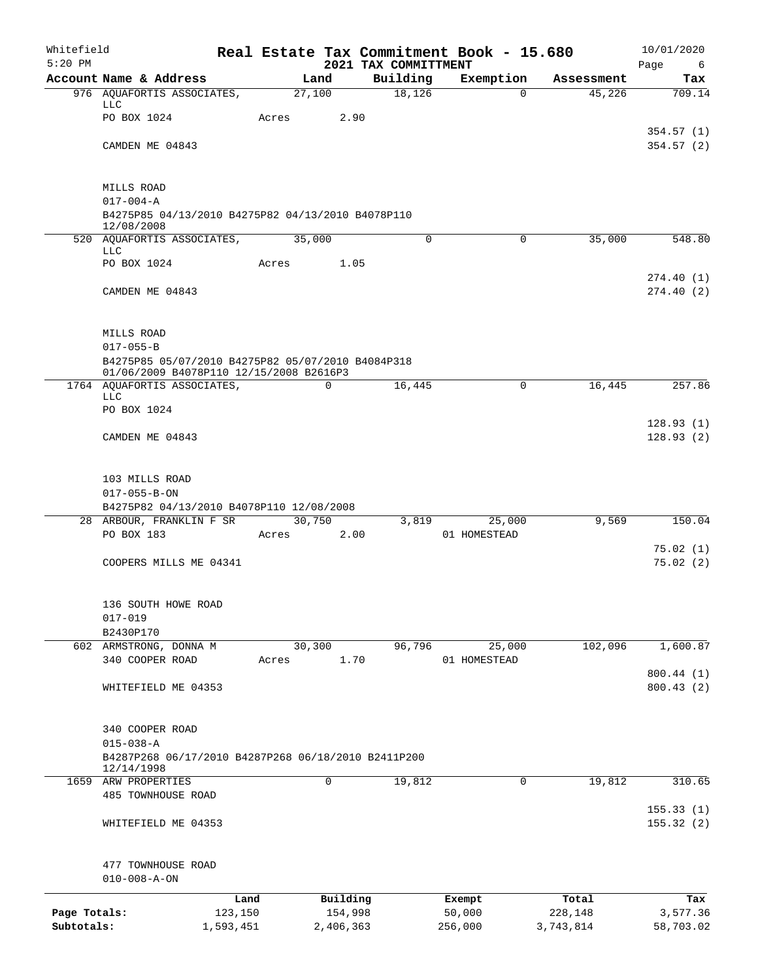| Whitefield<br>$5:20$ PM |                                                                      |           |       |             | 2021 TAX COMMITTMENT | Real Estate Tax Commitment Book - 15.680 |            | 10/01/2020<br>Page<br>6 |
|-------------------------|----------------------------------------------------------------------|-----------|-------|-------------|----------------------|------------------------------------------|------------|-------------------------|
|                         | Account Name & Address                                               |           |       | Land        | Building             | Exemption                                | Assessment | Tax                     |
|                         | 976 AQUAFORTIS ASSOCIATES,                                           |           |       | 27,100      | 18,126               | 0                                        | 45,226     | 709.14                  |
|                         | <b>LLC</b><br>PO BOX 1024                                            |           | Acres | 2.90        |                      |                                          |            |                         |
|                         |                                                                      |           |       |             |                      |                                          |            | 354.57(1)               |
|                         | CAMDEN ME 04843                                                      |           |       |             |                      |                                          |            | 354.57(2)               |
|                         | MILLS ROAD                                                           |           |       |             |                      |                                          |            |                         |
|                         | $017 - 004 - A$                                                      |           |       |             |                      |                                          |            |                         |
|                         | B4275P85 04/13/2010 B4275P82 04/13/2010 B4078P110<br>12/08/2008      |           |       |             |                      |                                          |            |                         |
|                         | 520 AQUAFORTIS ASSOCIATES,<br><b>LLC</b>                             |           |       | 35,000      | 0                    | $\mathbf 0$                              | 35,000     | 548.80                  |
|                         | PO BOX 1024                                                          |           | Acres | 1.05        |                      |                                          |            |                         |
|                         |                                                                      |           |       |             |                      |                                          |            | 274.40(1)               |
|                         | CAMDEN ME 04843                                                      |           |       |             |                      |                                          |            | 274.40(2)               |
|                         | MILLS ROAD                                                           |           |       |             |                      |                                          |            |                         |
|                         | $017 - 055 - B$<br>B4275P85 05/07/2010 B4275P82 05/07/2010 B4084P318 |           |       |             |                      |                                          |            |                         |
|                         | 01/06/2009 B4078P110 12/15/2008 B2616P3                              |           |       |             |                      |                                          |            |                         |
|                         | 1764 AQUAFORTIS ASSOCIATES,<br><b>LLC</b>                            |           |       | $\mathbf 0$ | 16,445               | $\mathbf 0$                              | 16,445     | 257.86                  |
|                         | PO BOX 1024                                                          |           |       |             |                      |                                          |            |                         |
|                         |                                                                      |           |       |             |                      |                                          |            | 128.93(1)               |
|                         | CAMDEN ME 04843                                                      |           |       |             |                      |                                          |            | 128.93(2)               |
|                         | 103 MILLS ROAD                                                       |           |       |             |                      |                                          |            |                         |
|                         | $017 - 055 - B - ON$                                                 |           |       |             |                      |                                          |            |                         |
|                         | B4275P82 04/13/2010 B4078P110 12/08/2008<br>28 ARBOUR, FRANKLIN F SR |           |       | 30,750      | 3,819                | 25,000                                   | 9,569      | 150.04                  |
|                         | PO BOX 183                                                           |           | Acres | 2.00        |                      | 01 HOMESTEAD                             |            |                         |
|                         |                                                                      |           |       |             |                      |                                          |            | 75.02(1)                |
|                         | COOPERS MILLS ME 04341                                               |           |       |             |                      |                                          |            | 75.02(2)                |
|                         | 136 SOUTH HOWE ROAD                                                  |           |       |             |                      |                                          |            |                         |
|                         | $017 - 019$                                                          |           |       |             |                      |                                          |            |                         |
|                         | B2430P170<br>602 ARMSTRONG, DONNA M                                  |           |       | 30,300      | 96,796               | 25,000                                   | 102,096    | 1,600.87                |
|                         | 340 COOPER ROAD                                                      |           | Acres | 1.70        |                      | 01 HOMESTEAD                             |            |                         |
|                         |                                                                      |           |       |             |                      |                                          |            | 800.44 (1)              |
|                         | WHITEFIELD ME 04353                                                  |           |       |             |                      |                                          |            | 800.43(2)               |
|                         | 340 COOPER ROAD                                                      |           |       |             |                      |                                          |            |                         |
|                         | $015 - 038 - A$                                                      |           |       |             |                      |                                          |            |                         |
|                         | B4287P268 06/17/2010 B4287P268 06/18/2010 B2411P200<br>12/14/1998    |           |       |             |                      |                                          |            |                         |
|                         | 1659 ARW PROPERTIES                                                  |           |       | 0           | 19,812               | 0                                        | 19,812     | 310.65                  |
|                         | 485 TOWNHOUSE ROAD                                                   |           |       |             |                      |                                          |            |                         |
|                         | WHITEFIELD ME 04353                                                  |           |       |             |                      |                                          |            | 155.33(1)<br>155.32(2)  |
|                         | 477 TOWNHOUSE ROAD                                                   |           |       |             |                      |                                          |            |                         |
|                         | $010 - 008 - A - ON$                                                 |           |       |             |                      |                                          |            |                         |
|                         |                                                                      | Land      |       | Building    |                      | Exempt                                   | Total      | Tax                     |
| Page Totals:            |                                                                      | 123,150   |       | 154,998     |                      | 50,000                                   | 228,148    | 3,577.36                |
| Subtotals:              |                                                                      | 1,593,451 |       | 2,406,363   |                      | 256,000                                  | 3,743,814  | 58,703.02               |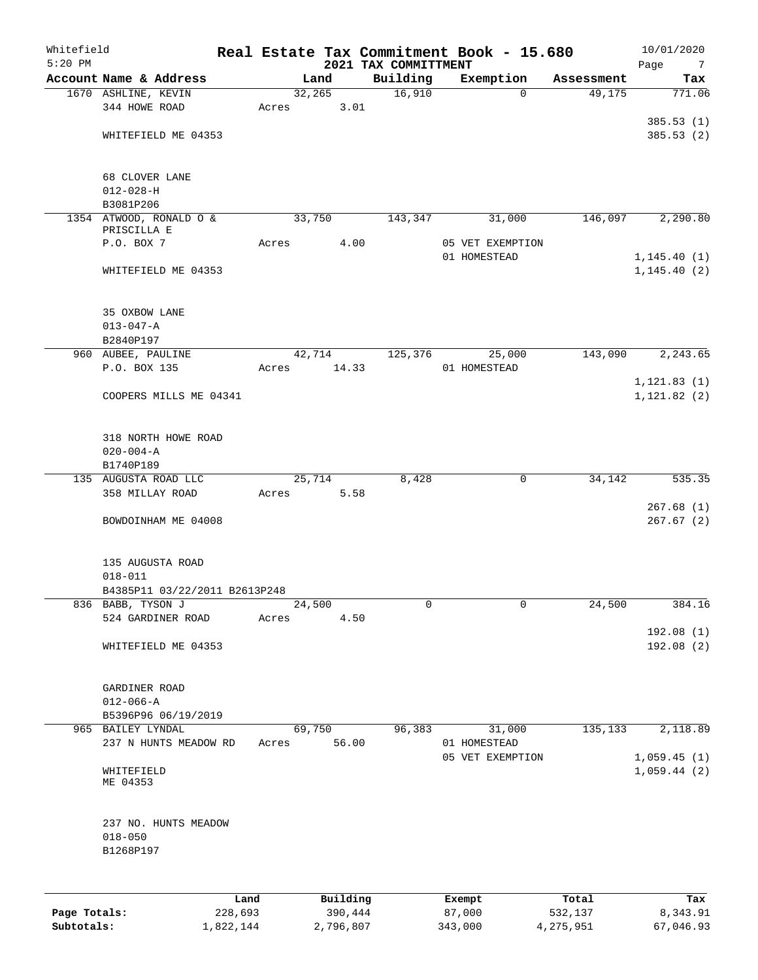| Whitefield<br>$5:20$ PM |                                                  |      |       |        |          | 2021 TAX COMMITTMENT | Real Estate Tax Commitment Book - 15.680 |            | 10/01/2020<br>Page<br>7      |
|-------------------------|--------------------------------------------------|------|-------|--------|----------|----------------------|------------------------------------------|------------|------------------------------|
|                         | Account Name & Address                           |      |       | Land   |          | Building             | Exemption                                | Assessment | Tax                          |
|                         | 1670 ASHLINE, KEVIN                              |      |       | 32,265 |          | 16,910               | $\mathbf 0$                              | 49,175     | 771.06                       |
|                         | 344 HOWE ROAD                                    |      | Acres |        | 3.01     |                      |                                          |            |                              |
|                         |                                                  |      |       |        |          |                      |                                          |            | 385.53(1)                    |
|                         | WHITEFIELD ME 04353                              |      |       |        |          |                      |                                          |            | 385.53(2)                    |
|                         | 68 CLOVER LANE                                   |      |       |        |          |                      |                                          |            |                              |
|                         | $012 - 028 - H$                                  |      |       |        |          |                      |                                          |            |                              |
|                         | B3081P206                                        |      |       |        |          |                      |                                          |            |                              |
|                         | 1354 ATWOOD, RONALD O &                          |      |       | 33,750 |          | 143,347              | 31,000                                   | 146,097    | 2,290.80                     |
|                         | PRISCILLA E<br>P.O. BOX 7                        |      | Acres |        | 4.00     |                      | 05 VET EXEMPTION                         |            |                              |
|                         |                                                  |      |       |        |          |                      | 01 HOMESTEAD                             |            | 1, 145.40(1)                 |
|                         | WHITEFIELD ME 04353                              |      |       |        |          |                      |                                          |            | 1, 145.40(2)                 |
|                         | 35 OXBOW LANE                                    |      |       |        |          |                      |                                          |            |                              |
|                         | $013 - 047 - A$                                  |      |       |        |          |                      |                                          |            |                              |
|                         | B2840P197                                        |      |       |        |          |                      |                                          |            |                              |
|                         | 960 AUBEE, PAULINE                               |      |       | 42,714 |          | 125,376              | 25,000                                   | 143,090    | 2, 243.65                    |
|                         | P.O. BOX 135                                     |      | Acres |        | 14.33    |                      | 01 HOMESTEAD                             |            |                              |
|                         | COOPERS MILLS ME 04341                           |      |       |        |          |                      |                                          |            | 1, 121.83(1)<br>1, 121.82(2) |
|                         | 318 NORTH HOWE ROAD<br>$020 - 004 - A$           |      |       |        |          |                      |                                          |            |                              |
|                         | B1740P189                                        |      |       |        |          |                      |                                          |            |                              |
|                         | 135 AUGUSTA ROAD LLC<br>358 MILLAY ROAD          |      | Acres | 25,714 | 5.58     | 8,428                | 0                                        | 34,142     | 535.35                       |
|                         |                                                  |      |       |        |          |                      |                                          |            | 267.68(1)                    |
|                         | BOWDOINHAM ME 04008                              |      |       |        |          |                      |                                          |            | 267.67(2)                    |
|                         | 135 AUGUSTA ROAD                                 |      |       |        |          |                      |                                          |            |                              |
|                         | $018 - 011$                                      |      |       |        |          |                      |                                          |            |                              |
|                         | B4385P11 03/22/2011 B2613P248                    |      |       |        |          |                      |                                          |            |                              |
|                         | 836 BABB, TYSON J<br>524 GARDINER ROAD           |      | Acres | 24,500 | 4.50     | 0                    | 0                                        | 24,500     | 384.16                       |
|                         |                                                  |      |       |        |          |                      |                                          |            | 192.08(1)                    |
|                         | WHITEFIELD ME 04353                              |      |       |        |          |                      |                                          |            | 192.08(2)                    |
|                         | GARDINER ROAD                                    |      |       |        |          |                      |                                          |            |                              |
|                         | $012 - 066 - A$                                  |      |       |        |          |                      |                                          |            |                              |
|                         | B5396P96 06/19/2019                              |      |       |        |          |                      |                                          |            |                              |
|                         | 965 BAILEY LYNDAL                                |      |       | 69,750 | 56.00    | 96,383               | 31,000                                   | 135,133    | 2,118.89                     |
|                         | 237 N HUNTS MEADOW RD                            |      | Acres |        |          |                      | 01 HOMESTEAD<br>05 VET EXEMPTION         |            | 1,059.45(1)                  |
|                         | WHITEFIELD<br>ME 04353                           |      |       |        |          |                      |                                          |            | 1,059.44(2)                  |
|                         | 237 NO. HUNTS MEADOW<br>$018 - 050$<br>B1268P197 |      |       |        |          |                      |                                          |            |                              |
|                         |                                                  |      |       |        |          |                      |                                          |            |                              |
|                         |                                                  | Land |       |        | Building |                      | Exempt                                   | Total      | Tax                          |

|              | Land      | Building  | Exempt  | Total     | тах       |
|--------------|-----------|-----------|---------|-----------|-----------|
| Page Totals: | 228,693   | 390,444   | 87,000  | 532,137   | 8,343.91  |
| Subtotals:   | 1,822,144 | 2,796,807 | 343,000 | 4,275,951 | 67,046.93 |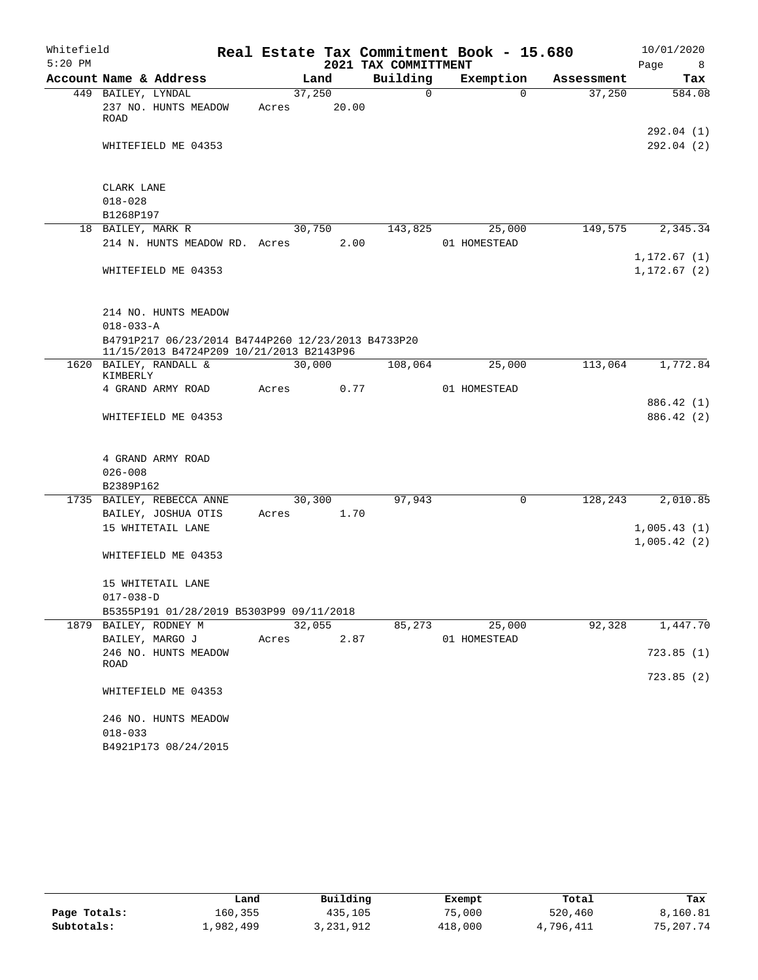| Whitefield |                                    |                                                                                                |       |        |                      | Real Estate Tax Commitment Book - 15.680 |            | 10/01/2020   |
|------------|------------------------------------|------------------------------------------------------------------------------------------------|-------|--------|----------------------|------------------------------------------|------------|--------------|
| $5:20$ PM  |                                    |                                                                                                |       |        | 2021 TAX COMMITTMENT |                                          |            | Page<br>8    |
|            | Account Name & Address             |                                                                                                |       | Land   | Building             | Exemption                                | Assessment | Tax          |
|            | 449 BAILEY, LYNDAL                 |                                                                                                |       | 37,250 | $\Omega$             | $\Omega$                                 | 37,250     | 584.08       |
|            | 237 NO. HUNTS MEADOW               |                                                                                                | Acres | 20.00  |                      |                                          |            |              |
|            | ROAD                               |                                                                                                |       |        |                      |                                          |            | 292.04 (1)   |
|            | WHITEFIELD ME 04353                |                                                                                                |       |        |                      |                                          |            | 292.04(2)    |
|            |                                    |                                                                                                |       |        |                      |                                          |            |              |
|            | CLARK LANE                         |                                                                                                |       |        |                      |                                          |            |              |
|            | $018 - 028$                        |                                                                                                |       |        |                      |                                          |            |              |
|            | B1268P197                          |                                                                                                |       |        |                      |                                          |            |              |
|            | 18 BAILEY, MARK R                  |                                                                                                |       | 30,750 | 143,825              | 25,000                                   | 149,575    | 2,345.34     |
|            |                                    | 214 N. HUNTS MEADOW RD. Acres                                                                  |       | 2.00   |                      | 01 HOMESTEAD                             |            |              |
|            |                                    |                                                                                                |       |        |                      |                                          |            | 1,172.67(1)  |
|            | WHITEFIELD ME 04353                |                                                                                                |       |        |                      |                                          |            | 1, 172.67(2) |
|            |                                    |                                                                                                |       |        |                      |                                          |            |              |
|            | 214 NO. HUNTS MEADOW               |                                                                                                |       |        |                      |                                          |            |              |
|            | $018 - 033 - A$                    |                                                                                                |       |        |                      |                                          |            |              |
|            |                                    | B4791P217 06/23/2014 B4744P260 12/23/2013 B4733P20<br>11/15/2013 B4724P209 10/21/2013 B2143P96 |       |        |                      |                                          |            |              |
|            | 1620 BAILEY, RANDALL &<br>KIMBERLY |                                                                                                |       | 30,000 | 108,064              | 25,000                                   | 113,064    | 1,772.84     |
|            | 4 GRAND ARMY ROAD                  |                                                                                                | Acres | 0.77   |                      | 01 HOMESTEAD                             |            |              |
|            |                                    |                                                                                                |       |        |                      |                                          |            | 886.42 (1)   |
|            | WHITEFIELD ME 04353                |                                                                                                |       |        |                      |                                          |            | 886.42 (2)   |
|            |                                    |                                                                                                |       |        |                      |                                          |            |              |
|            | 4 GRAND ARMY ROAD                  |                                                                                                |       |        |                      |                                          |            |              |
|            | $026 - 008$                        |                                                                                                |       |        |                      |                                          |            |              |
|            | B2389P162                          |                                                                                                |       |        |                      |                                          |            |              |
|            | 1735 BAILEY, REBECCA ANNE          |                                                                                                |       | 30,300 | 97,943               | $\mathsf{O}$                             | 128,243    | 2,010.85     |
|            | BAILEY, JOSHUA OTIS                |                                                                                                | Acres | 1.70   |                      |                                          |            |              |
|            | 15 WHITETAIL LANE                  |                                                                                                |       |        |                      |                                          |            | 1,005.43(1)  |
|            |                                    |                                                                                                |       |        |                      |                                          |            | 1,005.42(2)  |
|            | WHITEFIELD ME 04353                |                                                                                                |       |        |                      |                                          |            |              |
|            | 15 WHITETAIL LANE                  |                                                                                                |       |        |                      |                                          |            |              |
|            | $017 - 038 - D$                    |                                                                                                |       |        |                      |                                          |            |              |
|            |                                    | B5355P191 01/28/2019 B5303P99 09/11/2018                                                       |       |        |                      |                                          |            |              |
|            | 1879 BAILEY, RODNEY M              |                                                                                                |       | 32,055 | 85,273               | 25,000                                   | 92,328     | 1,447.70     |
|            | BAILEY, MARGO J                    |                                                                                                | Acres | 2.87   |                      | 01 HOMESTEAD                             |            |              |
|            | 246 NO. HUNTS MEADOW               |                                                                                                |       |        |                      |                                          |            | 723.85(1)    |
|            | ROAD                               |                                                                                                |       |        |                      |                                          |            | 723.85(2)    |
|            | WHITEFIELD ME 04353                |                                                                                                |       |        |                      |                                          |            |              |
|            | 246 NO. HUNTS MEADOW               |                                                                                                |       |        |                      |                                          |            |              |
|            | $018 - 033$                        |                                                                                                |       |        |                      |                                          |            |              |
|            | B4921P173 08/24/2015               |                                                                                                |       |        |                      |                                          |            |              |

|              | Land      | Building  | Exempt  | Total     | Tax       |
|--------------|-----------|-----------|---------|-----------|-----------|
| Page Totals: | 160,355   | 435,105   | 75,000  | 520,460   | 8,160.81  |
| Subtotals:   | 1,982,499 | 3,231,912 | 418,000 | 4,796,411 | 75,207.74 |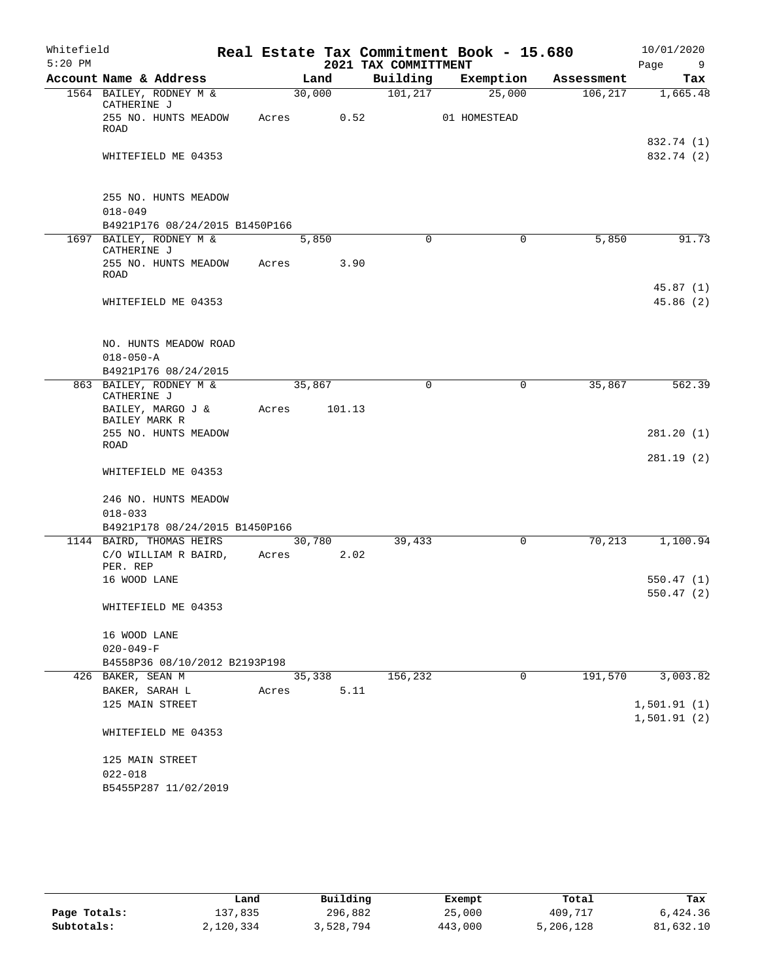| Whitefield<br>$5:20$ PM |                                                              |                 |        | 2021 TAX COMMITTMENT | Real Estate Tax Commitment Book - 15.680 |            | 10/01/2020<br>Page<br>9    |
|-------------------------|--------------------------------------------------------------|-----------------|--------|----------------------|------------------------------------------|------------|----------------------------|
|                         | Account Name & Address                                       |                 | Land   | Building             | Exemption                                | Assessment | Tax                        |
|                         | 1564 BAILEY, RODNEY M &<br>CATHERINE J                       | 30,000          |        | 101, 217             | 25,000                                   | 106, 217   | 1,665.48                   |
|                         | 255 NO. HUNTS MEADOW<br>ROAD                                 | Acres           | 0.52   |                      | 01 HOMESTEAD                             |            |                            |
|                         | WHITEFIELD ME 04353                                          |                 |        |                      |                                          |            | 832.74 (1)<br>832.74 (2)   |
|                         | 255 NO. HUNTS MEADOW<br>$018 - 049$                          |                 |        |                      |                                          |            |                            |
|                         | B4921P176 08/24/2015 B1450P166                               |                 |        |                      |                                          |            |                            |
|                         | 1697 BAILEY, RODNEY M &<br>CATHERINE J                       |                 | 5,850  | $\mathbf 0$          | $\mathbf 0$                              | 5,850      | 91.73                      |
|                         | 255 NO. HUNTS MEADOW<br><b>ROAD</b>                          | Acres           | 3.90   |                      |                                          |            |                            |
|                         | WHITEFIELD ME 04353                                          |                 |        |                      |                                          |            | 45.87(1)<br>45.86(2)       |
|                         |                                                              |                 |        |                      |                                          |            |                            |
|                         | NO. HUNTS MEADOW ROAD<br>$018 - 050 - A$                     |                 |        |                      |                                          |            |                            |
|                         | B4921P176 08/24/2015                                         |                 |        |                      |                                          |            |                            |
|                         | 863 BAILEY, RODNEY M &<br>CATHERINE J                        | 35,867          |        | $\mathbf 0$          | $\mathbf 0$                              | 35,867     | 562.39                     |
|                         | BAILEY, MARGO J &<br>BAILEY MARK R                           | Acres           | 101.13 |                      |                                          |            |                            |
|                         | 255 NO. HUNTS MEADOW<br>ROAD                                 |                 |        |                      |                                          |            | 281.20(1)                  |
|                         | WHITEFIELD ME 04353                                          |                 |        |                      |                                          |            | 281.19(2)                  |
|                         | 246 NO. HUNTS MEADOW<br>$018 - 033$                          |                 |        |                      |                                          |            |                            |
|                         | B4921P178 08/24/2015 B1450P166                               |                 |        |                      |                                          |            |                            |
|                         | 1144 BAIRD, THOMAS HEIRS<br>C/O WILLIAM R BAIRD,<br>PER. REP | 30,780<br>Acres | 2.02   | 39,433               | 0                                        | 70,213     | 1,100.94                   |
|                         | 16 WOOD LANE                                                 |                 |        |                      |                                          |            | 550.47(1)<br>550.47(2)     |
|                         | WHITEFIELD ME 04353                                          |                 |        |                      |                                          |            |                            |
|                         | 16 WOOD LANE                                                 |                 |        |                      |                                          |            |                            |
|                         | $020 - 049 - F$<br>B4558P36 08/10/2012 B2193P198             |                 |        |                      |                                          |            |                            |
|                         | 426 BAKER, SEAN M                                            |                 | 35,338 | 156,232              | $\mathbf 0$                              | 191,570    | 3,003.82                   |
|                         | $\texttt{BAKER}$ , $\texttt{SARAH}$ L                        | Acres           | 5.11   |                      |                                          |            |                            |
|                         | 125 MAIN STREET                                              |                 |        |                      |                                          |            | 1,501.91(1)<br>1,501.91(2) |
|                         | WHITEFIELD ME 04353                                          |                 |        |                      |                                          |            |                            |
|                         | 125 MAIN STREET                                              |                 |        |                      |                                          |            |                            |
|                         | $022 - 018$<br>B5455P287 11/02/2019                          |                 |        |                      |                                          |            |                            |

|              | Land      | Building  | Exempt  | Total     | Tax       |
|--------------|-----------|-----------|---------|-----------|-----------|
| Page Totals: | ⊥37,835   | 296,882   | 25,000  | 409,717   | 6,424.36  |
| Subtotals:   | 2,120,334 | 3,528,794 | 443,000 | 5,206,128 | 81,632.10 |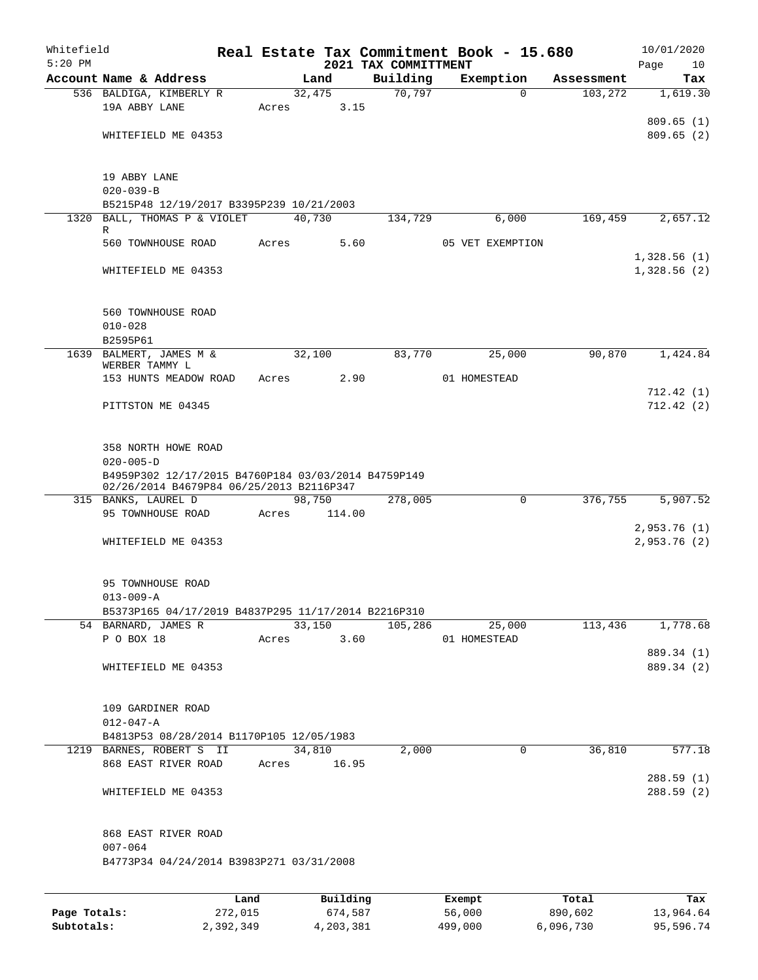| Whitefield<br>$5:20$ PM |                                                                                                 |         |       |        |          | 2021 TAX COMMITTMENT | Real Estate Tax Commitment Book - 15.680 |          |            | 10/01/2020        |
|-------------------------|-------------------------------------------------------------------------------------------------|---------|-------|--------|----------|----------------------|------------------------------------------|----------|------------|-------------------|
|                         | Account Name & Address                                                                          |         |       | Land   |          | Building             | Exemption                                |          | Assessment | Page<br>10<br>Tax |
|                         | 536 BALDIGA, KIMBERLY R                                                                         |         |       | 32,475 |          | 70,797               |                                          | $\Omega$ | 103,272    | 1,619.30          |
|                         | 19A ABBY LANE                                                                                   |         | Acres |        | 3.15     |                      |                                          |          |            |                   |
|                         |                                                                                                 |         |       |        |          |                      |                                          |          |            | 809.65(1)         |
|                         | WHITEFIELD ME 04353                                                                             |         |       |        |          |                      |                                          |          |            | 809.65(2)         |
|                         | 19 ABBY LANE                                                                                    |         |       |        |          |                      |                                          |          |            |                   |
|                         | $020 - 039 - B$                                                                                 |         |       |        |          |                      |                                          |          |            |                   |
|                         | B5215P48 12/19/2017 B3395P239 10/21/2003                                                        |         |       |        |          |                      |                                          |          |            |                   |
| 1320                    | BALL, THOMAS P & VIOLET<br>R                                                                    |         |       | 40,730 |          | 134,729              |                                          | 6,000    | 169,459    | 2,657.12          |
|                         | 560 TOWNHOUSE ROAD                                                                              |         | Acres |        | 5.60     |                      | 05 VET EXEMPTION                         |          |            |                   |
|                         |                                                                                                 |         |       |        |          |                      |                                          |          |            | 1,328.56(1)       |
|                         | WHITEFIELD ME 04353                                                                             |         |       |        |          |                      |                                          |          |            | 1,328.56(2)       |
|                         | 560 TOWNHOUSE ROAD                                                                              |         |       |        |          |                      |                                          |          |            |                   |
|                         | $010 - 028$                                                                                     |         |       |        |          |                      |                                          |          |            |                   |
|                         | B2595P61                                                                                        |         |       |        |          |                      |                                          |          |            |                   |
|                         | 1639 BALMERT, JAMES M &                                                                         |         |       | 32,100 |          | 83,770               |                                          | 25,000   | 90,870     | 1,424.84          |
|                         | WERBER TAMMY L                                                                                  |         |       |        |          |                      |                                          |          |            |                   |
|                         | 153 HUNTS MEADOW ROAD                                                                           |         | Acres |        | 2.90     |                      | 01 HOMESTEAD                             |          |            |                   |
|                         |                                                                                                 |         |       |        |          |                      |                                          |          |            | 712.42(1)         |
|                         | PITTSTON ME 04345                                                                               |         |       |        |          |                      |                                          |          |            | 712.42(2)         |
|                         | 358 NORTH HOWE ROAD<br>$020 - 005 - D$                                                          |         |       |        |          |                      |                                          |          |            |                   |
|                         | B4959P302 12/17/2015 B4760P184 03/03/2014 B4759P149<br>02/26/2014 B4679P84 06/25/2013 B2116P347 |         |       |        |          |                      |                                          |          |            |                   |
|                         | 315 BANKS, LAUREL D                                                                             |         |       | 98,750 |          | 278,005              |                                          | 0        | 376,755    | 5,907.52          |
|                         | 95 TOWNHOUSE ROAD                                                                               |         | Acres |        | 114.00   |                      |                                          |          |            |                   |
|                         |                                                                                                 |         |       |        |          |                      |                                          |          |            | 2,953.76(1)       |
|                         | WHITEFIELD ME 04353                                                                             |         |       |        |          |                      |                                          |          |            | 2,953.76 (2)      |
|                         | 95 TOWNHOUSE ROAD                                                                               |         |       |        |          |                      |                                          |          |            |                   |
|                         | $013 - 009 - A$                                                                                 |         |       |        |          |                      |                                          |          |            |                   |
|                         | B5373P165 04/17/2019 B4837P295 11/17/2014 B2216P310                                             |         |       | 33,150 |          | 105,286              |                                          |          |            |                   |
|                         | 54 BARNARD, JAMES R<br>P O BOX 18                                                               |         | Acres |        | 3.60     |                      | 01 HOMESTEAD                             | 25,000   | 113,436    | 1,778.68          |
|                         |                                                                                                 |         |       |        |          |                      |                                          |          |            | 889.34 (1)        |
|                         | WHITEFIELD ME 04353                                                                             |         |       |        |          |                      |                                          |          |            | 889.34 (2)        |
|                         |                                                                                                 |         |       |        |          |                      |                                          |          |            |                   |
|                         | 109 GARDINER ROAD                                                                               |         |       |        |          |                      |                                          |          |            |                   |
|                         | $012 - 047 - A$                                                                                 |         |       |        |          |                      |                                          |          |            |                   |
|                         | B4813P53 08/28/2014 B1170P105 12/05/1983                                                        |         |       |        |          |                      |                                          |          |            |                   |
|                         | 1219 BARNES, ROBERT S II                                                                        |         |       | 34,810 |          | 2,000                |                                          | 0        | 36,810     | 577.18            |
|                         | 868 EAST RIVER ROAD                                                                             |         | Acres |        | 16.95    |                      |                                          |          |            |                   |
|                         |                                                                                                 |         |       |        |          |                      |                                          |          |            | 288.59(1)         |
|                         | WHITEFIELD ME 04353                                                                             |         |       |        |          |                      |                                          |          |            | 288.59(2)         |
|                         | 868 EAST RIVER ROAD                                                                             |         |       |        |          |                      |                                          |          |            |                   |
|                         | $007 - 064$                                                                                     |         |       |        |          |                      |                                          |          |            |                   |
|                         | B4773P34 04/24/2014 B3983P271 03/31/2008                                                        |         |       |        |          |                      |                                          |          |            |                   |
|                         |                                                                                                 | Land    |       |        | Building |                      | Exempt                                   |          | Total      | Tax               |
| Page Totals:            |                                                                                                 | 272,015 |       |        | 674,587  |                      | 56,000                                   |          | 890,602    | 13,964.64         |

**Subtotals:** 2,392,349 4,203,381 499,000 6,096,730 95,596.74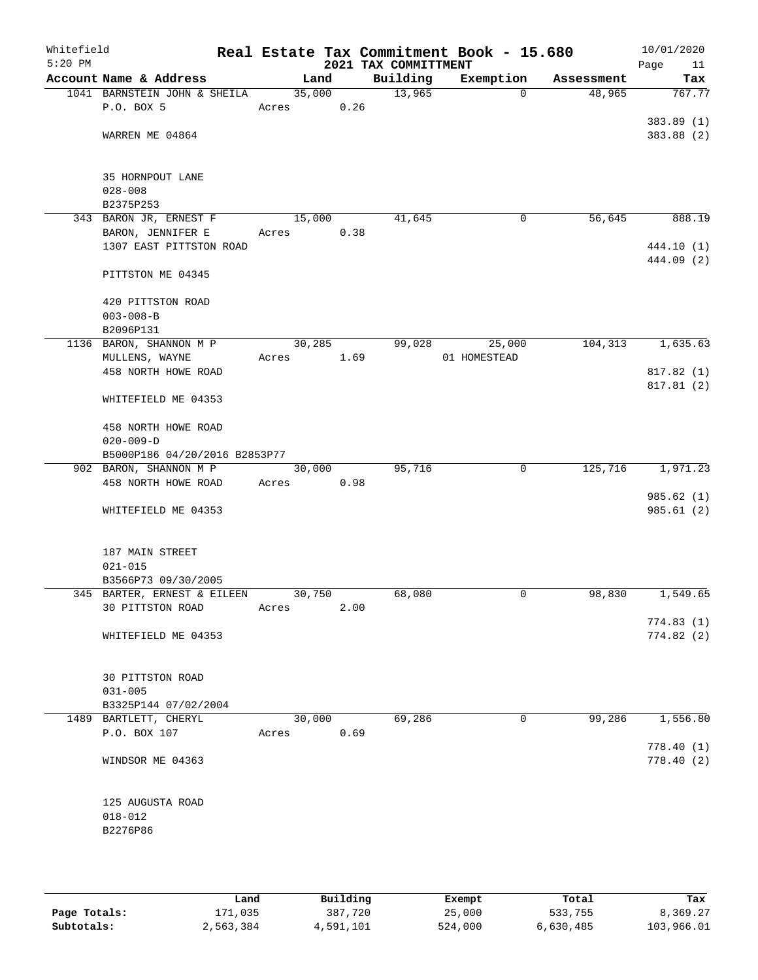| Whitefield<br>$5:20$ PM |                                 |        |        | 2021 TAX COMMITTMENT | Real Estate Tax Commitment Book - 15.680 |            | 10/01/2020<br>Page<br>11 |
|-------------------------|---------------------------------|--------|--------|----------------------|------------------------------------------|------------|--------------------------|
|                         | Account Name & Address          | Land   |        | Building             | Exemption                                | Assessment | Tax                      |
|                         | 1041 BARNSTEIN JOHN & SHEILA    |        | 35,000 | 13,965               | $\Omega$                                 | 48,965     | 767.77                   |
|                         | P.O. BOX 5                      | Acres  | 0.26   |                      |                                          |            |                          |
|                         |                                 |        |        |                      |                                          |            | 383.89 (1)               |
|                         | WARREN ME 04864                 |        |        |                      |                                          |            | 383.88 (2)               |
|                         |                                 |        |        |                      |                                          |            |                          |
|                         | 35 HORNPOUT LANE<br>$028 - 008$ |        |        |                      |                                          |            |                          |
|                         | B2375P253                       |        |        |                      |                                          |            |                          |
|                         | 343 BARON JR, ERNEST F          | 15,000 |        | 41,645               | 0                                        | 56,645     | 888.19                   |
|                         | BARON, JENNIFER E               | Acres  | 0.38   |                      |                                          |            |                          |
|                         | 1307 EAST PITTSTON ROAD         |        |        |                      |                                          |            | 444.10 (1)               |
|                         |                                 |        |        |                      |                                          |            | 444.09 (2)               |
|                         | PITTSTON ME 04345               |        |        |                      |                                          |            |                          |
|                         | 420 PITTSTON ROAD               |        |        |                      |                                          |            |                          |
|                         | $003 - 008 - B$                 |        |        |                      |                                          |            |                          |
|                         | B2096P131                       |        |        |                      |                                          |            |                          |
|                         | 1136 BARON, SHANNON M P         | 30,285 |        | 99,028               | 25,000                                   | 104,313    | 1,635.63                 |
|                         | MULLENS, WAYNE                  | Acres  | 1.69   |                      | 01 HOMESTEAD                             |            |                          |
|                         | 458 NORTH HOWE ROAD             |        |        |                      |                                          |            | 817.82 (1)               |
|                         | WHITEFIELD ME 04353             |        |        |                      |                                          |            | 817.81 (2)               |
|                         |                                 |        |        |                      |                                          |            |                          |
|                         | 458 NORTH HOWE ROAD             |        |        |                      |                                          |            |                          |
|                         | $020 - 009 - D$                 |        |        |                      |                                          |            |                          |
|                         | B5000P186 04/20/2016 B2853P77   |        |        |                      |                                          |            |                          |
|                         | 902 BARON, SHANNON M P          | 30,000 |        | 95,716               | 0                                        | 125,716    | 1,971.23                 |
|                         | 458 NORTH HOWE ROAD             | Acres  | 0.98   |                      |                                          |            |                          |
|                         |                                 |        |        |                      |                                          |            | 985.62(1)                |
|                         | WHITEFIELD ME 04353             |        |        |                      |                                          |            | 985.61(2)                |
|                         | 187 MAIN STREET                 |        |        |                      |                                          |            |                          |
|                         | $021 - 015$                     |        |        |                      |                                          |            |                          |
|                         | B3566P73 09/30/2005             |        |        |                      |                                          |            |                          |
|                         | 345 BARTER, ERNEST & EILEEN     | 30,750 |        | 68,080               | 0                                        | 98,830     | 1,549.65                 |
|                         | 30 PITTSTON ROAD                | Acres  | 2.00   |                      |                                          |            |                          |
|                         |                                 |        |        |                      |                                          |            | 774.83(1)                |
|                         | WHITEFIELD ME 04353             |        |        |                      |                                          |            | 774.82(2)                |
|                         |                                 |        |        |                      |                                          |            |                          |
|                         | 30 PITTSTON ROAD<br>$031 - 005$ |        |        |                      |                                          |            |                          |
|                         | B3325P144 07/02/2004            |        |        |                      |                                          |            |                          |
|                         | 1489 BARTLETT, CHERYL           | 30,000 |        | 69,286               | 0                                        | 99,286     | 1,556.80                 |
|                         | P.O. BOX 107                    | Acres  | 0.69   |                      |                                          |            |                          |
|                         |                                 |        |        |                      |                                          |            | 778.40(1)                |
|                         | WINDSOR ME 04363                |        |        |                      |                                          |            | 778.40(2)                |
|                         |                                 |        |        |                      |                                          |            |                          |
|                         | 125 AUGUSTA ROAD                |        |        |                      |                                          |            |                          |
|                         | $018 - 012$                     |        |        |                      |                                          |            |                          |
|                         | B2276P86                        |        |        |                      |                                          |            |                          |
|                         |                                 |        |        |                      |                                          |            |                          |
|                         |                                 |        |        |                      |                                          |            |                          |

|              | Land      | Building  | Exempt  | Total     | Tax        |
|--------------|-----------|-----------|---------|-----------|------------|
| Page Totals: | 171,035   | 387,720   | 25,000  | 533,755   | 8,369.27   |
| Subtotals:   | 2,563,384 | 4,591,101 | 524,000 | 6,630,485 | 103,966.01 |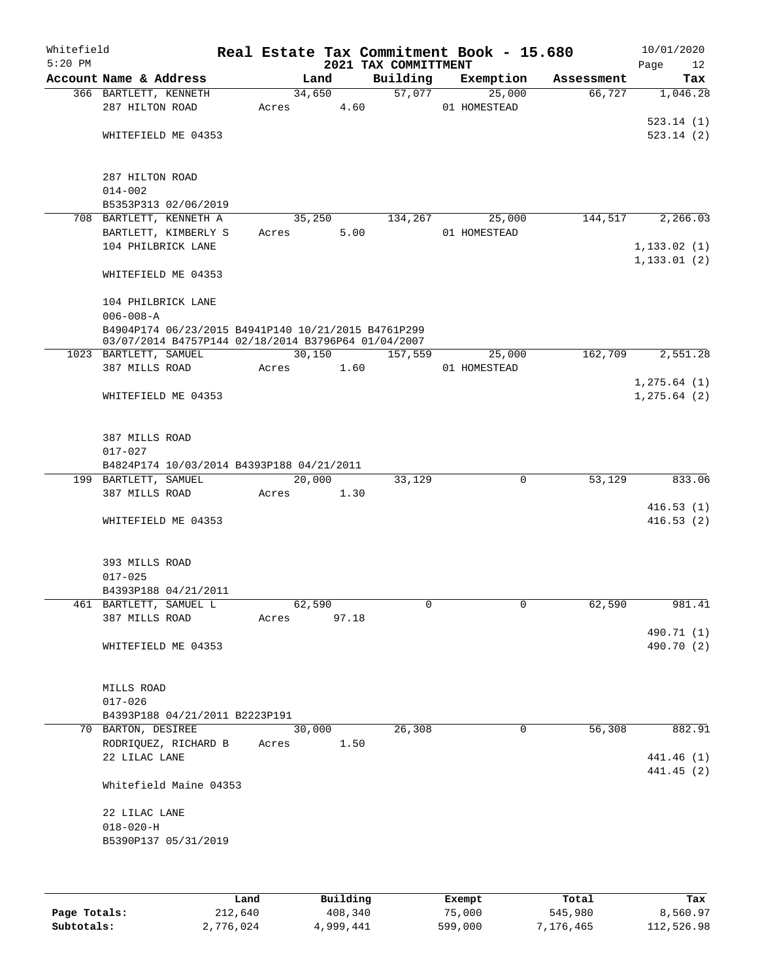| Whitefield<br>$5:20$ PM |                                                      |       |        |       | 2021 TAX COMMITTMENT | Real Estate Tax Commitment Book - 15.680 |            | 10/01/2020<br>Page<br>12 |
|-------------------------|------------------------------------------------------|-------|--------|-------|----------------------|------------------------------------------|------------|--------------------------|
|                         | Account Name & Address                               |       | Land   |       | Building             | Exemption                                | Assessment | Tax                      |
|                         | 366 BARTLETT, KENNETH                                |       | 34,650 |       | 57,077               | 25,000                                   | 66,727     | 1,046.28                 |
|                         | 287 HILTON ROAD                                      | Acres |        | 4.60  |                      | 01 HOMESTEAD                             |            |                          |
|                         |                                                      |       |        |       |                      |                                          |            | 523.14(1)                |
|                         | WHITEFIELD ME 04353                                  |       |        |       |                      |                                          |            | 523.14(2)                |
|                         |                                                      |       |        |       |                      |                                          |            |                          |
|                         | 287 HILTON ROAD                                      |       |        |       |                      |                                          |            |                          |
|                         | $014 - 002$                                          |       |        |       |                      |                                          |            |                          |
|                         | B5353P313 02/06/2019                                 |       |        |       |                      |                                          |            |                          |
|                         | 708 BARTLETT, KENNETH A                              |       | 35,250 |       | 134,267              | 25,000                                   | 144,517    | 2,266.03                 |
|                         | BARTLETT, KIMBERLY S<br>104 PHILBRICK LANE           | Acres |        | 5.00  |                      | 01 HOMESTEAD                             |            | 1, 133.02(1)             |
|                         |                                                      |       |        |       |                      |                                          |            | 1, 133.01(2)             |
|                         | WHITEFIELD ME 04353                                  |       |        |       |                      |                                          |            |                          |
|                         | 104 PHILBRICK LANE                                   |       |        |       |                      |                                          |            |                          |
|                         | $006 - 008 - A$                                      |       |        |       |                      |                                          |            |                          |
|                         | B4904P174 06/23/2015 B4941P140 10/21/2015 B4761P299  |       |        |       |                      |                                          |            |                          |
|                         | 03/07/2014 B4757P144 02/18/2014 B3796P64 01/04/2007  |       |        |       |                      |                                          |            |                          |
|                         | 1023 BARTLETT, SAMUEL                                |       | 30,150 |       | 157,559              | 25,000                                   | 162,709    | 2,551.28                 |
|                         | 387 MILLS ROAD                                       | Acres |        | 1.60  |                      | 01 HOMESTEAD                             |            |                          |
|                         |                                                      |       |        |       |                      |                                          |            | 1, 275.64 (1)            |
|                         | WHITEFIELD ME 04353                                  |       |        |       |                      |                                          |            | 1, 275.64 (2)            |
|                         | 387 MILLS ROAD                                       |       |        |       |                      |                                          |            |                          |
|                         | $017 - 027$                                          |       |        |       |                      |                                          |            |                          |
|                         | B4824P174 10/03/2014 B4393P188 04/21/2011            |       |        |       |                      |                                          |            |                          |
|                         | 199 BARTLETT, SAMUEL                                 |       | 20,000 |       | 33,129               | 0                                        | 53,129     | 833.06                   |
|                         | 387 MILLS ROAD                                       | Acres |        | 1.30  |                      |                                          |            |                          |
|                         |                                                      |       |        |       |                      |                                          |            | 416.53(1)                |
|                         | WHITEFIELD ME 04353                                  |       |        |       |                      |                                          |            | 416.53(2)                |
|                         | 393 MILLS ROAD                                       |       |        |       |                      |                                          |            |                          |
|                         | $017 - 025$                                          |       |        |       |                      |                                          |            |                          |
|                         | B4393P188 04/21/2011                                 |       |        |       |                      |                                          |            |                          |
|                         | 461 BARTLETT, SAMUEL L                               |       | 62,590 |       | 0                    | 0                                        | 62,590     | 981.41                   |
|                         | 387 MILLS ROAD                                       | Acres |        | 97.18 |                      |                                          |            |                          |
|                         |                                                      |       |        |       |                      |                                          |            | 490.71 (1)               |
|                         | WHITEFIELD ME 04353                                  |       |        |       |                      |                                          |            | 490.70 (2)               |
|                         |                                                      |       |        |       |                      |                                          |            |                          |
|                         | MILLS ROAD                                           |       |        |       |                      |                                          |            |                          |
|                         | $017 - 026$                                          |       |        |       |                      |                                          |            |                          |
|                         | B4393P188 04/21/2011 B2223P191<br>70 BARTON, DESIREE |       | 30,000 |       | 26,308               | 0                                        | 56,308     | 882.91                   |
|                         | RODRIQUEZ, RICHARD B                                 | Acres |        | 1.50  |                      |                                          |            |                          |
|                         | 22 LILAC LANE                                        |       |        |       |                      |                                          |            | 441.46 (1)               |
|                         |                                                      |       |        |       |                      |                                          |            | 441.45 (2)               |
|                         | Whitefield Maine 04353                               |       |        |       |                      |                                          |            |                          |
|                         | 22 LILAC LANE                                        |       |        |       |                      |                                          |            |                          |
|                         | $018 - 020 - H$                                      |       |        |       |                      |                                          |            |                          |
|                         | B5390P137 05/31/2019                                 |       |        |       |                      |                                          |            |                          |
|                         |                                                      |       |        |       |                      |                                          |            |                          |
|                         |                                                      |       |        |       |                      |                                          |            |                          |
|                         |                                                      |       |        |       |                      |                                          |            |                          |

|              | Land      | Building  | Exempt  | Total     | Tax        |
|--------------|-----------|-----------|---------|-----------|------------|
| Page Totals: | 212,640   | 408,340   | 75,000  | 545,980   | 8,560.97   |
| Subtotals:   | 2,776,024 | 4,999,441 | 599,000 | 7,176,465 | 112,526.98 |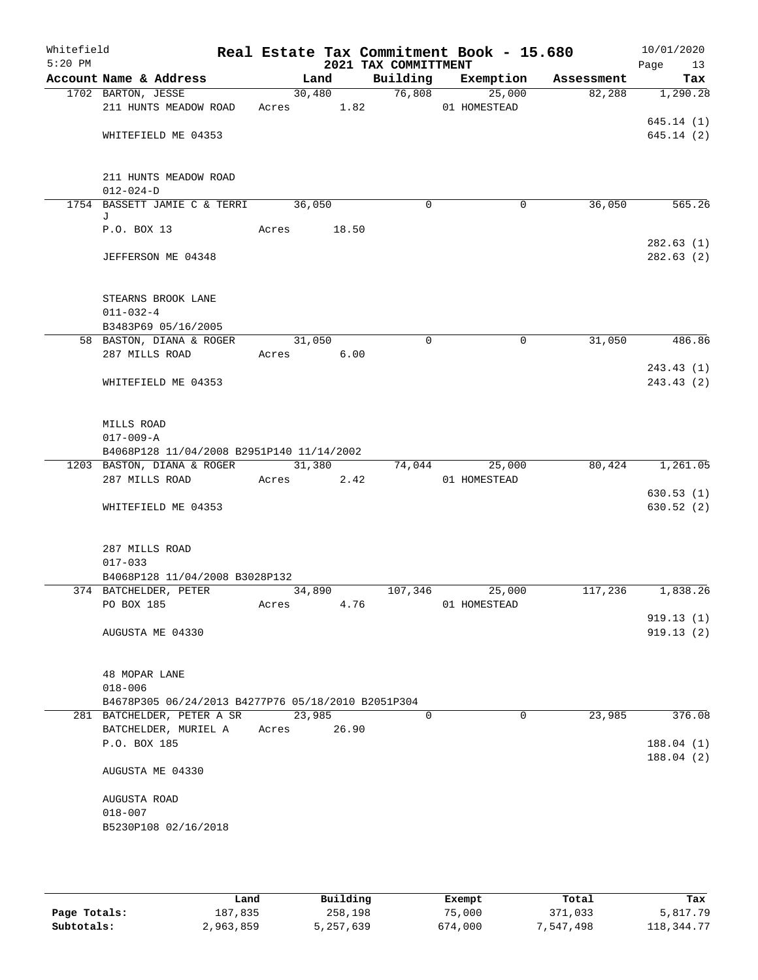| Whitefield<br>$5:20$ PM |                                                    |       |        |                      | 2021 TAX COMMITTMENT | Real Estate Tax Commitment Book - 15.680 |          |            | 10/01/2020<br>Page<br>13 |
|-------------------------|----------------------------------------------------|-------|--------|----------------------|----------------------|------------------------------------------|----------|------------|--------------------------|
|                         | Account Name & Address                             |       |        | Land                 | Building             | Exemption                                |          | Assessment | Tax                      |
|                         | 1702 BARTON, JESSE                                 |       |        | 30,480               | 76,808               | 25,000                                   |          | 82,288     | 1,290.28                 |
|                         | 211 HUNTS MEADOW ROAD                              |       |        | Acres 1.82           |                      | 01 HOMESTEAD                             |          |            |                          |
|                         | WHITEFIELD ME 04353                                |       |        |                      |                      |                                          |          |            | 645.14(1)<br>645.14(2)   |
|                         |                                                    |       |        |                      |                      |                                          |          |            |                          |
|                         | 211 HUNTS MEADOW ROAD                              |       |        |                      |                      |                                          |          |            |                          |
|                         | $012 - 024 - D$                                    |       |        |                      |                      |                                          |          |            |                          |
|                         | 1754 BASSETT JAMIE C & TERRI<br>J                  |       |        | 36,050               | 0                    |                                          | 0        | 36,050     | 565.26                   |
|                         | P.O. BOX 13                                        |       | Acres  | 18.50                |                      |                                          |          |            | 282.63(1)                |
|                         | JEFFERSON ME 04348                                 |       |        |                      |                      |                                          |          |            | 282.63(2)                |
|                         | STEARNS BROOK LANE                                 |       |        |                      |                      |                                          |          |            |                          |
|                         | $011 - 032 - 4$                                    |       |        |                      |                      |                                          |          |            |                          |
|                         | B3483P69 05/16/2005                                |       |        |                      |                      |                                          |          |            |                          |
|                         | 58 BASTON, DIANA & ROGER<br>287 MILLS ROAD         |       |        | 31,050<br>Acres 6.00 | $\mathbf 0$          |                                          | 0        | 31,050     | 486.86                   |
|                         |                                                    |       |        |                      |                      |                                          |          |            | 243.43(1)                |
|                         | WHITEFIELD ME 04353                                |       |        |                      |                      |                                          |          |            | 243.43(2)                |
|                         |                                                    |       |        |                      |                      |                                          |          |            |                          |
|                         | MILLS ROAD<br>$017 - 009 - A$                      |       |        |                      |                      |                                          |          |            |                          |
|                         | B4068P128 11/04/2008 B2951P140 11/14/2002          |       |        |                      |                      |                                          |          |            |                          |
|                         | 1203 BASTON, DIANA & ROGER                         |       |        | 31,380               | 74,044               | 25,000                                   |          | 80,424     | 1,261.05                 |
|                         | 287 MILLS ROAD                                     |       | Acres  | 2.42                 |                      | 01 HOMESTEAD                             |          |            |                          |
|                         |                                                    |       |        |                      |                      |                                          |          |            | 630.53(1)                |
|                         | WHITEFIELD ME 04353                                |       |        |                      |                      |                                          |          |            | 630.52(2)                |
|                         | 287 MILLS ROAD                                     |       |        |                      |                      |                                          |          |            |                          |
|                         | $017 - 033$                                        |       |        |                      |                      |                                          |          |            |                          |
|                         | B4068P128 11/04/2008 B3028P132                     |       |        |                      |                      |                                          |          |            |                          |
|                         | 374 BATCHELDER, PETER                              |       | 34,890 |                      | 107,346              | 25,000                                   |          | 117,236    | 1,838.26                 |
|                         | PO BOX 185                                         | Acres |        | 4.76                 |                      | 01 HOMESTEAD                             |          |            |                          |
|                         |                                                    |       |        |                      |                      |                                          |          |            | 919.13(1)<br>919.13(2)   |
|                         | AUGUSTA ME 04330                                   |       |        |                      |                      |                                          |          |            |                          |
|                         | 48 MOPAR LANE                                      |       |        |                      |                      |                                          |          |            |                          |
|                         | $018 - 006$                                        |       |        |                      |                      |                                          |          |            |                          |
|                         | B4678P305 06/24/2013 B4277P76 05/18/2010 B2051P304 |       |        |                      |                      |                                          |          |            |                          |
|                         | 281 BATCHELDER, PETER A SR                         |       | 23,985 |                      | $\Omega$             |                                          | $\Omega$ | 23,985     | 376.08                   |
|                         | BATCHELDER, MURIEL A<br>P.O. BOX 185               |       | Acres  | 26.90                |                      |                                          |          |            | 188.04(1)                |
|                         |                                                    |       |        |                      |                      |                                          |          |            | 188.04(2)                |
|                         | AUGUSTA ME 04330                                   |       |        |                      |                      |                                          |          |            |                          |
|                         | AUGUSTA ROAD                                       |       |        |                      |                      |                                          |          |            |                          |
|                         | $018 - 007$                                        |       |        |                      |                      |                                          |          |            |                          |
|                         | B5230P108 02/16/2018                               |       |        |                      |                      |                                          |          |            |                          |
|                         |                                                    |       |        |                      |                      |                                          |          |            |                          |

|              | Land      | Building  | Exempt  | Total     | Tax          |
|--------------|-----------|-----------|---------|-----------|--------------|
| Page Totals: | 187,835   | 258,198   | 75,000  | 371,033   | 5,817.79     |
| Subtotals:   | 2,963,859 | 5,257,639 | 674,000 | 7,547,498 | 118, 344. 77 |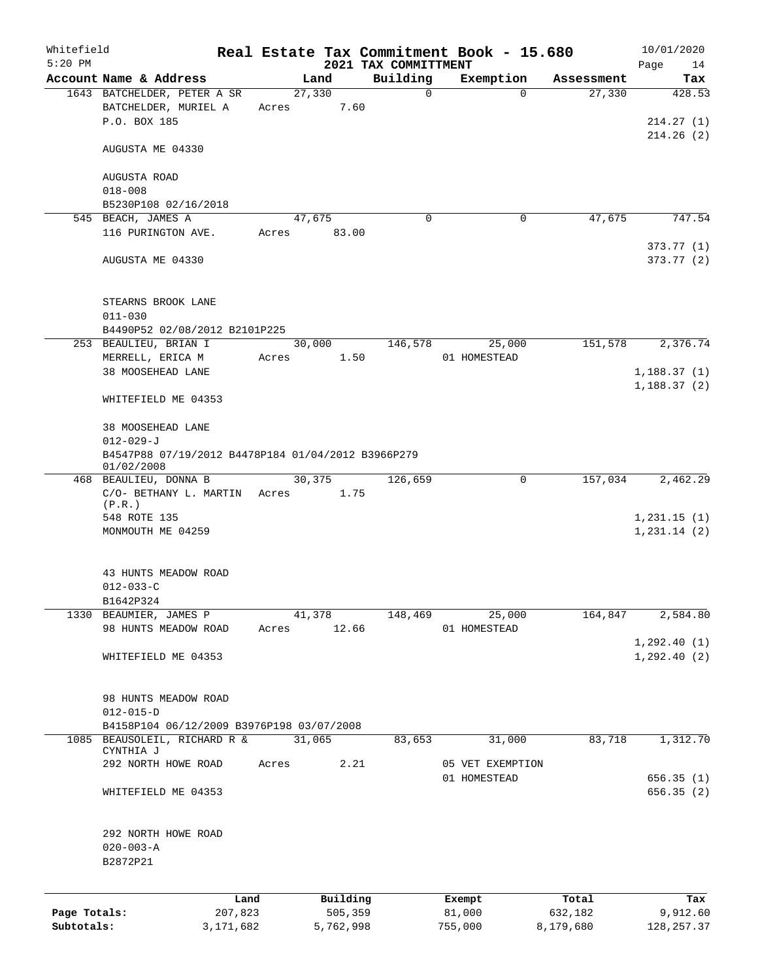| Whitefield   |                                                    |           |       |             |           |                                  | Real Estate Tax Commitment Book - 15.680 |                    | 10/01/2020        |
|--------------|----------------------------------------------------|-----------|-------|-------------|-----------|----------------------------------|------------------------------------------|--------------------|-------------------|
| $5:20$ PM    | Account Name & Address                             |           |       | Land        |           | 2021 TAX COMMITTMENT<br>Building | Exemption                                | Assessment         | Page<br>14<br>Tax |
|              | 1643 BATCHELDER, PETER A SR                        |           |       | 27,330      |           | $\Omega$                         |                                          | 27,330<br>$\Omega$ | 428.53            |
|              | BATCHELDER, MURIEL A                               |           | Acres |             | 7.60      |                                  |                                          |                    |                   |
|              | P.O. BOX 185                                       |           |       |             |           |                                  |                                          |                    | 214.27(1)         |
|              |                                                    |           |       |             |           |                                  |                                          |                    | 214.26(2)         |
|              | AUGUSTA ME 04330                                   |           |       |             |           |                                  |                                          |                    |                   |
|              |                                                    |           |       |             |           |                                  |                                          |                    |                   |
|              | AUGUSTA ROAD<br>$018 - 008$                        |           |       |             |           |                                  |                                          |                    |                   |
|              | B5230P108 02/16/2018                               |           |       |             |           |                                  |                                          |                    |                   |
|              | 545 BEACH, JAMES A                                 |           |       | 47,675      |           | 0                                |                                          | 47,675<br>0        | 747.54            |
|              | 116 PURINGTON AVE.                                 |           |       | Acres 83.00 |           |                                  |                                          |                    |                   |
|              |                                                    |           |       |             |           |                                  |                                          |                    | 373.77(1)         |
|              | AUGUSTA ME 04330                                   |           |       |             |           |                                  |                                          |                    | 373.77 (2)        |
|              |                                                    |           |       |             |           |                                  |                                          |                    |                   |
|              | STEARNS BROOK LANE<br>$011 - 030$                  |           |       |             |           |                                  |                                          |                    |                   |
|              | B4490P52 02/08/2012 B2101P225                      |           |       |             |           |                                  |                                          |                    |                   |
|              | 253 BEAULIEU, BRIAN I                              |           |       | 30,000      |           | 146,578                          | 25,000                                   | 151,578            | 2,376.74          |
|              | MERRELL, ERICA M                                   |           | Acres |             | 1.50      |                                  | 01 HOMESTEAD                             |                    |                   |
|              | 38 MOOSEHEAD LANE                                  |           |       |             |           |                                  |                                          |                    | 1,188.37(1)       |
|              |                                                    |           |       |             |           |                                  |                                          |                    | 1, 188.37(2)      |
|              | WHITEFIELD ME 04353                                |           |       |             |           |                                  |                                          |                    |                   |
|              | 38 MOOSEHEAD LANE                                  |           |       |             |           |                                  |                                          |                    |                   |
|              | $012 - 029 - J$                                    |           |       |             |           |                                  |                                          |                    |                   |
|              | B4547P88 07/19/2012 B4478P184 01/04/2012 B3966P279 |           |       |             |           |                                  |                                          |                    |                   |
|              | 01/02/2008                                         |           |       |             |           |                                  |                                          |                    |                   |
|              | 468 BEAULIEU, DONNA B                              |           |       | 30, 375     | 1.75      | 126,659                          |                                          | 157,034<br>0       | 2,462.29          |
|              | C/O- BETHANY L. MARTIN<br>(P.R.)                   |           | Acres |             |           |                                  |                                          |                    |                   |
|              | 548 ROTE 135                                       |           |       |             |           |                                  |                                          |                    | 1,231.15(1)       |
|              | MONMOUTH ME 04259                                  |           |       |             |           |                                  |                                          |                    | 1, 231.14(2)      |
|              |                                                    |           |       |             |           |                                  |                                          |                    |                   |
|              |                                                    |           |       |             |           |                                  |                                          |                    |                   |
|              | 43 HUNTS MEADOW ROAD<br>$012 - 033 - C$            |           |       |             |           |                                  |                                          |                    |                   |
|              | B1642P324                                          |           |       |             |           |                                  |                                          |                    |                   |
|              | 1330 BEAUMIER, JAMES P                             |           |       | 41,378      |           | 148,469                          | 25,000                                   | 164,847            | 2,584.80          |
|              | 98 HUNTS MEADOW ROAD                               |           | Acres |             | 12.66     |                                  | 01 HOMESTEAD                             |                    |                   |
|              |                                                    |           |       |             |           |                                  |                                          |                    | 1, 292.40(1)      |
|              | WHITEFIELD ME 04353                                |           |       |             |           |                                  |                                          |                    | 1, 292.40(2)      |
|              |                                                    |           |       |             |           |                                  |                                          |                    |                   |
|              | 98 HUNTS MEADOW ROAD                               |           |       |             |           |                                  |                                          |                    |                   |
|              | $012 - 015 - D$                                    |           |       |             |           |                                  |                                          |                    |                   |
|              | B4158P104 06/12/2009 B3976P198 03/07/2008          |           |       |             |           |                                  |                                          |                    |                   |
|              | 1085 BEAUSOLEIL, RICHARD R &                       |           |       | 31,065      |           | 83,653                           | 31,000                                   | 83,718             | 1,312.70          |
|              | CYNTHIA J                                          |           |       |             |           |                                  |                                          |                    |                   |
|              | 292 NORTH HOWE ROAD                                |           | Acres |             | 2.21      |                                  | 05 VET EXEMPTION                         |                    |                   |
|              |                                                    |           |       |             |           |                                  | 01 HOMESTEAD                             |                    | 656.35(1)         |
|              | WHITEFIELD ME 04353                                |           |       |             |           |                                  |                                          |                    | 656.35(2)         |
|              |                                                    |           |       |             |           |                                  |                                          |                    |                   |
|              | 292 NORTH HOWE ROAD<br>$020 - 003 - A$             |           |       |             |           |                                  |                                          |                    |                   |
|              | B2872P21                                           |           |       |             |           |                                  |                                          |                    |                   |
|              |                                                    |           |       |             |           |                                  |                                          |                    |                   |
|              |                                                    | Land      |       |             | Building  |                                  | Exempt                                   | Total              | Tax               |
| Page Totals: |                                                    | 207,823   |       |             | 505,359   |                                  | 81,000                                   | 632,182            | 9,912.60          |
| Subtotals:   |                                                    | 3,171,682 |       |             | 5,762,998 |                                  | 755,000                                  | 8,179,680          | 128, 257.37       |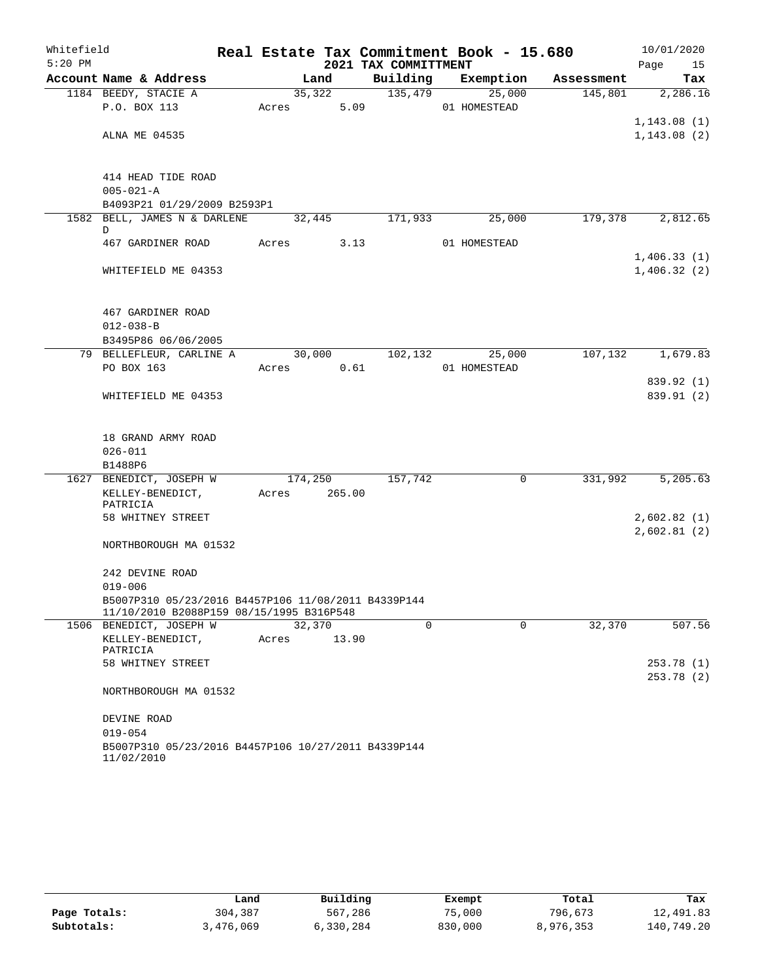| Whitefield |                                                                     |       |        |         |                      | Real Estate Tax Commitment Book - 15.680 |            |      | 10/01/2020  |
|------------|---------------------------------------------------------------------|-------|--------|---------|----------------------|------------------------------------------|------------|------|-------------|
| $5:20$ PM  |                                                                     |       |        |         | 2021 TAX COMMITTMENT |                                          |            | Page | 15          |
|            | Account Name & Address                                              |       | Land   |         | Building             | Exemption                                | Assessment |      | Tax         |
|            | 1184 BEEDY, STACIE A                                                |       | 35,322 |         | 135,479              | 25,000                                   | 145,801    |      | 2,286.16    |
|            | P.O. BOX 113                                                        | Acres |        | 5.09    |                      | 01 HOMESTEAD                             |            |      |             |
|            |                                                                     |       |        |         |                      |                                          |            |      | 1,143.08(1) |
|            | ALNA ME 04535                                                       |       |        |         |                      |                                          |            |      | 1,143.08(2) |
|            |                                                                     |       |        |         |                      |                                          |            |      |             |
|            |                                                                     |       |        |         |                      |                                          |            |      |             |
|            | 414 HEAD TIDE ROAD<br>$005 - 021 - A$                               |       |        |         |                      |                                          |            |      |             |
|            | B4093P21 01/29/2009 B2593P1                                         |       |        |         |                      |                                          |            |      |             |
|            | 1582 BELL, JAMES N & DARLENE                                        |       | 32,445 |         | 171,933              | 25,000                                   | 179,378    |      | 2,812.65    |
|            | D                                                                   |       |        |         |                      |                                          |            |      |             |
|            | 467 GARDINER ROAD                                                   | Acres |        | 3.13    |                      | 01 HOMESTEAD                             |            |      |             |
|            |                                                                     |       |        |         |                      |                                          |            |      | 1,406.33(1) |
|            | WHITEFIELD ME 04353                                                 |       |        |         |                      |                                          |            |      | 1,406.32(2) |
|            |                                                                     |       |        |         |                      |                                          |            |      |             |
|            |                                                                     |       |        |         |                      |                                          |            |      |             |
|            | 467 GARDINER ROAD                                                   |       |        |         |                      |                                          |            |      |             |
|            | $012 - 038 - B$<br>B3495P86 06/06/2005                              |       |        |         |                      |                                          |            |      |             |
|            | 79 BELLEFLEUR, CARLINE A                                            |       |        | 30,000  | 102,132              | 25,000                                   | 107,132    |      | 1,679.83    |
|            | PO BOX 163                                                          | Acres |        | 0.61    |                      | 01 HOMESTEAD                             |            |      |             |
|            |                                                                     |       |        |         |                      |                                          |            |      | 839.92 (1)  |
|            | WHITEFIELD ME 04353                                                 |       |        |         |                      |                                          |            |      | 839.91 (2)  |
|            |                                                                     |       |        |         |                      |                                          |            |      |             |
|            |                                                                     |       |        |         |                      |                                          |            |      |             |
|            | 18 GRAND ARMY ROAD                                                  |       |        |         |                      |                                          |            |      |             |
|            | $026 - 011$                                                         |       |        |         |                      |                                          |            |      |             |
|            | B1488P6                                                             |       |        |         |                      |                                          |            |      |             |
|            | 1627 BENEDICT, JOSEPH W                                             |       |        | 174,250 | 157,742              | 0                                        | 331,992    |      | 5,205.63    |
|            | KELLEY-BENEDICT,<br>PATRICIA                                        | Acres |        | 265.00  |                      |                                          |            |      |             |
|            | 58 WHITNEY STREET                                                   |       |        |         |                      |                                          |            |      | 2,602.82(1) |
|            |                                                                     |       |        |         |                      |                                          |            |      | 2,602.81(2) |
|            | NORTHBOROUGH MA 01532                                               |       |        |         |                      |                                          |            |      |             |
|            |                                                                     |       |        |         |                      |                                          |            |      |             |
|            | 242 DEVINE ROAD                                                     |       |        |         |                      |                                          |            |      |             |
|            | $019 - 006$                                                         |       |        |         |                      |                                          |            |      |             |
|            | B5007P310 05/23/2016 B4457P106 11/08/2011 B4339P144                 |       |        |         |                      |                                          |            |      |             |
|            | 11/10/2010 B2088P159 08/15/1995 B316P548<br>1506 BENEDICT, JOSEPH W |       | 32,370 |         | 0                    | $\Omega$                                 | 32,370     |      | 507.56      |
|            | KELLEY-BENEDICT,                                                    | Acres |        | 13.90   |                      |                                          |            |      |             |
|            | PATRICIA                                                            |       |        |         |                      |                                          |            |      |             |
|            | 58 WHITNEY STREET                                                   |       |        |         |                      |                                          |            |      | 253.78 (1)  |
|            |                                                                     |       |        |         |                      |                                          |            |      | 253.78 (2)  |
|            | NORTHBOROUGH MA 01532                                               |       |        |         |                      |                                          |            |      |             |
|            |                                                                     |       |        |         |                      |                                          |            |      |             |
|            | DEVINE ROAD                                                         |       |        |         |                      |                                          |            |      |             |
|            | $019 - 054$                                                         |       |        |         |                      |                                          |            |      |             |
|            | B5007P310 05/23/2016 B4457P106 10/27/2011 B4339P144                 |       |        |         |                      |                                          |            |      |             |

11/02/2010

|              | Land      | Building  | Exempt  | Total     | Tax        |
|--------------|-----------|-----------|---------|-----------|------------|
| Page Totals: | 304,387   | 567,286   | 75,000  | 796,673   | 12,491.83  |
| Subtotals:   | 3,476,069 | 6,330,284 | 830,000 | 8,976,353 | 140,749.20 |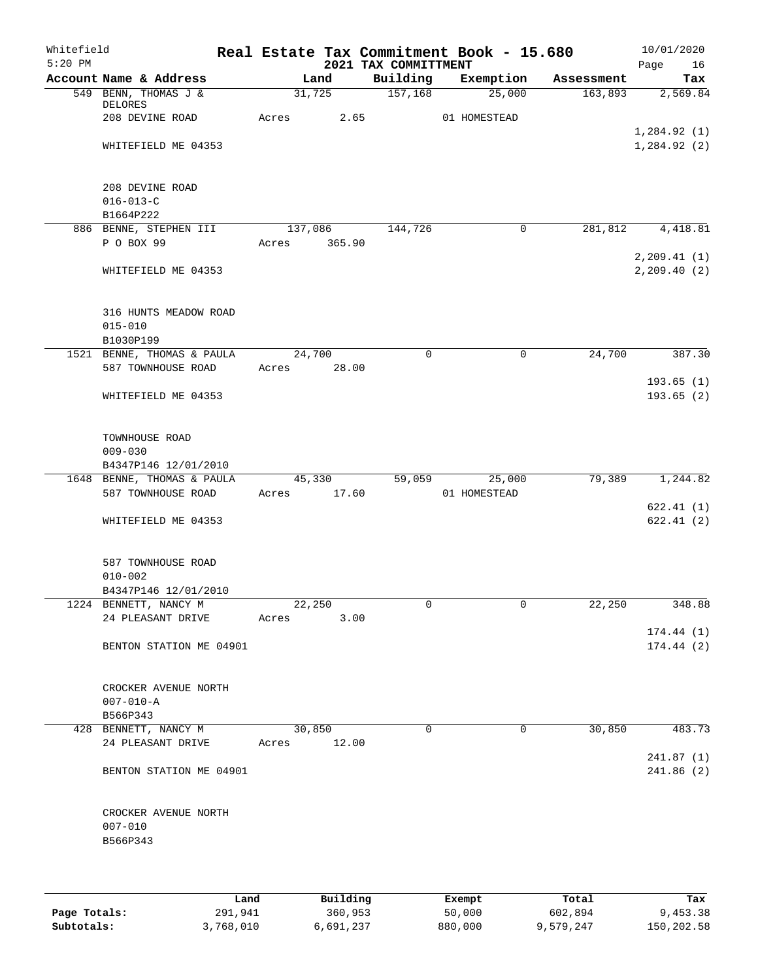| Whitefield<br>$5:20$ PM |                                                           |       |                | 2021 TAX COMMITTMENT | Real Estate Tax Commitment Book - 15.680 |            | 10/01/2020<br>Page<br>16   |
|-------------------------|-----------------------------------------------------------|-------|----------------|----------------------|------------------------------------------|------------|----------------------------|
|                         | Account Name & Address                                    |       | Land           | Building             | Exemption                                | Assessment | Tax                        |
|                         | 549 BENN, THOMAS J &<br>DELORES<br>208 DEVINE ROAD        | Acres | 31,725<br>2.65 | 157,168              | 25,000<br>01 HOMESTEAD                   | 163,893    | 2,569.84                   |
|                         | WHITEFIELD ME 04353                                       |       |                |                      |                                          |            | 1,284.92(1)<br>1,284.92(2) |
|                         | 208 DEVINE ROAD<br>$016 - 013 - C$<br>B1664P222           |       |                |                      |                                          |            |                            |
|                         | 886 BENNE, STEPHEN III                                    |       | 137,086        | 144,726              | 0                                        | 281,812    | 4,418.81                   |
|                         | P O BOX 99                                                | Acres | 365.90         |                      |                                          |            | 2, 209.41(1)               |
|                         | WHITEFIELD ME 04353                                       |       |                |                      |                                          |            | 2, 209.40(2)               |
|                         | 316 HUNTS MEADOW ROAD<br>$015 - 010$<br>B1030P199         |       |                |                      |                                          |            |                            |
|                         | 1521 BENNE, THOMAS & PAULA                                |       | 24,700         | $\mathsf{O}$         | 0                                        | 24,700     | 387.30                     |
|                         | 587 TOWNHOUSE ROAD                                        | Acres | 28.00          |                      |                                          |            |                            |
|                         | WHITEFIELD ME 04353                                       |       |                |                      |                                          |            | 193.65(1)<br>193.65 (2)    |
|                         | TOWNHOUSE ROAD<br>$009 - 030$<br>B4347P146 12/01/2010     |       |                |                      |                                          |            |                            |
|                         | 1648 BENNE, THOMAS & PAULA                                |       | 45,330         | 59,059               | 25,000                                   | 79,389     | 1,244.82                   |
|                         | 587 TOWNHOUSE ROAD                                        | Acres | 17.60          |                      | 01 HOMESTEAD                             |            |                            |
|                         |                                                           |       |                |                      |                                          |            | 622.41(1)                  |
|                         | WHITEFIELD ME 04353                                       |       |                |                      |                                          |            | 622.41(2)                  |
|                         | 587 TOWNHOUSE ROAD<br>$010 - 002$<br>B4347P146 12/01/2010 |       |                |                      |                                          |            |                            |
|                         | 1224 BENNETT, NANCY M                                     |       | 22,250         | 0                    | 0                                        | 22,250     | 348.88                     |
|                         | 24 PLEASANT DRIVE                                         | Acres | 3.00           |                      |                                          |            |                            |
|                         | BENTON STATION ME 04901                                   |       |                |                      |                                          |            | 174.44(1)<br>174.44(2)     |
|                         | CROCKER AVENUE NORTH<br>$007 - 010 - A$<br>B566P343       |       |                |                      |                                          |            |                            |
|                         | 428 BENNETT, NANCY M                                      |       | 30,850         | $\Omega$             | $\Omega$                                 | 30,850     | 483.73                     |
|                         | 24 PLEASANT DRIVE                                         | Acres | 12.00          |                      |                                          |            |                            |
|                         |                                                           |       |                |                      |                                          |            | 241.87 (1)                 |
|                         | BENTON STATION ME 04901                                   |       |                |                      |                                          |            | 241.86 (2)                 |
|                         | CROCKER AVENUE NORTH<br>$007 - 010$<br>B566P343           |       |                |                      |                                          |            |                            |
|                         |                                                           |       |                |                      |                                          |            |                            |

|              | Land      | Building  | Exempt  | Total     | Tax        |
|--------------|-----------|-----------|---------|-----------|------------|
| Page Totals: | 291,941   | 360,953   | 50,000  | 602,894   | 9,453.38   |
| Subtotals:   | 3,768,010 | 6,691,237 | 880,000 | 9,579,247 | 150,202.58 |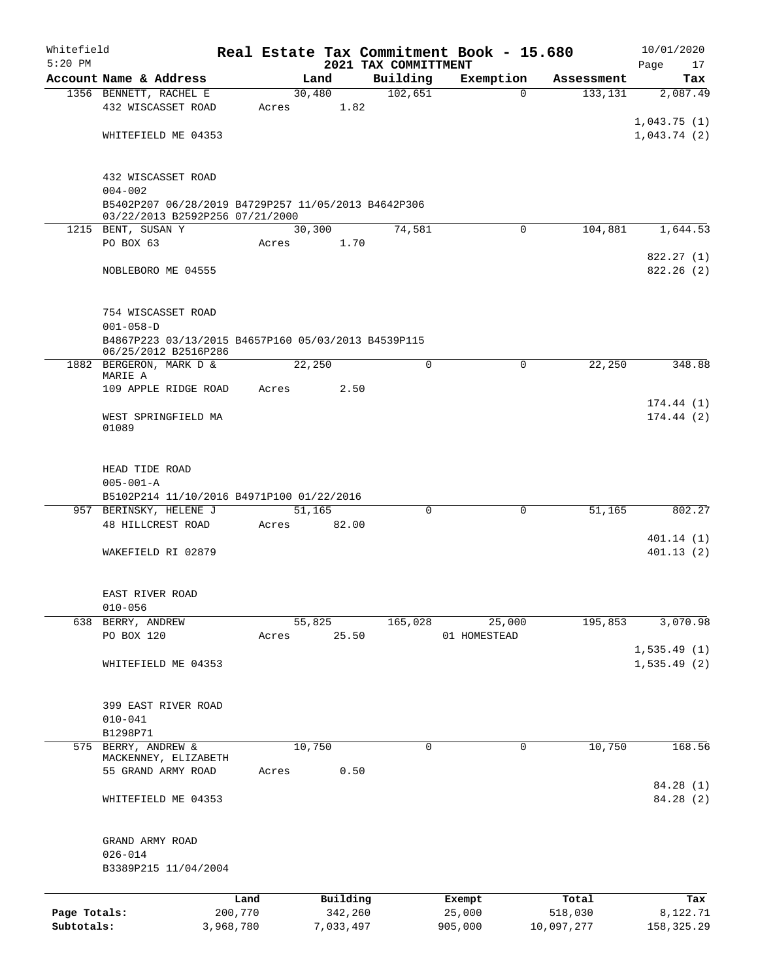| Whitefield<br>$5:20$ PM    |                                                                                        |                      |       |                      |                                  | Real Estate Tax Commitment Book - 15.680 |                       | 10/01/2020              |
|----------------------------|----------------------------------------------------------------------------------------|----------------------|-------|----------------------|----------------------------------|------------------------------------------|-----------------------|-------------------------|
|                            | Account Name & Address                                                                 |                      |       | Land                 | 2021 TAX COMMITTMENT<br>Building | Exemption                                | Assessment            | Page<br>17<br>Tax       |
|                            | 1356 BENNETT, RACHEL E                                                                 |                      |       | 30,480               | 102,651                          |                                          | 133,131<br>$\Omega$   | 2,087.49                |
|                            | 432 WISCASSET ROAD                                                                     |                      | Acres | 1.82                 |                                  |                                          |                       |                         |
|                            |                                                                                        |                      |       |                      |                                  |                                          |                       | 1,043.75(1)             |
|                            | WHITEFIELD ME 04353                                                                    |                      |       |                      |                                  |                                          |                       | 1,043.74(2)             |
|                            |                                                                                        |                      |       |                      |                                  |                                          |                       |                         |
|                            |                                                                                        |                      |       |                      |                                  |                                          |                       |                         |
|                            | 432 WISCASSET ROAD                                                                     |                      |       |                      |                                  |                                          |                       |                         |
|                            | $004 - 002$                                                                            |                      |       |                      |                                  |                                          |                       |                         |
|                            | B5402P207 06/28/2019 B4729P257 11/05/2013 B4642P306<br>03/22/2013 B2592P256 07/21/2000 |                      |       |                      |                                  |                                          |                       |                         |
|                            | 1215 BENT, SUSAN Y                                                                     |                      |       | 30,300               | 74,581                           |                                          | $\Omega$<br>104,881   | 1,644.53                |
|                            | PO BOX 63                                                                              |                      | Acres | 1.70                 |                                  |                                          |                       |                         |
|                            |                                                                                        |                      |       |                      |                                  |                                          |                       | 822.27(1)               |
|                            | NOBLEBORO ME 04555                                                                     |                      |       |                      |                                  |                                          |                       | 822.26(2)               |
|                            |                                                                                        |                      |       |                      |                                  |                                          |                       |                         |
|                            |                                                                                        |                      |       |                      |                                  |                                          |                       |                         |
|                            | 754 WISCASSET ROAD                                                                     |                      |       |                      |                                  |                                          |                       |                         |
|                            | $001 - 058 - D$                                                                        |                      |       |                      |                                  |                                          |                       |                         |
|                            | B4867P223 03/13/2015 B4657P160 05/03/2013 B4539P115<br>06/25/2012 B2516P286            |                      |       |                      |                                  |                                          |                       |                         |
|                            | 1882 BERGERON, MARK D &                                                                |                      |       | 22,250               |                                  | 0                                        | $\mathbf 0$<br>22,250 | 348.88                  |
|                            | MARIE A                                                                                |                      |       |                      |                                  |                                          |                       |                         |
|                            | 109 APPLE RIDGE ROAD                                                                   |                      | Acres | 2.50                 |                                  |                                          |                       |                         |
|                            |                                                                                        |                      |       |                      |                                  |                                          |                       | 174.44(1)               |
|                            | WEST SPRINGFIELD MA                                                                    |                      |       |                      |                                  |                                          |                       | 174.44(2)               |
|                            | 01089                                                                                  |                      |       |                      |                                  |                                          |                       |                         |
|                            |                                                                                        |                      |       |                      |                                  |                                          |                       |                         |
|                            | HEAD TIDE ROAD                                                                         |                      |       |                      |                                  |                                          |                       |                         |
|                            | $005 - 001 - A$                                                                        |                      |       |                      |                                  |                                          |                       |                         |
|                            | B5102P214 11/10/2016 B4971P100 01/22/2016                                              |                      |       |                      |                                  |                                          |                       |                         |
|                            | 957 BERINSKY, HELENE J                                                                 |                      |       | 51,165               |                                  | $\mathbf 0$<br>0                         | 51,165                | 802.27                  |
|                            | 48 HILLCREST ROAD                                                                      |                      | Acres | 82.00                |                                  |                                          |                       |                         |
|                            |                                                                                        |                      |       |                      |                                  |                                          |                       | 401.14(1)               |
|                            | WAKEFIELD RI 02879                                                                     |                      |       |                      |                                  |                                          |                       | 401.13(2)               |
|                            |                                                                                        |                      |       |                      |                                  |                                          |                       |                         |
|                            |                                                                                        |                      |       |                      |                                  |                                          |                       |                         |
|                            | EAST RIVER ROAD<br>$010 - 056$                                                         |                      |       |                      |                                  |                                          |                       |                         |
| 638                        | BERRY, ANDREW                                                                          |                      |       | 55,825               | 165,028                          | 25,000                                   | 195,853               | 3,070.98                |
|                            | PO BOX 120                                                                             |                      | Acres | 25.50                |                                  | 01 HOMESTEAD                             |                       |                         |
|                            |                                                                                        |                      |       |                      |                                  |                                          |                       | 1,535.49(1)             |
|                            | WHITEFIELD ME 04353                                                                    |                      |       |                      |                                  |                                          |                       | 1,535.49(2)             |
|                            |                                                                                        |                      |       |                      |                                  |                                          |                       |                         |
|                            |                                                                                        |                      |       |                      |                                  |                                          |                       |                         |
|                            | 399 EAST RIVER ROAD                                                                    |                      |       |                      |                                  |                                          |                       |                         |
|                            | $010 - 041$                                                                            |                      |       |                      |                                  |                                          |                       |                         |
|                            | B1298P71<br>575 BERRY, ANDREW &                                                        |                      |       | 10,750               |                                  | $\mathbf 0$                              | 0                     | 168.56                  |
|                            | MACKENNEY, ELIZABETH                                                                   |                      |       |                      |                                  |                                          | 10,750                |                         |
|                            | 55 GRAND ARMY ROAD                                                                     |                      | Acres | 0.50                 |                                  |                                          |                       |                         |
|                            |                                                                                        |                      |       |                      |                                  |                                          |                       | 84.28 (1)               |
|                            | WHITEFIELD ME 04353                                                                    |                      |       |                      |                                  |                                          |                       | 84.28 (2)               |
|                            |                                                                                        |                      |       |                      |                                  |                                          |                       |                         |
|                            |                                                                                        |                      |       |                      |                                  |                                          |                       |                         |
|                            | GRAND ARMY ROAD                                                                        |                      |       |                      |                                  |                                          |                       |                         |
|                            | $026 - 014$                                                                            |                      |       |                      |                                  |                                          |                       |                         |
|                            | B3389P215 11/04/2004                                                                   |                      |       |                      |                                  |                                          |                       |                         |
|                            |                                                                                        |                      |       |                      |                                  |                                          |                       |                         |
|                            |                                                                                        | Land                 |       | Building             |                                  | Exempt                                   | Total                 | Tax                     |
| Page Totals:<br>Subtotals: |                                                                                        | 200,770<br>3,968,780 |       | 342,260<br>7,033,497 |                                  | 25,000<br>905,000                        | 518,030<br>10,097,277 | 8,122.71<br>158, 325.29 |
|                            |                                                                                        |                      |       |                      |                                  |                                          |                       |                         |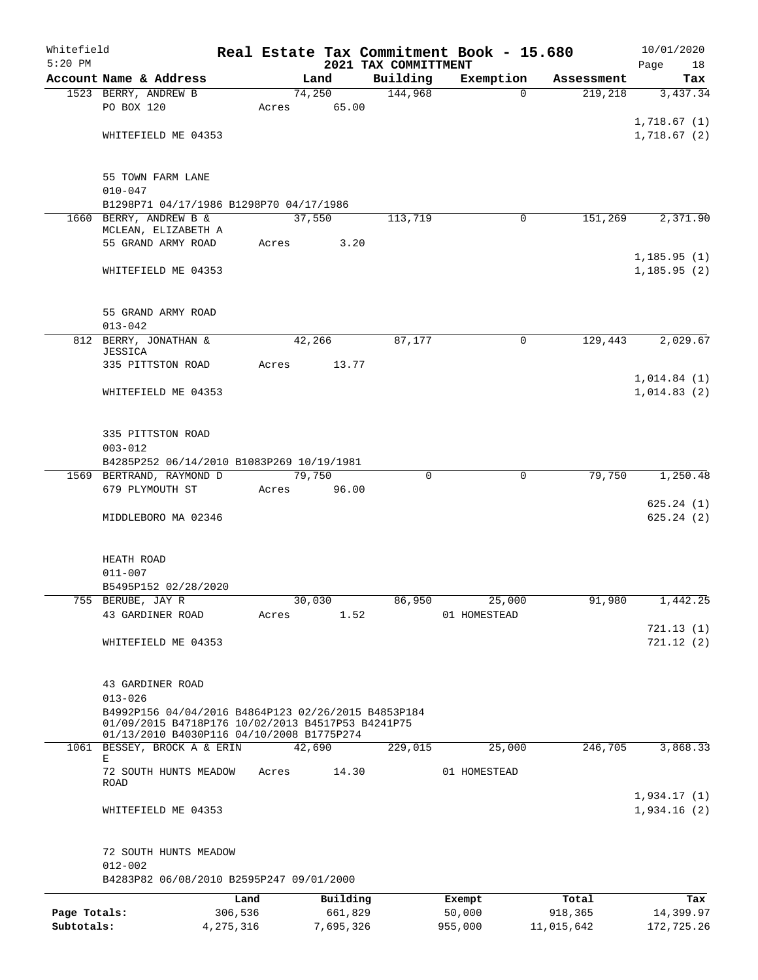| Whitefield<br>$5:20$ PM |                                                                                                          |           |                 |             | 2021 TAX COMMITTMENT | Real Estate Tax Commitment Book - 15.680 |            | 10/01/2020<br>Page<br>18 |
|-------------------------|----------------------------------------------------------------------------------------------------------|-----------|-----------------|-------------|----------------------|------------------------------------------|------------|--------------------------|
|                         | Account Name & Address                                                                                   |           |                 | Land        | Building             | Exemption                                | Assessment | Tax                      |
|                         | 1523 BERRY, ANDREW B                                                                                     |           |                 | 74,250      | 144,968              | $\Omega$                                 | 219,218    | 3,437.34                 |
|                         | PO BOX 120                                                                                               |           |                 | Acres 65.00 |                      |                                          |            |                          |
|                         |                                                                                                          |           |                 |             |                      |                                          |            | 1,718.67(1)              |
|                         | WHITEFIELD ME 04353                                                                                      |           |                 |             |                      |                                          |            | 1,718.67(2)              |
|                         |                                                                                                          |           |                 |             |                      |                                          |            |                          |
|                         | 55 TOWN FARM LANE                                                                                        |           |                 |             |                      |                                          |            |                          |
|                         | $010 - 047$                                                                                              |           |                 |             |                      |                                          |            |                          |
|                         | B1298P71 04/17/1986 B1298P70 04/17/1986                                                                  |           |                 |             |                      |                                          |            |                          |
|                         | 1660 BERRY, ANDREW B &<br>MCLEAN, ELIZABETH A                                                            |           |                 | 37,550      | 113,719              | $\Omega$                                 | 151,269    | 2,371.90                 |
|                         | 55 GRAND ARMY ROAD                                                                                       |           | Acres           | 3.20        |                      |                                          |            |                          |
|                         |                                                                                                          |           |                 |             |                      |                                          |            | 1, 185.95(1)             |
|                         | WHITEFIELD ME 04353                                                                                      |           |                 |             |                      |                                          |            | 1, 185.95(2)             |
|                         |                                                                                                          |           |                 |             |                      |                                          |            |                          |
|                         | 55 GRAND ARMY ROAD                                                                                       |           |                 |             |                      |                                          |            |                          |
|                         | $013 - 042$                                                                                              |           |                 |             |                      |                                          |            |                          |
|                         | 812 BERRY, JONATHAN &<br><b>JESSICA</b>                                                                  |           |                 | 42,266      | 87,177               | 0                                        | 129,443    | 2,029.67                 |
|                         | 335 PITTSTON ROAD                                                                                        |           |                 | Acres 13.77 |                      |                                          |            |                          |
|                         |                                                                                                          |           |                 |             |                      |                                          |            | 1,014.84(1)              |
|                         | WHITEFIELD ME 04353                                                                                      |           |                 |             |                      |                                          |            | 1,014.83(2)              |
|                         |                                                                                                          |           |                 |             |                      |                                          |            |                          |
|                         |                                                                                                          |           |                 |             |                      |                                          |            |                          |
|                         | 335 PITTSTON ROAD                                                                                        |           |                 |             |                      |                                          |            |                          |
|                         | $003 - 012$                                                                                              |           |                 |             |                      |                                          |            |                          |
|                         | B4285P252 06/14/2010 B1083P269 10/19/1981                                                                |           |                 |             |                      |                                          |            |                          |
|                         | 1569 BERTRAND, RAYMOND D<br>679 PLYMOUTH ST                                                              |           | 79,750<br>Acres | 96.00       | 0                    | $\mathbf 0$                              | 79,750     | 1,250.48                 |
|                         |                                                                                                          |           |                 |             |                      |                                          |            | 625.24(1)                |
|                         | MIDDLEBORO MA 02346                                                                                      |           |                 |             |                      |                                          |            | 625.24(2)                |
|                         |                                                                                                          |           |                 |             |                      |                                          |            |                          |
|                         | HEATH ROAD<br>$011 - 007$                                                                                |           |                 |             |                      |                                          |            |                          |
|                         | B5495P152 02/28/2020                                                                                     |           |                 |             |                      |                                          |            |                          |
|                         | 755 BERUBE, JAY R                                                                                        |           |                 | 30,030      | 86,950               | 25,000                                   | 91,980     | 1,442.25                 |
|                         | 43 GARDINER ROAD                                                                                         |           | Acres           | 1.52        |                      | 01 HOMESTEAD                             |            |                          |
|                         |                                                                                                          |           |                 |             |                      |                                          |            | 721.13(1)                |
|                         | WHITEFIELD ME 04353                                                                                      |           |                 |             |                      |                                          |            | 721.12(2)                |
|                         |                                                                                                          |           |                 |             |                      |                                          |            |                          |
|                         | 43 GARDINER ROAD                                                                                         |           |                 |             |                      |                                          |            |                          |
|                         | $013 - 026$                                                                                              |           |                 |             |                      |                                          |            |                          |
|                         | B4992P156 04/04/2016 B4864P123 02/26/2015 B4853P184<br>01/09/2015 B4718P176 10/02/2013 B4517P53 B4241P75 |           |                 |             |                      |                                          |            |                          |
|                         | 01/13/2010 B4030P116 04/10/2008 B1775P274                                                                |           |                 |             |                      |                                          |            |                          |
|                         | 1061 BESSEY, BROCK A & ERIN                                                                              |           |                 | 42,690      | 229,015              | 25,000                                   | 246,705    | 3,868.33                 |
|                         | E.<br>72 SOUTH HUNTS MEADOW                                                                              |           |                 | 14.30       |                      | 01 HOMESTEAD                             |            |                          |
|                         | ROAD                                                                                                     |           | Acres           |             |                      |                                          |            |                          |
|                         |                                                                                                          |           |                 |             |                      |                                          |            | 1,934.17(1)              |
|                         | WHITEFIELD ME 04353                                                                                      |           |                 |             |                      |                                          |            | 1,934.16(2)              |
|                         | 72 SOUTH HUNTS MEADOW                                                                                    |           |                 |             |                      |                                          |            |                          |
|                         | $012 - 002$                                                                                              |           |                 |             |                      |                                          |            |                          |
|                         | B4283P82 06/08/2010 B2595P247 09/01/2000                                                                 |           |                 |             |                      |                                          |            |                          |
|                         |                                                                                                          | Land      |                 | Building    |                      | Exempt                                   | Total      | Tax                      |
| Page Totals:            |                                                                                                          | 306,536   |                 | 661,829     |                      | 50,000                                   | 918,365    | 14,399.97                |
| Subtotals:              |                                                                                                          | 4,275,316 |                 | 7,695,326   |                      | 955,000                                  | 11,015,642 | 172,725.26               |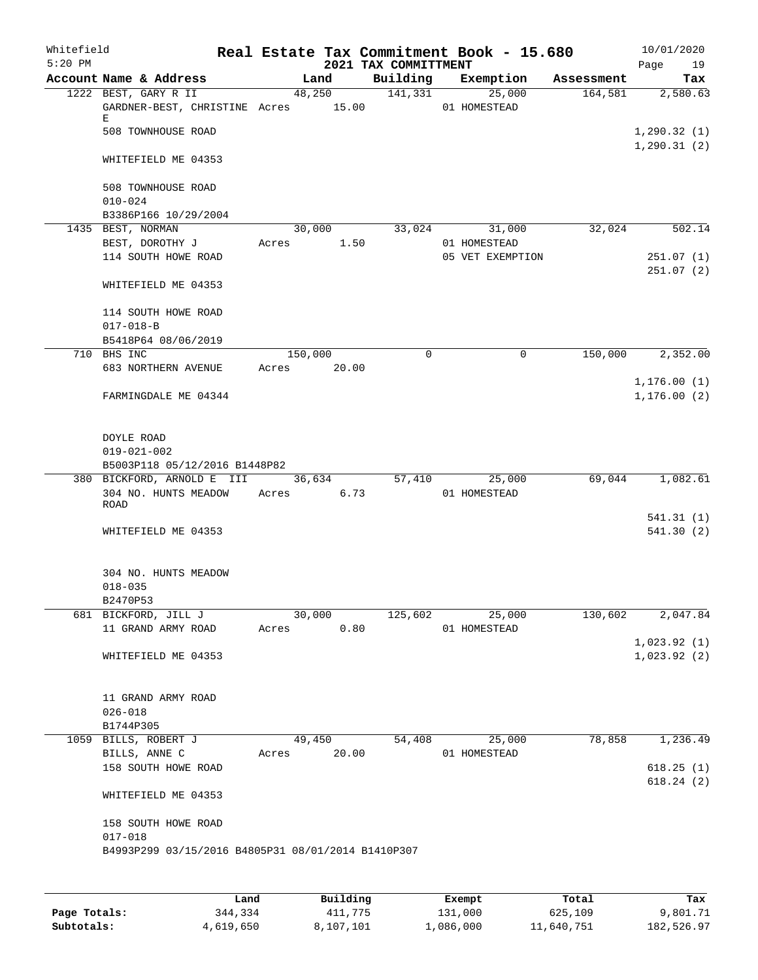| Whitefield<br>$5:20$ PM |                                                                                          |       |         |             | 2021 TAX COMMITTMENT |               |              | Real Estate Tax Commitment Book - 15.680 |            | Page                        | 10/01/2020<br>19        |
|-------------------------|------------------------------------------------------------------------------------------|-------|---------|-------------|----------------------|---------------|--------------|------------------------------------------|------------|-----------------------------|-------------------------|
|                         | Account Name & Address                                                                   |       | Land    |             |                      | Building      |              | Exemption                                | Assessment |                             | Tax                     |
|                         | 1222 BEST, GARY R II<br>GARDNER-BEST, CHRISTINE Acres 15.00<br>Е<br>508 TOWNHOUSE ROAD   |       |         | 48,250      |                      | 141,331       | 01 HOMESTEAD | 25,000                                   | 164,581    | 1,290.32(1)<br>1, 290.31(2) | 2,580.63                |
|                         | WHITEFIELD ME 04353                                                                      |       |         |             |                      |               |              |                                          |            |                             |                         |
|                         | 508 TOWNHOUSE ROAD<br>$010 - 024$                                                        |       |         |             |                      |               |              |                                          |            |                             |                         |
|                         | B3386P166 10/29/2004                                                                     |       |         |             |                      |               |              |                                          |            |                             |                         |
|                         | 1435 BEST, NORMAN                                                                        |       | 30,000  |             |                      | 33,024        |              | 31,000                                   | 32,024     |                             | 502.14                  |
|                         | BEST, DOROTHY J<br>114 SOUTH HOWE ROAD                                                   | Acres |         | 1.50        |                      |               | 01 HOMESTEAD | 05 VET EXEMPTION                         |            |                             | 251.07(1)<br>251.07(2)  |
|                         | WHITEFIELD ME 04353                                                                      |       |         |             |                      |               |              |                                          |            |                             |                         |
|                         | 114 SOUTH HOWE ROAD<br>$017 - 018 - B$                                                   |       |         |             |                      |               |              |                                          |            |                             |                         |
|                         | B5418P64 08/06/2019                                                                      |       |         |             |                      |               |              |                                          |            |                             |                         |
|                         | 710 BHS INC                                                                              |       | 150,000 |             |                      | 0             |              | 0                                        | 150,000    |                             | 2,352.00                |
|                         | 683 NORTHERN AVENUE                                                                      | Acres |         | 20.00       |                      |               |              |                                          |            |                             |                         |
|                         |                                                                                          |       |         |             |                      |               |              |                                          |            | 1, 176.00(1)                |                         |
|                         | FARMINGDALE ME 04344                                                                     |       |         |             |                      |               |              |                                          |            | 1, 176.00(2)                |                         |
|                         | DOYLE ROAD<br>$019 - 021 - 002$<br>B5003P118 05/12/2016 B1448P82                         |       |         |             |                      |               |              |                                          |            |                             |                         |
|                         | 380 BICKFORD, ARNOLD E III                                                               |       |         | 36,634      |                      | 57,410        |              | 25,000                                   | 69,044     |                             | 1,082.61                |
|                         | 304 NO. HUNTS MEADOW<br>ROAD                                                             | Acres |         | 6.73        |                      |               | 01 HOMESTEAD |                                          |            |                             |                         |
|                         | WHITEFIELD ME 04353                                                                      |       |         |             |                      |               |              |                                          |            |                             | 541.31(1)<br>541.30 (2) |
|                         | 304 NO. HUNTS MEADOW<br>$018 - 035$<br>B2470P53                                          |       |         |             |                      |               |              |                                          |            |                             |                         |
|                         | 681 BICKFORD, JILL J                                                                     |       |         |             | 30,000 125,602       |               |              | 25,000                                   | 130,602    |                             | 2,047.84                |
|                         | 11 GRAND ARMY ROAD                                                                       |       |         | Acres 0.80  |                      | 01 HOMESTEAD  |              |                                          |            | 1,023.92(1)                 |                         |
|                         | WHITEFIELD ME 04353                                                                      |       |         |             |                      |               |              |                                          |            | 1,023.92(2)                 |                         |
|                         | 11 GRAND ARMY ROAD<br>$026 - 018$                                                        |       |         |             |                      |               |              |                                          |            |                             |                         |
|                         | B1744P305                                                                                |       |         |             |                      |               |              |                                          |            |                             |                         |
|                         | 1059 BILLS, ROBERT J                                                                     |       |         | 49,450      |                      | 54,408 25,000 |              |                                          | 78,858     |                             | 1,236.49                |
|                         | BILLS, ANNE C<br>158 SOUTH HOWE ROAD                                                     |       |         | Acres 20.00 |                      |               | 01 HOMESTEAD |                                          |            |                             | 618.25(1)<br>618.24(2)  |
|                         | WHITEFIELD ME 04353                                                                      |       |         |             |                      |               |              |                                          |            |                             |                         |
|                         | 158 SOUTH HOWE ROAD<br>$017 - 018$<br>B4993P299 03/15/2016 B4805P31 08/01/2014 B1410P307 |       |         |             |                      |               |              |                                          |            |                             |                         |
|                         |                                                                                          |       |         |             |                      |               |              |                                          |            |                             |                         |

|              | Land      | Building  | Exempt    | Total      | Tax        |
|--------------|-----------|-----------|-----------|------------|------------|
| Page Totals: | 344,334   | 411,775   | 131,000   | 625,109    | 9,801.71   |
| Subtotals:   | 4,619,650 | 8,107,101 | 1,086,000 | 11,640,751 | 182,526.97 |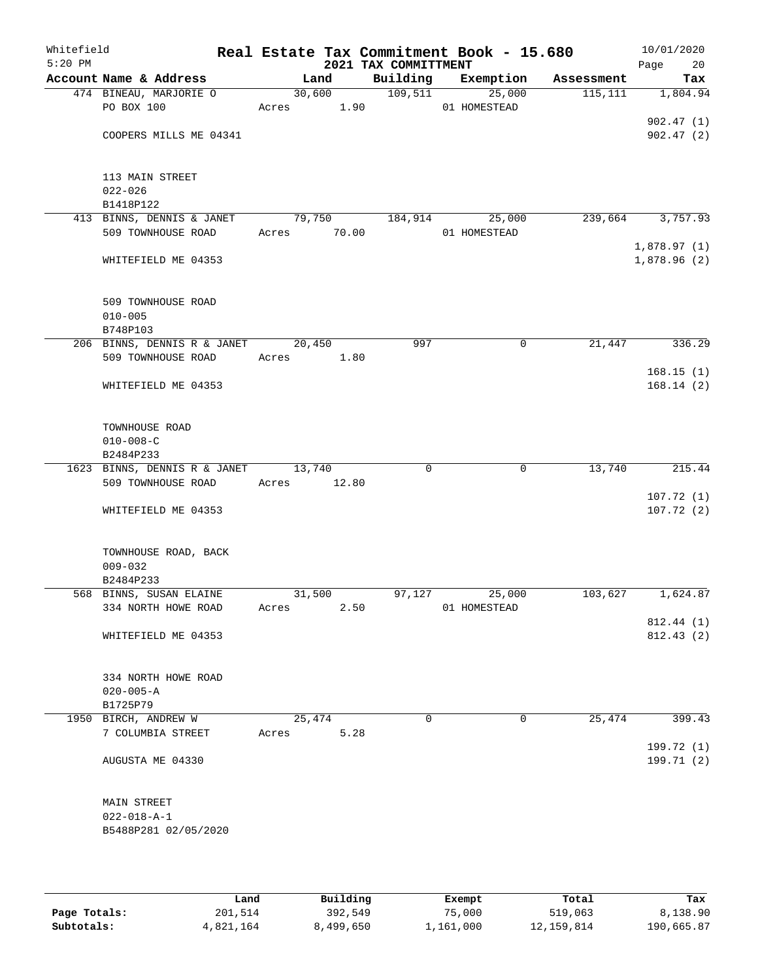| Whitefield<br>$5:20$ PM |                                                |                | 2021 TAX COMMITTMENT | Real Estate Tax Commitment Book - 15.680 |            | 10/01/2020<br>Page<br>20   |
|-------------------------|------------------------------------------------|----------------|----------------------|------------------------------------------|------------|----------------------------|
|                         | Account Name & Address                         | Land           | Building             | Exemption                                | Assessment | Tax                        |
|                         | 474 BINEAU, MARJORIE O                         | 30,600         | 109,511              | 25,000                                   | 115,111    | 1,804.94                   |
|                         | PO BOX 100                                     | Acres 1.90     |                      | 01 HOMESTEAD                             |            |                            |
|                         |                                                |                |                      |                                          |            | 902.47(1)                  |
|                         | COOPERS MILLS ME 04341                         |                |                      |                                          |            | 902.47(2)                  |
|                         | 113 MAIN STREET                                |                |                      |                                          |            |                            |
|                         | $022 - 026$                                    |                |                      |                                          |            |                            |
|                         | B1418P122                                      |                |                      |                                          |            |                            |
|                         | 413 BINNS, DENNIS & JANET                      | 79,750         | 184,914              | 25,000                                   | 239,664    | 3,757.93                   |
|                         | 509 TOWNHOUSE ROAD                             | Acres<br>70.00 |                      | 01 HOMESTEAD                             |            |                            |
|                         | WHITEFIELD ME 04353                            |                |                      |                                          |            | 1,878.97(1)<br>1,878.96(2) |
|                         | 509 TOWNHOUSE ROAD                             |                |                      |                                          |            |                            |
|                         | $010 - 005$                                    |                |                      |                                          |            |                            |
|                         | B748P103                                       |                |                      |                                          |            |                            |
|                         | 206 BINNS, DENNIS R & JANET                    | 20,450         | 997                  | 0                                        | 21,447     | 336.29                     |
|                         | 509 TOWNHOUSE ROAD                             | 1.80<br>Acres  |                      |                                          |            |                            |
|                         |                                                |                |                      |                                          |            | 168.15(1)                  |
|                         | WHITEFIELD ME 04353                            |                |                      |                                          |            | 168.14(2)                  |
|                         | TOWNHOUSE ROAD                                 |                |                      |                                          |            |                            |
|                         | $010 - 008 - C$                                |                |                      |                                          |            |                            |
|                         | B2484P233                                      |                |                      |                                          |            |                            |
|                         | 1623 BINNS, DENNIS R & JANET                   | 13,740         | $\Omega$             | $\mathbf 0$                              | 13,740     | 215.44                     |
|                         | 509 TOWNHOUSE ROAD                             | 12.80<br>Acres |                      |                                          |            |                            |
|                         |                                                |                |                      |                                          |            | 107.72(1)                  |
|                         | WHITEFIELD ME 04353                            |                |                      |                                          |            | 107.72(2)                  |
|                         | TOWNHOUSE ROAD, BACK                           |                |                      |                                          |            |                            |
|                         | $009 - 032$                                    |                |                      |                                          |            |                            |
|                         | B2484P233                                      | 31,500         |                      |                                          |            | 1,624.87                   |
|                         | 568 BINNS, SUSAN ELAINE<br>334 NORTH HOWE ROAD | Acres          | 97,127<br>2.50       | 25,000<br>01 HOMESTEAD                   | 103,627    |                            |
|                         |                                                |                |                      |                                          |            | 812.44 (1)                 |
|                         | WHITEFIELD ME 04353                            |                |                      |                                          |            | 812.43(2)                  |
|                         |                                                |                |                      |                                          |            |                            |
|                         | 334 NORTH HOWE ROAD<br>$020 - 005 - A$         |                |                      |                                          |            |                            |
|                         | B1725P79                                       |                |                      |                                          |            |                            |
|                         | 1950 BIRCH, ANDREW W                           | 25,474         | 0                    | $\Omega$                                 | 25,474     | 399.43                     |
|                         | 7 COLUMBIA STREET                              | Acres          | 5.28                 |                                          |            |                            |
|                         |                                                |                |                      |                                          |            | 199.72 (1)                 |
|                         | AUGUSTA ME 04330                               |                |                      |                                          |            | 199.71 (2)                 |
|                         | MAIN STREET                                    |                |                      |                                          |            |                            |
|                         | $022 - 018 - A - 1$                            |                |                      |                                          |            |                            |
|                         | B5488P281 02/05/2020                           |                |                      |                                          |            |                            |
|                         |                                                |                |                      |                                          |            |                            |
|                         |                                                |                |                      |                                          |            |                            |

|              | Land      | Building  | Exempt    | Total      | Tax        |
|--------------|-----------|-----------|-----------|------------|------------|
| Page Totals: | 201,514   | 392,549   | 75,000    | 519,063    | 8,138.90   |
| Subtotals:   | 4,821,164 | 8,499,650 | 1,161,000 | 12,159,814 | 190,665.87 |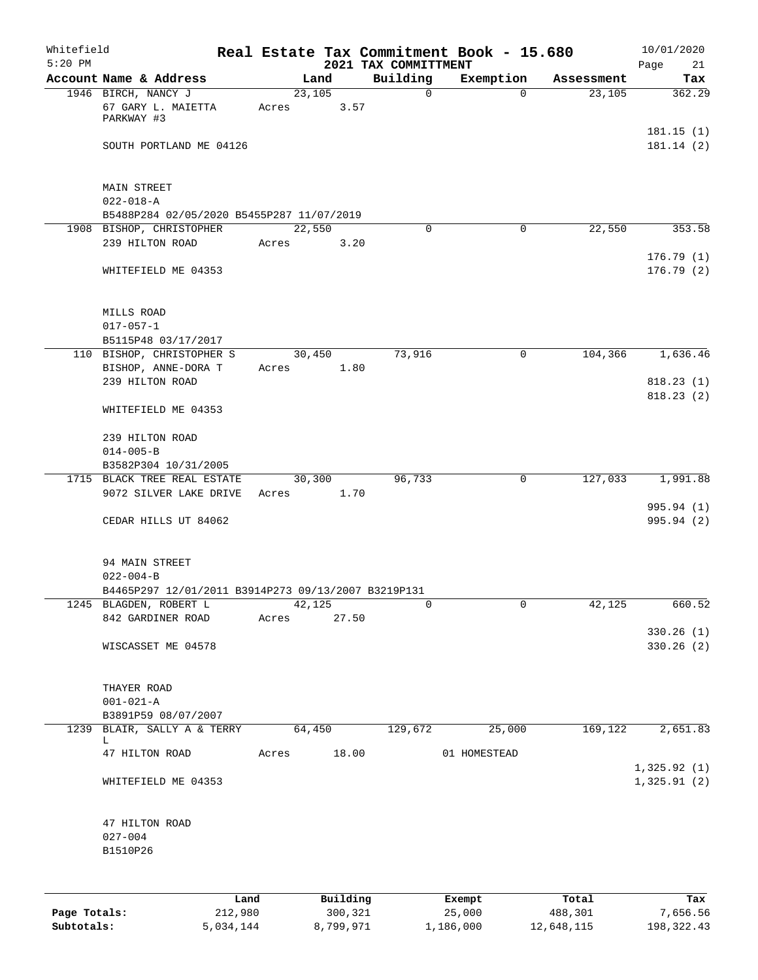| Whitefield<br>$5:20$ PM |                                                     |      |       |        |          | 2021 TAX COMMITTMENT |              | Real Estate Tax Commitment Book - 15.680 |            | 10/01/2020<br>Page<br>21 |
|-------------------------|-----------------------------------------------------|------|-------|--------|----------|----------------------|--------------|------------------------------------------|------------|--------------------------|
|                         | Account Name & Address                              |      |       | Land   |          | Building             |              | Exemption                                | Assessment | Tax                      |
|                         | 1946 BIRCH, NANCY J                                 |      |       | 23,105 |          |                      | $\mathsf{O}$ | $\Omega$                                 | 23,105     | 362.29                   |
|                         | 67 GARY L. MAIETTA<br>PARKWAY #3                    |      | Acres |        | 3.57     |                      |              |                                          |            |                          |
|                         | SOUTH PORTLAND ME 04126                             |      |       |        |          |                      |              |                                          |            | 181.15(1)<br>181.14(2)   |
|                         | MAIN STREET                                         |      |       |        |          |                      |              |                                          |            |                          |
|                         | $022 - 018 - A$                                     |      |       |        |          |                      |              |                                          |            |                          |
|                         | B5488P284 02/05/2020 B5455P287 11/07/2019           |      |       |        |          |                      |              |                                          |            |                          |
|                         | 1908 BISHOP, CHRISTOPHER                            |      |       | 22,550 |          |                      | $\Omega$     | $\Omega$                                 | 22,550     | 353.58                   |
|                         | 239 HILTON ROAD                                     |      | Acres |        | 3.20     |                      |              |                                          |            | 176.79(1)                |
|                         | WHITEFIELD ME 04353                                 |      |       |        |          |                      |              |                                          |            | 176.79(2)                |
|                         | MILLS ROAD                                          |      |       |        |          |                      |              |                                          |            |                          |
|                         | $017 - 057 - 1$                                     |      |       |        |          |                      |              |                                          |            |                          |
|                         | B5115P48 03/17/2017                                 |      |       |        |          |                      |              |                                          |            |                          |
|                         | 110 BISHOP, CHRISTOPHER S                           |      |       | 30,450 |          |                      | 73,916       | 0                                        | 104,366    | 1,636.46                 |
|                         | BISHOP, ANNE-DORA T                                 |      | Acres |        | 1.80     |                      |              |                                          |            |                          |
|                         | 239 HILTON ROAD                                     |      |       |        |          |                      |              |                                          |            | 818.23(1)                |
|                         | WHITEFIELD ME 04353                                 |      |       |        |          |                      |              |                                          |            | 818.23(2)                |
|                         | 239 HILTON ROAD                                     |      |       |        |          |                      |              |                                          |            |                          |
|                         | $014 - 005 - B$                                     |      |       |        |          |                      |              |                                          |            |                          |
|                         | B3582P304 10/31/2005                                |      |       |        |          |                      |              |                                          |            |                          |
|                         | 1715 BLACK TREE REAL ESTATE                         |      |       | 30,300 |          |                      | 96,733       | $\mathsf{O}$                             | 127,033    | 1,991.88                 |
|                         | 9072 SILVER LAKE DRIVE                              |      | Acres |        | 1.70     |                      |              |                                          |            | 995.94 (1)               |
|                         | CEDAR HILLS UT 84062                                |      |       |        |          |                      |              |                                          |            | 995.94 (2)               |
|                         | 94 MAIN STREET                                      |      |       |        |          |                      |              |                                          |            |                          |
|                         | $022 - 004 - B$                                     |      |       |        |          |                      |              |                                          |            |                          |
|                         | B4465P297 12/01/2011 B3914P273 09/13/2007 B3219P131 |      |       |        |          |                      |              |                                          |            |                          |
|                         | 1245 BLAGDEN, ROBERT L                              |      |       | 42,125 |          |                      | 0            | 0                                        | 42,125     | 660.52                   |
|                         | 842 GARDINER ROAD                                   |      | Acres |        | 27.50    |                      |              |                                          |            | 330.26(1)                |
|                         | WISCASSET ME 04578                                  |      |       |        |          |                      |              |                                          |            | 330.26(2)                |
|                         | THAYER ROAD                                         |      |       |        |          |                      |              |                                          |            |                          |
|                         | $001 - 021 - A$                                     |      |       |        |          |                      |              |                                          |            |                          |
|                         | B3891P59 08/07/2007                                 |      |       |        |          |                      |              |                                          |            |                          |
|                         | 1239 BLAIR, SALLY A & TERRY<br>L.                   |      |       | 64,450 |          |                      | 129,672      | 25,000                                   | 169,122    | 2,651.83                 |
|                         | 47 HILTON ROAD                                      |      | Acres |        | 18.00    |                      |              | 01 HOMESTEAD                             |            | 1,325.92(1)              |
|                         | WHITEFIELD ME 04353                                 |      |       |        |          |                      |              |                                          |            | 1,325.91(2)              |
|                         | 47 HILTON ROAD                                      |      |       |        |          |                      |              |                                          |            |                          |
|                         | $027 - 004$                                         |      |       |        |          |                      |              |                                          |            |                          |
|                         | B1510P26                                            |      |       |        |          |                      |              |                                          |            |                          |
|                         |                                                     |      |       |        |          |                      |              |                                          |            |                          |
|                         |                                                     | Land |       |        | Building |                      |              | Exempt                                   | Total      | Tax                      |

|              | …and      | Building  | Exempt    | Total      | тах        |
|--------------|-----------|-----------|-----------|------------|------------|
| Page Totals: | 212,980   | 300,321   | 25,000    | 488,301    | 7,656.56   |
| Subtotals:   | 5,034,144 | 8,799,971 | 1,186,000 | 12,648,115 | 198,322.43 |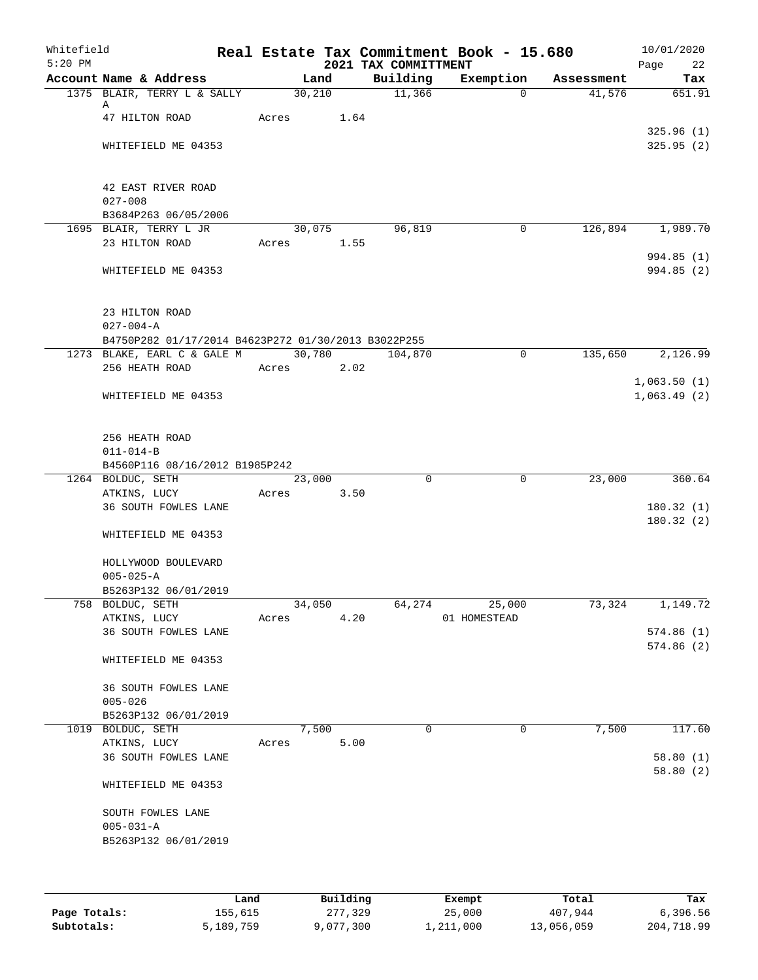| Whitefield<br>$5:20$ PM |                                                     |       |        |            | 2021 TAX COMMITTMENT | Real Estate Tax Commitment Book - 15.680 |            | 10/01/2020<br>Page<br>22 |
|-------------------------|-----------------------------------------------------|-------|--------|------------|----------------------|------------------------------------------|------------|--------------------------|
|                         | Account Name & Address                              |       | Land   |            | Building             | Exemption                                | Assessment | Tax                      |
|                         | 1375 BLAIR, TERRY L & SALLY                         |       | 30,210 |            | 11,366               | $\Omega$                                 | 41,576     | 651.91                   |
|                         | Α                                                   |       |        |            |                      |                                          |            |                          |
|                         | 47 HILTON ROAD                                      |       |        | Acres 1.64 |                      |                                          |            |                          |
|                         |                                                     |       |        |            |                      |                                          |            | 325.96(1)<br>325.95(2)   |
|                         | WHITEFIELD ME 04353                                 |       |        |            |                      |                                          |            |                          |
|                         |                                                     |       |        |            |                      |                                          |            |                          |
|                         | 42 EAST RIVER ROAD                                  |       |        |            |                      |                                          |            |                          |
|                         | $027 - 008$                                         |       |        |            |                      |                                          |            |                          |
|                         | B3684P263 06/05/2006                                |       |        |            |                      |                                          |            |                          |
|                         | 1695 BLAIR, TERRY L JR                              |       |        | 30,075     | 96,819               | 0                                        | 126,894    | 1,989.70                 |
|                         | 23 HILTON ROAD                                      |       |        | Acres 1.55 |                      |                                          |            |                          |
|                         |                                                     |       |        |            |                      |                                          |            | 994.85 (1)               |
|                         | WHITEFIELD ME 04353                                 |       |        |            |                      |                                          |            | 994.85(2)                |
|                         | 23 HILTON ROAD                                      |       |        |            |                      |                                          |            |                          |
|                         | $027 - 004 - A$                                     |       |        |            |                      |                                          |            |                          |
|                         | B4750P282 01/17/2014 B4623P272 01/30/2013 B3022P255 |       |        |            |                      |                                          |            |                          |
|                         | 1273 BLAKE, EARL C & GALE M 30,780 104,870          |       |        |            |                      | 0                                        | 135,650    | 2,126.99                 |
|                         | 256 HEATH ROAD                                      | Acres |        | 2.02       |                      |                                          |            |                          |
|                         |                                                     |       |        |            |                      |                                          |            | 1,063.50(1)              |
|                         | WHITEFIELD ME 04353                                 |       |        |            |                      |                                          |            | 1,063.49(2)              |
|                         |                                                     |       |        |            |                      |                                          |            |                          |
|                         | 256 HEATH ROAD                                      |       |        |            |                      |                                          |            |                          |
|                         | $011 - 014 - B$                                     |       |        |            |                      |                                          |            |                          |
|                         | B4560P116 08/16/2012 B1985P242                      |       |        |            |                      |                                          |            |                          |
|                         | 1264 BOLDUC, SETH                                   |       | 23,000 |            | $\Omega$             | $\mathbf 0$                              | 23,000     | 360.64                   |
|                         | ATKINS, LUCY                                        | Acres |        | 3.50       |                      |                                          |            |                          |
|                         | 36 SOUTH FOWLES LANE                                |       |        |            |                      |                                          |            | 180.32(1)                |
|                         | WHITEFIELD ME 04353                                 |       |        |            |                      |                                          |            | 180.32(2)                |
|                         | HOLLYWOOD BOULEVARD                                 |       |        |            |                      |                                          |            |                          |
|                         | $005 - 025 - A$                                     |       |        |            |                      |                                          |            |                          |
|                         | B5263P132 06/01/2019                                |       |        |            |                      |                                          |            |                          |
|                         | 758 BOLDUC, SETH                                    |       | 34,050 |            | 64,274               | 25,000                                   | 73,324     | 1,149.72                 |
|                         | ATKINS, LUCY                                        | Acres |        | 4.20       |                      | 01 HOMESTEAD                             |            |                          |
|                         | 36 SOUTH FOWLES LANE                                |       |        |            |                      |                                          |            | 574.86(1)                |
|                         |                                                     |       |        |            |                      |                                          |            | 574.86(2)                |
|                         | WHITEFIELD ME 04353                                 |       |        |            |                      |                                          |            |                          |
|                         | 36 SOUTH FOWLES LANE                                |       |        |            |                      |                                          |            |                          |
|                         | $005 - 026$                                         |       |        |            |                      |                                          |            |                          |
|                         | B5263P132 06/01/2019                                |       |        |            |                      |                                          |            |                          |
|                         | 1019 BOLDUC, SETH                                   |       | 7,500  |            | $\Omega$             | 0                                        | 7,500      | 117.60                   |
|                         | ATKINS, LUCY                                        | Acres |        | 5.00       |                      |                                          |            |                          |
|                         | 36 SOUTH FOWLES LANE                                |       |        |            |                      |                                          |            | 58.80(1)                 |
|                         | WHITEFIELD ME 04353                                 |       |        |            |                      |                                          |            | 58.80(2)                 |
|                         | SOUTH FOWLES LANE                                   |       |        |            |                      |                                          |            |                          |
|                         | $005 - 031 - A$                                     |       |        |            |                      |                                          |            |                          |
|                         | B5263P132 06/01/2019                                |       |        |            |                      |                                          |            |                          |
|                         |                                                     |       |        |            |                      |                                          |            |                          |
|                         |                                                     |       |        |            |                      |                                          |            |                          |
|                         |                                                     |       |        |            |                      |                                          |            |                          |

|              | Land      | Building  | Exempt    | Total      | Tax        |
|--------------|-----------|-----------|-----------|------------|------------|
| Page Totals: | 155,615   | 277,329   | 25,000    | 407,944    | 6,396.56   |
| Subtotals:   | 5,189,759 | 9,077,300 | 1,211,000 | 13,056,059 | 204,718.99 |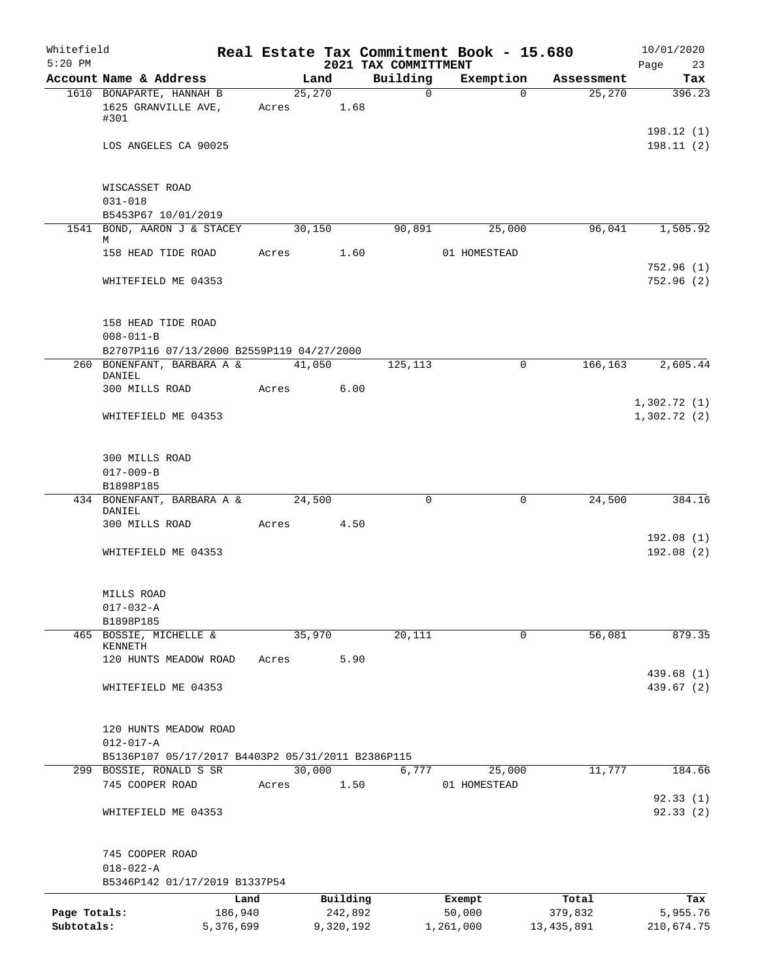| Whitefield<br>$5:20$ PM |                                                                              |           |            |           | 2021 TAX COMMITTMENT | Real Estate Tax Commitment Book - 15.680 |            | 10/01/2020<br>Page<br>23   |
|-------------------------|------------------------------------------------------------------------------|-----------|------------|-----------|----------------------|------------------------------------------|------------|----------------------------|
|                         | Account Name & Address                                                       |           | Land       |           | Building             | Exemption                                | Assessment | Tax                        |
|                         | 1610 BONAPARTE, HANNAH B                                                     |           | 25,270     |           | $\Omega$             | $\Omega$                                 | 25,270     | 396.23                     |
|                         | 1625 GRANVILLE AVE,<br>#301                                                  |           | Acres 1.68 |           |                      |                                          |            |                            |
|                         | LOS ANGELES CA 90025                                                         |           |            |           |                      |                                          |            | 198.12(1)<br>198.11(2)     |
|                         | WISCASSET ROAD                                                               |           |            |           |                      |                                          |            |                            |
|                         | $031 - 018$<br>B5453P67 10/01/2019                                           |           |            |           |                      |                                          |            |                            |
|                         | 1541 BOND, AARON J & STACEY                                                  |           | 30,150     |           | 90,891               | 25,000                                   | 96,041     | 1,505.92                   |
|                         | M                                                                            |           |            |           |                      |                                          |            |                            |
|                         | 158 HEAD TIDE ROAD                                                           |           | Acres 1.60 |           |                      | 01 HOMESTEAD                             |            | 752.96(1)                  |
|                         | WHITEFIELD ME 04353                                                          |           |            |           |                      |                                          |            | 752.96(2)                  |
|                         | 158 HEAD TIDE ROAD                                                           |           |            |           |                      |                                          |            |                            |
|                         | $008 - 011 - B$                                                              |           |            |           |                      |                                          |            |                            |
|                         | B2707P116 07/13/2000 B2559P119 04/27/2000                                    |           |            |           |                      |                                          |            | 2,605.44                   |
|                         | 260 BONENFANT, BARBARA A &<br>DANIEL                                         |           | 41,050     |           | 125,113              | $\mathbf 0$                              | 166,163    |                            |
|                         | 300 MILLS ROAD                                                               |           | Acres      | 6.00      |                      |                                          |            |                            |
|                         | WHITEFIELD ME 04353                                                          |           |            |           |                      |                                          |            | 1,302.72(1)<br>1,302.72(2) |
|                         |                                                                              |           |            |           |                      |                                          |            |                            |
|                         | 300 MILLS ROAD                                                               |           |            |           |                      |                                          |            |                            |
|                         | $017 - 009 - B$                                                              |           |            |           |                      |                                          |            |                            |
|                         | B1898P185<br>434 BONENFANT, BARBARA A &                                      |           | 24,500     |           | $\Omega$             | 0                                        | 24,500     | 384.16                     |
|                         | DANIEL                                                                       |           |            |           |                      |                                          |            |                            |
|                         | 300 MILLS ROAD                                                               |           | Acres      | 4.50      |                      |                                          |            | 192.08(1)                  |
|                         | WHITEFIELD ME 04353                                                          |           |            |           |                      |                                          |            | 192.08(2)                  |
|                         | MILLS ROAD                                                                   |           |            |           |                      |                                          |            |                            |
|                         | $017 - 032 - A$                                                              |           |            |           |                      |                                          |            |                            |
|                         | B1898P185<br>465 BOSSIE, MICHELLE &                                          |           | 35,970     |           | 20,111               | $\mathbf 0$                              | 56,081     | 879.35                     |
|                         | KENNETH                                                                      |           |            |           |                      |                                          |            |                            |
|                         | 120 HUNTS MEADOW ROAD                                                        | Acres     |            | 5.90      |                      |                                          |            | 439.68 (1)                 |
|                         | WHITEFIELD ME 04353                                                          |           |            |           |                      |                                          |            | 439.67 (2)                 |
|                         | 120 HUNTS MEADOW ROAD                                                        |           |            |           |                      |                                          |            |                            |
|                         | $012 - 017 - A$                                                              |           |            |           |                      |                                          |            |                            |
|                         | B5136P107 05/17/2017 B4403P2 05/31/2011 B2386P115<br>299 BOSSIE, RONALD S SR |           | 30,000     |           | 6,777                | 25,000                                   | 11,777     | 184.66                     |
|                         | 745 COOPER ROAD                                                              | Acres     |            | 1.50      |                      | 01 HOMESTEAD                             |            |                            |
|                         | WHITEFIELD ME 04353                                                          |           |            |           |                      |                                          |            | 92.33(1)<br>92.33(2)       |
|                         |                                                                              |           |            |           |                      |                                          |            |                            |
|                         | 745 COOPER ROAD                                                              |           |            |           |                      |                                          |            |                            |
|                         | $018 - 022 - A$<br>B5346P142 01/17/2019 B1337P54                             |           |            |           |                      |                                          |            |                            |
|                         |                                                                              | Land      |            | Building  |                      | Exempt                                   | Total      | Tax                        |
| Page Totals:            |                                                                              | 186,940   |            | 242,892   |                      | 50,000                                   | 379,832    | 5,955.76                   |
| Subtotals:              |                                                                              | 5,376,699 |            | 9,320,192 |                      | 1,261,000                                | 13,435,891 | 210,674.75                 |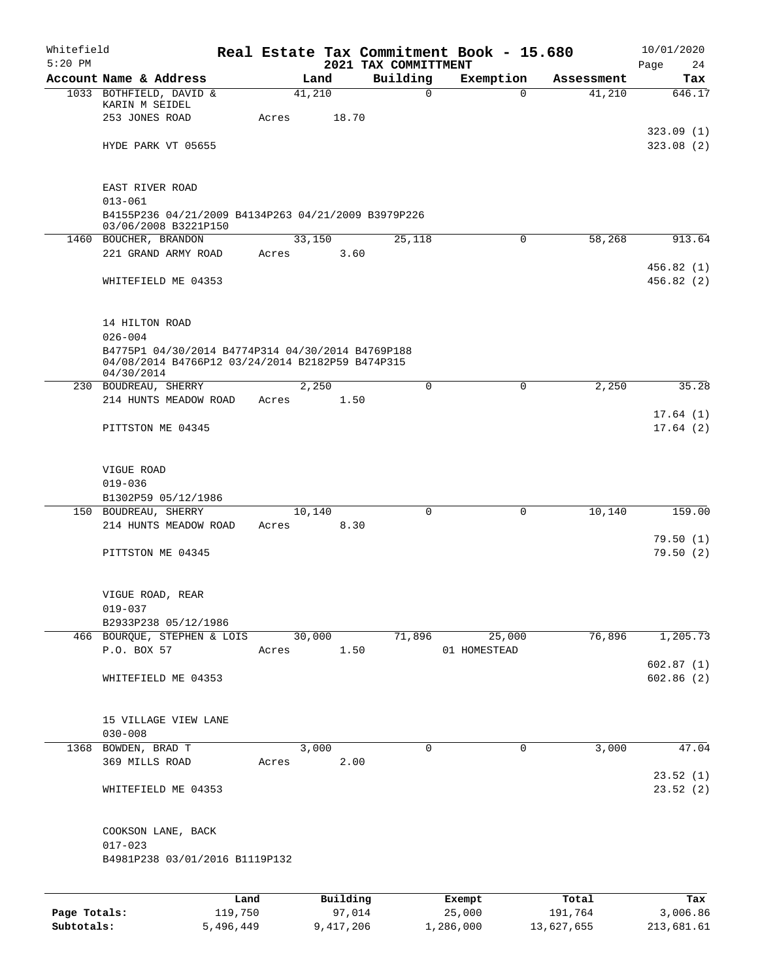| Whitefield<br>$5:20$ PM |                                                                                                                                        |         |        |          | 2021 TAX COMMITTMENT | Real Estate Tax Commitment Book - 15.680 |            | 10/01/2020<br>Page<br>24 |
|-------------------------|----------------------------------------------------------------------------------------------------------------------------------------|---------|--------|----------|----------------------|------------------------------------------|------------|--------------------------|
|                         | Account Name & Address                                                                                                                 |         | Land   |          | Building             | Exemption                                | Assessment | Tax                      |
|                         | 1033 BOTHFIELD, DAVID &<br>KARIN M SEIDEL<br>253 JONES ROAD                                                                            | Acres   | 41,210 | 18.70    | $\mathbf 0$          | $\Omega$                                 | 41,210     | 646.17                   |
|                         | HYDE PARK VT 05655                                                                                                                     |         |        |          |                      |                                          |            | 323.09(1)<br>323.08(2)   |
|                         | EAST RIVER ROAD<br>$013 - 061$<br>B4155P236 04/21/2009 B4134P263 04/21/2009 B3979P226                                                  |         |        |          |                      |                                          |            |                          |
|                         | 03/06/2008 B3221P150<br>1460 BOUCHER, BRANDON                                                                                          |         | 33,150 |          | 25,118               | 0                                        | 58,268     | 913.64                   |
|                         | 221 GRAND ARMY ROAD                                                                                                                    | Acres   |        | 3.60     |                      |                                          |            |                          |
|                         | WHITEFIELD ME 04353                                                                                                                    |         |        |          |                      |                                          |            | 456.82(1)<br>456.82(2)   |
|                         | 14 HILTON ROAD<br>$026 - 004$<br>B4775P1 04/30/2014 B4774P314 04/30/2014 B4769P188<br>04/08/2014 B4766P12 03/24/2014 B2182P59 B474P315 |         |        |          |                      |                                          |            |                          |
|                         | 04/30/2014                                                                                                                             |         |        |          |                      |                                          |            |                          |
|                         | 230 BOUDREAU, SHERRY                                                                                                                   |         | 2,250  |          | $\mathbf 0$          | $\mathbf 0$                              | 2,250      | 35.28                    |
|                         | 214 HUNTS MEADOW ROAD                                                                                                                  | Acres   |        | 1.50     |                      |                                          |            |                          |
|                         | PITTSTON ME 04345                                                                                                                      |         |        |          |                      |                                          |            | 17.64(1)<br>17.64(2)     |
|                         | VIGUE ROAD<br>$019 - 036$<br>B1302P59 05/12/1986                                                                                       |         |        |          |                      |                                          |            |                          |
|                         | 150 BOUDREAU, SHERRY                                                                                                                   |         | 10,140 |          | $\Omega$             | $\mathbf 0$                              | 10,140     | 159.00                   |
|                         | 214 HUNTS MEADOW ROAD                                                                                                                  | Acres   |        | 8.30     |                      |                                          |            | 79.50(1)                 |
|                         | PITTSTON ME 04345                                                                                                                      |         |        |          |                      |                                          |            | 79.50(2)                 |
|                         | VIGUE ROAD, REAR<br>$019 - 037$                                                                                                        |         |        |          |                      |                                          |            |                          |
|                         | B2933P238 05/12/1986                                                                                                                   |         |        |          |                      |                                          |            |                          |
|                         | 466 BOURQUE, STEPHEN & LOIS<br>P.O. BOX 57                                                                                             | Acres   | 30,000 | 1.50     | 71,896               | 25,000<br>01 HOMESTEAD                   | 76,896     | 1,205.73<br>602.87(1)    |
|                         | WHITEFIELD ME 04353                                                                                                                    |         |        |          |                      |                                          |            | 602.86(2)                |
|                         | 15 VILLAGE VIEW LANE<br>$030 - 008$                                                                                                    |         |        |          |                      |                                          |            |                          |
|                         | 1368 BOWDEN, BRAD T                                                                                                                    |         | 3,000  |          | 0                    | 0                                        | 3,000      | 47.04                    |
|                         | 369 MILLS ROAD                                                                                                                         | Acres   |        | 2.00     |                      |                                          |            | 23.52(1)                 |
|                         | WHITEFIELD ME 04353                                                                                                                    |         |        |          |                      |                                          |            | 23.52(2)                 |
|                         | COOKSON LANE, BACK<br>$017 - 023$                                                                                                      |         |        |          |                      |                                          |            |                          |
|                         | B4981P238 03/01/2016 B1119P132                                                                                                         |         |        |          |                      |                                          |            |                          |
|                         |                                                                                                                                        | Land    |        | Building |                      | Exempt                                   | Total      | Tax                      |
| Page Totals:            |                                                                                                                                        | 119,750 |        | 97,014   |                      | 25,000                                   | 191,764    | 3,006.86                 |

**Subtotals:** 5,496,449 9,417,206 1,286,000 13,627,655 213,681.61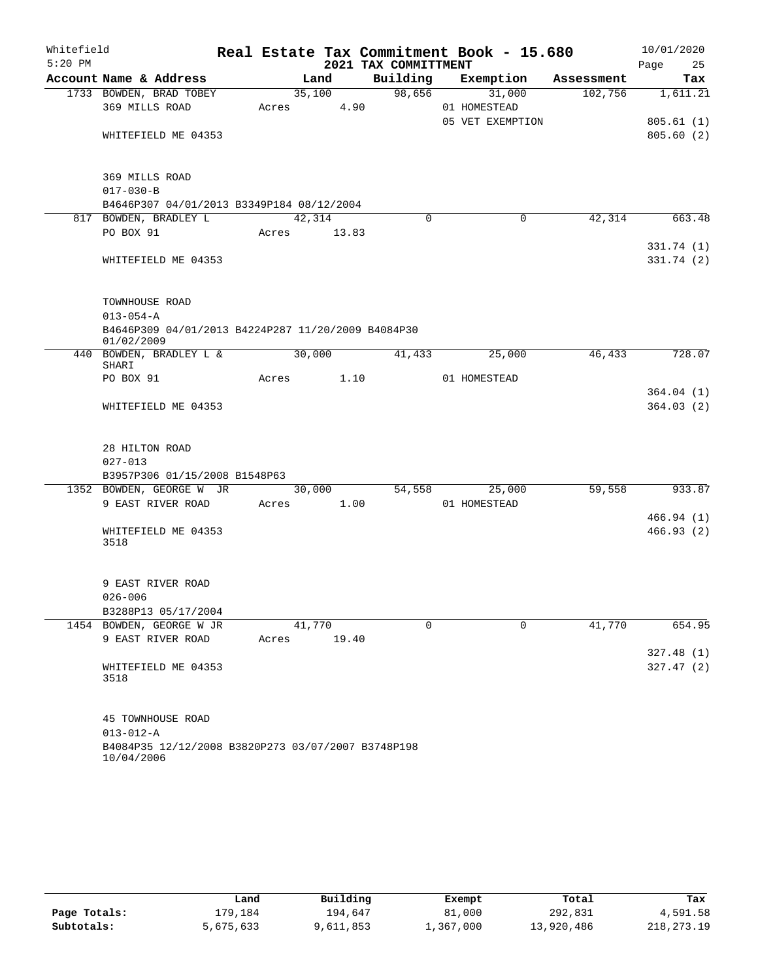| Whitefield |                                                                  |             |        |       |                      | Real Estate Tax Commitment Book - 15.680 |            | 10/01/2020 |                        |
|------------|------------------------------------------------------------------|-------------|--------|-------|----------------------|------------------------------------------|------------|------------|------------------------|
| $5:20$ PM  |                                                                  |             |        |       | 2021 TAX COMMITTMENT |                                          |            | Page       | 25                     |
|            | Account Name & Address                                           |             | Land   |       | Building             | Exemption                                | Assessment |            | Tax                    |
|            | 1733 BOWDEN, BRAD TOBEY                                          |             | 35,100 |       | 98,656               | 31,000                                   | 102,756    |            | 1,611.21               |
|            | 369 MILLS ROAD                                                   | Acres       |        | 4.90  |                      | 01 HOMESTEAD                             |            |            |                        |
|            | WHITEFIELD ME 04353                                              |             |        |       |                      | 05 VET EXEMPTION                         |            |            | 805.61(1)<br>805.60(2) |
|            |                                                                  |             |        |       |                      |                                          |            |            |                        |
|            | 369 MILLS ROAD                                                   |             |        |       |                      |                                          |            |            |                        |
|            | $017 - 030 - B$                                                  |             |        |       |                      |                                          |            |            |                        |
|            | B4646P307 04/01/2013 B3349P184 08/12/2004                        |             |        |       |                      |                                          |            |            |                        |
|            | 817 BOWDEN, BRADLEY L                                            |             | 42,314 |       | 0                    | 0                                        | 42,314     |            | 663.48                 |
|            | PO BOX 91                                                        | Acres 13.83 |        |       |                      |                                          |            |            |                        |
|            |                                                                  |             |        |       |                      |                                          |            |            | 331.74 (1)             |
|            | WHITEFIELD ME 04353                                              |             |        |       |                      |                                          |            |            | 331.74 (2)             |
|            | TOWNHOUSE ROAD                                                   |             |        |       |                      |                                          |            |            |                        |
|            | $013 - 054 - A$                                                  |             |        |       |                      |                                          |            |            |                        |
|            | B4646P309 04/01/2013 B4224P287 11/20/2009 B4084P30<br>01/02/2009 |             |        |       |                      |                                          |            |            |                        |
|            | 440 BOWDEN, BRADLEY L &                                          |             | 30,000 |       | 41,433               | 25,000                                   | 46,433     |            | 728.07                 |
|            | SHARI<br>PO BOX 91                                               | Acres       |        | 1.10  |                      | 01 HOMESTEAD                             |            |            |                        |
|            |                                                                  |             |        |       |                      |                                          |            |            | 364.04(1)              |
|            | WHITEFIELD ME 04353                                              |             |        |       |                      |                                          |            |            | 364.03(2)              |
|            |                                                                  |             |        |       |                      |                                          |            |            |                        |
|            | 28 HILTON ROAD                                                   |             |        |       |                      |                                          |            |            |                        |
|            | $027 - 013$                                                      |             |        |       |                      |                                          |            |            |                        |
|            | B3957P306 01/15/2008 B1548P63                                    |             |        |       |                      |                                          |            |            |                        |
|            | 1352 BOWDEN, GEORGE W JR                                         |             |        |       | 54,558               | 25,000                                   | 59,558     |            | 933.87                 |
|            | 9 EAST RIVER ROAD                                                | Acres 1.00  |        |       |                      | 01 HOMESTEAD                             |            |            |                        |
|            |                                                                  |             |        |       |                      |                                          |            |            | 466.94(1)              |
|            | WHITEFIELD ME 04353<br>3518                                      |             |        |       |                      |                                          |            |            | 466.93(2)              |
|            |                                                                  |             |        |       |                      |                                          |            |            |                        |
|            |                                                                  |             |        |       |                      |                                          |            |            |                        |
|            | 9 EAST RIVER ROAD                                                |             |        |       |                      |                                          |            |            |                        |
|            | $026 - 006$                                                      |             |        |       |                      |                                          |            |            |                        |
|            | B3288P13 05/17/2004<br>1454 BOWDEN, GEORGE W JR                  |             | 41,770 |       | $\Omega$             | $\Omega$                                 | 41,770     |            | 654.95                 |
|            | 9 EAST RIVER ROAD                                                | Acres       |        | 19.40 |                      |                                          |            |            |                        |
|            |                                                                  |             |        |       |                      |                                          |            |            | 327.48(1)              |
|            | WHITEFIELD ME 04353                                              |             |        |       |                      |                                          |            |            | 327.47(2)              |
|            | 3518                                                             |             |        |       |                      |                                          |            |            |                        |
|            | 45 TOWNHOUSE ROAD                                                |             |        |       |                      |                                          |            |            |                        |
|            | $013 - 012 - A$                                                  |             |        |       |                      |                                          |            |            |                        |
|            | B4084P35 12/12/2008 B3820P273 03/07/2007 B3748P198               |             |        |       |                      |                                          |            |            |                        |
|            | 10/04/2006                                                       |             |        |       |                      |                                          |            |            |                        |

|              | Land      | Building  | Exempt    | Total      | Tax          |
|--------------|-----------|-----------|-----------|------------|--------------|
| Page Totals: | 179.184   | 194,647   | 81,000    | 292,831    | 4,591.58     |
| Subtotals:   | 5,675,633 | 9,611,853 | 1,367,000 | 13,920,486 | 218, 273. 19 |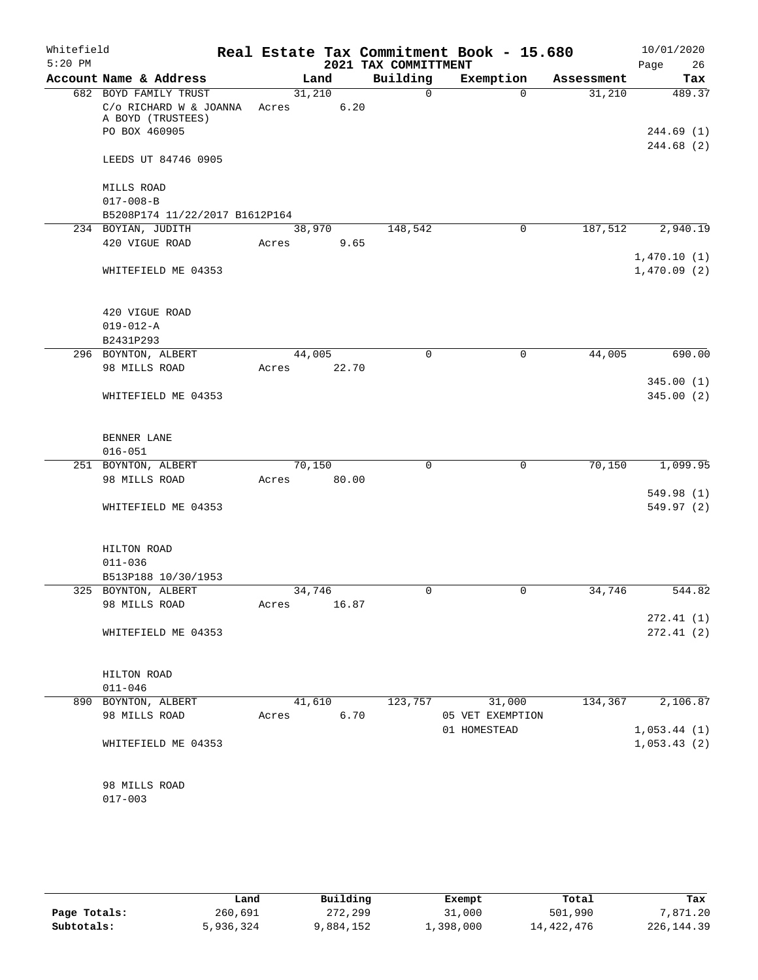| Whitefield<br>$5:20$ PM |                                                              |       |        |       | 2021 TAX COMMITTMENT | Real Estate Tax Commitment Book - 15.680 |            | 10/01/2020<br>Page<br>26 |
|-------------------------|--------------------------------------------------------------|-------|--------|-------|----------------------|------------------------------------------|------------|--------------------------|
|                         | Account Name & Address                                       |       | Land   |       | Building             | Exemption                                | Assessment | Tax                      |
|                         | 682 BOYD FAMILY TRUST                                        |       | 31,210 |       | $\Omega$             | $\Omega$                                 | 31,210     | 489.37                   |
|                         | C/o RICHARD W & JOANNA<br>A BOYD (TRUSTEES)<br>PO BOX 460905 | Acres |        | 6.20  |                      |                                          |            | 244.69(1)                |
|                         |                                                              |       |        |       |                      |                                          |            | 244.68 (2)               |
|                         | LEEDS UT 84746 0905                                          |       |        |       |                      |                                          |            |                          |
|                         | MILLS ROAD                                                   |       |        |       |                      |                                          |            |                          |
|                         | $017 - 008 - B$                                              |       |        |       |                      |                                          |            |                          |
|                         | B5208P174 11/22/2017 B1612P164                               |       |        |       |                      |                                          |            |                          |
|                         | 234 BOYIAN, JUDITH                                           |       | 38,970 |       | 148,542              | $\mathsf{O}$                             | 187,512    | 2,940.19                 |
|                         | 420 VIGUE ROAD                                               | Acres |        | 9.65  |                      |                                          |            | 1,470.10(1)              |
|                         | WHITEFIELD ME 04353                                          |       |        |       |                      |                                          |            | 1,470.09(2)              |
|                         | 420 VIGUE ROAD                                               |       |        |       |                      |                                          |            |                          |
|                         | $019 - 012 - A$                                              |       |        |       |                      |                                          |            |                          |
|                         | B2431P293                                                    |       |        |       |                      |                                          |            |                          |
|                         | 296 BOYNTON, ALBERT                                          |       | 44,005 |       | 0                    | $\mathbf 0$                              | 44,005     | 690.00                   |
|                         | 98 MILLS ROAD                                                | Acres |        | 22.70 |                      |                                          |            |                          |
|                         |                                                              |       |        |       |                      |                                          |            | 345.00 (1)               |
|                         | WHITEFIELD ME 04353                                          |       |        |       |                      |                                          |            | 345.00(2)                |
|                         | BENNER LANE                                                  |       |        |       |                      |                                          |            |                          |
|                         | $016 - 051$                                                  |       |        |       |                      |                                          |            |                          |
|                         | 251 BOYNTON, ALBERT                                          |       | 70,150 |       | $\Omega$             | $\mathbf 0$                              | 70,150     | 1,099.95                 |
|                         | 98 MILLS ROAD                                                | Acres |        | 80.00 |                      |                                          |            |                          |
|                         |                                                              |       |        |       |                      |                                          |            | 549.98 (1)               |
|                         | WHITEFIELD ME 04353                                          |       |        |       |                      |                                          |            | 549.97 (2)               |
|                         | HILTON ROAD                                                  |       |        |       |                      |                                          |            |                          |
|                         | $011 - 036$                                                  |       |        |       |                      |                                          |            |                          |
|                         | B513P188 10/30/1953                                          |       |        |       |                      |                                          |            |                          |
|                         | 325 BOYNTON, ALBERT                                          |       | 34,746 |       | 0                    | 0                                        | 34,746     | 544.82                   |
|                         | 98 MILLS ROAD                                                | Acres |        | 16.87 |                      |                                          |            |                          |
|                         |                                                              |       |        |       |                      |                                          |            | 272.41(1)                |
|                         | WHITEFIELD ME 04353                                          |       |        |       |                      |                                          |            | 272.41 (2)               |
|                         | HILTON ROAD                                                  |       |        |       |                      |                                          |            |                          |
|                         | $011 - 046$                                                  |       |        |       |                      |                                          |            |                          |
|                         | 890 BOYNTON, ALBERT                                          |       | 41,610 |       | 123,757              | 31,000                                   | 134,367    | 2,106.87                 |
|                         | 98 MILLS ROAD                                                | Acres |        | 6.70  |                      | 05 VET EXEMPTION<br>01 HOMESTEAD         |            | 1,053.44(1)              |
|                         | WHITEFIELD ME 04353                                          |       |        |       |                      |                                          |            | 1,053.43(2)              |
|                         | 98 MILLS ROAD                                                |       |        |       |                      |                                          |            |                          |
|                         | $017 - 003$                                                  |       |        |       |                      |                                          |            |                          |
|                         |                                                              |       |        |       |                      |                                          |            |                          |

|              | Land      | Building | Exempt    | Total      | Tax          |
|--------------|-----------|----------|-----------|------------|--------------|
| Page Totals: | 260,691   | 272,299  | 31,000    | 501,990    | ,871.20      |
| Subtotals:   | 5,936,324 | ,884,152 | 1,398,000 | 14,422,476 | 226, 144, 39 |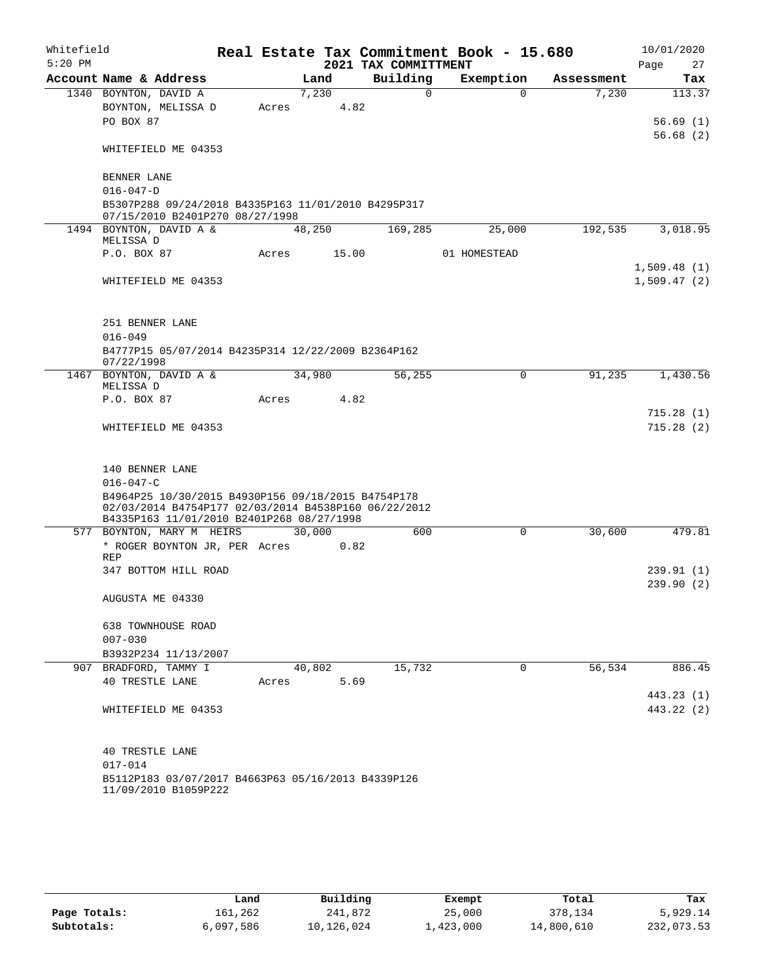| Whitefield |                                                                                                                                                         |       |        |       |                      | Real Estate Tax Commitment Book - 15.680 |            |      | 10/01/2020  |
|------------|---------------------------------------------------------------------------------------------------------------------------------------------------------|-------|--------|-------|----------------------|------------------------------------------|------------|------|-------------|
| $5:20$ PM  |                                                                                                                                                         |       |        |       | 2021 TAX COMMITTMENT |                                          |            | Page | 27          |
|            | Account Name & Address                                                                                                                                  |       | Land   |       | Building             | Exemption                                | Assessment |      | Tax         |
|            | 1340 BOYNTON, DAVID A                                                                                                                                   |       | 7,230  |       | $\Omega$             | $\Omega$                                 | 7,230      |      | 113.37      |
|            | BOYNTON, MELISSA D<br>PO BOX 87                                                                                                                         | Acres |        | 4.82  |                      |                                          |            |      | 56.69(1)    |
|            |                                                                                                                                                         |       |        |       |                      |                                          |            |      | 56.68(2)    |
|            | WHITEFIELD ME 04353                                                                                                                                     |       |        |       |                      |                                          |            |      |             |
|            | BENNER LANE                                                                                                                                             |       |        |       |                      |                                          |            |      |             |
|            | $016 - 047 - D$                                                                                                                                         |       |        |       |                      |                                          |            |      |             |
|            | B5307P288 09/24/2018 B4335P163 11/01/2010 B4295P317<br>07/15/2010 B2401P270 08/27/1998                                                                  |       |        |       |                      |                                          |            |      |             |
|            | 1494 BOYNTON, DAVID A &                                                                                                                                 |       | 48,250 |       | 169,285              | 25,000                                   | 192,535    |      | 3,018.95    |
|            | MELISSA D                                                                                                                                               |       |        |       |                      |                                          |            |      |             |
|            | P.O. BOX 87                                                                                                                                             | Acres |        | 15.00 |                      | 01 HOMESTEAD                             |            |      |             |
|            |                                                                                                                                                         |       |        |       |                      |                                          |            |      | 1,509.48(1) |
|            | WHITEFIELD ME 04353                                                                                                                                     |       |        |       |                      |                                          |            |      | 1,509.47(2) |
|            | 251 BENNER LANE                                                                                                                                         |       |        |       |                      |                                          |            |      |             |
|            | $016 - 049$                                                                                                                                             |       |        |       |                      |                                          |            |      |             |
|            | B4777P15 05/07/2014 B4235P314 12/22/2009 B2364P162<br>07/22/1998                                                                                        |       |        |       |                      |                                          |            |      |             |
|            | 1467 BOYNTON, DAVID A &<br>MELISSA D                                                                                                                    |       | 34,980 |       | 56,255               | $\Omega$                                 | 91,235     |      | 1,430.56    |
|            | P.O. BOX 87                                                                                                                                             | Acres |        | 4.82  |                      |                                          |            |      |             |
|            |                                                                                                                                                         |       |        |       |                      |                                          |            |      | 715.28(1)   |
|            | WHITEFIELD ME 04353                                                                                                                                     |       |        |       |                      |                                          |            |      | 715.28(2)   |
|            | 140 BENNER LANE                                                                                                                                         |       |        |       |                      |                                          |            |      |             |
|            | $016 - 047 - C$                                                                                                                                         |       |        |       |                      |                                          |            |      |             |
|            | B4964P25 10/30/2015 B4930P156 09/18/2015 B4754P178<br>02/03/2014 B4754P177 02/03/2014 B4538P160 06/22/2012<br>B4335P163 11/01/2010 B2401P268 08/27/1998 |       |        |       |                      |                                          |            |      |             |
|            | 577 BOYNTON, MARY M HEIRS                                                                                                                               |       | 30,000 |       | 600                  | $\mathbf 0$                              | 30,600     |      | 479.81      |
|            | * ROGER BOYNTON JR, PER Acres                                                                                                                           |       |        | 0.82  |                      |                                          |            |      |             |
|            | REP                                                                                                                                                     |       |        |       |                      |                                          |            |      |             |
|            | 347 BOTTOM HILL ROAD                                                                                                                                    |       |        |       |                      |                                          |            |      | 239.91(1)   |
|            | AUGUSTA ME 04330                                                                                                                                        |       |        |       |                      |                                          |            |      | 239.90(2)   |
|            | 638 TOWNHOUSE ROAD                                                                                                                                      |       |        |       |                      |                                          |            |      |             |
|            | $007 - 030$                                                                                                                                             |       |        |       |                      |                                          |            |      |             |
|            | B3932P234 11/13/2007                                                                                                                                    |       |        |       |                      |                                          |            |      |             |
|            | 907 BRADFORD, TAMMY I                                                                                                                                   |       | 40,802 |       | 15,732               | $\mathbf 0$                              | 56,534     |      | 886.45      |
|            | 40 TRESTLE LANE                                                                                                                                         | Acres |        | 5.69  |                      |                                          |            |      |             |
|            |                                                                                                                                                         |       |        |       |                      |                                          |            |      | 443.23 (1)  |
|            | WHITEFIELD ME 04353                                                                                                                                     |       |        |       |                      |                                          |            |      | 443.22 (2)  |
|            | <b>40 TRESTLE LANE</b>                                                                                                                                  |       |        |       |                      |                                          |            |      |             |
|            | $017 - 014$                                                                                                                                             |       |        |       |                      |                                          |            |      |             |
|            | B5112P183 03/07/2017 B4663P63 05/16/2013 B4339P126                                                                                                      |       |        |       |                      |                                          |            |      |             |
|            | 11/09/2010 B1059P222                                                                                                                                    |       |        |       |                      |                                          |            |      |             |

|              | Land      | Building   | Exempt    | Total      | Tax        |
|--------------|-----------|------------|-----------|------------|------------|
| Page Totals: | 161,262   | 241,872    | 25,000    | 378,134    | 5,929.14   |
| Subtotals:   | 6,097,586 | 10,126,024 | 1,423,000 | 14,800,610 | 232,073.53 |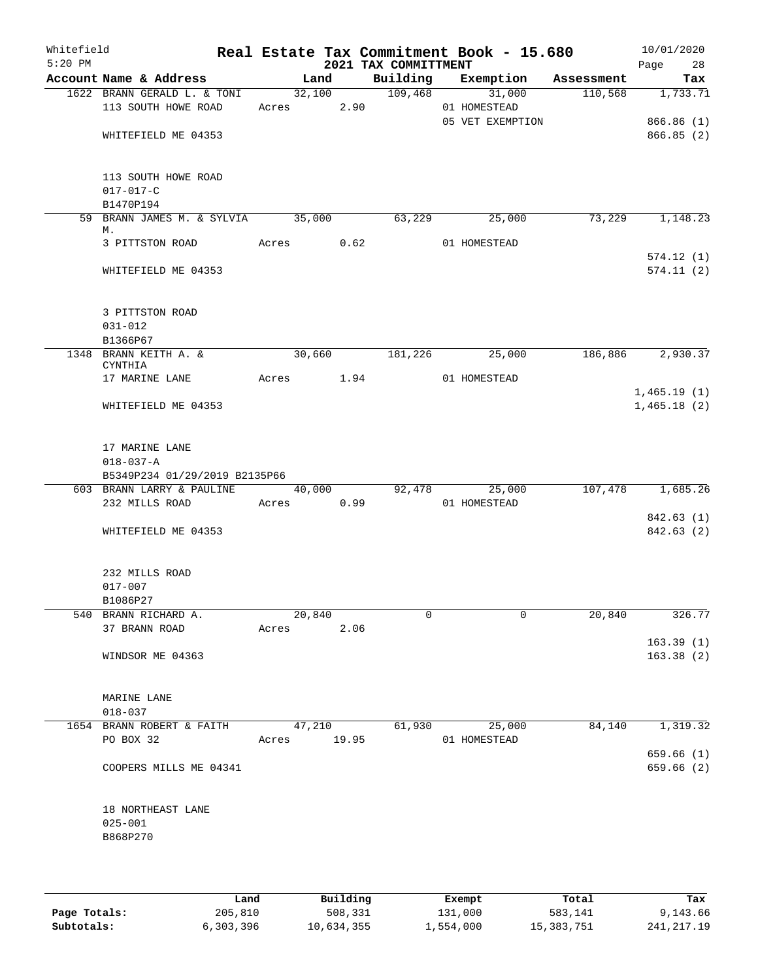|                                                                    |            |                       |      | 2021 TAX COMMITTMENT    |                                       |        | Page 28                    |
|--------------------------------------------------------------------|------------|-----------------------|------|-------------------------|---------------------------------------|--------|----------------------------|
| Account Name & Address                                             |            | Land                  |      |                         | Building Exemption Assessment         |        | Tax                        |
| 1622 BRANN GERALD L. & TONI<br>113 SOUTH HOWE ROAD                 | Acres 2.90 |                       |      |                         | 32,100 109,468 31,000<br>01 HOMESTEAD |        | $110,568$ 1,733.71         |
| WHITEFIELD ME 04353                                                |            |                       |      |                         | 05 VET EXEMPTION                      |        | 866.86(1)<br>866.85 (2)    |
| 113 SOUTH HOWE ROAD<br>$017 - 017 - C$<br>B1470P194                |            |                       |      |                         |                                       |        |                            |
| 59 BRANN JAMES M. & SYLVIA 35,000                                  |            |                       |      | 63,229                  | 25,000                                | 73,229 | 1,148.23                   |
| М.<br>3 PITTSTON ROAD Acres 0.62                                   |            |                       |      |                         | 01 HOMESTEAD                          |        | 574.12(1)                  |
| WHITEFIELD ME 04353                                                |            |                       |      |                         |                                       |        | 574.11(2)                  |
| 3 PITTSTON ROAD<br>031-012                                         |            |                       |      |                         |                                       |        |                            |
| B1366P67                                                           |            |                       |      |                         |                                       |        |                            |
| 1348 BRANN KEITH A. &<br><b>CYNTHIA</b>                            |            |                       |      |                         | 30,660 181,226 25,000                 |        | 186,886 2,930.37           |
| 17 MARINE LANE                                                     |            |                       |      | Acres 1.94 01 HOMESTEAD |                                       |        |                            |
| WHITEFIELD ME 04353                                                |            |                       |      |                         |                                       |        | 1,465.19(1)<br>1,465.18(2) |
| 17 MARINE LANE<br>$018 - 037 - A$<br>B5349P234 01/29/2019 B2135P66 |            |                       |      |                         |                                       |        |                            |
| 603 BRANN LARRY & PAULINE 40,000 92,478 25,000                     |            |                       |      |                         |                                       |        | 107,478 1,685.26           |
| 232 MILLS ROAD                                                     | Acres 0.99 |                       |      |                         | 01 HOMESTEAD                          |        |                            |
| WHITEFIELD ME 04353                                                |            |                       |      |                         |                                       |        | 842.63(1)<br>842.63 (2)    |
| 232 MILLS ROAD<br>$017 - 007$                                      |            |                       |      |                         |                                       |        |                            |
| B1086P27<br>540 BRANN RICHARD A.                                   |            | 20,840                |      | $\Omega$                | 0                                     | 20,840 | 326.77                     |
| 37 BRANN ROAD                                                      |            | Acres                 | 2.06 |                         |                                       |        |                            |
| WINDSOR ME 04363                                                   |            |                       |      |                         |                                       |        | 163.39(1)<br>163.38(2)     |
| MARINE LANE<br>$018 - 037$                                         |            |                       |      |                         |                                       |        |                            |
| 1654 BRANN ROBERT & FAITH<br>PO BOX 32                             |            | 47,210<br>Acres 19.95 |      | 61,930                  | 25,000<br>01 HOMESTEAD                | 84,140 | 1,319.32                   |
| COOPERS MILLS ME 04341                                             |            |                       |      |                         |                                       |        | 659.66 (1)<br>659.66(2)    |
| 18 NORTHEAST LANE<br>$025 - 001$<br>B868P270                       |            |                       |      |                         |                                       |        |                            |

|              | Land      | Building   | Exempt    | Total      | Tax        |
|--------------|-----------|------------|-----------|------------|------------|
| Page Totals: | 205,810   | 508,331    | 131,000   | 583,141    | 9,143.66   |
| Subtotals:   | 6,303,396 | 10,634,355 | 1,554,000 | 15,383,751 | 241,217.19 |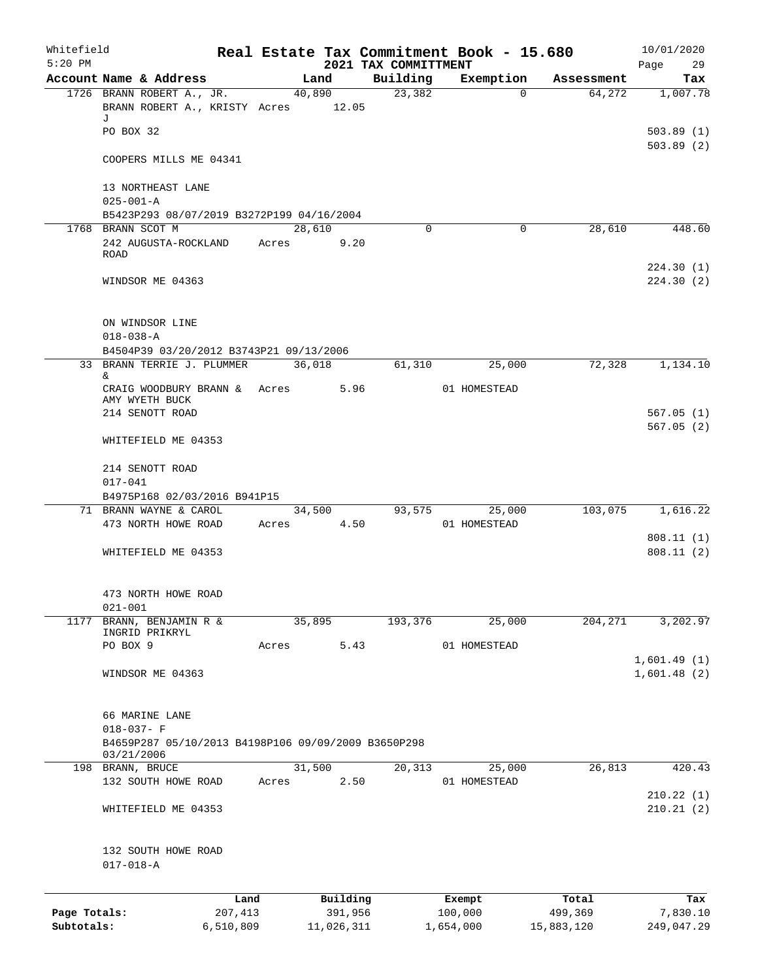| Whitefield<br>$5:20$ PM |                                                     |         |       |          |         | 2021 TAX COMMITTMENT | Real Estate Tax Commitment Book - 15.680 |            | 10/01/2020<br>Page<br>29 |
|-------------------------|-----------------------------------------------------|---------|-------|----------|---------|----------------------|------------------------------------------|------------|--------------------------|
|                         | Account Name & Address                              |         |       | Land     |         | Building             | Exemption                                | Assessment | Tax                      |
|                         | 1726 BRANN ROBERT A., JR.                           |         |       | 40,890   |         | 23,382               | $\Omega$                                 | 64,272     | 1,007.78                 |
|                         | BRANN ROBERT A., KRISTY Acres 12.05                 |         |       |          |         |                      |                                          |            |                          |
|                         | J                                                   |         |       |          |         |                      |                                          |            |                          |
|                         | PO BOX 32                                           |         |       |          |         |                      |                                          |            | 503.89(1)                |
|                         |                                                     |         |       |          |         |                      |                                          |            | 503.89(2)                |
|                         | COOPERS MILLS ME 04341                              |         |       |          |         |                      |                                          |            |                          |
|                         |                                                     |         |       |          |         |                      |                                          |            |                          |
|                         | 13 NORTHEAST LANE                                   |         |       |          |         |                      |                                          |            |                          |
|                         | $025 - 001 - A$                                     |         |       |          |         |                      |                                          |            |                          |
|                         | B5423P293 08/07/2019 B3272P199 04/16/2004           |         |       |          |         |                      |                                          |            |                          |
|                         | 1768 BRANN SCOT M                                   |         |       | 28,610   |         | $\Omega$             | $\mathbf 0$                              | 28,610     | 448.60                   |
|                         | 242 AUGUSTA-ROCKLAND                                |         | Acres |          | 9.20    |                      |                                          |            |                          |
|                         | ROAD                                                |         |       |          |         |                      |                                          |            |                          |
|                         |                                                     |         |       |          |         |                      |                                          |            | 224.30 (1)               |
|                         | WINDSOR ME 04363                                    |         |       |          |         |                      |                                          |            | 224.30(2)                |
|                         |                                                     |         |       |          |         |                      |                                          |            |                          |
|                         |                                                     |         |       |          |         |                      |                                          |            |                          |
|                         | ON WINDSOR LINE                                     |         |       |          |         |                      |                                          |            |                          |
|                         | $018 - 038 - A$                                     |         |       |          |         |                      |                                          |            |                          |
|                         | B4504P39 03/20/2012 B3743P21 09/13/2006             |         |       |          |         |                      |                                          |            |                          |
|                         | 33 BRANN TERRIE J. PLUMMER                          |         |       | 36,018   |         | 61,310               | 25,000                                   | 72,328     | 1,134.10                 |
|                         | &                                                   |         |       |          |         |                      |                                          |            |                          |
|                         | CRAIG WOODBURY BRANN &                              |         | Acres |          | 5.96    |                      | 01 HOMESTEAD                             |            |                          |
|                         | AMY WYETH BUCK                                      |         |       |          |         |                      |                                          |            |                          |
|                         | 214 SENOTT ROAD                                     |         |       |          |         |                      |                                          |            | 567.05 (1)               |
|                         |                                                     |         |       |          |         |                      |                                          |            | 567.05(2)                |
|                         | WHITEFIELD ME 04353                                 |         |       |          |         |                      |                                          |            |                          |
|                         |                                                     |         |       |          |         |                      |                                          |            |                          |
|                         | 214 SENOTT ROAD                                     |         |       |          |         |                      |                                          |            |                          |
|                         | $017 - 041$                                         |         |       |          |         |                      |                                          |            |                          |
|                         | B4975P168 02/03/2016 B941P15                        |         |       |          |         |                      |                                          |            |                          |
|                         | 71 BRANN WAYNE & CAROL                              |         |       | 34,500   |         | 93,575               | 25,000                                   | 103,075    | 1,616.22                 |
|                         | 473 NORTH HOWE ROAD                                 |         | Acres |          | 4.50    |                      | 01 HOMESTEAD                             |            |                          |
|                         |                                                     |         |       |          |         |                      |                                          |            | 808.11(1)                |
|                         | WHITEFIELD ME 04353                                 |         |       |          |         |                      |                                          |            | 808.11(2)                |
|                         |                                                     |         |       |          |         |                      |                                          |            |                          |
|                         |                                                     |         |       |          |         |                      |                                          |            |                          |
|                         | 473 NORTH HOWE ROAD                                 |         |       |          |         |                      |                                          |            |                          |
|                         | $021 - 001$                                         |         |       |          |         |                      |                                          |            |                          |
| 1177                    | BRANN, BENJAMIN R &                                 |         |       | 35,895   |         | 193,376              | 25,000                                   | 204, 271   | 3,202.97                 |
|                         | INGRID PRIKRYL                                      |         |       |          |         |                      |                                          |            |                          |
|                         | PO BOX 9                                            |         | Acres |          | 5.43    |                      | 01 HOMESTEAD                             |            |                          |
|                         |                                                     |         |       |          |         |                      |                                          |            | 1,601.49(1)              |
|                         | WINDSOR ME 04363                                    |         |       |          |         |                      |                                          |            | 1,601.48(2)              |
|                         |                                                     |         |       |          |         |                      |                                          |            |                          |
|                         |                                                     |         |       |          |         |                      |                                          |            |                          |
|                         | 66 MARINE LANE                                      |         |       |          |         |                      |                                          |            |                          |
|                         | $018 - 037 - F$                                     |         |       |          |         |                      |                                          |            |                          |
|                         | B4659P287 05/10/2013 B4198P106 09/09/2009 B3650P298 |         |       |          |         |                      |                                          |            |                          |
|                         | 03/21/2006                                          |         |       |          |         |                      |                                          |            |                          |
|                         | 198 BRANN, BRUCE                                    |         |       | 31,500   |         | 20,313               | 25,000                                   | 26,813     | 420.43                   |
|                         | 132 SOUTH HOWE ROAD                                 |         | Acres |          | 2.50    |                      | 01 HOMESTEAD                             |            |                          |
|                         |                                                     |         |       |          |         |                      |                                          |            | 210.22(1)                |
|                         | WHITEFIELD ME 04353                                 |         |       |          |         |                      |                                          |            | 210.21(2)                |
|                         |                                                     |         |       |          |         |                      |                                          |            |                          |
|                         |                                                     |         |       |          |         |                      |                                          |            |                          |
|                         | 132 SOUTH HOWE ROAD                                 |         |       |          |         |                      |                                          |            |                          |
|                         | $017 - 018 - A$                                     |         |       |          |         |                      |                                          |            |                          |
|                         |                                                     |         |       |          |         |                      |                                          |            |                          |
|                         |                                                     | Land    |       | Building |         |                      | Exempt                                   | Total      | Tax                      |
| Page Totals:            |                                                     | 207,413 |       |          | 391,956 |                      | 100,000                                  | 499,369    | 7,830.10                 |
|                         |                                                     |         |       |          |         |                      |                                          |            |                          |

**Subtotals:** 6,510,809 11,026,311 1,654,000 15,883,120 249,047.29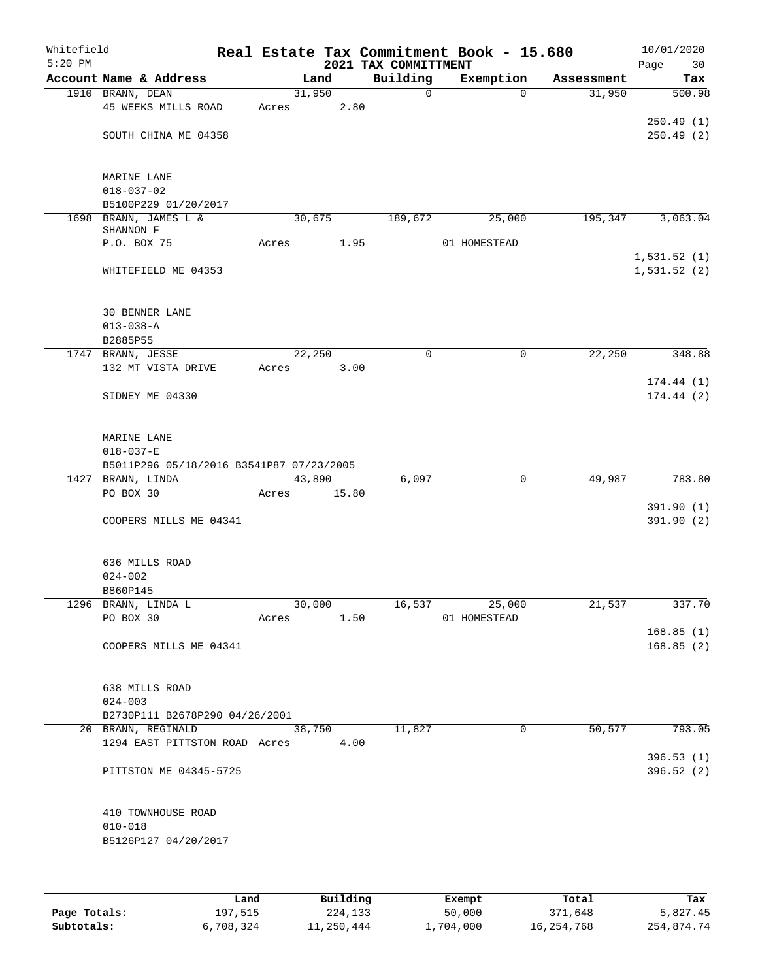| Whitefield<br>$5:20$ PM |                                                             |       |        |       | 2021 TAX COMMITTMENT | Real Estate Tax Commitment Book - 15.680 |            | Page        | 10/01/2020<br>30 |
|-------------------------|-------------------------------------------------------------|-------|--------|-------|----------------------|------------------------------------------|------------|-------------|------------------|
|                         | Account Name & Address                                      |       | Land   |       | Building             | Exemption                                | Assessment |             | Tax              |
|                         | 1910 BRANN, DEAN                                            |       | 31,950 |       | $\mathsf{O}$         | $\Omega$                                 | 31,950     |             | 500.98           |
|                         | 45 WEEKS MILLS ROAD                                         | Acres |        | 2.80  |                      |                                          |            |             |                  |
|                         |                                                             |       |        |       |                      |                                          |            |             | 250.49(1)        |
|                         | SOUTH CHINA ME 04358                                        |       |        |       |                      |                                          |            |             | 250.49(2)        |
|                         |                                                             |       |        |       |                      |                                          |            |             |                  |
|                         | MARINE LANE                                                 |       |        |       |                      |                                          |            |             |                  |
|                         | $018 - 037 - 02$                                            |       |        |       |                      |                                          |            |             |                  |
|                         | B5100P229 01/20/2017                                        |       |        |       |                      |                                          |            |             |                  |
|                         | 1698 BRANN, JAMES L &<br>SHANNON F                          |       | 30,675 |       | 189,672              | 25,000                                   | 195,347    |             | 3,063.04         |
|                         | P.O. BOX 75                                                 | Acres |        | 1.95  |                      | 01 HOMESTEAD                             |            |             |                  |
|                         |                                                             |       |        |       |                      |                                          |            | 1,531.52(1) |                  |
|                         | WHITEFIELD ME 04353                                         |       |        |       |                      |                                          |            | 1,531.52(2) |                  |
|                         |                                                             |       |        |       |                      |                                          |            |             |                  |
|                         |                                                             |       |        |       |                      |                                          |            |             |                  |
|                         | <b>30 BENNER LANE</b>                                       |       |        |       |                      |                                          |            |             |                  |
|                         | $013 - 038 - A$<br>B2885P55                                 |       |        |       |                      |                                          |            |             |                  |
|                         | 1747 BRANN, JESSE                                           |       | 22,250 |       | $\mathbf 0$          | 0                                        | 22,250     |             | 348.88           |
|                         | 132 MT VISTA DRIVE                                          | Acres |        | 3.00  |                      |                                          |            |             |                  |
|                         |                                                             |       |        |       |                      |                                          |            |             | 174.44(1)        |
|                         | SIDNEY ME 04330                                             |       |        |       |                      |                                          |            |             | 174.44(2)        |
|                         |                                                             |       |        |       |                      |                                          |            |             |                  |
|                         |                                                             |       |        |       |                      |                                          |            |             |                  |
|                         | MARINE LANE                                                 |       |        |       |                      |                                          |            |             |                  |
|                         | $018 - 037 - E$<br>B5011P296 05/18/2016 B3541P87 07/23/2005 |       |        |       |                      |                                          |            |             |                  |
| 1427                    | BRANN, LINDA                                                |       | 43,890 |       | 6,097                | $\mathbf 0$                              | 49,987     |             | 783.80           |
|                         | PO BOX 30                                                   | Acres |        | 15.80 |                      |                                          |            |             |                  |
|                         |                                                             |       |        |       |                      |                                          |            |             | 391.90 (1)       |
|                         | COOPERS MILLS ME 04341                                      |       |        |       |                      |                                          |            |             | 391.90(2)        |
|                         |                                                             |       |        |       |                      |                                          |            |             |                  |
|                         |                                                             |       |        |       |                      |                                          |            |             |                  |
|                         | 636 MILLS ROAD<br>$024 - 002$                               |       |        |       |                      |                                          |            |             |                  |
|                         | B860P145                                                    |       |        |       |                      |                                          |            |             |                  |
|                         | 1296 BRANN, LINDA L                                         |       | 30,000 |       | 16,537               | 25,000                                   | 21,537     |             | 337.70           |
|                         | PO BOX 30                                                   | Acres |        | 1.50  |                      | 01 HOMESTEAD                             |            |             |                  |
|                         |                                                             |       |        |       |                      |                                          |            |             | 168.85(1)        |
|                         | COOPERS MILLS ME 04341                                      |       |        |       |                      |                                          |            |             | 168.85(2)        |
|                         |                                                             |       |        |       |                      |                                          |            |             |                  |
|                         | 638 MILLS ROAD                                              |       |        |       |                      |                                          |            |             |                  |
|                         | $024 - 003$                                                 |       |        |       |                      |                                          |            |             |                  |
|                         | B2730P111 B2678P290 04/26/2001                              |       |        |       |                      |                                          |            |             |                  |
|                         | 20 BRANN, REGINALD                                          |       | 38,750 |       | 11,827               | 0                                        | 50,577     |             | 793.05           |
|                         | 1294 EAST PITTSTON ROAD Acres 4.00                          |       |        |       |                      |                                          |            |             |                  |
|                         |                                                             |       |        |       |                      |                                          |            |             | 396.53(1)        |
|                         | PITTSTON ME 04345-5725                                      |       |        |       |                      |                                          |            |             | 396.52(2)        |
|                         |                                                             |       |        |       |                      |                                          |            |             |                  |
|                         | 410 TOWNHOUSE ROAD                                          |       |        |       |                      |                                          |            |             |                  |
|                         | $010 - 018$                                                 |       |        |       |                      |                                          |            |             |                  |
|                         | B5126P127 04/20/2017                                        |       |        |       |                      |                                          |            |             |                  |
|                         |                                                             |       |        |       |                      |                                          |            |             |                  |
|                         |                                                             |       |        |       |                      |                                          |            |             |                  |
|                         |                                                             |       |        |       |                      |                                          |            |             |                  |

|              | Land      | Building   | Exempt    | Total      | Tax        |
|--------------|-----------|------------|-----------|------------|------------|
| Page Totals: | 197,515   | 224,133    | 50,000    | 371,648    | 5,827.45   |
| Subtotals:   | 6,708,324 | 11,250,444 | 1,704,000 | 16,254,768 | 254,874.74 |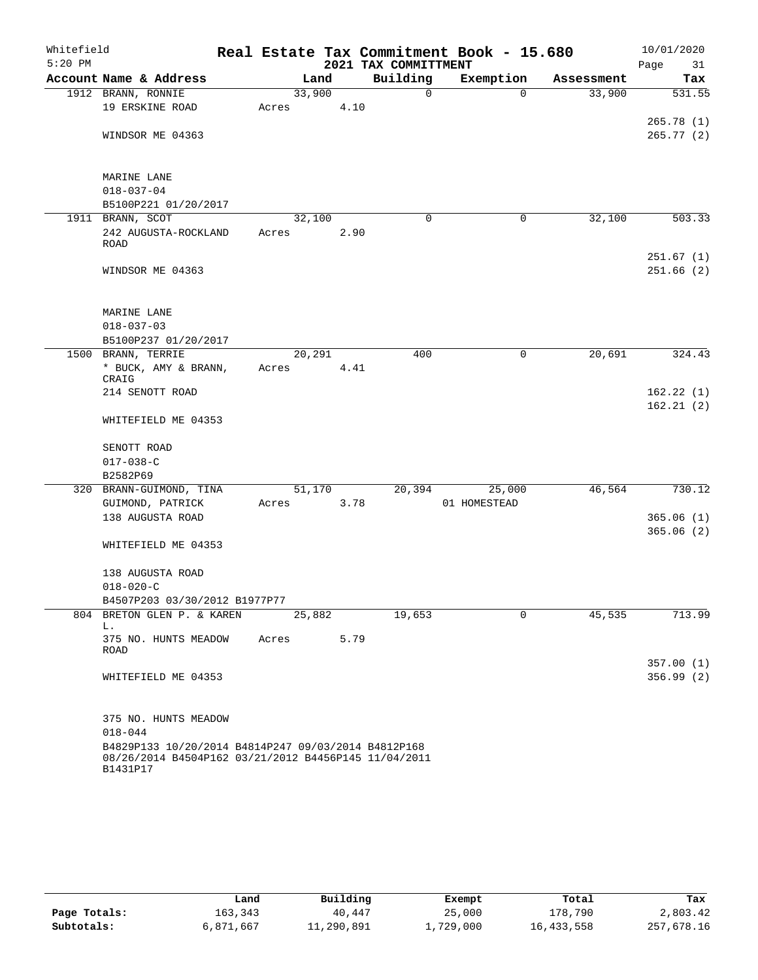| Whitefield |                                                                                                                         |       |        |      |                      | Real Estate Tax Commitment Book - 15.680 |          |            |      | 10/01/2020 |
|------------|-------------------------------------------------------------------------------------------------------------------------|-------|--------|------|----------------------|------------------------------------------|----------|------------|------|------------|
| $5:20$ PM  |                                                                                                                         |       |        |      | 2021 TAX COMMITTMENT |                                          |          |            | Page | 31         |
|            | Account Name & Address                                                                                                  |       | Land   |      | Building             | Exemption                                |          | Assessment |      | Tax        |
|            | 1912 BRANN, RONNIE                                                                                                      |       | 33,900 |      | 0                    |                                          | $\Omega$ | 33,900     |      | 531.55     |
|            | 19 ERSKINE ROAD                                                                                                         | Acres |        | 4.10 |                      |                                          |          |            |      |            |
|            |                                                                                                                         |       |        |      |                      |                                          |          |            |      | 265.78(1)  |
|            | WINDSOR ME 04363                                                                                                        |       |        |      |                      |                                          |          |            |      | 265.77(2)  |
|            |                                                                                                                         |       |        |      |                      |                                          |          |            |      |            |
|            | MARINE LANE                                                                                                             |       |        |      |                      |                                          |          |            |      |            |
|            | $018 - 037 - 04$                                                                                                        |       |        |      |                      |                                          |          |            |      |            |
|            | B5100P221 01/20/2017                                                                                                    |       |        |      |                      |                                          |          |            |      |            |
|            | 1911 BRANN, SCOT                                                                                                        |       | 32,100 |      | 0                    |                                          | 0        | 32,100     |      | 503.33     |
|            | 242 AUGUSTA-ROCKLAND                                                                                                    | Acres |        | 2.90 |                      |                                          |          |            |      |            |
|            | <b>ROAD</b>                                                                                                             |       |        |      |                      |                                          |          |            |      |            |
|            |                                                                                                                         |       |        |      |                      |                                          |          |            |      | 251.67(1)  |
|            | WINDSOR ME 04363                                                                                                        |       |        |      |                      |                                          |          |            |      | 251.66(2)  |
|            |                                                                                                                         |       |        |      |                      |                                          |          |            |      |            |
|            |                                                                                                                         |       |        |      |                      |                                          |          |            |      |            |
|            | MARINE LANE                                                                                                             |       |        |      |                      |                                          |          |            |      |            |
|            | $018 - 037 - 03$<br>B5100P237 01/20/2017                                                                                |       |        |      |                      |                                          |          |            |      |            |
|            | 1500 BRANN, TERRIE                                                                                                      |       | 20,291 |      | 400                  |                                          | 0        | 20,691     |      | 324.43     |
|            | * BUCK, AMY & BRANN,                                                                                                    | Acres |        | 4.41 |                      |                                          |          |            |      |            |
|            | CRAIG                                                                                                                   |       |        |      |                      |                                          |          |            |      |            |
|            | 214 SENOTT ROAD                                                                                                         |       |        |      |                      |                                          |          |            |      | 162.22(1)  |
|            |                                                                                                                         |       |        |      |                      |                                          |          |            |      | 162.21(2)  |
|            | WHITEFIELD ME 04353                                                                                                     |       |        |      |                      |                                          |          |            |      |            |
|            | SENOTT ROAD                                                                                                             |       |        |      |                      |                                          |          |            |      |            |
|            | $017 - 038 - C$                                                                                                         |       |        |      |                      |                                          |          |            |      |            |
|            | B2582P69                                                                                                                |       |        |      |                      |                                          |          |            |      |            |
|            | 320 BRANN-GUIMOND, TINA                                                                                                 |       | 51,170 |      | 20,394               | 25,000                                   |          | 46,564     |      | 730.12     |
|            | GUIMOND, PATRICK                                                                                                        | Acres |        | 3.78 |                      | 01 HOMESTEAD                             |          |            |      |            |
|            | 138 AUGUSTA ROAD                                                                                                        |       |        |      |                      |                                          |          |            |      | 365.06(1)  |
|            |                                                                                                                         |       |        |      |                      |                                          |          |            |      | 365.06(2)  |
|            | WHITEFIELD ME 04353                                                                                                     |       |        |      |                      |                                          |          |            |      |            |
|            |                                                                                                                         |       |        |      |                      |                                          |          |            |      |            |
|            | 138 AUGUSTA ROAD                                                                                                        |       |        |      |                      |                                          |          |            |      |            |
|            | $018 - 020 - C$                                                                                                         |       |        |      |                      |                                          |          |            |      |            |
|            | B4507P203 03/30/2012 B1977P77                                                                                           |       |        |      |                      |                                          |          |            |      |            |
|            | 804 BRETON GLEN P. & KAREN<br>L.                                                                                        |       | 25,882 |      | 19,653               |                                          | 0        | 45,535     |      | 713.99     |
|            | 375 NO. HUNTS MEADOW                                                                                                    | Acres |        | 5.79 |                      |                                          |          |            |      |            |
|            | ROAD                                                                                                                    |       |        |      |                      |                                          |          |            |      |            |
|            |                                                                                                                         |       |        |      |                      |                                          |          |            |      | 357.00(1)  |
|            | WHITEFIELD ME 04353                                                                                                     |       |        |      |                      |                                          |          |            |      | 356.99(2)  |
|            |                                                                                                                         |       |        |      |                      |                                          |          |            |      |            |
|            |                                                                                                                         |       |        |      |                      |                                          |          |            |      |            |
|            | 375 NO. HUNTS MEADOW                                                                                                    |       |        |      |                      |                                          |          |            |      |            |
|            | $018 - 044$                                                                                                             |       |        |      |                      |                                          |          |            |      |            |
|            | B4829P133 10/20/2014 B4814P247 09/03/2014 B4812P168<br>08/26/2014 B4504P162 03/21/2012 B4456P145 11/04/2011<br>B1431P17 |       |        |      |                      |                                          |          |            |      |            |

|              | Land      | Building   | Exempt    | Total        | Tax        |
|--------------|-----------|------------|-----------|--------------|------------|
| Page Totals: | 163,343   | 40,447     | 25,000    | 178,790      | 2,803.42   |
| Subtotals:   | 6,871,667 | 11,290,891 | 1,729,000 | 16, 433, 558 | 257,678.16 |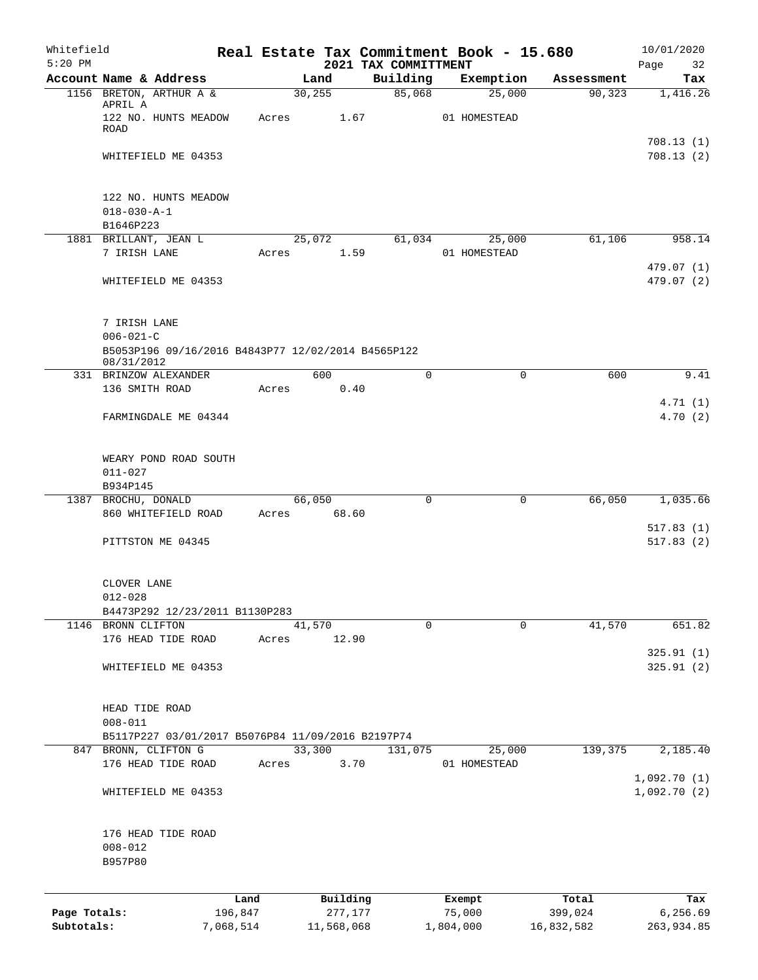| Whitefield   |                                                          |                                                    |       |            |                                  | Real Estate Tax Commitment Book - 15.680 |                       | 10/01/2020                 |
|--------------|----------------------------------------------------------|----------------------------------------------------|-------|------------|----------------------------------|------------------------------------------|-----------------------|----------------------------|
| $5:20$ PM    | Account Name & Address                                   |                                                    |       | Land       | 2021 TAX COMMITTMENT<br>Building | Exemption                                | Assessment            | Page<br>32<br>Tax          |
|              | 1156 BRETON, ARTHUR A &                                  |                                                    |       | 30, 255    | 85,068                           | 25,000                                   | 90, 323               | 1,416.26                   |
|              | APRIL A<br>122 NO. HUNTS MEADOW<br>ROAD                  |                                                    | Acres | 1.67       |                                  | 01 HOMESTEAD                             |                       |                            |
|              | WHITEFIELD ME 04353                                      |                                                    |       |            |                                  |                                          |                       | 708.13(1)<br>708.13(2)     |
|              | 122 NO. HUNTS MEADOW<br>$018 - 030 - A - 1$<br>B1646P223 |                                                    |       |            |                                  |                                          |                       |                            |
|              | 1881 BRILLANT, JEAN L                                    |                                                    |       | 25,072     | 61,034                           | 25,000                                   | 61,106                | 958.14                     |
|              | 7 IRISH LANE                                             |                                                    | Acres | 1.59       |                                  | 01 HOMESTEAD                             |                       |                            |
|              | WHITEFIELD ME 04353                                      |                                                    |       |            |                                  |                                          |                       | 479.07 (1)<br>479.07 (2)   |
|              | 7 IRISH LANE<br>$006 - 021 - C$                          |                                                    |       |            |                                  |                                          |                       |                            |
|              |                                                          | B5053P196 09/16/2016 B4843P77 12/02/2014 B4565P122 |       |            |                                  |                                          |                       |                            |
|              | 08/31/2012<br>331 BRINZOW ALEXANDER                      |                                                    |       | 600        | 0                                | $\mathbf 0$                              | 600                   | 9.41                       |
|              | 136 SMITH ROAD                                           |                                                    | Acres | 0.40       |                                  |                                          |                       |                            |
|              |                                                          |                                                    |       |            |                                  |                                          |                       | 4.71(1)                    |
|              | FARMINGDALE ME 04344                                     |                                                    |       |            |                                  |                                          |                       | 4.70(2)                    |
|              | WEARY POND ROAD SOUTH<br>$011 - 027$                     |                                                    |       |            |                                  |                                          |                       |                            |
|              | B934P145                                                 |                                                    |       |            |                                  |                                          |                       |                            |
|              | 1387 BROCHU, DONALD                                      |                                                    |       | 66,050     | 0                                |                                          | 66,050<br>0           | 1,035.66                   |
|              | 860 WHITEFIELD ROAD                                      |                                                    | Acres | 68.60      |                                  |                                          |                       | 517.83(1)                  |
|              | PITTSTON ME 04345                                        |                                                    |       |            |                                  |                                          |                       | 517.83(2)                  |
|              | CLOVER LANE                                              |                                                    |       |            |                                  |                                          |                       |                            |
|              | $012 - 028$                                              | B4473P292 12/23/2011 B1130P283                     |       |            |                                  |                                          |                       |                            |
|              | 1146 BRONN CLIFTON                                       |                                                    |       | 41,570     | $\Omega$                         |                                          | $\mathbf 0$<br>41,570 | 651.82                     |
|              | 176 HEAD TIDE ROAD                                       |                                                    | Acres | 12.90      |                                  |                                          |                       |                            |
|              | WHITEFIELD ME 04353                                      |                                                    |       |            |                                  |                                          |                       | 325.91(1)<br>325.91(2)     |
|              | HEAD TIDE ROAD<br>$008 - 011$                            |                                                    |       |            |                                  |                                          |                       |                            |
|              |                                                          | B5117P227 03/01/2017 B5076P84 11/09/2016 B2197P74  |       |            |                                  |                                          |                       |                            |
|              | 847 BRONN, CLIFTON G                                     |                                                    |       | 33,300     | 131,075                          | 25,000                                   | 139,375               | 2,185.40                   |
|              | 176 HEAD TIDE ROAD                                       |                                                    | Acres | 3.70       |                                  | 01 HOMESTEAD                             |                       |                            |
|              | WHITEFIELD ME 04353                                      |                                                    |       |            |                                  |                                          |                       | 1,092.70(1)<br>1,092.70(2) |
|              |                                                          |                                                    |       |            |                                  |                                          |                       |                            |
|              | 176 HEAD TIDE ROAD                                       |                                                    |       |            |                                  |                                          |                       |                            |
|              | $008 - 012$<br>B957P80                                   |                                                    |       |            |                                  |                                          |                       |                            |
|              |                                                          | Land                                               |       | Building   |                                  | Exempt                                   | Total                 | Tax                        |
| Page Totals: |                                                          | 196,847                                            |       | 277,177    |                                  | 75,000                                   | 399,024               | 6,256.69                   |
| Subtotals:   |                                                          | 7,068,514                                          |       | 11,568,068 |                                  | 1,804,000                                | 16,832,582            | 263,934.85                 |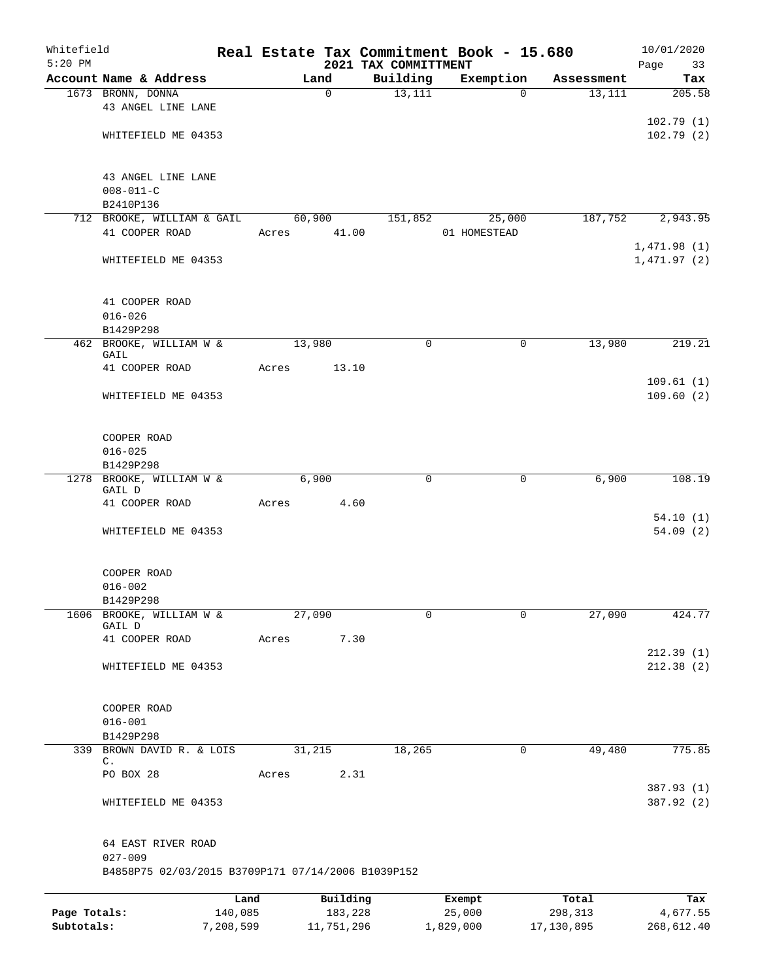| Whitefield<br>$5:20$ PM |                                                    |           |       |        |             | 2021 TAX COMMITTMENT | Real Estate Tax Commitment Book - 15.680 |             | 10/01/2020<br>Page<br>33 |
|-------------------------|----------------------------------------------------|-----------|-------|--------|-------------|----------------------|------------------------------------------|-------------|--------------------------|
|                         | Account Name & Address                             |           |       | Land   |             | Building             | Exemption                                | Assessment  | Tax                      |
|                         | 1673 BRONN, DONNA                                  |           |       |        | $\mathbf 0$ | 13,111               | $\Omega$                                 | 13,111      | 205.58                   |
|                         | 43 ANGEL LINE LANE                                 |           |       |        |             |                      |                                          |             |                          |
|                         |                                                    |           |       |        |             |                      |                                          |             | 102.79(1)                |
|                         | WHITEFIELD ME 04353                                |           |       |        |             |                      |                                          |             | 102.79(2)                |
|                         |                                                    |           |       |        |             |                      |                                          |             |                          |
|                         |                                                    |           |       |        |             |                      |                                          |             |                          |
|                         | 43 ANGEL LINE LANE                                 |           |       |        |             |                      |                                          |             |                          |
|                         | $008 - 011 - C$                                    |           |       |        |             |                      |                                          |             |                          |
|                         | B2410P136                                          |           |       |        |             |                      |                                          |             |                          |
|                         | 712 BROOKE, WILLIAM & GAIL                         |           |       | 60,900 |             | 151,852              | 25,000                                   | 187,752     | 2,943.95                 |
|                         | 41 COOPER ROAD                                     |           | Acres |        | 41.00       |                      | 01 HOMESTEAD                             |             |                          |
|                         |                                                    |           |       |        |             |                      |                                          |             | 1,471.98(1)              |
|                         | WHITEFIELD ME 04353                                |           |       |        |             |                      |                                          |             | 1,471.97(2)              |
|                         |                                                    |           |       |        |             |                      |                                          |             |                          |
|                         |                                                    |           |       |        |             |                      |                                          |             |                          |
|                         | 41 COOPER ROAD                                     |           |       |        |             |                      |                                          |             |                          |
|                         | $016 - 026$<br>B1429P298                           |           |       |        |             |                      |                                          |             |                          |
|                         | 462 BROOKE, WILLIAM W &                            |           |       | 13,980 |             | $\mathbf 0$          | 0                                        | 13,980      | 219.21                   |
|                         | GAIL                                               |           |       |        |             |                      |                                          |             |                          |
|                         | 41 COOPER ROAD                                     |           | Acres |        | 13.10       |                      |                                          |             |                          |
|                         |                                                    |           |       |        |             |                      |                                          |             | 109.61(1)                |
|                         | WHITEFIELD ME 04353                                |           |       |        |             |                      |                                          |             | 109.60(2)                |
|                         |                                                    |           |       |        |             |                      |                                          |             |                          |
|                         |                                                    |           |       |        |             |                      |                                          |             |                          |
|                         | COOPER ROAD                                        |           |       |        |             |                      |                                          |             |                          |
|                         | $016 - 025$                                        |           |       |        |             |                      |                                          |             |                          |
|                         | B1429P298                                          |           |       |        |             |                      |                                          |             |                          |
| 1278                    | BROOKE, WILLIAM W &                                |           |       | 6,900  |             | 0                    | 0                                        | 6,900       | 108.19                   |
|                         | GAIL D                                             |           |       |        |             |                      |                                          |             |                          |
|                         | 41 COOPER ROAD                                     |           | Acres |        | 4.60        |                      |                                          |             |                          |
|                         | WHITEFIELD ME 04353                                |           |       |        |             |                      |                                          |             | 54.10(1)<br>54.09(2)     |
|                         |                                                    |           |       |        |             |                      |                                          |             |                          |
|                         |                                                    |           |       |        |             |                      |                                          |             |                          |
|                         | COOPER ROAD                                        |           |       |        |             |                      |                                          |             |                          |
|                         | $016 - 002$                                        |           |       |        |             |                      |                                          |             |                          |
|                         | B1429P298                                          |           |       |        |             |                      |                                          |             |                          |
| 1606                    | BROOKE, WILLIAM W &                                |           |       | 27,090 |             | 0                    | 0                                        | 27,090      | 424.77                   |
|                         | GAIL D                                             |           |       |        |             |                      |                                          |             |                          |
|                         | 41 COOPER ROAD                                     |           | Acres |        | 7.30        |                      |                                          |             |                          |
|                         |                                                    |           |       |        |             |                      |                                          |             | 212.39(1)                |
|                         | WHITEFIELD ME 04353                                |           |       |        |             |                      |                                          |             | 212.38(2)                |
|                         |                                                    |           |       |        |             |                      |                                          |             |                          |
|                         |                                                    |           |       |        |             |                      |                                          |             |                          |
|                         | COOPER ROAD<br>$016 - 001$                         |           |       |        |             |                      |                                          |             |                          |
|                         |                                                    |           |       |        |             |                      |                                          |             |                          |
| 339                     | B1429P298<br>BROWN DAVID R. & LOIS                 |           |       | 31,215 |             | 18,265               |                                          | 49,480<br>0 | 775.85                   |
|                         | С.                                                 |           |       |        |             |                      |                                          |             |                          |
|                         | PO BOX 28                                          |           | Acres |        | 2.31        |                      |                                          |             |                          |
|                         |                                                    |           |       |        |             |                      |                                          |             | 387.93 (1)               |
|                         | WHITEFIELD ME 04353                                |           |       |        |             |                      |                                          |             | 387.92 (2)               |
|                         |                                                    |           |       |        |             |                      |                                          |             |                          |
|                         |                                                    |           |       |        |             |                      |                                          |             |                          |
|                         | 64 EAST RIVER ROAD                                 |           |       |        |             |                      |                                          |             |                          |
|                         | $027 - 009$                                        |           |       |        |             |                      |                                          |             |                          |
|                         | B4858P75 02/03/2015 B3709P171 07/14/2006 B1039P152 |           |       |        |             |                      |                                          |             |                          |
|                         |                                                    |           |       |        |             |                      |                                          |             |                          |
|                         |                                                    | Land      |       |        | Building    |                      | Exempt                                   | Total       | Tax                      |
| Page Totals:            |                                                    | 140,085   |       |        | 183,228     |                      | 25,000                                   | 298,313     | 4,677.55                 |
| Subtotals:              |                                                    | 7,208,599 |       |        | 11,751,296  |                      | 1,829,000                                | 17,130,895  | 268,612.40               |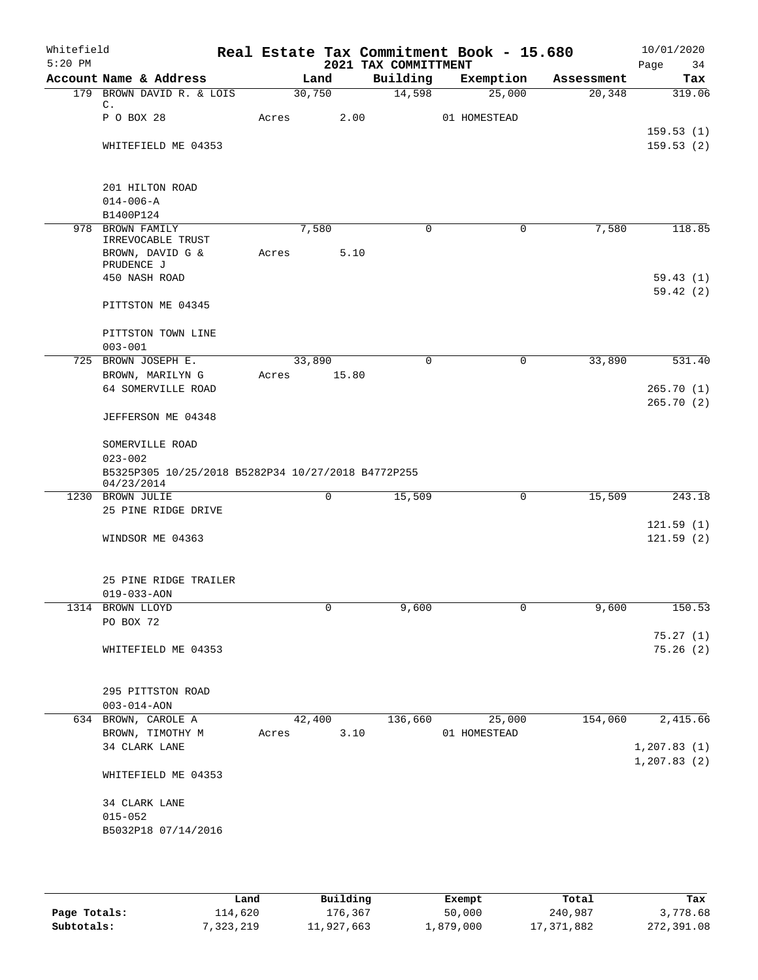| Whitefield<br>$5:20$ PM |                                                                  |       |        |       | 2021 TAX COMMITTMENT | Real Estate Tax Commitment Book - 15.680 |            | 10/01/2020<br>Page<br>34 |
|-------------------------|------------------------------------------------------------------|-------|--------|-------|----------------------|------------------------------------------|------------|--------------------------|
|                         | Account Name & Address                                           |       | Land   |       | Building             | Exemption                                | Assessment | Tax                      |
|                         | 179 BROWN DAVID R. & LOIS                                        |       | 30,750 |       | 14,598               | 25,000                                   | 20, 348    | 319.06                   |
|                         | $\mathsf{C}$ .<br>P O BOX 28                                     | Acres |        | 2.00  |                      | 01 HOMESTEAD                             |            |                          |
|                         |                                                                  |       |        |       |                      |                                          |            | 159.53(1)                |
|                         | WHITEFIELD ME 04353                                              |       |        |       |                      |                                          |            | 159.53(2)                |
|                         | 201 HILTON ROAD                                                  |       |        |       |                      |                                          |            |                          |
|                         | $014 - 006 - A$                                                  |       |        |       |                      |                                          |            |                          |
|                         | B1400P124                                                        |       |        |       |                      |                                          |            |                          |
| 978                     | BROWN FAMILY                                                     |       | 7,580  |       | 0                    | 0                                        | 7,580      | 118.85                   |
|                         | IRREVOCABLE TRUST                                                |       |        |       |                      |                                          |            |                          |
|                         | BROWN, DAVID G &<br>PRUDENCE J                                   | Acres |        | 5.10  |                      |                                          |            |                          |
|                         | 450 NASH ROAD                                                    |       |        |       |                      |                                          |            | 59.43(1)                 |
|                         |                                                                  |       |        |       |                      |                                          |            | 59.42(2)                 |
|                         | PITTSTON ME 04345                                                |       |        |       |                      |                                          |            |                          |
|                         | PITTSTON TOWN LINE                                               |       |        |       |                      |                                          |            |                          |
|                         | $003 - 001$                                                      |       |        |       |                      |                                          |            |                          |
| 725                     | BROWN JOSEPH E.                                                  |       | 33,890 |       | $\mathbf 0$          | $\mathbf 0$                              | 33,890     | 531.40                   |
|                         | BROWN, MARILYN G                                                 | Acres |        | 15.80 |                      |                                          |            |                          |
|                         | 64 SOMERVILLE ROAD                                               |       |        |       |                      |                                          |            | 265.70(1)                |
|                         | JEFFERSON ME 04348                                               |       |        |       |                      |                                          |            | 265.70(2)                |
|                         | SOMERVILLE ROAD                                                  |       |        |       |                      |                                          |            |                          |
|                         | $023 - 002$                                                      |       |        |       |                      |                                          |            |                          |
|                         | B5325P305 10/25/2018 B5282P34 10/27/2018 B4772P255<br>04/23/2014 |       |        |       |                      |                                          |            |                          |
|                         | 1230 BROWN JULIE                                                 |       | 0      |       | 15,509               | 0                                        | 15,509     | 243.18                   |
|                         | 25 PINE RIDGE DRIVE                                              |       |        |       |                      |                                          |            |                          |
|                         |                                                                  |       |        |       |                      |                                          |            | 121.59(1)                |
|                         | WINDSOR ME 04363                                                 |       |        |       |                      |                                          |            | 121.59(2)                |
|                         | 25 PINE RIDGE TRAILER                                            |       |        |       |                      |                                          |            |                          |
|                         | $019 - 033 - AON$                                                |       |        |       |                      |                                          |            |                          |
|                         | 1314 BROWN LLOYD                                                 |       | 0      |       | 9,600                | 0                                        | 9,600      | 150.53                   |
|                         | PO BOX 72                                                        |       |        |       |                      |                                          |            |                          |
|                         |                                                                  |       |        |       |                      |                                          |            | 75.27(1)                 |
|                         | WHITEFIELD ME 04353                                              |       |        |       |                      |                                          |            | 75.26(2)                 |
|                         | 295 PITTSTON ROAD                                                |       |        |       |                      |                                          |            |                          |
|                         | $003 - 014 - AON$                                                |       |        |       |                      |                                          |            |                          |
|                         | 634 BROWN, CAROLE A                                              |       | 42,400 |       | 136,660              | 25,000                                   | 154,060    | 2,415.66                 |
|                         | BROWN, TIMOTHY M                                                 | Acres |        | 3.10  |                      | 01 HOMESTEAD                             |            |                          |
|                         | 34 CLARK LANE                                                    |       |        |       |                      |                                          |            | 1, 207.83(1)             |
|                         | WHITEFIELD ME 04353                                              |       |        |       |                      |                                          |            | 1, 207.83(2)             |
|                         |                                                                  |       |        |       |                      |                                          |            |                          |
|                         | 34 CLARK LANE                                                    |       |        |       |                      |                                          |            |                          |
|                         | $015 - 052$                                                      |       |        |       |                      |                                          |            |                          |
|                         | B5032P18 07/14/2016                                              |       |        |       |                      |                                          |            |                          |
|                         |                                                                  |       |        |       |                      |                                          |            |                          |

|              | Land      | Building   | Exempt    | Total      | Tax        |
|--------------|-----------|------------|-----------|------------|------------|
| Page Totals: | 114,620   | 176,367    | 50,000    | 240,987    | 3,778.68   |
| Subtotals:   | 7,323,219 | 11,927,663 | 1,879,000 | 17,371,882 | 272,391.08 |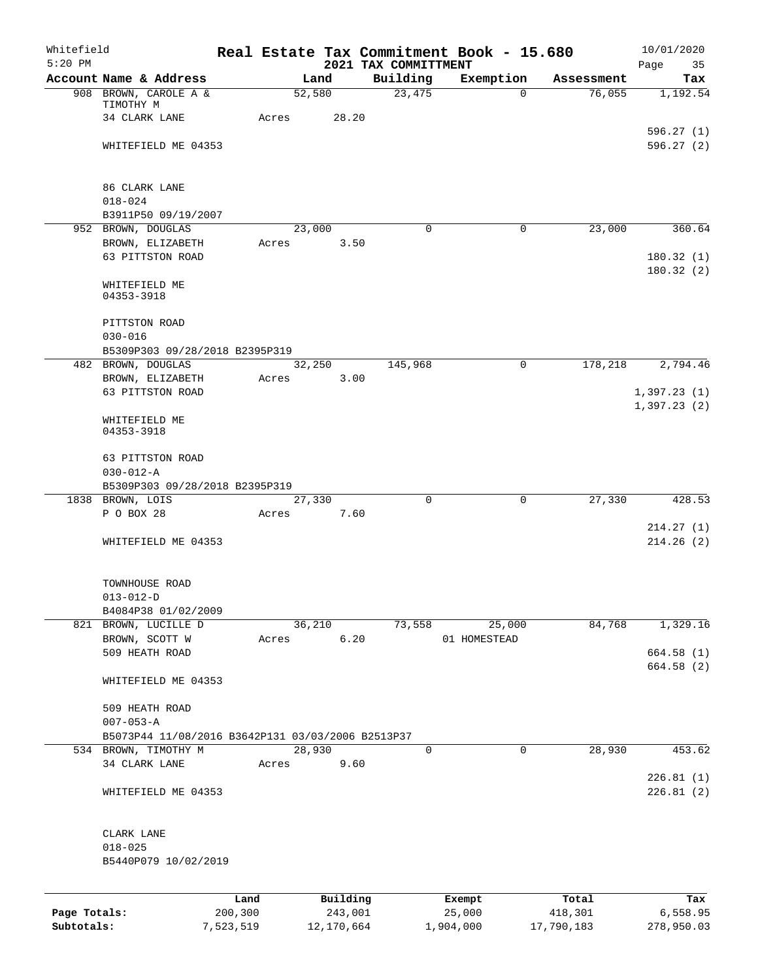| Whitefield<br>$5:20$ PM |                                                   |           |       |            |      |                                  | Real Estate Tax Commitment Book - 15.680 |            | 10/01/2020              |
|-------------------------|---------------------------------------------------|-----------|-------|------------|------|----------------------------------|------------------------------------------|------------|-------------------------|
|                         | Account Name & Address                            |           |       | Land       |      | 2021 TAX COMMITTMENT<br>Building | Exemption                                | Assessment | Page<br>35<br>Tax       |
|                         | 908 BROWN, CAROLE A &                             |           |       | 52,580     |      | 23,475                           | $\Omega$                                 | 76,055     | 1,192.54                |
|                         | TIMOTHY M                                         |           |       |            |      |                                  |                                          |            |                         |
|                         | 34 CLARK LANE                                     |           | Acres | 28.20      |      |                                  |                                          |            |                         |
|                         | WHITEFIELD ME 04353                               |           |       |            |      |                                  |                                          |            | 596.27 (1)<br>596.27(2) |
|                         |                                                   |           |       |            |      |                                  |                                          |            |                         |
|                         | 86 CLARK LANE                                     |           |       |            |      |                                  |                                          |            |                         |
|                         | $018 - 024$                                       |           |       |            |      |                                  |                                          |            |                         |
|                         | B3911P50 09/19/2007                               |           |       |            |      |                                  |                                          |            |                         |
|                         | 952 BROWN, DOUGLAS                                |           |       | 23,000     |      | $\Omega$                         | $\mathbf 0$                              | 23,000     | 360.64                  |
|                         | BROWN, ELIZABETH                                  |           | Acres |            | 3.50 |                                  |                                          |            |                         |
|                         | 63 PITTSTON ROAD                                  |           |       |            |      |                                  |                                          |            | 180.32(1)<br>180.32(2)  |
|                         | WHITEFIELD ME                                     |           |       |            |      |                                  |                                          |            |                         |
|                         | 04353-3918                                        |           |       |            |      |                                  |                                          |            |                         |
|                         | PITTSTON ROAD                                     |           |       |            |      |                                  |                                          |            |                         |
|                         | $030 - 016$                                       |           |       |            |      |                                  |                                          |            |                         |
|                         | B5309P303 09/28/2018 B2395P319                    |           |       |            |      |                                  |                                          |            |                         |
|                         | 482 BROWN, DOUGLAS                                |           |       | 32,250     |      | 145,968                          | $\mathbf 0$                              | 178,218    | 2,794.46                |
|                         | BROWN, ELIZABETH                                  |           | Acres |            | 3.00 |                                  |                                          |            |                         |
|                         | 63 PITTSTON ROAD                                  |           |       |            |      |                                  |                                          |            | 1,397.23(1)             |
|                         | WHITEFIELD ME                                     |           |       |            |      |                                  |                                          |            | 1,397.23(2)             |
|                         | 04353-3918                                        |           |       |            |      |                                  |                                          |            |                         |
|                         | 63 PITTSTON ROAD                                  |           |       |            |      |                                  |                                          |            |                         |
|                         | $030 - 012 - A$                                   |           |       |            |      |                                  |                                          |            |                         |
|                         | B5309P303 09/28/2018 B2395P319                    |           |       |            |      |                                  |                                          |            |                         |
|                         | 1838 BROWN, LOIS                                  |           |       | 27,330     |      | $\Omega$                         | $\mathbf 0$                              | 27,330     | 428.53                  |
|                         | P O BOX 28                                        |           | Acres |            | 7.60 |                                  |                                          |            |                         |
|                         | WHITEFIELD ME 04353                               |           |       |            |      |                                  |                                          |            | 214.27(1)<br>214.26(2)  |
|                         |                                                   |           |       |            |      |                                  |                                          |            |                         |
|                         |                                                   |           |       |            |      |                                  |                                          |            |                         |
|                         | TOWNHOUSE ROAD<br>$013 - 012 - D$                 |           |       |            |      |                                  |                                          |            |                         |
|                         | B4084P38 01/02/2009                               |           |       |            |      |                                  |                                          |            |                         |
|                         | 821 BROWN, LUCILLE D                              |           |       | 36,210     |      | 73,558                           | 25,000                                   | 84,768     | 1,329.16                |
|                         | BROWN, SCOTT W                                    |           | Acres |            | 6.20 |                                  | 01 HOMESTEAD                             |            |                         |
|                         | 509 HEATH ROAD                                    |           |       |            |      |                                  |                                          |            | 664.58 (1)              |
|                         |                                                   |           |       |            |      |                                  |                                          |            | 664.58 (2)              |
|                         | WHITEFIELD ME 04353                               |           |       |            |      |                                  |                                          |            |                         |
|                         | 509 HEATH ROAD                                    |           |       |            |      |                                  |                                          |            |                         |
|                         | $007 - 053 - A$                                   |           |       |            |      |                                  |                                          |            |                         |
|                         | B5073P44 11/08/2016 B3642P131 03/03/2006 B2513P37 |           |       |            |      |                                  |                                          |            |                         |
|                         | 534 BROWN, TIMOTHY M                              |           |       | 28,930     |      | $\mathbf 0$                      | 0                                        | 28,930     | 453.62                  |
|                         | 34 CLARK LANE                                     |           | Acres |            | 9.60 |                                  |                                          |            | 226.81(1)               |
|                         | WHITEFIELD ME 04353                               |           |       |            |      |                                  |                                          |            | 226.81(2)               |
|                         |                                                   |           |       |            |      |                                  |                                          |            |                         |
|                         | CLARK LANE                                        |           |       |            |      |                                  |                                          |            |                         |
|                         | $018 - 025$                                       |           |       |            |      |                                  |                                          |            |                         |
|                         | B5440P079 10/02/2019                              |           |       |            |      |                                  |                                          |            |                         |
|                         |                                                   | Land      |       | Building   |      |                                  | Exempt                                   | Total      | Tax                     |
| Page Totals:            |                                                   | 200,300   |       | 243,001    |      |                                  | 25,000                                   | 418,301    | 6,558.95                |
| Subtotals:              |                                                   | 7,523,519 |       | 12,170,664 |      |                                  | 1,904,000                                | 17,790,183 | 278,950.03              |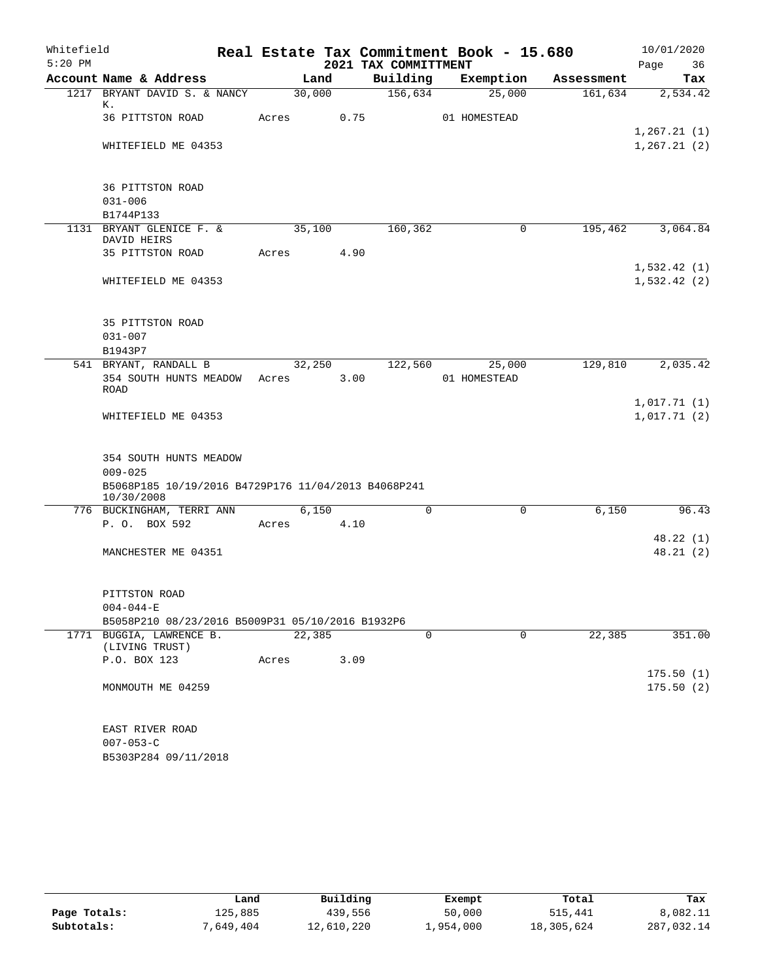| Whitefield |                                                                   |       |        |      | Real Estate Tax Commitment Book - 15.680 |              |             |            |      | 10/01/2020   |
|------------|-------------------------------------------------------------------|-------|--------|------|------------------------------------------|--------------|-------------|------------|------|--------------|
| $5:20$ PM  |                                                                   |       |        |      | 2021 TAX COMMITTMENT                     |              |             |            | Page | 36           |
|            | Account Name & Address                                            |       | Land   |      | Building                                 |              | Exemption   | Assessment |      | Tax          |
|            | 1217 BRYANT DAVID S. & NANCY                                      |       | 30,000 |      | 156,634                                  |              | 25,000      | 161,634    |      | 2,534.42     |
|            | К.<br>36 PITTSTON ROAD                                            | Acres |        | 0.75 |                                          | 01 HOMESTEAD |             |            |      |              |
|            |                                                                   |       |        |      |                                          |              |             |            |      | 1, 267.21(1) |
|            | WHITEFIELD ME 04353                                               |       |        |      |                                          |              |             |            |      | 1, 267.21(2) |
|            |                                                                   |       |        |      |                                          |              |             |            |      |              |
|            | 36 PITTSTON ROAD                                                  |       |        |      |                                          |              |             |            |      |              |
|            | $031 - 006$                                                       |       |        |      |                                          |              |             |            |      |              |
|            | B1744P133                                                         |       |        |      |                                          |              |             |            |      |              |
|            | 1131 BRYANT GLENICE F. &                                          |       | 35,100 |      | 160,362                                  |              | 0           | 195,462    |      | 3,064.84     |
|            | DAVID HEIRS                                                       |       |        |      |                                          |              |             |            |      |              |
|            | 35 PITTSTON ROAD                                                  | Acres |        | 4.90 |                                          |              |             |            |      |              |
|            |                                                                   |       |        |      |                                          |              |             |            |      | 1,532.42(1)  |
|            | WHITEFIELD ME 04353                                               |       |        |      |                                          |              |             |            |      | 1,532.42(2)  |
|            |                                                                   |       |        |      |                                          |              |             |            |      |              |
|            |                                                                   |       |        |      |                                          |              |             |            |      |              |
|            | 35 PITTSTON ROAD                                                  |       |        |      |                                          |              |             |            |      |              |
|            | $031 - 007$                                                       |       |        |      |                                          |              |             |            |      |              |
|            | B1943P7<br>541 BRYANT, RANDALL B                                  |       | 32,250 |      | 122,560                                  |              |             | 129,810    |      | 2,035.42     |
|            | 354 SOUTH HUNTS MEADOW Acres                                      |       |        | 3.00 |                                          | 01 HOMESTEAD | 25,000      |            |      |              |
|            | <b>ROAD</b>                                                       |       |        |      |                                          |              |             |            |      |              |
|            |                                                                   |       |        |      |                                          |              |             |            |      | 1,017.71(1)  |
|            | WHITEFIELD ME 04353                                               |       |        |      |                                          |              |             |            |      | 1,017.71(2)  |
|            |                                                                   |       |        |      |                                          |              |             |            |      |              |
|            |                                                                   |       |        |      |                                          |              |             |            |      |              |
|            | 354 SOUTH HUNTS MEADOW                                            |       |        |      |                                          |              |             |            |      |              |
|            | $009 - 025$                                                       |       |        |      |                                          |              |             |            |      |              |
|            | B5068P185 10/19/2016 B4729P176 11/04/2013 B4068P241<br>10/30/2008 |       |        |      |                                          |              |             |            |      |              |
|            | 776 BUCKINGHAM, TERRI ANN                                         |       | 6,150  |      | $\Omega$                                 |              | 0           | 6,150      |      | 96.43        |
|            | P. O. BOX 592                                                     | Acres |        | 4.10 |                                          |              |             |            |      |              |
|            |                                                                   |       |        |      |                                          |              |             |            |      | 48.22(1)     |
|            | MANCHESTER ME 04351                                               |       |        |      |                                          |              |             |            |      | 48.21(2)     |
|            |                                                                   |       |        |      |                                          |              |             |            |      |              |
|            |                                                                   |       |        |      |                                          |              |             |            |      |              |
|            | PITTSTON ROAD                                                     |       |        |      |                                          |              |             |            |      |              |
|            | $004 - 044 - E$                                                   |       |        |      |                                          |              |             |            |      |              |
|            | B5058P210 08/23/2016 B5009P31 05/10/2016 B1932P6                  |       |        |      |                                          |              |             |            |      |              |
|            | 1771 BUGGIA, LAWRENCE B.<br>(LIVING TRUST)                        |       | 22,385 |      | $\mathbf 0$                              |              | $\mathbf 0$ | 22,385     |      | 351.00       |
|            | P.O. BOX 123                                                      | Acres |        | 3.09 |                                          |              |             |            |      |              |
|            |                                                                   |       |        |      |                                          |              |             |            |      | 175.50(1)    |
|            | MONMOUTH ME 04259                                                 |       |        |      |                                          |              |             |            |      | 175.50(2)    |
|            |                                                                   |       |        |      |                                          |              |             |            |      |              |
|            | EAST RIVER ROAD                                                   |       |        |      |                                          |              |             |            |      |              |
|            | $007 - 053 - C$                                                   |       |        |      |                                          |              |             |            |      |              |
|            | B5303P284 09/11/2018                                              |       |        |      |                                          |              |             |            |      |              |
|            |                                                                   |       |        |      |                                          |              |             |            |      |              |

|              | Land      | Building   | Exempt    | Total      | Tax        |
|--------------|-----------|------------|-----------|------------|------------|
| Page Totals: | 125,885   | 439,556    | 50,000    | 515,441    | 8,082.11   |
| Subtotals:   | 7,649,404 | 12,610,220 | 1,954,000 | 18,305,624 | 287,032.14 |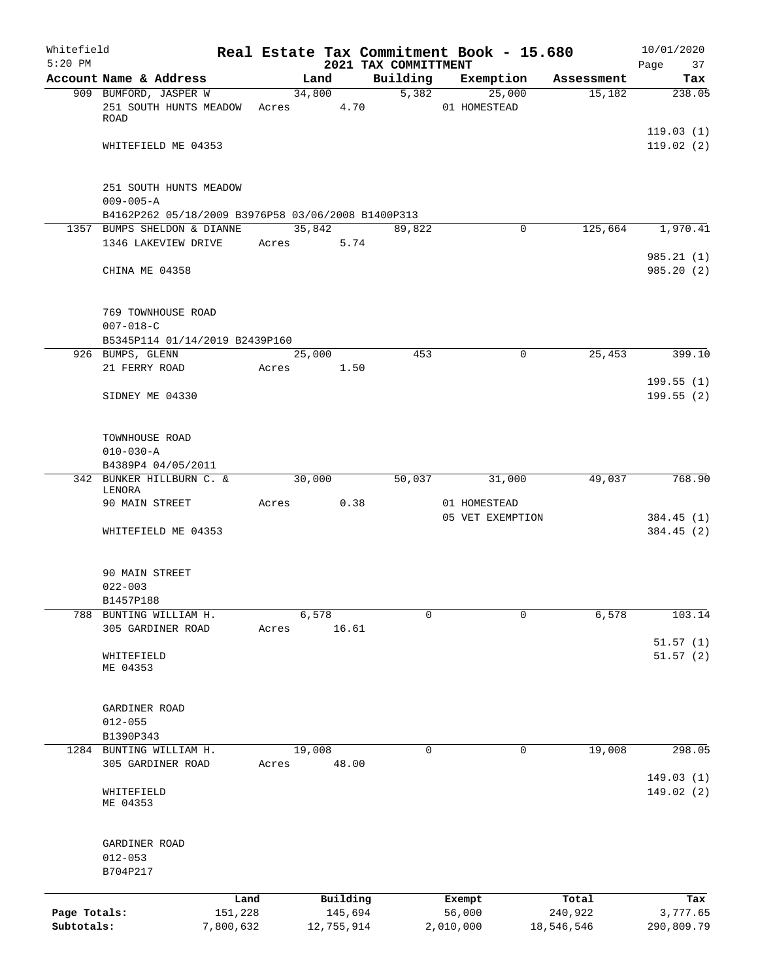| Whitefield   |                                                    |           |       |                |          |                                  | Real Estate Tax Commitment Book - 15.680 |                      | 10/01/2020    |
|--------------|----------------------------------------------------|-----------|-------|----------------|----------|----------------------------------|------------------------------------------|----------------------|---------------|
| $5:20$ PM    | Account Name & Address                             |           |       |                |          | 2021 TAX COMMITTMENT<br>Building |                                          |                      | Page<br>37    |
|              | 909 BUMFORD, JASPER W                              |           |       | Land<br>34,800 |          | 5,382                            | Exemption<br>25,000                      | Assessment<br>15,182 | Tax<br>238.05 |
|              | 251 SOUTH HUNTS MEADOW                             |           |       | Acres          | 4.70     |                                  | 01 HOMESTEAD                             |                      |               |
|              | <b>ROAD</b>                                        |           |       |                |          |                                  |                                          |                      |               |
|              |                                                    |           |       |                |          |                                  |                                          |                      | 119.03(1)     |
|              | WHITEFIELD ME 04353                                |           |       |                |          |                                  |                                          |                      | 119.02(2)     |
|              |                                                    |           |       |                |          |                                  |                                          |                      |               |
|              |                                                    |           |       |                |          |                                  |                                          |                      |               |
|              | 251 SOUTH HUNTS MEADOW                             |           |       |                |          |                                  |                                          |                      |               |
|              | $009 - 005 - A$                                    |           |       |                |          |                                  |                                          |                      |               |
|              | B4162P262 05/18/2009 B3976P58 03/06/2008 B1400P313 |           |       |                |          |                                  |                                          |                      |               |
|              | 1357 BUMPS SHELDON & DIANNE<br>1346 LAKEVIEW DRIVE |           |       | 35,842         | 5.74     | 89,822                           | 0                                        | 125,664              | 1,970.41      |
|              |                                                    |           |       | Acres          |          |                                  |                                          |                      | 985.21(1)     |
|              | CHINA ME 04358                                     |           |       |                |          |                                  |                                          |                      | 985.20(2)     |
|              |                                                    |           |       |                |          |                                  |                                          |                      |               |
|              |                                                    |           |       |                |          |                                  |                                          |                      |               |
|              | 769 TOWNHOUSE ROAD                                 |           |       |                |          |                                  |                                          |                      |               |
|              | $007 - 018 - C$                                    |           |       |                |          |                                  |                                          |                      |               |
|              | B5345P114 01/14/2019 B2439P160                     |           |       |                |          |                                  |                                          |                      |               |
|              | 926 BUMPS, GLENN                                   |           |       | 25,000         |          | 453                              | $\mathbf 0$                              | 25,453               | 399.10        |
|              | 21 FERRY ROAD                                      |           | Acres |                | 1.50     |                                  |                                          |                      |               |
|              |                                                    |           |       |                |          |                                  |                                          |                      | 199.55(1)     |
|              | SIDNEY ME 04330                                    |           |       |                |          |                                  |                                          |                      | 199.55(2)     |
|              |                                                    |           |       |                |          |                                  |                                          |                      |               |
|              |                                                    |           |       |                |          |                                  |                                          |                      |               |
|              | TOWNHOUSE ROAD                                     |           |       |                |          |                                  |                                          |                      |               |
|              | $010 - 030 - A$                                    |           |       |                |          |                                  |                                          |                      |               |
|              | B4389P4 04/05/2011                                 |           |       |                |          |                                  |                                          |                      |               |
|              | 342 BUNKER HILLBURN C. &                           |           |       | 30,000         |          | 50,037                           | 31,000                                   | 49,037               | 768.90        |
|              | LENORA<br>90 MAIN STREET                           |           | Acres |                | 0.38     |                                  | 01 HOMESTEAD                             |                      |               |
|              |                                                    |           |       |                |          |                                  | 05 VET EXEMPTION                         |                      | 384.45 (1)    |
|              | WHITEFIELD ME 04353                                |           |       |                |          |                                  |                                          |                      | 384.45(2)     |
|              |                                                    |           |       |                |          |                                  |                                          |                      |               |
|              |                                                    |           |       |                |          |                                  |                                          |                      |               |
|              | 90 MAIN STREET                                     |           |       |                |          |                                  |                                          |                      |               |
|              | $022 - 003$                                        |           |       |                |          |                                  |                                          |                      |               |
|              | B1457P188                                          |           |       |                |          |                                  |                                          |                      |               |
|              | 788 BUNTING WILLIAM H.                             |           |       | 6,578          |          | 0                                | 0                                        | 6,578                | 103.14        |
|              | 305 GARDINER ROAD                                  |           | Acres |                | 16.61    |                                  |                                          |                      |               |
|              |                                                    |           |       |                |          |                                  |                                          |                      | 51.57(1)      |
|              | WHITEFIELD<br>ME 04353                             |           |       |                |          |                                  |                                          |                      | 51.57(2)      |
|              |                                                    |           |       |                |          |                                  |                                          |                      |               |
|              |                                                    |           |       |                |          |                                  |                                          |                      |               |
|              | GARDINER ROAD                                      |           |       |                |          |                                  |                                          |                      |               |
|              | $012 - 055$                                        |           |       |                |          |                                  |                                          |                      |               |
|              | B1390P343                                          |           |       |                |          |                                  |                                          |                      |               |
|              | 1284 BUNTING WILLIAM H.                            |           |       | 19,008         |          | 0                                | 0                                        | 19,008               | 298.05        |
|              | 305 GARDINER ROAD                                  |           | Acres |                | 48.00    |                                  |                                          |                      |               |
|              |                                                    |           |       |                |          |                                  |                                          |                      | 149.03(1)     |
|              | WHITEFIELD                                         |           |       |                |          |                                  |                                          |                      | 149.02(2)     |
|              | ME 04353                                           |           |       |                |          |                                  |                                          |                      |               |
|              |                                                    |           |       |                |          |                                  |                                          |                      |               |
|              |                                                    |           |       |                |          |                                  |                                          |                      |               |
|              | GARDINER ROAD<br>$012 - 053$                       |           |       |                |          |                                  |                                          |                      |               |
|              | B704P217                                           |           |       |                |          |                                  |                                          |                      |               |
|              |                                                    |           |       |                |          |                                  |                                          |                      |               |
|              |                                                    | Land      |       |                | Building |                                  | Exempt                                   | Total                | Tax           |
| Page Totals: |                                                    | 151,228   |       |                | 145,694  |                                  | 56,000                                   | 240,922              | 3,777.65      |
| Subtotals:   |                                                    | 7,800,632 |       | 12,755,914     |          |                                  | 2,010,000                                | 18,546,546           | 290,809.79    |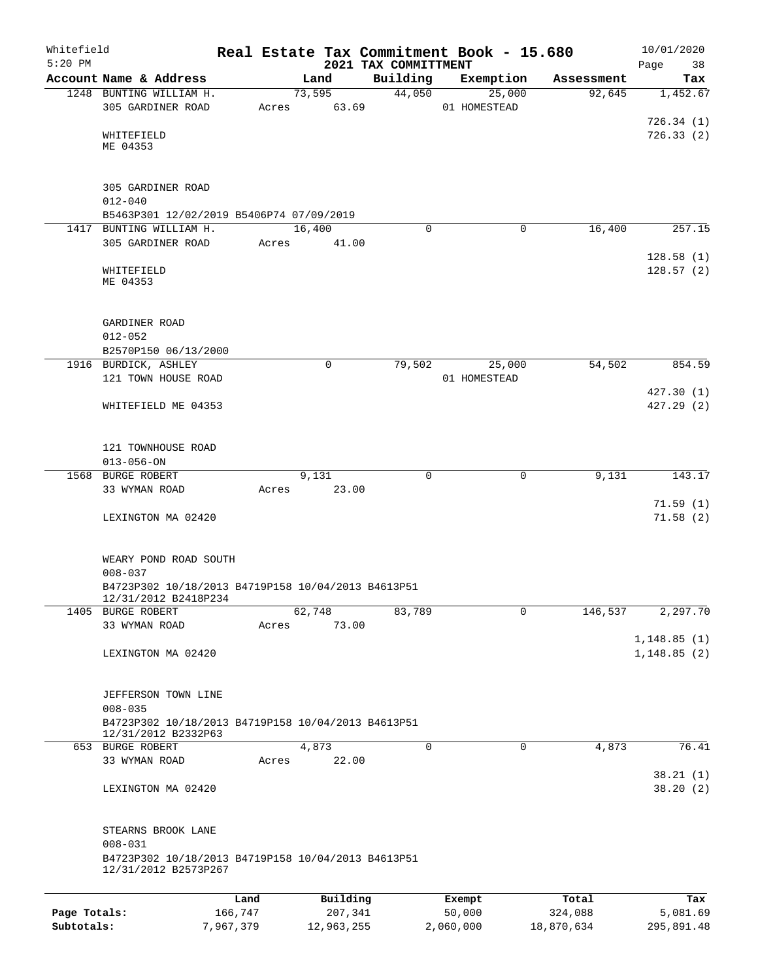| Whitefield<br>$5:20$ PM |                                                                            |         |       |             |          |                                  |          | Real Estate Tax Commitment Book - 15.680 |            | 10/01/2020                  |
|-------------------------|----------------------------------------------------------------------------|---------|-------|-------------|----------|----------------------------------|----------|------------------------------------------|------------|-----------------------------|
|                         | Account Name & Address                                                     |         |       | Land        |          | 2021 TAX COMMITTMENT<br>Building |          | Exemption                                | Assessment | Page<br>38<br>Tax           |
|                         | 1248 BUNTING WILLIAM H.                                                    |         |       | 73,595      |          | 44,050                           |          | 25,000                                   | 92,645     | 1,452.67                    |
|                         | 305 GARDINER ROAD                                                          |         | Acres | 63.69       |          |                                  |          | 01 HOMESTEAD                             |            |                             |
|                         |                                                                            |         |       |             |          |                                  |          |                                          |            | 726.34(1)                   |
|                         | WHITEFIELD                                                                 |         |       |             |          |                                  |          |                                          |            | 726.33(2)                   |
|                         | ME 04353                                                                   |         |       |             |          |                                  |          |                                          |            |                             |
|                         |                                                                            |         |       |             |          |                                  |          |                                          |            |                             |
|                         | 305 GARDINER ROAD                                                          |         |       |             |          |                                  |          |                                          |            |                             |
|                         | $012 - 040$                                                                |         |       |             |          |                                  |          |                                          |            |                             |
|                         | B5463P301 12/02/2019 B5406P74 07/09/2019                                   |         |       |             |          |                                  |          |                                          |            |                             |
|                         | 1417 BUNTING WILLIAM H.                                                    |         |       | 16,400      |          |                                  | 0        | 0                                        | 16,400     | 257.15                      |
|                         | 305 GARDINER ROAD                                                          |         | Acres |             | 41.00    |                                  |          |                                          |            |                             |
|                         |                                                                            |         |       |             |          |                                  |          |                                          |            | 128.58(1)                   |
|                         | WHITEFIELD                                                                 |         |       |             |          |                                  |          |                                          |            | 128.57(2)                   |
|                         | ME 04353                                                                   |         |       |             |          |                                  |          |                                          |            |                             |
|                         |                                                                            |         |       |             |          |                                  |          |                                          |            |                             |
|                         | GARDINER ROAD                                                              |         |       |             |          |                                  |          |                                          |            |                             |
|                         | $012 - 052$                                                                |         |       |             |          |                                  |          |                                          |            |                             |
|                         | B2570P150 06/13/2000                                                       |         |       |             |          |                                  |          |                                          |            |                             |
|                         | 1916 BURDICK, ASHLEY                                                       |         |       | $\mathbf 0$ |          | 79,502                           |          | 25,000                                   | 54,502     | 854.59                      |
|                         | 121 TOWN HOUSE ROAD                                                        |         |       |             |          |                                  |          | 01 HOMESTEAD                             |            |                             |
|                         |                                                                            |         |       |             |          |                                  |          |                                          |            | 427.30(1)                   |
|                         | WHITEFIELD ME 04353                                                        |         |       |             |          |                                  |          |                                          |            | 427.29 (2)                  |
|                         |                                                                            |         |       |             |          |                                  |          |                                          |            |                             |
|                         | 121 TOWNHOUSE ROAD                                                         |         |       |             |          |                                  |          |                                          |            |                             |
|                         | $013 - 056 - ON$                                                           |         |       |             |          |                                  |          |                                          |            |                             |
|                         | 1568 BURGE ROBERT                                                          |         |       | 9,131       |          |                                  | 0        | 0                                        | 9,131      | 143.17                      |
|                         | 33 WYMAN ROAD                                                              |         | Acres |             | 23.00    |                                  |          |                                          |            |                             |
|                         |                                                                            |         |       |             |          |                                  |          |                                          |            | 71.59(1)                    |
|                         | LEXINGTON MA 02420                                                         |         |       |             |          |                                  |          |                                          |            | 71.58(2)                    |
|                         |                                                                            |         |       |             |          |                                  |          |                                          |            |                             |
|                         | WEARY POND ROAD SOUTH                                                      |         |       |             |          |                                  |          |                                          |            |                             |
|                         | $008 - 037$                                                                |         |       |             |          |                                  |          |                                          |            |                             |
|                         | B4723P302 10/18/2013 B4719P158 10/04/2013 B4613P51                         |         |       |             |          |                                  |          |                                          |            |                             |
|                         | 12/31/2012 B2418P234                                                       |         |       |             |          |                                  |          |                                          |            |                             |
|                         | 1405 BURGE ROBERT                                                          |         |       | 62,748      |          | 83,789                           |          | 0                                        | 146,537    | 2, 297.70                   |
|                         | 33 WYMAN ROAD                                                              |         | Acres |             | 73.00    |                                  |          |                                          |            |                             |
|                         | LEXINGTON MA 02420                                                         |         |       |             |          |                                  |          |                                          |            | 1,148.85(1)<br>1, 148.85(2) |
|                         |                                                                            |         |       |             |          |                                  |          |                                          |            |                             |
|                         |                                                                            |         |       |             |          |                                  |          |                                          |            |                             |
|                         | JEFFERSON TOWN LINE                                                        |         |       |             |          |                                  |          |                                          |            |                             |
|                         | $008 - 035$                                                                |         |       |             |          |                                  |          |                                          |            |                             |
|                         | B4723P302 10/18/2013 B4719P158 10/04/2013 B4613P51                         |         |       |             |          |                                  |          |                                          |            |                             |
|                         | 12/31/2012 B2332P63<br>653 BURGE ROBERT                                    |         |       | 4,873       |          |                                  | $\Omega$ | 0                                        | 4,873      | 76.41                       |
|                         | 33 WYMAN ROAD                                                              |         | Acres |             | 22.00    |                                  |          |                                          |            |                             |
|                         |                                                                            |         |       |             |          |                                  |          |                                          |            | 38.21(1)                    |
|                         | LEXINGTON MA 02420                                                         |         |       |             |          |                                  |          |                                          |            | 38.20(2)                    |
|                         |                                                                            |         |       |             |          |                                  |          |                                          |            |                             |
|                         |                                                                            |         |       |             |          |                                  |          |                                          |            |                             |
|                         | STEARNS BROOK LANE                                                         |         |       |             |          |                                  |          |                                          |            |                             |
|                         | $008 - 031$                                                                |         |       |             |          |                                  |          |                                          |            |                             |
|                         | B4723P302 10/18/2013 B4719P158 10/04/2013 B4613P51<br>12/31/2012 B2573P267 |         |       |             |          |                                  |          |                                          |            |                             |
|                         |                                                                            |         |       |             |          |                                  |          |                                          |            |                             |
|                         |                                                                            | Land    |       |             | Building |                                  |          | Exempt                                   | Total      | Tax                         |
| Page Totals:            |                                                                            | 166,747 |       |             | 207,341  |                                  |          | 50,000                                   | 324,088    | 5,081.69                    |

**Subtotals:** 7,967,379 12,963,255 2,060,000 18,870,634 295,891.48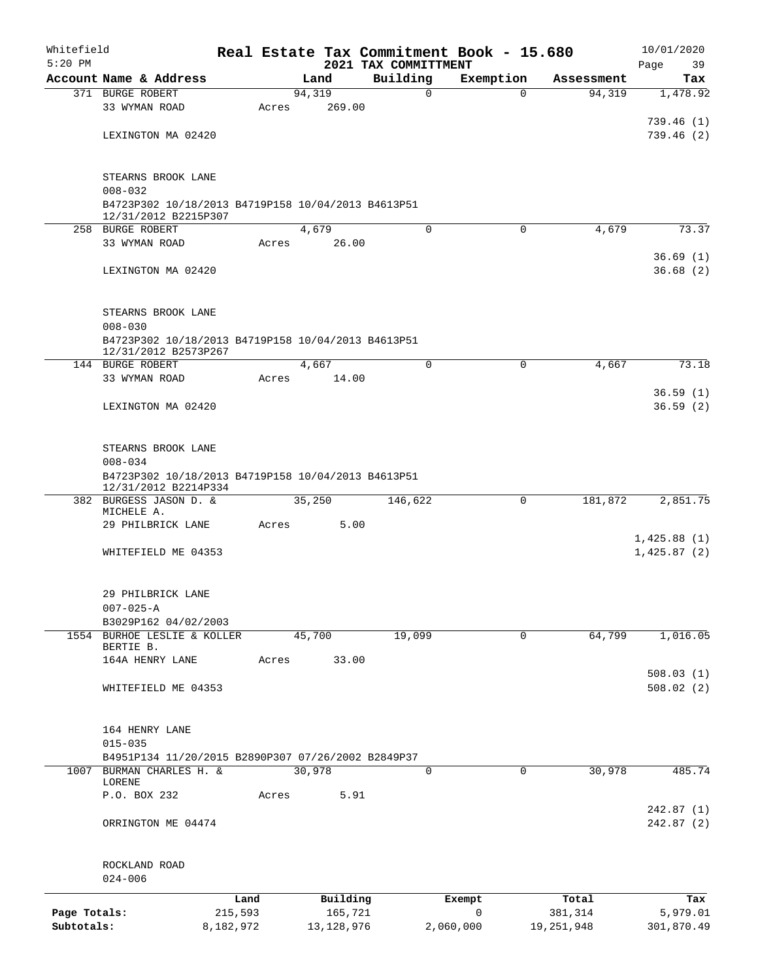| Whitefield<br>$5:20$ PM |                                                                   |           |       |                | 2021 TAX COMMITTMENT |             | Real Estate Tax Commitment Book - 15.680 |            | 10/01/2020<br>Page<br>39 |
|-------------------------|-------------------------------------------------------------------|-----------|-------|----------------|----------------------|-------------|------------------------------------------|------------|--------------------------|
|                         | Account Name & Address                                            |           |       | Land           | Building             |             | Exemption                                | Assessment | Tax                      |
|                         | 371 BURGE ROBERT                                                  |           |       | 94,319         |                      | $\mathbf 0$ | $\mathbf 0$                              | 94,319     | 1,478.92                 |
|                         | 33 WYMAN ROAD                                                     |           | Acres | 269.00         |                      |             |                                          |            |                          |
|                         |                                                                   |           |       |                |                      |             |                                          |            | 739.46 (1)               |
|                         | LEXINGTON MA 02420                                                |           |       |                |                      |             |                                          |            | 739.46(2)                |
|                         |                                                                   |           |       |                |                      |             |                                          |            |                          |
|                         | STEARNS BROOK LANE                                                |           |       |                |                      |             |                                          |            |                          |
|                         | $008 - 032$                                                       |           |       |                |                      |             |                                          |            |                          |
|                         | B4723P302 10/18/2013 B4719P158 10/04/2013 B4613P51                |           |       |                |                      |             |                                          |            |                          |
|                         | 12/31/2012 B2215P307                                              |           |       |                |                      |             |                                          |            |                          |
|                         | 258 BURGE ROBERT<br>33 WYMAN ROAD                                 |           | Acres | 4,679<br>26.00 |                      | $\mathbf 0$ | $\mathbf 0$                              | 4,679      | 73.37                    |
|                         |                                                                   |           |       |                |                      |             |                                          |            | 36.69(1)                 |
|                         | LEXINGTON MA 02420                                                |           |       |                |                      |             |                                          |            | 36.68(2)                 |
|                         |                                                                   |           |       |                |                      |             |                                          |            |                          |
|                         |                                                                   |           |       |                |                      |             |                                          |            |                          |
|                         | STEARNS BROOK LANE                                                |           |       |                |                      |             |                                          |            |                          |
|                         | $008 - 030$<br>B4723P302 10/18/2013 B4719P158 10/04/2013 B4613P51 |           |       |                |                      |             |                                          |            |                          |
|                         | 12/31/2012 B2573P267                                              |           |       |                |                      |             |                                          |            |                          |
|                         | 144 BURGE ROBERT                                                  |           |       | 4,667          |                      | $\Omega$    | 0                                        | 4,667      | 73.18                    |
|                         | 33 WYMAN ROAD                                                     |           | Acres | 14.00          |                      |             |                                          |            |                          |
|                         |                                                                   |           |       |                |                      |             |                                          |            | 36.59(1)                 |
|                         | LEXINGTON MA 02420                                                |           |       |                |                      |             |                                          |            | 36.59(2)                 |
|                         |                                                                   |           |       |                |                      |             |                                          |            |                          |
|                         | STEARNS BROOK LANE                                                |           |       |                |                      |             |                                          |            |                          |
|                         | $008 - 034$                                                       |           |       |                |                      |             |                                          |            |                          |
|                         | B4723P302 10/18/2013 B4719P158 10/04/2013 B4613P51                |           |       |                |                      |             |                                          |            |                          |
|                         | 12/31/2012 B2214P334<br>382 BURGESS JASON D. &                    |           |       | 35,250         | 146,622              |             | $\mathbf 0$                              | 181,872    | 2,851.75                 |
|                         | MICHELE A.                                                        |           |       |                |                      |             |                                          |            |                          |
|                         | 29 PHILBRICK LANE                                                 |           | Acres | 5.00           |                      |             |                                          |            |                          |
|                         |                                                                   |           |       |                |                      |             |                                          |            | 1,425.88(1)              |
|                         | WHITEFIELD ME 04353                                               |           |       |                |                      |             |                                          |            | 1,425.87(2)              |
|                         |                                                                   |           |       |                |                      |             |                                          |            |                          |
|                         | 29 PHILBRICK LANE                                                 |           |       |                |                      |             |                                          |            |                          |
|                         | $007 - 025 - A$                                                   |           |       |                |                      |             |                                          |            |                          |
|                         | B3029P162 04/02/2003                                              |           |       |                |                      |             |                                          |            |                          |
|                         | 1554 BURHOE LESLIE & KOLLER<br>BERTIE B.                          |           |       | 45,700         | 19,099               |             | 0                                        | 64,799     | 1,016.05                 |
|                         | 164A HENRY LANE                                                   |           | Acres | 33.00          |                      |             |                                          |            |                          |
|                         |                                                                   |           |       |                |                      |             |                                          |            | 508.03(1)                |
|                         | WHITEFIELD ME 04353                                               |           |       |                |                      |             |                                          |            | 508.02(2)                |
|                         |                                                                   |           |       |                |                      |             |                                          |            |                          |
|                         | 164 HENRY LANE                                                    |           |       |                |                      |             |                                          |            |                          |
|                         | $015 - 035$                                                       |           |       |                |                      |             |                                          |            |                          |
|                         | B4951P134 11/20/2015 B2890P307 07/26/2002 B2849P37                |           |       |                |                      |             |                                          |            |                          |
|                         | 1007 BURMAN CHARLES H. &                                          |           |       | 30,978         |                      | 0           | $\Omega$                                 | 30,978     | 485.74                   |
|                         | LORENE<br>P.O. BOX 232                                            |           | Acres | 5.91           |                      |             |                                          |            |                          |
|                         |                                                                   |           |       |                |                      |             |                                          |            | 242.87(1)                |
|                         | ORRINGTON ME 04474                                                |           |       |                |                      |             |                                          |            | 242.87(2)                |
|                         |                                                                   |           |       |                |                      |             |                                          |            |                          |
|                         |                                                                   |           |       |                |                      |             |                                          |            |                          |
|                         | ROCKLAND ROAD                                                     |           |       |                |                      |             |                                          |            |                          |
|                         | $024 - 006$                                                       |           |       |                |                      |             |                                          |            |                          |
|                         |                                                                   | Land      |       | Building       |                      |             | Exempt                                   | Total      | Tax                      |
| Page Totals:            |                                                                   | 215,593   |       | 165,721        |                      |             | 0                                        | 381,314    | 5,979.01                 |
| Subtotals:              |                                                                   | 8,182,972 |       | 13, 128, 976   |                      |             | 2,060,000                                | 19,251,948 | 301,870.49               |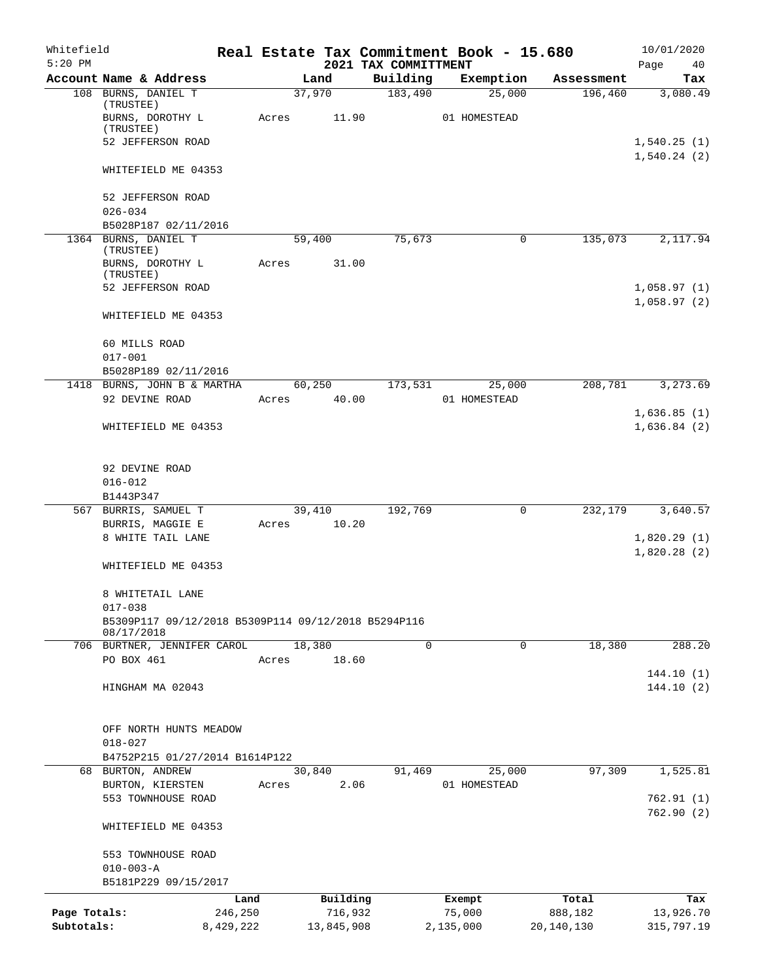| Whitefield<br>$5:20$ PM |                                                                    |           |       |        |            |                                  | Real Estate Tax Commitment Book - 15.680 |            | 10/01/2020                 |
|-------------------------|--------------------------------------------------------------------|-----------|-------|--------|------------|----------------------------------|------------------------------------------|------------|----------------------------|
|                         | Account Name & Address                                             |           |       | Land   |            | 2021 TAX COMMITTMENT<br>Building | Exemption                                | Assessment | Page<br>40<br>Tax          |
|                         | 108 BURNS, DANIEL T                                                |           |       | 37,970 |            | 183,490                          | 25,000                                   | 196,460    | 3,080.49                   |
|                         | (TRUSTEE)<br>BURNS, DOROTHY L                                      |           | Acres |        | 11.90      |                                  | 01 HOMESTEAD                             |            |                            |
|                         | (TRUSTEE)                                                          |           |       |        |            |                                  |                                          |            |                            |
|                         | 52 JEFFERSON ROAD                                                  |           |       |        |            |                                  |                                          |            | 1,540.25(1)<br>1,540.24(2) |
|                         | WHITEFIELD ME 04353                                                |           |       |        |            |                                  |                                          |            |                            |
|                         | 52 JEFFERSON ROAD                                                  |           |       |        |            |                                  |                                          |            |                            |
|                         | $026 - 034$                                                        |           |       |        |            |                                  |                                          |            |                            |
|                         | B5028P187 02/11/2016                                               |           |       |        |            |                                  |                                          |            |                            |
|                         | 1364 BURNS, DANIEL T                                               |           |       | 59,400 |            | 75,673                           | 0                                        | 135,073    | 2,117.94                   |
|                         | (TRUSTEE)<br>BURNS, DOROTHY L                                      |           | Acres |        | 31.00      |                                  |                                          |            |                            |
|                         | (TRUSTEE)                                                          |           |       |        |            |                                  |                                          |            |                            |
|                         | 52 JEFFERSON ROAD                                                  |           |       |        |            |                                  |                                          |            | 1,058.97(1)                |
|                         |                                                                    |           |       |        |            |                                  |                                          |            | 1,058.97(2)                |
|                         | WHITEFIELD ME 04353                                                |           |       |        |            |                                  |                                          |            |                            |
|                         | 60 MILLS ROAD                                                      |           |       |        |            |                                  |                                          |            |                            |
|                         | $017 - 001$                                                        |           |       |        |            |                                  |                                          |            |                            |
|                         | B5028P189 02/11/2016                                               |           |       |        |            |                                  |                                          |            |                            |
|                         | 1418 BURNS, JOHN B & MARTHA                                        |           |       | 60,250 |            | 173,531                          | 25,000                                   | 208,781    | 3,273.69                   |
|                         | 92 DEVINE ROAD                                                     |           | Acres |        | 40.00      |                                  | 01 HOMESTEAD                             |            |                            |
|                         | WHITEFIELD ME 04353                                                |           |       |        |            |                                  |                                          |            | 1,636.85(1)<br>1,636.84(2) |
|                         |                                                                    |           |       |        |            |                                  |                                          |            |                            |
|                         | 92 DEVINE ROAD                                                     |           |       |        |            |                                  |                                          |            |                            |
|                         | $016 - 012$                                                        |           |       |        |            |                                  |                                          |            |                            |
|                         | B1443P347                                                          |           |       |        |            |                                  |                                          |            |                            |
|                         | 567 BURRIS, SAMUEL T                                               |           |       | 39,410 |            | 192,769                          | $\mathbf 0$                              | 232,179    | 3,640.57                   |
|                         | BURRIS, MAGGIE E                                                   |           | Acres |        | 10.20      |                                  |                                          |            |                            |
|                         | 8 WHITE TAIL LANE                                                  |           |       |        |            |                                  |                                          |            | 1,820.29(1)                |
|                         |                                                                    |           |       |        |            |                                  |                                          |            | 1,820.28(2)                |
|                         | WHITEFIELD ME 04353                                                |           |       |        |            |                                  |                                          |            |                            |
|                         | 8 WHITETAIL LANE                                                   |           |       |        |            |                                  |                                          |            |                            |
|                         | $017 - 038$<br>B5309P117 09/12/2018 B5309P114 09/12/2018 B5294P116 |           |       |        |            |                                  |                                          |            |                            |
|                         | 08/17/2018                                                         |           |       |        |            |                                  |                                          |            |                            |
|                         | 706 BURTNER, JENNIFER CAROL                                        |           |       | 18,380 |            | 0                                | 0                                        | 18,380     | 288.20                     |
|                         | PO BOX 461                                                         |           | Acres |        | 18.60      |                                  |                                          |            |                            |
|                         |                                                                    |           |       |        |            |                                  |                                          |            | 144.10(1)                  |
|                         | HINGHAM MA 02043                                                   |           |       |        |            |                                  |                                          |            | 144.10(2)                  |
|                         |                                                                    |           |       |        |            |                                  |                                          |            |                            |
|                         | OFF NORTH HUNTS MEADOW<br>$018 - 027$                              |           |       |        |            |                                  |                                          |            |                            |
|                         | B4752P215 01/27/2014 B1614P122                                     |           |       |        |            |                                  |                                          |            |                            |
|                         | 68 BURTON, ANDREW                                                  |           |       | 30,840 |            | 91,469                           | 25,000                                   | 97,309     | 1,525.81                   |
|                         | BURTON, KIERSTEN                                                   |           | Acres |        | 2.06       |                                  | 01 HOMESTEAD                             |            |                            |
|                         | 553 TOWNHOUSE ROAD                                                 |           |       |        |            |                                  |                                          |            | 762.91(1)                  |
|                         |                                                                    |           |       |        |            |                                  |                                          |            | 762.90(2)                  |
|                         | WHITEFIELD ME 04353                                                |           |       |        |            |                                  |                                          |            |                            |
|                         | 553 TOWNHOUSE ROAD                                                 |           |       |        |            |                                  |                                          |            |                            |
|                         | $010 - 003 - A$                                                    |           |       |        |            |                                  |                                          |            |                            |
|                         | B5181P229 09/15/2017                                               |           |       |        |            |                                  |                                          |            |                            |
|                         |                                                                    | Land      |       |        | Building   |                                  | Exempt                                   | Total      | Tax                        |
| Page Totals:            |                                                                    | 246,250   |       |        | 716,932    |                                  | 75,000                                   | 888,182    | 13,926.70                  |
| Subtotals:              |                                                                    | 8,429,222 |       |        | 13,845,908 |                                  | 2,135,000                                | 20,140,130 | 315,797.19                 |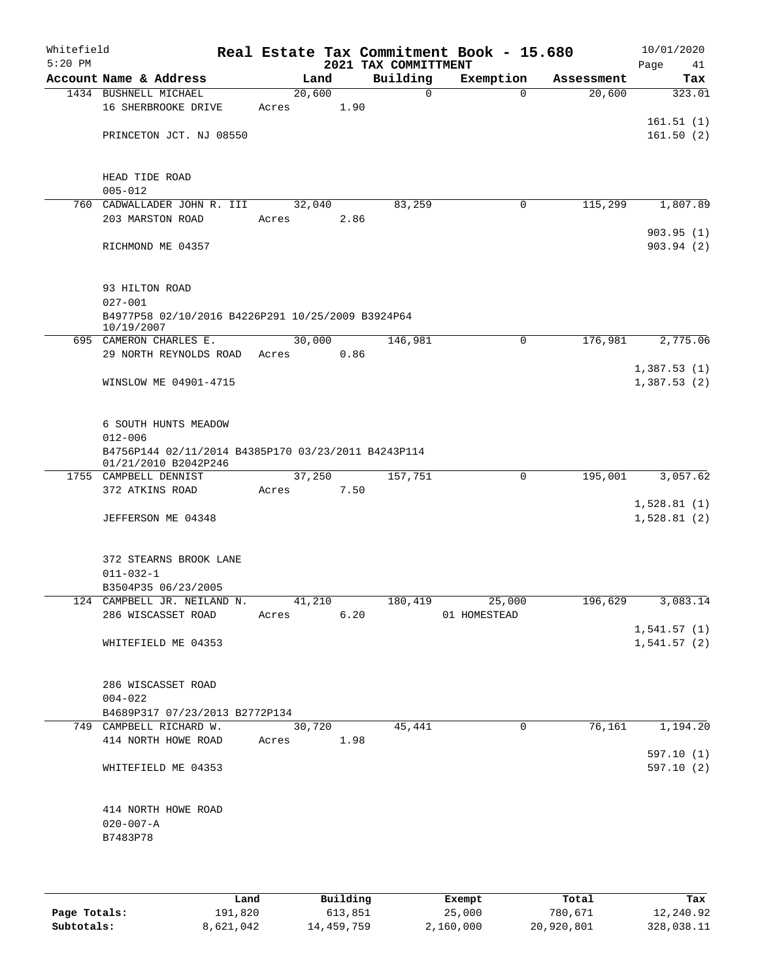| Whitefield<br>$5:20$ PM |                                                     |       |        |      | 2021 TAX COMMITTMENT | Real Estate Tax Commitment Book - 15.680 |            | 10/01/2020<br>Page<br>41 |
|-------------------------|-----------------------------------------------------|-------|--------|------|----------------------|------------------------------------------|------------|--------------------------|
|                         | Account Name & Address                              |       | Land   |      | Building             | Exemption                                | Assessment | Tax                      |
|                         | 1434 BUSHNELL MICHAEL                               |       | 20,600 |      | $\mathbf 0$          | $\Omega$                                 | 20,600     | 323.01                   |
|                         | 16 SHERBROOKE DRIVE                                 | Acres |        | 1.90 |                      |                                          |            |                          |
|                         |                                                     |       |        |      |                      |                                          |            | 161.51(1)                |
|                         | PRINCETON JCT. NJ 08550                             |       |        |      |                      |                                          |            | 161.50(2)                |
|                         |                                                     |       |        |      |                      |                                          |            |                          |
|                         |                                                     |       |        |      |                      |                                          |            |                          |
|                         | HEAD TIDE ROAD                                      |       |        |      |                      |                                          |            |                          |
|                         | $005 - 012$                                         |       |        |      |                      |                                          |            |                          |
| 760                     | CADWALLADER JOHN R. III                             |       | 32,040 |      | 83,259               | 0                                        | 115,299    | 1,807.89                 |
|                         | 203 MARSTON ROAD                                    | Acres |        | 2.86 |                      |                                          |            |                          |
|                         |                                                     |       |        |      |                      |                                          |            | 903.95(1)                |
|                         | RICHMOND ME 04357                                   |       |        |      |                      |                                          |            | 903.94(2)                |
|                         |                                                     |       |        |      |                      |                                          |            |                          |
|                         |                                                     |       |        |      |                      |                                          |            |                          |
|                         | 93 HILTON ROAD                                      |       |        |      |                      |                                          |            |                          |
|                         | $027 - 001$                                         |       |        |      |                      |                                          |            |                          |
|                         | B4977P58 02/10/2016 B4226P291 10/25/2009 B3924P64   |       |        |      |                      |                                          |            |                          |
|                         | 10/19/2007                                          |       |        |      |                      |                                          |            |                          |
|                         | 695 CAMERON CHARLES E.                              |       | 30,000 |      | 146,981              | 0                                        | 176,981    | 2,775.06                 |
|                         | 29 NORTH REYNOLDS ROAD                              | Acres |        | 0.86 |                      |                                          |            |                          |
|                         |                                                     |       |        |      |                      |                                          |            | 1,387.53(1)              |
|                         | WINSLOW ME 04901-4715                               |       |        |      |                      |                                          |            | 1,387.53(2)              |
|                         |                                                     |       |        |      |                      |                                          |            |                          |
|                         |                                                     |       |        |      |                      |                                          |            |                          |
|                         | 6 SOUTH HUNTS MEADOW                                |       |        |      |                      |                                          |            |                          |
|                         | $012 - 006$                                         |       |        |      |                      |                                          |            |                          |
|                         | B4756P144 02/11/2014 B4385P170 03/23/2011 B4243P114 |       |        |      |                      |                                          |            |                          |
|                         | 01/21/2010 B2042P246<br>1755 CAMPBELL DENNIST       |       | 37,250 |      | 157,751              | $\mathbf 0$                              | 195,001    | 3,057.62                 |
|                         | 372 ATKINS ROAD                                     | Acres |        | 7.50 |                      |                                          |            |                          |
|                         |                                                     |       |        |      |                      |                                          |            | 1,528.81(1)              |
|                         | JEFFERSON ME 04348                                  |       |        |      |                      |                                          |            | 1,528.81(2)              |
|                         |                                                     |       |        |      |                      |                                          |            |                          |
|                         |                                                     |       |        |      |                      |                                          |            |                          |
|                         | 372 STEARNS BROOK LANE                              |       |        |      |                      |                                          |            |                          |
|                         | $011 - 032 - 1$                                     |       |        |      |                      |                                          |            |                          |
|                         | B3504P35 06/23/2005                                 |       |        |      |                      |                                          |            |                          |
|                         | 124 CAMPBELL JR. NEILAND N. 41,210                  |       |        |      |                      | 180,419 25,000                           |            | 196,629 3,083.14         |
|                         | 286 WISCASSET ROAD                                  | Acres |        | 6.20 |                      | 01 HOMESTEAD                             |            |                          |
|                         |                                                     |       |        |      |                      |                                          |            | 1,541.57(1)              |
|                         | WHITEFIELD ME 04353                                 |       |        |      |                      |                                          |            | 1,541.57(2)              |
|                         |                                                     |       |        |      |                      |                                          |            |                          |
|                         |                                                     |       |        |      |                      |                                          |            |                          |
|                         | 286 WISCASSET ROAD                                  |       |        |      |                      |                                          |            |                          |
|                         | $004 - 022$                                         |       |        |      |                      |                                          |            |                          |
|                         | B4689P317 07/23/2013 B2772P134                      |       |        |      |                      |                                          |            |                          |
|                         | 749 CAMPBELL RICHARD W.                             |       | 30,720 |      | 45,441               | $\mathbf{0}$                             | 76,161     | 1,194.20                 |
|                         | 414 NORTH HOWE ROAD Acres 1.98                      |       |        |      |                      |                                          |            |                          |
|                         |                                                     |       |        |      |                      |                                          |            | 597.10(1)                |
|                         | WHITEFIELD ME 04353                                 |       |        |      |                      |                                          |            | 597.10(2)                |
|                         |                                                     |       |        |      |                      |                                          |            |                          |
|                         |                                                     |       |        |      |                      |                                          |            |                          |
|                         | 414 NORTH HOWE ROAD                                 |       |        |      |                      |                                          |            |                          |
|                         | 020-007-A                                           |       |        |      |                      |                                          |            |                          |
|                         | B7483P78                                            |       |        |      |                      |                                          |            |                          |
|                         |                                                     |       |        |      |                      |                                          |            |                          |
|                         |                                                     |       |        |      |                      |                                          |            |                          |

|              | Land      | Building   | Exempt    | Total      | Tax        |
|--------------|-----------|------------|-----------|------------|------------|
| Page Totals: | 191,820   | 613,851    | 25,000    | 780,671    | 12,240.92  |
| Subtotals:   | 8,621,042 | 14,459,759 | 2,160,000 | 20,920,801 | 328,038.11 |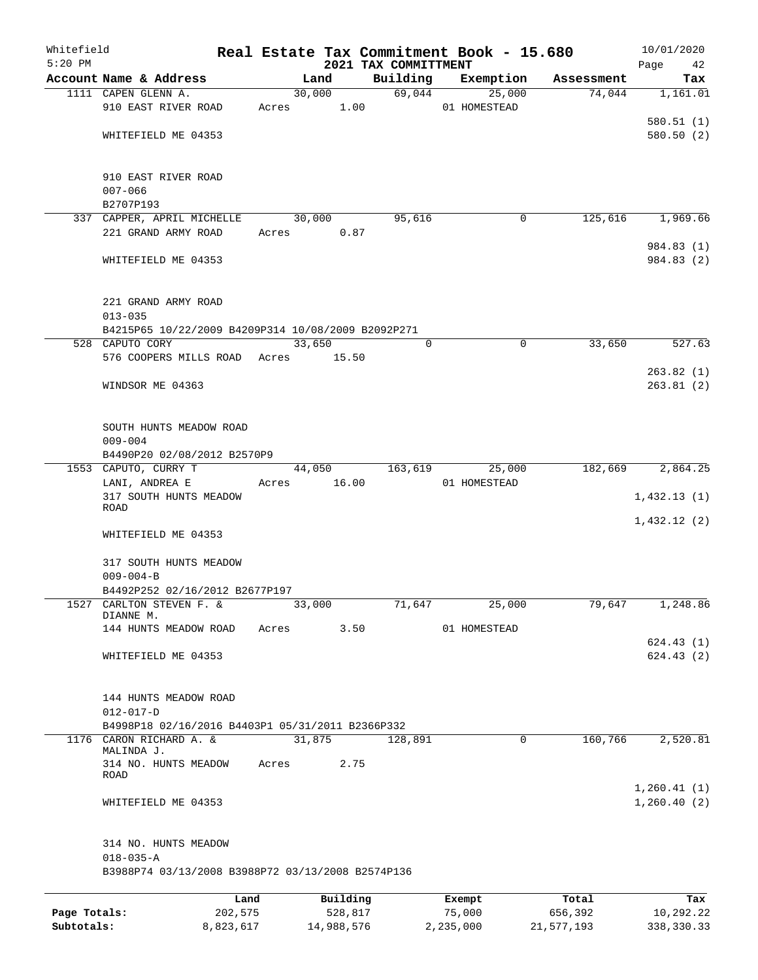| Whitefield<br>$5:20$ PM |                                                    |         |             |        |          | 2021 TAX COMMITTMENT |          | Real Estate Tax Commitment Book - 15.680 |             |            | 10/01/2020<br>Page<br>42   |
|-------------------------|----------------------------------------------------|---------|-------------|--------|----------|----------------------|----------|------------------------------------------|-------------|------------|----------------------------|
|                         | Account Name & Address                             |         |             | Land   |          |                      | Building | Exemption                                |             | Assessment | Tax                        |
|                         | 1111 CAPEN GLENN A.                                |         |             |        | 30,000   |                      | 69,044   |                                          | 25,000      | 74,044     | 1,161.01                   |
|                         | 910 EAST RIVER ROAD                                |         | Acres 1.00  |        |          |                      |          | 01 HOMESTEAD                             |             |            |                            |
|                         |                                                    |         |             |        |          |                      |          |                                          |             |            | 580.51(1)                  |
|                         | WHITEFIELD ME 04353                                |         |             |        |          |                      |          |                                          |             |            | 580.50(2)                  |
|                         |                                                    |         |             |        |          |                      |          |                                          |             |            |                            |
|                         | 910 EAST RIVER ROAD                                |         |             |        |          |                      |          |                                          |             |            |                            |
|                         | $007 - 066$                                        |         |             |        |          |                      |          |                                          |             |            |                            |
|                         | B2707P193                                          |         |             |        |          |                      |          |                                          |             |            |                            |
|                         | 337 CAPPER, APRIL MICHELLE                         |         |             | 30,000 |          |                      | 95,616   |                                          | $\mathbf 0$ | 125,616    | 1,969.66                   |
|                         | 221 GRAND ARMY ROAD                                |         | Acres       |        | 0.87     |                      |          |                                          |             |            |                            |
|                         |                                                    |         |             |        |          |                      |          |                                          |             |            | 984.83 (1)                 |
|                         | WHITEFIELD ME 04353                                |         |             |        |          |                      |          |                                          |             |            | 984.83 (2)                 |
|                         | 221 GRAND ARMY ROAD<br>$013 - 035$                 |         |             |        |          |                      |          |                                          |             |            |                            |
|                         | B4215P65 10/22/2009 B4209P314 10/08/2009 B2092P271 |         |             |        |          |                      |          |                                          |             |            |                            |
|                         | 528 CAPUTO CORY                                    |         |             | 33,650 |          |                      | 0        |                                          | $\mathbf 0$ | 33,650     | 527.63                     |
|                         | 576 COOPERS MILLS ROAD Acres 15.50                 |         |             |        |          |                      |          |                                          |             |            |                            |
|                         |                                                    |         |             |        |          |                      |          |                                          |             |            | 263.82(1)                  |
|                         | WINDSOR ME 04363                                   |         |             |        |          |                      |          |                                          |             |            | 263.81(2)                  |
|                         | SOUTH HUNTS MEADOW ROAD                            |         |             |        |          |                      |          |                                          |             |            |                            |
|                         | $009 - 004$                                        |         |             |        |          |                      |          |                                          |             |            |                            |
|                         | B4490P20 02/08/2012 B2570P9                        |         |             |        |          |                      |          |                                          |             |            |                            |
|                         | 1553 CAPUTO, CURRY T                               |         |             | 44,050 |          |                      | 163,619  | 25,000                                   |             | 182,669    | 2,864.25                   |
|                         | LANI, ANDREA E                                     |         | Acres 16.00 |        |          |                      |          | 01 HOMESTEAD                             |             |            |                            |
|                         | 317 SOUTH HUNTS MEADOW                             |         |             |        |          |                      |          |                                          |             |            | 1,432.13(1)                |
|                         | ROAD                                               |         |             |        |          |                      |          |                                          |             |            | 1,432.12(2)                |
|                         | WHITEFIELD ME 04353                                |         |             |        |          |                      |          |                                          |             |            |                            |
|                         | 317 SOUTH HUNTS MEADOW                             |         |             |        |          |                      |          |                                          |             |            |                            |
|                         | $009 - 004 - B$                                    |         |             |        |          |                      |          |                                          |             |            |                            |
|                         | B4492P252 02/16/2012 B2677P197                     |         |             |        |          |                      |          |                                          |             |            |                            |
|                         | 1527 CARLTON STEVEN F. &                           |         |             | 33,000 |          |                      | 71,647   | 25,000                                   |             | 79,647     | 1,248.86                   |
|                         | DIANNE M.                                          |         |             |        |          |                      |          |                                          |             |            |                            |
|                         | 144 HUNTS MEADOW ROAD                              |         | Acres       |        | 3.50     |                      |          | 01 HOMESTEAD                             |             |            |                            |
|                         |                                                    |         |             |        |          |                      |          |                                          |             |            | 624.43(1)                  |
|                         | WHITEFIELD ME 04353                                |         |             |        |          |                      |          |                                          |             |            | 624.43(2)                  |
|                         | 144 HUNTS MEADOW ROAD                              |         |             |        |          |                      |          |                                          |             |            |                            |
|                         | $012 - 017 - D$                                    |         |             |        |          |                      |          |                                          |             |            |                            |
|                         | B4998P18 02/16/2016 B4403P1 05/31/2011 B2366P332   |         |             |        |          |                      |          |                                          |             |            |                            |
|                         | 1176 CARON RICHARD A. &<br>MALINDA J.              |         |             | 31,875 |          |                      | 128,891  |                                          | $\mathbf 0$ | 160,766    | 2,520.81                   |
|                         | 314 NO. HUNTS MEADOW<br>ROAD                       |         | Acres       |        | 2.75     |                      |          |                                          |             |            |                            |
|                         | WHITEFIELD ME 04353                                |         |             |        |          |                      |          |                                          |             |            | 1,260.41(1)<br>1,260.40(2) |
|                         | 314 NO. HUNTS MEADOW                               |         |             |        |          |                      |          |                                          |             |            |                            |
|                         | $018 - 035 - A$                                    |         |             |        |          |                      |          |                                          |             |            |                            |
|                         | B3988P74 03/13/2008 B3988P72 03/13/2008 B2574P136  |         |             |        |          |                      |          |                                          |             |            |                            |
|                         |                                                    |         |             |        |          |                      |          |                                          |             |            |                            |
|                         |                                                    | Land    |             |        | Building |                      |          | Exempt                                   |             | Total      | Tax                        |
| Page Totals:            |                                                    | 202,575 |             |        | 528,817  |                      |          | 75,000                                   |             | 656,392    | 10,292.22                  |

**Subtotals:** 8,823,617 14,988,576 2,235,000 21,577,193 338,330.33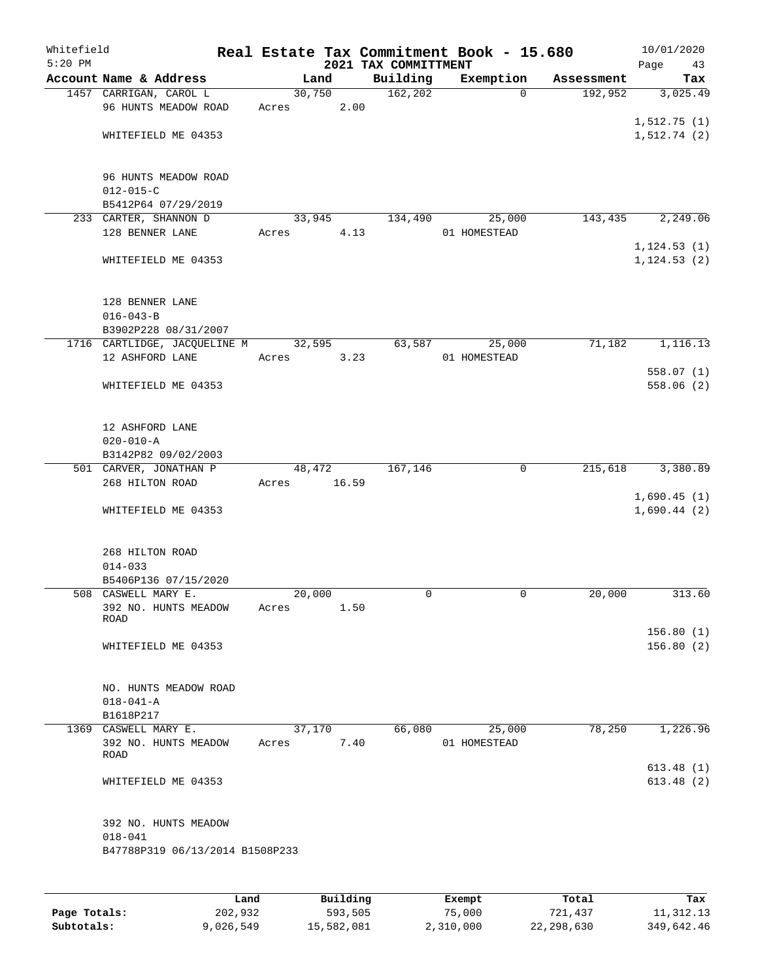| Whitefield<br>$5:20$ PM |                                                 |        |       | 2021 TAX COMMITTMENT | Real Estate Tax Commitment Book - 15.680 |            | 10/01/2020<br>Page<br>43 |
|-------------------------|-------------------------------------------------|--------|-------|----------------------|------------------------------------------|------------|--------------------------|
|                         | Account Name & Address                          |        | Land  | Building             | Exemption                                | Assessment | Tax                      |
|                         | 1457 CARRIGAN, CAROL L                          | 30,750 |       | 162, 202             | $\Omega$                                 | 192,952    | 3,025.49                 |
|                         | 96 HUNTS MEADOW ROAD                            | Acres  | 2.00  |                      |                                          |            |                          |
|                         |                                                 |        |       |                      |                                          |            | 1,512.75(1)              |
|                         | WHITEFIELD ME 04353                             |        |       |                      |                                          |            | 1,512.74(2)              |
|                         |                                                 |        |       |                      |                                          |            |                          |
|                         |                                                 |        |       |                      |                                          |            |                          |
|                         | 96 HUNTS MEADOW ROAD<br>$012 - 015 - C$         |        |       |                      |                                          |            |                          |
|                         | B5412P64 07/29/2019                             |        |       |                      |                                          |            |                          |
|                         | 233 CARTER, SHANNON D                           | 33,945 |       | 134,490              | 25,000                                   | 143,435    | 2,249.06                 |
|                         | 128 BENNER LANE                                 | Acres  | 4.13  |                      | 01 HOMESTEAD                             |            |                          |
|                         |                                                 |        |       |                      |                                          |            | 1, 124.53(1)             |
|                         | WHITEFIELD ME 04353                             |        |       |                      |                                          |            | 1, 124.53(2)             |
|                         |                                                 |        |       |                      |                                          |            |                          |
|                         |                                                 |        |       |                      |                                          |            |                          |
|                         | 128 BENNER LANE                                 |        |       |                      |                                          |            |                          |
|                         | $016 - 043 - B$                                 |        |       |                      |                                          |            |                          |
|                         | B3902P228 08/31/2007                            |        |       |                      |                                          |            |                          |
|                         | 1716 CARTLIDGE, JACQUELINE M<br>12 ASHFORD LANE | 32,595 | 3.23  | 63,587               | 25,000<br>01 HOMESTEAD                   | 71,182     | 1,116.13                 |
|                         |                                                 | Acres  |       |                      |                                          |            | 558.07(1)                |
|                         | WHITEFIELD ME 04353                             |        |       |                      |                                          |            | 558.06(2)                |
|                         |                                                 |        |       |                      |                                          |            |                          |
|                         |                                                 |        |       |                      |                                          |            |                          |
|                         | 12 ASHFORD LANE                                 |        |       |                      |                                          |            |                          |
|                         | $020 - 010 - A$                                 |        |       |                      |                                          |            |                          |
|                         | B3142P82 09/02/2003                             |        |       |                      |                                          |            |                          |
|                         | 501 CARVER, JONATHAN P                          | 48,472 |       | 167,146              | $\mathbf 0$                              | 215,618    | 3,380.89                 |
|                         | 268 HILTON ROAD                                 | Acres  | 16.59 |                      |                                          |            |                          |
|                         |                                                 |        |       |                      |                                          |            | 1,690.45(1)              |
|                         | WHITEFIELD ME 04353                             |        |       |                      |                                          |            | 1,690.44(2)              |
|                         |                                                 |        |       |                      |                                          |            |                          |
|                         | 268 HILTON ROAD                                 |        |       |                      |                                          |            |                          |
|                         | $014 - 033$                                     |        |       |                      |                                          |            |                          |
|                         | B5406P136 07/15/2020                            |        |       |                      |                                          |            |                          |
|                         | 508 CASWELL MARY E.                             | 20,000 |       | 0                    | 0                                        | 20,000     | 313.60                   |
|                         | 392 NO. HUNTS MEADOW                            | Acres  | 1.50  |                      |                                          |            |                          |
|                         | <b>ROAD</b>                                     |        |       |                      |                                          |            |                          |
|                         |                                                 |        |       |                      |                                          |            | 156.80(1)                |
|                         | WHITEFIELD ME 04353                             |        |       |                      |                                          |            | 156.80(2)                |
|                         |                                                 |        |       |                      |                                          |            |                          |
|                         | NO. HUNTS MEADOW ROAD                           |        |       |                      |                                          |            |                          |
|                         | $018 - 041 - A$                                 |        |       |                      |                                          |            |                          |
|                         | B1618P217                                       |        |       |                      |                                          |            |                          |
|                         | 1369 CASWELL MARY E.                            | 37,170 |       | 66,080               | 25,000                                   | 78,250     | 1,226.96                 |
|                         | 392 NO. HUNTS MEADOW                            | Acres  | 7.40  |                      | 01 HOMESTEAD                             |            |                          |
|                         | <b>ROAD</b>                                     |        |       |                      |                                          |            |                          |
|                         |                                                 |        |       |                      |                                          |            | 613.48(1)                |
|                         | WHITEFIELD ME 04353                             |        |       |                      |                                          |            | 613.48(2)                |
|                         |                                                 |        |       |                      |                                          |            |                          |
|                         | 392 NO. HUNTS MEADOW                            |        |       |                      |                                          |            |                          |
|                         | $018 - 041$                                     |        |       |                      |                                          |            |                          |
|                         | B47788P319 06/13/2014 B1508P233                 |        |       |                      |                                          |            |                          |
|                         |                                                 |        |       |                      |                                          |            |                          |
|                         |                                                 |        |       |                      |                                          |            |                          |
|                         |                                                 |        |       |                      |                                          |            |                          |

|              | Land      | Building   | Exempt    | Total      | Tax        |
|--------------|-----------|------------|-----------|------------|------------|
| Page Totals: | 202,932   | 593,505    | 75,000    | 721,437    | 11,312.13  |
| Subtotals:   | 9,026,549 | 15,582,081 | 2,310,000 | 22,298,630 | 349,642.46 |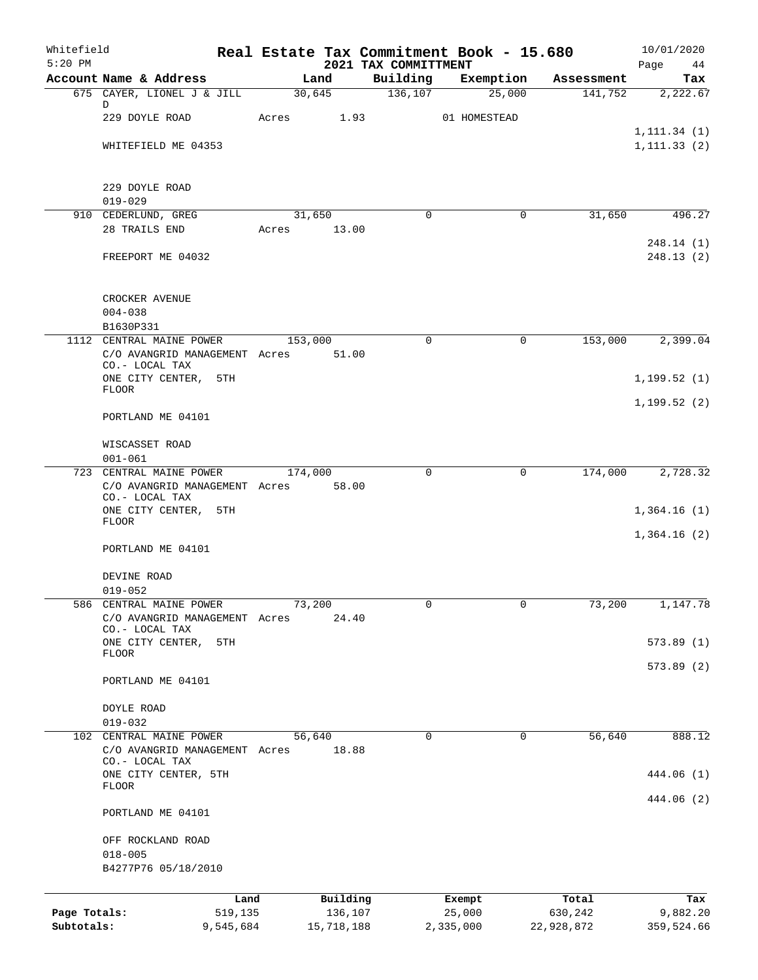| Whitefield<br>$5:20$ PM |                                                 |                       |            |                                  | Real Estate Tax Commitment Book - 15.680 |                       | 10/01/2020        |
|-------------------------|-------------------------------------------------|-----------------------|------------|----------------------------------|------------------------------------------|-----------------------|-------------------|
|                         | Account Name & Address                          | Land                  |            | 2021 TAX COMMITTMENT<br>Building | Exemption                                | Assessment            | Page<br>44<br>Tax |
|                         | 675 CAYER, LIONEL J & JILL                      | 30,645                |            | 136,107                          | 25,000                                   | 141,752               | 2,222.67          |
|                         | D<br>229 DOYLE ROAD                             |                       |            |                                  |                                          |                       |                   |
|                         |                                                 | Acres 1.93            |            |                                  | 01 HOMESTEAD                             |                       | 1, 111.34(1)      |
|                         | WHITEFIELD ME 04353                             |                       |            |                                  |                                          |                       | 1, 111.33(2)      |
|                         |                                                 |                       |            |                                  |                                          |                       |                   |
|                         | 229 DOYLE ROAD                                  |                       |            |                                  |                                          |                       |                   |
|                         | $019 - 029$                                     |                       |            |                                  |                                          |                       |                   |
|                         | 910 CEDERLUND, GREG<br>28 TRAILS END            | 31,650<br>Acres 13.00 |            | $\Omega$                         |                                          | $\mathbf 0$<br>31,650 | 496.27            |
|                         |                                                 |                       |            |                                  |                                          |                       | 248.14 (1)        |
|                         | FREEPORT ME 04032                               |                       |            |                                  |                                          |                       | 248.13(2)         |
|                         | CROCKER AVENUE                                  |                       |            |                                  |                                          |                       |                   |
|                         | $004 - 038$                                     |                       |            |                                  |                                          |                       |                   |
|                         | B1630P331<br>1112 CENTRAL MAINE POWER           | 153,000               |            | $\mathbf 0$                      |                                          | 153,000<br>0          | 2,399.04          |
|                         | C/O AVANGRID MANAGEMENT Acres<br>CO.- LOCAL TAX |                       | 51.00      |                                  |                                          |                       |                   |
|                         | ONE CITY CENTER, 5TH<br><b>FLOOR</b>            |                       |            |                                  |                                          |                       | 1, 199.52(1)      |
|                         |                                                 |                       |            |                                  |                                          |                       | 1,199.52(2)       |
|                         | PORTLAND ME 04101                               |                       |            |                                  |                                          |                       |                   |
|                         | WISCASSET ROAD                                  |                       |            |                                  |                                          |                       |                   |
|                         | $001 - 061$                                     |                       |            |                                  |                                          |                       |                   |
|                         | 723 CENTRAL MAINE POWER                         | 174,000               |            | $\mathbf 0$                      |                                          | 174,000<br>0          | 2,728.32          |
|                         | C/O AVANGRID MANAGEMENT Acres<br>CO.- LOCAL TAX |                       | 58.00      |                                  |                                          |                       |                   |
|                         | ONE CITY CENTER, 5TH                            |                       |            |                                  |                                          |                       | 1,364.16(1)       |
|                         | <b>FLOOR</b>                                    |                       |            |                                  |                                          |                       | 1,364.16(2)       |
|                         | PORTLAND ME 04101                               |                       |            |                                  |                                          |                       |                   |
|                         | DEVINE ROAD                                     |                       |            |                                  |                                          |                       |                   |
|                         | $019 - 052$                                     |                       |            |                                  |                                          |                       |                   |
|                         | 586 CENTRAL MAINE POWER                         | 73,200                |            | 0                                |                                          | 0<br>73,200           | 1,147.78          |
|                         | C/O AVANGRID MANAGEMENT Acres<br>CO.- LOCAL TAX |                       | 24.40      |                                  |                                          |                       |                   |
|                         | ONE CITY CENTER,<br>5TH                         |                       |            |                                  |                                          |                       | 573.89(1)         |
|                         | FLOOR                                           |                       |            |                                  |                                          |                       | 573.89(2)         |
|                         | PORTLAND ME 04101                               |                       |            |                                  |                                          |                       |                   |
|                         | DOYLE ROAD                                      |                       |            |                                  |                                          |                       |                   |
|                         | $019 - 032$                                     |                       |            |                                  |                                          |                       |                   |
|                         | 102 CENTRAL MAINE POWER                         | 56,640                |            | 0                                |                                          | 56,640<br>0           | 888.12            |
|                         | C/O AVANGRID MANAGEMENT Acres<br>CO.- LOCAL TAX |                       | 18.88      |                                  |                                          |                       |                   |
|                         | ONE CITY CENTER, 5TH                            |                       |            |                                  |                                          |                       | 444.06 (1)        |
|                         | <b>FLOOR</b>                                    |                       |            |                                  |                                          |                       | 444.06 (2)        |
|                         | PORTLAND ME 04101                               |                       |            |                                  |                                          |                       |                   |
|                         | OFF ROCKLAND ROAD                               |                       |            |                                  |                                          |                       |                   |
|                         | $018 - 005$                                     |                       |            |                                  |                                          |                       |                   |
|                         | B4277P76 05/18/2010                             |                       |            |                                  |                                          |                       |                   |
|                         | Land                                            |                       | Building   |                                  | Exempt                                   | Total                 | Tax               |
| Page Totals:            | 519,135                                         |                       | 136,107    |                                  | 25,000                                   | 630,242               | 9,882.20          |
| Subtotals:              | 9,545,684                                       |                       | 15,718,188 |                                  | 2,335,000                                | 22,928,872            | 359,524.66        |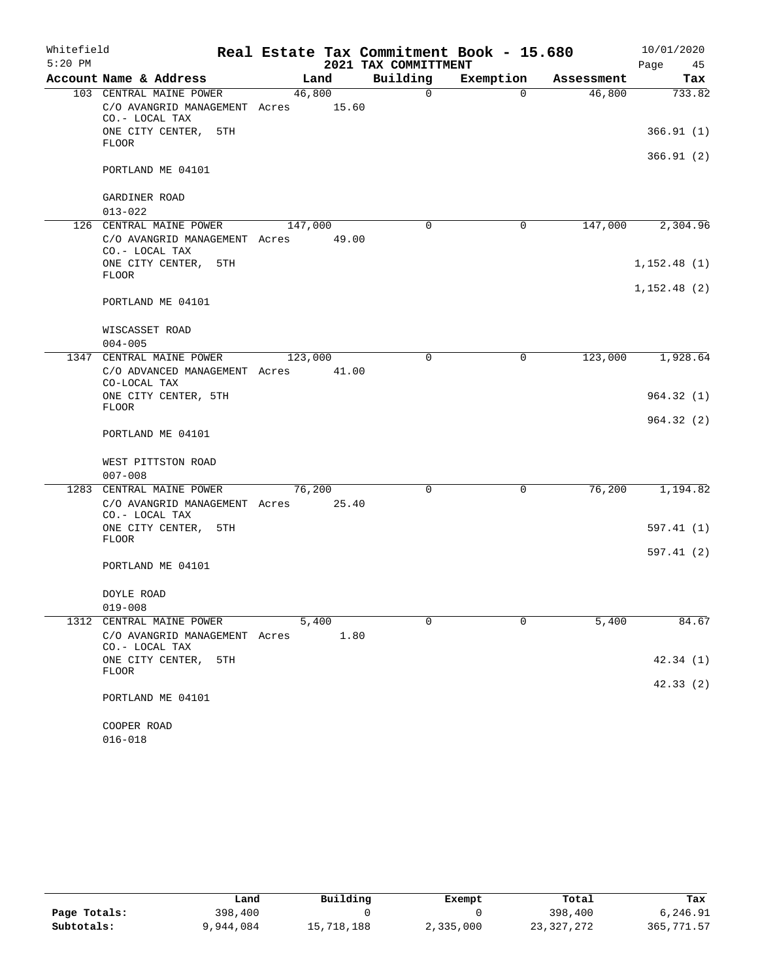| Whitefield |                                                                                   |                  |      |                      | Real Estate Tax Commitment Book - 15.680 |            | 10/01/2020  |
|------------|-----------------------------------------------------------------------------------|------------------|------|----------------------|------------------------------------------|------------|-------------|
| $5:20$ PM  |                                                                                   |                  |      | 2021 TAX COMMITTMENT |                                          |            | Page<br>45  |
|            | Account Name & Address                                                            | Land             |      | Building             | Exemption                                | Assessment | Tax         |
|            | 103 CENTRAL MAINE POWER<br>C/O AVANGRID MANAGEMENT Acres 15.60<br>CO.- LOCAL TAX  | 46,800           |      | $\Omega$             | $\Omega$                                 | 46,800     | 733.82      |
|            | ONE CITY CENTER, 5TH<br><b>FLOOR</b>                                              |                  |      |                      |                                          |            | 366.91(1)   |
|            | PORTLAND ME 04101                                                                 |                  |      |                      |                                          |            | 366.91 (2)  |
|            | GARDINER ROAD                                                                     |                  |      |                      |                                          |            |             |
|            | $013 - 022$                                                                       |                  |      |                      |                                          |            |             |
|            | 126 CENTRAL MAINE POWER                                                           | 147,000          |      | $\mathbf 0$          | $\mathbf 0$                              | 147,000    | 2,304.96    |
|            | C/O AVANGRID MANAGEMENT Acres<br>CO.- LOCAL TAX                                   | 49.00            |      |                      |                                          |            |             |
|            | ONE CITY CENTER, 5TH<br><b>FLOOR</b>                                              |                  |      |                      |                                          |            | 1,152.48(1) |
|            | PORTLAND ME 04101                                                                 |                  |      |                      |                                          |            | 1,152.48(2) |
|            | WISCASSET ROAD                                                                    |                  |      |                      |                                          |            |             |
|            | $004 - 005$                                                                       |                  |      |                      |                                          |            |             |
|            | 1347 CENTRAL MAINE POWER<br>C/O ADVANCED MANAGEMENT Acres<br>CO-LOCAL TAX         | 123,000<br>41.00 |      | $\Omega$             | 0                                        | 123,000    | 1,928.64    |
|            | ONE CITY CENTER, 5TH<br><b>FLOOR</b>                                              |                  |      |                      |                                          |            | 964.32(1)   |
|            | PORTLAND ME 04101                                                                 |                  |      |                      |                                          |            | 964.32(2)   |
|            | WEST PITTSTON ROAD<br>$007 - 008$                                                 |                  |      |                      |                                          |            |             |
|            |                                                                                   |                  |      |                      |                                          |            |             |
|            | 1283 CENTRAL MAINE POWER<br>C/O AVANGRID MANAGEMENT Acres 25.40<br>CO.- LOCAL TAX | 76,200           |      | $\mathbf 0$          | $\mathbf 0$                              | 76,200     | 1,194.82    |
|            | ONE CITY CENTER, 5TH<br><b>FLOOR</b>                                              |                  |      |                      |                                          |            | 597.41 (1)  |
|            | PORTLAND ME 04101                                                                 |                  |      |                      |                                          |            | 597.41 (2)  |
|            | DOYLE ROAD                                                                        |                  |      |                      |                                          |            |             |
|            | $019 - 008$                                                                       |                  |      |                      |                                          |            |             |
|            | 1312 CENTRAL MAINE POWER                                                          | 5,400            |      | $\Omega$             | $\Omega$                                 | 5,400      | 84.67       |
|            | C/O AVANGRID MANAGEMENT Acres<br>CO.- LOCAL TAX                                   |                  | 1.80 |                      |                                          |            |             |
|            | ONE CITY CENTER,<br>5TH<br><b>FLOOR</b>                                           |                  |      |                      |                                          |            | 42.34 (1)   |
|            | PORTLAND ME 04101                                                                 |                  |      |                      |                                          |            | 42.33(2)    |
|            |                                                                                   |                  |      |                      |                                          |            |             |
|            | COOPER ROAD<br>$016 - 018$                                                        |                  |      |                      |                                          |            |             |

|              | Land      | Building   | Exempt    | Total      | Tax        |
|--------------|-----------|------------|-----------|------------|------------|
| Page Totals: | 398,400   |            |           | 398,400    | 6,246.91   |
| Subtotals:   | 9,944,084 | 15,718,188 | 2,335,000 | 23,327,272 | 365,771.57 |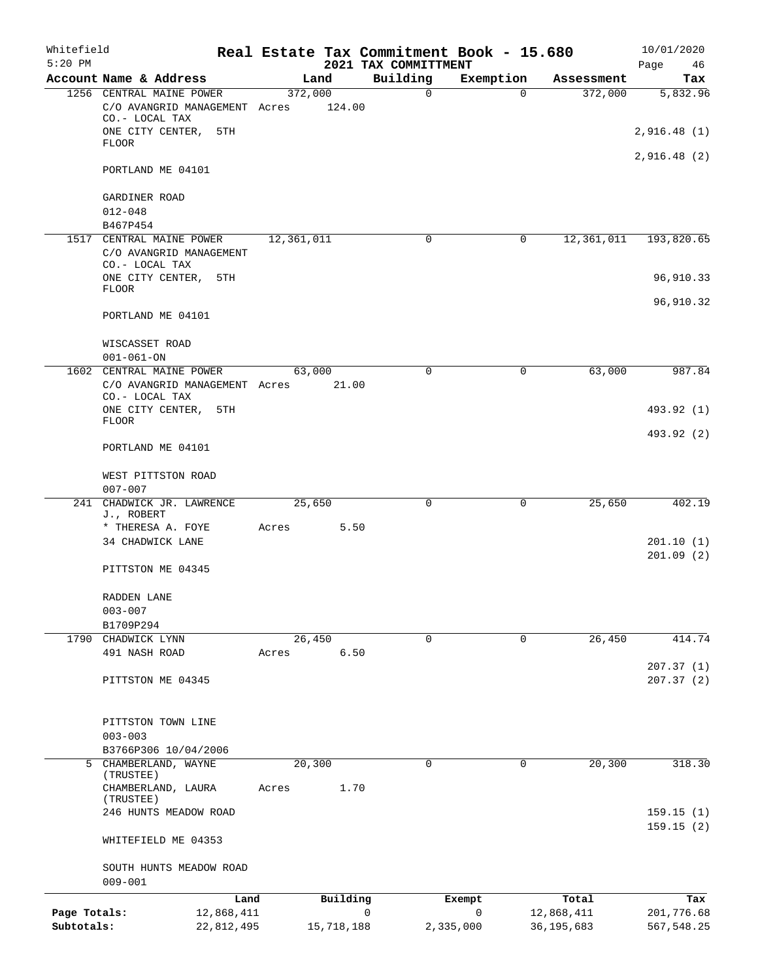| Whitefield<br>$5:20$ PM |                                                                             |            |            |            |   | Real Estate Tax Commitment Book - 15.680<br>2021 TAX COMMITTMENT |              |             |              | 10/01/2020<br>Page<br>46 |
|-------------------------|-----------------------------------------------------------------------------|------------|------------|------------|---|------------------------------------------------------------------|--------------|-------------|--------------|--------------------------|
|                         | Account Name & Address                                                      |            |            | Land       |   | Building                                                         | Exemption    |             | Assessment   | Tax                      |
|                         | 1256 CENTRAL MAINE POWER                                                    |            | 372,000    |            |   | $\mathbf 0$                                                      |              | $\Omega$    | 372,000      | 5,832.96                 |
|                         | C/O AVANGRID MANAGEMENT Acres<br>CO.- LOCAL TAX                             |            |            | 124.00     |   |                                                                  |              |             |              |                          |
|                         | ONE CITY CENTER,<br><b>FLOOR</b>                                            | 5TH        |            |            |   |                                                                  |              |             |              | 2,916.48(1)              |
|                         | PORTLAND ME 04101                                                           |            |            |            |   |                                                                  |              |             |              | 2,916.48(2)              |
|                         | GARDINER ROAD                                                               |            |            |            |   |                                                                  |              |             |              |                          |
|                         | $012 - 048$                                                                 |            |            |            |   |                                                                  |              |             |              |                          |
|                         | B467P454                                                                    |            |            |            |   |                                                                  |              |             |              |                          |
|                         | 1517 CENTRAL MAINE POWER                                                    |            | 12,361,011 |            |   | 0                                                                |              | $\mathbf 0$ | 12,361,011   | 193,820.65               |
|                         | C/O AVANGRID MANAGEMENT<br>CO.- LOCAL TAX                                   |            |            |            |   |                                                                  |              |             |              |                          |
|                         | ONE CITY CENTER,<br><b>FLOOR</b>                                            | 5TH        |            |            |   |                                                                  |              |             |              | 96,910.33                |
|                         |                                                                             |            |            |            |   |                                                                  |              |             |              | 96,910.32                |
|                         | PORTLAND ME 04101                                                           |            |            |            |   |                                                                  |              |             |              |                          |
|                         | WISCASSET ROAD                                                              |            |            |            |   |                                                                  |              |             |              |                          |
|                         | $001 - 061 - ON$                                                            |            |            |            |   |                                                                  |              |             |              |                          |
|                         | 1602 CENTRAL MAINE POWER<br>C/O AVANGRID MANAGEMENT Acres<br>CO.- LOCAL TAX |            | 63,000     | 21.00      |   | 0                                                                |              | 0           | 63,000       | 987.84                   |
|                         | ONE CITY CENTER,                                                            | 5TH        |            |            |   |                                                                  |              |             |              | 493.92 (1)               |
|                         | <b>FLOOR</b>                                                                |            |            |            |   |                                                                  |              |             |              | 493.92 (2)               |
|                         | PORTLAND ME 04101                                                           |            |            |            |   |                                                                  |              |             |              |                          |
|                         | WEST PITTSTON ROAD<br>$007 - 007$                                           |            |            |            |   |                                                                  |              |             |              |                          |
|                         | 241 CHADWICK JR. LAWRENCE                                                   |            | 25,650     |            |   | $\mathbf 0$                                                      |              | 0           | 25,650       | 402.19                   |
|                         | J., ROBERT                                                                  |            |            |            |   |                                                                  |              |             |              |                          |
|                         | * THERESA A. FOYE<br>34 CHADWICK LANE                                       |            | Acres      | 5.50       |   |                                                                  |              |             |              | 201.10(1)                |
|                         |                                                                             |            |            |            |   |                                                                  |              |             |              | 201.09(2)                |
|                         | PITTSTON ME 04345                                                           |            |            |            |   |                                                                  |              |             |              |                          |
|                         | RADDEN LANE                                                                 |            |            |            |   |                                                                  |              |             |              |                          |
|                         | $003 - 007$                                                                 |            |            |            |   |                                                                  |              |             |              |                          |
|                         | B1709P294<br>1790 CHADWICK LYNN                                             |            | 26,450     |            |   | $\Omega$                                                         |              | $\Omega$    | 26,450       | 414.74                   |
|                         | 491 NASH ROAD                                                               |            | Acres      | 6.50       |   |                                                                  |              |             |              |                          |
|                         |                                                                             |            |            |            |   |                                                                  |              |             |              | 207.37(1)                |
|                         | PITTSTON ME 04345                                                           |            |            |            |   |                                                                  |              |             |              | 207.37(2)                |
|                         |                                                                             |            |            |            |   |                                                                  |              |             |              |                          |
|                         | PITTSTON TOWN LINE                                                          |            |            |            |   |                                                                  |              |             |              |                          |
|                         | $003 - 003$                                                                 |            |            |            |   |                                                                  |              |             |              |                          |
|                         | B3766P306 10/04/2006<br>5 CHAMBERLAND, WAYNE                                |            | 20,300     |            |   | 0                                                                |              | 0           | 20,300       | 318.30                   |
|                         | (TRUSTEE)                                                                   |            |            |            |   |                                                                  |              |             |              |                          |
|                         | CHAMBERLAND, LAURA<br>(TRUSTEE)                                             |            | Acres      | 1.70       |   |                                                                  |              |             |              |                          |
|                         | 246 HUNTS MEADOW ROAD                                                       |            |            |            |   |                                                                  |              |             |              | 159.15(1)                |
|                         | WHITEFIELD ME 04353                                                         |            |            |            |   |                                                                  |              |             |              | 159.15(2)                |
|                         | SOUTH HUNTS MEADOW ROAD                                                     |            |            |            |   |                                                                  |              |             |              |                          |
|                         | $009 - 001$                                                                 |            |            |            |   |                                                                  |              |             |              |                          |
|                         |                                                                             | Land       |            | Building   |   |                                                                  | Exempt       |             | Total        | Tax                      |
| Page Totals:            |                                                                             | 12,868,411 |            |            | 0 |                                                                  | $\mathsf{O}$ |             | 12,868,411   | 201,776.68               |
| Subtotals:              |                                                                             | 22,812,495 |            | 15,718,188 |   |                                                                  | 2,335,000    |             | 36, 195, 683 | 567,548.25               |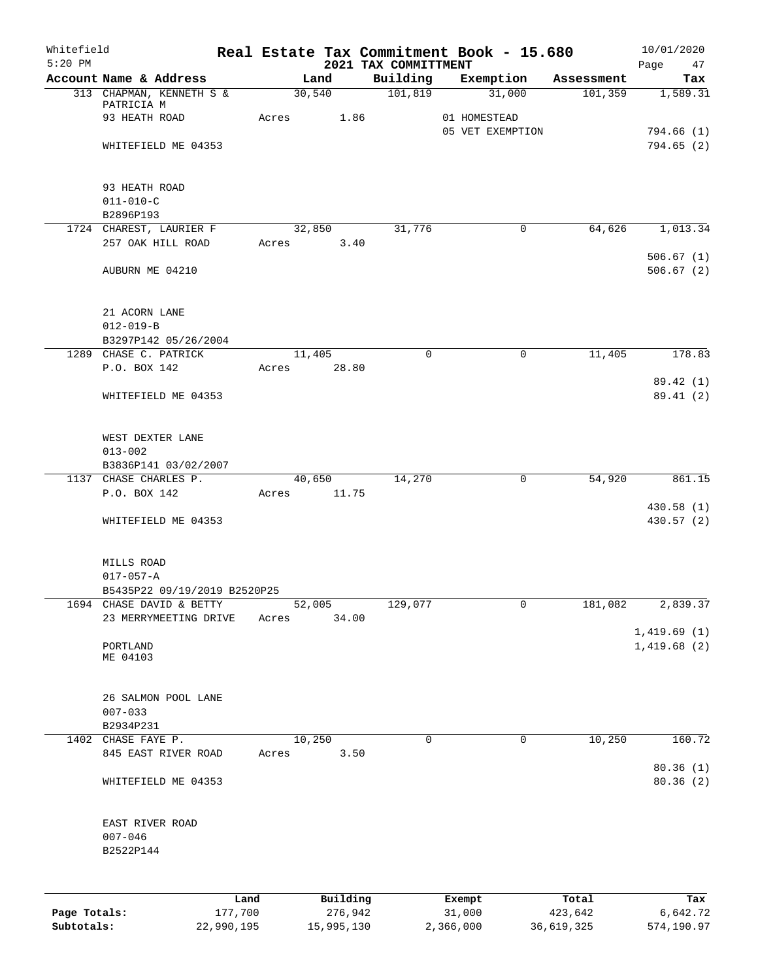| Whitefield<br>$5:20$ PM |                                                          |                 |       |                     |      | Real Estate Tax Commitment Book - 15.680<br>2021 TAX COMMITTMENT |                  |                  |                  | 10/01/2020               |
|-------------------------|----------------------------------------------------------|-----------------|-------|---------------------|------|------------------------------------------------------------------|------------------|------------------|------------------|--------------------------|
|                         | Account Name & Address                                   |                 |       | Land                |      | Building                                                         |                  | Exemption        | Assessment       | Page<br>47<br>Tax        |
|                         | 313 CHAPMAN, KENNETH S &                                 |                 |       | 30,540              |      | 101,819                                                          |                  | 31,000           | 101,359          | 1,589.31                 |
|                         | PATRICIA M                                               |                 | Acres |                     |      |                                                                  |                  |                  |                  |                          |
|                         | 93 HEATH ROAD                                            |                 |       |                     | 1.86 |                                                                  | 01 HOMESTEAD     | 05 VET EXEMPTION |                  | 794.66(1)                |
|                         | WHITEFIELD ME 04353                                      |                 |       |                     |      |                                                                  |                  |                  |                  | 794.65(2)                |
|                         |                                                          |                 |       |                     |      |                                                                  |                  |                  |                  |                          |
|                         |                                                          |                 |       |                     |      |                                                                  |                  |                  |                  |                          |
|                         | 93 HEATH ROAD                                            |                 |       |                     |      |                                                                  |                  |                  |                  |                          |
|                         | $011 - 010 - C$<br>B2896P193                             |                 |       |                     |      |                                                                  |                  |                  |                  |                          |
|                         | 1724 CHAREST, LAURIER F                                  |                 |       | 32,850              |      | 31,776                                                           |                  | 0                | 64,626           | 1,013.34                 |
|                         | 257 OAK HILL ROAD                                        |                 | Acres |                     | 3.40 |                                                                  |                  |                  |                  |                          |
|                         |                                                          |                 |       |                     |      |                                                                  |                  |                  |                  | 506.67(1)                |
|                         | AUBURN ME 04210                                          |                 |       |                     |      |                                                                  |                  |                  |                  | 506.67(2)                |
|                         |                                                          |                 |       |                     |      |                                                                  |                  |                  |                  |                          |
|                         | 21 ACORN LANE                                            |                 |       |                     |      |                                                                  |                  |                  |                  |                          |
|                         | $012 - 019 - B$                                          |                 |       |                     |      |                                                                  |                  |                  |                  |                          |
|                         | B3297P142 05/26/2004                                     |                 |       |                     |      |                                                                  |                  |                  |                  |                          |
|                         | 1289 CHASE C. PATRICK                                    |                 |       | 11,405              |      | 0                                                                |                  | 0                | 11,405           | 178.83                   |
|                         | P.O. BOX 142                                             |                 | Acres | 28.80               |      |                                                                  |                  |                  |                  |                          |
|                         |                                                          |                 |       |                     |      |                                                                  |                  |                  |                  | 89.42 (1)                |
|                         | WHITEFIELD ME 04353                                      |                 |       |                     |      |                                                                  |                  |                  |                  | 89.41 (2)                |
|                         |                                                          |                 |       |                     |      |                                                                  |                  |                  |                  |                          |
|                         | WEST DEXTER LANE                                         |                 |       |                     |      |                                                                  |                  |                  |                  |                          |
|                         | $013 - 002$                                              |                 |       |                     |      |                                                                  |                  |                  |                  |                          |
|                         | B3836P141 03/02/2007                                     |                 |       |                     |      |                                                                  |                  |                  |                  |                          |
|                         | 1137 CHASE CHARLES P.                                    |                 |       | 40,650              |      | 14,270                                                           |                  | $\mathbf 0$      | 54,920           | 861.15                   |
|                         | P.O. BOX 142                                             |                 | Acres | 11.75               |      |                                                                  |                  |                  |                  |                          |
|                         | WHITEFIELD ME 04353                                      |                 |       |                     |      |                                                                  |                  |                  |                  | 430.58 (1)<br>430.57 (2) |
|                         |                                                          |                 |       |                     |      |                                                                  |                  |                  |                  |                          |
|                         |                                                          |                 |       |                     |      |                                                                  |                  |                  |                  |                          |
|                         | MILLS ROAD                                               |                 |       |                     |      |                                                                  |                  |                  |                  |                          |
|                         | $017 - 057 - A$                                          |                 |       |                     |      |                                                                  |                  |                  |                  |                          |
|                         | B5435P22 09/19/2019 B2520P25<br>1694 CHASE DAVID & BETTY |                 |       |                     |      |                                                                  |                  | 0                |                  |                          |
|                         | 23 MERRYMEETING DRIVE                                    |                 | Acres | 52,005<br>34.00     |      | 129,077                                                          |                  |                  | 181,082          | 2,839.37                 |
|                         |                                                          |                 |       |                     |      |                                                                  |                  |                  |                  | 1,419.69(1)              |
|                         | PORTLAND                                                 |                 |       |                     |      |                                                                  |                  |                  |                  | 1,419.68(2)              |
|                         | ME 04103                                                 |                 |       |                     |      |                                                                  |                  |                  |                  |                          |
|                         |                                                          |                 |       |                     |      |                                                                  |                  |                  |                  |                          |
|                         | 26 SALMON POOL LANE                                      |                 |       |                     |      |                                                                  |                  |                  |                  |                          |
|                         | $007 - 033$                                              |                 |       |                     |      |                                                                  |                  |                  |                  |                          |
|                         | B2934P231                                                |                 |       |                     |      |                                                                  |                  |                  |                  |                          |
|                         | 1402 CHASE FAYE P.                                       |                 |       | 10,250              |      | $\mathbf 0$                                                      |                  | $\mathbf 0$      | 10,250           | 160.72                   |
|                         | 845 EAST RIVER ROAD                                      |                 | Acres |                     | 3.50 |                                                                  |                  |                  |                  |                          |
|                         | WHITEFIELD ME 04353                                      |                 |       |                     |      |                                                                  |                  |                  |                  | 80.36(1)<br>80.36(2)     |
|                         |                                                          |                 |       |                     |      |                                                                  |                  |                  |                  |                          |
|                         |                                                          |                 |       |                     |      |                                                                  |                  |                  |                  |                          |
|                         | EAST RIVER ROAD                                          |                 |       |                     |      |                                                                  |                  |                  |                  |                          |
|                         | $007 - 046$                                              |                 |       |                     |      |                                                                  |                  |                  |                  |                          |
|                         | B2522P144                                                |                 |       |                     |      |                                                                  |                  |                  |                  |                          |
|                         |                                                          |                 |       |                     |      |                                                                  |                  |                  |                  |                          |
|                         |                                                          |                 |       |                     |      |                                                                  |                  |                  |                  |                          |
| Page Totals:            |                                                          | Land<br>177,700 |       | Building<br>276,942 |      |                                                                  | Exempt<br>31,000 |                  | Total<br>423,642 | Tax<br>6,642.72          |
|                         |                                                          |                 |       |                     |      |                                                                  |                  |                  |                  |                          |

**Subtotals:** 22,990,195 15,995,130 2,366,000 36,619,325 574,190.97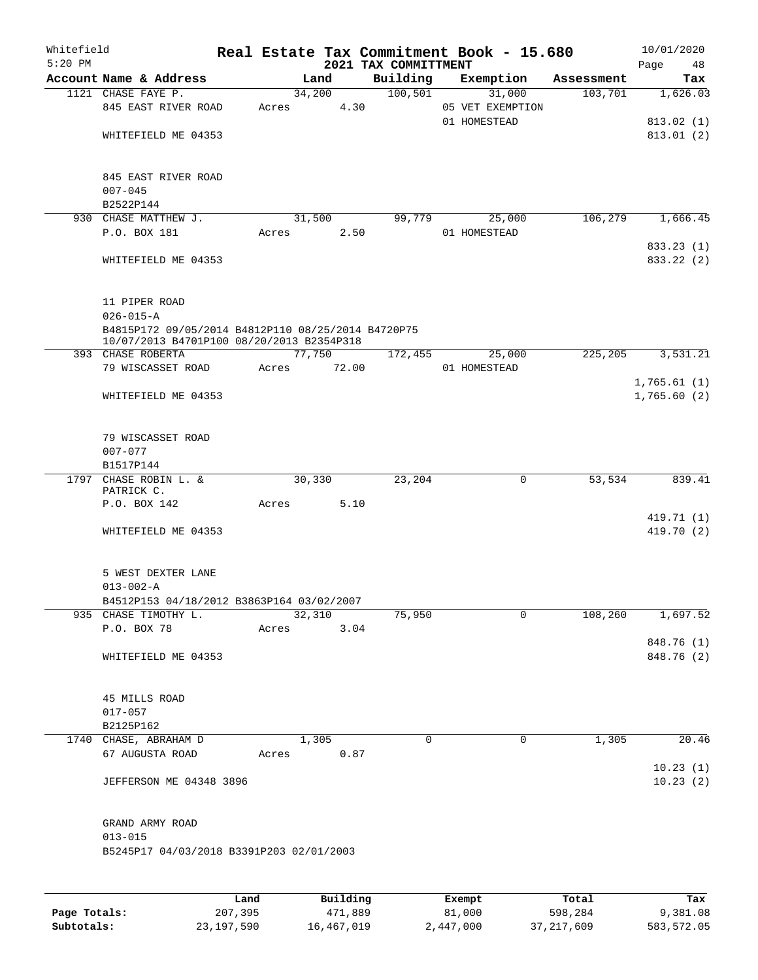| Whitefield<br>$5:20$ PM |                                                                                                 |       |        |             | 2021 TAX COMMITTMENT | Real Estate Tax Commitment Book - 15.680   |            | 10/01/2020<br>Page<br>48 |
|-------------------------|-------------------------------------------------------------------------------------------------|-------|--------|-------------|----------------------|--------------------------------------------|------------|--------------------------|
|                         | Account Name & Address                                                                          |       | Land   |             | Building             | Exemption                                  | Assessment | Tax                      |
|                         | 1121 CHASE FAYE P.<br>845 EAST RIVER ROAD                                                       | Acres | 34,200 | 4.30        | 100, 501             | 31,000<br>05 VET EXEMPTION<br>01 HOMESTEAD | 103,701    | 1,626.03<br>813.02(1)    |
|                         | WHITEFIELD ME 04353<br>845 EAST RIVER ROAD                                                      |       |        |             |                      |                                            |            | 813.01(2)                |
|                         | $007 - 045$<br>B2522P144                                                                        |       |        |             |                      |                                            |            |                          |
|                         | 930 CHASE MATTHEW J.                                                                            |       | 31,500 |             | 99,779               | 25,000                                     | 106,279    | 1,666.45                 |
|                         | P.O. BOX 181                                                                                    | Acres |        | 2.50        |                      | 01 HOMESTEAD                               |            |                          |
|                         | WHITEFIELD ME 04353                                                                             |       |        |             |                      |                                            |            | 833.23 (1)<br>833.22 (2) |
|                         | 11 PIPER ROAD<br>$026 - 015 - A$                                                                |       |        |             |                      |                                            |            |                          |
|                         | B4815P172 09/05/2014 B4812P110 08/25/2014 B4720P75<br>10/07/2013 B4701P100 08/20/2013 B2354P318 |       |        |             |                      |                                            |            |                          |
|                         | 393 CHASE ROBERTA                                                                               |       | 77,750 |             | 172,455              | 25,000                                     | 225,205    | 3,531.21                 |
|                         | 79 WISCASSET ROAD                                                                               |       |        | Acres 72.00 |                      | 01 HOMESTEAD                               |            |                          |
|                         |                                                                                                 |       |        |             |                      |                                            |            | 1,765.61(1)              |
|                         | WHITEFIELD ME 04353                                                                             |       |        |             |                      |                                            |            | 1,765.60(2)              |
|                         | 79 WISCASSET ROAD<br>$007 - 077$                                                                |       |        |             |                      |                                            |            |                          |
|                         | B1517P144                                                                                       |       |        |             |                      |                                            |            |                          |
|                         | 1797 CHASE ROBIN L. &<br>PATRICK C.                                                             |       | 30,330 |             | 23,204               | $\mathbf 0$                                | 53,534     | 839.41                   |
|                         | P.O. BOX 142                                                                                    | Acres |        | 5.10        |                      |                                            |            |                          |
|                         | WHITEFIELD ME 04353                                                                             |       |        |             |                      |                                            |            | 419.71 (1)<br>419.70 (2) |
|                         | 5 WEST DEXTER LANE<br>$013 - 002 - A$                                                           |       |        |             |                      |                                            |            |                          |
|                         | B4512P153 04/18/2012 B3863P164 03/02/2007                                                       |       |        |             |                      |                                            |            |                          |
|                         | 935 CHASE TIMOTHY L.                                                                            |       | 32,310 |             | 75,950               | 0                                          | 108,260    | 1,697.52                 |
|                         | P.O. BOX 78                                                                                     | Acres |        | 3.04        |                      |                                            |            | 848.76 (1)               |
|                         | WHITEFIELD ME 04353                                                                             |       |        |             |                      |                                            |            | 848.76 (2)               |
|                         | 45 MILLS ROAD                                                                                   |       |        |             |                      |                                            |            |                          |
|                         | $017 - 057$<br>B2125P162                                                                        |       |        |             |                      |                                            |            |                          |
|                         | 1740 CHASE, ABRAHAM D                                                                           |       | 1,305  |             | 0                    | $\mathbf 0$                                | 1,305      | 20.46                    |
|                         | 67 AUGUSTA ROAD                                                                                 | Acres |        | 0.87        |                      |                                            |            |                          |
|                         | JEFFERSON ME 04348 3896                                                                         |       |        |             |                      |                                            |            | 10.23(1)<br>10.23(2)     |
|                         | GRAND ARMY ROAD<br>$013 - 015$                                                                  |       |        |             |                      |                                            |            |                          |
|                         | B5245P17 04/03/2018 B3391P203 02/01/2003                                                        |       |        |             |                      |                                            |            |                          |
|                         |                                                                                                 |       |        |             |                      |                                            |            |                          |

|              | Land         | Building   | Exempt    | Total        | Tax        |
|--------------|--------------|------------|-----------|--------------|------------|
| Page Totals: | 207,395      | 471,889    | 81,000    | 598,284      | 9,381.08   |
| Subtotals:   | 23, 197, 590 | 16,467,019 | 2,447,000 | 37, 217, 609 | 583,572.05 |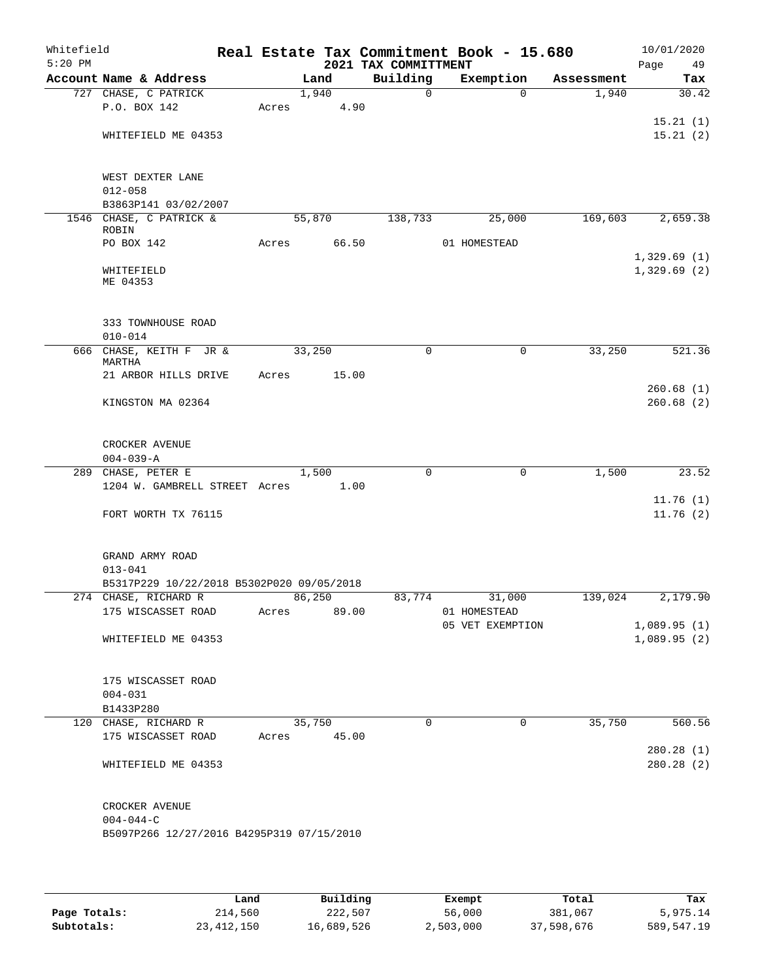| Whitefield<br>$5:20$ PM |                                                                                |             |        |       | 2021 TAX COMMITTMENT | Real Estate Tax Commitment Book - 15.680 |            | 10/01/2020<br>Page<br>49   |
|-------------------------|--------------------------------------------------------------------------------|-------------|--------|-------|----------------------|------------------------------------------|------------|----------------------------|
|                         | Account Name & Address                                                         |             | Land   |       | Building             | Exemption                                | Assessment | Tax                        |
|                         | 727 CHASE, C PATRICK                                                           |             | 1,940  |       | $\Omega$             | $\Omega$                                 | 1,940      | 30.42                      |
|                         | P.O. BOX 142                                                                   | Acres       |        | 4.90  |                      |                                          |            |                            |
|                         | WHITEFIELD ME 04353                                                            |             |        |       |                      |                                          |            | 15.21(1)<br>15.21(2)       |
|                         | WEST DEXTER LANE                                                               |             |        |       |                      |                                          |            |                            |
|                         | $012 - 058$<br>B3863P141 03/02/2007                                            |             |        |       |                      |                                          |            |                            |
|                         | 1546 CHASE, C PATRICK &                                                        |             | 55,870 |       | 138,733              | 25,000                                   | 169,603    | 2,659.38                   |
|                         | ROBIN                                                                          |             |        |       |                      |                                          |            |                            |
|                         | PO BOX 142                                                                     | Acres       |        | 66.50 |                      | 01 HOMESTEAD                             |            |                            |
|                         | WHITEFIELD<br>ME 04353                                                         |             |        |       |                      |                                          |            | 1,329.69(1)<br>1,329.69(2) |
|                         | 333 TOWNHOUSE ROAD<br>$010 - 014$                                              |             |        |       |                      |                                          |            |                            |
|                         | 666 CHASE, KEITH F JR &                                                        |             | 33,250 |       | 0                    | 0                                        | 33,250     | 521.36                     |
|                         | MARTHA<br>21 ARBOR HILLS DRIVE                                                 | Acres       |        | 15.00 |                      |                                          |            |                            |
|                         |                                                                                |             |        |       |                      |                                          |            | 260.68(1)                  |
|                         | KINGSTON MA 02364                                                              |             |        |       |                      |                                          |            | 260.68(2)                  |
|                         | CROCKER AVENUE<br>$004 - 039 - A$                                              |             |        |       |                      |                                          |            |                            |
|                         | 289 CHASE, PETER E                                                             |             | 1,500  |       | 0                    | 0                                        | 1,500      | 23.52                      |
|                         | 1204 W. GAMBRELL STREET Acres                                                  |             |        | 1.00  |                      |                                          |            |                            |
|                         | FORT WORTH TX 76115                                                            |             |        |       |                      |                                          |            | 11.76(1)<br>11.76(2)       |
|                         | GRAND ARMY ROAD<br>$013 - 041$                                                 |             |        |       |                      |                                          |            |                            |
|                         | B5317P229 10/22/2018 B5302P020 09/05/2018                                      |             |        |       |                      |                                          |            |                            |
|                         | 274 CHASE, RICHARD R<br>175 WISCASSET ROAD                                     | Acres 89.00 | 86,250 |       | 83,774               | 31,000<br>01 HOMESTEAD                   | 139,024    | 2,179.90                   |
|                         |                                                                                |             |        |       |                      | 05 VET EXEMPTION                         |            | 1,089.95(1)                |
|                         | WHITEFIELD ME 04353                                                            |             |        |       |                      |                                          |            | 1,089.95(2)                |
|                         | 175 WISCASSET ROAD<br>$004 - 031$                                              |             |        |       |                      |                                          |            |                            |
|                         | B1433P280                                                                      |             |        |       |                      |                                          |            |                            |
|                         | 120 CHASE, RICHARD R<br>175 WISCASSET ROAD                                     | Acres 45.00 | 35,750 |       | $\mathbf 0$          | $\mathsf{O}$                             | 35,750     | 560.56                     |
|                         | WHITEFIELD ME 04353                                                            |             |        |       |                      |                                          |            | 280.28 (1)<br>280.28(2)    |
|                         | CROCKER AVENUE<br>$004 - 044 - C$<br>B5097P266 12/27/2016 B4295P319 07/15/2010 |             |        |       |                      |                                          |            |                            |

|              | Land       | Building   | Exempt    | Total      | Tax        |
|--------------|------------|------------|-----------|------------|------------|
| Page Totals: | 214,560    | 222,507    | 56,000    | 381,067    | 5,975.14   |
| Subtotals:   | 23,412,150 | 16,689,526 | 2,503,000 | 37,598,676 | 589,547.19 |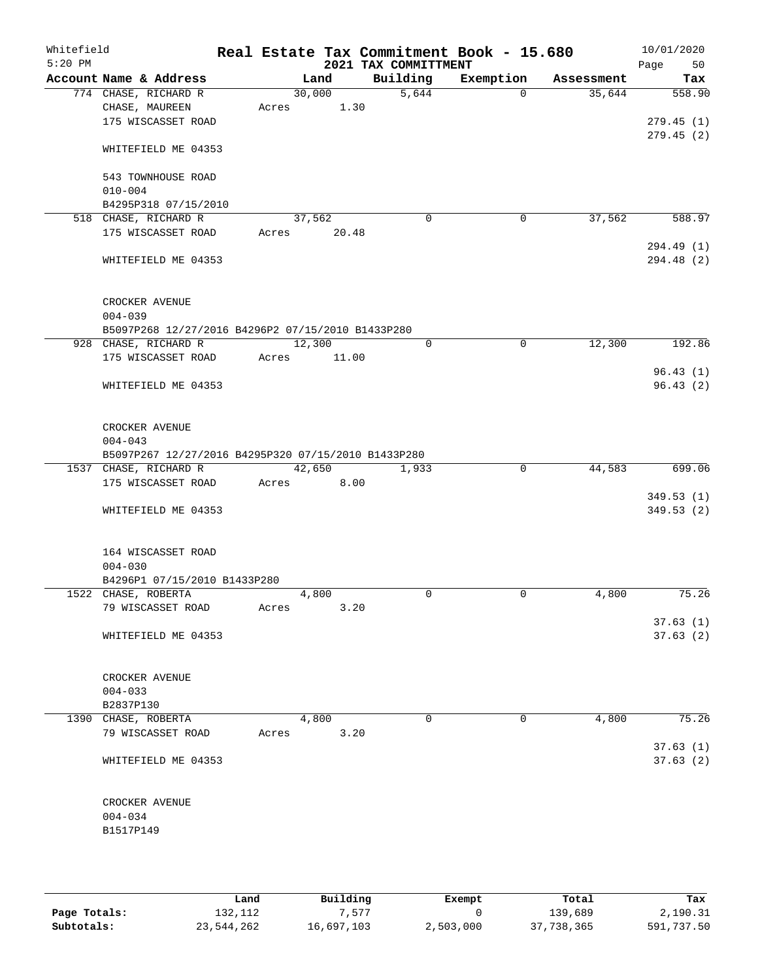| Whitefield<br>$5:20$ PM |                                                     |       |        |      | 2021 TAX COMMITTMENT | Real Estate Tax Commitment Book - 15.680 |            | 10/01/2020<br>Page<br>50 |
|-------------------------|-----------------------------------------------------|-------|--------|------|----------------------|------------------------------------------|------------|--------------------------|
|                         | Account Name & Address                              |       | Land   |      | Building             | Exemption                                | Assessment | Tax                      |
|                         | 774 CHASE, RICHARD R                                |       | 30,000 |      | 5,644                | $\Omega$                                 | 35,644     | 558.90                   |
|                         | CHASE, MAUREEN                                      | Acres |        | 1.30 |                      |                                          |            |                          |
|                         | 175 WISCASSET ROAD                                  |       |        |      |                      |                                          |            | 279.45(1)                |
|                         | WHITEFIELD ME 04353                                 |       |        |      |                      |                                          |            | 279.45(2)                |
|                         | 543 TOWNHOUSE ROAD                                  |       |        |      |                      |                                          |            |                          |
|                         | $010 - 004$                                         |       |        |      |                      |                                          |            |                          |
|                         | B4295P318 07/15/2010                                |       |        |      |                      |                                          |            |                          |
|                         | 518 CHASE, RICHARD R                                |       | 37,562 |      | $\mathbf 0$          | 0                                        | 37,562     | 588.97                   |
|                         | 175 WISCASSET ROAD                                  | Acres | 20.48  |      |                      |                                          |            |                          |
|                         |                                                     |       |        |      |                      |                                          |            | 294.49 (1)               |
|                         | WHITEFIELD ME 04353                                 |       |        |      |                      |                                          |            | 294.48 (2)               |
|                         | CROCKER AVENUE                                      |       |        |      |                      |                                          |            |                          |
|                         | $004 - 039$                                         |       |        |      |                      |                                          |            |                          |
|                         | B5097P268 12/27/2016 B4296P2 07/15/2010 B1433P280   |       |        |      |                      |                                          |            |                          |
|                         | 928 CHASE, RICHARD R                                |       | 12,300 |      | 0                    | 0                                        | 12,300     | 192.86                   |
|                         | 175 WISCASSET ROAD                                  | Acres | 11.00  |      |                      |                                          |            |                          |
|                         |                                                     |       |        |      |                      |                                          |            | 96.43(1)                 |
|                         | WHITEFIELD ME 04353                                 |       |        |      |                      |                                          |            | 96.43(2)                 |
|                         | CROCKER AVENUE<br>$004 - 043$                       |       |        |      |                      |                                          |            |                          |
|                         | B5097P267 12/27/2016 B4295P320 07/15/2010 B1433P280 |       |        |      |                      |                                          |            |                          |
|                         | 1537 CHASE, RICHARD R                               |       | 42,650 |      | 1,933                | $\mathbf 0$                              | 44,583     | 699.06                   |
|                         | 175 WISCASSET ROAD                                  | Acres |        | 8.00 |                      |                                          |            |                          |
|                         |                                                     |       |        |      |                      |                                          |            | 349.53(1)                |
|                         | WHITEFIELD ME 04353                                 |       |        |      |                      |                                          |            | 349.53 (2)               |
|                         | 164 WISCASSET ROAD                                  |       |        |      |                      |                                          |            |                          |
|                         | $004 - 030$                                         |       |        |      |                      |                                          |            |                          |
|                         | B4296P1 07/15/2010 B1433P280                        |       |        |      |                      |                                          |            |                          |
|                         | 1522 CHASE, ROBERTA                                 |       | 4,800  |      | 0                    | $\mathbf 0$                              | 4,800      | 75.26                    |
|                         | 79 WISCASSET ROAD                                   | Acres |        | 3.20 |                      |                                          |            |                          |
|                         | WHITEFIELD ME 04353                                 |       |        |      |                      |                                          |            | 37.63(1)<br>37.63(2)     |
|                         |                                                     |       |        |      |                      |                                          |            |                          |
|                         | CROCKER AVENUE                                      |       |        |      |                      |                                          |            |                          |
|                         | $004 - 033$                                         |       |        |      |                      |                                          |            |                          |
|                         | B2837P130                                           |       |        |      |                      |                                          |            |                          |
|                         | 1390 CHASE, ROBERTA                                 |       | 4,800  |      | 0                    | 0                                        | 4,800      | 75.26                    |
|                         | 79 WISCASSET ROAD                                   | Acres |        | 3.20 |                      |                                          |            |                          |
|                         | WHITEFIELD ME 04353                                 |       |        |      |                      |                                          |            | 37.63(1)<br>37.63(2)     |
|                         | CROCKER AVENUE                                      |       |        |      |                      |                                          |            |                          |
|                         | $004 - 034$                                         |       |        |      |                      |                                          |            |                          |
|                         | B1517P149                                           |       |        |      |                      |                                          |            |                          |
|                         |                                                     |       |        |      |                      |                                          |            |                          |
|                         |                                                     |       |        |      |                      |                                          |            |                          |

|              | Land       | Building   | Exempt    | Total      | Tax        |
|--------------|------------|------------|-----------|------------|------------|
| Page Totals: | 132,112    | .577       |           | 139,689    | 2,190.31   |
| Subtotals:   | 23,544,262 | 16,697,103 | 2,503,000 | 37,738,365 | 591,737.50 |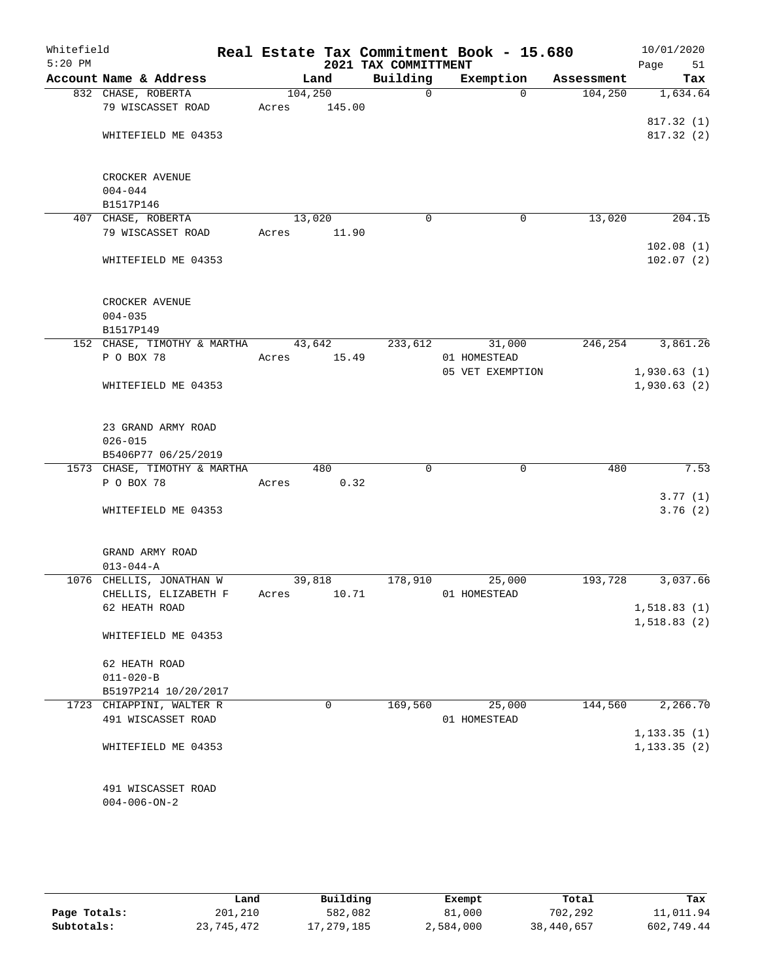| Whitefield<br>$5:20$ PM |                              |         |        | 2021 TAX COMMITTMENT | Real Estate Tax Commitment Book - 15.680 |            | 10/01/2020<br>Page<br>51 |
|-------------------------|------------------------------|---------|--------|----------------------|------------------------------------------|------------|--------------------------|
|                         | Account Name & Address       |         | Land   | Building             | Exemption                                | Assessment | Tax                      |
|                         | 832 CHASE, ROBERTA           | 104,250 |        | $\mathbf 0$          | $\Omega$                                 | 104,250    | 1,634.64                 |
|                         | 79 WISCASSET ROAD            | Acres   | 145.00 |                      |                                          |            |                          |
|                         |                              |         |        |                      |                                          |            | 817.32(1)                |
|                         | WHITEFIELD ME 04353          |         |        |                      |                                          |            | 817.32(2)                |
|                         |                              |         |        |                      |                                          |            |                          |
|                         |                              |         |        |                      |                                          |            |                          |
|                         | CROCKER AVENUE               |         |        |                      |                                          |            |                          |
|                         | $004 - 044$                  |         |        |                      |                                          |            |                          |
|                         | B1517P146                    |         |        |                      |                                          |            |                          |
|                         | 407 CHASE, ROBERTA           | 13,020  |        | $\mathbf 0$          | 0                                        | 13,020     | 204.15                   |
|                         | 79 WISCASSET ROAD            | Acres   | 11.90  |                      |                                          |            |                          |
|                         |                              |         |        |                      |                                          |            | 102.08(1)                |
|                         | WHITEFIELD ME 04353          |         |        |                      |                                          |            | 102.07(2)                |
|                         |                              |         |        |                      |                                          |            |                          |
|                         | CROCKER AVENUE               |         |        |                      |                                          |            |                          |
|                         | $004 - 035$                  |         |        |                      |                                          |            |                          |
|                         | B1517P149                    |         |        |                      |                                          |            |                          |
|                         | 152 CHASE, TIMOTHY & MARTHA  |         | 43,642 | 233,612              | 31,000                                   | 246,254    | 3,861.26                 |
|                         | P O BOX 78                   | Acres   | 15.49  |                      | 01 HOMESTEAD                             |            |                          |
|                         |                              |         |        |                      | 05 VET EXEMPTION                         |            | 1,930.63(1)              |
|                         | WHITEFIELD ME 04353          |         |        |                      |                                          |            | 1,930.63(2)              |
|                         |                              |         |        |                      |                                          |            |                          |
|                         |                              |         |        |                      |                                          |            |                          |
|                         | 23 GRAND ARMY ROAD           |         |        |                      |                                          |            |                          |
|                         | $026 - 015$                  |         |        |                      |                                          |            |                          |
|                         | B5406P77 06/25/2019          |         |        |                      |                                          |            |                          |
|                         | 1573 CHASE, TIMOTHY & MARTHA |         | 480    | $\Omega$             | 0                                        | 480        | 7.53                     |
|                         | P O BOX 78                   | Acres   | 0.32   |                      |                                          |            | 3.77(1)                  |
|                         | WHITEFIELD ME 04353          |         |        |                      |                                          |            | 3.76(2)                  |
|                         |                              |         |        |                      |                                          |            |                          |
|                         |                              |         |        |                      |                                          |            |                          |
|                         | GRAND ARMY ROAD              |         |        |                      |                                          |            |                          |
|                         | $013 - 044 - A$              |         |        |                      |                                          |            |                          |
|                         | 1076 CHELLIS, JONATHAN W     |         | 39,818 | 178,910              | 25,000                                   | 193,728    | 3,037.66                 |
|                         | CHELLIS, ELIZABETH F         | Acres   | 10.71  |                      | 01 HOMESTEAD                             |            |                          |
|                         | 62 HEATH ROAD                |         |        |                      |                                          |            | 1,518.83(1)              |
|                         |                              |         |        |                      |                                          |            | 1,518.83(2)              |
|                         | WHITEFIELD ME 04353          |         |        |                      |                                          |            |                          |
|                         | 62 HEATH ROAD                |         |        |                      |                                          |            |                          |
|                         | $011 - 020 - B$              |         |        |                      |                                          |            |                          |
|                         | B5197P214 10/20/2017         |         |        |                      |                                          |            |                          |
|                         | 1723 CHIAPPINI, WALTER R     |         | 0      | 169,560              | 25,000                                   | 144,560    | 2,266.70                 |
|                         | 491 WISCASSET ROAD           |         |        |                      | 01 HOMESTEAD                             |            |                          |
|                         |                              |         |        |                      |                                          |            | 1, 133.35(1)             |
|                         | WHITEFIELD ME 04353          |         |        |                      |                                          |            | 1, 133.35(2)             |
|                         |                              |         |        |                      |                                          |            |                          |
|                         |                              |         |        |                      |                                          |            |                          |
|                         | 491 WISCASSET ROAD           |         |        |                      |                                          |            |                          |
|                         | $004 - 006 - ON - 2$         |         |        |                      |                                          |            |                          |
|                         |                              |         |        |                      |                                          |            |                          |
|                         |                              |         |        |                      |                                          |            |                          |

|              | Land       | Building     | Exempt    | Total      | Tax        |
|--------------|------------|--------------|-----------|------------|------------|
| Page Totals: | 201,210    | 582,082      | 81,000    | 702,292    | 11,011.94  |
| Subtotals:   | 23,745,472 | 17, 279, 185 | 2,584,000 | 38,440,657 | 602,749.44 |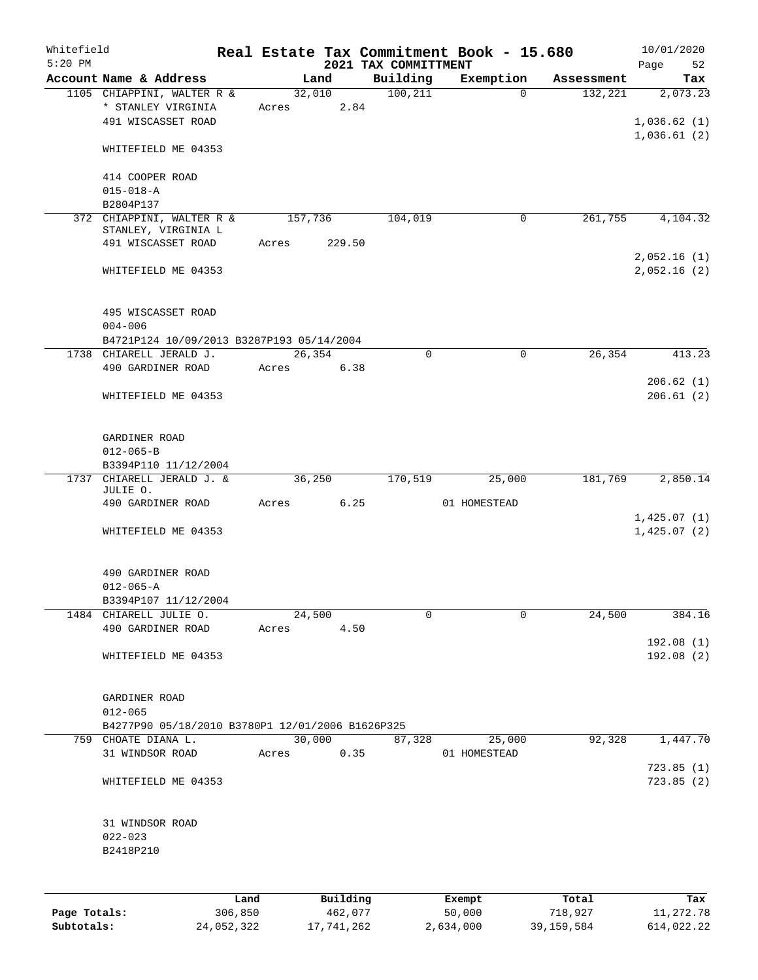| Whitefield<br>$5:20$ PM |                                                                        |      |         |        |            | 2021 TAX COMMITTMENT |          | Real Estate Tax Commitment Book - 15.680 |            | 10/01/2020<br>52<br>Page   |
|-------------------------|------------------------------------------------------------------------|------|---------|--------|------------|----------------------|----------|------------------------------------------|------------|----------------------------|
|                         | Account Name & Address                                                 |      |         | Land   |            | Building             |          | Exemption                                | Assessment | Tax                        |
|                         | 1105 CHIAPPINI, WALTER R &<br>* STANLEY VIRGINIA<br>491 WISCASSET ROAD |      |         | 32,010 | Acres 2.84 | 100, 211             |          | $\Omega$                                 | 132,221    | 2,073.23<br>1,036.62(1)    |
|                         | WHITEFIELD ME 04353                                                    |      |         |        |            |                      |          |                                          |            | 1,036.61(2)                |
|                         | 414 COOPER ROAD<br>$015 - 018 - A$<br>B2804P137                        |      |         |        |            |                      |          |                                          |            |                            |
|                         | 372 CHIAPPINI, WALTER R &                                              |      | 157,736 |        |            | 104,019              |          | $\mathbf 0$                              | 261,755    | 4,104.32                   |
|                         | STANLEY, VIRGINIA L                                                    |      |         |        |            |                      |          |                                          |            |                            |
|                         | 491 WISCASSET ROAD                                                     |      | Acres   |        | 229.50     |                      |          |                                          |            |                            |
|                         | WHITEFIELD ME 04353                                                    |      |         |        |            |                      |          |                                          |            | 2,052.16(1)<br>2,052.16(2) |
|                         | 495 WISCASSET ROAD<br>$004 - 006$                                      |      |         |        |            |                      |          |                                          |            |                            |
|                         | B4721P124 10/09/2013 B3287P193 05/14/2004                              |      |         |        |            |                      |          |                                          |            |                            |
|                         | 1738 CHIARELL JERALD J.                                                |      |         | 26,354 |            |                      | $\Omega$ | $\mathbf 0$                              | 26,354     | 413.23                     |
|                         | 490 GARDINER ROAD                                                      |      |         |        | Acres 6.38 |                      |          |                                          |            |                            |
|                         | WHITEFIELD ME 04353                                                    |      |         |        |            |                      |          |                                          |            | 206.62(1)<br>206.61(2)     |
|                         | GARDINER ROAD<br>$012 - 065 - B$<br>B3394P110 11/12/2004               |      |         |        |            |                      |          |                                          |            |                            |
| 1737                    | CHIARELL JERALD J. &                                                   |      |         | 36,250 |            | 170,519              |          | 25,000                                   | 181,769    | 2,850.14                   |
|                         | JULIE O.<br>490 GARDINER ROAD                                          |      | Acres   |        | 6.25       |                      |          | 01 HOMESTEAD                             |            |                            |
|                         |                                                                        |      |         |        |            |                      |          |                                          |            | 1,425.07(1)                |
|                         | WHITEFIELD ME 04353                                                    |      |         |        |            |                      |          |                                          |            | 1,425.07(2)                |
|                         | 490 GARDINER ROAD<br>$012 - 065 - A$                                   |      |         |        |            |                      |          |                                          |            |                            |
|                         | B3394P107 11/12/2004                                                   |      |         |        |            |                      |          |                                          |            |                            |
|                         | 1484 CHIARELL JULIE O.                                                 |      |         | 24,500 |            |                      | 0        | 0                                        | 24,500     | 384.16                     |
|                         | 490 GARDINER ROAD                                                      |      | Acres   |        | 4.50       |                      |          |                                          |            | 192.08(1)                  |
|                         | WHITEFIELD ME 04353                                                    |      |         |        |            |                      |          |                                          |            | 192.08(2)                  |
|                         | GARDINER ROAD<br>$012 - 065$                                           |      |         |        |            |                      |          |                                          |            |                            |
|                         | B4277P90 05/18/2010 B3780P1 12/01/2006 B1626P325                       |      |         |        |            |                      |          |                                          |            |                            |
|                         | 759 CHOATE DIANA L.                                                    |      |         | 30,000 |            | 87,328               |          | 25,000                                   | 92,328     | 1,447.70                   |
|                         | 31 WINDSOR ROAD                                                        |      | Acres   |        | 0.35       |                      |          | 01 HOMESTEAD                             |            |                            |
|                         | WHITEFIELD ME 04353                                                    |      |         |        |            |                      |          |                                          |            | 723.85(1)<br>723.85(2)     |
|                         | 31 WINDSOR ROAD                                                        |      |         |        |            |                      |          |                                          |            |                            |
|                         | $022 - 023$                                                            |      |         |        |            |                      |          |                                          |            |                            |
|                         | B2418P210                                                              |      |         |        |            |                      |          |                                          |            |                            |
|                         |                                                                        | Land |         |        | Building   |                      |          | Exempt                                   | Total      | Tax                        |

|              | Land       | Building   | Exempt    | Total        | тах        |
|--------------|------------|------------|-----------|--------------|------------|
| Page Totals: | 306,850    | 462,077    | 50,000    | 718,927      | 11,272.78  |
| Subtotals:   | 24,052,322 | 17,741,262 | 2,634,000 | 39, 159, 584 | 614,022.22 |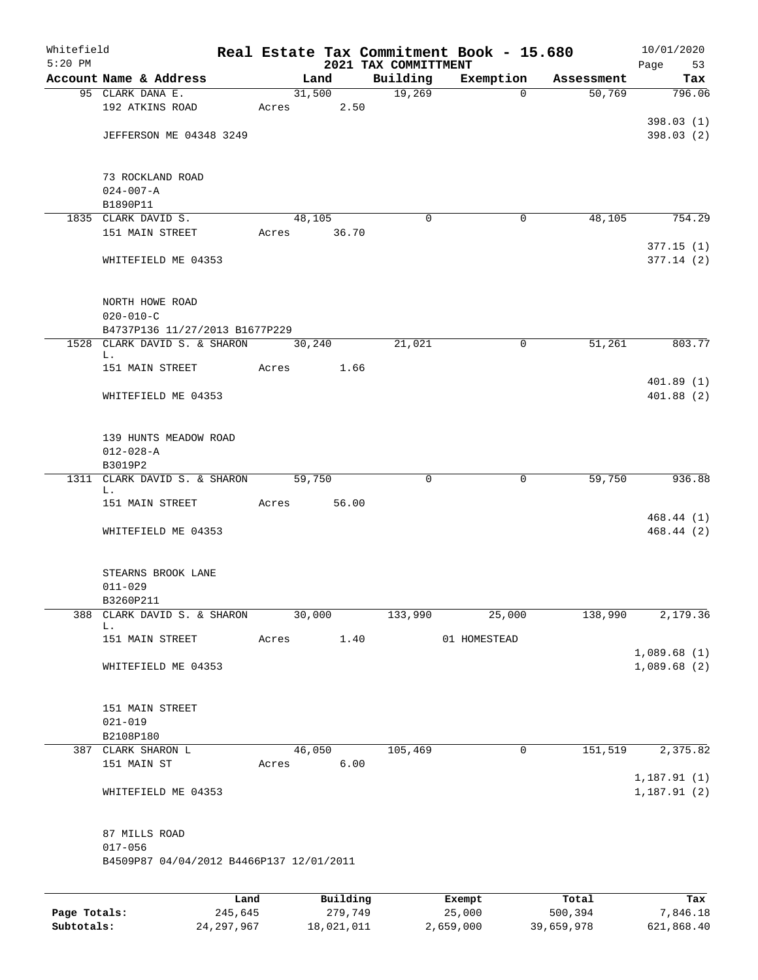| Whitefield<br>$5:20$ PM |                                          |                 |       |        |                     | 2021 TAX COMMITTMENT | Real Estate Tax Commitment Book - 15.680 |                  | 10/01/2020<br>Page<br>53 |
|-------------------------|------------------------------------------|-----------------|-------|--------|---------------------|----------------------|------------------------------------------|------------------|--------------------------|
|                         | Account Name & Address                   |                 |       | Land   |                     | Building             | Exemption                                | Assessment       | Tax                      |
|                         | 95 CLARK DANA E.                         |                 |       | 31,500 |                     | 19,269               | $\Omega$                                 | 50,769           | 796.06                   |
|                         | 192 ATKINS ROAD                          |                 | Acres |        | 2.50                |                      |                                          |                  |                          |
|                         |                                          |                 |       |        |                     |                      |                                          |                  | 398.03(1)                |
|                         | JEFFERSON ME 04348 3249                  |                 |       |        |                     |                      |                                          |                  | 398.03(2)                |
|                         |                                          |                 |       |        |                     |                      |                                          |                  |                          |
|                         |                                          |                 |       |        |                     |                      |                                          |                  |                          |
|                         | 73 ROCKLAND ROAD                         |                 |       |        |                     |                      |                                          |                  |                          |
|                         | $024 - 007 - A$                          |                 |       |        |                     |                      |                                          |                  |                          |
|                         | B1890P11                                 |                 |       |        |                     |                      |                                          |                  |                          |
|                         | 1835 CLARK DAVID S.                      |                 |       | 48,105 |                     | $\Omega$             | 0                                        | 48,105           | 754.29                   |
|                         | 151 MAIN STREET                          |                 | Acres |        | 36.70               |                      |                                          |                  |                          |
|                         |                                          |                 |       |        |                     |                      |                                          |                  | 377.15(1)                |
|                         | WHITEFIELD ME 04353                      |                 |       |        |                     |                      |                                          |                  | 377.14(2)                |
|                         |                                          |                 |       |        |                     |                      |                                          |                  |                          |
|                         |                                          |                 |       |        |                     |                      |                                          |                  |                          |
|                         | NORTH HOWE ROAD                          |                 |       |        |                     |                      |                                          |                  |                          |
|                         | $020 - 010 - C$                          |                 |       |        |                     |                      |                                          |                  |                          |
|                         | B4737P136 11/27/2013 B1677P229           |                 |       |        |                     |                      |                                          |                  |                          |
|                         | 1528 CLARK DAVID S. & SHARON<br>L.       |                 |       | 30,240 |                     | 21,021               | 0                                        | 51,261           | 803.77                   |
|                         | 151 MAIN STREET                          |                 | Acres |        | 1.66                |                      |                                          |                  |                          |
|                         |                                          |                 |       |        |                     |                      |                                          |                  | 401.89(1)                |
|                         | WHITEFIELD ME 04353                      |                 |       |        |                     |                      |                                          |                  | 401.88 (2)               |
|                         |                                          |                 |       |        |                     |                      |                                          |                  |                          |
|                         |                                          |                 |       |        |                     |                      |                                          |                  |                          |
|                         | 139 HUNTS MEADOW ROAD                    |                 |       |        |                     |                      |                                          |                  |                          |
|                         | $012 - 028 - A$                          |                 |       |        |                     |                      |                                          |                  |                          |
|                         | B3019P2                                  |                 |       |        |                     |                      |                                          |                  |                          |
| 1311                    | CLARK DAVID S. & SHARON                  |                 |       | 59,750 |                     | 0                    | 0                                        | 59,750           | 936.88                   |
|                         | L.                                       |                 |       |        |                     |                      |                                          |                  |                          |
|                         | 151 MAIN STREET                          |                 | Acres |        | 56.00               |                      |                                          |                  |                          |
|                         | WHITEFIELD ME 04353                      |                 |       |        |                     |                      |                                          |                  | 468.44 (1)<br>468.44 (2) |
|                         |                                          |                 |       |        |                     |                      |                                          |                  |                          |
|                         |                                          |                 |       |        |                     |                      |                                          |                  |                          |
|                         | STEARNS BROOK LANE                       |                 |       |        |                     |                      |                                          |                  |                          |
|                         | $011 - 029$                              |                 |       |        |                     |                      |                                          |                  |                          |
|                         | B3260P211                                |                 |       |        |                     |                      |                                          |                  |                          |
| 388                     | CLARK DAVID S. & SHARON                  |                 |       | 30,000 |                     | 133,990              | 25,000                                   | 138,990          | 2,179.36                 |
|                         | L.                                       |                 |       |        |                     |                      |                                          |                  |                          |
|                         | 151 MAIN STREET                          |                 | Acres |        | 1.40                |                      | 01 HOMESTEAD                             |                  |                          |
|                         |                                          |                 |       |        |                     |                      |                                          |                  | 1,089.68(1)              |
|                         | WHITEFIELD ME 04353                      |                 |       |        |                     |                      |                                          |                  | 1,089.68(2)              |
|                         |                                          |                 |       |        |                     |                      |                                          |                  |                          |
|                         |                                          |                 |       |        |                     |                      |                                          |                  |                          |
|                         | 151 MAIN STREET                          |                 |       |        |                     |                      |                                          |                  |                          |
|                         | $021 - 019$                              |                 |       |        |                     |                      |                                          |                  |                          |
|                         | B2108P180                                |                 |       |        |                     |                      |                                          |                  |                          |
|                         | 387 CLARK SHARON L<br>151 MAIN ST        |                 |       | 46,050 | 6.00                | 105,469              | 0                                        | 151,519          | 2,375.82                 |
|                         |                                          |                 | Acres |        |                     |                      |                                          |                  | 1,187.91(1)              |
|                         | WHITEFIELD ME 04353                      |                 |       |        |                     |                      |                                          |                  | 1, 187.91(2)             |
|                         |                                          |                 |       |        |                     |                      |                                          |                  |                          |
|                         |                                          |                 |       |        |                     |                      |                                          |                  |                          |
|                         | 87 MILLS ROAD                            |                 |       |        |                     |                      |                                          |                  |                          |
|                         | $017 - 056$                              |                 |       |        |                     |                      |                                          |                  |                          |
|                         | B4509P87 04/04/2012 B4466P137 12/01/2011 |                 |       |        |                     |                      |                                          |                  |                          |
|                         |                                          |                 |       |        |                     |                      |                                          |                  |                          |
|                         |                                          |                 |       |        |                     |                      |                                          |                  |                          |
| Page Totals:            |                                          | Land<br>245,645 |       |        | Building<br>279,749 |                      | Exempt<br>25,000                         | Total<br>500,394 | Tax<br>7,846.18          |
|                         |                                          |                 |       |        |                     |                      |                                          |                  |                          |

**Subtotals:** 24,297,967 18,021,011 2,659,000 39,659,978 621,868.40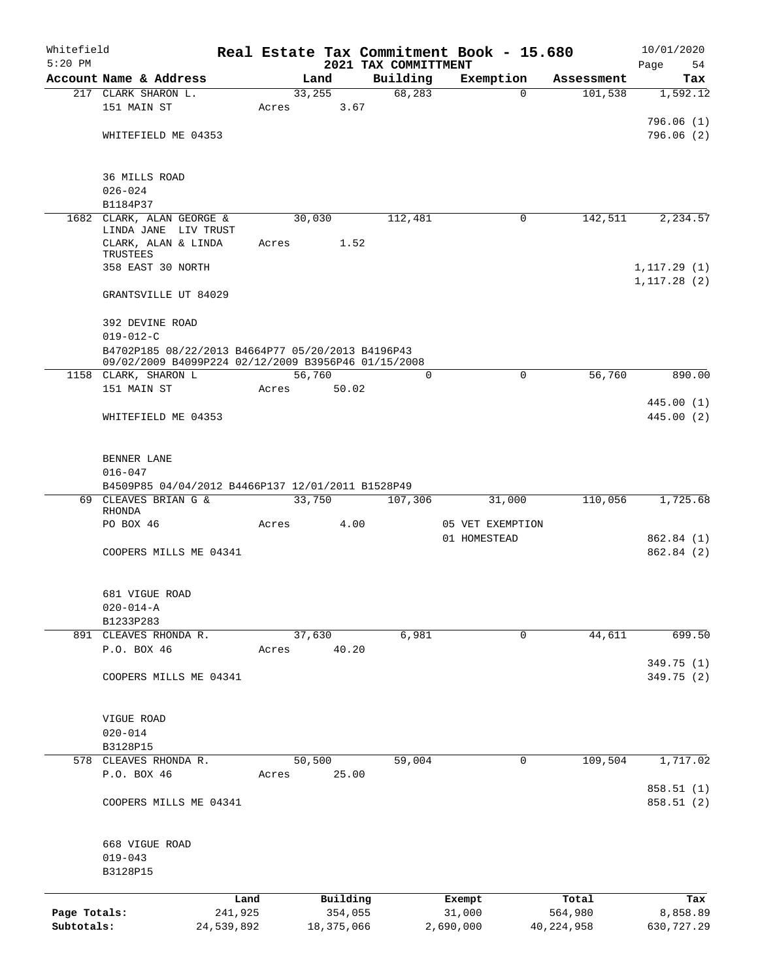| Whitefield<br>$5:20$ PM |                                                                  |            |       |                 |                                  | Real Estate Tax Commitment Book - 15.680 |             |              | 10/01/2020               |
|-------------------------|------------------------------------------------------------------|------------|-------|-----------------|----------------------------------|------------------------------------------|-------------|--------------|--------------------------|
|                         | Account Name & Address                                           |            |       | Land            | 2021 TAX COMMITTMENT<br>Building | Exemption                                |             | Assessment   | Page<br>54<br>Tax        |
|                         | 217 CLARK SHARON L.                                              |            |       | 33,255          | 68, 283                          |                                          | $\Omega$    | 101,538      | 1,592.12                 |
|                         | 151 MAIN ST                                                      |            | Acres | 3.67            |                                  |                                          |             |              |                          |
|                         |                                                                  |            |       |                 |                                  |                                          |             |              | 796.06(1)                |
|                         | WHITEFIELD ME 04353                                              |            |       |                 |                                  |                                          |             |              | 796.06(2)                |
|                         |                                                                  |            |       |                 |                                  |                                          |             |              |                          |
|                         | 36 MILLS ROAD                                                    |            |       |                 |                                  |                                          |             |              |                          |
|                         | $026 - 024$                                                      |            |       |                 |                                  |                                          |             |              |                          |
|                         | B1184P37                                                         |            |       |                 |                                  |                                          |             |              |                          |
|                         | 1682 CLARK, ALAN GEORGE &                                        |            |       | 30,030          | 112,481                          |                                          | 0           | 142,511      | 2,234.57                 |
|                         | LINDA JANE LIV TRUST                                             |            |       | 1.52            |                                  |                                          |             |              |                          |
|                         | CLARK, ALAN & LINDA<br>TRUSTEES                                  |            | Acres |                 |                                  |                                          |             |              |                          |
|                         | 358 EAST 30 NORTH                                                |            |       |                 |                                  |                                          |             |              | 1, 117.29(1)             |
|                         |                                                                  |            |       |                 |                                  |                                          |             |              | 1, 117.28(2)             |
|                         | GRANTSVILLE UT 84029                                             |            |       |                 |                                  |                                          |             |              |                          |
|                         | 392 DEVINE ROAD                                                  |            |       |                 |                                  |                                          |             |              |                          |
|                         | $019 - 012 - C$                                                  |            |       |                 |                                  |                                          |             |              |                          |
|                         | B4702P185 08/22/2013 B4664P77 05/20/2013 B4196P43                |            |       |                 |                                  |                                          |             |              |                          |
|                         | 09/02/2009 B4099P224 02/12/2009 B3956P46 01/15/2008              |            |       |                 |                                  |                                          |             |              |                          |
|                         | 1158 CLARK, SHARON L<br>151 MAIN ST                              |            | Acres | 56,760<br>50.02 |                                  | 0                                        | 0           | 56,760       | 890.00                   |
|                         |                                                                  |            |       |                 |                                  |                                          |             |              | 445.00(1)                |
|                         | WHITEFIELD ME 04353                                              |            |       |                 |                                  |                                          |             |              | 445.00 (2)               |
|                         |                                                                  |            |       |                 |                                  |                                          |             |              |                          |
|                         |                                                                  |            |       |                 |                                  |                                          |             |              |                          |
|                         | BENNER LANE                                                      |            |       |                 |                                  |                                          |             |              |                          |
|                         | $016 - 047$<br>B4509P85 04/04/2012 B4466P137 12/01/2011 B1528P49 |            |       |                 |                                  |                                          |             |              |                          |
|                         | 69 CLEAVES BRIAN G &                                             |            |       | 33,750          | 107,306                          | 31,000                                   |             | 110,056      | 1,725.68                 |
|                         | RHONDA                                                           |            |       |                 |                                  |                                          |             |              |                          |
|                         | PO BOX 46                                                        |            | Acres | 4.00            |                                  | 05 VET EXEMPTION<br>01 HOMESTEAD         |             |              | 862.84 (1)               |
|                         | COOPERS MILLS ME 04341                                           |            |       |                 |                                  |                                          |             |              | 862.84 (2)               |
|                         |                                                                  |            |       |                 |                                  |                                          |             |              |                          |
|                         |                                                                  |            |       |                 |                                  |                                          |             |              |                          |
|                         | 681 VIGUE ROAD                                                   |            |       |                 |                                  |                                          |             |              |                          |
|                         | $020 - 014 - A$<br>B1233P283                                     |            |       |                 |                                  |                                          |             |              |                          |
|                         | 891 CLEAVES RHONDA R.                                            |            |       | 37,630          | 6,981                            |                                          | $\mathbf 0$ | 44,611       | 699.50                   |
|                         | P.O. BOX 46                                                      |            | Acres | 40.20           |                                  |                                          |             |              |                          |
|                         |                                                                  |            |       |                 |                                  |                                          |             |              | 349.75 (1)               |
|                         | COOPERS MILLS ME 04341                                           |            |       |                 |                                  |                                          |             |              | 349.75 (2)               |
|                         |                                                                  |            |       |                 |                                  |                                          |             |              |                          |
|                         | VIGUE ROAD                                                       |            |       |                 |                                  |                                          |             |              |                          |
|                         | $020 - 014$                                                      |            |       |                 |                                  |                                          |             |              |                          |
|                         | B3128P15                                                         |            |       |                 |                                  |                                          |             |              |                          |
|                         | 578 CLEAVES RHONDA R.                                            |            |       | 50,500          | 59,004                           |                                          | 0           | 109,504      | 1,717.02                 |
|                         | P.O. BOX 46                                                      |            | Acres | 25.00           |                                  |                                          |             |              |                          |
|                         | COOPERS MILLS ME 04341                                           |            |       |                 |                                  |                                          |             |              | 858.51 (1)<br>858.51 (2) |
|                         |                                                                  |            |       |                 |                                  |                                          |             |              |                          |
|                         |                                                                  |            |       |                 |                                  |                                          |             |              |                          |
|                         | 668 VIGUE ROAD                                                   |            |       |                 |                                  |                                          |             |              |                          |
|                         | $019 - 043$                                                      |            |       |                 |                                  |                                          |             |              |                          |
|                         | B3128P15                                                         |            |       |                 |                                  |                                          |             |              |                          |
|                         |                                                                  | Land       |       | Building        |                                  | Exempt                                   |             | Total        | Tax                      |
| Page Totals:            |                                                                  | 241,925    |       | 354,055         |                                  | 31,000                                   |             | 564,980      | 8,858.89                 |
| Subtotals:              |                                                                  | 24,539,892 |       | 18, 375, 066    |                                  | 2,690,000                                |             | 40, 224, 958 | 630,727.29               |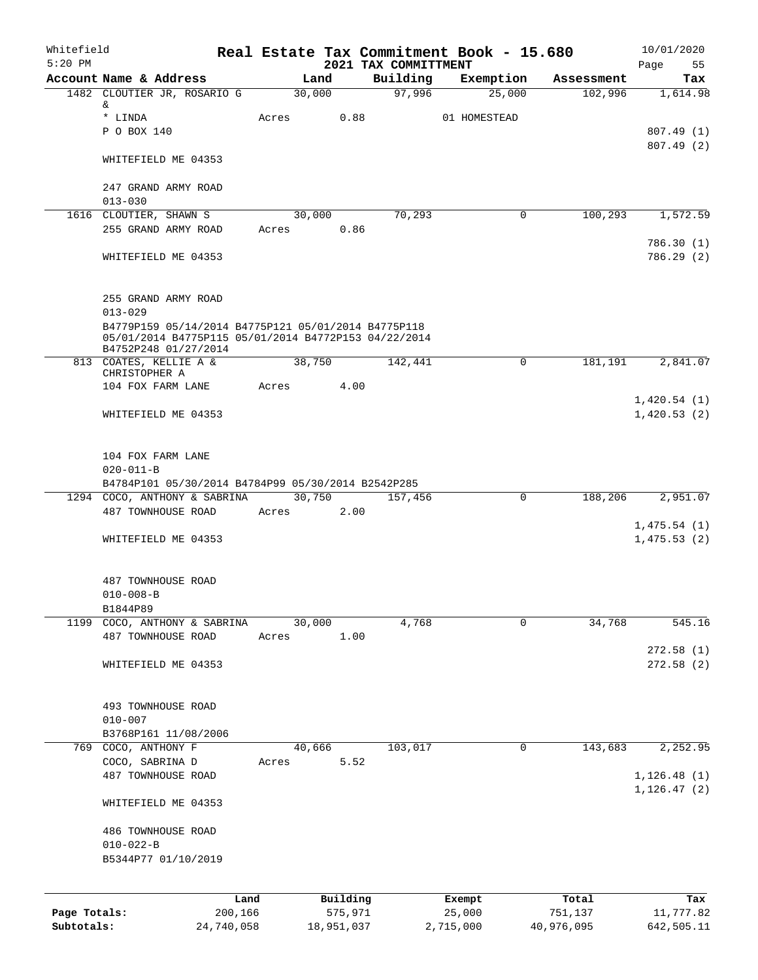| 2021 TAX COMMITTMENT<br>Building<br>Account Name & Address<br>Land<br>Exemption<br>Assessment<br>97,996<br>1482 CLOUTIER JR, ROSARIO G<br>30,000<br>25,000<br>102,996<br>&<br>* LINDA<br>0.88<br>Acres<br>01 HOMESTEAD<br>P O BOX 140<br>807.49(1)<br>807.49(2)<br>WHITEFIELD ME 04353<br>247 GRAND ARMY ROAD<br>$013 - 030$<br>70,293<br>$\mathbf 0$<br>100,293<br>1616 CLOUTIER, SHAWN S<br>30,000<br>0.86<br>255 GRAND ARMY ROAD<br>Acres<br>WHITEFIELD ME 04353<br>255 GRAND ARMY ROAD<br>$013 - 029$<br>B4779P159 05/14/2014 B4775P121 05/01/2014 B4775P118<br>05/01/2014 B4775P115 05/01/2014 B4772P153 04/22/2014<br>B4752P248 01/27/2014<br>813 COATES, KELLIE A &<br>38,750<br>142,441<br>$\Omega$<br>181,191<br>CHRISTOPHER A<br>104 FOX FARM LANE<br>Acres<br>4.00<br>WHITEFIELD ME 04353<br>104 FOX FARM LANE<br>$020 - 011 - B$<br>B4784P101 05/30/2014 B4784P99 05/30/2014 B2542P285<br>30,750<br>157,456<br>$\mathbf 0$<br>188,206<br>2,951.07<br>1294 COCO, ANTHONY & SABRINA<br>487 TOWNHOUSE ROAD<br>2.00<br>Acres<br>1,475.54(1)<br>1,475.53(2)<br>WHITEFIELD ME 04353<br>487 TOWNHOUSE ROAD<br>$010 - 008 - B$<br>B1844P89<br>30,000<br>4,768<br>34,768<br>545.16<br>1199 COCO, ANTHONY & SABRINA<br>0<br>1.00<br>487 TOWNHOUSE ROAD<br>Acres<br>WHITEFIELD ME 04353<br>493 TOWNHOUSE ROAD<br>$010 - 007$<br>B3768P161 11/08/2006<br>40,666<br>103,017<br>0<br>143,683<br>769 COCO, ANTHONY F<br>5.52<br>COCO, SABRINA D<br>Acres<br>487 TOWNHOUSE ROAD<br>WHITEFIELD ME 04353<br>486 TOWNHOUSE ROAD<br>$010 - 022 - B$<br>B5344P77 01/10/2019<br>Building<br>Land<br>Total<br>Exempt<br>575,971<br>25,000<br>Page Totals:<br>200,166<br>751,137 | Whitefield<br>$5:20$ PM |  |  | Real Estate Tax Commitment Book - 15.680 | 10/01/2020<br>Page<br>55     |
|----------------------------------------------------------------------------------------------------------------------------------------------------------------------------------------------------------------------------------------------------------------------------------------------------------------------------------------------------------------------------------------------------------------------------------------------------------------------------------------------------------------------------------------------------------------------------------------------------------------------------------------------------------------------------------------------------------------------------------------------------------------------------------------------------------------------------------------------------------------------------------------------------------------------------------------------------------------------------------------------------------------------------------------------------------------------------------------------------------------------------------------------------------------------------------------------------------------------------------------------------------------------------------------------------------------------------------------------------------------------------------------------------------------------------------------------------------------------------------------------------------------------------------------------------------------------------------------------------------------------------------------------------------------------|-------------------------|--|--|------------------------------------------|------------------------------|
|                                                                                                                                                                                                                                                                                                                                                                                                                                                                                                                                                                                                                                                                                                                                                                                                                                                                                                                                                                                                                                                                                                                                                                                                                                                                                                                                                                                                                                                                                                                                                                                                                                                                      |                         |  |  |                                          | Tax                          |
|                                                                                                                                                                                                                                                                                                                                                                                                                                                                                                                                                                                                                                                                                                                                                                                                                                                                                                                                                                                                                                                                                                                                                                                                                                                                                                                                                                                                                                                                                                                                                                                                                                                                      |                         |  |  |                                          | 1,614.98                     |
|                                                                                                                                                                                                                                                                                                                                                                                                                                                                                                                                                                                                                                                                                                                                                                                                                                                                                                                                                                                                                                                                                                                                                                                                                                                                                                                                                                                                                                                                                                                                                                                                                                                                      |                         |  |  |                                          |                              |
|                                                                                                                                                                                                                                                                                                                                                                                                                                                                                                                                                                                                                                                                                                                                                                                                                                                                                                                                                                                                                                                                                                                                                                                                                                                                                                                                                                                                                                                                                                                                                                                                                                                                      |                         |  |  |                                          |                              |
|                                                                                                                                                                                                                                                                                                                                                                                                                                                                                                                                                                                                                                                                                                                                                                                                                                                                                                                                                                                                                                                                                                                                                                                                                                                                                                                                                                                                                                                                                                                                                                                                                                                                      |                         |  |  |                                          |                              |
|                                                                                                                                                                                                                                                                                                                                                                                                                                                                                                                                                                                                                                                                                                                                                                                                                                                                                                                                                                                                                                                                                                                                                                                                                                                                                                                                                                                                                                                                                                                                                                                                                                                                      |                         |  |  |                                          |                              |
|                                                                                                                                                                                                                                                                                                                                                                                                                                                                                                                                                                                                                                                                                                                                                                                                                                                                                                                                                                                                                                                                                                                                                                                                                                                                                                                                                                                                                                                                                                                                                                                                                                                                      |                         |  |  |                                          |                              |
|                                                                                                                                                                                                                                                                                                                                                                                                                                                                                                                                                                                                                                                                                                                                                                                                                                                                                                                                                                                                                                                                                                                                                                                                                                                                                                                                                                                                                                                                                                                                                                                                                                                                      |                         |  |  |                                          |                              |
|                                                                                                                                                                                                                                                                                                                                                                                                                                                                                                                                                                                                                                                                                                                                                                                                                                                                                                                                                                                                                                                                                                                                                                                                                                                                                                                                                                                                                                                                                                                                                                                                                                                                      |                         |  |  |                                          | 1,572.59                     |
|                                                                                                                                                                                                                                                                                                                                                                                                                                                                                                                                                                                                                                                                                                                                                                                                                                                                                                                                                                                                                                                                                                                                                                                                                                                                                                                                                                                                                                                                                                                                                                                                                                                                      |                         |  |  |                                          |                              |
|                                                                                                                                                                                                                                                                                                                                                                                                                                                                                                                                                                                                                                                                                                                                                                                                                                                                                                                                                                                                                                                                                                                                                                                                                                                                                                                                                                                                                                                                                                                                                                                                                                                                      |                         |  |  |                                          | 786.30(1)<br>786.29(2)       |
|                                                                                                                                                                                                                                                                                                                                                                                                                                                                                                                                                                                                                                                                                                                                                                                                                                                                                                                                                                                                                                                                                                                                                                                                                                                                                                                                                                                                                                                                                                                                                                                                                                                                      |                         |  |  |                                          |                              |
|                                                                                                                                                                                                                                                                                                                                                                                                                                                                                                                                                                                                                                                                                                                                                                                                                                                                                                                                                                                                                                                                                                                                                                                                                                                                                                                                                                                                                                                                                                                                                                                                                                                                      |                         |  |  |                                          |                              |
|                                                                                                                                                                                                                                                                                                                                                                                                                                                                                                                                                                                                                                                                                                                                                                                                                                                                                                                                                                                                                                                                                                                                                                                                                                                                                                                                                                                                                                                                                                                                                                                                                                                                      |                         |  |  |                                          | 2,841.07                     |
|                                                                                                                                                                                                                                                                                                                                                                                                                                                                                                                                                                                                                                                                                                                                                                                                                                                                                                                                                                                                                                                                                                                                                                                                                                                                                                                                                                                                                                                                                                                                                                                                                                                                      |                         |  |  |                                          |                              |
|                                                                                                                                                                                                                                                                                                                                                                                                                                                                                                                                                                                                                                                                                                                                                                                                                                                                                                                                                                                                                                                                                                                                                                                                                                                                                                                                                                                                                                                                                                                                                                                                                                                                      |                         |  |  |                                          |                              |
|                                                                                                                                                                                                                                                                                                                                                                                                                                                                                                                                                                                                                                                                                                                                                                                                                                                                                                                                                                                                                                                                                                                                                                                                                                                                                                                                                                                                                                                                                                                                                                                                                                                                      |                         |  |  |                                          | 1,420.54(1)                  |
|                                                                                                                                                                                                                                                                                                                                                                                                                                                                                                                                                                                                                                                                                                                                                                                                                                                                                                                                                                                                                                                                                                                                                                                                                                                                                                                                                                                                                                                                                                                                                                                                                                                                      |                         |  |  |                                          | 1,420.53(2)                  |
|                                                                                                                                                                                                                                                                                                                                                                                                                                                                                                                                                                                                                                                                                                                                                                                                                                                                                                                                                                                                                                                                                                                                                                                                                                                                                                                                                                                                                                                                                                                                                                                                                                                                      |                         |  |  |                                          |                              |
|                                                                                                                                                                                                                                                                                                                                                                                                                                                                                                                                                                                                                                                                                                                                                                                                                                                                                                                                                                                                                                                                                                                                                                                                                                                                                                                                                                                                                                                                                                                                                                                                                                                                      |                         |  |  |                                          |                              |
|                                                                                                                                                                                                                                                                                                                                                                                                                                                                                                                                                                                                                                                                                                                                                                                                                                                                                                                                                                                                                                                                                                                                                                                                                                                                                                                                                                                                                                                                                                                                                                                                                                                                      |                         |  |  |                                          |                              |
|                                                                                                                                                                                                                                                                                                                                                                                                                                                                                                                                                                                                                                                                                                                                                                                                                                                                                                                                                                                                                                                                                                                                                                                                                                                                                                                                                                                                                                                                                                                                                                                                                                                                      |                         |  |  |                                          |                              |
|                                                                                                                                                                                                                                                                                                                                                                                                                                                                                                                                                                                                                                                                                                                                                                                                                                                                                                                                                                                                                                                                                                                                                                                                                                                                                                                                                                                                                                                                                                                                                                                                                                                                      |                         |  |  |                                          |                              |
|                                                                                                                                                                                                                                                                                                                                                                                                                                                                                                                                                                                                                                                                                                                                                                                                                                                                                                                                                                                                                                                                                                                                                                                                                                                                                                                                                                                                                                                                                                                                                                                                                                                                      |                         |  |  |                                          |                              |
|                                                                                                                                                                                                                                                                                                                                                                                                                                                                                                                                                                                                                                                                                                                                                                                                                                                                                                                                                                                                                                                                                                                                                                                                                                                                                                                                                                                                                                                                                                                                                                                                                                                                      |                         |  |  |                                          |                              |
|                                                                                                                                                                                                                                                                                                                                                                                                                                                                                                                                                                                                                                                                                                                                                                                                                                                                                                                                                                                                                                                                                                                                                                                                                                                                                                                                                                                                                                                                                                                                                                                                                                                                      |                         |  |  |                                          |                              |
|                                                                                                                                                                                                                                                                                                                                                                                                                                                                                                                                                                                                                                                                                                                                                                                                                                                                                                                                                                                                                                                                                                                                                                                                                                                                                                                                                                                                                                                                                                                                                                                                                                                                      |                         |  |  |                                          |                              |
|                                                                                                                                                                                                                                                                                                                                                                                                                                                                                                                                                                                                                                                                                                                                                                                                                                                                                                                                                                                                                                                                                                                                                                                                                                                                                                                                                                                                                                                                                                                                                                                                                                                                      |                         |  |  |                                          |                              |
|                                                                                                                                                                                                                                                                                                                                                                                                                                                                                                                                                                                                                                                                                                                                                                                                                                                                                                                                                                                                                                                                                                                                                                                                                                                                                                                                                                                                                                                                                                                                                                                                                                                                      |                         |  |  |                                          |                              |
|                                                                                                                                                                                                                                                                                                                                                                                                                                                                                                                                                                                                                                                                                                                                                                                                                                                                                                                                                                                                                                                                                                                                                                                                                                                                                                                                                                                                                                                                                                                                                                                                                                                                      |                         |  |  |                                          | 272.58(1)                    |
|                                                                                                                                                                                                                                                                                                                                                                                                                                                                                                                                                                                                                                                                                                                                                                                                                                                                                                                                                                                                                                                                                                                                                                                                                                                                                                                                                                                                                                                                                                                                                                                                                                                                      |                         |  |  |                                          | 272.58(2)                    |
|                                                                                                                                                                                                                                                                                                                                                                                                                                                                                                                                                                                                                                                                                                                                                                                                                                                                                                                                                                                                                                                                                                                                                                                                                                                                                                                                                                                                                                                                                                                                                                                                                                                                      |                         |  |  |                                          |                              |
|                                                                                                                                                                                                                                                                                                                                                                                                                                                                                                                                                                                                                                                                                                                                                                                                                                                                                                                                                                                                                                                                                                                                                                                                                                                                                                                                                                                                                                                                                                                                                                                                                                                                      |                         |  |  |                                          |                              |
|                                                                                                                                                                                                                                                                                                                                                                                                                                                                                                                                                                                                                                                                                                                                                                                                                                                                                                                                                                                                                                                                                                                                                                                                                                                                                                                                                                                                                                                                                                                                                                                                                                                                      |                         |  |  |                                          |                              |
|                                                                                                                                                                                                                                                                                                                                                                                                                                                                                                                                                                                                                                                                                                                                                                                                                                                                                                                                                                                                                                                                                                                                                                                                                                                                                                                                                                                                                                                                                                                                                                                                                                                                      |                         |  |  |                                          | 2,252.95                     |
|                                                                                                                                                                                                                                                                                                                                                                                                                                                                                                                                                                                                                                                                                                                                                                                                                                                                                                                                                                                                                                                                                                                                                                                                                                                                                                                                                                                                                                                                                                                                                                                                                                                                      |                         |  |  |                                          |                              |
|                                                                                                                                                                                                                                                                                                                                                                                                                                                                                                                                                                                                                                                                                                                                                                                                                                                                                                                                                                                                                                                                                                                                                                                                                                                                                                                                                                                                                                                                                                                                                                                                                                                                      |                         |  |  |                                          | 1, 126.48(1)<br>1, 126.47(2) |
|                                                                                                                                                                                                                                                                                                                                                                                                                                                                                                                                                                                                                                                                                                                                                                                                                                                                                                                                                                                                                                                                                                                                                                                                                                                                                                                                                                                                                                                                                                                                                                                                                                                                      |                         |  |  |                                          |                              |
|                                                                                                                                                                                                                                                                                                                                                                                                                                                                                                                                                                                                                                                                                                                                                                                                                                                                                                                                                                                                                                                                                                                                                                                                                                                                                                                                                                                                                                                                                                                                                                                                                                                                      |                         |  |  |                                          |                              |
|                                                                                                                                                                                                                                                                                                                                                                                                                                                                                                                                                                                                                                                                                                                                                                                                                                                                                                                                                                                                                                                                                                                                                                                                                                                                                                                                                                                                                                                                                                                                                                                                                                                                      |                         |  |  |                                          |                              |
|                                                                                                                                                                                                                                                                                                                                                                                                                                                                                                                                                                                                                                                                                                                                                                                                                                                                                                                                                                                                                                                                                                                                                                                                                                                                                                                                                                                                                                                                                                                                                                                                                                                                      |                         |  |  |                                          |                              |
|                                                                                                                                                                                                                                                                                                                                                                                                                                                                                                                                                                                                                                                                                                                                                                                                                                                                                                                                                                                                                                                                                                                                                                                                                                                                                                                                                                                                                                                                                                                                                                                                                                                                      |                         |  |  |                                          | Tax<br>11,777.82             |

**Subtotals:** 24,740,058 18,951,037 2,715,000 40,976,095 642,505.11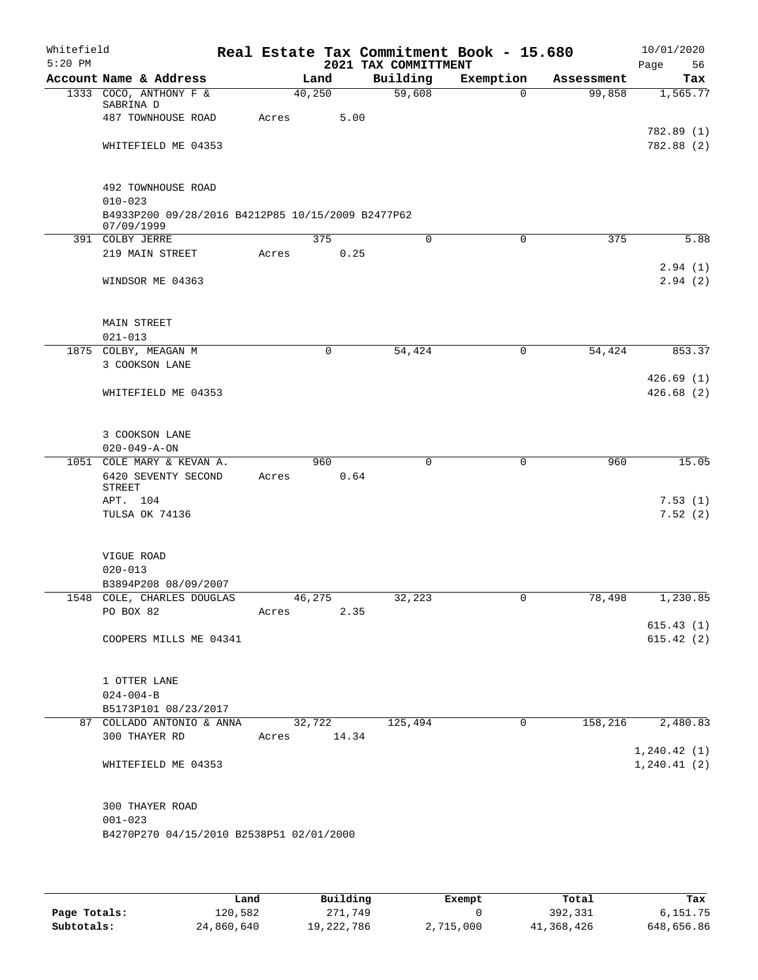| Whitefield<br>$5:20$ PM |                                                                                        |             |             | 2021 TAX COMMITTMENT | Real Estate Tax Commitment Book - 15.680 |            | 10/01/2020<br>Page<br>56 |
|-------------------------|----------------------------------------------------------------------------------------|-------------|-------------|----------------------|------------------------------------------|------------|--------------------------|
|                         | Account Name & Address                                                                 |             | Land        | Building             | Exemption                                | Assessment | Tax                      |
|                         | 1333 COCO, ANTHONY F &<br>SABRINA D                                                    |             | 40,250      | 59,608               | $\Omega$                                 | 99,858     | 1,565.77                 |
|                         | 487 TOWNHOUSE ROAD                                                                     | Acres       | 5.00        |                      |                                          |            | 782.89 (1)               |
|                         | WHITEFIELD ME 04353                                                                    |             |             |                      |                                          |            | 782.88 (2)               |
|                         | 492 TOWNHOUSE ROAD<br>$010 - 023$<br>B4933P200 09/28/2016 B4212P85 10/15/2009 B2477P62 |             |             |                      |                                          |            |                          |
|                         | 07/09/1999                                                                             |             |             |                      |                                          |            |                          |
|                         | 391 COLBY JERRE                                                                        |             | 375         | $\mathbf 0$          | 0                                        | 375        | 5.88                     |
|                         | 219 MAIN STREET                                                                        | Acres       | 0.25        |                      |                                          |            | 2.94(1)                  |
|                         | WINDSOR ME 04363                                                                       |             |             |                      |                                          |            | 2.94(2)                  |
|                         | <b>MAIN STREET</b><br>$021 - 013$                                                      |             |             |                      |                                          |            |                          |
|                         | 1875 COLBY, MEAGAN M                                                                   |             | $\mathbf 0$ | 54,424               | 0                                        | 54,424     | 853.37                   |
|                         | 3 COOKSON LANE                                                                         |             |             |                      |                                          |            |                          |
|                         | WHITEFIELD ME 04353                                                                    |             |             |                      |                                          |            | 426.69(1)<br>426.68(2)   |
|                         | 3 COOKSON LANE<br>$020 - 049 - A - ON$                                                 |             |             |                      |                                          |            |                          |
|                         | 1051 COLE MARY & KEVAN A.                                                              |             | 960         | 0                    | 0                                        | 960        | 15.05                    |
|                         | 6420 SEVENTY SECOND<br>STREET                                                          | Acres       | 0.64        |                      |                                          |            |                          |
|                         | APT. 104                                                                               |             |             |                      |                                          |            | 7.53(1)                  |
|                         | TULSA OK 74136                                                                         |             |             |                      |                                          |            | 7.52(2)                  |
|                         | VIGUE ROAD<br>$020 - 013$<br>B3894P208 08/09/2007                                      |             |             |                      |                                          |            |                          |
| 1548                    | COLE, CHARLES DOUGLAS                                                                  |             | 46,275      | 32,223               | 0                                        | 78,498     | 1,230.85                 |
|                         | PO BOX 82                                                                              | Acres       | 2.35        |                      |                                          |            |                          |
|                         | COOPERS MILLS ME 04341                                                                 |             |             |                      |                                          |            | 615.43(1)<br>615.42(2)   |
|                         | 1 OTTER LANE                                                                           |             |             |                      |                                          |            |                          |
|                         | $024 - 004 - B$                                                                        |             |             |                      |                                          |            |                          |
|                         | B5173P101 08/23/2017<br>87 COLLADO ANTONIO & ANNA                                      |             |             | 32,722 125,494       | $\mathbf 0$                              | 158, 216   | 2,480.83                 |
|                         | 300 THAYER RD                                                                          | Acres 14.34 |             |                      |                                          |            | 1, 240.42(1)             |
|                         | WHITEFIELD ME 04353                                                                    |             |             |                      |                                          |            | 1, 240.41(2)             |
|                         | 300 THAYER ROAD<br>$001 - 023$<br>B4270P270 04/15/2010 B2538P51 02/01/2000             |             |             |                      |                                          |            |                          |

|              | Land       | Building   | Exempt    | Total      | Tax        |
|--------------|------------|------------|-----------|------------|------------|
| Page Totals: | 120,582    | 271,749    |           | 392,331    | 6,151.75   |
| Subtotals:   | 24,860,640 | 19,222,786 | 2,715,000 | 41,368,426 | 648,656.86 |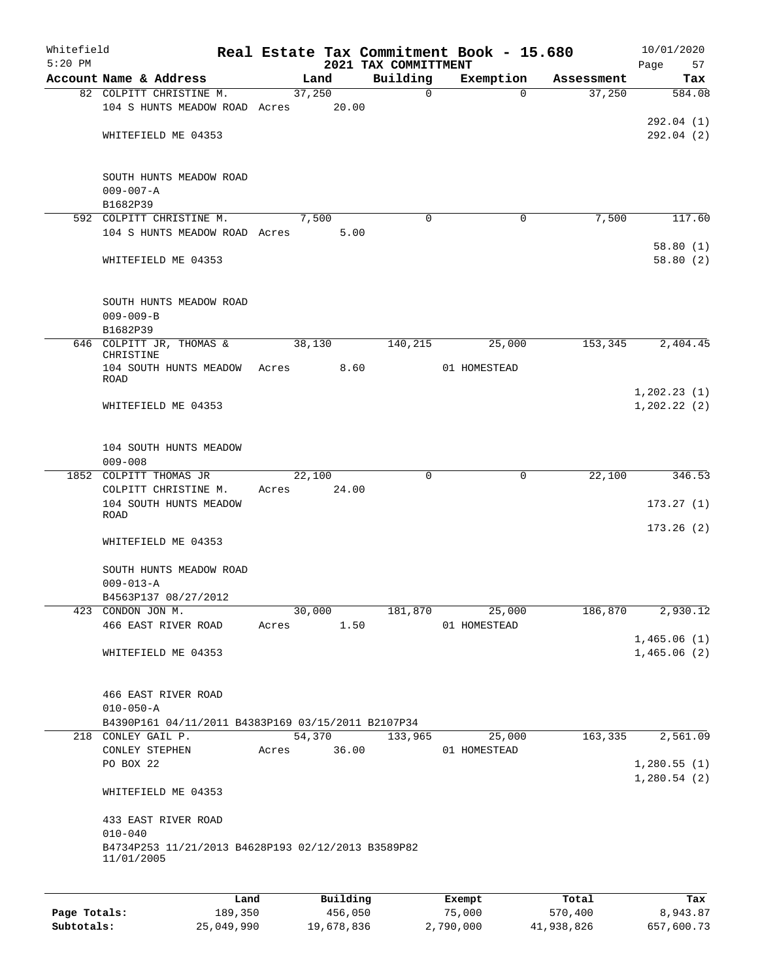| Whitefield<br>$5:20$ PM |                                                    |       |          | 2021 TAX COMMITTMENT | Real Estate Tax Commitment Book - 15.680 |            | 10/01/2020<br>Page<br>57   |
|-------------------------|----------------------------------------------------|-------|----------|----------------------|------------------------------------------|------------|----------------------------|
|                         | Account Name & Address                             |       | Land     | Building             | Exemption                                | Assessment | Tax                        |
|                         | 82 COLPITT CHRISTINE M.                            |       | 37,250   | $\mathbf 0$          | $\Omega$                                 | 37,250     | 584.08                     |
|                         | 104 S HUNTS MEADOW ROAD Acres                      |       | 20.00    |                      |                                          |            |                            |
|                         |                                                    |       |          |                      |                                          |            | 292.04(1)                  |
|                         | WHITEFIELD ME 04353                                |       |          |                      |                                          |            | 292.04(2)                  |
|                         |                                                    |       |          |                      |                                          |            |                            |
|                         |                                                    |       |          |                      |                                          |            |                            |
|                         | SOUTH HUNTS MEADOW ROAD                            |       |          |                      |                                          |            |                            |
|                         | $009 - 007 - A$                                    |       |          |                      |                                          |            |                            |
|                         | B1682P39                                           |       |          |                      |                                          |            |                            |
|                         | 592 COLPITT CHRISTINE M.                           |       | 7,500    | $\Omega$             | 0                                        | 7,500      | 117.60                     |
|                         | 104 S HUNTS MEADOW ROAD Acres                      |       | 5.00     |                      |                                          |            |                            |
|                         | WHITEFIELD ME 04353                                |       |          |                      |                                          |            | 58.80(1)<br>58.80(2)       |
|                         |                                                    |       |          |                      |                                          |            |                            |
|                         |                                                    |       |          |                      |                                          |            |                            |
|                         | SOUTH HUNTS MEADOW ROAD                            |       |          |                      |                                          |            |                            |
|                         | $009 - 009 - B$                                    |       |          |                      |                                          |            |                            |
|                         | B1682P39                                           |       |          |                      |                                          |            |                            |
|                         | 646 COLPITT JR, THOMAS &                           |       | 38,130   | 140,215              | 25,000                                   | 153,345    | 2,404.45                   |
|                         | CHRISTINE                                          |       |          |                      |                                          |            |                            |
|                         | 104 SOUTH HUNTS MEADOW Acres<br><b>ROAD</b>        |       | 8.60     |                      | 01 HOMESTEAD                             |            |                            |
|                         |                                                    |       |          |                      |                                          |            | 1, 202.23(1)               |
|                         | WHITEFIELD ME 04353                                |       |          |                      |                                          |            | 1, 202.22(2)               |
|                         |                                                    |       |          |                      |                                          |            |                            |
|                         |                                                    |       |          |                      |                                          |            |                            |
|                         | 104 SOUTH HUNTS MEADOW                             |       |          |                      |                                          |            |                            |
|                         | $009 - 008$                                        |       |          |                      |                                          |            |                            |
|                         | 1852 COLPITT THOMAS JR                             |       | 22,100   | $\mathbf 0$          | $\mathbf 0$                              | 22,100     | 346.53                     |
|                         | COLPITT CHRISTINE M.                               | Acres | 24.00    |                      |                                          |            |                            |
|                         | 104 SOUTH HUNTS MEADOW<br>ROAD                     |       |          |                      |                                          |            | 173.27(1)                  |
|                         |                                                    |       |          |                      |                                          |            | 173.26(2)                  |
|                         | WHITEFIELD ME 04353                                |       |          |                      |                                          |            |                            |
|                         |                                                    |       |          |                      |                                          |            |                            |
|                         | SOUTH HUNTS MEADOW ROAD                            |       |          |                      |                                          |            |                            |
|                         | $009 - 013 - A$                                    |       |          |                      |                                          |            |                            |
|                         | B4563P137 08/27/2012                               |       |          |                      |                                          |            |                            |
|                         | 423 CONDON JON M.                                  |       | 30,000   | 181,870              | 25,000                                   | 186,870    | 2,930.12                   |
|                         | 466 EAST RIVER ROAD                                | Acres | 1.50     |                      | 01 HOMESTEAD                             |            |                            |
|                         | WHITEFIELD ME 04353                                |       |          |                      |                                          |            | 1,465.06(1)<br>1,465.06(2) |
|                         |                                                    |       |          |                      |                                          |            |                            |
|                         |                                                    |       |          |                      |                                          |            |                            |
|                         | 466 EAST RIVER ROAD                                |       |          |                      |                                          |            |                            |
|                         | $010 - 050 - A$                                    |       |          |                      |                                          |            |                            |
|                         | B4390P161 04/11/2011 B4383P169 03/15/2011 B2107P34 |       |          |                      |                                          |            |                            |
|                         | 218 CONLEY GAIL P.                                 |       | 54,370   | 133,965              | 25,000                                   | 163,335    | 2,561.09                   |
|                         | CONLEY STEPHEN                                     | Acres | 36.00    |                      | 01 HOMESTEAD                             |            |                            |
|                         | PO BOX 22                                          |       |          |                      |                                          |            | 1,280.55(1)                |
|                         |                                                    |       |          |                      |                                          |            | 1,280.54(2)                |
|                         | WHITEFIELD ME 04353                                |       |          |                      |                                          |            |                            |
|                         | 433 EAST RIVER ROAD                                |       |          |                      |                                          |            |                            |
|                         | $010 - 040$                                        |       |          |                      |                                          |            |                            |
|                         | B4734P253 11/21/2013 B4628P193 02/12/2013 B3589P82 |       |          |                      |                                          |            |                            |
|                         | 11/01/2005                                         |       |          |                      |                                          |            |                            |
|                         |                                                    |       |          |                      |                                          |            |                            |
|                         |                                                    |       |          |                      |                                          |            |                            |
|                         | Land                                               |       | Building |                      | Exempt                                   | Total      | Tax                        |
| Page Totals:            | 189,350                                            |       | 456,050  |                      | 75,000                                   | 570,400    | 8,943.87                   |

**Subtotals:** 25,049,990 19,678,836 2,790,000 41,938,826 657,600.73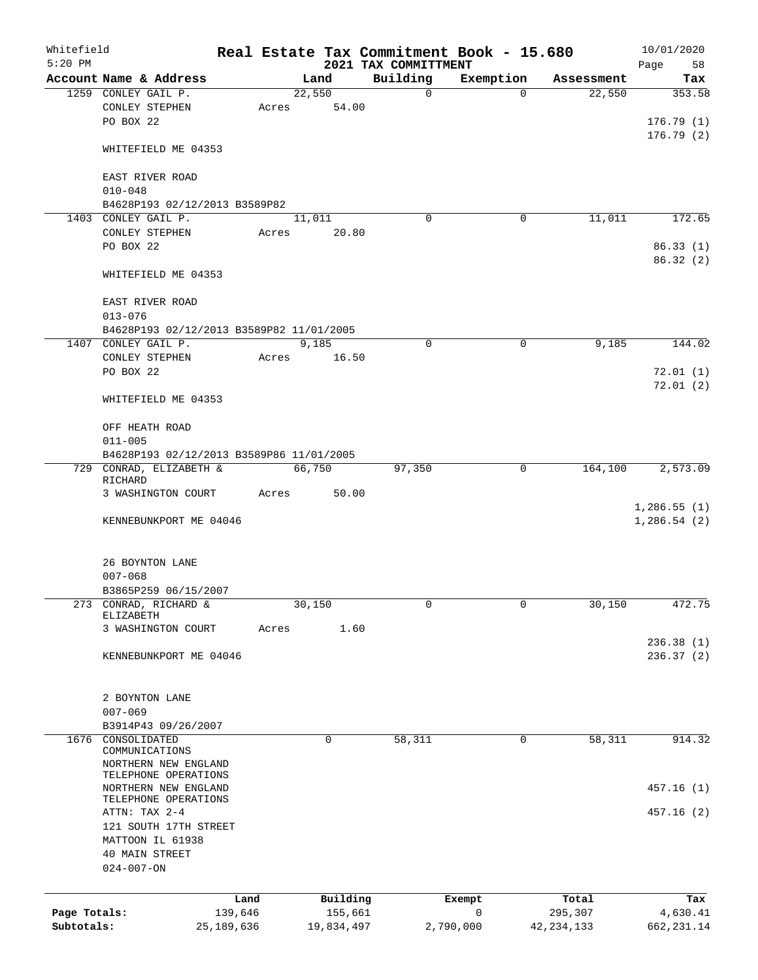| Whitefield<br>$5:20$ PM |                                              |              |       |        |             | 2021 TAX COMMITTMENT | Real Estate Tax Commitment Book - 15.680 |             |              | 10/01/2020<br>Page<br>58 |
|-------------------------|----------------------------------------------|--------------|-------|--------|-------------|----------------------|------------------------------------------|-------------|--------------|--------------------------|
|                         | Account Name & Address                       |              |       |        | Land        | Building             | Exemption                                |             | Assessment   | Tax                      |
|                         | 1259 CONLEY GAIL P.                          |              |       | 22,550 |             | $\mathbf 0$          |                                          | $\Omega$    | 22,550       | 353.58                   |
|                         | CONLEY STEPHEN<br>PO BOX 22                  |              | Acres |        | 54.00       |                      |                                          |             |              | 176.79(1)                |
|                         | WHITEFIELD ME 04353                          |              |       |        |             |                      |                                          |             |              | 176.79(2)                |
|                         | EAST RIVER ROAD<br>$010 - 048$               |              |       |        |             |                      |                                          |             |              |                          |
|                         | B4628P193 02/12/2013 B3589P82                |              |       |        |             |                      |                                          |             |              |                          |
|                         | 1403 CONLEY GAIL P.                          |              |       | 11,011 |             | $\Omega$             |                                          | 0           | 11,011       | 172.65                   |
|                         | CONLEY STEPHEN                               |              | Acres |        | 20.80       |                      |                                          |             |              |                          |
|                         | PO BOX 22                                    |              |       |        |             |                      |                                          |             |              | 86.33(1)<br>86.32(2)     |
|                         | WHITEFIELD ME 04353                          |              |       |        |             |                      |                                          |             |              |                          |
|                         | EAST RIVER ROAD<br>$013 - 076$               |              |       |        |             |                      |                                          |             |              |                          |
|                         | B4628P193 02/12/2013 B3589P82 11/01/2005     |              |       |        |             |                      |                                          |             |              |                          |
|                         | 1407 CONLEY GAIL P.                          |              |       |        | 9,185       | 0                    |                                          | $\mathbf 0$ | 9,185        | 144.02                   |
|                         | CONLEY STEPHEN                               |              | Acres |        | 16.50       |                      |                                          |             |              |                          |
|                         | PO BOX 22                                    |              |       |        |             |                      |                                          |             |              | 72.01(1)                 |
|                         | WHITEFIELD ME 04353                          |              |       |        |             |                      |                                          |             |              | 72.01(2)                 |
|                         | OFF HEATH ROAD                               |              |       |        |             |                      |                                          |             |              |                          |
|                         | $011 - 005$                                  |              |       |        |             |                      |                                          |             |              |                          |
|                         | B4628P193 02/12/2013 B3589P86 11/01/2005     |              |       |        |             |                      |                                          |             |              |                          |
|                         | 729 CONRAD, ELIZABETH &                      |              |       | 66,750 |             | 97,350               |                                          | $\mathbf 0$ | 164,100      | 2,573.09                 |
|                         | RICHARD<br>3 WASHINGTON COURT                |              | Acres |        | 50.00       |                      |                                          |             |              |                          |
|                         |                                              |              |       |        |             |                      |                                          |             |              | 1,286.55(1)              |
|                         | KENNEBUNKPORT ME 04046                       |              |       |        |             |                      |                                          |             |              | 1,286.54(2)              |
|                         | 26 BOYNTON LANE                              |              |       |        |             |                      |                                          |             |              |                          |
|                         | $007 - 068$                                  |              |       |        |             |                      |                                          |             |              |                          |
|                         | B3865P259 06/15/2007                         |              |       |        |             |                      |                                          |             |              |                          |
| 273                     | CONRAD, RICHARD &<br>ELIZABETH               |              |       | 30,150 |             | 0                    |                                          | 0           | 30,150       | 472.75                   |
|                         | 3 WASHINGTON COURT                           |              | Acres |        | 1.60        |                      |                                          |             |              |                          |
|                         |                                              |              |       |        |             |                      |                                          |             |              | 236.38 (1)               |
|                         | KENNEBUNKPORT ME 04046                       |              |       |        |             |                      |                                          |             |              | 236.37(2)                |
|                         |                                              |              |       |        |             |                      |                                          |             |              |                          |
|                         | 2 BOYNTON LANE                               |              |       |        |             |                      |                                          |             |              |                          |
|                         | $007 - 069$                                  |              |       |        |             |                      |                                          |             |              |                          |
|                         | B3914P43 09/26/2007                          |              |       |        |             |                      |                                          |             |              |                          |
| 1676                    | CONSOLIDATED<br>COMMUNICATIONS               |              |       |        | $\mathbf 0$ | 58,311               |                                          | 0           | 58,311       | 914.32                   |
|                         | NORTHERN NEW ENGLAND<br>TELEPHONE OPERATIONS |              |       |        |             |                      |                                          |             |              |                          |
|                         | NORTHERN NEW ENGLAND                         |              |       |        |             |                      |                                          |             |              | 457.16(1)                |
|                         | TELEPHONE OPERATIONS                         |              |       |        |             |                      |                                          |             |              |                          |
|                         | ATTN: TAX 2-4<br>121 SOUTH 17TH STREET       |              |       |        |             |                      |                                          |             |              | 457.16(2)                |
|                         | MATTOON IL 61938                             |              |       |        |             |                      |                                          |             |              |                          |
|                         | 40 MAIN STREET                               |              |       |        |             |                      |                                          |             |              |                          |
|                         | $024 - 007 - ON$                             |              |       |        |             |                      |                                          |             |              |                          |
|                         |                                              |              |       |        |             |                      |                                          |             |              |                          |
|                         |                                              | Land         |       |        | Building    |                      | Exempt                                   |             | Total        | Tax                      |
| Page Totals:            |                                              | 139,646      |       |        | 155,661     |                      | $\mathbf 0$                              |             | 295,307      | 4,630.41                 |
| Subtotals:              |                                              | 25, 189, 636 |       |        | 19,834,497  |                      | 2,790,000                                |             | 42, 234, 133 | 662, 231.14              |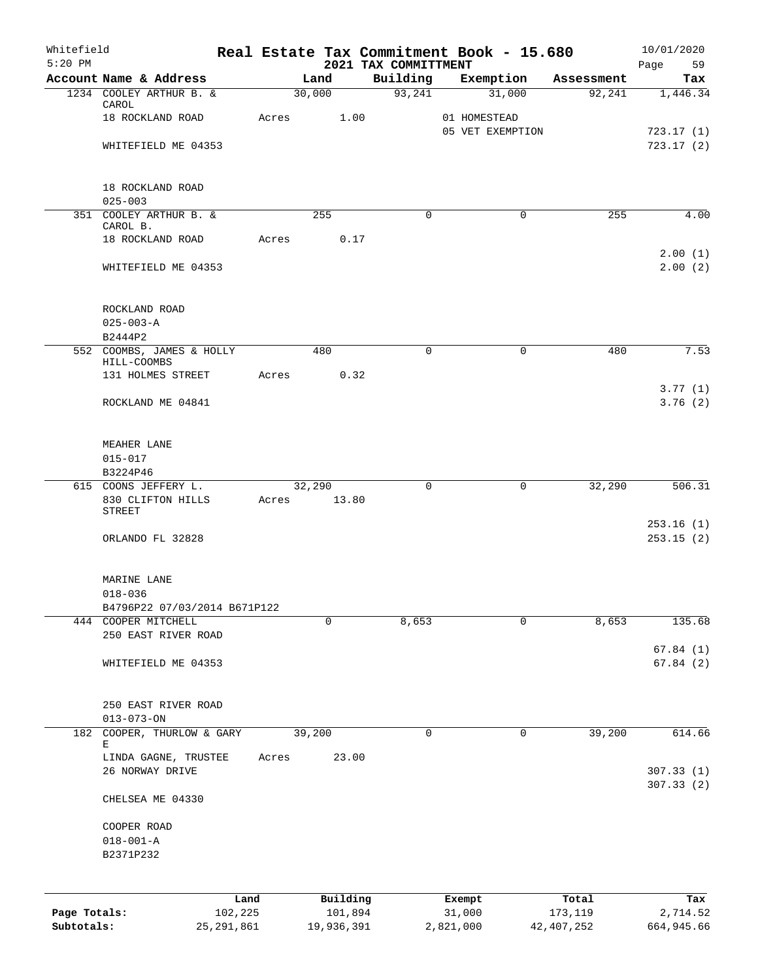| Whitefield<br>$5:20$ PM |                                                     |              |       |            |          | 2021 TAX COMMITTMENT |           | Real Estate Tax Commitment Book - 15.680 |              | 10/01/2020<br>Page<br>59 |
|-------------------------|-----------------------------------------------------|--------------|-------|------------|----------|----------------------|-----------|------------------------------------------|--------------|--------------------------|
|                         | Account Name & Address                              |              |       | Land       |          | Building             |           | Exemption                                | Assessment   | Tax                      |
|                         | 1234 COOLEY ARTHUR B. &                             |              |       | 30,000     |          | 93,241               |           | 31,000                                   | 92,241       | 1,446.34                 |
|                         | CAROL                                               |              |       |            |          |                      |           |                                          |              |                          |
|                         | 18 ROCKLAND ROAD                                    |              | Acres |            | 1.00     |                      |           | 01 HOMESTEAD<br>05 VET EXEMPTION         |              | 723.17(1)                |
|                         | WHITEFIELD ME 04353                                 |              |       |            |          |                      |           |                                          |              | 723.17(2)                |
|                         |                                                     |              |       |            |          |                      |           |                                          |              |                          |
|                         | 18 ROCKLAND ROAD                                    |              |       |            |          |                      |           |                                          |              |                          |
|                         | $025 - 003$                                         |              |       |            |          |                      |           |                                          |              |                          |
|                         | 351 COOLEY ARTHUR B. &                              |              |       | 255        |          | $\mathbf 0$          |           | $\mathbf 0$                              | 255          | 4.00                     |
|                         | CAROL B.<br>18 ROCKLAND ROAD                        |              | Acres |            | 0.17     |                      |           |                                          |              |                          |
|                         |                                                     |              |       |            |          |                      |           |                                          |              | 2.00(1)                  |
|                         | WHITEFIELD ME 04353                                 |              |       |            |          |                      |           |                                          |              | 2.00(2)                  |
|                         |                                                     |              |       |            |          |                      |           |                                          |              |                          |
|                         | ROCKLAND ROAD<br>$025 - 003 - A$                    |              |       |            |          |                      |           |                                          |              |                          |
|                         | B2444P2                                             |              |       |            |          |                      |           |                                          |              |                          |
|                         | 552 COOMBS, JAMES & HOLLY                           |              |       | 480        |          | $\Omega$             |           | 0                                        | 480          | 7.53                     |
|                         | HILL-COOMBS                                         |              |       |            |          |                      |           |                                          |              |                          |
|                         | 131 HOLMES STREET                                   |              | Acres |            | 0.32     |                      |           |                                          |              |                          |
|                         | ROCKLAND ME 04841                                   |              |       |            |          |                      |           |                                          |              | 3.77(1)<br>3.76(2)       |
|                         |                                                     |              |       |            |          |                      |           |                                          |              |                          |
|                         | MEAHER LANE                                         |              |       |            |          |                      |           |                                          |              |                          |
|                         | $015 - 017$                                         |              |       |            |          |                      |           |                                          |              |                          |
|                         | B3224P46                                            |              |       |            |          |                      |           |                                          |              |                          |
|                         | 615 COONS JEFFERY L.                                |              |       | 32,290     |          | $\mathbf 0$          |           | 0                                        | 32,290       | 506.31                   |
|                         | 830 CLIFTON HILLS<br><b>STREET</b>                  |              | Acres |            | 13.80    |                      |           |                                          |              |                          |
|                         |                                                     |              |       |            |          |                      |           |                                          |              | 253.16(1)                |
|                         | ORLANDO FL 32828                                    |              |       |            |          |                      |           |                                          |              | 253.15(2)                |
|                         |                                                     |              |       |            |          |                      |           |                                          |              |                          |
|                         | MARINE LANE                                         |              |       |            |          |                      |           |                                          |              |                          |
|                         | $018 - 036$                                         |              |       |            |          |                      |           |                                          |              |                          |
|                         | B4796P22 07/03/2014 B671P122<br>444 COOPER MITCHELL |              |       | 0          |          | 8,653                |           | $\mathbf 0$                              | 8,653        | 135.68                   |
|                         | 250 EAST RIVER ROAD                                 |              |       |            |          |                      |           |                                          |              |                          |
|                         |                                                     |              |       |            |          |                      |           |                                          |              | 67.84(1)                 |
|                         | WHITEFIELD ME 04353                                 |              |       |            |          |                      |           |                                          |              | 67.84(2)                 |
|                         |                                                     |              |       |            |          |                      |           |                                          |              |                          |
|                         | 250 EAST RIVER ROAD<br>$013 - 073 - ON$             |              |       |            |          |                      |           |                                          |              |                          |
|                         | 182 COOPER, THURLOW & GARY                          |              |       | 39,200     |          | 0                    |           | 0                                        | 39,200       | 614.66                   |
|                         | Е<br>LINDA GAGNE, TRUSTEE                           |              | Acres |            | 23.00    |                      |           |                                          |              |                          |
|                         | 26 NORWAY DRIVE                                     |              |       |            |          |                      |           |                                          |              | 307.33(1)                |
|                         | CHELSEA ME 04330                                    |              |       |            |          |                      |           |                                          |              | 307.33(2)                |
|                         |                                                     |              |       |            |          |                      |           |                                          |              |                          |
|                         | COOPER ROAD<br>$018 - 001 - A$                      |              |       |            |          |                      |           |                                          |              |                          |
|                         | B2371P232                                           |              |       |            |          |                      |           |                                          |              |                          |
|                         |                                                     |              |       |            |          |                      |           |                                          |              |                          |
|                         |                                                     | Land         |       |            | Building |                      | Exempt    |                                          | Total        | Tax                      |
| Page Totals:            |                                                     | 102,225      |       |            | 101,894  |                      | 31,000    |                                          | 173,119      | 2,714.52                 |
| Subtotals:              |                                                     | 25, 291, 861 |       | 19,936,391 |          |                      | 2,821,000 |                                          | 42, 407, 252 | 664,945.66               |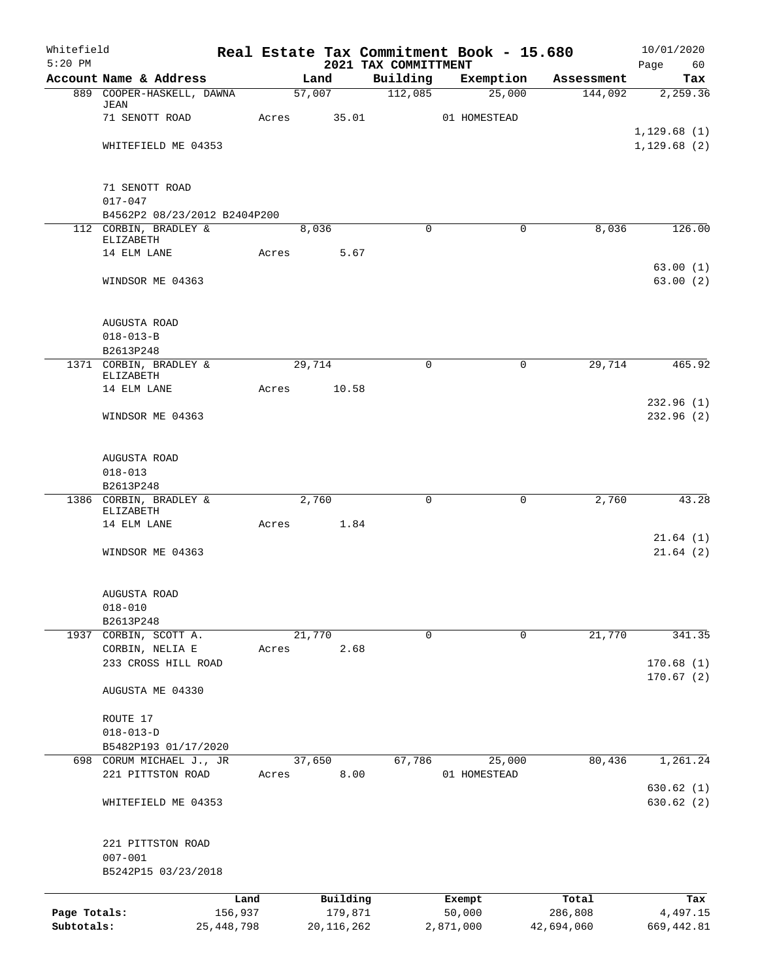| Whitefield   |                                     |              |       |        |              |                                  |           | Real Estate Tax Commitment Book - 15.680 |            | 10/01/2020             |
|--------------|-------------------------------------|--------------|-------|--------|--------------|----------------------------------|-----------|------------------------------------------|------------|------------------------|
| $5:20$ PM    | Account Name & Address              |              |       | Land   |              | 2021 TAX COMMITTMENT<br>Building |           | Exemption                                | Assessment | Page<br>60<br>Tax      |
|              | 889 COOPER-HASKELL, DAWNA           |              |       | 57,007 |              | 112,085                          |           | 25,000                                   | 144,092    | 2,259.36               |
|              | JEAN                                |              |       |        |              |                                  |           |                                          |            |                        |
|              | 71 SENOTT ROAD                      |              | Acres |        | 35.01        |                                  |           | 01 HOMESTEAD                             |            | 1, 129.68(1)           |
|              | WHITEFIELD ME 04353                 |              |       |        |              |                                  |           |                                          |            | 1, 129.68(2)           |
|              |                                     |              |       |        |              |                                  |           |                                          |            |                        |
|              | 71 SENOTT ROAD                      |              |       |        |              |                                  |           |                                          |            |                        |
|              | $017 - 047$                         |              |       |        |              |                                  |           |                                          |            |                        |
|              | B4562P2 08/23/2012 B2404P200        |              |       |        |              |                                  |           |                                          |            |                        |
|              | 112 CORBIN, BRADLEY &<br>ELIZABETH  |              |       | 8,036  |              | $\Omega$                         |           | $\Omega$                                 | 8,036      | 126.00                 |
|              | 14 ELM LANE                         |              | Acres |        | 5.67         |                                  |           |                                          |            |                        |
|              |                                     |              |       |        |              |                                  |           |                                          |            | 63.00(1)               |
|              | WINDSOR ME 04363                    |              |       |        |              |                                  |           |                                          |            | 63.00(2)               |
|              | AUGUSTA ROAD                        |              |       |        |              |                                  |           |                                          |            |                        |
|              | $018 - 013 - B$                     |              |       |        |              |                                  |           |                                          |            |                        |
|              | B2613P248                           |              |       |        |              |                                  |           |                                          |            |                        |
|              | 1371 CORBIN, BRADLEY &<br>ELIZABETH |              |       | 29,714 |              | $\Omega$                         |           | $\mathbf 0$                              | 29,714     | 465.92                 |
|              | 14 ELM LANE                         |              | Acres |        | 10.58        |                                  |           |                                          |            |                        |
|              | WINDSOR ME 04363                    |              |       |        |              |                                  |           |                                          |            | 232.96(1)<br>232.96(2) |
|              |                                     |              |       |        |              |                                  |           |                                          |            |                        |
|              | AUGUSTA ROAD                        |              |       |        |              |                                  |           |                                          |            |                        |
|              | $018 - 013$                         |              |       |        |              |                                  |           |                                          |            |                        |
|              | B2613P248                           |              |       |        |              |                                  |           |                                          |            |                        |
|              | 1386 CORBIN, BRADLEY &<br>ELIZABETH |              |       | 2,760  |              | $\mathbf 0$                      |           | $\mathbf 0$                              | 2,760      | 43.28                  |
|              | 14 ELM LANE                         |              | Acres |        | 1.84         |                                  |           |                                          |            |                        |
|              |                                     |              |       |        |              |                                  |           |                                          |            | 21.64(1)               |
|              | WINDSOR ME 04363                    |              |       |        |              |                                  |           |                                          |            | 21.64(2)               |
|              | AUGUSTA ROAD                        |              |       |        |              |                                  |           |                                          |            |                        |
|              | $018 - 010$                         |              |       |        |              |                                  |           |                                          |            |                        |
|              | B2613P248                           |              |       |        |              |                                  |           |                                          |            |                        |
| 1937         | CORBIN, SCOTT A.                    |              |       | 21,770 |              | $\mathbf 0$                      |           | $\mathbf 0$                              | 21,770     | 341.35                 |
|              | CORBIN, NELIA E                     |              | Acres |        | 2.68         |                                  |           |                                          |            |                        |
|              | 233 CROSS HILL ROAD                 |              |       |        |              |                                  |           |                                          |            | 170.68(1)<br>170.67(2) |
|              | AUGUSTA ME 04330                    |              |       |        |              |                                  |           |                                          |            |                        |
|              | ROUTE 17                            |              |       |        |              |                                  |           |                                          |            |                        |
|              | $018 - 013 - D$                     |              |       |        |              |                                  |           |                                          |            |                        |
|              | B5482P193 01/17/2020                |              |       |        |              |                                  |           |                                          |            |                        |
|              | 698 CORUM MICHAEL J., JR            |              |       | 37,650 |              | 67,786                           |           | 25,000                                   | 80,436     | 1,261.24               |
|              | 221 PITTSTON ROAD                   |              | Acres |        | 8.00         |                                  |           | 01 HOMESTEAD                             |            |                        |
|              | WHITEFIELD ME 04353                 |              |       |        |              |                                  |           |                                          |            | 630.62(1)<br>630.62(2) |
|              |                                     |              |       |        |              |                                  |           |                                          |            |                        |
|              | 221 PITTSTON ROAD                   |              |       |        |              |                                  |           |                                          |            |                        |
|              | $007 - 001$<br>B5242P15 03/23/2018  |              |       |        |              |                                  |           |                                          |            |                        |
|              |                                     | Land         |       |        | Building     |                                  | Exempt    |                                          | Total      | Tax                    |
| Page Totals: |                                     | 156,937      |       |        | 179,871      |                                  | 50,000    |                                          | 286,808    | 4,497.15               |
| Subtotals:   |                                     | 25, 448, 798 |       |        | 20, 116, 262 |                                  | 2,871,000 |                                          | 42,694,060 | 669, 442.81            |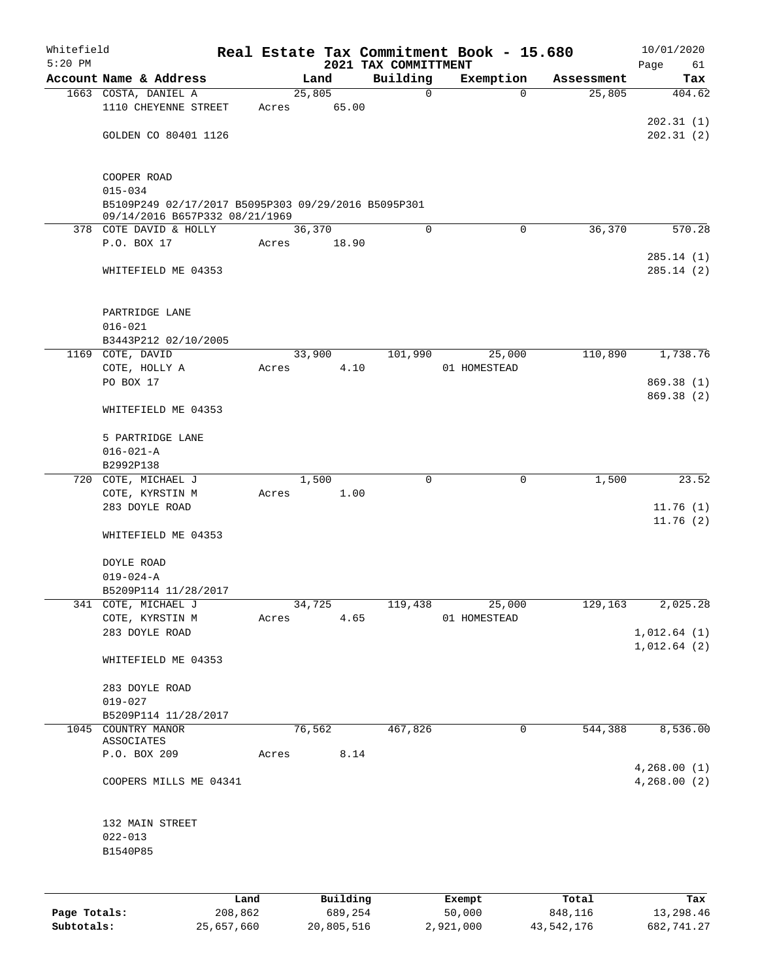| Whitefield<br>$5:20$ PM |                                                          |      |       |        |          |                                  | Real Estate Tax Commitment Book - 15.680 |            | 10/01/2020                 |
|-------------------------|----------------------------------------------------------|------|-------|--------|----------|----------------------------------|------------------------------------------|------------|----------------------------|
|                         | Account Name & Address                                   |      |       | Land   |          | 2021 TAX COMMITTMENT<br>Building | Exemption                                | Assessment | Page<br>61<br>Tax          |
|                         | 1663 COSTA, DANIEL A                                     |      |       | 25,805 |          | $\mathbf 0$                      | $\Omega$                                 | 25,805     | 404.62                     |
|                         | 1110 CHEYENNE STREET                                     |      | Acres |        | 65.00    |                                  |                                          |            |                            |
|                         |                                                          |      |       |        |          |                                  |                                          |            | 202.31(1)                  |
|                         | GOLDEN CO 80401 1126                                     |      |       |        |          |                                  |                                          |            | 202.31(2)                  |
|                         | COOPER ROAD                                              |      |       |        |          |                                  |                                          |            |                            |
|                         | $015 - 034$                                              |      |       |        |          |                                  |                                          |            |                            |
|                         | B5109P249 02/17/2017 B5095P303 09/29/2016 B5095P301      |      |       |        |          |                                  |                                          |            |                            |
|                         | 09/14/2016 B657P332 08/21/1969<br>378 COTE DAVID & HOLLY |      |       | 36,370 |          | $\Omega$                         | $\Omega$                                 | 36,370     | 570.28                     |
|                         | P.O. BOX 17                                              |      | Acres |        | 18.90    |                                  |                                          |            |                            |
|                         |                                                          |      |       |        |          |                                  |                                          |            | 285.14(1)                  |
|                         | WHITEFIELD ME 04353                                      |      |       |        |          |                                  |                                          |            | 285.14(2)                  |
|                         | PARTRIDGE LANE                                           |      |       |        |          |                                  |                                          |            |                            |
|                         | $016 - 021$                                              |      |       |        |          |                                  |                                          |            |                            |
|                         | B3443P212 02/10/2005                                     |      |       |        |          |                                  |                                          |            |                            |
|                         | 1169 COTE, DAVID                                         |      |       | 33,900 |          | 101,990                          | 25,000                                   | 110,890    | 1,738.76                   |
|                         | COTE, HOLLY A                                            |      | Acres |        | 4.10     |                                  | 01 HOMESTEAD                             |            |                            |
|                         | PO BOX 17                                                |      |       |        |          |                                  |                                          |            | 869.38(1)                  |
|                         | WHITEFIELD ME 04353                                      |      |       |        |          |                                  |                                          |            | 869.38 (2)                 |
|                         | 5 PARTRIDGE LANE                                         |      |       |        |          |                                  |                                          |            |                            |
|                         | $016 - 021 - A$                                          |      |       |        |          |                                  |                                          |            |                            |
|                         | B2992P138                                                |      |       |        |          |                                  |                                          |            |                            |
|                         | 720 COTE, MICHAEL J                                      |      |       | 1,500  |          | $\mathbf 0$                      | $\mathbf 0$                              | 1,500      | 23.52                      |
|                         | COTE, KYRSTIN M                                          |      | Acres |        | 1.00     |                                  |                                          |            |                            |
|                         | 283 DOYLE ROAD                                           |      |       |        |          |                                  |                                          |            | 11.76(1)                   |
|                         |                                                          |      |       |        |          |                                  |                                          |            | 11.76(2)                   |
|                         | WHITEFIELD ME 04353                                      |      |       |        |          |                                  |                                          |            |                            |
|                         | DOYLE ROAD                                               |      |       |        |          |                                  |                                          |            |                            |
|                         | $019 - 024 - A$                                          |      |       |        |          |                                  |                                          |            |                            |
|                         | B5209P114 11/28/2017                                     |      |       |        |          |                                  |                                          |            |                            |
|                         | 341 COTE, MICHAEL J                                      |      |       | 34,725 |          | 119,438                          | 25,000                                   | 129,163    | 2,025.28                   |
|                         | COTE, KYRSTIN M                                          |      | Acres |        | 4.65     |                                  | 01 HOMESTEAD                             |            |                            |
|                         | 283 DOYLE ROAD                                           |      |       |        |          |                                  |                                          |            | 1,012.64(1)<br>1,012.64(2) |
|                         | WHITEFIELD ME 04353                                      |      |       |        |          |                                  |                                          |            |                            |
|                         | 283 DOYLE ROAD<br>$019 - 027$                            |      |       |        |          |                                  |                                          |            |                            |
|                         | B5209P114 11/28/2017                                     |      |       |        |          |                                  |                                          |            |                            |
|                         | 1045 COUNTRY MANOR                                       |      |       | 76,562 |          | 467,826                          | 0                                        | 544,388    | 8,536.00                   |
|                         | ASSOCIATES                                               |      |       |        |          |                                  |                                          |            |                            |
|                         | P.O. BOX 209                                             |      | Acres |        | 8.14     |                                  |                                          |            |                            |
|                         | COOPERS MILLS ME 04341                                   |      |       |        |          |                                  |                                          |            | 4,268.00(1)<br>4,268.00(2) |
|                         | 132 MAIN STREET                                          |      |       |        |          |                                  |                                          |            |                            |
|                         | $022 - 013$                                              |      |       |        |          |                                  |                                          |            |                            |
|                         | B1540P85                                                 |      |       |        |          |                                  |                                          |            |                            |
|                         |                                                          |      |       |        |          |                                  |                                          |            |                            |
|                         |                                                          | Land |       |        | Building |                                  | <b>Exempt</b>                            | Total      | Tax                        |

|              | Land       | Building   | Exempt    | Total      | Tax        |
|--------------|------------|------------|-----------|------------|------------|
| Page Totals: | 208,862    | 689,254    | 50,000    | 848,116    | 13,298.46  |
| Subtotals:   | 25,657,660 | 20,805,516 | 2,921,000 | 43,542,176 | 682,741.27 |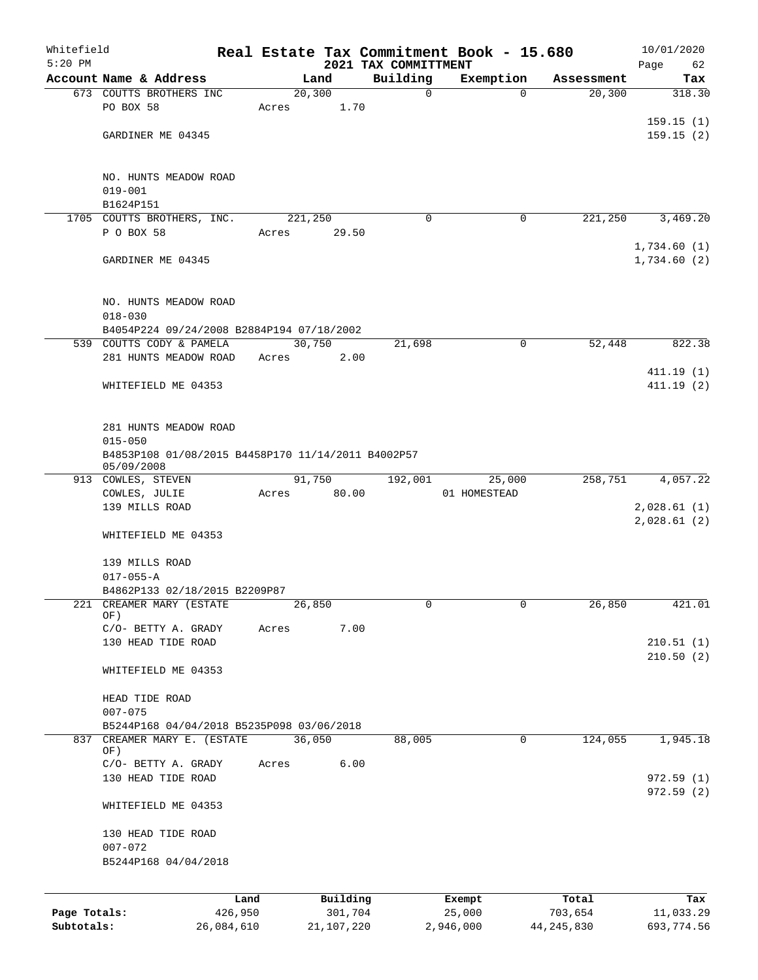| Whitefield<br>$5:20$ PM |                                                                  |            |       |            | 2021 TAX COMMITTMENT |             | Real Estate Tax Commitment Book - 15.680 |             |              | 10/01/2020<br>Page<br>62 |
|-------------------------|------------------------------------------------------------------|------------|-------|------------|----------------------|-------------|------------------------------------------|-------------|--------------|--------------------------|
|                         | Account Name & Address                                           |            |       | Land       |                      | Building    | Exemption                                |             | Assessment   | Tax                      |
|                         | 673 COUTTS BROTHERS INC                                          |            |       | 20, 300    |                      | $\mathbf 0$ |                                          | $\Omega$    | 20, 300      | 318.30                   |
|                         | PO BOX 58                                                        |            | Acres | 1.70       |                      |             |                                          |             |              |                          |
|                         |                                                                  |            |       |            |                      |             |                                          |             |              | 159.15(1)                |
|                         | GARDINER ME 04345                                                |            |       |            |                      |             |                                          |             |              | 159.15(2)                |
|                         |                                                                  |            |       |            |                      |             |                                          |             |              |                          |
|                         | NO. HUNTS MEADOW ROAD                                            |            |       |            |                      |             |                                          |             |              |                          |
|                         | $019 - 001$                                                      |            |       |            |                      |             |                                          |             |              |                          |
|                         | B1624P151                                                        |            |       |            |                      |             |                                          |             |              |                          |
|                         | 1705 COUTTS BROTHERS, INC.                                       |            |       | 221,250    |                      | 0           |                                          | $\mathbf 0$ | 221,250      | 3,469.20                 |
|                         | P O BOX 58                                                       |            | Acres | 29.50      |                      |             |                                          |             |              |                          |
|                         |                                                                  |            |       |            |                      |             |                                          |             |              | 1,734.60(1)              |
|                         | GARDINER ME 04345                                                |            |       |            |                      |             |                                          |             |              | 1,734.60(2)              |
|                         | NO. HUNTS MEADOW ROAD                                            |            |       |            |                      |             |                                          |             |              |                          |
|                         | $018 - 030$                                                      |            |       |            |                      |             |                                          |             |              |                          |
|                         | B4054P224 09/24/2008 B2884P194 07/18/2002                        |            |       |            |                      |             |                                          |             |              |                          |
|                         | 539 COUTTS CODY & PAMELA                                         |            |       | 30,750     |                      | 21,698      |                                          | $\mathbf 0$ | 52,448       | 822.38                   |
|                         | 281 HUNTS MEADOW ROAD                                            |            | Acres | 2.00       |                      |             |                                          |             |              |                          |
|                         |                                                                  |            |       |            |                      |             |                                          |             |              | 411.19(1)                |
|                         | WHITEFIELD ME 04353                                              |            |       |            |                      |             |                                          |             |              | 411.19(2)                |
|                         |                                                                  |            |       |            |                      |             |                                          |             |              |                          |
|                         |                                                                  |            |       |            |                      |             |                                          |             |              |                          |
|                         | 281 HUNTS MEADOW ROAD                                            |            |       |            |                      |             |                                          |             |              |                          |
|                         | $015 - 050$                                                      |            |       |            |                      |             |                                          |             |              |                          |
|                         | B4853P108 01/08/2015 B4458P170 11/14/2011 B4002P57<br>05/09/2008 |            |       |            |                      |             |                                          |             |              |                          |
|                         | 913 COWLES, STEVEN                                               |            |       | 91,750     |                      | 192,001     | 25,000                                   |             | 258,751      | 4,057.22                 |
|                         | COWLES, JULIE                                                    |            | Acres | 80.00      |                      |             | 01 HOMESTEAD                             |             |              |                          |
|                         | 139 MILLS ROAD                                                   |            |       |            |                      |             |                                          |             |              | 2,028.61(1)              |
|                         | WHITEFIELD ME 04353                                              |            |       |            |                      |             |                                          |             |              | 2,028.61(2)              |
|                         |                                                                  |            |       |            |                      |             |                                          |             |              |                          |
|                         | 139 MILLS ROAD                                                   |            |       |            |                      |             |                                          |             |              |                          |
|                         | $017 - 055 - A$                                                  |            |       |            |                      |             |                                          |             |              |                          |
|                         | B4862P133 02/18/2015 B2209P87                                    |            |       |            |                      |             |                                          |             |              |                          |
| 221                     | CREAMER MARY (ESTATE<br>OF)                                      |            |       | 26,850     |                      | 0           |                                          | 0           | 26,850       | 421.01                   |
|                         | C/O- BETTY A. GRADY                                              |            | Acres | 7.00       |                      |             |                                          |             |              |                          |
|                         | 130 HEAD TIDE ROAD                                               |            |       |            |                      |             |                                          |             |              | 210.51(1)                |
|                         |                                                                  |            |       |            |                      |             |                                          |             |              | 210.50(2)                |
|                         | WHITEFIELD ME 04353                                              |            |       |            |                      |             |                                          |             |              |                          |
|                         |                                                                  |            |       |            |                      |             |                                          |             |              |                          |
|                         | HEAD TIDE ROAD                                                   |            |       |            |                      |             |                                          |             |              |                          |
|                         | $007 - 075$                                                      |            |       |            |                      |             |                                          |             |              |                          |
|                         | B5244P168 04/04/2018 B5235P098 03/06/2018                        |            |       |            |                      |             |                                          |             |              |                          |
| 837                     | CREAMER MARY E. (ESTATE<br>OF)                                   |            |       | 36,050     |                      | 88,005      |                                          | $\mathbf 0$ | 124,055      | 1,945.18                 |
|                         | C/O- BETTY A. GRADY                                              |            | Acres | 6.00       |                      |             |                                          |             |              |                          |
|                         | 130 HEAD TIDE ROAD                                               |            |       |            |                      |             |                                          |             |              | 972.59(1)                |
|                         |                                                                  |            |       |            |                      |             |                                          |             |              | 972.59(2)                |
|                         | WHITEFIELD ME 04353                                              |            |       |            |                      |             |                                          |             |              |                          |
|                         | 130 HEAD TIDE ROAD                                               |            |       |            |                      |             |                                          |             |              |                          |
|                         | $007 - 072$                                                      |            |       |            |                      |             |                                          |             |              |                          |
|                         | B5244P168 04/04/2018                                             |            |       |            |                      |             |                                          |             |              |                          |
|                         |                                                                  |            |       |            |                      |             |                                          |             |              |                          |
|                         |                                                                  | Land       |       | Building   |                      |             | Exempt                                   |             | Total        | Tax                      |
| Page Totals:            |                                                                  | 426,950    |       | 301,704    |                      |             | 25,000                                   |             | 703,654      | 11,033.29                |
| Subtotals:              |                                                                  | 26,084,610 |       | 21,107,220 |                      |             | 2,946,000                                |             | 44, 245, 830 | 693,774.56               |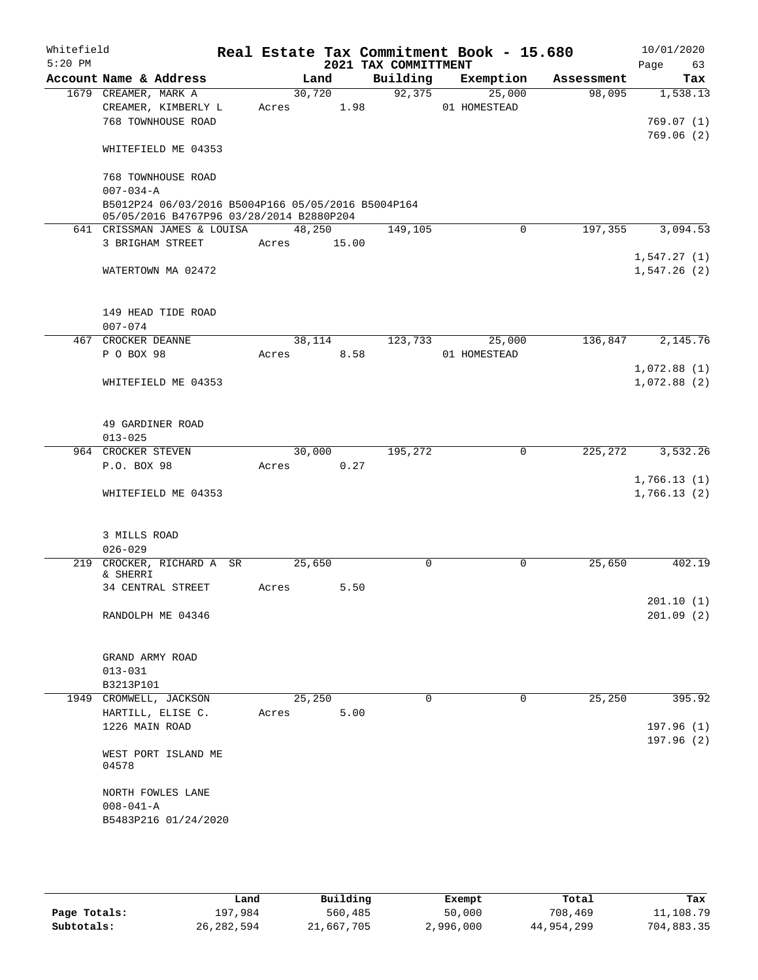| Whitefield<br>$5:20$ PM |                                 |                                                    |             |            | 2021 TAX COMMITTMENT | Real Estate Tax Commitment Book - 15.680 |            | 10/01/2020<br>Page<br>63 |
|-------------------------|---------------------------------|----------------------------------------------------|-------------|------------|----------------------|------------------------------------------|------------|--------------------------|
|                         | Account Name & Address          |                                                    |             | Land       | Building             | Exemption                                | Assessment | Tax                      |
|                         | 1679 CREAMER, MARK A            |                                                    |             | 30,720     | 92, 375              | 25,000                                   | 98,095     | 1,538.13                 |
|                         | CREAMER, KIMBERLY L             |                                                    | Acres       | 1.98       |                      | 01 HOMESTEAD                             |            |                          |
|                         | 768 TOWNHOUSE ROAD              |                                                    |             |            |                      |                                          |            | 769.07(1)                |
|                         |                                 |                                                    |             |            |                      |                                          |            | 769.06(2)                |
|                         | WHITEFIELD ME 04353             |                                                    |             |            |                      |                                          |            |                          |
|                         |                                 |                                                    |             |            |                      |                                          |            |                          |
|                         | 768 TOWNHOUSE ROAD              |                                                    |             |            |                      |                                          |            |                          |
|                         | $007 - 034 - A$                 | B5012P24 06/03/2016 B5004P166 05/05/2016 B5004P164 |             |            |                      |                                          |            |                          |
|                         |                                 | 05/05/2016 B4767P96 03/28/2014 B2880P204           |             |            |                      |                                          |            |                          |
|                         |                                 | 641 CRISSMAN JAMES & LOUISA                        |             | 48,250     | 149,105              | 0                                        | 197,355    | 3,094.53                 |
|                         | 3 BRIGHAM STREET                |                                                    | Acres 15.00 |            |                      |                                          |            |                          |
|                         |                                 |                                                    |             |            |                      |                                          |            | 1,547.27(1)              |
|                         | WATERTOWN MA 02472              |                                                    |             |            |                      |                                          |            | 1,547.26(2)              |
|                         |                                 |                                                    |             |            |                      |                                          |            |                          |
|                         |                                 |                                                    |             |            |                      |                                          |            |                          |
|                         | 149 HEAD TIDE ROAD              |                                                    |             |            |                      |                                          |            |                          |
|                         | $007 - 074$                     |                                                    |             |            |                      |                                          |            |                          |
|                         | 467 CROCKER DEANNE              |                                                    |             | 38,114     | 123,733              | 25,000                                   | 136,847    | 2,145.76                 |
|                         | P O BOX 98                      |                                                    |             | Acres 8.58 |                      | 01 HOMESTEAD                             |            |                          |
|                         |                                 |                                                    |             |            |                      |                                          |            | 1,072.88(1)              |
|                         | WHITEFIELD ME 04353             |                                                    |             |            |                      |                                          |            | 1,072.88(2)              |
|                         |                                 |                                                    |             |            |                      |                                          |            |                          |
|                         |                                 |                                                    |             |            |                      |                                          |            |                          |
|                         | 49 GARDINER ROAD<br>$013 - 025$ |                                                    |             |            |                      |                                          |            |                          |
|                         | 964 CROCKER STEVEN              |                                                    |             | 30,000     | 195,272              | $\mathbf 0$                              | 225,272    | 3,532.26                 |
|                         | P.O. BOX 98                     |                                                    | Acres       | 0.27       |                      |                                          |            |                          |
|                         |                                 |                                                    |             |            |                      |                                          |            | 1,766.13(1)              |
|                         | WHITEFIELD ME 04353             |                                                    |             |            |                      |                                          |            | 1,766.13(2)              |
|                         |                                 |                                                    |             |            |                      |                                          |            |                          |
|                         |                                 |                                                    |             |            |                      |                                          |            |                          |
|                         | 3 MILLS ROAD                    |                                                    |             |            |                      |                                          |            |                          |
|                         | $026 - 029$                     |                                                    |             |            |                      |                                          |            |                          |
|                         |                                 | 219 CROCKER, RICHARD A SR                          |             | 25,650     | 0                    | $\mathbf 0$                              | 25,650     | 402.19                   |
|                         | & SHERRI                        |                                                    |             |            |                      |                                          |            |                          |
|                         | 34 CENTRAL STREET               |                                                    | Acres       | 5.50       |                      |                                          |            |                          |
|                         |                                 |                                                    |             |            |                      |                                          |            | 201.10(1)                |
|                         | RANDOLPH ME 04346               |                                                    |             |            |                      |                                          |            | 201.09(2)                |
|                         |                                 |                                                    |             |            |                      |                                          |            |                          |
|                         | GRAND ARMY ROAD                 |                                                    |             |            |                      |                                          |            |                          |
|                         | $013 - 031$                     |                                                    |             |            |                      |                                          |            |                          |
|                         | B3213P101                       |                                                    |             |            |                      |                                          |            |                          |
|                         | 1949 CROMWELL, JACKSON          |                                                    |             | 25,250     | $\Omega$             | $\Omega$                                 | 25,250     | 395.92                   |
|                         | HARTILL, ELISE C.               |                                                    | Acres       | 5.00       |                      |                                          |            |                          |
|                         | 1226 MAIN ROAD                  |                                                    |             |            |                      |                                          |            | 197.96(1)                |
|                         |                                 |                                                    |             |            |                      |                                          |            | 197.96(2)                |
|                         | WEST PORT ISLAND ME             |                                                    |             |            |                      |                                          |            |                          |
|                         | 04578                           |                                                    |             |            |                      |                                          |            |                          |
|                         |                                 |                                                    |             |            |                      |                                          |            |                          |
|                         | NORTH FOWLES LANE               |                                                    |             |            |                      |                                          |            |                          |
|                         | $008 - 041 - A$                 |                                                    |             |            |                      |                                          |            |                          |
|                         | B5483P216 01/24/2020            |                                                    |             |            |                      |                                          |            |                          |
|                         |                                 |                                                    |             |            |                      |                                          |            |                          |
|                         |                                 |                                                    |             |            |                      |                                          |            |                          |

|              | Land         | Building   | Exempt    | Total      | Tax        |
|--------------|--------------|------------|-----------|------------|------------|
| Page Totals: | 197.984      | 560,485    | 50,000    | 708,469    | 11,108.79  |
| Subtotals:   | 26, 282, 594 | 21,667,705 | 2,996,000 | 44,954,299 | 704,883.35 |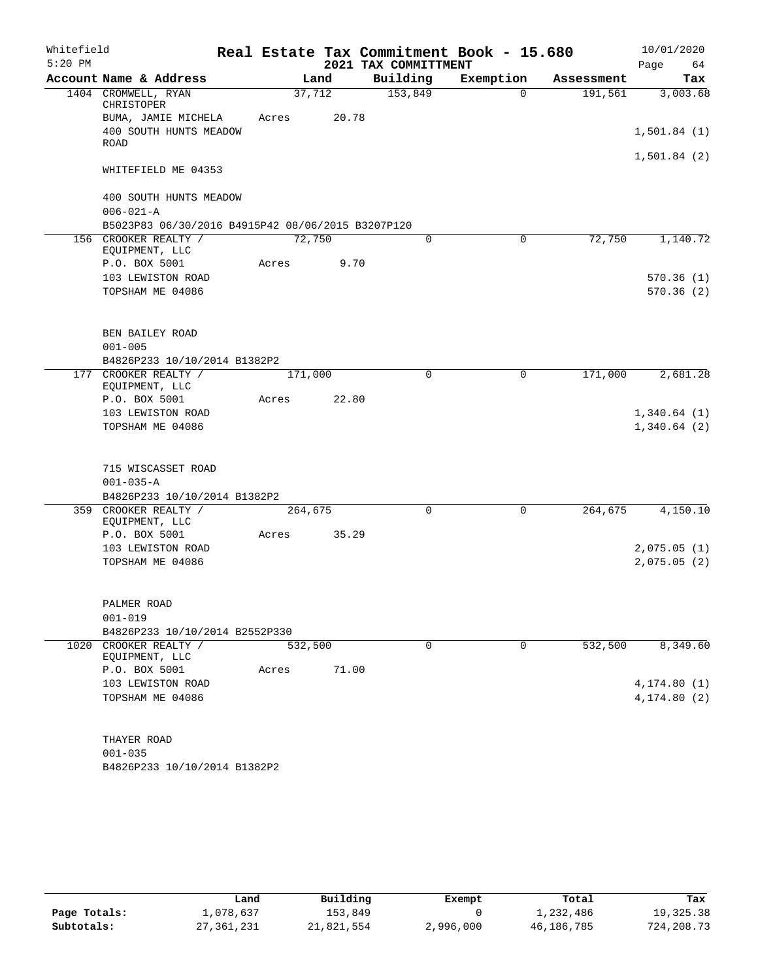| Whitefield |                                                   |         |        |                      | Real Estate Tax Commitment Book - 15.680 |            | 10/01/2020   |
|------------|---------------------------------------------------|---------|--------|----------------------|------------------------------------------|------------|--------------|
| $5:20$ PM  |                                                   |         |        | 2021 TAX COMMITTMENT |                                          |            | Page<br>64   |
|            | Account Name & Address                            |         | Land   | Building             | Exemption                                | Assessment | Tax          |
|            | 1404 CROMWELL, RYAN<br>CHRISTOPER                 |         | 37,712 | 153,849              | $\Omega$                                 | 191,561    | 3,003.68     |
|            | BUMA, JAMIE MICHELA                               | Acres   | 20.78  |                      |                                          |            |              |
|            | 400 SOUTH HUNTS MEADOW<br>ROAD                    |         |        |                      |                                          |            | 1,501.84(1)  |
|            | WHITEFIELD ME 04353                               |         |        |                      |                                          |            | 1,501.84(2)  |
|            |                                                   |         |        |                      |                                          |            |              |
|            | 400 SOUTH HUNTS MEADOW                            |         |        |                      |                                          |            |              |
|            | $006 - 021 - A$                                   |         |        |                      |                                          |            |              |
|            | B5023P83 06/30/2016 B4915P42 08/06/2015 B3207P120 |         |        |                      |                                          |            |              |
|            | 156 CROOKER REALTY /<br>EQUIPMENT, LLC            |         | 72,750 | 0                    | $\mathbf 0$                              | 72,750     | 1,140.72     |
|            | P.O. BOX 5001                                     | Acres   | 9.70   |                      |                                          |            |              |
|            | 103 LEWISTON ROAD                                 |         |        |                      |                                          |            | 570.36(1)    |
|            | TOPSHAM ME 04086                                  |         |        |                      |                                          |            | 570.36(2)    |
|            | BEN BAILEY ROAD                                   |         |        |                      |                                          |            |              |
|            | $001 - 005$                                       |         |        |                      |                                          |            |              |
|            | B4826P233 10/10/2014 B1382P2                      |         |        |                      |                                          |            |              |
|            | 177 CROOKER REALTY /<br>EQUIPMENT, LLC            | 171,000 |        | $\mathbf 0$          | $\mathbf 0$                              | 171,000    | 2,681.28     |
|            | P.O. BOX 5001                                     | Acres   | 22.80  |                      |                                          |            |              |
|            | 103 LEWISTON ROAD                                 |         |        |                      |                                          |            | 1,340.64(1)  |
|            | TOPSHAM ME 04086                                  |         |        |                      |                                          |            | 1,340.64(2)  |
|            | 715 WISCASSET ROAD                                |         |        |                      |                                          |            |              |
|            | $001 - 035 - A$                                   |         |        |                      |                                          |            |              |
|            | B4826P233 10/10/2014 B1382P2                      |         |        |                      |                                          |            |              |
|            | 359 CROOKER REALTY /<br>EQUIPMENT, LLC            | 264,675 |        | $\Omega$             | $\mathbf 0$                              | 264,675    | 4,150.10     |
|            | P.O. BOX 5001                                     | Acres   | 35.29  |                      |                                          |            |              |
|            | 103 LEWISTON ROAD                                 |         |        |                      |                                          |            | 2,075.05(1)  |
|            | TOPSHAM ME 04086                                  |         |        |                      |                                          |            | 2,075.05(2)  |
|            | PALMER ROAD                                       |         |        |                      |                                          |            |              |
|            | $001 - 019$                                       |         |        |                      |                                          |            |              |
|            | B4826P233 10/10/2014 B2552P330                    |         |        |                      |                                          |            |              |
|            | 1020 CROOKER REALTY /<br>EQUIPMENT, LLC           | 532,500 |        | 0                    | 0                                        | 532,500    | 8,349.60     |
|            | P.O. BOX 5001                                     | Acres   | 71.00  |                      |                                          |            |              |
|            | 103 LEWISTON ROAD                                 |         |        |                      |                                          |            | 4, 174.80(1) |
|            | TOPSHAM ME 04086                                  |         |        |                      |                                          |            | 4,174.80 (2) |
|            | THAYER ROAD                                       |         |        |                      |                                          |            |              |
|            | $001 - 035$                                       |         |        |                      |                                          |            |              |
|            |                                                   |         |        |                      |                                          |            |              |

B4826P233 10/10/2014 B1382P2

|              | Land         | Building   | Exempt    | Total      | Tax        |
|--------------|--------------|------------|-----------|------------|------------|
| Page Totals: | 1,078,637    | 153,849    |           | 1,232,486  | 19,325.38  |
| Subtotals:   | 27, 361, 231 | 21,821,554 | 2,996,000 | 46,186,785 | 724,208.73 |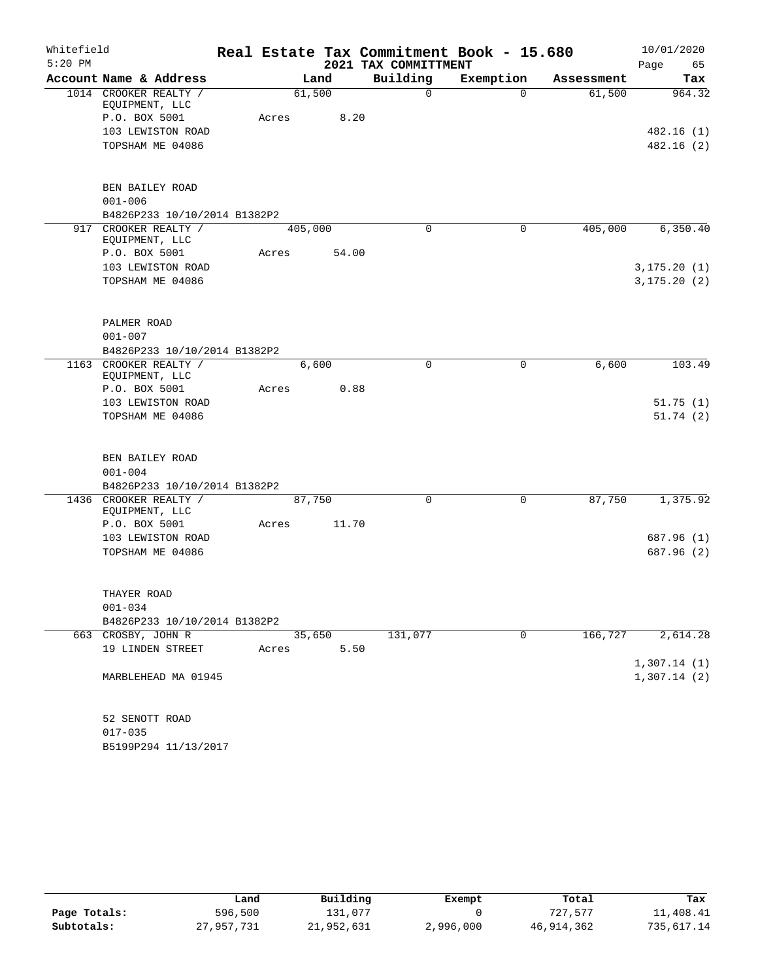| Whitefield | Real Estate Tax Commitment Book - 15.680 |       |         |       |                      |           |            |              |
|------------|------------------------------------------|-------|---------|-------|----------------------|-----------|------------|--------------|
| $5:20$ PM  |                                          |       |         |       | 2021 TAX COMMITTMENT |           |            | Page<br>65   |
|            | Account Name & Address                   |       | Land    |       | Building             | Exemption | Assessment | Tax          |
|            | 1014 CROOKER REALTY /                    |       | 61,500  |       | $\mathbf 0$          | $\Omega$  | 61,500     | 964.32       |
|            | EQUIPMENT, LLC<br>P.O. BOX 5001          | Acres |         | 8.20  |                      |           |            |              |
|            | 103 LEWISTON ROAD                        |       |         |       |                      |           |            | 482.16(1)    |
|            | TOPSHAM ME 04086                         |       |         |       |                      |           |            | 482.16(2)    |
|            |                                          |       |         |       |                      |           |            |              |
|            | BEN BAILEY ROAD                          |       |         |       |                      |           |            |              |
|            | $001 - 006$                              |       |         |       |                      |           |            |              |
|            | B4826P233 10/10/2014 B1382P2             |       |         |       |                      |           |            |              |
|            | 917 CROOKER REALTY /<br>EQUIPMENT, LLC   |       | 405,000 |       | $\Omega$             | 0         | 405,000    | 6,350.40     |
|            | P.O. BOX 5001                            | Acres |         | 54.00 |                      |           |            |              |
|            | 103 LEWISTON ROAD                        |       |         |       |                      |           |            | 3, 175.20(1) |
|            | TOPSHAM ME 04086                         |       |         |       |                      |           |            | 3, 175.20(2) |
|            |                                          |       |         |       |                      |           |            |              |
|            | PALMER ROAD                              |       |         |       |                      |           |            |              |
|            | $001 - 007$                              |       |         |       |                      |           |            |              |
|            | B4826P233 10/10/2014 B1382P2             |       |         |       |                      |           |            |              |
|            | 1163 CROOKER REALTY /<br>EQUIPMENT, LLC  |       | 6,600   |       | 0                    | 0         | 6,600      | 103.49       |
|            | P.O. BOX 5001                            | Acres |         | 0.88  |                      |           |            |              |
|            | 103 LEWISTON ROAD                        |       |         |       |                      |           |            | 51.75(1)     |
|            | TOPSHAM ME 04086                         |       |         |       |                      |           |            | 51.74(2)     |
|            |                                          |       |         |       |                      |           |            |              |
|            | BEN BAILEY ROAD                          |       |         |       |                      |           |            |              |
|            | $001 - 004$                              |       |         |       |                      |           |            |              |
|            | B4826P233 10/10/2014 B1382P2             |       |         |       |                      |           |            |              |
|            | 1436 CROOKER REALTY /<br>EQUIPMENT, LLC  |       | 87,750  |       | 0                    | 0         | 87,750     | 1,375.92     |
|            | P.O. BOX 5001                            | Acres |         | 11.70 |                      |           |            |              |
|            | 103 LEWISTON ROAD                        |       |         |       |                      |           |            | 687.96 (1)   |
|            | TOPSHAM ME 04086                         |       |         |       |                      |           |            | 687.96 (2)   |
|            |                                          |       |         |       |                      |           |            |              |
|            | THAYER ROAD                              |       |         |       |                      |           |            |              |
|            | $001 - 034$                              |       |         |       |                      |           |            |              |
|            | B4826P233 10/10/2014 B1382P2             |       |         |       |                      |           |            |              |
|            | 663 CROSBY, JOHN R                       |       | 35,650  |       | 131,077              | 0         | 166,727    | 2,614.28     |
|            | 19 LINDEN STREET                         | Acres |         | 5.50  |                      |           |            |              |
|            |                                          |       |         |       |                      |           |            | 1,307.14(1)  |
|            | MARBLEHEAD MA 01945                      |       |         |       |                      |           |            | 1,307.14(2)  |
|            |                                          |       |         |       |                      |           |            |              |
|            | 52 SENOTT ROAD                           |       |         |       |                      |           |            |              |
|            | $017 - 035$                              |       |         |       |                      |           |            |              |

B5199P294 11/13/2017

|              | Land       | Building   | Exempt    | Total      | Tax        |
|--------------|------------|------------|-----------|------------|------------|
| Page Totals: | 596,500    | 131,077    |           | 727,577    | 11,408.41  |
| Subtotals:   | 27,957,731 | 21,952,631 | 2,996,000 | 46,914,362 | 735,617.14 |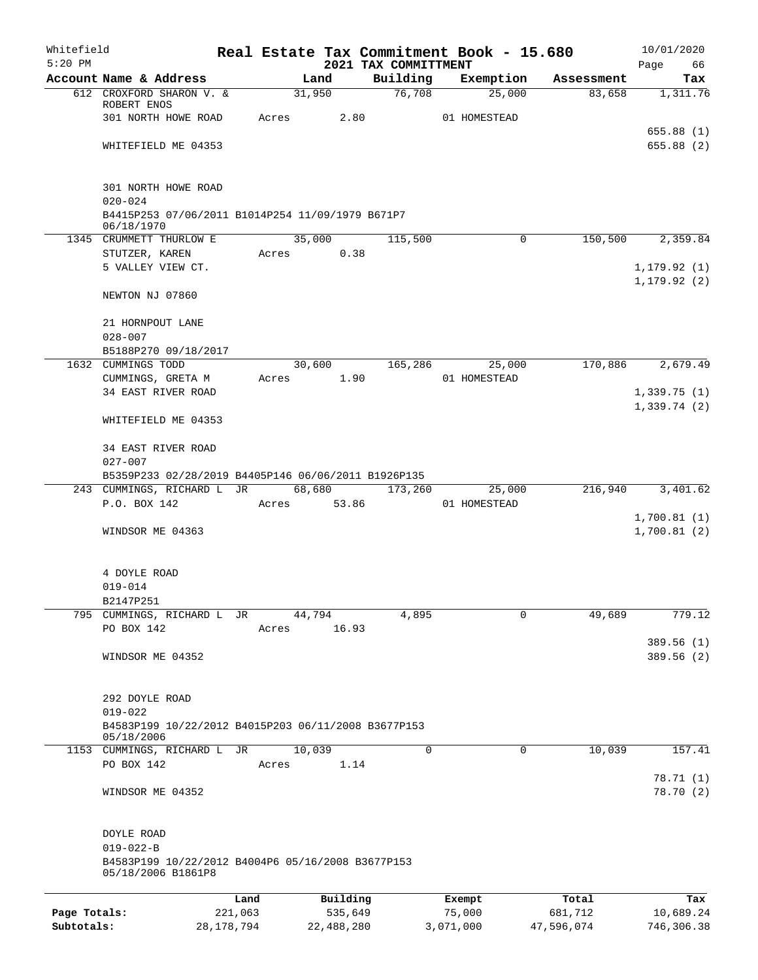| Whitefield<br>$5:20$ PM |                                                                         |              |       |                 |            |                                  | Real Estate Tax Commitment Book - 15.680 |            | 10/01/2020                   |
|-------------------------|-------------------------------------------------------------------------|--------------|-------|-----------------|------------|----------------------------------|------------------------------------------|------------|------------------------------|
|                         | Account Name & Address                                                  |              |       | Land            |            | 2021 TAX COMMITTMENT<br>Building | Exemption                                | Assessment | Page<br>66<br>Tax            |
|                         | 612 CROXFORD SHARON V. &                                                |              |       | 31,950          |            | 76,708                           | 25,000                                   | 83,658     | 1,311.76                     |
|                         | ROBERT ENOS                                                             |              |       |                 |            |                                  |                                          |            |                              |
|                         | 301 NORTH HOWE ROAD                                                     |              | Acres |                 | 2.80       |                                  | 01 HOMESTEAD                             |            | 655.88(1)                    |
|                         | WHITEFIELD ME 04353                                                     |              |       |                 |            |                                  |                                          |            | 655.88(2)                    |
|                         | 301 NORTH HOWE ROAD<br>$020 - 024$                                      |              |       |                 |            |                                  |                                          |            |                              |
|                         | B4415P253 07/06/2011 B1014P254 11/09/1979 B671P7<br>06/18/1970          |              |       |                 |            |                                  |                                          |            |                              |
|                         | 1345 CRUMMETT THURLOW E                                                 |              |       | 35,000          |            | 115,500                          | $\mathbf 0$                              | 150,500    | 2,359.84                     |
|                         | STUTZER, KAREN                                                          |              | Acres |                 | 0.38       |                                  |                                          |            |                              |
|                         | 5 VALLEY VIEW CT.                                                       |              |       |                 |            |                                  |                                          |            | 1, 179.92(1)<br>1, 179.92(2) |
|                         | NEWTON NJ 07860                                                         |              |       |                 |            |                                  |                                          |            |                              |
|                         | 21 HORNPOUT LANE                                                        |              |       |                 |            |                                  |                                          |            |                              |
|                         | $028 - 007$                                                             |              |       |                 |            |                                  |                                          |            |                              |
|                         | B5188P270 09/18/2017                                                    |              |       |                 |            |                                  |                                          |            |                              |
|                         | 1632 CUMMINGS TODD                                                      |              |       | 30,600          |            | 165,286                          | 25,000                                   | 170,886    | 2,679.49                     |
|                         | CUMMINGS, GRETA M<br>34 EAST RIVER ROAD                                 |              | Acres |                 | 1.90       |                                  | 01 HOMESTEAD                             |            | 1,339.75(1)                  |
|                         |                                                                         |              |       |                 |            |                                  |                                          |            | 1,339.74(2)                  |
|                         | WHITEFIELD ME 04353                                                     |              |       |                 |            |                                  |                                          |            |                              |
|                         | 34 EAST RIVER ROAD                                                      |              |       |                 |            |                                  |                                          |            |                              |
|                         | $027 - 007$                                                             |              |       |                 |            |                                  |                                          |            |                              |
|                         | B5359P233 02/28/2019 B4405P146 06/06/2011 B1926P135                     |              |       |                 |            |                                  |                                          |            |                              |
|                         | 243 CUMMINGS, RICHARD L JR<br>P.O. BOX 142                              |              | Acres | 68,680<br>53.86 |            | 173,260                          | 25,000<br>01 HOMESTEAD                   | 216,940    | 3,401.62                     |
|                         |                                                                         |              |       |                 |            |                                  |                                          |            | 1,700.81(1)                  |
|                         | WINDSOR ME 04363                                                        |              |       |                 |            |                                  |                                          |            | 1,700.81(2)                  |
|                         | 4 DOYLE ROAD                                                            |              |       |                 |            |                                  |                                          |            |                              |
|                         | $019 - 014$                                                             |              |       |                 |            |                                  |                                          |            |                              |
|                         | B2147P251                                                               |              |       |                 |            |                                  |                                          |            |                              |
| 795                     | CUMMINGS, RICHARD L                                                     | JR           |       | 44,794          |            | 4,895                            | $\mathbf 0$                              | 49,689     | 779.12                       |
|                         | PO BOX 142                                                              |              | Acres |                 | 16.93      |                                  |                                          |            | 389.56 (1)                   |
|                         | WINDSOR ME 04352                                                        |              |       |                 |            |                                  |                                          |            | 389.56 (2)                   |
|                         | 292 DOYLE ROAD                                                          |              |       |                 |            |                                  |                                          |            |                              |
|                         | $019 - 022$                                                             |              |       |                 |            |                                  |                                          |            |                              |
|                         | B4583P199 10/22/2012 B4015P203 06/11/2008 B3677P153<br>05/18/2006       |              |       |                 |            |                                  |                                          |            |                              |
|                         | 1153 CUMMINGS, RICHARD L JR                                             |              |       | 10,039          |            | 0                                | 0                                        | 10,039     | 157.41                       |
|                         | PO BOX 142                                                              |              | Acres |                 | 1.14       |                                  |                                          |            | 78.71 (1)                    |
|                         | WINDSOR ME 04352                                                        |              |       |                 |            |                                  |                                          |            | 78.70 (2)                    |
|                         | DOYLE ROAD                                                              |              |       |                 |            |                                  |                                          |            |                              |
|                         | $019 - 022 - B$                                                         |              |       |                 |            |                                  |                                          |            |                              |
|                         | B4583P199 10/22/2012 B4004P6 05/16/2008 B3677P153<br>05/18/2006 B1861P8 |              |       |                 |            |                                  |                                          |            |                              |
|                         |                                                                         | Land         |       |                 | Building   |                                  | Exempt                                   | Total      | Tax                          |
| Page Totals:            |                                                                         | 221,063      |       |                 | 535,649    |                                  | 75,000                                   | 681,712    | 10,689.24                    |
| Subtotals:              |                                                                         | 28, 178, 794 |       |                 | 22,488,280 |                                  | 3,071,000                                | 47,596,074 | 746,306.38                   |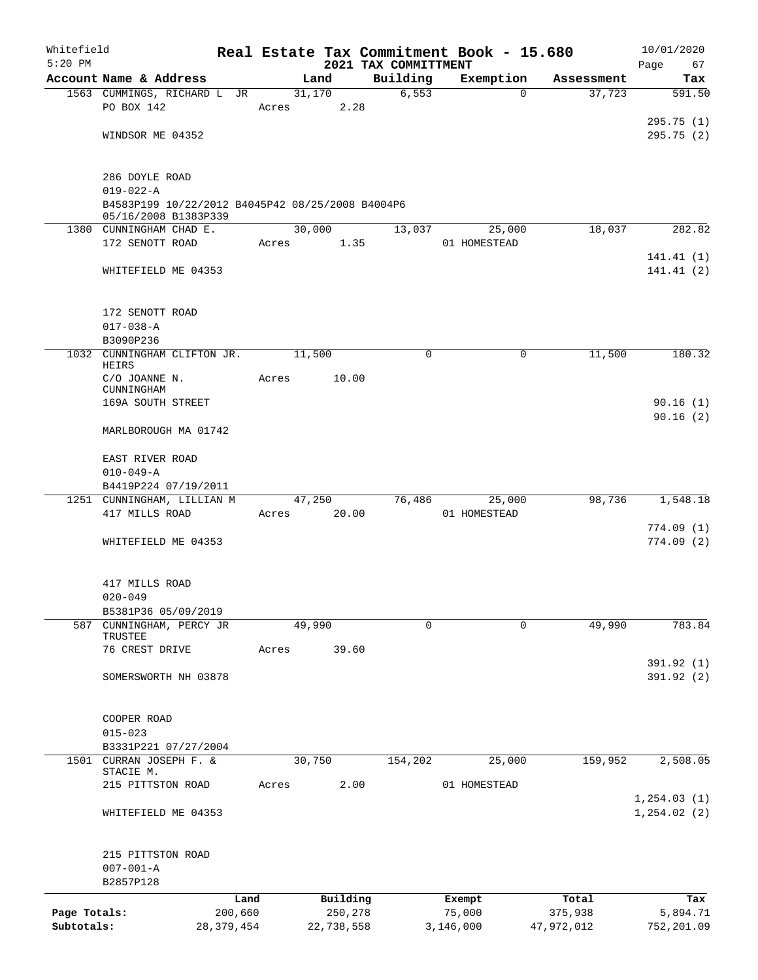| Whitefield<br>$5:20$ PM |                                                                          |              |       |        |            |                                  | Real Estate Tax Commitment Book - 15.680 |          |            | 10/01/2020        |
|-------------------------|--------------------------------------------------------------------------|--------------|-------|--------|------------|----------------------------------|------------------------------------------|----------|------------|-------------------|
|                         | Account Name & Address                                                   |              |       | Land   |            | 2021 TAX COMMITTMENT<br>Building | Exemption                                |          | Assessment | Page<br>67<br>Tax |
|                         | 1563 CUMMINGS, RICHARD L JR                                              |              |       | 31,170 |            | 6, 553                           |                                          | $\Omega$ | 37,723     | 591.50            |
|                         | PO BOX 142                                                               |              | Acres |        | 2.28       |                                  |                                          |          |            |                   |
|                         |                                                                          |              |       |        |            |                                  |                                          |          |            | 295.75(1)         |
|                         | WINDSOR ME 04352                                                         |              |       |        |            |                                  |                                          |          |            | 295.75(2)         |
|                         |                                                                          |              |       |        |            |                                  |                                          |          |            |                   |
|                         |                                                                          |              |       |        |            |                                  |                                          |          |            |                   |
|                         | 286 DOYLE ROAD                                                           |              |       |        |            |                                  |                                          |          |            |                   |
|                         | $019 - 022 - A$                                                          |              |       |        |            |                                  |                                          |          |            |                   |
|                         | B4583P199 10/22/2012 B4045P42 08/25/2008 B4004P6<br>05/16/2008 B1383P339 |              |       |        |            |                                  |                                          |          |            |                   |
|                         | 1380 CUNNINGHAM CHAD E.                                                  |              |       | 30,000 |            | 13,037                           |                                          | 25,000   | 18,037     | 282.82            |
|                         | 172 SENOTT ROAD                                                          |              | Acres |        | 1.35       |                                  | 01 HOMESTEAD                             |          |            |                   |
|                         |                                                                          |              |       |        |            |                                  |                                          |          |            | 141.41(1)         |
|                         | WHITEFIELD ME 04353                                                      |              |       |        |            |                                  |                                          |          |            | 141.41 (2)        |
|                         |                                                                          |              |       |        |            |                                  |                                          |          |            |                   |
|                         |                                                                          |              |       |        |            |                                  |                                          |          |            |                   |
|                         | 172 SENOTT ROAD                                                          |              |       |        |            |                                  |                                          |          |            |                   |
|                         | $017 - 038 - A$                                                          |              |       |        |            |                                  |                                          |          |            |                   |
|                         | B3090P236<br>1032 CUNNINGHAM CLIFTON JR.                                 |              |       | 11,500 |            | $\mathbf 0$                      |                                          | 0        | 11,500     | 180.32            |
|                         | HEIRS                                                                    |              |       |        |            |                                  |                                          |          |            |                   |
|                         | C/O JOANNE N.                                                            |              | Acres |        | 10.00      |                                  |                                          |          |            |                   |
|                         | CUNNINGHAM                                                               |              |       |        |            |                                  |                                          |          |            |                   |
|                         | 169A SOUTH STREET                                                        |              |       |        |            |                                  |                                          |          |            | 90.16(1)          |
|                         | MARLBOROUGH MA 01742                                                     |              |       |        |            |                                  |                                          |          |            | 90.16(2)          |
|                         |                                                                          |              |       |        |            |                                  |                                          |          |            |                   |
|                         | EAST RIVER ROAD                                                          |              |       |        |            |                                  |                                          |          |            |                   |
|                         | $010 - 049 - A$                                                          |              |       |        |            |                                  |                                          |          |            |                   |
|                         | B4419P224 07/19/2011                                                     |              |       |        |            |                                  |                                          |          |            |                   |
|                         | 1251 CUNNINGHAM, LILLIAN M                                               |              |       | 47,250 |            | 76,486                           |                                          | 25,000   | 98,736     | 1,548.18          |
|                         | 417 MILLS ROAD                                                           |              | Acres |        | 20.00      |                                  | 01 HOMESTEAD                             |          |            |                   |
|                         |                                                                          |              |       |        |            |                                  |                                          |          |            | 774.09(1)         |
|                         | WHITEFIELD ME 04353                                                      |              |       |        |            |                                  |                                          |          |            | 774.09(2)         |
|                         |                                                                          |              |       |        |            |                                  |                                          |          |            |                   |
|                         |                                                                          |              |       |        |            |                                  |                                          |          |            |                   |
|                         | 417 MILLS ROAD<br>$020 - 049$                                            |              |       |        |            |                                  |                                          |          |            |                   |
|                         | B5381P36 05/09/2019                                                      |              |       |        |            |                                  |                                          |          |            |                   |
|                         | 587 CUNNINGHAM, PERCY JR                                                 |              |       | 49,990 |            | 0                                |                                          | 0        | 49,990     | 783.84            |
|                         | TRUSTEE                                                                  |              |       |        |            |                                  |                                          |          |            |                   |
|                         | 76 CREST DRIVE                                                           |              | Acres |        | 39.60      |                                  |                                          |          |            |                   |
|                         |                                                                          |              |       |        |            |                                  |                                          |          |            | 391.92 (1)        |
|                         | SOMERSWORTH NH 03878                                                     |              |       |        |            |                                  |                                          |          |            | 391.92 (2)        |
|                         |                                                                          |              |       |        |            |                                  |                                          |          |            |                   |
|                         | COOPER ROAD                                                              |              |       |        |            |                                  |                                          |          |            |                   |
|                         | $015 - 023$                                                              |              |       |        |            |                                  |                                          |          |            |                   |
|                         | B3331P221 07/27/2004                                                     |              |       |        |            |                                  |                                          |          |            |                   |
|                         | 1501 CURRAN JOSEPH F. &                                                  |              |       | 30,750 |            | 154,202                          |                                          | 25,000   | 159,952    | 2,508.05          |
|                         | STACIE M.                                                                |              |       |        |            |                                  |                                          |          |            |                   |
|                         | 215 PITTSTON ROAD                                                        |              | Acres |        | 2.00       |                                  | 01 HOMESTEAD                             |          |            |                   |
|                         |                                                                          |              |       |        |            |                                  |                                          |          |            | 1, 254.03(1)      |
|                         | WHITEFIELD ME 04353                                                      |              |       |        |            |                                  |                                          |          |            | 1, 254.02(2)      |
|                         |                                                                          |              |       |        |            |                                  |                                          |          |            |                   |
|                         | 215 PITTSTON ROAD                                                        |              |       |        |            |                                  |                                          |          |            |                   |
|                         | $007 - 001 - A$                                                          |              |       |        |            |                                  |                                          |          |            |                   |
|                         | B2857P128                                                                |              |       |        |            |                                  |                                          |          |            |                   |
|                         |                                                                          | Land         |       |        | Building   |                                  | Exempt                                   |          | Total      | Tax               |
| Page Totals:            |                                                                          | 200,660      |       |        | 250,278    |                                  | 75,000                                   |          | 375,938    | 5,894.71          |
| Subtotals:              |                                                                          | 28, 379, 454 |       |        | 22,738,558 |                                  | 3,146,000                                |          | 47,972,012 | 752,201.09        |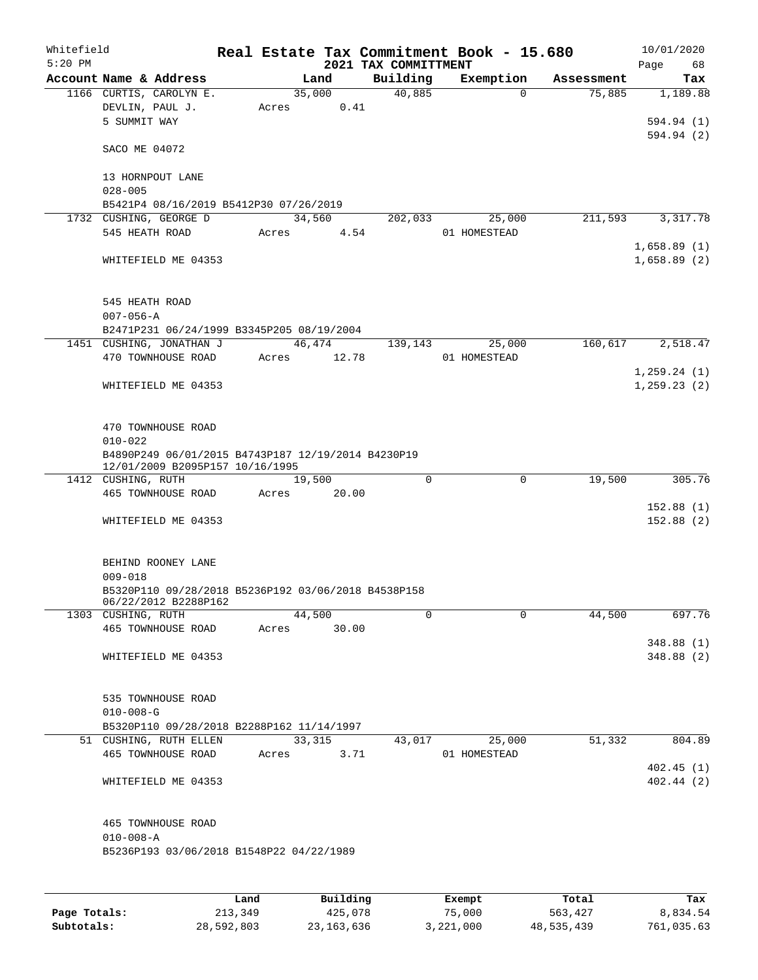| Whitefield<br>$5:20$ PM |                                                                                       |       |        | 2021 TAX COMMITTMENT | Real Estate Tax Commitment Book - 15.680 |            | 10/01/2020<br>Page<br>68 |
|-------------------------|---------------------------------------------------------------------------------------|-------|--------|----------------------|------------------------------------------|------------|--------------------------|
|                         | Account Name & Address                                                                |       | Land   | Building             | Exemption                                | Assessment | Tax                      |
|                         | 1166 CURTIS, CAROLYN E.                                                               |       | 35,000 | 40,885               | $\Omega$                                 | 75,885     | 1,189.88                 |
|                         | DEVLIN, PAUL J.                                                                       | Acres | 0.41   |                      |                                          |            |                          |
|                         | 5 SUMMIT WAY                                                                          |       |        |                      |                                          |            | 594.94 (1)               |
|                         | SACO ME 04072                                                                         |       |        |                      |                                          |            | 594.94 (2)               |
|                         | 13 HORNPOUT LANE                                                                      |       |        |                      |                                          |            |                          |
|                         | $028 - 005$                                                                           |       |        |                      |                                          |            |                          |
|                         | B5421P4 08/16/2019 B5412P30 07/26/2019<br>1732 CUSHING, GEORGE D                      |       | 34,560 | 202,033              | 25,000                                   | 211,593    | 3,317.78                 |
|                         | 545 HEATH ROAD                                                                        | Acres |        | 4.54                 | 01 HOMESTEAD                             |            |                          |
|                         |                                                                                       |       |        |                      |                                          |            | 1,658.89(1)              |
|                         | WHITEFIELD ME 04353                                                                   |       |        |                      |                                          |            | 1,658.89(2)              |
|                         | 545 HEATH ROAD                                                                        |       |        |                      |                                          |            |                          |
|                         | $007 - 056 - A$<br>B2471P231 06/24/1999 B3345P205 08/19/2004                          |       |        |                      |                                          |            |                          |
|                         | 1451 CUSHING, JONATHAN J                                                              |       | 46,474 |                      | 25,000<br>139,143                        | 160,617    | 2,518.47                 |
|                         | 470 TOWNHOUSE ROAD                                                                    | Acres | 12.78  |                      | 01 HOMESTEAD                             |            |                          |
|                         |                                                                                       |       |        |                      |                                          |            | 1, 259.24(1)             |
|                         | WHITEFIELD ME 04353                                                                   |       |        |                      |                                          |            | 1, 259.23(2)             |
|                         |                                                                                       |       |        |                      |                                          |            |                          |
|                         | 470 TOWNHOUSE ROAD                                                                    |       |        |                      |                                          |            |                          |
|                         | $010 - 022$                                                                           |       |        |                      |                                          |            |                          |
|                         | B4890P249 06/01/2015 B4743P187 12/19/2014 B4230P19<br>12/01/2009 B2095P157 10/16/1995 |       |        |                      |                                          |            |                          |
|                         | 1412 CUSHING, RUTH                                                                    |       | 19,500 | $\Omega$             | $\mathbf 0$                              | 19,500     | 305.76                   |
|                         | 465 TOWNHOUSE ROAD                                                                    | Acres | 20.00  |                      |                                          |            |                          |
|                         |                                                                                       |       |        |                      |                                          |            | 152.88(1)                |
|                         | WHITEFIELD ME 04353                                                                   |       |        |                      |                                          |            | 152.88(2)                |
|                         |                                                                                       |       |        |                      |                                          |            |                          |
|                         | BEHIND ROONEY LANE                                                                    |       |        |                      |                                          |            |                          |
|                         | $009 - 018$<br>B5320P110 09/28/2018 B5236P192 03/06/2018 B4538P158                    |       |        |                      |                                          |            |                          |
|                         | 06/22/2012 B2288P162                                                                  |       |        |                      |                                          |            |                          |
|                         | 1303 CUSHING, RUTH                                                                    |       | 44,500 | $\Omega$             | $\Omega$                                 | 44,500     | 697.76                   |
|                         | 465 TOWNHOUSE ROAD                                                                    | Acres | 30.00  |                      |                                          |            |                          |
|                         |                                                                                       |       |        |                      |                                          |            | 348.88 (1)               |
|                         | WHITEFIELD ME 04353                                                                   |       |        |                      |                                          |            | 348.88 (2)               |
|                         | 535 TOWNHOUSE ROAD                                                                    |       |        |                      |                                          |            |                          |
|                         | $010 - 008 - G$                                                                       |       |        |                      |                                          |            |                          |
|                         | B5320P110 09/28/2018 B2288P162 11/14/1997                                             |       |        |                      |                                          |            |                          |
|                         | 51 CUSHING, RUTH ELLEN                                                                |       | 33,315 | 43,017               | 25,000                                   | 51,332     | 804.89                   |
|                         | 465 TOWNHOUSE ROAD                                                                    | Acres | 3.71   |                      | 01 HOMESTEAD                             |            |                          |
|                         |                                                                                       |       |        |                      |                                          |            | 402.45(1)                |
|                         | WHITEFIELD ME 04353                                                                   |       |        |                      |                                          |            | 402.44(2)                |
|                         | 465 TOWNHOUSE ROAD                                                                    |       |        |                      |                                          |            |                          |
|                         | $010 - 008 - A$                                                                       |       |        |                      |                                          |            |                          |
|                         | B5236P193 03/06/2018 B1548P22 04/22/1989                                              |       |        |                      |                                          |            |                          |
|                         |                                                                                       |       |        |                      |                                          |            |                          |
|                         |                                                                                       |       |        |                      |                                          |            |                          |
|                         |                                                                                       |       |        |                      |                                          |            |                          |

|              | Land       | Building     | Exempt    | Total      | Tax        |
|--------------|------------|--------------|-----------|------------|------------|
| Page Totals: | 213,349    | 425,078      | 75,000    | 563,427    | 8,834.54   |
| Subtotals:   | 28,592,803 | 23, 163, 636 | 3,221,000 | 48,535,439 | 761,035.63 |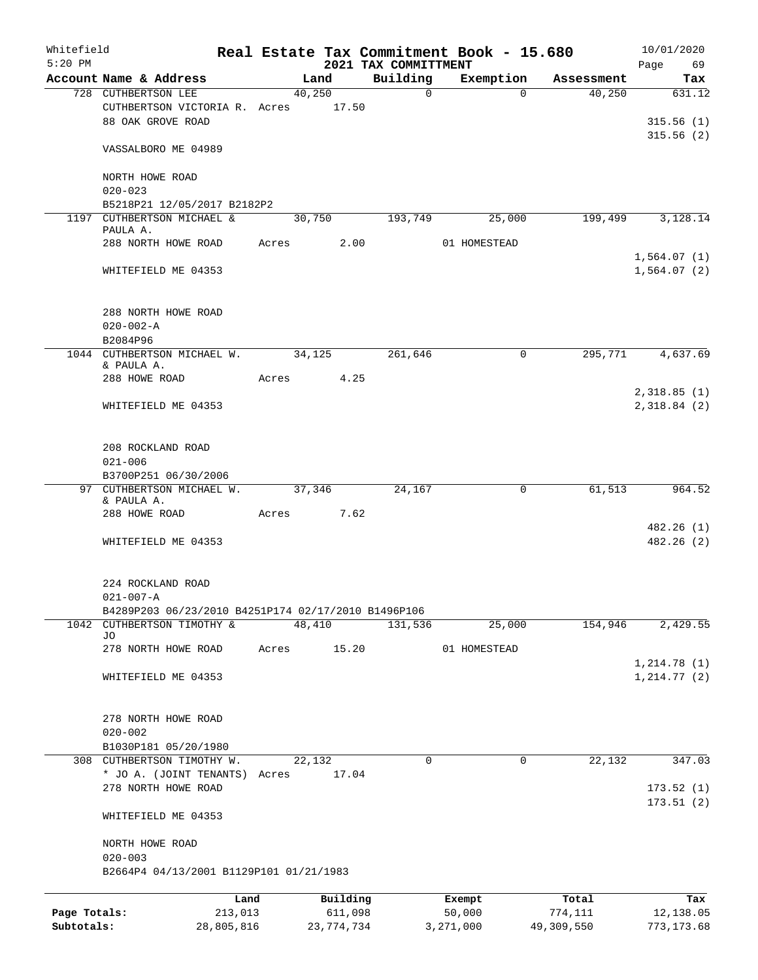| Whitefield<br>$5:20$ PM |                                                      |            |       |        |            | 2021 TAX COMMITTMENT | Real Estate Tax Commitment Book - 15.680 |             |            | Page | 10/01/2020<br>69             |
|-------------------------|------------------------------------------------------|------------|-------|--------|------------|----------------------|------------------------------------------|-------------|------------|------|------------------------------|
|                         | Account Name & Address                               |            |       | Land   |            | Building             | Exemption                                |             | Assessment |      | Tax                          |
|                         | 728 CUTHBERTSON LEE                                  |            |       | 40,250 |            | $\mathsf{O}$         |                                          | $\Omega$    | 40,250     |      | 631.12                       |
|                         | CUTHBERTSON VICTORIA R. Acres<br>88 OAK GROVE ROAD   |            |       |        | 17.50      |                      |                                          |             |            |      | 315.56(1)<br>315.56(2)       |
|                         | VASSALBORO ME 04989                                  |            |       |        |            |                      |                                          |             |            |      |                              |
|                         | NORTH HOWE ROAD<br>$020 - 023$                       |            |       |        |            |                      |                                          |             |            |      |                              |
|                         | B5218P21 12/05/2017 B2182P2                          |            |       |        |            |                      |                                          |             |            |      |                              |
|                         | 1197 CUTHBERTSON MICHAEL &<br>PAULA A.               |            |       | 30,750 |            | 193,749              | 25,000                                   |             | 199,499    |      | 3,128.14                     |
|                         | 288 NORTH HOWE ROAD                                  |            | Acres |        | 2.00       |                      | 01 HOMESTEAD                             |             |            |      | 1,564.07(1)                  |
|                         | WHITEFIELD ME 04353                                  |            |       |        |            |                      |                                          |             |            |      | 1,564.07(2)                  |
|                         | 288 NORTH HOWE ROAD<br>$020 - 002 - A$<br>B2084P96   |            |       |        |            |                      |                                          |             |            |      |                              |
|                         | 1044 CUTHBERTSON MICHAEL W.                          |            |       | 34,125 |            | 261,646              |                                          | 0           | 295,771    |      | 4,637.69                     |
|                         | & PAULA A.                                           |            |       |        |            |                      |                                          |             |            |      |                              |
|                         | 288 HOWE ROAD                                        |            | Acres |        | 4.25       |                      |                                          |             |            |      |                              |
|                         | WHITEFIELD ME 04353                                  |            |       |        |            |                      |                                          |             |            |      | 2,318.85(1)<br>2,318.84 (2)  |
|                         | 208 ROCKLAND ROAD<br>$021 - 006$                     |            |       |        |            |                      |                                          |             |            |      |                              |
|                         | B3700P251 06/30/2006                                 |            |       |        |            |                      |                                          |             |            |      |                              |
|                         | 97 CUTHBERTSON MICHAEL W. 37,346<br>& PAULA A.       |            |       |        |            | 24,167               |                                          | $\mathbf 0$ | 61,513     |      | 964.52                       |
|                         | 288 HOWE ROAD                                        |            | Acres |        | 7.62       |                      |                                          |             |            |      | 482.26(1)                    |
|                         | WHITEFIELD ME 04353                                  |            |       |        |            |                      |                                          |             |            |      | 482.26 (2)                   |
|                         | 224 ROCKLAND ROAD<br>$021 - 007 - A$                 |            |       |        |            |                      |                                          |             |            |      |                              |
|                         | B4289P203 06/23/2010 B4251P174 02/17/2010 B1496P106  |            |       |        |            |                      |                                          |             |            |      |                              |
| 1042                    | CUTHBERTSON TIMOTHY &<br>JО                          |            |       | 48,410 |            | 131,536              | 25,000                                   |             | 154,946    |      | 2,429.55                     |
|                         | 278 NORTH HOWE ROAD                                  |            | Acres |        | 15.20      |                      | 01 HOMESTEAD                             |             |            |      |                              |
|                         | WHITEFIELD ME 04353                                  |            |       |        |            |                      |                                          |             |            |      | 1, 214.78(1)<br>1, 214.77(2) |
|                         | 278 NORTH HOWE ROAD<br>$020 - 002$                   |            |       |        |            |                      |                                          |             |            |      |                              |
|                         | B1030P181 05/20/1980                                 |            |       |        |            |                      |                                          |             |            |      |                              |
|                         | 308 CUTHBERTSON TIMOTHY W.                           |            |       | 22,132 |            | 0                    |                                          | 0           | 22,132     |      | 347.03                       |
|                         | * JO A. (JOINT TENANTS) Acres<br>278 NORTH HOWE ROAD |            |       |        | 17.04      |                      |                                          |             |            |      | 173.52(1)                    |
|                         | WHITEFIELD ME 04353                                  |            |       |        |            |                      |                                          |             |            |      | 173.51(2)                    |
|                         | NORTH HOWE ROAD<br>$020 - 003$                       |            |       |        |            |                      |                                          |             |            |      |                              |
|                         | B2664P4 04/13/2001 B1129P101 01/21/1983              |            |       |        |            |                      |                                          |             |            |      |                              |
|                         |                                                      | Land       |       |        | Building   |                      | Exempt                                   |             | Total      |      | Tax                          |
| Page Totals:            |                                                      | 213,013    |       |        | 611,098    |                      | 50,000                                   |             | 774,111    |      | 12,138.05                    |
| Subtotals:              |                                                      | 28,805,816 |       |        | 23,774,734 |                      | 3,271,000                                |             | 49,309,550 |      | 773, 173.68                  |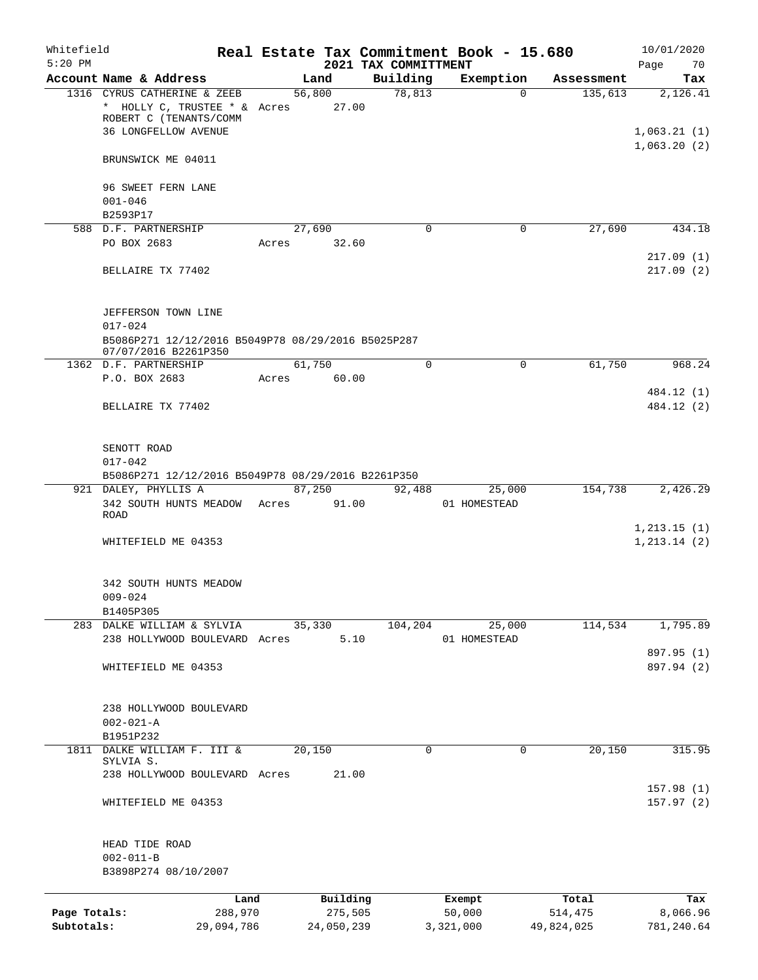| Whitefield<br>$5:20$ PM |                                                    |            |             |            | Real Estate Tax Commitment Book - 15.680<br>2021 TAX COMMITTMENT |           |              |            | 10/01/2020<br>Page<br>70 |
|-------------------------|----------------------------------------------------|------------|-------------|------------|------------------------------------------------------------------|-----------|--------------|------------|--------------------------|
|                         | Account Name & Address                             |            |             | Land       | Building                                                         |           | Exemption    | Assessment | Tax                      |
|                         | 1316 CYRUS CATHERINE & ZEEB                        |            |             | 56,800     | 78,813                                                           |           | $\Omega$     | 135,613    | 2,126.41                 |
|                         | * HOLLY C, TRUSTEE * & Acres 27.00                 |            |             |            |                                                                  |           |              |            |                          |
|                         | ROBERT C (TENANTS/COMM                             |            |             |            |                                                                  |           |              |            |                          |
|                         | <b>36 LONGFELLOW AVENUE</b>                        |            |             |            |                                                                  |           |              |            | 1,063.21(1)              |
|                         |                                                    |            |             |            |                                                                  |           |              |            | 1,063.20(2)              |
|                         | BRUNSWICK ME 04011                                 |            |             |            |                                                                  |           |              |            |                          |
|                         |                                                    |            |             |            |                                                                  |           |              |            |                          |
|                         | 96 SWEET FERN LANE                                 |            |             |            |                                                                  |           |              |            |                          |
|                         | $001 - 046$                                        |            |             |            |                                                                  |           |              |            |                          |
|                         | B2593P17<br>588 D.F. PARTNERSHIP                   |            |             | 27,690     |                                                                  | $\Omega$  | 0            | 27,690     | 434.18                   |
|                         | PO BOX 2683                                        |            | Acres       | 32.60      |                                                                  |           |              |            |                          |
|                         |                                                    |            |             |            |                                                                  |           |              |            | 217.09(1)                |
|                         | BELLAIRE TX 77402                                  |            |             |            |                                                                  |           |              |            | 217.09(2)                |
|                         |                                                    |            |             |            |                                                                  |           |              |            |                          |
|                         |                                                    |            |             |            |                                                                  |           |              |            |                          |
|                         | JEFFERSON TOWN LINE                                |            |             |            |                                                                  |           |              |            |                          |
|                         | $017 - 024$                                        |            |             |            |                                                                  |           |              |            |                          |
|                         | B5086P271 12/12/2016 B5049P78 08/29/2016 B5025P287 |            |             |            |                                                                  |           |              |            |                          |
|                         | 07/07/2016 B2261P350                               |            |             |            |                                                                  |           |              |            |                          |
|                         | 1362 D.F. PARTNERSHIP                              |            |             | 61,750     |                                                                  | $\Omega$  | $\mathbf 0$  | 61,750     | 968.24                   |
|                         | P.O. BOX 2683                                      |            | Acres       | 60.00      |                                                                  |           |              |            |                          |
|                         |                                                    |            |             |            |                                                                  |           |              |            | 484.12 (1)               |
|                         | BELLAIRE TX 77402                                  |            |             |            |                                                                  |           |              |            | 484.12 (2)               |
|                         |                                                    |            |             |            |                                                                  |           |              |            |                          |
|                         | SENOTT ROAD                                        |            |             |            |                                                                  |           |              |            |                          |
|                         | $017 - 042$                                        |            |             |            |                                                                  |           |              |            |                          |
|                         | B5086P271 12/12/2016 B5049P78 08/29/2016 B2261P350 |            |             |            |                                                                  |           |              |            |                          |
|                         | 921 DALEY, PHYLLIS A                               |            |             | 87,250     | 92,488                                                           |           | 25,000       | 154,738    | 2,426.29                 |
|                         | 342 SOUTH HUNTS MEADOW                             |            | Acres 91.00 |            |                                                                  |           | 01 HOMESTEAD |            |                          |
|                         | <b>ROAD</b>                                        |            |             |            |                                                                  |           |              |            |                          |
|                         |                                                    |            |             |            |                                                                  |           |              |            | 1, 213.15(1)             |
|                         | WHITEFIELD ME 04353                                |            |             |            |                                                                  |           |              |            | 1, 213.14 (2)            |
|                         |                                                    |            |             |            |                                                                  |           |              |            |                          |
|                         |                                                    |            |             |            |                                                                  |           |              |            |                          |
|                         | 342 SOUTH HUNTS MEADOW                             |            |             |            |                                                                  |           |              |            |                          |
|                         | $009 - 024$                                        |            |             |            |                                                                  |           |              |            |                          |
|                         | B1405P305<br>283 DALKE WILLIAM & SYLVIA            |            |             | 35,330     | 104,204                                                          |           | 25,000       | 114,534    | 1,795.89                 |
|                         | 238 HOLLYWOOD BOULEVARD Acres                      |            |             | 5.10       |                                                                  |           | 01 HOMESTEAD |            |                          |
|                         |                                                    |            |             |            |                                                                  |           |              |            | 897.95 (1)               |
|                         | WHITEFIELD ME 04353                                |            |             |            |                                                                  |           |              |            | 897.94 (2)               |
|                         |                                                    |            |             |            |                                                                  |           |              |            |                          |
|                         |                                                    |            |             |            |                                                                  |           |              |            |                          |
|                         | 238 HOLLYWOOD BOULEVARD                            |            |             |            |                                                                  |           |              |            |                          |
|                         | $002 - 021 - A$                                    |            |             |            |                                                                  |           |              |            |                          |
|                         | B1951P232                                          |            |             |            |                                                                  |           |              |            |                          |
|                         | 1811 DALKE WILLIAM F. III &                        |            |             | 20,150     |                                                                  | 0         | 0            | 20,150     | 315.95                   |
|                         | SYLVIA S.                                          |            |             |            |                                                                  |           |              |            |                          |
|                         | 238 HOLLYWOOD BOULEVARD Acres                      |            |             | 21.00      |                                                                  |           |              |            |                          |
|                         |                                                    |            |             |            |                                                                  |           |              |            | 157.98(1)                |
|                         | WHITEFIELD ME 04353                                |            |             |            |                                                                  |           |              |            | 157.97(2)                |
|                         |                                                    |            |             |            |                                                                  |           |              |            |                          |
|                         | HEAD TIDE ROAD                                     |            |             |            |                                                                  |           |              |            |                          |
|                         | $002 - 011 - B$                                    |            |             |            |                                                                  |           |              |            |                          |
|                         | B3898P274 08/10/2007                               |            |             |            |                                                                  |           |              |            |                          |
|                         |                                                    |            |             |            |                                                                  |           |              |            |                          |
|                         |                                                    | Land       |             | Building   |                                                                  | Exempt    |              | Total      | Tax                      |
| Page Totals:            |                                                    | 288,970    |             | 275,505    |                                                                  | 50,000    |              | 514,475    | 8,066.96                 |
| Subtotals:              |                                                    | 29,094,786 |             | 24,050,239 |                                                                  | 3,321,000 |              | 49,824,025 | 781,240.64               |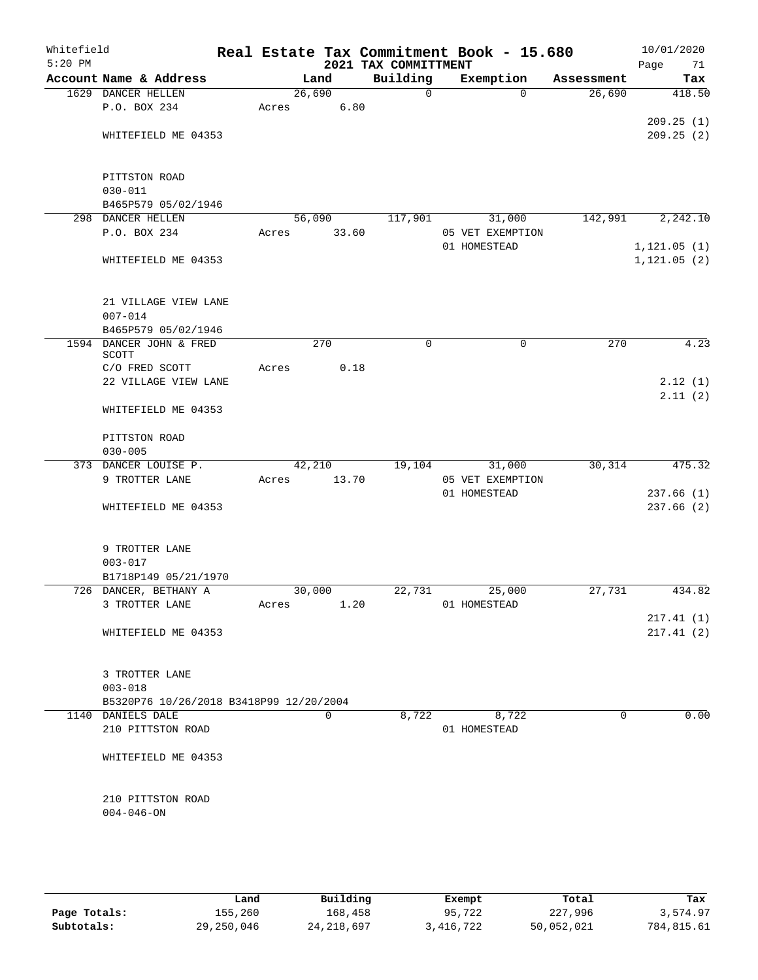| Whitefield<br>$5:20$ PM |                                         |       |          |       | 2021 TAX COMMITTMENT | Real Estate Tax Commitment Book - 15.680 |            | 10/01/2020<br>Page<br>71     |
|-------------------------|-----------------------------------------|-------|----------|-------|----------------------|------------------------------------------|------------|------------------------------|
|                         | Account Name & Address                  |       | Land     |       | Building             | Exemption                                | Assessment | Tax                          |
|                         | 1629 DANCER HELLEN                      |       | 26,690   |       | $\mathbf 0$          | $\Omega$                                 | 26,690     | 418.50                       |
|                         | P.O. BOX 234                            | Acres |          | 6.80  |                      |                                          |            |                              |
|                         |                                         |       |          |       |                      |                                          |            | 209.25(1)                    |
|                         | WHITEFIELD ME 04353                     |       |          |       |                      |                                          |            | 209.25(2)                    |
|                         | PITTSTON ROAD                           |       |          |       |                      |                                          |            |                              |
|                         | $030 - 011$                             |       |          |       |                      |                                          |            |                              |
|                         | B465P579 05/02/1946                     |       |          |       |                      |                                          |            |                              |
|                         | 298 DANCER HELLEN                       |       | 56,090   |       | 117,901              | 31,000                                   | 142,991    | 2,242.10                     |
|                         | P.O. BOX 234                            | Acres |          | 33.60 |                      | 05 VET EXEMPTION                         |            |                              |
|                         | WHITEFIELD ME 04353                     |       |          |       |                      | 01 HOMESTEAD                             |            | 1, 121.05(1)<br>1, 121.05(2) |
|                         |                                         |       |          |       |                      |                                          |            |                              |
|                         | 21 VILLAGE VIEW LANE<br>$007 - 014$     |       |          |       |                      |                                          |            |                              |
|                         | B465P579 05/02/1946                     |       |          |       |                      |                                          |            |                              |
|                         | 1594 DANCER JOHN & FRED<br>SCOTT        |       | 270      |       | $\mathbf 0$          | $\mathbf 0$                              | 270        | 4.23                         |
|                         | C/O FRED SCOTT                          | Acres |          | 0.18  |                      |                                          |            |                              |
|                         | 22 VILLAGE VIEW LANE                    |       |          |       |                      |                                          |            | 2.12(1)                      |
|                         | WHITEFIELD ME 04353                     |       |          |       |                      |                                          |            | 2.11(2)                      |
|                         | PITTSTON ROAD                           |       |          |       |                      |                                          |            |                              |
|                         | $030 - 005$<br>373 DANCER LOUISE P.     |       |          |       |                      |                                          |            | 475.32                       |
|                         | 9 TROTTER LANE                          | Acres | 42,210   | 13.70 | 19,104               | 31,000<br>05 VET EXEMPTION               | 30,314     |                              |
|                         |                                         |       |          |       |                      | 01 HOMESTEAD                             |            | 237.66(1)                    |
|                         | WHITEFIELD ME 04353                     |       |          |       |                      |                                          |            | 237.66(2)                    |
|                         | 9 TROTTER LANE                          |       |          |       |                      |                                          |            |                              |
|                         | $003 - 017$                             |       |          |       |                      |                                          |            |                              |
|                         | B1718P149 05/21/1970                    |       |          |       |                      |                                          |            |                              |
|                         | 726 DANCER, BETHANY A                   |       | 30,000   |       | 22,731               | 25,000                                   | 27,731     | 434.82                       |
|                         | 3 TROTTER LANE                          | Acres |          | 1.20  |                      | 01 HOMESTEAD                             |            |                              |
|                         |                                         |       |          |       |                      |                                          |            | 217.41(1)                    |
|                         | WHITEFIELD ME 04353                     |       |          |       |                      |                                          |            | 217.41(2)                    |
|                         | 3 TROTTER LANE                          |       |          |       |                      |                                          |            |                              |
|                         | $003 - 018$                             |       |          |       |                      |                                          |            |                              |
|                         | B5320P76 10/26/2018 B3418P99 12/20/2004 |       |          |       |                      |                                          |            |                              |
|                         | 1140 DANIELS DALE                       |       | $\Omega$ |       | 8,722                | 8,722                                    | $\Omega$   | 0.00                         |
|                         | 210 PITTSTON ROAD                       |       |          |       |                      | 01 HOMESTEAD                             |            |                              |
|                         | WHITEFIELD ME 04353                     |       |          |       |                      |                                          |            |                              |
|                         | 210 PITTSTON ROAD                       |       |          |       |                      |                                          |            |                              |
|                         | $004 - 046 - ON$                        |       |          |       |                      |                                          |            |                              |
|                         |                                         |       |          |       |                      |                                          |            |                              |

|              | Land       | Building     | Exempt    | Total      | Tax        |
|--------------|------------|--------------|-----------|------------|------------|
| Page Totals: | 155,260    | 168,458      | 95,722    | 227,996    | 3,574.97   |
| Subtotals:   | 29,250,046 | 24, 218, 697 | 3,416,722 | 50,052,021 | 784,815.61 |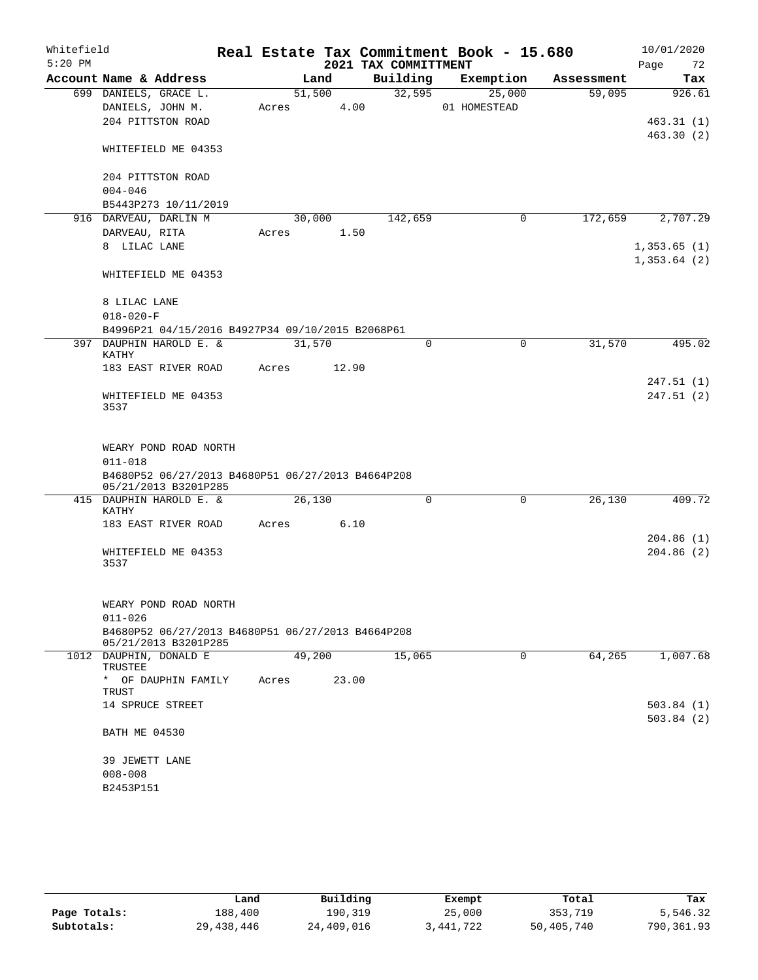| Whitefield |                                                                                                                   |        |       |      |                      | Real Estate Tax Commitment Book - 15.680 |            |      | 10/01/2020  |
|------------|-------------------------------------------------------------------------------------------------------------------|--------|-------|------|----------------------|------------------------------------------|------------|------|-------------|
| $5:20$ PM  |                                                                                                                   |        |       |      | 2021 TAX COMMITTMENT |                                          |            | Page | 72          |
|            | Account Name & Address                                                                                            |        | Land  |      | Building             | Exemption                                | Assessment |      | Tax         |
|            | 699 DANIELS, GRACE L.                                                                                             | 51,500 |       |      | 32,595               | 25,000                                   | 59,095     |      | 926.61      |
|            | DANIELS, JOHN M.                                                                                                  | Acres  |       | 4.00 |                      | 01 HOMESTEAD                             |            |      |             |
|            | 204 PITTSTON ROAD                                                                                                 |        |       |      |                      |                                          |            |      | 463.31(1)   |
|            | WHITEFIELD ME 04353                                                                                               |        |       |      |                      |                                          |            |      | 463.30(2)   |
|            | 204 PITTSTON ROAD                                                                                                 |        |       |      |                      |                                          |            |      |             |
|            | $004 - 046$                                                                                                       |        |       |      |                      |                                          |            |      |             |
|            | B5443P273 10/11/2019                                                                                              |        |       |      |                      |                                          |            |      |             |
|            | 916 DARVEAU, DARLIN M                                                                                             | 30,000 |       |      | 142,659              | $\mathbf 0$                              | 172,659    |      | 2,707.29    |
|            | DARVEAU, RITA                                                                                                     | Acres  |       | 1.50 |                      |                                          |            |      |             |
|            | 8 LILAC LANE                                                                                                      |        |       |      |                      |                                          |            |      | 1,353.65(1) |
|            | WHITEFIELD ME 04353                                                                                               |        |       |      |                      |                                          |            |      | 1,353.64(2) |
|            | 8 LILAC LANE                                                                                                      |        |       |      |                      |                                          |            |      |             |
|            | $018 - 020 - F$                                                                                                   |        |       |      |                      |                                          |            |      |             |
|            | B4996P21 04/15/2016 B4927P34 09/10/2015 B2068P61                                                                  |        |       |      |                      |                                          |            |      |             |
|            | 397 DAUPHIN HAROLD E. &<br>KATHY                                                                                  | 31,570 |       |      | $\mathbf 0$          | $\mathbf 0$                              | 31,570     |      | 495.02      |
|            | 183 EAST RIVER ROAD                                                                                               | Acres  | 12.90 |      |                      |                                          |            |      |             |
|            |                                                                                                                   |        |       |      |                      |                                          |            |      | 247.51 (1)  |
|            | WHITEFIELD ME 04353<br>3537                                                                                       |        |       |      |                      |                                          |            |      | 247.51 (2)  |
|            | WEARY POND ROAD NORTH<br>$011 - 018$<br>B4680P52 06/27/2013 B4680P51 06/27/2013 B4664P208<br>05/21/2013 B3201P285 |        |       |      |                      |                                          |            |      |             |
|            | 415 DAUPHIN HAROLD E. &<br>KATHY                                                                                  | 26,130 |       |      | 0                    | 0                                        | 26,130     |      | 409.72      |
|            | 183 EAST RIVER ROAD                                                                                               | Acres  |       | 6.10 |                      |                                          |            |      |             |
|            |                                                                                                                   |        |       |      |                      |                                          |            |      | 204.86(1)   |
|            | WHITEFIELD ME 04353<br>3537                                                                                       |        |       |      |                      |                                          |            |      | 204.86(2)   |
|            |                                                                                                                   |        |       |      |                      |                                          |            |      |             |
|            | WEARY POND ROAD NORTH                                                                                             |        |       |      |                      |                                          |            |      |             |
|            | $011 - 026$                                                                                                       |        |       |      |                      |                                          |            |      |             |
|            | B4680P52 06/27/2013 B4680P51 06/27/2013 B4664P208<br>05/21/2013 B3201P285                                         |        |       |      |                      |                                          |            |      |             |
|            | 1012 DAUPHIN, DONALD E                                                                                            | 49,200 |       |      | 15,065               | 0                                        | 64,265     |      | 1,007.68    |
|            | TRUSTEE<br>* OF DAUPHIN FAMILY                                                                                    | Acres  | 23.00 |      |                      |                                          |            |      |             |
|            | TRUST<br>14 SPRUCE STREET                                                                                         |        |       |      |                      |                                          |            |      | 503.84 (1)  |
|            |                                                                                                                   |        |       |      |                      |                                          |            |      | 503.84(2)   |
|            | <b>BATH ME 04530</b>                                                                                              |        |       |      |                      |                                          |            |      |             |
|            | 39 JEWETT LANE                                                                                                    |        |       |      |                      |                                          |            |      |             |
|            | $008 - 008$                                                                                                       |        |       |      |                      |                                          |            |      |             |
|            | B2453P151                                                                                                         |        |       |      |                      |                                          |            |      |             |
|            |                                                                                                                   |        |       |      |                      |                                          |            |      |             |

|              | Land         | Building   | Exempt    | Total      | Tax        |
|--------------|--------------|------------|-----------|------------|------------|
| Page Totals: | 188,400      | 190,319    | 25,000    | 353,719    | 5,546.32   |
| Subtotals:   | 29, 438, 446 | 24,409,016 | 3,441,722 | 50,405,740 | 790,361.93 |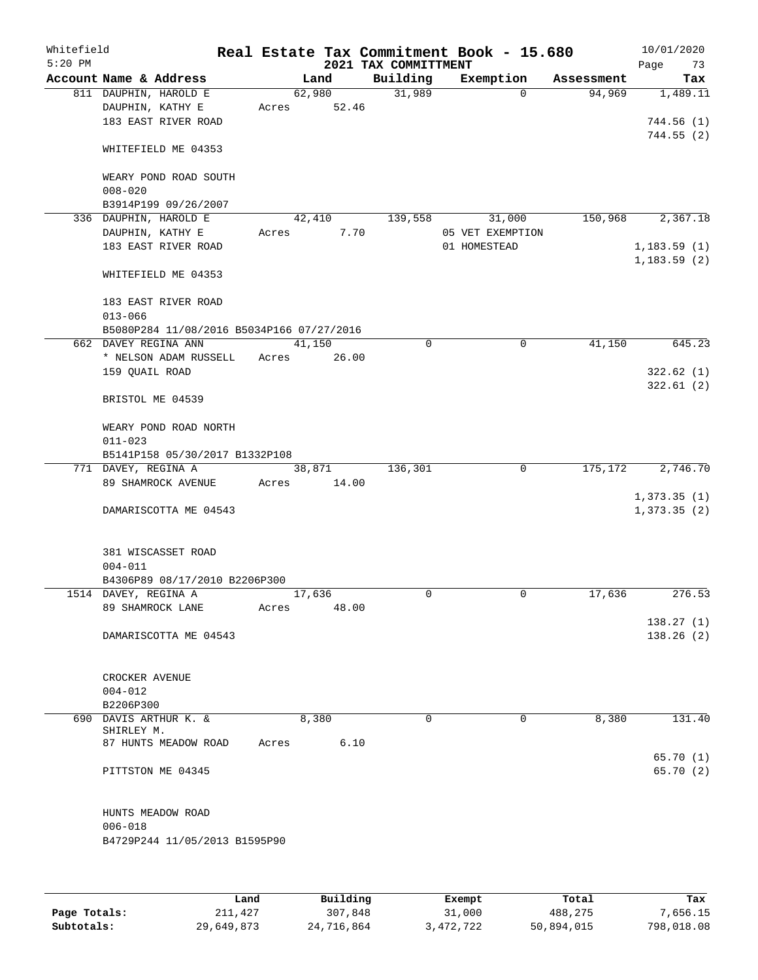| Whitefield<br>$5:20$ PM |                      |                                                                   |       |        |      | Real Estate Tax Commitment Book - 15.680<br>2021 TAX COMMITTMENT |                  |            | 10/01/2020<br>Page | 73 |
|-------------------------|----------------------|-------------------------------------------------------------------|-------|--------|------|------------------------------------------------------------------|------------------|------------|--------------------|----|
|                         |                      | Account Name & Address                                            |       | Land   |      | Building                                                         | Exemption        | Assessment | Tax                |    |
|                         |                      | 811 DAUPHIN, HAROLD E                                             |       | 62,980 |      | 31,989                                                           | $\Omega$         | 94,969     | 1,489.11           |    |
|                         |                      | DAUPHIN, KATHY E                                                  | Acres | 52.46  |      |                                                                  |                  |            |                    |    |
|                         |                      | 183 EAST RIVER ROAD                                               |       |        |      |                                                                  |                  |            | 744.56(1)          |    |
|                         |                      |                                                                   |       |        |      |                                                                  |                  |            | 744.55(2)          |    |
|                         |                      | WHITEFIELD ME 04353                                               |       |        |      |                                                                  |                  |            |                    |    |
|                         |                      |                                                                   |       |        |      |                                                                  |                  |            |                    |    |
|                         |                      | WEARY POND ROAD SOUTH                                             |       |        |      |                                                                  |                  |            |                    |    |
|                         | $008 - 020$          |                                                                   |       |        |      |                                                                  |                  |            |                    |    |
|                         |                      | B3914P199 09/26/2007                                              |       |        |      |                                                                  |                  |            |                    |    |
|                         |                      | 336 DAUPHIN, HAROLD E                                             |       | 42,410 |      | 139,558                                                          | 31,000           | 150,968    | 2,367.18           |    |
|                         |                      | DAUPHIN, KATHY E                                                  | Acres |        | 7.70 |                                                                  | 05 VET EXEMPTION |            |                    |    |
|                         |                      | 183 EAST RIVER ROAD                                               |       |        |      |                                                                  | 01 HOMESTEAD     |            | 1,183.59(1)        |    |
|                         |                      |                                                                   |       |        |      |                                                                  |                  |            | 1, 183.59(2)       |    |
|                         |                      | WHITEFIELD ME 04353                                               |       |        |      |                                                                  |                  |            |                    |    |
|                         |                      |                                                                   |       |        |      |                                                                  |                  |            |                    |    |
|                         |                      | 183 EAST RIVER ROAD                                               |       |        |      |                                                                  |                  |            |                    |    |
|                         | $013 - 066$          |                                                                   |       |        |      |                                                                  |                  |            |                    |    |
|                         |                      | B5080P284 11/08/2016 B5034P166 07/27/2016<br>662 DAVEY REGINA ANN |       | 41,150 |      | 0                                                                | 0                | 41,150     | 645.23             |    |
|                         |                      | * NELSON ADAM RUSSELL                                             |       |        |      |                                                                  |                  |            |                    |    |
|                         |                      |                                                                   | Acres | 26.00  |      |                                                                  |                  |            |                    |    |
|                         | 159 QUAIL ROAD       |                                                                   |       |        |      |                                                                  |                  |            | 322.62(1)          |    |
|                         |                      | BRISTOL ME 04539                                                  |       |        |      |                                                                  |                  |            | 322.61(2)          |    |
|                         |                      |                                                                   |       |        |      |                                                                  |                  |            |                    |    |
|                         |                      | WEARY POND ROAD NORTH                                             |       |        |      |                                                                  |                  |            |                    |    |
|                         | $011 - 023$          |                                                                   |       |        |      |                                                                  |                  |            |                    |    |
|                         |                      | B5141P158 05/30/2017 B1332P108                                    |       |        |      |                                                                  |                  |            |                    |    |
|                         | 771 DAVEY, REGINA A  |                                                                   |       | 38,871 |      | 136,301                                                          | $\mathbf 0$      | 175,172    | 2,746.70           |    |
|                         |                      | 89 SHAMROCK AVENUE                                                | Acres | 14.00  |      |                                                                  |                  |            |                    |    |
|                         |                      |                                                                   |       |        |      |                                                                  |                  |            | 1,373.35(1)        |    |
|                         |                      | DAMARISCOTTA ME 04543                                             |       |        |      |                                                                  |                  |            | 1,373.35(2)        |    |
|                         |                      |                                                                   |       |        |      |                                                                  |                  |            |                    |    |
|                         |                      |                                                                   |       |        |      |                                                                  |                  |            |                    |    |
|                         |                      | 381 WISCASSET ROAD                                                |       |        |      |                                                                  |                  |            |                    |    |
|                         | $004 - 011$          |                                                                   |       |        |      |                                                                  |                  |            |                    |    |
|                         |                      | B4306P89 08/17/2010 B2206P300                                     |       |        |      |                                                                  |                  |            |                    |    |
|                         | 1514 DAVEY, REGINA A |                                                                   |       | 17,636 |      | 0                                                                | 0                | 17,636     | 276.53             |    |
|                         |                      | 89 SHAMROCK LANE                                                  | Acres | 48.00  |      |                                                                  |                  |            |                    |    |
|                         |                      |                                                                   |       |        |      |                                                                  |                  |            | 138.27(1)          |    |
|                         |                      | DAMARISCOTTA ME 04543                                             |       |        |      |                                                                  |                  |            | 138.26(2)          |    |
|                         |                      |                                                                   |       |        |      |                                                                  |                  |            |                    |    |
|                         |                      |                                                                   |       |        |      |                                                                  |                  |            |                    |    |
|                         | CROCKER AVENUE       |                                                                   |       |        |      |                                                                  |                  |            |                    |    |
|                         | $004 - 012$          |                                                                   |       |        |      |                                                                  |                  |            |                    |    |
|                         | B2206P300            |                                                                   |       |        |      |                                                                  |                  |            |                    |    |
|                         |                      | 690 DAVIS ARTHUR K. &                                             |       | 8,380  |      | $\Omega$                                                         | $\Omega$         | 8,380      | 131.40             |    |
|                         | SHIRLEY M.           |                                                                   |       |        |      |                                                                  |                  |            |                    |    |
|                         |                      | 87 HUNTS MEADOW ROAD                                              | Acres |        | 6.10 |                                                                  |                  |            |                    |    |
|                         |                      |                                                                   |       |        |      |                                                                  |                  |            | 65.70 (1)          |    |
|                         |                      | PITTSTON ME 04345                                                 |       |        |      |                                                                  |                  |            | 65.70(2)           |    |
|                         |                      |                                                                   |       |        |      |                                                                  |                  |            |                    |    |
|                         |                      |                                                                   |       |        |      |                                                                  |                  |            |                    |    |
|                         |                      | HUNTS MEADOW ROAD                                                 |       |        |      |                                                                  |                  |            |                    |    |
|                         | $006 - 018$          |                                                                   |       |        |      |                                                                  |                  |            |                    |    |
|                         |                      | B4729P244 11/05/2013 B1595P90                                     |       |        |      |                                                                  |                  |            |                    |    |
|                         |                      |                                                                   |       |        |      |                                                                  |                  |            |                    |    |
|                         |                      |                                                                   |       |        |      |                                                                  |                  |            |                    |    |
|                         |                      |                                                                   |       |        |      |                                                                  |                  |            |                    |    |
|                         |                      |                                                                   |       |        |      |                                                                  |                  |            |                    |    |

|              | Land       | Building   | Exempt    | Total      | Tax        |
|--------------|------------|------------|-----------|------------|------------|
| Page Totals: | 211,427    | 307,848    | 31,000    | 488,275    | 7,656.15   |
| Subtotals:   | 29,649,873 | 24,716,864 | 3,472,722 | 50,894,015 | 798,018.08 |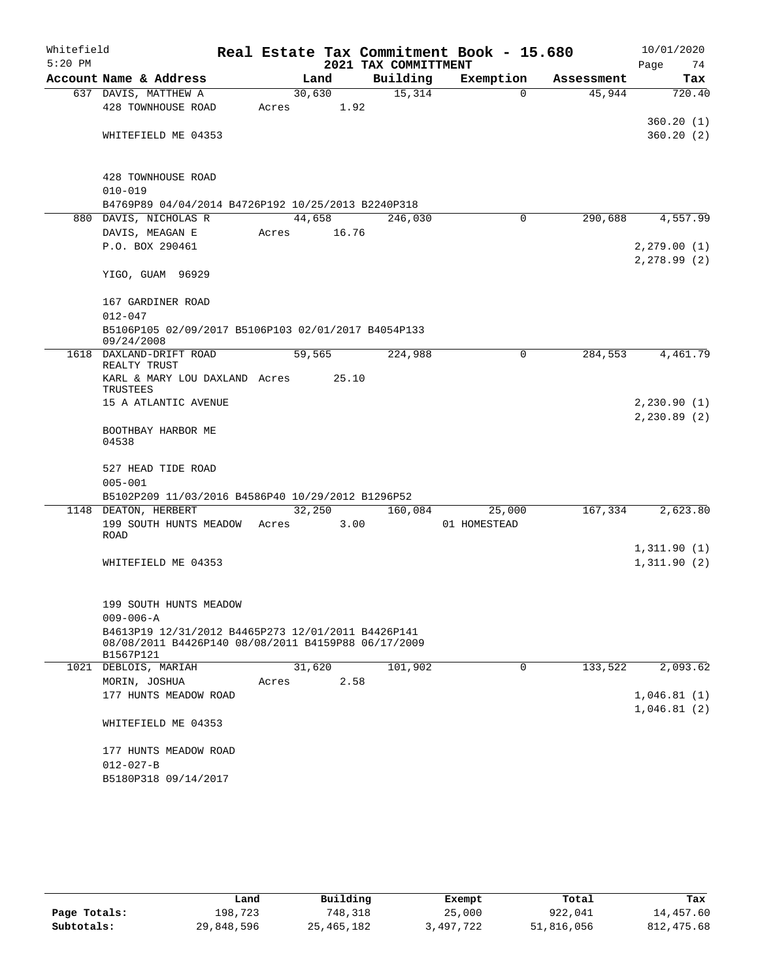| Whitefield |                                                                  |        |       |                      | Real Estate Tax Commitment Book - 15.680 |            | 10/01/2020   |
|------------|------------------------------------------------------------------|--------|-------|----------------------|------------------------------------------|------------|--------------|
| $5:20$ PM  |                                                                  |        |       | 2021 TAX COMMITTMENT |                                          |            | 74<br>Page   |
|            | Account Name & Address                                           |        | Land  | Building             | Exemption                                | Assessment | Tax          |
|            | 637 DAVIS, MATTHEW A                                             | 30,630 |       | 15,314               | $\Omega$                                 | 45,944     | 720.40       |
|            | 428 TOWNHOUSE ROAD                                               | Acres  | 1.92  |                      |                                          |            |              |
|            |                                                                  |        |       |                      |                                          |            | 360.20(1)    |
|            | WHITEFIELD ME 04353                                              |        |       |                      |                                          |            | 360.20(2)    |
|            |                                                                  |        |       |                      |                                          |            |              |
|            | 428 TOWNHOUSE ROAD                                               |        |       |                      |                                          |            |              |
|            | $010 - 019$                                                      |        |       |                      |                                          |            |              |
|            | B4769P89 04/04/2014 B4726P192 10/25/2013 B2240P318               |        |       |                      |                                          |            |              |
|            | 880 DAVIS, NICHOLAS R                                            | 44,658 |       | 246,030              | 0                                        | 290,688    | 4,557.99     |
|            | DAVIS, MEAGAN E                                                  | Acres  | 16.76 |                      |                                          |            |              |
|            | P.O. BOX 290461                                                  |        |       |                      |                                          |            | 2, 279.00(1) |
|            |                                                                  |        |       |                      |                                          |            | 2, 278.99(2) |
|            | YIGO, GUAM 96929                                                 |        |       |                      |                                          |            |              |
|            | 167 GARDINER ROAD                                                |        |       |                      |                                          |            |              |
|            | $012 - 047$                                                      |        |       |                      |                                          |            |              |
|            | B5106P105 02/09/2017 B5106P103 02/01/2017 B4054P133              |        |       |                      |                                          |            |              |
|            | 09/24/2008                                                       |        |       |                      |                                          |            |              |
|            | 1618 DAXLAND-DRIFT ROAD<br>REALTY TRUST                          | 59,565 |       | 224,988              | 0                                        | 284,553    | 4,461.79     |
|            | KARL & MARY LOU DAXLAND Acres                                    |        | 25.10 |                      |                                          |            |              |
|            | TRUSTEES                                                         |        |       |                      |                                          |            |              |
|            | 15 A ATLANTIC AVENUE                                             |        |       |                      |                                          |            | 2,230.90(1)  |
|            |                                                                  |        |       |                      |                                          |            | 2,230.89(2)  |
|            | BOOTHBAY HARBOR ME<br>04538                                      |        |       |                      |                                          |            |              |
|            |                                                                  |        |       |                      |                                          |            |              |
|            | 527 HEAD TIDE ROAD                                               |        |       |                      |                                          |            |              |
|            | $005 - 001$                                                      |        |       |                      |                                          |            |              |
|            | B5102P209 11/03/2016 B4586P40 10/29/2012 B1296P52                |        |       |                      |                                          |            |              |
|            | 1148 DEATON, HERBERT                                             | 32,250 |       | 160,084              | 25,000                                   | 167,334    | 2,623.80     |
|            | 199 SOUTH HUNTS MEADOW                                           | Acres  | 3.00  |                      | 01 HOMESTEAD                             |            |              |
|            | ROAD                                                             |        |       |                      |                                          |            | 1,311.90(1)  |
|            | WHITEFIELD ME 04353                                              |        |       |                      |                                          |            | 1,311.90(2)  |
|            |                                                                  |        |       |                      |                                          |            |              |
|            |                                                                  |        |       |                      |                                          |            |              |
|            | 199 SOUTH HUNTS MEADOW                                           |        |       |                      |                                          |            |              |
|            | $009 - 006 - A$                                                  |        |       |                      |                                          |            |              |
|            | B4613P19 12/31/2012 B4465P273 12/01/2011 B4426P141               |        |       |                      |                                          |            |              |
|            | 08/08/2011 B4426P140 08/08/2011 B4159P88 06/17/2009<br>B1567P121 |        |       |                      |                                          |            |              |
|            | 1021 DEBLOIS, MARIAH                                             | 31,620 |       | 101,902              | $\mathbf 0$                              | 133,522    | 2,093.62     |
|            | MORIN, JOSHUA                                                    | Acres  | 2.58  |                      |                                          |            |              |
|            | 177 HUNTS MEADOW ROAD                                            |        |       |                      |                                          |            | 1,046.81(1)  |
|            |                                                                  |        |       |                      |                                          |            | 1,046.81(2)  |
|            | WHITEFIELD ME 04353                                              |        |       |                      |                                          |            |              |
|            |                                                                  |        |       |                      |                                          |            |              |
|            | 177 HUNTS MEADOW ROAD<br>$012 - 027 - B$                         |        |       |                      |                                          |            |              |
|            | B5180P318 09/14/2017                                             |        |       |                      |                                          |            |              |
|            |                                                                  |        |       |                      |                                          |            |              |

|              | Land       | Building     | Exempt    | Total      | Tax         |
|--------------|------------|--------------|-----------|------------|-------------|
| Page Totals: | 198,723    | 748,318      | 25,000    | 922,041    | 14,457.60   |
| Subtotals:   | 29,848,596 | 25, 465, 182 | 3,497,722 | 51,816,056 | 812, 475.68 |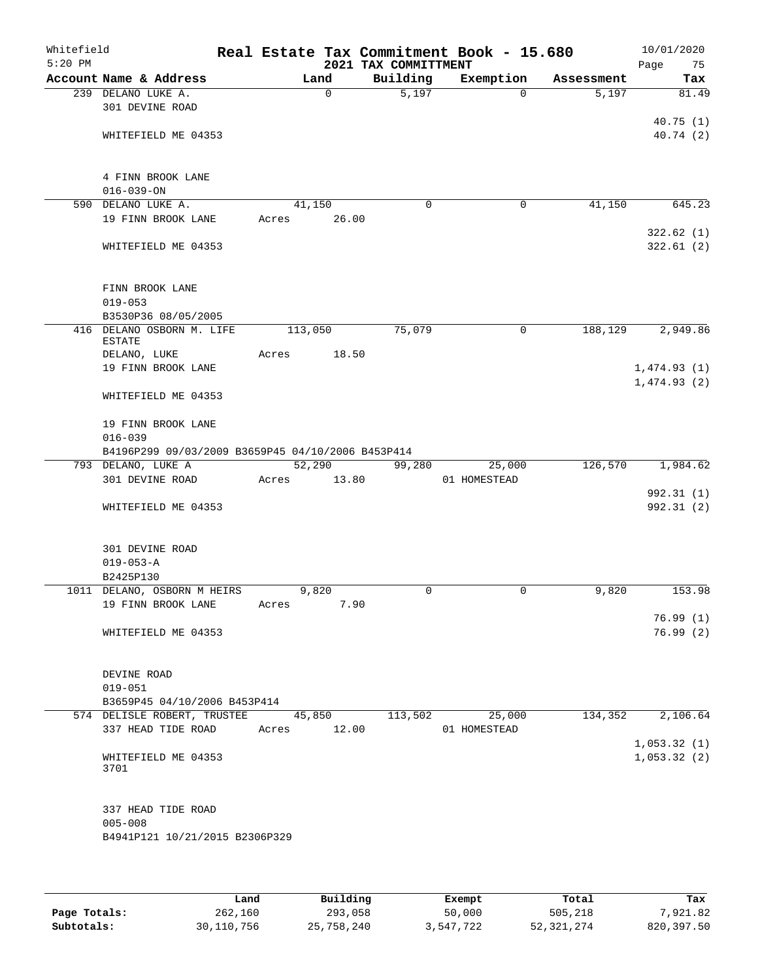| Whitefield<br>$5:20$ PM |                                                                         |       |             | 2021 TAX COMMITTMENT | Real Estate Tax Commitment Book - 15.680 |            | 10/01/2020<br>Page<br>75 |
|-------------------------|-------------------------------------------------------------------------|-------|-------------|----------------------|------------------------------------------|------------|--------------------------|
|                         | Account Name & Address                                                  |       | Land        | Building             | Exemption                                | Assessment | Tax                      |
|                         | 239 DELANO LUKE A.                                                      |       | $\mathbf 0$ | 5,197                | $\Omega$                                 | 5,197      | 81.49                    |
|                         | 301 DEVINE ROAD                                                         |       |             |                      |                                          |            |                          |
|                         |                                                                         |       |             |                      |                                          |            | 40.75(1)                 |
|                         | WHITEFIELD ME 04353                                                     |       |             |                      |                                          |            | 40.74 (2)                |
|                         |                                                                         |       |             |                      |                                          |            |                          |
|                         |                                                                         |       |             |                      |                                          |            |                          |
|                         | 4 FINN BROOK LANE                                                       |       |             |                      |                                          |            |                          |
|                         | $016 - 039 - ON$<br>590 DELANO LUKE A.                                  |       | 41,150      |                      | $\mathbf 0$<br>0                         | 41,150     | 645.23                   |
|                         | 19 FINN BROOK LANE                                                      | Acres | 26.00       |                      |                                          |            |                          |
|                         |                                                                         |       |             |                      |                                          |            | 322.62(1)                |
|                         | WHITEFIELD ME 04353                                                     |       |             |                      |                                          |            | 322.61(2)                |
|                         |                                                                         |       |             |                      |                                          |            |                          |
|                         |                                                                         |       |             |                      |                                          |            |                          |
|                         | FINN BROOK LANE                                                         |       |             |                      |                                          |            |                          |
|                         | $019 - 053$                                                             |       |             |                      |                                          |            |                          |
|                         | B3530P36 08/05/2005                                                     |       |             |                      |                                          |            |                          |
|                         | 416 DELANO OSBORN M. LIFE<br><b>ESTATE</b>                              |       | 113,050     | 75,079               | 0                                        | 188,129    | 2,949.86                 |
|                         | DELANO, LUKE                                                            | Acres | 18.50       |                      |                                          |            |                          |
|                         | 19 FINN BROOK LANE                                                      |       |             |                      |                                          |            | 1,474.93(1)              |
|                         |                                                                         |       |             |                      |                                          |            | 1,474.93(2)              |
|                         | WHITEFIELD ME 04353                                                     |       |             |                      |                                          |            |                          |
|                         |                                                                         |       |             |                      |                                          |            |                          |
|                         | 19 FINN BROOK LANE                                                      |       |             |                      |                                          |            |                          |
|                         | $016 - 039$                                                             |       |             |                      |                                          |            |                          |
|                         | B4196P299 09/03/2009 B3659P45 04/10/2006 B453P414<br>793 DELANO, LUKE A |       | 52, 290     |                      |                                          | 126,570    |                          |
|                         | 301 DEVINE ROAD                                                         | Acres | 13.80       | 99,280               | 25,000<br>01 HOMESTEAD                   |            | 1,984.62                 |
|                         |                                                                         |       |             |                      |                                          |            | 992.31 (1)               |
|                         | WHITEFIELD ME 04353                                                     |       |             |                      |                                          |            | 992.31 (2)               |
|                         |                                                                         |       |             |                      |                                          |            |                          |
|                         |                                                                         |       |             |                      |                                          |            |                          |
|                         | 301 DEVINE ROAD                                                         |       |             |                      |                                          |            |                          |
|                         | $019 - 053 - A$                                                         |       |             |                      |                                          |            |                          |
|                         | B2425P130                                                               |       |             |                      |                                          |            |                          |
|                         | 1011 DELANO, OSBORN M HEIRS                                             |       | 9,820       |                      | 0<br>0                                   | 9,820      | 153.98                   |
|                         | 19 FINN BROOK LANE                                                      | Acres | 7.90        |                      |                                          |            | 76.99(1)                 |
|                         | WHITEFIELD ME 04353                                                     |       |             |                      |                                          |            | 76.99(2)                 |
|                         |                                                                         |       |             |                      |                                          |            |                          |
|                         |                                                                         |       |             |                      |                                          |            |                          |
|                         | DEVINE ROAD                                                             |       |             |                      |                                          |            |                          |
|                         | $019 - 051$                                                             |       |             |                      |                                          |            |                          |
|                         | B3659P45 04/10/2006 B453P414                                            |       |             |                      |                                          |            |                          |
|                         | 574 DELISLE ROBERT, TRUSTEE                                             |       | 45,850      | 113,502              | 25,000                                   | 134,352    | 2,106.64                 |
|                         | 337 HEAD TIDE ROAD                                                      | Acres | 12.00       |                      | 01 HOMESTEAD                             |            |                          |
|                         |                                                                         |       |             |                      |                                          |            | 1,053.32(1)              |
|                         | WHITEFIELD ME 04353<br>3701                                             |       |             |                      |                                          |            | 1,053.32(2)              |
|                         |                                                                         |       |             |                      |                                          |            |                          |
|                         |                                                                         |       |             |                      |                                          |            |                          |
|                         | 337 HEAD TIDE ROAD                                                      |       |             |                      |                                          |            |                          |
|                         | $005 - 008$                                                             |       |             |                      |                                          |            |                          |
|                         | B4941P121 10/21/2015 B2306P329                                          |       |             |                      |                                          |            |                          |
|                         |                                                                         |       |             |                      |                                          |            |                          |
|                         |                                                                         |       |             |                      |                                          |            |                          |

|              | Land         | Building   | Exempt    | Total      | Tax        |
|--------------|--------------|------------|-----------|------------|------------|
| Page Totals: | 262,160      | 293,058    | 50,000    | 505,218    | 7,921.82   |
| Subtotals:   | 30, 110, 756 | 25,758,240 | 3,547,722 | 52,321,274 | 820,397.50 |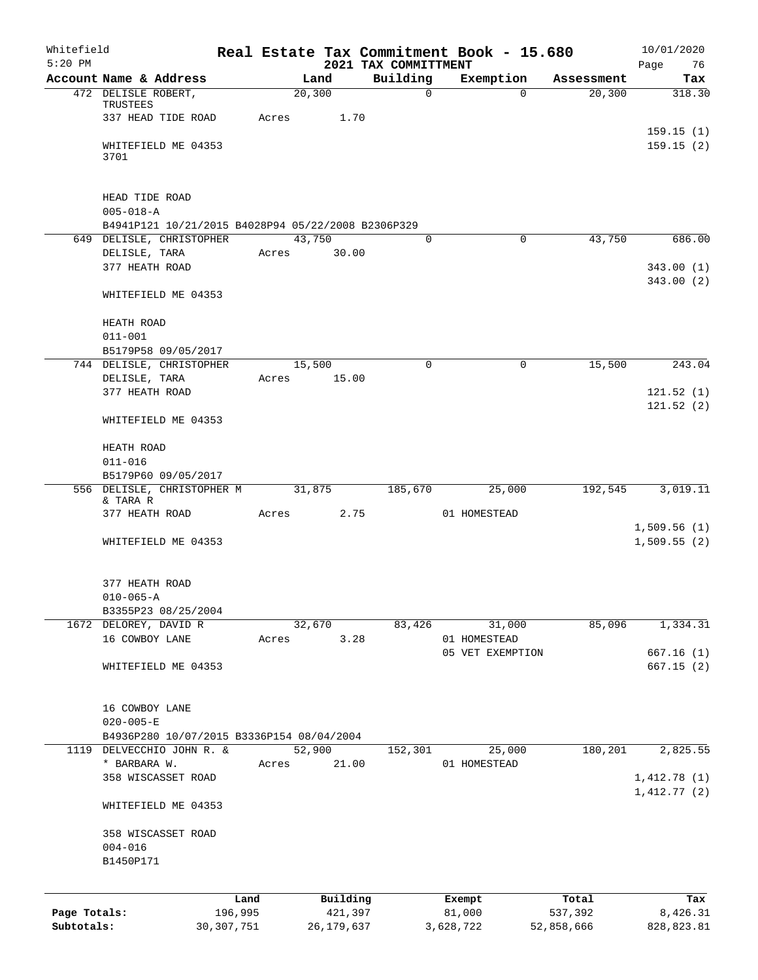| Whitefield<br>$5:20$ PM |                                                                       |              |       |        |            | 2021 TAX COMMITTMENT | Real Estate Tax Commitment Book - 15.680 |             |            | 10/01/2020             |
|-------------------------|-----------------------------------------------------------------------|--------------|-------|--------|------------|----------------------|------------------------------------------|-------------|------------|------------------------|
|                         | Account Name & Address                                                |              |       | Land   |            | Building             | Exemption                                |             | Assessment | Page<br>76<br>Tax      |
|                         | 472 DELISLE ROBERT,                                                   |              |       | 20,300 |            | $\Omega$             |                                          | $\Omega$    | 20,300     | 318.30                 |
|                         | TRUSTEES                                                              |              |       |        |            |                      |                                          |             |            |                        |
|                         | 337 HEAD TIDE ROAD                                                    |              | Acres |        | 1.70       |                      |                                          |             |            |                        |
|                         | WHITEFIELD ME 04353                                                   |              |       |        |            |                      |                                          |             |            | 159.15(1)<br>159.15(2) |
|                         | 3701                                                                  |              |       |        |            |                      |                                          |             |            |                        |
|                         |                                                                       |              |       |        |            |                      |                                          |             |            |                        |
|                         |                                                                       |              |       |        |            |                      |                                          |             |            |                        |
|                         | HEAD TIDE ROAD                                                        |              |       |        |            |                      |                                          |             |            |                        |
|                         | $005 - 018 - A$<br>B4941P121 10/21/2015 B4028P94 05/22/2008 B2306P329 |              |       |        |            |                      |                                          |             |            |                        |
|                         | 649 DELISLE, CHRISTOPHER                                              |              |       | 43,750 |            | 0                    |                                          | $\mathbf 0$ | 43,750     | 686.00                 |
|                         | DELISLE, TARA                                                         |              | Acres |        | 30.00      |                      |                                          |             |            |                        |
|                         | 377 HEATH ROAD                                                        |              |       |        |            |                      |                                          |             |            | 343.00(1)              |
|                         |                                                                       |              |       |        |            |                      |                                          |             |            | 343.00(2)              |
|                         | WHITEFIELD ME 04353                                                   |              |       |        |            |                      |                                          |             |            |                        |
|                         |                                                                       |              |       |        |            |                      |                                          |             |            |                        |
|                         | HEATH ROAD<br>$011 - 001$                                             |              |       |        |            |                      |                                          |             |            |                        |
|                         | B5179P58 09/05/2017                                                   |              |       |        |            |                      |                                          |             |            |                        |
|                         | 744 DELISLE, CHRISTOPHER                                              |              |       | 15,500 |            | $\Omega$             |                                          | $\mathbf 0$ | 15,500     | 243.04                 |
|                         | DELISLE, TARA                                                         |              | Acres |        | 15.00      |                      |                                          |             |            |                        |
|                         | 377 HEATH ROAD                                                        |              |       |        |            |                      |                                          |             |            | 121.52(1)              |
|                         |                                                                       |              |       |        |            |                      |                                          |             |            | 121.52(2)              |
|                         | WHITEFIELD ME 04353                                                   |              |       |        |            |                      |                                          |             |            |                        |
|                         | HEATH ROAD                                                            |              |       |        |            |                      |                                          |             |            |                        |
|                         | $011 - 016$                                                           |              |       |        |            |                      |                                          |             |            |                        |
|                         | B5179P60 09/05/2017                                                   |              |       |        |            |                      |                                          |             |            |                        |
|                         | 556 DELISLE, CHRISTOPHER M                                            |              |       |        | 31,875     | 185,670              | 25,000                                   |             | 192,545    | 3,019.11               |
|                         | & TARA R                                                              |              |       |        |            |                      |                                          |             |            |                        |
|                         | 377 HEATH ROAD                                                        |              | Acres |        | 2.75       |                      | 01 HOMESTEAD                             |             |            | 1,509.56(1)            |
|                         | WHITEFIELD ME 04353                                                   |              |       |        |            |                      |                                          |             |            | 1,509.55(2)            |
|                         |                                                                       |              |       |        |            |                      |                                          |             |            |                        |
|                         |                                                                       |              |       |        |            |                      |                                          |             |            |                        |
|                         | 377 HEATH ROAD                                                        |              |       |        |            |                      |                                          |             |            |                        |
|                         | $010 - 065 - A$                                                       |              |       |        |            |                      |                                          |             |            |                        |
|                         | B3355P23 08/25/2004<br>1672 DELOREY, DAVID R                          |              |       | 32,670 |            | 83,426               | 31,000                                   |             | 85,096     | 1,334.31               |
|                         | 16 COWBOY LANE                                                        |              | Acres |        | 3.28       |                      | 01 HOMESTEAD                             |             |            |                        |
|                         |                                                                       |              |       |        |            |                      | 05 VET EXEMPTION                         |             |            | 667.16(1)              |
|                         | WHITEFIELD ME 04353                                                   |              |       |        |            |                      |                                          |             |            | 667.15(2)              |
|                         |                                                                       |              |       |        |            |                      |                                          |             |            |                        |
|                         |                                                                       |              |       |        |            |                      |                                          |             |            |                        |
|                         | 16 COWBOY LANE<br>$020 - 005 - E$                                     |              |       |        |            |                      |                                          |             |            |                        |
|                         | B4936P280 10/07/2015 B3336P154 08/04/2004                             |              |       |        |            |                      |                                          |             |            |                        |
|                         | 1119 DELVECCHIO JOHN R. &                                             |              |       | 52,900 |            | 152,301              | 25,000                                   |             | 180,201    | 2,825.55               |
|                         | * BARBARA W.                                                          |              | Acres |        | 21.00      |                      | 01 HOMESTEAD                             |             |            |                        |
|                         | 358 WISCASSET ROAD                                                    |              |       |        |            |                      |                                          |             |            | 1,412.78(1)            |
|                         |                                                                       |              |       |        |            |                      |                                          |             |            | 1,412.77(2)            |
|                         | WHITEFIELD ME 04353                                                   |              |       |        |            |                      |                                          |             |            |                        |
|                         | 358 WISCASSET ROAD                                                    |              |       |        |            |                      |                                          |             |            |                        |
|                         | $004 - 016$                                                           |              |       |        |            |                      |                                          |             |            |                        |
|                         | B1450P171                                                             |              |       |        |            |                      |                                          |             |            |                        |
|                         |                                                                       |              |       |        |            |                      |                                          |             |            |                        |
|                         |                                                                       | Land         |       |        | Building   |                      | Exempt                                   |             | Total      | Tax                    |
| Page Totals:            |                                                                       | 196,995      |       |        | 421,397    |                      | 81,000                                   |             | 537,392    | 8,426.31               |
| Subtotals:              |                                                                       | 30, 307, 751 |       |        | 26,179,637 |                      | 3,628,722                                |             | 52,858,666 | 828, 823.81            |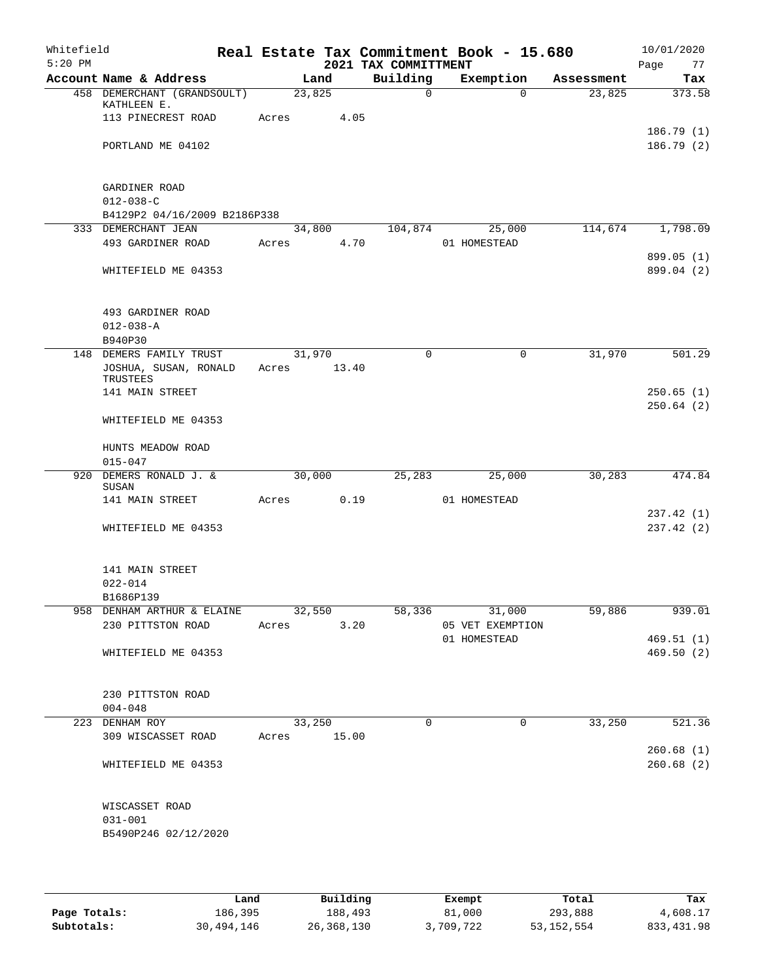| Whitefield<br>$5:20$ PM |                                            |             |        | 2021 TAX COMMITTMENT | Real Estate Tax Commitment Book - 15.680 |            | 10/01/2020<br>Page<br>77 |
|-------------------------|--------------------------------------------|-------------|--------|----------------------|------------------------------------------|------------|--------------------------|
|                         | Account Name & Address                     |             | Land   | Building             | Exemption                                | Assessment | Tax                      |
|                         | 458 DEMERCHANT (GRANDSOULT)<br>KATHLEEN E. |             | 23,825 | $\Omega$             | $\Omega$                                 | 23,825     | 373.58                   |
|                         | 113 PINECREST ROAD                         | Acres       | 4.05   |                      |                                          |            |                          |
|                         |                                            |             |        |                      |                                          |            | 186.79(1)                |
|                         | PORTLAND ME 04102                          |             |        |                      |                                          |            | 186.79(2)                |
|                         | GARDINER ROAD                              |             |        |                      |                                          |            |                          |
|                         | $012 - 038 - C$                            |             |        |                      |                                          |            |                          |
|                         | B4129P2 04/16/2009 B2186P338               |             |        |                      |                                          |            |                          |
|                         | 333 DEMERCHANT JEAN                        |             | 34,800 | 104,874              | 25,000                                   | 114,674    | 1,798.09                 |
|                         | 493 GARDINER ROAD                          | Acres       | 4.70   |                      | 01 HOMESTEAD                             |            |                          |
|                         | WHITEFIELD ME 04353                        |             |        |                      |                                          |            | 899.05 (1)<br>899.04 (2) |
|                         | 493 GARDINER ROAD                          |             |        |                      |                                          |            |                          |
|                         | $012 - 038 - A$                            |             |        |                      |                                          |            |                          |
|                         | B940P30                                    |             |        |                      |                                          |            |                          |
|                         | 148 DEMERS FAMILY TRUST                    |             | 31,970 | $\mathbf 0$          | $\mathbf 0$                              | 31,970     | 501.29                   |
|                         | JOSHUA, SUSAN, RONALD<br>TRUSTEES          | Acres 13.40 |        |                      |                                          |            |                          |
|                         | 141 MAIN STREET                            |             |        |                      |                                          |            | 250.65(1)                |
|                         | WHITEFIELD ME 04353                        |             |        |                      |                                          |            | 250.64(2)                |
|                         |                                            |             |        |                      |                                          |            |                          |
|                         | HUNTS MEADOW ROAD                          |             |        |                      |                                          |            |                          |
|                         | $015 - 047$                                |             |        |                      |                                          |            |                          |
|                         | 920 DEMERS RONALD J. &<br>SUSAN            |             | 30,000 | 25,283               | 25,000                                   | 30,283     | 474.84                   |
|                         | 141 MAIN STREET                            | Acres       | 0.19   |                      | 01 HOMESTEAD                             |            |                          |
|                         |                                            |             |        |                      |                                          |            | 237.42 (1)               |
|                         | WHITEFIELD ME 04353                        |             |        |                      |                                          |            | 237.42(2)                |
|                         | 141 MAIN STREET                            |             |        |                      |                                          |            |                          |
|                         | $022 - 014$                                |             |        |                      |                                          |            |                          |
|                         | B1686P139                                  |             |        |                      |                                          |            |                          |
|                         | 958 DENHAM ARTHUR & ELAINE 32,550          |             |        |                      | 58,336<br>31,000                         | 59,886     | 939.01                   |
|                         | 230 PITTSTON ROAD                          | Acres       |        | 3.20                 | 05 VET EXEMPTION                         |            |                          |
|                         | WHITEFIELD ME 04353                        |             |        |                      | 01 HOMESTEAD                             |            | 469.51(1)<br>469.50(2)   |
|                         |                                            |             |        |                      |                                          |            |                          |
|                         | 230 PITTSTON ROAD                          |             |        |                      |                                          |            |                          |
|                         | $004 - 048$                                |             |        |                      |                                          |            |                          |
|                         | 223 DENHAM ROY                             |             | 33,250 | 0                    | $\mathsf{O}$                             | 33,250     | 521.36                   |
|                         | 309 WISCASSET ROAD                         | Acres 15.00 |        |                      |                                          |            |                          |
|                         |                                            |             |        |                      |                                          |            | 260.68(1)                |
|                         | WHITEFIELD ME 04353                        |             |        |                      |                                          |            | 260.68(2)                |
|                         | WISCASSET ROAD                             |             |        |                      |                                          |            |                          |
|                         | $031 - 001$                                |             |        |                      |                                          |            |                          |
|                         | B5490P246 02/12/2020                       |             |        |                      |                                          |            |                          |
|                         |                                            |             |        |                      |                                          |            |                          |

|              | Land       | Building     | Exempt    | Total        | Tax         |
|--------------|------------|--------------|-----------|--------------|-------------|
| Page Totals: | 186,395    | 188,493      | 81,000    | 293,888      | 4,608.17    |
| Subtotals:   | 30,494,146 | 26, 368, 130 | 3,709,722 | 53, 152, 554 | 833, 431.98 |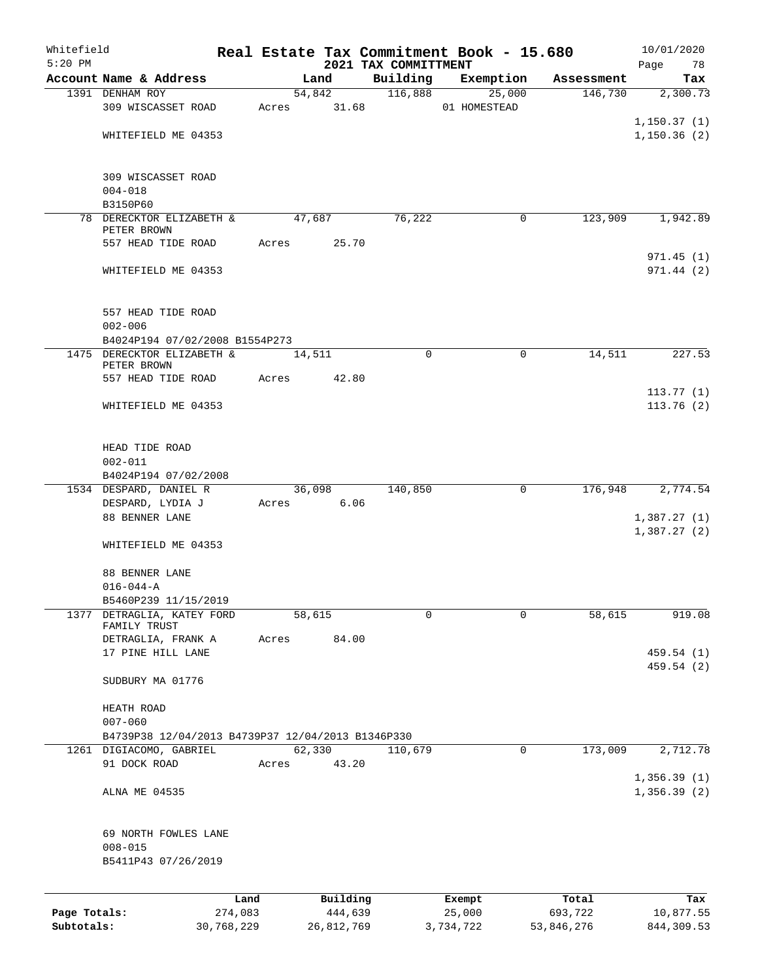| Whitefield<br>$5:20$ PM |                                                   |                 |       |        |                     | Real Estate Tax Commitment Book - 15.680 |                  |           |                  | 10/01/2020              |
|-------------------------|---------------------------------------------------|-----------------|-------|--------|---------------------|------------------------------------------|------------------|-----------|------------------|-------------------------|
|                         | Account Name & Address                            |                 |       | Land   |                     | 2021 TAX COMMITTMENT<br>Building         |                  | Exemption | Assessment       | 78<br>Page<br>Tax       |
|                         | 1391 DENHAM ROY                                   |                 |       | 54,842 |                     | 116,888                                  |                  | 25,000    | 146,730          | 2,300.73                |
|                         | 309 WISCASSET ROAD                                |                 | Acres |        | 31.68               |                                          | 01 HOMESTEAD     |           |                  |                         |
|                         |                                                   |                 |       |        |                     |                                          |                  |           |                  | 1,150.37(1)             |
|                         | WHITEFIELD ME 04353                               |                 |       |        |                     |                                          |                  |           |                  | 1,150.36(2)             |
|                         |                                                   |                 |       |        |                     |                                          |                  |           |                  |                         |
|                         |                                                   |                 |       |        |                     |                                          |                  |           |                  |                         |
|                         | 309 WISCASSET ROAD<br>$004 - 018$                 |                 |       |        |                     |                                          |                  |           |                  |                         |
|                         | B3150P60                                          |                 |       |        |                     |                                          |                  |           |                  |                         |
|                         | 78 DERECKTOR ELIZABETH &                          |                 |       | 47,687 |                     | 76,222                                   |                  | 0         | 123,909          | 1,942.89                |
|                         | PETER BROWN                                       |                 |       |        |                     |                                          |                  |           |                  |                         |
|                         | 557 HEAD TIDE ROAD                                |                 | Acres |        | 25.70               |                                          |                  |           |                  |                         |
|                         | WHITEFIELD ME 04353                               |                 |       |        |                     |                                          |                  |           |                  | 971.45(1)<br>971.44 (2) |
|                         |                                                   |                 |       |        |                     |                                          |                  |           |                  |                         |
|                         |                                                   |                 |       |        |                     |                                          |                  |           |                  |                         |
|                         | 557 HEAD TIDE ROAD                                |                 |       |        |                     |                                          |                  |           |                  |                         |
|                         | $002 - 006$                                       |                 |       |        |                     |                                          |                  |           |                  |                         |
|                         | B4024P194 07/02/2008 B1554P273                    |                 |       |        |                     |                                          |                  |           |                  |                         |
|                         | 1475 DERECKTOR ELIZABETH &<br>PETER BROWN         |                 |       | 14,511 |                     |                                          | $\mathbf 0$      | 0         | 14,511           | 227.53                  |
|                         | 557 HEAD TIDE ROAD                                |                 | Acres |        | 42.80               |                                          |                  |           |                  |                         |
|                         |                                                   |                 |       |        |                     |                                          |                  |           |                  | 113.77(1)               |
|                         | WHITEFIELD ME 04353                               |                 |       |        |                     |                                          |                  |           |                  | 113.76(2)               |
|                         |                                                   |                 |       |        |                     |                                          |                  |           |                  |                         |
|                         |                                                   |                 |       |        |                     |                                          |                  |           |                  |                         |
|                         | HEAD TIDE ROAD<br>$002 - 011$                     |                 |       |        |                     |                                          |                  |           |                  |                         |
|                         | B4024P194 07/02/2008                              |                 |       |        |                     |                                          |                  |           |                  |                         |
|                         | 1534 DESPARD, DANIEL R                            |                 |       | 36,098 |                     | 140,850                                  |                  | 0         | 176,948          | 2,774.54                |
|                         | DESPARD, LYDIA J                                  |                 | Acres |        | 6.06                |                                          |                  |           |                  |                         |
|                         | 88 BENNER LANE                                    |                 |       |        |                     |                                          |                  |           |                  | 1,387.27(1)             |
|                         |                                                   |                 |       |        |                     |                                          |                  |           |                  | 1,387.27(2)             |
|                         | WHITEFIELD ME 04353                               |                 |       |        |                     |                                          |                  |           |                  |                         |
|                         | 88 BENNER LANE                                    |                 |       |        |                     |                                          |                  |           |                  |                         |
|                         | $016 - 044 - A$                                   |                 |       |        |                     |                                          |                  |           |                  |                         |
|                         | B5460P239 11/15/2019                              |                 |       |        |                     |                                          |                  |           |                  |                         |
| 1377                    | DETRAGLIA, KATEY FORD<br>FAMILY TRUST             |                 |       | 58,615 |                     |                                          | 0                | 0         | 58,615           | 919.08                  |
|                         | DETRAGLIA, FRANK A                                |                 | Acres |        | 84.00               |                                          |                  |           |                  |                         |
|                         | 17 PINE HILL LANE                                 |                 |       |        |                     |                                          |                  |           |                  | 459.54 (1)              |
|                         |                                                   |                 |       |        |                     |                                          |                  |           |                  | 459.54 (2)              |
|                         | SUDBURY MA 01776                                  |                 |       |        |                     |                                          |                  |           |                  |                         |
|                         |                                                   |                 |       |        |                     |                                          |                  |           |                  |                         |
|                         | HEATH ROAD<br>$007 - 060$                         |                 |       |        |                     |                                          |                  |           |                  |                         |
|                         | B4739P38 12/04/2013 B4739P37 12/04/2013 B1346P330 |                 |       |        |                     |                                          |                  |           |                  |                         |
|                         | 1261 DIGIACOMO, GABRIEL                           |                 |       | 62,330 |                     | 110,679                                  |                  | 0         | 173,009          | 2,712.78                |
|                         | 91 DOCK ROAD                                      |                 | Acres |        | 43.20               |                                          |                  |           |                  |                         |
|                         |                                                   |                 |       |        |                     |                                          |                  |           |                  | 1,356.39(1)             |
|                         | ALNA ME 04535                                     |                 |       |        |                     |                                          |                  |           |                  | 1,356.39(2)             |
|                         |                                                   |                 |       |        |                     |                                          |                  |           |                  |                         |
|                         | 69 NORTH FOWLES LANE                              |                 |       |        |                     |                                          |                  |           |                  |                         |
|                         | $008 - 015$                                       |                 |       |        |                     |                                          |                  |           |                  |                         |
|                         | B5411P43 07/26/2019                               |                 |       |        |                     |                                          |                  |           |                  |                         |
|                         |                                                   |                 |       |        |                     |                                          |                  |           |                  |                         |
| Page Totals:            |                                                   | Land<br>274,083 |       |        | Building<br>444,639 |                                          | Exempt<br>25,000 |           | Total<br>693,722 | Tax<br>10,877.55        |
| Subtotals:              |                                                   | 30,768,229      |       |        | 26,812,769          |                                          | 3,734,722        |           | 53,846,276       | 844,309.53              |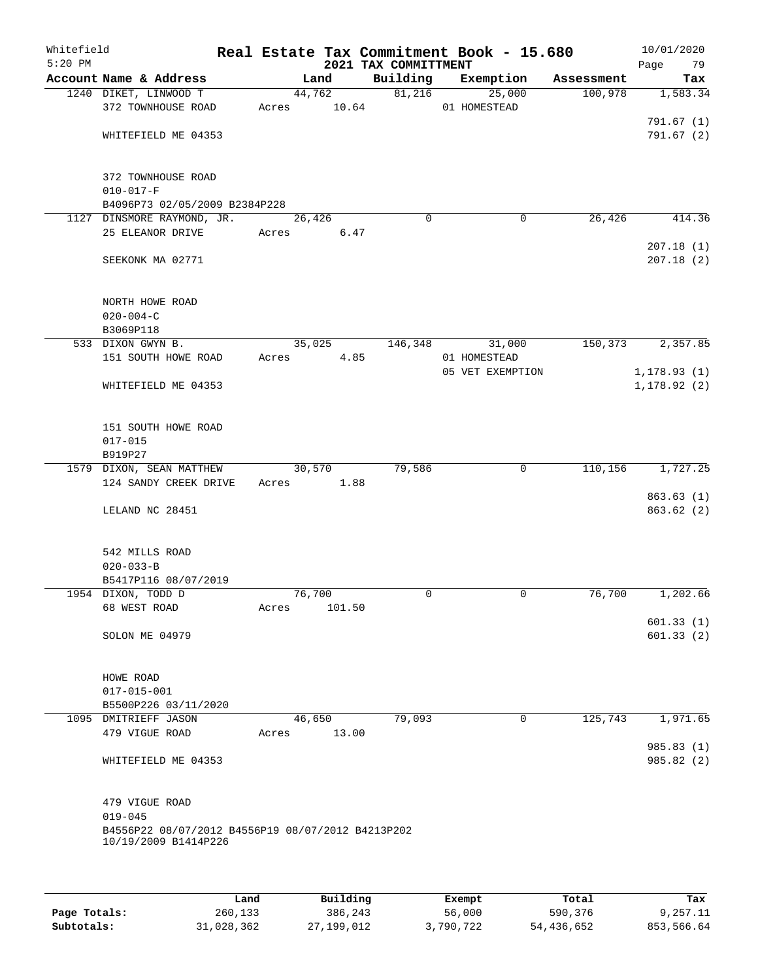| Whitefield<br>$5:20$ PM |                                                   |       |        | 2021 TAX COMMITTMENT | Real Estate Tax Commitment Book - 15.680 |            | 10/01/2020<br>Page<br>79 |
|-------------------------|---------------------------------------------------|-------|--------|----------------------|------------------------------------------|------------|--------------------------|
|                         | Account Name & Address                            |       | Land   | Building             | Exemption                                | Assessment | Tax                      |
|                         | 1240 DIKET, LINWOOD T                             |       | 44,762 | 81,216               | 25,000                                   | 100,978    | 1,583.34                 |
|                         | 372 TOWNHOUSE ROAD                                | Acres | 10.64  |                      | 01 HOMESTEAD                             |            |                          |
|                         | WHITEFIELD ME 04353                               |       |        |                      |                                          |            | 791.67(1)<br>791.67 (2)  |
|                         |                                                   |       |        |                      |                                          |            |                          |
|                         | 372 TOWNHOUSE ROAD                                |       |        |                      |                                          |            |                          |
|                         | $010 - 017 - F$                                   |       |        |                      |                                          |            |                          |
|                         | B4096P73 02/05/2009 B2384P228                     |       |        |                      |                                          |            |                          |
|                         | 1127 DINSMORE RAYMOND, JR.                        |       | 26,426 | $\Omega$             | 0                                        | 26,426     | 414.36                   |
|                         | 25 ELEANOR DRIVE                                  | Acres | 6.47   |                      |                                          |            |                          |
|                         | SEEKONK MA 02771                                  |       |        |                      |                                          |            | 207.18(1)<br>207.18(2)   |
|                         |                                                   |       |        |                      |                                          |            |                          |
|                         | NORTH HOWE ROAD                                   |       |        |                      |                                          |            |                          |
|                         | $020 - 004 - C$                                   |       |        |                      |                                          |            |                          |
|                         | B3069P118<br>533 DIXON GWYN B.                    |       | 35,025 | 146,348              | 31,000                                   | 150,373    | 2,357.85                 |
|                         | 151 SOUTH HOWE ROAD                               | Acres | 4.85   |                      | 01 HOMESTEAD                             |            |                          |
|                         |                                                   |       |        |                      | 05 VET EXEMPTION                         |            | 1, 178.93(1)             |
|                         | WHITEFIELD ME 04353                               |       |        |                      |                                          |            | 1, 178.92(2)             |
|                         |                                                   |       |        |                      |                                          |            |                          |
|                         | 151 SOUTH HOWE ROAD                               |       |        |                      |                                          |            |                          |
|                         | $017 - 015$                                       |       |        |                      |                                          |            |                          |
|                         | B919P27                                           |       |        |                      |                                          |            |                          |
|                         | 1579 DIXON, SEAN MATTHEW                          |       | 30,570 | 79,586               | $\mathbf 0$                              | 110, 156   | 1,727.25                 |
|                         | 124 SANDY CREEK DRIVE                             | Acres | 1.88   |                      |                                          |            |                          |
|                         | LELAND NC 28451                                   |       |        |                      |                                          |            | 863.63(1)<br>863.62(2)   |
|                         |                                                   |       |        |                      |                                          |            |                          |
|                         | 542 MILLS ROAD                                    |       |        |                      |                                          |            |                          |
|                         | $020 - 033 - B$                                   |       |        |                      |                                          |            |                          |
|                         | B5417P116 08/07/2019                              |       |        |                      |                                          |            |                          |
|                         | 1954 DIXON, TODD D                                |       | 76,700 | $\mathbf 0$          | $\mathbf 0$                              | 76,700     | 1,202.66                 |
|                         | 68 WEST ROAD                                      | Acres | 101.50 |                      |                                          |            |                          |
|                         |                                                   |       |        |                      |                                          |            | 601.33(1)                |
|                         | SOLON ME 04979                                    |       |        |                      |                                          |            | 601.33(2)                |
|                         | HOWE ROAD                                         |       |        |                      |                                          |            |                          |
|                         | $017 - 015 - 001$                                 |       |        |                      |                                          |            |                          |
|                         | B5500P226 03/11/2020                              |       |        |                      |                                          |            |                          |
|                         | 1095 DMITRIEFF JASON                              |       | 46,650 | 79,093               | 0                                        | 125,743    | 1,971.65                 |
|                         | 479 VIGUE ROAD                                    | Acres | 13.00  |                      |                                          |            | 985.83 (1)               |
|                         | WHITEFIELD ME 04353                               |       |        |                      |                                          |            | 985.82 (2)               |
|                         |                                                   |       |        |                      |                                          |            |                          |
|                         | 479 VIGUE ROAD<br>$019 - 045$                     |       |        |                      |                                          |            |                          |
|                         | B4556P22 08/07/2012 B4556P19 08/07/2012 B4213P202 |       |        |                      |                                          |            |                          |
|                         | 10/19/2009 B1414P226                              |       |        |                      |                                          |            |                          |
|                         |                                                   |       |        |                      |                                          |            |                          |
|                         |                                                   |       |        |                      |                                          |            |                          |
|                         |                                                   |       |        |                      |                                          |            |                          |

|              | Land       | Building   | Exempt    | Total      | Tax        |
|--------------|------------|------------|-----------|------------|------------|
| Page Totals: | 260,133    | 386,243    | 56,000    | 590,376    | 9,257.11   |
| Subtotals:   | 31,028,362 | 27,199,012 | 3,790,722 | 54,436,652 | 853,566.64 |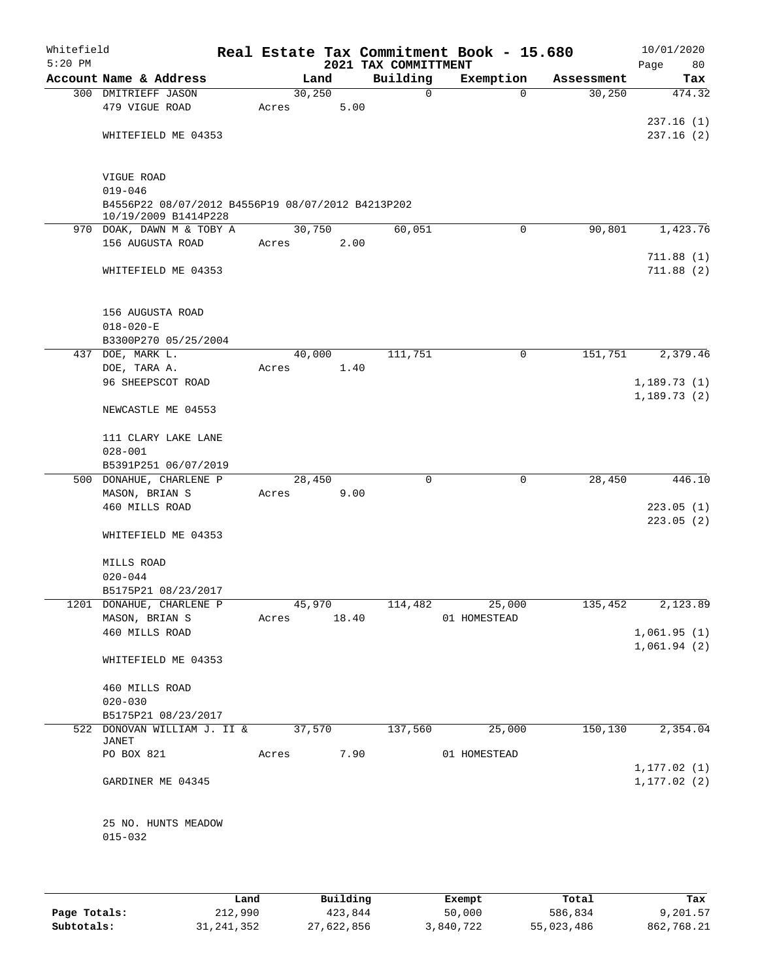| Whitefield<br>$5:20$ PM |                                                                                |             |         |      |      | Real Estate Tax Commitment Book - 15.680<br>2021 TAX COMMITTMENT |              |             |            | Page | 10/01/2020<br>80             |
|-------------------------|--------------------------------------------------------------------------------|-------------|---------|------|------|------------------------------------------------------------------|--------------|-------------|------------|------|------------------------------|
|                         | Account Name & Address                                                         |             | Land    |      |      | Building                                                         | Exemption    |             | Assessment |      | Tax                          |
|                         | 300 DMITRIEFF JASON                                                            |             | 30, 250 |      |      | $\mathbf 0$                                                      |              | $\Omega$    | 30, 250    |      | 474.32                       |
|                         | 479 VIGUE ROAD                                                                 | Acres       |         | 5.00 |      |                                                                  |              |             |            |      |                              |
|                         |                                                                                |             |         |      |      |                                                                  |              |             |            |      | 237.16(1)                    |
|                         | WHITEFIELD ME 04353                                                            |             |         |      |      |                                                                  |              |             |            |      | 237.16(2)                    |
|                         | VIGUE ROAD<br>$019 - 046$<br>B4556P22 08/07/2012 B4556P19 08/07/2012 B4213P202 |             |         |      |      |                                                                  |              |             |            |      |                              |
|                         | 10/19/2009 B1414P228<br>970 DOAK, DAWN M & TOBY A                              |             | 30,750  |      |      | 60,051                                                           |              | $\mathbf 0$ | 90,801     |      | 1,423.76                     |
|                         | 156 AUGUSTA ROAD                                                               | Acres       |         | 2.00 |      |                                                                  |              |             |            |      |                              |
|                         |                                                                                |             |         |      |      |                                                                  |              |             |            |      | 711.88(1)                    |
|                         | WHITEFIELD ME 04353                                                            |             |         |      |      |                                                                  |              |             |            |      | 711.88(2)                    |
|                         | 156 AUGUSTA ROAD<br>$018 - 020 - E$                                            |             |         |      |      |                                                                  |              |             |            |      |                              |
|                         | B3300P270 05/25/2004                                                           |             |         |      |      |                                                                  |              |             |            |      |                              |
| 437                     | DOE, MARK L.                                                                   |             | 40,000  |      |      | 111,751                                                          |              | 0           | 151,751    |      | 2,379.46                     |
|                         | DOE, TARA A.                                                                   | Acres       |         | 1.40 |      |                                                                  |              |             |            |      |                              |
|                         | 96 SHEEPSCOT ROAD                                                              |             |         |      |      |                                                                  |              |             |            |      | 1,189.73(1)                  |
|                         | NEWCASTLE ME 04553                                                             |             |         |      |      |                                                                  |              |             |            |      | 1,189.73(2)                  |
|                         | 111 CLARY LAKE LANE<br>$028 - 001$                                             |             |         |      |      |                                                                  |              |             |            |      |                              |
|                         | B5391P251 06/07/2019                                                           |             |         |      |      |                                                                  |              |             |            |      |                              |
|                         | 500 DONAHUE, CHARLENE P                                                        |             | 28,450  |      |      | $\mathbf 0$                                                      |              | $\mathbf 0$ | 28,450     |      | 446.10                       |
|                         | MASON, BRIAN S                                                                 | Acres       |         | 9.00 |      |                                                                  |              |             |            |      |                              |
|                         | 460 MILLS ROAD                                                                 |             |         |      |      |                                                                  |              |             |            |      | 223.05(1)                    |
|                         | WHITEFIELD ME 04353                                                            |             |         |      |      |                                                                  |              |             |            |      | 223.05(2)                    |
|                         | MILLS ROAD<br>$020 - 044$                                                      |             |         |      |      |                                                                  |              |             |            |      |                              |
|                         | B5175P21 08/23/2017                                                            |             |         |      |      |                                                                  |              |             |            |      |                              |
|                         | 1201 DONAHUE, CHARLENE P                                                       |             | 45,970  |      |      | 114,482                                                          |              | 25,000      | 135,452    |      | 2,123.89                     |
|                         | MASON, BRIAN S                                                                 | Acres 18.40 |         |      |      |                                                                  | 01 HOMESTEAD |             |            |      |                              |
|                         | 460 MILLS ROAD                                                                 |             |         |      |      |                                                                  |              |             |            |      | 1,061.95(1)                  |
|                         | WHITEFIELD ME 04353                                                            |             |         |      |      |                                                                  |              |             |            |      | 1,061.94(2)                  |
|                         | 460 MILLS ROAD                                                                 |             |         |      |      |                                                                  |              |             |            |      |                              |
|                         | $020 - 030$                                                                    |             |         |      |      |                                                                  |              |             |            |      |                              |
|                         | B5175P21 08/23/2017                                                            |             |         |      |      |                                                                  |              |             |            |      |                              |
|                         | 522 DONOVAN WILLIAM J. II & 37,570<br>JANET                                    |             |         |      |      | 137,560                                                          |              | 25,000      | 150, 130   |      | 2,354.04                     |
|                         | PO BOX 821                                                                     | Acres       |         |      | 7.90 |                                                                  | 01 HOMESTEAD |             |            |      |                              |
|                         | GARDINER ME 04345                                                              |             |         |      |      |                                                                  |              |             |            |      | 1, 177.02(1)<br>1, 177.02(2) |
|                         | 25 NO. HUNTS MEADOW<br>$015 - 032$                                             |             |         |      |      |                                                                  |              |             |            |      |                              |
|                         |                                                                                |             |         |      |      |                                                                  |              |             |            |      |                              |

|              | Land       | Building   | Exempt    | Total      | Tax        |
|--------------|------------|------------|-----------|------------|------------|
| Page Totals: | 212,990    | 423,844    | 50,000    | 586,834    | 9,201.57   |
| Subtotals:   | 31,241,352 | 27,622,856 | 3,840,722 | 55,023,486 | 862,768.21 |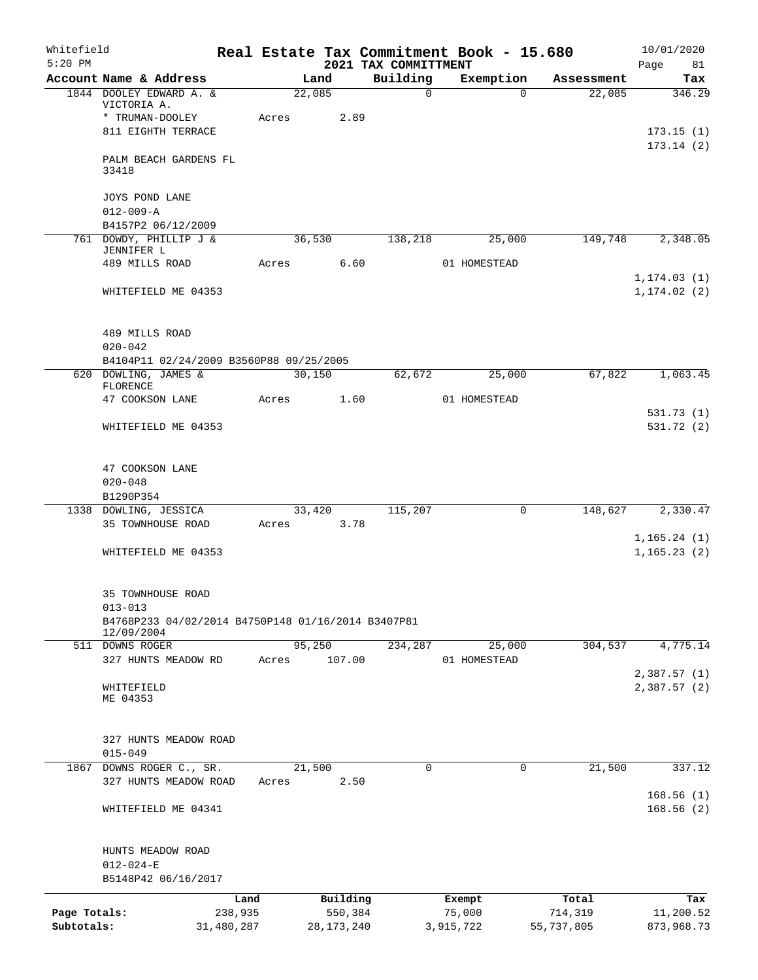| Whitefield<br>$5:20$ PM |                                                                                                      |                 |       |                     | 2021 TAX COMMITTMENT | Real Estate Tax Commitment Book - 15.680 |             |                  | 10/01/2020<br>81<br>Page     |
|-------------------------|------------------------------------------------------------------------------------------------------|-----------------|-------|---------------------|----------------------|------------------------------------------|-------------|------------------|------------------------------|
|                         | Account Name & Address                                                                               |                 |       | Land                | Building             | Exemption                                |             | Assessment       | Tax                          |
|                         | 1844 DOOLEY EDWARD A. &<br>VICTORIA A.                                                               |                 |       | 22,085              | $\mathsf{O}$         |                                          | $\Omega$    | 22,085           | 346.29                       |
|                         | * TRUMAN-DOOLEY                                                                                      |                 | Acres | 2.89                |                      |                                          |             |                  |                              |
|                         | 811 EIGHTH TERRACE                                                                                   |                 |       |                     |                      |                                          |             |                  | 173.15(1)<br>173.14(2)       |
|                         | PALM BEACH GARDENS FL<br>33418                                                                       |                 |       |                     |                      |                                          |             |                  |                              |
|                         | JOYS POND LANE<br>$012 - 009 - A$<br>B4157P2 06/12/2009                                              |                 |       |                     |                      |                                          |             |                  |                              |
|                         | 761 DOWDY, PHILLIP J &                                                                               |                 |       | 36,530              | 138,218              |                                          | 25,000      | 149,748          | 2,348.05                     |
|                         | JENNIFER L<br>489 MILLS ROAD                                                                         |                 | Acres | 6.60                |                      | 01 HOMESTEAD                             |             |                  |                              |
|                         | WHITEFIELD ME 04353                                                                                  |                 |       |                     |                      |                                          |             |                  | 1, 174.03(1)<br>1, 174.02(2) |
|                         | 489 MILLS ROAD<br>$020 - 042$                                                                        |                 |       |                     |                      |                                          |             |                  |                              |
|                         | B4104P11 02/24/2009 B3560P88 09/25/2005                                                              |                 |       |                     |                      |                                          |             |                  |                              |
|                         | 620 DOWLING, JAMES &<br>FLORENCE                                                                     |                 |       | 30,150              | 62,672               |                                          | 25,000      | 67,822           | 1,063.45                     |
|                         | 47 COOKSON LANE                                                                                      |                 | Acres | 1.60                |                      | 01 HOMESTEAD                             |             |                  | 531.73(1)                    |
|                         | WHITEFIELD ME 04353                                                                                  |                 |       |                     |                      |                                          |             |                  | 531.72 (2)                   |
|                         | 47 COOKSON LANE<br>$020 - 048$<br>B1290P354                                                          |                 |       |                     |                      |                                          |             |                  |                              |
|                         | 1338 DOWLING, JESSICA                                                                                |                 |       | 33,420              | 115,207              |                                          | 0           | 148,627          | 2,330.47                     |
|                         | 35 TOWNHOUSE ROAD                                                                                    |                 | Acres | 3.78                |                      |                                          |             |                  |                              |
|                         | WHITEFIELD ME 04353                                                                                  |                 |       |                     |                      |                                          |             |                  | 1, 165.24(1)<br>1, 165.23(2) |
|                         | 35 TOWNHOUSE ROAD<br>$013 - 013$<br>B4768P233 04/02/2014 B4750P148 01/16/2014 B3407P81<br>12/09/2004 |                 |       |                     |                      |                                          |             |                  |                              |
|                         | 511 DOWNS ROGER                                                                                      |                 |       | 95,250              | 234,287              |                                          | 25,000      | 304,537          | 4,775.14                     |
|                         | 327 HUNTS MEADOW RD                                                                                  |                 | Acres | 107.00              |                      | 01 HOMESTEAD                             |             |                  |                              |
|                         | WHITEFIELD<br>ME 04353                                                                               |                 |       |                     |                      |                                          |             |                  | 2,387.57(1)<br>2,387.57(2)   |
|                         | 327 HUNTS MEADOW ROAD<br>$015 - 049$                                                                 |                 |       |                     |                      |                                          |             |                  |                              |
| 1867                    | DOWNS ROGER C., SR.                                                                                  |                 |       | 21,500              | 0                    |                                          | $\mathbf 0$ | 21,500           | 337.12                       |
|                         | 327 HUNTS MEADOW ROAD                                                                                |                 | Acres | 2.50                |                      |                                          |             |                  |                              |
|                         | WHITEFIELD ME 04341                                                                                  |                 |       |                     |                      |                                          |             |                  | 168.56(1)<br>168.56(2)       |
|                         | HUNTS MEADOW ROAD<br>$012 - 024 - E$                                                                 |                 |       |                     |                      |                                          |             |                  |                              |
|                         | B5148P42 06/16/2017                                                                                  |                 |       |                     |                      |                                          |             |                  |                              |
| Page Totals:            |                                                                                                      | Land<br>238,935 |       | Building<br>550,384 |                      | Exempt<br>75,000                         |             | Total<br>714,319 | Tax<br>11,200.52             |
| Subtotals:              |                                                                                                      | 31,480,287      |       | 28, 173, 240        |                      | 3,915,722                                |             | 55,737,805       | 873,968.73                   |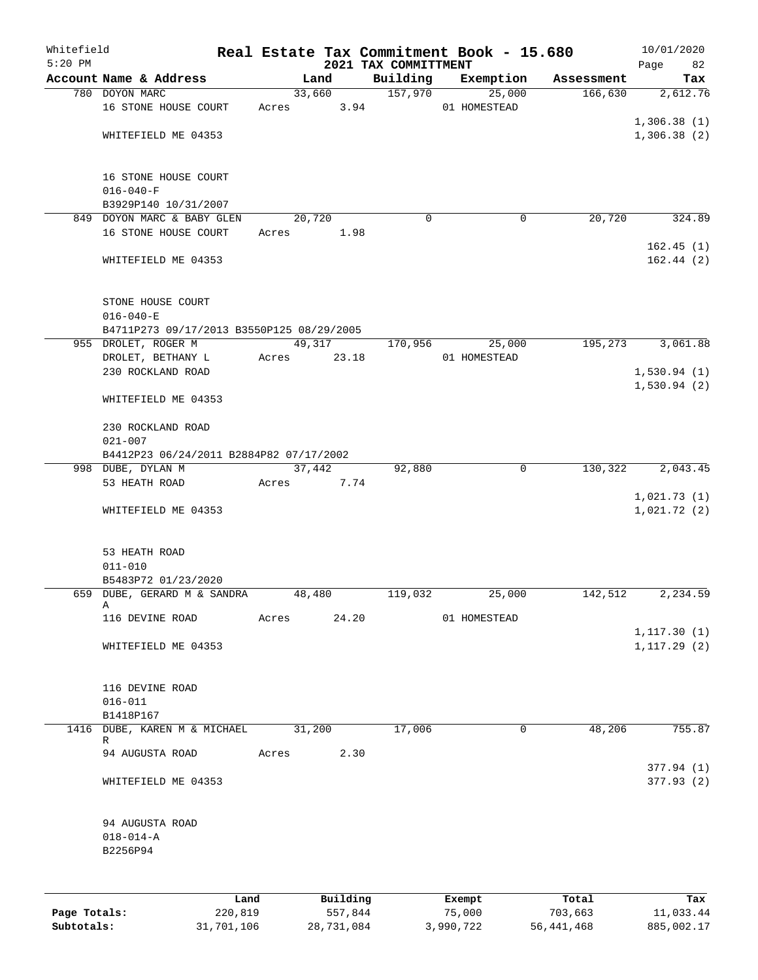| Whitefield<br>$5:20$ PM |                                           |         |       |        |          | 2021 TAX COMMITTMENT | Real Estate Tax Commitment Book - 15.680 |            | 10/01/2020<br>Page<br>82   |
|-------------------------|-------------------------------------------|---------|-------|--------|----------|----------------------|------------------------------------------|------------|----------------------------|
|                         | Account Name & Address                    |         |       | Land   |          | Building             | Exemption                                | Assessment | Tax                        |
|                         | 780 DOYON MARC                            |         |       |        | 33,660   | 157,970              | 25,000                                   | 166,630    | 2,612.76                   |
|                         | 16 STONE HOUSE COURT                      |         | Acres |        | 3.94     |                      | 01 HOMESTEAD                             |            |                            |
|                         |                                           |         |       |        |          |                      |                                          |            | 1,306.38(1)                |
|                         | WHITEFIELD ME 04353                       |         |       |        |          |                      |                                          |            | 1,306.38(2)                |
|                         | 16 STONE HOUSE COURT                      |         |       |        |          |                      |                                          |            |                            |
|                         | $016 - 040 - F$                           |         |       |        |          |                      |                                          |            |                            |
|                         | B3929P140 10/31/2007                      |         |       |        |          |                      |                                          |            |                            |
|                         | 849 DOYON MARC & BABY GLEN                |         |       | 20,720 |          | $\Omega$             | 0                                        | 20,720     | 324.89                     |
|                         | 16 STONE HOUSE COURT                      |         | Acres |        | 1.98     |                      |                                          |            |                            |
|                         | WHITEFIELD ME 04353                       |         |       |        |          |                      |                                          |            | 162.45(1)<br>162.44(2)     |
|                         | STONE HOUSE COURT<br>$016 - 040 - E$      |         |       |        |          |                      |                                          |            |                            |
|                         | B4711P273 09/17/2013 B3550P125 08/29/2005 |         |       |        |          |                      |                                          |            |                            |
|                         | 955 DROLET, ROGER M                       |         |       |        | 49,317   | 170,956              | 25,000                                   | 195,273    | 3,061.88                   |
|                         | DROLET, BETHANY L                         |         | Acres |        | 23.18    |                      | 01 HOMESTEAD                             |            |                            |
|                         | 230 ROCKLAND ROAD                         |         |       |        |          |                      |                                          |            | 1,530.94(1)                |
|                         |                                           |         |       |        |          |                      |                                          |            | 1,530.94(2)                |
|                         | WHITEFIELD ME 04353                       |         |       |        |          |                      |                                          |            |                            |
|                         | 230 ROCKLAND ROAD                         |         |       |        |          |                      |                                          |            |                            |
|                         | $021 - 007$                               |         |       |        |          |                      |                                          |            |                            |
|                         | B4412P23 06/24/2011 B2884P82 07/17/2002   |         |       |        |          |                      |                                          |            |                            |
|                         | 998 DUBE, DYLAN M                         |         |       | 37,442 |          | 92,880               | $\mathbf 0$                              | 130,322    | 2,043.45                   |
|                         | 53 HEATH ROAD                             |         | Acres |        | 7.74     |                      |                                          |            |                            |
|                         | WHITEFIELD ME 04353                       |         |       |        |          |                      |                                          |            | 1,021.73(1)<br>1,021.72(2) |
|                         |                                           |         |       |        |          |                      |                                          |            |                            |
|                         | 53 HEATH ROAD                             |         |       |        |          |                      |                                          |            |                            |
|                         | $011 - 010$<br>B5483P72 01/23/2020        |         |       |        |          |                      |                                          |            |                            |
|                         | 659 DUBE, GERARD M & SANDRA               |         |       | 48,480 |          | 119,032              | 25,000                                   | 142,512    | 2,234.59                   |
|                         | Α                                         |         |       |        |          |                      |                                          |            |                            |
|                         | 116 DEVINE ROAD                           |         | Acres |        | 24.20    |                      | 01 HOMESTEAD                             |            |                            |
|                         |                                           |         |       |        |          |                      |                                          |            | 1, 117.30(1)               |
|                         | WHITEFIELD ME 04353                       |         |       |        |          |                      |                                          |            | 1, 117.29(2)               |
|                         | 116 DEVINE ROAD                           |         |       |        |          |                      |                                          |            |                            |
|                         | $016 - 011$                               |         |       |        |          |                      |                                          |            |                            |
|                         | B1418P167                                 |         |       |        |          |                      |                                          |            |                            |
| 1416                    | DUBE, KAREN M & MICHAEL                   |         |       | 31,200 |          | 17,006               | 0                                        | 48,206     | 755.87                     |
|                         | R<br>94 AUGUSTA ROAD                      |         | Acres |        | 2.30     |                      |                                          |            |                            |
|                         |                                           |         |       |        |          |                      |                                          |            | 377.94 (1)                 |
|                         | WHITEFIELD ME 04353                       |         |       |        |          |                      |                                          |            | 377.93 (2)                 |
|                         | 94 AUGUSTA ROAD                           |         |       |        |          |                      |                                          |            |                            |
|                         | $018 - 014 - A$                           |         |       |        |          |                      |                                          |            |                            |
|                         | B2256P94                                  |         |       |        |          |                      |                                          |            |                            |
|                         |                                           |         |       |        |          |                      |                                          |            |                            |
|                         |                                           | Land    |       |        | Building |                      | Exempt                                   | Total      | Tax                        |
| Page Totals:            |                                           | 220,819 |       |        | 557,844  |                      | 75,000                                   | 703,663    | 11,033.44                  |

**Subtotals:** 31,701,106 28,731,084 3,990,722 56,441,468 885,002.17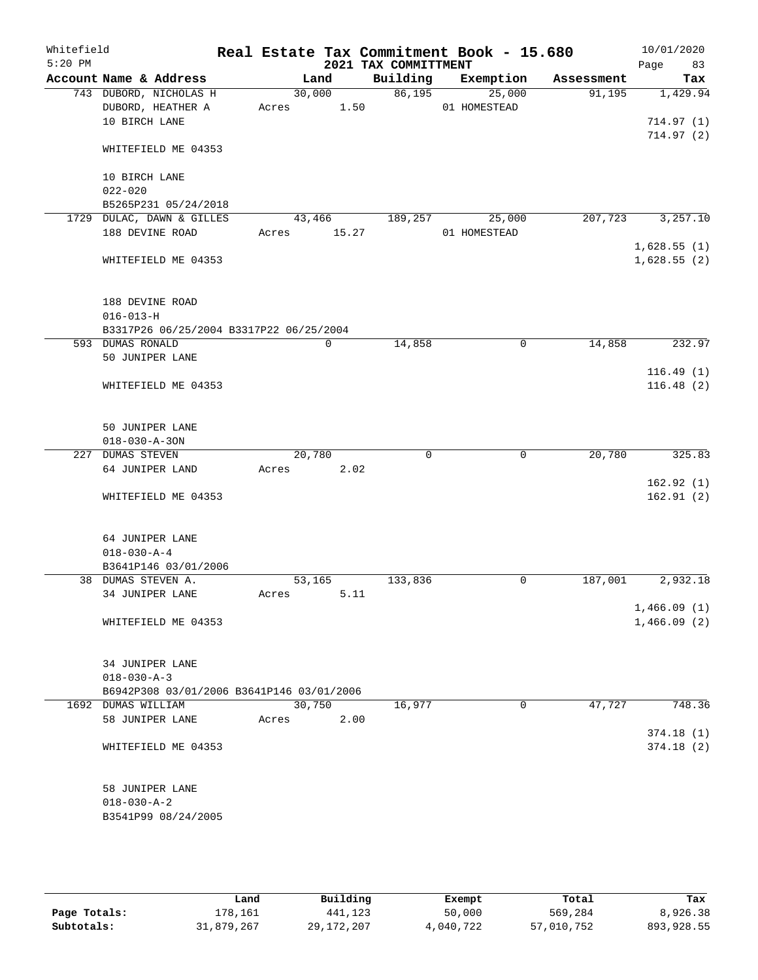| Whitefield |                                           |            |             |                      | Real Estate Tax Commitment Book - 15.680 |            | 10/01/2020  |
|------------|-------------------------------------------|------------|-------------|----------------------|------------------------------------------|------------|-------------|
| $5:20$ PM  |                                           |            |             | 2021 TAX COMMITTMENT |                                          |            | Page<br>83  |
|            | Account Name & Address                    |            | Land        | Building             | Exemption                                | Assessment | Tax         |
|            | 743 DUBORD, NICHOLAS H                    | 30,000     |             | 86,195               | 25,000                                   | 91,195     | 1,429.94    |
|            | DUBORD, HEATHER A                         | Acres 1.50 |             |                      | 01 HOMESTEAD                             |            |             |
|            | 10 BIRCH LANE                             |            |             |                      |                                          |            | 714.97(1)   |
|            | WHITEFIELD ME 04353                       |            |             |                      |                                          |            | 714.97(2)   |
|            |                                           |            |             |                      |                                          |            |             |
|            | 10 BIRCH LANE                             |            |             |                      |                                          |            |             |
|            | $022 - 020$                               |            |             |                      |                                          |            |             |
|            | B5265P231 05/24/2018                      |            |             |                      |                                          |            |             |
|            | 1729 DULAC, DAWN & GILLES                 | 43,466     |             | 189,257              | 25,000                                   | 207,723    | 3,257.10    |
|            | 188 DEVINE ROAD                           | Acres      | 15.27       |                      | 01 HOMESTEAD                             |            |             |
|            |                                           |            |             |                      |                                          |            | 1,628.55(1) |
|            | WHITEFIELD ME 04353                       |            |             |                      |                                          |            | 1,628.55(2) |
|            | 188 DEVINE ROAD                           |            |             |                      |                                          |            |             |
|            | $016 - 013 - H$                           |            |             |                      |                                          |            |             |
|            | B3317P26 06/25/2004 B3317P22 06/25/2004   |            |             |                      |                                          |            |             |
|            | 593 DUMAS RONALD                          |            | $\mathbf 0$ | 14,858               | $\mathbf 0$                              | 14,858     | 232.97      |
|            | 50 JUNIPER LANE                           |            |             |                      |                                          |            |             |
|            |                                           |            |             |                      |                                          |            | 116.49(1)   |
|            | WHITEFIELD ME 04353                       |            |             |                      |                                          |            | 116.48(2)   |
|            |                                           |            |             |                      |                                          |            |             |
|            | 50 JUNIPER LANE                           |            |             |                      |                                          |            |             |
|            | $018 - 030 - A - 30N$                     |            |             |                      |                                          |            |             |
|            | 227 DUMAS STEVEN                          | 20,780     |             | 0                    | $\mathbf 0$                              | 20,780     | 325.83      |
|            | 64 JUNIPER LAND                           | Acres      | 2.02        |                      |                                          |            |             |
|            |                                           |            |             |                      |                                          |            | 162.92(1)   |
|            | WHITEFIELD ME 04353                       |            |             |                      |                                          |            | 162.91(2)   |
|            |                                           |            |             |                      |                                          |            |             |
|            | 64 JUNIPER LANE<br>$018 - 030 - A - 4$    |            |             |                      |                                          |            |             |
|            | B3641P146 03/01/2006                      |            |             |                      |                                          |            |             |
|            | 38 DUMAS STEVEN A.                        | 53,165     |             | 133,836              | 0                                        | 187,001    | 2,932.18    |
|            | 34 JUNIPER LANE                           | Acres      | 5.11        |                      |                                          |            |             |
|            |                                           |            |             |                      |                                          |            | 1,466.09(1) |
|            | WHITEFIELD ME 04353                       |            |             |                      |                                          |            | 1,466.09(2) |
|            |                                           |            |             |                      |                                          |            |             |
|            | 34 JUNIPER LANE                           |            |             |                      |                                          |            |             |
|            | $018 - 030 - A - 3$                       |            |             |                      |                                          |            |             |
|            | B6942P308 03/01/2006 B3641P146 03/01/2006 |            |             |                      |                                          |            |             |
|            | 1692 DUMAS WILLIAM                        | 30,750     |             | 16,977               | 0                                        | 47,727     | 748.36      |
|            | 58 JUNIPER LANE                           | Acres      | 2.00        |                      |                                          |            |             |
|            |                                           |            |             |                      |                                          |            | 374.18(1)   |
|            | WHITEFIELD ME 04353                       |            |             |                      |                                          |            | 374.18(2)   |
|            | 58 JUNIPER LANE                           |            |             |                      |                                          |            |             |
|            | $018 - 030 - A - 2$                       |            |             |                      |                                          |            |             |
|            | B3541P99 08/24/2005                       |            |             |                      |                                          |            |             |
|            |                                           |            |             |                      |                                          |            |             |

|              | Land       | Building     | Exempt    | Total      | Tax        |
|--------------|------------|--------------|-----------|------------|------------|
| Page Totals: | L78.161    | 441,123      | 50,000    | 569,284    | 8,926.38   |
| Subtotals:   | 31,879,267 | 29, 172, 207 | 4,040,722 | 57,010,752 | 893,928.55 |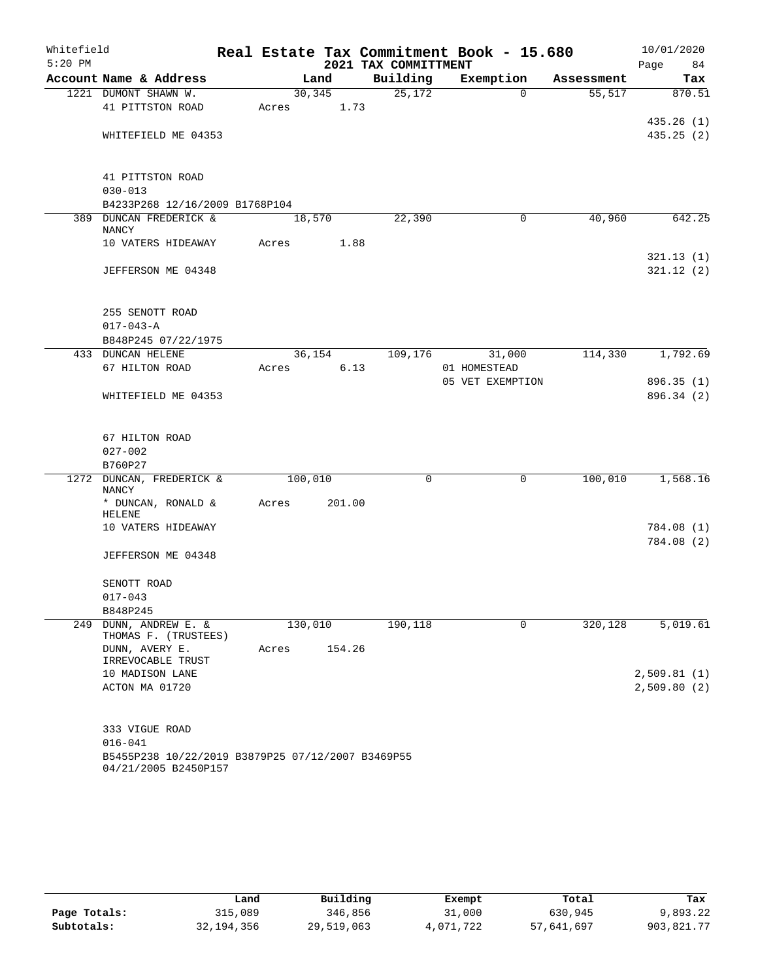| Whitefield |                                                                           |         |         |      |                      | Real Estate Tax Commitment Book - 15.680 |            | 10/01/2020  |
|------------|---------------------------------------------------------------------------|---------|---------|------|----------------------|------------------------------------------|------------|-------------|
| $5:20$ PM  |                                                                           |         |         |      | 2021 TAX COMMITTMENT |                                          |            | Page<br>84  |
|            | Account Name & Address                                                    |         | Land    |      | Building             | Exemption                                | Assessment | Tax         |
|            | 1221 DUMONT SHAWN W.                                                      |         | 30, 345 |      | 25,172               | $\Omega$                                 | 55,517     | 870.51      |
|            | 41 PITTSTON ROAD                                                          | Acres   |         | 1.73 |                      |                                          |            |             |
|            |                                                                           |         |         |      |                      |                                          |            | 435.26(1)   |
|            | WHITEFIELD ME 04353                                                       |         |         |      |                      |                                          |            | 435.25(2)   |
|            | 41 PITTSTON ROAD                                                          |         |         |      |                      |                                          |            |             |
|            | $030 - 013$                                                               |         |         |      |                      |                                          |            |             |
|            | B4233P268 12/16/2009 B1768P104                                            |         |         |      |                      |                                          |            |             |
|            | 389 DUNCAN FREDERICK &                                                    |         | 18,570  |      | 22,390               | 0                                        | 40,960     | 642.25      |
|            | NANCY                                                                     |         |         |      |                      |                                          |            |             |
|            | 10 VATERS HIDEAWAY                                                        | Acres   |         | 1.88 |                      |                                          |            |             |
|            |                                                                           |         |         |      |                      |                                          |            | 321.13(1)   |
|            | JEFFERSON ME 04348                                                        |         |         |      |                      |                                          |            | 321.12(2)   |
|            | 255 SENOTT ROAD                                                           |         |         |      |                      |                                          |            |             |
|            | $017 - 043 - A$                                                           |         |         |      |                      |                                          |            |             |
|            | B848P245 07/22/1975                                                       |         |         |      |                      |                                          |            |             |
|            | 433 DUNCAN HELENE                                                         |         | 36,154  |      | 109,176              | 31,000                                   | 114,330    | 1,792.69    |
|            | 67 HILTON ROAD                                                            | Acres   |         | 6.13 |                      | 01 HOMESTEAD                             |            |             |
|            |                                                                           |         |         |      |                      | 05 VET EXEMPTION                         |            | 896.35(1)   |
|            | WHITEFIELD ME 04353                                                       |         |         |      |                      |                                          |            | 896.34 (2)  |
|            | 67 HILTON ROAD                                                            |         |         |      |                      |                                          |            |             |
|            | $027 - 002$                                                               |         |         |      |                      |                                          |            |             |
|            | B760P27                                                                   |         |         |      |                      |                                          |            |             |
| 1272       | DUNCAN, FREDERICK &                                                       | 100,010 |         |      | 0                    | $\mathbf 0$                              | 100,010    | 1,568.16    |
|            | NANCY                                                                     |         |         |      |                      |                                          |            |             |
|            | * DUNCAN, RONALD &<br><b>HELENE</b>                                       | Acres   | 201.00  |      |                      |                                          |            |             |
|            | 10 VATERS HIDEAWAY                                                        |         |         |      |                      |                                          |            | 784.08 (1)  |
|            |                                                                           |         |         |      |                      |                                          |            | 784.08 (2)  |
|            | JEFFERSON ME 04348                                                        |         |         |      |                      |                                          |            |             |
|            | SENOTT ROAD                                                               |         |         |      |                      |                                          |            |             |
|            | $017 - 043$                                                               |         |         |      |                      |                                          |            |             |
|            | B848P245                                                                  |         |         |      |                      |                                          |            |             |
| 249        | DUNN, ANDREW E. &<br>THOMAS F. (TRUSTEES)                                 | 130,010 |         |      | 190,118              | 0                                        | 320,128    | 5,019.61    |
|            | DUNN, AVERY E.<br>IRREVOCABLE TRUST                                       | Acres   | 154.26  |      |                      |                                          |            |             |
|            | 10 MADISON LANE                                                           |         |         |      |                      |                                          |            | 2,509.81(1) |
|            | ACTON MA 01720                                                            |         |         |      |                      |                                          |            | 2,509.80(2) |
|            |                                                                           |         |         |      |                      |                                          |            |             |
|            | 333 VIGUE ROAD                                                            |         |         |      |                      |                                          |            |             |
|            | $016 - 041$                                                               |         |         |      |                      |                                          |            |             |
|            | B5455P238 10/22/2019 B3879P25 07/12/2007 B3469P55<br>04/21/2005 B2450P157 |         |         |      |                      |                                          |            |             |

|              | Land       | Building   | Exempt    | Total      | Tax        |
|--------------|------------|------------|-----------|------------|------------|
| Page Totals: | 315,089    | 346,856    | 31,000    | 630,945    | 9,893.22   |
| Subtotals:   | 32,194,356 | 29,519,063 | 4,071,722 | 57,641,697 | 903,821.77 |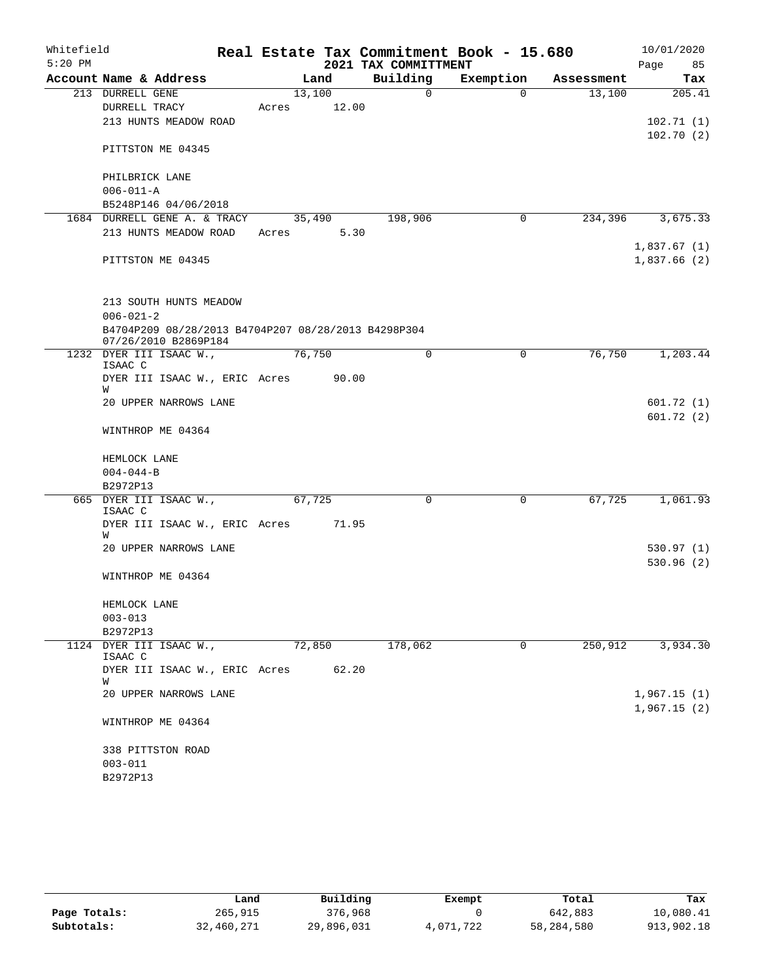| Whitefield |                                                                             |       |        |       | Real Estate Tax Commitment Book - 15.680 |           |          |            |      | 10/01/2020                 |
|------------|-----------------------------------------------------------------------------|-------|--------|-------|------------------------------------------|-----------|----------|------------|------|----------------------------|
| $5:20$ PM  |                                                                             |       |        |       | 2021 TAX COMMITTMENT                     |           |          |            | Page | 85                         |
|            | Account Name & Address                                                      |       | Land   |       | Building                                 | Exemption |          | Assessment |      | Tax                        |
|            | 213 DURRELL GENE                                                            |       | 13,100 |       | $\mathbf 0$                              |           | $\Omega$ | 13,100     |      | 205.41                     |
|            | DURRELL TRACY                                                               | Acres |        | 12.00 |                                          |           |          |            |      |                            |
|            | 213 HUNTS MEADOW ROAD                                                       |       |        |       |                                          |           |          |            |      | 102.71(1)                  |
|            | PITTSTON ME 04345                                                           |       |        |       |                                          |           |          |            |      | 102.70(2)                  |
|            | PHILBRICK LANE                                                              |       |        |       |                                          |           |          |            |      |                            |
|            | $006 - 011 - A$                                                             |       |        |       |                                          |           |          |            |      |                            |
|            | B5248P146 04/06/2018                                                        |       |        |       |                                          |           |          |            |      |                            |
|            | 1684 DURRELL GENE A. & TRACY                                                |       | 35,490 |       | 198,906                                  |           | 0        | 234,396    |      | 3,675.33                   |
|            | 213 HUNTS MEADOW ROAD                                                       | Acres |        | 5.30  |                                          |           |          |            |      |                            |
|            | PITTSTON ME 04345                                                           |       |        |       |                                          |           |          |            |      | 1,837.67(1)<br>1,837.66(2) |
|            | 213 SOUTH HUNTS MEADOW                                                      |       |        |       |                                          |           |          |            |      |                            |
|            | $006 - 021 - 2$                                                             |       |        |       |                                          |           |          |            |      |                            |
|            | B4704P209 08/28/2013 B4704P207 08/28/2013 B4298P304<br>07/26/2010 B2869P184 |       |        |       |                                          |           |          |            |      |                            |
|            | 1232 DYER III ISAAC W.,<br>ISAAC C                                          |       | 76,750 |       | 0                                        |           | 0        | 76,750     |      | 1,203.44                   |
|            | DYER III ISAAC W., ERIC Acres 90.00<br>W                                    |       |        |       |                                          |           |          |            |      |                            |
|            | 20 UPPER NARROWS LANE                                                       |       |        |       |                                          |           |          |            |      | 601.72(1)                  |
|            | WINTHROP ME 04364                                                           |       |        |       |                                          |           |          |            |      | 601.72(2)                  |
|            | HEMLOCK LANE                                                                |       |        |       |                                          |           |          |            |      |                            |
|            | $004 - 044 - B$                                                             |       |        |       |                                          |           |          |            |      |                            |
|            | B2972P13                                                                    |       |        |       |                                          |           |          |            |      |                            |
|            | 665 DYER III ISAAC W.,<br>ISAAC C                                           |       | 67,725 |       | 0                                        |           | 0        | 67,725     |      | 1,061.93                   |
|            | DYER III ISAAC W., ERIC Acres<br>W                                          |       |        | 71.95 |                                          |           |          |            |      |                            |
|            | 20 UPPER NARROWS LANE                                                       |       |        |       |                                          |           |          |            |      | 530.97(1)                  |
|            | WINTHROP ME 04364                                                           |       |        |       |                                          |           |          |            |      | 530.96(2)                  |
|            | HEMLOCK LANE                                                                |       |        |       |                                          |           |          |            |      |                            |
|            | $003 - 013$                                                                 |       |        |       |                                          |           |          |            |      |                            |
|            | B2972P13                                                                    |       |        |       |                                          |           |          |            |      |                            |
|            | 1124 DYER III ISAAC W.,<br>ISAAC C                                          |       | 72,850 |       | 178,062                                  |           | 0        | 250,912    |      | 3,934.30                   |
|            | DYER III ISAAC W., ERIC Acres<br>W                                          |       |        | 62.20 |                                          |           |          |            |      |                            |
|            | 20 UPPER NARROWS LANE                                                       |       |        |       |                                          |           |          |            |      | 1,967.15(1)<br>1,967.15(2) |
|            | WINTHROP ME 04364                                                           |       |        |       |                                          |           |          |            |      |                            |
|            | 338 PITTSTON ROAD                                                           |       |        |       |                                          |           |          |            |      |                            |
|            | $003 - 011$                                                                 |       |        |       |                                          |           |          |            |      |                            |
|            | B2972P13                                                                    |       |        |       |                                          |           |          |            |      |                            |

|              | Land       | Building   | Exempt    | Total      | Tax        |
|--------------|------------|------------|-----------|------------|------------|
| Page Totals: | 265,915    | 376,968    |           | 642,883    | 10,080.41  |
| Subtotals:   | 32,460,271 | 29,896,031 | 4,071,722 | 58,284,580 | 913,902.18 |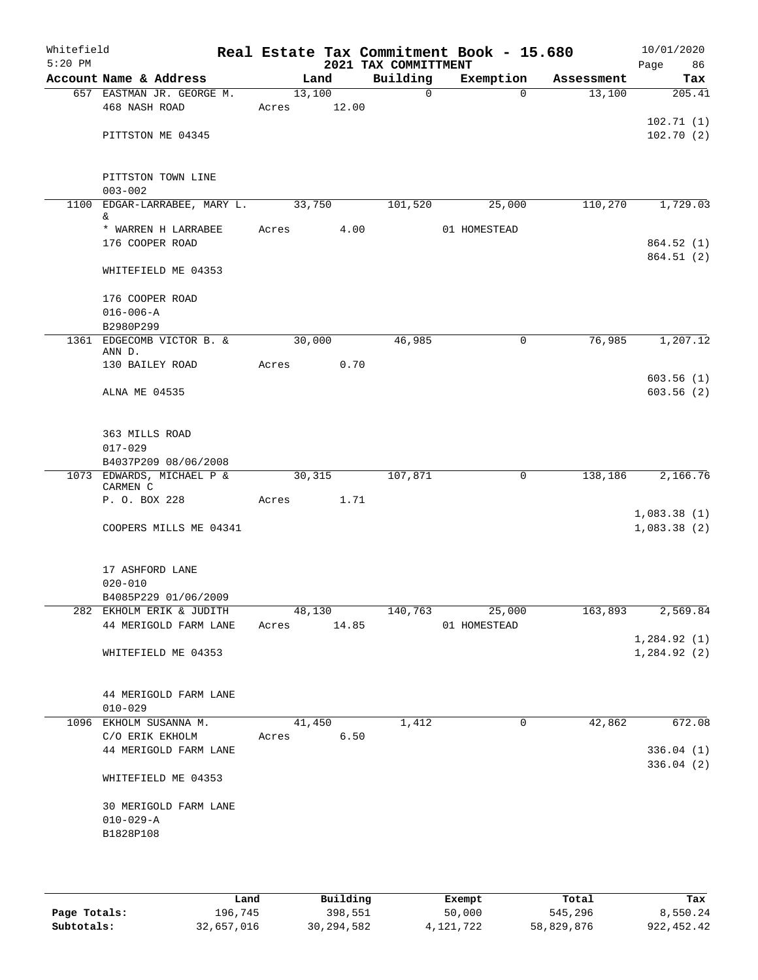| Whitefield<br>$5:20$ PM |                                   |       |        |        | Real Estate Tax Commitment Book - 15.680<br>2021 TAX COMMITTMENT |              |             |            | 10/01/2020<br>Page<br>86 |
|-------------------------|-----------------------------------|-------|--------|--------|------------------------------------------------------------------|--------------|-------------|------------|--------------------------|
|                         | Account Name & Address            |       | Land   |        | Building                                                         |              | Exemption   | Assessment | Tax                      |
|                         | 657 EASTMAN JR. GEORGE M.         |       | 13,100 |        | $\mathbf 0$                                                      |              | $\Omega$    | 13,100     | 205.41                   |
|                         | 468 NASH ROAD                     | Acres |        | 12.00  |                                                                  |              |             |            |                          |
|                         |                                   |       |        |        |                                                                  |              |             |            | 102.71(1)                |
|                         | PITTSTON ME 04345                 |       |        |        |                                                                  |              |             |            | 102.70(2)                |
|                         |                                   |       |        |        |                                                                  |              |             |            |                          |
|                         |                                   |       |        |        |                                                                  |              |             |            |                          |
|                         | PITTSTON TOWN LINE                |       |        |        |                                                                  |              |             |            |                          |
|                         | $003 - 002$                       |       |        |        |                                                                  |              |             |            |                          |
| 1100                    | EDGAR-LARRABEE, MARY L.           |       | 33,750 |        | 101,520                                                          |              | 25,000      | 110,270    | 1,729.03                 |
|                         | &<br>* WARREN H LARRABEE          | Acres |        | 4.00   |                                                                  | 01 HOMESTEAD |             |            |                          |
|                         | 176 COOPER ROAD                   |       |        |        |                                                                  |              |             |            | 864.52(1)                |
|                         |                                   |       |        |        |                                                                  |              |             |            | 864.51(2)                |
|                         | WHITEFIELD ME 04353               |       |        |        |                                                                  |              |             |            |                          |
|                         |                                   |       |        |        |                                                                  |              |             |            |                          |
|                         | 176 COOPER ROAD                   |       |        |        |                                                                  |              |             |            |                          |
|                         | $016 - 006 - A$                   |       |        |        |                                                                  |              |             |            |                          |
|                         | B2980P299                         |       |        |        |                                                                  |              |             |            |                          |
|                         | 1361 EDGECOMB VICTOR B. &         |       | 30,000 |        | 46,985                                                           |              | 0           | 76,985     | 1,207.12                 |
|                         | ANN D.                            |       |        |        |                                                                  |              |             |            |                          |
|                         | 130 BAILEY ROAD                   | Acres |        | 0.70   |                                                                  |              |             |            |                          |
|                         |                                   |       |        |        |                                                                  |              |             |            | 603.56(1)                |
|                         | ALNA ME 04535                     |       |        |        |                                                                  |              |             |            | 603.56(2)                |
|                         |                                   |       |        |        |                                                                  |              |             |            |                          |
|                         | 363 MILLS ROAD                    |       |        |        |                                                                  |              |             |            |                          |
|                         | $017 - 029$                       |       |        |        |                                                                  |              |             |            |                          |
|                         | B4037P209 08/06/2008              |       |        |        |                                                                  |              |             |            |                          |
|                         | 1073 EDWARDS, MICHAEL P &         |       | 30,315 |        | 107,871                                                          |              | $\mathbf 0$ | 138,186    | 2,166.76                 |
|                         | CARMEN C                          |       |        |        |                                                                  |              |             |            |                          |
|                         | P. O. BOX 228                     | Acres |        | 1.71   |                                                                  |              |             |            |                          |
|                         |                                   |       |        |        |                                                                  |              |             |            | 1,083.38(1)              |
|                         | COOPERS MILLS ME 04341            |       |        |        |                                                                  |              |             |            | 1,083.38(2)              |
|                         |                                   |       |        |        |                                                                  |              |             |            |                          |
|                         | 17 ASHFORD LANE                   |       |        |        |                                                                  |              |             |            |                          |
|                         | $020 - 010$                       |       |        |        |                                                                  |              |             |            |                          |
|                         | B4085P229 01/06/2009              |       |        |        |                                                                  |              |             |            |                          |
|                         | 282 EKHOLM ERIK & JUDITH          |       |        |        | 48,130 140,763                                                   |              | 25,000      | 163,893    | 2,569.84                 |
|                         | 44 MERIGOLD FARM LANE Acres 14.85 |       |        |        |                                                                  | 01 HOMESTEAD |             |            |                          |
|                         |                                   |       |        |        |                                                                  |              |             |            | 1,284.92(1)              |
|                         | WHITEFIELD ME 04353               |       |        |        |                                                                  |              |             |            | 1,284.92 (2)             |
|                         |                                   |       |        |        |                                                                  |              |             |            |                          |
|                         |                                   |       |        |        |                                                                  |              |             |            |                          |
|                         | 44 MERIGOLD FARM LANE             |       |        |        |                                                                  |              |             |            |                          |
|                         | $010 - 029$                       |       |        |        |                                                                  |              |             |            |                          |
|                         | 1096 EKHOLM SUSANNA M.            |       |        | 41,450 | 1,412                                                            |              | $\mathbf 0$ | 42,862     | 672.08                   |
|                         | C/O ERIK EKHOLM Acres 6.50        |       |        |        |                                                                  |              |             |            |                          |
|                         | 44 MERIGOLD FARM LANE             |       |        |        |                                                                  |              |             |            | 336.04 (1)               |
|                         |                                   |       |        |        |                                                                  |              |             |            | 336.04(2)                |
|                         | WHITEFIELD ME 04353               |       |        |        |                                                                  |              |             |            |                          |
|                         |                                   |       |        |        |                                                                  |              |             |            |                          |
|                         | 30 MERIGOLD FARM LANE             |       |        |        |                                                                  |              |             |            |                          |
|                         | $010 - 029 - A$                   |       |        |        |                                                                  |              |             |            |                          |
|                         | B1828P108                         |       |        |        |                                                                  |              |             |            |                          |
|                         |                                   |       |        |        |                                                                  |              |             |            |                          |
|                         |                                   |       |        |        |                                                                  |              |             |            |                          |

|              | Land       | Building     | Exempt      | Total      | Tax         |
|--------------|------------|--------------|-------------|------------|-------------|
| Page Totals: | 196,745    | 398,551      | 50,000      | 545,296    | 8,550.24    |
| Subtotals:   | 32,657,016 | 30, 294, 582 | 4, 121, 722 | 58,829,876 | 922, 452.42 |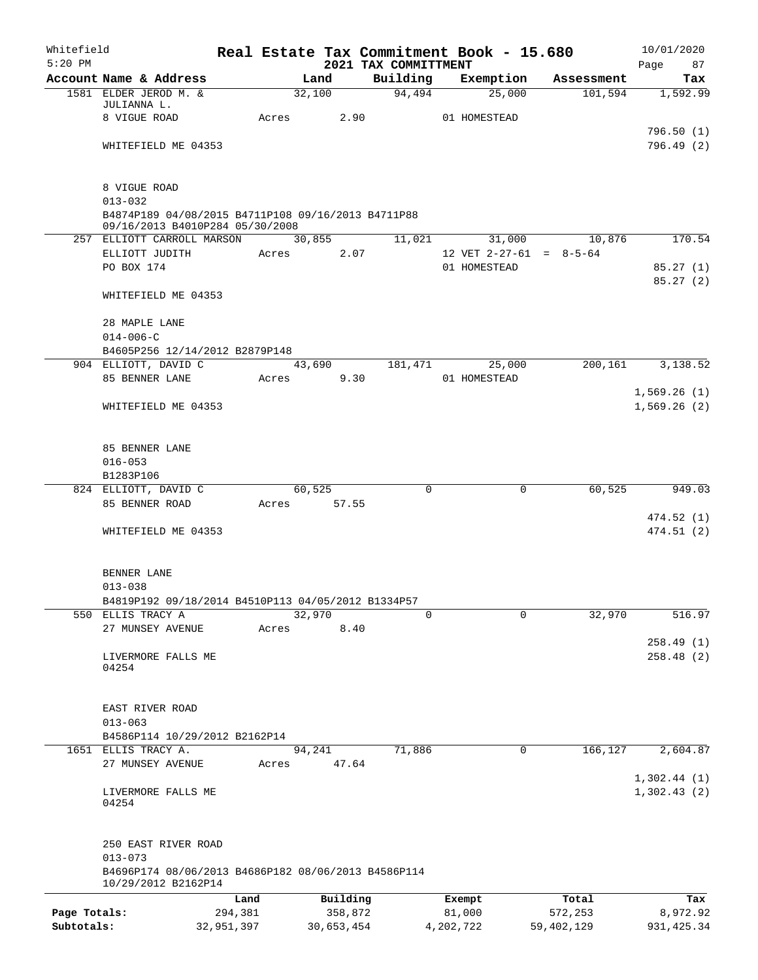| Whitefield   |                                                                                       |            |             |                |                                  |           | Real Estate Tax Commitment Book - 15.680 |              | 10/01/2020              |
|--------------|---------------------------------------------------------------------------------------|------------|-------------|----------------|----------------------------------|-----------|------------------------------------------|--------------|-------------------------|
| $5:20$ PM    | Account Name & Address                                                                |            |             | Land           | 2021 TAX COMMITTMENT<br>Building |           | Exemption                                | Assessment   | Page<br>87<br>Tax       |
|              | 1581 ELDER JEROD M. &                                                                 |            |             | 32,100         | 94,494                           |           | 25,000                                   | 101,594      | 1,592.99                |
|              | JULIANNA L.                                                                           |            |             |                |                                  |           |                                          |              |                         |
|              | 8 VIGUE ROAD                                                                          |            | Acres       | 2.90           |                                  |           | 01 HOMESTEAD                             |              |                         |
|              |                                                                                       |            |             |                |                                  |           |                                          |              | 796.50(1)<br>796.49 (2) |
|              | WHITEFIELD ME 04353                                                                   |            |             |                |                                  |           |                                          |              |                         |
|              | 8 VIGUE ROAD                                                                          |            |             |                |                                  |           |                                          |              |                         |
|              | $013 - 032$                                                                           |            |             |                |                                  |           |                                          |              |                         |
|              | B4874P189 04/08/2015 B4711P108 09/16/2013 B4711P88<br>09/16/2013 B4010P284 05/30/2008 |            |             |                |                                  |           |                                          |              |                         |
|              | 257 ELLIOTT CARROLL MARSON                                                            |            |             | 30,855         | 11,021                           |           | 31,000                                   | 10,876       | 170.54                  |
|              | ELLIOTT JUDITH                                                                        |            | Acres       | 2.07           |                                  |           | 12 VET $2-27-61 = 8-5-64$                |              |                         |
|              | PO BOX 174                                                                            |            |             |                |                                  |           | 01 HOMESTEAD                             |              | 85.27(1)                |
|              |                                                                                       |            |             |                |                                  |           |                                          |              | 85.27(2)                |
|              | WHITEFIELD ME 04353                                                                   |            |             |                |                                  |           |                                          |              |                         |
|              | 28 MAPLE LANE                                                                         |            |             |                |                                  |           |                                          |              |                         |
|              | $014 - 006 - C$                                                                       |            |             |                |                                  |           |                                          |              |                         |
|              | B4605P256 12/14/2012 B2879P148                                                        |            |             |                |                                  |           |                                          |              |                         |
|              | 904 ELLIOTT, DAVID C                                                                  |            |             | 43,690         | 181,471                          |           | 25,000                                   | 200,161      | 3,138.52                |
|              | 85 BENNER LANE                                                                        |            | Acres       | 9.30           |                                  |           | 01 HOMESTEAD                             |              |                         |
|              |                                                                                       |            |             |                |                                  |           |                                          |              | 1,569.26(1)             |
|              | WHITEFIELD ME 04353                                                                   |            |             |                |                                  |           |                                          |              | 1,569.26(2)             |
|              | 85 BENNER LANE                                                                        |            |             |                |                                  |           |                                          |              |                         |
|              | $016 - 053$                                                                           |            |             |                |                                  |           |                                          |              |                         |
|              | B1283P106                                                                             |            |             |                |                                  |           |                                          |              |                         |
|              | 824 ELLIOTT, DAVID C                                                                  |            |             | 60,525         |                                  | $\Omega$  | $\mathbf 0$                              | 60,525       | 949.03                  |
|              | 85 BENNER ROAD                                                                        |            | Acres 57.55 |                |                                  |           |                                          |              | 474.52 (1)              |
|              | WHITEFIELD ME 04353                                                                   |            |             |                |                                  |           |                                          |              | 474.51(2)               |
|              |                                                                                       |            |             |                |                                  |           |                                          |              |                         |
|              | BENNER LANE                                                                           |            |             |                |                                  |           |                                          |              |                         |
|              | $013 - 038$                                                                           |            |             |                |                                  |           |                                          |              |                         |
|              | B4819P192 09/18/2014 B4510P113 04/05/2012 B1334P57                                    |            |             |                |                                  |           |                                          |              |                         |
|              | 550 ELLIS TRACY A<br>27 MUNSEY AVENUE                                                 |            | Acres       | 32,970<br>8.40 |                                  | $\Omega$  | $\Omega$                                 | 32,970       | 516.97                  |
|              |                                                                                       |            |             |                |                                  |           |                                          |              | 258.49(1)               |
|              | LIVERMORE FALLS ME                                                                    |            |             |                |                                  |           |                                          |              | 258.48(2)               |
|              | 04254                                                                                 |            |             |                |                                  |           |                                          |              |                         |
|              |                                                                                       |            |             |                |                                  |           |                                          |              |                         |
|              | EAST RIVER ROAD                                                                       |            |             |                |                                  |           |                                          |              |                         |
|              | $013 - 063$<br>B4586P114 10/29/2012 B2162P14                                          |            |             |                |                                  |           |                                          |              |                         |
|              | 1651 ELLIS TRACY A.                                                                   |            |             | 94,241         | 71,886                           |           | 0                                        | 166,127      | 2,604.87                |
|              | 27 MUNSEY AVENUE                                                                      |            | Acres       | 47.64          |                                  |           |                                          |              |                         |
|              |                                                                                       |            |             |                |                                  |           |                                          |              | 1,302.44(1)             |
|              | LIVERMORE FALLS ME<br>04254                                                           |            |             |                |                                  |           |                                          |              | 1,302.43(2)             |
|              |                                                                                       |            |             |                |                                  |           |                                          |              |                         |
|              | 250 EAST RIVER ROAD<br>$013 - 073$                                                    |            |             |                |                                  |           |                                          |              |                         |
|              | B4696P174 08/06/2013 B4686P182 08/06/2013 B4586P114<br>10/29/2012 B2162P14            |            |             |                |                                  |           |                                          |              |                         |
|              |                                                                                       | Land       |             | Building       |                                  |           | Exempt                                   | Total        | Tax                     |
| Page Totals: |                                                                                       | 294,381    |             | 358,872        |                                  |           | 81,000                                   | 572,253      | 8,972.92                |
| Subtotals:   |                                                                                       | 32,951,397 |             | 30,653,454     |                                  | 4,202,722 |                                          | 59, 402, 129 | 931, 425.34             |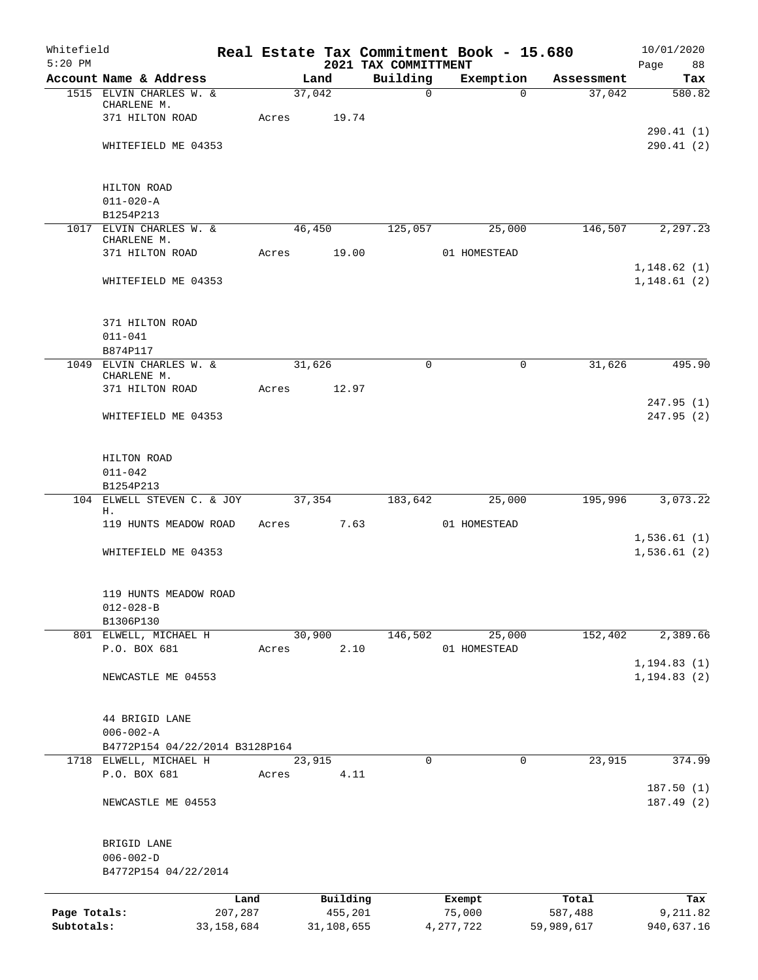| Whitefield<br>$5:20$ PM |                                         |              |       |            |          | 2021 TAX COMMITTMENT | Real Estate Tax Commitment Book - 15.680 |            | 10/01/2020<br>Page<br>88     |
|-------------------------|-----------------------------------------|--------------|-------|------------|----------|----------------------|------------------------------------------|------------|------------------------------|
|                         | Account Name & Address                  |              |       | Land       |          | Building             | Exemption                                | Assessment | Tax                          |
|                         | 1515 ELVIN CHARLES W. &                 |              |       | 37,042     |          | $\mathsf{O}$         | $\Omega$                                 | 37,042     | 580.82                       |
|                         | CHARLENE M.                             |              |       |            |          |                      |                                          |            |                              |
|                         | 371 HILTON ROAD                         |              | Acres |            | 19.74    |                      |                                          |            |                              |
|                         | WHITEFIELD ME 04353                     |              |       |            |          |                      |                                          |            | 290.41(1)<br>290.41(2)       |
|                         |                                         |              |       |            |          |                      |                                          |            |                              |
|                         | HILTON ROAD                             |              |       |            |          |                      |                                          |            |                              |
|                         | $011 - 020 - A$                         |              |       |            |          |                      |                                          |            |                              |
|                         | B1254P213                               |              |       |            |          |                      |                                          |            |                              |
|                         | 1017 ELVIN CHARLES W. &                 |              |       | 46,450     |          | 125,057              | 25,000                                   | 146,507    | 2,297.23                     |
|                         | CHARLENE M.                             |              |       |            |          |                      |                                          |            |                              |
|                         | 371 HILTON ROAD                         |              | Acres |            | 19.00    |                      | 01 HOMESTEAD                             |            | 1,148.62(1)                  |
|                         | WHITEFIELD ME 04353                     |              |       |            |          |                      |                                          |            | 1,148.61(2)                  |
|                         | 371 HILTON ROAD                         |              |       |            |          |                      |                                          |            |                              |
|                         | $011 - 041$                             |              |       |            |          |                      |                                          |            |                              |
|                         | B874P117                                |              |       |            |          |                      |                                          |            |                              |
|                         | 1049 ELVIN CHARLES W. &                 |              |       | 31,626     |          | 0                    | 0                                        | 31,626     | 495.90                       |
|                         | CHARLENE M.                             |              |       |            |          |                      |                                          |            |                              |
|                         | 371 HILTON ROAD                         |              | Acres |            | 12.97    |                      |                                          |            | 247.95(1)                    |
|                         | WHITEFIELD ME 04353                     |              |       |            |          |                      |                                          |            | 247.95(2)                    |
|                         |                                         |              |       |            |          |                      |                                          |            |                              |
|                         | HILTON ROAD                             |              |       |            |          |                      |                                          |            |                              |
|                         | $011 - 042$                             |              |       |            |          |                      |                                          |            |                              |
|                         | B1254P213                               |              |       |            |          |                      |                                          |            |                              |
|                         | 104 ELWELL STEVEN C. & JOY<br>Н.        |              |       | 37,354     |          | 183,642              | 25,000                                   | 195,996    | 3,073.22                     |
|                         | 119 HUNTS MEADOW ROAD                   |              | Acres |            | 7.63     |                      | 01 HOMESTEAD                             |            |                              |
|                         |                                         |              |       |            |          |                      |                                          |            | 1,536.61(1)                  |
|                         | WHITEFIELD ME 04353                     |              |       |            |          |                      |                                          |            | 1,536.61(2)                  |
|                         | 119 HUNTS MEADOW ROAD                   |              |       |            |          |                      |                                          |            |                              |
|                         | $012 - 028 - B$                         |              |       |            |          |                      |                                          |            |                              |
|                         | B1306P130                               |              |       |            |          |                      |                                          |            |                              |
|                         | 801 ELWELL, MICHAEL H                   |              |       | 30,900     |          | 146,502              | 25,000                                   | 152,402    | 2,389.66                     |
|                         | P.O. BOX 681                            |              | Acres |            | 2.10     |                      | 01 HOMESTEAD                             |            |                              |
|                         | NEWCASTLE ME 04553                      |              |       |            |          |                      |                                          |            | 1, 194.83(1)<br>1, 194.83(2) |
|                         |                                         |              |       |            |          |                      |                                          |            |                              |
|                         | 44 BRIGID LANE                          |              |       |            |          |                      |                                          |            |                              |
|                         | $006 - 002 - A$                         |              |       |            |          |                      |                                          |            |                              |
|                         | B4772P154 04/22/2014 B3128P164          |              |       |            |          |                      |                                          |            |                              |
| 1718                    | ELWELL, MICHAEL H                       |              |       | 23,915     |          | 0                    | 0                                        | 23,915     | 374.99                       |
|                         | P.O. BOX 681                            |              | Acres |            | 4.11     |                      |                                          |            |                              |
|                         | NEWCASTLE ME 04553                      |              |       |            |          |                      |                                          |            | 187.50(1)<br>187.49(2)       |
|                         |                                         |              |       |            |          |                      |                                          |            |                              |
|                         | BRIGID LANE                             |              |       |            |          |                      |                                          |            |                              |
|                         | $006 - 002 - D$<br>B4772P154 04/22/2014 |              |       |            |          |                      |                                          |            |                              |
|                         |                                         | Land         |       |            | Building |                      | Exempt                                   | Total      | Tax                          |
| Page Totals:            |                                         | 207,287      |       |            | 455,201  |                      | 75,000                                   | 587,488    | 9,211.82                     |
| Subtotals:              |                                         | 33, 158, 684 |       | 31,108,655 |          |                      | 4, 277, 722                              | 59,989,617 | 940,637.16                   |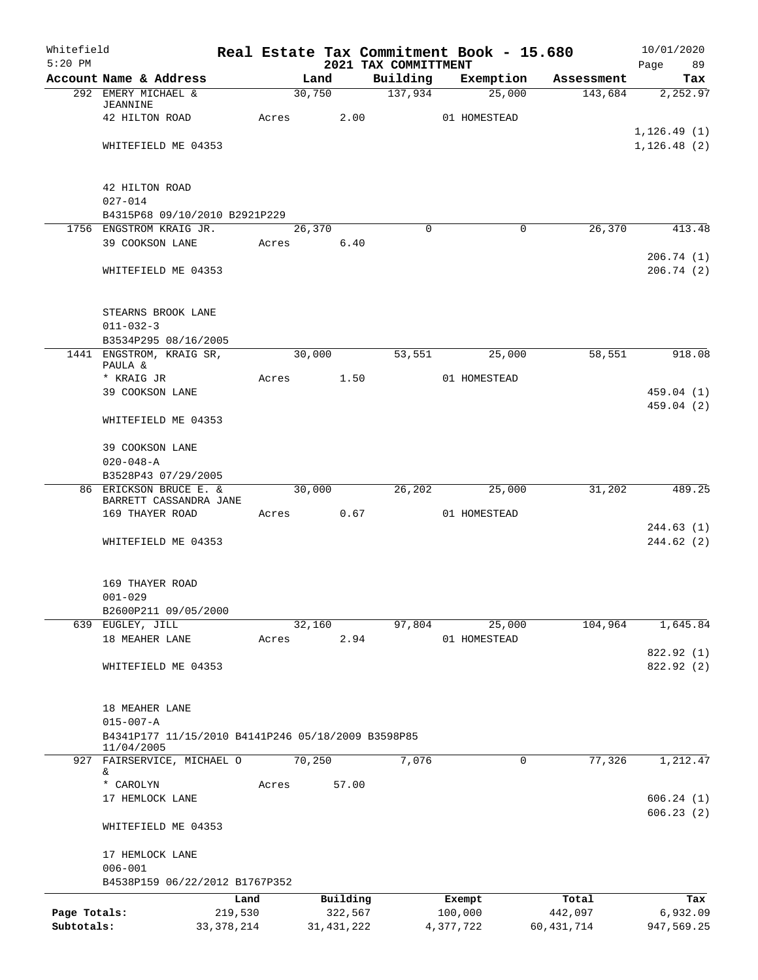| Whitefield<br>$5:20$ PM |                                                                  |              |       |            |              |                                  |          | Real Estate Tax Commitment Book - 15.680 |              | 10/01/2020        |
|-------------------------|------------------------------------------------------------------|--------------|-------|------------|--------------|----------------------------------|----------|------------------------------------------|--------------|-------------------|
|                         | Account Name & Address                                           |              |       | Land       |              | 2021 TAX COMMITTMENT<br>Building |          | Exemption                                | Assessment   | Page<br>89<br>Tax |
|                         | 292 EMERY MICHAEL &                                              |              |       | 30,750     |              | 137,934                          |          | 25,000                                   | 143,684      | 2,252.97          |
|                         | <b>JEANNINE</b>                                                  |              |       |            |              |                                  |          |                                          |              |                   |
|                         | 42 HILTON ROAD                                                   |              | Acres |            | 2.00         |                                  |          | 01 HOMESTEAD                             |              | 1, 126.49(1)      |
|                         | WHITEFIELD ME 04353                                              |              |       |            |              |                                  |          |                                          |              | 1, 126.48(2)      |
|                         |                                                                  |              |       |            |              |                                  |          |                                          |              |                   |
|                         | 42 HILTON ROAD                                                   |              |       |            |              |                                  |          |                                          |              |                   |
|                         | $027 - 014$                                                      |              |       |            |              |                                  |          |                                          |              |                   |
|                         | B4315P68 09/10/2010 B2921P229                                    |              |       |            |              |                                  |          |                                          |              |                   |
|                         | 1756 ENGSTROM KRAIG JR.                                          |              |       | 26,370     |              |                                  | $\Omega$ | $\Omega$                                 | 26,370       | 413.48            |
|                         | 39 COOKSON LANE                                                  |              |       | Acres 6.40 |              |                                  |          |                                          |              | 206.74(1)         |
|                         | WHITEFIELD ME 04353                                              |              |       |            |              |                                  |          |                                          |              | 206.74(2)         |
|                         |                                                                  |              |       |            |              |                                  |          |                                          |              |                   |
|                         |                                                                  |              |       |            |              |                                  |          |                                          |              |                   |
|                         | STEARNS BROOK LANE<br>$011 - 032 - 3$                            |              |       |            |              |                                  |          |                                          |              |                   |
|                         | B3534P295 08/16/2005                                             |              |       |            |              |                                  |          |                                          |              |                   |
|                         | 1441 ENGSTROM, KRAIG SR,                                         |              |       | 30,000     |              | 53,551                           |          | 25,000                                   | 58,551       | 918.08            |
|                         | PAULA &<br>* KRAIG JR                                            |              | Acres |            | 1.50         |                                  |          | 01 HOMESTEAD                             |              |                   |
|                         | 39 COOKSON LANE                                                  |              |       |            |              |                                  |          |                                          |              | 459.04 (1)        |
|                         |                                                                  |              |       |            |              |                                  |          |                                          |              | 459.04 (2)        |
|                         | WHITEFIELD ME 04353                                              |              |       |            |              |                                  |          |                                          |              |                   |
|                         | 39 COOKSON LANE                                                  |              |       |            |              |                                  |          |                                          |              |                   |
|                         | $020 - 048 - A$                                                  |              |       |            |              |                                  |          |                                          |              |                   |
|                         | B3528P43 07/29/2005                                              |              |       |            |              |                                  |          |                                          |              |                   |
|                         | 86 ERICKSON BRUCE E. &<br>BARRETT CASSANDRA JANE                 |              |       | 30,000     |              | 26,202                           |          | 25,000                                   | 31,202       | 489.25            |
|                         | 169 THAYER ROAD                                                  |              |       | Acres 0.67 |              |                                  |          | 01 HOMESTEAD                             |              |                   |
|                         |                                                                  |              |       |            |              |                                  |          |                                          |              | 244.63(1)         |
|                         | WHITEFIELD ME 04353                                              |              |       |            |              |                                  |          |                                          |              | 244.62(2)         |
|                         |                                                                  |              |       |            |              |                                  |          |                                          |              |                   |
|                         | 169 THAYER ROAD                                                  |              |       |            |              |                                  |          |                                          |              |                   |
|                         | $001 - 029$                                                      |              |       |            |              |                                  |          |                                          |              |                   |
|                         | B2600P211 09/05/2000                                             |              |       |            |              |                                  |          |                                          |              |                   |
|                         | 639 EUGLEY, JILL<br>18 MEAHER LANE                               |              | Acres | 32,160     | 2.94         | 97,804                           |          | 25,000<br>01 HOMESTEAD                   | 104,964      | 1,645.84          |
|                         |                                                                  |              |       |            |              |                                  |          |                                          |              | 822.92 (1)        |
|                         | WHITEFIELD ME 04353                                              |              |       |            |              |                                  |          |                                          |              | 822.92 (2)        |
|                         |                                                                  |              |       |            |              |                                  |          |                                          |              |                   |
|                         | 18 MEAHER LANE                                                   |              |       |            |              |                                  |          |                                          |              |                   |
|                         | $015 - 007 - A$                                                  |              |       |            |              |                                  |          |                                          |              |                   |
|                         | B4341P177 11/15/2010 B4141P246 05/18/2009 B3598P85<br>11/04/2005 |              |       |            |              |                                  |          |                                          |              |                   |
|                         | 927 FAIRSERVICE, MICHAEL O                                       |              |       | 70,250     |              | 7,076                            |          | $\mathbf 0$                              | 77,326       | 1,212.47          |
|                         | &                                                                |              |       |            |              |                                  |          |                                          |              |                   |
|                         | * CAROLYN<br>17 HEMLOCK LANE                                     |              | Acres |            | 57.00        |                                  |          |                                          |              | 606.24(1)         |
|                         |                                                                  |              |       |            |              |                                  |          |                                          |              | 606.23(2)         |
|                         | WHITEFIELD ME 04353                                              |              |       |            |              |                                  |          |                                          |              |                   |
|                         |                                                                  |              |       |            |              |                                  |          |                                          |              |                   |
|                         | 17 HEMLOCK LANE<br>$006 - 001$                                   |              |       |            |              |                                  |          |                                          |              |                   |
|                         | B4538P159 06/22/2012 B1767P352                                   |              |       |            |              |                                  |          |                                          |              |                   |
|                         |                                                                  | Land         |       |            | Building     |                                  |          | Exempt                                   | Total        | Tax               |
| Page Totals:            |                                                                  | 219,530      |       |            | 322,567      |                                  |          | 100,000                                  | 442,097      | 6,932.09          |
| Subtotals:              |                                                                  | 33, 378, 214 |       |            | 31, 431, 222 |                                  |          | 4,377,722                                | 60, 431, 714 | 947,569.25        |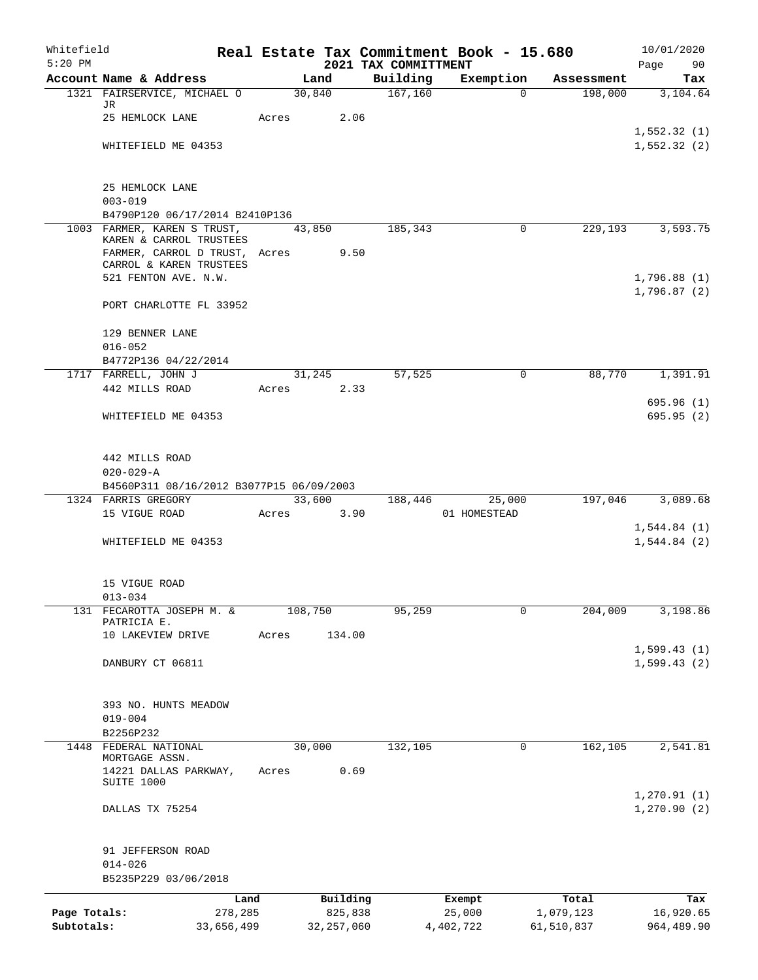| Whitefield   |                                                               |            |       |              |                                  | Real Estate Tax Commitment Book - 15.680 |                     | 10/01/2020                 |
|--------------|---------------------------------------------------------------|------------|-------|--------------|----------------------------------|------------------------------------------|---------------------|----------------------------|
| $5:20$ PM    | Account Name & Address                                        |            |       | Land         | 2021 TAX COMMITTMENT<br>Building | Exemption                                | Assessment          | Page<br>90                 |
|              | 1321 FAIRSERVICE, MICHAEL O                                   |            |       | 30,840       | 167, 160                         |                                          | 198,000<br>$\Omega$ | Tax<br>3,104.64            |
|              | JR                                                            |            |       |              |                                  |                                          |                     |                            |
|              | 25 HEMLOCK LANE                                               |            | Acres | 2.06         |                                  |                                          |                     |                            |
|              | WHITEFIELD ME 04353                                           |            |       |              |                                  |                                          |                     | 1,552.32(1)<br>1,552.32(2) |
|              |                                                               |            |       |              |                                  |                                          |                     |                            |
|              | 25 HEMLOCK LANE                                               |            |       |              |                                  |                                          |                     |                            |
|              | $003 - 019$                                                   |            |       |              |                                  |                                          |                     |                            |
|              | B4790P120 06/17/2014 B2410P136<br>1003 FARMER, KAREN S TRUST, |            |       | 43,850       | 185,343                          |                                          | 229,193<br>$\Omega$ | 3,593.75                   |
|              | KAREN & CARROL TRUSTEES                                       |            |       |              |                                  |                                          |                     |                            |
|              | FARMER, CARROL D TRUST, Acres                                 |            |       | 9.50         |                                  |                                          |                     |                            |
|              | CARROL & KAREN TRUSTEES<br>521 FENTON AVE. N.W.               |            |       |              |                                  |                                          |                     | 1,796.88(1)                |
|              |                                                               |            |       |              |                                  |                                          |                     | 1,796.87(2)                |
|              | PORT CHARLOTTE FL 33952                                       |            |       |              |                                  |                                          |                     |                            |
|              | 129 BENNER LANE                                               |            |       |              |                                  |                                          |                     |                            |
|              | $016 - 052$<br>B4772P136 04/22/2014                           |            |       |              |                                  |                                          |                     |                            |
|              | 1717 FARRELL, JOHN J                                          |            |       | 31,245       | 57,525                           |                                          | 88,770<br>0         | 1,391.91                   |
|              | 442 MILLS ROAD                                                |            | Acres | 2.33         |                                  |                                          |                     |                            |
|              |                                                               |            |       |              |                                  |                                          |                     | 695.96(1)                  |
|              | WHITEFIELD ME 04353                                           |            |       |              |                                  |                                          |                     | 695.95(2)                  |
|              | 442 MILLS ROAD                                                |            |       |              |                                  |                                          |                     |                            |
|              | $020 - 029 - A$                                               |            |       |              |                                  |                                          |                     |                            |
|              | B4560P311 08/16/2012 B3077P15 06/09/2003                      |            |       |              |                                  |                                          |                     |                            |
|              | 1324 FARRIS GREGORY                                           |            |       | 33,600       | 188,446                          | 25,000                                   | 197,046             | 3,089.68                   |
|              | 15 VIGUE ROAD                                                 |            | Acres | 3.90         |                                  | 01 HOMESTEAD                             |                     | 1,544.84(1)                |
|              | WHITEFIELD ME 04353                                           |            |       |              |                                  |                                          |                     | 1,544.84(2)                |
|              |                                                               |            |       |              |                                  |                                          |                     |                            |
|              | 15 VIGUE ROAD                                                 |            |       |              |                                  |                                          |                     |                            |
|              | $013 - 034$                                                   |            |       |              |                                  |                                          |                     |                            |
|              | 131 FECAROTTA JOSEPH M. &<br>PATRICIA E.                      |            |       | 108,750      | 95,259                           |                                          | 204,009<br>0        | 3,198.86                   |
|              | 10 LAKEVIEW DRIVE                                             |            | Acres | 134.00       |                                  |                                          |                     |                            |
|              |                                                               |            |       |              |                                  |                                          |                     | 1,599.43(1)                |
|              | DANBURY CT 06811                                              |            |       |              |                                  |                                          |                     | 1,599.43(2)                |
|              | 393 NO. HUNTS MEADOW                                          |            |       |              |                                  |                                          |                     |                            |
|              | $019 - 004$                                                   |            |       |              |                                  |                                          |                     |                            |
|              | B2256P232                                                     |            |       |              |                                  |                                          |                     |                            |
| 1448         | FEDERAL NATIONAL                                              |            |       | 30,000       | 132, 105                         |                                          | 162,105<br>0        | 2,541.81                   |
|              | MORTGAGE ASSN.<br>14221 DALLAS PARKWAY,                       |            | Acres | 0.69         |                                  |                                          |                     |                            |
|              | SUITE 1000                                                    |            |       |              |                                  |                                          |                     | 1, 270.91(1)               |
|              | DALLAS TX 75254                                               |            |       |              |                                  |                                          |                     | 1, 270.90(2)               |
|              | 91 JEFFERSON ROAD                                             |            |       |              |                                  |                                          |                     |                            |
|              | $014 - 026$                                                   |            |       |              |                                  |                                          |                     |                            |
|              | B5235P229 03/06/2018                                          |            |       |              |                                  |                                          |                     |                            |
|              |                                                               | Land       |       | Building     |                                  | Exempt                                   | Total               | Tax                        |
| Page Totals: |                                                               | 278,285    |       | 825,838      |                                  | 25,000                                   | 1,079,123           | 16,920.65                  |
| Subtotals:   |                                                               | 33,656,499 |       | 32, 257, 060 |                                  | 4,402,722                                | 61,510,837          | 964,489.90                 |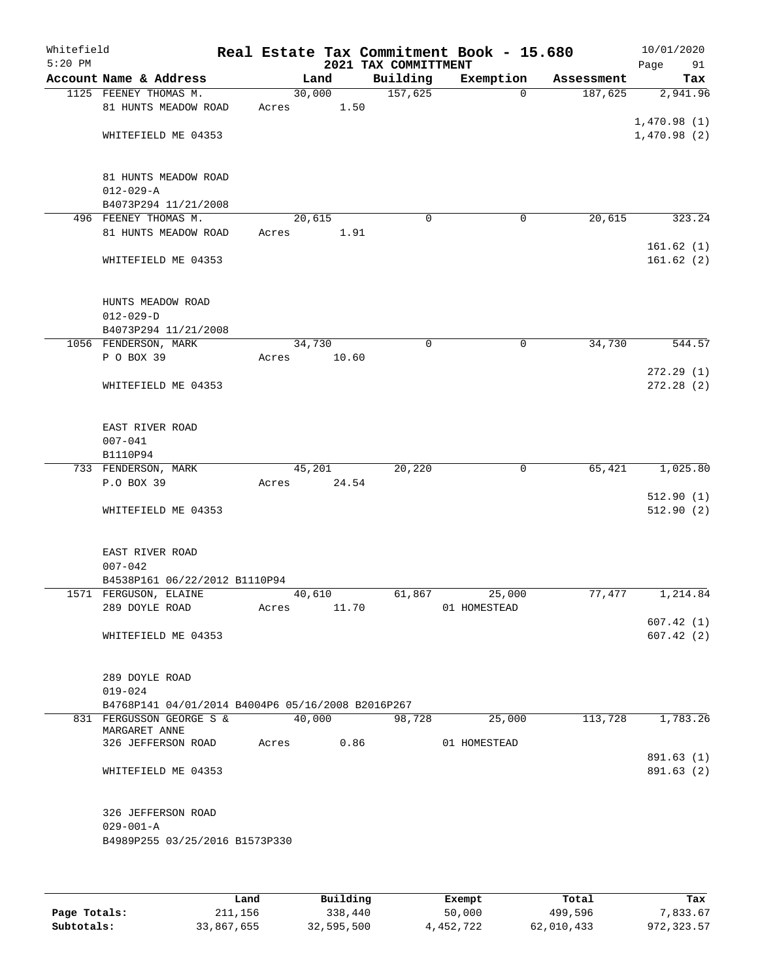| Whitefield<br>$5:20$ PM |                                                   |       |        | 2021 TAX COMMITTMENT | Real Estate Tax Commitment Book - 15.680 |            | 10/01/2020<br>Page<br>91 |
|-------------------------|---------------------------------------------------|-------|--------|----------------------|------------------------------------------|------------|--------------------------|
|                         | Account Name & Address                            |       | Land   | Building             | Exemption                                | Assessment | Tax                      |
|                         | 1125 FEENEY THOMAS M.                             |       | 30,000 | 157,625              | $\mathbf 0$                              | 187,625    | 2,941.96                 |
|                         | 81 HUNTS MEADOW ROAD                              | Acres | 1.50   |                      |                                          |            |                          |
|                         |                                                   |       |        |                      |                                          |            | 1,470.98(1)              |
|                         | WHITEFIELD ME 04353                               |       |        |                      |                                          |            | 1,470.98(2)              |
|                         |                                                   |       |        |                      |                                          |            |                          |
|                         | 81 HUNTS MEADOW ROAD                              |       |        |                      |                                          |            |                          |
|                         | $012 - 029 - A$                                   |       |        |                      |                                          |            |                          |
|                         | B4073P294 11/21/2008                              |       |        |                      |                                          |            |                          |
|                         | 496 FEENEY THOMAS M.                              |       | 20,615 | $\Omega$             | 0                                        | 20,615     | 323.24                   |
|                         | 81 HUNTS MEADOW ROAD                              | Acres | 1.91   |                      |                                          |            |                          |
|                         |                                                   |       |        |                      |                                          |            | 161.62(1)                |
|                         | WHITEFIELD ME 04353                               |       |        |                      |                                          |            | 161.62(2)                |
|                         |                                                   |       |        |                      |                                          |            |                          |
|                         | HUNTS MEADOW ROAD                                 |       |        |                      |                                          |            |                          |
|                         | $012 - 029 - D$                                   |       |        |                      |                                          |            |                          |
|                         | B4073P294 11/21/2008                              |       |        |                      |                                          |            |                          |
|                         | 1056 FENDERSON, MARK                              |       | 34,730 | 0                    | 0                                        | 34,730     | 544.57                   |
|                         | P O BOX 39                                        | Acres | 10.60  |                      |                                          |            |                          |
|                         |                                                   |       |        |                      |                                          |            | 272.29(1)                |
|                         | WHITEFIELD ME 04353                               |       |        |                      |                                          |            | 272.28(2)                |
|                         |                                                   |       |        |                      |                                          |            |                          |
|                         | EAST RIVER ROAD                                   |       |        |                      |                                          |            |                          |
|                         | $007 - 041$                                       |       |        |                      |                                          |            |                          |
|                         | B1110P94                                          |       |        |                      |                                          |            |                          |
|                         | 733 FENDERSON, MARK                               |       | 45,201 | 20,220               | $\mathbf 0$                              | 65,421     | 1,025.80                 |
|                         | P.O BOX 39                                        | Acres | 24.54  |                      |                                          |            |                          |
|                         |                                                   |       |        |                      |                                          |            | 512.90(1)                |
|                         | WHITEFIELD ME 04353                               |       |        |                      |                                          |            | 512.90(2)                |
|                         |                                                   |       |        |                      |                                          |            |                          |
|                         | EAST RIVER ROAD                                   |       |        |                      |                                          |            |                          |
|                         | $007 - 042$                                       |       |        |                      |                                          |            |                          |
|                         | B4538P161 06/22/2012 B1110P94                     |       |        |                      |                                          |            |                          |
|                         | 1571 FERGUSON, ELAINE                             |       | 40,610 | 61,867               | 25,000                                   | 77,477     | 1,214.84                 |
|                         | 289 DOYLE ROAD                                    | Acres | 11.70  |                      | 01 HOMESTEAD                             |            |                          |
|                         |                                                   |       |        |                      |                                          |            | 607.42(1)                |
|                         | WHITEFIELD ME 04353                               |       |        |                      |                                          |            | 607.42(2)                |
|                         |                                                   |       |        |                      |                                          |            |                          |
|                         | 289 DOYLE ROAD                                    |       |        |                      |                                          |            |                          |
|                         | $019 - 024$                                       |       |        |                      |                                          |            |                          |
|                         | B4768P141 04/01/2014 B4004P6 05/16/2008 B2016P267 |       |        |                      |                                          |            |                          |
|                         | 831 FERGUSSON GEORGE S &                          |       | 40,000 | 98,728               | 25,000                                   | 113,728    | 1,783.26                 |
|                         | MARGARET ANNE                                     |       |        |                      |                                          |            |                          |
|                         | 326 JEFFERSON ROAD                                | Acres | 0.86   |                      | 01 HOMESTEAD                             |            |                          |
|                         | WHITEFIELD ME 04353                               |       |        |                      |                                          |            | 891.63 (1)<br>891.63 (2) |
|                         |                                                   |       |        |                      |                                          |            |                          |
|                         |                                                   |       |        |                      |                                          |            |                          |
|                         | 326 JEFFERSON ROAD                                |       |        |                      |                                          |            |                          |
|                         | $029 - 001 - A$                                   |       |        |                      |                                          |            |                          |
|                         | B4989P255 03/25/2016 B1573P330                    |       |        |                      |                                          |            |                          |
|                         |                                                   |       |        |                      |                                          |            |                          |
|                         |                                                   |       |        |                      |                                          |            |                          |
|                         |                                                   |       |        |                      |                                          |            |                          |

|              | Land       | Building   | Exempt    | Total      | Tax         |
|--------------|------------|------------|-----------|------------|-------------|
| Page Totals: | 211,156    | 338,440    | 50,000    | 499,596    | 7.833.67    |
| Subtotals:   | 33,867,655 | 32,595,500 | 4,452,722 | 62,010,433 | 972, 323.57 |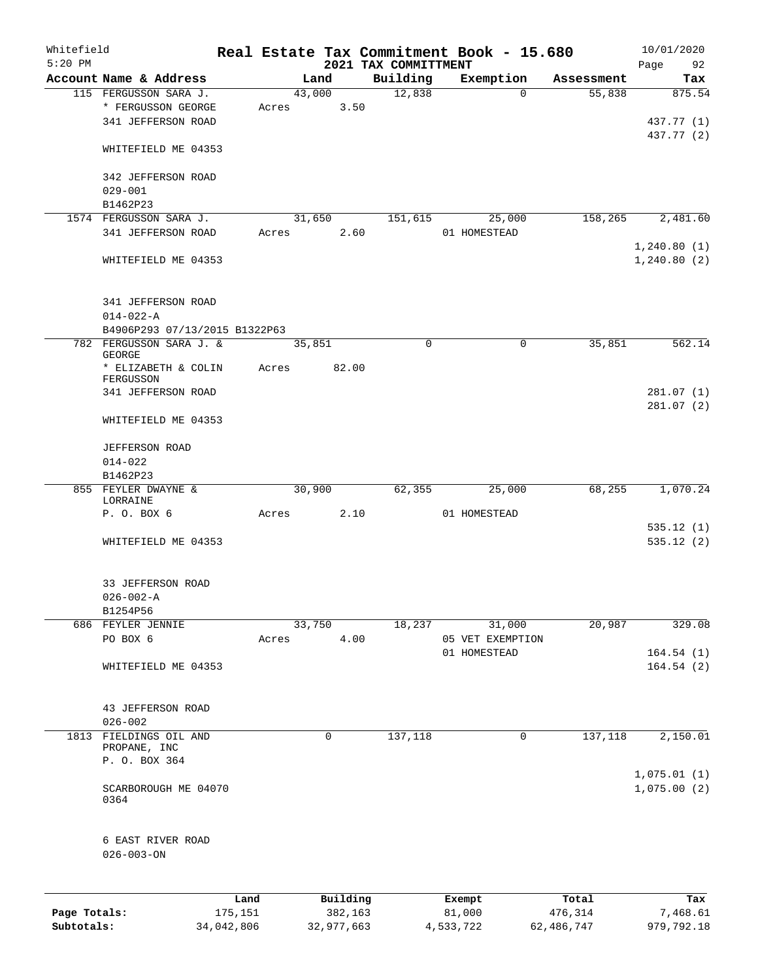| Whitefield   |                                   |            |       |                |            |                                  | Real Estate Tax Commitment Book - 15.680 |                      | 10/01/2020    |
|--------------|-----------------------------------|------------|-------|----------------|------------|----------------------------------|------------------------------------------|----------------------|---------------|
| $5:20$ PM    | Account Name & Address            |            |       |                |            | 2021 TAX COMMITTMENT<br>Building |                                          |                      | Page<br>92    |
|              | 115 FERGUSSON SARA J.             |            |       | Land<br>43,000 |            | 12,838                           | Exemption<br>$\Omega$                    | Assessment<br>55,838 | Tax<br>875.54 |
|              | * FERGUSSON GEORGE                |            |       |                | 3.50       |                                  |                                          |                      |               |
|              |                                   |            | Acres |                |            |                                  |                                          |                      |               |
|              | 341 JEFFERSON ROAD                |            |       |                |            |                                  |                                          |                      | 437.77 (1)    |
|              | WHITEFIELD ME 04353               |            |       |                |            |                                  |                                          |                      | 437.77 (2)    |
|              | 342 JEFFERSON ROAD                |            |       |                |            |                                  |                                          |                      |               |
|              | $029 - 001$                       |            |       |                |            |                                  |                                          |                      |               |
|              | B1462P23                          |            |       |                |            |                                  |                                          |                      |               |
|              | 1574 FERGUSSON SARA J.            |            |       | 31,650         |            |                                  |                                          | 158,265              | 2,481.60      |
|              | 341 JEFFERSON ROAD                |            |       |                |            | 151,615                          | 25,000                                   |                      |               |
|              |                                   |            | Acres |                | 2.60       |                                  | 01 HOMESTEAD                             |                      |               |
|              |                                   |            |       |                |            |                                  |                                          |                      | 1,240.80(1)   |
|              | WHITEFIELD ME 04353               |            |       |                |            |                                  |                                          |                      | 1, 240.80(2)  |
|              | 341 JEFFERSON ROAD                |            |       |                |            |                                  |                                          |                      |               |
|              | $014 - 022 - A$                   |            |       |                |            |                                  |                                          |                      |               |
|              | B4906P293 07/13/2015 B1322P63     |            |       |                |            |                                  |                                          |                      |               |
|              | 782 FERGUSSON SARA J. &<br>GEORGE |            |       | 35,851         |            | $\mathbf 0$                      | $\mathsf{O}$                             | 35,851               | 562.14        |
|              | * ELIZABETH & COLIN               |            | Acres |                | 82.00      |                                  |                                          |                      |               |
|              | FERGUSSON                         |            |       |                |            |                                  |                                          |                      |               |
|              | 341 JEFFERSON ROAD                |            |       |                |            |                                  |                                          |                      | 281.07(1)     |
|              |                                   |            |       |                |            |                                  |                                          |                      | 281.07 (2)    |
|              | WHITEFIELD ME 04353               |            |       |                |            |                                  |                                          |                      |               |
|              | <b>JEFFERSON ROAD</b>             |            |       |                |            |                                  |                                          |                      |               |
|              | $014 - 022$                       |            |       |                |            |                                  |                                          |                      |               |
|              | B1462P23                          |            |       |                |            |                                  |                                          |                      |               |
|              | 855 FEYLER DWAYNE &               |            |       | 30,900         |            | 62,355                           | 25,000                                   | 68,255               | 1,070.24      |
|              | LORRAINE                          |            |       |                |            |                                  |                                          |                      |               |
|              | P. O. BOX 6                       |            | Acres |                | 2.10       |                                  | 01 HOMESTEAD                             |                      |               |
|              |                                   |            |       |                |            |                                  |                                          |                      | 535.12(1)     |
|              | WHITEFIELD ME 04353               |            |       |                |            |                                  |                                          |                      | 535.12(2)     |
|              |                                   |            |       |                |            |                                  |                                          |                      |               |
|              | 33 JEFFERSON ROAD                 |            |       |                |            |                                  |                                          |                      |               |
|              | $026 - 002 - A$                   |            |       |                |            |                                  |                                          |                      |               |
|              | B1254P56                          |            |       |                |            |                                  |                                          |                      |               |
|              | 686 FEYLER JENNIE                 |            |       | 33,750         |            | 18,237                           | 31,000                                   | 20,987               | 329.08        |
|              | PO BOX 6                          |            | Acres |                | 4.00       |                                  | 05 VET EXEMPTION                         |                      |               |
|              |                                   |            |       |                |            |                                  | 01 HOMESTEAD                             |                      | 164.54(1)     |
|              | WHITEFIELD ME 04353               |            |       |                |            |                                  |                                          |                      | 164.54(2)     |
|              | 43 JEFFERSON ROAD                 |            |       |                |            |                                  |                                          |                      |               |
|              | $026 - 002$                       |            |       |                |            |                                  |                                          |                      |               |
|              | 1813 FIELDINGS OIL AND            |            |       |                | 0          | 137,118                          | 0                                        | 137,118              | 2,150.01      |
|              | PROPANE, INC                      |            |       |                |            |                                  |                                          |                      |               |
|              | P. O. BOX 364                     |            |       |                |            |                                  |                                          |                      |               |
|              |                                   |            |       |                |            |                                  |                                          |                      | 1,075.01(1)   |
|              | SCARBOROUGH ME 04070<br>0364      |            |       |                |            |                                  |                                          |                      | 1,075.00(2)   |
|              | 6 EAST RIVER ROAD                 |            |       |                |            |                                  |                                          |                      |               |
|              | $026 - 003 - ON$                  |            |       |                |            |                                  |                                          |                      |               |
|              |                                   | Land       |       |                | Building   |                                  | Exempt                                   | Total                | Tax           |
| Page Totals: |                                   | 175,151    |       |                | 382,163    |                                  | 81,000                                   | 476,314              | 7,468.61      |
| Subtotals:   |                                   | 34,042,806 |       |                | 32,977,663 |                                  | 4,533,722                                | 62,486,747           | 979,792.18    |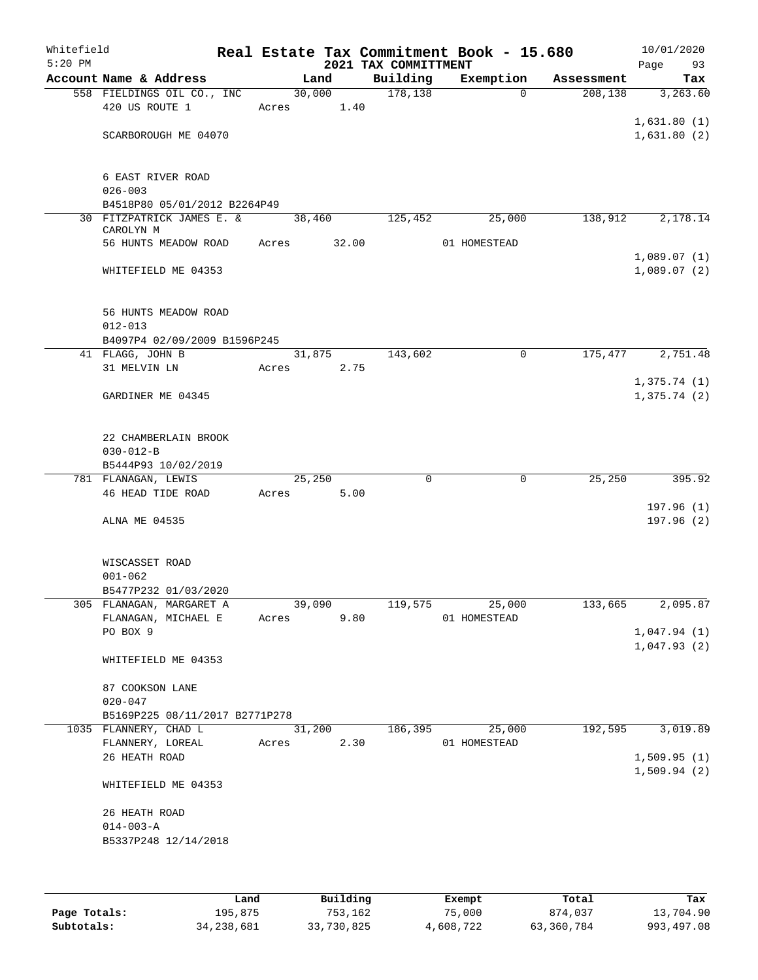| Whitefield<br>$5:20$ PM |                                                 |       |        |       | 2021 TAX COMMITTMENT | Real Estate Tax Commitment Book - 15.680 |            | Page        | 10/01/2020<br>93        |
|-------------------------|-------------------------------------------------|-------|--------|-------|----------------------|------------------------------------------|------------|-------------|-------------------------|
|                         | Account Name & Address                          |       | Land   |       | Building             | Exemption                                | Assessment |             | Tax                     |
|                         | 558 FIELDINGS OIL CO., INC                      |       | 30,000 |       | 178,138              | $\Omega$                                 | 208,138    |             | 3,263.60                |
|                         | 420 US ROUTE 1                                  | Acres |        | 1.40  |                      |                                          |            |             |                         |
|                         |                                                 |       |        |       |                      |                                          |            | 1,631.80(1) |                         |
|                         | SCARBOROUGH ME 04070                            |       |        |       |                      |                                          |            | 1,631.80(2) |                         |
|                         |                                                 |       |        |       |                      |                                          |            |             |                         |
|                         | 6 EAST RIVER ROAD                               |       |        |       |                      |                                          |            |             |                         |
|                         | $026 - 003$                                     |       |        |       |                      |                                          |            |             |                         |
|                         | B4518P80 05/01/2012 B2264P49                    |       |        |       |                      |                                          |            |             |                         |
|                         | 30 FITZPATRICK JAMES E. &<br>CAROLYN M          |       | 38,460 |       | 125,452              | 25,000                                   | 138,912    |             | 2,178.14                |
|                         | 56 HUNTS MEADOW ROAD                            | Acres |        | 32.00 |                      | 01 HOMESTEAD                             |            |             |                         |
|                         |                                                 |       |        |       |                      |                                          |            | 1,089.07(1) |                         |
|                         | WHITEFIELD ME 04353                             |       |        |       |                      |                                          |            | 1,089.07(2) |                         |
|                         |                                                 |       |        |       |                      |                                          |            |             |                         |
|                         |                                                 |       |        |       |                      |                                          |            |             |                         |
|                         | 56 HUNTS MEADOW ROAD<br>$012 - 013$             |       |        |       |                      |                                          |            |             |                         |
|                         | B4097P4 02/09/2009 B1596P245                    |       |        |       |                      |                                          |            |             |                         |
|                         | 41 FLAGG, JOHN B                                |       | 31,875 |       | 143,602              | 0                                        | 175,477    |             | 2,751.48                |
|                         | 31 MELVIN LN                                    | Acres |        | 2.75  |                      |                                          |            |             |                         |
|                         |                                                 |       |        |       |                      |                                          |            | 1,375.74(1) |                         |
|                         | GARDINER ME 04345                               |       |        |       |                      |                                          |            | 1,375.74(2) |                         |
|                         |                                                 |       |        |       |                      |                                          |            |             |                         |
|                         | 22 CHAMBERLAIN BROOK                            |       |        |       |                      |                                          |            |             |                         |
|                         | $030 - 012 - B$                                 |       |        |       |                      |                                          |            |             |                         |
|                         | B5444P93 10/02/2019                             |       |        |       |                      |                                          |            |             |                         |
|                         | 781 FLANAGAN, LEWIS                             |       | 25,250 |       | 0                    | 0                                        | 25,250     |             | 395.92                  |
|                         | 46 HEAD TIDE ROAD                               | Acres |        | 5.00  |                      |                                          |            |             |                         |
|                         | ALNA ME 04535                                   |       |        |       |                      |                                          |            |             | 197.96(1)<br>197.96 (2) |
|                         |                                                 |       |        |       |                      |                                          |            |             |                         |
|                         |                                                 |       |        |       |                      |                                          |            |             |                         |
|                         | WISCASSET ROAD                                  |       |        |       |                      |                                          |            |             |                         |
|                         | $001 - 062$                                     |       |        |       |                      |                                          |            |             |                         |
|                         | B5477P232 01/03/2020                            |       |        |       |                      |                                          |            |             |                         |
|                         | 305 FLANAGAN, MARGARET A<br>FLANAGAN, MICHAEL E | Acres | 39,090 | 9.80  | 119,575              | 25,000<br>01 HOMESTEAD                   | 133,665    |             | 2,095.87                |
|                         | PO BOX 9                                        |       |        |       |                      |                                          |            | 1,047.94(1) |                         |
|                         |                                                 |       |        |       |                      |                                          |            | 1,047.93(2) |                         |
|                         | WHITEFIELD ME 04353                             |       |        |       |                      |                                          |            |             |                         |
|                         |                                                 |       |        |       |                      |                                          |            |             |                         |
|                         | 87 COOKSON LANE<br>$020 - 047$                  |       |        |       |                      |                                          |            |             |                         |
|                         | B5169P225 08/11/2017 B2771P278                  |       |        |       |                      |                                          |            |             |                         |
|                         | 1035 FLANNERY, CHAD L                           |       | 31,200 |       | 186,395              | 25,000                                   | 192,595    |             | 3,019.89                |
|                         | FLANNERY, LOREAL                                | Acres |        | 2.30  |                      | 01 HOMESTEAD                             |            |             |                         |
|                         | 26 HEATH ROAD                                   |       |        |       |                      |                                          |            | 1,509.95(1) |                         |
|                         |                                                 |       |        |       |                      |                                          |            | 1,509.94(2) |                         |
|                         | WHITEFIELD ME 04353                             |       |        |       |                      |                                          |            |             |                         |
|                         | 26 HEATH ROAD                                   |       |        |       |                      |                                          |            |             |                         |
|                         | $014 - 003 - A$                                 |       |        |       |                      |                                          |            |             |                         |
|                         | B5337P248 12/14/2018                            |       |        |       |                      |                                          |            |             |                         |
|                         |                                                 |       |        |       |                      |                                          |            |             |                         |
|                         |                                                 |       |        |       |                      |                                          |            |             |                         |

|              | Land         | Building   | Exempt    | Total      | Tax        |
|--------------|--------------|------------|-----------|------------|------------|
| Page Totals: | 195,875      | 753,162    | 75,000    | 874,037    | 13,704.90  |
| Subtotals:   | 34, 238, 681 | 33,730,825 | 4,608,722 | 63,360,784 | 993,497.08 |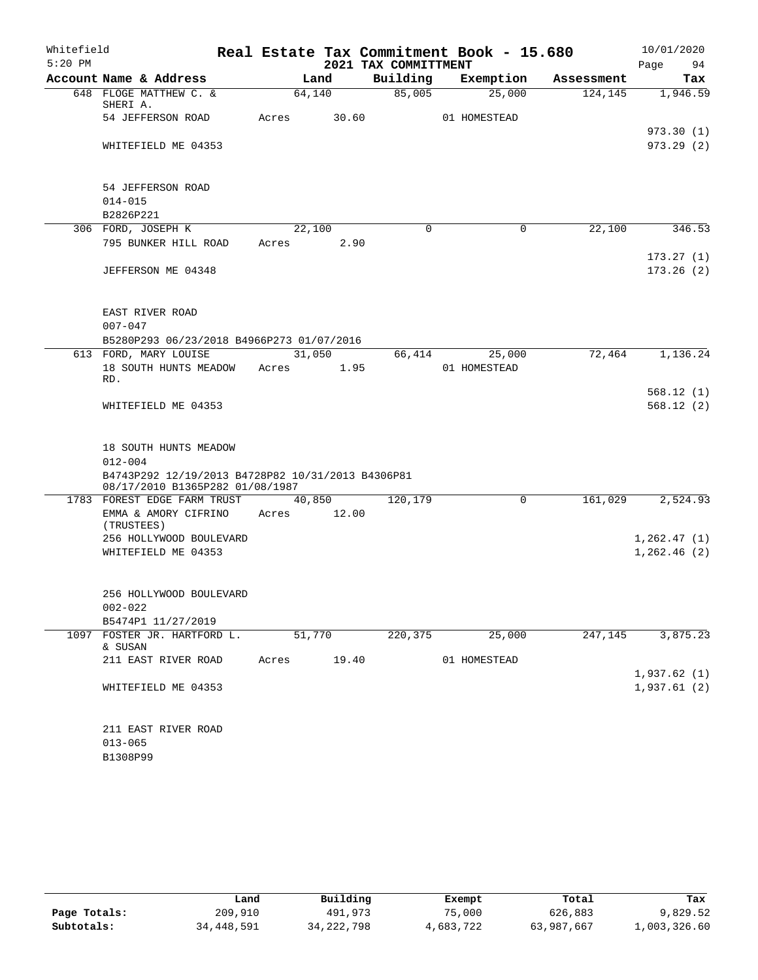| Whitefield |                                                                |  |       |        |                      | Real Estate Tax Commitment Book - 15.680 |            | 10/01/2020                 |  |
|------------|----------------------------------------------------------------|--|-------|--------|----------------------|------------------------------------------|------------|----------------------------|--|
| $5:20$ PM  |                                                                |  |       |        | 2021 TAX COMMITTMENT |                                          |            | 94<br>Page                 |  |
|            | Account Name & Address                                         |  |       | Land   | Building             | Exemption                                | Assessment | Tax                        |  |
|            | 648 FLOGE MATTHEW C. &<br>SHERI A.                             |  |       | 64,140 | 85,005               | 25,000                                   | 124, 145   | 1,946.59                   |  |
|            | 54 JEFFERSON ROAD                                              |  | Acres | 30.60  |                      | 01 HOMESTEAD                             |            |                            |  |
|            |                                                                |  |       |        |                      |                                          |            | 973.30(1)                  |  |
|            | WHITEFIELD ME 04353                                            |  |       |        |                      |                                          |            | 973.29(2)                  |  |
|            |                                                                |  |       |        |                      |                                          |            |                            |  |
|            |                                                                |  |       |        |                      |                                          |            |                            |  |
|            | 54 JEFFERSON ROAD<br>$014 - 015$                               |  |       |        |                      |                                          |            |                            |  |
|            | B2826P221                                                      |  |       |        |                      |                                          |            |                            |  |
|            | 306 FORD, JOSEPH K                                             |  |       | 22,100 | $\Omega$             | 0                                        | 22,100     | 346.53                     |  |
|            | 795 BUNKER HILL ROAD                                           |  | Acres | 2.90   |                      |                                          |            |                            |  |
|            |                                                                |  |       |        |                      |                                          |            | 173.27(1)                  |  |
|            | JEFFERSON ME 04348                                             |  |       |        |                      |                                          |            | 173.26(2)                  |  |
|            |                                                                |  |       |        |                      |                                          |            |                            |  |
|            |                                                                |  |       |        |                      |                                          |            |                            |  |
|            | EAST RIVER ROAD<br>$007 - 047$                                 |  |       |        |                      |                                          |            |                            |  |
|            | B5280P293 06/23/2018 B4966P273 01/07/2016                      |  |       |        |                      |                                          |            |                            |  |
|            | 613 FORD, MARY LOUISE                                          |  |       | 31,050 | 66,414               | 25,000                                   | 72,464     | 1,136.24                   |  |
|            | 18 SOUTH HUNTS MEADOW                                          |  | Acres | 1.95   |                      | 01 HOMESTEAD                             |            |                            |  |
|            | RD.                                                            |  |       |        |                      |                                          |            |                            |  |
|            |                                                                |  |       |        |                      |                                          |            | 568.12(1)                  |  |
|            | WHITEFIELD ME 04353                                            |  |       |        |                      |                                          |            | 568.12(2)                  |  |
|            |                                                                |  |       |        |                      |                                          |            |                            |  |
|            | 18 SOUTH HUNTS MEADOW                                          |  |       |        |                      |                                          |            |                            |  |
|            | $012 - 004$                                                    |  |       |        |                      |                                          |            |                            |  |
|            | B4743P292 12/19/2013 B4728P82 10/31/2013 B4306P81              |  |       |        |                      |                                          |            |                            |  |
|            | 08/17/2010 B1365P282 01/08/1987<br>1783 FOREST EDGE FARM TRUST |  |       | 40,850 | 120,179              | 0                                        | 161,029    | 2,524.93                   |  |
|            | EMMA & AMORY CIFRINO                                           |  | Acres | 12.00  |                      |                                          |            |                            |  |
|            | (TRUSTEES)                                                     |  |       |        |                      |                                          |            |                            |  |
|            | 256 HOLLYWOOD BOULEVARD                                        |  |       |        |                      |                                          |            | 1,262.47(1)                |  |
|            | WHITEFIELD ME 04353                                            |  |       |        |                      |                                          |            | 1,262.46(2)                |  |
|            |                                                                |  |       |        |                      |                                          |            |                            |  |
|            | 256 HOLLYWOOD BOULEVARD                                        |  |       |        |                      |                                          |            |                            |  |
|            | $002 - 022$                                                    |  |       |        |                      |                                          |            |                            |  |
|            | B5474P1 11/27/2019                                             |  |       |        |                      |                                          |            |                            |  |
| 1097       | FOSTER JR. HARTFORD L.                                         |  |       | 51,770 | 220,375              | 25,000                                   | 247,145    | 3,875.23                   |  |
|            | & SUSAN                                                        |  |       |        |                      |                                          |            |                            |  |
|            | 211 EAST RIVER ROAD                                            |  | Acres | 19.40  |                      | 01 HOMESTEAD                             |            |                            |  |
|            |                                                                |  |       |        |                      |                                          |            | 1,937.62(1)<br>1,937.61(2) |  |
|            | WHITEFIELD ME 04353                                            |  |       |        |                      |                                          |            |                            |  |
|            |                                                                |  |       |        |                      |                                          |            |                            |  |
|            | 211 EAST RIVER ROAD                                            |  |       |        |                      |                                          |            |                            |  |
|            | $013 - 065$                                                    |  |       |        |                      |                                          |            |                            |  |
|            | B1308P99                                                       |  |       |        |                      |                                          |            |                            |  |

|              | Land       | Building     | Exempt    | Total      | Tax          |
|--------------|------------|--------------|-----------|------------|--------------|
| Page Totals: | 209,910    | 491,973      | 75,000    | 626,883    | 9,829.52     |
| Subtotals:   | 34,448,591 | 34, 222, 798 | 4,683,722 | 63,987,667 | 1,003,326.60 |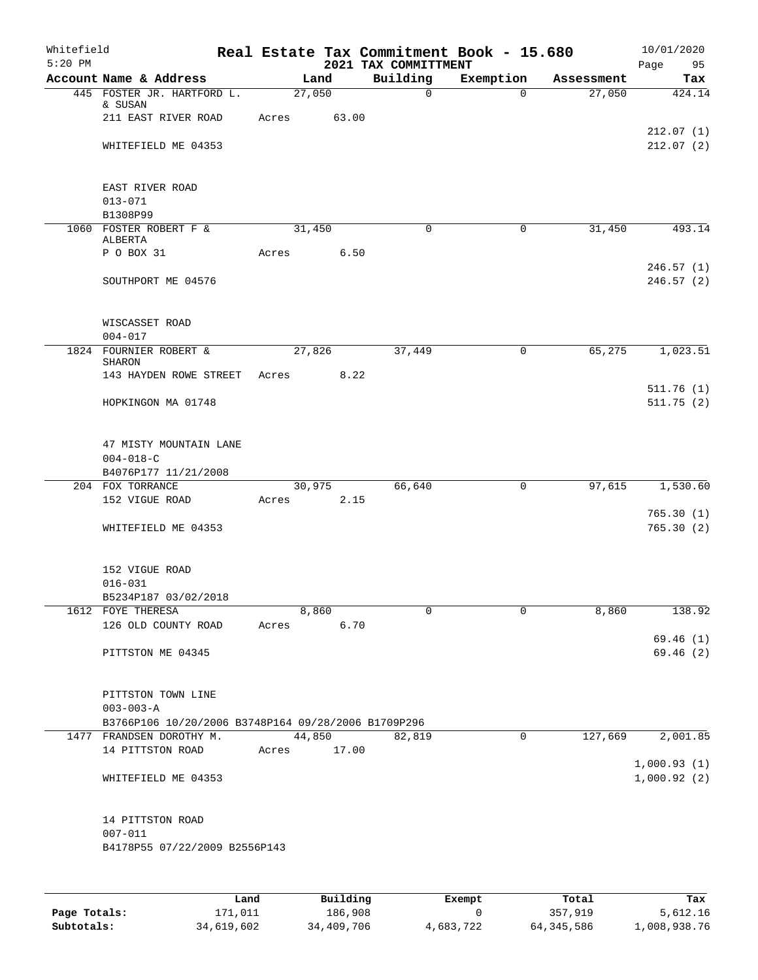| Whitefield<br>$5:20$ PM |                                                     |       |        |      | 2021 TAX COMMITTMENT | Real Estate Tax Commitment Book - 15.680 |            | 10/01/2020<br>Page<br>95 |
|-------------------------|-----------------------------------------------------|-------|--------|------|----------------------|------------------------------------------|------------|--------------------------|
|                         | Account Name & Address                              |       | Land   |      | Building             | Exemption                                | Assessment | Tax                      |
|                         | 445 FOSTER JR. HARTFORD L.                          |       | 27,050 |      | $\mathbf 0$          | $\Omega$                                 | 27,050     | 424.14                   |
|                         | & SUSAN                                             |       |        |      |                      |                                          |            |                          |
|                         | 211 EAST RIVER ROAD                                 | Acres | 63.00  |      |                      |                                          |            |                          |
|                         |                                                     |       |        |      |                      |                                          |            | 212.07(1)                |
|                         | WHITEFIELD ME 04353                                 |       |        |      |                      |                                          |            | 212.07(2)                |
|                         |                                                     |       |        |      |                      |                                          |            |                          |
|                         | EAST RIVER ROAD                                     |       |        |      |                      |                                          |            |                          |
|                         | $013 - 071$                                         |       |        |      |                      |                                          |            |                          |
|                         | B1308P99                                            |       |        |      |                      |                                          |            |                          |
|                         | 1060 FOSTER ROBERT F &                              |       | 31,450 |      | $\mathbf 0$          | $\mathbf 0$                              | 31,450     | 493.14                   |
|                         | ALBERTA                                             |       |        |      |                      |                                          |            |                          |
|                         | P O BOX 31                                          | Acres |        | 6.50 |                      |                                          |            |                          |
|                         |                                                     |       |        |      |                      |                                          |            | 246.57(1)                |
|                         | SOUTHPORT ME 04576                                  |       |        |      |                      |                                          |            | 246.57 (2)               |
|                         |                                                     |       |        |      |                      |                                          |            |                          |
|                         | WISCASSET ROAD                                      |       |        |      |                      |                                          |            |                          |
|                         | $004 - 017$                                         |       |        |      |                      |                                          |            |                          |
|                         | 1824 FOURNIER ROBERT &                              |       | 27,826 |      | 37,449               | $\overline{0}$                           | 65,275     | 1,023.51                 |
|                         | <b>SHARON</b>                                       |       |        |      |                      |                                          |            |                          |
|                         | 143 HAYDEN ROWE STREET                              | Acres |        | 8.22 |                      |                                          |            |                          |
|                         |                                                     |       |        |      |                      |                                          |            | 511.76(1)                |
|                         | HOPKINGON MA 01748                                  |       |        |      |                      |                                          |            | 511.75(2)                |
|                         |                                                     |       |        |      |                      |                                          |            |                          |
|                         | 47 MISTY MOUNTAIN LANE                              |       |        |      |                      |                                          |            |                          |
|                         | $004 - 018 - C$                                     |       |        |      |                      |                                          |            |                          |
|                         | B4076P177 11/21/2008                                |       |        |      |                      |                                          |            |                          |
|                         | 204 FOX TORRANCE                                    |       | 30,975 |      | 66,640               | 0                                        | 97,615     | 1,530.60                 |
|                         | 152 VIGUE ROAD                                      | Acres |        | 2.15 |                      |                                          |            |                          |
|                         |                                                     |       |        |      |                      |                                          |            | 765.30(1)                |
|                         | WHITEFIELD ME 04353                                 |       |        |      |                      |                                          |            | 765.30(2)                |
|                         |                                                     |       |        |      |                      |                                          |            |                          |
|                         |                                                     |       |        |      |                      |                                          |            |                          |
|                         | 152 VIGUE ROAD                                      |       |        |      |                      |                                          |            |                          |
|                         | $016 - 031$                                         |       |        |      |                      |                                          |            |                          |
|                         | B5234P187 03/02/2018<br>1612 FOYE THERESA           |       | 8,860  |      | 0                    | $\mathbf 0$                              | 8,860      | 138.92                   |
|                         | 126 OLD COUNTY ROAD                                 | Acres |        | 6.70 |                      |                                          |            |                          |
|                         |                                                     |       |        |      |                      |                                          |            | 69.46(1)                 |
|                         | PITTSTON ME 04345                                   |       |        |      |                      |                                          |            | 69.46(2)                 |
|                         |                                                     |       |        |      |                      |                                          |            |                          |
|                         |                                                     |       |        |      |                      |                                          |            |                          |
|                         | PITTSTON TOWN LINE                                  |       |        |      |                      |                                          |            |                          |
|                         | $003 - 003 - A$                                     |       |        |      |                      |                                          |            |                          |
|                         | B3766P106 10/20/2006 B3748P164 09/28/2006 B1709P296 |       |        |      |                      |                                          |            |                          |
|                         | 1477 FRANDSEN DOROTHY M.                            |       | 44,850 |      | 82,819               | 0                                        | 127,669    | 2,001.85                 |
|                         | 14 PITTSTON ROAD                                    | Acres | 17.00  |      |                      |                                          |            | 1,000.93(1)              |
|                         | WHITEFIELD ME 04353                                 |       |        |      |                      |                                          |            | 1,000.92(2)              |
|                         |                                                     |       |        |      |                      |                                          |            |                          |
|                         |                                                     |       |        |      |                      |                                          |            |                          |
|                         | 14 PITTSTON ROAD                                    |       |        |      |                      |                                          |            |                          |
|                         | $007 - 011$                                         |       |        |      |                      |                                          |            |                          |
|                         | B4178P55 07/22/2009 B2556P143                       |       |        |      |                      |                                          |            |                          |
|                         |                                                     |       |        |      |                      |                                          |            |                          |
|                         |                                                     |       |        |      |                      |                                          |            |                          |
|                         |                                                     |       |        |      |                      |                                          |            |                          |

|              | Land       | Building   | Exempt    | Total      | Tax          |
|--------------|------------|------------|-----------|------------|--------------|
| Page Totals: | 171,011    | 186,908    |           | 357,919    | 5,612.16     |
| Subtotals:   | 34,619,602 | 34,409,706 | 4,683,722 | 64,345,586 | 1,008,938.76 |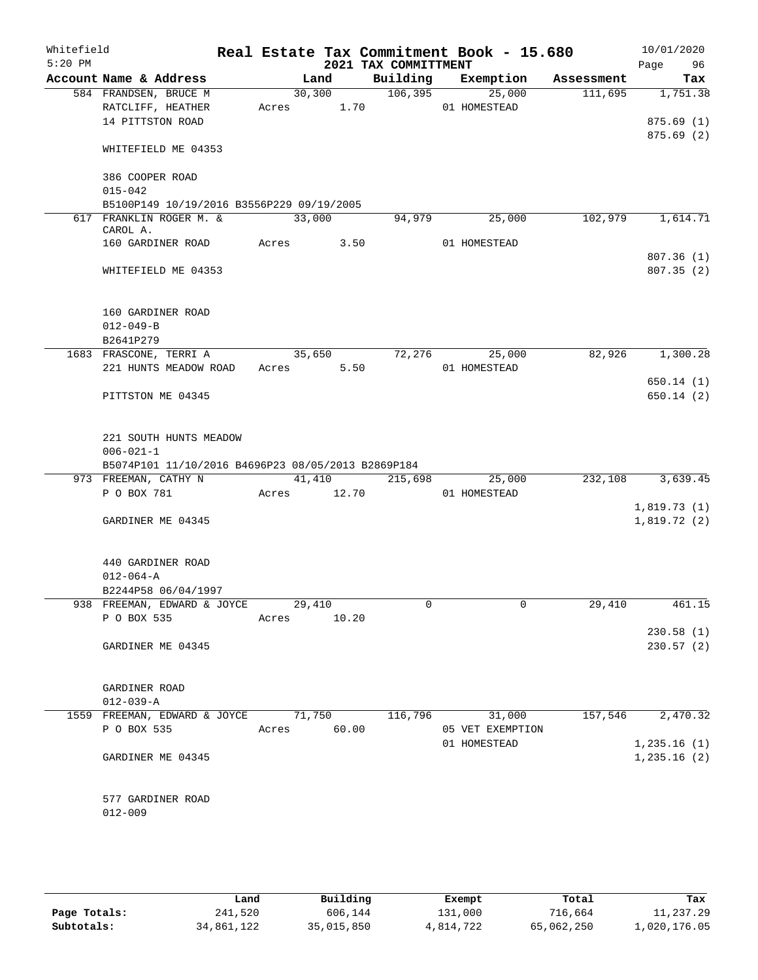| Whitefield<br>$5:20$ PM |                                                    |       |                 | 2021 TAX COMMITTMENT | Real Estate Tax Commitment Book - 15.680 |            | 10/01/2020<br>Page<br>96 |
|-------------------------|----------------------------------------------------|-------|-----------------|----------------------|------------------------------------------|------------|--------------------------|
|                         | Account Name & Address                             |       | Land            | Building             | Exemption                                | Assessment | Tax                      |
|                         | 584 FRANDSEN, BRUCE M                              |       | 30,300          | 106, 395             | 25,000                                   | 111,695    | 1,751.38                 |
|                         | RATCLIFF, HEATHER                                  |       | Acres 1.70      |                      | 01 HOMESTEAD                             |            |                          |
|                         | 14 PITTSTON ROAD                                   |       |                 |                      |                                          |            | 875.69(1)                |
|                         |                                                    |       |                 |                      |                                          |            | 875.69(2)                |
|                         | WHITEFIELD ME 04353                                |       |                 |                      |                                          |            |                          |
|                         |                                                    |       |                 |                      |                                          |            |                          |
|                         | 386 COOPER ROAD<br>$015 - 042$                     |       |                 |                      |                                          |            |                          |
|                         | B5100P149 10/19/2016 B3556P229 09/19/2005          |       |                 |                      |                                          |            |                          |
|                         | 617 FRANKLIN ROGER M. &                            |       | 33,000          | 94,979               | 25,000                                   | 102,979    | 1,614.71                 |
|                         | CAROL A.                                           |       |                 |                      |                                          |            |                          |
|                         | 160 GARDINER ROAD                                  | Acres | 3.50            |                      | 01 HOMESTEAD                             |            |                          |
|                         |                                                    |       |                 |                      |                                          |            | 807.36(1)                |
|                         | WHITEFIELD ME 04353                                |       |                 |                      |                                          |            | 807.35(2)                |
|                         |                                                    |       |                 |                      |                                          |            |                          |
|                         |                                                    |       |                 |                      |                                          |            |                          |
|                         | 160 GARDINER ROAD<br>$012 - 049 - B$               |       |                 |                      |                                          |            |                          |
|                         | B2641P279                                          |       |                 |                      |                                          |            |                          |
|                         | 1683 FRASCONE, TERRI A                             |       | 35,650          |                      | 72,276<br>25,000                         | 82,926     | 1,300.28                 |
|                         | 221 HUNTS MEADOW ROAD                              | Acres | 5.50            |                      | 01 HOMESTEAD                             |            |                          |
|                         |                                                    |       |                 |                      |                                          |            | 650.14(1)                |
|                         | PITTSTON ME 04345                                  |       |                 |                      |                                          |            | 650.14 (2)               |
|                         |                                                    |       |                 |                      |                                          |            |                          |
|                         |                                                    |       |                 |                      |                                          |            |                          |
|                         | 221 SOUTH HUNTS MEADOW                             |       |                 |                      |                                          |            |                          |
|                         | $006 - 021 - 1$                                    |       |                 |                      |                                          |            |                          |
|                         | B5074P101 11/10/2016 B4696P23 08/05/2013 B2869P184 |       |                 |                      |                                          |            |                          |
|                         | 973 FREEMAN, CATHY N<br>P O BOX 781                | Acres | 41,410<br>12.70 | 215,698              | 25,000<br>01 HOMESTEAD                   | 232,108    | 3,639.45                 |
|                         |                                                    |       |                 |                      |                                          |            | 1,819.73(1)              |
|                         | GARDINER ME 04345                                  |       |                 |                      |                                          |            | 1,819.72(2)              |
|                         |                                                    |       |                 |                      |                                          |            |                          |
|                         |                                                    |       |                 |                      |                                          |            |                          |
|                         | 440 GARDINER ROAD                                  |       |                 |                      |                                          |            |                          |
|                         | $012 - 064 - A$                                    |       |                 |                      |                                          |            |                          |
|                         | B2244P58 06/04/1997                                |       |                 |                      |                                          |            |                          |
|                         | 938 FREEMAN, EDWARD & JOYCE                        |       | 29,410          | 0                    | 0                                        | 29,410     | 461.15                   |
|                         | P O BOX 535                                        | Acres | 10.20           |                      |                                          |            |                          |
|                         |                                                    |       |                 |                      |                                          |            | 230.58(1)                |
|                         | GARDINER ME 04345                                  |       |                 |                      |                                          |            | 230.57(2)                |
|                         |                                                    |       |                 |                      |                                          |            |                          |
|                         | GARDINER ROAD                                      |       |                 |                      |                                          |            |                          |
|                         | $012 - 039 - A$                                    |       |                 |                      |                                          |            |                          |
|                         | 1559 FREEMAN, EDWARD & JOYCE                       |       | 71,750          | 116,796              | 31,000                                   | 157,546    | 2,470.32                 |
|                         | P O BOX 535                                        | Acres | 60.00           |                      | 05 VET EXEMPTION                         |            |                          |
|                         |                                                    |       |                 |                      | 01 HOMESTEAD                             |            | 1,235.16(1)              |
|                         | GARDINER ME 04345                                  |       |                 |                      |                                          |            | 1,235.16(2)              |
|                         |                                                    |       |                 |                      |                                          |            |                          |
|                         |                                                    |       |                 |                      |                                          |            |                          |
|                         | 577 GARDINER ROAD                                  |       |                 |                      |                                          |            |                          |
|                         | $012 - 009$                                        |       |                 |                      |                                          |            |                          |
|                         |                                                    |       |                 |                      |                                          |            |                          |

|              | Land       | Building   | Exempt    | Total      | Tax          |
|--------------|------------|------------|-----------|------------|--------------|
| Page Totals: | 241,520    | 606,144    | 131,000   | 716,664    | 11,237.29    |
| Subtotals:   | 34,861,122 | 35,015,850 | 4,814,722 | 65,062,250 | l,020,176.05 |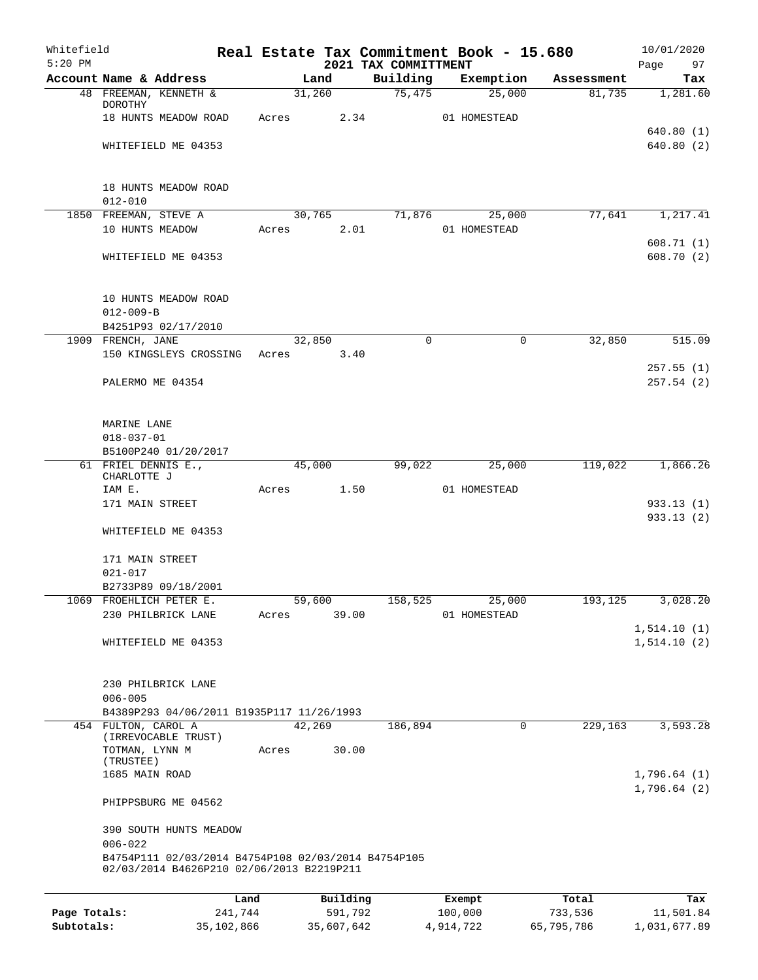| Whitefield<br>$5:20$ PM |                                                                                                  |         |       |                 |          |                                  | Real Estate Tax Commitment Book - 15.680 |            | 10/01/2020             |
|-------------------------|--------------------------------------------------------------------------------------------------|---------|-------|-----------------|----------|----------------------------------|------------------------------------------|------------|------------------------|
|                         | Account Name & Address                                                                           |         |       | Land            |          | 2021 TAX COMMITTMENT<br>Building | Exemption                                | Assessment | Page<br>97<br>Tax      |
|                         | 48 FREEMAN, KENNETH &                                                                            |         |       | 31,260          |          | 75,475                           | 25,000                                   | 81,735     | 1,281.60               |
|                         | DOROTHY                                                                                          |         |       |                 |          |                                  |                                          |            |                        |
|                         | 18 HUNTS MEADOW ROAD                                                                             |         |       | Acres           | 2.34     |                                  | 01 HOMESTEAD                             |            |                        |
|                         | WHITEFIELD ME 04353                                                                              |         |       |                 |          |                                  |                                          |            | 640.80(1)<br>640.80(2) |
|                         |                                                                                                  |         |       |                 |          |                                  |                                          |            |                        |
|                         |                                                                                                  |         |       |                 |          |                                  |                                          |            |                        |
|                         | 18 HUNTS MEADOW ROAD                                                                             |         |       |                 |          |                                  |                                          |            |                        |
|                         | $012 - 010$                                                                                      |         |       |                 |          |                                  |                                          |            |                        |
|                         | 1850 FREEMAN, STEVE A<br>10 HUNTS MEADOW                                                         |         |       | 30,765<br>Acres | 2.01     |                                  | 71,876 25,000<br>01 HOMESTEAD            | 77,641     | 1,217.41               |
|                         |                                                                                                  |         |       |                 |          |                                  |                                          |            | 608.71(1)              |
|                         | WHITEFIELD ME 04353                                                                              |         |       |                 |          |                                  |                                          |            | 608.70(2)              |
|                         |                                                                                                  |         |       |                 |          |                                  |                                          |            |                        |
|                         | 10 HUNTS MEADOW ROAD                                                                             |         |       |                 |          |                                  |                                          |            |                        |
|                         | $012 - 009 - B$                                                                                  |         |       |                 |          |                                  |                                          |            |                        |
|                         | B4251P93 02/17/2010                                                                              |         |       |                 |          |                                  |                                          |            |                        |
|                         | 1909 FRENCH, JANE                                                                                |         |       | 32,850          |          | $\Omega$                         | 0                                        | 32,850     | 515.09                 |
|                         | 150 KINGSLEYS CROSSING                                                                           |         |       | Acres 3.40      |          |                                  |                                          |            |                        |
|                         |                                                                                                  |         |       |                 |          |                                  |                                          |            | 257.55(1)              |
|                         | PALERMO ME 04354                                                                                 |         |       |                 |          |                                  |                                          |            | 257.54(2)              |
|                         |                                                                                                  |         |       |                 |          |                                  |                                          |            |                        |
|                         |                                                                                                  |         |       |                 |          |                                  |                                          |            |                        |
|                         | MARINE LANE                                                                                      |         |       |                 |          |                                  |                                          |            |                        |
|                         | $018 - 037 - 01$<br>B5100P240 01/20/2017                                                         |         |       |                 |          |                                  |                                          |            |                        |
|                         | 61 FRIEL DENNIS E.,                                                                              |         |       | 45,000          |          | 99,022                           | 25,000                                   | 119,022    | 1,866.26               |
|                         | CHARLOTTE J                                                                                      |         |       |                 |          |                                  |                                          |            |                        |
|                         | IAM E.                                                                                           |         | Acres |                 | 1.50     |                                  | 01 HOMESTEAD                             |            |                        |
|                         | 171 MAIN STREET                                                                                  |         |       |                 |          |                                  |                                          |            | 933.13(1)              |
|                         | WHITEFIELD ME 04353                                                                              |         |       |                 |          |                                  |                                          |            | 933.13(2)              |
|                         |                                                                                                  |         |       |                 |          |                                  |                                          |            |                        |
|                         | 171 MAIN STREET                                                                                  |         |       |                 |          |                                  |                                          |            |                        |
|                         | $021 - 017$                                                                                      |         |       |                 |          |                                  |                                          |            |                        |
|                         | B2733P89 09/18/2001                                                                              |         |       |                 |          |                                  |                                          |            |                        |
|                         | 1069 FROEHLICH PETER E.                                                                          |         |       | 59,600          |          | 158,525                          | 25,000                                   | 193,125    | 3,028.20               |
|                         | 230 PHILBRICK LANE                                                                               |         | Acres |                 | 39.00    |                                  | 01 HOMESTEAD                             |            |                        |
|                         |                                                                                                  |         |       |                 |          |                                  |                                          |            | 1,514.10(1)            |
|                         | WHITEFIELD ME 04353                                                                              |         |       |                 |          |                                  |                                          |            | 1, 514.10 (2)          |
|                         |                                                                                                  |         |       |                 |          |                                  |                                          |            |                        |
|                         | 230 PHILBRICK LANE                                                                               |         |       |                 |          |                                  |                                          |            |                        |
|                         | $006 - 005$<br>B4389P293 04/06/2011 B1935P117 11/26/1993                                         |         |       |                 |          |                                  |                                          |            |                        |
|                         | 454 FULTON, CAROL A                                                                              |         |       | 42,269          |          | 186,894                          | $\Omega$                                 | 229,163    | 3,593.28               |
|                         | (IRREVOCABLE TRUST)                                                                              |         |       |                 |          |                                  |                                          |            |                        |
|                         | TOTMAN, LYNN M                                                                                   |         | Acres |                 | 30.00    |                                  |                                          |            |                        |
|                         | (TRUSTEE)                                                                                        |         |       |                 |          |                                  |                                          |            |                        |
|                         | 1685 MAIN ROAD                                                                                   |         |       |                 |          |                                  |                                          |            | 1,796.64(1)            |
|                         | PHIPPSBURG ME 04562                                                                              |         |       |                 |          |                                  |                                          |            | 1,796.64(2)            |
|                         | 390 SOUTH HUNTS MEADOW                                                                           |         |       |                 |          |                                  |                                          |            |                        |
|                         | $006 - 022$                                                                                      |         |       |                 |          |                                  |                                          |            |                        |
|                         | B4754P111 02/03/2014 B4754P108 02/03/2014 B4754P105<br>02/03/2014 B4626P210 02/06/2013 B2219P211 |         |       |                 |          |                                  |                                          |            |                        |
|                         |                                                                                                  |         |       |                 |          |                                  |                                          |            |                        |
|                         |                                                                                                  | Land    |       |                 | Building |                                  | Exempt                                   | Total      | Tax                    |
| Page Totals:            |                                                                                                  | 241,744 |       |                 | 591,792  |                                  | 100,000                                  | 733,536    | 11,501.84              |

**Subtotals:** 35,102,866 35,607,642 4,914,722 65,795,786 1,031,677.89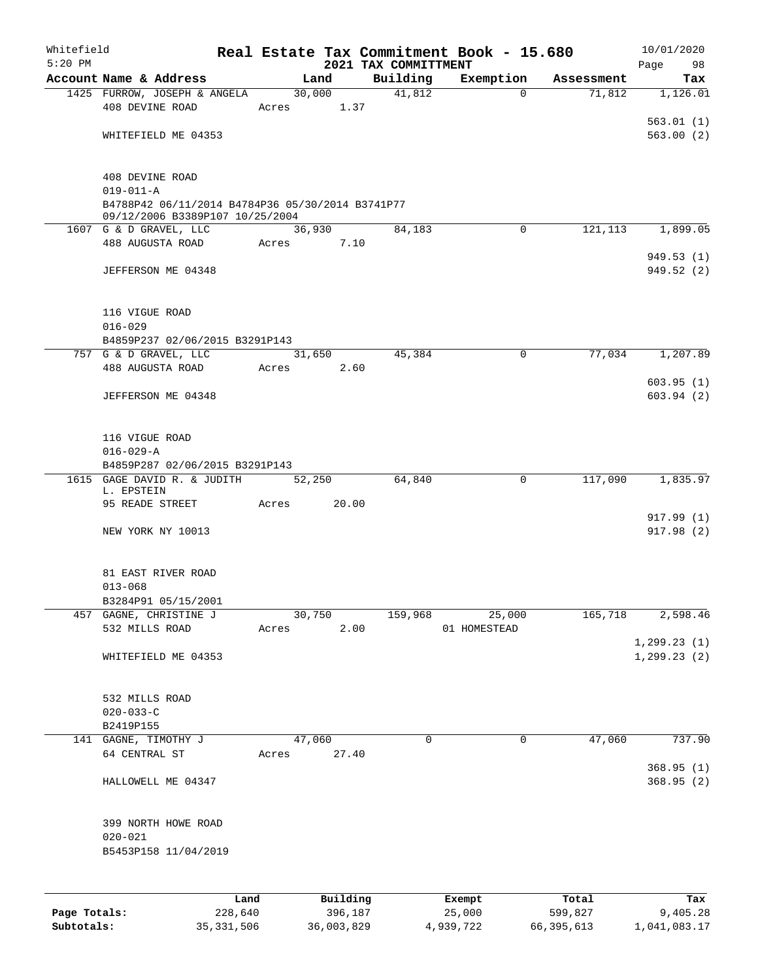| Whitefield   |                                                         |              |       |            |                                  | Real Estate Tax Commitment Book - 15.680 |            | 10/01/2020      |
|--------------|---------------------------------------------------------|--------------|-------|------------|----------------------------------|------------------------------------------|------------|-----------------|
| $5:20$ PM    | Account Name & Address                                  |              |       | Land       | 2021 TAX COMMITTMENT<br>Building | Exemption                                | Assessment | Page<br>98      |
|              | 1425 FURROW, JOSEPH & ANGELA                            |              |       | 30,000     | 41,812                           | $\Omega$                                 | 71,812     | Tax<br>1,126.01 |
|              | 408 DEVINE ROAD                                         |              | Acres | 1.37       |                                  |                                          |            |                 |
|              |                                                         |              |       |            |                                  |                                          |            | 563.01(1)       |
|              | WHITEFIELD ME 04353                                     |              |       |            |                                  |                                          |            | 563.00(2)       |
|              |                                                         |              |       |            |                                  |                                          |            |                 |
|              | 408 DEVINE ROAD                                         |              |       |            |                                  |                                          |            |                 |
|              | $019 - 011 - A$                                         |              |       |            |                                  |                                          |            |                 |
|              | B4788P42 06/11/2014 B4784P36 05/30/2014 B3741P77        |              |       |            |                                  |                                          |            |                 |
|              | 09/12/2006 B3389P107 10/25/2004                         |              |       |            |                                  |                                          |            |                 |
|              | 1607 G & D GRAVEL, LLC                                  |              |       | 36,930     | 84,183                           | $\Omega$                                 | 121,113    | 1,899.05        |
|              | 488 AUGUSTA ROAD                                        |              | Acres | 7.10       |                                  |                                          |            | 949.53 (1)      |
|              | JEFFERSON ME 04348                                      |              |       |            |                                  |                                          |            | 949.52(2)       |
|              |                                                         |              |       |            |                                  |                                          |            |                 |
|              |                                                         |              |       |            |                                  |                                          |            |                 |
|              | 116 VIGUE ROAD                                          |              |       |            |                                  |                                          |            |                 |
|              | $016 - 029$                                             |              |       |            |                                  |                                          |            |                 |
|              | B4859P237 02/06/2015 B3291P143<br>757 G & D GRAVEL, LLC |              |       | 31,650     | 45,384                           | 0                                        | 77,034     | 1,207.89        |
|              | 488 AUGUSTA ROAD                                        |              | Acres | 2.60       |                                  |                                          |            |                 |
|              |                                                         |              |       |            |                                  |                                          |            | 603.95(1)       |
|              | JEFFERSON ME 04348                                      |              |       |            |                                  |                                          |            | 603.94(2)       |
|              |                                                         |              |       |            |                                  |                                          |            |                 |
|              |                                                         |              |       |            |                                  |                                          |            |                 |
|              | 116 VIGUE ROAD<br>$016 - 029 - A$                       |              |       |            |                                  |                                          |            |                 |
|              | B4859P287 02/06/2015 B3291P143                          |              |       |            |                                  |                                          |            |                 |
|              | 1615 GAGE DAVID R. & JUDITH                             |              |       | 52,250     | 64,840                           | $\mathbf 0$                              | 117,090    | 1,835.97        |
|              | L. EPSTEIN                                              |              |       |            |                                  |                                          |            |                 |
|              | 95 READE STREET                                         |              | Acres | 20.00      |                                  |                                          |            | 917.99 (1)      |
|              | NEW YORK NY 10013                                       |              |       |            |                                  |                                          |            | 917.98(2)       |
|              |                                                         |              |       |            |                                  |                                          |            |                 |
|              |                                                         |              |       |            |                                  |                                          |            |                 |
|              | 81 EAST RIVER ROAD                                      |              |       |            |                                  |                                          |            |                 |
|              | $013 - 068$                                             |              |       |            |                                  |                                          |            |                 |
| 457          | B3284P91 05/15/2001<br>GAGNE, CHRISTINE J               |              |       | 30,750     | 159,968                          | 25,000                                   | 165,718    | 2,598.46        |
|              | 532 MILLS ROAD                                          |              | Acres | 2.00       |                                  | 01 HOMESTEAD                             |            |                 |
|              |                                                         |              |       |            |                                  |                                          |            | 1, 299.23(1)    |
|              | WHITEFIELD ME 04353                                     |              |       |            |                                  |                                          |            | 1, 299.23(2)    |
|              |                                                         |              |       |            |                                  |                                          |            |                 |
|              | 532 MILLS ROAD                                          |              |       |            |                                  |                                          |            |                 |
|              | $020 - 033 - C$                                         |              |       |            |                                  |                                          |            |                 |
|              | B2419P155                                               |              |       |            |                                  |                                          |            |                 |
|              | 141 GAGNE, TIMOTHY J                                    |              |       | 47,060     | 0                                | 0                                        | 47,060     | 737.90          |
|              | 64 CENTRAL ST                                           |              | Acres | 27.40      |                                  |                                          |            |                 |
|              |                                                         |              |       |            |                                  |                                          |            | 368.95 (1)      |
|              | HALLOWELL ME 04347                                      |              |       |            |                                  |                                          |            | 368.95 (2)      |
|              |                                                         |              |       |            |                                  |                                          |            |                 |
|              | 399 NORTH HOWE ROAD                                     |              |       |            |                                  |                                          |            |                 |
|              | $020 - 021$                                             |              |       |            |                                  |                                          |            |                 |
|              | B5453P158 11/04/2019                                    |              |       |            |                                  |                                          |            |                 |
|              |                                                         |              |       |            |                                  |                                          |            |                 |
|              |                                                         | Land         |       | Building   |                                  | Exempt                                   | Total      | Tax             |
| Page Totals: |                                                         | 228,640      |       | 396,187    |                                  | 25,000                                   | 599,827    | 9,405.28        |
| Subtotals:   |                                                         | 35, 331, 506 |       | 36,003,829 |                                  | 4,939,722                                | 66,395,613 | 1,041,083.17    |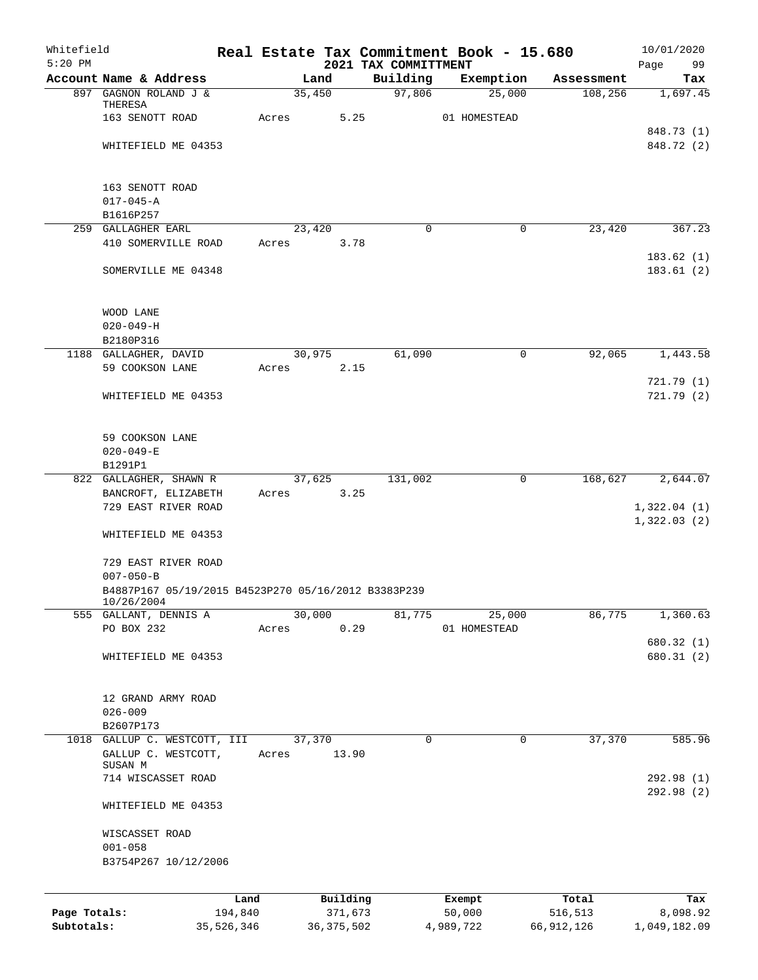| Whitefield<br>$5:20$ PM |                                                     |       |                 |                                  | Real Estate Tax Commitment Book - 15.680 |            | 10/01/2020        |
|-------------------------|-----------------------------------------------------|-------|-----------------|----------------------------------|------------------------------------------|------------|-------------------|
|                         | Account Name & Address                              |       | Land            | 2021 TAX COMMITTMENT<br>Building | Exemption                                | Assessment | Page<br>99<br>Tax |
|                         | 897 GAGNON ROLAND J &                               |       | 35,450          | 97,806                           | 25,000                                   | 108,256    | 1,697.45          |
|                         | THERESA                                             |       |                 |                                  |                                          |            |                   |
|                         | 163 SENOTT ROAD                                     | Acres | 5.25            |                                  | 01 HOMESTEAD                             |            |                   |
|                         |                                                     |       |                 |                                  |                                          |            | 848.73 (1)        |
|                         | WHITEFIELD ME 04353                                 |       |                 |                                  |                                          |            | 848.72 (2)        |
|                         |                                                     |       |                 |                                  |                                          |            |                   |
|                         |                                                     |       |                 |                                  |                                          |            |                   |
|                         | 163 SENOTT ROAD                                     |       |                 |                                  |                                          |            |                   |
|                         | $017 - 045 - A$                                     |       |                 |                                  |                                          |            |                   |
|                         | B1616P257<br>259 GALLAGHER EARL                     |       | 23,420          | $\mathbf 0$                      | $\mathbf 0$                              | 23,420     | 367.23            |
|                         | 410 SOMERVILLE ROAD                                 | Acres | 3.78            |                                  |                                          |            |                   |
|                         |                                                     |       |                 |                                  |                                          |            | 183.62(1)         |
|                         | SOMERVILLE ME 04348                                 |       |                 |                                  |                                          |            | 183.61(2)         |
|                         |                                                     |       |                 |                                  |                                          |            |                   |
|                         |                                                     |       |                 |                                  |                                          |            |                   |
|                         | WOOD LANE                                           |       |                 |                                  |                                          |            |                   |
|                         | $020 - 049 - H$                                     |       |                 |                                  |                                          |            |                   |
|                         | B2180P316                                           |       |                 |                                  |                                          |            |                   |
|                         | 1188 GALLAGHER, DAVID                               |       | 30,975          | 61,090                           | $\mathsf{O}$                             | 92,065     | 1,443.58          |
|                         | 59 COOKSON LANE                                     | Acres | 2.15            |                                  |                                          |            |                   |
|                         |                                                     |       |                 |                                  |                                          |            | 721.79(1)         |
|                         | WHITEFIELD ME 04353                                 |       |                 |                                  |                                          |            | 721.79 (2)        |
|                         |                                                     |       |                 |                                  |                                          |            |                   |
|                         |                                                     |       |                 |                                  |                                          |            |                   |
|                         | 59 COOKSON LANE                                     |       |                 |                                  |                                          |            |                   |
|                         | $020 - 049 - E$                                     |       |                 |                                  |                                          |            |                   |
|                         | B1291P1                                             |       |                 |                                  |                                          |            |                   |
|                         | 822 GALLAGHER, SHAWN R                              |       | 37,625          | 131,002                          | $\mathbf 0$                              | 168,627    | 2,644.07          |
|                         | BANCROFT, ELIZABETH                                 | Acres | 3.25            |                                  |                                          |            |                   |
|                         | 729 EAST RIVER ROAD                                 |       |                 |                                  |                                          |            | 1,322.04(1)       |
|                         | WHITEFIELD ME 04353                                 |       |                 |                                  |                                          |            | 1,322.03(2)       |
|                         |                                                     |       |                 |                                  |                                          |            |                   |
|                         | 729 EAST RIVER ROAD                                 |       |                 |                                  |                                          |            |                   |
|                         | $007 - 050 - B$                                     |       |                 |                                  |                                          |            |                   |
|                         | B4887P167 05/19/2015 B4523P270 05/16/2012 B3383P239 |       |                 |                                  |                                          |            |                   |
|                         | 10/26/2004                                          |       |                 |                                  |                                          |            |                   |
|                         | 555 GALLANT, DENNIS A                               |       | 30,000          | 81,775                           | 25,000                                   | 86,775     | 1,360.63          |
|                         | PO BOX 232                                          | Acres | 0.29            |                                  | 01 HOMESTEAD                             |            |                   |
|                         |                                                     |       |                 |                                  |                                          |            | 680.32 (1)        |
|                         | WHITEFIELD ME 04353                                 |       |                 |                                  |                                          |            | 680.31 (2)        |
|                         |                                                     |       |                 |                                  |                                          |            |                   |
|                         |                                                     |       |                 |                                  |                                          |            |                   |
|                         | 12 GRAND ARMY ROAD                                  |       |                 |                                  |                                          |            |                   |
|                         | $026 - 009$                                         |       |                 |                                  |                                          |            |                   |
|                         | B2607P173                                           |       |                 |                                  |                                          |            |                   |
| 1018                    | GALLUP C. WESTCOTT, III<br>GALLUP C. WESTCOTT,      | Acres | 37,370<br>13.90 | 0                                | 0                                        | 37,370     | 585.96            |
|                         | SUSAN M                                             |       |                 |                                  |                                          |            |                   |
|                         | 714 WISCASSET ROAD                                  |       |                 |                                  |                                          |            | 292.98(1)         |
|                         |                                                     |       |                 |                                  |                                          |            | 292.98 (2)        |
|                         | WHITEFIELD ME 04353                                 |       |                 |                                  |                                          |            |                   |
|                         |                                                     |       |                 |                                  |                                          |            |                   |
|                         | WISCASSET ROAD                                      |       |                 |                                  |                                          |            |                   |
|                         | $001 - 058$                                         |       |                 |                                  |                                          |            |                   |
|                         | B3754P267 10/12/2006                                |       |                 |                                  |                                          |            |                   |
|                         |                                                     |       |                 |                                  |                                          |            |                   |
|                         |                                                     | Land  | Building        |                                  | Exempt                                   | Total      | Tax               |
| Page Totals:            | 194,840                                             |       | 371,673         |                                  | 50,000                                   | 516,513    | 8,098.92          |
| Subtotals:              | 35,526,346                                          |       | 36, 375, 502    |                                  | 4,989,722                                | 66,912,126 | 1,049,182.09      |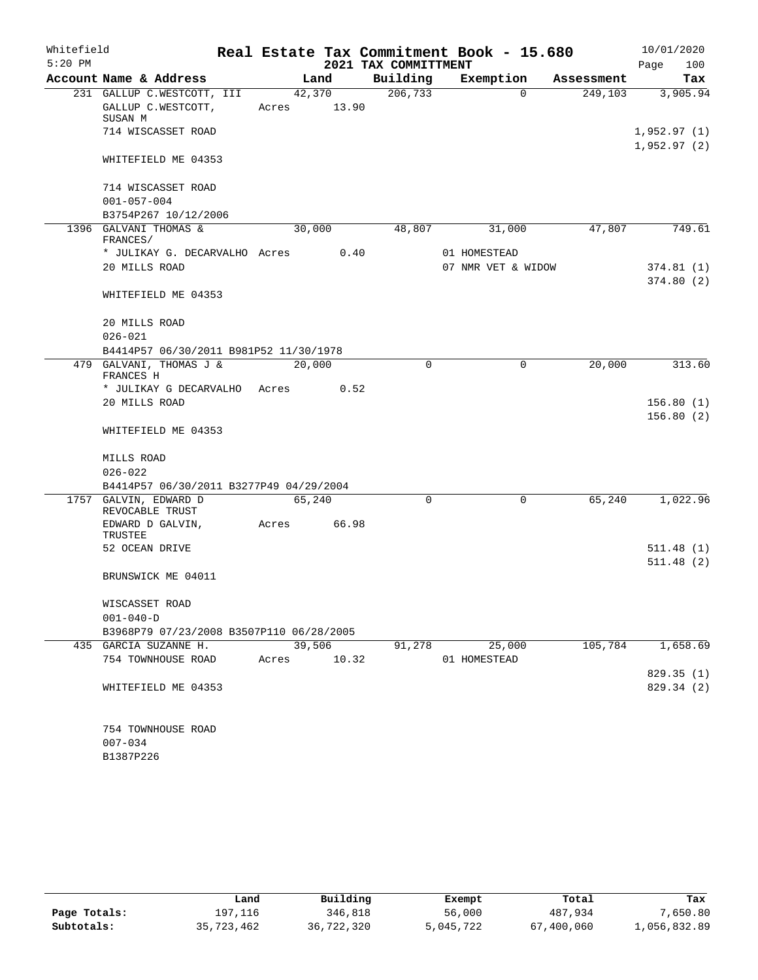| Whitefield |                                                                   |                 |        |                      | Real Estate Tax Commitment Book - 15.680 |            | 10/01/2020             |
|------------|-------------------------------------------------------------------|-----------------|--------|----------------------|------------------------------------------|------------|------------------------|
| $5:20$ PM  |                                                                   |                 |        | 2021 TAX COMMITTMENT |                                          |            | 100<br>Page            |
|            | Account Name & Address                                            |                 | Land   | Building             | Exemption                                | Assessment | Tax                    |
|            | 231 GALLUP C.WESTCOTT, III<br>GALLUP C.WESTCOTT,                  | Acres 13.90     | 42,370 | 206, 733             | $\Omega$                                 | 249,103    | 3,905.94               |
|            | SUSAN M<br>714 WISCASSET ROAD                                     |                 |        |                      |                                          |            | 1,952.97(1)            |
|            | WHITEFIELD ME 04353                                               |                 |        |                      |                                          |            | 1,952.97(2)            |
|            | 714 WISCASSET ROAD                                                |                 |        |                      |                                          |            |                        |
|            | $001 - 057 - 004$<br>B3754P267 10/12/2006                         |                 |        |                      |                                          |            |                        |
|            | 1396 GALVANI THOMAS &<br>FRANCES/                                 | 30,000          |        | 48,807               | 31,000                                   | 47,807     | 749.61                 |
|            | * JULIKAY G. DECARVALHO Acres                                     |                 | 0.40   |                      | 01 HOMESTEAD                             |            |                        |
|            | 20 MILLS ROAD                                                     |                 |        |                      | 07 NMR VET & WIDOW                       |            | 374.81(1)<br>374.80(2) |
|            | WHITEFIELD ME 04353                                               |                 |        |                      |                                          |            |                        |
|            | 20 MILLS ROAD                                                     |                 |        |                      |                                          |            |                        |
|            | $026 - 021$                                                       |                 |        |                      |                                          |            |                        |
|            | B4414P57 06/30/2011 B981P52 11/30/1978<br>479 GALVANI, THOMAS J & | 20,000          |        | $\Omega$             | 0                                        | 20,000     | 313.60                 |
|            | FRANCES H                                                         |                 |        |                      |                                          |            |                        |
|            | * JULIKAY G DECARVALHO                                            | Acres           | 0.52   |                      |                                          |            |                        |
|            | 20 MILLS ROAD                                                     |                 |        |                      |                                          |            | 156.80(1)              |
|            | WHITEFIELD ME 04353                                               |                 |        |                      |                                          |            | 156.80(2)              |
|            | MILLS ROAD                                                        |                 |        |                      |                                          |            |                        |
|            | $026 - 022$                                                       |                 |        |                      |                                          |            |                        |
|            | B4414P57 06/30/2011 B3277P49 04/29/2004                           |                 |        |                      |                                          |            |                        |
|            | 1757 GALVIN, EDWARD D<br>REVOCABLE TRUST                          | 65,240          |        | $\Omega$             | 0                                        | 65,240     | 1,022.96               |
|            | EDWARD D GALVIN,<br>TRUSTEE                                       | Acres           | 66.98  |                      |                                          |            |                        |
|            | 52 OCEAN DRIVE                                                    |                 |        |                      |                                          |            | 511.48(1)<br>511.48(2) |
|            | BRUNSWICK ME 04011                                                |                 |        |                      |                                          |            |                        |
|            | WISCASSET ROAD                                                    |                 |        |                      |                                          |            |                        |
|            | $001 - 040 - D$                                                   |                 |        |                      |                                          |            |                        |
|            | B3968P79 07/23/2008 B3507P110 06/28/2005                          |                 |        |                      |                                          |            |                        |
|            | 435 GARCIA SUZANNE H.<br>754 TOWNHOUSE ROAD                       | 39,506<br>Acres | 10.32  | 91,278               | 25,000<br>01 HOMESTEAD                   | 105,784    | 1,658.69               |
|            |                                                                   |                 |        |                      |                                          |            | 829.35 (1)             |
|            | WHITEFIELD ME 04353                                               |                 |        |                      |                                          |            | 829.34 (2)             |
|            | 754 TOWNHOUSE ROAD                                                |                 |        |                      |                                          |            |                        |
|            | $007 - 034$                                                       |                 |        |                      |                                          |            |                        |
|            | B1387P226                                                         |                 |        |                      |                                          |            |                        |

|              | Land       | Building   | Exempt    | Total      | Tax          |
|--------------|------------|------------|-----------|------------|--------------|
| Page Totals: | 197.116    | 346,818    | 56,000    | 487,934    | 7,650.80     |
| Subtotals:   | 35,723,462 | 36,722,320 | 5,045,722 | 67,400,060 | 1,056,832.89 |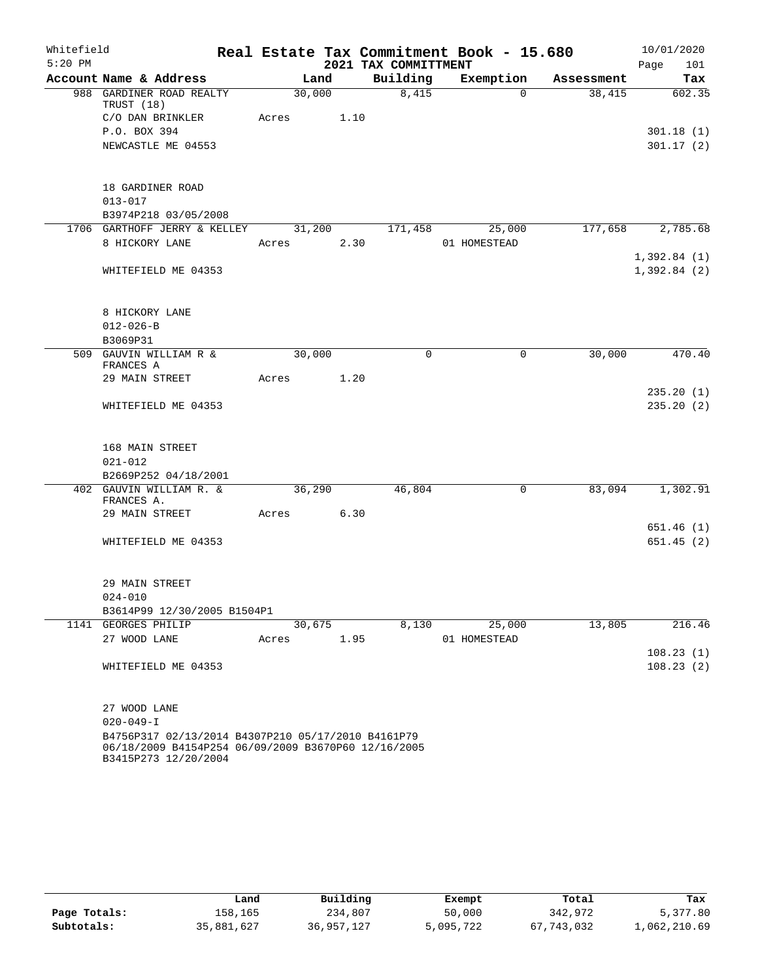| Whitefield |                                                                                                                                   |       |        |      |                      |   | Real Estate Tax Commitment Book - 15.680 |            | 10/01/2020                       |
|------------|-----------------------------------------------------------------------------------------------------------------------------------|-------|--------|------|----------------------|---|------------------------------------------|------------|----------------------------------|
| $5:20$ PM  |                                                                                                                                   |       |        |      | 2021 TAX COMMITTMENT |   |                                          |            | 101<br>Page                      |
|            | Account Name & Address                                                                                                            |       | Land   |      | Building             |   | Exemption                                | Assessment | Tax                              |
|            | 988 GARDINER ROAD REALTY<br>TRUST (18)<br>C/O DAN BRINKLER<br>P.O. BOX 394<br>NEWCASTLE ME 04553                                  | Acres | 30,000 | 1.10 | 8,415                |   | $\Omega$                                 | 38,415     | 602.35<br>301.18(1)<br>301.17(2) |
|            | 18 GARDINER ROAD                                                                                                                  |       |        |      |                      |   |                                          |            |                                  |
|            | $013 - 017$                                                                                                                       |       |        |      |                      |   |                                          |            |                                  |
|            | B3974P218 03/05/2008                                                                                                              |       |        |      |                      |   |                                          |            |                                  |
|            | 1706 GARTHOFF JERRY & KELLEY                                                                                                      |       | 31,200 |      | 171,458              |   | 25,000                                   | 177,658    | 2,785.68                         |
|            | 8 HICKORY LANE                                                                                                                    | Acres |        | 2.30 |                      |   | 01 HOMESTEAD                             |            |                                  |
|            |                                                                                                                                   |       |        |      |                      |   |                                          |            | 1,392.84(1)                      |
|            | WHITEFIELD ME 04353                                                                                                               |       |        |      |                      |   |                                          |            | 1,392.84(2)                      |
|            | 8 HICKORY LANE                                                                                                                    |       |        |      |                      |   |                                          |            |                                  |
|            | $012 - 026 - B$                                                                                                                   |       |        |      |                      |   |                                          |            |                                  |
|            | B3069P31<br>509 GAUVIN WILLIAM R &                                                                                                |       | 30,000 |      |                      | 0 | $\mathbf 0$                              | 30,000     | 470.40                           |
|            | FRANCES A                                                                                                                         |       |        |      |                      |   |                                          |            |                                  |
|            | 29 MAIN STREET                                                                                                                    | Acres |        | 1.20 |                      |   |                                          |            | 235.20(1)                        |
|            | WHITEFIELD ME 04353                                                                                                               |       |        |      |                      |   |                                          |            | 235.20(2)                        |
|            | 168 MAIN STREET                                                                                                                   |       |        |      |                      |   |                                          |            |                                  |
|            | $021 - 012$                                                                                                                       |       |        |      |                      |   |                                          |            |                                  |
|            | B2669P252 04/18/2001                                                                                                              |       |        |      |                      |   |                                          |            |                                  |
|            | 402 GAUVIN WILLIAM R. &<br>FRANCES A.                                                                                             |       | 36,290 |      | 46,804               |   | 0                                        | 83,094     | 1,302.91                         |
|            | 29 MAIN STREET                                                                                                                    | Acres |        | 6.30 |                      |   |                                          |            |                                  |
|            |                                                                                                                                   |       |        |      |                      |   |                                          |            | 651.46(1)                        |
|            | WHITEFIELD ME 04353                                                                                                               |       |        |      |                      |   |                                          |            | 651.45(2)                        |
|            | 29 MAIN STREET                                                                                                                    |       |        |      |                      |   |                                          |            |                                  |
|            | $024 - 010$                                                                                                                       |       |        |      |                      |   |                                          |            |                                  |
|            | B3614P99 12/30/2005 B1504P1                                                                                                       |       |        |      |                      |   |                                          |            |                                  |
|            | 1141 GEORGES PHILIP                                                                                                               |       | 30,675 |      | 8,130                |   | 25,000                                   | 13,805     | 216.46                           |
|            | 27 WOOD LANE                                                                                                                      | Acres |        | 1.95 |                      |   | 01 HOMESTEAD                             |            |                                  |
|            |                                                                                                                                   |       |        |      |                      |   |                                          |            | 108.23(1)                        |
|            | WHITEFIELD ME 04353                                                                                                               |       |        |      |                      |   |                                          |            | 108.23(2)                        |
|            | 27 WOOD LANE                                                                                                                      |       |        |      |                      |   |                                          |            |                                  |
|            | $020 - 049 - I$                                                                                                                   |       |        |      |                      |   |                                          |            |                                  |
|            | B4756P317 02/13/2014 B4307P210 05/17/2010 B4161P79<br>06/18/2009 B4154P254 06/09/2009 B3670P60 12/16/2005<br>B3415P273 12/20/2004 |       |        |      |                      |   |                                          |            |                                  |

|              | Land       | Building   | Exempt    | Total      | Tax          |
|--------------|------------|------------|-----------|------------|--------------|
| Page Totals: | 158,165    | 234,807    | 50,000    | 342,972    | 5,377.80     |
| Subtotals:   | 35,881,627 | 36,957,127 | 5,095,722 | 67,743,032 | 1,062,210.69 |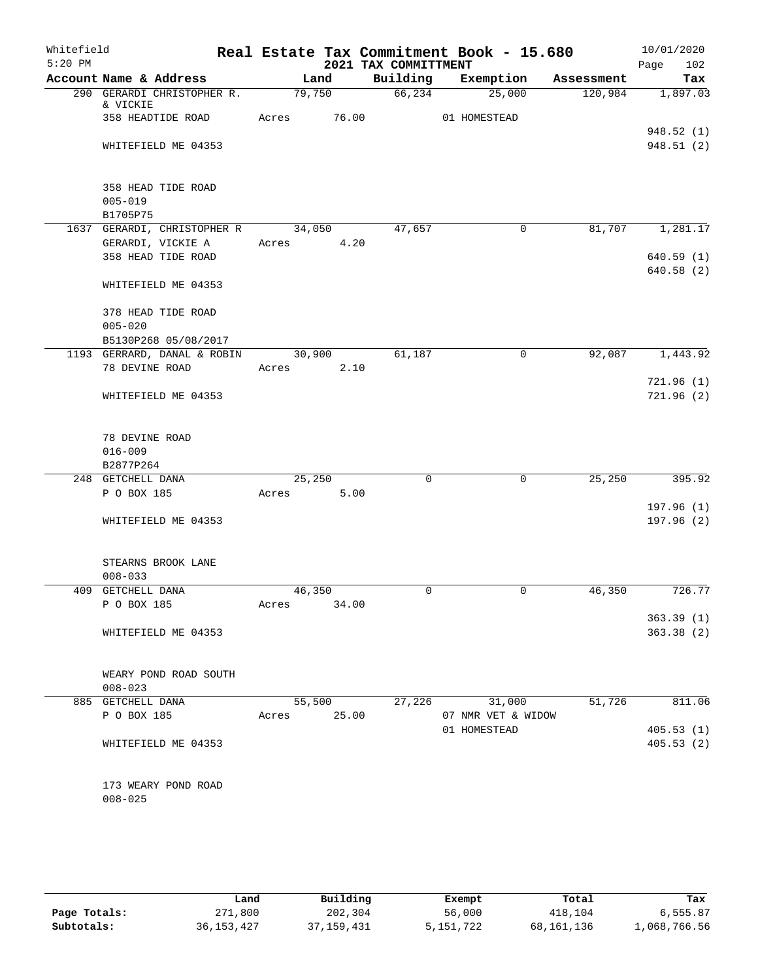| Whitefield<br>$5:20$ PM |                                                      |            |                | 2021 TAX COMMITTMENT | Real Estate Tax Commitment Book - 15.680 |            | 10/01/2020<br>Page<br>102 |
|-------------------------|------------------------------------------------------|------------|----------------|----------------------|------------------------------------------|------------|---------------------------|
|                         | Account Name & Address                               |            | Land           | Building             | Exemption                                | Assessment | Tax                       |
|                         | 290 GERARDI CHRISTOPHER R.<br>& VICKIE               |            | 79,750         | 66,234               | 25,000                                   | 120,984    | 1,897.03                  |
|                         | 358 HEADTIDE ROAD                                    | Acres      | 76.00          |                      | 01 HOMESTEAD                             |            |                           |
|                         | WHITEFIELD ME 04353                                  |            |                |                      |                                          |            | 948.52 (1)<br>948.51 (2)  |
|                         |                                                      |            |                |                      |                                          |            |                           |
|                         | 358 HEAD TIDE ROAD<br>$005 - 019$                    |            |                |                      |                                          |            |                           |
|                         | B1705P75                                             |            |                |                      |                                          |            |                           |
|                         | 1637 GERARDI, CHRISTOPHER R                          |            | 34,050         | 47,657               | $\mathbf 0$                              | 81,707     | 1,281.17                  |
|                         | GERARDI, VICKIE A                                    | Acres 4.20 |                |                      |                                          |            |                           |
|                         | 358 HEAD TIDE ROAD                                   |            |                |                      |                                          |            | 640.59(1)<br>640.58 (2)   |
|                         | WHITEFIELD ME 04353                                  |            |                |                      |                                          |            |                           |
|                         | 378 HEAD TIDE ROAD                                   |            |                |                      |                                          |            |                           |
|                         | $005 - 020$                                          |            |                |                      |                                          |            |                           |
|                         | B5130P268 05/08/2017                                 |            |                |                      |                                          |            |                           |
|                         | 1193 GERRARD, DANAL & ROBIN 30,900<br>78 DEVINE ROAD |            |                | 61,187               | $\mathbf 0$                              | 92,087     | 1,443.92                  |
|                         |                                                      | Acres      | 2.10           |                      |                                          |            | 721.96(1)                 |
|                         | WHITEFIELD ME 04353                                  |            |                |                      |                                          |            | 721.96(2)                 |
|                         | 78 DEVINE ROAD                                       |            |                |                      |                                          |            |                           |
|                         | $016 - 009$                                          |            |                |                      |                                          |            |                           |
|                         | B2877P264                                            |            |                |                      |                                          |            |                           |
|                         | 248 GETCHELL DANA<br>P O BOX 185                     | Acres      | 25,250<br>5.00 | $\Omega$             | $\mathbf 0$                              | 25,250     | 395.92                    |
|                         |                                                      |            |                |                      |                                          |            | 197.96(1)                 |
|                         | WHITEFIELD ME 04353                                  |            |                |                      |                                          |            | 197.96(2)                 |
|                         | STEARNS BROOK LANE                                   |            |                |                      |                                          |            |                           |
|                         | $008 - 033$                                          |            |                |                      |                                          |            |                           |
|                         | 409 GETCHELL DANA                                    | 46,350     |                | 0                    | 0                                        | 46,350     | 726.77                    |
|                         | P O BOX 185                                          | Acres      | 34.00          |                      |                                          |            |                           |
|                         | WHITEFIELD ME 04353                                  |            |                |                      |                                          |            | 363.39(1)<br>363.38(2)    |
|                         | WEARY POND ROAD SOUTH<br>$008 - 023$                 |            |                |                      |                                          |            |                           |
|                         | 885 GETCHELL DANA                                    |            | 55,500         | 27,226               | 31,000                                   | 51,726     | 811.06                    |
|                         | P O BOX 185                                          | Acres      | 25.00          |                      | 07 NMR VET & WIDOW                       |            |                           |
|                         |                                                      |            |                |                      | 01 HOMESTEAD                             |            | 405.53(1)                 |
|                         | WHITEFIELD ME 04353                                  |            |                |                      |                                          |            | 405.53(2)                 |
|                         | 173 WEARY POND ROAD<br>$008 - 025$                   |            |                |                      |                                          |            |                           |
|                         |                                                      |            |                |                      |                                          |            |                           |

|              | Land         | Building     | Exempt    | Total      | Tax          |
|--------------|--------------|--------------|-----------|------------|--------------|
| Page Totals: | 271,800      | 202,304      | 56,000    | 418,104    | 6,555.87     |
| Subtotals:   | 36, 153, 427 | 37, 159, 431 | 5,151,722 | 68,161,136 | 1,068,766.56 |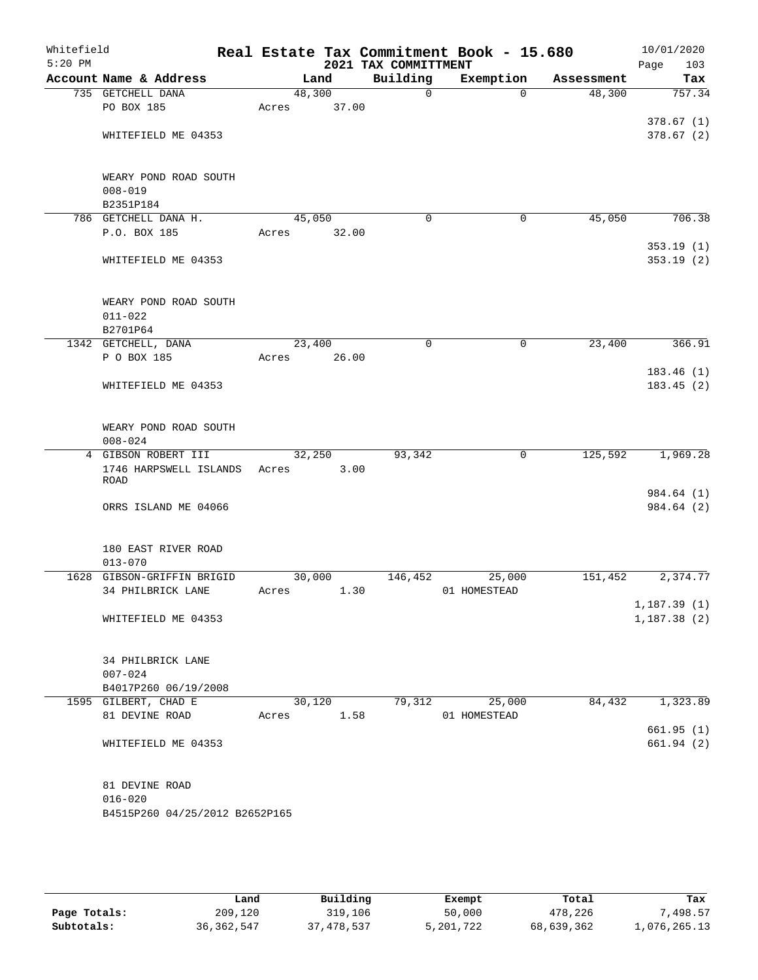| Whitefield<br>$5:20$ PM |                                               |       |        | 2021 TAX COMMITTMENT | Real Estate Tax Commitment Book - 15.680 |            | 10/01/2020<br>Page<br>103 |
|-------------------------|-----------------------------------------------|-------|--------|----------------------|------------------------------------------|------------|---------------------------|
|                         | Account Name & Address                        |       | Land   | Building             | Exemption                                | Assessment | Tax                       |
|                         | 735 GETCHELL DANA                             |       | 48,300 | $\mathbf 0$          | $\Omega$                                 | 48,300     | 757.34                    |
|                         | PO BOX 185                                    | Acres | 37.00  |                      |                                          |            |                           |
|                         |                                               |       |        |                      |                                          |            | 378.67(1)                 |
|                         | WHITEFIELD ME 04353                           |       |        |                      |                                          |            | 378.67(2)                 |
|                         |                                               |       |        |                      |                                          |            |                           |
|                         |                                               |       |        |                      |                                          |            |                           |
|                         | WEARY POND ROAD SOUTH                         |       |        |                      |                                          |            |                           |
|                         | $008 - 019$                                   |       |        |                      |                                          |            |                           |
|                         | B2351P184                                     |       |        |                      |                                          |            |                           |
|                         | 786 GETCHELL DANA H.                          |       | 45,050 | $\mathbf 0$          | 0                                        | 45,050     | 706.38                    |
|                         | P.O. BOX 185                                  | Acres | 32.00  |                      |                                          |            |                           |
|                         |                                               |       |        |                      |                                          |            | 353.19(1)                 |
|                         | WHITEFIELD ME 04353                           |       |        |                      |                                          |            | 353.19(2)                 |
|                         | WEARY POND ROAD SOUTH                         |       |        |                      |                                          |            |                           |
|                         | $011 - 022$                                   |       |        |                      |                                          |            |                           |
|                         | B2701P64                                      |       |        |                      |                                          |            |                           |
|                         | 1342 GETCHELL, DANA                           |       | 23,400 | 0                    | 0                                        | 23,400     | 366.91                    |
|                         | P O BOX 185                                   | Acres | 26.00  |                      |                                          |            |                           |
|                         |                                               |       |        |                      |                                          |            | 183.46(1)                 |
|                         | WHITEFIELD ME 04353                           |       |        |                      |                                          |            | 183.45(2)                 |
|                         |                                               |       |        |                      |                                          |            |                           |
|                         | WEARY POND ROAD SOUTH                         |       |        |                      |                                          |            |                           |
|                         | $008 - 024$                                   |       |        |                      |                                          |            |                           |
|                         | 4 GIBSON ROBERT III                           |       | 32,250 | 93,342               | 0                                        | 125,592    | 1,969.28                  |
|                         | 1746 HARPSWELL ISLANDS                        | Acres | 3.00   |                      |                                          |            |                           |
|                         | <b>ROAD</b>                                   |       |        |                      |                                          |            | 984.64 (1)                |
|                         | ORRS ISLAND ME 04066                          |       |        |                      |                                          |            | 984.64 (2)                |
|                         |                                               |       |        |                      |                                          |            |                           |
|                         | 180 EAST RIVER ROAD                           |       |        |                      |                                          |            |                           |
|                         | $013 - 070$                                   |       |        |                      |                                          |            |                           |
|                         | 1628 GIBSON-GRIFFIN BRIGID                    |       | 30,000 | 146,452              | 25,000                                   | 151,452    | 2,374.77                  |
|                         | 34 PHILBRICK LANE                             | Acres | 1.30   |                      | 01 HOMESTEAD                             |            |                           |
|                         |                                               |       |        |                      |                                          |            | 1, 187.39(1)              |
|                         | WHITEFIELD ME 04353                           |       |        |                      |                                          |            | 1,187.38(2)               |
|                         |                                               |       |        |                      |                                          |            |                           |
|                         | 34 PHILBRICK LANE                             |       |        |                      |                                          |            |                           |
|                         | $007 - 024$                                   |       |        |                      |                                          |            |                           |
|                         | B4017P260 06/19/2008                          |       |        |                      |                                          |            |                           |
|                         | 1595 GILBERT, CHAD E                          |       | 30,120 | 79,312               | 25,000                                   | 84,432     | 1,323.89                  |
|                         | 81 DEVINE ROAD                                | Acres | 1.58   |                      | 01 HOMESTEAD                             |            |                           |
|                         |                                               |       |        |                      |                                          |            | 661.95(1)                 |
|                         | WHITEFIELD ME 04353                           |       |        |                      |                                          |            | 661.94 (2)                |
|                         |                                               |       |        |                      |                                          |            |                           |
|                         | 81 DEVINE ROAD                                |       |        |                      |                                          |            |                           |
|                         | $016 - 020$<br>B4515P260 04/25/2012 B2652P165 |       |        |                      |                                          |            |                           |
|                         |                                               |       |        |                      |                                          |            |                           |
|                         |                                               |       |        |                      |                                          |            |                           |
|                         |                                               |       |        |                      |                                          |            |                           |

|              | Land         | Building   | Exempt    | Total      | Tax          |
|--------------|--------------|------------|-----------|------------|--------------|
| Page Totals: | 209,120      | 319,106    | 50,000    | 478,226    | .498.57      |
| Subtotals:   | 36, 362, 547 | 37,478,537 | 5,201,722 | 68,639,362 | 1,076,265.13 |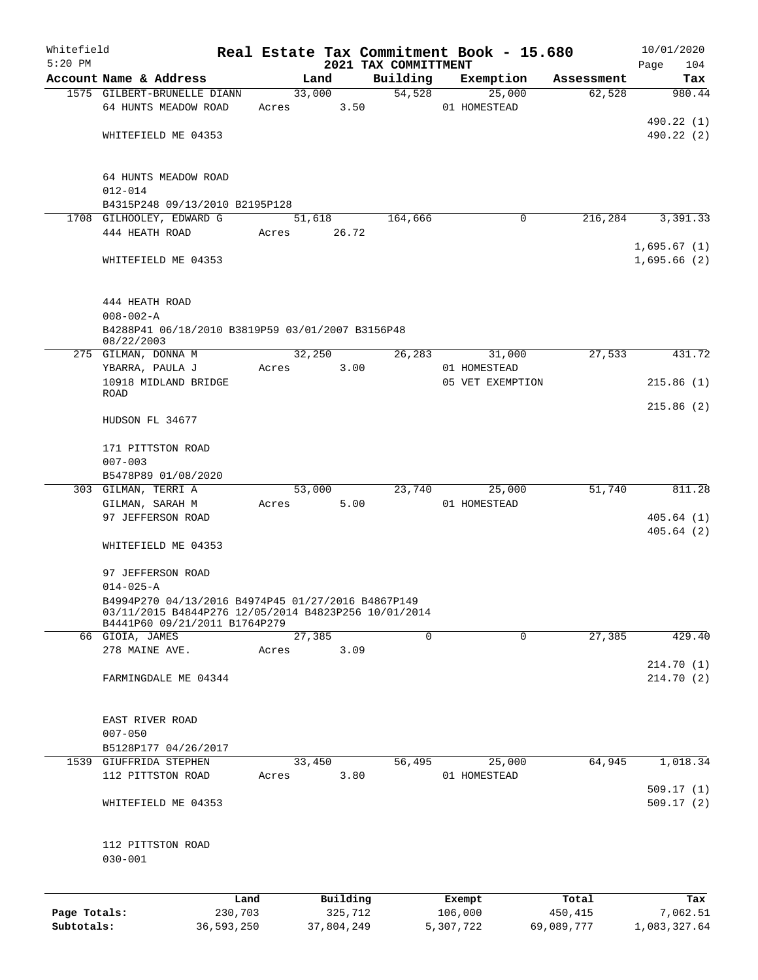| Whitefield<br>$5:20$ PM |                                                                                                                                             |        |                     |                                  | Real Estate Tax Commitment Book - 15.680 |                  | 10/01/2020                 |
|-------------------------|---------------------------------------------------------------------------------------------------------------------------------------------|--------|---------------------|----------------------------------|------------------------------------------|------------------|----------------------------|
|                         | Account Name & Address                                                                                                                      |        | Land                | 2021 TAX COMMITTMENT<br>Building | Exemption                                | Assessment       | 104<br>Page<br>Tax         |
|                         | 1575 GILBERT-BRUNELLE DIANN                                                                                                                 |        | 33,000              | 54,528                           | 25,000                                   | 62,528           | 980.44                     |
|                         | 64 HUNTS MEADOW ROAD                                                                                                                        | Acres  | 3.50                |                                  | 01 HOMESTEAD                             |                  |                            |
|                         |                                                                                                                                             |        |                     |                                  |                                          |                  | 490.22 (1)                 |
|                         | WHITEFIELD ME 04353                                                                                                                         |        |                     |                                  |                                          |                  | 490.22 (2)                 |
|                         | 64 HUNTS MEADOW ROAD<br>$012 - 014$                                                                                                         |        |                     |                                  |                                          |                  |                            |
|                         | B4315P248 09/13/2010 B2195P128                                                                                                              |        |                     |                                  |                                          |                  |                            |
|                         | 1708 GILHOOLEY, EDWARD G                                                                                                                    |        | 51,618              | 164,666                          | $\mathbf 0$                              | 216,284          | 3,391.33                   |
|                         | 444 HEATH ROAD                                                                                                                              | Acres  | 26.72               |                                  |                                          |                  |                            |
|                         | WHITEFIELD ME 04353                                                                                                                         |        |                     |                                  |                                          |                  | 1,695.67(1)<br>1,695.66(2) |
|                         | 444 HEATH ROAD<br>$008 - 002 - A$                                                                                                           |        |                     |                                  |                                          |                  |                            |
|                         | B4288P41 06/18/2010 B3819P59 03/01/2007 B3156P48<br>08/22/2003                                                                              |        |                     |                                  |                                          |                  |                            |
|                         | 275 GILMAN, DONNA M                                                                                                                         |        | 32,250              | 26,283                           | 31,000                                   | 27,533           | 431.72                     |
|                         | YBARRA, PAULA J                                                                                                                             | Acres  | 3.00                |                                  | 01 HOMESTEAD                             |                  |                            |
|                         | 10918 MIDLAND BRIDGE<br><b>ROAD</b>                                                                                                         |        |                     |                                  | 05 VET EXEMPTION                         |                  | 215.86(1)                  |
|                         | HUDSON FL 34677                                                                                                                             |        |                     |                                  |                                          |                  | 215.86(2)                  |
|                         | 171 PITTSTON ROAD<br>$007 - 003$                                                                                                            |        |                     |                                  |                                          |                  |                            |
|                         | B5478P89 01/08/2020                                                                                                                         |        |                     |                                  |                                          |                  |                            |
|                         | 303 GILMAN, TERRI A                                                                                                                         |        | 53,000              | 23,740                           | 25,000                                   | 51,740           | 811.28                     |
|                         | GILMAN, SARAH M                                                                                                                             | Acres  | 5.00                |                                  | 01 HOMESTEAD                             |                  |                            |
|                         | 97 JEFFERSON ROAD                                                                                                                           |        |                     |                                  |                                          |                  | 405.64(1)<br>405.64(2)     |
|                         | WHITEFIELD ME 04353                                                                                                                         |        |                     |                                  |                                          |                  |                            |
|                         | 97 JEFFERSON ROAD<br>$014 - 025 - A$                                                                                                        |        |                     |                                  |                                          |                  |                            |
|                         | B4994P270 04/13/2016 B4974P45 01/27/2016 B4867P149<br>03/11/2015 B4844P276 12/05/2014 B4823P256 10/01/2014<br>B4441P60 09/21/2011 B1764P279 |        |                     |                                  |                                          |                  |                            |
|                         | 66 GIOIA, JAMES                                                                                                                             | 27,385 |                     | $\mathbf 0$                      | $\mathbf 0$                              | 27,385           | 429.40                     |
|                         | 278 MAINE AVE.                                                                                                                              | Acres  | 3.09                |                                  |                                          |                  |                            |
|                         |                                                                                                                                             |        |                     |                                  |                                          |                  | 214.70 (1)                 |
|                         | FARMINGDALE ME 04344                                                                                                                        |        |                     |                                  |                                          |                  | 214.70(2)                  |
|                         | EAST RIVER ROAD                                                                                                                             |        |                     |                                  |                                          |                  |                            |
|                         | $007 - 050$                                                                                                                                 |        |                     |                                  |                                          |                  |                            |
|                         | B5128P177 04/26/2017                                                                                                                        |        |                     |                                  |                                          |                  |                            |
| 1539                    | GIUFFRIDA STEPHEN<br>112 PITTSTON ROAD                                                                                                      |        | 33,450<br>3.80      | 56,495                           | 25,000<br>01 HOMESTEAD                   | 64,945           | 1,018.34                   |
|                         |                                                                                                                                             | Acres  |                     |                                  |                                          |                  | 509.17(1)                  |
|                         | WHITEFIELD ME 04353                                                                                                                         |        |                     |                                  |                                          |                  | 509.17(2)                  |
|                         | 112 PITTSTON ROAD<br>$030 - 001$                                                                                                            |        |                     |                                  |                                          |                  |                            |
|                         |                                                                                                                                             |        |                     |                                  |                                          |                  |                            |
| Page Totals:            | Land<br>230,703                                                                                                                             |        | Building<br>325,712 |                                  | Exempt<br>106,000                        | Total<br>450,415 | Tax<br>7,062.51            |

**Subtotals:** 36,593,250 37,804,249 5,307,722 69,089,777 1,083,327.64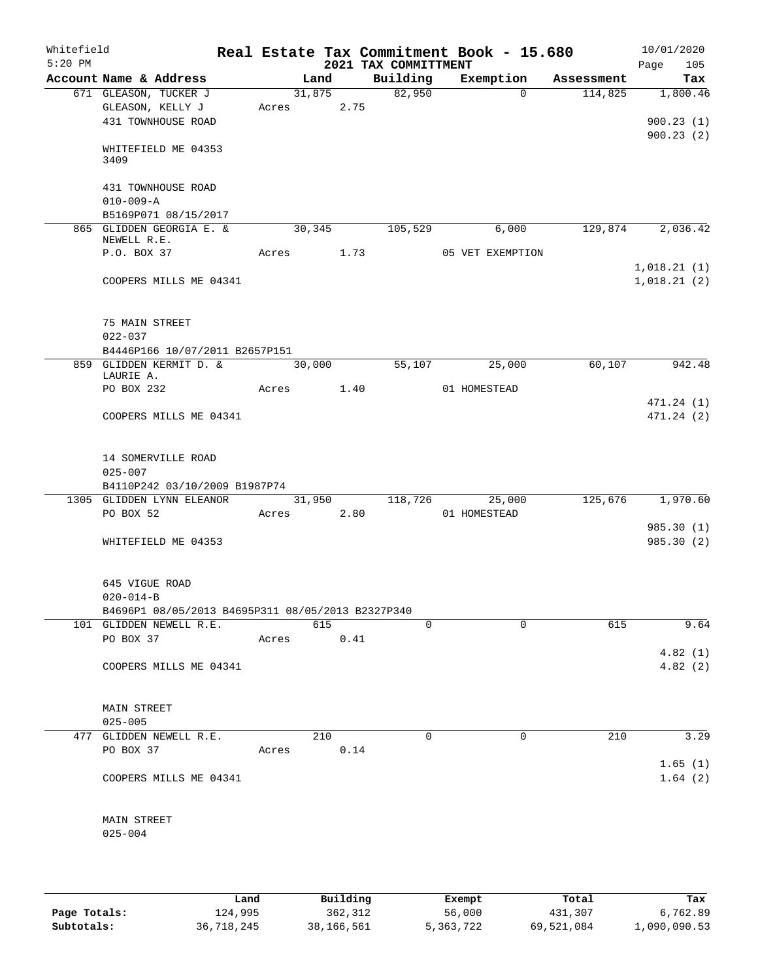| Whitefield<br>$5:20$ PM |                 |                                                   |            |        |      | 2021 TAX COMMITTMENT | Real Estate Tax Commitment Book - 15.680 |            | 10/01/2020<br>Page<br>105 |
|-------------------------|-----------------|---------------------------------------------------|------------|--------|------|----------------------|------------------------------------------|------------|---------------------------|
|                         |                 | Account Name & Address                            |            | Land   |      | Building             | Exemption                                | Assessment | Tax                       |
|                         |                 | 671 GLEASON, TUCKER J                             |            | 31,875 |      | 82,950               | $\Omega$                                 | 114,825    | 1,800.46                  |
|                         |                 | GLEASON, KELLY J                                  |            | Acres  | 2.75 |                      |                                          |            |                           |
|                         |                 | 431 TOWNHOUSE ROAD                                |            |        |      |                      |                                          |            | 900.23(1)                 |
|                         |                 |                                                   |            |        |      |                      |                                          |            | 900.23(2)                 |
|                         |                 | WHITEFIELD ME 04353                               |            |        |      |                      |                                          |            |                           |
|                         | 3409            |                                                   |            |        |      |                      |                                          |            |                           |
|                         |                 |                                                   |            |        |      |                      |                                          |            |                           |
|                         |                 | 431 TOWNHOUSE ROAD                                |            |        |      |                      |                                          |            |                           |
|                         | $010 - 009 - A$ |                                                   |            |        |      |                      |                                          |            |                           |
|                         |                 | B5169P071 08/15/2017                              |            |        |      |                      |                                          |            |                           |
|                         | NEWELL R.E.     | 865 GLIDDEN GEORGIA E. &                          |            | 30,345 |      | 105,529              | 6,000                                    | 129,874    | 2,036.42                  |
|                         | P.O. BOX 37     |                                                   |            | Acres  | 1.73 |                      | 05 VET EXEMPTION                         |            |                           |
|                         |                 |                                                   |            |        |      |                      |                                          |            | 1,018.21(1)               |
|                         |                 | COOPERS MILLS ME 04341                            |            |        |      |                      |                                          |            | 1,018.21(2)               |
|                         |                 |                                                   |            |        |      |                      |                                          |            |                           |
|                         |                 |                                                   |            |        |      |                      |                                          |            |                           |
|                         | 75 MAIN STREET  |                                                   |            |        |      |                      |                                          |            |                           |
|                         | $022 - 037$     |                                                   |            |        |      |                      |                                          |            |                           |
|                         |                 | B4446P166 10/07/2011 B2657P151                    |            |        |      |                      |                                          |            |                           |
|                         |                 | 859 GLIDDEN KERMIT D. &                           |            | 30,000 |      | 55,107               | 25,000                                   | 60,107     | 942.48                    |
|                         | LAURIE A.       |                                                   |            |        |      |                      |                                          |            |                           |
|                         | PO BOX 232      |                                                   | Acres      |        | 1.40 |                      | 01 HOMESTEAD                             |            |                           |
|                         |                 |                                                   |            |        |      |                      |                                          |            | 471.24 (1)                |
|                         |                 | COOPERS MILLS ME 04341                            |            |        |      |                      |                                          |            | 471.24(2)                 |
|                         |                 |                                                   |            |        |      |                      |                                          |            |                           |
|                         |                 |                                                   |            |        |      |                      |                                          |            |                           |
|                         |                 | 14 SOMERVILLE ROAD                                |            |        |      |                      |                                          |            |                           |
|                         | $025 - 007$     |                                                   |            |        |      |                      |                                          |            |                           |
|                         |                 | B4110P242 03/10/2009 B1987P74                     |            |        |      |                      |                                          |            |                           |
|                         |                 | 1305 GLIDDEN LYNN ELEANOR                         |            | 31,950 |      | 118,726              | 25,000                                   | 125,676    | 1,970.60                  |
|                         | PO BOX 52       |                                                   | Acres 2.80 |        |      |                      | 01 HOMESTEAD                             |            |                           |
|                         |                 |                                                   |            |        |      |                      |                                          |            | 985.30 (1)                |
|                         |                 | WHITEFIELD ME 04353                               |            |        |      |                      |                                          |            | 985.30 (2)                |
|                         |                 |                                                   |            |        |      |                      |                                          |            |                           |
|                         |                 |                                                   |            |        |      |                      |                                          |            |                           |
|                         | 645 VIGUE ROAD  |                                                   |            |        |      |                      |                                          |            |                           |
|                         | $020 - 014 - B$ |                                                   |            |        |      |                      |                                          |            |                           |
|                         |                 | B4696P1 08/05/2013 B4695P311 08/05/2013 B2327P340 |            |        |      |                      |                                          |            |                           |
|                         |                 | 101 GLIDDEN NEWELL R.E.                           |            | 615    |      | $\Omega$             | 0                                        | 615        | 9.64                      |
|                         | PO BOX 37       |                                                   | Acres      |        | 0.41 |                      |                                          |            |                           |
|                         |                 |                                                   |            |        |      |                      |                                          |            | 4.82(1)                   |
|                         |                 | COOPERS MILLS ME 04341                            |            |        |      |                      |                                          |            | 4.82(2)                   |
|                         |                 |                                                   |            |        |      |                      |                                          |            |                           |
|                         |                 |                                                   |            |        |      |                      |                                          |            |                           |
|                         | MAIN STREET     |                                                   |            |        |      |                      |                                          |            |                           |
|                         | $025 - 005$     |                                                   |            |        |      |                      |                                          |            |                           |
|                         |                 | 477 GLIDDEN NEWELL R.E.                           |            | 210    |      | 0                    | 0                                        | 210        | 3.29                      |
|                         | PO BOX 37       |                                                   | Acres      |        | 0.14 |                      |                                          |            |                           |
|                         |                 |                                                   |            |        |      |                      |                                          |            | 1.65(1)                   |
|                         |                 | COOPERS MILLS ME 04341                            |            |        |      |                      |                                          |            | 1.64(2)                   |
|                         |                 |                                                   |            |        |      |                      |                                          |            |                           |
|                         |                 |                                                   |            |        |      |                      |                                          |            |                           |
|                         | MAIN STREET     |                                                   |            |        |      |                      |                                          |            |                           |
|                         | $025 - 004$     |                                                   |            |        |      |                      |                                          |            |                           |
|                         |                 |                                                   |            |        |      |                      |                                          |            |                           |
|                         |                 |                                                   |            |        |      |                      |                                          |            |                           |

|              | Land       | Building   | Exempt    | Total      | Tax          |
|--------------|------------|------------|-----------|------------|--------------|
| Page Totals: | 124,995    | 362,312    | 56,000    | 431,307    | 6,762.89     |
| Subtotals:   | 36,718,245 | 38,166,561 | 5,363,722 | 69,521,084 | 1,090,090.53 |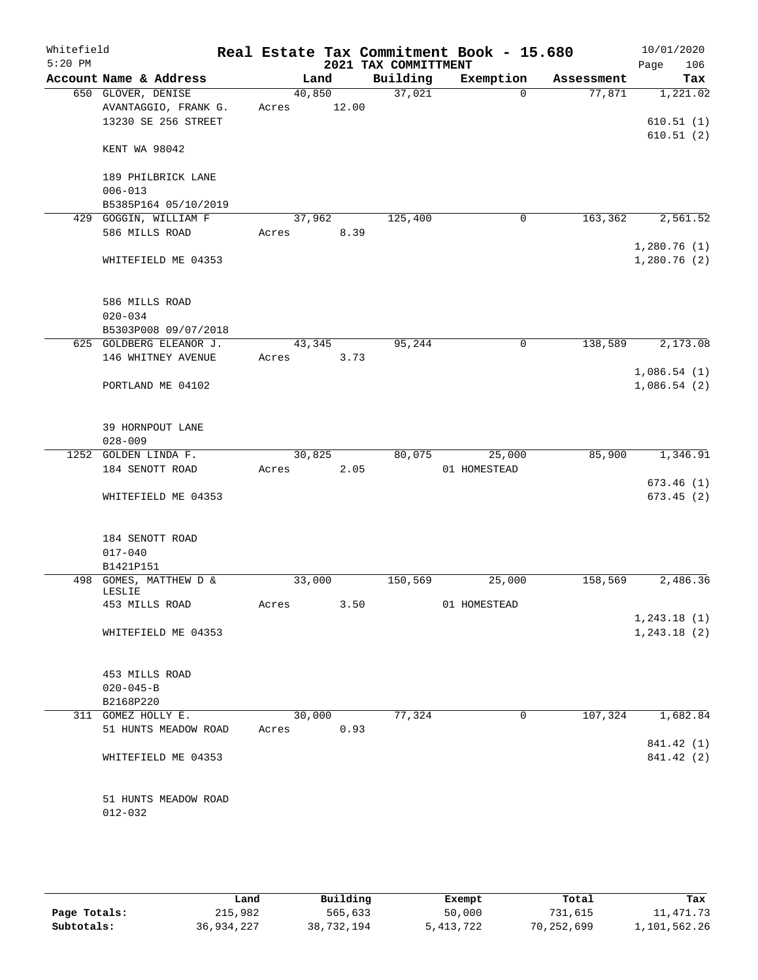| Building<br>Exemption<br>Account Name & Address<br>Land<br>37,021<br>650 GLOVER, DENISE<br>40,850<br>$\Omega$<br>12.00<br>AVANTAGGIO, FRANK G.<br>Acres<br>13230 SE 256 STREET<br>KENT WA 98042<br>189 PHILBRICK LANE<br>$006 - 013$<br>B5385P164 05/10/2019<br>429 GOGGIN, WILLIAM F<br>37,962<br>125,400<br>$\mathsf{O}$ | Assessment<br>77,871 | Page<br>Tax<br>1,221.02<br>610.51(1) |
|----------------------------------------------------------------------------------------------------------------------------------------------------------------------------------------------------------------------------------------------------------------------------------------------------------------------------|----------------------|--------------------------------------|
|                                                                                                                                                                                                                                                                                                                            |                      |                                      |
|                                                                                                                                                                                                                                                                                                                            |                      |                                      |
|                                                                                                                                                                                                                                                                                                                            |                      | 610.51(2)                            |
|                                                                                                                                                                                                                                                                                                                            |                      |                                      |
|                                                                                                                                                                                                                                                                                                                            |                      |                                      |
|                                                                                                                                                                                                                                                                                                                            |                      |                                      |
| 586 MILLS ROAD<br>8.39<br>Acres                                                                                                                                                                                                                                                                                            | 163,362              | 2,561.52                             |
| WHITEFIELD ME 04353                                                                                                                                                                                                                                                                                                        |                      | 1,280.76(1)<br>1,280.76(2)           |
| 586 MILLS ROAD                                                                                                                                                                                                                                                                                                             |                      |                                      |
| $020 - 034$                                                                                                                                                                                                                                                                                                                |                      |                                      |
| B5303P008 09/07/2018<br>625 GOLDBERG ELEANOR J.<br>95,244<br>43,345<br>0                                                                                                                                                                                                                                                   | 138,589              | 2,173.08                             |
| 146 WHITNEY AVENUE<br>3.73<br>Acres                                                                                                                                                                                                                                                                                        |                      |                                      |
| PORTLAND ME 04102                                                                                                                                                                                                                                                                                                          |                      | 1,086.54(1)<br>1,086.54(2)           |
| 39 HORNPOUT LANE<br>$028 - 009$                                                                                                                                                                                                                                                                                            |                      |                                      |
| 1252 GOLDEN LINDA F.<br>30,825<br>80,075<br>25,000                                                                                                                                                                                                                                                                         | 85,900               | 1,346.91                             |
| 2.05<br>184 SENOTT ROAD<br>01 HOMESTEAD<br>Acres                                                                                                                                                                                                                                                                           |                      |                                      |
| WHITEFIELD ME 04353                                                                                                                                                                                                                                                                                                        |                      | 673.46(1)<br>673.45(2)               |
| 184 SENOTT ROAD<br>$017 - 040$                                                                                                                                                                                                                                                                                             |                      |                                      |
| B1421P151                                                                                                                                                                                                                                                                                                                  |                      |                                      |
| 498 GOMES, MATTHEW D &<br>33,000<br>25,000<br>150,569                                                                                                                                                                                                                                                                      | 158,569              | 2,486.36                             |
| LESLIE<br>453 MILLS ROAD<br>3.50<br>01 HOMESTEAD<br>Acres                                                                                                                                                                                                                                                                  |                      |                                      |
|                                                                                                                                                                                                                                                                                                                            |                      | 1,243.18(1)                          |
| WHITEFIELD ME 04353                                                                                                                                                                                                                                                                                                        |                      | 1, 243.18(2)                         |
| 453 MILLS ROAD                                                                                                                                                                                                                                                                                                             |                      |                                      |
| $020 - 045 - B$                                                                                                                                                                                                                                                                                                            |                      |                                      |
| B2168P220                                                                                                                                                                                                                                                                                                                  |                      |                                      |
| 77,324<br>311 GOMEZ HOLLY E.<br>30,000<br>0<br>51 HUNTS MEADOW ROAD<br>0.93<br>Acres                                                                                                                                                                                                                                       | 107,324              | 1,682.84                             |
|                                                                                                                                                                                                                                                                                                                            |                      | 841.42 (1)                           |
| WHITEFIELD ME 04353                                                                                                                                                                                                                                                                                                        |                      | 841.42 (2)                           |
| 51 HUNTS MEADOW ROAD                                                                                                                                                                                                                                                                                                       |                      |                                      |
| $012 - 032$                                                                                                                                                                                                                                                                                                                |                      |                                      |

|              | Land       | Building   | Exempt    | Total      | Tax          |
|--------------|------------|------------|-----------|------------|--------------|
| Page Totals: | 215,982    | 565,633    | 50,000    | 731,615    | L,471.73     |
| Subtotals:   | 36,934,227 | 38,732,194 | 5,413,722 | 70,252,699 | 1,101,562.26 |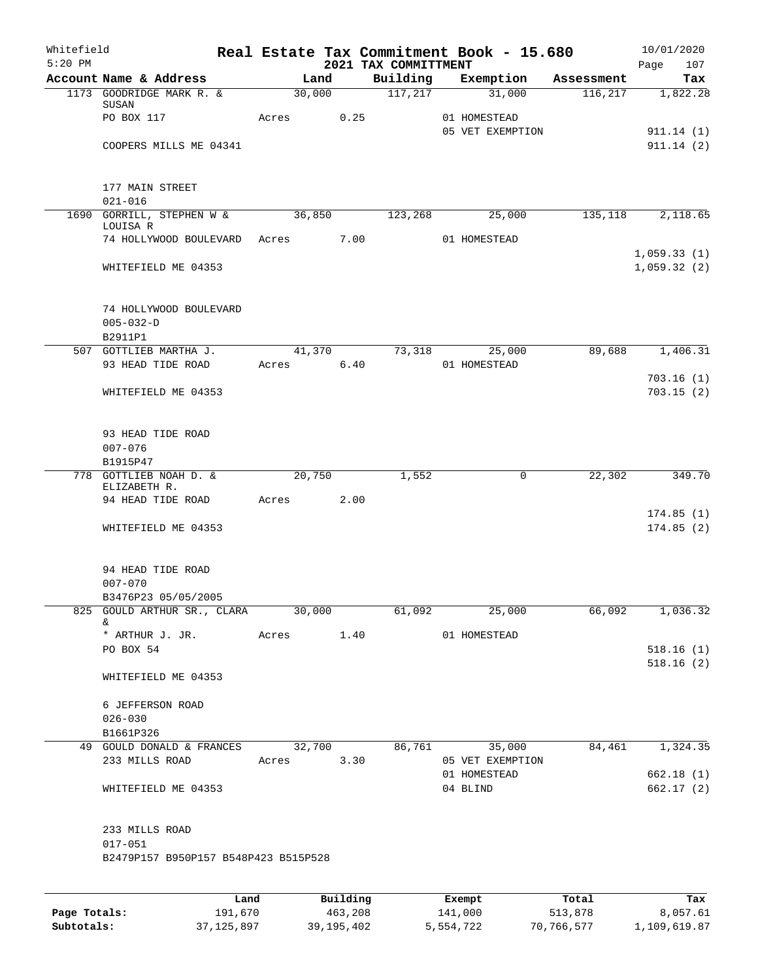| Whitefield<br>$5:20$ PM |                                                     |       |            |          | 2021 TAX COMMITTMENT | Real Estate Tax Commitment Book - 15.680 |            | 10/01/2020<br>Page<br>107 |
|-------------------------|-----------------------------------------------------|-------|------------|----------|----------------------|------------------------------------------|------------|---------------------------|
|                         | Account Name & Address                              |       | Land       |          | Building             | Exemption                                | Assessment | Tax                       |
|                         | 1173 GOODRIDGE MARK R. &                            |       | 30,000     |          | 117,217              | 31,000                                   | 116, 217   | 1,822.28                  |
|                         | SUSAN<br>PO BOX 117                                 | Acres |            | 0.25     |                      | 01 HOMESTEAD                             |            |                           |
|                         |                                                     |       |            |          |                      | 05 VET EXEMPTION                         |            | 911.14(1)                 |
|                         | COOPERS MILLS ME 04341                              |       |            |          |                      |                                          |            | 911.14(2)                 |
|                         |                                                     |       |            |          |                      |                                          |            |                           |
|                         | 177 MAIN STREET                                     |       |            |          |                      |                                          |            |                           |
|                         | $021 - 016$                                         |       |            |          |                      |                                          |            |                           |
|                         | 1690 GORRILL, STEPHEN W &                           |       | 36,850     |          | 123,268              | 25,000                                   | 135,118    | 2,118.65                  |
|                         | LOUISA R<br>74 HOLLYWOOD BOULEVARD                  |       |            | 7.00     |                      | 01 HOMESTEAD                             |            |                           |
|                         |                                                     |       | Acres      |          |                      |                                          |            | 1,059.33(1)               |
|                         | WHITEFIELD ME 04353                                 |       |            |          |                      |                                          |            | 1,059.32(2)               |
|                         |                                                     |       |            |          |                      |                                          |            |                           |
|                         | 74 HOLLYWOOD BOULEVARD                              |       |            |          |                      |                                          |            |                           |
|                         | $005 - 032 - D$                                     |       |            |          |                      |                                          |            |                           |
|                         | B2911P1                                             |       |            |          |                      |                                          |            |                           |
|                         | 507 GOTTLIEB MARTHA J.                              |       | 41,370     |          | 73,318               | 25,000                                   | 89,688     | 1,406.31                  |
|                         | 93 HEAD TIDE ROAD                                   |       | Acres      | 6.40     |                      | 01 HOMESTEAD                             |            |                           |
|                         |                                                     |       |            |          |                      |                                          |            | 703.16(1)                 |
|                         | WHITEFIELD ME 04353                                 |       |            |          |                      |                                          |            | 703.15(2)                 |
|                         |                                                     |       |            |          |                      |                                          |            |                           |
|                         | 93 HEAD TIDE ROAD                                   |       |            |          |                      |                                          |            |                           |
|                         | $007 - 076$<br>B1915P47                             |       |            |          |                      |                                          |            |                           |
|                         | 778 GOTTLIEB NOAH D. &                              |       | 20,750     |          | 1,552                | $\mathsf{O}$                             | 22,302     | 349.70                    |
|                         | ELIZABETH R.                                        |       |            |          |                      |                                          |            |                           |
|                         | 94 HEAD TIDE ROAD                                   |       | Acres      | 2.00     |                      |                                          |            |                           |
|                         | WHITEFIELD ME 04353                                 |       |            |          |                      |                                          |            | 174.85(1)<br>174.85(2)    |
|                         |                                                     |       |            |          |                      |                                          |            |                           |
|                         | 94 HEAD TIDE ROAD                                   |       |            |          |                      |                                          |            |                           |
|                         | $007 - 070$                                         |       |            |          |                      |                                          |            |                           |
|                         | B3476P23 05/05/2005                                 |       |            |          |                      |                                          |            |                           |
|                         | 825 GOULD ARTHUR SR., CLARA 30,000                  |       |            |          | 61,092               | 25,000                                   | 66,092     | 1,036.32                  |
|                         | &<br>* ARTHUR J. JR.                                |       | Acres 1.40 |          |                      | 01 HOMESTEAD                             |            |                           |
|                         | PO BOX 54                                           |       |            |          |                      |                                          |            | 518.16(1)                 |
|                         |                                                     |       |            |          |                      |                                          |            | 518.16(2)                 |
|                         | WHITEFIELD ME 04353                                 |       |            |          |                      |                                          |            |                           |
|                         | 6 JEFFERSON ROAD                                    |       |            |          |                      |                                          |            |                           |
|                         | $026 - 030$                                         |       |            |          |                      |                                          |            |                           |
|                         | B1661P326                                           |       |            |          |                      |                                          |            |                           |
|                         | 49 GOULD DONALD & FRANCES 32,700 86,761 35,000      |       |            |          |                      |                                          |            | 84,461 1,324.35           |
|                         | 233 MILLS ROAD                                      | Acres |            | 3.30     |                      | 05 VET EXEMPTION                         |            |                           |
|                         |                                                     |       |            |          |                      | 01 HOMESTEAD                             |            | 662.18(1)                 |
|                         | WHITEFIELD ME 04353                                 |       |            |          |                      | 04 BLIND                                 |            | 662.17 (2)                |
|                         |                                                     |       |            |          |                      |                                          |            |                           |
|                         | 233 MILLS ROAD                                      |       |            |          |                      |                                          |            |                           |
|                         | $017 - 051$<br>B2479P157 B950P157 B548P423 B515P528 |       |            |          |                      |                                          |            |                           |
|                         |                                                     |       |            |          |                      |                                          |            |                           |
|                         |                                                     |       |            |          |                      |                                          |            |                           |
|                         |                                                     | Land  |            | Building |                      | Exempt                                   | Total      | Tax                       |

|              | úand         | Building     | Exempt    | Total      | тах          |
|--------------|--------------|--------------|-----------|------------|--------------|
| Page Totals: | 191.670      | 463,208      | 141,000   | 513,878    | 8,057.61     |
| Subtotals:   | 37, 125, 897 | 39, 195, 402 | 5,554,722 | 70,766,577 | 1,109,619.87 |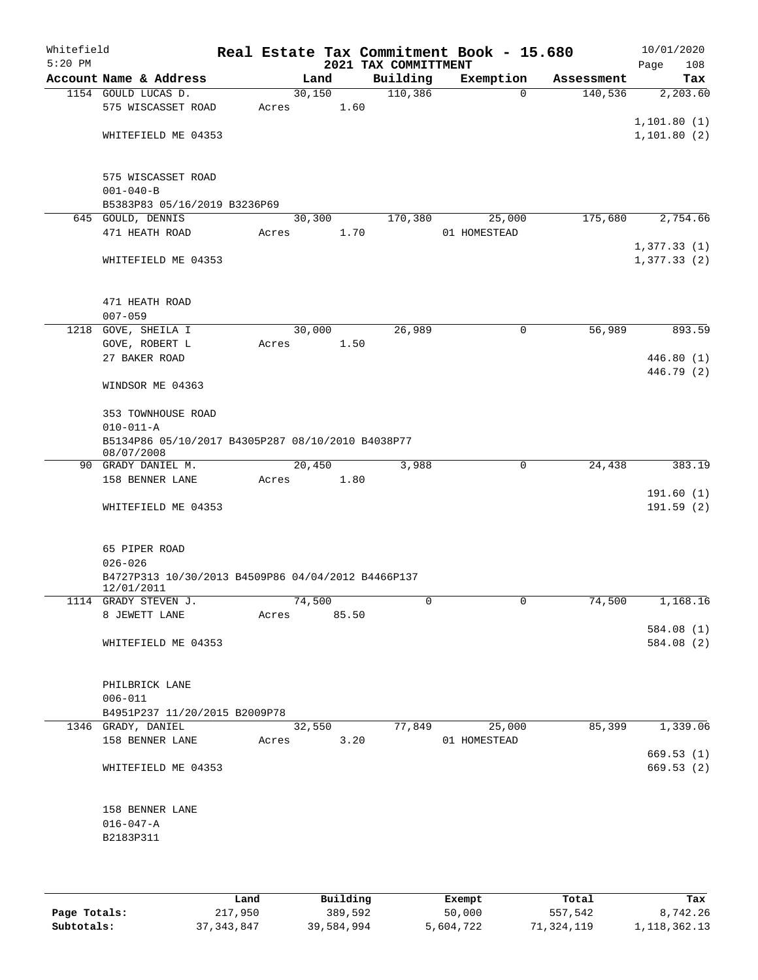| Whitefield<br>$5:20$ PM |                                                                  |             |        |      | 2021 TAX COMMITTMENT | Real Estate Tax Commitment Book - 15.680 |             |            | 10/01/2020<br>Page<br>108 |
|-------------------------|------------------------------------------------------------------|-------------|--------|------|----------------------|------------------------------------------|-------------|------------|---------------------------|
|                         | Account Name & Address                                           |             | Land   |      | Building             | Exemption                                |             | Assessment | Tax                       |
|                         | 1154 GOULD LUCAS D.                                              |             | 30,150 |      | 110,386              |                                          | $\mathbf 0$ | 140,536    | 2,203.60                  |
|                         | 575 WISCASSET ROAD                                               | Acres       |        | 1.60 |                      |                                          |             |            |                           |
|                         |                                                                  |             |        |      |                      |                                          |             |            | 1,101.80(1)               |
|                         | WHITEFIELD ME 04353                                              |             |        |      |                      |                                          |             |            | 1,101.80(2)               |
|                         |                                                                  |             |        |      |                      |                                          |             |            |                           |
|                         |                                                                  |             |        |      |                      |                                          |             |            |                           |
|                         | 575 WISCASSET ROAD                                               |             |        |      |                      |                                          |             |            |                           |
|                         | $001 - 040 - B$                                                  |             |        |      |                      |                                          |             |            |                           |
|                         | B5383P83 05/16/2019 B3236P69                                     |             |        |      |                      |                                          |             |            |                           |
|                         | 645 GOULD, DENNIS                                                |             | 30,300 |      | 170,380              | 25,000                                   |             | 175,680    | 2,754.66                  |
|                         | 471 HEATH ROAD                                                   | Acres       |        | 1.70 |                      | 01 HOMESTEAD                             |             |            | 1,377.33(1)               |
|                         | WHITEFIELD ME 04353                                              |             |        |      |                      |                                          |             |            | 1,377.33(2)               |
|                         |                                                                  |             |        |      |                      |                                          |             |            |                           |
|                         |                                                                  |             |        |      |                      |                                          |             |            |                           |
|                         | 471 HEATH ROAD                                                   |             |        |      |                      |                                          |             |            |                           |
|                         | $007 - 059$                                                      |             |        |      |                      |                                          |             |            |                           |
|                         | 1218 GOVE, SHEILA I                                              |             | 30,000 |      | 26,989               |                                          | 0           | 56,989     | 893.59                    |
|                         | GOVE, ROBERT L                                                   | Acres       | 1.50   |      |                      |                                          |             |            |                           |
|                         | 27 BAKER ROAD                                                    |             |        |      |                      |                                          |             |            | 446.80(1)                 |
|                         |                                                                  |             |        |      |                      |                                          |             |            | 446.79 (2)                |
|                         | WINDSOR ME 04363                                                 |             |        |      |                      |                                          |             |            |                           |
|                         |                                                                  |             |        |      |                      |                                          |             |            |                           |
|                         | 353 TOWNHOUSE ROAD                                               |             |        |      |                      |                                          |             |            |                           |
|                         | $010 - 011 - A$                                                  |             |        |      |                      |                                          |             |            |                           |
|                         | B5134P86 05/10/2017 B4305P287 08/10/2010 B4038P77<br>08/07/2008  |             |        |      |                      |                                          |             |            |                           |
|                         | 90 GRADY DANIEL M.                                               |             | 20,450 |      | 3,988                |                                          | 0           | 24,438     | 383.19                    |
|                         | 158 BENNER LANE                                                  | Acres       | 1.80   |      |                      |                                          |             |            |                           |
|                         |                                                                  |             |        |      |                      |                                          |             |            | 191.60(1)                 |
|                         | WHITEFIELD ME 04353                                              |             |        |      |                      |                                          |             |            | 191.59(2)                 |
|                         |                                                                  |             |        |      |                      |                                          |             |            |                           |
|                         |                                                                  |             |        |      |                      |                                          |             |            |                           |
|                         | 65 PIPER ROAD                                                    |             |        |      |                      |                                          |             |            |                           |
|                         | $026 - 026$                                                      |             |        |      |                      |                                          |             |            |                           |
|                         | B4727P313 10/30/2013 B4509P86 04/04/2012 B4466P137<br>12/01/2011 |             |        |      |                      |                                          |             |            |                           |
|                         | 1114 GRADY STEVEN J.                                             |             | 74,500 |      | 0                    |                                          |             | 74,500     | 1,168.16                  |
|                         | 8 JEWETT LANE                                                    | Acres 85.50 |        |      |                      |                                          |             |            |                           |
|                         |                                                                  |             |        |      |                      |                                          |             |            | 584.08 (1)                |
|                         | WHITEFIELD ME 04353                                              |             |        |      |                      |                                          |             |            | 584.08 (2)                |
|                         |                                                                  |             |        |      |                      |                                          |             |            |                           |
|                         |                                                                  |             |        |      |                      |                                          |             |            |                           |
|                         | PHILBRICK LANE                                                   |             |        |      |                      |                                          |             |            |                           |
|                         | $006 - 011$<br>B4951P237 11/20/2015 B2009P78                     |             |        |      |                      |                                          |             |            |                           |
|                         | 1346 GRADY, DANIEL                                               |             | 32,550 |      | 77,849               | 25,000                                   |             | 85,399     | 1,339.06                  |
|                         | 158 BENNER LANE                                                  | Acres       |        | 3.20 |                      | 01 HOMESTEAD                             |             |            |                           |
|                         |                                                                  |             |        |      |                      |                                          |             |            | 669.53(1)                 |
|                         | WHITEFIELD ME 04353                                              |             |        |      |                      |                                          |             |            | 669.53 (2)                |
|                         |                                                                  |             |        |      |                      |                                          |             |            |                           |
|                         |                                                                  |             |        |      |                      |                                          |             |            |                           |
|                         | 158 BENNER LANE                                                  |             |        |      |                      |                                          |             |            |                           |
|                         | $016 - 047 - A$                                                  |             |        |      |                      |                                          |             |            |                           |
|                         | B2183P311                                                        |             |        |      |                      |                                          |             |            |                           |
|                         |                                                                  |             |        |      |                      |                                          |             |            |                           |
|                         |                                                                  |             |        |      |                      |                                          |             |            |                           |

|              | Land         | Building   | Exempt    | Total      | Tax             |
|--------------|--------------|------------|-----------|------------|-----------------|
| Page Totals: | 217,950      | 389,592    | 50,000    | 557,542    | 8,742.26        |
| Subtotals:   | 37, 343, 847 | 39,584,994 | 5,604,722 | 71,324,119 | 1, 118, 362. 13 |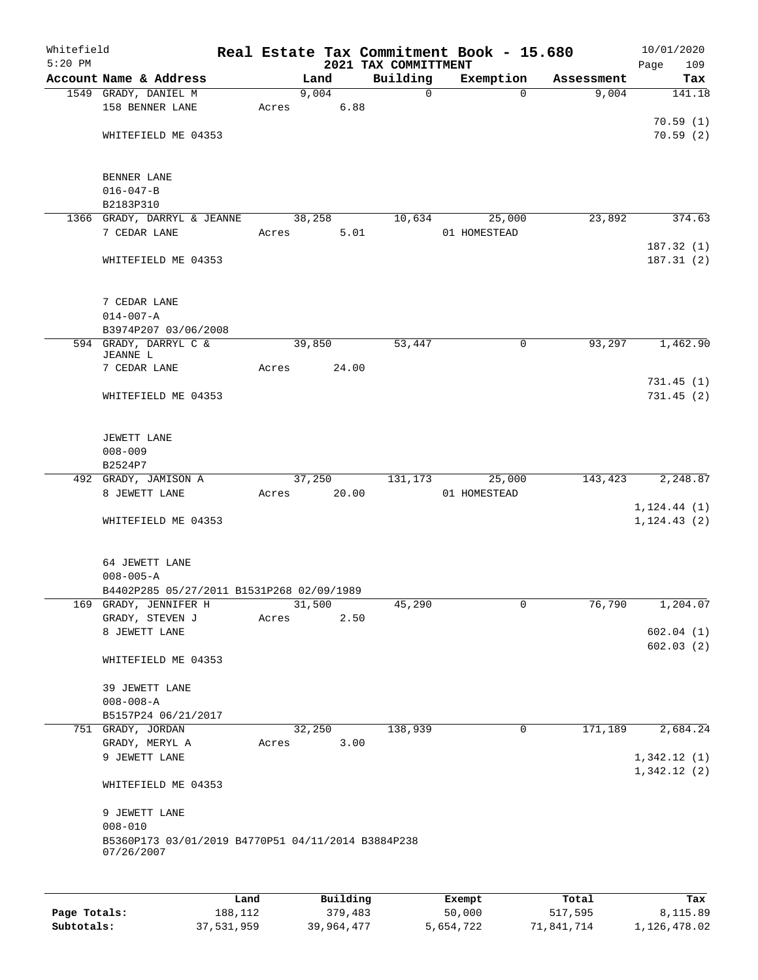| Whitefield<br>$5:20$ PM |                                                                  |      |       |        |          | 2021 TAX COMMITTMENT | Real Estate Tax Commitment Book - 15.680 |             |            | 10/01/2020<br>Page<br>109 |
|-------------------------|------------------------------------------------------------------|------|-------|--------|----------|----------------------|------------------------------------------|-------------|------------|---------------------------|
|                         | Account Name & Address                                           |      |       | Land   |          | Building             | Exemption                                |             | Assessment | Tax                       |
|                         | 1549 GRADY, DANIEL M                                             |      |       | 9,004  |          | $\mathsf{O}$         |                                          | $\Omega$    | 9,004      | 141.18                    |
|                         | 158 BENNER LANE                                                  |      | Acres |        | 6.88     |                      |                                          |             |            |                           |
|                         |                                                                  |      |       |        |          |                      |                                          |             |            | 70.59(1)                  |
|                         | WHITEFIELD ME 04353                                              |      |       |        |          |                      |                                          |             |            | 70.59(2)                  |
|                         | BENNER LANE                                                      |      |       |        |          |                      |                                          |             |            |                           |
|                         | $016 - 047 - B$                                                  |      |       |        |          |                      |                                          |             |            |                           |
|                         | B2183P310                                                        |      |       |        |          |                      |                                          |             |            |                           |
|                         | 1366 GRADY, DARRYL & JEANNE                                      |      |       | 38,258 |          | 10,634               | 25,000                                   |             | 23,892     | 374.63                    |
|                         | 7 CEDAR LANE                                                     |      | Acres |        | 5.01     |                      | 01 HOMESTEAD                             |             |            |                           |
|                         |                                                                  |      |       |        |          |                      |                                          |             |            | 187.32(1)                 |
|                         | WHITEFIELD ME 04353                                              |      |       |        |          |                      |                                          |             |            | 187.31(2)                 |
|                         | 7 CEDAR LANE                                                     |      |       |        |          |                      |                                          |             |            |                           |
|                         | $014 - 007 - A$                                                  |      |       |        |          |                      |                                          |             |            |                           |
|                         | B3974P207 03/06/2008                                             |      |       |        |          |                      |                                          |             |            |                           |
|                         | 594 GRADY, DARRYL C &<br>JEANNE L                                |      |       | 39,850 |          | 53,447               |                                          | 0           | 93,297     | 1,462.90                  |
|                         | 7 CEDAR LANE                                                     |      | Acres |        | 24.00    |                      |                                          |             |            |                           |
|                         |                                                                  |      |       |        |          |                      |                                          |             |            | 731.45(1)                 |
|                         | WHITEFIELD ME 04353                                              |      |       |        |          |                      |                                          |             |            | 731.45(2)                 |
|                         | JEWETT LANE                                                      |      |       |        |          |                      |                                          |             |            |                           |
|                         | $008 - 009$                                                      |      |       |        |          |                      |                                          |             |            |                           |
|                         | B2524P7                                                          |      |       |        |          |                      |                                          |             |            |                           |
|                         | 492 GRADY, JAMISON A                                             |      |       | 37,250 |          | 131,173              | 25,000                                   |             | 143,423    | 2,248.87                  |
|                         | 8 JEWETT LANE                                                    |      | Acres |        | 20.00    |                      | 01 HOMESTEAD                             |             |            |                           |
|                         |                                                                  |      |       |        |          |                      |                                          |             |            | 1, 124.44(1)              |
|                         | WHITEFIELD ME 04353                                              |      |       |        |          |                      |                                          |             |            | 1, 124.43(2)              |
|                         | 64 JEWETT LANE                                                   |      |       |        |          |                      |                                          |             |            |                           |
|                         | $008 - 005 - A$                                                  |      |       |        |          |                      |                                          |             |            |                           |
|                         | B4402P285 05/27/2011 B1531P268 02/09/1989                        |      |       |        |          |                      |                                          |             |            |                           |
|                         | 169 GRADY, JENNIFER H                                            |      |       | 31,500 |          | 45,290               |                                          | 0           | 76,790     | 1,204.07                  |
|                         | GRADY, STEVEN J                                                  |      | Acres |        | 2.50     |                      |                                          |             |            |                           |
|                         | 8 JEWETT LANE                                                    |      |       |        |          |                      |                                          |             |            | 602.04(1)                 |
|                         | WHITEFIELD ME 04353                                              |      |       |        |          |                      |                                          |             |            | 602.03(2)                 |
|                         | 39 JEWETT LANE                                                   |      |       |        |          |                      |                                          |             |            |                           |
|                         | $008 - 008 - A$                                                  |      |       |        |          |                      |                                          |             |            |                           |
|                         | B5157P24 06/21/2017                                              |      |       |        |          |                      |                                          |             |            |                           |
|                         | 751 GRADY, JORDAN                                                |      |       | 32,250 |          | 138,939              |                                          | $\mathbf 0$ | 171,189    | 2,684.24                  |
|                         | GRADY, MERYL A                                                   |      | Acres |        | 3.00     |                      |                                          |             |            |                           |
|                         | 9 JEWETT LANE                                                    |      |       |        |          |                      |                                          |             |            | 1,342.12(1)               |
|                         | WHITEFIELD ME 04353                                              |      |       |        |          |                      |                                          |             |            | 1,342.12(2)               |
|                         | 9 JEWETT LANE                                                    |      |       |        |          |                      |                                          |             |            |                           |
|                         | $008 - 010$                                                      |      |       |        |          |                      |                                          |             |            |                           |
|                         | B5360P173 03/01/2019 B4770P51 04/11/2014 B3884P238<br>07/26/2007 |      |       |        |          |                      |                                          |             |            |                           |
|                         |                                                                  |      |       |        |          |                      |                                          |             |            |                           |
|                         |                                                                  | Land |       |        | Building |                      | Exempt                                   |             | Total      | Tax                       |

|              | Land       | Building   | Exempt    | Total      | Tax          |
|--------------|------------|------------|-----------|------------|--------------|
| Page Totals: | 188,112    | 379,483    | 50,000    | 517,595    | 8,115.89     |
| Subtotals:   | 37,531,959 | 39,964,477 | 5,654,722 | 71,841,714 | 1,126,478.02 |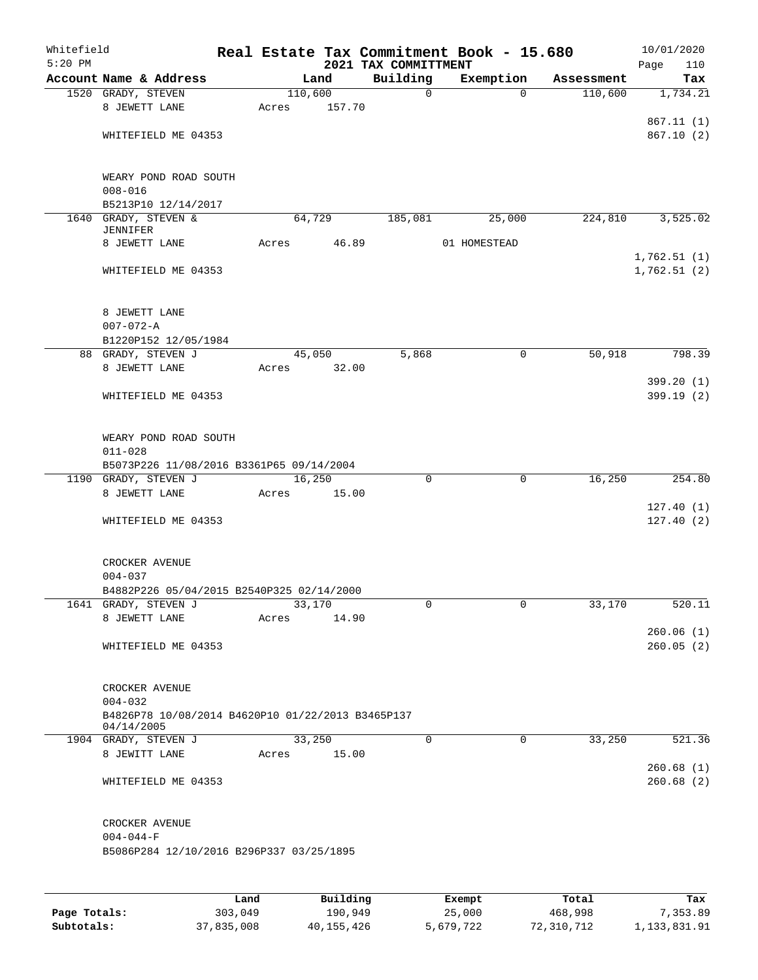| Whitefield<br>$5:20$ PM |                                                   |             |       |         |                    | Real Estate Tax Commitment Book - 15.680<br>2021 TAX COMMITTMENT |                          |              |             | Page | 10/01/2020<br>110      |
|-------------------------|---------------------------------------------------|-------------|-------|---------|--------------------|------------------------------------------------------------------|--------------------------|--------------|-------------|------|------------------------|
|                         | Account Name & Address                            |             |       | Land    |                    | Building                                                         |                          | Exemption    | Assessment  |      | Tax                    |
|                         | 1520 GRADY, STEVEN                                |             |       | 110,600 |                    | $\mathbf 0$                                                      |                          | $\Omega$     | 110,600     |      | 1,734.21               |
|                         | 8 JEWETT LANE                                     |             | Acres |         | 157.70             |                                                                  |                          |              |             |      |                        |
|                         |                                                   |             |       |         |                    |                                                                  |                          |              |             |      | 867.11(1)              |
|                         | WHITEFIELD ME 04353                               |             |       |         |                    |                                                                  |                          |              |             |      | 867.10(2)              |
|                         |                                                   |             |       |         |                    |                                                                  |                          |              |             |      |                        |
|                         |                                                   |             |       |         |                    |                                                                  |                          |              |             |      |                        |
|                         | WEARY POND ROAD SOUTH<br>$008 - 016$              |             |       |         |                    |                                                                  |                          |              |             |      |                        |
|                         | B5213P10 12/14/2017                               |             |       |         |                    |                                                                  |                          |              |             |      |                        |
|                         | 1640 GRADY, STEVEN &                              |             |       | 64,729  |                    | 185,081                                                          |                          | 25,000       | 224,810     |      | 3,525.02               |
|                         | <b>JENNIFER</b>                                   |             |       |         |                    |                                                                  |                          |              |             |      |                        |
|                         | 8 JEWETT LANE                                     |             | Acres |         | 46.89              |                                                                  |                          | 01 HOMESTEAD |             |      |                        |
|                         | WHITEFIELD ME 04353                               |             |       |         |                    |                                                                  |                          |              |             |      | 1,762.51(1)            |
|                         |                                                   |             |       |         |                    |                                                                  |                          |              |             |      | 1,762.51(2)            |
|                         |                                                   |             |       |         |                    |                                                                  |                          |              |             |      |                        |
|                         | 8 JEWETT LANE                                     |             |       |         |                    |                                                                  |                          |              |             |      |                        |
|                         | $007 - 072 - A$                                   |             |       |         |                    |                                                                  |                          |              |             |      |                        |
|                         | B1220P152 12/05/1984                              |             |       |         |                    |                                                                  |                          |              |             |      |                        |
|                         | 88 GRADY, STEVEN J                                |             |       | 45,050  |                    | 5,868                                                            |                          | 0            | 50,918      |      | 798.39                 |
|                         | 8 JEWETT LANE                                     |             | Acres |         | 32.00              |                                                                  |                          |              |             |      |                        |
|                         |                                                   |             |       |         |                    |                                                                  |                          |              |             |      | 399.20(1)              |
|                         | WHITEFIELD ME 04353                               |             |       |         |                    |                                                                  |                          |              |             |      | 399.19(2)              |
|                         |                                                   |             |       |         |                    |                                                                  |                          |              |             |      |                        |
|                         | WEARY POND ROAD SOUTH                             |             |       |         |                    |                                                                  |                          |              |             |      |                        |
|                         | $011 - 028$                                       |             |       |         |                    |                                                                  |                          |              |             |      |                        |
|                         | B5073P226 11/08/2016 B3361P65 09/14/2004          |             |       |         |                    |                                                                  |                          |              |             |      |                        |
|                         | 1190 GRADY, STEVEN J                              |             |       | 16,250  |                    | $\mathbf 0$                                                      |                          | $\mathbf 0$  | 16,250      |      | 254.80                 |
|                         | 8 JEWETT LANE                                     |             | Acres |         | 15.00              |                                                                  |                          |              |             |      |                        |
|                         |                                                   |             |       |         |                    |                                                                  |                          |              |             |      | 127.40(1)<br>127.40(2) |
|                         | WHITEFIELD ME 04353                               |             |       |         |                    |                                                                  |                          |              |             |      |                        |
|                         |                                                   |             |       |         |                    |                                                                  |                          |              |             |      |                        |
|                         | CROCKER AVENUE                                    |             |       |         |                    |                                                                  |                          |              |             |      |                        |
|                         | $004 - 037$                                       |             |       |         |                    |                                                                  |                          |              |             |      |                        |
|                         | B4882P226 05/04/2015 B2540P325 02/14/2000         |             |       |         |                    |                                                                  |                          |              |             |      |                        |
|                         | 1641 GRADY, STEVEN J                              |             |       | 33,170  |                    | 0                                                                |                          | 0            | 33,170      |      | 520.11                 |
|                         | 8 JEWETT LANE                                     |             | Acres |         | 14.90              |                                                                  |                          |              |             |      |                        |
|                         |                                                   |             |       |         |                    |                                                                  |                          |              |             |      | 260.06(1)<br>260.05(2) |
|                         | WHITEFIELD ME 04353                               |             |       |         |                    |                                                                  |                          |              |             |      |                        |
|                         |                                                   |             |       |         |                    |                                                                  |                          |              |             |      |                        |
|                         | CROCKER AVENUE                                    |             |       |         |                    |                                                                  |                          |              |             |      |                        |
|                         | $004 - 032$                                       |             |       |         |                    |                                                                  |                          |              |             |      |                        |
|                         | B4826P78 10/08/2014 B4620P10 01/22/2013 B3465P137 |             |       |         |                    |                                                                  |                          |              |             |      |                        |
|                         | 04/14/2005<br>1904 GRADY, STEVEN J                |             |       | 33,250  |                    | 0                                                                |                          | 0            | 33,250      |      | 521.36                 |
|                         | 8 JEWITT LANE                                     |             | Acres |         | 15.00              |                                                                  |                          |              |             |      |                        |
|                         |                                                   |             |       |         |                    |                                                                  |                          |              |             |      | 260.68(1)              |
|                         | WHITEFIELD ME 04353                               |             |       |         |                    |                                                                  |                          |              |             |      | 260.68(2)              |
|                         |                                                   |             |       |         |                    |                                                                  |                          |              |             |      |                        |
|                         |                                                   |             |       |         |                    |                                                                  |                          |              |             |      |                        |
|                         | CROCKER AVENUE                                    |             |       |         |                    |                                                                  |                          |              |             |      |                        |
|                         | $004 - 044 - F$                                   |             |       |         |                    |                                                                  |                          |              |             |      |                        |
|                         | B5086P284 12/10/2016 B296P337 03/25/1895          |             |       |         |                    |                                                                  |                          |              |             |      |                        |
|                         |                                                   |             |       |         |                    |                                                                  |                          |              |             |      |                        |
|                         |                                                   | <b>Tond</b> |       |         | $D \cdot 1111 - c$ |                                                                  | $P$ <sub>rea</sub> $m +$ |              | $T - F - 1$ |      | me.                    |

|              | Land       | Building   | Exempt    | Total      | Tax          |
|--------------|------------|------------|-----------|------------|--------------|
| Page Totals: | 303,049    | 190,949    | 25,000    | 468,998    | 7.353.89     |
| Subtotals:   | 37,835,008 | 40,155,426 | 5,679,722 | 72,310,712 | 1,133,831.91 |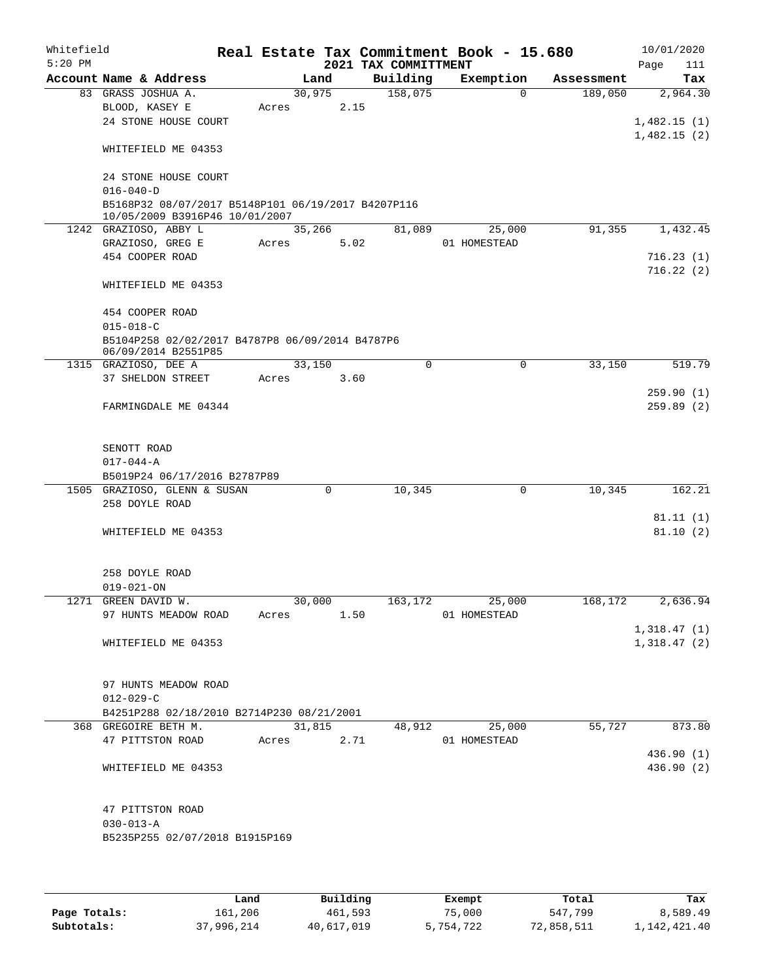| Whitefield<br>$5:20$ PM |                                                                                      |                     |        |      | Real Estate Tax Commitment Book - 15.680<br>2021 TAX COMMITTMENT |                                          |            | 10/01/2020<br>Page<br>111 |
|-------------------------|--------------------------------------------------------------------------------------|---------------------|--------|------|------------------------------------------------------------------|------------------------------------------|------------|---------------------------|
|                         | Account Name & Address                                                               |                     | Land   |      | Building                                                         | Exemption                                | Assessment | Tax                       |
|                         | 83 GRASS JOSHUA A.                                                                   |                     | 30,975 |      | 158,075                                                          | $\Omega$                                 | 189,050    | 2,964.30                  |
|                         | BLOOD, KASEY E                                                                       | Acres               |        | 2.15 |                                                                  |                                          |            |                           |
|                         | 24 STONE HOUSE COURT                                                                 |                     |        |      |                                                                  |                                          |            | 1,482.15(1)               |
|                         |                                                                                      |                     |        |      |                                                                  |                                          |            | 1,482.15(2)               |
|                         | WHITEFIELD ME 04353                                                                  |                     |        |      |                                                                  |                                          |            |                           |
|                         |                                                                                      |                     |        |      |                                                                  |                                          |            |                           |
|                         | 24 STONE HOUSE COURT                                                                 |                     |        |      |                                                                  |                                          |            |                           |
|                         | $016 - 040 - D$                                                                      |                     |        |      |                                                                  |                                          |            |                           |
|                         | B5168P32 08/07/2017 B5148P101 06/19/2017 B4207P116<br>10/05/2009 B3916P46 10/01/2007 |                     |        |      |                                                                  |                                          |            |                           |
|                         | 1242 GRAZIOSO, ABBY L                                                                |                     | 35,266 |      | 81,089                                                           | 25,000                                   | 91,355     | 1,432.45                  |
|                         | GRAZIOSO, GREG E                                                                     | Acres               |        | 5.02 |                                                                  | 01 HOMESTEAD                             |            |                           |
|                         | 454 COOPER ROAD                                                                      |                     |        |      |                                                                  |                                          |            | 716.23(1)                 |
|                         |                                                                                      |                     |        |      |                                                                  |                                          |            | 716.22(2)                 |
|                         | WHITEFIELD ME 04353                                                                  |                     |        |      |                                                                  |                                          |            |                           |
|                         |                                                                                      |                     |        |      |                                                                  |                                          |            |                           |
|                         | 454 COOPER ROAD                                                                      |                     |        |      |                                                                  |                                          |            |                           |
|                         | $015 - 018 - C$                                                                      |                     |        |      |                                                                  |                                          |            |                           |
|                         | B5104P258 02/02/2017 B4787P8 06/09/2014 B4787P6<br>06/09/2014 B2551P85               |                     |        |      |                                                                  |                                          |            |                           |
|                         | 1315 GRAZIOSO, DEE A                                                                 |                     | 33,150 |      | $\Omega$                                                         | $\mathbf 0$                              | 33,150     | 519.79                    |
|                         | 37 SHELDON STREET                                                                    | Acres               |        | 3.60 |                                                                  |                                          |            |                           |
|                         |                                                                                      |                     |        |      |                                                                  |                                          |            | 259.90(1)                 |
|                         | FARMINGDALE ME 04344                                                                 |                     |        |      |                                                                  |                                          |            | 259.89(2)                 |
|                         |                                                                                      |                     |        |      |                                                                  |                                          |            |                           |
|                         |                                                                                      |                     |        |      |                                                                  |                                          |            |                           |
|                         | SENOTT ROAD                                                                          |                     |        |      |                                                                  |                                          |            |                           |
|                         | $017 - 044 - A$                                                                      |                     |        |      |                                                                  |                                          |            |                           |
|                         | B5019P24 06/17/2016 B2787P89                                                         |                     |        |      |                                                                  |                                          |            |                           |
|                         | 1505 GRAZIOSO, GLENN & SUSAN<br>258 DOYLE ROAD                                       |                     | 0      |      | 10,345                                                           | 0                                        | 10,345     | 162.21                    |
|                         |                                                                                      |                     |        |      |                                                                  |                                          |            | 81.11(1)                  |
|                         | WHITEFIELD ME 04353                                                                  |                     |        |      |                                                                  |                                          |            | 81.10(2)                  |
|                         |                                                                                      |                     |        |      |                                                                  |                                          |            |                           |
|                         |                                                                                      |                     |        |      |                                                                  |                                          |            |                           |
|                         | 258 DOYLE ROAD                                                                       |                     |        |      |                                                                  |                                          |            |                           |
|                         | $019 - 021 - ON$                                                                     |                     |        |      |                                                                  |                                          |            |                           |
|                         | 1271 GREEN DAVID W.                                                                  | $\frac{30,000}{20}$ |        |      |                                                                  | $\overline{163,172}$ $\overline{25,000}$ |            | $168, 172$ 2,636.94       |
|                         | 97 HUNTS MEADOW ROAD                                                                 | Acres               | 1.50   |      |                                                                  | 01 HOMESTEAD                             |            |                           |
|                         |                                                                                      |                     |        |      |                                                                  |                                          |            | 1,318.47(1)               |
|                         | WHITEFIELD ME 04353                                                                  |                     |        |      |                                                                  |                                          |            | 1,318.47(2)               |
|                         |                                                                                      |                     |        |      |                                                                  |                                          |            |                           |
|                         | 97 HUNTS MEADOW ROAD                                                                 |                     |        |      |                                                                  |                                          |            |                           |
|                         | $012 - 029 - C$                                                                      |                     |        |      |                                                                  |                                          |            |                           |
|                         | B4251P288 02/18/2010 B2714P230 08/21/2001                                            |                     |        |      |                                                                  |                                          |            |                           |
|                         | 368 GREGOIRE BETH M.                                                                 |                     | 31,815 |      |                                                                  | 48,912 25,000                            | 55,727     | 873.80                    |
|                         | 47 PITTSTON ROAD                                                                     | Acres 2.71          |        |      |                                                                  | 01 HOMESTEAD                             |            |                           |
|                         |                                                                                      |                     |        |      |                                                                  |                                          |            | 436.90(1)                 |
|                         | WHITEFIELD ME 04353                                                                  |                     |        |      |                                                                  |                                          |            | 436.90 (2)                |
|                         |                                                                                      |                     |        |      |                                                                  |                                          |            |                           |
|                         |                                                                                      |                     |        |      |                                                                  |                                          |            |                           |
|                         | 47 PITTSTON ROAD<br>$030 - 013 - A$                                                  |                     |        |      |                                                                  |                                          |            |                           |
|                         | B5235P255 02/07/2018 B1915P169                                                       |                     |        |      |                                                                  |                                          |            |                           |
|                         |                                                                                      |                     |        |      |                                                                  |                                          |            |                           |
|                         |                                                                                      |                     |        |      |                                                                  |                                          |            |                           |

|              | Land       | Building   | Exempt    | Total      | Tax            |
|--------------|------------|------------|-----------|------------|----------------|
| Page Totals: | 161,206    | 461,593    | 75,000    | 547,799    | 8,589.49       |
| Subtotals:   | 37,996,214 | 40,617,019 | 5,754,722 | 72,858,511 | 1, 142, 421.40 |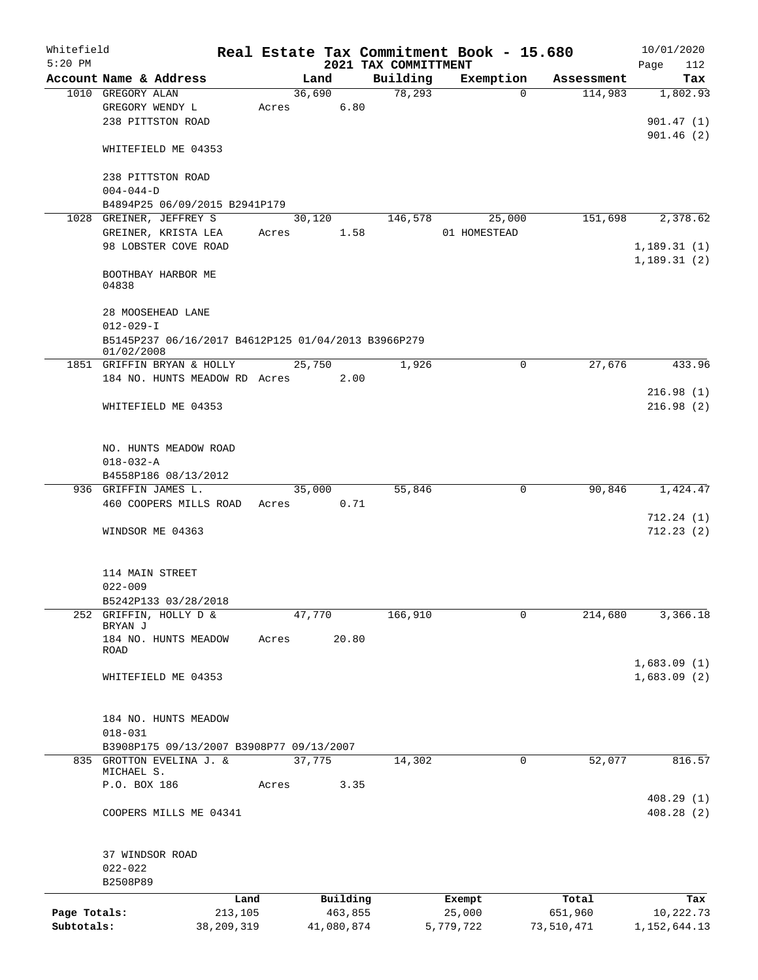| Whitefield   |                                                                      |              |       |        |            |                                  | Real Estate Tax Commitment Book - 15.680 |          |            | 10/01/2020                 |
|--------------|----------------------------------------------------------------------|--------------|-------|--------|------------|----------------------------------|------------------------------------------|----------|------------|----------------------------|
| $5:20$ PM    | Account Name & Address                                               |              |       | Land   |            | 2021 TAX COMMITTMENT<br>Building | Exemption                                |          | Assessment | Page<br>112<br>Tax         |
|              | 1010 GREGORY ALAN                                                    |              |       | 36,690 |            | 78,293                           |                                          | $\Omega$ | 114,983    | 1,802.93                   |
|              | GREGORY WENDY L                                                      |              | Acres |        | 6.80       |                                  |                                          |          |            |                            |
|              | 238 PITTSTON ROAD                                                    |              |       |        |            |                                  |                                          |          |            | 901.47(1)                  |
|              |                                                                      |              |       |        |            |                                  |                                          |          |            | 901.46(2)                  |
|              | WHITEFIELD ME 04353                                                  |              |       |        |            |                                  |                                          |          |            |                            |
|              | 238 PITTSTON ROAD                                                    |              |       |        |            |                                  |                                          |          |            |                            |
|              | $004 - 044 - D$                                                      |              |       |        |            |                                  |                                          |          |            |                            |
|              | B4894P25 06/09/2015 B2941P179                                        |              |       |        |            |                                  |                                          |          |            |                            |
|              | 1028 GREINER, JEFFREY S                                              |              |       | 30,120 |            | 146,578                          |                                          | 25,000   | 151,698    | 2,378.62                   |
|              | GREINER, KRISTA LEA                                                  |              | Acres |        | 1.58       |                                  | 01 HOMESTEAD                             |          |            |                            |
|              | 98 LOBSTER COVE ROAD                                                 |              |       |        |            |                                  |                                          |          |            | 1,189.31(1)                |
|              |                                                                      |              |       |        |            |                                  |                                          |          |            | 1,189.31(2)                |
|              | BOOTHBAY HARBOR ME<br>04838                                          |              |       |        |            |                                  |                                          |          |            |                            |
|              |                                                                      |              |       |        |            |                                  |                                          |          |            |                            |
|              | 28 MOOSEHEAD LANE                                                    |              |       |        |            |                                  |                                          |          |            |                            |
|              | $012 - 029 - I$                                                      |              |       |        |            |                                  |                                          |          |            |                            |
|              | B5145P237 06/16/2017 B4612P125 01/04/2013 B3966P279<br>01/02/2008    |              |       |        |            |                                  |                                          |          |            |                            |
|              | 1851 GRIFFIN BRYAN & HOLLY                                           |              |       | 25,750 |            | 1,926                            |                                          | $\Omega$ | 27,676     | 433.96                     |
|              | 184 NO. HUNTS MEADOW RD Acres                                        |              |       |        | 2.00       |                                  |                                          |          |            |                            |
|              |                                                                      |              |       |        |            |                                  |                                          |          |            | 216.98(1)                  |
|              | WHITEFIELD ME 04353                                                  |              |       |        |            |                                  |                                          |          |            | 216.98(2)                  |
|              |                                                                      |              |       |        |            |                                  |                                          |          |            |                            |
|              | NO. HUNTS MEADOW ROAD                                                |              |       |        |            |                                  |                                          |          |            |                            |
|              | $018 - 032 - A$                                                      |              |       |        |            |                                  |                                          |          |            |                            |
|              | B4558P186 08/13/2012                                                 |              |       |        |            |                                  |                                          |          |            |                            |
|              | 936 GRIFFIN JAMES L.                                                 |              |       | 35,000 |            | 55,846                           |                                          | 0        | 90,846     | 1,424.47                   |
|              | 460 COOPERS MILLS ROAD                                               |              | Acres |        | 0.71       |                                  |                                          |          |            |                            |
|              |                                                                      |              |       |        |            |                                  |                                          |          |            | 712.24(1)<br>712.23(2)     |
|              | WINDSOR ME 04363                                                     |              |       |        |            |                                  |                                          |          |            |                            |
|              |                                                                      |              |       |        |            |                                  |                                          |          |            |                            |
|              | 114 MAIN STREET                                                      |              |       |        |            |                                  |                                          |          |            |                            |
|              | $022 - 009$                                                          |              |       |        |            |                                  |                                          |          |            |                            |
|              | B5242P133 03/28/2018                                                 |              |       |        |            |                                  |                                          |          |            |                            |
| 252          | GRIFFIN, HOLLY D &<br>BRYAN J                                        |              |       | 47,770 |            | 166,910                          |                                          | 0        | 214,680    | 3,366.18                   |
|              | 184 NO. HUNTS MEADOW                                                 |              | Acres |        | 20.80      |                                  |                                          |          |            |                            |
|              | ROAD                                                                 |              |       |        |            |                                  |                                          |          |            |                            |
|              | WHITEFIELD ME 04353                                                  |              |       |        |            |                                  |                                          |          |            | 1,683.09(1)<br>1,683.09(2) |
|              |                                                                      |              |       |        |            |                                  |                                          |          |            |                            |
|              |                                                                      |              |       |        |            |                                  |                                          |          |            |                            |
|              | 184 NO. HUNTS MEADOW                                                 |              |       |        |            |                                  |                                          |          |            |                            |
|              | $018 - 031$                                                          |              |       |        |            |                                  |                                          |          |            |                            |
|              | B3908P175 09/13/2007 B3908P77 09/13/2007<br>835 GROTTON EVELINA J. & |              |       |        |            |                                  |                                          |          |            |                            |
|              | MICHAEL S.                                                           |              |       | 37,775 |            | 14,302                           |                                          | 0        | 52,077     | 816.57                     |
|              | P.O. BOX 186                                                         |              | Acres |        | 3.35       |                                  |                                          |          |            |                            |
|              |                                                                      |              |       |        |            |                                  |                                          |          |            | 408.29(1)                  |
|              | COOPERS MILLS ME 04341                                               |              |       |        |            |                                  |                                          |          |            | 408.28(2)                  |
|              |                                                                      |              |       |        |            |                                  |                                          |          |            |                            |
|              | 37 WINDSOR ROAD                                                      |              |       |        |            |                                  |                                          |          |            |                            |
|              | $022 - 022$                                                          |              |       |        |            |                                  |                                          |          |            |                            |
|              | B2508P89                                                             |              |       |        |            |                                  |                                          |          |            |                            |
|              |                                                                      | Land         |       |        | Building   |                                  | Exempt                                   |          | Total      | Tax                        |
| Page Totals: |                                                                      | 213,105      |       |        | 463,855    |                                  | 25,000                                   |          | 651,960    | 10,222.73                  |
| Subtotals:   |                                                                      | 38, 209, 319 |       |        | 41,080,874 |                                  | 5,779,722                                |          | 73,510,471 | 1,152,644.13               |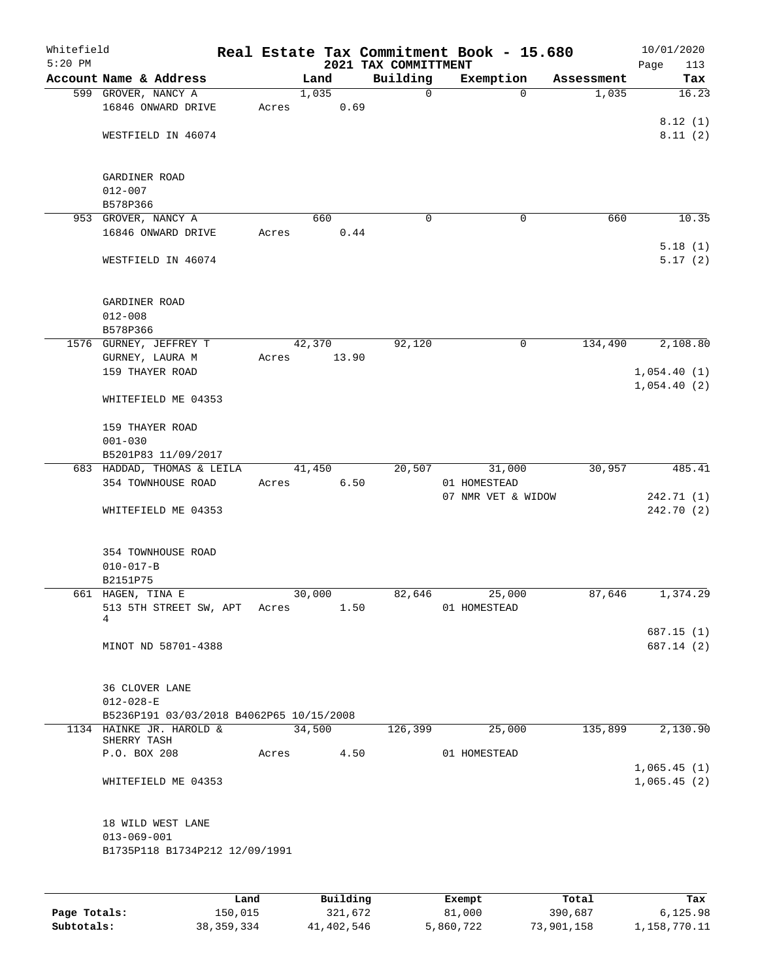| Whitefield<br>$5:20$ PM |                                          |       |        |       | 2021 TAX COMMITTMENT | Real Estate Tax Commitment Book - 15.680 |             |            | 10/01/2020<br>Page<br>113 |
|-------------------------|------------------------------------------|-------|--------|-------|----------------------|------------------------------------------|-------------|------------|---------------------------|
|                         | Account Name & Address                   |       | Land   |       | Building             | Exemption                                |             | Assessment | Tax                       |
|                         | 599 GROVER, NANCY A                      |       | 1,035  |       | 0                    |                                          | $\mathbf 0$ | 1,035      | 16.23                     |
|                         | 16846 ONWARD DRIVE                       | Acres |        | 0.69  |                      |                                          |             |            |                           |
|                         |                                          |       |        |       |                      |                                          |             |            | 8.12(1)                   |
|                         | WESTFIELD IN 46074                       |       |        |       |                      |                                          |             |            | 8.11(2)                   |
|                         |                                          |       |        |       |                      |                                          |             |            |                           |
|                         |                                          |       |        |       |                      |                                          |             |            |                           |
|                         | GARDINER ROAD                            |       |        |       |                      |                                          |             |            |                           |
|                         | $012 - 007$                              |       |        |       |                      |                                          |             |            |                           |
|                         | B578P366<br>953 GROVER, NANCY A          |       | 660    |       | 0                    |                                          | 0           | 660        | 10.35                     |
|                         | 16846 ONWARD DRIVE                       | Acres |        | 0.44  |                      |                                          |             |            |                           |
|                         |                                          |       |        |       |                      |                                          |             |            | 5.18(1)                   |
|                         | WESTFIELD IN 46074                       |       |        |       |                      |                                          |             |            | 5.17(2)                   |
|                         |                                          |       |        |       |                      |                                          |             |            |                           |
|                         |                                          |       |        |       |                      |                                          |             |            |                           |
|                         | GARDINER ROAD                            |       |        |       |                      |                                          |             |            |                           |
|                         | $012 - 008$                              |       |        |       |                      |                                          |             |            |                           |
|                         | B578P366                                 |       |        |       |                      |                                          |             |            |                           |
|                         | 1576 GURNEY, JEFFREY T                   |       | 42,370 |       | 92,120               |                                          | 0           | 134,490    | 2,108.80                  |
|                         | GURNEY, LAURA M                          | Acres |        | 13.90 |                      |                                          |             |            |                           |
|                         | 159 THAYER ROAD                          |       |        |       |                      |                                          |             |            | 1,054.40(1)               |
|                         |                                          |       |        |       |                      |                                          |             |            | 1,054.40(2)               |
|                         | WHITEFIELD ME 04353                      |       |        |       |                      |                                          |             |            |                           |
|                         | 159 THAYER ROAD                          |       |        |       |                      |                                          |             |            |                           |
|                         | $001 - 030$                              |       |        |       |                      |                                          |             |            |                           |
|                         | B5201P83 11/09/2017                      |       |        |       |                      |                                          |             |            |                           |
|                         | 683 HADDAD, THOMAS & LEILA               |       | 41,450 |       | 20,507               | 31,000                                   |             | 30,957     | 485.41                    |
|                         | 354 TOWNHOUSE ROAD                       | Acres |        | 6.50  |                      | 01 HOMESTEAD                             |             |            |                           |
|                         |                                          |       |        |       |                      | 07 NMR VET & WIDOW                       |             |            | 242.71 (1)                |
|                         | WHITEFIELD ME 04353                      |       |        |       |                      |                                          |             |            | 242.70 (2)                |
|                         |                                          |       |        |       |                      |                                          |             |            |                           |
|                         |                                          |       |        |       |                      |                                          |             |            |                           |
|                         | 354 TOWNHOUSE ROAD                       |       |        |       |                      |                                          |             |            |                           |
|                         | $010 - 017 - B$                          |       |        |       |                      |                                          |             |            |                           |
|                         | B2151P75                                 |       |        |       |                      |                                          |             |            |                           |
|                         | 661 HAGEN, TINA E                        |       | 30,000 |       | 82,646               | 25,000                                   |             | 87,646     | 1,374.29                  |
|                         | 513 5TH STREET SW, APT Acres<br>4        |       |        | 1.50  |                      | 01 HOMESTEAD                             |             |            |                           |
|                         |                                          |       |        |       |                      |                                          |             |            | 687.15(1)                 |
|                         | MINOT ND 58701-4388                      |       |        |       |                      |                                          |             |            | 687.14 (2)                |
|                         |                                          |       |        |       |                      |                                          |             |            |                           |
|                         |                                          |       |        |       |                      |                                          |             |            |                           |
|                         | 36 CLOVER LANE                           |       |        |       |                      |                                          |             |            |                           |
|                         | $012 - 028 - E$                          |       |        |       |                      |                                          |             |            |                           |
|                         | B5236P191 03/03/2018 B4062P65 10/15/2008 |       |        |       |                      |                                          |             |            |                           |
|                         | 1134 HAINKE JR. HAROLD &<br>SHERRY TASH  |       | 34,500 |       | 126,399              | 25,000                                   |             | 135,899    | 2,130.90                  |
|                         | P.O. BOX 208                             | Acres |        |       | 4.50                 | 01 HOMESTEAD                             |             |            |                           |
|                         |                                          |       |        |       |                      |                                          |             |            | 1,065.45(1)               |
|                         | WHITEFIELD ME 04353                      |       |        |       |                      |                                          |             |            | 1,065.45(2)               |
|                         |                                          |       |        |       |                      |                                          |             |            |                           |
|                         |                                          |       |        |       |                      |                                          |             |            |                           |
|                         | 18 WILD WEST LANE                        |       |        |       |                      |                                          |             |            |                           |
|                         | $013 - 069 - 001$                        |       |        |       |                      |                                          |             |            |                           |
|                         | B1735P118 B1734P212 12/09/1991           |       |        |       |                      |                                          |             |            |                           |
|                         |                                          |       |        |       |                      |                                          |             |            |                           |
|                         |                                          |       |        |       |                      |                                          |             |            |                           |
|                         |                                          |       |        |       |                      |                                          |             |            |                           |

|              | Land         | Building   | Exempt    | Total      | Tax          |
|--------------|--------------|------------|-----------|------------|--------------|
| Page Totals: | 150,015      | 321,672    | 81,000    | 390,687    | 6,125.98     |
| Subtotals:   | 38, 359, 334 | 41,402,546 | 5,860,722 | 73,901,158 | 1,158,770.11 |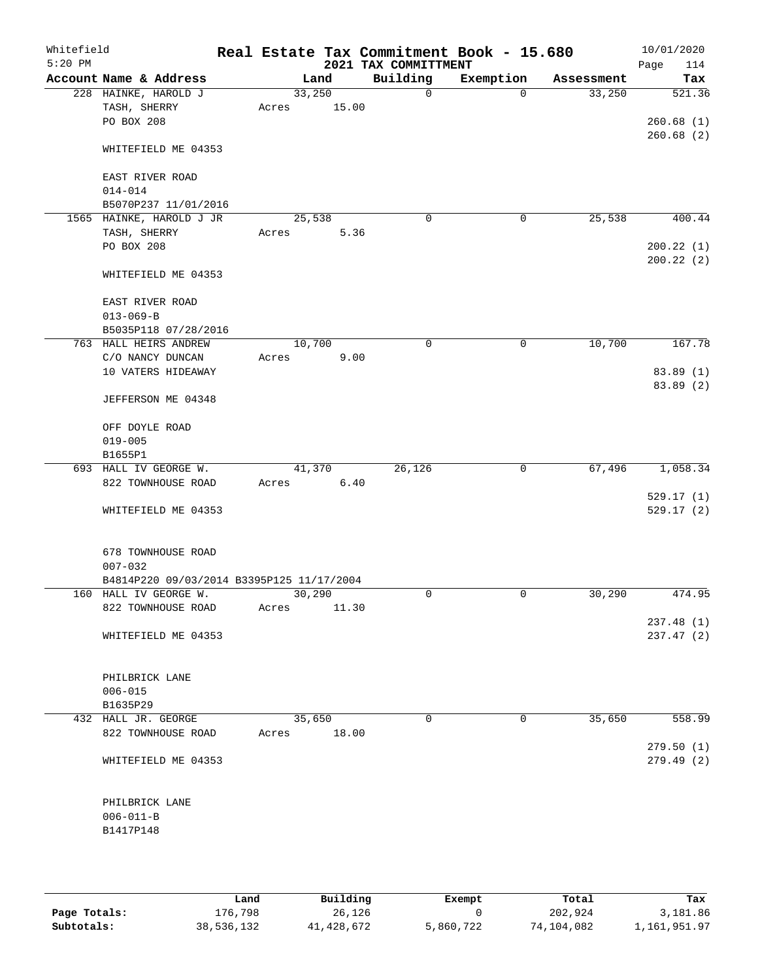| Whitefield<br>$5:20$ PM |                                           |        |         | 2021 TAX COMMITTMENT | Real Estate Tax Commitment Book - 15.680 |            | 10/01/2020<br>Page<br>114 |
|-------------------------|-------------------------------------------|--------|---------|----------------------|------------------------------------------|------------|---------------------------|
|                         | Account Name & Address                    |        | Land    | Building             | Exemption                                | Assessment | Tax                       |
|                         | 228 HAINKE, HAROLD J                      |        | 33,250  | $\mathbf 0$          | $\Omega$                                 | 33,250     | 521.36                    |
|                         | TASH, SHERRY                              | Acres  | 15.00   |                      |                                          |            |                           |
|                         | PO BOX 208                                |        |         |                      |                                          |            | 260.68(1)                 |
|                         |                                           |        |         |                      |                                          |            | 260.68(2)                 |
|                         | WHITEFIELD ME 04353                       |        |         |                      |                                          |            |                           |
|                         |                                           |        |         |                      |                                          |            |                           |
|                         | EAST RIVER ROAD                           |        |         |                      |                                          |            |                           |
|                         | $014 - 014$                               |        |         |                      |                                          |            |                           |
|                         | B5070P237 11/01/2016                      |        |         |                      |                                          |            |                           |
|                         | 1565 HAINKE, HAROLD J JR                  |        | 25,538  | $\mathbf 0$          | 0                                        | 25,538     | 400.44                    |
|                         | TASH, SHERRY                              | Acres  | 5.36    |                      |                                          |            |                           |
|                         | PO BOX 208                                |        |         |                      |                                          |            | 200.22(1)                 |
|                         |                                           |        |         |                      |                                          |            | 200.22(2)                 |
|                         | WHITEFIELD ME 04353                       |        |         |                      |                                          |            |                           |
|                         | EAST RIVER ROAD                           |        |         |                      |                                          |            |                           |
|                         | $013 - 069 - B$                           |        |         |                      |                                          |            |                           |
|                         | B5035P118 07/28/2016                      |        |         |                      |                                          |            |                           |
|                         | 763 HALL HEIRS ANDREW                     | 10,700 |         | 0                    | 0                                        | 10,700     | 167.78                    |
|                         | C/O NANCY DUNCAN                          | Acres  | 9.00    |                      |                                          |            |                           |
|                         | 10 VATERS HIDEAWAY                        |        |         |                      |                                          |            | 83.89(1)                  |
|                         |                                           |        |         |                      |                                          |            | 83.89 (2)                 |
|                         | JEFFERSON ME 04348                        |        |         |                      |                                          |            |                           |
|                         |                                           |        |         |                      |                                          |            |                           |
|                         | OFF DOYLE ROAD                            |        |         |                      |                                          |            |                           |
|                         | $019 - 005$                               |        |         |                      |                                          |            |                           |
|                         | B1655P1                                   |        |         |                      |                                          |            |                           |
|                         | 693 HALL IV GEORGE W.                     |        | 41,370  | 26,126               | 0                                        | 67,496     | 1,058.34                  |
|                         | 822 TOWNHOUSE ROAD                        | Acres  | 6.40    |                      |                                          |            |                           |
|                         |                                           |        |         |                      |                                          |            | 529.17(1)                 |
|                         | WHITEFIELD ME 04353                       |        |         |                      |                                          |            | 529.17(2)                 |
|                         |                                           |        |         |                      |                                          |            |                           |
|                         |                                           |        |         |                      |                                          |            |                           |
|                         | 678 TOWNHOUSE ROAD                        |        |         |                      |                                          |            |                           |
|                         | $007 - 032$                               |        |         |                      |                                          |            |                           |
|                         | B4814P220 09/03/2014 B3395P125 11/17/2004 |        |         |                      |                                          |            |                           |
|                         | 160 HALL IV GEORGE W.                     |        | 30, 290 | 0                    | 0                                        | 30,290     | 474.95                    |
|                         | 822 TOWNHOUSE ROAD                        | Acres  | 11.30   |                      |                                          |            |                           |
|                         |                                           |        |         |                      |                                          |            | 237.48(1)                 |
|                         | WHITEFIELD ME 04353                       |        |         |                      |                                          |            | 237.47 (2)                |
|                         |                                           |        |         |                      |                                          |            |                           |
|                         | PHILBRICK LANE                            |        |         |                      |                                          |            |                           |
|                         | $006 - 015$                               |        |         |                      |                                          |            |                           |
|                         | B1635P29                                  |        |         |                      |                                          |            |                           |
|                         | 432 HALL JR. GEORGE                       |        | 35,650  | 0                    | 0                                        | 35,650     | 558.99                    |
|                         | 822 TOWNHOUSE ROAD                        | Acres  | 18.00   |                      |                                          |            |                           |
|                         |                                           |        |         |                      |                                          |            | 279.50(1)                 |
|                         | WHITEFIELD ME 04353                       |        |         |                      |                                          |            | 279.49(2)                 |
|                         |                                           |        |         |                      |                                          |            |                           |
|                         |                                           |        |         |                      |                                          |            |                           |
|                         | PHILBRICK LANE                            |        |         |                      |                                          |            |                           |
|                         | $006 - 011 - B$                           |        |         |                      |                                          |            |                           |
|                         | B1417P148                                 |        |         |                      |                                          |            |                           |
|                         |                                           |        |         |                      |                                          |            |                           |
|                         |                                           |        |         |                      |                                          |            |                           |

|              | Land       | Building   | Exempt    | Total      | Tax          |
|--------------|------------|------------|-----------|------------|--------------|
| Page Totals: | 176.798    | 26,126     |           | 202,924    | 3,181.86     |
| Subtotals:   | 38,536,132 | 41,428,672 | 5,860,722 | 74,104,082 | 1,161,951.97 |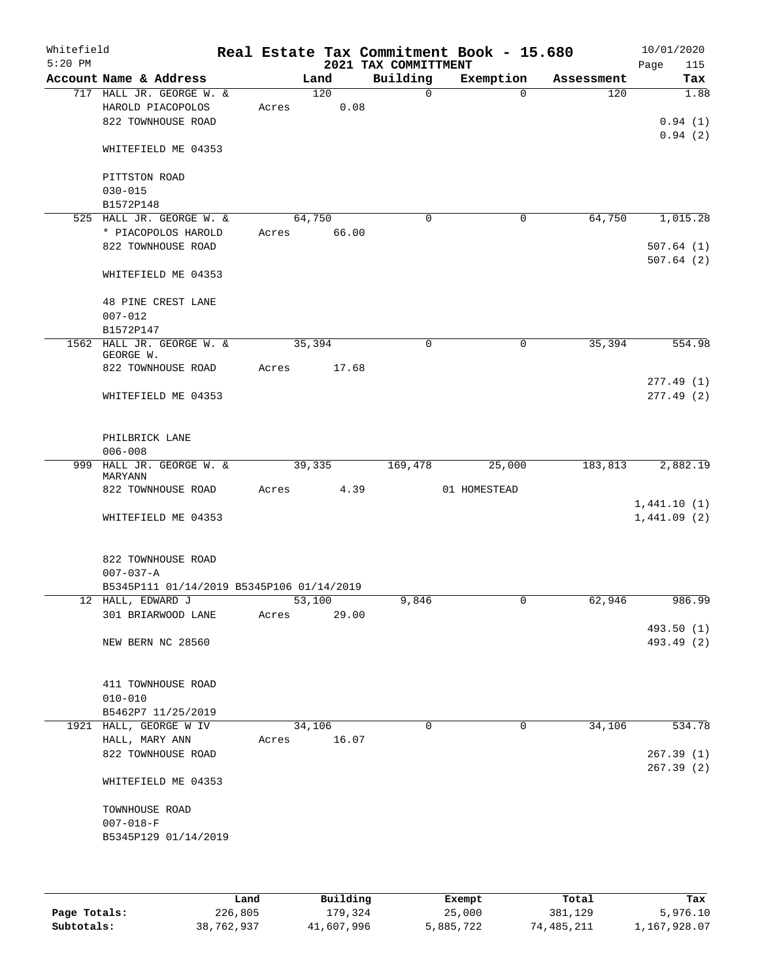| Whitefield<br>$5:20$ PM |                                                              |       |                 | 2021 TAX COMMITTMENT | Real Estate Tax Commitment Book - 15.680 |            | 10/01/2020<br>115<br>Page |
|-------------------------|--------------------------------------------------------------|-------|-----------------|----------------------|------------------------------------------|------------|---------------------------|
|                         | Account Name & Address                                       |       | Land            | Building             | Exemption                                | Assessment | Tax                       |
|                         | 717 HALL JR. GEORGE W. &<br>HAROLD PIACOPOLOS                | Acres | 120<br>0.08     | $\Omega$             | $\Omega$                                 | 120        | 1.88                      |
|                         | 822 TOWNHOUSE ROAD                                           |       |                 |                      |                                          |            | 0.94(1)<br>0.94(2)        |
|                         | WHITEFIELD ME 04353                                          |       |                 |                      |                                          |            |                           |
|                         | PITTSTON ROAD                                                |       |                 |                      |                                          |            |                           |
|                         | $030 - 015$<br>B1572P148                                     |       |                 |                      |                                          |            |                           |
|                         | 525 HALL JR. GEORGE W. &                                     |       | 64,750          | $\mathbf 0$          | $\mathbf 0$                              | 64,750     | 1,015.28                  |
|                         | * PIACOPOLOS HAROLD                                          |       | Acres 66.00     |                      |                                          |            |                           |
|                         | 822 TOWNHOUSE ROAD                                           |       |                 |                      |                                          |            | 507.64(1)<br>507.64(2)    |
|                         | WHITEFIELD ME 04353                                          |       |                 |                      |                                          |            |                           |
|                         | 48 PINE CREST LANE                                           |       |                 |                      |                                          |            |                           |
|                         | $007 - 012$                                                  |       |                 |                      |                                          |            |                           |
|                         | B1572P147<br>1562 HALL JR. GEORGE W. &                       |       | 35,394          | $\mathbf 0$          | 0                                        | 35,394     | 554.98                    |
|                         | GEORGE W.                                                    |       |                 |                      |                                          |            |                           |
|                         | 822 TOWNHOUSE ROAD                                           |       | Acres 17.68     |                      |                                          |            |                           |
|                         | WHITEFIELD ME 04353                                          |       |                 |                      |                                          |            | 277.49(1)<br>277.49(2)    |
|                         | PHILBRICK LANE<br>$006 - 008$                                |       |                 |                      |                                          |            |                           |
|                         | 999 HALL JR. GEORGE W. &                                     |       | 39,335          | 169,478              | 25,000                                   | 183,813    | 2,882.19                  |
|                         | MARYANN<br>822 TOWNHOUSE ROAD                                |       | Acres 4.39      |                      | 01 HOMESTEAD                             |            |                           |
|                         |                                                              |       |                 |                      |                                          |            | 1,441.10(1)               |
|                         | WHITEFIELD ME 04353                                          |       |                 |                      |                                          |            | 1,441.09(2)               |
|                         | 822 TOWNHOUSE ROAD                                           |       |                 |                      |                                          |            |                           |
|                         | $007 - 037 - A$<br>B5345P111 01/14/2019 B5345P106 01/14/2019 |       |                 |                      |                                          |            |                           |
|                         | 12 HALL, EDWARD J                                            |       | 53,100          | 9,846                | $\cup$                                   | 62,946     | 986.99                    |
|                         | 301 BRIARWOOD LANE                                           | Acres | 29.00           |                      |                                          |            |                           |
|                         | NEW BERN NC 28560                                            |       |                 |                      |                                          |            | 493.50 (1)<br>493.49 (2)  |
|                         |                                                              |       |                 |                      |                                          |            |                           |
|                         | 411 TOWNHOUSE ROAD                                           |       |                 |                      |                                          |            |                           |
|                         | $010 - 010$                                                  |       |                 |                      |                                          |            |                           |
|                         | B5462P7 11/25/2019                                           |       |                 |                      |                                          |            |                           |
|                         | 1921 HALL, GEORGE W IV                                       |       | 34,106<br>16.07 | $\Omega$             | $\mathbf 0$                              | 34,106     | 534.78                    |
|                         | HALL, MARY ANN<br>822 TOWNHOUSE ROAD                         | Acres |                 |                      |                                          |            | 267.39(1)                 |
|                         |                                                              |       |                 |                      |                                          |            | 267.39(2)                 |
|                         | WHITEFIELD ME 04353                                          |       |                 |                      |                                          |            |                           |
|                         | TOWNHOUSE ROAD                                               |       |                 |                      |                                          |            |                           |
|                         | $007 - 018 - F$                                              |       |                 |                      |                                          |            |                           |
|                         | B5345P129 01/14/2019                                         |       |                 |                      |                                          |            |                           |
|                         |                                                              |       |                 |                      |                                          |            |                           |
|                         |                                                              |       |                 |                      |                                          |            |                           |

|              | Land       | Building   | Exempt    | Total      | Tax          |
|--------------|------------|------------|-----------|------------|--------------|
| Page Totals: | 226,805    | 179,324    | 25,000    | 381,129    | 5,976.10     |
| Subtotals:   | 38,762,937 | 41,607,996 | 5,885,722 | 74,485,211 | 1,167,928.07 |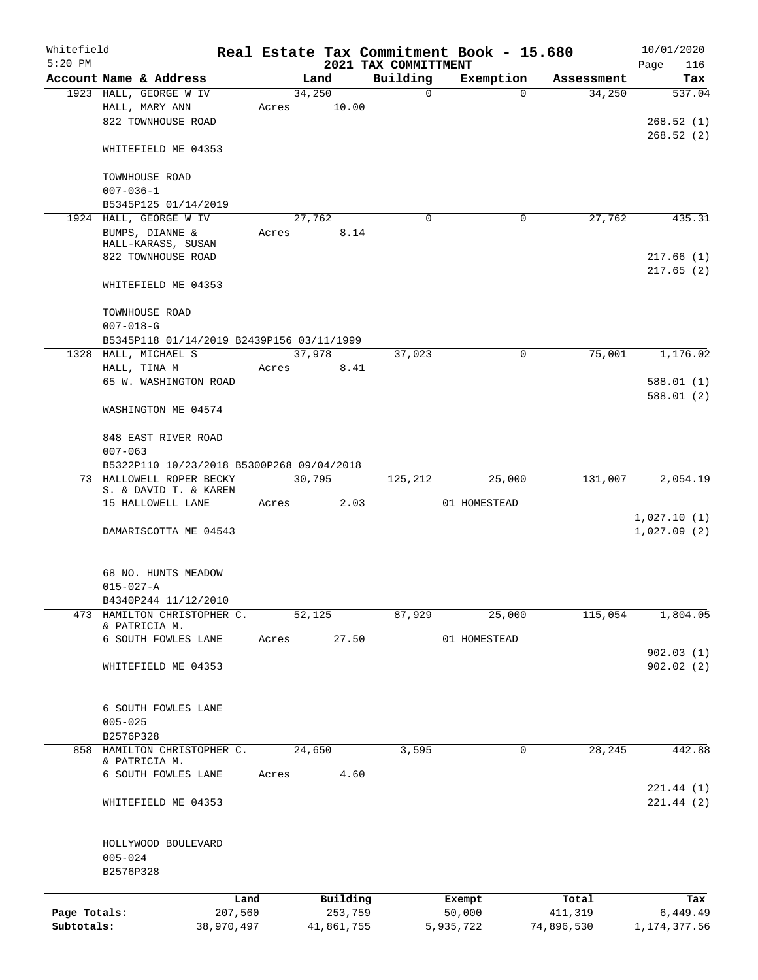| Whitefield   |                                                   |            |       |            |         |                                  | Real Estate Tax Commitment Book - 15.680 |            | 10/01/2020             |
|--------------|---------------------------------------------------|------------|-------|------------|---------|----------------------------------|------------------------------------------|------------|------------------------|
| $5:20$ PM    | Account Name & Address                            |            |       | Land       |         | 2021 TAX COMMITTMENT<br>Building | Exemption                                | Assessment | Page<br>116<br>Tax     |
|              | 1923 HALL, GEORGE W IV                            |            |       | 34,250     |         | $\mathbf 0$                      | $\Omega$                                 | 34,250     | 537.04                 |
|              | HALL, MARY ANN                                    |            | Acres |            | 10.00   |                                  |                                          |            |                        |
|              | 822 TOWNHOUSE ROAD                                |            |       |            |         |                                  |                                          |            | 268.52(1)              |
|              |                                                   |            |       |            |         |                                  |                                          |            | 268.52(2)              |
|              | WHITEFIELD ME 04353                               |            |       |            |         |                                  |                                          |            |                        |
|              | TOWNHOUSE ROAD<br>$007 - 036 - 1$                 |            |       |            |         |                                  |                                          |            |                        |
|              | B5345P125 01/14/2019                              |            |       |            |         |                                  |                                          |            |                        |
|              | 1924 HALL, GEORGE W IV                            |            |       | 27,762     |         | 0                                | 0                                        | 27,762     | 435.31                 |
|              | BUMPS, DIANNE &<br>HALL-KARASS, SUSAN             |            | Acres |            | 8.14    |                                  |                                          |            |                        |
|              | 822 TOWNHOUSE ROAD                                |            |       |            |         |                                  |                                          |            | 217.66(1)              |
|              |                                                   |            |       |            |         |                                  |                                          |            | 217.65(2)              |
|              | WHITEFIELD ME 04353                               |            |       |            |         |                                  |                                          |            |                        |
|              | TOWNHOUSE ROAD<br>$007 - 018 - G$                 |            |       |            |         |                                  |                                          |            |                        |
|              |                                                   |            |       |            |         |                                  |                                          |            |                        |
|              | B5345P118 01/14/2019 B2439P156 03/11/1999         |            |       |            |         |                                  |                                          |            |                        |
|              | 1328 HALL, MICHAEL S                              |            |       | 37,978     |         | 37,023                           | 0                                        | 75,001     | 1,176.02               |
|              | HALL, TINA M                                      |            | Acres |            | 8.41    |                                  |                                          |            |                        |
|              | 65 W. WASHINGTON ROAD                             |            |       |            |         |                                  |                                          |            | 588.01(1)              |
|              | WASHINGTON ME 04574                               |            |       |            |         |                                  |                                          |            | 588.01(2)              |
|              |                                                   |            |       |            |         |                                  |                                          |            |                        |
|              | 848 EAST RIVER ROAD                               |            |       |            |         |                                  |                                          |            |                        |
|              | $007 - 063$                                       |            |       |            |         |                                  |                                          |            |                        |
|              | B5322P110 10/23/2018 B5300P268 09/04/2018         |            |       |            |         |                                  |                                          |            |                        |
|              | 73 HALLOWELL ROPER BECKY<br>S. & DAVID T. & KAREN |            |       | 30,795     |         | 125,212                          | 25,000                                   | 131,007    | 2,054.19               |
|              | 15 HALLOWELL LANE                                 |            | Acres |            | 2.03    |                                  | 01 HOMESTEAD                             |            |                        |
|              |                                                   |            |       |            |         |                                  |                                          |            | 1,027.10(1)            |
|              | DAMARISCOTTA ME 04543                             |            |       |            |         |                                  |                                          |            | 1,027.09(2)            |
|              | 68 NO. HUNTS MEADOW                               |            |       |            |         |                                  |                                          |            |                        |
|              | $015 - 027 - A$                                   |            |       |            |         |                                  |                                          |            |                        |
|              | B4340P244 11/12/2010                              |            |       |            |         |                                  |                                          |            |                        |
| 473          | HAMILTON CHRISTOPHER C.                           |            |       | 52,125     |         | 87,929                           | 25,000                                   | 115,054    | 1,804.05               |
|              | & PATRICIA M.                                     |            |       |            |         |                                  |                                          |            |                        |
|              | 6 SOUTH FOWLES LANE                               |            | Acres |            | 27.50   |                                  | 01 HOMESTEAD                             |            |                        |
|              | WHITEFIELD ME 04353                               |            |       |            |         |                                  |                                          |            | 902.03(1)<br>902.02(2) |
|              |                                                   |            |       |            |         |                                  |                                          |            |                        |
|              | 6 SOUTH FOWLES LANE                               |            |       |            |         |                                  |                                          |            |                        |
|              | $005 - 025$                                       |            |       |            |         |                                  |                                          |            |                        |
|              | B2576P328                                         |            |       |            |         |                                  |                                          |            |                        |
|              | 858 HAMILTON CHRISTOPHER C.<br>& PATRICIA M.      |            |       | 24,650     |         | 3,595                            | 0                                        | 28,245     | 442.88                 |
|              | 6 SOUTH FOWLES LANE                               |            | Acres |            | 4.60    |                                  |                                          |            |                        |
|              |                                                   |            |       |            |         |                                  |                                          |            | 221.44(1)              |
|              | WHITEFIELD ME 04353                               |            |       |            |         |                                  |                                          |            | 221.44(2)              |
|              | HOLLYWOOD BOULEVARD                               |            |       |            |         |                                  |                                          |            |                        |
|              | $005 - 024$                                       |            |       |            |         |                                  |                                          |            |                        |
|              | B2576P328                                         |            |       |            |         |                                  |                                          |            |                        |
|              |                                                   | Land       |       | Building   |         |                                  | Exempt                                   | Total      | Tax                    |
| Page Totals: |                                                   | 207,560    |       |            | 253,759 |                                  | 50,000                                   | 411,319    | 6,449.49               |
| Subtotals:   |                                                   | 38,970,497 |       | 41,861,755 |         |                                  | 5,935,722                                | 74,896,530 | 1, 174, 377.56         |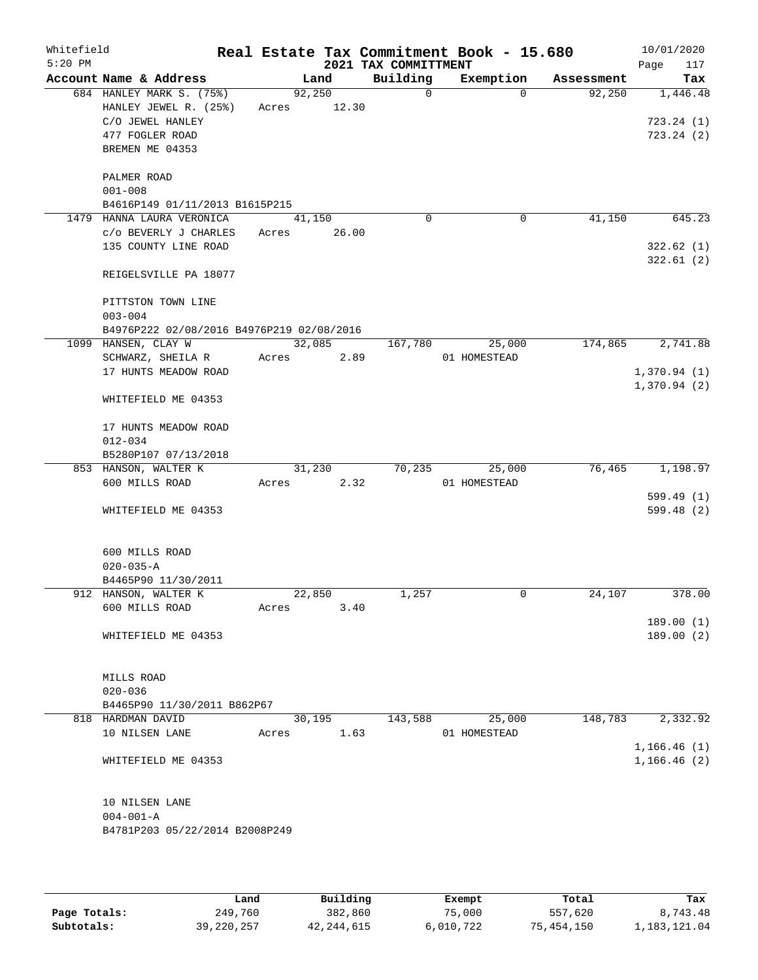| Whitefield<br>$5:20$ PM |                                           |       |        |       | 2021 TAX COMMITTMENT | Real Estate Tax Commitment Book - 15.680 |            | 10/01/2020<br>117<br>Page |
|-------------------------|-------------------------------------------|-------|--------|-------|----------------------|------------------------------------------|------------|---------------------------|
|                         | Account Name & Address                    |       | Land   |       | Building             | Exemption                                | Assessment | Tax                       |
|                         | 684 HANLEY MARK S. (75%)                  |       | 92,250 |       | $\Omega$             | $\Omega$                                 | 92,250     | 1,446.48                  |
|                         | HANLEY JEWEL R. (25%)                     | Acres |        | 12.30 |                      |                                          |            |                           |
|                         | C/O JEWEL HANLEY                          |       |        |       |                      |                                          |            | 723.24(1)                 |
|                         | 477 FOGLER ROAD                           |       |        |       |                      |                                          |            | 723.24(2)                 |
|                         | BREMEN ME 04353                           |       |        |       |                      |                                          |            |                           |
|                         |                                           |       |        |       |                      |                                          |            |                           |
|                         | PALMER ROAD<br>$001 - 008$                |       |        |       |                      |                                          |            |                           |
|                         | B4616P149 01/11/2013 B1615P215            |       |        |       |                      |                                          |            |                           |
|                         | 1479 HANNA LAURA VERONICA                 |       | 41,150 |       | $\mathbf 0$          | 0                                        | 41,150     | 645.23                    |
|                         | C/O BEVERLY J CHARLES                     | Acres |        | 26.00 |                      |                                          |            |                           |
|                         | 135 COUNTY LINE ROAD                      |       |        |       |                      |                                          |            | 322.62(1)                 |
|                         |                                           |       |        |       |                      |                                          |            | 322.61(2)                 |
|                         | REIGELSVILLE PA 18077                     |       |        |       |                      |                                          |            |                           |
|                         | PITTSTON TOWN LINE                        |       |        |       |                      |                                          |            |                           |
|                         | $003 - 004$                               |       |        |       |                      |                                          |            |                           |
|                         | B4976P222 02/08/2016 B4976P219 02/08/2016 |       |        |       |                      |                                          |            |                           |
|                         | 1099 HANSEN, CLAY W                       |       | 32,085 |       | 167,780              | 25,000                                   | 174,865    | 2,741.88                  |
|                         | SCHWARZ, SHEILA R                         | Acres |        | 2.89  |                      | 01 HOMESTEAD                             |            |                           |
|                         | 17 HUNTS MEADOW ROAD                      |       |        |       |                      |                                          |            | 1,370.94(1)               |
|                         | WHITEFIELD ME 04353                       |       |        |       |                      |                                          |            | 1,370.94(2)               |
|                         | 17 HUNTS MEADOW ROAD                      |       |        |       |                      |                                          |            |                           |
|                         | $012 - 034$                               |       |        |       |                      |                                          |            |                           |
|                         | B5280P107 07/13/2018                      |       |        |       |                      |                                          |            |                           |
|                         | 853 HANSON, WALTER K                      |       | 31,230 |       | 70,235               | 25,000                                   | 76,465     | 1,198.97                  |
|                         | 600 MILLS ROAD                            | Acres |        | 2.32  |                      | 01 HOMESTEAD                             |            |                           |
|                         |                                           |       |        |       |                      |                                          |            | 599.49(1)                 |
|                         | WHITEFIELD ME 04353                       |       |        |       |                      |                                          |            | 599.48 (2)                |
|                         | 600 MILLS ROAD                            |       |        |       |                      |                                          |            |                           |
|                         | $020 - 035 - A$                           |       |        |       |                      |                                          |            |                           |
|                         | B4465P90 11/30/2011                       |       |        |       |                      |                                          |            |                           |
|                         | 912 HANSON, WALTER K                      |       | 22,850 |       | 1,257                | 0                                        | 24,107     | 378.00                    |
|                         | 600 MILLS ROAD                            | Acres |        | 3.40  |                      |                                          |            |                           |
|                         |                                           |       |        |       |                      |                                          |            | 189.00(1)                 |
|                         | WHITEFIELD ME 04353                       |       |        |       |                      |                                          |            | 189.00(2)                 |
|                         | MILLS ROAD                                |       |        |       |                      |                                          |            |                           |
|                         | $020 - 036$                               |       |        |       |                      |                                          |            |                           |
|                         | B4465P90 11/30/2011 B862P67               |       |        |       |                      |                                          |            |                           |
|                         | 818 HARDMAN DAVID                         |       | 30,195 |       | 143,588              | 25,000                                   | 148,783    | 2,332.92                  |
|                         | 10 NILSEN LANE                            | Acres |        | 1.63  |                      | 01 HOMESTEAD                             |            |                           |
|                         |                                           |       |        |       |                      |                                          |            | 1,166.46(1)               |
|                         | WHITEFIELD ME 04353                       |       |        |       |                      |                                          |            | 1, 166.46(2)              |
|                         | 10 NILSEN LANE                            |       |        |       |                      |                                          |            |                           |
|                         | $004 - 001 - A$                           |       |        |       |                      |                                          |            |                           |
|                         | B4781P203 05/22/2014 B2008P249            |       |        |       |                      |                                          |            |                           |
|                         |                                           |       |        |       |                      |                                          |            |                           |
|                         |                                           |       |        |       |                      |                                          |            |                           |

|              | Land       | Building   | Exempt    | Total      | Tax          |
|--------------|------------|------------|-----------|------------|--------------|
| Page Totals: | 249,760    | 382,860    | 75,000    | 557,620    | 8,743.48     |
| Subtotals:   | 39,220,257 | 42,244,615 | 6,010,722 | 75,454,150 | 1,183,121.04 |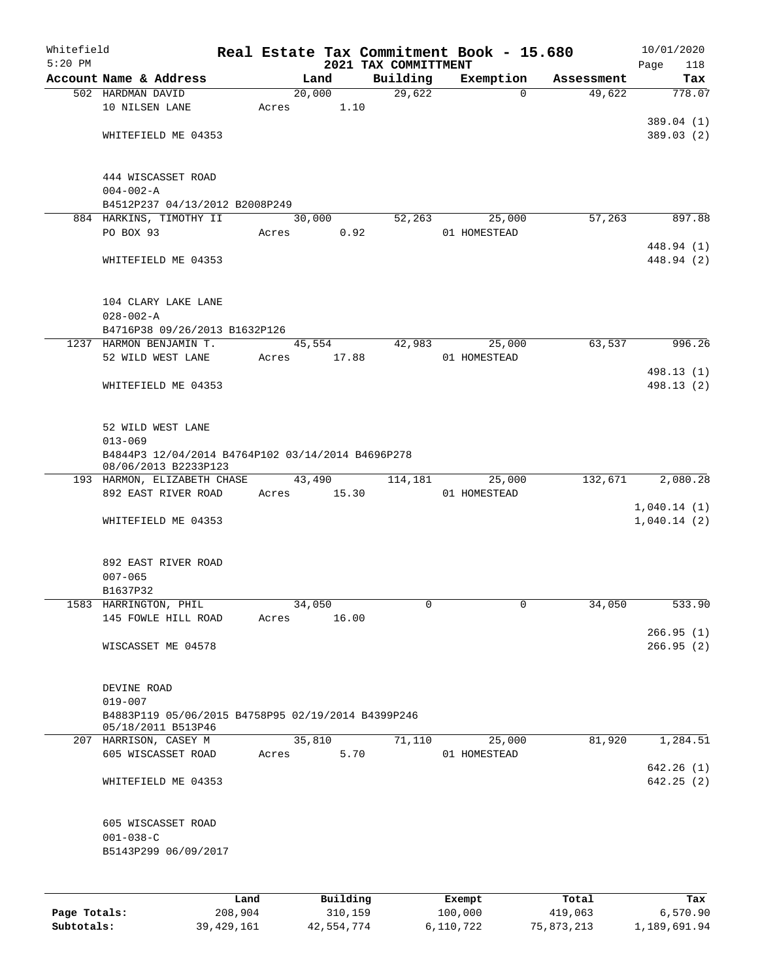| Whitefield<br>$5:20$ PM |                                                           |      |       |                     |          |                                  | Real Estate Tax Commitment Book - 15.680 |          |            | 10/01/2020  |                        |
|-------------------------|-----------------------------------------------------------|------|-------|---------------------|----------|----------------------------------|------------------------------------------|----------|------------|-------------|------------------------|
|                         | Account Name & Address                                    |      |       | Land                |          | 2021 TAX COMMITTMENT<br>Building | Exemption                                |          | Assessment | Page        | 118<br>Tax             |
|                         | 502 HARDMAN DAVID                                         |      |       | $\overline{20,000}$ |          | 29,622                           |                                          | $\Omega$ | 49,622     |             | 778.07                 |
|                         | 10 NILSEN LANE                                            |      | Acres |                     | 1.10     |                                  |                                          |          |            |             |                        |
|                         |                                                           |      |       |                     |          |                                  |                                          |          |            |             | 389.04 (1)             |
|                         | WHITEFIELD ME 04353                                       |      |       |                     |          |                                  |                                          |          |            |             | 389.03 (2)             |
|                         |                                                           |      |       |                     |          |                                  |                                          |          |            |             |                        |
|                         |                                                           |      |       |                     |          |                                  |                                          |          |            |             |                        |
|                         | 444 WISCASSET ROAD                                        |      |       |                     |          |                                  |                                          |          |            |             |                        |
|                         | $004 - 002 - A$                                           |      |       |                     |          |                                  |                                          |          |            |             |                        |
|                         | B4512P237 04/13/2012 B2008P249<br>884 HARKINS, TIMOTHY II |      |       | 30,000              |          | 52,263                           | 25,000                                   |          | 57,263     |             | 897.88                 |
|                         | PO BOX 93                                                 |      | Acres |                     | 0.92     |                                  | 01 HOMESTEAD                             |          |            |             |                        |
|                         |                                                           |      |       |                     |          |                                  |                                          |          |            |             | 448.94 (1)             |
|                         | WHITEFIELD ME 04353                                       |      |       |                     |          |                                  |                                          |          |            |             | 448.94 (2)             |
|                         |                                                           |      |       |                     |          |                                  |                                          |          |            |             |                        |
|                         |                                                           |      |       |                     |          |                                  |                                          |          |            |             |                        |
|                         | 104 CLARY LAKE LANE                                       |      |       |                     |          |                                  |                                          |          |            |             |                        |
|                         | $028 - 002 - A$                                           |      |       |                     |          |                                  |                                          |          |            |             |                        |
|                         | B4716P38 09/26/2013 B1632P126                             |      |       |                     |          |                                  |                                          |          |            |             |                        |
|                         | 1237 HARMON BENJAMIN T.                                   |      |       | 45,554              |          | 42,983                           | 25,000<br>01 HOMESTEAD                   |          | 63,537     |             | 996.26                 |
|                         | 52 WILD WEST LANE                                         |      | Acres |                     | 17.88    |                                  |                                          |          |            |             | 498.13 (1)             |
|                         | WHITEFIELD ME 04353                                       |      |       |                     |          |                                  |                                          |          |            |             | 498.13 (2)             |
|                         |                                                           |      |       |                     |          |                                  |                                          |          |            |             |                        |
|                         |                                                           |      |       |                     |          |                                  |                                          |          |            |             |                        |
|                         | 52 WILD WEST LANE                                         |      |       |                     |          |                                  |                                          |          |            |             |                        |
|                         | $013 - 069$                                               |      |       |                     |          |                                  |                                          |          |            |             |                        |
|                         | B4844P3 12/04/2014 B4764P102 03/14/2014 B4696P278         |      |       |                     |          |                                  |                                          |          |            |             |                        |
|                         | 08/06/2013 B2233P123                                      |      |       |                     |          |                                  |                                          |          |            |             |                        |
|                         | 193 HARMON, ELIZABETH CHASE<br>892 EAST RIVER ROAD        |      | Acres | 43,490              | 15.30    | 114,181                          | 25,000<br>01 HOMESTEAD                   |          | 132,671    |             | 2,080.28               |
|                         |                                                           |      |       |                     |          |                                  |                                          |          |            | 1,040.14(1) |                        |
|                         | WHITEFIELD ME 04353                                       |      |       |                     |          |                                  |                                          |          |            | 1,040.14(2) |                        |
|                         |                                                           |      |       |                     |          |                                  |                                          |          |            |             |                        |
|                         |                                                           |      |       |                     |          |                                  |                                          |          |            |             |                        |
|                         | 892 EAST RIVER ROAD                                       |      |       |                     |          |                                  |                                          |          |            |             |                        |
|                         | $007 - 065$                                               |      |       |                     |          |                                  |                                          |          |            |             |                        |
|                         | B1637P32                                                  |      |       |                     |          |                                  |                                          |          |            |             |                        |
|                         | 1583 HARRINGTON, PHIL                                     |      |       | 34,050              |          | 0                                |                                          | 0        | 34,050     |             | 533.90                 |
|                         | 145 FOWLE HILL ROAD                                       |      | Acres |                     | 16.00    |                                  |                                          |          |            |             |                        |
|                         | WISCASSET ME 04578                                        |      |       |                     |          |                                  |                                          |          |            |             | 266.95(1)<br>266.95(2) |
|                         |                                                           |      |       |                     |          |                                  |                                          |          |            |             |                        |
|                         |                                                           |      |       |                     |          |                                  |                                          |          |            |             |                        |
|                         | DEVINE ROAD                                               |      |       |                     |          |                                  |                                          |          |            |             |                        |
|                         | $019 - 007$                                               |      |       |                     |          |                                  |                                          |          |            |             |                        |
|                         | B4883P119 05/06/2015 B4758P95 02/19/2014 B4399P246        |      |       |                     |          |                                  |                                          |          |            |             |                        |
|                         | 05/18/2011 B513P46                                        |      |       |                     |          |                                  |                                          |          |            |             |                        |
|                         | 207 HARRISON, CASEY M<br>605 WISCASSET ROAD               |      | Acres | 35,810              | 5.70     | 71,110                           | 25,000<br>01 HOMESTEAD                   |          | 81,920     |             | 1,284.51               |
|                         |                                                           |      |       |                     |          |                                  |                                          |          |            |             | 642.26(1)              |
|                         | WHITEFIELD ME 04353                                       |      |       |                     |          |                                  |                                          |          |            |             | 642.25(2)              |
|                         |                                                           |      |       |                     |          |                                  |                                          |          |            |             |                        |
|                         |                                                           |      |       |                     |          |                                  |                                          |          |            |             |                        |
|                         | 605 WISCASSET ROAD                                        |      |       |                     |          |                                  |                                          |          |            |             |                        |
|                         | $001 - 038 - C$                                           |      |       |                     |          |                                  |                                          |          |            |             |                        |
|                         | B5143P299 06/09/2017                                      |      |       |                     |          |                                  |                                          |          |            |             |                        |
|                         |                                                           |      |       |                     |          |                                  |                                          |          |            |             |                        |
|                         |                                                           |      |       |                     |          |                                  |                                          |          |            |             |                        |
|                         |                                                           | Land |       |                     | Building |                                  | Exempt                                   |          | Total      |             | Tax                    |

| Page Totals: | 208,904      | 310,159    | 100,000   | 419,063    | 6.570.90     |
|--------------|--------------|------------|-----------|------------|--------------|
| Subtotals:   | 39, 429, 161 | 42,554,774 | 6,110,722 | 75,873,213 | 1,189,691.94 |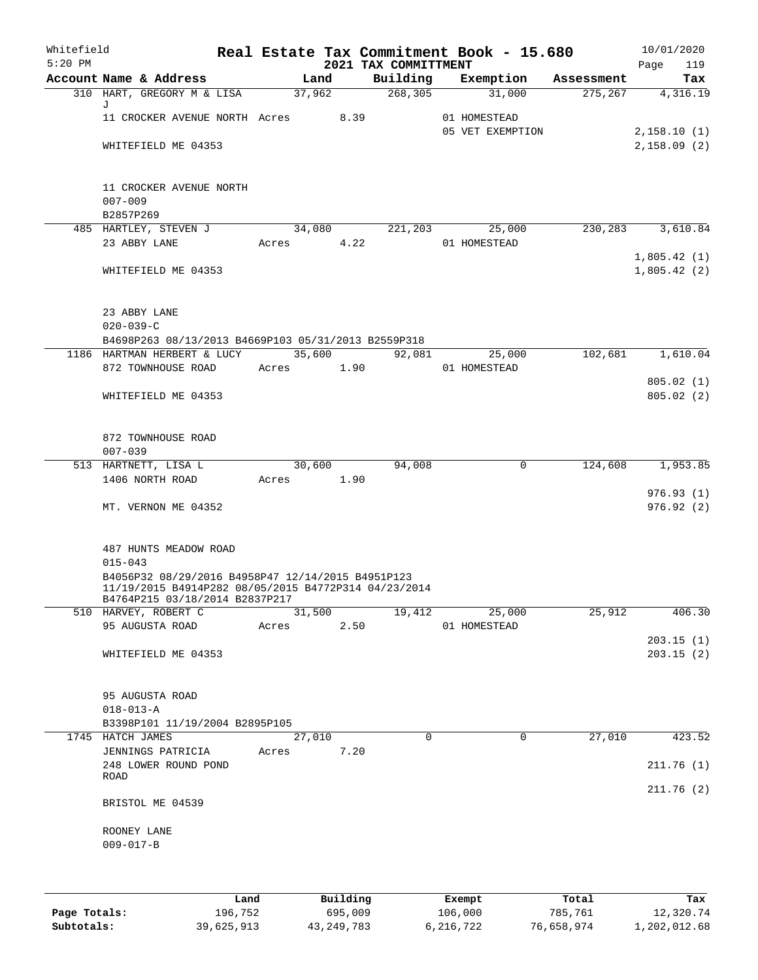| Whitefield<br>$5:20$ PM |                                                                                                           |       |                 |      | 2021 TAX COMMITTMENT | Real Estate Tax Commitment Book - 15.680 |            | Page        | 10/01/2020<br>119      |
|-------------------------|-----------------------------------------------------------------------------------------------------------|-------|-----------------|------|----------------------|------------------------------------------|------------|-------------|------------------------|
|                         | Account Name & Address                                                                                    |       | Land            |      | Building             | Exemption                                | Assessment |             | Tax                    |
|                         | 310 HART, GREGORY M & LISA                                                                                |       | 37,962          |      | 268, 305             | 31,000                                   | 275, 267   |             | 4,316.19               |
|                         | J<br>11 CROCKER AVENUE NORTH Acres                                                                        |       |                 | 8.39 |                      | 01 HOMESTEAD                             |            |             |                        |
|                         |                                                                                                           |       |                 |      |                      | 05 VET EXEMPTION                         |            | 2,158.10(1) |                        |
|                         | WHITEFIELD ME 04353                                                                                       |       |                 |      |                      |                                          |            | 2,158.09(2) |                        |
|                         |                                                                                                           |       |                 |      |                      |                                          |            |             |                        |
|                         |                                                                                                           |       |                 |      |                      |                                          |            |             |                        |
|                         | 11 CROCKER AVENUE NORTH                                                                                   |       |                 |      |                      |                                          |            |             |                        |
|                         | $007 - 009$                                                                                               |       |                 |      |                      |                                          |            |             |                        |
|                         | B2857P269<br>485 HARTLEY, STEVEN J                                                                        |       |                 |      |                      |                                          | 230,283    |             | 3,610.84               |
|                         | 23 ABBY LANE                                                                                              |       | 34,080<br>Acres | 4.22 | 221,203              | 25,000<br>01 HOMESTEAD                   |            |             |                        |
|                         |                                                                                                           |       |                 |      |                      |                                          |            | 1,805.42(1) |                        |
|                         | WHITEFIELD ME 04353                                                                                       |       |                 |      |                      |                                          |            | 1,805.42(2) |                        |
|                         |                                                                                                           |       |                 |      |                      |                                          |            |             |                        |
|                         |                                                                                                           |       |                 |      |                      |                                          |            |             |                        |
|                         | 23 ABBY LANE                                                                                              |       |                 |      |                      |                                          |            |             |                        |
|                         | $020 - 039 - C$                                                                                           |       |                 |      |                      |                                          |            |             |                        |
|                         | B4698P263 08/13/2013 B4669P103 05/31/2013 B2559P318<br>1186 HARTMAN HERBERT & LUCY                        |       | 35,600          |      | 92,081               | 25,000                                   | 102,681    |             | 1,610.04               |
|                         | 872 TOWNHOUSE ROAD                                                                                        |       | Acres 1.90      |      |                      | 01 HOMESTEAD                             |            |             |                        |
|                         |                                                                                                           |       |                 |      |                      |                                          |            |             | 805.02(1)              |
|                         | WHITEFIELD ME 04353                                                                                       |       |                 |      |                      |                                          |            |             | 805.02(2)              |
|                         |                                                                                                           |       |                 |      |                      |                                          |            |             |                        |
|                         |                                                                                                           |       |                 |      |                      |                                          |            |             |                        |
|                         | 872 TOWNHOUSE ROAD                                                                                        |       |                 |      |                      |                                          |            |             |                        |
|                         | $007 - 039$                                                                                               |       |                 |      |                      |                                          |            |             |                        |
|                         | 513 HARTNETT, LISA L<br>1406 NORTH ROAD                                                                   | Acres | 30,600<br>1.90  |      | 94,008               | 0                                        | 124,608    |             | 1,953.85               |
|                         |                                                                                                           |       |                 |      |                      |                                          |            |             | 976.93(1)              |
|                         | MT. VERNON ME 04352                                                                                       |       |                 |      |                      |                                          |            |             | 976.92(2)              |
|                         |                                                                                                           |       |                 |      |                      |                                          |            |             |                        |
|                         |                                                                                                           |       |                 |      |                      |                                          |            |             |                        |
|                         | 487 HUNTS MEADOW ROAD                                                                                     |       |                 |      |                      |                                          |            |             |                        |
|                         | $015 - 043$                                                                                               |       |                 |      |                      |                                          |            |             |                        |
|                         | B4056P32 08/29/2016 B4958P47 12/14/2015 B4951P123<br>11/19/2015 B4914P282 08/05/2015 B4772P314 04/23/2014 |       |                 |      |                      |                                          |            |             |                        |
|                         | B4764P215 03/18/2014 B2837P217                                                                            |       |                 |      |                      |                                          |            |             |                        |
|                         | 510 HARVEY, ROBERT C                                                                                      |       | 31,500          |      | 19,412               | 25,000                                   | 25,912     |             | 406.30                 |
|                         | 95 AUGUSTA ROAD                                                                                           | Acres |                 | 2.50 |                      | 01 HOMESTEAD                             |            |             |                        |
|                         | WHITEFIELD ME 04353                                                                                       |       |                 |      |                      |                                          |            |             | 203.15(1)<br>203.15(2) |
|                         |                                                                                                           |       |                 |      |                      |                                          |            |             |                        |
|                         |                                                                                                           |       |                 |      |                      |                                          |            |             |                        |
|                         | 95 AUGUSTA ROAD                                                                                           |       |                 |      |                      |                                          |            |             |                        |
|                         | $018 - 013 - A$                                                                                           |       |                 |      |                      |                                          |            |             |                        |
|                         | B3398P101 11/19/2004 B2895P105                                                                            |       |                 |      |                      |                                          |            |             |                        |
|                         | 1745 HATCH JAMES                                                                                          |       | 27,010          | 7.20 | 0                    | $\mathbf 0$                              | 27,010     |             | 423.52                 |
|                         | JENNINGS PATRICIA<br>248 LOWER ROUND POND                                                                 | Acres |                 |      |                      |                                          |            |             | 211.76(1)              |
|                         | ROAD                                                                                                      |       |                 |      |                      |                                          |            |             |                        |
|                         |                                                                                                           |       |                 |      |                      |                                          |            |             | 211.76(2)              |
|                         | BRISTOL ME 04539                                                                                          |       |                 |      |                      |                                          |            |             |                        |
|                         | ROONEY LANE                                                                                               |       |                 |      |                      |                                          |            |             |                        |
|                         | $009 - 017 - B$                                                                                           |       |                 |      |                      |                                          |            |             |                        |
|                         |                                                                                                           |       |                 |      |                      |                                          |            |             |                        |
|                         |                                                                                                           |       |                 |      |                      |                                          |            |             |                        |
|                         |                                                                                                           |       |                 |      |                      |                                          |            |             |                        |

|              | Land       | Building     | Exempt    | Total      | Tax          |
|--------------|------------|--------------|-----------|------------|--------------|
| Page Totals: | 196,752    | 695,009      | 106,000   | 785,761    | 12,320.74    |
| Subtotals:   | 39,625,913 | 43, 249, 783 | 6,216,722 | 76,658,974 | 1,202,012.68 |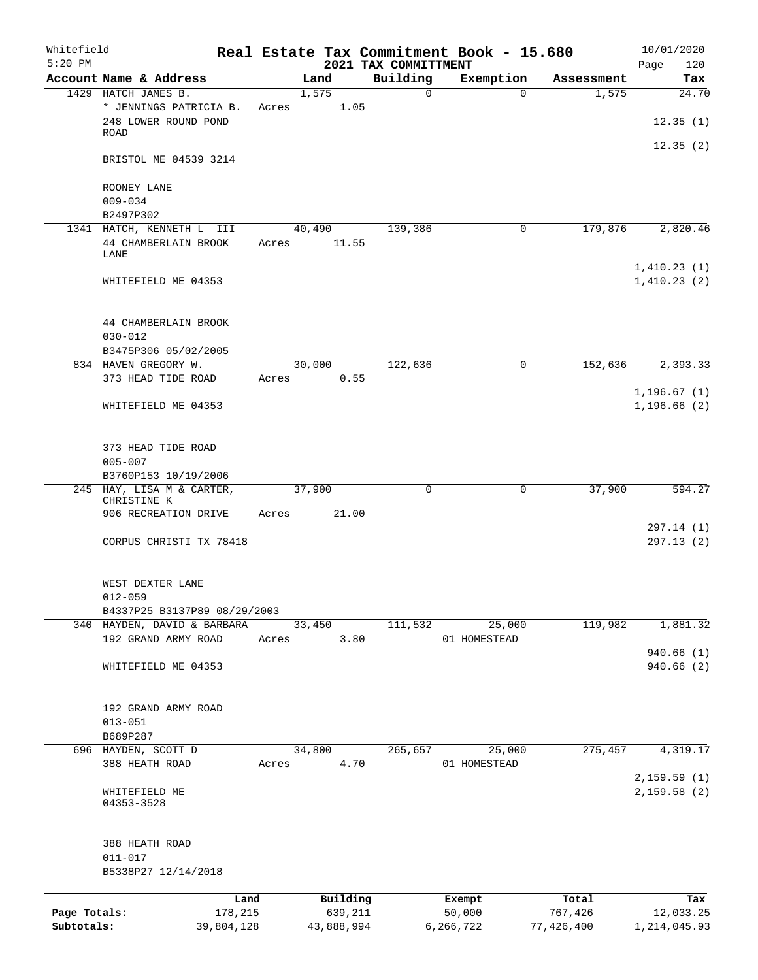| Whitefield<br>$5:20$ PM |                                                |            |        |            |      | 2021 TAX COMMITTMENT | Real Estate Tax Commitment Book - 15.680 |             |            | 10/01/2020<br>Page<br>120 |
|-------------------------|------------------------------------------------|------------|--------|------------|------|----------------------|------------------------------------------|-------------|------------|---------------------------|
|                         | Account Name & Address                         |            |        | Land       |      | Building             | Exemption                                |             | Assessment | Tax                       |
|                         | 1429 HATCH JAMES B.                            |            |        | 1,575      |      | $\mathbf 0$          |                                          | $\Omega$    | 1,575      | $\overline{24.70}$        |
|                         | * JENNINGS PATRICIA B.<br>248 LOWER ROUND POND |            | Acres  |            | 1.05 |                      |                                          |             |            | 12.35(1)                  |
|                         | ROAD                                           |            |        |            |      |                      |                                          |             |            | 12.35(2)                  |
|                         | BRISTOL ME 04539 3214                          |            |        |            |      |                      |                                          |             |            |                           |
|                         | ROONEY LANE<br>$009 - 034$                     |            |        |            |      |                      |                                          |             |            |                           |
|                         | B2497P302                                      |            |        |            |      |                      |                                          |             |            |                           |
|                         | 1341 HATCH, KENNETH L III                      |            |        | 40,490     |      | 139,386              |                                          | 0           | 179,876    | 2,820.46                  |
|                         | 44 CHAMBERLAIN BROOK<br>LANE                   |            | Acres  | 11.55      |      |                      |                                          |             |            | 1,410.23(1)               |
|                         | WHITEFIELD ME 04353                            |            |        |            |      |                      |                                          |             |            | 1,410.23(2)               |
|                         | 44 CHAMBERLAIN BROOK                           |            |        |            |      |                      |                                          |             |            |                           |
|                         | $030 - 012$                                    |            |        |            |      |                      |                                          |             |            |                           |
|                         | B3475P306 05/02/2005<br>834 HAVEN GREGORY W.   |            |        |            |      |                      |                                          | $\mathbf 0$ |            |                           |
|                         | 373 HEAD TIDE ROAD                             |            | Acres  | 30,000     | 0.55 | 122,636              |                                          |             | 152,636    | 2,393.33                  |
|                         |                                                |            |        |            |      |                      |                                          |             |            | 1,196.67(1)               |
|                         | WHITEFIELD ME 04353                            |            |        |            |      |                      |                                          |             |            | 1, 196.66(2)              |
|                         | 373 HEAD TIDE ROAD                             |            |        |            |      |                      |                                          |             |            |                           |
|                         | $005 - 007$                                    |            |        |            |      |                      |                                          |             |            |                           |
|                         | B3760P153 10/19/2006                           |            |        |            |      |                      |                                          |             |            |                           |
|                         | 245 HAY, LISA M & CARTER,<br>CHRISTINE K       |            | 37,900 |            |      | $\mathbf 0$          |                                          | 0           | 37,900     | 594.27                    |
|                         | 906 RECREATION DRIVE                           |            | Acres  | 21.00      |      |                      |                                          |             |            |                           |
|                         |                                                |            |        |            |      |                      |                                          |             |            | 297.14 (1)                |
|                         | CORPUS CHRISTI TX 78418                        |            |        |            |      |                      |                                          |             |            | 297.13(2)                 |
|                         | WEST DEXTER LANE                               |            |        |            |      |                      |                                          |             |            |                           |
|                         | $012 - 059$<br>B4337P25 B3137P89 08/29/2003    |            |        |            |      |                      |                                          |             |            |                           |
|                         | 340 HAYDEN, DAVID & BARBARA                    |            |        | 33,450     |      | 111,532              | 25,000                                   |             | 119,982    | 1,881.32                  |
|                         | 192 GRAND ARMY ROAD                            |            | Acres  |            | 3.80 |                      | 01 HOMESTEAD                             |             |            |                           |
|                         |                                                |            |        |            |      |                      |                                          |             |            | 940.66(1)                 |
|                         | WHITEFIELD ME 04353                            |            |        |            |      |                      |                                          |             |            | 940.66 (2)                |
|                         | 192 GRAND ARMY ROAD                            |            |        |            |      |                      |                                          |             |            |                           |
|                         | $013 - 051$                                    |            |        |            |      |                      |                                          |             |            |                           |
|                         | B689P287                                       |            |        |            |      |                      |                                          |             |            |                           |
|                         | 696 HAYDEN, SCOTT D                            |            |        | 34,800     |      | 265,657              | 25,000                                   |             | 275,457    | 4,319.17                  |
|                         | 388 HEATH ROAD                                 |            | Acres  |            | 4.70 |                      | 01 HOMESTEAD                             |             |            | 2,159.59(1)               |
|                         | WHITEFIELD ME<br>04353-3528                    |            |        |            |      |                      |                                          |             |            | 2,159.58(2)               |
|                         | 388 HEATH ROAD<br>$011 - 017$                  |            |        |            |      |                      |                                          |             |            |                           |
|                         | B5338P27 12/14/2018                            |            |        |            |      |                      |                                          |             |            |                           |
|                         |                                                | Land       |        | Building   |      |                      | Exempt                                   |             | Total      | Tax                       |
| Page Totals:            |                                                | 178,215    |        | 639,211    |      |                      | 50,000                                   |             | 767,426    | 12,033.25                 |
| Subtotals:              |                                                | 39,804,128 |        | 43,888,994 |      |                      | 6,266,722                                |             | 77,426,400 | 1, 214, 045.93            |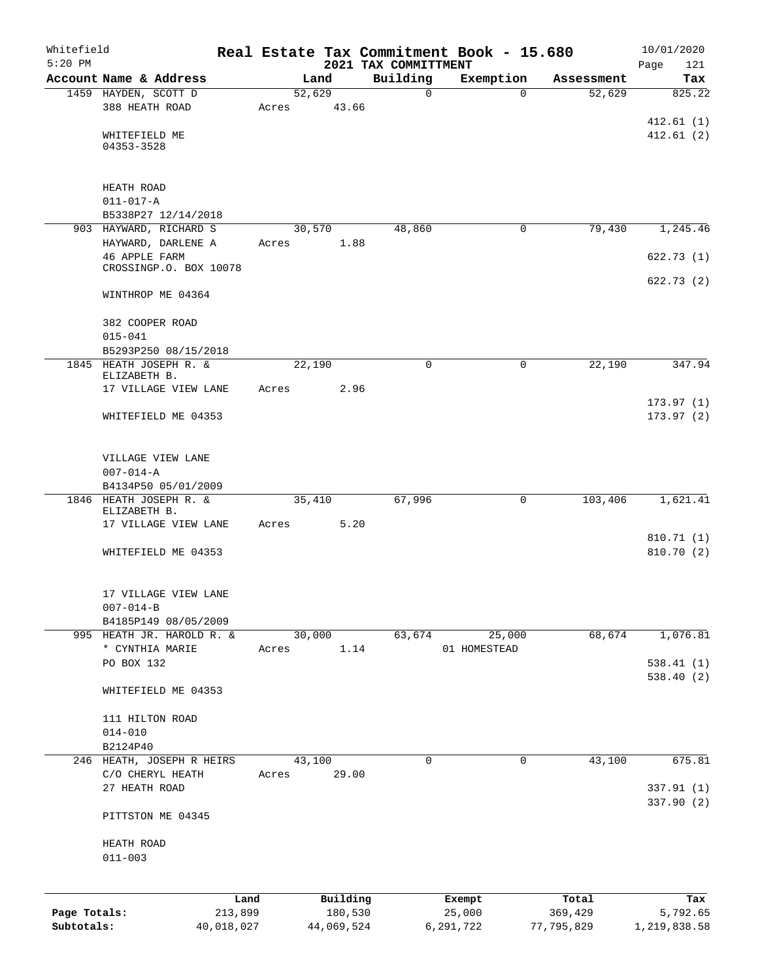| Whitefield   |                                                |            |       |                |            |                      |              | Real Estate Tax Commitment Book - 15.680 |                      | 10/01/2020    |
|--------------|------------------------------------------------|------------|-------|----------------|------------|----------------------|--------------|------------------------------------------|----------------------|---------------|
| $5:20$ PM    |                                                |            |       |                |            | 2021 TAX COMMITTMENT |              |                                          |                      | 121<br>Page   |
|              | Account Name & Address<br>1459 HAYDEN, SCOTT D |            |       | Land<br>52,629 |            | Building             | $\mathsf{O}$ | Exemption<br>$\Omega$                    | Assessment<br>52,629 | Tax<br>825.22 |
|              | 388 HEATH ROAD                                 |            | Acres |                | 43.66      |                      |              |                                          |                      |               |
|              |                                                |            |       |                |            |                      |              |                                          |                      | 412.61(1)     |
|              | WHITEFIELD ME                                  |            |       |                |            |                      |              |                                          |                      | 412.61(2)     |
|              | 04353-3528                                     |            |       |                |            |                      |              |                                          |                      |               |
|              |                                                |            |       |                |            |                      |              |                                          |                      |               |
|              |                                                |            |       |                |            |                      |              |                                          |                      |               |
|              | HEATH ROAD<br>$011 - 017 - A$                  |            |       |                |            |                      |              |                                          |                      |               |
|              | B5338P27 12/14/2018                            |            |       |                |            |                      |              |                                          |                      |               |
|              | 903 HAYWARD, RICHARD S                         |            |       | 30,570         |            | 48,860               |              | 0                                        | 79,430               | 1,245.46      |
|              | HAYWARD, DARLENE A                             |            | Acres |                | 1.88       |                      |              |                                          |                      |               |
|              | <b>46 APPLE FARM</b>                           |            |       |                |            |                      |              |                                          |                      | 622.73(1)     |
|              | CROSSINGP.O. BOX 10078                         |            |       |                |            |                      |              |                                          |                      |               |
|              | WINTHROP ME 04364                              |            |       |                |            |                      |              |                                          |                      | 622.73(2)     |
|              |                                                |            |       |                |            |                      |              |                                          |                      |               |
|              | 382 COOPER ROAD                                |            |       |                |            |                      |              |                                          |                      |               |
|              | $015 - 041$                                    |            |       |                |            |                      |              |                                          |                      |               |
|              | B5293P250 08/15/2018                           |            |       |                |            |                      |              |                                          |                      | 347.94        |
|              | 1845 HEATH JOSEPH R. &<br>ELIZABETH B.         |            |       | 22,190         |            |                      | 0            | 0                                        | 22,190               |               |
|              | 17 VILLAGE VIEW LANE                           |            | Acres |                | 2.96       |                      |              |                                          |                      |               |
|              |                                                |            |       |                |            |                      |              |                                          |                      | 173.97(1)     |
|              | WHITEFIELD ME 04353                            |            |       |                |            |                      |              |                                          |                      | 173.97(2)     |
|              |                                                |            |       |                |            |                      |              |                                          |                      |               |
|              | VILLAGE VIEW LANE                              |            |       |                |            |                      |              |                                          |                      |               |
|              | $007 - 014 - A$                                |            |       |                |            |                      |              |                                          |                      |               |
|              | B4134P50 05/01/2009                            |            |       |                |            |                      |              |                                          |                      |               |
|              | 1846 HEATH JOSEPH R. &                         |            |       | 35,410         |            | 67,996               |              | 0                                        | 103,406              | 1,621.41      |
|              | ELIZABETH B.                                   |            |       |                | 5.20       |                      |              |                                          |                      |               |
|              | 17 VILLAGE VIEW LANE                           |            | Acres |                |            |                      |              |                                          |                      | 810.71(1)     |
|              | WHITEFIELD ME 04353                            |            |       |                |            |                      |              |                                          |                      | 810.70(2)     |
|              |                                                |            |       |                |            |                      |              |                                          |                      |               |
|              |                                                |            |       |                |            |                      |              |                                          |                      |               |
|              | 17 VILLAGE VIEW LANE<br>$007 - 014 - B$        |            |       |                |            |                      |              |                                          |                      |               |
|              | B4185P149 08/05/2009                           |            |       |                |            |                      |              |                                          |                      |               |
|              | 995 HEATH JR. HAROLD R. &                      |            |       | 30,000         |            | 63,674               |              | 25,000                                   | 68,674               | 1,076.81      |
|              | * CYNTHIA MARIE                                |            | Acres |                | 1.14       |                      |              | 01 HOMESTEAD                             |                      |               |
|              | PO BOX 132                                     |            |       |                |            |                      |              |                                          |                      | 538.41(1)     |
|              |                                                |            |       |                |            |                      |              |                                          |                      | 538.40(2)     |
|              | WHITEFIELD ME 04353                            |            |       |                |            |                      |              |                                          |                      |               |
|              | 111 HILTON ROAD                                |            |       |                |            |                      |              |                                          |                      |               |
|              | $014 - 010$                                    |            |       |                |            |                      |              |                                          |                      |               |
|              | B2124P40                                       |            |       |                |            |                      |              |                                          |                      |               |
| 246          | HEATH, JOSEPH R HEIRS                          |            |       | 43,100         |            |                      | 0            | $\mathbf 0$                              | 43,100               | 675.81        |
|              | C/O CHERYL HEATH                               |            | Acres |                | 29.00      |                      |              |                                          |                      |               |
|              | 27 HEATH ROAD                                  |            |       |                |            |                      |              |                                          |                      | 337.91 (1)    |
|              | PITTSTON ME 04345                              |            |       |                |            |                      |              |                                          |                      | 337.90 (2)    |
|              |                                                |            |       |                |            |                      |              |                                          |                      |               |
|              | HEATH ROAD                                     |            |       |                |            |                      |              |                                          |                      |               |
|              | $011 - 003$                                    |            |       |                |            |                      |              |                                          |                      |               |
|              |                                                |            |       |                |            |                      |              |                                          |                      |               |
|              |                                                | Land       |       |                | Building   |                      |              | Exempt                                   | Total                | Tax           |
| Page Totals: |                                                | 213,899    |       |                | 180,530    |                      |              | 25,000                                   | 369,429              | 5,792.65      |
| Subtotals:   |                                                | 40,018,027 |       |                | 44,069,524 |                      |              | 6,291,722                                | 77,795,829           | 1,219,838.58  |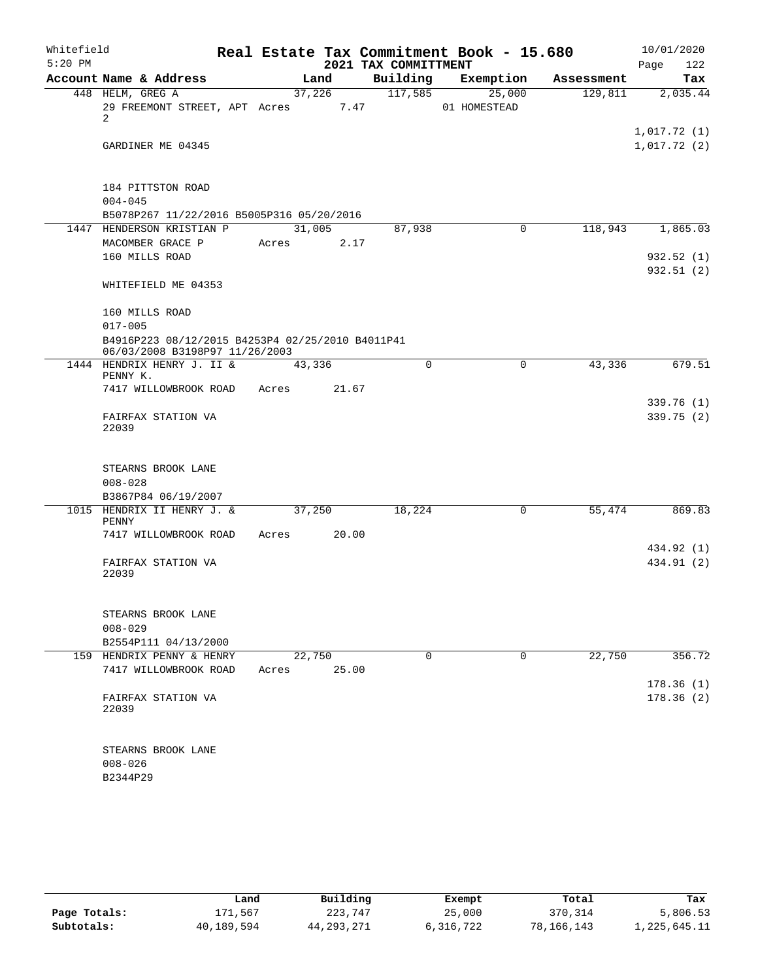| Whitefield<br>$5:20$ PM |                                                                                    |        |       |                                  | Real Estate Tax Commitment Book - 15.680 |            | 10/01/2020         |
|-------------------------|------------------------------------------------------------------------------------|--------|-------|----------------------------------|------------------------------------------|------------|--------------------|
|                         | Account Name & Address                                                             |        | Land  | 2021 TAX COMMITTMENT<br>Building | Exemption                                | Assessment | 122<br>Page<br>Tax |
|                         | 448 HELM, GREG A                                                                   | 37,226 |       | 117,585                          | 25,000                                   | 129,811    | 2,035.44           |
|                         | 29 FREEMONT STREET, APT Acres 7.47                                                 |        |       |                                  | 01 HOMESTEAD                             |            |                    |
|                         | $\overline{2}$                                                                     |        |       |                                  |                                          |            | 1,017.72(1)        |
|                         | GARDINER ME 04345                                                                  |        |       |                                  |                                          |            | 1,017.72(2)        |
|                         |                                                                                    |        |       |                                  |                                          |            |                    |
|                         | 184 PITTSTON ROAD                                                                  |        |       |                                  |                                          |            |                    |
|                         | $004 - 045$                                                                        |        |       |                                  |                                          |            |                    |
|                         | B5078P267 11/22/2016 B5005P316 05/20/2016                                          |        |       |                                  |                                          |            |                    |
|                         | 1447 HENDERSON KRISTIAN P                                                          | 31,005 |       | 87,938                           | $\Omega$                                 | 118,943    | 1,865.03           |
|                         | MACOMBER GRACE P<br>160 MILLS ROAD                                                 | Acres  | 2.17  |                                  |                                          |            | 932.52(1)          |
|                         |                                                                                    |        |       |                                  |                                          |            | 932.51(2)          |
|                         | WHITEFIELD ME 04353                                                                |        |       |                                  |                                          |            |                    |
|                         | 160 MILLS ROAD                                                                     |        |       |                                  |                                          |            |                    |
|                         | $017 - 005$                                                                        |        |       |                                  |                                          |            |                    |
|                         | B4916P223 08/12/2015 B4253P4 02/25/2010 B4011P41<br>06/03/2008 B3198P97 11/26/2003 |        |       |                                  |                                          |            |                    |
|                         | 1444 HENDRIX HENRY J. II &<br>PENNY K.                                             | 43,336 |       | $\Omega$                         | $\Omega$                                 | 43,336     | 679.51             |
|                         | 7417 WILLOWBROOK ROAD                                                              | Acres  | 21.67 |                                  |                                          |            |                    |
|                         |                                                                                    |        |       |                                  |                                          |            | 339.76 (1)         |
|                         | FAIRFAX STATION VA                                                                 |        |       |                                  |                                          |            | 339.75(2)          |
|                         | 22039                                                                              |        |       |                                  |                                          |            |                    |
|                         | STEARNS BROOK LANE                                                                 |        |       |                                  |                                          |            |                    |
|                         | $008 - 028$                                                                        |        |       |                                  |                                          |            |                    |
|                         | B3867P84 06/19/2007                                                                |        |       |                                  |                                          |            |                    |
|                         | 1015 HENDRIX II HENRY J. &<br>PENNY                                                | 37,250 |       | 18,224                           | 0                                        | 55,474     | 869.83             |
|                         | 7417 WILLOWBROOK ROAD                                                              | Acres  | 20.00 |                                  |                                          |            |                    |
|                         |                                                                                    |        |       |                                  |                                          |            | 434.92 (1)         |
|                         | FAIRFAX STATION VA<br>22039                                                        |        |       |                                  |                                          |            | 434.91 (2)         |
|                         |                                                                                    |        |       |                                  |                                          |            |                    |
|                         | STEARNS BROOK LANE                                                                 |        |       |                                  |                                          |            |                    |
|                         | $008 - 029$                                                                        |        |       |                                  |                                          |            |                    |
|                         | B2554P111 04/13/2000                                                               |        |       |                                  |                                          |            |                    |
|                         | 159 HENDRIX PENNY & HENRY                                                          | 22,750 |       | $\Omega$                         | 0                                        | 22,750     | 356.72             |
|                         | 7417 WILLOWBROOK ROAD                                                              | Acres  | 25.00 |                                  |                                          |            |                    |
|                         |                                                                                    |        |       |                                  |                                          |            | 178.36(1)          |
|                         | FAIRFAX STATION VA<br>22039                                                        |        |       |                                  |                                          |            | 178.36(2)          |
|                         |                                                                                    |        |       |                                  |                                          |            |                    |
|                         | STEARNS BROOK LANE                                                                 |        |       |                                  |                                          |            |                    |
|                         | $008 - 026$                                                                        |        |       |                                  |                                          |            |                    |
|                         | B2344P29                                                                           |        |       |                                  |                                          |            |                    |

|              | Land       | Building   | Exempt    | Total      | Tax          |
|--------------|------------|------------|-----------|------------|--------------|
| Page Totals: | 171.567    | 223,747    | 25,000    | 370,314    | 5,806.53     |
| Subtotals:   | 40,189,594 | 44,293,271 | 6,316,722 | 78,166,143 | 1,225,645.11 |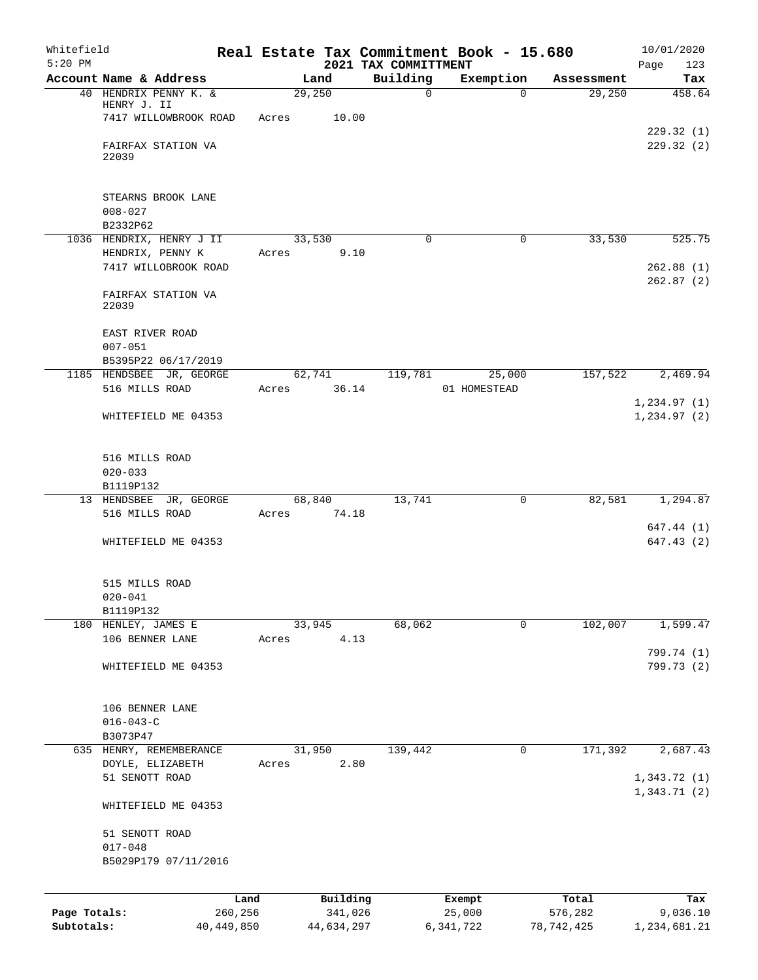| Whitefield   |                                            |              |       |                 |                                  | Real Estate Tax Commitment Book - 15.680 |             |            | 10/01/2020               |
|--------------|--------------------------------------------|--------------|-------|-----------------|----------------------------------|------------------------------------------|-------------|------------|--------------------------|
| $5:20$ PM    | Account Name & Address                     |              |       | Land            | 2021 TAX COMMITTMENT<br>Building | Exemption                                |             | Assessment | Page<br>123<br>Tax       |
|              | 40 HENDRIX PENNY K. &                      |              |       | 29,250          |                                  | $\mathbf 0$                              | $\Omega$    | 29,250     | 458.64                   |
|              | HENRY J. II                                |              |       |                 |                                  |                                          |             |            |                          |
|              | 7417 WILLOWBROOK ROAD                      |              | Acres | 10.00           |                                  |                                          |             |            |                          |
|              | FAIRFAX STATION VA                         |              |       |                 |                                  |                                          |             |            | 229.32(1)<br>229.32 (2)  |
|              | 22039                                      |              |       |                 |                                  |                                          |             |            |                          |
|              |                                            |              |       |                 |                                  |                                          |             |            |                          |
|              | STEARNS BROOK LANE<br>$008 - 027$          |              |       |                 |                                  |                                          |             |            |                          |
|              | B2332P62                                   |              |       |                 |                                  |                                          |             |            |                          |
|              | 1036 HENDRIX, HENRY J II                   |              |       | 33,530          |                                  | 0                                        | 0           | 33,530     | 525.75                   |
|              | HENDRIX, PENNY K                           |              | Acres | 9.10            |                                  |                                          |             |            |                          |
|              | 7417 WILLOBROOK ROAD                       |              |       |                 |                                  |                                          |             |            | 262.88(1)                |
|              | FAIRFAX STATION VA<br>22039                |              |       |                 |                                  |                                          |             |            | 262.87(2)                |
|              | EAST RIVER ROAD                            |              |       |                 |                                  |                                          |             |            |                          |
|              | $007 - 051$                                |              |       |                 |                                  |                                          |             |            |                          |
|              | B5395P22 06/17/2019                        |              |       |                 |                                  |                                          |             |            |                          |
|              | 1185 HENDSBEE JR, GEORGE<br>516 MILLS ROAD |              | Acres | 62,741<br>36.14 | 119,781                          | 25,000<br>01 HOMESTEAD                   |             | 157,522    | 2,469.94                 |
|              |                                            |              |       |                 |                                  |                                          |             |            | 1, 234.97(1)             |
|              | WHITEFIELD ME 04353                        |              |       |                 |                                  |                                          |             |            | 1, 234.97(2)             |
|              | 516 MILLS ROAD                             |              |       |                 |                                  |                                          |             |            |                          |
|              | $020 - 033$                                |              |       |                 |                                  |                                          |             |            |                          |
|              | B1119P132                                  |              |       |                 |                                  |                                          |             |            |                          |
|              | 13 HENDSBEE JR, GEORGE                     |              |       | 68,840          | 13,741                           |                                          | $\mathbf 0$ | 82,581     | 1,294.87                 |
|              | 516 MILLS ROAD                             |              | Acres | 74.18           |                                  |                                          |             |            |                          |
|              | WHITEFIELD ME 04353                        |              |       |                 |                                  |                                          |             |            | 647.44 (1)<br>647.43(2)  |
|              | 515 MILLS ROAD                             |              |       |                 |                                  |                                          |             |            |                          |
|              | $020 - 041$                                |              |       |                 |                                  |                                          |             |            |                          |
|              | B1119P132                                  |              |       |                 |                                  |                                          |             |            |                          |
|              | 180 HENLEY, JAMES E                        |              |       | 33,945          | 68,062                           |                                          | $\mathbf 0$ | 102,007    | 1,599.47                 |
|              | 106 BENNER LANE                            |              | Acres | 4.13            |                                  |                                          |             |            |                          |
|              | WHITEFIELD ME 04353                        |              |       |                 |                                  |                                          |             |            | 799.74 (1)<br>799.73 (2) |
|              | 106 BENNER LANE                            |              |       |                 |                                  |                                          |             |            |                          |
|              | $016 - 043 - C$                            |              |       |                 |                                  |                                          |             |            |                          |
|              | B3073P47                                   |              |       |                 |                                  |                                          |             |            |                          |
|              | 635 HENRY, REMEMBERANCE                    |              |       | 31,950          | 139,442                          |                                          | 0           | 171,392    | 2,687.43                 |
|              | DOYLE, ELIZABETH<br>51 SENOTT ROAD         |              | Acres | 2.80            |                                  |                                          |             |            | 1,343.72(1)              |
|              | WHITEFIELD ME 04353                        |              |       |                 |                                  |                                          |             |            | 1,343.71(2)              |
|              | 51 SENOTT ROAD                             |              |       |                 |                                  |                                          |             |            |                          |
|              | $017 - 048$                                |              |       |                 |                                  |                                          |             |            |                          |
|              | B5029P179 07/11/2016                       |              |       |                 |                                  |                                          |             |            |                          |
|              |                                            | Land         |       | Building        |                                  | Exempt                                   |             | Total      | Tax                      |
| Page Totals: |                                            | 260,256      |       | 341,026         |                                  | 25,000                                   |             | 576,282    | 9,036.10                 |
| Subtotals:   |                                            | 40, 449, 850 |       | 44,634,297      |                                  | 6,341,722                                |             | 78,742,425 | 1,234,681.21             |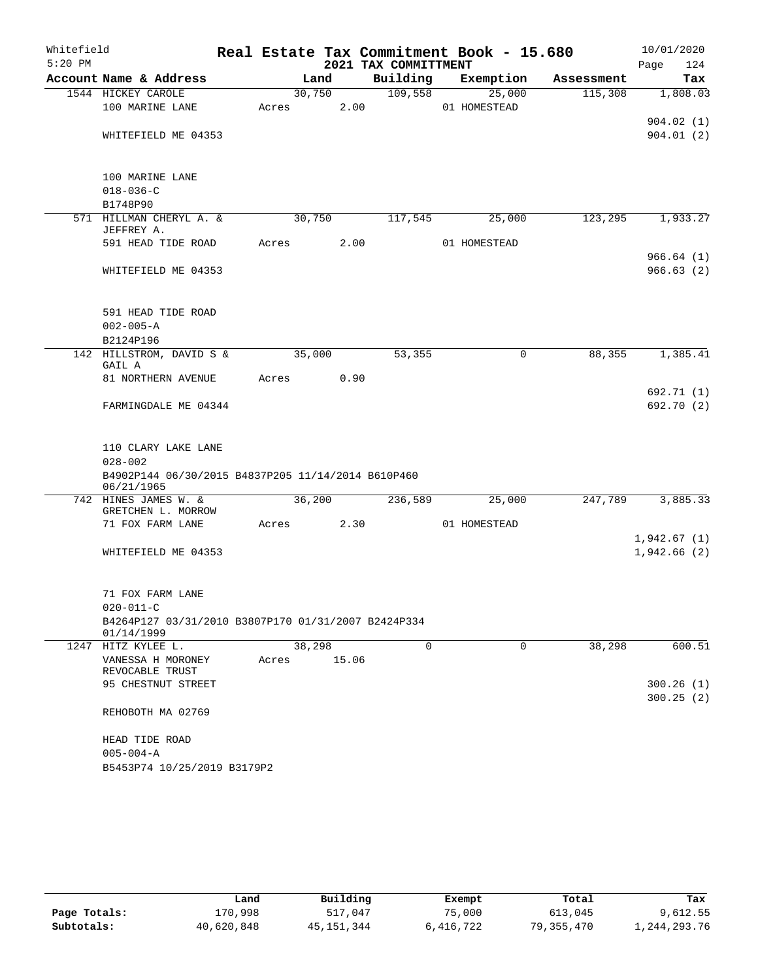| Whitefield |                                                                   |       |        |       |                      |   | Real Estate Tax Commitment Book - 15.680 |            | 10/01/2020               |
|------------|-------------------------------------------------------------------|-------|--------|-------|----------------------|---|------------------------------------------|------------|--------------------------|
| $5:20$ PM  |                                                                   |       |        |       | 2021 TAX COMMITTMENT |   |                                          |            | Page<br>124              |
|            | Account Name & Address                                            |       | Land   |       | Building             |   | Exemption                                | Assessment | Tax                      |
|            | 1544 HICKEY CAROLE                                                |       | 30,750 |       | 109,558              |   | 25,000                                   | 115,308    | 1,808.03                 |
|            | 100 MARINE LANE                                                   | Acres |        | 2.00  |                      |   | 01 HOMESTEAD                             |            | 904.02(1)                |
|            | WHITEFIELD ME 04353                                               |       |        |       |                      |   |                                          |            | 904.01(2)                |
|            |                                                                   |       |        |       |                      |   |                                          |            |                          |
|            | 100 MARINE LANE                                                   |       |        |       |                      |   |                                          |            |                          |
|            | $018 - 036 - C$<br>B1748P90                                       |       |        |       |                      |   |                                          |            |                          |
|            | 571 HILLMAN CHERYL A. &                                           |       | 30,750 |       | 117,545              |   | 25,000                                   | 123,295    | 1,933.27                 |
|            | JEFFREY A.                                                        |       |        |       |                      |   |                                          |            |                          |
|            | 591 HEAD TIDE ROAD                                                | Acres |        | 2.00  |                      |   | 01 HOMESTEAD                             |            |                          |
|            |                                                                   |       |        |       |                      |   |                                          |            | 966.64(1)                |
|            | WHITEFIELD ME 04353                                               |       |        |       |                      |   |                                          |            | 966.63(2)                |
|            | 591 HEAD TIDE ROAD                                                |       |        |       |                      |   |                                          |            |                          |
|            | $002 - 005 - A$                                                   |       |        |       |                      |   |                                          |            |                          |
|            | B2124P196                                                         |       |        |       |                      |   |                                          |            |                          |
|            | 142 HILLSTROM, DAVID S &<br>GAIL A                                |       | 35,000 |       | 53,355               |   | $\mathsf{O}$                             | 88,355     | 1,385.41                 |
|            | 81 NORTHERN AVENUE                                                | Acres |        | 0.90  |                      |   |                                          |            |                          |
|            | FARMINGDALE ME 04344                                              |       |        |       |                      |   |                                          |            | 692.71 (1)<br>692.70 (2) |
|            | 110 CLARY LAKE LANE                                               |       |        |       |                      |   |                                          |            |                          |
|            | $028 - 002$                                                       |       |        |       |                      |   |                                          |            |                          |
|            | B4902P144 06/30/2015 B4837P205 11/14/2014 B610P460<br>06/21/1965  |       |        |       |                      |   |                                          |            |                          |
|            | 742 HINES JAMES W. &                                              |       | 36,200 |       | 236,589              |   | 25,000                                   | 247,789    | 3,885.33                 |
|            | GRETCHEN L. MORROW<br>71 FOX FARM LANE                            | Acres |        | 2.30  |                      |   | 01 HOMESTEAD                             |            |                          |
|            |                                                                   |       |        |       |                      |   |                                          |            | 1,942.67(1)              |
|            | WHITEFIELD ME 04353                                               |       |        |       |                      |   |                                          |            | 1,942.66(2)              |
|            | 71 FOX FARM LANE                                                  |       |        |       |                      |   |                                          |            |                          |
|            | $020 - 011 - C$                                                   |       |        |       |                      |   |                                          |            |                          |
|            | B4264P127 03/31/2010 B3807P170 01/31/2007 B2424P334<br>01/14/1999 |       |        |       |                      |   |                                          |            |                          |
|            | 1247 HITZ KYLEE L.                                                |       | 38,298 |       |                      | 0 | 0                                        | 38,298     | 600.51                   |
|            | VANESSA H MORONEY<br>REVOCABLE TRUST                              | Acres |        | 15.06 |                      |   |                                          |            |                          |
|            | 95 CHESTNUT STREET                                                |       |        |       |                      |   |                                          |            | 300.26(1)                |
|            | REHOBOTH MA 02769                                                 |       |        |       |                      |   |                                          |            | 300.25(2)                |
|            | HEAD TIDE ROAD                                                    |       |        |       |                      |   |                                          |            |                          |
|            | $005 - 004 - A$                                                   |       |        |       |                      |   |                                          |            |                          |
|            | B5453P74 10/25/2019 B3179P2                                       |       |        |       |                      |   |                                          |            |                          |

|              | Land       | Building   | Exempt    | Total      | Tax          |
|--------------|------------|------------|-----------|------------|--------------|
| Page Totals: | 170.998    | 517,047    | 75,000    | 613,045    | 9,612.55     |
| Subtotals:   | 40,620,848 | 45,151,344 | 6,416,722 | 79,355,470 | 1,244,293.76 |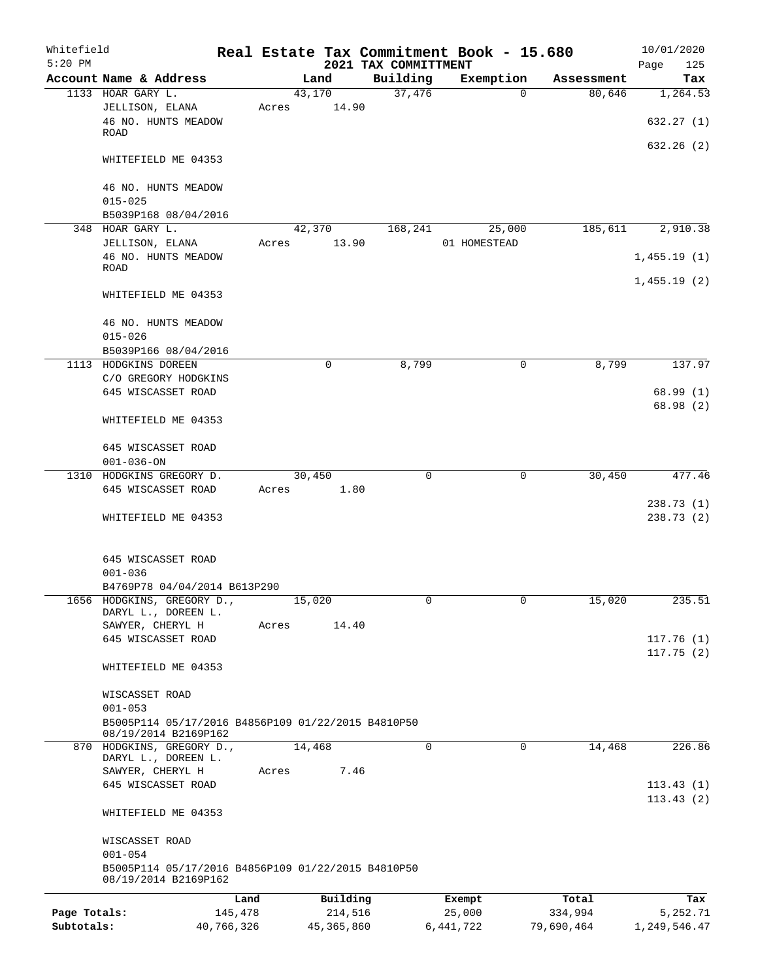| Whitefield<br>$5:20$ PM |                                                                                           |            |       |            | 2021 TAX COMMITTMENT |             | Real Estate Tax Commitment Book - 15.680 |            | 10/01/2020<br>125<br>Page  |
|-------------------------|-------------------------------------------------------------------------------------------|------------|-------|------------|----------------------|-------------|------------------------------------------|------------|----------------------------|
|                         | Account Name & Address                                                                    |            |       | Land       | Building             |             | Exemption                                | Assessment | Tax                        |
|                         | 1133 HOAR GARY L.                                                                         |            |       | 43,170     | 37,476               |             | $\Omega$                                 | 80,646     | 1,264.53                   |
|                         | JELLISON, ELANA<br>46 NO. HUNTS MEADOW                                                    |            | Acres | 14.90      |                      |             |                                          |            | 632.27(1)                  |
|                         | <b>ROAD</b>                                                                               |            |       |            |                      |             |                                          |            |                            |
|                         | WHITEFIELD ME 04353                                                                       |            |       |            |                      |             |                                          |            | 632.26(2)                  |
|                         | 46 NO. HUNTS MEADOW<br>$015 - 025$                                                        |            |       |            |                      |             |                                          |            |                            |
|                         | B5039P168 08/04/2016                                                                      |            |       |            |                      |             |                                          |            |                            |
|                         | 348 HOAR GARY L.                                                                          |            |       | 42,370     | 168,241              |             | 25,000                                   | 185,611    | 2,910.38                   |
|                         | JELLISON, ELANA                                                                           |            | Acres | 13.90      |                      |             | 01 HOMESTEAD                             |            |                            |
|                         | 46 NO. HUNTS MEADOW<br><b>ROAD</b>                                                        |            |       |            |                      |             |                                          |            | 1,455.19(1)<br>1,455.19(2) |
|                         | WHITEFIELD ME 04353                                                                       |            |       |            |                      |             |                                          |            |                            |
|                         | 46 NO. HUNTS MEADOW                                                                       |            |       |            |                      |             |                                          |            |                            |
|                         | $015 - 026$<br>B5039P166 08/04/2016                                                       |            |       |            |                      |             |                                          |            |                            |
|                         | 1113 HODGKINS DOREEN                                                                      |            |       | $\Omega$   | 8,799                |             | $\mathbf 0$                              | 8,799      | 137.97                     |
|                         | C/O GREGORY HODGKINS                                                                      |            |       |            |                      |             |                                          |            |                            |
|                         | 645 WISCASSET ROAD                                                                        |            |       |            |                      |             |                                          |            | 68.99(1)<br>68.98 (2)      |
|                         | WHITEFIELD ME 04353                                                                       |            |       |            |                      |             |                                          |            |                            |
|                         | 645 WISCASSET ROAD<br>$001 - 036 - ON$                                                    |            |       |            |                      |             |                                          |            |                            |
|                         | 1310 HODGKINS GREGORY D.                                                                  |            |       | 30,450     |                      | $\mathbf 0$ | $\mathbf 0$                              | 30,450     | 477.46                     |
|                         | 645 WISCASSET ROAD                                                                        |            | Acres | 1.80       |                      |             |                                          |            |                            |
|                         | WHITEFIELD ME 04353                                                                       |            |       |            |                      |             |                                          |            | 238.73(1)<br>238.73(2)     |
|                         | 645 WISCASSET ROAD                                                                        |            |       |            |                      |             |                                          |            |                            |
|                         | $001 - 036$                                                                               |            |       |            |                      |             |                                          |            |                            |
|                         | B4769P78 04/04/2014 B613P290                                                              |            |       |            |                      |             |                                          |            |                            |
|                         | 1656 HODGKINS, GREGORY D.,<br>DARYL L., DOREEN L.                                         |            |       | 15,020     |                      |             |                                          | 15,020     | 235.51                     |
|                         | SAWYER, CHERYL H                                                                          |            | Acres | 14.40      |                      |             |                                          |            |                            |
|                         | 645 WISCASSET ROAD                                                                        |            |       |            |                      |             |                                          |            | 117.76(1)                  |
|                         |                                                                                           |            |       |            |                      |             |                                          |            | 117.75(2)                  |
|                         | WHITEFIELD ME 04353                                                                       |            |       |            |                      |             |                                          |            |                            |
|                         | WISCASSET ROAD<br>$001 - 053$                                                             |            |       |            |                      |             |                                          |            |                            |
|                         | B5005P114 05/17/2016 B4856P109 01/22/2015 B4810P50                                        |            |       |            |                      |             |                                          |            |                            |
|                         | 08/19/2014 B2169P162                                                                      |            |       |            |                      |             |                                          |            |                            |
|                         | 870 HODGKINS, GREGORY D.,                                                                 |            |       | 14,468     |                      | $\mathbf 0$ | 0                                        | 14,468     | 226.86                     |
|                         | DARYL L., DOREEN L.<br>SAWYER, CHERYL H                                                   |            | Acres | 7.46       |                      |             |                                          |            |                            |
|                         | 645 WISCASSET ROAD                                                                        |            |       |            |                      |             |                                          |            | 113.43(1)                  |
|                         | WHITEFIELD ME 04353                                                                       |            |       |            |                      |             |                                          |            | 113.43(2)                  |
|                         | WISCASSET ROAD                                                                            |            |       |            |                      |             |                                          |            |                            |
|                         | $001 - 054$<br>B5005P114 05/17/2016 B4856P109 01/22/2015 B4810P50<br>08/19/2014 B2169P162 |            |       |            |                      |             |                                          |            |                            |
|                         |                                                                                           | Land       |       | Building   |                      |             | Exempt                                   | Total      | Tax                        |
| Page Totals:            |                                                                                           | 145,478    |       | 214,516    |                      |             | 25,000                                   | 334,994    | 5,252.71                   |
| Subtotals:              |                                                                                           | 40,766,326 |       | 45,365,860 |                      |             | 6, 441, 722                              | 79,690,464 | 1,249,546.47               |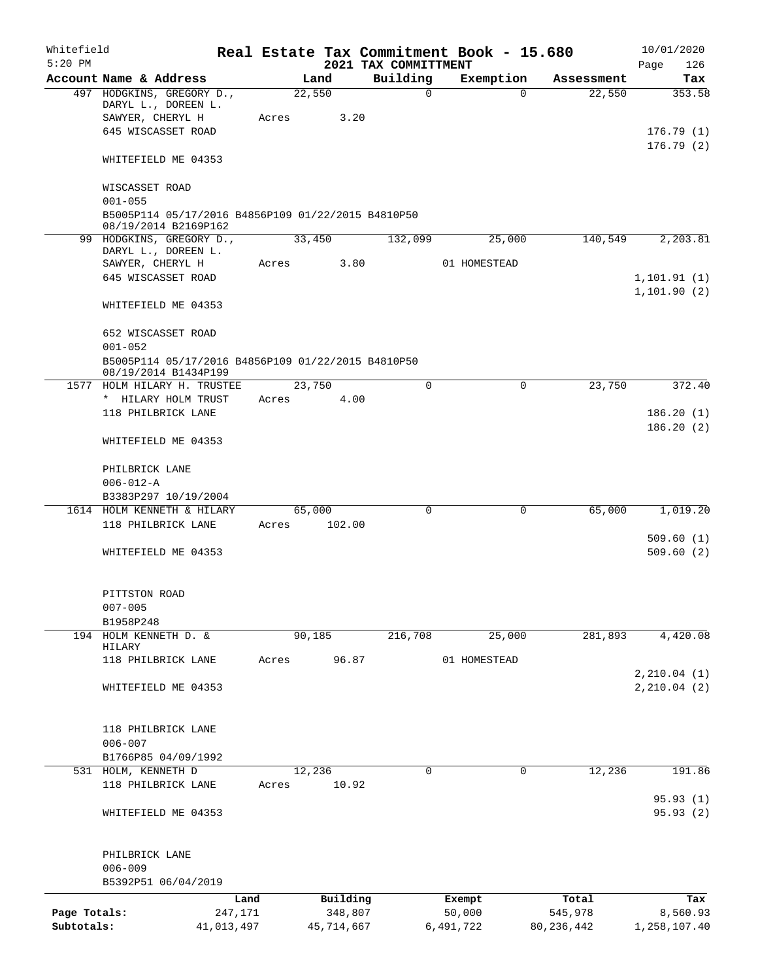| Whitefield<br>$5:20$ PM |                                                                            |            |       |        |            | 2021 TAX COMMITTMENT | Real Estate Tax Commitment Book - 15.680 |          |              | 10/01/2020<br>Page<br>126 |
|-------------------------|----------------------------------------------------------------------------|------------|-------|--------|------------|----------------------|------------------------------------------|----------|--------------|---------------------------|
|                         | Account Name & Address                                                     |            |       | Land   |            | Building             | Exemption                                |          | Assessment   | Tax                       |
|                         | 497 HODGKINS, GREGORY D.,<br>DARYL L., DOREEN L.<br>SAWYER, CHERYL H       |            | Acres | 22,550 | 3.20       | $\mathbf 0$          |                                          | $\Omega$ | 22,550       | 353.58                    |
|                         | 645 WISCASSET ROAD                                                         |            |       |        |            |                      |                                          |          |              | 176.79(1)<br>176.79(2)    |
|                         | WHITEFIELD ME 04353                                                        |            |       |        |            |                      |                                          |          |              |                           |
|                         | WISCASSET ROAD<br>$001 - 055$                                              |            |       |        |            |                      |                                          |          |              |                           |
|                         | B5005P114 05/17/2016 B4856P109 01/22/2015 B4810P50<br>08/19/2014 B2169P162 |            |       |        |            |                      |                                          |          |              |                           |
|                         | 99 HODGKINS, GREGORY D.,<br>DARYL L., DOREEN L.                            |            |       | 33,450 |            | 132,099              | 25,000                                   |          | 140,549      | 2,203.81                  |
|                         | SAWYER, CHERYL H                                                           |            | Acres |        | 3.80       |                      | 01 HOMESTEAD                             |          |              |                           |
|                         | 645 WISCASSET ROAD                                                         |            |       |        |            |                      |                                          |          |              | 1, 101.91(1)              |
|                         | WHITEFIELD ME 04353                                                        |            |       |        |            |                      |                                          |          |              | 1, 101.90(2)              |
|                         | 652 WISCASSET ROAD<br>$001 - 052$                                          |            |       |        |            |                      |                                          |          |              |                           |
|                         | B5005P114 05/17/2016 B4856P109 01/22/2015 B4810P50<br>08/19/2014 B1434P199 |            |       |        |            |                      |                                          |          |              |                           |
|                         | 1577 HOLM HILARY H. TRUSTEE                                                |            |       | 23,750 |            | 0                    |                                          | 0        | 23,750       | 372.40                    |
|                         | * HILARY HOLM TRUST                                                        |            | Acres |        | 4.00       |                      |                                          |          |              |                           |
|                         | 118 PHILBRICK LANE                                                         |            |       |        |            |                      |                                          |          |              | 186.20(1)                 |
|                         | WHITEFIELD ME 04353                                                        |            |       |        |            |                      |                                          |          |              | 186.20(2)                 |
|                         | PHILBRICK LANE                                                             |            |       |        |            |                      |                                          |          |              |                           |
|                         | $006 - 012 - A$                                                            |            |       |        |            |                      |                                          |          |              |                           |
|                         | B3383P297 10/19/2004                                                       |            |       |        |            |                      |                                          |          |              |                           |
|                         | 1614 HOLM KENNETH & HILARY                                                 |            |       | 65,000 |            | $\Omega$             |                                          | 0        | 65,000       | 1,019.20                  |
|                         | 118 PHILBRICK LANE                                                         |            | Acres |        | 102.00     |                      |                                          |          |              | 509.60(1)                 |
|                         | WHITEFIELD ME 04353                                                        |            |       |        |            |                      |                                          |          |              | 509.60(2)                 |
|                         | PITTSTON ROAD<br>$007 - 005$                                               |            |       |        |            |                      |                                          |          |              |                           |
|                         | B1958P248                                                                  |            |       |        |            |                      |                                          |          |              |                           |
| 194                     | HOLM KENNETH D. &<br>HILARY                                                |            |       | 90,185 |            | 216,708              | 25,000                                   |          | 281,893      | 4,420.08                  |
|                         | 118 PHILBRICK LANE                                                         |            | Acres |        | 96.87      |                      | 01 HOMESTEAD                             |          |              |                           |
|                         |                                                                            |            |       |        |            |                      |                                          |          |              | 2, 210.04(1)              |
|                         | WHITEFIELD ME 04353                                                        |            |       |        |            |                      |                                          |          |              | 2, 210.04(2)              |
|                         | 118 PHILBRICK LANE                                                         |            |       |        |            |                      |                                          |          |              |                           |
|                         | $006 - 007$                                                                |            |       |        |            |                      |                                          |          |              |                           |
|                         | B1766P85 04/09/1992                                                        |            |       |        |            |                      |                                          |          |              |                           |
|                         | 531 HOLM, KENNETH D                                                        |            |       | 12,236 |            | $\Omega$             |                                          | 0        | 12,236       | 191.86                    |
|                         | 118 PHILBRICK LANE                                                         |            | Acres |        | 10.92      |                      |                                          |          |              |                           |
|                         | WHITEFIELD ME 04353                                                        |            |       |        |            |                      |                                          |          |              | 95.93 (1)<br>95.93(2)     |
|                         | PHILBRICK LANE<br>$006 - 009$                                              |            |       |        |            |                      |                                          |          |              |                           |
|                         | B5392P51 06/04/2019                                                        |            |       |        |            |                      |                                          |          |              |                           |
|                         |                                                                            | Land       |       |        | Building   |                      | Exempt                                   |          | Total        | Tax                       |
| Page Totals:            |                                                                            | 247,171    |       |        | 348,807    |                      | 50,000                                   |          | 545,978      | 8,560.93                  |
| Subtotals:              |                                                                            | 41,013,497 |       |        | 45,714,667 |                      | 6,491,722                                |          | 80, 236, 442 | 1,258,107.40              |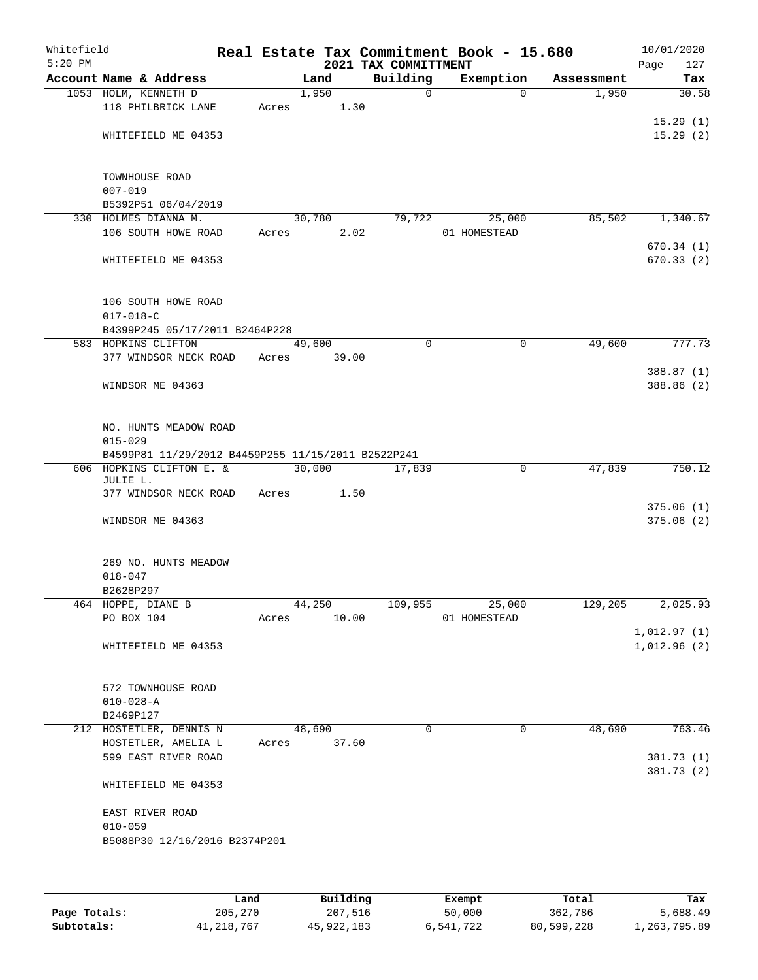| Whitefield<br>$5:20$ PM |                                                    |       |                       |       | 2021 TAX COMMITTMENT | Real Estate Tax Commitment Book - 15.680 |            | 10/01/2020<br>Page<br>127 |
|-------------------------|----------------------------------------------------|-------|-----------------------|-------|----------------------|------------------------------------------|------------|---------------------------|
|                         | Account Name & Address                             |       | Land                  |       | Building             | Exemption                                | Assessment | Tax                       |
|                         | 1053 HOLM, KENNETH D                               |       | 1,950                 |       | $\Omega$             | $\Omega$                                 | 1,950      | 30.58                     |
|                         | 118 PHILBRICK LANE                                 | Acres |                       | 1.30  |                      |                                          |            |                           |
|                         |                                                    |       |                       |       |                      |                                          |            | 15.29(1)                  |
|                         | WHITEFIELD ME 04353                                |       |                       |       |                      |                                          |            | 15.29(2)                  |
|                         |                                                    |       |                       |       |                      |                                          |            |                           |
|                         | TOWNHOUSE ROAD                                     |       |                       |       |                      |                                          |            |                           |
|                         | $007 - 019$                                        |       |                       |       |                      |                                          |            |                           |
|                         | B5392P51 06/04/2019                                |       |                       |       |                      |                                          |            |                           |
|                         | 330 HOLMES DIANNA M.                               |       | 30,780                |       | 79,722               | 25,000                                   | 85,502     | 1,340.67                  |
|                         | 106 SOUTH HOWE ROAD                                | Acres |                       | 2.02  |                      | 01 HOMESTEAD                             |            |                           |
|                         |                                                    |       |                       |       |                      |                                          |            | 670.34(1)                 |
|                         | WHITEFIELD ME 04353                                |       |                       |       |                      |                                          |            | 670.33(2)                 |
|                         |                                                    |       |                       |       |                      |                                          |            |                           |
|                         | 106 SOUTH HOWE ROAD                                |       |                       |       |                      |                                          |            |                           |
|                         | $017 - 018 - C$                                    |       |                       |       |                      |                                          |            |                           |
|                         | B4399P245 05/17/2011 B2464P228                     |       |                       |       |                      |                                          |            |                           |
|                         | 583 HOPKINS CLIFTON                                |       | $\overline{49}$ , 600 |       | $\Omega$             | 0                                        | 49,600     | 777.73                    |
|                         | 377 WINDSOR NECK ROAD                              | Acres |                       | 39.00 |                      |                                          |            |                           |
|                         |                                                    |       |                       |       |                      |                                          |            | 388.87 (1)                |
|                         | WINDSOR ME 04363                                   |       |                       |       |                      |                                          |            | 388.86 (2)                |
|                         |                                                    |       |                       |       |                      |                                          |            |                           |
|                         | NO. HUNTS MEADOW ROAD                              |       |                       |       |                      |                                          |            |                           |
|                         | $015 - 029$                                        |       |                       |       |                      |                                          |            |                           |
|                         | B4599P81 11/29/2012 B4459P255 11/15/2011 B2522P241 |       |                       |       |                      |                                          |            |                           |
|                         | 606 HOPKINS CLIFTON E. &                           |       | 30,000                |       | 17,839               | $\mathbf 0$                              | 47,839     | 750.12                    |
|                         | JULIE L.                                           |       |                       |       |                      |                                          |            |                           |
|                         | 377 WINDSOR NECK ROAD                              | Acres |                       | 1.50  |                      |                                          |            | 375.06(1)                 |
|                         | WINDSOR ME 04363                                   |       |                       |       |                      |                                          |            | 375.06(2)                 |
|                         |                                                    |       |                       |       |                      |                                          |            |                           |
|                         |                                                    |       |                       |       |                      |                                          |            |                           |
|                         | 269 NO. HUNTS MEADOW                               |       |                       |       |                      |                                          |            |                           |
|                         | $018 - 047$                                        |       |                       |       |                      |                                          |            |                           |
|                         | B2628P297                                          |       |                       |       |                      |                                          |            |                           |
|                         | 464 HOPPE, DIANE B<br>PO BOX 104                   | Acres | 44, 250               | 10.00 | 109,955              | 25,000<br>01 HOMESTEAD                   | 129,205    | 2,025.93                  |
|                         |                                                    |       |                       |       |                      |                                          |            | 1,012.97(1)               |
|                         | WHITEFIELD ME 04353                                |       |                       |       |                      |                                          |            | 1,012.96(2)               |
|                         |                                                    |       |                       |       |                      |                                          |            |                           |
|                         |                                                    |       |                       |       |                      |                                          |            |                           |
|                         | 572 TOWNHOUSE ROAD                                 |       |                       |       |                      |                                          |            |                           |
|                         | $010 - 028 - A$                                    |       |                       |       |                      |                                          |            |                           |
|                         | B2469P127<br>212 HOSTETLER, DENNIS N               |       | 48,690                |       | $\Omega$             | 0                                        | 48,690     | 763.46                    |
|                         | HOSTETLER, AMELIA L                                | Acres |                       | 37.60 |                      |                                          |            |                           |
|                         | 599 EAST RIVER ROAD                                |       |                       |       |                      |                                          |            | 381.73 (1)                |
|                         |                                                    |       |                       |       |                      |                                          |            | 381.73 (2)                |
|                         | WHITEFIELD ME 04353                                |       |                       |       |                      |                                          |            |                           |
|                         |                                                    |       |                       |       |                      |                                          |            |                           |
|                         | EAST RIVER ROAD                                    |       |                       |       |                      |                                          |            |                           |
|                         | $010 - 059$                                        |       |                       |       |                      |                                          |            |                           |
|                         | B5088P30 12/16/2016 B2374P201                      |       |                       |       |                      |                                          |            |                           |
|                         |                                                    |       |                       |       |                      |                                          |            |                           |
|                         |                                                    |       |                       |       |                      |                                          |            |                           |
|                         |                                                    |       |                       |       |                      |                                          |            |                           |

|              | Land         | Building   | Exempt    | Total      | Tax          |
|--------------|--------------|------------|-----------|------------|--------------|
| Page Totals: | 205,270      | 207,516    | 50,000    | 362,786    | 5,688.49     |
| Subtotals:   | 41, 218, 767 | 45,922,183 | 6,541,722 | 80,599,228 | 1,263,795.89 |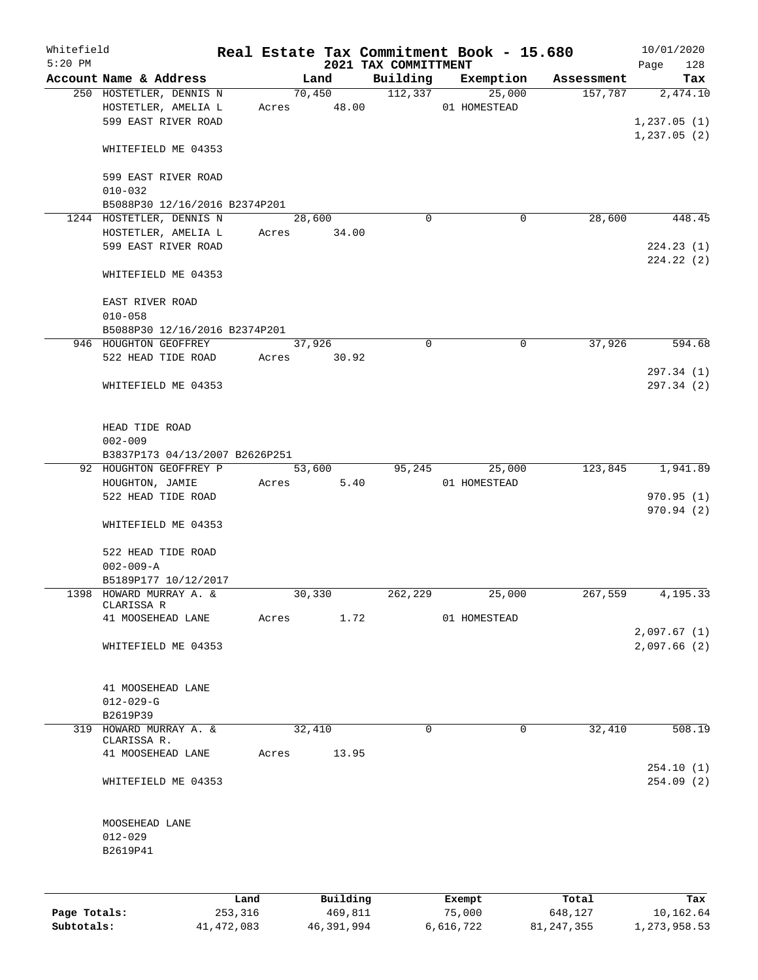| Whitefield<br>$5:20$ PM |                                                                        |         |       |        |                       | Real Estate Tax Commitment Book - 15.680<br>2021 TAX COMMITTMENT |                  |           |            | 10/01/2020<br>Page      | 128       |
|-------------------------|------------------------------------------------------------------------|---------|-------|--------|-----------------------|------------------------------------------------------------------|------------------|-----------|------------|-------------------------|-----------|
|                         | Account Name & Address                                                 |         |       | Land   |                       | Building                                                         |                  | Exemption | Assessment |                         | Tax       |
|                         | 250 HOSTETLER, DENNIS N<br>HOSTETLER, AMELIA L<br>599 EAST RIVER ROAD  |         |       |        | 70,450<br>Acres 48.00 | 112,337                                                          | 01 HOMESTEAD     | 25,000    | 157,787    | 1,237.05(1)             | 2,474.10  |
|                         | WHITEFIELD ME 04353                                                    |         |       |        |                       |                                                                  |                  |           |            | 1,237.05(2)             |           |
|                         | 599 EAST RIVER ROAD<br>$010 - 032$                                     |         |       |        |                       |                                                                  |                  |           |            |                         |           |
|                         | B5088P30 12/16/2016 B2374P201                                          |         |       |        |                       |                                                                  |                  |           |            |                         |           |
|                         | 1244 HOSTETLER, DENNIS N<br>HOSTETLER, AMELIA L<br>599 EAST RIVER ROAD |         | Acres | 28,600 | 34.00                 | $\mathbf 0$                                                      |                  | 0         | 28,600     | 224.23(1)<br>224.22(2)  | 448.45    |
|                         | WHITEFIELD ME 04353                                                    |         |       |        |                       |                                                                  |                  |           |            |                         |           |
|                         | EAST RIVER ROAD<br>$010 - 058$                                         |         |       |        |                       |                                                                  |                  |           |            |                         |           |
|                         | B5088P30 12/16/2016 B2374P201                                          |         |       |        |                       |                                                                  |                  |           |            |                         |           |
|                         | 946 HOUGHTON GEOFFREY<br>522 HEAD TIDE ROAD                            |         | Acres | 37,926 | 30.92                 | $\Omega$                                                         |                  | 0         | 37,926     |                         | 594.68    |
|                         | WHITEFIELD ME 04353                                                    |         |       |        |                       |                                                                  |                  |           |            | 297.34 (1)<br>297.34(2) |           |
|                         | HEAD TIDE ROAD<br>$002 - 009$                                          |         |       |        |                       |                                                                  |                  |           |            |                         |           |
|                         | B3837P173 04/13/2007 B2626P251<br>92 HOUGHTON GEOFFREY P               |         |       | 53,600 |                       | 95,245                                                           |                  | 25,000    | 123,845    |                         | 1,941.89  |
|                         | HOUGHTON, JAMIE                                                        |         | Acres |        | 5.40                  |                                                                  | 01 HOMESTEAD     |           |            |                         |           |
|                         | 522 HEAD TIDE ROAD<br>WHITEFIELD ME 04353                              |         |       |        |                       |                                                                  |                  |           |            | 970.95(1)<br>970.94 (2) |           |
|                         | 522 HEAD TIDE ROAD                                                     |         |       |        |                       |                                                                  |                  |           |            |                         |           |
|                         | $002 - 009 - A$<br>B5189P177 10/12/2017                                |         |       |        |                       |                                                                  |                  |           |            |                         |           |
|                         | 1398 HOWARD MURRAY A. &                                                |         |       | 30,330 |                       | 262,229                                                          |                  | 25,000    | 267,559    |                         | 4,195.33  |
|                         | CLARISSA R<br>41 MOOSEHEAD LANE                                        |         | Acres |        | 1.72                  |                                                                  | 01 HOMESTEAD     |           |            | 2,097.67(1)             |           |
|                         | WHITEFIELD ME 04353                                                    |         |       |        |                       |                                                                  |                  |           |            | 2,097.66(2)             |           |
|                         | 41 MOOSEHEAD LANE<br>$012 - 029 - G$                                   |         |       |        |                       |                                                                  |                  |           |            |                         |           |
|                         | B2619P39                                                               |         |       |        |                       |                                                                  |                  |           |            |                         |           |
|                         | 319 HOWARD MURRAY A. &                                                 |         |       | 32,410 |                       | $\Omega$                                                         |                  | $\Omega$  | 32,410     |                         | 508.19    |
|                         | CLARISSA R.<br>41 MOOSEHEAD LANE                                       |         | Acres |        | 13.95                 |                                                                  |                  |           |            |                         |           |
|                         | WHITEFIELD ME 04353                                                    |         |       |        |                       |                                                                  |                  |           |            | 254.10(1)<br>254.09(2)  |           |
|                         |                                                                        |         |       |        |                       |                                                                  |                  |           |            |                         |           |
|                         | MOOSEHEAD LANE<br>$012 - 029$<br>B2619P41                              |         |       |        |                       |                                                                  |                  |           |            |                         |           |
|                         |                                                                        | Land    |       |        | Building              |                                                                  |                  |           | Total      |                         | Tax       |
| Page Totals:            |                                                                        | 253,316 |       |        | 469,811               |                                                                  | Exempt<br>75,000 |           | 648,127    |                         | 10,162.64 |

**Subtotals:** 41,472,083 46,391,994 6,616,722 81,247,355 1,273,958.53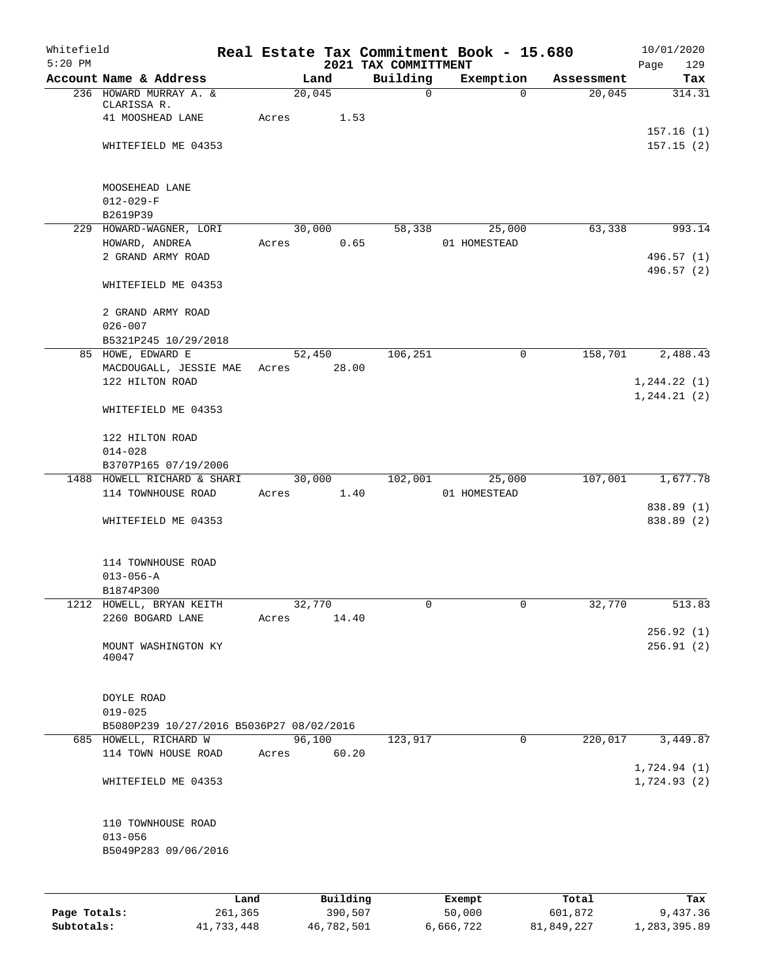| 2021 TAX COMMITTMENT<br>Building<br>Account Name & Address<br>Land<br>Exemption<br>Assessment<br>236 HOWARD MURRAY A. &<br>20,045<br>$\mathsf{O}$<br>20,045<br>$\Omega$<br>CLARISSA R.<br>41 MOOSHEAD LANE<br>Acres<br>1.53<br>WHITEFIELD ME 04353<br>MOOSEHEAD LANE<br>$012 - 029 - F$<br>B2619P39<br>229 HOWARD-WAGNER, LORI<br>63,338<br>30,000<br>58,338<br>25,000<br>0.65<br>HOWARD, ANDREA<br>01 HOMESTEAD<br>Acres<br>2 GRAND ARMY ROAD<br>496.57 (1)<br>WHITEFIELD ME 04353<br>2 GRAND ARMY ROAD<br>$026 - 007$<br>B5321P245 10/29/2018<br>106,251<br>0<br>158,701<br>85 HOWE, EDWARD E<br>52,450<br>MACDOUGALL, JESSIE MAE<br>28.00<br>Acres<br>122 HILTON ROAD<br>1, 244.21(2)<br>WHITEFIELD ME 04353<br>122 HILTON ROAD<br>$014 - 028$<br>B3707P165 07/19/2006<br>107,001<br>1488 HOWELL RICHARD & SHARI<br>30,000<br>102,001<br>25,000<br>114 TOWNHOUSE ROAD<br>1.40<br>01 HOMESTEAD<br>Acres<br>838.89 (2)<br>WHITEFIELD ME 04353<br>114 TOWNHOUSE ROAD<br>$013 - 056 - A$<br>B1874P300<br>1212 HOWELL, BRYAN KEITH<br>32,770<br>0<br>0<br>32,770<br>2260 BOGARD LANE<br>Acres<br>14.40<br>MOUNT WASHINGTON KY<br>40047<br>DOYLE ROAD<br>$019 - 025$<br>B5080P239 10/27/2016 B5036P27 08/02/2016<br>96,100<br>$\mathbf 0$<br>220,017<br>685 HOWELL, RICHARD W<br>123,917<br>114 TOWN HOUSE ROAD<br>60.20<br>Acres<br>1,724.93(2)<br>WHITEFIELD ME 04353<br>110 TOWNHOUSE ROAD | Whitefield<br>$5:20$ PM |             |  | Real Estate Tax Commitment Book - 15.680 | 10/01/2020         |
|--------------------------------------------------------------------------------------------------------------------------------------------------------------------------------------------------------------------------------------------------------------------------------------------------------------------------------------------------------------------------------------------------------------------------------------------------------------------------------------------------------------------------------------------------------------------------------------------------------------------------------------------------------------------------------------------------------------------------------------------------------------------------------------------------------------------------------------------------------------------------------------------------------------------------------------------------------------------------------------------------------------------------------------------------------------------------------------------------------------------------------------------------------------------------------------------------------------------------------------------------------------------------------------------------------------------------------------------------------------------------------------------|-------------------------|-------------|--|------------------------------------------|--------------------|
|                                                                                                                                                                                                                                                                                                                                                                                                                                                                                                                                                                                                                                                                                                                                                                                                                                                                                                                                                                                                                                                                                                                                                                                                                                                                                                                                                                                            |                         |             |  |                                          | Page<br>129<br>Tax |
|                                                                                                                                                                                                                                                                                                                                                                                                                                                                                                                                                                                                                                                                                                                                                                                                                                                                                                                                                                                                                                                                                                                                                                                                                                                                                                                                                                                            |                         |             |  |                                          | 314.31             |
|                                                                                                                                                                                                                                                                                                                                                                                                                                                                                                                                                                                                                                                                                                                                                                                                                                                                                                                                                                                                                                                                                                                                                                                                                                                                                                                                                                                            |                         |             |  |                                          |                    |
|                                                                                                                                                                                                                                                                                                                                                                                                                                                                                                                                                                                                                                                                                                                                                                                                                                                                                                                                                                                                                                                                                                                                                                                                                                                                                                                                                                                            |                         |             |  |                                          | 157.16(1)          |
|                                                                                                                                                                                                                                                                                                                                                                                                                                                                                                                                                                                                                                                                                                                                                                                                                                                                                                                                                                                                                                                                                                                                                                                                                                                                                                                                                                                            |                         |             |  |                                          | 157.15(2)          |
|                                                                                                                                                                                                                                                                                                                                                                                                                                                                                                                                                                                                                                                                                                                                                                                                                                                                                                                                                                                                                                                                                                                                                                                                                                                                                                                                                                                            |                         |             |  |                                          |                    |
|                                                                                                                                                                                                                                                                                                                                                                                                                                                                                                                                                                                                                                                                                                                                                                                                                                                                                                                                                                                                                                                                                                                                                                                                                                                                                                                                                                                            |                         |             |  |                                          |                    |
|                                                                                                                                                                                                                                                                                                                                                                                                                                                                                                                                                                                                                                                                                                                                                                                                                                                                                                                                                                                                                                                                                                                                                                                                                                                                                                                                                                                            |                         |             |  |                                          |                    |
|                                                                                                                                                                                                                                                                                                                                                                                                                                                                                                                                                                                                                                                                                                                                                                                                                                                                                                                                                                                                                                                                                                                                                                                                                                                                                                                                                                                            |                         |             |  |                                          |                    |
|                                                                                                                                                                                                                                                                                                                                                                                                                                                                                                                                                                                                                                                                                                                                                                                                                                                                                                                                                                                                                                                                                                                                                                                                                                                                                                                                                                                            |                         |             |  |                                          | 993.14             |
|                                                                                                                                                                                                                                                                                                                                                                                                                                                                                                                                                                                                                                                                                                                                                                                                                                                                                                                                                                                                                                                                                                                                                                                                                                                                                                                                                                                            |                         |             |  |                                          |                    |
|                                                                                                                                                                                                                                                                                                                                                                                                                                                                                                                                                                                                                                                                                                                                                                                                                                                                                                                                                                                                                                                                                                                                                                                                                                                                                                                                                                                            |                         |             |  |                                          | 496.57 (2)         |
|                                                                                                                                                                                                                                                                                                                                                                                                                                                                                                                                                                                                                                                                                                                                                                                                                                                                                                                                                                                                                                                                                                                                                                                                                                                                                                                                                                                            |                         |             |  |                                          |                    |
|                                                                                                                                                                                                                                                                                                                                                                                                                                                                                                                                                                                                                                                                                                                                                                                                                                                                                                                                                                                                                                                                                                                                                                                                                                                                                                                                                                                            |                         |             |  |                                          |                    |
|                                                                                                                                                                                                                                                                                                                                                                                                                                                                                                                                                                                                                                                                                                                                                                                                                                                                                                                                                                                                                                                                                                                                                                                                                                                                                                                                                                                            |                         |             |  |                                          |                    |
|                                                                                                                                                                                                                                                                                                                                                                                                                                                                                                                                                                                                                                                                                                                                                                                                                                                                                                                                                                                                                                                                                                                                                                                                                                                                                                                                                                                            |                         |             |  |                                          |                    |
|                                                                                                                                                                                                                                                                                                                                                                                                                                                                                                                                                                                                                                                                                                                                                                                                                                                                                                                                                                                                                                                                                                                                                                                                                                                                                                                                                                                            |                         |             |  |                                          | 2,488.43           |
|                                                                                                                                                                                                                                                                                                                                                                                                                                                                                                                                                                                                                                                                                                                                                                                                                                                                                                                                                                                                                                                                                                                                                                                                                                                                                                                                                                                            |                         |             |  |                                          |                    |
|                                                                                                                                                                                                                                                                                                                                                                                                                                                                                                                                                                                                                                                                                                                                                                                                                                                                                                                                                                                                                                                                                                                                                                                                                                                                                                                                                                                            |                         |             |  |                                          | 1, 244.22(1)       |
|                                                                                                                                                                                                                                                                                                                                                                                                                                                                                                                                                                                                                                                                                                                                                                                                                                                                                                                                                                                                                                                                                                                                                                                                                                                                                                                                                                                            |                         |             |  |                                          |                    |
|                                                                                                                                                                                                                                                                                                                                                                                                                                                                                                                                                                                                                                                                                                                                                                                                                                                                                                                                                                                                                                                                                                                                                                                                                                                                                                                                                                                            |                         |             |  |                                          |                    |
|                                                                                                                                                                                                                                                                                                                                                                                                                                                                                                                                                                                                                                                                                                                                                                                                                                                                                                                                                                                                                                                                                                                                                                                                                                                                                                                                                                                            |                         |             |  |                                          |                    |
|                                                                                                                                                                                                                                                                                                                                                                                                                                                                                                                                                                                                                                                                                                                                                                                                                                                                                                                                                                                                                                                                                                                                                                                                                                                                                                                                                                                            |                         |             |  |                                          |                    |
|                                                                                                                                                                                                                                                                                                                                                                                                                                                                                                                                                                                                                                                                                                                                                                                                                                                                                                                                                                                                                                                                                                                                                                                                                                                                                                                                                                                            |                         |             |  |                                          | 1,677.78           |
|                                                                                                                                                                                                                                                                                                                                                                                                                                                                                                                                                                                                                                                                                                                                                                                                                                                                                                                                                                                                                                                                                                                                                                                                                                                                                                                                                                                            |                         |             |  |                                          |                    |
|                                                                                                                                                                                                                                                                                                                                                                                                                                                                                                                                                                                                                                                                                                                                                                                                                                                                                                                                                                                                                                                                                                                                                                                                                                                                                                                                                                                            |                         |             |  |                                          | 838.89 (1)         |
|                                                                                                                                                                                                                                                                                                                                                                                                                                                                                                                                                                                                                                                                                                                                                                                                                                                                                                                                                                                                                                                                                                                                                                                                                                                                                                                                                                                            |                         |             |  |                                          |                    |
|                                                                                                                                                                                                                                                                                                                                                                                                                                                                                                                                                                                                                                                                                                                                                                                                                                                                                                                                                                                                                                                                                                                                                                                                                                                                                                                                                                                            |                         |             |  |                                          |                    |
|                                                                                                                                                                                                                                                                                                                                                                                                                                                                                                                                                                                                                                                                                                                                                                                                                                                                                                                                                                                                                                                                                                                                                                                                                                                                                                                                                                                            |                         |             |  |                                          |                    |
|                                                                                                                                                                                                                                                                                                                                                                                                                                                                                                                                                                                                                                                                                                                                                                                                                                                                                                                                                                                                                                                                                                                                                                                                                                                                                                                                                                                            |                         |             |  |                                          |                    |
|                                                                                                                                                                                                                                                                                                                                                                                                                                                                                                                                                                                                                                                                                                                                                                                                                                                                                                                                                                                                                                                                                                                                                                                                                                                                                                                                                                                            |                         |             |  |                                          | 513.83             |
|                                                                                                                                                                                                                                                                                                                                                                                                                                                                                                                                                                                                                                                                                                                                                                                                                                                                                                                                                                                                                                                                                                                                                                                                                                                                                                                                                                                            |                         |             |  |                                          |                    |
|                                                                                                                                                                                                                                                                                                                                                                                                                                                                                                                                                                                                                                                                                                                                                                                                                                                                                                                                                                                                                                                                                                                                                                                                                                                                                                                                                                                            |                         |             |  |                                          | 256.92(1)          |
|                                                                                                                                                                                                                                                                                                                                                                                                                                                                                                                                                                                                                                                                                                                                                                                                                                                                                                                                                                                                                                                                                                                                                                                                                                                                                                                                                                                            |                         |             |  |                                          | 256.91(2)          |
|                                                                                                                                                                                                                                                                                                                                                                                                                                                                                                                                                                                                                                                                                                                                                                                                                                                                                                                                                                                                                                                                                                                                                                                                                                                                                                                                                                                            |                         |             |  |                                          |                    |
|                                                                                                                                                                                                                                                                                                                                                                                                                                                                                                                                                                                                                                                                                                                                                                                                                                                                                                                                                                                                                                                                                                                                                                                                                                                                                                                                                                                            |                         |             |  |                                          |                    |
|                                                                                                                                                                                                                                                                                                                                                                                                                                                                                                                                                                                                                                                                                                                                                                                                                                                                                                                                                                                                                                                                                                                                                                                                                                                                                                                                                                                            |                         |             |  |                                          |                    |
|                                                                                                                                                                                                                                                                                                                                                                                                                                                                                                                                                                                                                                                                                                                                                                                                                                                                                                                                                                                                                                                                                                                                                                                                                                                                                                                                                                                            |                         |             |  |                                          |                    |
|                                                                                                                                                                                                                                                                                                                                                                                                                                                                                                                                                                                                                                                                                                                                                                                                                                                                                                                                                                                                                                                                                                                                                                                                                                                                                                                                                                                            |                         |             |  |                                          | 3,449.87           |
|                                                                                                                                                                                                                                                                                                                                                                                                                                                                                                                                                                                                                                                                                                                                                                                                                                                                                                                                                                                                                                                                                                                                                                                                                                                                                                                                                                                            |                         |             |  |                                          |                    |
|                                                                                                                                                                                                                                                                                                                                                                                                                                                                                                                                                                                                                                                                                                                                                                                                                                                                                                                                                                                                                                                                                                                                                                                                                                                                                                                                                                                            |                         |             |  |                                          | 1,724.94(1)        |
|                                                                                                                                                                                                                                                                                                                                                                                                                                                                                                                                                                                                                                                                                                                                                                                                                                                                                                                                                                                                                                                                                                                                                                                                                                                                                                                                                                                            |                         |             |  |                                          |                    |
|                                                                                                                                                                                                                                                                                                                                                                                                                                                                                                                                                                                                                                                                                                                                                                                                                                                                                                                                                                                                                                                                                                                                                                                                                                                                                                                                                                                            |                         |             |  |                                          |                    |
|                                                                                                                                                                                                                                                                                                                                                                                                                                                                                                                                                                                                                                                                                                                                                                                                                                                                                                                                                                                                                                                                                                                                                                                                                                                                                                                                                                                            |                         | $013 - 056$ |  |                                          |                    |
| B5049P283 09/06/2016                                                                                                                                                                                                                                                                                                                                                                                                                                                                                                                                                                                                                                                                                                                                                                                                                                                                                                                                                                                                                                                                                                                                                                                                                                                                                                                                                                       |                         |             |  |                                          |                    |
|                                                                                                                                                                                                                                                                                                                                                                                                                                                                                                                                                                                                                                                                                                                                                                                                                                                                                                                                                                                                                                                                                                                                                                                                                                                                                                                                                                                            |                         |             |  |                                          |                    |
|                                                                                                                                                                                                                                                                                                                                                                                                                                                                                                                                                                                                                                                                                                                                                                                                                                                                                                                                                                                                                                                                                                                                                                                                                                                                                                                                                                                            |                         |             |  |                                          |                    |
| Building<br>Land<br>Total<br>Exempt<br>50,000<br>601,872<br>Page Totals:<br>261,365<br>390,507                                                                                                                                                                                                                                                                                                                                                                                                                                                                                                                                                                                                                                                                                                                                                                                                                                                                                                                                                                                                                                                                                                                                                                                                                                                                                             |                         |             |  |                                          | Tax<br>9,437.36    |

**Subtotals:** 41,733,448 46,782,501 6,666,722 81,849,227 1,283,395.89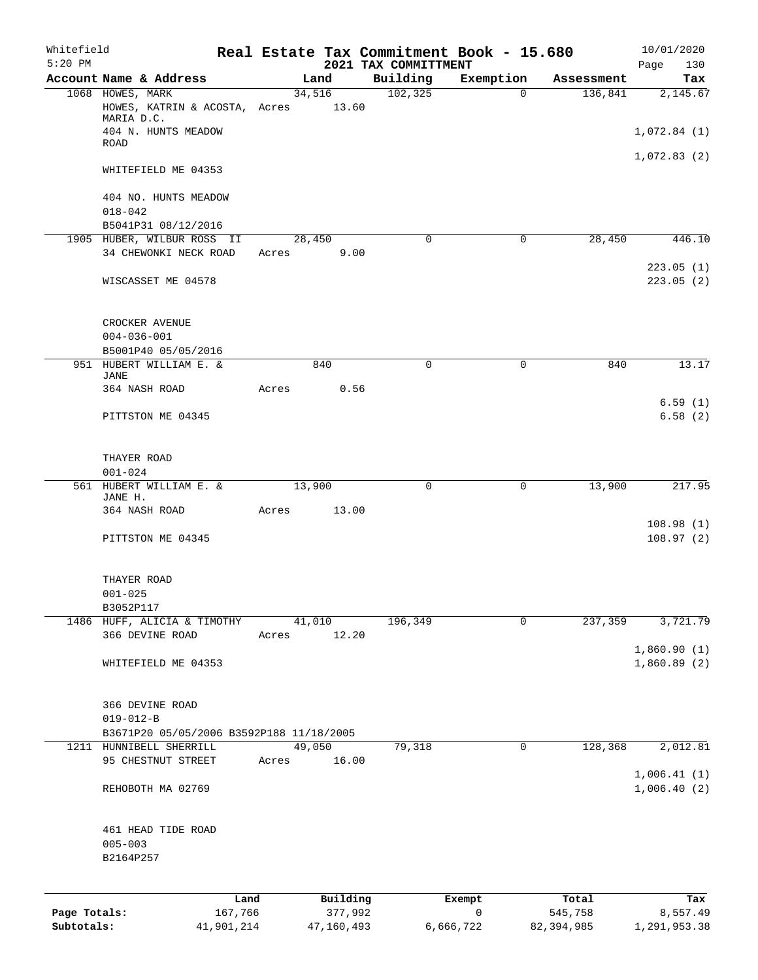| Whitefield<br>$5:20$ PM |                                          |         |       |        |          | Real Estate Tax Commitment Book - 15.680<br>2021 TAX COMMITTMENT |             |            | 10/01/2020<br>Page<br>130 |
|-------------------------|------------------------------------------|---------|-------|--------|----------|------------------------------------------------------------------|-------------|------------|---------------------------|
|                         | Account Name & Address                   |         |       | Land   |          | Building                                                         | Exemption   | Assessment | Tax                       |
|                         | 1068 HOWES, MARK                         |         |       | 34,516 |          | 102, 325                                                         | $\mathbf 0$ | 136,841    | 2,145.67                  |
|                         | HOWES, KATRIN & ACOSTA, Acres 13.60      |         |       |        |          |                                                                  |             |            |                           |
|                         | MARIA D.C.                               |         |       |        |          |                                                                  |             |            |                           |
|                         | 404 N. HUNTS MEADOW                      |         |       |        |          |                                                                  |             |            | 1,072.84(1)               |
|                         | ROAD                                     |         |       |        |          |                                                                  |             |            | 1,072.83(2)               |
|                         | WHITEFIELD ME 04353                      |         |       |        |          |                                                                  |             |            |                           |
|                         |                                          |         |       |        |          |                                                                  |             |            |                           |
|                         | 404 NO. HUNTS MEADOW                     |         |       |        |          |                                                                  |             |            |                           |
|                         | $018 - 042$                              |         |       |        |          |                                                                  |             |            |                           |
|                         | B5041P31 08/12/2016                      |         |       |        |          |                                                                  |             |            |                           |
|                         | 1905 HUBER, WILBUR ROSS II               |         |       | 28,450 |          | $\mathbf 0$                                                      | $\mathbf 0$ | 28,450     | 446.10                    |
|                         | 34 CHEWONKI NECK ROAD                    |         | Acres |        | 9.00     |                                                                  |             |            |                           |
|                         |                                          |         |       |        |          |                                                                  |             |            | 223.05(1)                 |
|                         | WISCASSET ME 04578                       |         |       |        |          |                                                                  |             |            | 223.05(2)                 |
|                         |                                          |         |       |        |          |                                                                  |             |            |                           |
|                         |                                          |         |       |        |          |                                                                  |             |            |                           |
|                         | CROCKER AVENUE                           |         |       |        |          |                                                                  |             |            |                           |
|                         | $004 - 036 - 001$                        |         |       |        |          |                                                                  |             |            |                           |
|                         | B5001P40 05/05/2016                      |         |       |        |          |                                                                  |             |            |                           |
|                         | 951 HUBERT WILLIAM E. &<br>JANE          |         |       |        | 840      | $\mathbf 0$                                                      | $\mathbf 0$ | 840        | 13.17                     |
|                         | 364 NASH ROAD                            |         | Acres |        | 0.56     |                                                                  |             |            |                           |
|                         |                                          |         |       |        |          |                                                                  |             |            | 6.59(1)                   |
|                         | PITTSTON ME 04345                        |         |       |        |          |                                                                  |             |            | 6.58(2)                   |
|                         |                                          |         |       |        |          |                                                                  |             |            |                           |
|                         |                                          |         |       |        |          |                                                                  |             |            |                           |
|                         | THAYER ROAD                              |         |       |        |          |                                                                  |             |            |                           |
|                         | $001 - 024$                              |         |       |        |          |                                                                  |             |            |                           |
|                         | 561 HUBERT WILLIAM E. &<br>JANE H.       |         |       | 13,900 |          | $\mathbf 0$                                                      | 0           | 13,900     | 217.95                    |
|                         | 364 NASH ROAD                            |         | Acres |        | 13.00    |                                                                  |             |            |                           |
|                         |                                          |         |       |        |          |                                                                  |             |            | 108.98(1)                 |
|                         | PITTSTON ME 04345                        |         |       |        |          |                                                                  |             |            | 108.97(2)                 |
|                         |                                          |         |       |        |          |                                                                  |             |            |                           |
|                         |                                          |         |       |        |          |                                                                  |             |            |                           |
|                         | THAYER ROAD                              |         |       |        |          |                                                                  |             |            |                           |
|                         | $001 - 025$                              |         |       |        |          |                                                                  |             |            |                           |
|                         | B3052P117                                |         |       |        |          |                                                                  |             |            |                           |
|                         | 1486 HUFF, ALICIA & TIMOTHY              |         |       | 41,010 |          | 196,349                                                          | 0           | 237,359    | 3,721.79                  |
|                         | 366 DEVINE ROAD                          |         | Acres |        | 12.20    |                                                                  |             |            |                           |
|                         |                                          |         |       |        |          |                                                                  |             |            | 1,860.90(1)               |
|                         | WHITEFIELD ME 04353                      |         |       |        |          |                                                                  |             |            | 1,860.89(2)               |
|                         |                                          |         |       |        |          |                                                                  |             |            |                           |
|                         | 366 DEVINE ROAD                          |         |       |        |          |                                                                  |             |            |                           |
|                         | $019 - 012 - B$                          |         |       |        |          |                                                                  |             |            |                           |
|                         | B3671P20 05/05/2006 B3592P188 11/18/2005 |         |       |        |          |                                                                  |             |            |                           |
|                         | 1211 HUNNIBELL SHERRILL                  |         |       | 49,050 |          | 79,318                                                           | 0           | 128,368    | 2,012.81                  |
|                         | 95 CHESTNUT STREET                       |         | Acres |        | 16.00    |                                                                  |             |            |                           |
|                         |                                          |         |       |        |          |                                                                  |             |            | 1,006.41(1)               |
|                         | REHOBOTH MA 02769                        |         |       |        |          |                                                                  |             |            | 1,006.40(2)               |
|                         |                                          |         |       |        |          |                                                                  |             |            |                           |
|                         |                                          |         |       |        |          |                                                                  |             |            |                           |
|                         | 461 HEAD TIDE ROAD                       |         |       |        |          |                                                                  |             |            |                           |
|                         | $005 - 003$                              |         |       |        |          |                                                                  |             |            |                           |
|                         | B2164P257                                |         |       |        |          |                                                                  |             |            |                           |
|                         |                                          |         |       |        |          |                                                                  |             |            |                           |
|                         |                                          | Land    |       |        | Building |                                                                  | Exempt      | Total      | Tax                       |
| Page Totals:            |                                          | 167,766 |       |        | 377,992  |                                                                  | 0           | 545,758    | 8,557.49                  |

**Subtotals:** 41,901,214 47,160,493 6,666,722 82,394,985 1,291,953.38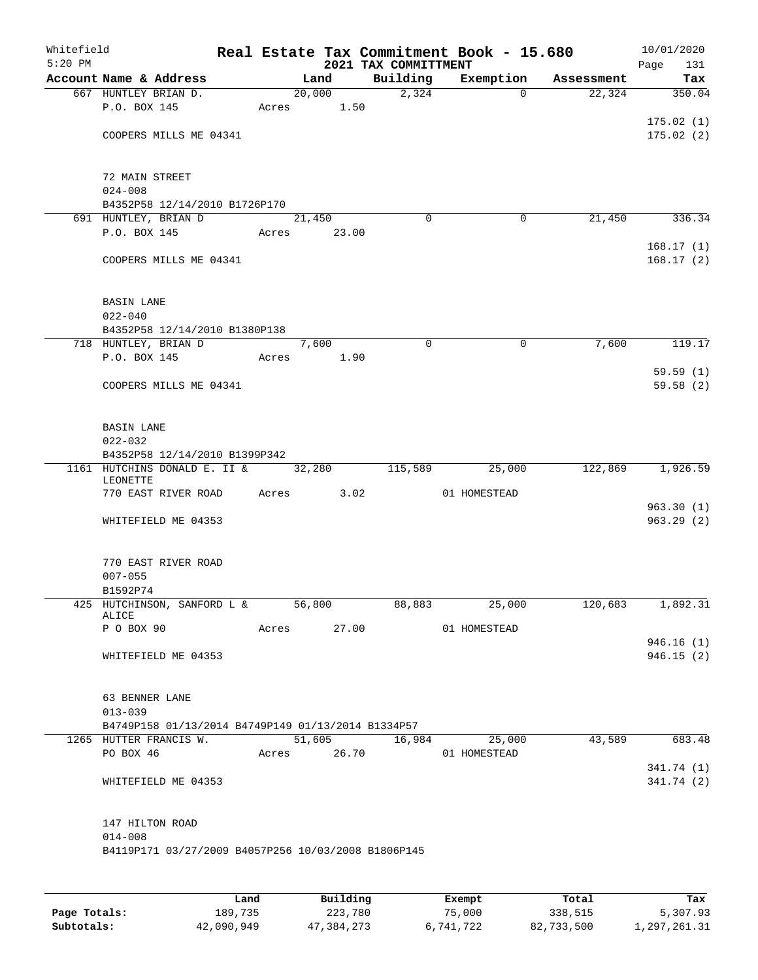| Whitefield<br>$5:20$ PM |                                                                    |       |                     |       | 2021 TAX COMMITTMENT | Real Estate Tax Commitment Book - 15.680 |            | 10/01/2020<br>Page<br>131 |
|-------------------------|--------------------------------------------------------------------|-------|---------------------|-------|----------------------|------------------------------------------|------------|---------------------------|
|                         | Account Name & Address                                             |       | Land                |       | Building             | Exemption                                | Assessment | Tax                       |
|                         | 667 HUNTLEY BRIAN D.                                               |       | $\overline{20,000}$ |       | $\overline{2,324}$   | $\Omega$                                 | 22,324     | 350.04                    |
|                         | P.O. BOX 145                                                       |       | Acres 1.50          |       |                      |                                          |            |                           |
|                         |                                                                    |       |                     |       |                      |                                          |            | 175.02(1)                 |
|                         | COOPERS MILLS ME 04341                                             |       |                     |       |                      |                                          |            | 175.02(2)                 |
|                         |                                                                    |       |                     |       |                      |                                          |            |                           |
|                         |                                                                    |       |                     |       |                      |                                          |            |                           |
|                         | 72 MAIN STREET<br>$024 - 008$                                      |       |                     |       |                      |                                          |            |                           |
|                         | B4352P58 12/14/2010 B1726P170                                      |       |                     |       |                      |                                          |            |                           |
|                         | 691 HUNTLEY, BRIAN D                                               |       | 21,450              |       | $\Omega$             | 0                                        | 21,450     | 336.34                    |
|                         | P.O. BOX 145                                                       | Acres |                     | 23.00 |                      |                                          |            |                           |
|                         |                                                                    |       |                     |       |                      |                                          |            | 168.17(1)                 |
|                         | COOPERS MILLS ME 04341                                             |       |                     |       |                      |                                          |            | 168.17(2)                 |
|                         |                                                                    |       |                     |       |                      |                                          |            |                           |
|                         |                                                                    |       |                     |       |                      |                                          |            |                           |
|                         | <b>BASIN LANE</b><br>$022 - 040$                                   |       |                     |       |                      |                                          |            |                           |
|                         | B4352P58 12/14/2010 B1380P138                                      |       |                     |       |                      |                                          |            |                           |
|                         | 718 HUNTLEY, BRIAN D                                               |       | 7,600               |       | $\mathbf 0$          | $\mathbf 0$                              | 7,600      | 119.17                    |
|                         | P.O. BOX 145                                                       | Acres |                     | 1.90  |                      |                                          |            |                           |
|                         |                                                                    |       |                     |       |                      |                                          |            | 59.59(1)                  |
|                         | COOPERS MILLS ME 04341                                             |       |                     |       |                      |                                          |            | 59.58(2)                  |
|                         |                                                                    |       |                     |       |                      |                                          |            |                           |
|                         |                                                                    |       |                     |       |                      |                                          |            |                           |
|                         | <b>BASIN LANE</b>                                                  |       |                     |       |                      |                                          |            |                           |
|                         | $022 - 032$<br>B4352P58 12/14/2010 B1399P342                       |       |                     |       |                      |                                          |            |                           |
|                         | 1161 HUTCHINS DONALD E. II &                                       |       | 32,280              |       | 115,589              | 25,000                                   | 122,869    | 1,926.59                  |
|                         | LEONETTE                                                           |       |                     |       |                      |                                          |            |                           |
|                         | 770 EAST RIVER ROAD                                                | Acres |                     | 3.02  |                      | 01 HOMESTEAD                             |            |                           |
|                         |                                                                    |       |                     |       |                      |                                          |            | 963.30(1)                 |
|                         | WHITEFIELD ME 04353                                                |       |                     |       |                      |                                          |            | 963.29(2)                 |
|                         |                                                                    |       |                     |       |                      |                                          |            |                           |
|                         | 770 EAST RIVER ROAD                                                |       |                     |       |                      |                                          |            |                           |
|                         | $007 - 055$                                                        |       |                     |       |                      |                                          |            |                           |
|                         | B1592P74                                                           |       |                     |       |                      |                                          |            |                           |
|                         | 425 HUTCHINSON, SANFORD L & 56,800<br>ALICE                        |       |                     |       | 88,883               | 25,000                                   | 120,683    | 1,892.31                  |
|                         | P O BOX 90                                                         |       | Acres 27.00         |       |                      | 01 HOMESTEAD                             |            |                           |
|                         |                                                                    |       |                     |       |                      |                                          |            | 946.16(1)                 |
|                         | WHITEFIELD ME 04353                                                |       |                     |       |                      |                                          |            | 946.15(2)                 |
|                         |                                                                    |       |                     |       |                      |                                          |            |                           |
|                         |                                                                    |       |                     |       |                      |                                          |            |                           |
|                         | 63 BENNER LANE                                                     |       |                     |       |                      |                                          |            |                           |
|                         | $013 - 039$<br>B4749P158 01/13/2014 B4749P149 01/13/2014 B1334P57  |       |                     |       |                      |                                          |            |                           |
|                         | 1265 HUTTER FRANCIS W.                                             |       | 51,605              |       | 16,984               | 25,000                                   | 43,589     | 683.48                    |
|                         | PO BOX 46                                                          |       | Acres 26.70         |       |                      | 01 HOMESTEAD                             |            |                           |
|                         |                                                                    |       |                     |       |                      |                                          |            | 341.74 (1)                |
|                         | WHITEFIELD ME 04353                                                |       |                     |       |                      |                                          |            | 341.74 (2)                |
|                         |                                                                    |       |                     |       |                      |                                          |            |                           |
|                         |                                                                    |       |                     |       |                      |                                          |            |                           |
|                         | 147 HILTON ROAD                                                    |       |                     |       |                      |                                          |            |                           |
|                         | $014 - 008$<br>B4119P171 03/27/2009 B4057P256 10/03/2008 B1806P145 |       |                     |       |                      |                                          |            |                           |
|                         |                                                                    |       |                     |       |                      |                                          |            |                           |
|                         |                                                                    |       |                     |       |                      |                                          |            |                           |
|                         |                                                                    |       |                     |       |                      |                                          |            |                           |

|              | Land       | Building   | Exempt    | Total      | Tax          |
|--------------|------------|------------|-----------|------------|--------------|
| Page Totals: | 189,735    | 223,780    | 75,000    | 338,515    | 5,307.93     |
| Subtotals:   | 42,090,949 | 47,384,273 | 6,741,722 | 82,733,500 | 1,297,261.31 |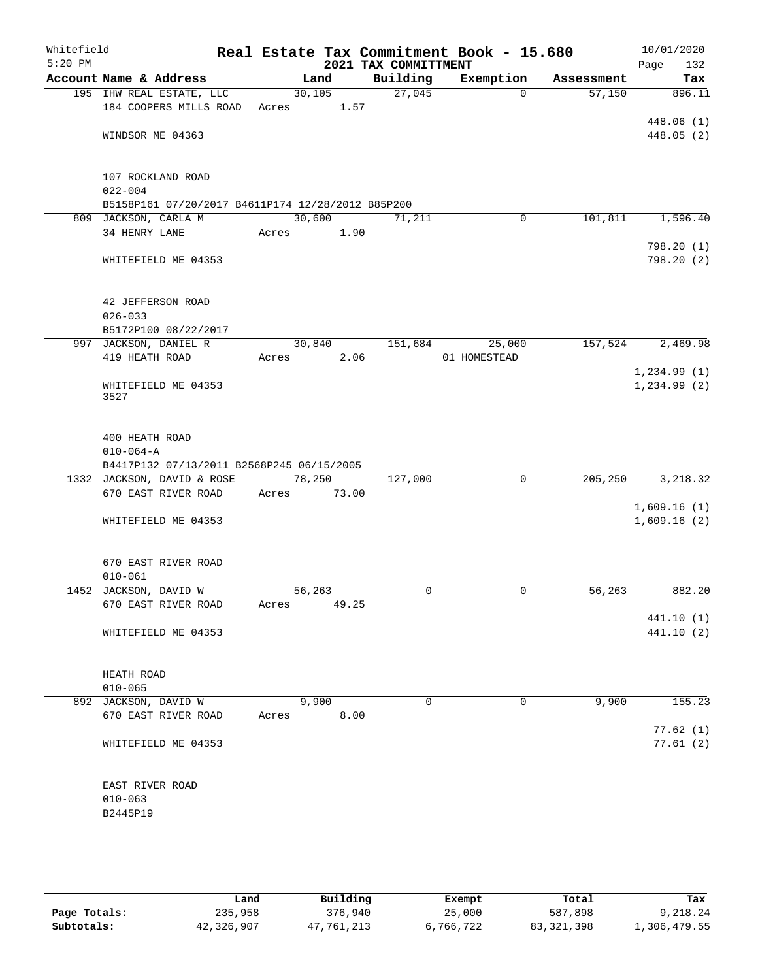| Whitefield<br>$5:20$ PM |                                                   |             |         | 2021 TAX COMMITTMENT | Real Estate Tax Commitment Book - 15.680 |            | 10/01/2020<br>Page<br>132 |
|-------------------------|---------------------------------------------------|-------------|---------|----------------------|------------------------------------------|------------|---------------------------|
|                         | Account Name & Address                            | Land        |         | Building             | Exemption                                | Assessment | Tax                       |
|                         | 195 IHW REAL ESTATE, LLC                          |             | 30, 105 | 27,045               | $\Omega$                                 | 57,150     | 896.11                    |
|                         | 184 COOPERS MILLS ROAD                            | Acres 1.57  |         |                      |                                          |            |                           |
|                         |                                                   |             |         |                      |                                          |            | 448.06 (1)                |
|                         | WINDSOR ME 04363                                  |             |         |                      |                                          |            | 448.05 (2)                |
|                         | 107 ROCKLAND ROAD                                 |             |         |                      |                                          |            |                           |
|                         | $022 - 004$                                       |             |         |                      |                                          |            |                           |
|                         | B5158P161 07/20/2017 B4611P174 12/28/2012 B85P200 |             |         |                      |                                          |            |                           |
|                         | 809 JACKSON, CARLA M                              | 30,600      |         | 71,211               | 0                                        | 101,811    | 1,596.40                  |
|                         | 34 HENRY LANE                                     | Acres 1.90  |         |                      |                                          |            |                           |
|                         |                                                   |             |         |                      |                                          |            | 798.20 (1)                |
|                         | WHITEFIELD ME 04353                               |             |         |                      |                                          |            | 798.20 (2)                |
|                         | 42 JEFFERSON ROAD                                 |             |         |                      |                                          |            |                           |
|                         | $026 - 033$                                       |             |         |                      |                                          |            |                           |
|                         | B5172P100 08/22/2017                              |             |         |                      |                                          |            |                           |
|                         | 997 JACKSON, DANIEL R                             | 30,840      |         | 151,684              | 25,000                                   | 157,524    | 2,469.98                  |
|                         | 419 HEATH ROAD                                    | Acres       | 2.06    |                      | 01 HOMESTEAD                             |            |                           |
|                         |                                                   |             |         |                      |                                          |            | 1,234.99(1)               |
|                         | WHITEFIELD ME 04353                               |             |         |                      |                                          |            | 1,234.99(2)               |
|                         | 3527                                              |             |         |                      |                                          |            |                           |
|                         | 400 HEATH ROAD                                    |             |         |                      |                                          |            |                           |
|                         | $010 - 064 - A$                                   |             |         |                      |                                          |            |                           |
|                         | B4417P132 07/13/2011 B2568P245 06/15/2005         |             |         |                      |                                          |            |                           |
|                         | 1332 JACKSON, DAVID & ROSE                        | 78,250      |         | 127,000              | $\mathbf 0$                              | 205,250    | 3,218.32                  |
|                         | 670 EAST RIVER ROAD                               | Acres 73.00 |         |                      |                                          |            |                           |
|                         |                                                   |             |         |                      |                                          |            | 1,609.16(1)               |
|                         | WHITEFIELD ME 04353                               |             |         |                      |                                          |            | 1,609.16(2)               |
|                         | 670 EAST RIVER ROAD                               |             |         |                      |                                          |            |                           |
|                         | $010 - 061$                                       |             |         |                      |                                          |            |                           |
|                         | 1452 JACKSON, DAVID W                             | 56, 263     |         | $\mathbf 0$          | 0                                        | 56, 263    | 882.20                    |
|                         | 670 EAST RIVER ROAD                               | Acres       | 49.25   |                      |                                          |            |                           |
|                         |                                                   |             |         |                      |                                          |            | 441.10 (1)                |
|                         | WHITEFIELD ME 04353                               |             |         |                      |                                          |            | 441.10 (2)                |
|                         |                                                   |             |         |                      |                                          |            |                           |
|                         |                                                   |             |         |                      |                                          |            |                           |
|                         | HEATH ROAD<br>$010 - 065$                         |             |         |                      |                                          |            |                           |
|                         | 892 JACKSON, DAVID W                              | 9,900       |         | $\mathbf 0$          | 0                                        | 9,900      | 155.23                    |
|                         | 670 EAST RIVER ROAD                               | Acres       | 8.00    |                      |                                          |            |                           |
|                         |                                                   |             |         |                      |                                          |            | 77.62(1)                  |
|                         | WHITEFIELD ME 04353                               |             |         |                      |                                          |            | 77.61(2)                  |
|                         |                                                   |             |         |                      |                                          |            |                           |
|                         | EAST RIVER ROAD                                   |             |         |                      |                                          |            |                           |
|                         | $010 - 063$                                       |             |         |                      |                                          |            |                           |
|                         | B2445P19                                          |             |         |                      |                                          |            |                           |
|                         |                                                   |             |         |                      |                                          |            |                           |
|                         |                                                   |             |         |                      |                                          |            |                           |

|              | Land       | Building   | Exempt    | Total        | Tax          |
|--------------|------------|------------|-----------|--------------|--------------|
| Page Totals: | 235,958    | 376,940    | 25,000    | 587,898      | 9,218.24     |
| Subtotals:   | 42,326,907 | 47,761,213 | 6,766,722 | 83, 321, 398 | 1,306,479.55 |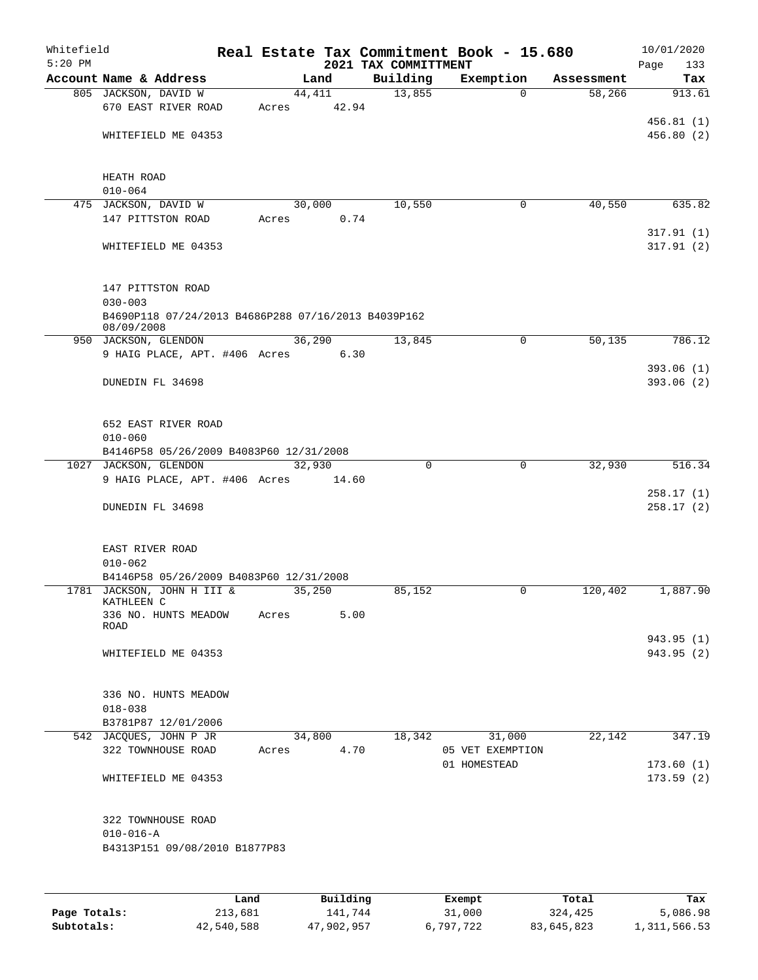| Whitefield<br>$5:20$ PM |                                                                   |       |                 | 2021 TAX COMMITTMENT | Real Estate Tax Commitment Book - 15.680 |            | 10/01/2020<br>Page<br>133 |
|-------------------------|-------------------------------------------------------------------|-------|-----------------|----------------------|------------------------------------------|------------|---------------------------|
|                         | Account Name & Address                                            |       | Land            | Building             | Exemption                                | Assessment | Tax                       |
|                         | 805 JACKSON, DAVID W                                              |       | 44,411          | 13,855               | $\Omega$                                 | 58,266     | 913.61                    |
|                         | 670 EAST RIVER ROAD                                               | Acres | 42.94           |                      |                                          |            |                           |
|                         |                                                                   |       |                 |                      |                                          |            | 456.81(1)                 |
|                         | WHITEFIELD ME 04353                                               |       |                 |                      |                                          |            | 456.80 (2)                |
|                         | HEATH ROAD                                                        |       |                 |                      |                                          |            |                           |
|                         | $010 - 064$                                                       |       |                 |                      |                                          |            |                           |
|                         | 475 JACKSON, DAVID W                                              |       | 30,000          | 10,550               | 0                                        | 40,550     | 635.82                    |
|                         | 147 PITTSTON ROAD                                                 | Acres | 0.74            |                      |                                          |            |                           |
|                         | WHITEFIELD ME 04353                                               |       |                 |                      |                                          |            | 317.91(1)<br>317.91(2)    |
|                         | 147 PITTSTON ROAD<br>$030 - 003$                                  |       |                 |                      |                                          |            |                           |
|                         | B4690P118 07/24/2013 B4686P288 07/16/2013 B4039P162<br>08/09/2008 |       |                 |                      |                                          |            |                           |
|                         | 950 JACKSON, GLENDON                                              |       | 36,290          | 13,845               | 0                                        | 50,135     | 786.12                    |
|                         | 9 HAIG PLACE, APT. #406 Acres                                     |       | 6.30            |                      |                                          |            |                           |
|                         |                                                                   |       |                 |                      |                                          |            | 393.06(1)                 |
|                         | DUNEDIN FL 34698                                                  |       |                 |                      |                                          |            | 393.06(2)                 |
|                         | 652 EAST RIVER ROAD<br>$010 - 060$                                |       |                 |                      |                                          |            |                           |
|                         | B4146P58 05/26/2009 B4083P60 12/31/2008                           |       |                 |                      |                                          |            |                           |
|                         | 1027 JACKSON, GLENDON<br>9 HAIG PLACE, APT. #406 Acres            |       | 32,930<br>14.60 | $\mathbf 0$          | $\Omega$                                 | 32,930     | 516.34                    |
|                         |                                                                   |       |                 |                      |                                          |            | 258.17(1)                 |
|                         | DUNEDIN FL 34698                                                  |       |                 |                      |                                          |            | 258.17(2)                 |
|                         | EAST RIVER ROAD                                                   |       |                 |                      |                                          |            |                           |
|                         | $010 - 062$                                                       |       |                 |                      |                                          |            |                           |
|                         | B4146P58 05/26/2009 B4083P60 12/31/2008                           |       |                 |                      |                                          |            |                           |
|                         | 1781 JACKSON, JOHN H III &<br>KATHLEEN C                          |       | 35,250          | 85,152               | 0                                        | 120,402    | 1,887.90                  |
|                         | 336 NO. HUNTS MEADOW<br>ROAD                                      | Acres | 5.00            |                      |                                          |            |                           |
|                         |                                                                   |       |                 |                      |                                          |            | 943.95 (1)                |
|                         | WHITEFIELD ME 04353                                               |       |                 |                      |                                          |            | 943.95 (2)                |
|                         | 336 NO. HUNTS MEADOW                                              |       |                 |                      |                                          |            |                           |
|                         | $018 - 038$                                                       |       |                 |                      |                                          |            |                           |
|                         | B3781P87 12/01/2006                                               |       |                 |                      |                                          |            |                           |
|                         | 542 JACQUES, JOHN P JR                                            |       | 34,800          | 18,342               | 31,000                                   | 22,142     | 347.19                    |
|                         | 322 TOWNHOUSE ROAD                                                | Acres | 4.70            |                      | 05 VET EXEMPTION                         |            |                           |
|                         |                                                                   |       |                 |                      | 01 HOMESTEAD                             |            | 173.60(1)                 |
|                         | WHITEFIELD ME 04353                                               |       |                 |                      |                                          |            | 173.59(2)                 |
|                         | 322 TOWNHOUSE ROAD                                                |       |                 |                      |                                          |            |                           |
|                         | $010 - 016 - A$<br>B4313P151 09/08/2010 B1877P83                  |       |                 |                      |                                          |            |                           |
|                         |                                                                   |       |                 |                      |                                          |            |                           |
|                         | Land                                                              |       | Building        |                      | Exempt                                   | Total      | Tax                       |

|              | Land       | Building   | Exempt    | Total      | Tax          |
|--------------|------------|------------|-----------|------------|--------------|
| Page Totals: | 213,681    | 141,744    | 31,000    | 324,425    | 5,086.98     |
| Subtotals:   | 42,540,588 | 47,902,957 | 6,797,722 | 83,645,823 | 1,311,566.53 |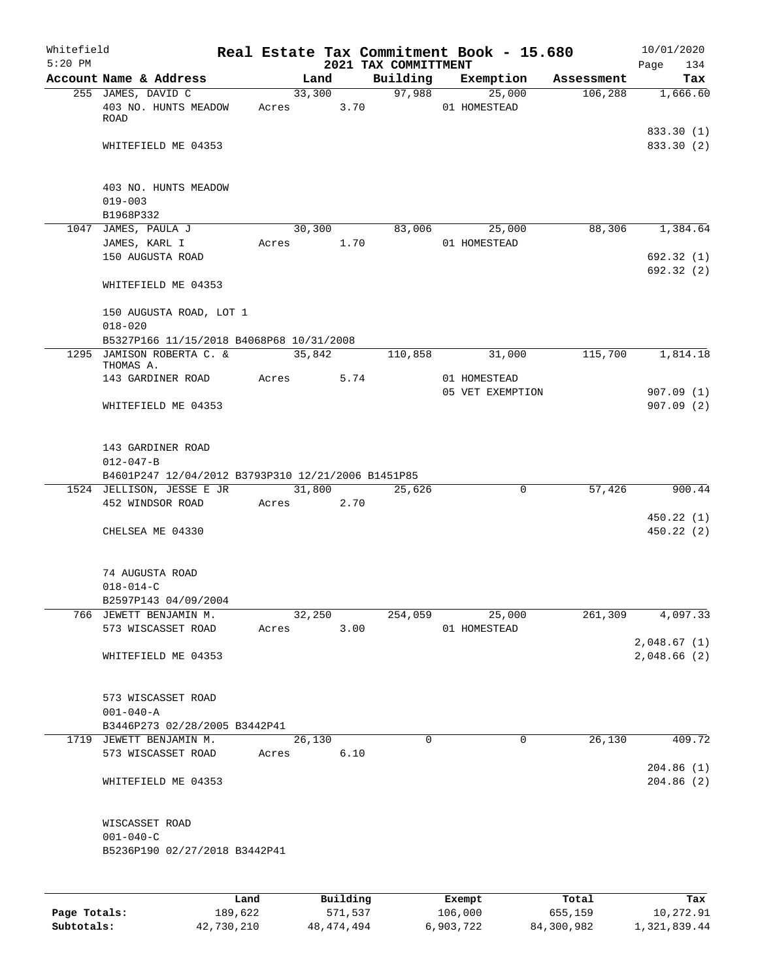| Whitefield<br>$5:20$ PM |                                                          |               |        |                      | 2021 TAX COMMITTMENT |             | Real Estate Tax Commitment Book - 15.680 |            | 10/01/2020<br>Page<br>134 |
|-------------------------|----------------------------------------------------------|---------------|--------|----------------------|----------------------|-------------|------------------------------------------|------------|---------------------------|
|                         | Account Name & Address                                   |               |        | Land                 | Building             |             | Exemption                                | Assessment | Tax                       |
|                         | 255 JAMES, DAVID C                                       |               |        | 33,300               | 97,988               |             | 25,000                                   | 106,288    | 1,666.60                  |
|                         | 403 NO. HUNTS MEADOW<br><b>ROAD</b>                      |               | Acres  | 3.70                 |                      |             | 01 HOMESTEAD                             |            |                           |
|                         | WHITEFIELD ME 04353                                      |               |        |                      |                      |             |                                          |            | 833.30 (1)<br>833.30 (2)  |
|                         | 403 NO. HUNTS MEADOW<br>$019 - 003$                      |               |        |                      |                      |             |                                          |            |                           |
|                         | B1968P332                                                |               |        |                      |                      |             |                                          |            |                           |
|                         | 1047 JAMES, PAULA J                                      |               | 30,300 | 1.70                 | 83,006               |             | 25,000<br>01 HOMESTEAD                   | 88,306     | 1,384.64                  |
|                         | JAMES, KARL I<br>150 AUGUSTA ROAD                        | Acres         |        |                      |                      |             |                                          |            | 692.32(1)<br>692.32(2)    |
|                         | WHITEFIELD ME 04353                                      |               |        |                      |                      |             |                                          |            |                           |
|                         | 150 AUGUSTA ROAD, LOT 1<br>$018 - 020$                   |               |        |                      |                      |             |                                          |            |                           |
|                         | B5327P166 11/15/2018 B4068P68 10/31/2008                 |               |        |                      |                      |             |                                          |            |                           |
|                         | 1295 JAMISON ROBERTA C. &<br>THOMAS A.                   |               | 35,842 |                      | 110,858              |             | 31,000                                   | 115,700    | 1,814.18                  |
|                         | 143 GARDINER ROAD                                        |               | Acres  | 5.74                 |                      |             | 01 HOMESTEAD                             |            |                           |
|                         | WHITEFIELD ME 04353                                      |               |        |                      |                      |             | 05 VET EXEMPTION                         |            | 907.09(1)<br>907.09(2)    |
|                         | 143 GARDINER ROAD<br>$012 - 047 - B$                     |               |        |                      |                      |             |                                          |            |                           |
|                         | B4601P247 12/04/2012 B3793P310 12/21/2006 B1451P85       |               |        |                      |                      |             |                                          |            |                           |
|                         | 1524 JELLISON, JESSE E JR<br>452 WINDSOR ROAD            |               |        | 31,800<br>Acres 2.70 | 25,626               |             | 0                                        | 57,426     | 900.44                    |
|                         | CHELSEA ME 04330                                         |               |        |                      |                      |             |                                          |            | 450.22(1)<br>450.22(2)    |
|                         | 74 AUGUSTA ROAD<br>$018 - 014 - C$                       |               |        |                      |                      |             |                                          |            |                           |
|                         | B2597P143 04/09/2004                                     |               |        |                      |                      |             |                                          |            |                           |
|                         | 766 JEWETT BENJAMIN M.                                   |               |        | 32,250               | 254,059              |             | 25,000                                   |            | 261,309 4,097.33          |
|                         | 573 WISCASSET ROAD                                       |               |        | Acres 3.00           |                      |             | 01 HOMESTEAD                             |            | 2,048.67(1)               |
|                         | WHITEFIELD ME 04353                                      |               |        |                      |                      |             |                                          |            | 2,048.66 (2)              |
|                         | 573 WISCASSET ROAD                                       |               |        |                      |                      |             |                                          |            |                           |
|                         | $001 - 040 - A$                                          |               |        |                      |                      |             |                                          |            |                           |
|                         | B3446P273 02/28/2005 B3442P41<br>1719 JEWETT BENJAMIN M. |               |        | 26,130               |                      | $\mathbf 0$ | 0                                        |            | 26,130<br>409.72          |
|                         | 573 WISCASSET ROAD Acres 6.10                            |               |        |                      |                      |             |                                          |            |                           |
|                         | WHITEFIELD ME 04353                                      |               |        |                      |                      |             |                                          |            | 204.86(1)<br>204.86(2)    |
|                         |                                                          |               |        |                      |                      |             |                                          |            |                           |
|                         | WISCASSET ROAD                                           |               |        |                      |                      |             |                                          |            |                           |
|                         | $001 - 040 - C$<br>B5236P190 02/27/2018 B3442P41         |               |        |                      |                      |             |                                          |            |                           |
|                         |                                                          |               |        |                      |                      |             |                                          |            |                           |
|                         |                                                          | Land Building |        |                      |                      |             | <b>Exempt</b>                            | Total      | Tax                       |

|              | Land       | Building   | Exempt    | Total      | Tax          |
|--------------|------------|------------|-----------|------------|--------------|
| Page Totals: | 189,622    | 571,537    | 106,000   | 655,159    | 10,272.91    |
| Subtotals:   | 42,730,210 | 48,474,494 | 6,903,722 | 84,300,982 | 1,321,839.44 |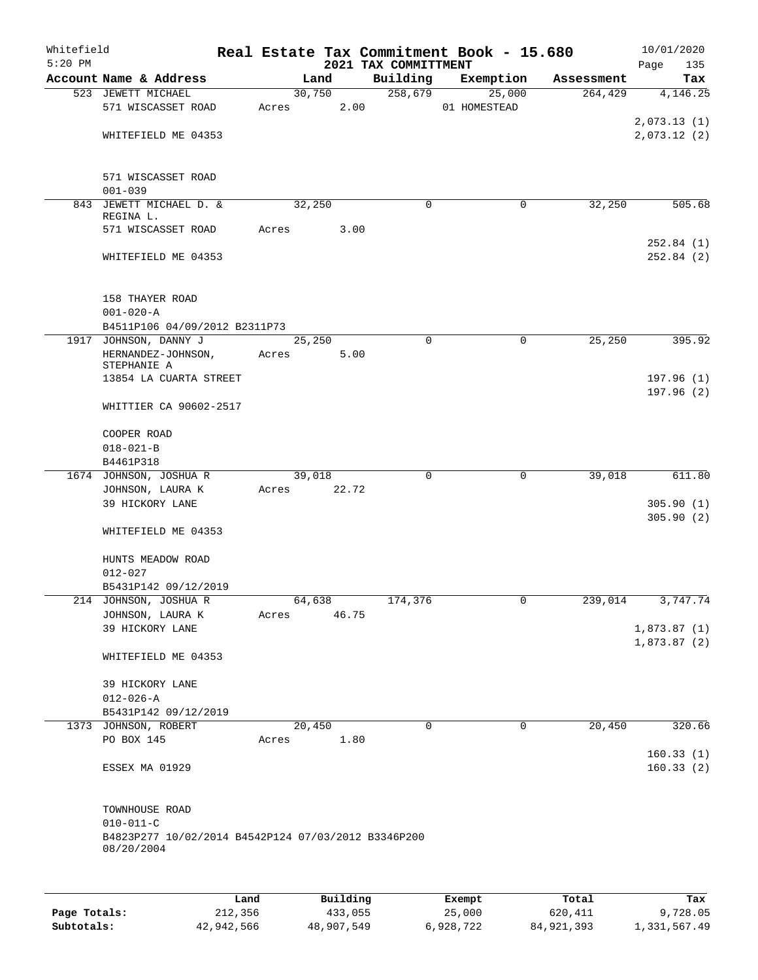| Whitefield<br>$5:20$ PM |                                                                        |             |        |        |                                  | Real Estate Tax Commitment Book - 15.680 |            | 10/01/2020              |
|-------------------------|------------------------------------------------------------------------|-------------|--------|--------|----------------------------------|------------------------------------------|------------|-------------------------|
|                         | Account Name & Address                                                 |             | Land   |        | 2021 TAX COMMITTMENT<br>Building | Exemption                                | Assessment | Page<br>135<br>Tax      |
|                         | 523 JEWETT MICHAEL                                                     |             |        | 30,750 | 258,679                          | 25,000                                   | 264, 429   | 4,146.25                |
|                         | 571 WISCASSET ROAD                                                     |             | Acres  | 2.00   |                                  | 01 HOMESTEAD                             |            |                         |
|                         |                                                                        |             |        |        |                                  |                                          |            | 2,073.13(1)             |
|                         | WHITEFIELD ME 04353                                                    |             |        |        |                                  |                                          |            | 2,073.12(2)             |
|                         |                                                                        |             |        |        |                                  |                                          |            |                         |
|                         |                                                                        |             |        |        |                                  |                                          |            |                         |
|                         | 571 WISCASSET ROAD                                                     |             |        |        |                                  |                                          |            |                         |
|                         | $001 - 039$                                                            |             |        |        | $\Omega$                         |                                          | 32,250     |                         |
|                         | 843 JEWETT MICHAEL D. &<br>REGINA L.                                   |             | 32,250 |        |                                  | 0                                        |            | 505.68                  |
|                         | 571 WISCASSET ROAD                                                     | Acres       |        | 3.00   |                                  |                                          |            |                         |
|                         |                                                                        |             |        |        |                                  |                                          |            | 252.84(1)               |
|                         | WHITEFIELD ME 04353                                                    |             |        |        |                                  |                                          |            | 252.84(2)               |
|                         |                                                                        |             |        |        |                                  |                                          |            |                         |
|                         | 158 THAYER ROAD                                                        |             |        |        |                                  |                                          |            |                         |
|                         | $001 - 020 - A$                                                        |             |        |        |                                  |                                          |            |                         |
|                         | B4511P106 04/09/2012 B2311P73                                          |             |        |        |                                  |                                          |            |                         |
|                         | 1917 JOHNSON, DANNY J                                                  |             | 25,250 |        | 0                                | $\mathbf 0$                              | 25, 250    | 395.92                  |
|                         | HERNANDEZ-JOHNSON,                                                     | Acres       |        | 5.00   |                                  |                                          |            |                         |
|                         | STEPHANIE A                                                            |             |        |        |                                  |                                          |            |                         |
|                         | 13854 LA CUARTA STREET                                                 |             |        |        |                                  |                                          |            | 197.96(1)<br>197.96 (2) |
|                         | WHITTIER CA 90602-2517                                                 |             |        |        |                                  |                                          |            |                         |
|                         |                                                                        |             |        |        |                                  |                                          |            |                         |
|                         | COOPER ROAD                                                            |             |        |        |                                  |                                          |            |                         |
|                         | $018 - 021 - B$                                                        |             |        |        |                                  |                                          |            |                         |
|                         | B4461P318                                                              |             |        |        |                                  |                                          |            |                         |
|                         | 1674 JOHNSON, JOSHUA R                                                 |             | 39,018 |        | 0                                | $\mathbf 0$                              | 39,018     | 611.80                  |
|                         | JOHNSON, LAURA K<br>39 HICKORY LANE                                    | Acres 22.72 |        |        |                                  |                                          |            | 305.90(1)               |
|                         |                                                                        |             |        |        |                                  |                                          |            | 305.90(2)               |
|                         | WHITEFIELD ME 04353                                                    |             |        |        |                                  |                                          |            |                         |
|                         |                                                                        |             |        |        |                                  |                                          |            |                         |
|                         | HUNTS MEADOW ROAD                                                      |             |        |        |                                  |                                          |            |                         |
|                         | $012 - 027$                                                            |             |        |        |                                  |                                          |            |                         |
|                         | B5431P142 09/12/2019                                                   |             |        |        |                                  |                                          |            |                         |
|                         | 214 JOHNSON, JOSHUA R<br>JOHNSON, LAURA K                              | Acres       | 64,638 | 46.75  | 174,376                          | 0                                        | 239,014    | 3,747.74                |
|                         | 39 HICKORY LANE                                                        |             |        |        |                                  |                                          |            | 1,873.87(1)             |
|                         |                                                                        |             |        |        |                                  |                                          |            | 1,873.87(2)             |
|                         | WHITEFIELD ME 04353                                                    |             |        |        |                                  |                                          |            |                         |
|                         |                                                                        |             |        |        |                                  |                                          |            |                         |
|                         | 39 HICKORY LANE                                                        |             |        |        |                                  |                                          |            |                         |
|                         | $012 - 026 - A$                                                        |             |        |        |                                  |                                          |            |                         |
|                         | B5431P142 09/12/2019<br>1373 JOHNSON, ROBERT                           |             | 20,450 |        | $\mathbf 0$                      | $\mathbf 0$                              | 20,450     | 320.66                  |
|                         | PO BOX 145                                                             | Acres       |        | 1.80   |                                  |                                          |            |                         |
|                         |                                                                        |             |        |        |                                  |                                          |            | 160.33(1)               |
|                         | ESSEX MA 01929                                                         |             |        |        |                                  |                                          |            | 160.33(2)               |
|                         |                                                                        |             |        |        |                                  |                                          |            |                         |
|                         |                                                                        |             |        |        |                                  |                                          |            |                         |
|                         | TOWNHOUSE ROAD                                                         |             |        |        |                                  |                                          |            |                         |
|                         | $010 - 011 - C$<br>B4823P277 10/02/2014 B4542P124 07/03/2012 B3346P200 |             |        |        |                                  |                                          |            |                         |
|                         | 08/20/2004                                                             |             |        |        |                                  |                                          |            |                         |
|                         |                                                                        |             |        |        |                                  |                                          |            |                         |
|                         |                                                                        |             |        |        |                                  |                                          |            |                         |
|                         |                                                                        |             |        |        |                                  |                                          |            |                         |

|              | Land       | Building   | Exempt    | Total        | Tax          |
|--------------|------------|------------|-----------|--------------|--------------|
| Page Totals: | 212,356    | 433,055    | 25,000    | 620,411      | 9,728.05     |
| Subtotals:   | 42,942,566 | 48,907,549 | 6,928,722 | 84, 921, 393 | 1,331,567.49 |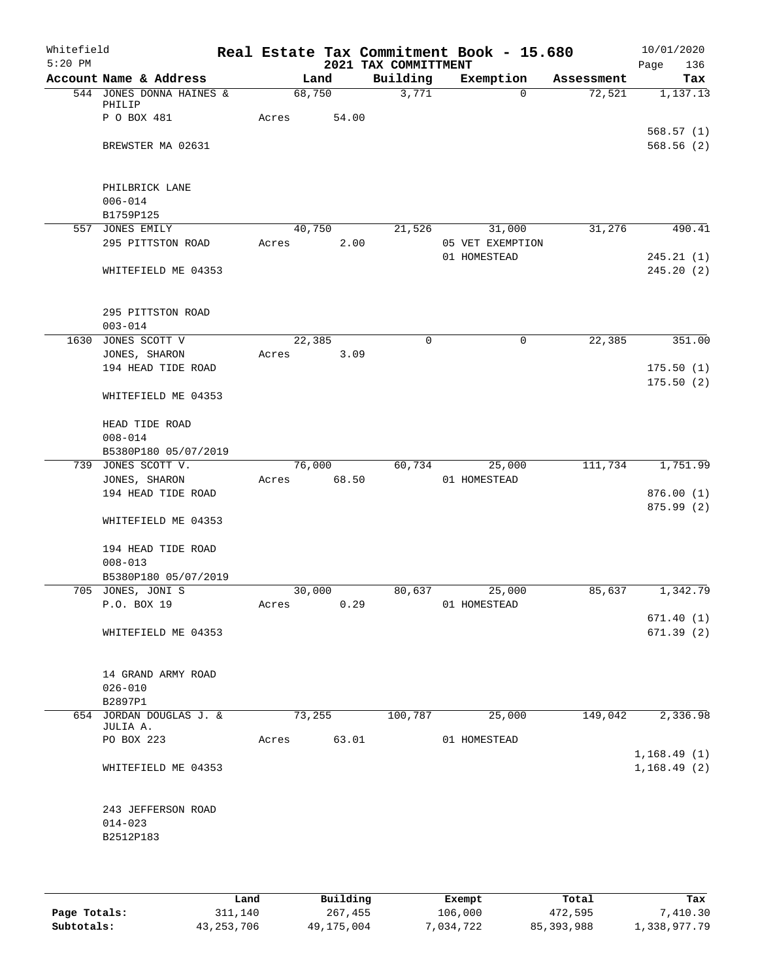| Whitefield<br>$5:20$ PM |                               |       |        |       | 2021 TAX COMMITTMENT | Real Estate Tax Commitment Book - 15.680 |            | 10/01/2020<br>Page<br>136 |
|-------------------------|-------------------------------|-------|--------|-------|----------------------|------------------------------------------|------------|---------------------------|
|                         | Account Name & Address        |       |        | Land  | Building             | Exemption                                | Assessment | Tax                       |
|                         | 544 JONES DONNA HAINES &      |       | 68,750 |       | 3,771                | $\Omega$                                 | 72,521     | 1,137.13                  |
|                         | PHILIP<br>P O BOX 481         | Acres |        | 54.00 |                      |                                          |            |                           |
|                         |                               |       |        |       |                      |                                          |            | 568.57(1)                 |
|                         | BREWSTER MA 02631             |       |        |       |                      |                                          |            | 568.56(2)                 |
|                         |                               |       |        |       |                      |                                          |            |                           |
|                         |                               |       |        |       |                      |                                          |            |                           |
|                         | PHILBRICK LANE<br>$006 - 014$ |       |        |       |                      |                                          |            |                           |
|                         | B1759P125                     |       |        |       |                      |                                          |            |                           |
|                         | 557 JONES EMILY               |       | 40,750 |       | 21,526               | 31,000                                   | 31,276     | 490.41                    |
|                         | 295 PITTSTON ROAD             | Acres |        | 2.00  |                      | 05 VET EXEMPTION                         |            |                           |
|                         |                               |       |        |       |                      | 01 HOMESTEAD                             |            | 245.21(1)                 |
|                         | WHITEFIELD ME 04353           |       |        |       |                      |                                          |            | 245.20(2)                 |
|                         |                               |       |        |       |                      |                                          |            |                           |
|                         | 295 PITTSTON ROAD             |       |        |       |                      |                                          |            |                           |
|                         | $003 - 014$                   |       |        |       |                      |                                          |            |                           |
|                         | 1630 JONES SCOTT V            |       | 22,385 |       | $\mathbf 0$          | $\mathbf 0$                              | 22,385     | 351.00                    |
|                         | JONES, SHARON                 | Acres |        | 3.09  |                      |                                          |            |                           |
|                         | 194 HEAD TIDE ROAD            |       |        |       |                      |                                          |            | 175.50(1)                 |
|                         |                               |       |        |       |                      |                                          |            | 175.50(2)                 |
|                         | WHITEFIELD ME 04353           |       |        |       |                      |                                          |            |                           |
|                         | HEAD TIDE ROAD                |       |        |       |                      |                                          |            |                           |
|                         | $008 - 014$                   |       |        |       |                      |                                          |            |                           |
|                         | B5380P180 05/07/2019          |       |        |       |                      |                                          |            |                           |
|                         | 739 JONES SCOTT V.            |       | 76,000 |       | 60,734               | 25,000                                   | 111,734    | 1,751.99                  |
|                         | JONES, SHARON                 | Acres |        | 68.50 |                      | 01 HOMESTEAD                             |            |                           |
|                         | 194 HEAD TIDE ROAD            |       |        |       |                      |                                          |            | 876.00(1)                 |
|                         |                               |       |        |       |                      |                                          |            | 875.99 (2)                |
|                         | WHITEFIELD ME 04353           |       |        |       |                      |                                          |            |                           |
|                         | 194 HEAD TIDE ROAD            |       |        |       |                      |                                          |            |                           |
|                         | $008 - 013$                   |       |        |       |                      |                                          |            |                           |
|                         | B5380P180 05/07/2019          |       |        |       |                      |                                          |            |                           |
|                         | 705 JONES, JONI S             |       | 30,000 |       | 80,637               | 25,000                                   | 85,637     | 1,342.79                  |
|                         | P.O. BOX 19                   | Acres |        | 0.29  |                      | 01 HOMESTEAD                             |            |                           |
|                         |                               |       |        |       |                      |                                          |            | 671.40(1)                 |
|                         | WHITEFIELD ME 04353           |       |        |       |                      |                                          |            | 671.39(2)                 |
|                         |                               |       |        |       |                      |                                          |            |                           |
|                         | 14 GRAND ARMY ROAD            |       |        |       |                      |                                          |            |                           |
|                         | $026 - 010$                   |       |        |       |                      |                                          |            |                           |
|                         | B2897P1                       |       |        |       |                      |                                          |            |                           |
|                         | 654 JORDAN DOUGLAS J. &       |       | 73,255 |       | 100,787              | 25,000                                   | 149,042    | 2,336.98                  |
|                         | JULIA A.                      |       |        |       |                      |                                          |            |                           |
|                         | PO BOX 223                    |       | Acres  | 63.01 |                      | 01 HOMESTEAD                             |            |                           |
|                         |                               |       |        |       |                      |                                          |            | 1,168.49(1)               |
|                         | WHITEFIELD ME 04353           |       |        |       |                      |                                          |            | 1,168.49(2)               |
|                         |                               |       |        |       |                      |                                          |            |                           |
|                         | 243 JEFFERSON ROAD            |       |        |       |                      |                                          |            |                           |
|                         | $014 - 023$                   |       |        |       |                      |                                          |            |                           |
|                         | B2512P183                     |       |        |       |                      |                                          |            |                           |
|                         |                               |       |        |       |                      |                                          |            |                           |
|                         |                               |       |        |       |                      |                                          |            |                           |

|              | Land       | Building   | Exempt    | Total        | Tax          |
|--------------|------------|------------|-----------|--------------|--------------|
| Page Totals: | 311,140    | 267,455    | 106,000   | 472,595      | 7,410.30     |
| Subtotals:   | 43,253,706 | 49,175,004 | 7,034,722 | 85, 393, 988 | 1,338,977.79 |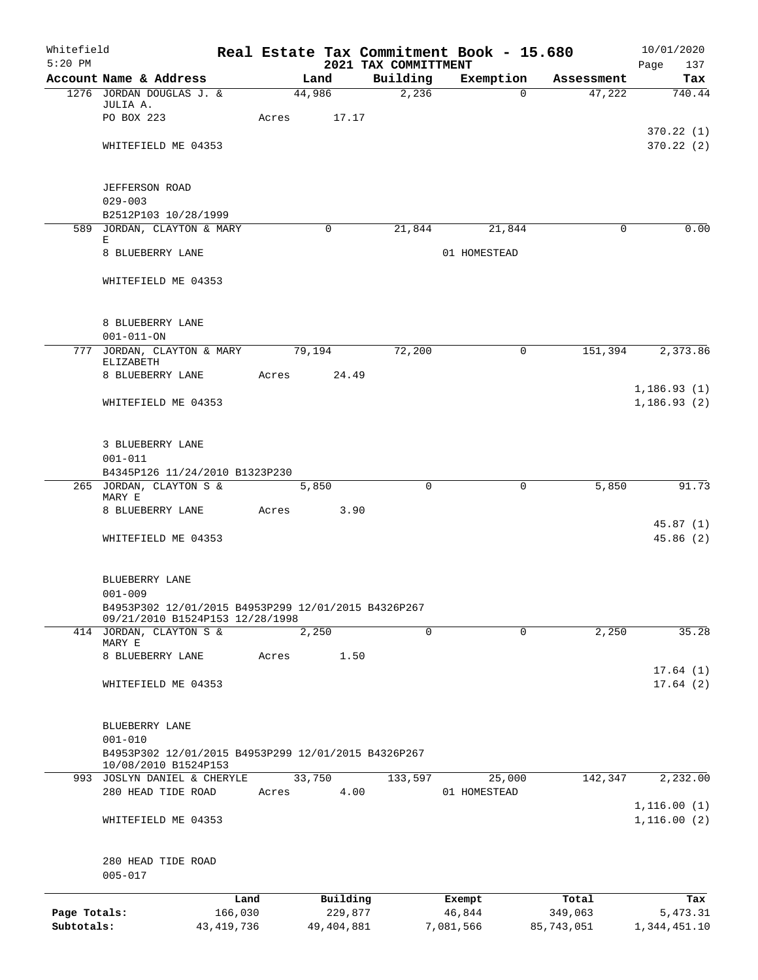| Whitefield<br>$5:20$ PM    |                                                                                            |                       |       |        |                         | 2021 TAX COMMITTMENT | Real Estate Tax Commitment Book - 15.680 |                        | 10/01/2020<br>Page<br>137    |
|----------------------------|--------------------------------------------------------------------------------------------|-----------------------|-------|--------|-------------------------|----------------------|------------------------------------------|------------------------|------------------------------|
|                            | Account Name & Address                                                                     |                       |       | Land   |                         | Building             | Exemption                                | Assessment             | Tax                          |
|                            | 1276 JORDAN DOUGLAS J. &                                                                   |                       |       | 44,986 |                         | 2,236                |                                          | 47,222<br>$\Omega$     | 740.44                       |
|                            | JULIA A.<br>PO BOX 223                                                                     |                       | Acres |        | 17.17                   |                      |                                          |                        |                              |
|                            |                                                                                            |                       |       |        |                         |                      |                                          |                        | 370.22(1)                    |
|                            | WHITEFIELD ME 04353                                                                        |                       |       |        |                         |                      |                                          |                        | 370.22(2)                    |
|                            | <b>JEFFERSON ROAD</b>                                                                      |                       |       |        |                         |                      |                                          |                        |                              |
|                            | $029 - 003$                                                                                |                       |       |        |                         |                      |                                          |                        |                              |
|                            | B2512P103 10/28/1999<br>589 JORDAN, CLAYTON & MARY                                         |                       |       |        | $\mathbf 0$             | 21,844               | 21,844                                   |                        | 0.00<br>$\mathbf 0$          |
|                            | Ε                                                                                          |                       |       |        |                         |                      |                                          |                        |                              |
|                            | 8 BLUEBERRY LANE                                                                           |                       |       |        |                         |                      | 01 HOMESTEAD                             |                        |                              |
|                            | WHITEFIELD ME 04353                                                                        |                       |       |        |                         |                      |                                          |                        |                              |
|                            | 8 BLUEBERRY LANE                                                                           |                       |       |        |                         |                      |                                          |                        |                              |
|                            | $001 - 011 - ON$                                                                           |                       |       |        |                         |                      |                                          |                        |                              |
|                            | 777 JORDAN, CLAYTON & MARY<br><b>ELIZABETH</b>                                             |                       |       | 79,194 |                         | 72,200               |                                          | $\mathbf 0$<br>151,394 | 2,373.86                     |
|                            | 8 BLUEBERRY LANE                                                                           |                       | Acres |        | 24.49                   |                      |                                          |                        |                              |
|                            | WHITEFIELD ME 04353                                                                        |                       |       |        |                         |                      |                                          |                        | 1, 186.93(1)<br>1, 186.93(2) |
|                            | 3 BLUEBERRY LANE<br>$001 - 011$                                                            |                       |       |        |                         |                      |                                          |                        |                              |
|                            | B4345P126 11/24/2010 B1323P230                                                             |                       |       |        |                         |                      |                                          |                        |                              |
|                            | 265 JORDAN, CLAYTON S &<br>MARY E                                                          |                       |       | 5,850  |                         | $\Omega$             |                                          | 5,850<br>$\mathbf 0$   | 91.73                        |
|                            | 8 BLUEBERRY LANE                                                                           |                       | Acres |        | 3.90                    |                      |                                          |                        | 45.87(1)                     |
|                            | WHITEFIELD ME 04353                                                                        |                       |       |        |                         |                      |                                          |                        | 45.86(2)                     |
|                            | BLUEBERRY LANE<br>$001 - 009$                                                              |                       |       |        |                         |                      |                                          |                        |                              |
|                            | B4953P302 12/01/2015 B4953P299 12/01/2015 B4326P267                                        |                       |       |        |                         |                      |                                          |                        |                              |
|                            | 09/21/2010 B1524P153 12/28/1998<br>414 JORDAN, CLAYTON S &                                 |                       |       | 2,250  |                         | 0                    |                                          | 0<br>2,250             | 35.28                        |
|                            | MARY E                                                                                     |                       |       |        |                         |                      |                                          |                        |                              |
|                            | 8 BLUEBERRY LANE                                                                           |                       | Acres |        | 1.50                    |                      |                                          |                        | 17.64(1)                     |
|                            | WHITEFIELD ME 04353                                                                        |                       |       |        |                         |                      |                                          |                        | 17.64(2)                     |
|                            | BLUEBERRY LANE                                                                             |                       |       |        |                         |                      |                                          |                        |                              |
|                            | $001 - 010$<br>B4953P302 12/01/2015 B4953P299 12/01/2015 B4326P267<br>10/08/2010 B1524P153 |                       |       |        |                         |                      |                                          |                        |                              |
|                            | 993 JOSLYN DANIEL & CHERYLE                                                                |                       |       | 33,750 |                         | 133,597              | 25,000                                   | 142,347                | 2,232.00                     |
|                            | 280 HEAD TIDE ROAD                                                                         |                       | Acres |        | 4.00                    |                      | 01 HOMESTEAD                             |                        |                              |
|                            | WHITEFIELD ME 04353                                                                        |                       |       |        |                         |                      |                                          |                        | 1, 116.00(1)<br>1,116.00(2)  |
|                            | 280 HEAD TIDE ROAD<br>$005 - 017$                                                          |                       |       |        |                         |                      |                                          |                        |                              |
|                            |                                                                                            | Land                  |       |        | Building                |                      | Exempt                                   | Total                  | Tax                          |
| Page Totals:<br>Subtotals: |                                                                                            | 166,030<br>43,419,736 |       |        | 229,877<br>49, 404, 881 |                      | 46,844<br>7,081,566                      | 349,063<br>85,743,051  | 5,473.31<br>1,344,451.10     |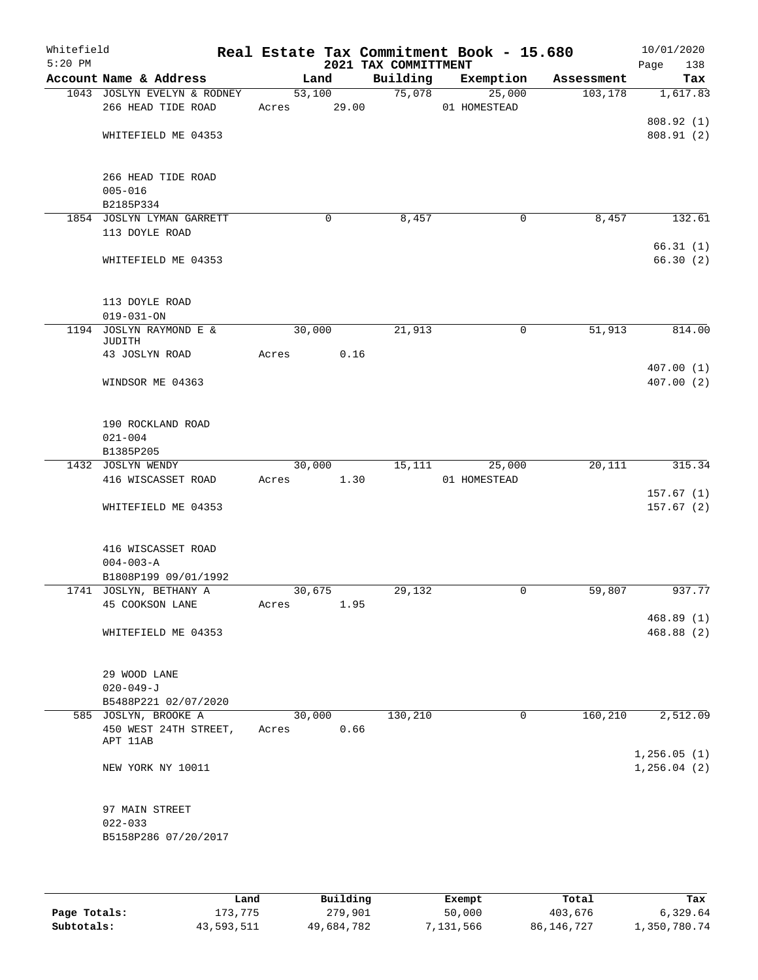| Whitefield<br>$5:20$ PM |                                                |        |       | 2021 TAX COMMITTMENT | Real Estate Tax Commitment Book - 15.680 |            | 10/01/2020<br>Page<br>138 |
|-------------------------|------------------------------------------------|--------|-------|----------------------|------------------------------------------|------------|---------------------------|
|                         | Account Name & Address                         |        | Land  | Building             | Exemption                                | Assessment | Tax                       |
|                         | 1043 JOSLYN EVELYN & RODNEY                    | 53,100 |       | 75,078               | 25,000                                   | 103, 178   | 1,617.83                  |
|                         | 266 HEAD TIDE ROAD                             | Acres  | 29.00 |                      | 01 HOMESTEAD                             |            |                           |
|                         |                                                |        |       |                      |                                          |            | 808.92 (1)                |
|                         | WHITEFIELD ME 04353                            |        |       |                      |                                          |            | 808.91(2)                 |
|                         | 266 HEAD TIDE ROAD                             |        |       |                      |                                          |            |                           |
|                         | $005 - 016$                                    |        |       |                      |                                          |            |                           |
|                         | B2185P334                                      |        |       |                      |                                          |            |                           |
|                         | 1854 JOSLYN LYMAN GARRETT                      |        | 0     | 8,457                | 0                                        | 8,457      | 132.61                    |
|                         | 113 DOYLE ROAD                                 |        |       |                      |                                          |            | 66.31(1)                  |
|                         | WHITEFIELD ME 04353                            |        |       |                      |                                          |            | 66.30(2)                  |
|                         | 113 DOYLE ROAD                                 |        |       |                      |                                          |            |                           |
|                         | $019 - 031 - ON$                               |        |       |                      |                                          |            |                           |
| 1194                    | JOSLYN RAYMOND E &<br>JUDITH                   | 30,000 |       | 21,913               | 0                                        | 51,913     | 814.00                    |
|                         | 43 JOSLYN ROAD                                 | Acres  | 0.16  |                      |                                          |            |                           |
|                         | WINDSOR ME 04363                               |        |       |                      |                                          |            | 407.00(1)<br>407.00(2)    |
|                         | 190 ROCKLAND ROAD<br>$021 - 004$               |        |       |                      |                                          |            |                           |
|                         | B1385P205                                      |        |       |                      |                                          |            |                           |
|                         | 1432 JOSLYN WENDY                              | 30,000 |       | 15,111               | 25,000                                   | 20,111     | 315.34                    |
|                         | 416 WISCASSET ROAD                             | Acres  | 1.30  |                      | 01 HOMESTEAD                             |            |                           |
|                         |                                                |        |       |                      |                                          |            | 157.67(1)                 |
|                         | WHITEFIELD ME 04353                            |        |       |                      |                                          |            | 157.67(2)                 |
|                         | 416 WISCASSET ROAD                             |        |       |                      |                                          |            |                           |
|                         | $004 - 003 - A$                                |        |       |                      |                                          |            |                           |
|                         | B1808P199 09/01/1992<br>1741 JOSLYN, BETHANY A | 30,675 |       | 29,132               | 0                                        | 59,807     | 937.77                    |
|                         | 45 COOKSON LANE                                | Acres  | 1.95  |                      |                                          |            |                           |
|                         |                                                |        |       |                      |                                          |            | 468.89 (1)                |
|                         | WHITEFIELD ME 04353                            |        |       |                      |                                          |            | 468.88 (2)                |
|                         | 29 WOOD LANE                                   |        |       |                      |                                          |            |                           |
|                         | $020 - 049 - J$                                |        |       |                      |                                          |            |                           |
|                         | B5488P221 02/07/2020                           |        |       |                      |                                          |            |                           |
|                         | 585 JOSLYN, BROOKE A                           | 30,000 |       | 130,210              | 0                                        | 160,210    | 2,512.09                  |
|                         | 450 WEST 24TH STREET,<br>APT 11AB              | Acres  | 0.66  |                      |                                          |            |                           |
|                         |                                                |        |       |                      |                                          |            | 1, 256.05(1)              |
|                         | NEW YORK NY 10011                              |        |       |                      |                                          |            | 1, 256.04(2)              |
|                         | 97 MAIN STREET                                 |        |       |                      |                                          |            |                           |
|                         | $022 - 033$                                    |        |       |                      |                                          |            |                           |
|                         | B5158P286 07/20/2017                           |        |       |                      |                                          |            |                           |
|                         |                                                |        |       |                      |                                          |            |                           |

|              | Land       | Building   | Exempt    | Total      | Tax          |
|--------------|------------|------------|-----------|------------|--------------|
| Page Totals: | 173,775    | 279,901    | 50,000    | 403,676    | 6,329.64     |
| Subtotals:   | 43,593,511 | 49,684,782 | 7,131,566 | 86,146,727 | 1,350,780.74 |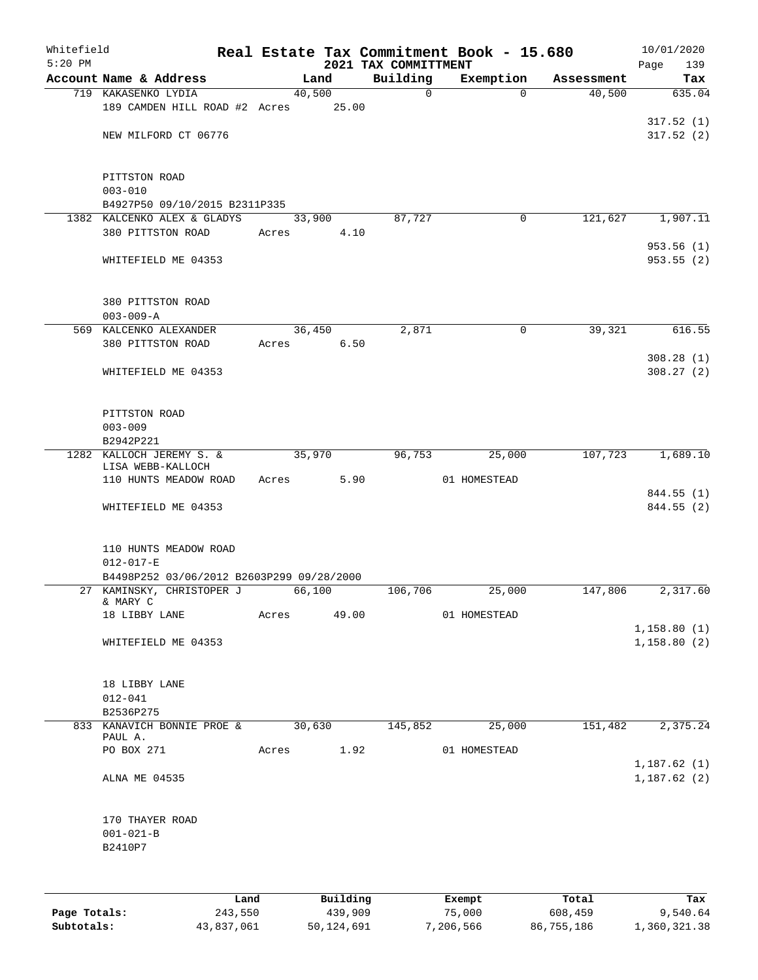| Whitefield   |                                                              |       |                |      |                         | Real Estate Tax Commitment Book - 15.680 |            | 10/01/2020                 |
|--------------|--------------------------------------------------------------|-------|----------------|------|-------------------------|------------------------------------------|------------|----------------------------|
| $5:20$ PM    |                                                              |       |                |      | 2021 TAX COMMITTMENT    |                                          |            | Page<br>139                |
|              | Account Name & Address<br>719 KAKASENKO LYDIA                |       | Land<br>40,500 |      | Building<br>$\mathbf 0$ | Exemption<br>$\Omega$                    | Assessment | Tax<br>635.04              |
|              | 189 CAMDEN HILL ROAD #2 Acres 25.00                          |       |                |      |                         |                                          | 40,500     |                            |
|              |                                                              |       |                |      |                         |                                          |            | 317.52(1)                  |
|              | NEW MILFORD CT 06776                                         |       |                |      |                         |                                          |            | 317.52(2)                  |
|              |                                                              |       |                |      |                         |                                          |            |                            |
|              | PITTSTON ROAD                                                |       |                |      |                         |                                          |            |                            |
|              | $003 - 010$                                                  |       |                |      |                         |                                          |            |                            |
|              | B4927P50 09/10/2015 B2311P335                                |       |                |      |                         |                                          |            |                            |
|              | 1382 KALCENKO ALEX & GLADYS                                  |       | 33,900         |      | 87,727                  | 0                                        | 121,627    | 1,907.11                   |
|              | 380 PITTSTON ROAD                                            | Acres |                | 4.10 |                         |                                          |            |                            |
|              |                                                              |       |                |      |                         |                                          |            | 953.56(1)                  |
|              | WHITEFIELD ME 04353                                          |       |                |      |                         |                                          |            | 953.55 (2)                 |
|              | 380 PITTSTON ROAD                                            |       |                |      |                         |                                          |            |                            |
|              | $003 - 009 - A$                                              |       |                |      |                         |                                          |            |                            |
|              | 569 KALCENKO ALEXANDER                                       |       | 36,450         |      | 2,871                   | 0                                        | 39,321     | 616.55                     |
|              | 380 PITTSTON ROAD                                            | Acres |                | 6.50 |                         |                                          |            |                            |
|              |                                                              |       |                |      |                         |                                          |            | 308.28(1)                  |
|              | WHITEFIELD ME 04353                                          |       |                |      |                         |                                          |            | 308.27(2)                  |
|              |                                                              |       |                |      |                         |                                          |            |                            |
|              | PITTSTON ROAD                                                |       |                |      |                         |                                          |            |                            |
|              | $003 - 009$                                                  |       |                |      |                         |                                          |            |                            |
|              | B2942P221                                                    |       |                |      |                         |                                          |            |                            |
|              | 1282 KALLOCH JEREMY S. &                                     |       | 35,970         |      | 96,753                  | 25,000                                   | 107,723    | 1,689.10                   |
|              | LISA WEBB-KALLOCH<br>110 HUNTS MEADOW ROAD                   | Acres |                | 5.90 |                         | 01 HOMESTEAD                             |            |                            |
|              |                                                              |       |                |      |                         |                                          |            | 844.55 (1)                 |
|              | WHITEFIELD ME 04353                                          |       |                |      |                         |                                          |            | 844.55 (2)                 |
|              |                                                              |       |                |      |                         |                                          |            |                            |
|              | 110 HUNTS MEADOW ROAD                                        |       |                |      |                         |                                          |            |                            |
|              | $012 - 017 - E$<br>B4498P252 03/06/2012 B2603P299 09/28/2000 |       |                |      |                         |                                          |            |                            |
|              | 27 KAMINSKY, CHRISTOPER J                                    |       | 66,100         |      | 106,706                 | 25,000                                   | 147,806    | 2,317.60                   |
|              | & MARY C                                                     |       |                |      |                         |                                          |            |                            |
|              | 18 LIBBY LANE                                                | Acres | 49.00          |      |                         | 01 HOMESTEAD                             |            |                            |
|              |                                                              |       |                |      |                         |                                          |            | 1,158.80(1)                |
|              | WHITEFIELD ME 04353                                          |       |                |      |                         |                                          |            | 1,158.80(2)                |
|              |                                                              |       |                |      |                         |                                          |            |                            |
|              | 18 LIBBY LANE                                                |       |                |      |                         |                                          |            |                            |
|              | $012 - 041$<br>B2536P275                                     |       |                |      |                         |                                          |            |                            |
|              | 833 KANAVICH BONNIE PROE &                                   |       | 30,630         |      | 145,852                 | 25,000                                   | 151,482    | 2,375.24                   |
|              | PAUL A.                                                      |       |                |      |                         |                                          |            |                            |
|              | PO BOX 271                                                   | Acres |                | 1.92 |                         | 01 HOMESTEAD                             |            |                            |
|              | ALNA ME 04535                                                |       |                |      |                         |                                          |            | 1,187.62(1)<br>1,187.62(2) |
|              |                                                              |       |                |      |                         |                                          |            |                            |
|              | 170 THAYER ROAD                                              |       |                |      |                         |                                          |            |                            |
|              | $001 - 021 - B$                                              |       |                |      |                         |                                          |            |                            |
|              | B2410P7                                                      |       |                |      |                         |                                          |            |                            |
|              |                                                              |       |                |      |                         |                                          |            |                            |
|              | Land                                                         |       | Building       |      |                         | Exempt                                   | Total      | Tax                        |
| Page Totals: | 243,550                                                      |       | 439,909        |      |                         | 75,000                                   | 608,459    | 9,540.64                   |

**Subtotals:** 43,837,061 50,124,691 7,206,566 86,755,186 1,360,321.38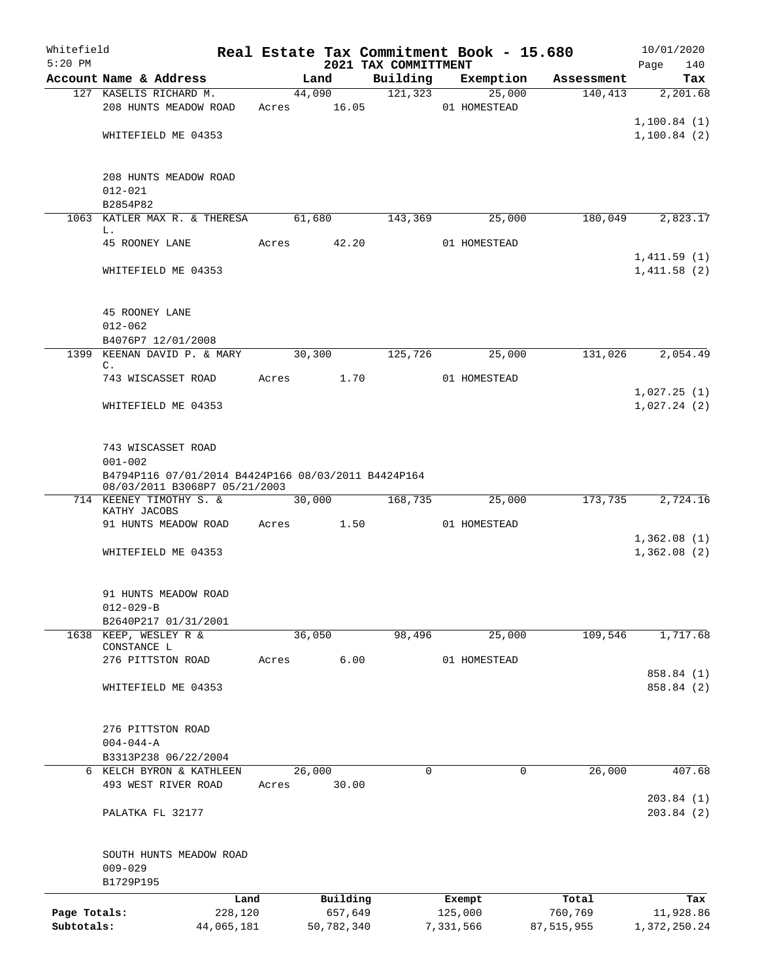| Whitefield<br>$5:20$ PM |                                                          |       |            |       | 2021 TAX COMMITTMENT | Real Estate Tax Commitment Book - 15.680 |              | 10/01/2020<br>140<br>Page  |
|-------------------------|----------------------------------------------------------|-------|------------|-------|----------------------|------------------------------------------|--------------|----------------------------|
|                         | Account Name & Address                                   |       | Land       |       | Building             | Exemption                                | Assessment   | Tax                        |
|                         | 127 KASELIS RICHARD M.                                   |       | 44,090     |       | 121, 323             | 25,000                                   | 140, 413     | 2,201.68                   |
|                         | 208 HUNTS MEADOW ROAD                                    | Acres |            | 16.05 |                      | 01 HOMESTEAD                             |              |                            |
|                         |                                                          |       |            |       |                      |                                          |              | 1,100.84(1)                |
|                         | WHITEFIELD ME 04353                                      |       |            |       |                      |                                          |              | 1,100.84(2)                |
|                         |                                                          |       |            |       |                      |                                          |              |                            |
|                         | 208 HUNTS MEADOW ROAD                                    |       |            |       |                      |                                          |              |                            |
|                         | $012 - 021$                                              |       |            |       |                      |                                          |              |                            |
|                         | B2854P82                                                 |       |            |       |                      |                                          |              |                            |
|                         | 1063 KATLER MAX R. & THERESA                             |       | 61,680     |       | 143,369              | 25,000                                   | 180,049      | 2,823.17                   |
|                         | L.                                                       |       |            |       |                      |                                          |              |                            |
|                         | 45 ROONEY LANE                                           | Acres |            | 42.20 |                      | 01 HOMESTEAD                             |              |                            |
|                         |                                                          |       |            |       |                      |                                          |              | 1,411.59(1)                |
|                         | WHITEFIELD ME 04353                                      |       |            |       |                      |                                          |              | 1,411.58(2)                |
|                         |                                                          |       |            |       |                      |                                          |              |                            |
|                         | 45 ROONEY LANE                                           |       |            |       |                      |                                          |              |                            |
|                         | $012 - 062$                                              |       |            |       |                      |                                          |              |                            |
|                         | B4076P7 12/01/2008                                       |       |            |       |                      |                                          |              |                            |
|                         | 1399 KEENAN DAVID P. & MARY                              |       | 30,300     |       | 125,726              | 25,000                                   | 131,026      | 2,054.49                   |
|                         | C.                                                       |       |            |       |                      |                                          |              |                            |
|                         | 743 WISCASSET ROAD                                       | Acres |            | 1.70  |                      | 01 HOMESTEAD                             |              |                            |
|                         | WHITEFIELD ME 04353                                      |       |            |       |                      |                                          |              | 1,027.25(1)<br>1,027.24(2) |
|                         |                                                          |       |            |       |                      |                                          |              |                            |
|                         |                                                          |       |            |       |                      |                                          |              |                            |
|                         | 743 WISCASSET ROAD                                       |       |            |       |                      |                                          |              |                            |
|                         | $001 - 002$                                              |       |            |       |                      |                                          |              |                            |
|                         | B4794P116 07/01/2014 B4424P166 08/03/2011 B4424P164      |       |            |       |                      |                                          |              |                            |
|                         | 08/03/2011 B3068P7 05/21/2003<br>714 KEENEY TIMOTHY S. & |       | 30,000     |       | 168,735              | 25,000                                   | 173,735      | 2,724.16                   |
|                         | KATHY JACOBS                                             |       |            |       |                      |                                          |              |                            |
|                         | 91 HUNTS MEADOW ROAD                                     | Acres |            | 1.50  |                      | 01 HOMESTEAD                             |              |                            |
|                         |                                                          |       |            |       |                      |                                          |              | 1,362.08(1)                |
|                         | WHITEFIELD ME 04353                                      |       |            |       |                      |                                          |              | 1,362.08(2)                |
|                         |                                                          |       |            |       |                      |                                          |              |                            |
|                         | 91 HUNTS MEADOW ROAD                                     |       |            |       |                      |                                          |              |                            |
|                         | $012 - 029 - B$                                          |       |            |       |                      |                                          |              |                            |
|                         | B2640P217 01/31/2001                                     |       |            |       |                      |                                          |              |                            |
| 1638                    | KEEP, WESLEY R &                                         |       | 36,050     |       | 98,496               | 25,000                                   | 109,546      | 1,717.68                   |
|                         | CONSTANCE L                                              |       |            |       |                      |                                          |              |                            |
|                         | 276 PITTSTON ROAD                                        | Acres |            | 6.00  |                      | 01 HOMESTEAD                             |              |                            |
|                         |                                                          |       |            |       |                      |                                          |              | 858.84 (1)                 |
|                         | WHITEFIELD ME 04353                                      |       |            |       |                      |                                          |              | 858.84 (2)                 |
|                         |                                                          |       |            |       |                      |                                          |              |                            |
|                         | 276 PITTSTON ROAD                                        |       |            |       |                      |                                          |              |                            |
|                         | $004 - 044 - A$                                          |       |            |       |                      |                                          |              |                            |
|                         | B3313P238 06/22/2004                                     |       |            |       |                      |                                          |              |                            |
|                         | 6 KELCH BYRON & KATHLEEN                                 |       | 26,000     |       | $\Omega$             | 0                                        | 26,000       | 407.68                     |
|                         | 493 WEST RIVER ROAD                                      | Acres |            | 30.00 |                      |                                          |              |                            |
|                         |                                                          |       |            |       |                      |                                          |              | 203.84(1)                  |
|                         | PALATKA FL 32177                                         |       |            |       |                      |                                          |              | 203.84(2)                  |
|                         |                                                          |       |            |       |                      |                                          |              |                            |
|                         | SOUTH HUNTS MEADOW ROAD                                  |       |            |       |                      |                                          |              |                            |
|                         | $009 - 029$                                              |       |            |       |                      |                                          |              |                            |
|                         | B1729P195                                                |       |            |       |                      |                                          |              |                            |
|                         |                                                          | Land  | Building   |       |                      | Exempt                                   | Total        | Tax                        |
| Page Totals:            | 228,120                                                  |       | 657,649    |       |                      | 125,000                                  | 760,769      | 11,928.86                  |
| Subtotals:              | 44,065,181                                               |       | 50,782,340 |       |                      | 7,331,566                                | 87, 515, 955 | 1,372,250.24               |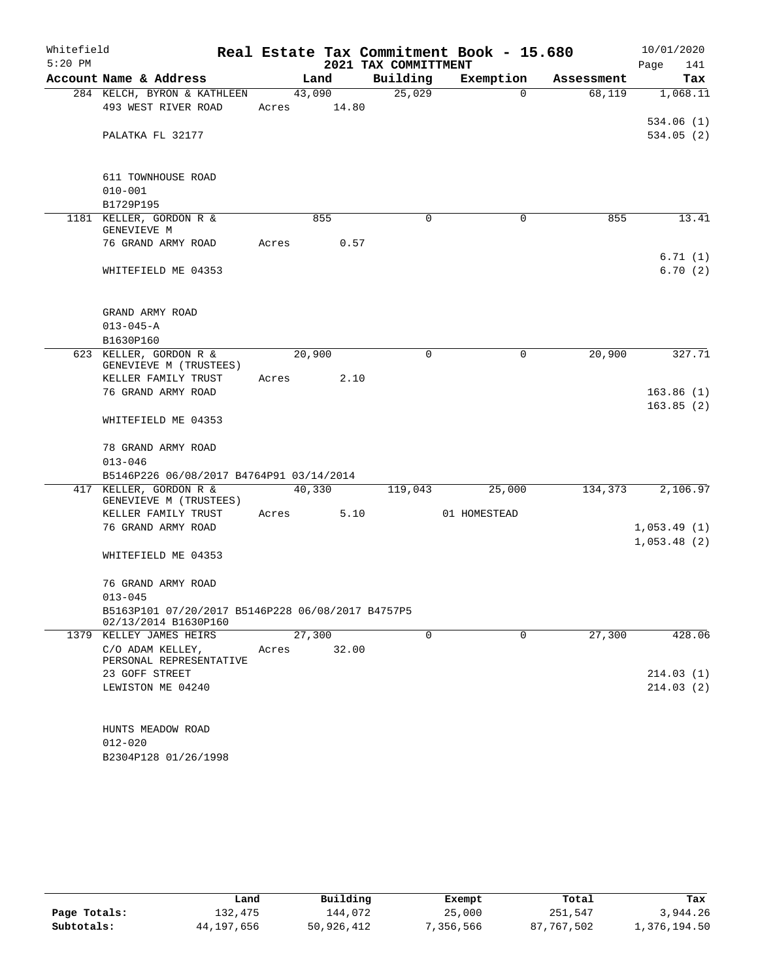| Whitefield |                                                   |       |        |                      |             | Real Estate Tax Commitment Book - 15.680 |            | 10/01/2020             |
|------------|---------------------------------------------------|-------|--------|----------------------|-------------|------------------------------------------|------------|------------------------|
| $5:20$ PM  |                                                   |       |        | 2021 TAX COMMITTMENT |             |                                          |            | Page<br>141            |
|            | Account Name & Address                            |       | Land   | Building             |             | Exemption                                | Assessment | Tax                    |
|            | 284 KELCH, BYRON & KATHLEEN                       |       | 43,090 | 25,029               |             | $\Omega$                                 | 68,119     | 1,068.11               |
|            | 493 WEST RIVER ROAD                               | Acres | 14.80  |                      |             |                                          |            |                        |
|            |                                                   |       |        |                      |             |                                          |            | 534.06(1)              |
|            | PALATKA FL 32177                                  |       |        |                      |             |                                          |            | 534.05(2)              |
|            |                                                   |       |        |                      |             |                                          |            |                        |
|            | 611 TOWNHOUSE ROAD                                |       |        |                      |             |                                          |            |                        |
|            | $010 - 001$                                       |       |        |                      |             |                                          |            |                        |
|            | B1729P195                                         |       |        |                      |             |                                          |            |                        |
|            | 1181 KELLER, GORDON R &                           |       | 855    |                      | $\Omega$    | $\Omega$                                 | 855        | 13.41                  |
|            | GENEVIEVE M                                       |       |        |                      |             |                                          |            |                        |
|            | 76 GRAND ARMY ROAD                                | Acres | 0.57   |                      |             |                                          |            |                        |
|            |                                                   |       |        |                      |             |                                          |            | 6.71(1)                |
|            | WHITEFIELD ME 04353                               |       |        |                      |             |                                          |            | 6.70(2)                |
|            |                                                   |       |        |                      |             |                                          |            |                        |
|            | GRAND ARMY ROAD                                   |       |        |                      |             |                                          |            |                        |
|            | $013 - 045 - A$                                   |       |        |                      |             |                                          |            |                        |
|            | B1630P160                                         |       |        |                      |             |                                          |            |                        |
|            | 623 KELLER, GORDON R &                            |       | 20,900 |                      | 0           | $\mathbf 0$                              | 20,900     | 327.71                 |
|            | GENEVIEVE M (TRUSTEES)                            |       |        |                      |             |                                          |            |                        |
|            | KELLER FAMILY TRUST                               | Acres | 2.10   |                      |             |                                          |            |                        |
|            | 76 GRAND ARMY ROAD                                |       |        |                      |             |                                          |            | 163.86(1)<br>163.85(2) |
|            | WHITEFIELD ME 04353                               |       |        |                      |             |                                          |            |                        |
|            |                                                   |       |        |                      |             |                                          |            |                        |
|            | 78 GRAND ARMY ROAD                                |       |        |                      |             |                                          |            |                        |
|            | $013 - 046$                                       |       |        |                      |             |                                          |            |                        |
|            | B5146P226 06/08/2017 B4764P91 03/14/2014          |       |        |                      |             |                                          |            |                        |
|            | 417 KELLER, GORDON R &                            |       | 40,330 | 119,043              |             | 25,000                                   | 134,373    | 2,106.97               |
|            | GENEVIEVE M (TRUSTEES)                            |       |        |                      |             |                                          |            |                        |
|            | KELLER FAMILY TRUST<br>76 GRAND ARMY ROAD         | Acres | 5.10   |                      |             | 01 HOMESTEAD                             |            | 1,053.49(1)            |
|            |                                                   |       |        |                      |             |                                          |            | 1,053.48(2)            |
|            | WHITEFIELD ME 04353                               |       |        |                      |             |                                          |            |                        |
|            |                                                   |       |        |                      |             |                                          |            |                        |
|            | 76 GRAND ARMY ROAD                                |       |        |                      |             |                                          |            |                        |
|            | $013 - 045$                                       |       |        |                      |             |                                          |            |                        |
|            | B5163P101 07/20/2017 B5146P228 06/08/2017 B4757P5 |       |        |                      |             |                                          |            |                        |
|            | 02/13/2014 B1630P160                              |       |        |                      |             |                                          |            |                        |
|            | 1379 KELLEY JAMES HEIRS<br>C/O ADAM KELLEY,       |       | 27,300 |                      | $\mathbf 0$ | 0                                        | 27,300     | 428.06                 |
|            | PERSONAL REPRESENTATIVE                           | Acres | 32.00  |                      |             |                                          |            |                        |
|            | 23 GOFF STREET                                    |       |        |                      |             |                                          |            | 214.03(1)              |
|            | LEWISTON ME 04240                                 |       |        |                      |             |                                          |            | 214.03(2)              |
|            |                                                   |       |        |                      |             |                                          |            |                        |
|            |                                                   |       |        |                      |             |                                          |            |                        |
|            | HUNTS MEADOW ROAD                                 |       |        |                      |             |                                          |            |                        |
|            | $012 - 020$                                       |       |        |                      |             |                                          |            |                        |
|            | B2304P128 01/26/1998                              |       |        |                      |             |                                          |            |                        |

|              | Land       | Building   | Exempt    | Total      | Tax          |
|--------------|------------|------------|-----------|------------|--------------|
| Page Totals: | 132,475    | 144.072    | 25,000    | 251,547    | 3,944.26     |
| Subtotals:   | 44,197,656 | 50,926,412 | 7,356,566 | 87,767,502 | l,376,194.50 |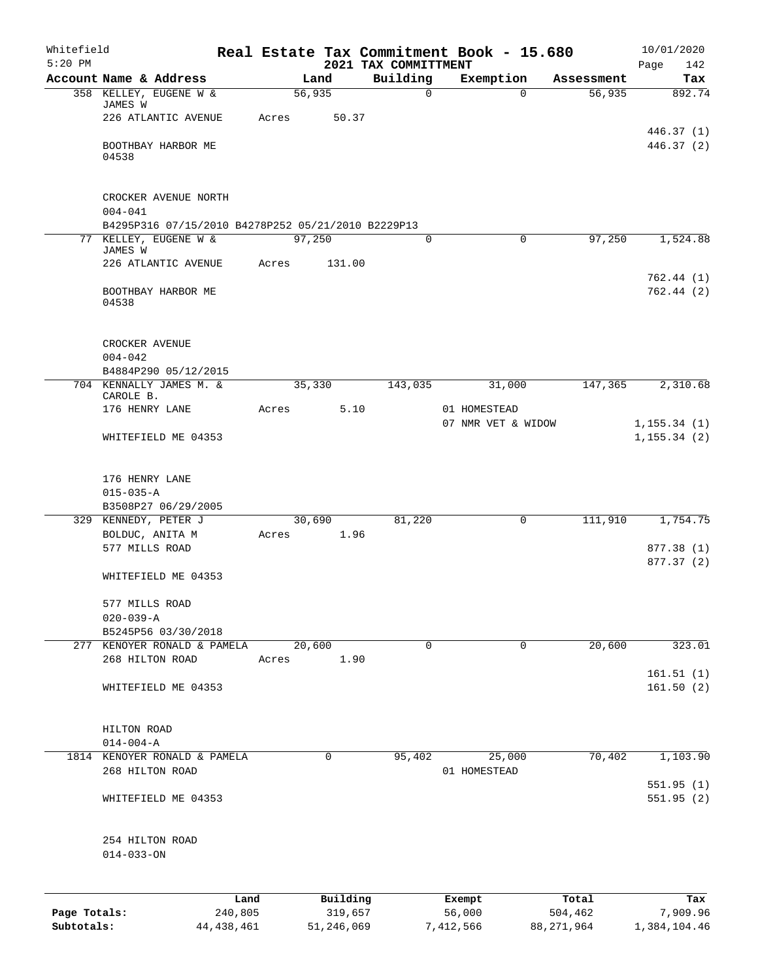| Whitefield                 |                                     |                                                                            |                         |       |        |                       |                                  | Real Estate Tax Commitment Book - 15.680 |             |                       | 10/01/2020                   |
|----------------------------|-------------------------------------|----------------------------------------------------------------------------|-------------------------|-------|--------|-----------------------|----------------------------------|------------------------------------------|-------------|-----------------------|------------------------------|
| $5:20$ PM                  |                                     | Account Name & Address                                                     |                         |       | Land   |                       | 2021 TAX COMMITTMENT<br>Building | Exemption                                |             | Assessment            | 142<br>Page<br>Tax           |
|                            |                                     | 358 KELLEY, EUGENE W &                                                     |                         |       | 56,935 |                       | 0                                |                                          | $\Omega$    | 56,935                | 892.74                       |
|                            | JAMES W                             |                                                                            |                         |       |        |                       |                                  |                                          |             |                       |                              |
|                            |                                     | 226 ATLANTIC AVENUE                                                        |                         | Acres |        | 50.37                 |                                  |                                          |             |                       | 446.37 (1)                   |
|                            | 04538                               | BOOTHBAY HARBOR ME                                                         |                         |       |        |                       |                                  |                                          |             |                       | 446.37 (2)                   |
|                            | $004 - 041$                         | CROCKER AVENUE NORTH<br>B4295P316 07/15/2010 B4278P252 05/21/2010 B2229P13 |                         |       |        |                       |                                  |                                          |             |                       |                              |
|                            |                                     | 77 KELLEY, EUGENE W &                                                      |                         |       | 97,250 |                       | 0                                |                                          | $\mathbf 0$ | 97,250                | 1,524.88                     |
|                            | JAMES W                             | 226 ATLANTIC AVENUE                                                        |                         | Acres |        | 131.00                |                                  |                                          |             |                       |                              |
|                            | 04538                               | BOOTHBAY HARBOR ME                                                         |                         |       |        |                       |                                  |                                          |             |                       | 762.44(1)<br>762.44(2)       |
|                            | CROCKER AVENUE<br>$004 - 042$       |                                                                            |                         |       |        |                       |                                  |                                          |             |                       |                              |
|                            |                                     | B4884P290 05/12/2015                                                       |                         |       |        |                       |                                  |                                          |             |                       |                              |
|                            | CAROLE B.                           | 704 KENNALLY JAMES M. &                                                    |                         |       | 35,330 |                       | 143,035                          |                                          | 31,000      | 147,365               | 2,310.68                     |
|                            | 176 HENRY LANE                      |                                                                            |                         | Acres |        | 5.10                  |                                  | 01 HOMESTEAD                             |             |                       |                              |
|                            |                                     | WHITEFIELD ME 04353                                                        |                         |       |        |                       |                                  | 07 NMR VET & WIDOW                       |             |                       | 1, 155.34(1)<br>1, 155.34(2) |
|                            | 176 HENRY LANE<br>$015 - 035 - A$   |                                                                            |                         |       |        |                       |                                  |                                          |             |                       |                              |
|                            |                                     | B3508P27 06/29/2005                                                        |                         |       |        |                       |                                  |                                          |             |                       |                              |
|                            | 329 KENNEDY, PETER J                |                                                                            |                         |       | 30,690 |                       | 81,220                           |                                          | 0           | 111,910               | 1,754.75                     |
|                            | BOLDUC, ANITA M<br>577 MILLS ROAD   |                                                                            |                         | Acres |        | 1.96                  |                                  |                                          |             |                       | 877.38 (1)<br>877.37 (2)     |
|                            |                                     | WHITEFIELD ME 04353                                                        |                         |       |        |                       |                                  |                                          |             |                       |                              |
|                            | 577 MILLS ROAD<br>$020 - 039 - A$   |                                                                            |                         |       |        |                       |                                  |                                          |             |                       |                              |
|                            |                                     | B5245P56 03/30/2018                                                        |                         |       |        |                       |                                  |                                          |             |                       |                              |
|                            | 268 HILTON ROAD                     | 277 KENOYER RONALD & PAMELA                                                |                         | Acres | 20,600 | 1.90                  | 0                                |                                          | 0           | 20,600                | 323.01                       |
|                            |                                     |                                                                            |                         |       |        |                       |                                  |                                          |             |                       | 161.51(1)                    |
|                            |                                     | WHITEFIELD ME 04353                                                        |                         |       |        |                       |                                  |                                          |             |                       | 161.50(2)                    |
|                            | HILTON ROAD                         |                                                                            |                         |       |        |                       |                                  |                                          |             |                       |                              |
|                            | $014 - 004 - A$                     | 1814 KENOYER RONALD & PAMELA                                               |                         |       |        | 0                     | 95, 402                          |                                          |             | 70,402                | 1,103.90                     |
|                            | 268 HILTON ROAD                     |                                                                            |                         |       |        |                       |                                  | 01 HOMESTEAD                             | 25,000      |                       | 551.95(1)                    |
|                            |                                     | WHITEFIELD ME 04353                                                        |                         |       |        |                       |                                  |                                          |             |                       | 551.95(2)                    |
|                            | 254 HILTON ROAD<br>$014 - 033 - ON$ |                                                                            |                         |       |        |                       |                                  |                                          |             |                       |                              |
|                            |                                     |                                                                            | Land                    |       |        | Building              |                                  | Exempt                                   |             | Total                 | Tax                          |
| Page Totals:<br>Subtotals: |                                     |                                                                            | 240,805<br>44, 438, 461 |       |        | 319,657<br>51,246,069 |                                  | 56,000<br>7,412,566                      |             | 504,462<br>88,271,964 | 7,909.96<br>1,384,104.46     |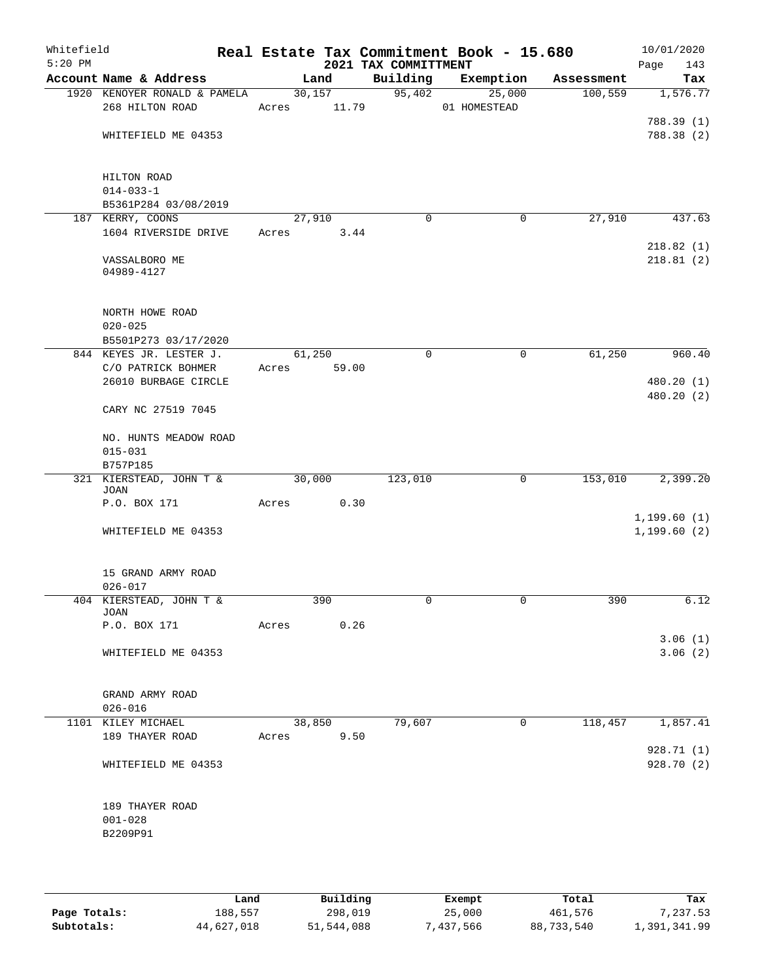| Whitefield<br>$5:20$ PM |                                                        |                       |      | 2021 TAX COMMITTMENT | Real Estate Tax Commitment Book - 15.680 |            | 10/01/2020<br>Page<br>143 |
|-------------------------|--------------------------------------------------------|-----------------------|------|----------------------|------------------------------------------|------------|---------------------------|
|                         | Account Name & Address                                 | Land                  |      | Building             | Exemption                                | Assessment | Tax                       |
|                         | 1920 KENOYER RONALD & PAMELA<br>268 HILTON ROAD        | 30,157<br>Acres 11.79 |      |                      | 95,402<br>25,000<br>01 HOMESTEAD         | 100,559    | 1,576.77                  |
|                         | WHITEFIELD ME 04353                                    |                       |      |                      |                                          |            | 788.39 (1)<br>788.38 (2)  |
|                         | HILTON ROAD<br>$014 - 033 - 1$                         |                       |      |                      |                                          |            |                           |
|                         | B5361P284 03/08/2019<br>187 KERRY, COONS               | 27,910                |      | $\Omega$             | 0                                        | 27,910     | 437.63                    |
|                         | 1604 RIVERSIDE DRIVE                                   | Acres                 | 3.44 |                      |                                          |            | 218.82(1)                 |
|                         | VASSALBORO ME<br>04989-4127                            |                       |      |                      |                                          |            | 218.81(2)                 |
|                         | NORTH HOWE ROAD<br>$020 - 025$<br>B5501P273 03/17/2020 |                       |      |                      |                                          |            |                           |
|                         | 844 KEYES JR. LESTER J.                                | 61,250                |      | $\mathbf 0$          | $\mathbf 0$                              | 61,250     | 960.40                    |
|                         | C/O PATRICK BOHMER<br>26010 BURBAGE CIRCLE             | Acres 59.00           |      |                      |                                          |            | 480.20 (1)<br>480.20 (2)  |
|                         | CARY NC 27519 7045                                     |                       |      |                      |                                          |            |                           |
|                         | NO. HUNTS MEADOW ROAD<br>$015 - 031$                   |                       |      |                      |                                          |            |                           |
|                         | B757P185<br>321 KIERSTEAD, JOHN T &                    | 30,000                |      | 123,010              | 0                                        | 153,010    | 2,399.20                  |
|                         | JOAN                                                   |                       |      |                      |                                          |            |                           |
|                         | P.O. BOX 171                                           | Acres                 | 0.30 |                      |                                          |            | 1, 199.60(1)              |
|                         | WHITEFIELD ME 04353                                    |                       |      |                      |                                          |            | 1, 199.60(2)              |
|                         | 15 GRAND ARMY ROAD<br>$026 - 017$                      |                       |      |                      |                                          |            |                           |
|                         | 404 KIERSTEAD, JOHN T &                                | 390                   |      |                      | 0                                        | 390        | 6.12                      |
|                         | JOAN<br>P.O. BOX 171                                   | Acres                 | 0.26 |                      |                                          |            |                           |
|                         | WHITEFIELD ME 04353                                    |                       |      |                      |                                          |            | 3.06(1)<br>3.06(2)        |
|                         | GRAND ARMY ROAD<br>$026 - 016$                         |                       |      |                      |                                          |            |                           |
|                         | 1101 KILEY MICHAEL                                     | 38,850                |      | 79,607               | 0                                        | 118,457    | 1,857.41                  |
|                         | 189 THAYER ROAD                                        | Acres                 | 9.50 |                      |                                          |            |                           |
|                         | WHITEFIELD ME 04353                                    |                       |      |                      |                                          |            | 928.71 (1)<br>928.70 (2)  |
|                         | 189 THAYER ROAD<br>$001 - 028$<br>B2209P91             |                       |      |                      |                                          |            |                           |

|              | Land       | Building   | Exempt   | Total      | Tax          |
|--------------|------------|------------|----------|------------|--------------|
| Page Totals: | 188,557    | 298,019    | 25,000   | 461,576    | 7,237.53     |
| Subtotals:   | 44,627,018 | 51,544,088 | 437,566" | 88,733,540 | 1,391,341.99 |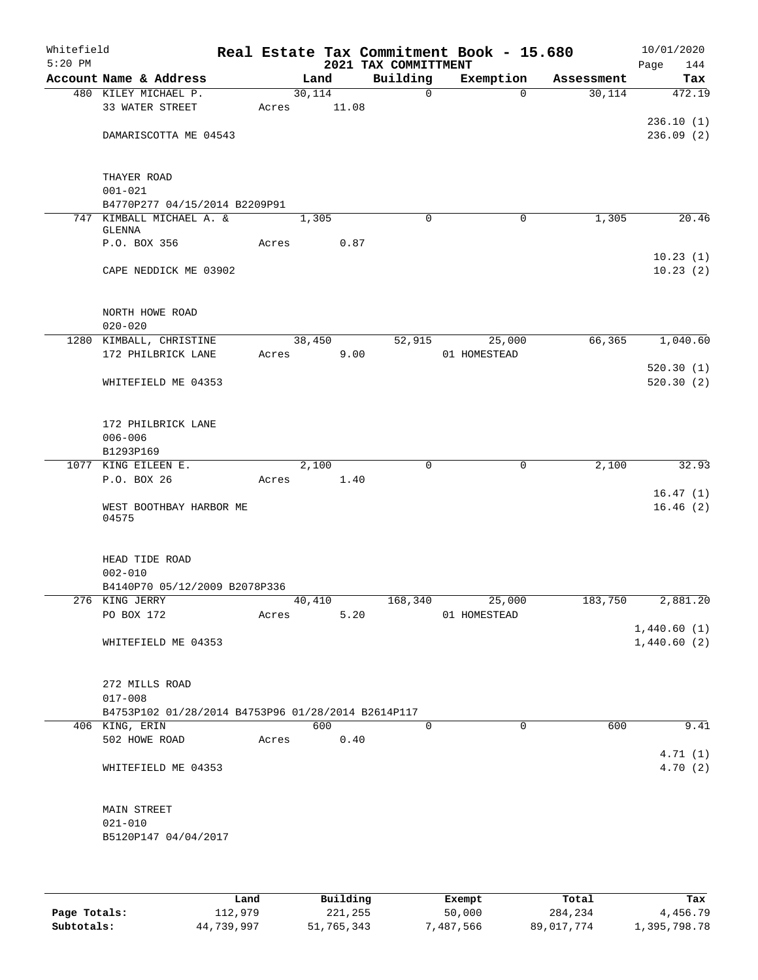| Whitefield<br>$5:20$ PM |                                                    |       |        |       | 2021 TAX COMMITTMENT | Real Estate Tax Commitment Book - 15.680 |            | 10/01/2020<br>Page<br>144 |
|-------------------------|----------------------------------------------------|-------|--------|-------|----------------------|------------------------------------------|------------|---------------------------|
|                         | Account Name & Address                             |       | Land   |       | Building             | Exemption                                | Assessment | Tax                       |
|                         | 480 KILEY MICHAEL P.                               |       | 30,114 |       | $\mathsf{O}$         | $\Omega$                                 | 30,114     | 472.19                    |
|                         | 33 WATER STREET                                    | Acres |        | 11.08 |                      |                                          |            |                           |
|                         |                                                    |       |        |       |                      |                                          |            | 236.10(1)                 |
|                         | DAMARISCOTTA ME 04543                              |       |        |       |                      |                                          |            | 236.09(2)                 |
|                         |                                                    |       |        |       |                      |                                          |            |                           |
|                         |                                                    |       |        |       |                      |                                          |            |                           |
|                         | THAYER ROAD<br>$001 - 021$                         |       |        |       |                      |                                          |            |                           |
|                         | B4770P277 04/15/2014 B2209P91                      |       |        |       |                      |                                          |            |                           |
|                         | 747 KIMBALL MICHAEL A. &                           |       | 1,305  |       | $\mathbf 0$          | 0                                        | 1,305      | 20.46                     |
|                         | GLENNA                                             |       |        |       |                      |                                          |            |                           |
|                         | P.O. BOX 356                                       | Acres |        | 0.87  |                      |                                          |            |                           |
|                         |                                                    |       |        |       |                      |                                          |            | 10.23(1)                  |
|                         | CAPE NEDDICK ME 03902                              |       |        |       |                      |                                          |            | 10.23(2)                  |
|                         |                                                    |       |        |       |                      |                                          |            |                           |
|                         | NORTH HOWE ROAD                                    |       |        |       |                      |                                          |            |                           |
|                         | $020 - 020$                                        |       |        |       |                      |                                          |            |                           |
|                         | 1280 KIMBALL, CHRISTINE                            |       | 38,450 |       | 52,915               | 25,000                                   | 66,365     | 1,040.60                  |
|                         | 172 PHILBRICK LANE                                 | Acres |        | 9.00  |                      | 01 HOMESTEAD                             |            |                           |
|                         |                                                    |       |        |       |                      |                                          |            | 520.30(1)                 |
|                         | WHITEFIELD ME 04353                                |       |        |       |                      |                                          |            | 520.30(2)                 |
|                         |                                                    |       |        |       |                      |                                          |            |                           |
|                         |                                                    |       |        |       |                      |                                          |            |                           |
|                         | 172 PHILBRICK LANE                                 |       |        |       |                      |                                          |            |                           |
|                         | $006 - 006$                                        |       |        |       |                      |                                          |            |                           |
|                         | B1293P169                                          |       |        |       |                      |                                          |            |                           |
|                         | 1077 KING EILEEN E.<br>P.O. BOX 26                 |       | 2,100  | 1.40  | $\mathbf 0$          | $\mathbf 0$                              | 2,100      | 32.93                     |
|                         |                                                    | Acres |        |       |                      |                                          |            | 16.47(1)                  |
|                         | WEST BOOTHBAY HARBOR ME                            |       |        |       |                      |                                          |            | 16.46(2)                  |
|                         | 04575                                              |       |        |       |                      |                                          |            |                           |
|                         |                                                    |       |        |       |                      |                                          |            |                           |
|                         |                                                    |       |        |       |                      |                                          |            |                           |
|                         | HEAD TIDE ROAD                                     |       |        |       |                      |                                          |            |                           |
|                         | $002 - 010$<br>B4140P70 05/12/2009 B2078P336       |       |        |       |                      |                                          |            |                           |
|                         | 276 KING JERRY                                     |       | 40,410 |       |                      | 168,340 25,000                           | 183,750    | 2,881.20                  |
|                         | PO BOX 172                                         | Acres |        | 5.20  |                      | 01 HOMESTEAD                             |            |                           |
|                         |                                                    |       |        |       |                      |                                          |            | 1,440.60(1)               |
|                         | WHITEFIELD ME 04353                                |       |        |       |                      |                                          |            | 1,440.60(2)               |
|                         |                                                    |       |        |       |                      |                                          |            |                           |
|                         |                                                    |       |        |       |                      |                                          |            |                           |
|                         | 272 MILLS ROAD                                     |       |        |       |                      |                                          |            |                           |
|                         | $017 - 008$                                        |       |        |       |                      |                                          |            |                           |
|                         | B4753P102 01/28/2014 B4753P96 01/28/2014 B2614P117 |       |        |       |                      |                                          |            |                           |
|                         | 406 KING, ERIN<br>502 HOWE ROAD                    | Acres | 600    | 0.40  | $\Omega$             | $\Omega$                                 | 600        | 9.41                      |
|                         |                                                    |       |        |       |                      |                                          |            | 4.71(1)                   |
|                         | WHITEFIELD ME 04353                                |       |        |       |                      |                                          |            | 4.70(2)                   |
|                         |                                                    |       |        |       |                      |                                          |            |                           |
|                         |                                                    |       |        |       |                      |                                          |            |                           |
|                         | MAIN STREET                                        |       |        |       |                      |                                          |            |                           |
|                         | $021 - 010$                                        |       |        |       |                      |                                          |            |                           |
|                         | B5120P147 04/04/2017                               |       |        |       |                      |                                          |            |                           |
|                         |                                                    |       |        |       |                      |                                          |            |                           |
|                         |                                                    |       |        |       |                      |                                          |            |                           |
|                         |                                                    |       |        |       |                      |                                          |            |                           |

|              | Land       | Building   | Exempt    | Total      | Tax          |
|--------------|------------|------------|-----------|------------|--------------|
| Page Totals: | 112,979    | 221,255    | 50,000    | 284,234    | 4,456.79     |
| Subtotals:   | 44,739,997 | 51,765,343 | 7,487,566 | 89,017,774 | 1,395,798.78 |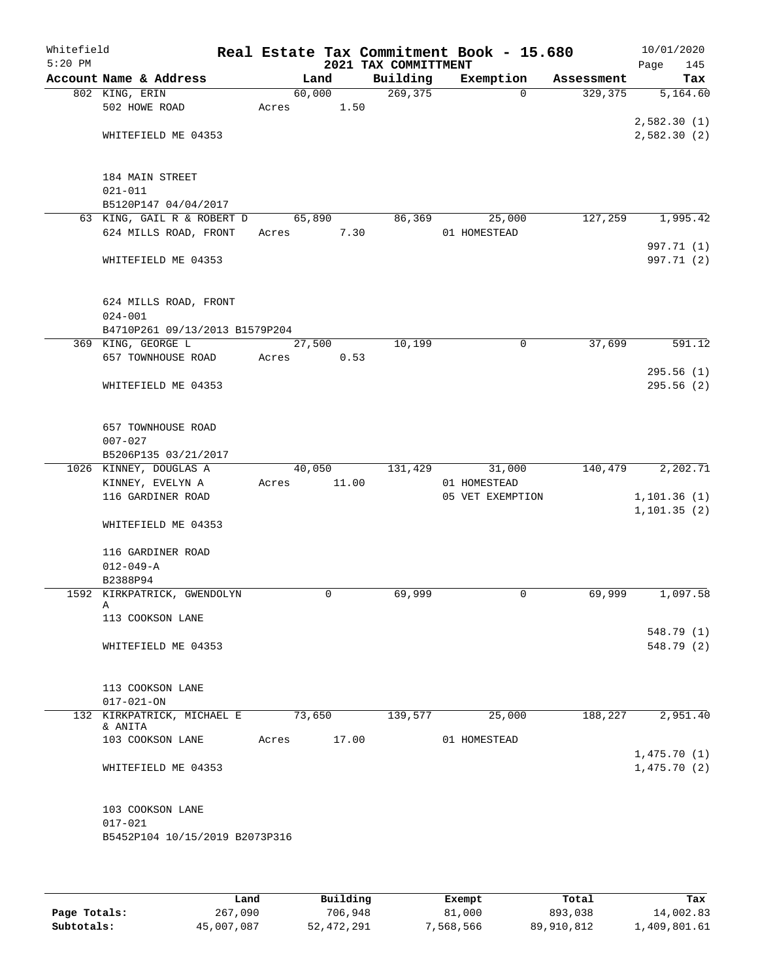| Whitefield<br>$5:20$ PM |                                |       |        |       | Real Estate Tax Commitment Book - 15.680<br>2021 TAX COMMITTMENT |                  |             |            | 10/01/2020<br>Page<br>145 |
|-------------------------|--------------------------------|-------|--------|-------|------------------------------------------------------------------|------------------|-------------|------------|---------------------------|
|                         | Account Name & Address         |       | Land   |       | Building                                                         | Exemption        |             | Assessment | Tax                       |
|                         | 802 KING, ERIN                 |       | 60,000 |       | 269,375                                                          |                  | $\Omega$    | 329, 375   | 5,164.60                  |
|                         | 502 HOWE ROAD                  | Acres |        | 1.50  |                                                                  |                  |             |            |                           |
|                         |                                |       |        |       |                                                                  |                  |             |            | 2,582.30(1)               |
|                         | WHITEFIELD ME 04353            |       |        |       |                                                                  |                  |             |            | 2,582.30(2)               |
|                         |                                |       |        |       |                                                                  |                  |             |            |                           |
|                         |                                |       |        |       |                                                                  |                  |             |            |                           |
|                         | 184 MAIN STREET                |       |        |       |                                                                  |                  |             |            |                           |
|                         | $021 - 011$                    |       |        |       |                                                                  |                  |             |            |                           |
|                         | B5120P147 04/04/2017           |       |        |       |                                                                  |                  |             |            |                           |
|                         | 63 KING, GAIL R & ROBERT D     |       | 65,890 |       | 86,369                                                           |                  | 25,000      | 127,259    | 1,995.42                  |
|                         | 624 MILLS ROAD, FRONT          | Acres |        | 7.30  |                                                                  | 01 HOMESTEAD     |             |            |                           |
|                         |                                |       |        |       |                                                                  |                  |             |            | 997.71 (1)                |
|                         | WHITEFIELD ME 04353            |       |        |       |                                                                  |                  |             |            | 997.71 (2)                |
|                         |                                |       |        |       |                                                                  |                  |             |            |                           |
|                         | 624 MILLS ROAD, FRONT          |       |        |       |                                                                  |                  |             |            |                           |
|                         | $024 - 001$                    |       |        |       |                                                                  |                  |             |            |                           |
|                         | B4710P261 09/13/2013 B1579P204 |       |        |       |                                                                  |                  |             |            |                           |
|                         | 369 KING, GEORGE L             |       | 27,500 |       | 10,199                                                           |                  | $\mathbf 0$ | 37,699     | 591.12                    |
|                         | 657 TOWNHOUSE ROAD             | Acres |        | 0.53  |                                                                  |                  |             |            |                           |
|                         |                                |       |        |       |                                                                  |                  |             |            | 295.56(1)                 |
|                         | WHITEFIELD ME 04353            |       |        |       |                                                                  |                  |             |            | 295.56(2)                 |
|                         |                                |       |        |       |                                                                  |                  |             |            |                           |
|                         |                                |       |        |       |                                                                  |                  |             |            |                           |
|                         | 657 TOWNHOUSE ROAD             |       |        |       |                                                                  |                  |             |            |                           |
|                         | $007 - 027$                    |       |        |       |                                                                  |                  |             |            |                           |
|                         | B5206P135 03/21/2017           |       |        |       |                                                                  |                  |             |            |                           |
|                         | 1026 KINNEY, DOUGLAS A         |       | 40,050 |       | 131,429                                                          |                  | 31,000      | 140,479    | 2,202.71                  |
|                         | KINNEY, EVELYN A               | Acres |        | 11.00 |                                                                  | 01 HOMESTEAD     |             |            |                           |
|                         | 116 GARDINER ROAD              |       |        |       |                                                                  | 05 VET EXEMPTION |             |            | 1, 101.36(1)              |
|                         |                                |       |        |       |                                                                  |                  |             |            | 1, 101.35(2)              |
|                         | WHITEFIELD ME 04353            |       |        |       |                                                                  |                  |             |            |                           |
|                         |                                |       |        |       |                                                                  |                  |             |            |                           |
|                         | 116 GARDINER ROAD              |       |        |       |                                                                  |                  |             |            |                           |
|                         | $012 - 049 - A$                |       |        |       |                                                                  |                  |             |            |                           |
|                         | B2388P94                       |       |        |       |                                                                  |                  |             |            |                           |
|                         | 1592 KIRKPATRICK, GWENDOLYN    |       | 0      |       | 69,999                                                           |                  | 0           | 69,999     | 1,097.58                  |
|                         | Α<br>113 COOKSON LANE          |       |        |       |                                                                  |                  |             |            |                           |
|                         |                                |       |        |       |                                                                  |                  |             |            | 548.79 (1)                |
|                         | WHITEFIELD ME 04353            |       |        |       |                                                                  |                  |             |            | 548.79 (2)                |
|                         |                                |       |        |       |                                                                  |                  |             |            |                           |
|                         |                                |       |        |       |                                                                  |                  |             |            |                           |
|                         | 113 COOKSON LANE               |       |        |       |                                                                  |                  |             |            |                           |
|                         | $017 - 021 - ON$               |       |        |       |                                                                  |                  |             |            |                           |
|                         | 132 KIRKPATRICK, MICHAEL E     |       | 73,650 |       | 139,577                                                          |                  | 25,000      | 188,227    | 2,951.40                  |
|                         | & ANITA                        |       |        |       |                                                                  |                  |             |            |                           |
|                         | 103 COOKSON LANE               | Acres |        | 17.00 |                                                                  | 01 HOMESTEAD     |             |            |                           |
|                         |                                |       |        |       |                                                                  |                  |             |            | 1,475.70(1)               |
|                         | WHITEFIELD ME 04353            |       |        |       |                                                                  |                  |             |            | 1,475.70(2)               |
|                         |                                |       |        |       |                                                                  |                  |             |            |                           |
|                         |                                |       |        |       |                                                                  |                  |             |            |                           |
|                         | 103 COOKSON LANE               |       |        |       |                                                                  |                  |             |            |                           |
|                         | $017 - 021$                    |       |        |       |                                                                  |                  |             |            |                           |
|                         | B5452P104 10/15/2019 B2073P316 |       |        |       |                                                                  |                  |             |            |                           |
|                         |                                |       |        |       |                                                                  |                  |             |            |                           |
|                         |                                |       |        |       |                                                                  |                  |             |            |                           |

|              | Land       | Building   |           | Total      | Tax          |
|--------------|------------|------------|-----------|------------|--------------|
|              |            |            | Exempt    |            |              |
| Page Totals: | 267,090    | 706,948    | 81,000    | 893,038    | 14,002.83    |
| Subtotals:   | 45,007,087 | 52,472,291 | 7,568,566 | 89,910,812 | 1,409,801.61 |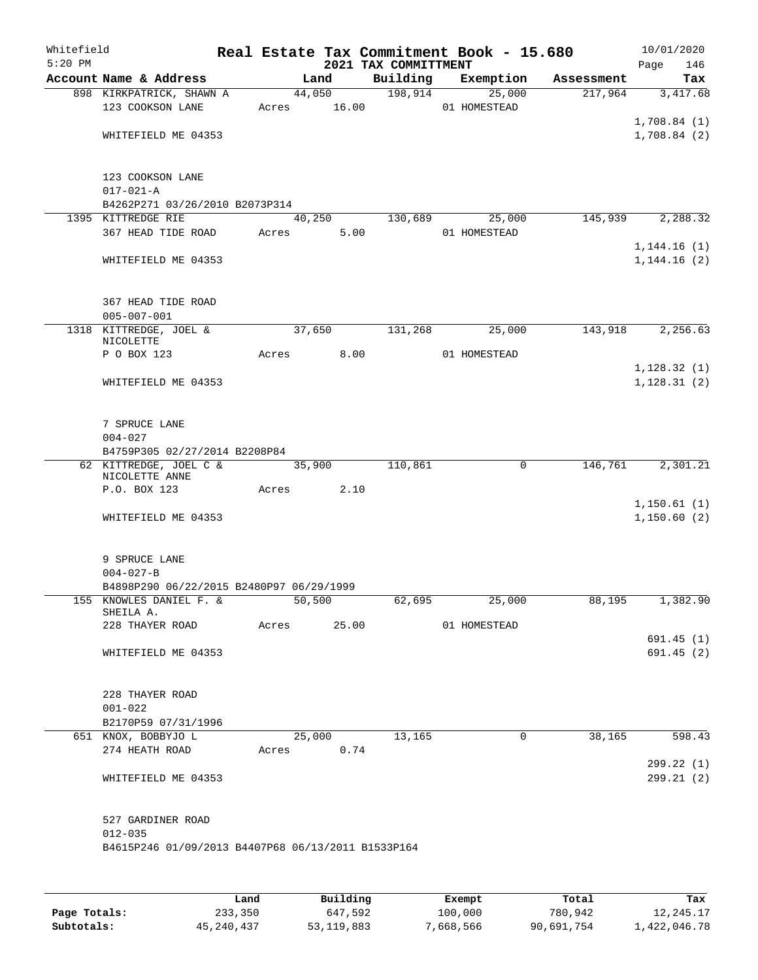| Whitefield<br>$5:20$ PM |                                                          |            |        |                 | 2021 TAX COMMITTMENT | Real Estate Tax Commitment Book - 15.680 |               | Page | 10/01/2020<br>146          |
|-------------------------|----------------------------------------------------------|------------|--------|-----------------|----------------------|------------------------------------------|---------------|------|----------------------------|
|                         | Account Name & Address                                   |            | Land   |                 | Building             | Exemption                                | Assessment    |      | Tax                        |
|                         | 898 KIRKPATRICK, SHAWN A<br>123 COOKSON LANE             | Acres      |        | 44,050<br>16.00 | 198,914              | 25,000<br>01 HOMESTEAD                   | 217,964       |      | 3,417.68<br>1,708.84(1)    |
|                         | WHITEFIELD ME 04353                                      |            |        |                 |                      |                                          |               |      | 1,708.84(2)                |
|                         | 123 COOKSON LANE<br>$017 - 021 - A$                      |            |        |                 |                      |                                          |               |      |                            |
|                         | B4262P271 03/26/2010 B2073P314<br>1395 KITTREDGE RIE     |            | 40,250 |                 |                      |                                          | 145,939       |      |                            |
|                         | 367 HEAD TIDE ROAD                                       | Acres      |        | 5.00            | 130,689              | 25,000<br>01 HOMESTEAD                   |               |      | 2,288.32<br>1,144.16(1)    |
|                         | WHITEFIELD ME 04353                                      |            |        |                 |                      |                                          |               |      | 1, 144.16(2)               |
|                         | 367 HEAD TIDE ROAD<br>$005 - 007 - 001$                  |            |        |                 |                      |                                          |               |      |                            |
|                         | 1318 KITTREDGE, JOEL &<br>NICOLETTE                      |            | 37,650 |                 | 131,268              | 25,000                                   | 143,918       |      | 2,256.63                   |
|                         | P O BOX 123                                              | Acres      |        | 8.00            |                      | 01 HOMESTEAD                             |               |      | 1,128.32(1)                |
|                         | WHITEFIELD ME 04353                                      |            |        |                 |                      |                                          |               |      | 1, 128.31(2)               |
|                         | 7 SPRUCE LANE<br>$004 - 027$                             |            |        |                 |                      |                                          |               |      |                            |
|                         | B4759P305 02/27/2014 B2208P84                            |            |        |                 |                      |                                          |               |      |                            |
|                         | 62 KITTREDGE, JOEL C &<br>NICOLETTE ANNE<br>P.O. BOX 123 | Acres      | 35,900 | 2.10            | 110,861              | $\mathbf 0$                              | 146,761       |      | 2,301.21                   |
|                         | WHITEFIELD ME 04353                                      |            |        |                 |                      |                                          |               |      | 1,150.61(1)<br>1,150.60(2) |
|                         | 9 SPRUCE LANE                                            |            |        |                 |                      |                                          |               |      |                            |
|                         | $004 - 027 - B$                                          |            |        |                 |                      |                                          |               |      |                            |
|                         | B4898P290 06/22/2015 B2480P97 06/29/1999                 |            |        |                 |                      |                                          |               |      |                            |
|                         | 155 KNOWLES DANIEL F. &<br>SHEILA A.                     |            |        | 50,500          | 62,695               | 25,000                                   | 88,195        |      | 1,382.90                   |
|                         | 228 THAYER ROAD Acres 25.00 01 HOMESTEAD                 |            |        |                 |                      |                                          |               |      |                            |
|                         | WHITEFIELD ME 04353                                      |            |        |                 |                      |                                          |               |      | 691.45(1)<br>691.45 (2)    |
|                         | 228 THAYER ROAD<br>$001 - 022$                           |            |        |                 |                      |                                          |               |      |                            |
|                         | B2170P59 07/31/1996                                      |            |        |                 |                      |                                          |               |      |                            |
|                         | 651 KNOX, BOBBYJO L                                      |            |        |                 | 25,000 13,165        | $\overline{0}$                           | 38,165 598.43 |      |                            |
|                         | 274 HEATH ROAD                                           | Acres 0.74 |        |                 |                      |                                          |               |      |                            |
|                         | WHITEFIELD ME 04353                                      |            |        |                 |                      |                                          |               |      | 299.22 (1)<br>299.21 (2)   |
|                         | 527 GARDINER ROAD<br>$012 - 035$                         |            |        |                 |                      |                                          |               |      |                            |
|                         | B4615P246 01/09/2013 B4407P68 06/13/2011 B1533P164       |            |        |                 |                      |                                          |               |      |                            |

|              | Land         | Building   | Exempt    | Total      | Tax          |
|--------------|--------------|------------|-----------|------------|--------------|
| Page Totals: | 233,350      | 647,592    | 100,000   | 780,942    | 12,245.17    |
| Subtotals:   | 45, 240, 437 | 53,119,883 | 7,668,566 | 90,691,754 | 1,422,046.78 |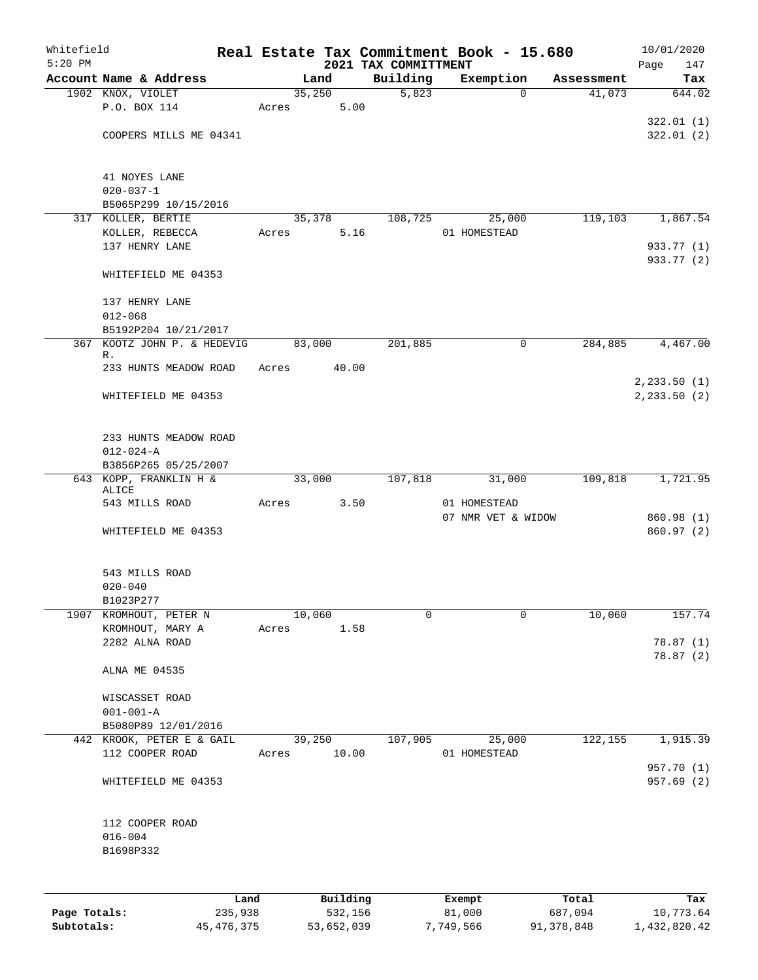| Whitefield<br>$5:20$ PM |                                         |         |       |        |          | Real Estate Tax Commitment Book - 15.680<br>2021 TAX COMMITTMENT |                    |   |            | 10/01/2020<br>147 |
|-------------------------|-----------------------------------------|---------|-------|--------|----------|------------------------------------------------------------------|--------------------|---|------------|-------------------|
|                         | Account Name & Address                  |         |       | Land   |          | Building                                                         | Exemption          |   | Assessment | Page<br>Tax       |
|                         | 1902 KNOX, VIOLET                       |         |       | 35,250 |          | 5,823                                                            |                    | 0 | 41,073     | 644.02            |
|                         | P.O. BOX 114                            |         | Acres |        | 5.00     |                                                                  |                    |   |            |                   |
|                         |                                         |         |       |        |          |                                                                  |                    |   |            | 322.01(1)         |
|                         | COOPERS MILLS ME 04341                  |         |       |        |          |                                                                  |                    |   |            | 322.01(2)         |
|                         |                                         |         |       |        |          |                                                                  |                    |   |            |                   |
|                         | 41 NOYES LANE                           |         |       |        |          |                                                                  |                    |   |            |                   |
|                         | $020 - 037 - 1$                         |         |       |        |          |                                                                  |                    |   |            |                   |
|                         | B5065P299 10/15/2016                    |         |       |        |          |                                                                  |                    |   |            |                   |
|                         | 317 KOLLER, BERTIE                      |         |       | 35,378 |          | 108,725                                                          | 25,000             |   | 119,103    | 1,867.54          |
|                         | KOLLER, REBECCA                         |         | Acres |        | 5.16     |                                                                  | 01 HOMESTEAD       |   |            |                   |
|                         | 137 HENRY LANE                          |         |       |        |          |                                                                  |                    |   |            | 933.77 (1)        |
|                         | WHITEFIELD ME 04353                     |         |       |        |          |                                                                  |                    |   |            | 933.77 (2)        |
|                         |                                         |         |       |        |          |                                                                  |                    |   |            |                   |
|                         | 137 HENRY LANE                          |         |       |        |          |                                                                  |                    |   |            |                   |
|                         | $012 - 068$                             |         |       |        |          |                                                                  |                    |   |            |                   |
|                         | B5192P204 10/21/2017                    |         |       |        |          |                                                                  |                    |   |            |                   |
| 367                     | KOOTZ JOHN P. & HEDEVIG<br>R.           |         |       | 83,000 |          | 201,885                                                          |                    | 0 | 284,885    | 4,467.00          |
|                         | 233 HUNTS MEADOW ROAD                   |         | Acres |        | 40.00    |                                                                  |                    |   |            |                   |
|                         |                                         |         |       |        |          |                                                                  |                    |   |            | 2, 233.50 (1)     |
|                         | WHITEFIELD ME 04353                     |         |       |        |          |                                                                  |                    |   |            | 2, 233.50 (2)     |
|                         |                                         |         |       |        |          |                                                                  |                    |   |            |                   |
|                         |                                         |         |       |        |          |                                                                  |                    |   |            |                   |
|                         | 233 HUNTS MEADOW ROAD                   |         |       |        |          |                                                                  |                    |   |            |                   |
|                         | $012 - 024 - A$<br>B3856P265 05/25/2007 |         |       |        |          |                                                                  |                    |   |            |                   |
|                         | 643 KOPP, FRANKLIN H &                  |         |       | 33,000 |          | 107,818                                                          | 31,000             |   | 109,818    | 1,721.95          |
|                         | ALICE                                   |         |       |        |          |                                                                  |                    |   |            |                   |
|                         | 543 MILLS ROAD                          |         | Acres |        | 3.50     |                                                                  | 01 HOMESTEAD       |   |            |                   |
|                         |                                         |         |       |        |          |                                                                  | 07 NMR VET & WIDOW |   |            | 860.98 (1)        |
|                         | WHITEFIELD ME 04353                     |         |       |        |          |                                                                  |                    |   |            | 860.97 (2)        |
|                         |                                         |         |       |        |          |                                                                  |                    |   |            |                   |
|                         | 543 MILLS ROAD                          |         |       |        |          |                                                                  |                    |   |            |                   |
|                         | $020 - 040$                             |         |       |        |          |                                                                  |                    |   |            |                   |
|                         | B1023P277                               |         |       |        |          |                                                                  |                    |   |            |                   |
| 1907                    | KROMHOUT, PETER N<br>KROMHOUT, MARY A   |         | Acres | 10,060 | 1.58     | 0                                                                |                    | 0 | 10,060     | 157.74            |
|                         | 2282 ALNA ROAD                          |         |       |        |          |                                                                  |                    |   |            | 78.87(1)          |
|                         |                                         |         |       |        |          |                                                                  |                    |   |            | 78.87(2)          |
|                         | ALNA ME 04535                           |         |       |        |          |                                                                  |                    |   |            |                   |
|                         |                                         |         |       |        |          |                                                                  |                    |   |            |                   |
|                         | WISCASSET ROAD                          |         |       |        |          |                                                                  |                    |   |            |                   |
|                         | $001 - 001 - A$<br>B5080P89 12/01/2016  |         |       |        |          |                                                                  |                    |   |            |                   |
|                         | 442 KROOK, PETER E & GAIL               |         |       | 39,250 |          | 107,905                                                          | 25,000             |   | 122,155    | 1,915.39          |
|                         | 112 COOPER ROAD                         |         | Acres |        | 10.00    |                                                                  | 01 HOMESTEAD       |   |            |                   |
|                         |                                         |         |       |        |          |                                                                  |                    |   |            | 957.70 (1)        |
|                         | WHITEFIELD ME 04353                     |         |       |        |          |                                                                  |                    |   |            | 957.69(2)         |
|                         |                                         |         |       |        |          |                                                                  |                    |   |            |                   |
|                         | 112 COOPER ROAD                         |         |       |        |          |                                                                  |                    |   |            |                   |
|                         | $016 - 004$                             |         |       |        |          |                                                                  |                    |   |            |                   |
|                         | B1698P332                               |         |       |        |          |                                                                  |                    |   |            |                   |
|                         |                                         |         |       |        |          |                                                                  |                    |   |            |                   |
|                         |                                         |         |       |        |          |                                                                  |                    |   |            |                   |
|                         |                                         | Land    |       |        | Building |                                                                  | Exempt             |   | Total      | Tax               |
| Page Totals:            |                                         | 235,938 |       |        | 532,156  |                                                                  | 81,000             |   | 687,094    | 10,773.64         |

**Subtotals:** 45,476,375 53,652,039 7,749,566 91,378,848 1,432,820.42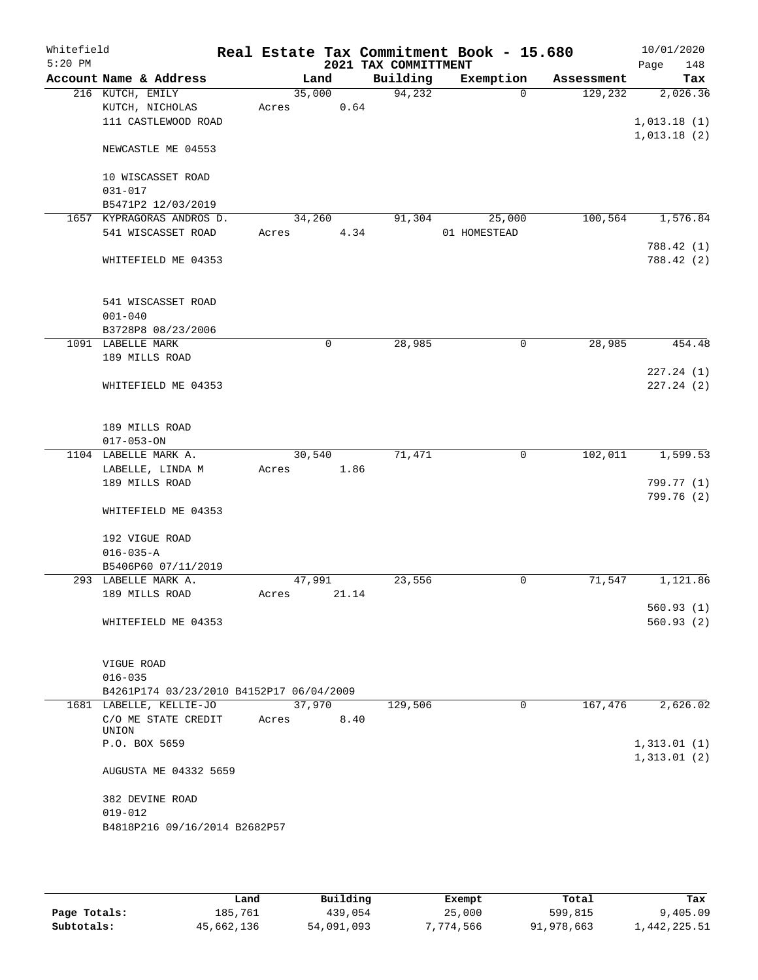| Whitefield<br>$5:20$ PM |                                          |        |        |       | 2021 TAX COMMITTMENT | Real Estate Tax Commitment Book - 15.680 |            | 10/01/2020<br>148<br>Page |
|-------------------------|------------------------------------------|--------|--------|-------|----------------------|------------------------------------------|------------|---------------------------|
|                         | Account Name & Address                   |        | Land   |       | Building             | Exemption                                | Assessment | Tax                       |
|                         | 216 KUTCH, EMILY                         |        | 35,000 |       | 94,232               | $\Omega$                                 | 129,232    | 2,026.36                  |
|                         | KUTCH, NICHOLAS                          | Acres  |        | 0.64  |                      |                                          |            |                           |
|                         | 111 CASTLEWOOD ROAD                      |        |        |       |                      |                                          |            | 1,013.18(1)               |
|                         | NEWCASTLE ME 04553                       |        |        |       |                      |                                          |            | 1,013.18(2)               |
|                         |                                          |        |        |       |                      |                                          |            |                           |
|                         | 10 WISCASSET ROAD                        |        |        |       |                      |                                          |            |                           |
|                         | $031 - 017$                              |        |        |       |                      |                                          |            |                           |
|                         | B5471P2 12/03/2019                       |        |        |       |                      |                                          |            |                           |
|                         | 1657 KYPRAGORAS ANDROS D.                |        | 34,260 |       | 91,304               | 25,000                                   | 100, 564   | 1,576.84                  |
|                         | 541 WISCASSET ROAD                       | Acres  |        | 4.34  |                      | 01 HOMESTEAD                             |            |                           |
|                         |                                          |        |        |       |                      |                                          |            | 788.42 (1)                |
|                         | WHITEFIELD ME 04353                      |        |        |       |                      |                                          |            | 788.42 (2)                |
|                         | 541 WISCASSET ROAD                       |        |        |       |                      |                                          |            |                           |
|                         | $001 - 040$                              |        |        |       |                      |                                          |            |                           |
|                         | B3728P8 08/23/2006                       |        |        |       |                      |                                          |            |                           |
|                         | 1091 LABELLE MARK                        |        | 0      |       | 28,985               | $\mathbf 0$                              | 28,985     | 454.48                    |
|                         | 189 MILLS ROAD                           |        |        |       |                      |                                          |            |                           |
|                         |                                          |        |        |       |                      |                                          |            | 227.24 (1)                |
|                         | WHITEFIELD ME 04353                      |        |        |       |                      |                                          |            | 227.24(2)                 |
|                         |                                          |        |        |       |                      |                                          |            |                           |
|                         | 189 MILLS ROAD                           |        |        |       |                      |                                          |            |                           |
|                         | $017 - 053 - ON$                         |        |        |       |                      |                                          |            |                           |
|                         | 1104 LABELLE MARK A.                     |        | 30,540 |       | 71,471               | $\mathsf{O}$                             | 102,011    | 1,599.53                  |
|                         | LABELLE, LINDA M                         | Acres  |        | 1.86  |                      |                                          |            |                           |
|                         | 189 MILLS ROAD                           |        |        |       |                      |                                          |            | 799.77 (1)                |
|                         |                                          |        |        |       |                      |                                          |            | 799.76 (2)                |
|                         | WHITEFIELD ME 04353                      |        |        |       |                      |                                          |            |                           |
|                         | 192 VIGUE ROAD                           |        |        |       |                      |                                          |            |                           |
|                         | $016 - 035 - A$                          |        |        |       |                      |                                          |            |                           |
|                         | B5406P60 07/11/2019                      |        |        |       |                      |                                          |            |                           |
|                         | 293 LABELLE MARK A.                      | 47,991 |        |       | 23,556               | 0                                        | 71,547     | 1,121.86                  |
|                         | 189 MILLS ROAD                           | Acres  |        | 21.14 |                      |                                          |            |                           |
|                         |                                          |        |        |       |                      |                                          |            | 560.93(1)                 |
|                         | WHITEFIELD ME 04353                      |        |        |       |                      |                                          |            | 560.93(2)                 |
|                         |                                          |        |        |       |                      |                                          |            |                           |
|                         | VIGUE ROAD                               |        |        |       |                      |                                          |            |                           |
|                         | $016 - 035$                              |        |        |       |                      |                                          |            |                           |
|                         | B4261P174 03/23/2010 B4152P17 06/04/2009 |        |        |       |                      |                                          |            |                           |
|                         | 1681 LABELLE, KELLIE-JO                  |        | 37,970 |       | 129,506              | 0                                        | 167,476    | 2,626.02                  |
|                         | C/O ME STATE CREDIT                      | Acres  |        | 8.40  |                      |                                          |            |                           |
|                         | UNION                                    |        |        |       |                      |                                          |            |                           |
|                         | P.O. BOX 5659                            |        |        |       |                      |                                          |            | 1,313.01(1)               |
|                         | AUGUSTA ME 04332 5659                    |        |        |       |                      |                                          |            | 1,313.01(2)               |
|                         |                                          |        |        |       |                      |                                          |            |                           |
|                         | 382 DEVINE ROAD                          |        |        |       |                      |                                          |            |                           |
|                         | $019 - 012$                              |        |        |       |                      |                                          |            |                           |
|                         | B4818P216 09/16/2014 B2682P57            |        |        |       |                      |                                          |            |                           |
|                         |                                          |        |        |       |                      |                                          |            |                           |

|              | Land       | Building   | Exempt   | Total      | Tax          |
|--------------|------------|------------|----------|------------|--------------|
| Page Totals: | 185,761    | 439,054    | 25,000   | 599,815    | 9,405.09     |
| Subtotals:   | 45,662,136 | 54,091,093 | 774,566" | 91,978,663 | 1,442,225.51 |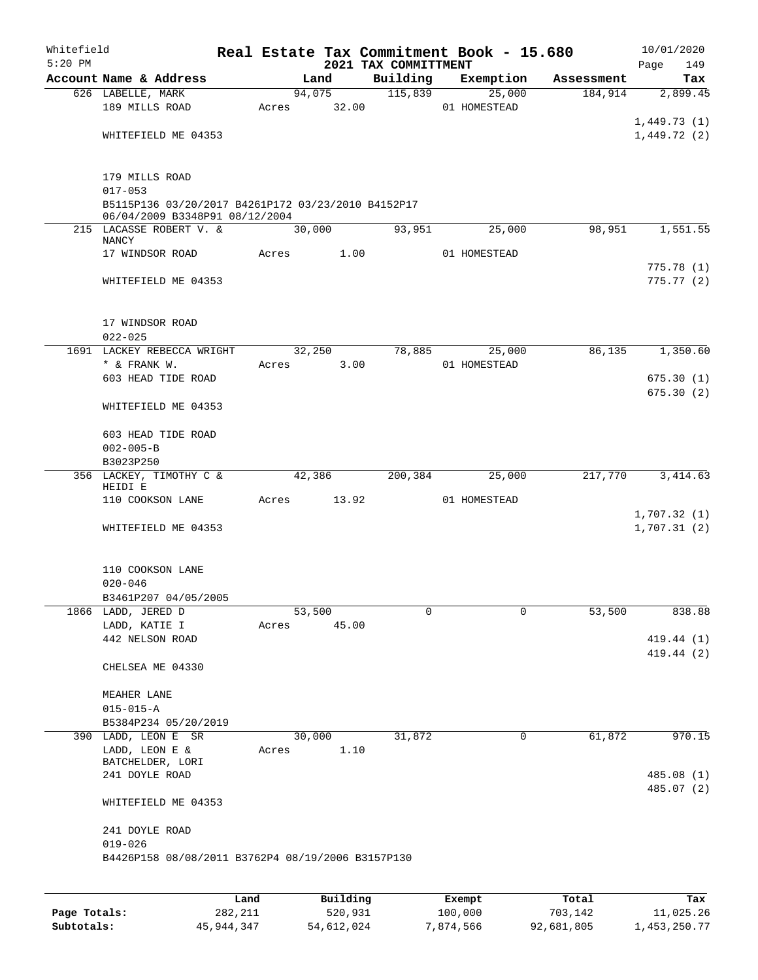| Whitefield<br>$5:20$ PM |                                                    |       |        |       | 2021 TAX COMMITTMENT | Real Estate Tax Commitment Book - 15.680 |            | Page        | 10/01/2020<br>149 |
|-------------------------|----------------------------------------------------|-------|--------|-------|----------------------|------------------------------------------|------------|-------------|-------------------|
|                         | Account Name & Address                             |       | Land   |       | Building             | Exemption                                | Assessment |             | Tax               |
|                         | 626 LABELLE, MARK                                  |       | 94,075 |       | 115,839              | 25,000                                   | 184,914    |             | 2,899.45          |
|                         | 189 MILLS ROAD                                     | Acres |        | 32.00 |                      | 01 HOMESTEAD                             |            |             |                   |
|                         |                                                    |       |        |       |                      |                                          |            | 1,449.73(1) |                   |
|                         | WHITEFIELD ME 04353                                |       |        |       |                      |                                          |            | 1,449.72(2) |                   |
|                         |                                                    |       |        |       |                      |                                          |            |             |                   |
|                         |                                                    |       |        |       |                      |                                          |            |             |                   |
|                         | 179 MILLS ROAD<br>$017 - 053$                      |       |        |       |                      |                                          |            |             |                   |
|                         | B5115P136 03/20/2017 B4261P172 03/23/2010 B4152P17 |       |        |       |                      |                                          |            |             |                   |
|                         | 06/04/2009 B3348P91 08/12/2004                     |       |        |       |                      |                                          |            |             |                   |
|                         | 215 LACASSE ROBERT V. &                            |       | 30,000 |       | 93,951               | 25,000                                   | 98,951     |             | 1,551.55          |
|                         | NANCY<br>17 WINDSOR ROAD                           | Acres |        | 1.00  |                      | 01 HOMESTEAD                             |            |             |                   |
|                         |                                                    |       |        |       |                      |                                          |            |             | 775.78(1)         |
|                         | WHITEFIELD ME 04353                                |       |        |       |                      |                                          |            |             | 775.77(2)         |
|                         |                                                    |       |        |       |                      |                                          |            |             |                   |
|                         |                                                    |       |        |       |                      |                                          |            |             |                   |
|                         | 17 WINDSOR ROAD                                    |       |        |       |                      |                                          |            |             |                   |
|                         | $022 - 025$                                        |       |        |       |                      |                                          |            |             |                   |
|                         | 1691 LACKEY REBECCA WRIGHT                         |       | 32,250 |       | 78,885               | 25,000                                   | 86,135     |             | 1,350.60          |
|                         | * & FRANK W.<br>603 HEAD TIDE ROAD                 | Acres |        | 3.00  |                      | 01 HOMESTEAD                             |            |             | 675.30(1)         |
|                         |                                                    |       |        |       |                      |                                          |            |             | 675.30(2)         |
|                         | WHITEFIELD ME 04353                                |       |        |       |                      |                                          |            |             |                   |
|                         |                                                    |       |        |       |                      |                                          |            |             |                   |
|                         | 603 HEAD TIDE ROAD                                 |       |        |       |                      |                                          |            |             |                   |
|                         | $002 - 005 - B$                                    |       |        |       |                      |                                          |            |             |                   |
|                         | B3023P250                                          |       |        |       |                      |                                          |            |             |                   |
|                         | 356 LACKEY, TIMOTHY C &<br>HEIDI E                 |       | 42,386 |       | 200,384              | 25,000                                   | 217,770    |             | 3, 414.63         |
|                         | 110 COOKSON LANE                                   | Acres |        | 13.92 |                      | 01 HOMESTEAD                             |            |             |                   |
|                         |                                                    |       |        |       |                      |                                          |            | 1,707.32(1) |                   |
|                         | WHITEFIELD ME 04353                                |       |        |       |                      |                                          |            | 1,707.31(2) |                   |
|                         |                                                    |       |        |       |                      |                                          |            |             |                   |
|                         |                                                    |       |        |       |                      |                                          |            |             |                   |
|                         | 110 COOKSON LANE                                   |       |        |       |                      |                                          |            |             |                   |
|                         | $020 - 046$                                        |       |        |       |                      |                                          |            |             |                   |
|                         | B3461P207 04/05/2005<br>1866 LADD, JERED D         |       | 53,500 |       | 0                    | $\mathbf 0$                              | 53,500     |             | 838.88            |
|                         | LADD, KATIE I                                      | Acres |        | 45.00 |                      |                                          |            |             |                   |
|                         | 442 NELSON ROAD                                    |       |        |       |                      |                                          |            |             | 419.44 (1)        |
|                         |                                                    |       |        |       |                      |                                          |            |             | 419.44 (2)        |
|                         | CHELSEA ME 04330                                   |       |        |       |                      |                                          |            |             |                   |
|                         |                                                    |       |        |       |                      |                                          |            |             |                   |
|                         | MEAHER LANE                                        |       |        |       |                      |                                          |            |             |                   |
|                         | $015 - 015 - A$                                    |       |        |       |                      |                                          |            |             |                   |
|                         | B5384P234 05/20/2019                               |       |        |       |                      |                                          |            |             |                   |
|                         | 390 LADD, LEON E SR<br>LADD, LEON E &              | Acres | 30,000 | 1.10  | 31,872               | 0                                        | 61,872     |             | 970.15            |
|                         | BATCHELDER, LORI                                   |       |        |       |                      |                                          |            |             |                   |
|                         | 241 DOYLE ROAD                                     |       |        |       |                      |                                          |            |             | 485.08 (1)        |
|                         |                                                    |       |        |       |                      |                                          |            |             | 485.07 (2)        |
|                         | WHITEFIELD ME 04353                                |       |        |       |                      |                                          |            |             |                   |
|                         |                                                    |       |        |       |                      |                                          |            |             |                   |
|                         | 241 DOYLE ROAD<br>$019 - 026$                      |       |        |       |                      |                                          |            |             |                   |
|                         | B4426P158 08/08/2011 B3762P4 08/19/2006 B3157P130  |       |        |       |                      |                                          |            |             |                   |
|                         |                                                    |       |        |       |                      |                                          |            |             |                   |
|                         |                                                    |       |        |       |                      |                                          |            |             |                   |

|              | Land       | Building   | Exempt    | Total      | Tax          |
|--------------|------------|------------|-----------|------------|--------------|
| Page Totals: | 282,211    | 520,931    | 100,000   | 703,142    | 11,025.26    |
| Subtotals:   | 45,944,347 | 54,612,024 | 7,874,566 | 92,681,805 | 1,453,250.77 |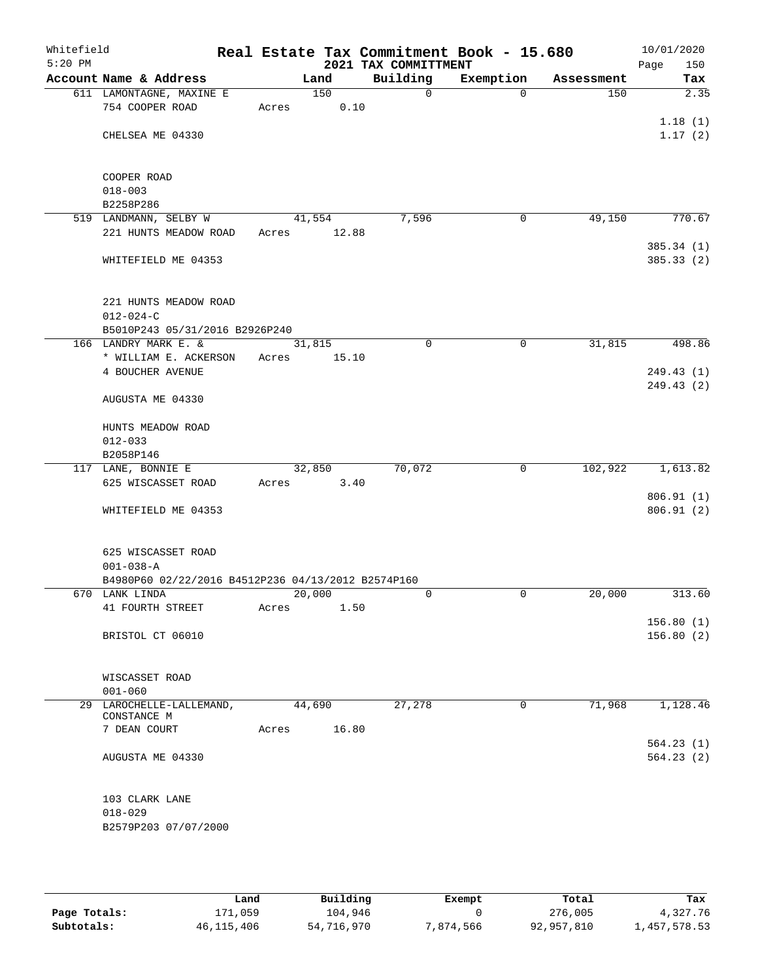| Whitefield<br>$5:20$ PM |                                                        |       |        | 2021 TAX COMMITTMENT | Real Estate Tax Commitment Book - 15.680 |            | 10/01/2020<br>150<br>Page |
|-------------------------|--------------------------------------------------------|-------|--------|----------------------|------------------------------------------|------------|---------------------------|
|                         | Account Name & Address                                 |       | Land   | Building             | Exemption                                | Assessment | Tax                       |
|                         | 611 LAMONTAGNE, MAXINE E                               |       | 150    | 0                    | $\Omega$                                 | 150        | 2.35                      |
|                         | 754 COOPER ROAD                                        | Acres | 0.10   |                      |                                          |            |                           |
|                         |                                                        |       |        |                      |                                          |            | 1.18(1)                   |
|                         | CHELSEA ME 04330                                       |       |        |                      |                                          |            | 1.17(2)                   |
|                         |                                                        |       |        |                      |                                          |            |                           |
|                         | COOPER ROAD                                            |       |        |                      |                                          |            |                           |
|                         | $018 - 003$                                            |       |        |                      |                                          |            |                           |
|                         | B2258P286                                              |       |        |                      |                                          |            |                           |
|                         | 519 LANDMANN, SELBY W                                  |       | 41,554 | 7,596                | 0                                        | 49,150     | 770.67                    |
|                         | 221 HUNTS MEADOW ROAD                                  | Acres | 12.88  |                      |                                          |            |                           |
|                         |                                                        |       |        |                      |                                          |            | 385.34(1)                 |
|                         | WHITEFIELD ME 04353                                    |       |        |                      |                                          |            | 385.33(2)                 |
|                         |                                                        |       |        |                      |                                          |            |                           |
|                         |                                                        |       |        |                      |                                          |            |                           |
|                         | 221 HUNTS MEADOW ROAD                                  |       |        |                      |                                          |            |                           |
|                         | $012 - 024 - C$                                        |       |        |                      |                                          |            |                           |
|                         | B5010P243 05/31/2016 B2926P240<br>166 LANDRY MARK E. & |       | 31,815 | 0                    | 0                                        | 31,815     | 498.86                    |
|                         | * WILLIAM E. ACKERSON                                  | Acres | 15.10  |                      |                                          |            |                           |
|                         | 4 BOUCHER AVENUE                                       |       |        |                      |                                          |            | 249.43(1)                 |
|                         |                                                        |       |        |                      |                                          |            | 249.43 (2)                |
|                         | AUGUSTA ME 04330                                       |       |        |                      |                                          |            |                           |
|                         |                                                        |       |        |                      |                                          |            |                           |
|                         | HUNTS MEADOW ROAD                                      |       |        |                      |                                          |            |                           |
|                         | $012 - 033$                                            |       |        |                      |                                          |            |                           |
|                         | B2058P146                                              |       |        |                      |                                          |            |                           |
|                         | 117 LANE, BONNIE E                                     |       | 32,850 | 70,072               | 0                                        | 102,922    | 1,613.82                  |
|                         | 625 WISCASSET ROAD                                     | Acres | 3.40   |                      |                                          |            | 806.91(1)                 |
|                         | WHITEFIELD ME 04353                                    |       |        |                      |                                          |            | 806.91 (2)                |
|                         |                                                        |       |        |                      |                                          |            |                           |
|                         |                                                        |       |        |                      |                                          |            |                           |
|                         | 625 WISCASSET ROAD                                     |       |        |                      |                                          |            |                           |
|                         | $001 - 038 - A$                                        |       |        |                      |                                          |            |                           |
|                         | B4980P60 02/22/2016 B4512P236 04/13/2012 B2574P160     |       |        |                      |                                          |            |                           |
|                         | 670 LANK LINDA                                         |       | 20,000 | 0                    | $\mathbf 0$                              | 20,000     | 313.60                    |
|                         | 41 FOURTH STREET                                       | Acres | 1.50   |                      |                                          |            |                           |
|                         |                                                        |       |        |                      |                                          |            | 156.80(1)                 |
|                         | BRISTOL CT 06010                                       |       |        |                      |                                          |            | 156.80(2)                 |
|                         |                                                        |       |        |                      |                                          |            |                           |
|                         | WISCASSET ROAD                                         |       |        |                      |                                          |            |                           |
|                         | $001 - 060$                                            |       |        |                      |                                          |            |                           |
|                         | 29 LAROCHELLE-LALLEMAND,                               |       | 44,690 | 27,278               | 0                                        | 71,968     | 1,128.46                  |
|                         | CONSTANCE M                                            |       |        |                      |                                          |            |                           |
|                         | 7 DEAN COURT                                           | Acres | 16.80  |                      |                                          |            |                           |
|                         |                                                        |       |        |                      |                                          |            | 564.23 (1)                |
|                         | AUGUSTA ME 04330                                       |       |        |                      |                                          |            | 564.23(2)                 |
|                         |                                                        |       |        |                      |                                          |            |                           |
|                         | 103 CLARK LANE                                         |       |        |                      |                                          |            |                           |
|                         | $018 - 029$                                            |       |        |                      |                                          |            |                           |
|                         | B2579P203 07/07/2000                                   |       |        |                      |                                          |            |                           |
|                         |                                                        |       |        |                      |                                          |            |                           |
|                         |                                                        |       |        |                      |                                          |            |                           |

|              | Land         | Building   | Exempt   | Total      | Tax          |
|--------------|--------------|------------|----------|------------|--------------|
| Page Totals: | 171,059      | 104,946    |          | 276,005    | 4,327.76     |
| Subtotals:   | 46, 115, 406 | 54,716,970 | .874.566 | 92,957,810 | 1,457,578.53 |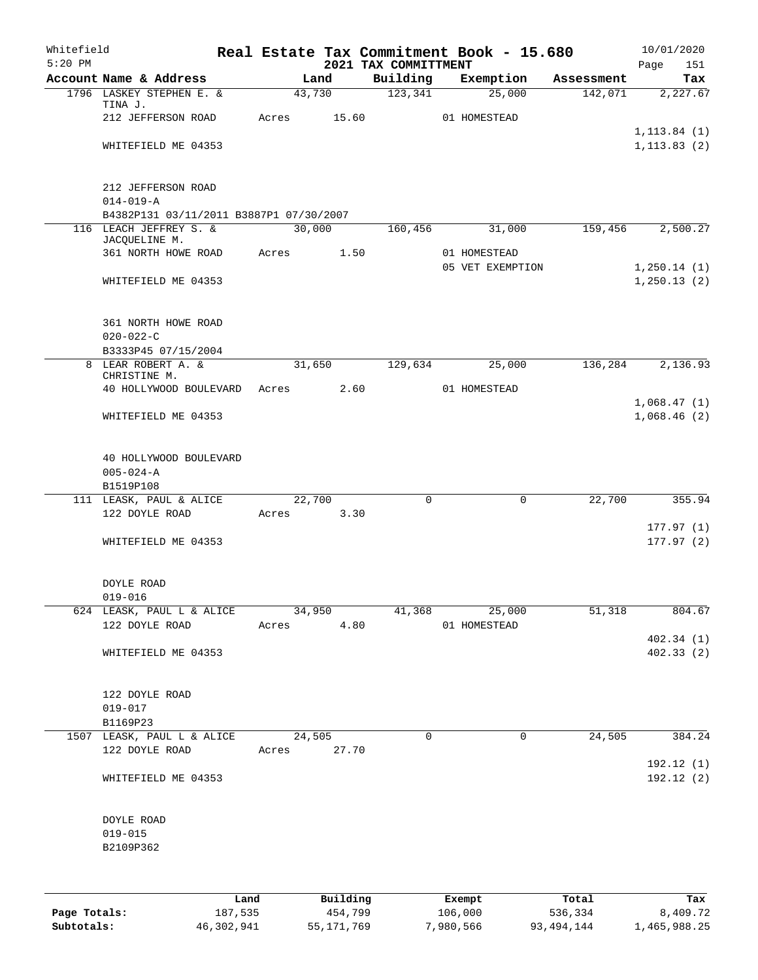| Whitefield |                                         |      |       |        |          |                                  | Real Estate Tax Commitment Book - 15.680 |            | 10/01/2020         |
|------------|-----------------------------------------|------|-------|--------|----------|----------------------------------|------------------------------------------|------------|--------------------|
| $5:20$ PM  | Account Name & Address                  |      |       | Land   |          | 2021 TAX COMMITTMENT<br>Building | Exemption                                | Assessment | Page<br>151<br>Tax |
|            | 1796 LASKEY STEPHEN E. &                |      |       | 43,730 |          | 123,341                          | 25,000                                   | 142,071    | 2,227.67           |
|            | TINA J.                                 |      |       |        |          |                                  |                                          |            |                    |
|            | 212 JEFFERSON ROAD                      |      | Acres |        | 15.60    |                                  | 01 HOMESTEAD                             |            | 1, 113.84(1)       |
|            | WHITEFIELD ME 04353                     |      |       |        |          |                                  |                                          |            | 1, 113.83(2)       |
|            |                                         |      |       |        |          |                                  |                                          |            |                    |
|            | 212 JEFFERSON ROAD                      |      |       |        |          |                                  |                                          |            |                    |
|            | $014 - 019 - A$                         |      |       |        |          |                                  |                                          |            |                    |
|            | B4382P131 03/11/2011 B3887P1 07/30/2007 |      |       |        |          |                                  |                                          |            |                    |
|            | 116 LEACH JEFFREY S. &<br>JACQUELINE M. |      |       | 30,000 |          | 160,456                          | 31,000                                   | 159,456    | 2,500.27           |
|            | 361 NORTH HOWE ROAD                     |      | Acres |        | 1.50     |                                  | 01 HOMESTEAD                             |            |                    |
|            |                                         |      |       |        |          |                                  | 05 VET EXEMPTION                         |            | 1, 250.14(1)       |
|            | WHITEFIELD ME 04353                     |      |       |        |          |                                  |                                          |            | 1, 250.13(2)       |
|            | 361 NORTH HOWE ROAD                     |      |       |        |          |                                  |                                          |            |                    |
|            | $020 - 022 - C$                         |      |       |        |          |                                  |                                          |            |                    |
|            | B3333P45 07/15/2004                     |      |       |        |          |                                  |                                          |            |                    |
|            | 8 LEAR ROBERT A. &                      |      |       | 31,650 |          | 129,634                          | 25,000                                   | 136,284    | 2,136.93           |
|            | CHRISTINE M.<br>40 HOLLYWOOD BOULEVARD  |      | Acres |        | 2.60     |                                  | 01 HOMESTEAD                             |            |                    |
|            |                                         |      |       |        |          |                                  |                                          |            | 1,068.47(1)        |
|            | WHITEFIELD ME 04353                     |      |       |        |          |                                  |                                          |            | 1,068.46(2)        |
|            |                                         |      |       |        |          |                                  |                                          |            |                    |
|            | 40 HOLLYWOOD BOULEVARD                  |      |       |        |          |                                  |                                          |            |                    |
|            | $005 - 024 - A$                         |      |       |        |          |                                  |                                          |            |                    |
|            | B1519P108<br>111 LEASK, PAUL & ALICE    |      |       | 22,700 |          | $\mathbf 0$                      | 0                                        | 22,700     | 355.94             |
|            | 122 DOYLE ROAD                          |      | Acres |        | 3.30     |                                  |                                          |            |                    |
|            |                                         |      |       |        |          |                                  |                                          |            | 177.97(1)          |
|            | WHITEFIELD ME 04353                     |      |       |        |          |                                  |                                          |            | 177.97(2)          |
|            | <b>DOYLE ROAD</b>                       |      |       |        |          |                                  |                                          |            |                    |
|            | $019 - 016$                             |      |       |        |          |                                  |                                          |            |                    |
|            | 624 LEASK, PAUL L & ALICE               |      |       | 34,950 |          | 41,368                           | 25,000                                   | 51,318     | 804.67             |
|            | 122 DOYLE ROAD                          |      | Acres |        | 4.80     |                                  | 01 HOMESTEAD                             |            |                    |
|            |                                         |      |       |        |          |                                  |                                          |            | 402.34(1)          |
|            | WHITEFIELD ME 04353                     |      |       |        |          |                                  |                                          |            | 402.33(2)          |
|            | 122 DOYLE ROAD                          |      |       |        |          |                                  |                                          |            |                    |
|            | $019 - 017$                             |      |       |        |          |                                  |                                          |            |                    |
|            | B1169P23                                |      |       |        |          |                                  |                                          |            |                    |
|            | 1507 LEASK, PAUL L & ALICE              |      |       | 24,505 |          | $\mathbf 0$                      | 0                                        | 24,505     | 384.24             |
|            | 122 DOYLE ROAD                          |      | Acres |        | 27.70    |                                  |                                          |            | 192.12(1)          |
|            | WHITEFIELD ME 04353                     |      |       |        |          |                                  |                                          |            | 192.12(2)          |
|            |                                         |      |       |        |          |                                  |                                          |            |                    |
|            | DOYLE ROAD<br>$019 - 015$               |      |       |        |          |                                  |                                          |            |                    |
|            | B2109P362                               |      |       |        |          |                                  |                                          |            |                    |
|            |                                         |      |       |        |          |                                  |                                          |            |                    |
|            |                                         | Land |       |        | Building |                                  | Exempt                                   | Total      | Tax                |

**Page Totals:** 187,535 454,799 106,000 536,334 8,409.72 **Subtotals:** 46,302,941 55,171,769 7,980,566 93,494,144 1,465,988.25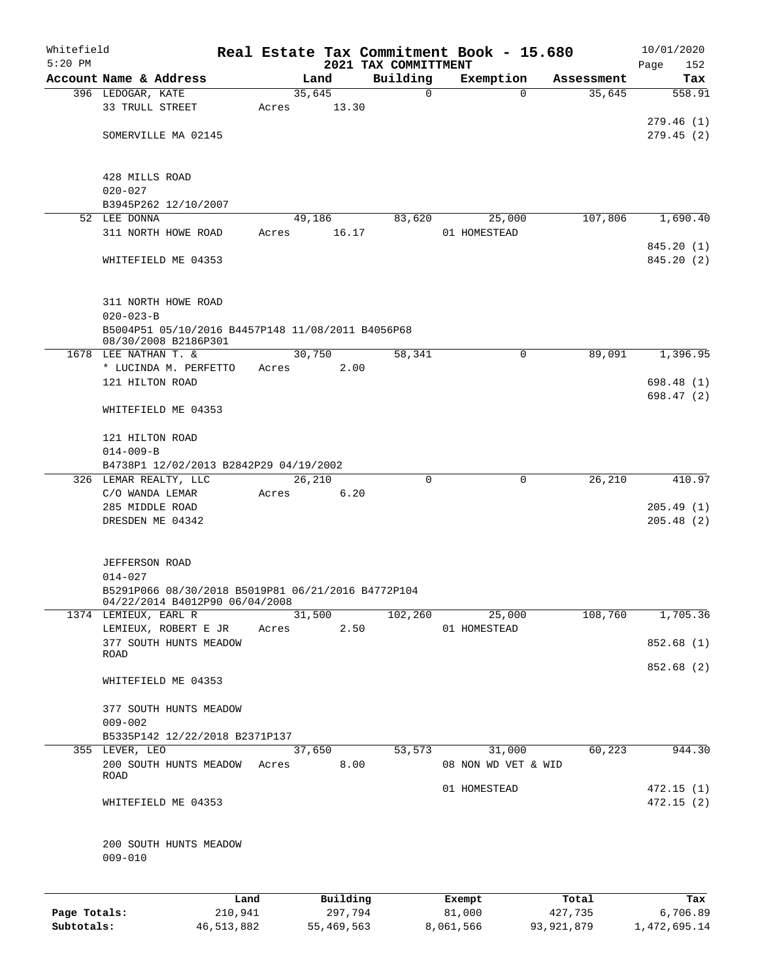| Whitefield<br>$5:20$ PM |                                                                                      |            |       |        |            | 2021 TAX COMMITTMENT | Real Estate Tax Commitment Book - 15.680 |            |            | 10/01/2020<br>152<br>Page |
|-------------------------|--------------------------------------------------------------------------------------|------------|-------|--------|------------|----------------------|------------------------------------------|------------|------------|---------------------------|
|                         | Account Name & Address                                                               |            |       | Land   |            | Building             | Exemption                                |            | Assessment | Tax                       |
|                         | 396 LEDOGAR, KATE                                                                    |            |       | 35,645 |            | 0                    | $\Omega$                                 |            | 35,645     | 558.91                    |
|                         | 33 TRULL STREET                                                                      |            | Acres |        | 13.30      |                      |                                          |            |            |                           |
|                         |                                                                                      |            |       |        |            |                      |                                          |            |            | 279.46 (1)                |
|                         | SOMERVILLE MA 02145                                                                  |            |       |        |            |                      |                                          |            |            | 279.45(2)                 |
|                         |                                                                                      |            |       |        |            |                      |                                          |            |            |                           |
|                         | 428 MILLS ROAD                                                                       |            |       |        |            |                      |                                          |            |            |                           |
|                         | $020 - 027$                                                                          |            |       |        |            |                      |                                          |            |            |                           |
|                         | B3945P262 12/10/2007                                                                 |            |       |        |            |                      |                                          |            |            |                           |
|                         | 52 LEE DONNA                                                                         |            |       | 49,186 |            | 83,620               | 25,000                                   |            | 107,806    | 1,690.40                  |
|                         | 311 NORTH HOWE ROAD                                                                  |            | Acres |        | 16.17      |                      | 01 HOMESTEAD                             |            |            |                           |
|                         |                                                                                      |            |       |        |            |                      |                                          |            |            | 845.20 (1)                |
|                         | WHITEFIELD ME 04353                                                                  |            |       |        |            |                      |                                          |            |            | 845.20 (2)                |
|                         | 311 NORTH HOWE ROAD                                                                  |            |       |        |            |                      |                                          |            |            |                           |
|                         | $020 - 023 - B$                                                                      |            |       |        |            |                      |                                          |            |            |                           |
|                         | B5004P51 05/10/2016 B4457P148 11/08/2011 B4056P68<br>08/30/2008 B2186P301            |            |       |        |            |                      |                                          |            |            |                           |
|                         | 1678 LEE NATHAN T. &                                                                 |            |       | 30,750 |            | 58,341               | 0                                        |            | 89,091     | 1,396.95                  |
|                         | * LUCINDA M. PERFETTO                                                                |            | Acres |        | 2.00       |                      |                                          |            |            |                           |
|                         | 121 HILTON ROAD                                                                      |            |       |        |            |                      |                                          |            |            | 698.48 (1)                |
|                         | WHITEFIELD ME 04353                                                                  |            |       |        |            |                      |                                          |            |            | 698.47 (2)                |
|                         | 121 HILTON ROAD                                                                      |            |       |        |            |                      |                                          |            |            |                           |
|                         | $014 - 009 - B$                                                                      |            |       |        |            |                      |                                          |            |            |                           |
|                         | B4738P1 12/02/2013 B2842P29 04/19/2002                                               |            |       |        |            |                      |                                          |            |            |                           |
|                         | 326 LEMAR REALTY, LLC                                                                |            |       | 26,210 |            | 0                    | $\mathbf 0$                              |            | 26,210     | 410.97                    |
|                         | C/O WANDA LEMAR                                                                      |            | Acres |        | 6.20       |                      |                                          |            |            |                           |
|                         | 285 MIDDLE ROAD                                                                      |            |       |        |            |                      |                                          |            |            | 205.49(1)                 |
|                         | DRESDEN ME 04342                                                                     |            |       |        |            |                      |                                          |            |            | 205.48(2)                 |
|                         | <b>JEFFERSON ROAD</b>                                                                |            |       |        |            |                      |                                          |            |            |                           |
|                         | $014 - 027$                                                                          |            |       |        |            |                      |                                          |            |            |                           |
|                         | B5291P066 08/30/2018 B5019P81 06/21/2016 B4772P104<br>04/22/2014 B4012P90 06/04/2008 |            |       |        |            |                      |                                          |            |            |                           |
|                         | 1374 LEMIEUX, EARL R                                                                 |            |       | 31,500 |            | 102,260              | 25,000                                   |            | 108,760    | 1,705.36                  |
|                         | LEMIEUX, ROBERT E JR                                                                 |            | Acres |        | 2.50       |                      | 01 HOMESTEAD                             |            |            |                           |
|                         | 377 SOUTH HUNTS MEADOW                                                               |            |       |        |            |                      |                                          |            |            | 852.68 (1)                |
|                         | ROAD                                                                                 |            |       |        |            |                      |                                          |            |            |                           |
|                         | WHITEFIELD ME 04353                                                                  |            |       |        |            |                      |                                          |            |            | 852.68 (2)                |
|                         | 377 SOUTH HUNTS MEADOW                                                               |            |       |        |            |                      |                                          |            |            |                           |
|                         | $009 - 002$                                                                          |            |       |        |            |                      |                                          |            |            |                           |
|                         | B5335P142 12/22/2018 B2371P137                                                       |            |       |        |            |                      |                                          |            |            |                           |
|                         | 355 LEVER, LEO                                                                       |            |       | 37,650 |            | 53,573               | 31,000                                   |            | 60,223     | 944.30                    |
|                         | 200 SOUTH HUNTS MEADOW<br>ROAD                                                       |            | Acres |        | 8.00       |                      | 08 NON WD VET & WID                      |            |            |                           |
|                         |                                                                                      |            |       |        |            |                      | 01 HOMESTEAD                             |            |            | 472.15(1)                 |
|                         | WHITEFIELD ME 04353                                                                  |            |       |        |            |                      |                                          |            |            | 472.15(2)                 |
|                         | 200 SOUTH HUNTS MEADOW<br>$009 - 010$                                                |            |       |        |            |                      |                                          |            |            |                           |
|                         |                                                                                      | Land       |       |        | Building   |                      | Exempt                                   |            | Total      | Tax                       |
| Page Totals:            |                                                                                      | 210,941    |       |        | 297,794    |                      | 81,000                                   |            | 427,735    | 6,706.89                  |
| Subtotals:              |                                                                                      | 46,513,882 |       |        | 55,469,563 |                      | 8,061,566                                | 93,921,879 |            | 1,472,695.14              |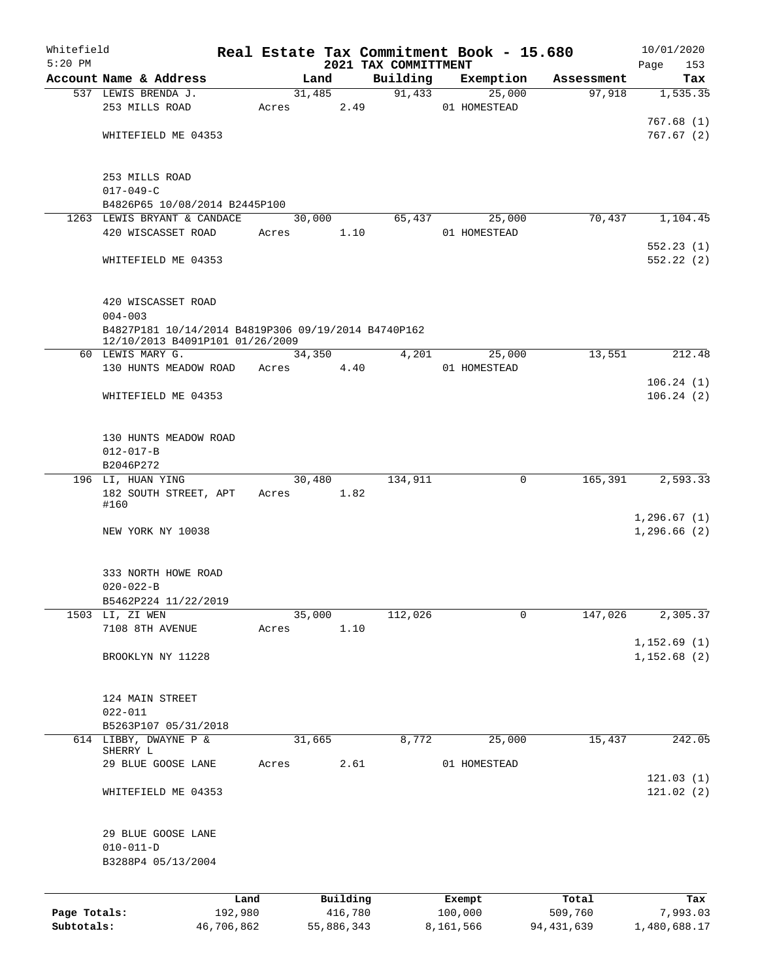| Whitefield   |                                                                                        |                 |       |            |                     |                                  | Real Estate Tax Commitment Book - 15.680 |                  |            | 10/01/2020         |
|--------------|----------------------------------------------------------------------------------------|-----------------|-------|------------|---------------------|----------------------------------|------------------------------------------|------------------|------------|--------------------|
| $5:20$ PM    | Account Name & Address                                                                 |                 |       | Land       |                     | 2021 TAX COMMITTMENT<br>Building | Exemption                                |                  | Assessment | Page<br>153<br>Tax |
|              | 537 LEWIS BRENDA J.                                                                    |                 |       | 31,485     |                     | 91,433                           | 25,000                                   |                  | 97,918     | 1,535.35           |
|              | 253 MILLS ROAD                                                                         |                 | Acres |            | 2.49                |                                  | 01 HOMESTEAD                             |                  |            |                    |
|              |                                                                                        |                 |       |            |                     |                                  |                                          |                  |            | 767.68(1)          |
|              | WHITEFIELD ME 04353                                                                    |                 |       |            |                     |                                  |                                          |                  |            | 767.67(2)          |
|              | 253 MILLS ROAD                                                                         |                 |       |            |                     |                                  |                                          |                  |            |                    |
|              | $017 - 049 - C$<br>B4826P65 10/08/2014 B2445P100                                       |                 |       |            |                     |                                  |                                          |                  |            |                    |
|              | 1263 LEWIS BRYANT & CANDACE                                                            |                 |       | 30,000     |                     | 65,437                           | 25,000                                   |                  | 70,437     | 1,104.45           |
|              | 420 WISCASSET ROAD                                                                     |                 | Acres |            | 1.10                |                                  | 01 HOMESTEAD                             |                  |            |                    |
|              |                                                                                        |                 |       |            |                     |                                  |                                          |                  |            | 552.23(1)          |
|              | WHITEFIELD ME 04353                                                                    |                 |       |            |                     |                                  |                                          |                  |            | 552.22(2)          |
|              | 420 WISCASSET ROAD                                                                     |                 |       |            |                     |                                  |                                          |                  |            |                    |
|              | $004 - 003$                                                                            |                 |       |            |                     |                                  |                                          |                  |            |                    |
|              | B4827P181 10/14/2014 B4819P306 09/19/2014 B4740P162<br>12/10/2013 B4091P101 01/26/2009 |                 |       |            |                     |                                  |                                          |                  |            |                    |
|              | 60 LEWIS MARY G.<br>130 HUNTS MEADOW ROAD                                              |                 | Acres | 34,350     | 4.40                | 4,201                            | 25,000<br>01 HOMESTEAD                   |                  | 13,551     | 212.48             |
|              |                                                                                        |                 |       |            |                     |                                  |                                          |                  |            | 106.24(1)          |
|              | WHITEFIELD ME 04353                                                                    |                 |       |            |                     |                                  |                                          |                  |            | 106.24(2)          |
|              |                                                                                        |                 |       |            |                     |                                  |                                          |                  |            |                    |
|              | 130 HUNTS MEADOW ROAD                                                                  |                 |       |            |                     |                                  |                                          |                  |            |                    |
|              | $012 - 017 - B$                                                                        |                 |       |            |                     |                                  |                                          |                  |            |                    |
|              | B2046P272                                                                              |                 |       |            |                     |                                  |                                          |                  |            |                    |
|              | 196 LI, HUAN YING                                                                      |                 |       | 30,480     |                     | 134,911                          |                                          | 0                | 165,391    | 2,593.33           |
|              | 182 SOUTH STREET, APT                                                                  |                 |       | Acres 1.82 |                     |                                  |                                          |                  |            |                    |
|              | #160                                                                                   |                 |       |            |                     |                                  |                                          |                  |            | 1,296.67(1)        |
|              | NEW YORK NY 10038                                                                      |                 |       |            |                     |                                  |                                          |                  |            | 1,296.66(2)        |
|              |                                                                                        |                 |       |            |                     |                                  |                                          |                  |            |                    |
|              | 333 NORTH HOWE ROAD                                                                    |                 |       |            |                     |                                  |                                          |                  |            |                    |
|              | $020 - 022 - B$                                                                        |                 |       |            |                     |                                  |                                          |                  |            |                    |
|              | B5462P224 11/22/2019                                                                   |                 |       |            |                     |                                  |                                          |                  |            |                    |
|              | 1503 LI, ZI WEN                                                                        |                 |       | 35,000     |                     | 112,026                          |                                          | 0                | 147,026    | 2,305.37           |
|              | 7108 8TH AVENUE                                                                        |                 | Acres |            | 1.10                |                                  |                                          |                  |            |                    |
|              |                                                                                        |                 |       |            |                     |                                  |                                          |                  |            | 1, 152.69(1)       |
|              | BROOKLYN NY 11228                                                                      |                 |       |            |                     |                                  |                                          |                  |            | 1,152.68(2)        |
|              | 124 MAIN STREET                                                                        |                 |       |            |                     |                                  |                                          |                  |            |                    |
|              | $022 - 011$                                                                            |                 |       |            |                     |                                  |                                          |                  |            |                    |
|              | B5263P107 05/31/2018                                                                   |                 |       |            |                     |                                  |                                          |                  |            |                    |
|              | 614 LIBBY, DWAYNE P &                                                                  |                 |       | 31,665     |                     | 8,772                            | 25,000                                   |                  | 15,437     | 242.05             |
|              | SHERRY L<br>29 BLUE GOOSE LANE                                                         |                 | Acres |            | 2.61                |                                  | 01 HOMESTEAD                             |                  |            |                    |
|              |                                                                                        |                 |       |            |                     |                                  |                                          |                  |            | 121.03(1)          |
|              | WHITEFIELD ME 04353                                                                    |                 |       |            |                     |                                  |                                          |                  |            | 121.02(2)          |
|              | 29 BLUE GOOSE LANE                                                                     |                 |       |            |                     |                                  |                                          |                  |            |                    |
|              | $010 - 011 - D$                                                                        |                 |       |            |                     |                                  |                                          |                  |            |                    |
|              | B3288P4 05/13/2004                                                                     |                 |       |            |                     |                                  |                                          |                  |            |                    |
|              |                                                                                        |                 |       |            |                     |                                  |                                          |                  |            |                    |
| Page Totals: |                                                                                        | Land<br>192,980 |       |            | Building<br>416,780 |                                  | Exempt<br>100,000                        | Total<br>509,760 |            | Tax<br>7,993.03    |
| Subtotals:   |                                                                                        | 46,706,862      |       |            | 55,886,343          |                                  | 8,161,566                                | 94, 431, 639     |            | 1,480,688.17       |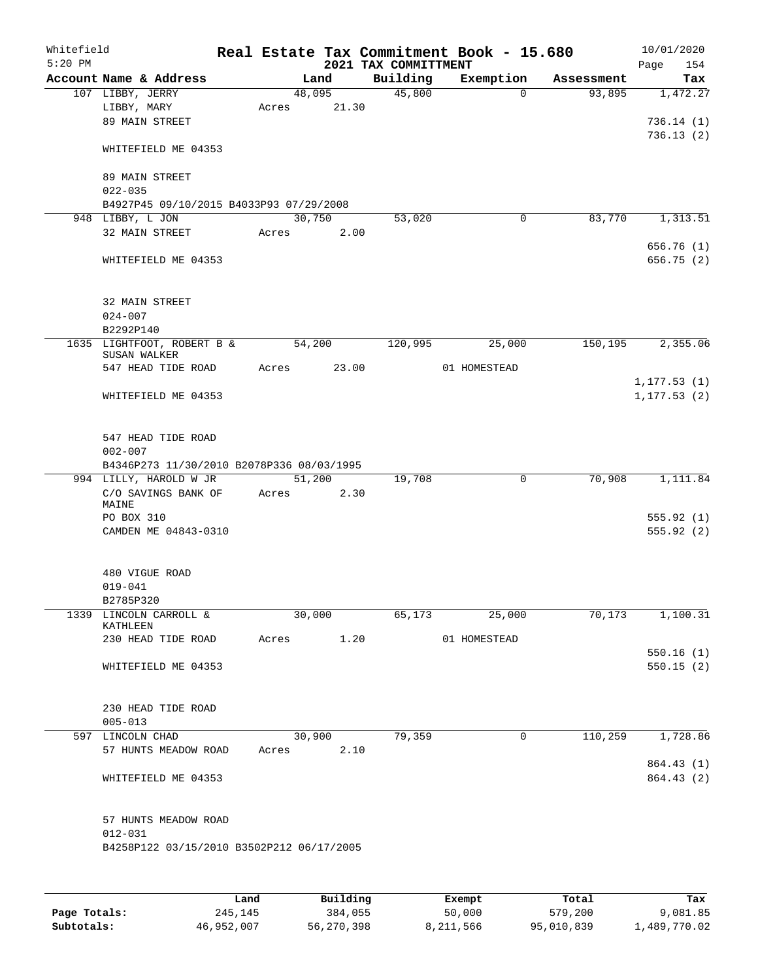| Whitefield<br>$5:20$ PM |                                           |       |        |            | 2021 TAX COMMITTMENT | Real Estate Tax Commitment Book - 15.680 |            | 10/01/2020<br>Page<br>154 |
|-------------------------|-------------------------------------------|-------|--------|------------|----------------------|------------------------------------------|------------|---------------------------|
|                         | Account Name & Address                    |       | Land   |            | Building             | Exemption                                | Assessment | Tax                       |
|                         | 107 LIBBY, JERRY                          |       | 48,095 |            | 45,800               | $\Omega$                                 | 93,895     | 1,472.27                  |
|                         | LIBBY, MARY                               | Acres |        | 21.30      |                      |                                          |            |                           |
|                         | 89 MAIN STREET                            |       |        |            |                      |                                          |            | 736.14(1)                 |
|                         |                                           |       |        |            |                      |                                          |            | 736.13(2)                 |
|                         | WHITEFIELD ME 04353                       |       |        |            |                      |                                          |            |                           |
|                         |                                           |       |        |            |                      |                                          |            |                           |
|                         | 89 MAIN STREET                            |       |        |            |                      |                                          |            |                           |
|                         | $022 - 035$                               |       |        |            |                      |                                          |            |                           |
|                         | B4927P45 09/10/2015 B4033P93 07/29/2008   |       |        |            |                      |                                          |            |                           |
|                         | 948 LIBBY, L JON                          |       | 30,750 |            | 53,020               | 0                                        | 83,770     | 1,313.51                  |
|                         | 32 MAIN STREET                            | Acres |        | 2.00       |                      |                                          |            |                           |
|                         |                                           |       |        |            |                      |                                          |            | 656.76 (1)                |
|                         | WHITEFIELD ME 04353                       |       |        |            |                      |                                          |            | 656.75 (2)                |
|                         |                                           |       |        |            |                      |                                          |            |                           |
|                         | 32 MAIN STREET                            |       |        |            |                      |                                          |            |                           |
|                         | $024 - 007$                               |       |        |            |                      |                                          |            |                           |
|                         | B2292P140                                 |       |        |            |                      |                                          |            |                           |
|                         | 1635 LIGHTFOOT, ROBERT B &                |       | 54,200 |            | 120,995              | 25,000                                   | 150,195    | 2,355.06                  |
|                         | SUSAN WALKER                              |       |        |            |                      |                                          |            |                           |
|                         | 547 HEAD TIDE ROAD                        | Acres |        | 23.00      |                      | 01 HOMESTEAD                             |            |                           |
|                         |                                           |       |        |            |                      |                                          |            | 1, 177.53(1)              |
|                         | WHITEFIELD ME 04353                       |       |        |            |                      |                                          |            | 1, 177.53(2)              |
|                         |                                           |       |        |            |                      |                                          |            |                           |
|                         |                                           |       |        |            |                      |                                          |            |                           |
|                         | 547 HEAD TIDE ROAD                        |       |        |            |                      |                                          |            |                           |
|                         | $002 - 007$                               |       |        |            |                      |                                          |            |                           |
|                         | B4346P273 11/30/2010 B2078P336 08/03/1995 |       |        |            |                      |                                          |            |                           |
|                         | 994 LILLY, HAROLD W JR                    |       | 51,200 | 2.30       | 19,708               | 0                                        | 70,908     | 1,111.84                  |
|                         | C/O SAVINGS BANK OF<br>MAINE              | Acres |        |            |                      |                                          |            |                           |
|                         | PO BOX 310                                |       |        |            |                      |                                          |            | 555.92(1)                 |
|                         | CAMDEN ME 04843-0310                      |       |        |            |                      |                                          |            | 555.92(2)                 |
|                         |                                           |       |        |            |                      |                                          |            |                           |
|                         |                                           |       |        |            |                      |                                          |            |                           |
|                         | 480 VIGUE ROAD                            |       |        |            |                      |                                          |            |                           |
|                         | $019 - 041$                               |       |        |            |                      |                                          |            |                           |
|                         | B2785P320                                 |       |        |            |                      |                                          |            |                           |
|                         | 1339 LINCOLN CARROLL &                    |       | 30,000 |            | 65,173               | 25,000                                   | 70, 173    | 1,100.31                  |
|                         | KATHLEEN<br>230 HEAD TIDE ROAD            |       |        | Acres 1.20 |                      | 01 HOMESTEAD                             |            |                           |
|                         |                                           |       |        |            |                      |                                          |            | 550.16(1)                 |
|                         | WHITEFIELD ME 04353                       |       |        |            |                      |                                          |            | 550.15(2)                 |
|                         |                                           |       |        |            |                      |                                          |            |                           |
|                         |                                           |       |        |            |                      |                                          |            |                           |
|                         | 230 HEAD TIDE ROAD                        |       |        |            |                      |                                          |            |                           |
|                         | $005 - 013$                               |       |        |            |                      |                                          |            |                           |
|                         | 597 LINCOLN CHAD                          |       | 30,900 |            | 79,359               | 0                                        | 110,259    | 1,728.86                  |
|                         | 57 HUNTS MEADOW ROAD                      | Acres |        | 2.10       |                      |                                          |            |                           |
|                         |                                           |       |        |            |                      |                                          |            | 864.43 (1)                |
|                         | WHITEFIELD ME 04353                       |       |        |            |                      |                                          |            | 864.43 (2)                |
|                         |                                           |       |        |            |                      |                                          |            |                           |
|                         |                                           |       |        |            |                      |                                          |            |                           |
|                         | 57 HUNTS MEADOW ROAD                      |       |        |            |                      |                                          |            |                           |
|                         | $012 - 031$                               |       |        |            |                      |                                          |            |                           |
|                         | B4258P122 03/15/2010 B3502P212 06/17/2005 |       |        |            |                      |                                          |            |                           |
|                         |                                           |       |        |            |                      |                                          |            |                           |
|                         |                                           |       |        |            |                      |                                          |            |                           |
|                         |                                           |       |        |            |                      |                                          |            |                           |

|              | Land       | Building   | Exempt    | Total      | Tax          |
|--------------|------------|------------|-----------|------------|--------------|
| Page Totals: | 245,145    | 384,055    | 50,000    | 579,200    | 9,081.85     |
| Subtotals:   | 46,952,007 | 56,270,398 | 8,211,566 | 95,010,839 | 1,489,770.02 |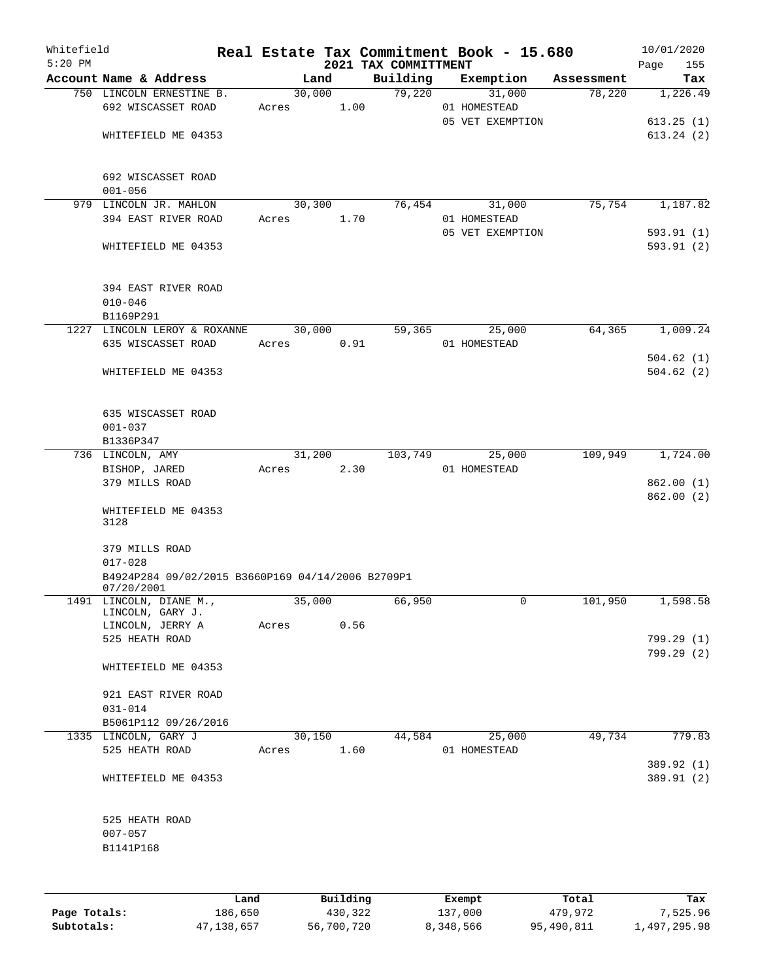| Whitefield<br>$5:20$ PM |                                                                 |            |        |      |                                  | Real Estate Tax Commitment Book - 15.680 |            | 10/01/2020         |
|-------------------------|-----------------------------------------------------------------|------------|--------|------|----------------------------------|------------------------------------------|------------|--------------------|
|                         | Account Name & Address                                          |            | Land   |      | 2021 TAX COMMITTMENT<br>Building | Exemption                                | Assessment | Page<br>155<br>Tax |
|                         | 750 LINCOLN ERNESTINE B.                                        |            | 30,000 |      | 79,220                           | 31,000                                   | 78,220     | 1,226.49           |
|                         | 692 WISCASSET ROAD                                              | Acres      |        | 1.00 |                                  | 01 HOMESTEAD                             |            |                    |
|                         |                                                                 |            |        |      |                                  | 05 VET EXEMPTION                         |            | 613.25(1)          |
|                         | WHITEFIELD ME 04353                                             |            |        |      |                                  |                                          |            | 613.24(2)          |
|                         |                                                                 |            |        |      |                                  |                                          |            |                    |
|                         | 692 WISCASSET ROAD                                              |            |        |      |                                  |                                          |            |                    |
|                         | $001 - 056$                                                     |            |        |      |                                  |                                          |            |                    |
|                         | 979 LINCOLN JR. MAHLON                                          |            | 30,300 |      | 76,454                           | 31,000                                   | 75,754     | 1,187.82           |
|                         | 394 EAST RIVER ROAD                                             | Acres      |        | 1.70 |                                  | 01 HOMESTEAD                             |            |                    |
|                         |                                                                 |            |        |      |                                  | 05 VET EXEMPTION                         |            | 593.91(1)          |
|                         | WHITEFIELD ME 04353                                             |            |        |      |                                  |                                          |            | 593.91(2)          |
|                         | 394 EAST RIVER ROAD                                             |            |        |      |                                  |                                          |            |                    |
|                         | $010 - 046$                                                     |            |        |      |                                  |                                          |            |                    |
|                         | B1169P291                                                       |            |        |      |                                  |                                          |            |                    |
|                         | 1227 LINCOLN LEROY & ROXANNE                                    |            | 30,000 |      | 59,365                           | 25,000                                   | 64,365     | 1,009.24           |
|                         | 635 WISCASSET ROAD                                              | Acres      |        | 0.91 |                                  | 01 HOMESTEAD                             |            |                    |
|                         |                                                                 |            |        |      |                                  |                                          |            | 504.62(1)          |
|                         | WHITEFIELD ME 04353                                             |            |        |      |                                  |                                          |            | 504.62(2)          |
|                         |                                                                 |            |        |      |                                  |                                          |            |                    |
|                         | 635 WISCASSET ROAD                                              |            |        |      |                                  |                                          |            |                    |
|                         | $001 - 037$                                                     |            |        |      |                                  |                                          |            |                    |
|                         | B1336P347                                                       |            |        |      |                                  |                                          |            |                    |
|                         | 736 LINCOLN, AMY                                                |            | 31,200 |      | 103,749                          | 25,000                                   | 109,949    | 1,724.00           |
|                         | BISHOP, JARED                                                   | Acres      |        | 2.30 |                                  | 01 HOMESTEAD                             |            |                    |
|                         | 379 MILLS ROAD                                                  |            |        |      |                                  |                                          |            | 862.00(1)          |
|                         |                                                                 |            |        |      |                                  |                                          |            | 862.00(2)          |
|                         | WHITEFIELD ME 04353<br>3128                                     |            |        |      |                                  |                                          |            |                    |
|                         | 379 MILLS ROAD                                                  |            |        |      |                                  |                                          |            |                    |
|                         | $017 - 028$                                                     |            |        |      |                                  |                                          |            |                    |
|                         | B4924P284 09/02/2015 B3660P169 04/14/2006 B2709P1<br>07/20/2001 |            |        |      |                                  |                                          |            |                    |
|                         | 1491 LINCOLN, DIANE M.,                                         | 35,000     |        |      | 66,950                           | $\mathsf{O}$                             | 101,950    | 1,598.58           |
|                         | LINCOLN, GARY J.                                                |            |        |      |                                  |                                          |            |                    |
|                         | LINCOLN, JERRY A                                                | Acres 0.56 |        |      |                                  |                                          |            |                    |
|                         | 525 HEATH ROAD                                                  |            |        |      |                                  |                                          |            | 799.29 (1)         |
|                         |                                                                 |            |        |      |                                  |                                          |            | 799.29 (2)         |
|                         | WHITEFIELD ME 04353                                             |            |        |      |                                  |                                          |            |                    |
|                         | 921 EAST RIVER ROAD                                             |            |        |      |                                  |                                          |            |                    |
|                         | $031 - 014$                                                     |            |        |      |                                  |                                          |            |                    |
|                         | B5061P112 09/26/2016                                            |            |        |      |                                  |                                          |            |                    |
|                         | 1335 LINCOLN, GARY J                                            |            | 30,150 |      |                                  | 44,584 25,000                            | 49,734     | 779.83             |
|                         | 525 HEATH ROAD                                                  | Acres 1.60 |        |      |                                  | 01 HOMESTEAD                             |            |                    |
|                         |                                                                 |            |        |      |                                  |                                          |            | 389.92 (1)         |
|                         | WHITEFIELD ME 04353                                             |            |        |      |                                  |                                          |            | 389.91 (2)         |
|                         | 525 HEATH ROAD                                                  |            |        |      |                                  |                                          |            |                    |
|                         | $007 - 057$                                                     |            |        |      |                                  |                                          |            |                    |
|                         | B1141P168                                                       |            |        |      |                                  |                                          |            |                    |
|                         |                                                                 |            |        |      |                                  |                                          |            |                    |
|                         |                                                                 |            |        |      |                                  |                                          |            |                    |
|                         |                                                                 |            |        |      |                                  |                                          |            |                    |

|              | Land         | Building   | Exempt    | Total      | Tax          |
|--------------|--------------|------------|-----------|------------|--------------|
| Page Totals: | 186,650      | 430,322    | 137,000   | 479,972    | 7.525.96     |
| Subtotals:   | 47, 138, 657 | 56,700,720 | 8,348,566 | 95,490,811 | 1,497,295.98 |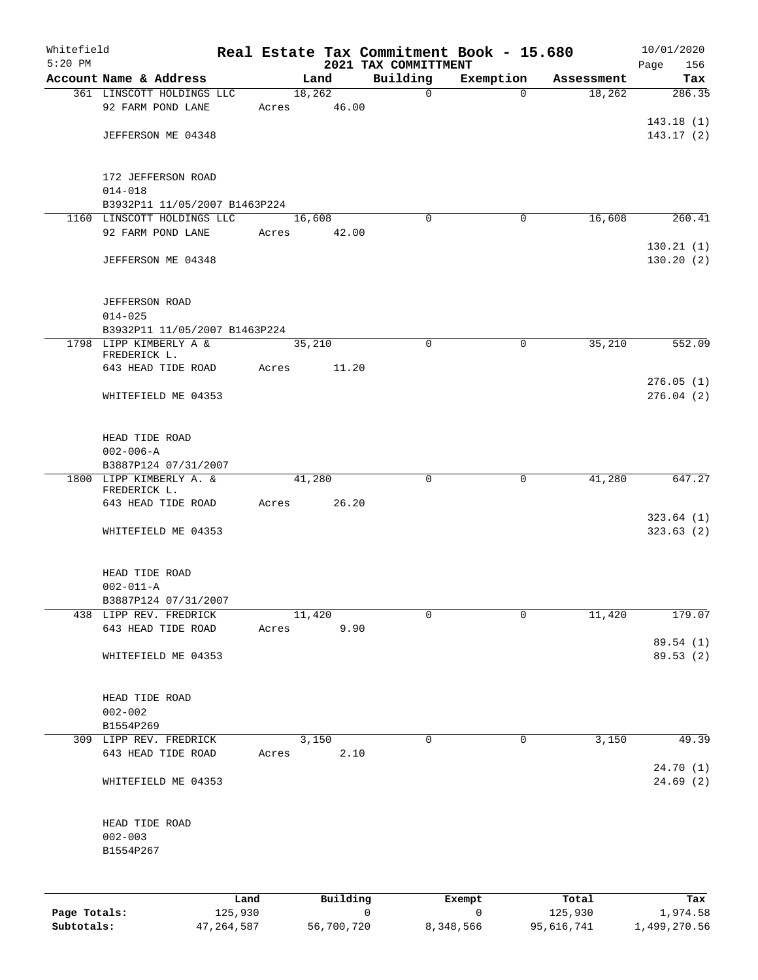| Whitefield<br>$5:20$ PM |                                      |                 |       |        |          |   | Real Estate Tax Commitment Book - 15.680<br>2021 TAX COMMITTMENT |             |             |                  | 10/01/2020<br>Page<br>156 |
|-------------------------|--------------------------------------|-----------------|-------|--------|----------|---|------------------------------------------------------------------|-------------|-------------|------------------|---------------------------|
|                         | Account Name & Address               |                 |       | Land   |          |   | Building                                                         | Exemption   |             | Assessment       | Tax                       |
|                         | 361 LINSCOTT HOLDINGS LLC            |                 |       | 18,262 |          |   | $\mathbf 0$                                                      |             | $\Omega$    | 18,262           | 286.35                    |
|                         | 92 FARM POND LANE                    |                 | Acres |        | 46.00    |   |                                                                  |             |             |                  |                           |
|                         |                                      |                 |       |        |          |   |                                                                  |             |             |                  | 143.18(1)                 |
|                         | JEFFERSON ME 04348                   |                 |       |        |          |   |                                                                  |             |             |                  | 143.17(2)                 |
|                         | 172 JEFFERSON ROAD                   |                 |       |        |          |   |                                                                  |             |             |                  |                           |
|                         | $014 - 018$                          |                 |       |        |          |   |                                                                  |             |             |                  |                           |
|                         | B3932P11 11/05/2007 B1463P224        |                 |       |        |          |   |                                                                  |             |             |                  |                           |
|                         | 1160 LINSCOTT HOLDINGS LLC           |                 |       | 16,608 |          |   | $\Omega$                                                         |             | 0           | 16,608           | 260.41                    |
|                         | 92 FARM POND LANE                    |                 | Acres |        | 42.00    |   |                                                                  |             |             |                  |                           |
|                         | JEFFERSON ME 04348                   |                 |       |        |          |   |                                                                  |             |             |                  | 130.21(1)<br>130.20(2)    |
|                         | <b>JEFFERSON ROAD</b><br>$014 - 025$ |                 |       |        |          |   |                                                                  |             |             |                  |                           |
|                         | B3932P11 11/05/2007 B1463P224        |                 |       |        |          |   |                                                                  |             |             |                  |                           |
|                         | 1798 LIPP KIMBERLY A &               |                 |       | 35,210 |          |   | $\mathbf 0$                                                      |             | $\mathbf 0$ | 35,210           | 552.09                    |
|                         | FREDERICK L.                         |                 |       |        |          |   |                                                                  |             |             |                  |                           |
|                         | 643 HEAD TIDE ROAD                   |                 | Acres |        | 11.20    |   |                                                                  |             |             |                  |                           |
|                         |                                      |                 |       |        |          |   |                                                                  |             |             |                  | 276.05(1)                 |
|                         | WHITEFIELD ME 04353                  |                 |       |        |          |   |                                                                  |             |             |                  | 276.04(2)                 |
|                         | HEAD TIDE ROAD                       |                 |       |        |          |   |                                                                  |             |             |                  |                           |
|                         | $002 - 006 - A$                      |                 |       |        |          |   |                                                                  |             |             |                  |                           |
|                         | B3887P124 07/31/2007                 |                 |       |        |          |   |                                                                  |             |             |                  |                           |
|                         | 1800 LIPP KIMBERLY A. &              |                 |       | 41,280 |          |   | 0                                                                |             | 0           | 41,280           | 647.27                    |
|                         | FREDERICK L.<br>643 HEAD TIDE ROAD   |                 | Acres |        | 26.20    |   |                                                                  |             |             |                  |                           |
|                         |                                      |                 |       |        |          |   |                                                                  |             |             |                  | 323.64(1)                 |
|                         | WHITEFIELD ME 04353                  |                 |       |        |          |   |                                                                  |             |             |                  | 323.63(2)                 |
|                         | HEAD TIDE ROAD                       |                 |       |        |          |   |                                                                  |             |             |                  |                           |
|                         | $002 - 011 - A$                      |                 |       |        |          |   |                                                                  |             |             |                  |                           |
|                         | B3887P124 07/31/2007                 |                 |       |        |          |   |                                                                  |             |             |                  |                           |
|                         | 438 LIPP REV. FREDRICK               |                 |       | 11,420 |          |   | 0                                                                |             | 0           | 11,420           | 179.07                    |
|                         | 643 HEAD TIDE ROAD                   |                 | Acres |        | 9.90     |   |                                                                  |             |             |                  |                           |
|                         | WHITEFIELD ME 04353                  |                 |       |        |          |   |                                                                  |             |             |                  | 89.54 (1)<br>89.53 (2)    |
|                         | HEAD TIDE ROAD                       |                 |       |        |          |   |                                                                  |             |             |                  |                           |
|                         | $002 - 002$                          |                 |       |        |          |   |                                                                  |             |             |                  |                           |
|                         | B1554P269                            |                 |       |        |          |   |                                                                  |             |             |                  |                           |
|                         | 309 LIPP REV. FREDRICK               |                 |       | 3,150  |          |   | $\mathsf{O}$                                                     |             | 0           | 3,150            | 49.39                     |
|                         | 643 HEAD TIDE ROAD                   |                 | Acres |        | 2.10     |   |                                                                  |             |             |                  | 24.70(1)                  |
|                         | WHITEFIELD ME 04353                  |                 |       |        |          |   |                                                                  |             |             |                  | 24.69(2)                  |
|                         | HEAD TIDE ROAD                       |                 |       |        |          |   |                                                                  |             |             |                  |                           |
|                         | $002 - 003$                          |                 |       |        |          |   |                                                                  |             |             |                  |                           |
|                         | B1554P267                            |                 |       |        |          |   |                                                                  |             |             |                  |                           |
|                         |                                      |                 |       |        |          |   |                                                                  |             |             |                  |                           |
|                         |                                      |                 |       |        |          |   |                                                                  |             |             |                  |                           |
| Page Totals:            |                                      | Land<br>125,930 |       |        | Building | 0 |                                                                  | Exempt<br>0 |             | Total<br>125,930 | Tax<br>1,974.58           |

**Subtotals:** 47,264,587 56,700,720 8,348,566 95,616,741 1,499,270.56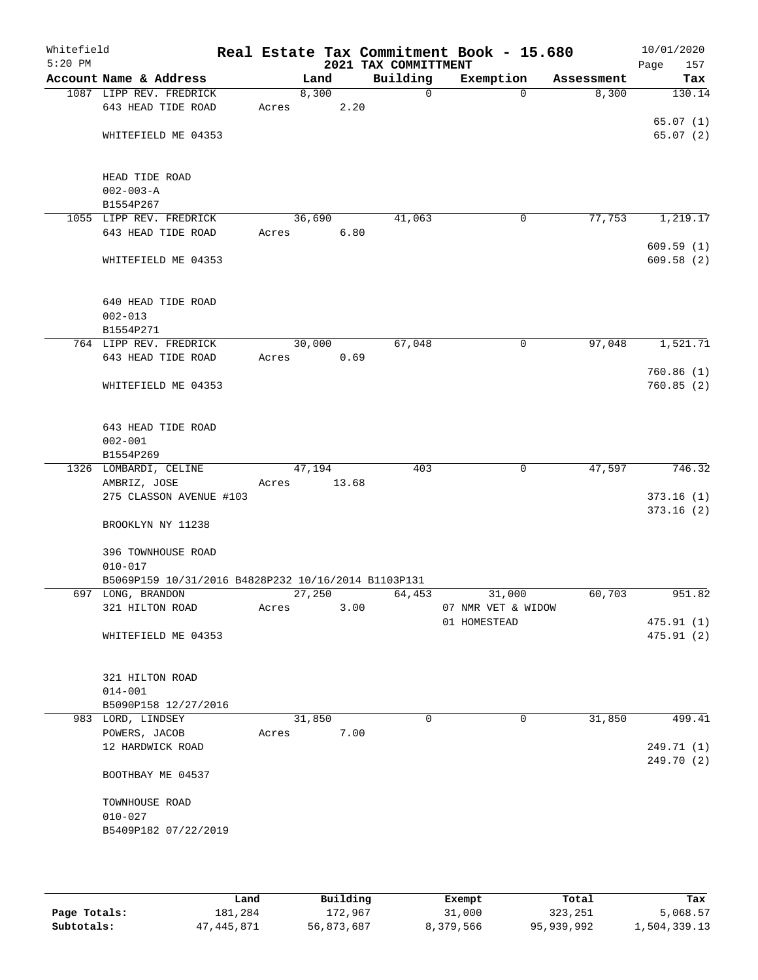| Whitefield<br>$5:20$ PM |                                                     |       |        |       | 2021 TAX COMMITTMENT | Real Estate Tax Commitment Book - 15.680 |            | 10/01/2020<br>Page<br>157 |
|-------------------------|-----------------------------------------------------|-------|--------|-------|----------------------|------------------------------------------|------------|---------------------------|
|                         | Account Name & Address                              |       | Land   |       | Building             | Exemption                                | Assessment | Tax                       |
|                         | 1087 LIPP REV. FREDRICK                             |       | 8,300  |       | $\mathbf 0$          | $\Omega$                                 | 8,300      | 130.14                    |
|                         | 643 HEAD TIDE ROAD                                  | Acres |        | 2.20  |                      |                                          |            |                           |
|                         |                                                     |       |        |       |                      |                                          |            | 65.07(1)                  |
|                         | WHITEFIELD ME 04353                                 |       |        |       |                      |                                          |            | 65.07(2)                  |
|                         |                                                     |       |        |       |                      |                                          |            |                           |
|                         |                                                     |       |        |       |                      |                                          |            |                           |
|                         | HEAD TIDE ROAD                                      |       |        |       |                      |                                          |            |                           |
|                         | $002 - 003 - A$                                     |       |        |       |                      |                                          |            |                           |
|                         | B1554P267                                           |       | 36,690 |       | 41,063               | 0                                        | 77,753     |                           |
|                         | 1055 LIPP REV. FREDRICK<br>643 HEAD TIDE ROAD       | Acres |        | 6.80  |                      |                                          |            | 1,219.17                  |
|                         |                                                     |       |        |       |                      |                                          |            | 609.59(1)                 |
|                         | WHITEFIELD ME 04353                                 |       |        |       |                      |                                          |            | 609.58(2)                 |
|                         |                                                     |       |        |       |                      |                                          |            |                           |
|                         |                                                     |       |        |       |                      |                                          |            |                           |
|                         | 640 HEAD TIDE ROAD                                  |       |        |       |                      |                                          |            |                           |
|                         | $002 - 013$                                         |       |        |       |                      |                                          |            |                           |
|                         | B1554P271                                           |       |        |       |                      |                                          |            |                           |
|                         | 764 LIPP REV. FREDRICK                              |       | 30,000 |       | 67,048               | 0                                        | 97,048     | 1,521.71                  |
|                         | 643 HEAD TIDE ROAD                                  | Acres |        | 0.69  |                      |                                          |            |                           |
|                         |                                                     |       |        |       |                      |                                          |            | 760.86(1)                 |
|                         | WHITEFIELD ME 04353                                 |       |        |       |                      |                                          |            | 760.85(2)                 |
|                         |                                                     |       |        |       |                      |                                          |            |                           |
|                         |                                                     |       |        |       |                      |                                          |            |                           |
|                         | 643 HEAD TIDE ROAD<br>$002 - 001$                   |       |        |       |                      |                                          |            |                           |
|                         | B1554P269                                           |       |        |       |                      |                                          |            |                           |
|                         | 1326 LOMBARDI, CELINE                               |       | 47,194 |       | 403                  | $\mathbf 0$                              | 47,597     | 746.32                    |
|                         | AMBRIZ, JOSE                                        | Acres |        | 13.68 |                      |                                          |            |                           |
|                         | 275 CLASSON AVENUE #103                             |       |        |       |                      |                                          |            | 373.16(1)                 |
|                         |                                                     |       |        |       |                      |                                          |            | 373.16(2)                 |
|                         | BROOKLYN NY 11238                                   |       |        |       |                      |                                          |            |                           |
|                         |                                                     |       |        |       |                      |                                          |            |                           |
|                         | 396 TOWNHOUSE ROAD                                  |       |        |       |                      |                                          |            |                           |
|                         | $010 - 017$                                         |       |        |       |                      |                                          |            |                           |
|                         | B5069P159 10/31/2016 B4828P232 10/16/2014 B1103P131 |       |        |       |                      |                                          |            |                           |
|                         | 697 LONG, BRANDON                                   |       | 27,250 |       | 64,453               | 31,000                                   | 60,703     | 951.82                    |
|                         | 321 HILTON ROAD                                     | Acres |        | 3.00  |                      | 07 NMR VET & WIDOW                       |            |                           |
|                         |                                                     |       |        |       |                      | 01 HOMESTEAD                             |            | 475.91 (1)                |
|                         | WHITEFIELD ME 04353                                 |       |        |       |                      |                                          |            | 475.91(2)                 |
|                         |                                                     |       |        |       |                      |                                          |            |                           |
|                         | 321 HILTON ROAD                                     |       |        |       |                      |                                          |            |                           |
|                         | $014 - 001$                                         |       |        |       |                      |                                          |            |                           |
|                         | B5090P158 12/27/2016                                |       |        |       |                      |                                          |            |                           |
|                         | 983 LORD, LINDSEY                                   |       | 31,850 |       | $\Omega$             | 0                                        | 31,850     | 499.41                    |
|                         | POWERS, JACOB                                       | Acres |        | 7.00  |                      |                                          |            |                           |
|                         | 12 HARDWICK ROAD                                    |       |        |       |                      |                                          |            | 249.71 (1)                |
|                         |                                                     |       |        |       |                      |                                          |            | 249.70 (2)                |
|                         | BOOTHBAY ME 04537                                   |       |        |       |                      |                                          |            |                           |
|                         |                                                     |       |        |       |                      |                                          |            |                           |
|                         | TOWNHOUSE ROAD                                      |       |        |       |                      |                                          |            |                           |
|                         | $010 - 027$                                         |       |        |       |                      |                                          |            |                           |
|                         | B5409P182 07/22/2019                                |       |        |       |                      |                                          |            |                           |
|                         |                                                     |       |        |       |                      |                                          |            |                           |
|                         |                                                     |       |        |       |                      |                                          |            |                           |
|                         |                                                     |       |        |       |                      |                                          |            |                           |

|              | Land       | Building   | Exempt    | Total      | Tax          |
|--------------|------------|------------|-----------|------------|--------------|
| Page Totals: | 181,284    | 172,967    | 31,000    | 323,251    | 5,068.57     |
| Subtotals:   | 47,445,871 | 56,873,687 | 8,379,566 | 95,939,992 | 1,504,339.13 |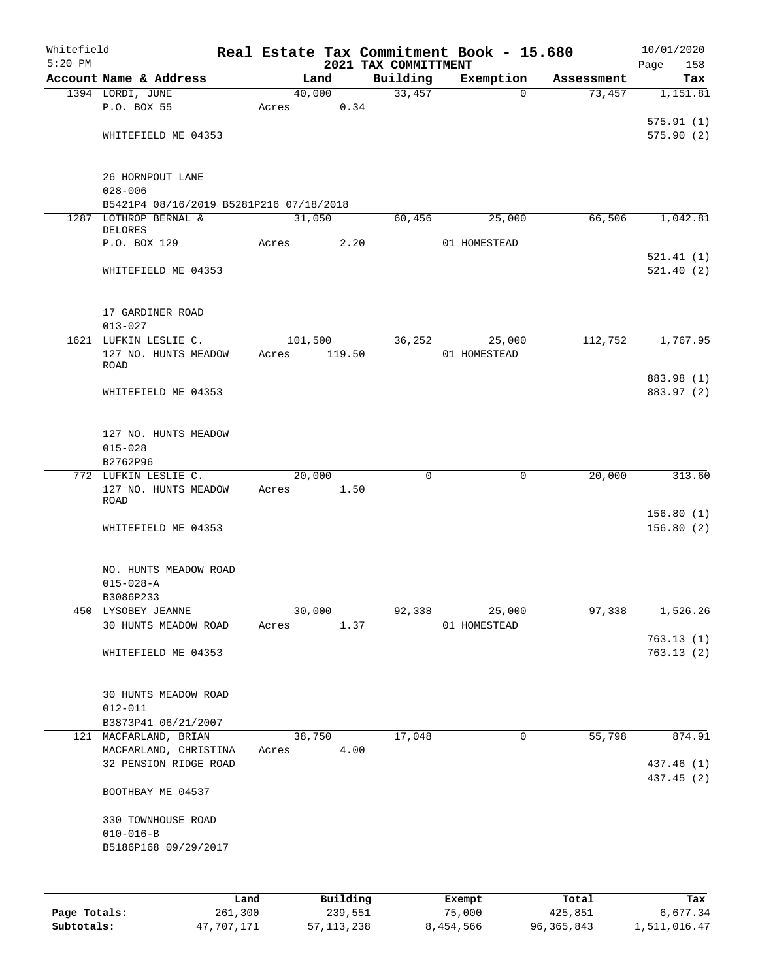| Whitefield |                                          |      |            |          |                                  | Real Estate Tax Commitment Book - 15.680 |            | 10/01/2020         |
|------------|------------------------------------------|------|------------|----------|----------------------------------|------------------------------------------|------------|--------------------|
| $5:20$ PM  | Account Name & Address                   |      |            | Land     | 2021 TAX COMMITTMENT<br>Building | Exemption                                | Assessment | Page<br>158<br>Tax |
|            | 1394 LORDI, JUNE                         |      |            | 40,000   | 33,457                           | $\Omega$                                 | 73,457     | 1,151.81           |
|            | P.O. BOX 55                              |      | Acres      | 0.34     |                                  |                                          |            |                    |
|            |                                          |      |            |          |                                  |                                          |            | 575.91(1)          |
|            | WHITEFIELD ME 04353                      |      |            |          |                                  |                                          |            | 575.90(2)          |
|            |                                          |      |            |          |                                  |                                          |            |                    |
|            | 26 HORNPOUT LANE                         |      |            |          |                                  |                                          |            |                    |
|            | $028 - 006$                              |      |            |          |                                  |                                          |            |                    |
|            | B5421P4 08/16/2019 B5281P216 07/18/2018  |      |            |          |                                  |                                          |            |                    |
|            | 1287 LOTHROP BERNAL &<br><b>DELORES</b>  |      | 31,050     |          | 60,456                           | 25,000                                   | 66,506     | 1,042.81           |
|            | P.O. BOX 129                             |      | Acres      | 2.20     |                                  | 01 HOMESTEAD                             |            |                    |
|            |                                          |      |            |          |                                  |                                          |            | 521.41(1)          |
|            | WHITEFIELD ME 04353                      |      |            |          |                                  |                                          |            | 521.40(2)          |
|            |                                          |      |            |          |                                  |                                          |            |                    |
|            | 17 GARDINER ROAD                         |      |            |          |                                  |                                          |            |                    |
|            | $013 - 027$                              |      |            |          |                                  |                                          |            |                    |
|            | 1621 LUFKIN LESLIE C.                    |      | 101,500    |          | 36,252                           | 25,000                                   | 112,752    | 1,767.95           |
|            | 127 NO. HUNTS MEADOW                     |      | Acres      | 119.50   |                                  | 01 HOMESTEAD                             |            |                    |
|            | <b>ROAD</b>                              |      |            |          |                                  |                                          |            | 883.98 (1)         |
|            | WHITEFIELD ME 04353                      |      |            |          |                                  |                                          |            | 883.97 (2)         |
|            |                                          |      |            |          |                                  |                                          |            |                    |
|            |                                          |      |            |          |                                  |                                          |            |                    |
|            | 127 NO. HUNTS MEADOW                     |      |            |          |                                  |                                          |            |                    |
|            | $015 - 028$<br>B2762P96                  |      |            |          |                                  |                                          |            |                    |
|            | 772 LUFKIN LESLIE C.                     |      | 20,000     |          | 0                                | 0                                        | 20,000     | 313.60             |
|            | 127 NO. HUNTS MEADOW                     |      | Acres 1.50 |          |                                  |                                          |            |                    |
|            | <b>ROAD</b>                              |      |            |          |                                  |                                          |            |                    |
|            |                                          |      |            |          |                                  |                                          |            | 156.80(1)          |
|            | WHITEFIELD ME 04353                      |      |            |          |                                  |                                          |            | 156.80(2)          |
|            |                                          |      |            |          |                                  |                                          |            |                    |
|            | NO. HUNTS MEADOW ROAD<br>$015 - 028 - A$ |      |            |          |                                  |                                          |            |                    |
|            |                                          |      |            |          |                                  |                                          |            |                    |
|            | B3086P233<br>450 LYSOBEY JEANNE          |      | 30,000     |          | 92,338                           | 25,000                                   | 97,338     | 1,526.26           |
|            | 30 HUNTS MEADOW ROAD                     |      | Acres      | 1.37     |                                  | 01 HOMESTEAD                             |            |                    |
|            |                                          |      |            |          |                                  |                                          |            | 763.13(1)          |
|            | WHITEFIELD ME 04353                      |      |            |          |                                  |                                          |            | 763.13(2)          |
|            |                                          |      |            |          |                                  |                                          |            |                    |
|            | 30 HUNTS MEADOW ROAD                     |      |            |          |                                  |                                          |            |                    |
|            | $012 - 011$                              |      |            |          |                                  |                                          |            |                    |
|            | B3873P41 06/21/2007                      |      |            |          |                                  |                                          |            |                    |
|            | 121 MACFARLAND, BRIAN                    |      |            | 38,750   | 17,048                           | 0                                        | 55,798     | 874.91             |
|            | MACFARLAND, CHRISTINA                    |      | Acres      | 4.00     |                                  |                                          |            |                    |
|            | 32 PENSION RIDGE ROAD                    |      |            |          |                                  |                                          |            | 437.46 (1)         |
|            | BOOTHBAY ME 04537                        |      |            |          |                                  |                                          |            | 437.45 (2)         |
|            |                                          |      |            |          |                                  |                                          |            |                    |
|            | 330 TOWNHOUSE ROAD                       |      |            |          |                                  |                                          |            |                    |
|            | $010 - 016 - B$                          |      |            |          |                                  |                                          |            |                    |
|            | B5186P168 09/29/2017                     |      |            |          |                                  |                                          |            |                    |
|            |                                          |      |            |          |                                  |                                          |            |                    |
|            |                                          | Land |            | Building |                                  | Exempt                                   | Total      | Tax                |

**Page Totals:** 261,300 239,551 75,000 425,851 6,677.34 **Subtotals:** 47,707,171 57,113,238 8,454,566 96,365,843 1,511,016.47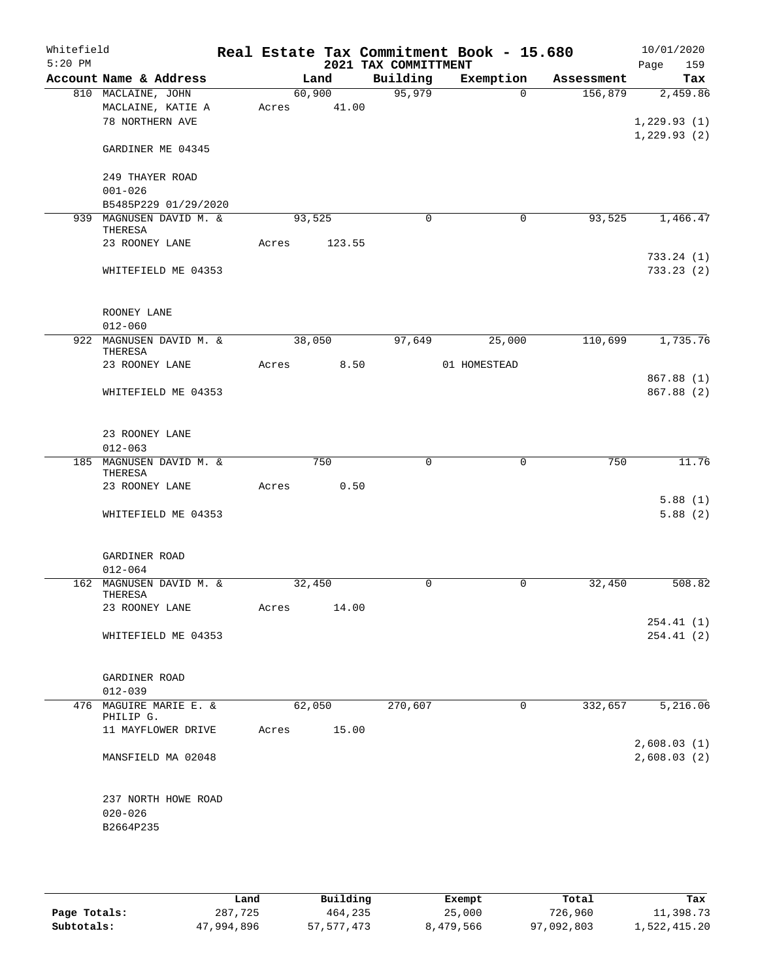| Whitefield<br>$5:20$ PM |                                                 |        |        | 2021 TAX COMMITTMENT | Real Estate Tax Commitment Book - 15.680 |            | 10/01/2020<br>159<br>Page  |
|-------------------------|-------------------------------------------------|--------|--------|----------------------|------------------------------------------|------------|----------------------------|
|                         | Account Name & Address                          |        | Land   | Building             | Exemption                                | Assessment | Tax                        |
|                         | 810 MACLAINE, JOHN                              | 60,900 |        | 95,979               | $\Omega$                                 | 156,879    | 2,459.86                   |
|                         | MACLAINE, KATIE A                               | Acres  | 41.00  |                      |                                          |            |                            |
|                         | 78 NORTHERN AVE                                 |        |        |                      |                                          |            | 1,229.93(1)                |
|                         | GARDINER ME 04345                               |        |        |                      |                                          |            | 1,229.93(2)                |
|                         | 249 THAYER ROAD                                 |        |        |                      |                                          |            |                            |
|                         | $001 - 026$                                     |        |        |                      |                                          |            |                            |
|                         | B5485P229 01/29/2020                            |        |        |                      |                                          |            |                            |
|                         | 939 MAGNUSEN DAVID M. &<br>THERESA              | 93,525 |        | $\mathbf 0$          | $\mathbf 0$                              | 93,525     | 1,466.47                   |
|                         | 23 ROONEY LANE                                  | Acres  | 123.55 |                      |                                          |            |                            |
|                         | WHITEFIELD ME 04353                             |        |        |                      |                                          |            | 733.24(1)<br>733.23(2)     |
|                         | ROONEY LANE                                     |        |        |                      |                                          |            |                            |
|                         | $012 - 060$                                     |        |        |                      |                                          |            |                            |
|                         | 922 MAGNUSEN DAVID M. &<br>THERESA              | 38,050 |        | 97,649               | 25,000                                   | 110,699    | 1,735.76                   |
|                         | 23 ROONEY LANE                                  | Acres  | 8.50   |                      | 01 HOMESTEAD                             |            |                            |
|                         |                                                 |        |        |                      |                                          |            | 867.88 (1)                 |
|                         | WHITEFIELD ME 04353                             |        |        |                      |                                          |            | 867.88 (2)                 |
|                         | 23 ROONEY LANE                                  |        |        |                      |                                          |            |                            |
|                         | $012 - 063$                                     |        |        |                      |                                          |            |                            |
| 185                     | MAGNUSEN DAVID M. &<br>THERESA                  |        | 750    | $\mathbf 0$          | $\mathbf 0$                              | 750        | 11.76                      |
|                         | 23 ROONEY LANE                                  | Acres  | 0.50   |                      |                                          |            |                            |
|                         |                                                 |        |        |                      |                                          |            | 5.88(1)                    |
|                         | WHITEFIELD ME 04353                             |        |        |                      |                                          |            | 5.88(2)                    |
|                         | GARDINER ROAD                                   |        |        |                      |                                          |            |                            |
|                         | $012 - 064$                                     |        |        |                      |                                          |            |                            |
|                         | 162 MAGNUSEN DAVID M. &<br>THERESA              | 32,450 |        | 0                    | $\mathbf 0$                              | 32,450     | 508.82                     |
|                         | 23 ROONEY LANE                                  | Acres  | 14.00  |                      |                                          |            |                            |
|                         |                                                 |        |        |                      |                                          |            | 254.41(1)                  |
|                         | WHITEFIELD ME 04353                             |        |        |                      |                                          |            | 254.41(2)                  |
|                         | GARDINER ROAD                                   |        |        |                      |                                          |            |                            |
|                         | $012 - 039$                                     |        |        |                      |                                          |            |                            |
|                         | 476 MAGUIRE MARIE E. &                          | 62,050 |        | 270,607              | 0                                        | 332,657    | 5,216.06                   |
|                         | PHILIP G.                                       |        |        |                      |                                          |            |                            |
|                         | 11 MAYFLOWER DRIVE                              | Acres  | 15.00  |                      |                                          |            |                            |
|                         | MANSFIELD MA 02048                              |        |        |                      |                                          |            | 2,608.03(1)<br>2,608.03(2) |
|                         | 237 NORTH HOWE ROAD<br>$020 - 026$<br>B2664P235 |        |        |                      |                                          |            |                            |
|                         |                                                 |        |        |                      |                                          |            |                            |

|              | Land       | Building     | Exempt    | Total      | Tax          |
|--------------|------------|--------------|-----------|------------|--------------|
| Page Totals: | 287,725    | 464,235      | 25,000    | 726,960    | 11,398.73    |
| Subtotals:   | 47,994,896 | 57, 577, 473 | 8,479,566 | 97,092,803 | 1,522,415.20 |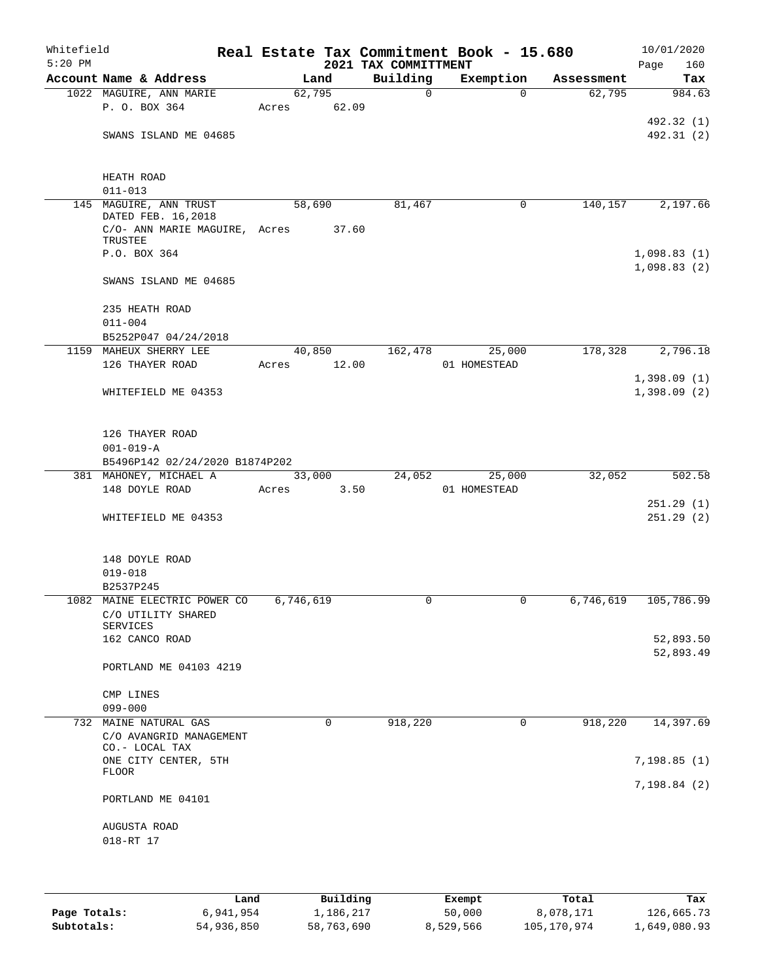| Whitefield<br>$5:20$ PM |                                              |       |             | 2021 TAX COMMITTMENT | Real Estate Tax Commitment Book - 15.680 |            | 10/01/2020<br>160<br>Page |
|-------------------------|----------------------------------------------|-------|-------------|----------------------|------------------------------------------|------------|---------------------------|
|                         | Account Name & Address                       |       | Land        | Building             | Exemption                                | Assessment | Tax                       |
|                         | 1022 MAGUIRE, ANN MARIE                      |       | 62,795      | $\Omega$             | $\Omega$                                 | 62,795     | 984.63                    |
|                         | P. O. BOX 364                                |       | Acres 62.09 |                      |                                          |            |                           |
|                         |                                              |       |             |                      |                                          |            | 492.32 (1)                |
|                         | SWANS ISLAND ME 04685                        |       |             |                      |                                          |            | 492.31 (2)                |
|                         |                                              |       |             |                      |                                          |            |                           |
|                         |                                              |       |             |                      |                                          |            |                           |
|                         | HEATH ROAD                                   |       |             |                      |                                          |            |                           |
|                         | $011 - 013$                                  |       |             |                      |                                          |            |                           |
|                         | 145 MAGUIRE, ANN TRUST<br>DATED FEB. 16,2018 |       | 58,690      | 81,467               | $\mathsf{O}$                             | 140, 157   | 2,197.66                  |
|                         | C/O- ANN MARIE MAGUIRE, Acres 37.60          |       |             |                      |                                          |            |                           |
|                         | TRUSTEE                                      |       |             |                      |                                          |            |                           |
|                         | P.O. BOX 364                                 |       |             |                      |                                          |            | 1,098.83(1)               |
|                         |                                              |       |             |                      |                                          |            | 1,098.83(2)               |
|                         | SWANS ISLAND ME 04685                        |       |             |                      |                                          |            |                           |
|                         |                                              |       |             |                      |                                          |            |                           |
|                         | 235 HEATH ROAD                               |       |             |                      |                                          |            |                           |
|                         | $011 - 004$                                  |       |             |                      |                                          |            |                           |
|                         | B5252P047 04/24/2018                         |       |             |                      |                                          |            |                           |
|                         | 1159 MAHEUX SHERRY LEE                       |       | 40,850      | 162,478              | 25,000                                   | 178,328    | 2,796.18                  |
|                         | 126 THAYER ROAD                              |       | Acres 12.00 |                      | 01 HOMESTEAD                             |            |                           |
|                         |                                              |       |             |                      |                                          |            | 1,398.09(1)               |
|                         | WHITEFIELD ME 04353                          |       |             |                      |                                          |            | 1,398.09(2)               |
|                         |                                              |       |             |                      |                                          |            |                           |
|                         |                                              |       |             |                      |                                          |            |                           |
|                         | 126 THAYER ROAD                              |       |             |                      |                                          |            |                           |
|                         | $001 - 019 - A$                              |       |             |                      |                                          |            |                           |
|                         | B5496P142 02/24/2020 B1874P202               |       |             |                      |                                          |            |                           |
|                         | 381 MAHONEY, MICHAEL A                       |       | 33,000      | 24,052               | 25,000                                   | 32,052     | 502.58                    |
|                         | 148 DOYLE ROAD                               | Acres | 3.50        |                      | 01 HOMESTEAD                             |            |                           |
|                         |                                              |       |             |                      |                                          |            | 251.29(1)                 |
|                         | WHITEFIELD ME 04353                          |       |             |                      |                                          |            | 251.29(2)                 |
|                         |                                              |       |             |                      |                                          |            |                           |
|                         |                                              |       |             |                      |                                          |            |                           |
|                         | 148 DOYLE ROAD                               |       |             |                      |                                          |            |                           |
|                         | $019 - 018$<br>B2537P245                     |       |             |                      |                                          |            |                           |
|                         | 1082 MAINE ELECTRIC POWER CO                 |       | 6,746,619   | 0                    |                                          | 6,746,619  | 105,786.99                |
|                         | C/O UTILITY SHARED                           |       |             |                      |                                          |            |                           |
|                         | SERVICES                                     |       |             |                      |                                          |            |                           |
|                         | 162 CANCO ROAD                               |       |             |                      |                                          |            | 52,893.50                 |
|                         |                                              |       |             |                      |                                          |            | 52,893.49                 |
|                         | PORTLAND ME 04103 4219                       |       |             |                      |                                          |            |                           |
|                         |                                              |       |             |                      |                                          |            |                           |
|                         | CMP LINES                                    |       |             |                      |                                          |            |                           |
|                         | $099 - 000$                                  |       |             |                      |                                          |            |                           |
|                         | 732 MAINE NATURAL GAS                        |       | $\mathbf 0$ | 918,220              | 0                                        | 918,220    | 14,397.69                 |
|                         | C/O AVANGRID MANAGEMENT                      |       |             |                      |                                          |            |                           |
|                         | CO.- LOCAL TAX                               |       |             |                      |                                          |            |                           |
|                         | ONE CITY CENTER, 5TH<br>FLOOR                |       |             |                      |                                          |            | 7,198.85(1)               |
|                         |                                              |       |             |                      |                                          |            | 7,198.84(2)               |
|                         | PORTLAND ME 04101                            |       |             |                      |                                          |            |                           |
|                         |                                              |       |             |                      |                                          |            |                           |
|                         | AUGUSTA ROAD                                 |       |             |                      |                                          |            |                           |
|                         | 018-RT 17                                    |       |             |                      |                                          |            |                           |
|                         |                                              |       |             |                      |                                          |            |                           |
|                         |                                              |       |             |                      |                                          |            |                           |

|              | Land       | Building   | Exempt    | Total       | Tax          |
|--------------|------------|------------|-----------|-------------|--------------|
| Page Totals: | 6,941,954  | 1,186,217  | 50,000    | 8,078,171   | 126,665.73   |
| Subtotals:   | 54,936,850 | 58,763,690 | 8,529,566 | 105,170,974 | 1,649,080.93 |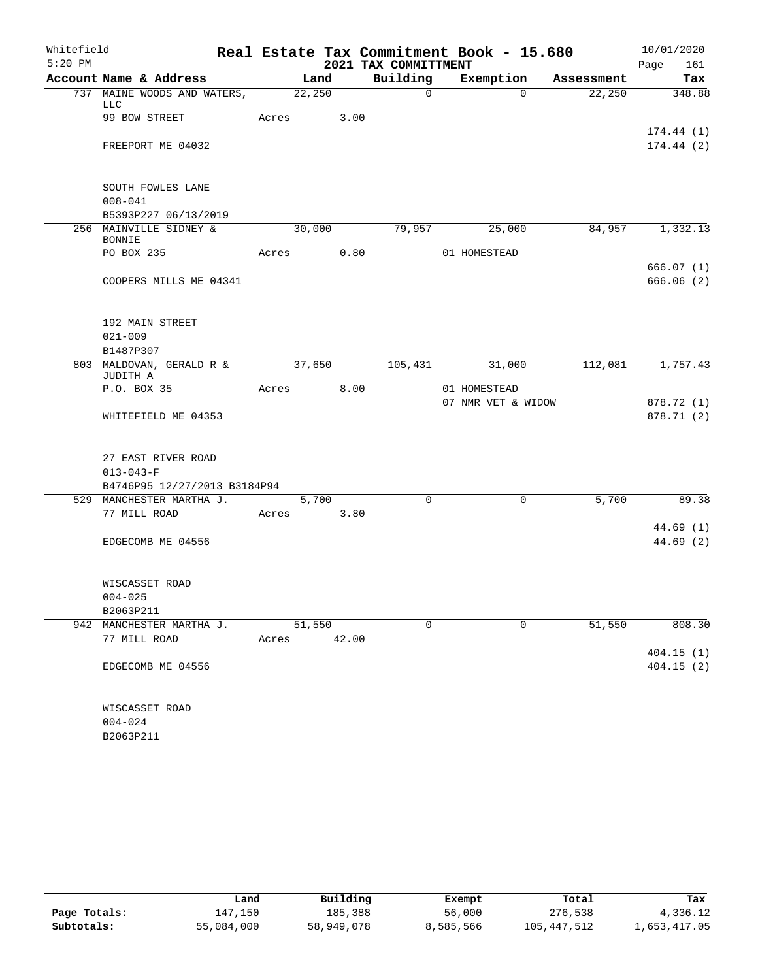| Whitefield |                                                                       |       |        | Real Estate Tax Commitment Book - 15.680 |                    |          |            | 10/01/2020               |
|------------|-----------------------------------------------------------------------|-------|--------|------------------------------------------|--------------------|----------|------------|--------------------------|
| $5:20$ PM  |                                                                       |       |        | 2021 TAX COMMITTMENT                     |                    |          |            | 161<br>Page              |
|            | Account Name & Address                                                |       | Land   | Building                                 | Exemption          |          | Assessment | Tax                      |
|            | 737 MAINE WOODS AND WATERS,<br><b>LLC</b>                             |       | 22,250 | $\mathsf{O}$                             |                    | $\Omega$ | 22,250     | 348.88                   |
|            | 99 BOW STREET                                                         | Acres | 3.00   |                                          |                    |          |            | 174.44(1)                |
|            | FREEPORT ME 04032                                                     |       |        |                                          |                    |          |            | 174.44(2)                |
|            | SOUTH FOWLES LANE<br>$008 - 041$                                      |       |        |                                          |                    |          |            |                          |
|            | B5393P227 06/13/2019                                                  |       |        |                                          |                    |          |            |                          |
|            | 256 MAINVILLE SIDNEY &<br><b>BONNIE</b>                               |       | 30,000 | 79,957                                   | 25,000             |          | 84,957     | 1,332.13                 |
|            | PO BOX 235                                                            | Acres | 0.80   |                                          | 01 HOMESTEAD       |          |            |                          |
|            | COOPERS MILLS ME 04341                                                |       |        |                                          |                    |          |            | 666.07(1)<br>666.06(2)   |
|            | 192 MAIN STREET                                                       |       |        |                                          |                    |          |            |                          |
|            | $021 - 009$                                                           |       |        |                                          |                    |          |            |                          |
|            | B1487P307<br>803 MALDOVAN, GERALD R &<br>JUDITH A                     |       | 37,650 | 105,431                                  | 31,000             |          | 112,081    | 1,757.43                 |
|            | P.O. BOX 35                                                           | Acres | 8.00   |                                          | 01 HOMESTEAD       |          |            |                          |
|            | WHITEFIELD ME 04353                                                   |       |        |                                          | 07 NMR VET & WIDOW |          |            | 878.72 (1)<br>878.71 (2) |
|            | 27 EAST RIVER ROAD<br>$013 - 043 - F$<br>B4746P95 12/27/2013 B3184P94 |       |        |                                          |                    |          |            |                          |
|            | 529 MANCHESTER MARTHA J.                                              |       | 5,700  | $\Omega$                                 |                    | 0        | 5,700      | 89.38                    |
|            | 77 MILL ROAD                                                          | Acres | 3.80   |                                          |                    |          |            |                          |
|            | EDGECOMB ME 04556                                                     |       |        |                                          |                    |          |            | 44.69(1)<br>44.69 (2)    |
|            | WISCASSET ROAD                                                        |       |        |                                          |                    |          |            |                          |
|            | $004 - 025$<br>B2063P211                                              |       |        |                                          |                    |          |            |                          |
|            | 942 MANCHESTER MARTHA J.                                              |       | 51,550 | $\Omega$                                 |                    | $\Omega$ | 51,550     | 808.30                   |
|            | 77 MILL ROAD                                                          | Acres | 42.00  |                                          |                    |          |            |                          |
|            | EDGECOMB ME 04556                                                     |       |        |                                          |                    |          |            | 404.15(1)<br>404.15(2)   |
|            | WISCASSET ROAD<br>$004 - 024$<br>B2063P211                            |       |        |                                          |                    |          |            |                          |

|              | Land       | Building   | Exempt    | Total       | Tax          |
|--------------|------------|------------|-----------|-------------|--------------|
| Page Totals: | 147.150    | 185,388    | 56,000    | 276,538     | 4,336.12     |
| Subtotals:   | 55,084,000 | 58,949,078 | 8,585,566 | 105,447,512 | 1,653,417.05 |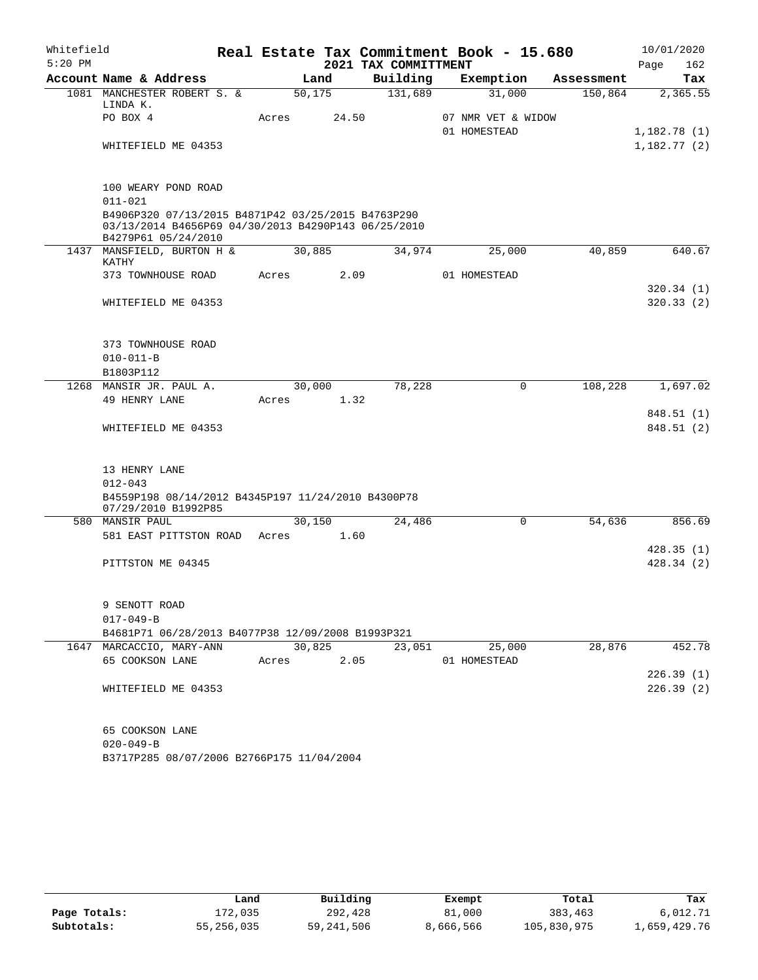| Whitefield |                                                              |       |         |                      | Real Estate Tax Commitment Book - 15.680 |              | 10/01/2020  |
|------------|--------------------------------------------------------------|-------|---------|----------------------|------------------------------------------|--------------|-------------|
| $5:20$ PM  |                                                              |       |         | 2021 TAX COMMITTMENT |                                          |              | 162<br>Page |
|            | Account Name & Address                                       |       | Land    | Building             | Exemption                                | Assessment   | Tax         |
|            | 1081 MANCHESTER ROBERT S. &                                  |       | 50, 175 | 131,689              | 31,000                                   | 150,864      | 2,365.55    |
|            | LINDA K.<br>PO BOX 4                                         | Acres | 24.50   |                      | 07 NMR VET & WIDOW                       |              |             |
|            |                                                              |       |         |                      | 01 HOMESTEAD                             |              | 1,182.78(1) |
|            | WHITEFIELD ME 04353                                          |       |         |                      |                                          |              | 1,182.77(2) |
|            |                                                              |       |         |                      |                                          |              |             |
|            |                                                              |       |         |                      |                                          |              |             |
|            | 100 WEARY POND ROAD<br>$011 - 021$                           |       |         |                      |                                          |              |             |
|            | B4906P320 07/13/2015 B4871P42 03/25/2015 B4763P290           |       |         |                      |                                          |              |             |
|            | 03/13/2014 B4656P69 04/30/2013 B4290P143 06/25/2010          |       |         |                      |                                          |              |             |
|            | B4279P61 05/24/2010                                          |       |         |                      |                                          |              |             |
|            | 1437 MANSFIELD, BURTON H &<br>KATHY                          |       | 30,885  | 34,974               | 25,000                                   | 40,859       | 640.67      |
|            | 373 TOWNHOUSE ROAD                                           | Acres |         | 2.09                 | 01 HOMESTEAD                             |              |             |
|            |                                                              |       |         |                      |                                          |              | 320.34(1)   |
|            | WHITEFIELD ME 04353                                          |       |         |                      |                                          |              | 320.33(2)   |
|            |                                                              |       |         |                      |                                          |              |             |
|            |                                                              |       |         |                      |                                          |              |             |
|            | 373 TOWNHOUSE ROAD                                           |       |         |                      |                                          |              |             |
|            | $010 - 011 - B$                                              |       |         |                      |                                          |              |             |
|            | B1803P112                                                    |       |         |                      |                                          |              |             |
|            | 1268 MANSIR JR. PAUL A.<br>49 HENRY LANE                     | Acres | 30,000  | 78,228<br>1.32       |                                          | 0<br>108,228 | 1,697.02    |
|            |                                                              |       |         |                      |                                          |              | 848.51 (1)  |
|            | WHITEFIELD ME 04353                                          |       |         |                      |                                          |              | 848.51 (2)  |
|            |                                                              |       |         |                      |                                          |              |             |
|            |                                                              |       |         |                      |                                          |              |             |
|            | 13 HENRY LANE                                                |       |         |                      |                                          |              |             |
|            | $012 - 043$                                                  |       |         |                      |                                          |              |             |
|            | B4559P198 08/14/2012 B4345P197 11/24/2010 B4300P78           |       |         |                      |                                          |              |             |
|            | 07/29/2010 B1992P85<br>580 MANSIR PAUL                       |       | 30,150  | 24,486               |                                          | 54,636<br>0  | 856.69      |
|            | 581 EAST PITTSTON ROAD                                       | Acres | 1.60    |                      |                                          |              |             |
|            |                                                              |       |         |                      |                                          |              | 428.35(1)   |
|            | PITTSTON ME 04345                                            |       |         |                      |                                          |              | 428.34(2)   |
|            |                                                              |       |         |                      |                                          |              |             |
|            |                                                              |       |         |                      |                                          |              |             |
|            | 9 SENOTT ROAD                                                |       |         |                      |                                          |              |             |
|            | $017 - 049 - B$                                              |       |         |                      |                                          |              |             |
|            | B4681P71 06/28/2013 B4077P38 12/09/2008 B1993P321            |       | 30,825  | 23,051               | 25,000                                   | 28,876       | 452.78      |
|            | 1647 MARCACCIO, MARY-ANN<br>65 COOKSON LANE                  | Acres |         | 2.05                 | 01 HOMESTEAD                             |              |             |
|            |                                                              |       |         |                      |                                          |              | 226.39(1)   |
|            | WHITEFIELD ME 04353                                          |       |         |                      |                                          |              | 226.39(2)   |
|            |                                                              |       |         |                      |                                          |              |             |
|            |                                                              |       |         |                      |                                          |              |             |
|            | 65 COOKSON LANE                                              |       |         |                      |                                          |              |             |
|            | $020 - 049 - B$<br>B3717P285 08/07/2006 B2766P175 11/04/2004 |       |         |                      |                                          |              |             |
|            |                                                              |       |         |                      |                                          |              |             |

|              | Land       | Building   | Exempt    | Total       | Tax          |
|--------------|------------|------------|-----------|-------------|--------------|
| Page Totals: | 172,035    | 292,428    | 81,000    | 383,463     | 6,012.71     |
| Subtotals:   | 55,256,035 | 59,241,506 | 8,666,566 | 105,830,975 | 1,659,429.76 |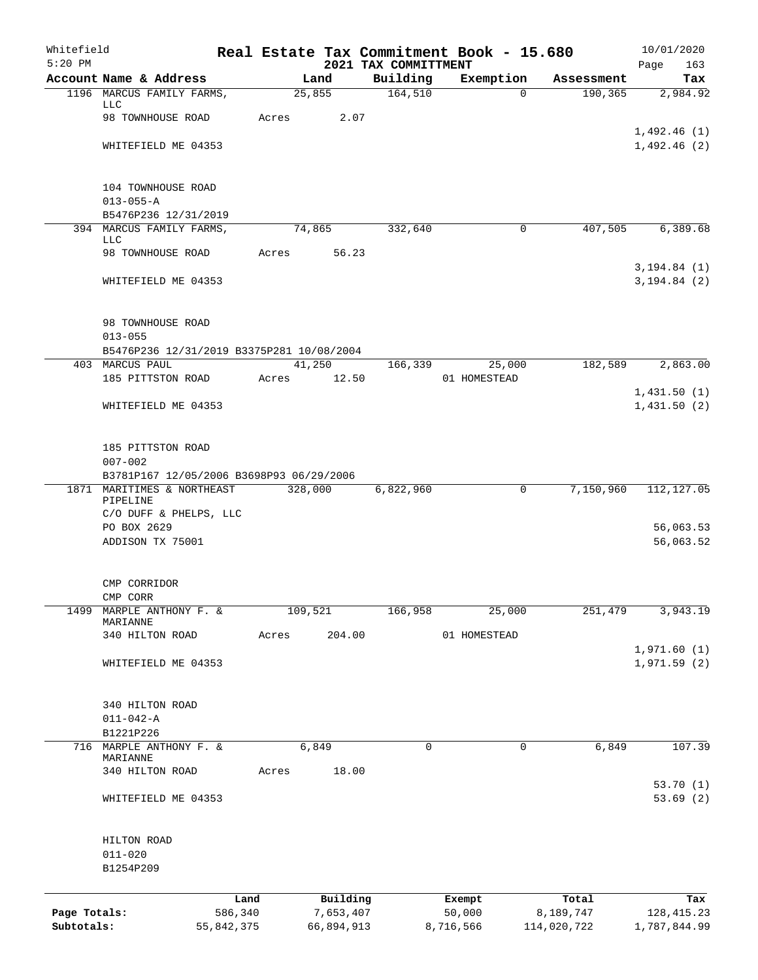| Whitefield<br>$5:20$ PM |                                           |            |       |                 | 2021 TAX COMMITTMENT | Real Estate Tax Commitment Book - 15.680 |                      | 10/01/2020<br>Page<br>163 |
|-------------------------|-------------------------------------------|------------|-------|-----------------|----------------------|------------------------------------------|----------------------|---------------------------|
|                         | Account Name & Address                    |            |       | Land            | Building             | Exemption                                | Assessment           | Tax                       |
|                         | 1196 MARCUS FAMILY FARMS,                 |            |       | 25,855          | 164,510              |                                          | 190,365<br>$\Omega$  | 2,984.92                  |
|                         | LLC<br>98 TOWNHOUSE ROAD                  |            | Acres | 2.07            |                      |                                          |                      |                           |
|                         |                                           |            |       |                 |                      |                                          |                      | 1,492.46(1)               |
|                         | WHITEFIELD ME 04353                       |            |       |                 |                      |                                          |                      | 1,492.46(2)               |
|                         | 104 TOWNHOUSE ROAD                        |            |       |                 |                      |                                          |                      |                           |
|                         | $013 - 055 - A$                           |            |       |                 |                      |                                          |                      |                           |
|                         | B5476P236 12/31/2019                      |            |       |                 |                      |                                          |                      |                           |
|                         | 394 MARCUS FAMILY FARMS,                  |            |       | 74,865          | 332,640              |                                          | 407,505<br>0         | 6,389.68                  |
|                         | LLC<br>98 TOWNHOUSE ROAD                  |            | Acres | 56.23           |                      |                                          |                      |                           |
|                         |                                           |            |       |                 |                      |                                          |                      | 3, 194.84 (1)             |
|                         | WHITEFIELD ME 04353                       |            |       |                 |                      |                                          |                      | 3, 194.84 (2)             |
|                         | 98 TOWNHOUSE ROAD                         |            |       |                 |                      |                                          |                      |                           |
|                         | $013 - 055$                               |            |       |                 |                      |                                          |                      |                           |
|                         | B5476P236 12/31/2019 B3375P281 10/08/2004 |            |       |                 |                      |                                          |                      |                           |
|                         | 403 MARCUS PAUL<br>185 PITTSTON ROAD      |            | Acres | 41,250<br>12.50 | 166,339              | 25,000<br>01 HOMESTEAD                   | 182,589              | 2,863.00                  |
|                         |                                           |            |       |                 |                      |                                          |                      | 1,431.50(1)               |
|                         | WHITEFIELD ME 04353                       |            |       |                 |                      |                                          |                      | 1,431.50(2)               |
|                         | 185 PITTSTON ROAD                         |            |       |                 |                      |                                          |                      |                           |
|                         | $007 - 002$                               |            |       |                 |                      |                                          |                      |                           |
|                         | B3781P167 12/05/2006 B3698P93 06/29/2006  |            |       |                 |                      |                                          |                      |                           |
|                         | 1871 MARITIMES & NORTHEAST<br>PIPELINE    |            |       | 328,000         | 6,822,960            |                                          | 7,150,960<br>0       | 112, 127.05               |
|                         | C/O DUFF & PHELPS, LLC                    |            |       |                 |                      |                                          |                      |                           |
|                         | PO BOX 2629<br>ADDISON TX 75001           |            |       |                 |                      |                                          |                      | 56,063.53<br>56,063.52    |
|                         |                                           |            |       |                 |                      |                                          |                      |                           |
|                         | CMP CORRIDOR<br>CMP CORR                  |            |       |                 |                      |                                          |                      |                           |
| 1499                    | MARPLE ANTHONY F. &                       |            |       | 109,521         | 166,958              | 25,000                                   | 251,479              | 3,943.19                  |
|                         | MARIANNE                                  |            |       |                 |                      |                                          |                      |                           |
|                         | 340 HILTON ROAD                           |            | Acres | 204.00          |                      | 01 HOMESTEAD                             |                      | 1,971.60(1)               |
|                         | WHITEFIELD ME 04353                       |            |       |                 |                      |                                          |                      | 1,971.59(2)               |
|                         | 340 HILTON ROAD                           |            |       |                 |                      |                                          |                      |                           |
|                         | $011 - 042 - A$                           |            |       |                 |                      |                                          |                      |                           |
|                         | B1221P226                                 |            |       |                 |                      |                                          |                      |                           |
| 716                     | MARPLE ANTHONY F. &<br>MARIANNE           |            |       | 6,849           | $\mathbf 0$          |                                          | 6,849<br>$\mathbf 0$ | 107.39                    |
|                         | 340 HILTON ROAD                           |            | Acres | 18.00           |                      |                                          |                      |                           |
|                         | WHITEFIELD ME 04353                       |            |       |                 |                      |                                          |                      | 53.70(1)<br>53.69(2)      |
|                         |                                           |            |       |                 |                      |                                          |                      |                           |
|                         | HILTON ROAD                               |            |       |                 |                      |                                          |                      |                           |
|                         | $011 - 020$<br>B1254P209                  |            |       |                 |                      |                                          |                      |                           |
|                         |                                           |            |       |                 |                      |                                          |                      |                           |
|                         |                                           | Land       |       | Building        |                      | Exempt                                   | Total                | Tax                       |
| Page Totals:            |                                           | 586,340    |       | 7,653,407       |                      | 50,000                                   | 8,189,747            | 128, 415. 23              |
| Subtotals:              |                                           | 55,842,375 |       | 66,894,913      |                      | 8,716,566                                | 114,020,722          | 1,787,844.99              |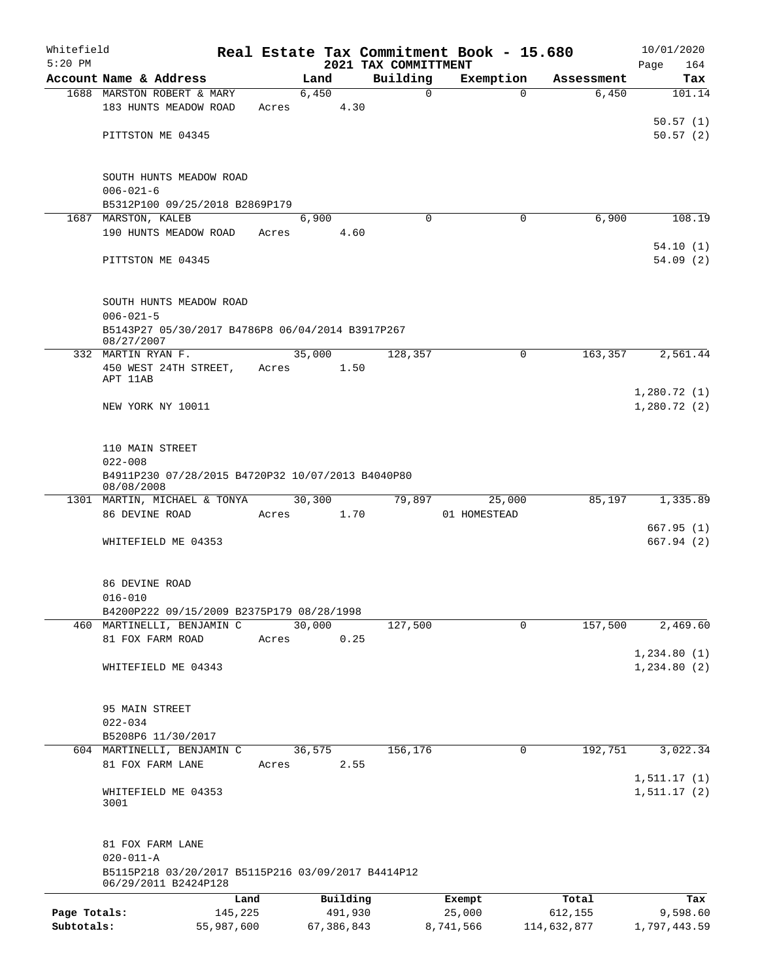| Whitefield                 |                                                                                                |                       |       |            |         |                                  | Real Estate Tax Commitment Book - 15.680 |                        | 10/01/2020                  |
|----------------------------|------------------------------------------------------------------------------------------------|-----------------------|-------|------------|---------|----------------------------------|------------------------------------------|------------------------|-----------------------------|
| $5:20$ PM                  | Account Name & Address                                                                         |                       |       | Land       |         | 2021 TAX COMMITTMENT<br>Building | Exemption                                | Assessment             | Page<br>164<br>Tax          |
|                            | 1688 MARSTON ROBERT & MARY                                                                     |                       |       | 6,450      |         | $\mathbf 0$                      | 0                                        | 6,450                  | 101.14                      |
|                            | 183 HUNTS MEADOW ROAD                                                                          |                       | Acres |            | 4.30    |                                  |                                          |                        |                             |
|                            | PITTSTON ME 04345                                                                              |                       |       |            |         |                                  |                                          |                        | 50.57(1)<br>50.57(2)        |
|                            | SOUTH HUNTS MEADOW ROAD<br>$006 - 021 - 6$                                                     |                       |       |            |         |                                  |                                          |                        |                             |
|                            | B5312P100 09/25/2018 B2869P179                                                                 |                       |       |            |         |                                  |                                          |                        |                             |
|                            | 1687 MARSTON, KALEB                                                                            |                       |       | 6,900      |         | $\Omega$                         | 0                                        | 6,900                  | 108.19                      |
|                            | 190 HUNTS MEADOW ROAD                                                                          |                       | Acres |            | 4.60    |                                  |                                          |                        | 54.10(1)                    |
|                            | PITTSTON ME 04345                                                                              |                       |       |            |         |                                  |                                          |                        | 54.09(2)                    |
|                            | SOUTH HUNTS MEADOW ROAD<br>$006 - 021 - 5$<br>B5143P27 05/30/2017 B4786P8 06/04/2014 B3917P267 |                       |       |            |         |                                  |                                          |                        |                             |
|                            | 08/27/2007                                                                                     |                       |       |            |         |                                  |                                          |                        |                             |
|                            | 332 MARTIN RYAN F.                                                                             |                       |       | 35,000     |         | 128,357                          | 0                                        | 163,357                | 2,561.44                    |
|                            | 450 WEST 24TH STREET,<br>APT 11AB                                                              |                       | Acres |            | 1.50    |                                  |                                          |                        |                             |
|                            |                                                                                                |                       |       |            |         |                                  |                                          |                        | 1,280.72(1)                 |
|                            | NEW YORK NY 10011                                                                              |                       |       |            |         |                                  |                                          |                        | 1,280.72(2)                 |
|                            | 110 MAIN STREET<br>$022 - 008$                                                                 |                       |       |            |         |                                  |                                          |                        |                             |
|                            | B4911P230 07/28/2015 B4720P32 10/07/2013 B4040P80<br>08/08/2008                                |                       |       |            |         |                                  |                                          |                        |                             |
|                            | 1301 MARTIN, MICHAEL & TONYA                                                                   |                       |       | 30,300     |         | 79,897                           | 25,000                                   | 85,197                 | 1,335.89                    |
|                            | 86 DEVINE ROAD                                                                                 |                       | Acres |            | 1.70    |                                  | 01 HOMESTEAD                             |                        | 667.95(1)                   |
|                            | WHITEFIELD ME 04353                                                                            |                       |       |            |         |                                  |                                          |                        | 667.94(2)                   |
|                            | 86 DEVINE ROAD<br>$016 - 010$                                                                  |                       |       |            |         |                                  |                                          |                        |                             |
|                            | B4200P222 09/15/2009 B2375P179 08/28/1998                                                      |                       |       |            |         |                                  |                                          |                        |                             |
|                            | 460 MARTINELLI, BENJAMIN C                                                                     |                       |       | 30,000     |         | 127,500                          | $\mathbf 0$                              | 157,500                | 2,469.60                    |
|                            | 81 FOX FARM ROAD                                                                               |                       | Acres |            | 0.25    |                                  |                                          |                        |                             |
|                            | WHITEFIELD ME 04343                                                                            |                       |       |            |         |                                  |                                          |                        | 1,234.80(1)<br>1, 234.80(2) |
|                            | 95 MAIN STREET                                                                                 |                       |       |            |         |                                  |                                          |                        |                             |
|                            | $022 - 034$                                                                                    |                       |       |            |         |                                  |                                          |                        |                             |
|                            | B5208P6 11/30/2017                                                                             |                       |       |            |         |                                  |                                          |                        |                             |
|                            | 604 MARTINELLI, BENJAMIN C<br>81 FOX FARM LANE                                                 |                       | Acres | 36,575     | 2.55    | 156,176                          | 0                                        | 192,751                | 3,022.34                    |
|                            |                                                                                                |                       |       |            |         |                                  |                                          |                        | 1, 511.17(1)                |
|                            | WHITEFIELD ME 04353<br>3001                                                                    |                       |       |            |         |                                  |                                          |                        | 1, 511.17(2)                |
|                            | 81 FOX FARM LANE<br>$020 - 011 - A$                                                            |                       |       |            |         |                                  |                                          |                        |                             |
|                            | B5115P218 03/20/2017 B5115P216 03/09/2017 B4414P12<br>06/29/2011 B2424P128                     |                       |       |            |         |                                  |                                          |                        |                             |
|                            |                                                                                                | Land                  |       | Building   |         |                                  | Exempt                                   | Total                  | Tax                         |
| Page Totals:<br>Subtotals: |                                                                                                | 145,225<br>55,987,600 |       | 67,386,843 | 491,930 |                                  | 25,000<br>8,741,566                      | 612,155<br>114,632,877 | 9,598.60<br>1,797,443.59    |
|                            |                                                                                                |                       |       |            |         |                                  |                                          |                        |                             |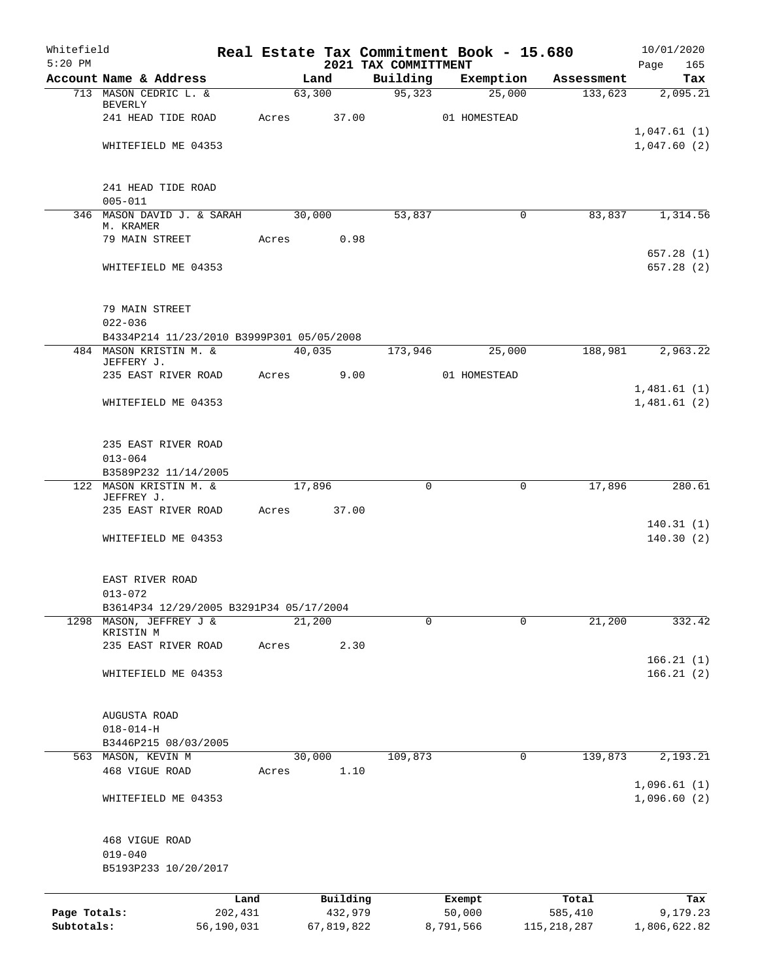| Whitefield<br>$5:20$ PM |                                                                     |                 |       |            |         | Real Estate Tax Commitment Book - 15.680 |                  |             |                  | 10/01/2020             |
|-------------------------|---------------------------------------------------------------------|-----------------|-------|------------|---------|------------------------------------------|------------------|-------------|------------------|------------------------|
|                         | Account Name & Address                                              |                 |       | Land       |         | 2021 TAX COMMITTMENT<br>Building         | Exemption        |             | Assessment       | Page<br>165<br>Tax     |
|                         | 713 MASON CEDRIC L. &                                               |                 |       | 63,300     |         | 95,323                                   |                  | 25,000      | 133,623          | 2,095.21               |
|                         | BEVERLY<br>241 HEAD TIDE ROAD                                       |                 | Acres | 37.00      |         |                                          | 01 HOMESTEAD     |             |                  |                        |
|                         |                                                                     |                 |       |            |         |                                          |                  |             |                  | 1,047.61(1)            |
|                         | WHITEFIELD ME 04353                                                 |                 |       |            |         |                                          |                  |             |                  | 1,047.60(2)            |
|                         | 241 HEAD TIDE ROAD<br>$005 - 011$                                   |                 |       |            |         |                                          |                  |             |                  |                        |
|                         | 346 MASON DAVID J. & SARAH<br>M. KRAMER                             |                 |       | 30,000     |         | 53,837                                   |                  | 0           | 83,837           | 1,314.56               |
|                         | 79 MAIN STREET                                                      |                 | Acres |            | 0.98    |                                          |                  |             |                  | 657.28(1)              |
|                         | WHITEFIELD ME 04353                                                 |                 |       |            |         |                                          |                  |             |                  | 657.28(2)              |
|                         | 79 MAIN STREET<br>$022 - 036$                                       |                 |       |            |         |                                          |                  |             |                  |                        |
|                         | B4334P214 11/23/2010 B3999P301 05/05/2008<br>484 MASON KRISTIN M. & |                 |       | 40,035     |         | 173,946                                  |                  | 25,000      | 188,981          | 2,963.22               |
|                         | JEFFERY J.                                                          |                 |       |            |         |                                          |                  |             |                  |                        |
|                         | 235 EAST RIVER ROAD                                                 |                 |       | Acres      | 9.00    |                                          | 01 HOMESTEAD     |             |                  | 1,481.61(1)            |
|                         | WHITEFIELD ME 04353                                                 |                 |       |            |         |                                          |                  |             |                  | 1,481.61(2)            |
|                         | 235 EAST RIVER ROAD<br>$013 - 064$                                  |                 |       |            |         |                                          |                  |             |                  |                        |
|                         | B3589P232 11/14/2005                                                |                 |       |            |         |                                          |                  |             |                  |                        |
|                         | 122 MASON KRISTIN M. &<br>JEFFREY J.                                |                 |       | 17,896     |         | 0                                        |                  | $\mathbf 0$ | 17,896           | 280.61                 |
|                         | 235 EAST RIVER ROAD                                                 |                 | Acres |            | 37.00   |                                          |                  |             |                  | 140.31(1)              |
|                         | WHITEFIELD ME 04353                                                 |                 |       |            |         |                                          |                  |             |                  | 140.30(2)              |
|                         | EAST RIVER ROAD<br>$013 - 072$                                      |                 |       |            |         |                                          |                  |             |                  |                        |
|                         | B3614P34 12/29/2005 B3291P34 05/17/2004                             |                 |       |            |         |                                          |                  |             |                  |                        |
| 1298                    | MASON, JEFFREY J &<br>KRISTIN M                                     |                 |       | 21,200     |         | 0                                        |                  | 0           | 21,200           | 332.42                 |
|                         | 235 EAST RIVER ROAD                                                 |                 | Acres |            | 2.30    |                                          |                  |             |                  |                        |
|                         | WHITEFIELD ME 04353                                                 |                 |       |            |         |                                          |                  |             |                  | 166.21(1)<br>166.21(2) |
|                         | AUGUSTA ROAD<br>$018 - 014 - H$                                     |                 |       |            |         |                                          |                  |             |                  |                        |
|                         | B3446P215 08/03/2005                                                |                 |       |            |         |                                          |                  |             |                  |                        |
|                         | 563 MASON, KEVIN M                                                  |                 |       | 30,000     |         | 109,873                                  |                  | 0           | 139,873          | 2,193.21               |
|                         | 468 VIGUE ROAD                                                      |                 | Acres |            | 1.10    |                                          |                  |             |                  | 1,096.61(1)            |
|                         | WHITEFIELD ME 04353                                                 |                 |       |            |         |                                          |                  |             |                  | 1,096.60(2)            |
|                         | 468 VIGUE ROAD<br>$019 - 040$<br>B5193P233 10/20/2017               |                 |       |            |         |                                          |                  |             |                  |                        |
|                         |                                                                     |                 |       |            |         |                                          |                  |             |                  |                        |
| Page Totals:            |                                                                     | Land<br>202,431 |       | Building   | 432,979 |                                          | Exempt<br>50,000 |             | Total<br>585,410 | Tax<br>9,179.23        |
| Subtotals:              |                                                                     | 56,190,031      |       | 67,819,822 |         |                                          | 8,791,566        |             | 115, 218, 287    | 1,806,622.82           |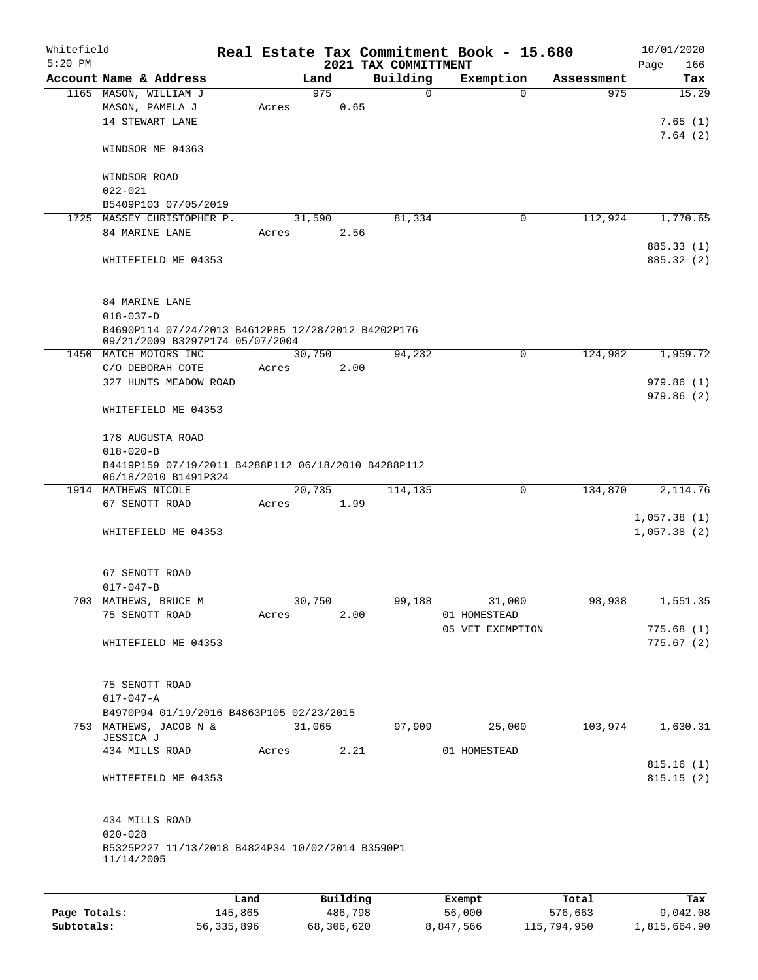| Account Name & Address<br>Building<br>Exemption<br>Land<br>Assessment<br>1165 MASON, WILLIAM J<br>975<br>$\Omega$<br>975<br>$\Omega$<br>0.65<br>MASON, PAMELA J<br>Acres<br>14 STEWART LANE<br>WINDSOR ME 04363<br>WINDSOR ROAD<br>$022 - 021$<br>B5409P103 07/05/2019<br>112,924<br>1,770.65<br>1725 MASSEY CHRISTOPHER P.<br>31,590<br>81,334<br>0<br>84 MARINE LANE<br>Acres<br>2.56<br>885.33 (1)<br>WHITEFIELD ME 04353<br>84 MARINE LANE<br>$018 - 037 - D$<br>B4690P114 07/24/2013 B4612P85 12/28/2012 B4202P176<br>09/21/2009 B3297P174 05/07/2004<br>1450 MATCH MOTORS INC<br>30,750<br>94,232<br>124,982<br>1,959.72<br>0<br>C/O DEBORAH COTE<br>2.00<br>Acres<br>327 HUNTS MEADOW ROAD<br>WHITEFIELD ME 04353<br>178 AUGUSTA ROAD<br>$018 - 020 - B$<br>B4419P159 07/19/2011 B4288P112 06/18/2010 B4288P112<br>06/18/2010 B1491P324<br>20,735<br>0<br>134,870<br>2, 114.76<br>1914 MATHEWS NICOLE<br>114,135<br>67 SENOTT ROAD<br>Acres<br>1.99<br>1,057.38(1)<br>WHITEFIELD ME 04353<br>67 SENOTT ROAD<br>$017 - 047 - B$<br>703 MATHEWS, BRUCE M<br>1,551.35<br>99,188<br>30,750<br>98,938<br>31,000<br>75 SENOTT ROAD<br>Acres<br>2.00<br>01 HOMESTEAD<br>05 VET EXEMPTION<br>WHITEFIELD ME 04353<br>75 SENOTT ROAD<br>$017 - 047 - A$<br>B4970P94 01/19/2016 B4863P105 02/23/2015<br>753 MATHEWS, JACOB N &<br>31,065<br>103,974<br>97,909<br>25,000<br>JESSICA J<br>434 MILLS ROAD<br>2.21<br>01 HOMESTEAD<br>Acres<br>WHITEFIELD ME 04353<br>434 MILLS ROAD<br>$020 - 028$<br>B5325P227 11/13/2018 B4824P34 10/02/2014 B3590P1<br>11/14/2005<br>Building<br>Total<br>Land<br>Exempt | Whitefield<br>$5:20$ PM |  |  |  | 2021 TAX COMMITTMENT | Real Estate Tax Commitment Book - 15.680 |  | 10/01/2020<br>166<br>Page |
|------------------------------------------------------------------------------------------------------------------------------------------------------------------------------------------------------------------------------------------------------------------------------------------------------------------------------------------------------------------------------------------------------------------------------------------------------------------------------------------------------------------------------------------------------------------------------------------------------------------------------------------------------------------------------------------------------------------------------------------------------------------------------------------------------------------------------------------------------------------------------------------------------------------------------------------------------------------------------------------------------------------------------------------------------------------------------------------------------------------------------------------------------------------------------------------------------------------------------------------------------------------------------------------------------------------------------------------------------------------------------------------------------------------------------------------------------------------------------------------------------------------------------------------------------------------------------------------------------|-------------------------|--|--|--|----------------------|------------------------------------------|--|---------------------------|
|                                                                                                                                                                                                                                                                                                                                                                                                                                                                                                                                                                                                                                                                                                                                                                                                                                                                                                                                                                                                                                                                                                                                                                                                                                                                                                                                                                                                                                                                                                                                                                                                      |                         |  |  |  |                      |                                          |  | Tax                       |
|                                                                                                                                                                                                                                                                                                                                                                                                                                                                                                                                                                                                                                                                                                                                                                                                                                                                                                                                                                                                                                                                                                                                                                                                                                                                                                                                                                                                                                                                                                                                                                                                      |                         |  |  |  |                      |                                          |  | 15.29<br>7.65(1)          |
|                                                                                                                                                                                                                                                                                                                                                                                                                                                                                                                                                                                                                                                                                                                                                                                                                                                                                                                                                                                                                                                                                                                                                                                                                                                                                                                                                                                                                                                                                                                                                                                                      |                         |  |  |  |                      |                                          |  | 7.64(2)                   |
|                                                                                                                                                                                                                                                                                                                                                                                                                                                                                                                                                                                                                                                                                                                                                                                                                                                                                                                                                                                                                                                                                                                                                                                                                                                                                                                                                                                                                                                                                                                                                                                                      |                         |  |  |  |                      |                                          |  |                           |
|                                                                                                                                                                                                                                                                                                                                                                                                                                                                                                                                                                                                                                                                                                                                                                                                                                                                                                                                                                                                                                                                                                                                                                                                                                                                                                                                                                                                                                                                                                                                                                                                      |                         |  |  |  |                      |                                          |  |                           |
|                                                                                                                                                                                                                                                                                                                                                                                                                                                                                                                                                                                                                                                                                                                                                                                                                                                                                                                                                                                                                                                                                                                                                                                                                                                                                                                                                                                                                                                                                                                                                                                                      |                         |  |  |  |                      |                                          |  |                           |
|                                                                                                                                                                                                                                                                                                                                                                                                                                                                                                                                                                                                                                                                                                                                                                                                                                                                                                                                                                                                                                                                                                                                                                                                                                                                                                                                                                                                                                                                                                                                                                                                      |                         |  |  |  |                      |                                          |  |                           |
|                                                                                                                                                                                                                                                                                                                                                                                                                                                                                                                                                                                                                                                                                                                                                                                                                                                                                                                                                                                                                                                                                                                                                                                                                                                                                                                                                                                                                                                                                                                                                                                                      |                         |  |  |  |                      |                                          |  | 885.32 (2)                |
|                                                                                                                                                                                                                                                                                                                                                                                                                                                                                                                                                                                                                                                                                                                                                                                                                                                                                                                                                                                                                                                                                                                                                                                                                                                                                                                                                                                                                                                                                                                                                                                                      |                         |  |  |  |                      |                                          |  |                           |
|                                                                                                                                                                                                                                                                                                                                                                                                                                                                                                                                                                                                                                                                                                                                                                                                                                                                                                                                                                                                                                                                                                                                                                                                                                                                                                                                                                                                                                                                                                                                                                                                      |                         |  |  |  |                      |                                          |  |                           |
|                                                                                                                                                                                                                                                                                                                                                                                                                                                                                                                                                                                                                                                                                                                                                                                                                                                                                                                                                                                                                                                                                                                                                                                                                                                                                                                                                                                                                                                                                                                                                                                                      |                         |  |  |  |                      |                                          |  |                           |
|                                                                                                                                                                                                                                                                                                                                                                                                                                                                                                                                                                                                                                                                                                                                                                                                                                                                                                                                                                                                                                                                                                                                                                                                                                                                                                                                                                                                                                                                                                                                                                                                      |                         |  |  |  |                      |                                          |  |                           |
|                                                                                                                                                                                                                                                                                                                                                                                                                                                                                                                                                                                                                                                                                                                                                                                                                                                                                                                                                                                                                                                                                                                                                                                                                                                                                                                                                                                                                                                                                                                                                                                                      |                         |  |  |  |                      |                                          |  | 979.86(1)                 |
|                                                                                                                                                                                                                                                                                                                                                                                                                                                                                                                                                                                                                                                                                                                                                                                                                                                                                                                                                                                                                                                                                                                                                                                                                                                                                                                                                                                                                                                                                                                                                                                                      |                         |  |  |  |                      |                                          |  | 979.86(2)                 |
|                                                                                                                                                                                                                                                                                                                                                                                                                                                                                                                                                                                                                                                                                                                                                                                                                                                                                                                                                                                                                                                                                                                                                                                                                                                                                                                                                                                                                                                                                                                                                                                                      |                         |  |  |  |                      |                                          |  |                           |
|                                                                                                                                                                                                                                                                                                                                                                                                                                                                                                                                                                                                                                                                                                                                                                                                                                                                                                                                                                                                                                                                                                                                                                                                                                                                                                                                                                                                                                                                                                                                                                                                      |                         |  |  |  |                      |                                          |  |                           |
|                                                                                                                                                                                                                                                                                                                                                                                                                                                                                                                                                                                                                                                                                                                                                                                                                                                                                                                                                                                                                                                                                                                                                                                                                                                                                                                                                                                                                                                                                                                                                                                                      |                         |  |  |  |                      |                                          |  |                           |
|                                                                                                                                                                                                                                                                                                                                                                                                                                                                                                                                                                                                                                                                                                                                                                                                                                                                                                                                                                                                                                                                                                                                                                                                                                                                                                                                                                                                                                                                                                                                                                                                      |                         |  |  |  |                      |                                          |  |                           |
|                                                                                                                                                                                                                                                                                                                                                                                                                                                                                                                                                                                                                                                                                                                                                                                                                                                                                                                                                                                                                                                                                                                                                                                                                                                                                                                                                                                                                                                                                                                                                                                                      |                         |  |  |  |                      |                                          |  |                           |
|                                                                                                                                                                                                                                                                                                                                                                                                                                                                                                                                                                                                                                                                                                                                                                                                                                                                                                                                                                                                                                                                                                                                                                                                                                                                                                                                                                                                                                                                                                                                                                                                      |                         |  |  |  |                      |                                          |  | 1,057.38(2)               |
|                                                                                                                                                                                                                                                                                                                                                                                                                                                                                                                                                                                                                                                                                                                                                                                                                                                                                                                                                                                                                                                                                                                                                                                                                                                                                                                                                                                                                                                                                                                                                                                                      |                         |  |  |  |                      |                                          |  |                           |
|                                                                                                                                                                                                                                                                                                                                                                                                                                                                                                                                                                                                                                                                                                                                                                                                                                                                                                                                                                                                                                                                                                                                                                                                                                                                                                                                                                                                                                                                                                                                                                                                      |                         |  |  |  |                      |                                          |  |                           |
|                                                                                                                                                                                                                                                                                                                                                                                                                                                                                                                                                                                                                                                                                                                                                                                                                                                                                                                                                                                                                                                                                                                                                                                                                                                                                                                                                                                                                                                                                                                                                                                                      |                         |  |  |  |                      |                                          |  |                           |
|                                                                                                                                                                                                                                                                                                                                                                                                                                                                                                                                                                                                                                                                                                                                                                                                                                                                                                                                                                                                                                                                                                                                                                                                                                                                                                                                                                                                                                                                                                                                                                                                      |                         |  |  |  |                      |                                          |  | 775.68(1)                 |
|                                                                                                                                                                                                                                                                                                                                                                                                                                                                                                                                                                                                                                                                                                                                                                                                                                                                                                                                                                                                                                                                                                                                                                                                                                                                                                                                                                                                                                                                                                                                                                                                      |                         |  |  |  |                      |                                          |  | 775.67(2)                 |
|                                                                                                                                                                                                                                                                                                                                                                                                                                                                                                                                                                                                                                                                                                                                                                                                                                                                                                                                                                                                                                                                                                                                                                                                                                                                                                                                                                                                                                                                                                                                                                                                      |                         |  |  |  |                      |                                          |  |                           |
|                                                                                                                                                                                                                                                                                                                                                                                                                                                                                                                                                                                                                                                                                                                                                                                                                                                                                                                                                                                                                                                                                                                                                                                                                                                                                                                                                                                                                                                                                                                                                                                                      |                         |  |  |  |                      |                                          |  |                           |
|                                                                                                                                                                                                                                                                                                                                                                                                                                                                                                                                                                                                                                                                                                                                                                                                                                                                                                                                                                                                                                                                                                                                                                                                                                                                                                                                                                                                                                                                                                                                                                                                      |                         |  |  |  |                      |                                          |  | 1,630.31                  |
|                                                                                                                                                                                                                                                                                                                                                                                                                                                                                                                                                                                                                                                                                                                                                                                                                                                                                                                                                                                                                                                                                                                                                                                                                                                                                                                                                                                                                                                                                                                                                                                                      |                         |  |  |  |                      |                                          |  |                           |
|                                                                                                                                                                                                                                                                                                                                                                                                                                                                                                                                                                                                                                                                                                                                                                                                                                                                                                                                                                                                                                                                                                                                                                                                                                                                                                                                                                                                                                                                                                                                                                                                      |                         |  |  |  |                      |                                          |  | 815.16(1)<br>815.15(2)    |
|                                                                                                                                                                                                                                                                                                                                                                                                                                                                                                                                                                                                                                                                                                                                                                                                                                                                                                                                                                                                                                                                                                                                                                                                                                                                                                                                                                                                                                                                                                                                                                                                      |                         |  |  |  |                      |                                          |  |                           |
|                                                                                                                                                                                                                                                                                                                                                                                                                                                                                                                                                                                                                                                                                                                                                                                                                                                                                                                                                                                                                                                                                                                                                                                                                                                                                                                                                                                                                                                                                                                                                                                                      |                         |  |  |  |                      |                                          |  |                           |
|                                                                                                                                                                                                                                                                                                                                                                                                                                                                                                                                                                                                                                                                                                                                                                                                                                                                                                                                                                                                                                                                                                                                                                                                                                                                                                                                                                                                                                                                                                                                                                                                      |                         |  |  |  |                      |                                          |  | Tax                       |

|              | -----      | --------   | -------   | -----       | .            |
|--------------|------------|------------|-----------|-------------|--------------|
| Page Totals: | 145,865    | 486,798    | 56,000    | 576,663     | 9,042.08     |
| Subtotals:   | 56,335,896 | 68,306,620 | 8,847,566 | 115,794,950 | 1,815,664.90 |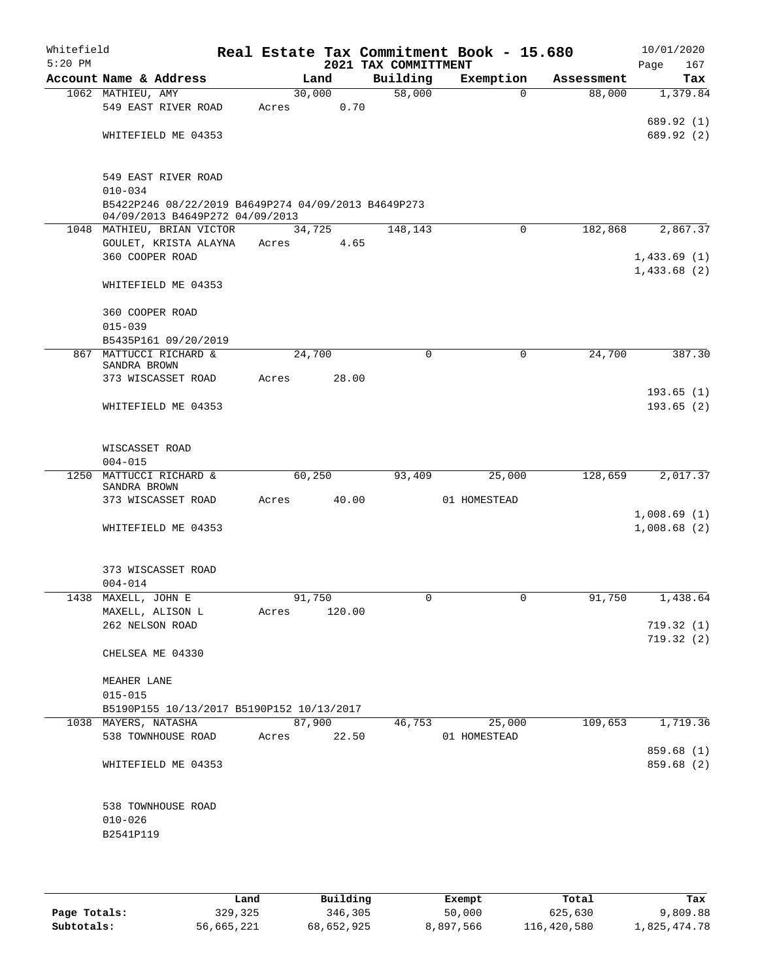| Whitefield<br>$5:20$ PM |                                                                                        |       |        |        | Real Estate Tax Commitment Book - 15.680 |               |          |            | 10/01/2020  |            |
|-------------------------|----------------------------------------------------------------------------------------|-------|--------|--------|------------------------------------------|---------------|----------|------------|-------------|------------|
|                         | Account Name & Address                                                                 |       | Land   |        | 2021 TAX COMMITTMENT<br>Building         | Exemption     |          | Assessment | Page        | 167<br>Tax |
|                         | 1062 MATHIEU, AMY                                                                      |       | 30,000 |        | $\frac{1}{58,000}$                       |               | $\Omega$ | 88,000     | 1,379.84    |            |
|                         | 549 EAST RIVER ROAD                                                                    | Acres |        | 0.70   |                                          |               |          |            |             |            |
|                         |                                                                                        |       |        |        |                                          |               |          |            | 689.92(1)   |            |
|                         | WHITEFIELD ME 04353                                                                    |       |        |        |                                          |               |          |            | 689.92 (2)  |            |
|                         |                                                                                        |       |        |        |                                          |               |          |            |             |            |
|                         |                                                                                        |       |        |        |                                          |               |          |            |             |            |
|                         | 549 EAST RIVER ROAD                                                                    |       |        |        |                                          |               |          |            |             |            |
|                         | $010 - 034$                                                                            |       |        |        |                                          |               |          |            |             |            |
|                         | B5422P246 08/22/2019 B4649P274 04/09/2013 B4649P273<br>04/09/2013 B4649P272 04/09/2013 |       |        |        |                                          |               |          |            |             |            |
|                         | 1048 MATHIEU, BRIAN VICTOR                                                             |       | 34,725 |        | 148,143                                  |               | 0        | 182,868    | 2,867.37    |            |
|                         | GOULET, KRISTA ALAYNA                                                                  | Acres |        | 4.65   |                                          |               |          |            |             |            |
|                         | 360 COOPER ROAD                                                                        |       |        |        |                                          |               |          |            | 1,433.69(1) |            |
|                         |                                                                                        |       |        |        |                                          |               |          |            | 1,433.68(2) |            |
|                         | WHITEFIELD ME 04353                                                                    |       |        |        |                                          |               |          |            |             |            |
|                         |                                                                                        |       |        |        |                                          |               |          |            |             |            |
|                         | 360 COOPER ROAD                                                                        |       |        |        |                                          |               |          |            |             |            |
|                         | $015 - 039$                                                                            |       |        |        |                                          |               |          |            |             |            |
|                         | B5435P161 09/20/2019<br>867 MATTUCCI RICHARD &                                         |       | 24,700 |        | 0                                        |               | 0        | 24,700     |             | 387.30     |
|                         | SANDRA BROWN                                                                           |       |        |        |                                          |               |          |            |             |            |
|                         | 373 WISCASSET ROAD                                                                     | Acres |        | 28.00  |                                          |               |          |            |             |            |
|                         |                                                                                        |       |        |        |                                          |               |          |            | 193.65(1)   |            |
|                         | WHITEFIELD ME 04353                                                                    |       |        |        |                                          |               |          |            | 193.65(2)   |            |
|                         |                                                                                        |       |        |        |                                          |               |          |            |             |            |
|                         |                                                                                        |       |        |        |                                          |               |          |            |             |            |
|                         | WISCASSET ROAD<br>$004 - 015$                                                          |       |        |        |                                          |               |          |            |             |            |
| 1250                    | MATTUCCI RICHARD &                                                                     |       | 60,250 |        | 93,409                                   |               | 25,000   | 128,659    | 2,017.37    |            |
|                         | SANDRA BROWN                                                                           |       |        |        |                                          |               |          |            |             |            |
|                         | 373 WISCASSET ROAD                                                                     | Acres |        | 40.00  |                                          | 01 HOMESTEAD  |          |            |             |            |
|                         |                                                                                        |       |        |        |                                          |               |          |            | 1,008.69(1) |            |
|                         | WHITEFIELD ME 04353                                                                    |       |        |        |                                          |               |          |            | 1,008.68(2) |            |
|                         |                                                                                        |       |        |        |                                          |               |          |            |             |            |
|                         | 373 WISCASSET ROAD                                                                     |       |        |        |                                          |               |          |            |             |            |
|                         | $004 - 014$                                                                            |       |        |        |                                          |               |          |            |             |            |
| 1438                    | MAXELL, JOHN E                                                                         |       | 91,750 |        | $\Omega$                                 |               | 0        | 91,750     | 1,438.64    |            |
|                         | MAXELL, ALISON L                                                                       | Acres |        | 120.00 |                                          |               |          |            |             |            |
|                         | 262 NELSON ROAD                                                                        |       |        |        |                                          |               |          |            | 719.32(1)   |            |
|                         |                                                                                        |       |        |        |                                          |               |          |            | 719.32 (2)  |            |
|                         | CHELSEA ME 04330                                                                       |       |        |        |                                          |               |          |            |             |            |
|                         |                                                                                        |       |        |        |                                          |               |          |            |             |            |
|                         | MEAHER LANE<br>$015 - 015$                                                             |       |        |        |                                          |               |          |            |             |            |
|                         | B5190P155 10/13/2017 B5190P152 10/13/2017                                              |       |        |        |                                          |               |          |            |             |            |
|                         | 1038 MAYERS, NATASHA                                                                   |       | 87,900 |        |                                          | 46,753 25,000 |          | 109,653    | 1,719.36    |            |
|                         | 538 TOWNHOUSE ROAD                                                                     | Acres |        | 22.50  |                                          | 01 HOMESTEAD  |          |            |             |            |
|                         |                                                                                        |       |        |        |                                          |               |          |            | 859.68 (1)  |            |
|                         | WHITEFIELD ME 04353                                                                    |       |        |        |                                          |               |          |            | 859.68 (2)  |            |
|                         |                                                                                        |       |        |        |                                          |               |          |            |             |            |
|                         |                                                                                        |       |        |        |                                          |               |          |            |             |            |
|                         | 538 TOWNHOUSE ROAD                                                                     |       |        |        |                                          |               |          |            |             |            |
|                         | $010 - 026$                                                                            |       |        |        |                                          |               |          |            |             |            |
|                         | B2541P119                                                                              |       |        |        |                                          |               |          |            |             |            |
|                         |                                                                                        |       |        |        |                                          |               |          |            |             |            |
|                         |                                                                                        |       |        |        |                                          |               |          |            |             |            |

|              | Land       | Building   | Exempt    | Total       | Tax          |
|--------------|------------|------------|-----------|-------------|--------------|
| Page Totals: | 329,325    | 346,305    | 50,000    | 625,630     | 9,809.88     |
| Subtotals:   | 56,665,221 | 68,652,925 | 8,897,566 | 116,420,580 | 1,825,474.78 |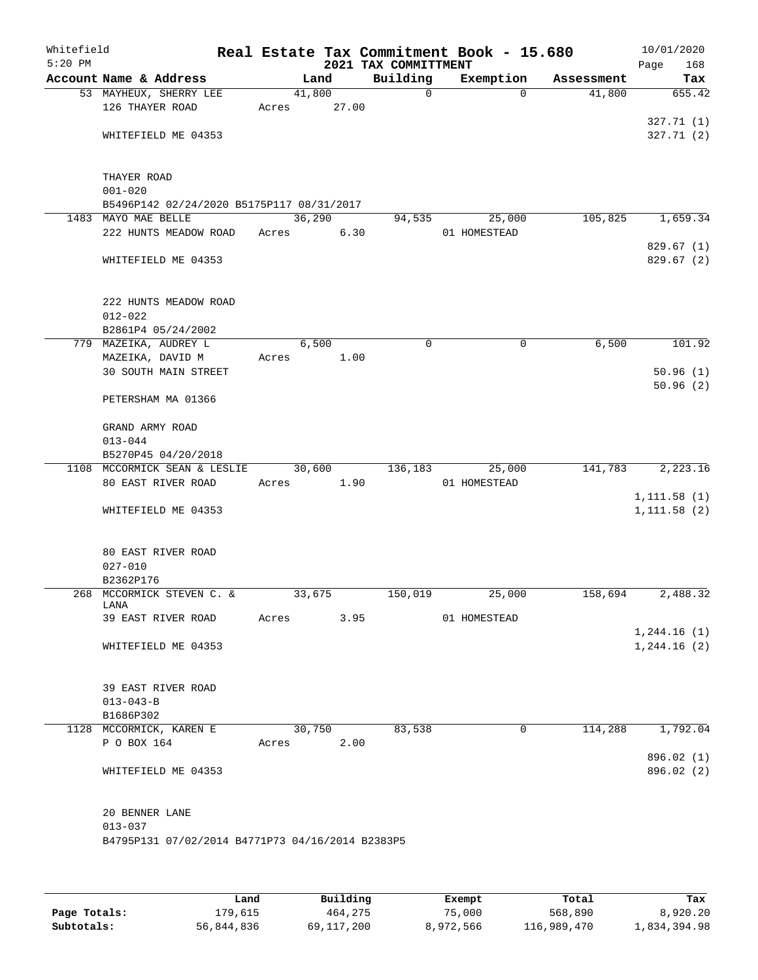| Whitefield<br>$5:20$ PM |                                                                  |       |        |       | Real Estate Tax Commitment Book - 15.680<br>2021 TAX COMMITTMENT |              |             |            | 10/01/2020<br>Page<br>168 |
|-------------------------|------------------------------------------------------------------|-------|--------|-------|------------------------------------------------------------------|--------------|-------------|------------|---------------------------|
|                         | Account Name & Address                                           |       | Land   |       | Building                                                         | Exemption    |             | Assessment | Tax                       |
|                         | 53 MAYHEUX, SHERRY LEE<br>126 THAYER ROAD                        | Acres | 41,800 | 27.00 | $\mathsf{O}$                                                     |              | $\Omega$    | 41,800     | 655.42                    |
|                         | WHITEFIELD ME 04353                                              |       |        |       |                                                                  |              |             |            | 327.71(1)<br>327.71(2)    |
|                         |                                                                  |       |        |       |                                                                  |              |             |            |                           |
|                         | THAYER ROAD                                                      |       |        |       |                                                                  |              |             |            |                           |
|                         | $001 - 020$                                                      |       |        |       |                                                                  |              |             |            |                           |
|                         | B5496P142 02/24/2020 B5175P117 08/31/2017<br>1483 MAYO MAE BELLE |       | 36,290 |       | 94,535                                                           |              | 25,000      | 105,825    | 1,659.34                  |
|                         | 222 HUNTS MEADOW ROAD                                            | Acres |        | 6.30  |                                                                  | 01 HOMESTEAD |             |            |                           |
|                         | WHITEFIELD ME 04353                                              |       |        |       |                                                                  |              |             |            | 829.67(1)<br>829.67 (2)   |
|                         | 222 HUNTS MEADOW ROAD<br>$012 - 022$                             |       |        |       |                                                                  |              |             |            |                           |
|                         | B2861P4 05/24/2002                                               |       |        |       |                                                                  |              |             |            |                           |
|                         | 779 MAZEIKA, AUDREY L                                            |       | 6,500  |       | 0                                                                |              | 0           | 6,500      | 101.92                    |
|                         | MAZEIKA, DAVID M                                                 | Acres |        | 1.00  |                                                                  |              |             |            |                           |
|                         | <b>30 SOUTH MAIN STREET</b>                                      |       |        |       |                                                                  |              |             |            | 50.96(1)<br>50.96(2)      |
|                         | PETERSHAM MA 01366                                               |       |        |       |                                                                  |              |             |            |                           |
|                         | GRAND ARMY ROAD                                                  |       |        |       |                                                                  |              |             |            |                           |
|                         | $013 - 044$<br>B5270P45 04/20/2018                               |       |        |       |                                                                  |              |             |            |                           |
|                         | 1108 MCCORMICK SEAN & LESLIE                                     |       | 30,600 |       | 136,183                                                          |              | 25,000      | 141,783    | 2,223.16                  |
|                         | 80 EAST RIVER ROAD                                               | Acres |        | 1.90  |                                                                  | 01 HOMESTEAD |             |            | 1, 111.58(1)              |
|                         | WHITEFIELD ME 04353                                              |       |        |       |                                                                  |              |             |            | 1, 111.58(2)              |
|                         | 80 EAST RIVER ROAD                                               |       |        |       |                                                                  |              |             |            |                           |
|                         | $027 - 010$                                                      |       |        |       |                                                                  |              |             |            |                           |
|                         | B2362P176                                                        |       |        |       |                                                                  |              |             |            |                           |
|                         | 268 MCCORMICK STEVEN C. &<br>LANA                                |       | 33,675 |       | 150,019                                                          |              | 25,000      | 158,694    | 2,488.32                  |
|                         | 39 EAST RIVER ROAD                                               | Acres |        | 3.95  |                                                                  | 01 HOMESTEAD |             |            | 1, 244.16(1)              |
|                         | WHITEFIELD ME 04353                                              |       |        |       |                                                                  |              |             |            | 1, 244.16(2)              |
|                         | 39 EAST RIVER ROAD                                               |       |        |       |                                                                  |              |             |            |                           |
|                         | $013 - 043 - B$                                                  |       |        |       |                                                                  |              |             |            |                           |
|                         | B1686P302                                                        |       |        |       |                                                                  |              | $\mathbf 0$ | 114,288    | 1,792.04                  |
|                         | 1128 MCCORMICK, KAREN E<br>P O BOX 164                           | Acres | 30,750 | 2.00  | 83,538                                                           |              |             |            | 896.02 (1)                |
|                         | WHITEFIELD ME 04353                                              |       |        |       |                                                                  |              |             |            | 896.02 (2)                |
|                         | 20 BENNER LANE                                                   |       |        |       |                                                                  |              |             |            |                           |
|                         | $013 - 037$<br>B4795P131 07/02/2014 B4771P73 04/16/2014 B2383P5  |       |        |       |                                                                  |              |             |            |                           |
|                         |                                                                  |       |        |       |                                                                  |              |             |            |                           |

|              | Land       | Building   | Exempt    | Total       | Tax          |
|--------------|------------|------------|-----------|-------------|--------------|
| Page Totals: | 179.615    | 464,275    | 75,000    | 568,890     | 8,920.20     |
| Subtotals:   | 56,844,836 | 69,117,200 | 8,972,566 | 116,989,470 | 1,834,394.98 |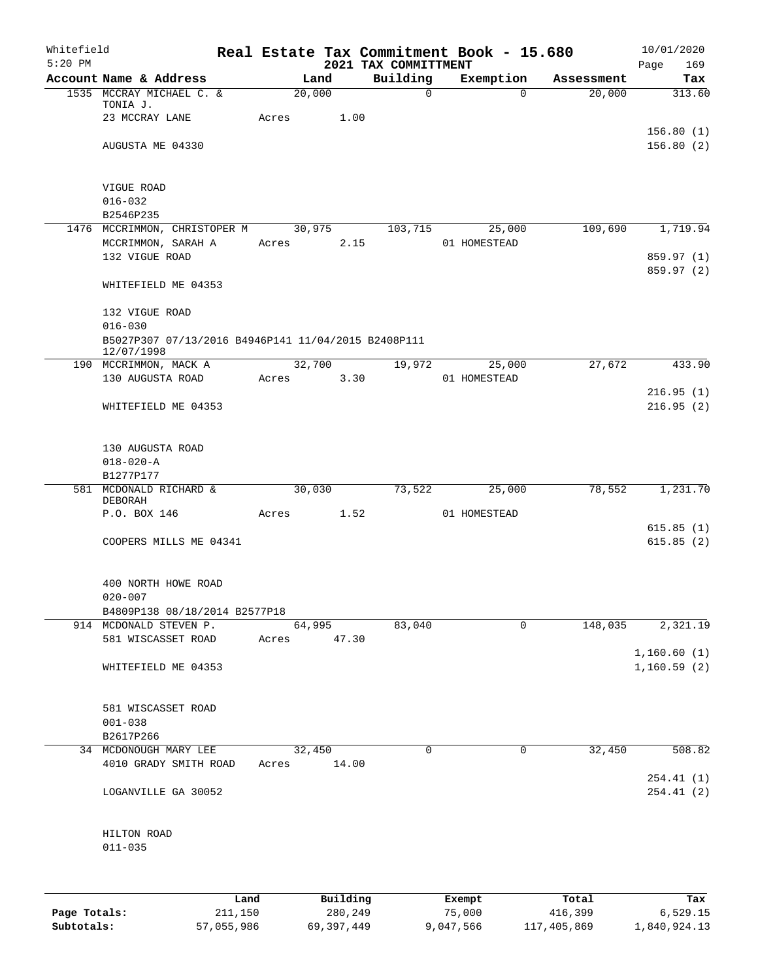| Whitefield<br>$5:20$ PM |                                                     |         |       |        |          | 2021 TAX COMMITTMENT |                  | Real Estate Tax Commitment Book - 15.680 |                  | 10/01/2020<br>Page<br>169 |
|-------------------------|-----------------------------------------------------|---------|-------|--------|----------|----------------------|------------------|------------------------------------------|------------------|---------------------------|
|                         | Account Name & Address                              |         |       | Land   |          | Building             |                  | Exemption                                | Assessment       | Tax                       |
|                         | 1535 MCCRAY MICHAEL C. &                            |         |       | 20,000 |          | $\mathbf 0$          |                  | $\Omega$                                 | 20,000           | 313.60                    |
|                         | TONIA J.                                            |         |       |        |          |                      |                  |                                          |                  |                           |
|                         | 23 MCCRAY LANE                                      |         | Acres |        | 1.00     |                      |                  |                                          |                  |                           |
|                         |                                                     |         |       |        |          |                      |                  |                                          |                  | 156.80(1)                 |
|                         | AUGUSTA ME 04330                                    |         |       |        |          |                      |                  |                                          |                  | 156.80(2)                 |
|                         |                                                     |         |       |        |          |                      |                  |                                          |                  |                           |
|                         |                                                     |         |       |        |          |                      |                  |                                          |                  |                           |
|                         | VIGUE ROAD<br>$016 - 032$                           |         |       |        |          |                      |                  |                                          |                  |                           |
|                         | B2546P235                                           |         |       |        |          |                      |                  |                                          |                  |                           |
|                         | 1476 MCCRIMMON, CHRISTOPER M                        |         |       | 30,975 |          | 103,715              |                  | 25,000                                   | 109,690          | 1,719.94                  |
|                         | MCCRIMMON, SARAH A                                  |         | Acres |        | 2.15     |                      |                  | 01 HOMESTEAD                             |                  |                           |
|                         | 132 VIGUE ROAD                                      |         |       |        |          |                      |                  |                                          |                  | 859.97 (1)                |
|                         |                                                     |         |       |        |          |                      |                  |                                          |                  | 859.97 (2)                |
|                         | WHITEFIELD ME 04353                                 |         |       |        |          |                      |                  |                                          |                  |                           |
|                         |                                                     |         |       |        |          |                      |                  |                                          |                  |                           |
|                         | 132 VIGUE ROAD                                      |         |       |        |          |                      |                  |                                          |                  |                           |
|                         | $016 - 030$                                         |         |       |        |          |                      |                  |                                          |                  |                           |
|                         | B5027P307 07/13/2016 B4946P141 11/04/2015 B2408P111 |         |       |        |          |                      |                  |                                          |                  |                           |
|                         | 12/07/1998                                          |         |       |        |          |                      |                  |                                          |                  |                           |
|                         | 190 MCCRIMMON, MACK A                               |         |       | 32,700 |          | 19,972               |                  | 25,000                                   | 27,672           | 433.90                    |
|                         | 130 AUGUSTA ROAD                                    |         | Acres |        | 3.30     |                      |                  | 01 HOMESTEAD                             |                  |                           |
|                         |                                                     |         |       |        |          |                      |                  |                                          |                  | 216.95(1)                 |
|                         | WHITEFIELD ME 04353                                 |         |       |        |          |                      |                  |                                          |                  | 216.95(2)                 |
| $018 - 020 - A$         |                                                     |         |       |        |          |                      |                  |                                          |                  |                           |
|                         |                                                     |         |       |        |          |                      |                  |                                          |                  |                           |
|                         | 130 AUGUSTA ROAD                                    |         |       |        |          |                      |                  |                                          |                  |                           |
|                         | B1277P177                                           |         |       |        |          |                      |                  |                                          |                  |                           |
|                         | 581 MCDONALD RICHARD &                              |         |       | 30,030 |          | 73,522               |                  | 25,000                                   | 78,552           | 1,231.70                  |
|                         | DEBORAH                                             |         |       |        |          |                      |                  |                                          |                  |                           |
|                         | P.O. BOX 146                                        |         | Acres |        | 1.52     |                      |                  | 01 HOMESTEAD                             |                  |                           |
|                         |                                                     |         |       |        |          |                      |                  |                                          |                  | 615.85(1)                 |
|                         | COOPERS MILLS ME 04341                              |         |       |        |          |                      |                  |                                          |                  | 615.85(2)                 |
|                         |                                                     |         |       |        |          |                      |                  |                                          |                  |                           |
|                         |                                                     |         |       |        |          |                      |                  |                                          |                  |                           |
|                         | 400 NORTH HOWE ROAD                                 |         |       |        |          |                      |                  |                                          |                  |                           |
|                         | $020 - 007$                                         |         |       |        |          |                      |                  |                                          |                  |                           |
|                         | B4809P138 08/18/2014 B2577P18                       |         |       |        |          |                      |                  |                                          |                  |                           |
|                         | 914 MCDONALD STEVEN P.                              |         |       | 64,995 |          | 83,040               |                  | $\Omega$                                 | 148,035          | 2,321.19                  |
|                         | 581 WISCASSET ROAD                                  |         | Acres |        | 47.30    |                      |                  |                                          |                  |                           |
|                         |                                                     |         |       |        |          |                      |                  |                                          |                  | 1,160.60(1)               |
|                         | WHITEFIELD ME 04353                                 |         |       |        |          |                      |                  |                                          |                  | 1,160.59(2)               |
|                         |                                                     |         |       |        |          |                      |                  |                                          |                  |                           |
|                         |                                                     |         |       |        |          |                      |                  |                                          |                  |                           |
|                         | 581 WISCASSET ROAD<br>$001 - 038$                   |         |       |        |          |                      |                  |                                          |                  |                           |
|                         | B2617P266                                           |         |       |        |          |                      |                  |                                          |                  |                           |
|                         | 34 MCDONOUGH MARY LEE                               |         |       | 32,450 |          | 0                    |                  | 0                                        | 32,450           | 508.82                    |
|                         | 4010 GRADY SMITH ROAD                               |         | Acres |        | 14.00    |                      |                  |                                          |                  |                           |
|                         |                                                     |         |       |        |          |                      |                  |                                          |                  | 254.41(1)                 |
|                         | LOGANVILLE GA 30052                                 |         |       |        |          |                      |                  |                                          |                  | 254.41 (2)                |
|                         |                                                     |         |       |        |          |                      |                  |                                          |                  |                           |
|                         |                                                     |         |       |        |          |                      |                  |                                          |                  |                           |
|                         | HILTON ROAD                                         |         |       |        |          |                      |                  |                                          |                  |                           |
|                         | $011 - 035$                                         |         |       |        |          |                      |                  |                                          |                  |                           |
|                         |                                                     |         |       |        |          |                      |                  |                                          |                  |                           |
|                         |                                                     |         |       |        |          |                      |                  |                                          |                  |                           |
|                         |                                                     |         |       |        |          |                      |                  |                                          |                  |                           |
|                         |                                                     | Land    |       |        | Building |                      | Exempt<br>75,000 |                                          | Total<br>416,399 | Tax<br>6,529.15           |
| Page Totals:            |                                                     | 211,150 |       |        | 280,249  |                      |                  |                                          |                  |                           |

**Subtotals:** 57,055,986 69,397,449 9,047,566 117,405,869 1,840,924.13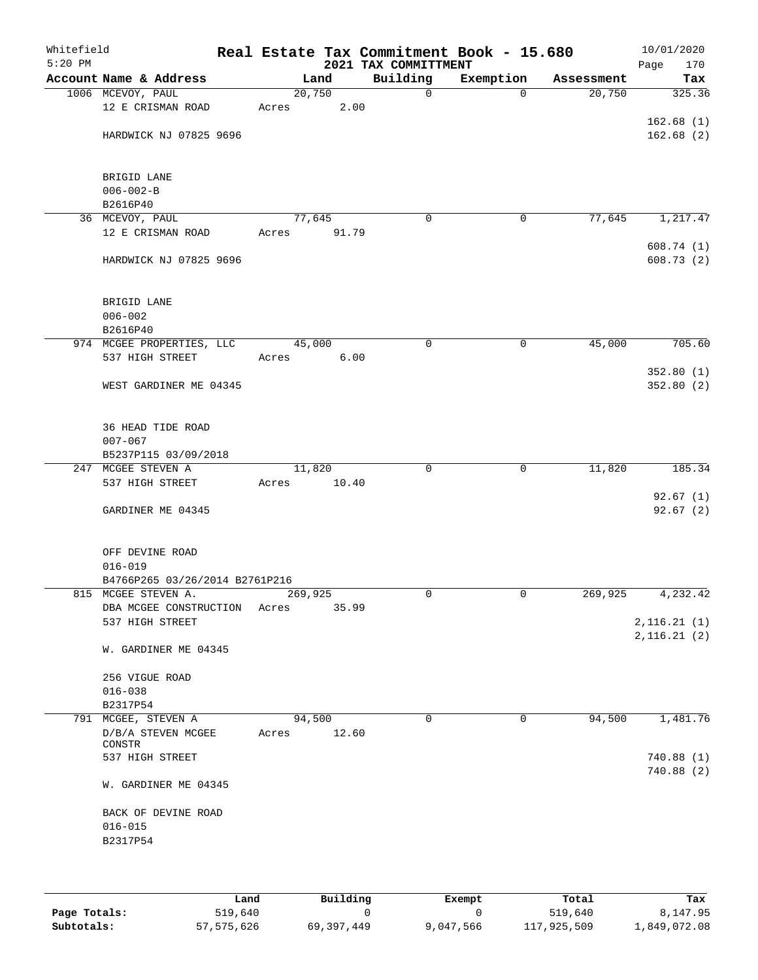| Building<br>Account Name & Address<br>Exemption<br>Land<br>Assessment<br>1006 MCEVOY, PAUL<br>20,750<br>$\mathbf 0$<br>20,750<br>$\Omega$<br>12 E CRISMAN ROAD<br>2.00<br>Acres<br>HARDWICK NJ 07825 9696<br>BRIGID LANE<br>$006 - 002 - B$<br>B2616P40<br>77,645<br>77,645<br>36 MCEVOY, PAUL<br>0<br>0<br>12 E CRISMAN ROAD<br>Acres<br>91.79<br>HARDWICK NJ 07825 9696<br>BRIGID LANE<br>$006 - 002$<br>B2616P40<br>974 MCGEE PROPERTIES, LLC<br>45,000<br>45,000<br>0<br>0<br>537 HIGH STREET<br>6.00<br>Acres<br>WEST GARDINER ME 04345<br>36 HEAD TIDE ROAD<br>$007 - 067$<br>B5237P115 03/09/2018<br>247 MCGEE STEVEN A<br>11,820<br>$\mathbf 0$<br>11,820<br>0<br>537 HIGH STREET<br>Acres<br>10.40<br>GARDINER ME 04345<br>OFF DEVINE ROAD<br>$016 - 019$<br>B4766P265 03/26/2014 B2761P216<br>269,925<br>269,925<br>815 MCGEE STEVEN A.<br>0<br>0<br>35.99<br>DBA MCGEE CONSTRUCTION Acres<br>537 HIGH STREET<br>W. GARDINER ME 04345<br>256 VIGUE ROAD<br>$016 - 038$<br>B2317P54<br>791 MCGEE, STEVEN A<br>94,500<br>$\mathbf 0$<br>$\mathbf 0$<br>94,500<br>D/B/A STEVEN MCGEE<br>12.60<br>Acres<br>CONSTR<br>537 HIGH STREET<br>W. GARDINER ME 04345<br>BACK OF DEVINE ROAD<br>$016 - 015$<br>B2317P54 | Whitefield<br>$5:20$ PM |  |  | 2021 TAX COMMITTMENT | Real Estate Tax Commitment Book - 15.680 | 10/01/2020<br>Page<br>170 |
|----------------------------------------------------------------------------------------------------------------------------------------------------------------------------------------------------------------------------------------------------------------------------------------------------------------------------------------------------------------------------------------------------------------------------------------------------------------------------------------------------------------------------------------------------------------------------------------------------------------------------------------------------------------------------------------------------------------------------------------------------------------------------------------------------------------------------------------------------------------------------------------------------------------------------------------------------------------------------------------------------------------------------------------------------------------------------------------------------------------------------------------------------------------------------------------------------------------------|-------------------------|--|--|----------------------|------------------------------------------|---------------------------|
| 325.36<br>162.68(1)<br>162.68(2)                                                                                                                                                                                                                                                                                                                                                                                                                                                                                                                                                                                                                                                                                                                                                                                                                                                                                                                                                                                                                                                                                                                                                                                     |                         |  |  |                      |                                          | Tax                       |
|                                                                                                                                                                                                                                                                                                                                                                                                                                                                                                                                                                                                                                                                                                                                                                                                                                                                                                                                                                                                                                                                                                                                                                                                                      |                         |  |  |                      |                                          |                           |
|                                                                                                                                                                                                                                                                                                                                                                                                                                                                                                                                                                                                                                                                                                                                                                                                                                                                                                                                                                                                                                                                                                                                                                                                                      |                         |  |  |                      |                                          |                           |
|                                                                                                                                                                                                                                                                                                                                                                                                                                                                                                                                                                                                                                                                                                                                                                                                                                                                                                                                                                                                                                                                                                                                                                                                                      |                         |  |  |                      |                                          |                           |
|                                                                                                                                                                                                                                                                                                                                                                                                                                                                                                                                                                                                                                                                                                                                                                                                                                                                                                                                                                                                                                                                                                                                                                                                                      |                         |  |  |                      |                                          |                           |
| 1,217.47<br>608.74(1)<br>608.73(2)<br>705.60<br>352.80(1)<br>352.80(2)<br>185.34<br>92.67(1)<br>92.67(2)<br>4,232.42<br>2,116.21(1)<br>2,116.21(2)<br>1,481.76<br>740.88(1)<br>740.88 (2)                                                                                                                                                                                                                                                                                                                                                                                                                                                                                                                                                                                                                                                                                                                                                                                                                                                                                                                                                                                                                            |                         |  |  |                      |                                          |                           |
|                                                                                                                                                                                                                                                                                                                                                                                                                                                                                                                                                                                                                                                                                                                                                                                                                                                                                                                                                                                                                                                                                                                                                                                                                      |                         |  |  |                      |                                          |                           |
|                                                                                                                                                                                                                                                                                                                                                                                                                                                                                                                                                                                                                                                                                                                                                                                                                                                                                                                                                                                                                                                                                                                                                                                                                      |                         |  |  |                      |                                          |                           |
|                                                                                                                                                                                                                                                                                                                                                                                                                                                                                                                                                                                                                                                                                                                                                                                                                                                                                                                                                                                                                                                                                                                                                                                                                      |                         |  |  |                      |                                          |                           |
|                                                                                                                                                                                                                                                                                                                                                                                                                                                                                                                                                                                                                                                                                                                                                                                                                                                                                                                                                                                                                                                                                                                                                                                                                      |                         |  |  |                      |                                          |                           |
|                                                                                                                                                                                                                                                                                                                                                                                                                                                                                                                                                                                                                                                                                                                                                                                                                                                                                                                                                                                                                                                                                                                                                                                                                      |                         |  |  |                      |                                          |                           |
|                                                                                                                                                                                                                                                                                                                                                                                                                                                                                                                                                                                                                                                                                                                                                                                                                                                                                                                                                                                                                                                                                                                                                                                                                      |                         |  |  |                      |                                          |                           |
|                                                                                                                                                                                                                                                                                                                                                                                                                                                                                                                                                                                                                                                                                                                                                                                                                                                                                                                                                                                                                                                                                                                                                                                                                      |                         |  |  |                      |                                          |                           |
|                                                                                                                                                                                                                                                                                                                                                                                                                                                                                                                                                                                                                                                                                                                                                                                                                                                                                                                                                                                                                                                                                                                                                                                                                      |                         |  |  |                      |                                          |                           |
|                                                                                                                                                                                                                                                                                                                                                                                                                                                                                                                                                                                                                                                                                                                                                                                                                                                                                                                                                                                                                                                                                                                                                                                                                      |                         |  |  |                      |                                          |                           |
|                                                                                                                                                                                                                                                                                                                                                                                                                                                                                                                                                                                                                                                                                                                                                                                                                                                                                                                                                                                                                                                                                                                                                                                                                      |                         |  |  |                      |                                          |                           |
|                                                                                                                                                                                                                                                                                                                                                                                                                                                                                                                                                                                                                                                                                                                                                                                                                                                                                                                                                                                                                                                                                                                                                                                                                      |                         |  |  |                      |                                          |                           |
|                                                                                                                                                                                                                                                                                                                                                                                                                                                                                                                                                                                                                                                                                                                                                                                                                                                                                                                                                                                                                                                                                                                                                                                                                      |                         |  |  |                      |                                          |                           |
|                                                                                                                                                                                                                                                                                                                                                                                                                                                                                                                                                                                                                                                                                                                                                                                                                                                                                                                                                                                                                                                                                                                                                                                                                      |                         |  |  |                      |                                          |                           |
|                                                                                                                                                                                                                                                                                                                                                                                                                                                                                                                                                                                                                                                                                                                                                                                                                                                                                                                                                                                                                                                                                                                                                                                                                      |                         |  |  |                      |                                          |                           |
|                                                                                                                                                                                                                                                                                                                                                                                                                                                                                                                                                                                                                                                                                                                                                                                                                                                                                                                                                                                                                                                                                                                                                                                                                      |                         |  |  |                      |                                          |                           |
|                                                                                                                                                                                                                                                                                                                                                                                                                                                                                                                                                                                                                                                                                                                                                                                                                                                                                                                                                                                                                                                                                                                                                                                                                      |                         |  |  |                      |                                          |                           |
|                                                                                                                                                                                                                                                                                                                                                                                                                                                                                                                                                                                                                                                                                                                                                                                                                                                                                                                                                                                                                                                                                                                                                                                                                      |                         |  |  |                      |                                          |                           |
|                                                                                                                                                                                                                                                                                                                                                                                                                                                                                                                                                                                                                                                                                                                                                                                                                                                                                                                                                                                                                                                                                                                                                                                                                      |                         |  |  |                      |                                          |                           |
|                                                                                                                                                                                                                                                                                                                                                                                                                                                                                                                                                                                                                                                                                                                                                                                                                                                                                                                                                                                                                                                                                                                                                                                                                      |                         |  |  |                      |                                          |                           |
|                                                                                                                                                                                                                                                                                                                                                                                                                                                                                                                                                                                                                                                                                                                                                                                                                                                                                                                                                                                                                                                                                                                                                                                                                      |                         |  |  |                      |                                          |                           |
|                                                                                                                                                                                                                                                                                                                                                                                                                                                                                                                                                                                                                                                                                                                                                                                                                                                                                                                                                                                                                                                                                                                                                                                                                      |                         |  |  |                      |                                          |                           |
|                                                                                                                                                                                                                                                                                                                                                                                                                                                                                                                                                                                                                                                                                                                                                                                                                                                                                                                                                                                                                                                                                                                                                                                                                      |                         |  |  |                      |                                          |                           |
|                                                                                                                                                                                                                                                                                                                                                                                                                                                                                                                                                                                                                                                                                                                                                                                                                                                                                                                                                                                                                                                                                                                                                                                                                      |                         |  |  |                      |                                          |                           |
|                                                                                                                                                                                                                                                                                                                                                                                                                                                                                                                                                                                                                                                                                                                                                                                                                                                                                                                                                                                                                                                                                                                                                                                                                      |                         |  |  |                      |                                          |                           |
|                                                                                                                                                                                                                                                                                                                                                                                                                                                                                                                                                                                                                                                                                                                                                                                                                                                                                                                                                                                                                                                                                                                                                                                                                      |                         |  |  |                      |                                          |                           |
|                                                                                                                                                                                                                                                                                                                                                                                                                                                                                                                                                                                                                                                                                                                                                                                                                                                                                                                                                                                                                                                                                                                                                                                                                      |                         |  |  |                      |                                          |                           |
|                                                                                                                                                                                                                                                                                                                                                                                                                                                                                                                                                                                                                                                                                                                                                                                                                                                                                                                                                                                                                                                                                                                                                                                                                      |                         |  |  |                      |                                          |                           |
|                                                                                                                                                                                                                                                                                                                                                                                                                                                                                                                                                                                                                                                                                                                                                                                                                                                                                                                                                                                                                                                                                                                                                                                                                      |                         |  |  |                      |                                          |                           |
|                                                                                                                                                                                                                                                                                                                                                                                                                                                                                                                                                                                                                                                                                                                                                                                                                                                                                                                                                                                                                                                                                                                                                                                                                      |                         |  |  |                      |                                          |                           |
|                                                                                                                                                                                                                                                                                                                                                                                                                                                                                                                                                                                                                                                                                                                                                                                                                                                                                                                                                                                                                                                                                                                                                                                                                      |                         |  |  |                      |                                          |                           |
|                                                                                                                                                                                                                                                                                                                                                                                                                                                                                                                                                                                                                                                                                                                                                                                                                                                                                                                                                                                                                                                                                                                                                                                                                      |                         |  |  |                      |                                          |                           |
|                                                                                                                                                                                                                                                                                                                                                                                                                                                                                                                                                                                                                                                                                                                                                                                                                                                                                                                                                                                                                                                                                                                                                                                                                      |                         |  |  |                      |                                          |                           |
|                                                                                                                                                                                                                                                                                                                                                                                                                                                                                                                                                                                                                                                                                                                                                                                                                                                                                                                                                                                                                                                                                                                                                                                                                      |                         |  |  |                      |                                          |                           |
|                                                                                                                                                                                                                                                                                                                                                                                                                                                                                                                                                                                                                                                                                                                                                                                                                                                                                                                                                                                                                                                                                                                                                                                                                      |                         |  |  |                      |                                          |                           |
|                                                                                                                                                                                                                                                                                                                                                                                                                                                                                                                                                                                                                                                                                                                                                                                                                                                                                                                                                                                                                                                                                                                                                                                                                      |                         |  |  |                      |                                          |                           |
|                                                                                                                                                                                                                                                                                                                                                                                                                                                                                                                                                                                                                                                                                                                                                                                                                                                                                                                                                                                                                                                                                                                                                                                                                      |                         |  |  |                      |                                          |                           |
|                                                                                                                                                                                                                                                                                                                                                                                                                                                                                                                                                                                                                                                                                                                                                                                                                                                                                                                                                                                                                                                                                                                                                                                                                      |                         |  |  |                      |                                          |                           |
|                                                                                                                                                                                                                                                                                                                                                                                                                                                                                                                                                                                                                                                                                                                                                                                                                                                                                                                                                                                                                                                                                                                                                                                                                      |                         |  |  |                      |                                          |                           |
|                                                                                                                                                                                                                                                                                                                                                                                                                                                                                                                                                                                                                                                                                                                                                                                                                                                                                                                                                                                                                                                                                                                                                                                                                      |                         |  |  |                      |                                          |                           |
|                                                                                                                                                                                                                                                                                                                                                                                                                                                                                                                                                                                                                                                                                                                                                                                                                                                                                                                                                                                                                                                                                                                                                                                                                      |                         |  |  |                      |                                          |                           |
|                                                                                                                                                                                                                                                                                                                                                                                                                                                                                                                                                                                                                                                                                                                                                                                                                                                                                                                                                                                                                                                                                                                                                                                                                      |                         |  |  |                      |                                          |                           |
|                                                                                                                                                                                                                                                                                                                                                                                                                                                                                                                                                                                                                                                                                                                                                                                                                                                                                                                                                                                                                                                                                                                                                                                                                      |                         |  |  |                      |                                          |                           |
|                                                                                                                                                                                                                                                                                                                                                                                                                                                                                                                                                                                                                                                                                                                                                                                                                                                                                                                                                                                                                                                                                                                                                                                                                      |                         |  |  |                      |                                          |                           |
|                                                                                                                                                                                                                                                                                                                                                                                                                                                                                                                                                                                                                                                                                                                                                                                                                                                                                                                                                                                                                                                                                                                                                                                                                      |                         |  |  |                      |                                          |                           |
|                                                                                                                                                                                                                                                                                                                                                                                                                                                                                                                                                                                                                                                                                                                                                                                                                                                                                                                                                                                                                                                                                                                                                                                                                      |                         |  |  |                      |                                          |                           |
|                                                                                                                                                                                                                                                                                                                                                                                                                                                                                                                                                                                                                                                                                                                                                                                                                                                                                                                                                                                                                                                                                                                                                                                                                      |                         |  |  |                      |                                          |                           |
|                                                                                                                                                                                                                                                                                                                                                                                                                                                                                                                                                                                                                                                                                                                                                                                                                                                                                                                                                                                                                                                                                                                                                                                                                      |                         |  |  |                      |                                          |                           |
|                                                                                                                                                                                                                                                                                                                                                                                                                                                                                                                                                                                                                                                                                                                                                                                                                                                                                                                                                                                                                                                                                                                                                                                                                      |                         |  |  |                      |                                          |                           |

|              | Land       | Building   | Exempt    | Total       | Tax          |
|--------------|------------|------------|-----------|-------------|--------------|
| Page Totals: | 519,640    |            |           | 519,640     | 8,147.95     |
| Subtotals:   | 57,575,626 | 69,397,449 | 9,047,566 | 117,925,509 | 1,849,072.08 |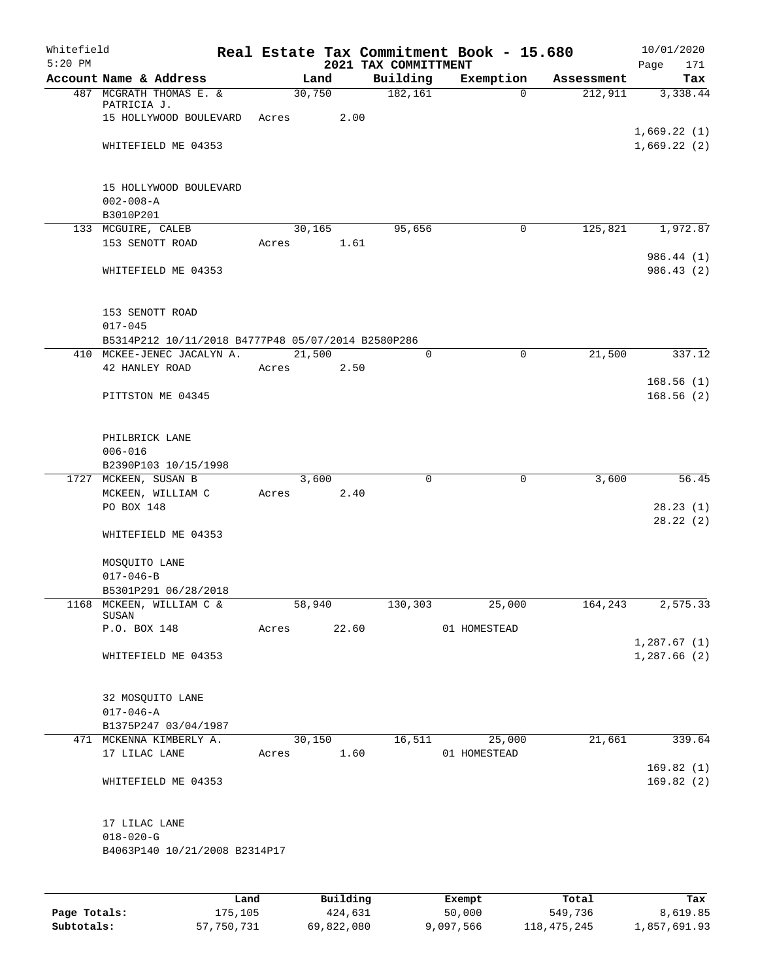| Whitefield<br>$5:20$ PM |                                                    |       |        |                           | 2021 TAX COMMITTMENT | Real Estate Tax Commitment Book - 15.680 |            | 10/01/2020<br>171<br>Page  |
|-------------------------|----------------------------------------------------|-------|--------|---------------------------|----------------------|------------------------------------------|------------|----------------------------|
|                         | Account Name & Address                             |       | Land   |                           | Building             | Exemption                                | Assessment | Tax                        |
|                         | 487 MCGRATH THOMAS E. &                            |       | 30,750 |                           | 182,161              | 0                                        | 212,911    | 3,338.44                   |
|                         | PATRICIA J.                                        |       |        |                           |                      |                                          |            |                            |
|                         | 15 HOLLYWOOD BOULEVARD                             | Acres |        | 2.00                      |                      |                                          |            |                            |
|                         | WHITEFIELD ME 04353                                |       |        |                           |                      |                                          |            | 1,669.22(1)<br>1,669.22(2) |
|                         |                                                    |       |        |                           |                      |                                          |            |                            |
|                         |                                                    |       |        |                           |                      |                                          |            |                            |
|                         | 15 HOLLYWOOD BOULEVARD                             |       |        |                           |                      |                                          |            |                            |
|                         | $002 - 008 - A$                                    |       |        |                           |                      |                                          |            |                            |
|                         | B3010P201                                          |       |        |                           |                      |                                          |            |                            |
|                         | 133 MCGUIRE, CALEB                                 |       | 30,165 |                           | 95,656               | 0                                        | 125,821    | 1,972.87                   |
|                         | 153 SENOTT ROAD                                    | Acres |        | 1.61                      |                      |                                          |            |                            |
|                         |                                                    |       |        |                           |                      |                                          |            | 986.44 (1)                 |
|                         | WHITEFIELD ME 04353                                |       |        |                           |                      |                                          |            | 986.43 (2)                 |
|                         | 153 SENOTT ROAD                                    |       |        |                           |                      |                                          |            |                            |
|                         | $017 - 045$                                        |       |        |                           |                      |                                          |            |                            |
|                         | B5314P212 10/11/2018 B4777P48 05/07/2014 B2580P286 |       |        |                           |                      |                                          |            |                            |
|                         | 410 MCKEE-JENEC JACALYN A.                         |       | 21,500 |                           | $\mathbf 0$          | 0                                        | 21,500     | 337.12                     |
|                         | 42 HANLEY ROAD                                     | Acres |        | 2.50                      |                      |                                          |            |                            |
|                         |                                                    |       |        |                           |                      |                                          |            | 168.56(1)                  |
|                         | PITTSTON ME 04345                                  |       |        |                           |                      |                                          |            | 168.56(2)                  |
|                         |                                                    |       |        |                           |                      |                                          |            |                            |
|                         | PHILBRICK LANE                                     |       |        |                           |                      |                                          |            |                            |
|                         | $006 - 016$                                        |       |        |                           |                      |                                          |            |                            |
|                         | B2390P103 10/15/1998                               |       |        |                           |                      |                                          |            |                            |
|                         | 1727 MCKEEN, SUSAN B                               |       | 3,600  |                           | $\mathbf 0$          | 0                                        | 3,600      | 56.45                      |
|                         | MCKEEN, WILLIAM C                                  | Acres |        | 2.40                      |                      |                                          |            |                            |
|                         | PO BOX 148                                         |       |        |                           |                      |                                          |            | 28.23(1)                   |
|                         |                                                    |       |        |                           |                      |                                          |            | 28.22(2)                   |
|                         | WHITEFIELD ME 04353                                |       |        |                           |                      |                                          |            |                            |
|                         | MOSQUITO LANE                                      |       |        |                           |                      |                                          |            |                            |
|                         | $017 - 046 - B$                                    |       |        |                           |                      |                                          |            |                            |
|                         | B5301P291 06/28/2018                               |       |        |                           |                      |                                          |            |                            |
|                         | 1168 MCKEEN, WILLIAM C &                           |       | 58,940 |                           | 130,303              | 25,000                                   | 164,243    | 2,575.33                   |
|                         | SUSAN                                              |       |        |                           |                      |                                          |            |                            |
|                         | P.O. BOX 148                                       | Acres |        | 22.60                     |                      | 01 HOMESTEAD                             |            |                            |
|                         | WHITEFIELD ME 04353                                |       |        |                           |                      |                                          |            | 1,287.67(1)<br>1,287.66(2) |
|                         |                                                    |       |        |                           |                      |                                          |            |                            |
|                         | 32 MOSQUITO LANE                                   |       |        |                           |                      |                                          |            |                            |
|                         | $017 - 046 - A$                                    |       |        |                           |                      |                                          |            |                            |
|                         | B1375P247 03/04/1987                               |       |        |                           |                      |                                          |            |                            |
|                         | 471 MCKENNA KIMBERLY A.                            |       | 30,150 |                           | 16, 511              | 25,000                                   | 21,661     | 339.64                     |
|                         | 17 LILAC LANE                                      | Acres |        | 1.60                      |                      | 01 HOMESTEAD                             |            |                            |
|                         |                                                    |       |        |                           |                      |                                          |            | 169.82(1)                  |
|                         | WHITEFIELD ME 04353                                |       |        |                           |                      |                                          |            | 169.82(2)                  |
|                         |                                                    |       |        |                           |                      |                                          |            |                            |
|                         | 17 LILAC LANE                                      |       |        |                           |                      |                                          |            |                            |
|                         | $018 - 020 - G$                                    |       |        |                           |                      |                                          |            |                            |
|                         | B4063P140 10/21/2008 B2314P17                      |       |        |                           |                      |                                          |            |                            |
|                         |                                                    |       |        |                           |                      |                                          |            |                            |
|                         |                                                    |       |        | $D_{11}$ in $I$ in $\sim$ |                      |                                          |            |                            |

|              | Land       | Building   | Exempt    | Total       | Tax          |
|--------------|------------|------------|-----------|-------------|--------------|
| Page Totals: | 175,105    | 424,631    | 50,000    | 549,736     | 8,619.85     |
| Subtotals:   | 57,750,731 | 69,822,080 | 9,097,566 | 118,475,245 | 1,857,691.93 |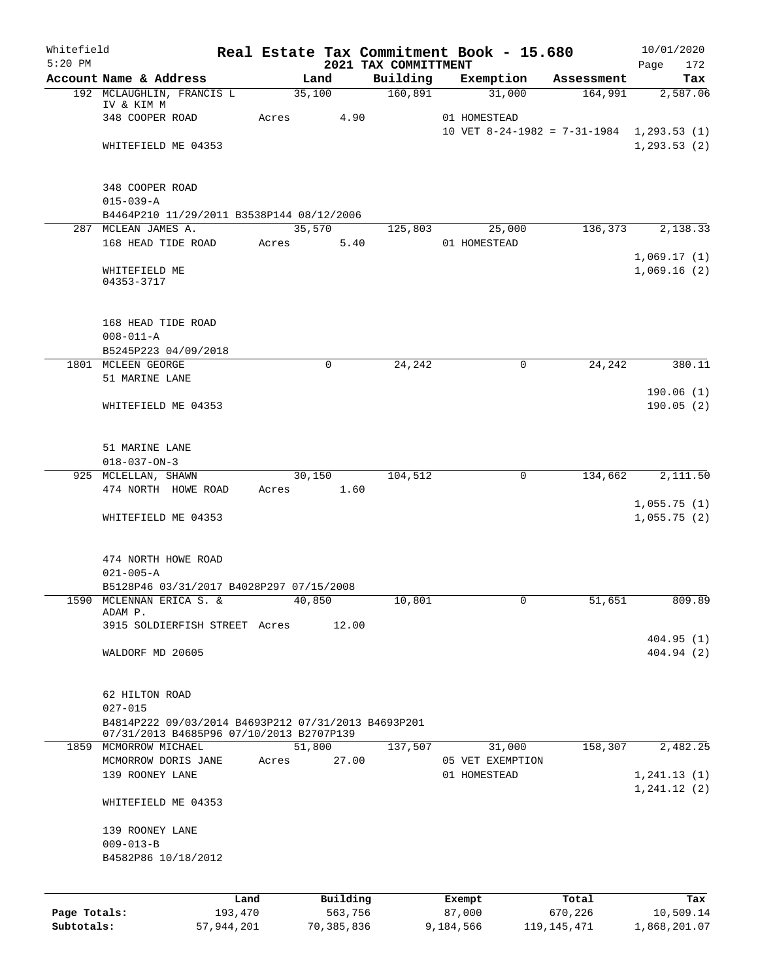| Whitefield   |                                                                                                 |            |       |            |      |                                  | Real Estate Tax Commitment Book - 15.680  |                       | 10/01/2020                 |            |
|--------------|-------------------------------------------------------------------------------------------------|------------|-------|------------|------|----------------------------------|-------------------------------------------|-----------------------|----------------------------|------------|
| $5:20$ PM    | Account Name & Address                                                                          |            |       | Land       |      | 2021 TAX COMMITTMENT<br>Building | Exemption                                 |                       | Page                       | 172<br>Tax |
|              | 192 MCLAUGHLIN, FRANCIS L                                                                       |            |       | 35,100     |      | 160,891                          | 31,000                                    | Assessment<br>164,991 | 2,587.06                   |            |
|              | IV & KIM M                                                                                      |            |       |            |      |                                  |                                           |                       |                            |            |
|              | 348 COOPER ROAD                                                                                 |            | Acres |            | 4.90 |                                  | 01 HOMESTEAD                              |                       |                            |            |
|              |                                                                                                 |            |       |            |      |                                  | 10 VET 8-24-1982 = 7-31-1984 1,293.53 (1) |                       | 1, 293.53(2)               |            |
|              | WHITEFIELD ME 04353                                                                             |            |       |            |      |                                  |                                           |                       |                            |            |
|              | 348 COOPER ROAD                                                                                 |            |       |            |      |                                  |                                           |                       |                            |            |
|              | $015 - 039 - A$                                                                                 |            |       |            |      |                                  |                                           |                       |                            |            |
|              | B4464P210 11/29/2011 B3538P144 08/12/2006                                                       |            |       |            |      |                                  |                                           |                       |                            |            |
|              | 287 MCLEAN JAMES A.                                                                             |            |       | 35,570     |      | 125,803                          | 25,000                                    | 136,373               | 2,138.33                   |            |
|              | 168 HEAD TIDE ROAD                                                                              |            | Acres |            | 5.40 |                                  | 01 HOMESTEAD                              |                       |                            |            |
|              |                                                                                                 |            |       |            |      |                                  |                                           |                       | 1,069.17(1)                |            |
|              | WHITEFIELD ME<br>04353-3717                                                                     |            |       |            |      |                                  |                                           |                       | 1,069.16(2)                |            |
|              | 168 HEAD TIDE ROAD                                                                              |            |       |            |      |                                  |                                           |                       |                            |            |
|              | $008 - 011 - A$                                                                                 |            |       |            |      |                                  |                                           |                       |                            |            |
|              | B5245P223 04/09/2018                                                                            |            |       |            |      |                                  |                                           |                       |                            |            |
|              | 1801 MCLEEN GEORGE                                                                              |            |       | $\Omega$   |      | 24,242                           | $\mathbf 0$                               | 24, 242               |                            | 380.11     |
|              | 51 MARINE LANE                                                                                  |            |       |            |      |                                  |                                           |                       |                            |            |
|              |                                                                                                 |            |       |            |      |                                  |                                           |                       | 190.06(1)                  |            |
|              | WHITEFIELD ME 04353                                                                             |            |       |            |      |                                  |                                           |                       | 190.05(2)                  |            |
|              | 51 MARINE LANE                                                                                  |            |       |            |      |                                  |                                           |                       |                            |            |
|              | $018 - 037 - ON - 3$                                                                            |            |       |            |      |                                  |                                           |                       |                            |            |
|              | 925 MCLELLAN, SHAWN                                                                             |            |       | 30,150     |      | 104,512                          | $\mathbf 0$                               | 134,662               | 2,111.50                   |            |
|              | 474 NORTH HOWE ROAD                                                                             |            | Acres |            | 1.60 |                                  |                                           |                       |                            |            |
|              | WHITEFIELD ME 04353                                                                             |            |       |            |      |                                  |                                           |                       | 1,055.75(1)<br>1,055.75(2) |            |
|              | 474 NORTH HOWE ROAD                                                                             |            |       |            |      |                                  |                                           |                       |                            |            |
|              | $021 - 005 - A$                                                                                 |            |       |            |      |                                  |                                           |                       |                            |            |
|              | B5128P46 03/31/2017 B4028P297 07/15/2008                                                        |            |       |            |      |                                  |                                           |                       |                            |            |
|              | 1590 MCLENNAN ERICA S. &                                                                        |            |       | 40,850     |      | 10,801                           | 0                                         | 51,651                |                            | 809.89     |
|              | ADAM P.                                                                                         |            |       |            |      |                                  |                                           |                       |                            |            |
|              | 3915 SOLDIERFISH STREET Acres                                                                   |            |       | 12.00      |      |                                  |                                           |                       |                            |            |
|              | WALDORF MD 20605                                                                                |            |       |            |      |                                  |                                           |                       | 404.95(1)<br>404.94 (2)    |            |
|              |                                                                                                 |            |       |            |      |                                  |                                           |                       |                            |            |
|              | 62 HILTON ROAD                                                                                  |            |       |            |      |                                  |                                           |                       |                            |            |
|              | $027 - 015$                                                                                     |            |       |            |      |                                  |                                           |                       |                            |            |
|              | B4814P222 09/03/2014 B4693P212 07/31/2013 B4693P201<br>07/31/2013 B4685P96 07/10/2013 B2707P139 |            |       |            |      |                                  |                                           |                       |                            |            |
|              | 1859 MCMORROW MICHAEL                                                                           |            |       | 51,800     |      | 137,507                          | 31,000                                    | 158,307               | 2,482.25                   |            |
|              | MCMORROW DORIS JANE                                                                             |            | Acres | 27.00      |      |                                  | 05 VET EXEMPTION                          |                       |                            |            |
|              | 139 ROONEY LANE                                                                                 |            |       |            |      |                                  | 01 HOMESTEAD                              |                       | 1, 241.13(1)               |            |
|              |                                                                                                 |            |       |            |      |                                  |                                           |                       | 1, 241.12(2)               |            |
|              | WHITEFIELD ME 04353                                                                             |            |       |            |      |                                  |                                           |                       |                            |            |
|              | 139 ROONEY LANE                                                                                 |            |       |            |      |                                  |                                           |                       |                            |            |
|              | $009 - 013 - B$                                                                                 |            |       |            |      |                                  |                                           |                       |                            |            |
|              | B4582P86 10/18/2012                                                                             |            |       |            |      |                                  |                                           |                       |                            |            |
|              |                                                                                                 | Land       |       | Building   |      |                                  |                                           | Total                 |                            |            |
| Page Totals: |                                                                                                 | 193,470    |       | 563,756    |      |                                  | Exempt<br>87,000                          | 670,226               | 10,509.14                  | Tax        |
| Subtotals:   |                                                                                                 | 57,944,201 |       | 70,385,836 |      |                                  | 9,184,566                                 | 119, 145, 471         | 1,868,201.07               |            |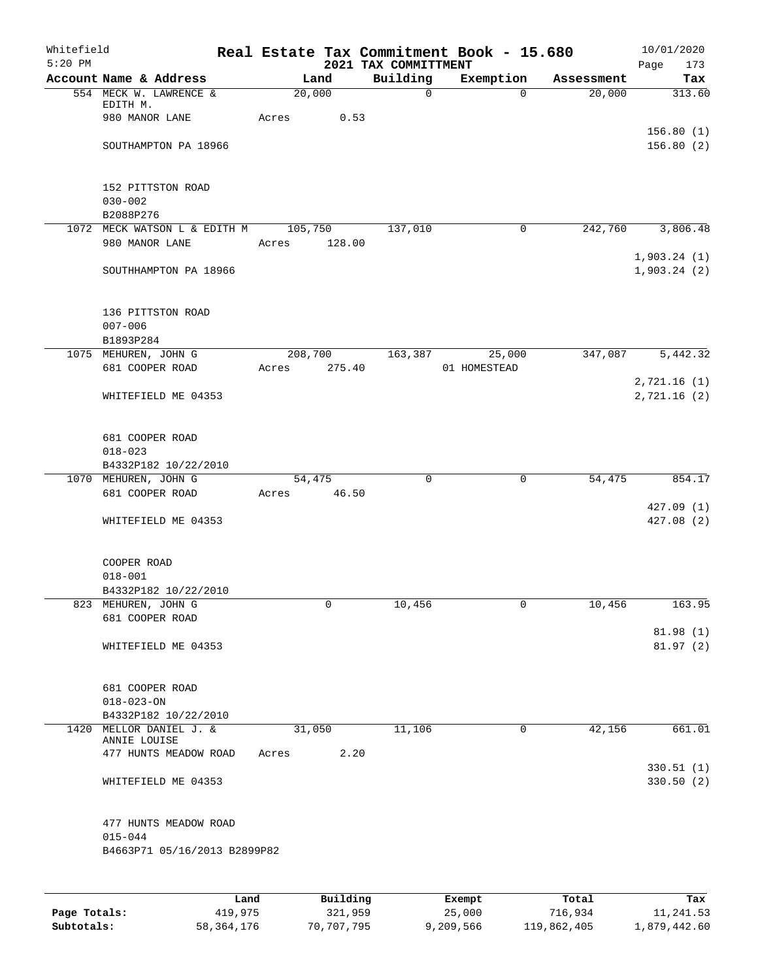| Whitefield<br>$5:20$ PM |                                           |      |       |          |      | 2021 TAX COMMITTMENT | Real Estate Tax Commitment Book - 15.680 |            | 10/01/2020<br>Page<br>173   |
|-------------------------|-------------------------------------------|------|-------|----------|------|----------------------|------------------------------------------|------------|-----------------------------|
|                         | Account Name & Address                    |      |       | Land     |      | Building             | Exemption                                | Assessment | Tax                         |
|                         | 554 MECK W. LAWRENCE &                    |      |       | 20,000   |      | $\mathbf 0$          | $\Omega$                                 | 20,000     | 313.60                      |
|                         | EDITH M.<br>980 MANOR LANE                |      | Acres |          | 0.53 |                      |                                          |            |                             |
|                         |                                           |      |       |          |      |                      |                                          |            | 156.80(1)                   |
|                         | SOUTHAMPTON PA 18966                      |      |       |          |      |                      |                                          |            | 156.80(2)                   |
|                         | 152 PITTSTON ROAD                         |      |       |          |      |                      |                                          |            |                             |
|                         | $030 - 002$                               |      |       |          |      |                      |                                          |            |                             |
|                         | B2088P276<br>1072 MECK WATSON L & EDITH M |      |       | 105,750  |      | 137,010              | 0                                        | 242,760    | 3,806.48                    |
|                         | 980 MANOR LANE                            |      | Acres | 128.00   |      |                      |                                          |            |                             |
|                         | SOUTHHAMPTON PA 18966                     |      |       |          |      |                      |                                          |            | 1,903.24(1)<br>1,903.24(2)  |
|                         |                                           |      |       |          |      |                      |                                          |            |                             |
|                         | 136 PITTSTON ROAD                         |      |       |          |      |                      |                                          |            |                             |
| $007 - 006$             |                                           |      |       |          |      |                      |                                          |            |                             |
| B1893P284               |                                           |      |       |          |      |                      |                                          |            |                             |
|                         | 1075 MEHUREN, JOHN G                      |      |       | 208,700  |      | 163,387              | 25,000                                   | 347,087    | 5,442.32                    |
|                         | 681 COOPER ROAD                           |      | Acres | 275.40   |      |                      | 01 HOMESTEAD                             |            |                             |
|                         | WHITEFIELD ME 04353                       |      |       |          |      |                      |                                          |            | 2,721.16 (1)<br>2,721.16(2) |
|                         | 681 COOPER ROAD                           |      |       |          |      |                      |                                          |            |                             |
|                         | $018 - 023$                               |      |       |          |      |                      |                                          |            |                             |
|                         | B4332P182 10/22/2010                      |      |       |          |      |                      |                                          |            |                             |
|                         | 1070 MEHUREN, JOHN G                      |      |       | 54,475   |      | $\mathbf 0$          | 0                                        | 54,475     | 854.17                      |
|                         | 681 COOPER ROAD                           |      | Acres | 46.50    |      |                      |                                          |            |                             |
|                         | WHITEFIELD ME 04353                       |      |       |          |      |                      |                                          |            | 427.09(1)<br>427.08(2)      |
|                         | COOPER ROAD                               |      |       |          |      |                      |                                          |            |                             |
|                         | $018 - 001$                               |      |       |          |      |                      |                                          |            |                             |
|                         | B4332P182 10/22/2010                      |      |       |          |      |                      |                                          |            |                             |
|                         | 823 MEHUREN, JOHN G                       |      |       | 0        |      | 10,456               | 0                                        | 10,456     | 163.95                      |
|                         | 681 COOPER ROAD                           |      |       |          |      |                      |                                          |            |                             |
|                         | WHITEFIELD ME 04353                       |      |       |          |      |                      |                                          |            | 81.98(1)<br>81.97(2)        |
|                         | 681 COOPER ROAD                           |      |       |          |      |                      |                                          |            |                             |
|                         | $018 - 023 - ON$                          |      |       |          |      |                      |                                          |            |                             |
|                         | B4332P182 10/22/2010                      |      |       |          |      |                      |                                          |            |                             |
|                         | 1420 MELLOR DANIEL J. &<br>ANNIE LOUISE   |      |       | 31,050   |      | 11,106               | 0                                        | 42,156     | 661.01                      |
|                         | 477 HUNTS MEADOW ROAD                     |      | Acres |          | 2.20 |                      |                                          |            |                             |
|                         | WHITEFIELD ME 04353                       |      |       |          |      |                      |                                          |            | 330.51(1)<br>330.50(2)      |
|                         |                                           |      |       |          |      |                      |                                          |            |                             |
|                         | 477 HUNTS MEADOW ROAD<br>$015 - 044$      |      |       |          |      |                      |                                          |            |                             |
|                         | B4663P71 05/16/2013 B2899P82              |      |       |          |      |                      |                                          |            |                             |
|                         |                                           |      |       |          |      |                      |                                          |            |                             |
|                         |                                           | Land |       | Building |      |                      | Exempt                                   | Total      | Tax                         |

|              | nana       | <b>DUITOTII</b> | LACINUL   | TOLAT       | ias.         |
|--------------|------------|-----------------|-----------|-------------|--------------|
| Page Totals: | 419,975    | 321,959         | 25,000    | 716,934     | 11,241.53    |
| Subtotals:   | 58,364,176 | 70,707,795      | 9,209,566 | 119,862,405 | 1,879,442.60 |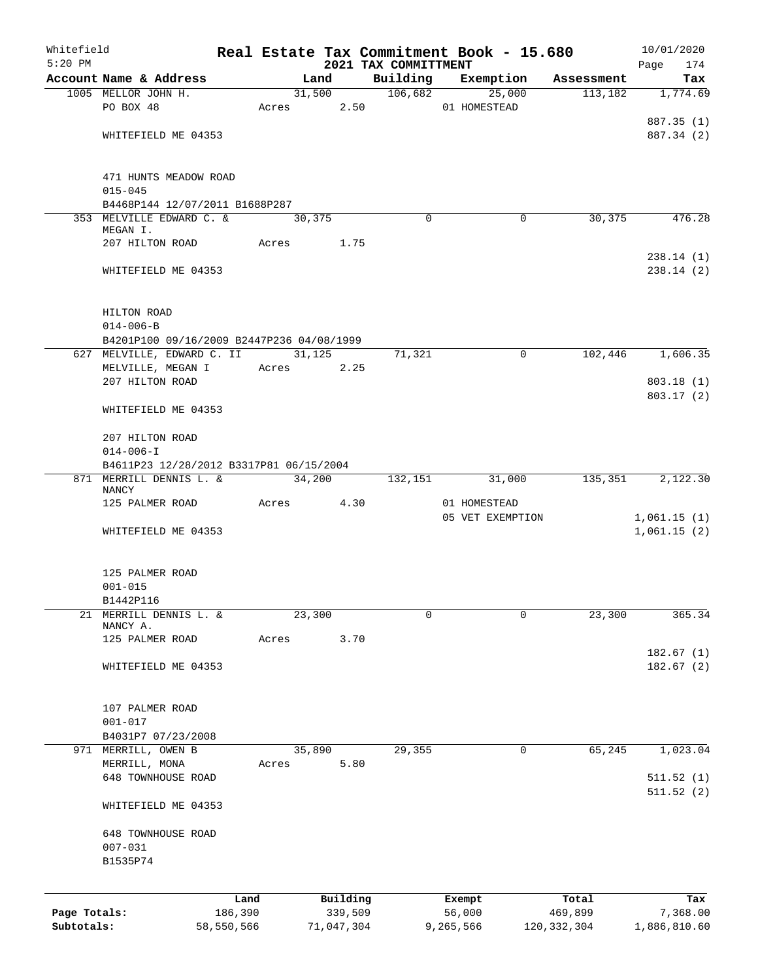| Whitefield   |                                           |            |       |        |            | Real Estate Tax Commitment Book - 15.680 |                  |             |               | 10/01/2020               |
|--------------|-------------------------------------------|------------|-------|--------|------------|------------------------------------------|------------------|-------------|---------------|--------------------------|
| $5:20$ PM    |                                           |            |       |        |            | 2021 TAX COMMITTMENT                     |                  |             |               | 174<br>Page              |
|              | Account Name & Address                    |            |       | Land   |            | Building                                 | Exemption        |             | Assessment    | Tax                      |
|              | 1005 MELLOR JOHN H.                       |            |       |        | 31,500     | 106,682                                  |                  | 25,000      | 113,182       | 1,774.69                 |
|              | PO BOX 48                                 |            |       |        | Acres 2.50 |                                          | 01 HOMESTEAD     |             |               |                          |
|              | WHITEFIELD ME 04353                       |            |       |        |            |                                          |                  |             |               | 887.35 (1)<br>887.34 (2) |
|              |                                           |            |       |        |            |                                          |                  |             |               |                          |
|              | 471 HUNTS MEADOW ROAD                     |            |       |        |            |                                          |                  |             |               |                          |
|              | $015 - 045$                               |            |       |        |            |                                          |                  |             |               |                          |
|              | B4468P144 12/07/2011 B1688P287            |            |       |        |            |                                          |                  |             |               |                          |
|              | 353 MELVILLE EDWARD C. &<br>MEGAN I.      |            |       | 30,375 |            | $\Omega$                                 |                  | $\mathbf 0$ | 30,375        | 476.28                   |
|              | 207 HILTON ROAD                           |            | Acres |        | 1.75       |                                          |                  |             |               |                          |
|              |                                           |            |       |        |            |                                          |                  |             |               | 238.14(1)                |
|              | WHITEFIELD ME 04353                       |            |       |        |            |                                          |                  |             |               | 238.14(2)                |
| HILTON ROAD  |                                           |            |       |        |            |                                          |                  |             |               |                          |
|              | $014 - 006 - B$                           |            |       |        |            |                                          |                  |             |               |                          |
|              | B4201P100 09/16/2009 B2447P236 04/08/1999 |            |       |        |            |                                          |                  |             |               |                          |
|              | 627 MELVILLE, EDWARD C. II                |            |       | 31,125 |            | 71,321                                   |                  | $\mathbf 0$ | 102,446       | 1,606.35                 |
|              | MELVILLE, MEGAN I                         |            |       |        | Acres 2.25 |                                          |                  |             |               |                          |
|              | 207 HILTON ROAD                           |            |       |        |            |                                          |                  |             |               | 803.18 (1)               |
|              |                                           |            |       |        |            |                                          |                  |             |               | 803.17(2)                |
|              | WHITEFIELD ME 04353                       |            |       |        |            |                                          |                  |             |               |                          |
|              | 207 HILTON ROAD                           |            |       |        |            |                                          |                  |             |               |                          |
|              | $014 - 006 - I$                           |            |       |        |            |                                          |                  |             |               |                          |
|              | B4611P23 12/28/2012 B3317P81 06/15/2004   |            |       |        |            |                                          |                  |             |               |                          |
|              | 871 MERRILL DENNIS L. &                   |            |       | 34,200 |            | 132,151                                  |                  | 31,000      | 135,351       | 2,122.30                 |
|              | NANCY<br>125 PALMER ROAD                  |            | Acres |        | 4.30       |                                          | 01 HOMESTEAD     |             |               |                          |
|              |                                           |            |       |        |            |                                          | 05 VET EXEMPTION |             |               | 1,061.15(1)              |
|              | WHITEFIELD ME 04353                       |            |       |        |            |                                          |                  |             |               | 1,061.15(2)              |
|              |                                           |            |       |        |            |                                          |                  |             |               |                          |
|              | 125 PALMER ROAD                           |            |       |        |            |                                          |                  |             |               |                          |
|              | $001 - 015$                               |            |       |        |            |                                          |                  |             |               |                          |
|              | B1442P116                                 |            |       |        |            |                                          |                  |             |               |                          |
| 21           | MERRILL DENNIS L. &<br>NANCY A.           |            |       | 23,300 |            | $\mathbf 0$                              |                  | $\mathbf 0$ | 23,300        | 365.34                   |
|              | 125 PALMER ROAD                           |            | Acres |        | 3.70       |                                          |                  |             |               |                          |
|              |                                           |            |       |        |            |                                          |                  |             |               | 182.67(1)                |
|              | WHITEFIELD ME 04353                       |            |       |        |            |                                          |                  |             |               | 182.67(2)                |
|              | 107 PALMER ROAD                           |            |       |        |            |                                          |                  |             |               |                          |
|              | $001 - 017$                               |            |       |        |            |                                          |                  |             |               |                          |
|              | B4031P7 07/23/2008                        |            |       |        |            |                                          |                  |             |               |                          |
|              | 971 MERRILL, OWEN B                       |            |       | 35,890 |            | 29,355                                   |                  | 0           | 65,245        | 1,023.04                 |
|              | MERRILL, MONA                             |            | Acres |        | 5.80       |                                          |                  |             |               |                          |
|              | 648 TOWNHOUSE ROAD                        |            |       |        |            |                                          |                  |             |               | 511.52(1)                |
|              | WHITEFIELD ME 04353                       |            |       |        |            |                                          |                  |             |               | 511.52(2)                |
|              |                                           |            |       |        |            |                                          |                  |             |               |                          |
|              | 648 TOWNHOUSE ROAD                        |            |       |        |            |                                          |                  |             |               |                          |
|              | $007 - 031$<br>B1535P74                   |            |       |        |            |                                          |                  |             |               |                          |
|              |                                           |            |       |        |            |                                          |                  |             |               |                          |
|              |                                           | Land       |       |        | Building   |                                          | Exempt           |             | Total         | Tax                      |
| Page Totals: |                                           | 186,390    |       |        | 339,509    |                                          | 56,000           |             | 469,899       | 7,368.00                 |
| Subtotals:   |                                           | 58,550,566 |       |        | 71,047,304 |                                          | 9,265,566        |             | 120, 332, 304 | 1,886,810.60             |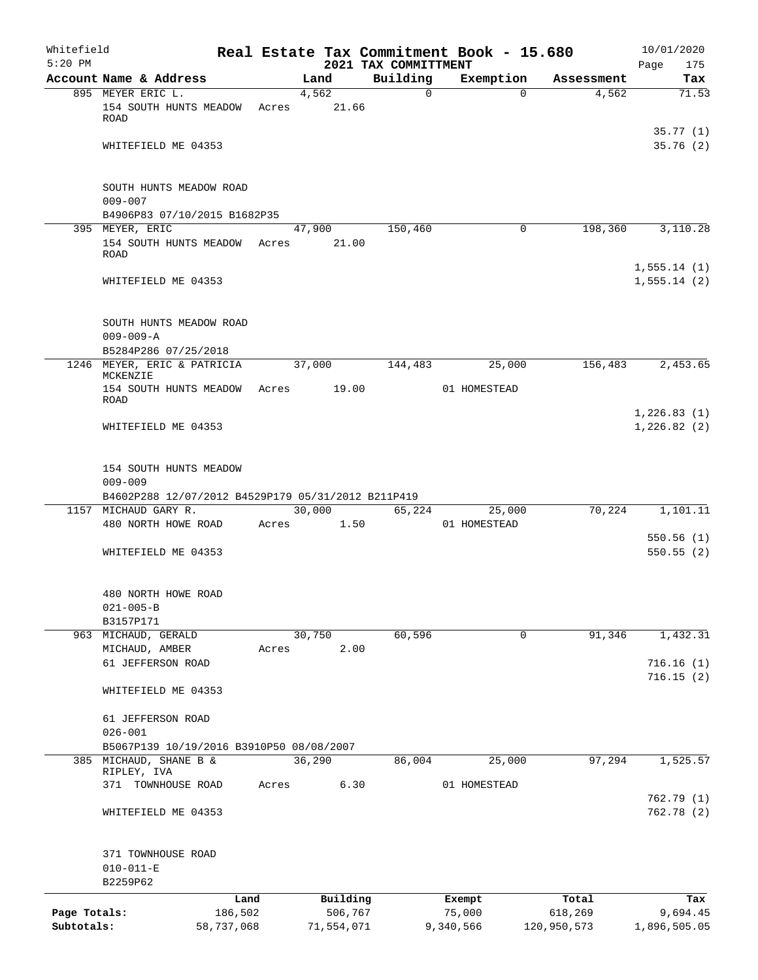| Whitefield<br>$5:20$ PM    |                                                                                             |                       |       |        |                       | Real Estate Tax Commitment Book - 15.680<br>2021 TAX COMMITTMENT |                     |          |                        | 10/01/2020<br>175<br>Page |
|----------------------------|---------------------------------------------------------------------------------------------|-----------------------|-------|--------|-----------------------|------------------------------------------------------------------|---------------------|----------|------------------------|---------------------------|
|                            | Account Name & Address                                                                      |                       |       | Land   |                       | Building                                                         | Exemption           |          | Assessment             | Tax                       |
|                            | 895 MEYER ERIC L.                                                                           |                       |       | 4,562  |                       | $\Omega$                                                         |                     | $\Omega$ | 4,562                  | 71.53                     |
|                            | 154 SOUTH HUNTS MEADOW<br><b>ROAD</b>                                                       |                       | Acres |        | 21.66                 |                                                                  |                     |          |                        |                           |
|                            | WHITEFIELD ME 04353                                                                         |                       |       |        |                       |                                                                  |                     |          |                        | 35.77(1)<br>35.76(2)      |
|                            | SOUTH HUNTS MEADOW ROAD<br>$009 - 007$                                                      |                       |       |        |                       |                                                                  |                     |          |                        |                           |
|                            | B4906P83 07/10/2015 B1682P35                                                                |                       |       |        |                       |                                                                  |                     |          |                        |                           |
|                            | 395 MEYER, ERIC                                                                             |                       |       | 47,900 |                       | 150,460                                                          |                     | $\Omega$ | 198,360                | 3,110.28                  |
|                            | 154 SOUTH HUNTS MEADOW<br>ROAD                                                              |                       | Acres |        | 21.00                 |                                                                  |                     |          |                        | 1,555.14(1)               |
|                            | WHITEFIELD ME 04353                                                                         |                       |       |        |                       |                                                                  |                     |          |                        | 1,555.14(2)               |
|                            | SOUTH HUNTS MEADOW ROAD<br>$009 - 009 - A$                                                  |                       |       |        |                       |                                                                  |                     |          |                        |                           |
|                            | B5284P286 07/25/2018<br>1246 MEYER, ERIC & PATRICIA                                         |                       |       |        |                       | 144,483                                                          |                     |          | 156,483                |                           |
|                            | MCKENZIE                                                                                    |                       |       | 37,000 |                       |                                                                  |                     | 25,000   |                        | 2,453.65                  |
|                            | 154 SOUTH HUNTS MEADOW<br>ROAD                                                              |                       | Acres |        | 19.00                 |                                                                  | 01 HOMESTEAD        |          |                        | 1,226.83(1)               |
|                            | WHITEFIELD ME 04353                                                                         |                       |       |        |                       |                                                                  |                     |          |                        | 1,226.82(2)               |
|                            | 154 SOUTH HUNTS MEADOW<br>$009 - 009$<br>B4602P288 12/07/2012 B4529P179 05/31/2012 B211P419 |                       |       |        |                       |                                                                  |                     |          |                        |                           |
|                            | 1157 MICHAUD GARY R.                                                                        |                       |       | 30,000 |                       | 65,224                                                           |                     | 25,000   | 70,224                 | 1,101.11                  |
|                            | 480 NORTH HOWE ROAD                                                                         |                       | Acres |        | 1.50                  |                                                                  | 01 HOMESTEAD        |          |                        |                           |
|                            | WHITEFIELD ME 04353                                                                         |                       |       |        |                       |                                                                  |                     |          |                        | 550.56(1)<br>550.55(2)    |
|                            | 480 NORTH HOWE ROAD<br>$021 - 005 - B$<br>B3157P171                                         |                       |       |        |                       |                                                                  |                     |          |                        |                           |
|                            | 963 MICHAUD, GERALD                                                                         |                       |       | 30,750 |                       | 60,596                                                           |                     | 0        | 91,346                 | 1,432.31                  |
|                            | MICHAUD, AMBER                                                                              |                       | Acres |        | 2.00                  |                                                                  |                     |          |                        |                           |
|                            | 61 JEFFERSON ROAD                                                                           |                       |       |        |                       |                                                                  |                     |          |                        | 716.16(1)                 |
|                            | WHITEFIELD ME 04353                                                                         |                       |       |        |                       |                                                                  |                     |          |                        | 716.15(2)                 |
|                            | 61 JEFFERSON ROAD<br>$026 - 001$                                                            |                       |       |        |                       |                                                                  |                     |          |                        |                           |
|                            | B5067P139 10/19/2016 B3910P50 08/08/2007                                                    |                       |       |        |                       |                                                                  |                     |          |                        |                           |
| 385                        | MICHAUD, SHANE B &                                                                          |                       |       | 36,290 |                       | 86,004                                                           |                     | 25,000   | 97,294                 | 1,525.57                  |
|                            | RIPLEY, IVA<br>TOWNHOUSE ROAD<br>371                                                        |                       | Acres |        | 6.30                  |                                                                  | 01 HOMESTEAD        |          |                        |                           |
|                            |                                                                                             |                       |       |        |                       |                                                                  |                     |          |                        | 762.79 (1)                |
|                            | WHITEFIELD ME 04353                                                                         |                       |       |        |                       |                                                                  |                     |          |                        | 762.78(2)                 |
|                            | 371 TOWNHOUSE ROAD<br>$010 - 011 - E$<br>B2259P62                                           |                       |       |        |                       |                                                                  |                     |          |                        |                           |
|                            |                                                                                             | Land                  |       |        | Building              |                                                                  | Exempt              |          | Total                  | Tax                       |
| Page Totals:<br>Subtotals: |                                                                                             | 186,502<br>58,737,068 |       |        | 506,767<br>71,554,071 |                                                                  | 75,000<br>9,340,566 |          | 618,269<br>120,950,573 | 9,694.45<br>1,896,505.05  |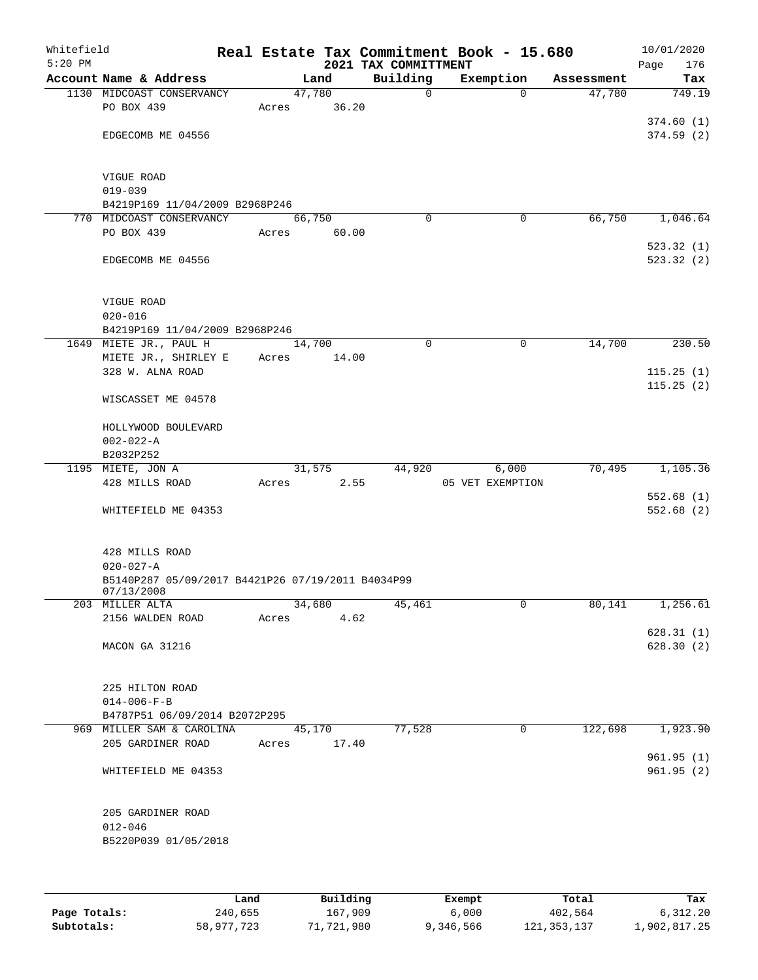| Whitefield<br>$5:20$ PM |                                                                 |  |       |                 | 2021 TAX COMMITTMENT |             | Real Estate Tax Commitment Book - 15.680 |            | 10/01/2020<br>176<br>Page |  |
|-------------------------|-----------------------------------------------------------------|--|-------|-----------------|----------------------|-------------|------------------------------------------|------------|---------------------------|--|
|                         | Account Name & Address                                          |  |       | Land            | Building             |             | Exemption                                | Assessment | Tax                       |  |
|                         | 1130 MIDCOAST CONSERVANCY<br>PO BOX 439                         |  | Acres | 47,780<br>36.20 |                      | 0           | $\Omega$                                 | 47,780     | 749.19                    |  |
|                         | EDGECOMB ME 04556                                               |  |       |                 |                      |             |                                          |            | 374.60(1)<br>374.59(2)    |  |
|                         | <b>VIGUE ROAD</b><br>$019 - 039$                                |  |       |                 |                      |             |                                          |            |                           |  |
|                         | B4219P169 11/04/2009 B2968P246                                  |  |       |                 |                      | $\Omega$    | $\mathbf 0$                              | 66,750     |                           |  |
|                         | 770 MIDCOAST CONSERVANCY<br>PO BOX 439                          |  | Acres | 66,750<br>60.00 |                      |             |                                          |            | 1,046.64                  |  |
|                         | EDGECOMB ME 04556                                               |  |       |                 |                      |             |                                          |            | 523.32(1)<br>523.32(2)    |  |
|                         | VIGUE ROAD<br>$020 - 016$<br>B4219P169 11/04/2009 B2968P246     |  |       |                 |                      |             |                                          |            |                           |  |
|                         | 1649 MIETE JR., PAUL H                                          |  |       | 14,700          |                      | $\mathbf 0$ | 0                                        | 14,700     | 230.50                    |  |
|                         | MIETE JR., SHIRLEY E                                            |  | Acres | 14.00           |                      |             |                                          |            |                           |  |
|                         | 328 W. ALNA ROAD                                                |  |       |                 |                      |             |                                          |            | 115.25(1)<br>115.25(2)    |  |
|                         | WISCASSET ME 04578                                              |  |       |                 |                      |             |                                          |            |                           |  |
|                         | HOLLYWOOD BOULEVARD                                             |  |       |                 |                      |             |                                          |            |                           |  |
|                         | $002 - 022 - A$                                                 |  |       |                 |                      |             |                                          |            |                           |  |
|                         | B2032P252                                                       |  |       |                 |                      |             |                                          |            |                           |  |
|                         | 1195 MIETE, JON A                                               |  |       | 31,575          | 44,920               |             | 6,000                                    | 70,495     | 1,105.36                  |  |
|                         | 428 MILLS ROAD                                                  |  | Acres | 2.55            |                      |             | 05 VET EXEMPTION                         |            | 552.68(1)                 |  |
|                         | WHITEFIELD ME 04353                                             |  |       |                 |                      |             |                                          |            | 552.68(2)                 |  |
|                         | 428 MILLS ROAD<br>$020 - 027 - A$                               |  |       |                 |                      |             |                                          |            |                           |  |
|                         | B5140P287 05/09/2017 B4421P26 07/19/2011 B4034P99<br>07/13/2008 |  |       |                 |                      |             |                                          |            |                           |  |
|                         | 203 MILLER ALTA                                                 |  |       | 34,680          | 45,461               |             | 0                                        | 80,141     | 1,256.61                  |  |
|                         | 2156 WALDEN ROAD                                                |  | Acres | 4.62            |                      |             |                                          |            |                           |  |
|                         | MACON GA 31216                                                  |  |       |                 |                      |             |                                          |            | 628.31(1)<br>628.30(2)    |  |
|                         | 225 HILTON ROAD                                                 |  |       |                 |                      |             |                                          |            |                           |  |
|                         | $014 - 006 - F - B$<br>B4787P51 06/09/2014 B2072P295            |  |       |                 |                      |             |                                          |            |                           |  |
|                         | 969 MILLER SAM & CAROLINA                                       |  |       | 45,170          | 77,528               |             | 0                                        | 122,698    | 1,923.90                  |  |
|                         | 205 GARDINER ROAD                                               |  | Acres | 17.40           |                      |             |                                          |            | 961.95(1)                 |  |
|                         | WHITEFIELD ME 04353                                             |  |       |                 |                      |             |                                          |            | 961.95(2)                 |  |
|                         | 205 GARDINER ROAD                                               |  |       |                 |                      |             |                                          |            |                           |  |
|                         | $012 - 046$<br>B5220P039 01/05/2018                             |  |       |                 |                      |             |                                          |            |                           |  |
|                         |                                                                 |  |       |                 |                      |             |                                          |            |                           |  |

|              | Land       | Building   | Exempt    | Total       | Tax          |
|--------------|------------|------------|-----------|-------------|--------------|
| Page Totals: | 240,655    | 167,909    | 6,000     | 402,564     | 6.312.20     |
| Subtotals:   | 58,977,723 | 71,721,980 | 9,346,566 | 121,353,137 | 1,902,817.25 |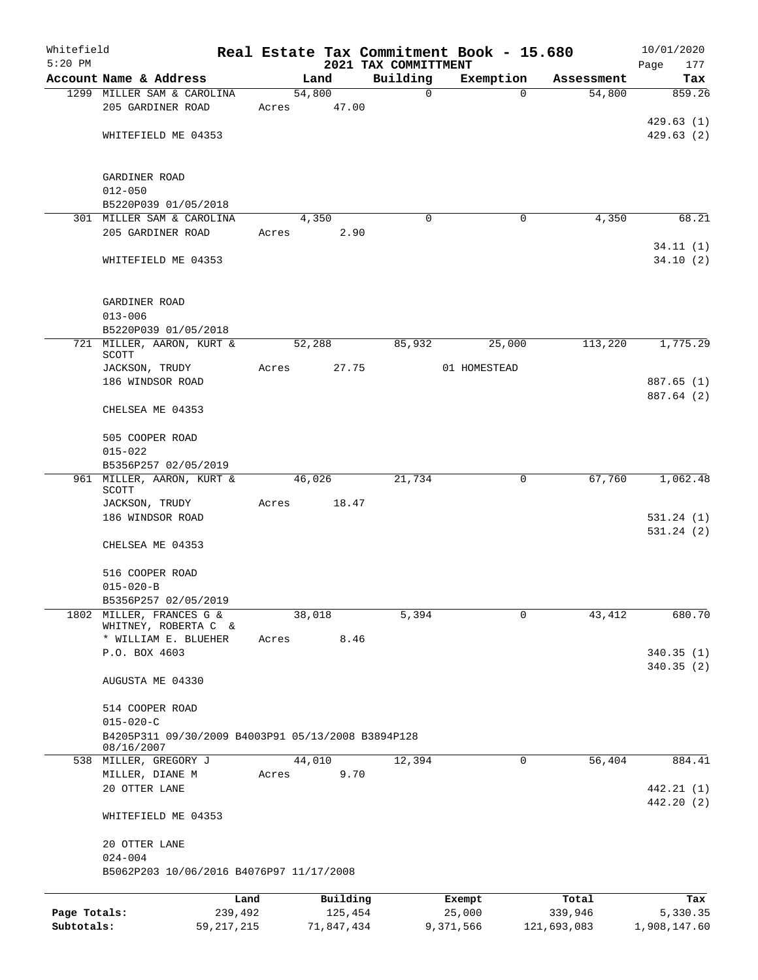| Whitefield   |                                                                                     |              |       |        |            |                                  | Real Estate Tax Commitment Book - 15.680 |             |             | 10/01/2020               |
|--------------|-------------------------------------------------------------------------------------|--------------|-------|--------|------------|----------------------------------|------------------------------------------|-------------|-------------|--------------------------|
| $5:20$ PM    | Account Name & Address                                                              |              |       | Land   |            | 2021 TAX COMMITTMENT<br>Building | Exemption                                |             | Assessment  | Page<br>177<br>Tax       |
|              | 1299 MILLER SAM & CAROLINA                                                          |              |       | 54,800 |            | $\mathbf 0$                      |                                          | $\mathbf 0$ | 54,800      | 859.26                   |
|              | 205 GARDINER ROAD                                                                   |              | Acres |        | 47.00      |                                  |                                          |             |             |                          |
|              | WHITEFIELD ME 04353                                                                 |              |       |        |            |                                  |                                          |             |             | 429.63(1)<br>429.63(2)   |
|              | GARDINER ROAD                                                                       |              |       |        |            |                                  |                                          |             |             |                          |
|              | $012 - 050$                                                                         |              |       |        |            |                                  |                                          |             |             |                          |
|              | B5220P039 01/05/2018<br>301 MILLER SAM & CAROLINA                                   |              |       | 4,350  |            | $\Omega$                         |                                          | 0           | 4,350       | 68.21                    |
|              | 205 GARDINER ROAD                                                                   |              | Acres |        | 2.90       |                                  |                                          |             |             |                          |
|              | WHITEFIELD ME 04353                                                                 |              |       |        |            |                                  |                                          |             |             | 34.11(1)<br>34.10(2)     |
|              | GARDINER ROAD<br>$013 - 006$                                                        |              |       |        |            |                                  |                                          |             |             |                          |
|              | B5220P039 01/05/2018                                                                |              |       |        |            |                                  |                                          |             |             |                          |
|              | 721 MILLER, AARON, KURT &<br>SCOTT                                                  |              |       | 52,288 |            | 85,932                           | 25,000                                   |             | 113,220     | 1,775.29                 |
|              | JACKSON, TRUDY                                                                      |              | Acres |        | 27.75      |                                  | 01 HOMESTEAD                             |             |             |                          |
|              | 186 WINDSOR ROAD                                                                    |              |       |        |            |                                  |                                          |             |             | 887.65 (1)               |
|              | CHELSEA ME 04353                                                                    |              |       |        |            |                                  |                                          |             |             | 887.64 (2)               |
|              | 505 COOPER ROAD<br>$015 - 022$                                                      |              |       |        |            |                                  |                                          |             |             |                          |
|              | B5356P257 02/05/2019                                                                |              |       |        |            |                                  |                                          |             |             |                          |
|              | 961 MILLER, AARON, KURT &<br>SCOTT                                                  |              |       | 46,026 |            | 21,734                           |                                          | 0           | 67,760      | 1,062.48                 |
|              | JACKSON, TRUDY                                                                      |              | Acres |        | 18.47      |                                  |                                          |             |             |                          |
|              | 186 WINDSOR ROAD                                                                    |              |       |        |            |                                  |                                          |             |             | 531.24(1)<br>531.24(2)   |
|              | CHELSEA ME 04353                                                                    |              |       |        |            |                                  |                                          |             |             |                          |
|              | 516 COOPER ROAD                                                                     |              |       |        |            |                                  |                                          |             |             |                          |
|              | $015 - 020 - B$                                                                     |              |       |        |            |                                  |                                          |             |             |                          |
| 1802         | B5356P257 02/05/2019<br>MILLER, FRANCES G &                                         |              |       | 38,018 |            | 5,394                            |                                          | 0           | 43, 412     | 680.70                   |
|              | WHITNEY, ROBERTA C &<br>* WILLIAM E. BLUEHER                                        |              | Acres |        | 8.46       |                                  |                                          |             |             |                          |
|              | P.O. BOX 4603                                                                       |              |       |        |            |                                  |                                          |             |             | 340.35(1)                |
|              | AUGUSTA ME 04330                                                                    |              |       |        |            |                                  |                                          |             |             | 340.35(2)                |
|              | 514 COOPER ROAD                                                                     |              |       |        |            |                                  |                                          |             |             |                          |
|              | $015 - 020 - C$<br>B4205P311 09/30/2009 B4003P91 05/13/2008 B3894P128<br>08/16/2007 |              |       |        |            |                                  |                                          |             |             |                          |
|              | 538 MILLER, GREGORY J                                                               |              |       | 44,010 |            | 12,394                           |                                          | 0           | 56,404      | 884.41                   |
|              | MILLER, DIANE M                                                                     |              | Acres |        | 9.70       |                                  |                                          |             |             |                          |
|              | 20 OTTER LANE                                                                       |              |       |        |            |                                  |                                          |             |             | 442.21 (1)<br>442.20 (2) |
|              | WHITEFIELD ME 04353                                                                 |              |       |        |            |                                  |                                          |             |             |                          |
|              | 20 OTTER LANE<br>$024 - 004$                                                        |              |       |        |            |                                  |                                          |             |             |                          |
|              | B5062P203 10/06/2016 B4076P97 11/17/2008                                            |              |       |        |            |                                  |                                          |             |             |                          |
|              |                                                                                     | Land         |       |        | Building   |                                  | Exempt                                   |             | Total       | Tax                      |
| Page Totals: |                                                                                     | 239,492      |       |        | 125,454    |                                  | 25,000                                   |             | 339,946     | 5,330.35                 |
| Subtotals:   |                                                                                     | 59, 217, 215 |       |        | 71,847,434 |                                  | 9,371,566                                |             | 121,693,083 | 1,908,147.60             |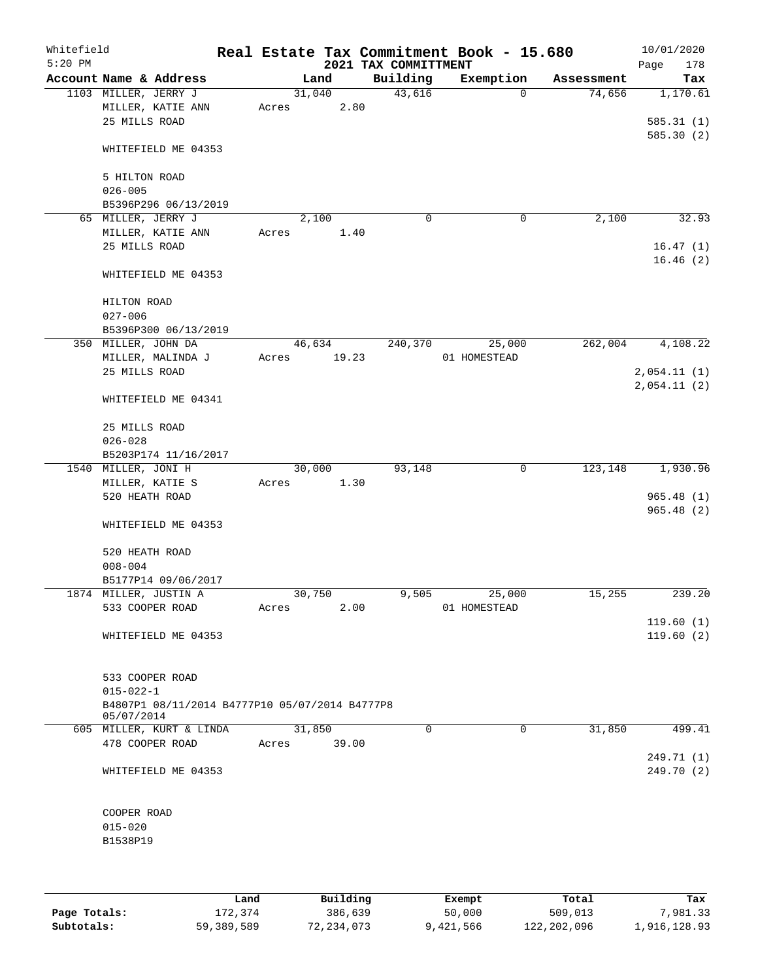| Whitefield<br>$5:20$ PM |                                                |       |        |       | 2021 TAX COMMITTMENT | Real Estate Tax Commitment Book - 15.680 |            | 10/01/2020<br>178<br>Page |
|-------------------------|------------------------------------------------|-------|--------|-------|----------------------|------------------------------------------|------------|---------------------------|
|                         | Account Name & Address                         |       | Land   |       | Building             | Exemption                                | Assessment | Tax                       |
|                         | 1103 MILLER, JERRY J                           |       | 31,040 |       | 43,616               | 0                                        | 74,656     | 1,170.61                  |
|                         | MILLER, KATIE ANN                              | Acres |        | 2.80  |                      |                                          |            |                           |
|                         | 25 MILLS ROAD                                  |       |        |       |                      |                                          |            | 585.31(1)                 |
|                         |                                                |       |        |       |                      |                                          |            | 585.30(2)                 |
|                         | WHITEFIELD ME 04353                            |       |        |       |                      |                                          |            |                           |
|                         |                                                |       |        |       |                      |                                          |            |                           |
|                         | 5 HILTON ROAD                                  |       |        |       |                      |                                          |            |                           |
|                         | $026 - 005$                                    |       |        |       |                      |                                          |            |                           |
|                         | B5396P296 06/13/2019                           |       |        |       |                      |                                          |            |                           |
|                         | 65 MILLER, JERRY J                             |       | 2,100  |       | 0                    | 0                                        | 2,100      | 32.93                     |
|                         | MILLER, KATIE ANN                              | Acres |        | 1.40  |                      |                                          |            |                           |
|                         | 25 MILLS ROAD                                  |       |        |       |                      |                                          |            | 16.47(1)                  |
|                         |                                                |       |        |       |                      |                                          |            | 16.46(2)                  |
|                         | WHITEFIELD ME 04353                            |       |        |       |                      |                                          |            |                           |
|                         |                                                |       |        |       |                      |                                          |            |                           |
|                         | HILTON ROAD                                    |       |        |       |                      |                                          |            |                           |
|                         | $027 - 006$                                    |       |        |       |                      |                                          |            |                           |
|                         | B5396P300 06/13/2019                           |       |        |       |                      |                                          |            |                           |
|                         | 350 MILLER, JOHN DA                            |       | 46,634 |       | 240,370              | 25,000                                   | 262,004    | 4,108.22                  |
|                         | MILLER, MALINDA J                              | Acres | 19.23  |       |                      | 01 HOMESTEAD                             |            |                           |
|                         | 25 MILLS ROAD                                  |       |        |       |                      |                                          |            | 2,054.11(1)               |
|                         |                                                |       |        |       |                      |                                          |            | 2,054.11(2)               |
|                         | WHITEFIELD ME 04341                            |       |        |       |                      |                                          |            |                           |
|                         |                                                |       |        |       |                      |                                          |            |                           |
|                         | 25 MILLS ROAD                                  |       |        |       |                      |                                          |            |                           |
|                         | $026 - 028$                                    |       |        |       |                      |                                          |            |                           |
|                         | B5203P174 11/16/2017                           |       |        |       |                      |                                          |            |                           |
|                         | 1540 MILLER, JONI H                            |       | 30,000 |       | 93,148               | $\mathbf 0$                              | 123,148    | 1,930.96                  |
|                         | MILLER, KATIE S                                | Acres |        | 1.30  |                      |                                          |            |                           |
|                         | 520 HEATH ROAD                                 |       |        |       |                      |                                          |            | 965.48(1)                 |
|                         |                                                |       |        |       |                      |                                          |            | 965.48(2)                 |
|                         | WHITEFIELD ME 04353                            |       |        |       |                      |                                          |            |                           |
|                         |                                                |       |        |       |                      |                                          |            |                           |
|                         | 520 HEATH ROAD                                 |       |        |       |                      |                                          |            |                           |
|                         | $008 - 004$                                    |       |        |       |                      |                                          |            |                           |
|                         | B5177P14 09/06/2017                            |       |        |       |                      |                                          |            |                           |
|                         | 1874 MILLER, JUSTIN A                          |       | 30,750 |       | 9,505                | 25,000                                   | 15,255     | 239.20                    |
|                         | 533 COOPER ROAD                                | Acres |        | 2.00  |                      | 01 HOMESTEAD                             |            |                           |
|                         |                                                |       |        |       |                      |                                          |            | 119.60(1)                 |
|                         | WHITEFIELD ME 04353                            |       |        |       |                      |                                          |            | 119.60(2)                 |
|                         |                                                |       |        |       |                      |                                          |            |                           |
|                         |                                                |       |        |       |                      |                                          |            |                           |
|                         | 533 COOPER ROAD                                |       |        |       |                      |                                          |            |                           |
|                         | $015 - 022 - 1$                                |       |        |       |                      |                                          |            |                           |
|                         | B4807P1 08/11/2014 B4777P10 05/07/2014 B4777P8 |       |        |       |                      |                                          |            |                           |
|                         | 05/07/2014                                     |       |        |       |                      |                                          |            |                           |
|                         | 605 MILLER, KURT & LINDA                       |       | 31,850 |       | $\Omega$             | 0                                        | 31,850     | 499.41                    |
|                         | 478 COOPER ROAD                                | Acres |        | 39.00 |                      |                                          |            |                           |
|                         |                                                |       |        |       |                      |                                          |            | 249.71 (1)                |
|                         | WHITEFIELD ME 04353                            |       |        |       |                      |                                          |            | 249.70 (2)                |
|                         |                                                |       |        |       |                      |                                          |            |                           |
|                         |                                                |       |        |       |                      |                                          |            |                           |
|                         | COOPER ROAD                                    |       |        |       |                      |                                          |            |                           |
|                         | $015 - 020$                                    |       |        |       |                      |                                          |            |                           |
|                         | B1538P19                                       |       |        |       |                      |                                          |            |                           |
|                         |                                                |       |        |       |                      |                                          |            |                           |
|                         |                                                |       |        |       |                      |                                          |            |                           |
|                         |                                                |       |        |       |                      |                                          |            |                           |
|                         |                                                |       |        |       |                      |                                          |            |                           |

|              | Land       | Building   | Exempt    | Total       | Tax          |
|--------------|------------|------------|-----------|-------------|--------------|
| Page Totals: | 172,374    | 386,639    | 50,000    | 509,013     | 7,981.33     |
| Subtotals:   | 59,389,589 | 72,234,073 | 9,421,566 | 122,202,096 | 1,916,128.93 |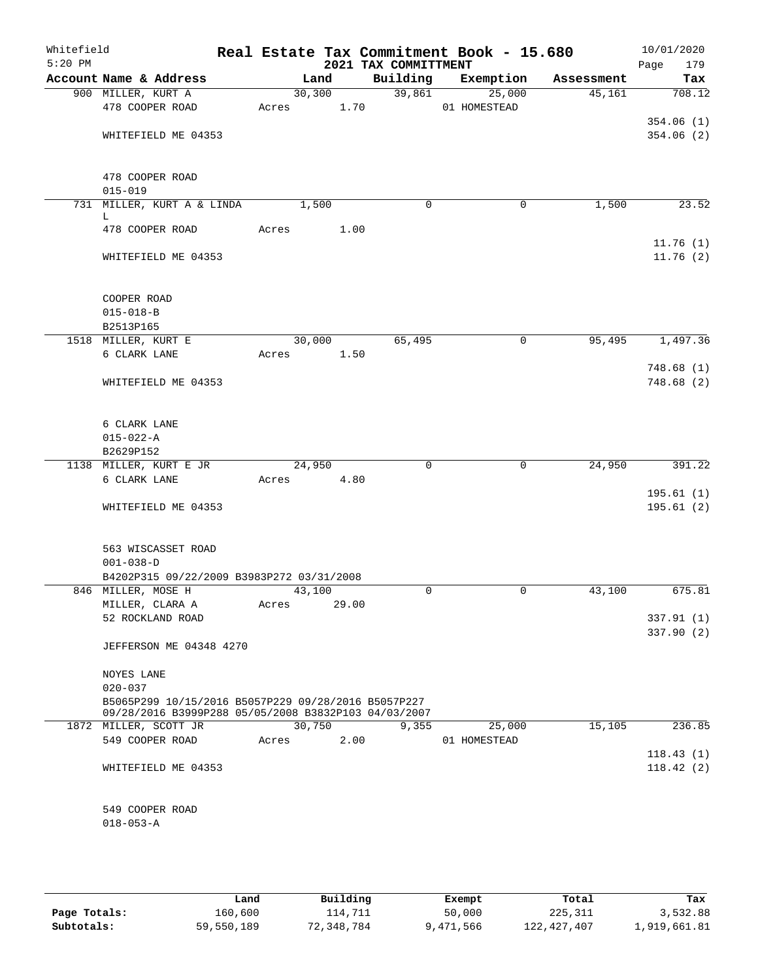| Whitefield<br>$5:20$ PM |                                                                                                             |       |         |       | 2021 TAX COMMITTMENT | Real Estate Tax Commitment Book - 15.680 |            | 10/01/2020<br>Page<br>179 |
|-------------------------|-------------------------------------------------------------------------------------------------------------|-------|---------|-------|----------------------|------------------------------------------|------------|---------------------------|
|                         | Account Name & Address                                                                                      |       | Land    |       | Building             | Exemption                                | Assessment | Tax                       |
|                         | 900 MILLER, KURT A                                                                                          |       | 30, 300 |       |                      | 39,861<br>25,000                         | 45,161     | 708.12                    |
|                         | 478 COOPER ROAD                                                                                             |       | Acres   | 1.70  |                      | 01 HOMESTEAD                             |            |                           |
|                         |                                                                                                             |       |         |       |                      |                                          |            | 354.06(1)                 |
|                         | WHITEFIELD ME 04353                                                                                         |       |         |       |                      |                                          |            | 354.06(2)                 |
|                         |                                                                                                             |       |         |       |                      |                                          |            |                           |
|                         | 478 COOPER ROAD                                                                                             |       |         |       |                      |                                          |            |                           |
|                         | $015 - 019$                                                                                                 |       |         |       |                      |                                          |            |                           |
|                         | 731 MILLER, KURT A & LINDA<br>L                                                                             |       | 1,500   |       | $\mathbf 0$          | 0                                        | 1,500      | 23.52                     |
|                         | 478 COOPER ROAD                                                                                             | Acres |         | 1.00  |                      |                                          |            |                           |
|                         |                                                                                                             |       |         |       |                      |                                          |            | 11.76(1)                  |
|                         | WHITEFIELD ME 04353                                                                                         |       |         |       |                      |                                          |            | 11.76(2)                  |
|                         |                                                                                                             |       |         |       |                      |                                          |            |                           |
|                         | COOPER ROAD                                                                                                 |       |         |       |                      |                                          |            |                           |
|                         | $015 - 018 - B$                                                                                             |       |         |       |                      |                                          |            |                           |
|                         | B2513P165                                                                                                   |       |         |       |                      |                                          |            |                           |
|                         | 1518 MILLER, KURT E                                                                                         |       | 30,000  |       | 65,495               | 0                                        | 95,495     | 1,497.36                  |
|                         | 6 CLARK LANE                                                                                                | Acres |         | 1.50  |                      |                                          |            |                           |
|                         |                                                                                                             |       |         |       |                      |                                          |            | 748.68(1)                 |
|                         | WHITEFIELD ME 04353                                                                                         |       |         |       |                      |                                          |            | 748.68(2)                 |
|                         | 6 CLARK LANE                                                                                                |       |         |       |                      |                                          |            |                           |
|                         | $015 - 022 - A$                                                                                             |       |         |       |                      |                                          |            |                           |
|                         | B2629P152                                                                                                   |       |         |       |                      |                                          |            |                           |
|                         | 1138 MILLER, KURT E JR                                                                                      |       | 24,950  |       | $\mathbf 0$          | $\mathbf 0$                              | 24,950     | 391.22                    |
|                         | 6 CLARK LANE                                                                                                | Acres |         | 4.80  |                      |                                          |            |                           |
|                         | WHITEFIELD ME 04353                                                                                         |       |         |       |                      |                                          |            | 195.61(1)<br>195.61(2)    |
|                         |                                                                                                             |       |         |       |                      |                                          |            |                           |
|                         | 563 WISCASSET ROAD                                                                                          |       |         |       |                      |                                          |            |                           |
|                         | $001 - 038 - D$                                                                                             |       |         |       |                      |                                          |            |                           |
|                         | B4202P315 09/22/2009 B3983P272 03/31/2008                                                                   |       |         |       |                      |                                          |            |                           |
|                         | 846 MILLER, MOSE H                                                                                          |       | 43,100  |       | $\mathbf 0$          | 0                                        | 43,100     | 675.81                    |
|                         | MILLER, CLARA A                                                                                             | Acres |         | 29.00 |                      |                                          |            |                           |
|                         | 52 ROCKLAND ROAD                                                                                            |       |         |       |                      |                                          |            | 337.91 (1)                |
|                         | JEFFERSON ME 04348 4270                                                                                     |       |         |       |                      |                                          |            | 337.90 (2)                |
|                         | NOYES LANE                                                                                                  |       |         |       |                      |                                          |            |                           |
|                         | $020 - 037$                                                                                                 |       |         |       |                      |                                          |            |                           |
|                         | B5065P299 10/15/2016 B5057P229 09/28/2016 B5057P227<br>09/28/2016 B3999P288 05/05/2008 B3832P103 04/03/2007 |       |         |       |                      |                                          |            |                           |
|                         | 1872 MILLER, SCOTT JR                                                                                       |       | 30,750  |       | 9,355                | 25,000                                   | 15,105     | 236.85                    |
|                         | 549 COOPER ROAD                                                                                             | Acres |         | 2.00  |                      | 01 HOMESTEAD                             |            |                           |
|                         |                                                                                                             |       |         |       |                      |                                          |            | 118.43(1)                 |
|                         | WHITEFIELD ME 04353                                                                                         |       |         |       |                      |                                          |            | 118.42(2)                 |
|                         | 549 COOPER ROAD                                                                                             |       |         |       |                      |                                          |            |                           |
|                         | $018 - 053 - A$                                                                                             |       |         |       |                      |                                          |            |                           |
|                         |                                                                                                             |       |         |       |                      |                                          |            |                           |

|              | Land       | Building   | Exempt    | Total         | Tax          |
|--------------|------------|------------|-----------|---------------|--------------|
| Page Totals: | 160,600    | 114,711    | 50,000    | 225,311       | 3,532.88     |
| Subtotals:   | 59,550,189 | 72,348,784 | 9,471,566 | 122, 427, 407 | 1,919,661.81 |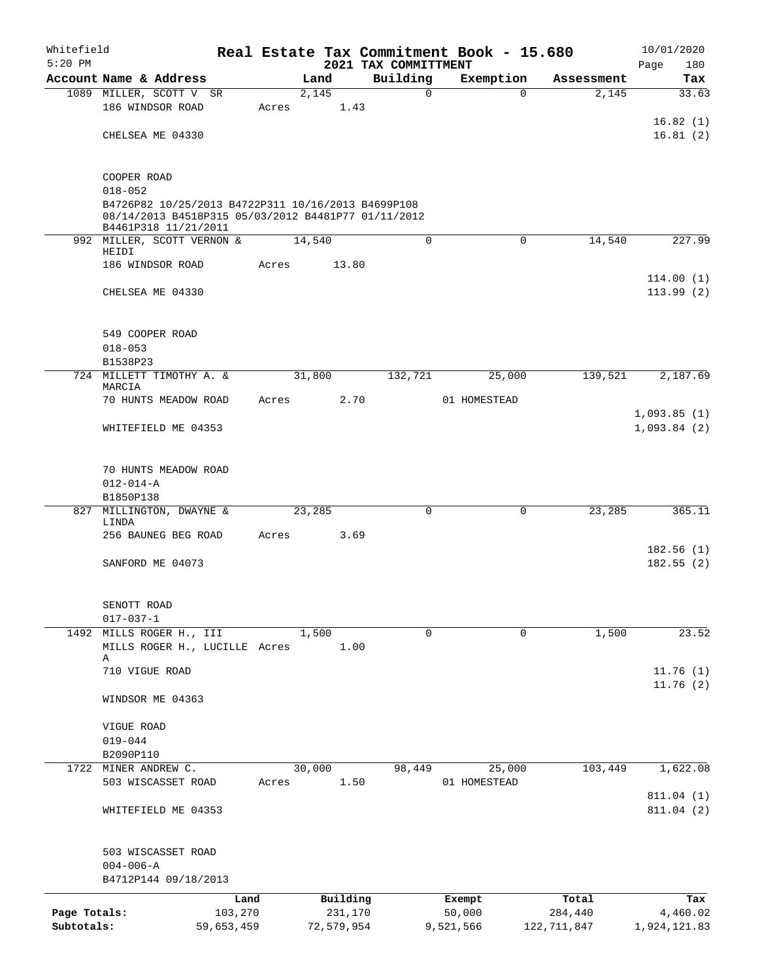| Whitefield<br>$5:20$ PM |                                                                                                                                   |            |       |            |          | 2021 TAX COMMITTMENT | Real Estate Tax Commitment Book - 15.680 |               | 10/01/2020<br>Page<br>180 |
|-------------------------|-----------------------------------------------------------------------------------------------------------------------------------|------------|-------|------------|----------|----------------------|------------------------------------------|---------------|---------------------------|
|                         | Account Name & Address                                                                                                            |            |       | Land       |          | Building             | Exemption                                | Assessment    | Tax                       |
|                         | 1089 MILLER, SCOTT V SR                                                                                                           |            |       | 2,145      |          | $\Omega$             | $\Omega$                                 | 2,145         | 33.63                     |
|                         | 186 WINDSOR ROAD                                                                                                                  |            | Acres |            | 1.43     |                      |                                          |               |                           |
|                         |                                                                                                                                   |            |       |            |          |                      |                                          |               | 16.82(1)                  |
|                         | CHELSEA ME 04330                                                                                                                  |            |       |            |          |                      |                                          |               | 16.81(2)                  |
|                         | COOPER ROAD                                                                                                                       |            |       |            |          |                      |                                          |               |                           |
|                         | $018 - 052$                                                                                                                       |            |       |            |          |                      |                                          |               |                           |
|                         | B4726P82 10/25/2013 B4722P311 10/16/2013 B4699P108<br>08/14/2013 B4518P315 05/03/2012 B4481P77 01/11/2012<br>B4461P318 11/21/2011 |            |       |            |          |                      |                                          |               |                           |
|                         | 992 MILLER, SCOTT VERNON &                                                                                                        |            |       | 14,540     |          | $\mathbf 0$          | $\Omega$                                 | 14,540        | 227.99                    |
|                         | HEIDI                                                                                                                             |            |       |            |          |                      |                                          |               |                           |
|                         | 186 WINDSOR ROAD                                                                                                                  |            | Acres |            | 13.80    |                      |                                          |               |                           |
|                         | CHELSEA ME 04330                                                                                                                  |            |       |            |          |                      |                                          |               | 114.00(1)<br>113.99(2)    |
|                         | 549 COOPER ROAD                                                                                                                   |            |       |            |          |                      |                                          |               |                           |
|                         | $018 - 053$                                                                                                                       |            |       |            |          |                      |                                          |               |                           |
|                         | B1538P23                                                                                                                          |            |       |            |          |                      |                                          |               |                           |
|                         | 724 MILLETT TIMOTHY A. &<br>MARCIA                                                                                                |            |       | 31,800     |          | 132,721              | 25,000                                   | 139,521       | 2,187.69                  |
|                         | 70 HUNTS MEADOW ROAD                                                                                                              |            | Acres |            | 2.70     |                      | 01 HOMESTEAD                             |               | 1,093.85(1)               |
|                         | WHITEFIELD ME 04353                                                                                                               |            |       |            |          |                      |                                          |               | 1,093.84(2)               |
|                         | 70 HUNTS MEADOW ROAD                                                                                                              |            |       |            |          |                      |                                          |               |                           |
|                         | $012 - 014 - A$                                                                                                                   |            |       |            |          |                      |                                          |               |                           |
|                         | B1850P138                                                                                                                         |            |       |            |          |                      |                                          |               |                           |
|                         | 827 MILLINGTON, DWAYNE &<br>LINDA                                                                                                 |            |       | 23,285     |          | $\Omega$             | $\Omega$                                 | 23,285        | 365.11                    |
|                         | 256 BAUNEG BEG ROAD                                                                                                               |            | Acres |            | 3.69     |                      |                                          |               |                           |
|                         | SANFORD ME 04073                                                                                                                  |            |       |            |          |                      |                                          |               | 182.56(1)<br>182.55(2)    |
|                         |                                                                                                                                   |            |       |            |          |                      |                                          |               |                           |
|                         | SENOTT ROAD<br>$017 - 037 - 1$                                                                                                    |            |       |            |          |                      |                                          |               |                           |
|                         | 1492 MILLS ROGER H., III                                                                                                          |            |       | 1,500      |          | 0                    | 0                                        | 1,500         | 23.52                     |
|                         | MILLS ROGER H., LUCILLE Acres                                                                                                     |            |       |            | 1.00     |                      |                                          |               |                           |
|                         | Α                                                                                                                                 |            |       |            |          |                      |                                          |               |                           |
|                         | 710 VIGUE ROAD                                                                                                                    |            |       |            |          |                      |                                          |               | 11.76(1)<br>11.76(2)      |
|                         | WINDSOR ME 04363                                                                                                                  |            |       |            |          |                      |                                          |               |                           |
|                         | VIGUE ROAD                                                                                                                        |            |       |            |          |                      |                                          |               |                           |
|                         | $019 - 044$                                                                                                                       |            |       |            |          |                      |                                          |               |                           |
|                         | B2090P110                                                                                                                         |            |       |            |          |                      |                                          |               |                           |
|                         | 1722 MINER ANDREW C.                                                                                                              |            |       | 30,000     |          | 98,449               | 25,000                                   | 103,449       | 1,622.08                  |
|                         | 503 WISCASSET ROAD                                                                                                                |            | Acres |            | 1.50     |                      | 01 HOMESTEAD                             |               |                           |
|                         | WHITEFIELD ME 04353                                                                                                               |            |       |            |          |                      |                                          |               | 811.04 (1)<br>811.04(2)   |
|                         | 503 WISCASSET ROAD                                                                                                                |            |       |            |          |                      |                                          |               |                           |
|                         | $004 - 006 - A$                                                                                                                   |            |       |            |          |                      |                                          |               |                           |
|                         | B4712P144 09/18/2013                                                                                                              |            |       |            |          |                      |                                          |               |                           |
|                         |                                                                                                                                   | Land       |       |            | Building |                      | Exempt                                   | Total         | Tax                       |
| Page Totals:            |                                                                                                                                   | 103,270    |       |            | 231,170  |                      | 50,000                                   | 284,440       | 4,460.02                  |
| Subtotals:              |                                                                                                                                   | 59,653,459 |       | 72,579,954 |          |                      | 9,521,566                                | 122, 711, 847 | 1,924,121.83              |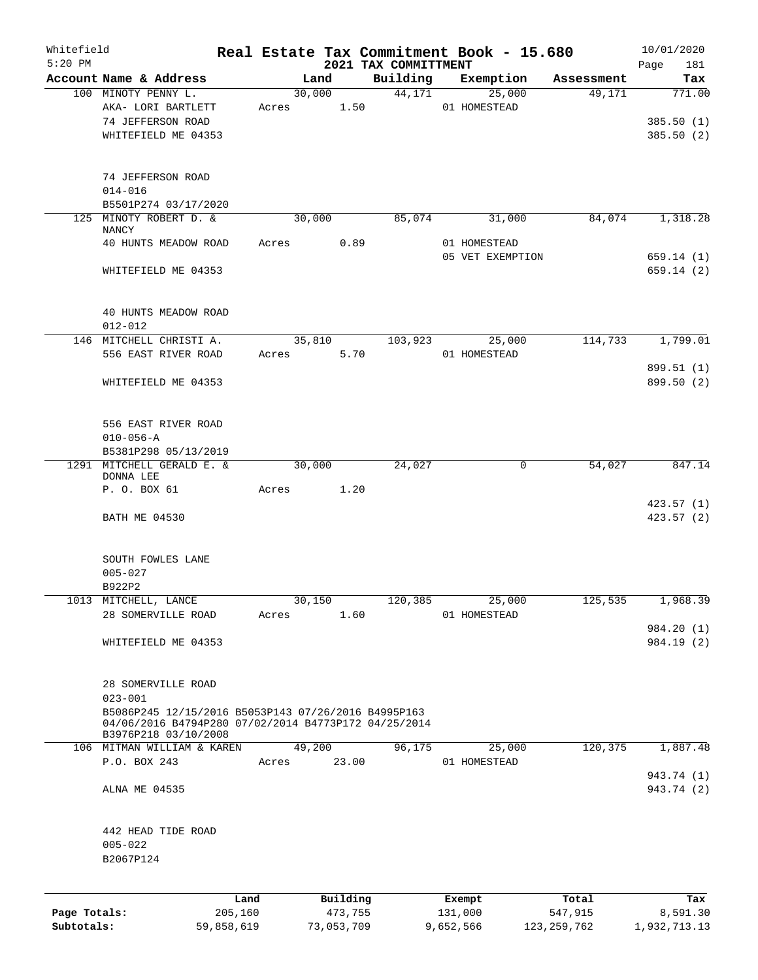| Whitefield<br>$5:20$ PM |                                                                                                                                     |         |       |        |          | 2021 TAX COMMITTMENT | Real Estate Tax Commitment Book - 15.680 |            | 10/01/2020               |
|-------------------------|-------------------------------------------------------------------------------------------------------------------------------------|---------|-------|--------|----------|----------------------|------------------------------------------|------------|--------------------------|
|                         | Account Name & Address                                                                                                              |         |       | Land   |          | Building             | Exemption                                | Assessment | Page<br>181<br>Tax       |
|                         | 100 MINOTY PENNY L.                                                                                                                 |         |       | 30,000 |          | 44,171               | 25,000                                   | 49,171     | 771.00                   |
|                         | AKA- LORI BARTLETT                                                                                                                  |         | Acres |        | 1.50     |                      | 01 HOMESTEAD                             |            |                          |
|                         | 74 JEFFERSON ROAD                                                                                                                   |         |       |        |          |                      |                                          |            | 385.50(1)                |
|                         | WHITEFIELD ME 04353                                                                                                                 |         |       |        |          |                      |                                          |            | 385.50(2)                |
|                         | 74 JEFFERSON ROAD                                                                                                                   |         |       |        |          |                      |                                          |            |                          |
|                         | $014 - 016$                                                                                                                         |         |       |        |          |                      |                                          |            |                          |
|                         | B5501P274 03/17/2020                                                                                                                |         |       |        |          |                      |                                          |            |                          |
|                         | 125 MINOTY ROBERT D. &<br><b>NANCY</b>                                                                                              |         |       | 30,000 |          | 85,074               | 31,000                                   | 84,074     | 1,318.28                 |
|                         | 40 HUNTS MEADOW ROAD                                                                                                                |         | Acres |        | 0.89     |                      | 01 HOMESTEAD<br>05 VET EXEMPTION         |            | 659.14(1)                |
|                         | WHITEFIELD ME 04353                                                                                                                 |         |       |        |          |                      |                                          |            | 659.14(2)                |
|                         | 40 HUNTS MEADOW ROAD<br>$012 - 012$                                                                                                 |         |       |        |          |                      |                                          |            |                          |
|                         | 146 MITCHELL CHRISTI A.                                                                                                             |         |       | 35,810 |          | 103,923              | 25,000                                   | 114,733    | 1,799.01                 |
|                         | 556 EAST RIVER ROAD                                                                                                                 |         | Acres |        | 5.70     |                      | 01 HOMESTEAD                             |            |                          |
|                         | WHITEFIELD ME 04353                                                                                                                 |         |       |        |          |                      |                                          |            | 899.51 (1)<br>899.50 (2) |
|                         | 556 EAST RIVER ROAD                                                                                                                 |         |       |        |          |                      |                                          |            |                          |
|                         | $010 - 056 - A$                                                                                                                     |         |       |        |          |                      |                                          |            |                          |
|                         | B5381P298 05/13/2019                                                                                                                |         |       |        |          |                      |                                          |            |                          |
| 1291                    | MITCHELL GERALD E. &<br>DONNA LEE                                                                                                   |         |       | 30,000 | 1.20     | 24,027               | $\mathbf 0$                              | 54,027     | 847.14                   |
|                         | P. O. BOX 61                                                                                                                        |         | Acres |        |          |                      |                                          |            | 423.57(1)                |
|                         | <b>BATH ME 04530</b>                                                                                                                |         |       |        |          |                      |                                          |            | 423.57(2)                |
|                         | SOUTH FOWLES LANE                                                                                                                   |         |       |        |          |                      |                                          |            |                          |
|                         | $005 - 027$                                                                                                                         |         |       |        |          |                      |                                          |            |                          |
|                         | B922P2                                                                                                                              |         |       |        |          |                      |                                          |            |                          |
|                         | 1013 MITCHELL, LANCE                                                                                                                |         |       | 30,150 |          | 120,385              | 25,000                                   | 125,535    | 1,968.39                 |
|                         | 28 SOMERVILLE ROAD                                                                                                                  |         | Acres |        | 1.60     |                      | 01 HOMESTEAD                             |            |                          |
|                         |                                                                                                                                     |         |       |        |          |                      |                                          |            | 984.20(1)                |
|                         | WHITEFIELD ME 04353                                                                                                                 |         |       |        |          |                      |                                          |            | 984.19 (2)               |
|                         | 28 SOMERVILLE ROAD<br>$023 - 001$                                                                                                   |         |       |        |          |                      |                                          |            |                          |
|                         | B5086P245 12/15/2016 B5053P143 07/26/2016 B4995P163<br>04/06/2016 B4794P280 07/02/2014 B4773P172 04/25/2014<br>B3976P218 03/10/2008 |         |       |        |          |                      |                                          |            |                          |
|                         | 106 MITMAN WILLIAM & KAREN                                                                                                          |         |       | 49,200 |          | 96,175               | 25,000                                   | 120,375    | 1,887.48                 |
|                         | P.O. BOX 243                                                                                                                        |         | Acres |        | 23.00    |                      | 01 HOMESTEAD                             |            | 943.74 (1)               |
|                         | ALNA ME 04535                                                                                                                       |         |       |        |          |                      |                                          |            | 943.74 (2)               |
|                         | 442 HEAD TIDE ROAD<br>$005 - 022$                                                                                                   |         |       |        |          |                      |                                          |            |                          |
|                         | B2067P124                                                                                                                           |         |       |        |          |                      |                                          |            |                          |
|                         |                                                                                                                                     | Land    |       |        | Building |                      | Exempt                                   | Total      | Tax                      |
| Page Totals:            |                                                                                                                                     | 205,160 |       |        | 473,755  |                      | 131,000                                  | 547,915    | 8,591.30                 |

**Subtotals:** 59,858,619 73,053,709 9,652,566 123,259,762 1,932,713.13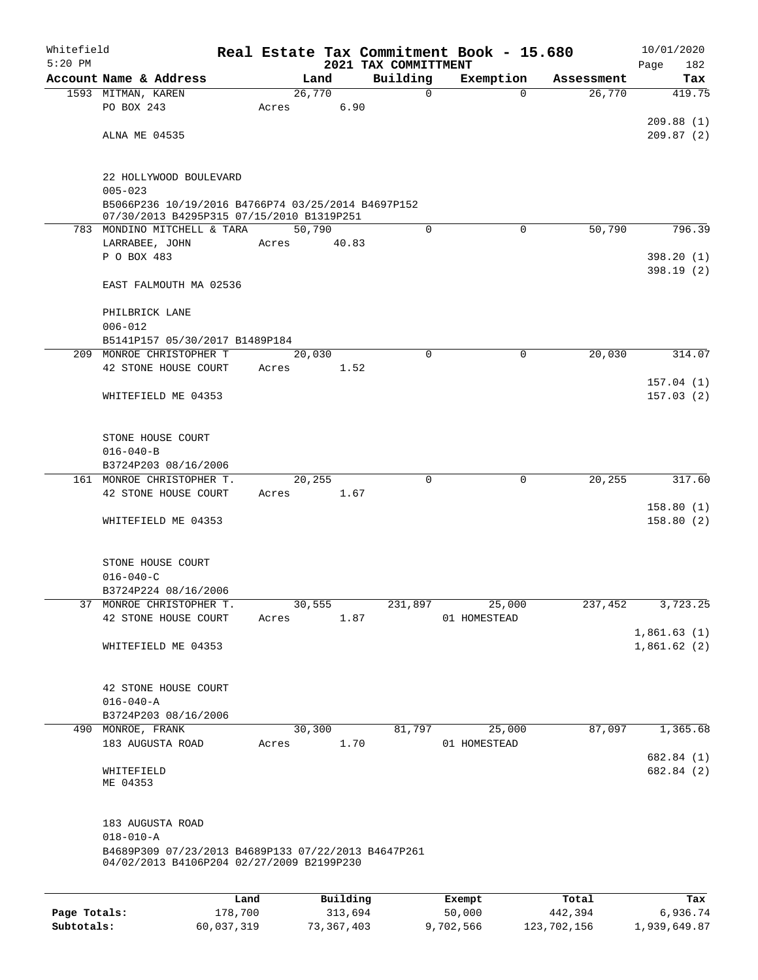| Whitefield<br>$5:20$ PM |                                                                                                  |      |       |        |          | 2021 TAX COMMITTMENT | Real Estate Tax Commitment Book - 15.680 |          |            | 10/01/2020<br>Page<br>182  |
|-------------------------|--------------------------------------------------------------------------------------------------|------|-------|--------|----------|----------------------|------------------------------------------|----------|------------|----------------------------|
|                         | Account Name & Address                                                                           |      |       | Land   |          | Building             | Exemption                                |          | Assessment | Tax                        |
|                         | 1593 MITMAN, KAREN                                                                               |      |       | 26,770 |          | 0                    |                                          | $\Omega$ | 26,770     | 419.75                     |
|                         | PO BOX 243                                                                                       |      | Acres |        | 6.90     |                      |                                          |          |            |                            |
|                         |                                                                                                  |      |       |        |          |                      |                                          |          |            | 209.88(1)                  |
|                         | ALNA ME 04535                                                                                    |      |       |        |          |                      |                                          |          |            | 209.87(2)                  |
|                         | 22 HOLLYWOOD BOULEVARD                                                                           |      |       |        |          |                      |                                          |          |            |                            |
|                         | $005 - 023$                                                                                      |      |       |        |          |                      |                                          |          |            |                            |
|                         | B5066P236 10/19/2016 B4766P74 03/25/2014 B4697P152<br>07/30/2013 B4295P315 07/15/2010 B1319P251  |      |       |        |          |                      |                                          |          |            |                            |
|                         | 783 MONDINO MITCHELL & TARA                                                                      |      |       | 50,790 |          | 0                    |                                          | $\Omega$ | 50,790     | 796.39                     |
|                         | LARRABEE, JOHN                                                                                   |      | Acres |        | 40.83    |                      |                                          |          |            |                            |
|                         | P O BOX 483                                                                                      |      |       |        |          |                      |                                          |          |            | 398.20(1)                  |
|                         | EAST FALMOUTH MA 02536                                                                           |      |       |        |          |                      |                                          |          |            | 398.19 (2)                 |
|                         | PHILBRICK LANE                                                                                   |      |       |        |          |                      |                                          |          |            |                            |
|                         | $006 - 012$                                                                                      |      |       |        |          |                      |                                          |          |            |                            |
|                         | B5141P157 05/30/2017 B1489P184                                                                   |      |       |        |          |                      |                                          |          |            |                            |
|                         | 209 MONROE CHRISTOPHER T                                                                         |      |       | 20,030 |          | $\mathbf 0$          |                                          | 0        | 20,030     | 314.07                     |
|                         | 42 STONE HOUSE COURT                                                                             |      | Acres |        | 1.52     |                      |                                          |          |            |                            |
|                         | WHITEFIELD ME 04353                                                                              |      |       |        |          |                      |                                          |          |            | 157.04(1)<br>157.03(2)     |
|                         | STONE HOUSE COURT                                                                                |      |       |        |          |                      |                                          |          |            |                            |
|                         | $016 - 040 - B$                                                                                  |      |       |        |          |                      |                                          |          |            |                            |
|                         | B3724P203 08/16/2006                                                                             |      |       |        |          |                      |                                          |          |            |                            |
|                         | 161 MONROE CHRISTOPHER T.                                                                        |      |       | 20,255 |          | 0                    |                                          | 0        | 20,255     | 317.60                     |
|                         | 42 STONE HOUSE COURT                                                                             |      | Acres |        | 1.67     |                      |                                          |          |            |                            |
|                         | WHITEFIELD ME 04353                                                                              |      |       |        |          |                      |                                          |          |            | 158.80(1)<br>158.80(2)     |
|                         | STONE HOUSE COURT                                                                                |      |       |        |          |                      |                                          |          |            |                            |
|                         | $016 - 040 - C$                                                                                  |      |       |        |          |                      |                                          |          |            |                            |
|                         | B3724P224 08/16/2006                                                                             |      |       |        |          |                      |                                          |          |            |                            |
|                         | 37 MONROE CHRISTOPHER T.                                                                         |      |       | 30,555 |          | 231,897              | 25,000                                   |          | 237,452    | 3,723.25                   |
|                         | 42 STONE HOUSE COURT                                                                             |      | Acres |        | 1.87     |                      | 01 HOMESTEAD                             |          |            |                            |
|                         | WHITEFIELD ME 04353                                                                              |      |       |        |          |                      |                                          |          |            | 1,861.63(1)<br>1,861.62(2) |
|                         |                                                                                                  |      |       |        |          |                      |                                          |          |            |                            |
|                         | 42 STONE HOUSE COURT                                                                             |      |       |        |          |                      |                                          |          |            |                            |
|                         | $016 - 040 - A$                                                                                  |      |       |        |          |                      |                                          |          |            |                            |
|                         | B3724P203 08/16/2006<br>490 MONROE, FRANK                                                        |      |       |        |          |                      |                                          |          |            |                            |
|                         | 183 AUGUSTA ROAD                                                                                 |      | Acres | 30,300 | 1.70     | 81,797               | 25,000<br>01 HOMESTEAD                   |          | 87,097     | 1,365.68                   |
|                         |                                                                                                  |      |       |        |          |                      |                                          |          |            | 682.84 (1)                 |
|                         | WHITEFIELD<br>ME 04353                                                                           |      |       |        |          |                      |                                          |          |            | 682.84 (2)                 |
|                         | 183 AUGUSTA ROAD                                                                                 |      |       |        |          |                      |                                          |          |            |                            |
|                         | $018 - 010 - A$                                                                                  |      |       |        |          |                      |                                          |          |            |                            |
|                         | B4689P309 07/23/2013 B4689P133 07/22/2013 B4647P261<br>04/02/2013 B4106P204 02/27/2009 B2199P230 |      |       |        |          |                      |                                          |          |            |                            |
|                         |                                                                                                  | Land |       |        | Building |                      | Exempt                                   |          | Total      | Tax                        |

|              | Land       | Building   | Exempt    | Total       | Tax          |
|--------------|------------|------------|-----------|-------------|--------------|
| Page Totals: | 178,700    | 313,694    | 50,000    | 442,394     | 6,936.74     |
| Subtotals:   | 60,037,319 | 73,367,403 | 9,702,566 | 123,702,156 | 1,939,649.87 |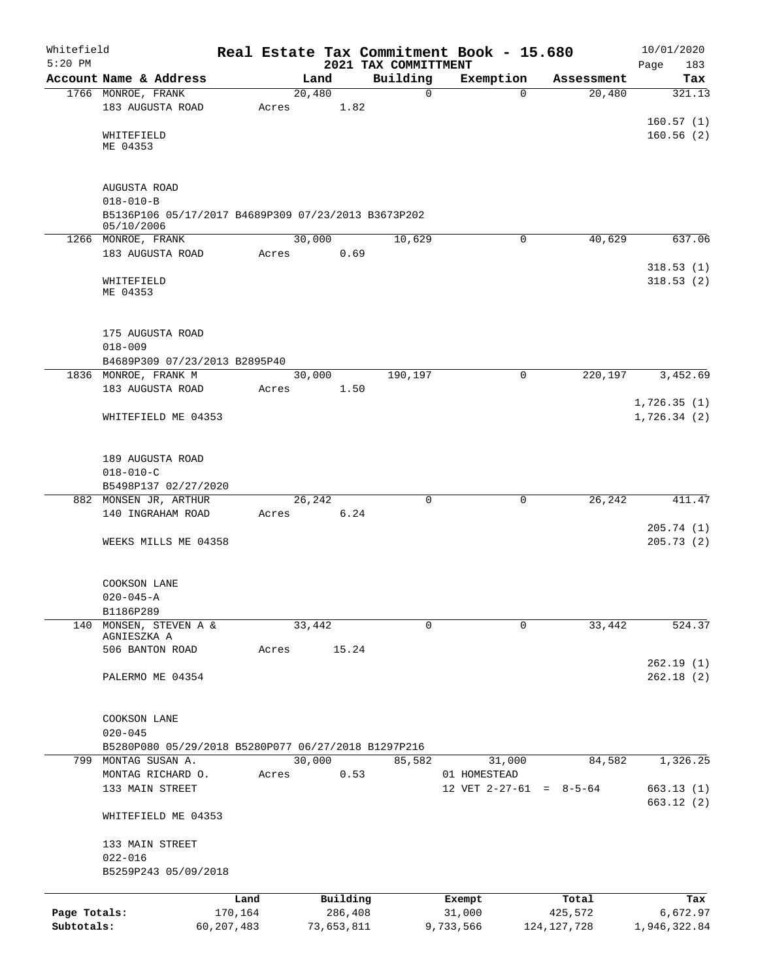| Whitefield<br>$5:20$ PM |                                                                   |              |       |        |            | Real Estate Tax Commitment Book - 15.680<br>2021 TAX COMMITTMENT |              |             |                           | 10/01/2020<br>Page<br>183 |
|-------------------------|-------------------------------------------------------------------|--------------|-------|--------|------------|------------------------------------------------------------------|--------------|-------------|---------------------------|---------------------------|
|                         | Account Name & Address                                            |              |       | Land   |            | Building                                                         |              | Exemption   | Assessment                | Tax                       |
|                         | 1766 MONROE, FRANK                                                |              |       | 20,480 |            | $\mathbf 0$                                                      |              | $\Omega$    | 20,480                    | 321.13                    |
|                         | 183 AUGUSTA ROAD                                                  |              | Acres |        | 1.82       |                                                                  |              |             |                           |                           |
|                         |                                                                   |              |       |        |            |                                                                  |              |             |                           | 160.57(1)                 |
|                         | WHITEFIELD                                                        |              |       |        |            |                                                                  |              |             |                           | 160.56(2)                 |
|                         | ME 04353                                                          |              |       |        |            |                                                                  |              |             |                           |                           |
|                         |                                                                   |              |       |        |            |                                                                  |              |             |                           |                           |
|                         | AUGUSTA ROAD                                                      |              |       |        |            |                                                                  |              |             |                           |                           |
|                         | $018 - 010 - B$                                                   |              |       |        |            |                                                                  |              |             |                           |                           |
|                         | B5136P106 05/17/2017 B4689P309 07/23/2013 B3673P202<br>05/10/2006 |              |       |        |            |                                                                  |              |             |                           |                           |
|                         | 1266 MONROE, FRANK                                                |              |       | 30,000 |            | 10,629                                                           |              | 0           | 40,629                    | 637.06                    |
|                         | 183 AUGUSTA ROAD                                                  |              | Acres |        | 0.69       |                                                                  |              |             |                           |                           |
|                         |                                                                   |              |       |        |            |                                                                  |              |             |                           | 318.53(1)                 |
|                         | WHITEFIELD                                                        |              |       |        |            |                                                                  |              |             |                           | 318.53(2)                 |
|                         | ME 04353                                                          |              |       |        |            |                                                                  |              |             |                           |                           |
|                         |                                                                   |              |       |        |            |                                                                  |              |             |                           |                           |
|                         | 175 AUGUSTA ROAD                                                  |              |       |        |            |                                                                  |              |             |                           |                           |
|                         | $018 - 009$                                                       |              |       |        |            |                                                                  |              |             |                           |                           |
|                         | B4689P309 07/23/2013 B2895P40                                     |              |       |        |            |                                                                  |              |             |                           |                           |
|                         | 1836 MONROE, FRANK M                                              |              |       | 30,000 |            | 190,197                                                          |              | 0           | 220,197                   | 3,452.69                  |
|                         | 183 AUGUSTA ROAD                                                  |              | Acres |        | 1.50       |                                                                  |              |             |                           |                           |
|                         |                                                                   |              |       |        |            |                                                                  |              |             |                           | 1,726.35(1)               |
|                         | WHITEFIELD ME 04353                                               |              |       |        |            |                                                                  |              |             |                           | 1,726.34(2)               |
|                         |                                                                   |              |       |        |            |                                                                  |              |             |                           |                           |
|                         | 189 AUGUSTA ROAD                                                  |              |       |        |            |                                                                  |              |             |                           |                           |
|                         | $018 - 010 - C$                                                   |              |       |        |            |                                                                  |              |             |                           |                           |
|                         | B5498P137 02/27/2020                                              |              |       |        |            |                                                                  |              |             |                           |                           |
|                         | 882 MONSEN JR, ARTHUR                                             |              |       | 26,242 |            | $\Omega$                                                         |              | $\mathbf 0$ | 26, 242                   | 411.47                    |
|                         | 140 INGRAHAM ROAD                                                 |              | Acres |        | 6.24       |                                                                  |              |             |                           |                           |
|                         |                                                                   |              |       |        |            |                                                                  |              |             |                           | 205.74(1)                 |
|                         | WEEKS MILLS ME 04358                                              |              |       |        |            |                                                                  |              |             |                           | 205.73(2)                 |
|                         |                                                                   |              |       |        |            |                                                                  |              |             |                           |                           |
|                         | COOKSON LANE                                                      |              |       |        |            |                                                                  |              |             |                           |                           |
|                         | $020 - 045 - A$                                                   |              |       |        |            |                                                                  |              |             |                           |                           |
|                         | B1186P289                                                         |              |       | 33,442 |            |                                                                  |              |             |                           |                           |
|                         | 140 MONSEN, STEVEN A &<br>AGNIESZKA A                             |              |       |        |            | $\Omega$                                                         |              | 0           | 33,442                    | 524.37                    |
|                         | 506 BANTON ROAD                                                   |              | Acres |        | 15.24      |                                                                  |              |             |                           |                           |
|                         |                                                                   |              |       |        |            |                                                                  |              |             |                           | 262.19(1)                 |
|                         | PALERMO ME 04354                                                  |              |       |        |            |                                                                  |              |             |                           | 262.18(2)                 |
|                         |                                                                   |              |       |        |            |                                                                  |              |             |                           |                           |
|                         |                                                                   |              |       |        |            |                                                                  |              |             |                           |                           |
|                         | COOKSON LANE<br>$020 - 045$                                       |              |       |        |            |                                                                  |              |             |                           |                           |
|                         | B5280P080 05/29/2018 B5280P077 06/27/2018 B1297P216               |              |       |        |            |                                                                  |              |             |                           |                           |
|                         | 799 MONTAG SUSAN A.                                               |              |       | 30,000 |            | 85,582                                                           |              | 31,000      | 84,582                    | 1,326.25                  |
|                         | MONTAG RICHARD O.                                                 |              | Acres |        | 0.53       |                                                                  | 01 HOMESTEAD |             |                           |                           |
|                         | 133 MAIN STREET                                                   |              |       |        |            |                                                                  |              |             | 12 VET $2-27-61 = 8-5-64$ | 663.13(1)                 |
|                         |                                                                   |              |       |        |            |                                                                  |              |             |                           | 663.12(2)                 |
|                         | WHITEFIELD ME 04353                                               |              |       |        |            |                                                                  |              |             |                           |                           |
|                         | 133 MAIN STREET                                                   |              |       |        |            |                                                                  |              |             |                           |                           |
|                         | $022 - 016$                                                       |              |       |        |            |                                                                  |              |             |                           |                           |
|                         | B5259P243 05/09/2018                                              |              |       |        |            |                                                                  |              |             |                           |                           |
|                         |                                                                   | Land         |       |        | Building   |                                                                  | Exempt       |             | Total                     | Tax                       |
| Page Totals:            |                                                                   | 170,164      |       |        | 286,408    |                                                                  | 31,000       |             | 425,572                   | 6,672.97                  |
| Subtotals:              |                                                                   | 60, 207, 483 |       |        | 73,653,811 |                                                                  | 9,733,566    |             | 124, 127, 728             | 1,946,322.84              |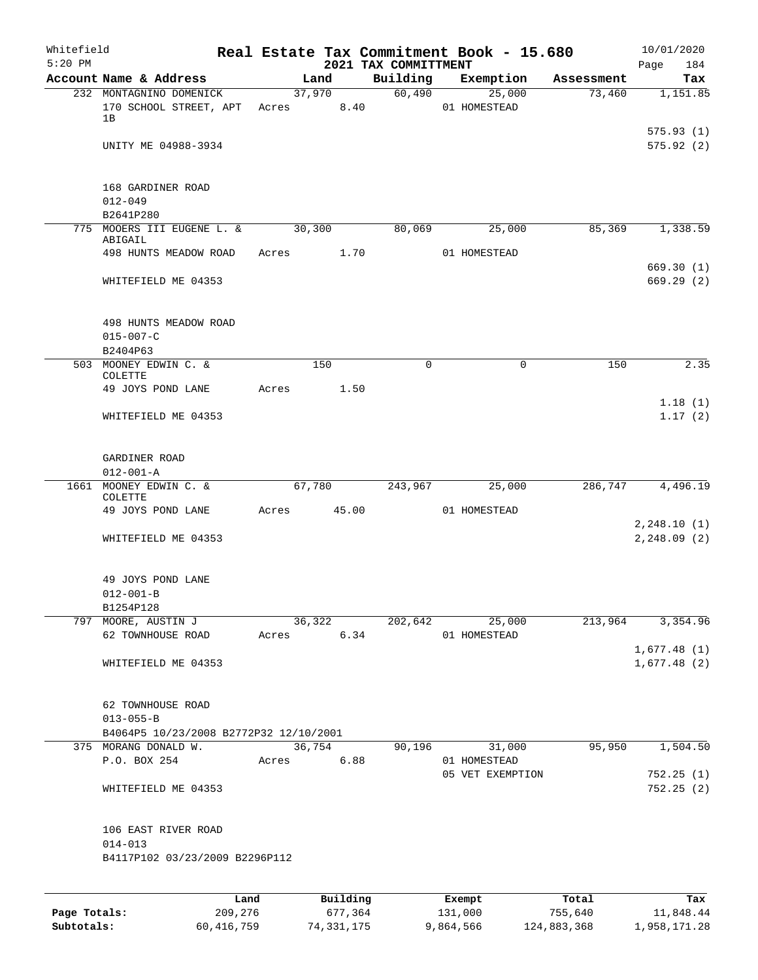| Whitefield<br>$5:20$ PM |                                                         |       |                      | 2021 TAX COMMITTMENT | Real Estate Tax Commitment Book - 15.680 |                      | 10/01/2020<br>Page<br>184  |
|-------------------------|---------------------------------------------------------|-------|----------------------|----------------------|------------------------------------------|----------------------|----------------------------|
|                         | Account Name & Address                                  |       | Land                 | Building             | Exemption                                | Assessment           | Tax                        |
|                         | 232 MONTAGNINO DOMENICK<br>170 SCHOOL STREET, APT<br>1B |       | 37,970<br>Acres 8.40 | 60,490               | 25,000<br>01 HOMESTEAD                   | 73,460               | 1,151.85                   |
|                         | UNITY ME 04988-3934                                     |       |                      |                      |                                          |                      | 575.93(1)<br>575.92(2)     |
|                         | 168 GARDINER ROAD<br>$012 - 049$<br>B2641P280           |       |                      |                      |                                          |                      |                            |
|                         | 775 MOOERS III EUGENE L. &                              |       | 30,300               | 80,069               | 25,000                                   | 85,369               | 1,338.59                   |
|                         | ABIGAIL<br>498 HUNTS MEADOW ROAD                        |       | Acres 1.70           |                      | 01 HOMESTEAD                             |                      |                            |
|                         | WHITEFIELD ME 04353                                     |       |                      |                      |                                          |                      | 669.30(1)<br>669.29(2)     |
|                         |                                                         |       |                      |                      |                                          |                      |                            |
|                         | 498 HUNTS MEADOW ROAD<br>$015 - 007 - C$<br>B2404P63    |       |                      |                      |                                          |                      |                            |
|                         | 503 MOONEY EDWIN C. &                                   |       | 150                  | $\Omega$             | $\mathbf 0$                              | 150                  | 2.35                       |
|                         | COLETTE                                                 |       |                      |                      |                                          |                      |                            |
|                         | 49 JOYS POND LANE                                       | Acres | 1.50                 |                      |                                          |                      |                            |
|                         | WHITEFIELD ME 04353                                     |       |                      |                      |                                          |                      | 1.18(1)<br>1.17(2)         |
|                         | GARDINER ROAD<br>$012 - 001 - A$                        |       |                      |                      |                                          |                      |                            |
|                         | 1661 MOONEY EDWIN C. &                                  |       | 67,780               | 243,967              | 25,000                                   | 286,747              | 4,496.19                   |
|                         | COLETTE<br>49 JOYS POND LANE                            | Acres | 45.00                |                      | 01 HOMESTEAD                             |                      | 2, 248.10(1)               |
|                         | WHITEFIELD ME 04353                                     |       |                      |                      |                                          |                      | 2, 248.09(2)               |
|                         | 49 JOYS POND LANE<br>$012 - 001 - B$                    |       |                      |                      |                                          |                      |                            |
|                         | B1254P128                                               |       |                      |                      |                                          |                      |                            |
|                         | 797 MOORE, AUSTIN J                                     |       | 36,322               | 202,642              | 25,000                                   | $2\overline{13,964}$ | 3,354.96                   |
|                         | 62 TOWNHOUSE ROAD                                       | Acres | 6.34                 |                      | 01 HOMESTEAD                             |                      |                            |
|                         | WHITEFIELD ME 04353                                     |       |                      |                      |                                          |                      | 1,677.48(1)<br>1,677.48(2) |
|                         | 62 TOWNHOUSE ROAD<br>$013 - 055 - B$                    |       |                      |                      |                                          |                      |                            |
|                         | B4064P5 10/23/2008 B2772P32 12/10/2001                  |       |                      |                      |                                          |                      |                            |
|                         | 375 MORANG DONALD W.<br>P.O. BOX 254                    | Acres | 36,754<br>6.88       | 90,196               | 31,000<br>01 HOMESTEAD                   | 95,950               | 1,504.50                   |
|                         | WHITEFIELD ME 04353                                     |       |                      |                      | 05 VET EXEMPTION                         |                      | 752.25(1)<br>752.25(2)     |
|                         | 106 EAST RIVER ROAD<br>$014 - 013$                      |       |                      |                      |                                          |                      |                            |
|                         | B4117P102 03/23/2009 B2296P112                          |       |                      |                      |                                          |                      |                            |
|                         |                                                         |       |                      |                      |                                          |                      |                            |
| Page Totals:            | 209,276                                                 | Land  | Building<br>677,364  |                      | Exempt<br>131,000                        | Total<br>755,640     | Tax<br>11,848.44           |
|                         |                                                         |       |                      |                      |                                          |                      |                            |

**Subtotals:** 60,416,759 74,331,175 9,864,566 124,883,368 1,958,171.28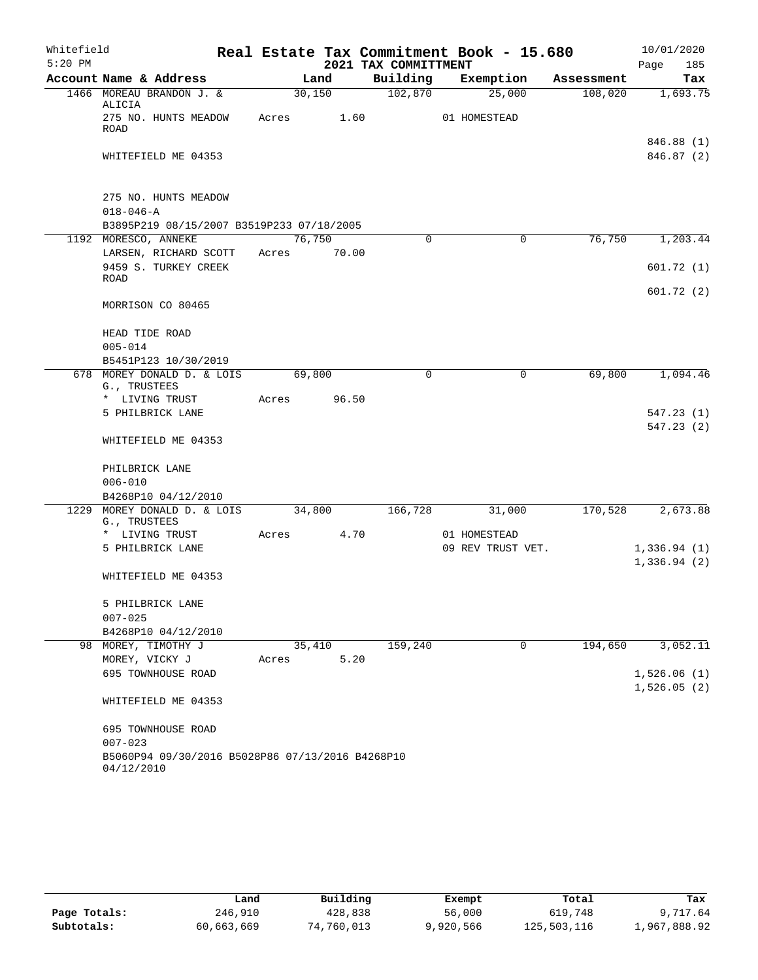| Whitefield<br>$5:20$ PM |                                                                                      |       |        | 2021 TAX COMMITTMENT | Real Estate Tax Commitment Book - 15.680 |            | 10/01/2020<br>Page<br>185 |
|-------------------------|--------------------------------------------------------------------------------------|-------|--------|----------------------|------------------------------------------|------------|---------------------------|
|                         | Account Name & Address                                                               |       | Land   | Building             | Exemption                                | Assessment | Tax                       |
|                         | 1466 MOREAU BRANDON J. &<br>ALICIA                                                   |       | 30,150 | 102,870              | 25,000                                   | 108,020    | 1,693.75                  |
|                         | 275 NO. HUNTS MEADOW<br>ROAD                                                         | Acres | 1.60   |                      | 01 HOMESTEAD                             |            |                           |
|                         | WHITEFIELD ME 04353                                                                  |       |        |                      |                                          |            | 846.88 (1)<br>846.87 (2)  |
|                         | 275 NO. HUNTS MEADOW<br>$018 - 046 - A$<br>B3895P219 08/15/2007 B3519P233 07/18/2005 |       |        |                      |                                          |            |                           |
|                         | 1192 MORESCO, ANNEKE                                                                 |       | 76,750 | 0                    | $\mathbf 0$                              | 76,750     | 1,203.44                  |
|                         | LARSEN, RICHARD SCOTT<br>9459 S. TURKEY CREEK                                        | Acres | 70.00  |                      |                                          |            | 601.72(1)                 |
|                         | ROAD                                                                                 |       |        |                      |                                          |            | 601.72(2)                 |
|                         | MORRISON CO 80465                                                                    |       |        |                      |                                          |            |                           |
|                         | HEAD TIDE ROAD<br>$005 - 014$                                                        |       |        |                      |                                          |            |                           |
|                         | B5451P123 10/30/2019<br>678 MOREY DONALD D. & LOIS                                   |       | 69,800 | 0                    | $\mathbf 0$                              | 69,800     | 1,094.46                  |
|                         | G., TRUSTEES                                                                         |       |        |                      |                                          |            |                           |
|                         | * LIVING TRUST                                                                       | Acres | 96.50  |                      |                                          |            |                           |
|                         | 5 PHILBRICK LANE                                                                     |       |        |                      |                                          |            | 547.23(1)<br>547.23(2)    |
|                         | WHITEFIELD ME 04353                                                                  |       |        |                      |                                          |            |                           |
|                         | PHILBRICK LANE                                                                       |       |        |                      |                                          |            |                           |
|                         | $006 - 010$                                                                          |       |        |                      |                                          |            |                           |
| 1229                    | B4268P10 04/12/2010<br>MOREY DONALD D. & LOIS                                        |       | 34,800 | 166,728              | 31,000                                   | 170,528    | 2,673.88                  |
|                         | G., TRUSTEES<br>* LIVING TRUST                                                       | Acres | 4.70   |                      | 01 HOMESTEAD                             |            |                           |
|                         | 5 PHILBRICK LANE                                                                     |       |        |                      | 09 REV TRUST VET.                        |            | 1,336.94(1)               |
|                         |                                                                                      |       |        |                      |                                          |            | 1,336.94(2)               |
|                         | WHITEFIELD ME 04353                                                                  |       |        |                      |                                          |            |                           |
|                         | 5 PHILBRICK LANE                                                                     |       |        |                      |                                          |            |                           |
|                         | $007 - 025$                                                                          |       |        |                      |                                          |            |                           |
|                         | B4268P10 04/12/2010                                                                  |       |        |                      |                                          |            |                           |
|                         | 98 MOREY, TIMOTHY J                                                                  |       | 35,410 | 159,240              | 0                                        | 194,650    | 3,052.11                  |
|                         | MOREY, VICKY J                                                                       | Acres | 5.20   |                      |                                          |            |                           |
|                         | 695 TOWNHOUSE ROAD                                                                   |       |        |                      |                                          |            | 1,526.06(1)               |
|                         | WHITEFIELD ME 04353                                                                  |       |        |                      |                                          |            | 1,526.05(2)               |
|                         | 695 TOWNHOUSE ROAD<br>$007 - 023$                                                    |       |        |                      |                                          |            |                           |
|                         | B5060P94 09/30/2016 B5028P86 07/13/2016 B4268P10<br>04/12/2010                       |       |        |                      |                                          |            |                           |

|              | Land       | Building   | Exempt    | Total       | Tax          |
|--------------|------------|------------|-----------|-------------|--------------|
| Page Totals: | 246,910    | 428,838    | 56,000    | 619,748     | 9,717.64     |
| Subtotals:   | 60,663,669 | 74,760,013 | 9,920,566 | 125,503,116 | 1,967,888.92 |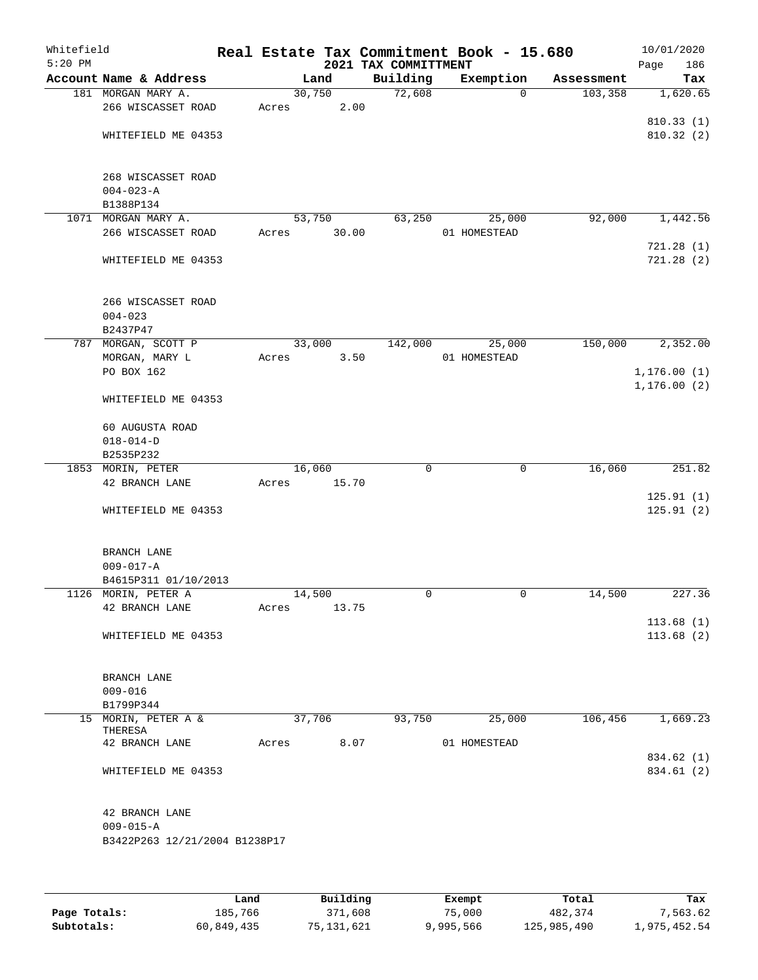| Whitefield<br>$5:20$ PM |                                   |       |        |       | Real Estate Tax Commitment Book - 15.680<br>2021 TAX COMMITTMENT |              |            | 10/01/2020<br>Page<br>186 |
|-------------------------|-----------------------------------|-------|--------|-------|------------------------------------------------------------------|--------------|------------|---------------------------|
|                         | Account Name & Address            |       | Land   |       | Building                                                         | Exemption    | Assessment | Tax                       |
|                         | 181 MORGAN MARY A.                |       | 30,750 |       | 72,608                                                           | $\mathbf 0$  | 103, 358   | 1,620.65                  |
|                         | 266 WISCASSET ROAD                | Acres |        | 2.00  |                                                                  |              |            |                           |
|                         |                                   |       |        |       |                                                                  |              |            | 810.33(1)                 |
|                         | WHITEFIELD ME 04353               |       |        |       |                                                                  |              |            | 810.32 (2)                |
|                         |                                   |       |        |       |                                                                  |              |            |                           |
|                         |                                   |       |        |       |                                                                  |              |            |                           |
|                         | 268 WISCASSET ROAD                |       |        |       |                                                                  |              |            |                           |
|                         | $004 - 023 - A$                   |       |        |       |                                                                  |              |            |                           |
|                         | B1388P134                         |       |        |       |                                                                  |              |            |                           |
|                         | 1071 MORGAN MARY A.               |       | 53,750 |       | 63,250                                                           | 25,000       | 92,000     | 1,442.56                  |
|                         | 266 WISCASSET ROAD                | Acres |        | 30.00 |                                                                  | 01 HOMESTEAD |            |                           |
|                         |                                   |       |        |       |                                                                  |              |            | 721.28(1)                 |
|                         | WHITEFIELD ME 04353               |       |        |       |                                                                  |              |            | 721.28(2)                 |
|                         |                                   |       |        |       |                                                                  |              |            |                           |
|                         |                                   |       |        |       |                                                                  |              |            |                           |
|                         | 266 WISCASSET ROAD<br>$004 - 023$ |       |        |       |                                                                  |              |            |                           |
|                         | B2437P47                          |       |        |       |                                                                  |              |            |                           |
|                         | 787 MORGAN, SCOTT P               |       | 33,000 |       | 142,000                                                          | 25,000       | 150,000    | 2,352.00                  |
|                         | MORGAN, MARY L                    | Acres |        | 3.50  |                                                                  | 01 HOMESTEAD |            |                           |
|                         | PO BOX 162                        |       |        |       |                                                                  |              |            | 1,176.00(1)               |
|                         |                                   |       |        |       |                                                                  |              |            | 1, 176.00(2)              |
|                         | WHITEFIELD ME 04353               |       |        |       |                                                                  |              |            |                           |
|                         |                                   |       |        |       |                                                                  |              |            |                           |
|                         | 60 AUGUSTA ROAD                   |       |        |       |                                                                  |              |            |                           |
|                         | $018 - 014 - D$                   |       |        |       |                                                                  |              |            |                           |
|                         | B2535P232                         |       |        |       |                                                                  |              |            |                           |
|                         | 1853 MORIN, PETER                 |       | 16,060 |       | $\mathbf 0$                                                      | $\mathsf{O}$ | 16,060     | 251.82                    |
|                         | 42 BRANCH LANE                    | Acres |        | 15.70 |                                                                  |              |            |                           |
|                         |                                   |       |        |       |                                                                  |              |            | 125.91(1)                 |
|                         | WHITEFIELD ME 04353               |       |        |       |                                                                  |              |            | 125.91(2)                 |
|                         |                                   |       |        |       |                                                                  |              |            |                           |
|                         |                                   |       |        |       |                                                                  |              |            |                           |
|                         | BRANCH LANE                       |       |        |       |                                                                  |              |            |                           |
|                         | $009 - 017 - A$                   |       |        |       |                                                                  |              |            |                           |
|                         | B4615P311 01/10/2013              |       |        |       |                                                                  |              |            |                           |
|                         | 1126 MORIN, PETER A               |       | 14,500 |       | 0                                                                | 0            | 14,500     | 227.36                    |
|                         | 42 BRANCH LANE                    | Acres |        | 13.75 |                                                                  |              |            |                           |
|                         |                                   |       |        |       |                                                                  |              |            | 113.68(1)                 |
|                         | WHITEFIELD ME 04353               |       |        |       |                                                                  |              |            | 113.68(2)                 |
|                         |                                   |       |        |       |                                                                  |              |            |                           |
|                         |                                   |       |        |       |                                                                  |              |            |                           |
|                         | <b>BRANCH LANE</b>                |       |        |       |                                                                  |              |            |                           |
|                         | $009 - 016$                       |       |        |       |                                                                  |              |            |                           |
|                         | B1799P344                         |       |        |       |                                                                  |              |            |                           |
|                         | 15 MORIN, PETER A &<br>THERESA    |       | 37,706 |       | 93,750                                                           | 25,000       | 106,456    | 1,669.23                  |
|                         | 42 BRANCH LANE                    | Acres |        | 8.07  |                                                                  | 01 HOMESTEAD |            |                           |
|                         |                                   |       |        |       |                                                                  |              |            | 834.62 (1)                |
|                         | WHITEFIELD ME 04353               |       |        |       |                                                                  |              |            | 834.61 (2)                |
|                         |                                   |       |        |       |                                                                  |              |            |                           |
|                         |                                   |       |        |       |                                                                  |              |            |                           |
|                         | 42 BRANCH LANE                    |       |        |       |                                                                  |              |            |                           |
|                         | $009 - 015 - A$                   |       |        |       |                                                                  |              |            |                           |
|                         | B3422P263 12/21/2004 B1238P17     |       |        |       |                                                                  |              |            |                           |
|                         |                                   |       |        |       |                                                                  |              |            |                           |
|                         |                                   |       |        |       |                                                                  |              |            |                           |
|                         |                                   |       |        |       |                                                                  |              |            |                           |

|              | Land       | Building     | Exempt    | Total       | Tax          |
|--------------|------------|--------------|-----------|-------------|--------------|
| Page Totals: | 185,766    | 371,608      | 75,000    | 482,374     | 7.563.62     |
| Subtotals:   | 60,849,435 | 75, 131, 621 | 9,995,566 | 125,985,490 | 1,975,452.54 |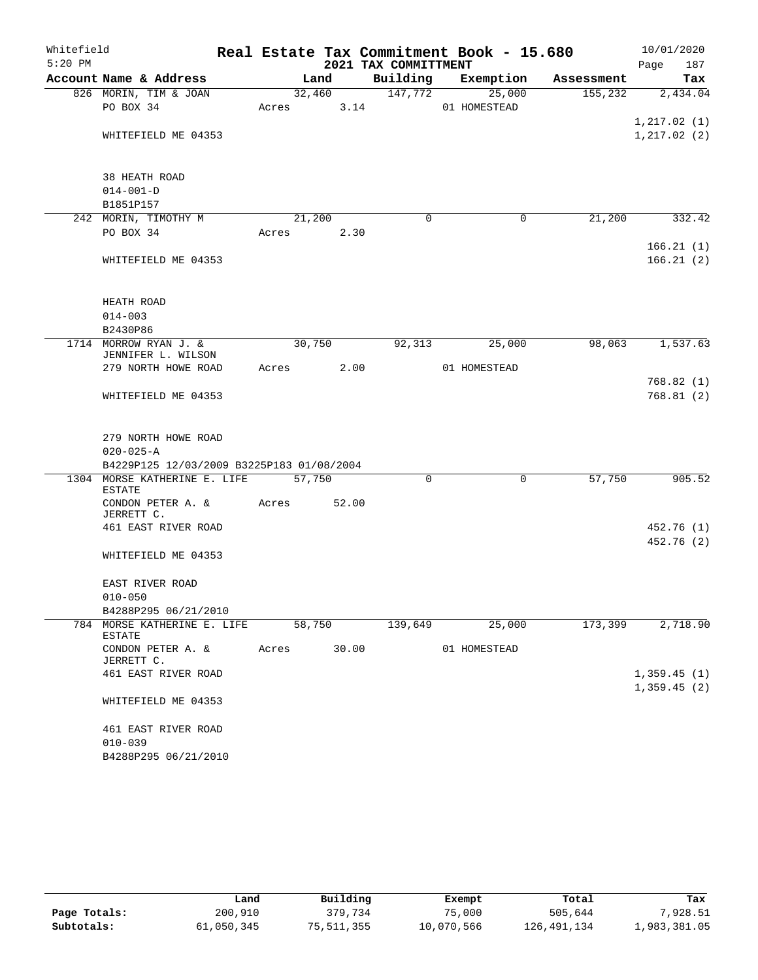| Whitefield |                                           |       |        |       |                      | Real Estate Tax Commitment Book - 15.680 |            | 10/01/2020   |
|------------|-------------------------------------------|-------|--------|-------|----------------------|------------------------------------------|------------|--------------|
| $5:20$ PM  |                                           |       |        |       | 2021 TAX COMMITTMENT |                                          |            | 187<br>Page  |
|            | Account Name & Address                    |       | Land   |       | Building             | Exemption                                | Assessment | Tax          |
|            | 826 MORIN, TIM & JOAN                     |       | 32,460 |       | 147,772              | 25,000                                   | 155,232    | 2,434.04     |
|            | PO BOX 34                                 | Acres |        | 3.14  |                      | 01 HOMESTEAD                             |            |              |
|            |                                           |       |        |       |                      |                                          |            | 1, 217.02(1) |
|            | WHITEFIELD ME 04353                       |       |        |       |                      |                                          |            | 1, 217.02(2) |
|            |                                           |       |        |       |                      |                                          |            |              |
|            |                                           |       |        |       |                      |                                          |            |              |
|            | 38 HEATH ROAD<br>$014 - 001 - D$          |       |        |       |                      |                                          |            |              |
|            | B1851P157                                 |       |        |       |                      |                                          |            |              |
|            | 242 MORIN, TIMOTHY M                      |       | 21,200 |       | 0                    | 0                                        | 21,200     | 332.42       |
|            | PO BOX 34                                 | Acres |        | 2.30  |                      |                                          |            |              |
|            |                                           |       |        |       |                      |                                          |            | 166.21(1)    |
|            | WHITEFIELD ME 04353                       |       |        |       |                      |                                          |            | 166.21(2)    |
|            |                                           |       |        |       |                      |                                          |            |              |
|            |                                           |       |        |       |                      |                                          |            |              |
|            | HEATH ROAD                                |       |        |       |                      |                                          |            |              |
|            | $014 - 003$                               |       |        |       |                      |                                          |            |              |
|            | B2430P86                                  |       |        |       |                      |                                          |            |              |
|            | 1714 MORROW RYAN J. &                     |       | 30,750 |       | 92,313               | 25,000                                   | 98,063     | 1,537.63     |
|            | JENNIFER L. WILSON<br>279 NORTH HOWE ROAD | Acres |        | 2.00  |                      | 01 HOMESTEAD                             |            |              |
|            |                                           |       |        |       |                      |                                          |            | 768.82(1)    |
|            | WHITEFIELD ME 04353                       |       |        |       |                      |                                          |            | 768.81(2)    |
|            |                                           |       |        |       |                      |                                          |            |              |
|            |                                           |       |        |       |                      |                                          |            |              |
|            | 279 NORTH HOWE ROAD                       |       |        |       |                      |                                          |            |              |
|            | $020 - 025 - A$                           |       |        |       |                      |                                          |            |              |
|            | B4229P125 12/03/2009 B3225P183 01/08/2004 |       |        |       |                      |                                          |            |              |
| 1304       | MORSE KATHERINE E. LIFE                   |       | 57,750 |       | 0                    | 0                                        | 57,750     | 905.52       |
|            | <b>ESTATE</b>                             |       |        |       |                      |                                          |            |              |
|            | CONDON PETER A. &<br>JERRETT C.           | Acres |        | 52.00 |                      |                                          |            |              |
|            | 461 EAST RIVER ROAD                       |       |        |       |                      |                                          |            | 452.76 (1)   |
|            |                                           |       |        |       |                      |                                          |            | 452.76 (2)   |
|            | WHITEFIELD ME 04353                       |       |        |       |                      |                                          |            |              |
|            |                                           |       |        |       |                      |                                          |            |              |
|            | EAST RIVER ROAD                           |       |        |       |                      |                                          |            |              |
|            | $010 - 050$                               |       |        |       |                      |                                          |            |              |
|            | B4288P295 06/21/2010                      |       |        |       |                      |                                          |            |              |
|            | 784 MORSE KATHERINE E. LIFE               |       | 58,750 |       | 139,649              | 25,000                                   | 173,399    | 2,718.90     |
|            | <b>ESTATE</b><br>CONDON PETER A. &        | Acres |        | 30.00 |                      | 01 HOMESTEAD                             |            |              |
|            | JERRETT C.                                |       |        |       |                      |                                          |            |              |
|            | 461 EAST RIVER ROAD                       |       |        |       |                      |                                          |            | 1,359.45(1)  |
|            |                                           |       |        |       |                      |                                          |            | 1,359.45(2)  |
|            | WHITEFIELD ME 04353                       |       |        |       |                      |                                          |            |              |
|            |                                           |       |        |       |                      |                                          |            |              |
|            | 461 EAST RIVER ROAD                       |       |        |       |                      |                                          |            |              |
|            | $010 - 039$                               |       |        |       |                      |                                          |            |              |
|            | B4288P295 06/21/2010                      |       |        |       |                      |                                          |            |              |

|              | Land       | Building   | Exempt     | Total       | Tax          |
|--------------|------------|------------|------------|-------------|--------------|
| Page Totals: | 200,910    | 379,734    | 75,000     | 505,644     | 7,928.51     |
| Subtotals:   | 61,050,345 | 75,511,355 | 10,070,566 | 126,491,134 | 1,983,381.05 |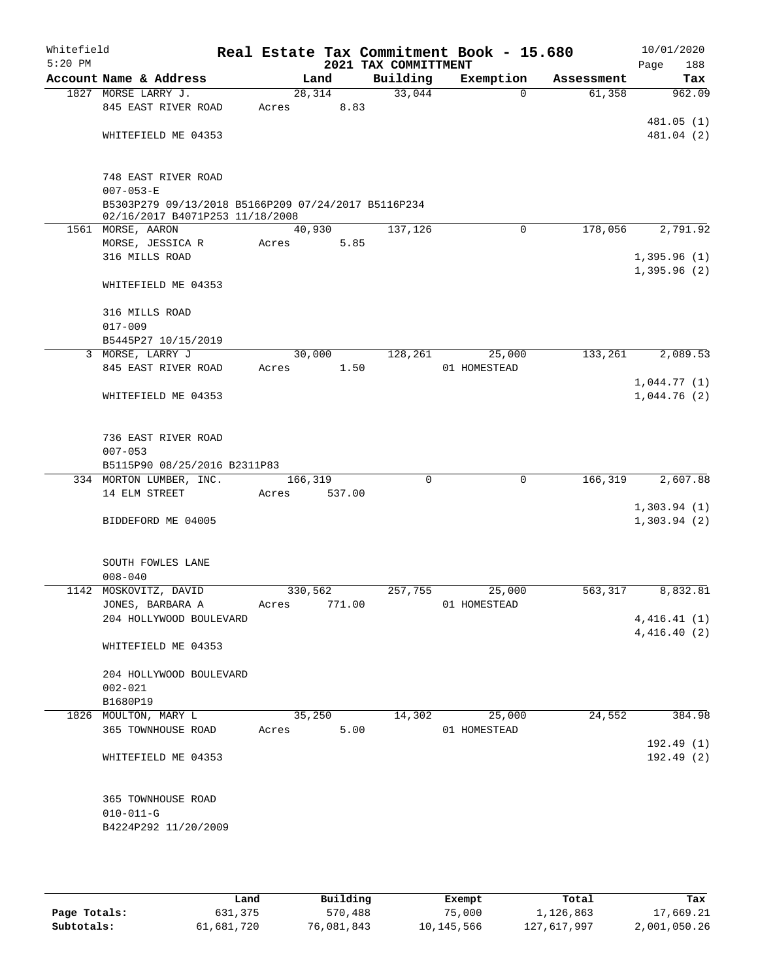| Whitefield<br>$5:20$ PM |                                                                        |         |        |      | Real Estate Tax Commitment Book - 15.680<br>2021 TAX COMMITTMENT |                        |            | 10/01/2020<br>188<br>Page |
|-------------------------|------------------------------------------------------------------------|---------|--------|------|------------------------------------------------------------------|------------------------|------------|---------------------------|
|                         | Account Name & Address                                                 |         | Land   |      | Building                                                         | Exemption              | Assessment | Tax                       |
|                         | 1827 MORSE LARRY J.                                                    | 28, 314 |        |      | 33,044                                                           | $\Omega$               | 61,358     | 962.09                    |
|                         | 845 EAST RIVER ROAD                                                    | Acres   |        | 8.83 |                                                                  |                        |            |                           |
|                         |                                                                        |         |        |      |                                                                  |                        |            | 481.05(1)                 |
|                         | WHITEFIELD ME 04353                                                    |         |        |      |                                                                  |                        |            | 481.04 (2)                |
|                         |                                                                        |         |        |      |                                                                  |                        |            |                           |
|                         |                                                                        |         |        |      |                                                                  |                        |            |                           |
|                         | 748 EAST RIVER ROAD                                                    |         |        |      |                                                                  |                        |            |                           |
|                         | $007 - 053 - E$<br>B5303P279 09/13/2018 B5166P209 07/24/2017 B5116P234 |         |        |      |                                                                  |                        |            |                           |
|                         | 02/16/2017 B4071P253 11/18/2008                                        |         |        |      |                                                                  |                        |            |                           |
|                         | 1561 MORSE, AARON                                                      | 40,930  |        |      | 137,126                                                          | $\mathbf 0$            | 178,056    | 2,791.92                  |
|                         | MORSE, JESSICA R                                                       | Acres   |        | 5.85 |                                                                  |                        |            |                           |
|                         | 316 MILLS ROAD                                                         |         |        |      |                                                                  |                        |            | 1,395.96(1)               |
|                         |                                                                        |         |        |      |                                                                  |                        |            | 1,395.96(2)               |
|                         | WHITEFIELD ME 04353                                                    |         |        |      |                                                                  |                        |            |                           |
|                         |                                                                        |         |        |      |                                                                  |                        |            |                           |
|                         | 316 MILLS ROAD                                                         |         |        |      |                                                                  |                        |            |                           |
|                         | $017 - 009$                                                            |         |        |      |                                                                  |                        |            |                           |
|                         | B5445P27 10/15/2019                                                    |         |        |      |                                                                  |                        |            |                           |
|                         | 3 MORSE, LARRY J<br>845 EAST RIVER ROAD                                | 30,000  |        |      | 128,261                                                          | 25,000<br>01 HOMESTEAD | 133,261    | 2,089.53                  |
|                         |                                                                        | Acres   |        | 1.50 |                                                                  |                        |            | 1,044.77(1)               |
|                         | WHITEFIELD ME 04353                                                    |         |        |      |                                                                  |                        |            | 1,044.76(2)               |
|                         |                                                                        |         |        |      |                                                                  |                        |            |                           |
|                         |                                                                        |         |        |      |                                                                  |                        |            |                           |
|                         | 736 EAST RIVER ROAD                                                    |         |        |      |                                                                  |                        |            |                           |
|                         | $007 - 053$                                                            |         |        |      |                                                                  |                        |            |                           |
|                         | B5115P90 08/25/2016 B2311P83                                           |         |        |      |                                                                  |                        |            |                           |
|                         | 334 MORTON LUMBER, INC.                                                | 166,319 |        |      | $\mathbf 0$                                                      | $\mathbf 0$            | 166,319    | 2,607.88                  |
|                         | 14 ELM STREET                                                          | Acres   | 537.00 |      |                                                                  |                        |            |                           |
|                         |                                                                        |         |        |      |                                                                  |                        |            | 1,303.94(1)               |
|                         | BIDDEFORD ME 04005                                                     |         |        |      |                                                                  |                        |            | 1,303.94(2)               |
|                         |                                                                        |         |        |      |                                                                  |                        |            |                           |
|                         |                                                                        |         |        |      |                                                                  |                        |            |                           |
|                         | SOUTH FOWLES LANE<br>$008 - 040$                                       |         |        |      |                                                                  |                        |            |                           |
|                         | 1142 MOSKOVITZ, DAVID                                                  | 330,562 |        |      | 257,755                                                          | 25,000                 | 563,317    | 8,832.81                  |
|                         | JONES, BARBARA A                                                       | Acres   | 771.00 |      |                                                                  | 01 HOMESTEAD           |            |                           |
|                         | 204 HOLLYWOOD BOULEVARD                                                |         |        |      |                                                                  |                        |            | 4,416.41(1)               |
|                         |                                                                        |         |        |      |                                                                  |                        |            | 4,416.40(2)               |
|                         | WHITEFIELD ME 04353                                                    |         |        |      |                                                                  |                        |            |                           |
|                         |                                                                        |         |        |      |                                                                  |                        |            |                           |
|                         | 204 HOLLYWOOD BOULEVARD                                                |         |        |      |                                                                  |                        |            |                           |
|                         | $002 - 021$                                                            |         |        |      |                                                                  |                        |            |                           |
|                         | B1680P19                                                               |         |        |      |                                                                  |                        |            |                           |
|                         | 1826 MOULTON, MARY L                                                   | 35,250  |        |      | 14,302                                                           | 25,000                 | 24,552     | 384.98                    |
|                         | 365 TOWNHOUSE ROAD                                                     | Acres   |        | 5.00 |                                                                  | 01 HOMESTEAD           |            |                           |
|                         |                                                                        |         |        |      |                                                                  |                        |            | 192.49(1)                 |
|                         | WHITEFIELD ME 04353                                                    |         |        |      |                                                                  |                        |            | 192.49(2)                 |
|                         |                                                                        |         |        |      |                                                                  |                        |            |                           |
|                         |                                                                        |         |        |      |                                                                  |                        |            |                           |
|                         | 365 TOWNHOUSE ROAD<br>$010 - 011 - G$                                  |         |        |      |                                                                  |                        |            |                           |
|                         | B4224P292 11/20/2009                                                   |         |        |      |                                                                  |                        |            |                           |
|                         |                                                                        |         |        |      |                                                                  |                        |            |                           |
|                         |                                                                        |         |        |      |                                                                  |                        |            |                           |

|              | Land       | Building   | Exempt     | Total       | Tax          |
|--------------|------------|------------|------------|-------------|--------------|
| Page Totals: | 631,375    | 570,488    | 75,000     | 1,126,863   | 17,669.21    |
| Subtotals:   | 61,681,720 | 76,081,843 | 10,145,566 | 127,617,997 | 2,001,050.26 |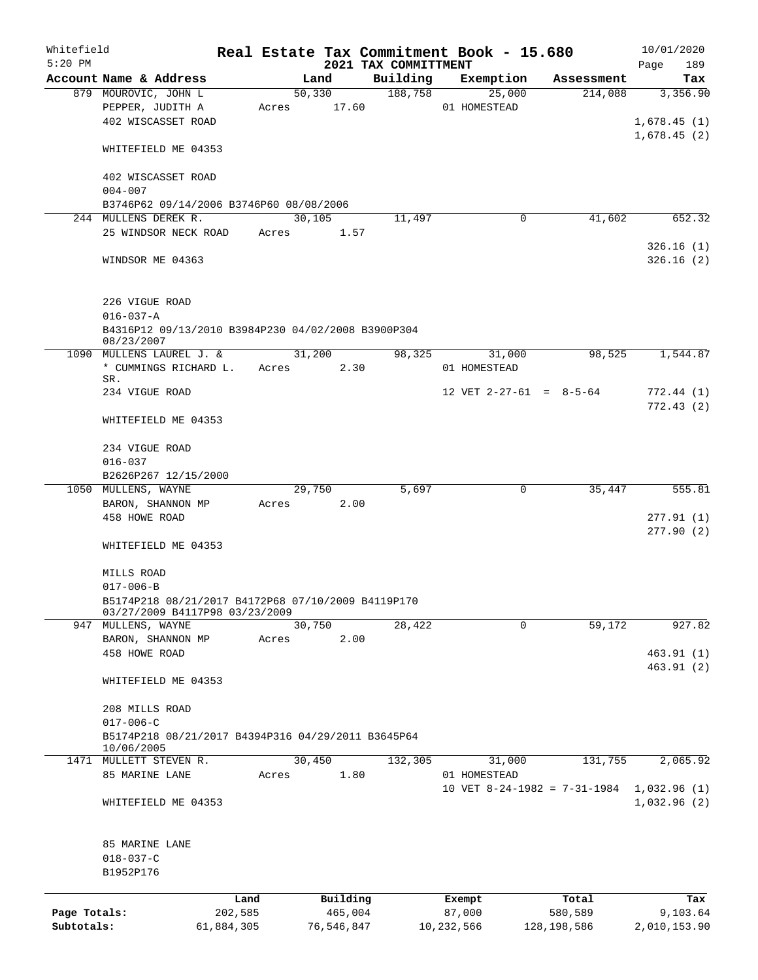| Whitefield   |                                                                  |            |       |                |            | Real Estate Tax Commitment Book - 15.680 |            |              |                     |                              |             | 10/01/2020             |
|--------------|------------------------------------------------------------------|------------|-------|----------------|------------|------------------------------------------|------------|--------------|---------------------|------------------------------|-------------|------------------------|
| $5:20$ PM    |                                                                  |            |       |                |            | 2021 TAX COMMITTMENT                     |            |              |                     |                              | Page        | 189                    |
|              | Account Name & Address                                           |            |       | Land<br>50,330 |            | Building<br>188,758                      |            |              | Exemption<br>25,000 | Assessment<br>214,088        |             | Tax<br>3,356.90        |
|              | 879 MOUROVIC, JOHN L                                             |            |       |                |            |                                          |            | 01 HOMESTEAD |                     |                              |             |                        |
|              | PEPPER, JUDITH A<br>402 WISCASSET ROAD                           |            | Acres | 17.60          |            |                                          |            |              |                     |                              |             |                        |
|              |                                                                  |            |       |                |            |                                          |            |              |                     |                              | 1,678.45(1) |                        |
|              | WHITEFIELD ME 04353                                              |            |       |                |            |                                          |            |              |                     |                              | 1,678.45(2) |                        |
|              | 402 WISCASSET ROAD                                               |            |       |                |            |                                          |            |              |                     |                              |             |                        |
|              | $004 - 007$                                                      |            |       |                |            |                                          |            |              |                     |                              |             |                        |
|              | B3746P62 09/14/2006 B3746P60 08/08/2006                          |            |       |                |            |                                          |            |              |                     |                              |             |                        |
|              | 244 MULLENS DEREK R.                                             |            |       | 30,105         |            | 11,497                                   |            |              | $\mathbf 0$         | 41,602                       |             | 652.32                 |
|              | 25 WINDSOR NECK ROAD                                             |            | Acres |                | 1.57       |                                          |            |              |                     |                              |             |                        |
|              | WINDSOR ME 04363                                                 |            |       |                |            |                                          |            |              |                     |                              |             | 326.16(1)<br>326.16(2) |
|              | 226 VIGUE ROAD<br>$016 - 037 - A$                                |            |       |                |            |                                          |            |              |                     |                              |             |                        |
|              | B4316P12 09/13/2010 B3984P230 04/02/2008 B3900P304<br>08/23/2007 |            |       |                |            |                                          |            |              |                     |                              |             |                        |
|              | 1090 MULLENS LAUREL J. &                                         |            |       | 31,200         |            | 98,325                                   |            |              | 31,000              | 98,525                       |             | 1,544.87               |
|              | * CUMMINGS RICHARD L.                                            |            | Acres |                | 2.30       |                                          |            | 01 HOMESTEAD |                     |                              |             |                        |
|              | SR.<br>234 VIGUE ROAD                                            |            |       |                |            |                                          |            |              |                     | 12 VET $2-27-61 = 8-5-64$    |             | 772.44(1)              |
|              |                                                                  |            |       |                |            |                                          |            |              |                     |                              |             | 772.43(2)              |
|              | WHITEFIELD ME 04353                                              |            |       |                |            |                                          |            |              |                     |                              |             |                        |
|              | 234 VIGUE ROAD                                                   |            |       |                |            |                                          |            |              |                     |                              |             |                        |
|              | $016 - 037$                                                      |            |       |                |            |                                          |            |              |                     |                              |             |                        |
|              | B2626P267 12/15/2000                                             |            |       |                |            |                                          |            |              |                     |                              |             |                        |
|              | 1050 MULLENS, WAYNE                                              |            |       | 29,750         |            | 5,697                                    |            |              | $\mathbf 0$         | 35,447                       |             | 555.81                 |
|              | BARON, SHANNON MP                                                |            | Acres |                | 2.00       |                                          |            |              |                     |                              |             |                        |
|              | 458 HOWE ROAD                                                    |            |       |                |            |                                          |            |              |                     |                              |             | 277.91(1)              |
|              | WHITEFIELD ME 04353                                              |            |       |                |            |                                          |            |              |                     |                              |             | 277.90(2)              |
|              | MILLS ROAD                                                       |            |       |                |            |                                          |            |              |                     |                              |             |                        |
|              | $017 - 006 - B$                                                  |            |       |                |            |                                          |            |              |                     |                              |             |                        |
|              | B5174P218 08/21/2017 B4172P68 07/10/2009 B4119P170               |            |       |                |            |                                          |            |              |                     |                              |             |                        |
|              | 03/27/2009 B4117P98 03/23/2009                                   |            |       |                |            |                                          |            |              |                     |                              |             |                        |
|              | 947 MULLENS, WAYNE                                               |            |       | 30,750         |            | 28,422                                   |            |              | $\Omega$            | 59,172                       |             | 927.82                 |
|              | BARON, SHANNON MP                                                |            | Acres |                | 2.00       |                                          |            |              |                     |                              |             |                        |
|              | 458 HOWE ROAD                                                    |            |       |                |            |                                          |            |              |                     |                              |             | 463.91(1)              |
|              | WHITEFIELD ME 04353                                              |            |       |                |            |                                          |            |              |                     |                              |             | 463.91(2)              |
|              |                                                                  |            |       |                |            |                                          |            |              |                     |                              |             |                        |
|              | 208 MILLS ROAD                                                   |            |       |                |            |                                          |            |              |                     |                              |             |                        |
|              | $017 - 006 - C$                                                  |            |       |                |            |                                          |            |              |                     |                              |             |                        |
|              | B5174P218 08/21/2017 B4394P316 04/29/2011 B3645P64<br>10/06/2005 |            |       |                |            |                                          |            |              |                     |                              |             |                        |
|              | 1471 MULLETT STEVEN R.                                           |            |       | 30,450         |            | 132,305                                  |            |              | 31,000              | 131,755                      |             | 2,065.92               |
|              | 85 MARINE LANE                                                   |            | Acres |                | 1.80       |                                          |            | 01 HOMESTEAD |                     |                              |             |                        |
|              |                                                                  |            |       |                |            |                                          |            |              |                     | 10 VET 8-24-1982 = 7-31-1984 | 1,032.96(1) |                        |
|              | WHITEFIELD ME 04353                                              |            |       |                |            |                                          |            |              |                     |                              | 1,032.96(2) |                        |
|              | 85 MARINE LANE                                                   |            |       |                |            |                                          |            |              |                     |                              |             |                        |
|              | $018 - 037 - C$                                                  |            |       |                |            |                                          |            |              |                     |                              |             |                        |
|              | B1952P176                                                        |            |       |                |            |                                          |            |              |                     |                              |             |                        |
|              |                                                                  | Land       |       |                | Building   |                                          |            | Exempt       |                     | Total                        |             | Tax                    |
| Page Totals: |                                                                  | 202,585    |       |                | 465,004    |                                          |            | 87,000       |                     | 580,589                      |             | 9,103.64               |
| Subtotals:   |                                                                  | 61,884,305 |       |                | 76,546,847 |                                          | 10,232,566 |              |                     | 128,198,586                  |             | 2,010,153.90           |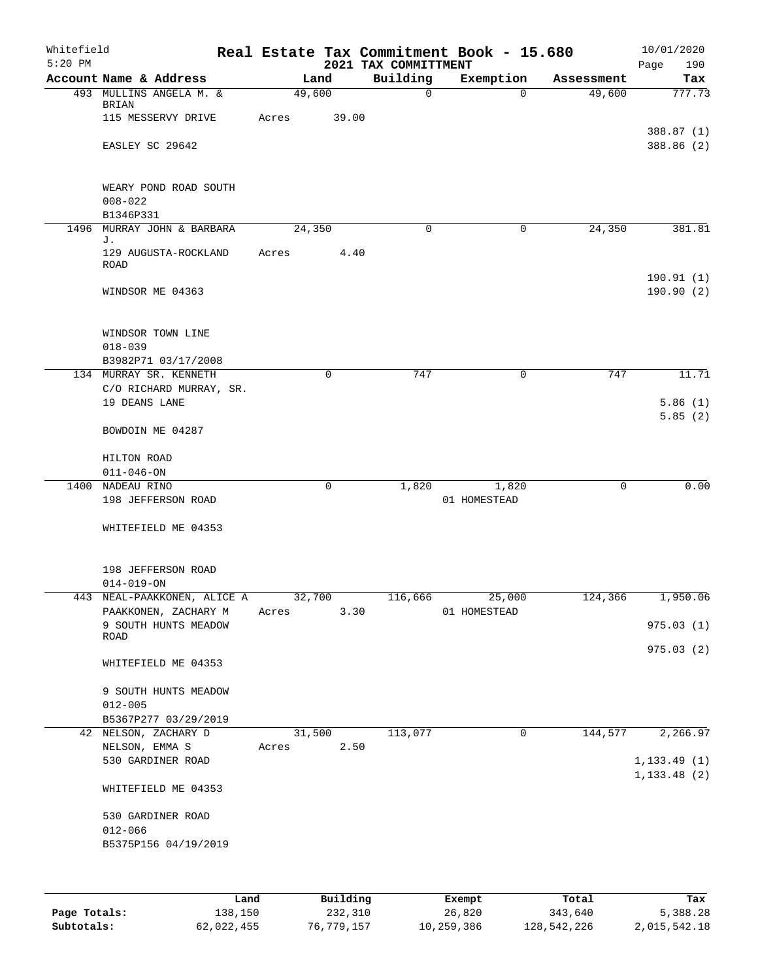| Whitefield<br>$5:20$ PM |                                                         |            |        |             | 2021 TAX COMMITTMENT | Real Estate Tax Commitment Book - 15.680 |             | 10/01/2020<br>Page<br>190 |
|-------------------------|---------------------------------------------------------|------------|--------|-------------|----------------------|------------------------------------------|-------------|---------------------------|
|                         | Account Name & Address                                  |            | Land   |             | Building             | Exemption                                | Assessment  | Tax                       |
|                         | 493 MULLINS ANGELA M. &<br>BRIAN<br>115 MESSERVY DRIVE  | Acres      | 49,600 | 39.00       | $\mathbf 0$          | $\Omega$                                 | 49,600      | 777.73                    |
|                         | EASLEY SC 29642                                         |            |        |             |                      |                                          |             | 388.87(1)<br>388.86 (2)   |
|                         | WEARY POND ROAD SOUTH<br>$008 - 022$<br>B1346P331       |            |        |             |                      |                                          |             |                           |
|                         | 1496 MURRAY JOHN & BARBARA                              |            | 24,350 |             | 0                    | 0                                        | 24,350      | 381.81                    |
|                         | J.<br>129 AUGUSTA-ROCKLAND<br><b>ROAD</b>               | Acres      |        | 4.40        |                      |                                          |             |                           |
|                         | WINDSOR ME 04363                                        |            |        |             |                      |                                          |             | 190.91(1)<br>190.90(2)    |
|                         | WINDSOR TOWN LINE<br>$018 - 039$<br>B3982P71 03/17/2008 |            |        |             |                      |                                          |             |                           |
|                         | 134 MURRAY SR. KENNETH                                  |            |        | $\mathbf 0$ | 747                  | $\mathbf 0$                              | 747         | 11.71                     |
|                         | C/O RICHARD MURRAY, SR.                                 |            |        |             |                      |                                          |             |                           |
|                         | 19 DEANS LANE                                           |            |        |             |                      |                                          |             | 5.86(1)                   |
|                         | BOWDOIN ME 04287                                        |            |        |             |                      |                                          |             | 5.85(2)                   |
|                         | HILTON ROAD                                             |            |        |             |                      |                                          |             |                           |
|                         | $011 - 046 - ON$                                        |            |        |             |                      |                                          |             |                           |
|                         | 1400 NADEAU RINO                                        |            |        | $\mathbf 0$ | 1,820                | 1,820                                    | $\mathbf 0$ | 0.00                      |
|                         | 198 JEFFERSON ROAD                                      |            |        |             |                      | 01 HOMESTEAD                             |             |                           |
|                         | WHITEFIELD ME 04353                                     |            |        |             |                      |                                          |             |                           |
|                         | 198 JEFFERSON ROAD<br>$014 - 019 - ON$                  |            |        |             |                      |                                          |             |                           |
| 443                     | NEAL-PAAKKONEN, ALICE A                                 |            | 32,700 |             | 116,666              | 25,000                                   | 124,366     | 1,950.06                  |
|                         | PAAKKONEN, ZACHARY M<br>9 SOUTH HUNTS MEADOW            |            |        |             | Acres 3.30           | 01 HOMESTEAD                             |             | 975.03(1)                 |
|                         | ROAD                                                    |            |        |             |                      |                                          |             |                           |
|                         | WHITEFIELD ME 04353                                     |            |        |             |                      |                                          |             | 975.03 (2)                |
|                         | 9 SOUTH HUNTS MEADOW<br>$012 - 005$                     |            |        |             |                      |                                          |             |                           |
|                         | B5367P277 03/29/2019                                    |            |        |             |                      |                                          |             |                           |
|                         | 42 NELSON, ZACHARY D                                    |            | 31,500 |             | 113,077              | $\overline{0}$                           | 144,577     | 2,266.97                  |
|                         | NELSON, EMMA S                                          | Acres 2.50 |        |             |                      |                                          |             |                           |
|                         | 530 GARDINER ROAD                                       |            |        |             |                      |                                          |             | 1, 133.49(1)              |
|                         | WHITEFIELD ME 04353                                     |            |        |             |                      |                                          |             | 1, 133.48 (2)             |
|                         | 530 GARDINER ROAD                                       |            |        |             |                      |                                          |             |                           |
|                         | $012 - 066$                                             |            |        |             |                      |                                          |             |                           |
|                         | B5375P156 04/19/2019                                    |            |        |             |                      |                                          |             |                           |
|                         |                                                         |            |        |             |                      |                                          |             |                           |
|                         |                                                         |            |        |             |                      |                                          |             |                           |
|                         |                                                         |            |        |             |                      |                                          |             |                           |

|              | Land       | Building   | Exempt     | Total       | Tax          |
|--------------|------------|------------|------------|-------------|--------------|
| Page Totals: | 138,150    | 232,310    | 26,820     | 343,640     | 5,388.28     |
| Subtotals:   | 62,022,455 | 76,779,157 | 10,259,386 | 128,542,226 | 2,015,542.18 |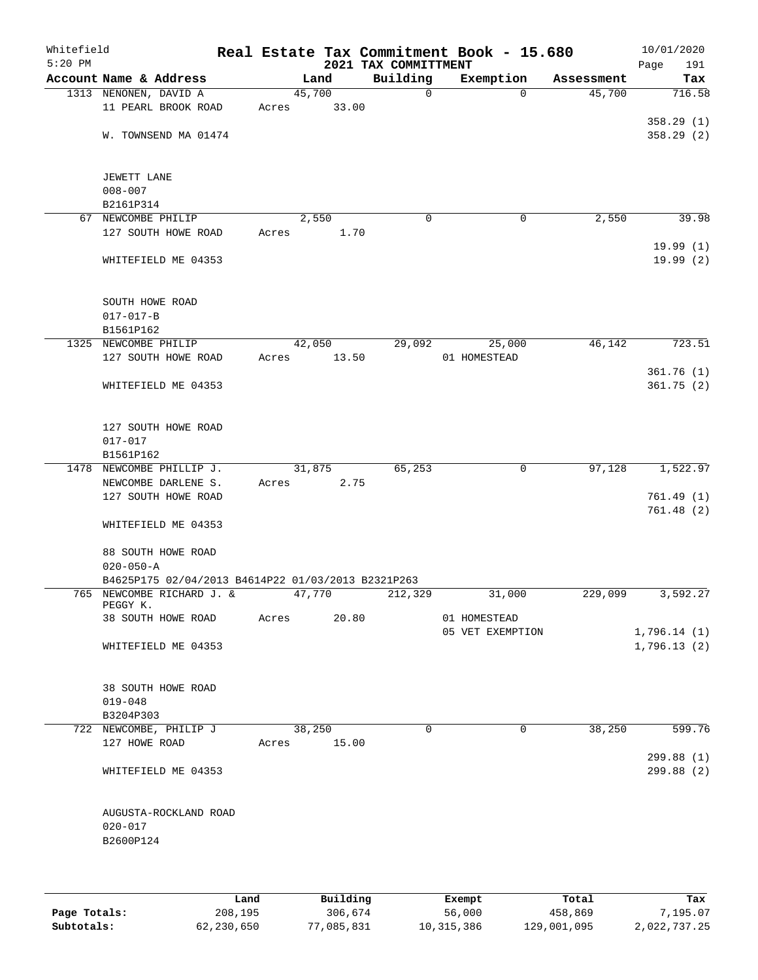| Whitefield<br>$5:20$ PM |                                                                                 |                | 2021 TAX COMMITTMENT | Real Estate Tax Commitment Book - 15.680 |            | 10/01/2020<br>Page<br>191 |
|-------------------------|---------------------------------------------------------------------------------|----------------|----------------------|------------------------------------------|------------|---------------------------|
|                         | Account Name & Address                                                          | Land           | Building             | Exemption                                | Assessment | Tax                       |
|                         | 1313 NENONEN, DAVID A                                                           | 45,700         | $\mathbf 0$          | $\Omega$                                 | 45,700     | 716.58                    |
|                         | 11 PEARL BROOK ROAD                                                             | 33.00<br>Acres |                      |                                          |            |                           |
|                         |                                                                                 |                |                      |                                          |            | 358.29(1)                 |
|                         | W. TOWNSEND MA 01474                                                            |                |                      |                                          |            | 358.29(2)                 |
|                         |                                                                                 |                |                      |                                          |            |                           |
|                         | JEWETT LANE                                                                     |                |                      |                                          |            |                           |
|                         | $008 - 007$                                                                     |                |                      |                                          |            |                           |
|                         | B2161P314                                                                       |                |                      |                                          |            |                           |
|                         | 67 NEWCOMBE PHILIP                                                              | 2,550          | $\mathbf 0$          | 0                                        | 2,550      | 39.98                     |
|                         | 127 SOUTH HOWE ROAD                                                             | 1.70<br>Acres  |                      |                                          |            |                           |
|                         |                                                                                 |                |                      |                                          |            | 19.99(1)                  |
|                         | WHITEFIELD ME 04353                                                             |                |                      |                                          |            | 19.99(2)                  |
|                         |                                                                                 |                |                      |                                          |            |                           |
|                         | SOUTH HOWE ROAD                                                                 |                |                      |                                          |            |                           |
|                         | $017 - 017 - B$                                                                 |                |                      |                                          |            |                           |
|                         | B1561P162                                                                       |                |                      |                                          |            |                           |
|                         | 1325 NEWCOMBE PHILIP                                                            | 42,050         | 29,092               | 25,000                                   | 46,142     | 723.51                    |
|                         | 127 SOUTH HOWE ROAD                                                             | 13.50<br>Acres |                      | 01 HOMESTEAD                             |            |                           |
|                         |                                                                                 |                |                      |                                          |            | 361.76(1)                 |
|                         | WHITEFIELD ME 04353                                                             |                |                      |                                          |            | 361.75(2)                 |
|                         |                                                                                 |                |                      |                                          |            |                           |
|                         |                                                                                 |                |                      |                                          |            |                           |
|                         | 127 SOUTH HOWE ROAD                                                             |                |                      |                                          |            |                           |
|                         | $017 - 017$<br>B1561P162                                                        |                |                      |                                          |            |                           |
|                         | 1478 NEWCOMBE PHILLIP J.                                                        | 31,875         | 65,253               | $\mathbf 0$                              | 97,128     | 1,522.97                  |
|                         | NEWCOMBE DARLENE S.                                                             | 2.75<br>Acres  |                      |                                          |            |                           |
|                         | 127 SOUTH HOWE ROAD                                                             |                |                      |                                          |            | 761.49(1)                 |
|                         |                                                                                 |                |                      |                                          |            | 761.48(2)                 |
|                         | WHITEFIELD ME 04353                                                             |                |                      |                                          |            |                           |
|                         |                                                                                 |                |                      |                                          |            |                           |
|                         | 88 SOUTH HOWE ROAD                                                              |                |                      |                                          |            |                           |
|                         | $020 - 050 - A$                                                                 |                |                      |                                          |            |                           |
|                         | B4625P175 02/04/2013 B4614P22 01/03/2013 B2321P263<br>765 NEWCOMBE RICHARD J. & | 47,770         | 212,329              | 31,000                                   | 229,099    | 3,592.27                  |
|                         | PEGGY K.                                                                        |                |                      |                                          |            |                           |
|                         | 38 SOUTH HOWE ROAD                                                              | 20.80<br>Acres |                      | 01 HOMESTEAD                             |            |                           |
|                         |                                                                                 |                |                      | 05 VET EXEMPTION                         |            | 1,796.14(1)               |
|                         | WHITEFIELD ME 04353                                                             |                |                      |                                          |            | 1,796.13(2)               |
|                         |                                                                                 |                |                      |                                          |            |                           |
|                         |                                                                                 |                |                      |                                          |            |                           |
|                         | 38 SOUTH HOWE ROAD<br>$019 - 048$                                               |                |                      |                                          |            |                           |
|                         | B3204P303                                                                       |                |                      |                                          |            |                           |
|                         | 722 NEWCOMBE, PHILIP J                                                          | 38,250         | $\Omega$             | 0                                        | 38,250     | 599.76                    |
|                         | 127 HOWE ROAD                                                                   | 15.00<br>Acres |                      |                                          |            |                           |
|                         |                                                                                 |                |                      |                                          |            | 299.88 (1)                |
|                         | WHITEFIELD ME 04353                                                             |                |                      |                                          |            | 299.88 (2)                |
|                         |                                                                                 |                |                      |                                          |            |                           |
|                         |                                                                                 |                |                      |                                          |            |                           |
|                         | AUGUSTA-ROCKLAND ROAD                                                           |                |                      |                                          |            |                           |
|                         | $020 - 017$<br>B2600P124                                                        |                |                      |                                          |            |                           |
|                         |                                                                                 |                |                      |                                          |            |                           |
|                         |                                                                                 |                |                      |                                          |            |                           |
|                         |                                                                                 |                |                      |                                          |            |                           |

|              | Land       | Building   | Exempt     | Total       | Tax          |
|--------------|------------|------------|------------|-------------|--------------|
| Page Totals: | 208,195    | 306,674    | 56,000     | 458,869     | 7,195.07     |
| Subtotals:   | 62,230,650 | 77,085,831 | 10,315,386 | 129,001,095 | 2,022,737.25 |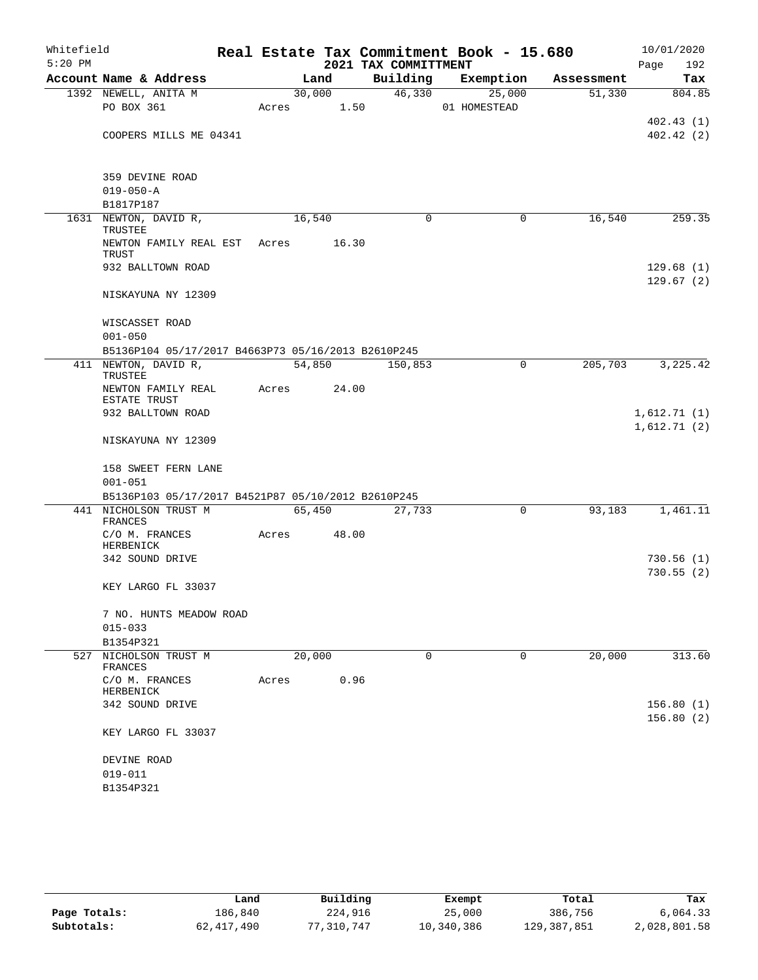| Whitefield<br>$5:20$ PM |                                                                             |       |        | 2021 TAX COMMITTMENT | Real Estate Tax Commitment Book - 15.680 |            | 10/01/2020<br>192<br>Page  |
|-------------------------|-----------------------------------------------------------------------------|-------|--------|----------------------|------------------------------------------|------------|----------------------------|
|                         | Account Name & Address                                                      |       | Land   | Building             | Exemption                                | Assessment | Tax                        |
|                         | 1392 NEWELL, ANITA M                                                        |       | 30,000 | 46,330               | 25,000                                   | 51,330     | 804.85                     |
|                         | PO BOX 361                                                                  | Acres | 1.50   |                      | 01 HOMESTEAD                             |            |                            |
|                         |                                                                             |       |        |                      |                                          |            | 402.43(1)                  |
|                         | COOPERS MILLS ME 04341                                                      |       |        |                      |                                          |            | 402.42(2)                  |
|                         | 359 DEVINE ROAD                                                             |       |        |                      |                                          |            |                            |
|                         | $019 - 050 - A$                                                             |       |        |                      |                                          |            |                            |
|                         | B1817P187                                                                   |       |        |                      |                                          |            |                            |
|                         | 1631 NEWTON, DAVID R,<br>TRUSTEE                                            |       | 16,540 | $\Omega$             | 0                                        | 16,540     | 259.35                     |
|                         | NEWTON FAMILY REAL EST<br>TRUST                                             | Acres | 16.30  |                      |                                          |            |                            |
|                         | 932 BALLTOWN ROAD                                                           |       |        |                      |                                          |            | 129.68(1)<br>129.67(2)     |
|                         | NISKAYUNA NY 12309                                                          |       |        |                      |                                          |            |                            |
|                         | WISCASSET ROAD<br>$001 - 050$                                               |       |        |                      |                                          |            |                            |
|                         | B5136P104 05/17/2017 B4663P73 05/16/2013 B2610P245                          |       |        |                      |                                          |            |                            |
|                         | 411 NEWTON, DAVID R,<br>TRUSTEE                                             |       | 54,850 | 150,853              | 0                                        | 205,703    | 3,225.42                   |
|                         | NEWTON FAMILY REAL<br>ESTATE TRUST                                          | Acres | 24.00  |                      |                                          |            |                            |
|                         | 932 BALLTOWN ROAD                                                           |       |        |                      |                                          |            | 1,612.71(1)<br>1,612.71(2) |
|                         | NISKAYUNA NY 12309                                                          |       |        |                      |                                          |            |                            |
|                         | 158 SWEET FERN LANE                                                         |       |        |                      |                                          |            |                            |
|                         | $001 - 051$                                                                 |       |        |                      |                                          |            |                            |
|                         | B5136P103 05/17/2017 B4521P87 05/10/2012 B2610P245<br>441 NICHOLSON TRUST M |       | 65,450 | 27,733               | 0                                        | 93,183     | 1,461.11                   |
|                         | FRANCES                                                                     |       |        |                      |                                          |            |                            |
|                         | C/O M. FRANCES<br>HERBENICK                                                 | Acres | 48.00  |                      |                                          |            |                            |
|                         | 342 SOUND DRIVE                                                             |       |        |                      |                                          |            | 730.56(1)<br>730.55(2)     |
|                         | KEY LARGO FL 33037                                                          |       |        |                      |                                          |            |                            |
|                         | 7 NO. HUNTS MEADOW ROAD                                                     |       |        |                      |                                          |            |                            |
|                         | $015 - 033$<br>B1354P321                                                    |       |        |                      |                                          |            |                            |
| 527                     | NICHOLSON TRUST M                                                           |       | 20,000 | 0                    | 0                                        | 20,000     | 313.60                     |
|                         | FRANCES                                                                     |       |        |                      |                                          |            |                            |
|                         | C/O M. FRANCES<br>HERBENICK                                                 | Acres |        | 0.96                 |                                          |            |                            |
|                         | 342 SOUND DRIVE                                                             |       |        |                      |                                          |            | 156.80(1)<br>156.80(2)     |
|                         | KEY LARGO FL 33037                                                          |       |        |                      |                                          |            |                            |
|                         | DEVINE ROAD                                                                 |       |        |                      |                                          |            |                            |
|                         | $019 - 011$                                                                 |       |        |                      |                                          |            |                            |
|                         | B1354P321                                                                   |       |        |                      |                                          |            |                            |

|              | Land         | Building   | Exempt     | Total       | Tax          |
|--------------|--------------|------------|------------|-------------|--------------|
| Page Totals: | 186.840      | 224,916    | 25,000     | 386,756     | 6,064.33     |
| Subtotals:   | 62, 417, 490 | 77,310,747 | 10,340,386 | 129,387,851 | 2,028,801.58 |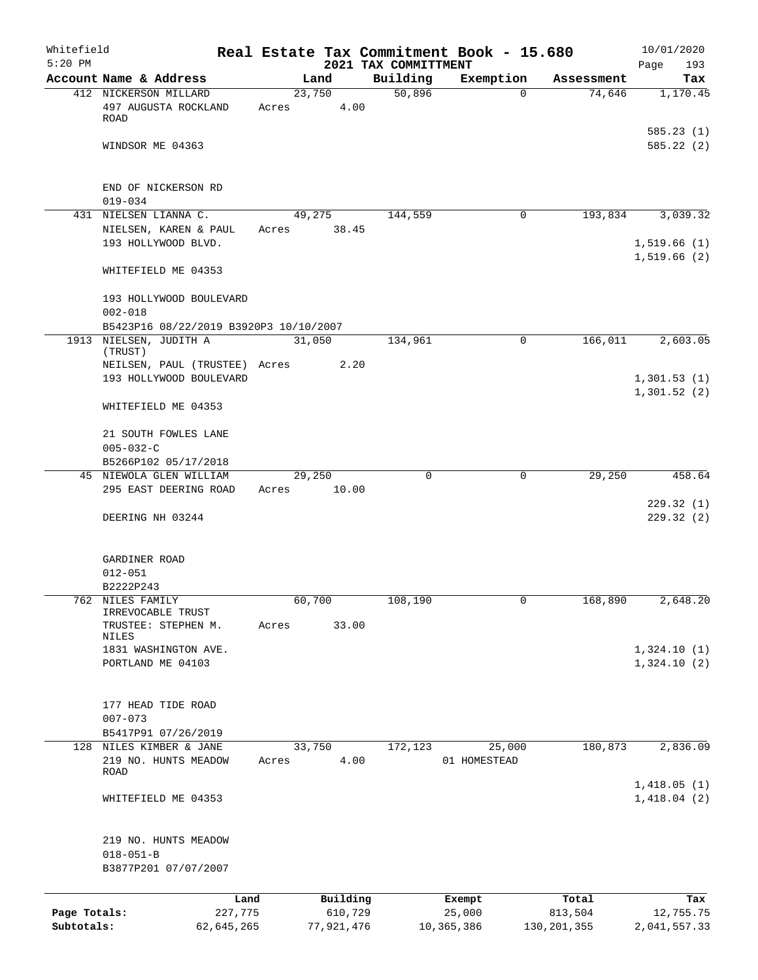| Whitefield<br>$5:20$ PM    |                                                                 |                 |                       | Real Estate Tax Commitment Book - 15.680<br>2021 TAX COMMITTMENT |                      |                          | 10/01/2020<br>Page<br>193  |
|----------------------------|-----------------------------------------------------------------|-----------------|-----------------------|------------------------------------------------------------------|----------------------|--------------------------|----------------------------|
|                            | Account Name & Address                                          |                 | Land                  | Building                                                         | Exemption            | Assessment               | Tax                        |
|                            | 412 NICKERSON MILLARD                                           | 23,750          |                       | 50,896                                                           | $\Omega$             | 74,646                   | 1,170.45                   |
|                            | 497 AUGUSTA ROCKLAND<br>ROAD                                    | Acres           | 4.00                  |                                                                  |                      |                          |                            |
|                            | WINDSOR ME 04363                                                |                 |                       |                                                                  |                      |                          | 585.23(1)<br>585.22(2)     |
|                            | END OF NICKERSON RD<br>$019 - 034$                              |                 |                       |                                                                  |                      |                          |                            |
|                            | 431 NIELSEN LIANNA C.                                           |                 | 49,275                | 144,559                                                          | $\mathbf 0$          | 193,834                  | 3,039.32                   |
|                            | NIELSEN, KAREN & PAUL<br>193 HOLLYWOOD BLVD.                    | Acres 38.45     |                       |                                                                  |                      |                          | 1,519.66(1)                |
|                            | WHITEFIELD ME 04353                                             |                 |                       |                                                                  |                      |                          | 1,519.66(2)                |
|                            | 193 HOLLYWOOD BOULEVARD                                         |                 |                       |                                                                  |                      |                          |                            |
|                            | $002 - 018$<br>B5423P16 08/22/2019 B3920P3 10/10/2007           |                 |                       |                                                                  |                      |                          |                            |
|                            | 1913 NIELSEN, JUDITH A<br>(TRUST)                               | 31,050          |                       | 134,961                                                          | $\mathbf 0$          | 166,011                  | 2,603.05                   |
|                            | NEILSEN, PAUL (TRUSTEE) Acres<br>193 HOLLYWOOD BOULEVARD        |                 | 2.20                  |                                                                  |                      |                          | 1,301.53(1)                |
|                            | WHITEFIELD ME 04353                                             |                 |                       |                                                                  |                      |                          | 1,301.52(2)                |
|                            | 21 SOUTH FOWLES LANE                                            |                 |                       |                                                                  |                      |                          |                            |
|                            | $005 - 032 - C$                                                 |                 |                       |                                                                  |                      |                          |                            |
|                            | B5266P102 05/17/2018                                            |                 |                       |                                                                  |                      |                          |                            |
|                            | 45 NIEWOLA GLEN WILLIAM<br>295 EAST DEERING ROAD                | 29,250<br>Acres | 10.00                 | $\mathbf 0$                                                      | $\mathbf 0$          | 29,250                   | 458.64                     |
|                            | DEERING NH 03244                                                |                 |                       |                                                                  |                      |                          | 229.32(1)<br>229.32(2)     |
|                            | GARDINER ROAD                                                   |                 |                       |                                                                  |                      |                          |                            |
|                            | $012 - 051$                                                     |                 |                       |                                                                  |                      |                          |                            |
|                            | B2222P243<br>762 NILES FAMILY                                   | 60,700          |                       | 108,190                                                          |                      | 168,890                  | 2,648.20                   |
|                            | IRREVOCABLE TRUST<br>TRUSTEE: STEPHEN M.                        | Acres           | 33.00                 |                                                                  |                      |                          |                            |
|                            | NILES<br>1831 WASHINGTON AVE.                                   |                 |                       |                                                                  |                      |                          | 1,324.10(1)                |
|                            | PORTLAND ME 04103                                               |                 |                       |                                                                  |                      |                          | 1,324.10(2)                |
|                            | 177 HEAD TIDE ROAD                                              |                 |                       |                                                                  |                      |                          |                            |
|                            | $007 - 073$<br>B5417P91 07/26/2019                              |                 |                       |                                                                  |                      |                          |                            |
| 128                        | NILES KIMBER & JANE                                             | 33,750          |                       | 172,123                                                          | 25,000               | 180,873                  | 2,836.09                   |
|                            | 219 NO. HUNTS MEADOW<br>ROAD                                    | Acres           | 4.00                  |                                                                  | 01 HOMESTEAD         |                          |                            |
|                            | WHITEFIELD ME 04353                                             |                 |                       |                                                                  |                      |                          | 1,418.05(1)<br>1,418.04(2) |
|                            | 219 NO. HUNTS MEADOW<br>$018 - 051 - B$<br>B3877P201 07/07/2007 |                 |                       |                                                                  |                      |                          |                            |
|                            | Land                                                            |                 | Building              |                                                                  | Exempt               | Total                    | Tax                        |
| Page Totals:<br>Subtotals: | 227,775<br>62,645,265                                           |                 | 610,729<br>77,921,476 |                                                                  | 25,000<br>10,365,386 | 813,504<br>130, 201, 355 | 12,755.75<br>2,041,557.33  |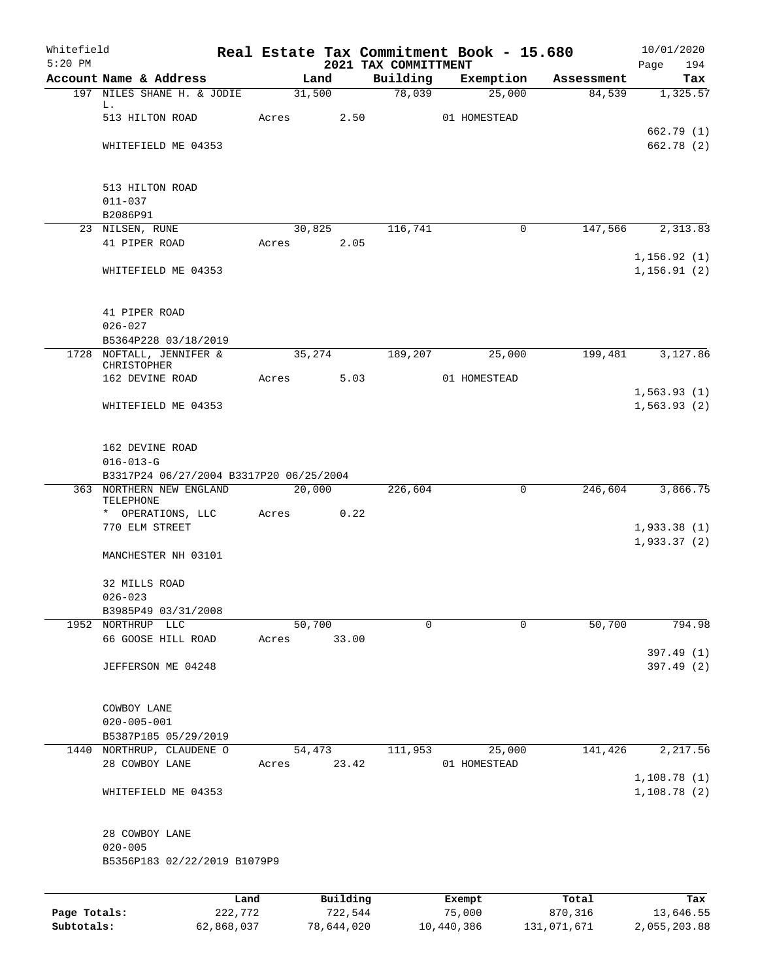| Whitefield<br>$5:20$ PM |                                                            |         |       |          |                                  | Real Estate Tax Commitment Book - 15.680 |            | 10/01/2020                   |
|-------------------------|------------------------------------------------------------|---------|-------|----------|----------------------------------|------------------------------------------|------------|------------------------------|
|                         | Account Name & Address                                     |         |       | Land     | 2021 TAX COMMITTMENT<br>Building | Exemption                                | Assessment | Page<br>194<br>Tax           |
|                         | 197 NILES SHANE H. & JODIE                                 |         |       | 31,500   | 78,039                           | 25,000                                   | 84,539     | 1,325.57                     |
|                         | L.                                                         |         |       |          |                                  |                                          |            |                              |
|                         | 513 HILTON ROAD                                            |         | Acres | 2.50     |                                  | 01 HOMESTEAD                             |            | 662.79 (1)                   |
|                         | WHITEFIELD ME 04353                                        |         |       |          |                                  |                                          |            | 662.78 (2)                   |
|                         |                                                            |         |       |          |                                  |                                          |            |                              |
|                         |                                                            |         |       |          |                                  |                                          |            |                              |
|                         | 513 HILTON ROAD<br>$011 - 037$                             |         |       |          |                                  |                                          |            |                              |
|                         | B2086P91                                                   |         |       |          |                                  |                                          |            |                              |
|                         | 23 NILSEN, RUNE                                            |         |       | 30,825   | 116,741                          | $\mathbf 0$                              | 147,566    | 2,313.83                     |
|                         | 41 PIPER ROAD                                              |         | Acres | 2.05     |                                  |                                          |            |                              |
|                         | WHITEFIELD ME 04353                                        |         |       |          |                                  |                                          |            | 1, 156.92(1)<br>1, 156.91(2) |
|                         |                                                            |         |       |          |                                  |                                          |            |                              |
|                         |                                                            |         |       |          |                                  |                                          |            |                              |
|                         | 41 PIPER ROAD                                              |         |       |          |                                  |                                          |            |                              |
|                         | $026 - 027$<br>B5364P228 03/18/2019                        |         |       |          |                                  |                                          |            |                              |
|                         | 1728 NOFTALL, JENNIFER &                                   |         |       | 35,274   | 189,207                          | 25,000                                   | 199,481    | 3,127.86                     |
|                         | CHRISTOPHER                                                |         |       |          |                                  |                                          |            |                              |
|                         | 162 DEVINE ROAD                                            |         | Acres | 5.03     |                                  | 01 HOMESTEAD                             |            |                              |
|                         | WHITEFIELD ME 04353                                        |         |       |          |                                  |                                          |            | 1,563.93(1)<br>1,563.93(2)   |
|                         |                                                            |         |       |          |                                  |                                          |            |                              |
|                         |                                                            |         |       |          |                                  |                                          |            |                              |
|                         | 162 DEVINE ROAD                                            |         |       |          |                                  |                                          |            |                              |
|                         | $016 - 013 - G$<br>B3317P24 06/27/2004 B3317P20 06/25/2004 |         |       |          |                                  |                                          |            |                              |
|                         | 363 NORTHERN NEW ENGLAND                                   |         |       | 20,000   | 226,604                          | 0                                        | 246,604    | 3,866.75                     |
|                         | TELEPHONE                                                  |         |       |          |                                  |                                          |            |                              |
|                         | * OPERATIONS, LLC<br>770 ELM STREET                        |         | Acres | 0.22     |                                  |                                          |            | 1,933.38(1)                  |
|                         |                                                            |         |       |          |                                  |                                          |            | 1,933.37(2)                  |
|                         | MANCHESTER NH 03101                                        |         |       |          |                                  |                                          |            |                              |
|                         |                                                            |         |       |          |                                  |                                          |            |                              |
|                         | 32 MILLS ROAD<br>$026 - 023$                               |         |       |          |                                  |                                          |            |                              |
|                         | B3985P49 03/31/2008                                        |         |       |          |                                  |                                          |            |                              |
|                         | 1952 NORTHRUP LLC                                          |         |       | 50,700   | $\Omega$                         | $\Omega$                                 | 50,700     | 794.98                       |
|                         | 66 GOOSE HILL ROAD                                         |         | Acres | 33.00    |                                  |                                          |            |                              |
|                         | JEFFERSON ME 04248                                         |         |       |          |                                  |                                          |            | 397.49 (1)                   |
|                         |                                                            |         |       |          |                                  |                                          |            | 397.49 (2)                   |
|                         |                                                            |         |       |          |                                  |                                          |            |                              |
|                         | COWBOY LANE                                                |         |       |          |                                  |                                          |            |                              |
|                         | $020 - 005 - 001$                                          |         |       |          |                                  |                                          |            |                              |
|                         | B5387P185 05/29/2019<br>1440 NORTHRUP, CLAUDENE O          |         |       | 54,473   | 111,953                          | 25,000                                   | 141,426    | 2,217.56                     |
|                         | 28 COWBOY LANE                                             |         | Acres | 23.42    |                                  | 01 HOMESTEAD                             |            |                              |
|                         |                                                            |         |       |          |                                  |                                          |            | 1,108.78(1)                  |
|                         | WHITEFIELD ME 04353                                        |         |       |          |                                  |                                          |            | 1,108.78(2)                  |
|                         | 28 COWBOY LANE                                             |         |       |          |                                  |                                          |            |                              |
|                         | $020 - 005$                                                |         |       |          |                                  |                                          |            |                              |
|                         | B5356P183 02/22/2019 B1079P9                               |         |       |          |                                  |                                          |            |                              |
|                         |                                                            |         |       |          |                                  |                                          |            |                              |
|                         |                                                            | Land    |       | Building |                                  | Exempt                                   | Total      | Tax                          |
| Page Totals:            |                                                            | 222,772 |       | 722,544  |                                  | 75,000                                   | 870,316    | 13,646.55                    |

**Subtotals:** 62,868,037 78,644,020 10,440,386 131,071,671 2,055,203.88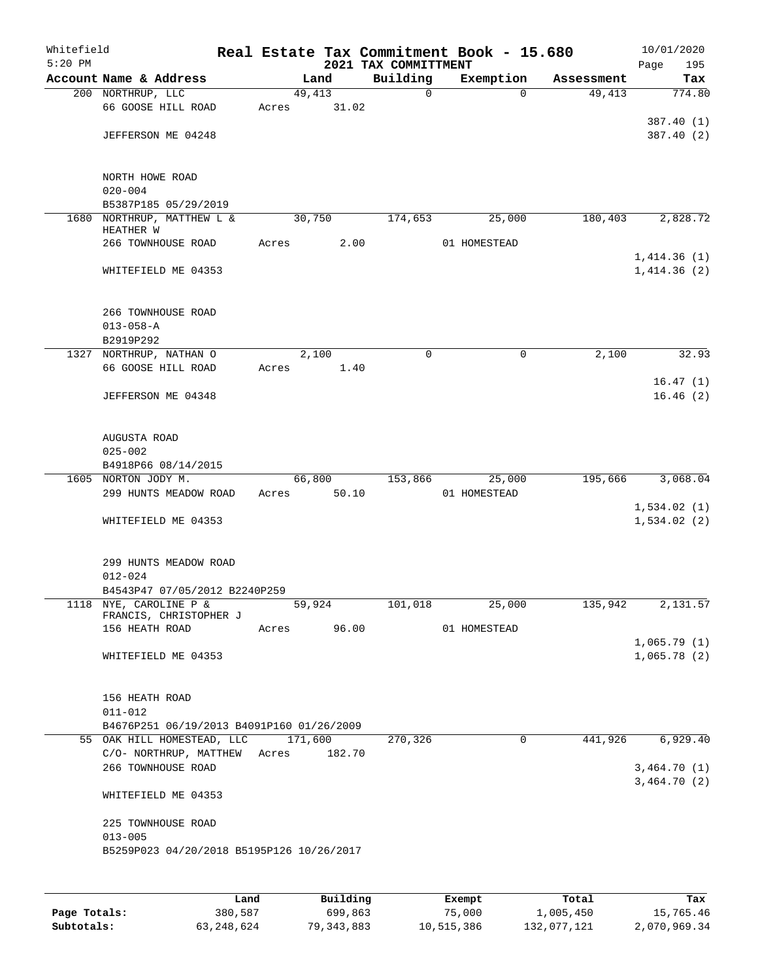| Whitefield<br>$5:20$ PM |                                           |       |         |          | Real Estate Tax Commitment Book - 15.680<br>2021 TAX COMMITTMENT |               |              |            | 10/01/2020<br>195<br>Page  |
|-------------------------|-------------------------------------------|-------|---------|----------|------------------------------------------------------------------|---------------|--------------|------------|----------------------------|
|                         | Account Name & Address                    |       | Land    |          | Building                                                         |               | Exemption    | Assessment | Tax                        |
|                         | 200 NORTHRUP, LLC                         |       | 49,413  |          | 0                                                                |               | $\Omega$     | 49,413     | 774.80                     |
|                         | 66 GOOSE HILL ROAD                        | Acres |         | 31.02    |                                                                  |               |              |            |                            |
|                         |                                           |       |         |          |                                                                  |               |              |            | 387.40 (1)                 |
|                         | JEFFERSON ME 04248                        |       |         |          |                                                                  |               |              |            | 387.40 (2)                 |
|                         |                                           |       |         |          |                                                                  |               |              |            |                            |
|                         | NORTH HOWE ROAD<br>$020 - 004$            |       |         |          |                                                                  |               |              |            |                            |
|                         | B5387P185 05/29/2019                      |       |         |          |                                                                  |               |              |            |                            |
|                         | 1680 NORTHRUP, MATTHEW L &                |       | 30,750  |          | 174,653                                                          |               | 25,000       | 180,403    | 2,828.72                   |
|                         | HEATHER W                                 |       |         |          |                                                                  |               |              |            |                            |
|                         | 266 TOWNHOUSE ROAD                        | Acres |         | 2.00     |                                                                  |               | 01 HOMESTEAD |            |                            |
|                         |                                           |       |         |          |                                                                  |               |              |            | 1,414.36(1)                |
|                         | WHITEFIELD ME 04353                       |       |         |          |                                                                  |               |              |            | 1,414.36(2)                |
|                         | 266 TOWNHOUSE ROAD                        |       |         |          |                                                                  |               |              |            |                            |
|                         | $013 - 058 - A$                           |       |         |          |                                                                  |               |              |            |                            |
|                         | B2919P292                                 |       |         |          |                                                                  |               |              |            |                            |
|                         | 1327 NORTHRUP, NATHAN O                   |       | 2,100   |          | 0                                                                |               | 0            | 2,100      | 32.93                      |
|                         | 66 GOOSE HILL ROAD                        | Acres |         | 1.40     |                                                                  |               |              |            |                            |
|                         | JEFFERSON ME 04348                        |       |         |          |                                                                  |               |              |            | 16.47(1)                   |
|                         |                                           |       |         |          |                                                                  |               |              |            | 16.46(2)                   |
|                         | AUGUSTA ROAD                              |       |         |          |                                                                  |               |              |            |                            |
|                         | $025 - 002$                               |       |         |          |                                                                  |               |              |            |                            |
|                         | B4918P66 08/14/2015                       |       |         |          |                                                                  |               |              |            |                            |
|                         | 1605 NORTON JODY M.                       |       | 66,800  |          | 153,866                                                          |               | 25,000       | 195,666    | 3,068.04                   |
|                         | 299 HUNTS MEADOW ROAD                     | Acres |         | 50.10    |                                                                  |               | 01 HOMESTEAD |            |                            |
|                         |                                           |       |         |          |                                                                  |               |              |            | 1,534.02(1)                |
|                         | WHITEFIELD ME 04353                       |       |         |          |                                                                  |               |              |            | 1,534.02(2)                |
|                         | 299 HUNTS MEADOW ROAD                     |       |         |          |                                                                  |               |              |            |                            |
|                         | $012 - 024$                               |       |         |          |                                                                  |               |              |            |                            |
|                         | B4543P47 07/05/2012 B2240P259             |       |         |          |                                                                  |               |              |            |                            |
|                         | 1118 NYE, CAROLINE P &                    |       | 59,924  |          | 101,018                                                          |               | 25,000       | 135,942    | 2,131.57                   |
|                         | FRANCIS, CHRISTOPHER J                    |       |         |          |                                                                  |               |              |            |                            |
|                         | 156 HEATH ROAD                            | Acres |         | 96.00    |                                                                  |               | 01 HOMESTEAD |            |                            |
|                         | WHITEFIELD ME 04353                       |       |         |          |                                                                  |               |              |            | 1,065.79(1)<br>1,065.78(2) |
|                         |                                           |       |         |          |                                                                  |               |              |            |                            |
|                         | 156 HEATH ROAD                            |       |         |          |                                                                  |               |              |            |                            |
|                         | $011 - 012$                               |       |         |          |                                                                  |               |              |            |                            |
|                         | B4676P251 06/19/2013 B4091P160 01/26/2009 |       |         |          |                                                                  |               |              |            |                            |
|                         | 55 OAK HILL HOMESTEAD, LLC                |       | 171,600 |          | 270,326                                                          |               | $\mathbf 0$  | 441,926    | 6,929.40                   |
|                         | C/O- NORTHRUP, MATTHEW Acres              |       |         | 182.70   |                                                                  |               |              |            |                            |
|                         | 266 TOWNHOUSE ROAD                        |       |         |          |                                                                  |               |              |            | 3,464.70(1)<br>3,464.70(2) |
|                         | WHITEFIELD ME 04353                       |       |         |          |                                                                  |               |              |            |                            |
|                         | 225 TOWNHOUSE ROAD                        |       |         |          |                                                                  |               |              |            |                            |
|                         | $013 - 005$                               |       |         |          |                                                                  |               |              |            |                            |
|                         | B5259P023 04/20/2018 B5195P126 10/26/2017 |       |         |          |                                                                  |               |              |            |                            |
|                         |                                           |       |         |          |                                                                  |               |              |            |                            |
|                         |                                           | Land  |         | Building |                                                                  | <b>Exempt</b> |              | Total      | Tax                        |

|              | Land         | Building   | Exempt     | Total       | Tax          |
|--------------|--------------|------------|------------|-------------|--------------|
| Page Totals: | 380,587      | 699,863    | 75,000     | 1,005,450   | 15,765.46    |
| Subtotals:   | 63, 248, 624 | 79,343,883 | 10,515,386 | 132,077,121 | 2,070,969.34 |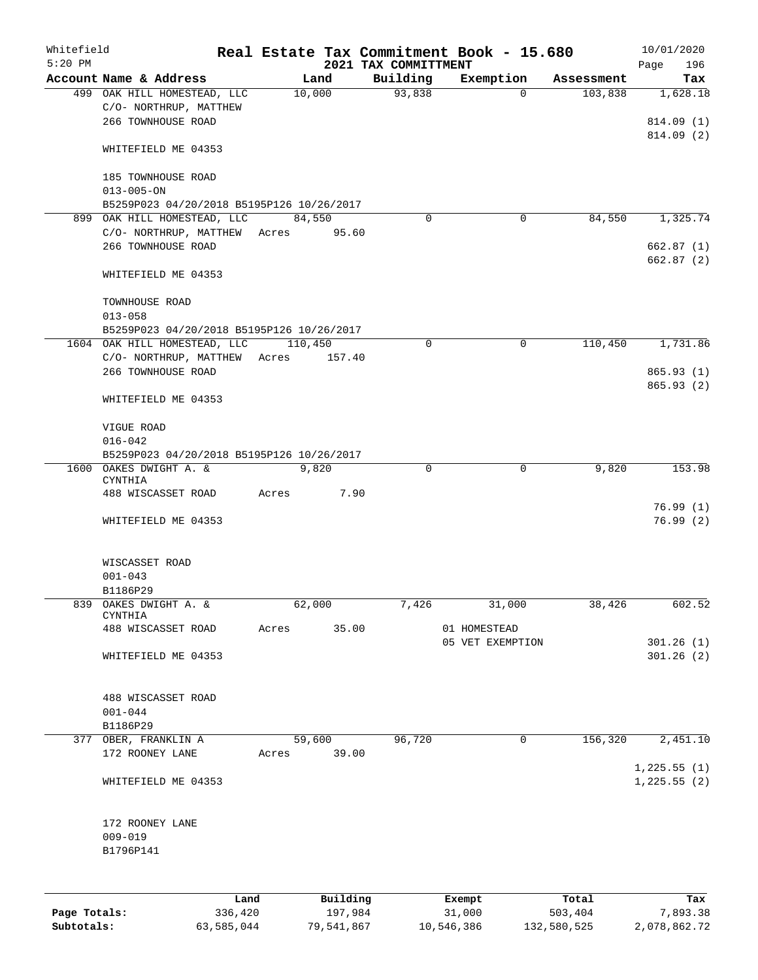| Whitefield<br>$5:20$ PM |                                                                                   |       |                     | 2021 TAX COMMITTMENT | Real Estate Tax Commitment Book - 15.680 |                  | 10/01/2020<br>196<br>Page           |
|-------------------------|-----------------------------------------------------------------------------------|-------|---------------------|----------------------|------------------------------------------|------------------|-------------------------------------|
|                         | Account Name & Address                                                            |       | Land                | Building             | Exemption                                | Assessment       | Tax                                 |
|                         | 499 OAK HILL HOMESTEAD, LLC<br>C/O- NORTHRUP, MATTHEW<br>266 TOWNHOUSE ROAD       |       | 10,000              | 93,838               | $\Omega$                                 | 103,838          | 1,628.18<br>814.09 (1)<br>814.09(2) |
|                         | WHITEFIELD ME 04353                                                               |       |                     |                      |                                          |                  |                                     |
|                         | 185 TOWNHOUSE ROAD<br>$013 - 005 - ON$                                            |       |                     |                      |                                          |                  |                                     |
|                         | B5259P023 04/20/2018 B5195P126 10/26/2017                                         |       |                     |                      |                                          |                  |                                     |
|                         | 899 OAK HILL HOMESTEAD, LLC<br>C/O- NORTHRUP, MATTHEW Acres<br>266 TOWNHOUSE ROAD |       | 84,550<br>95.60     | $\Omega$             | 0                                        | 84,550           | 1,325.74<br>662.87(1)               |
|                         | WHITEFIELD ME 04353                                                               |       |                     |                      |                                          |                  | 662.87 (2)                          |
|                         | TOWNHOUSE ROAD<br>$013 - 058$                                                     |       |                     |                      |                                          |                  |                                     |
|                         | B5259P023 04/20/2018 B5195P126 10/26/2017                                         |       |                     |                      |                                          |                  |                                     |
|                         | 1604 OAK HILL HOMESTEAD, LLC                                                      |       | 110,450             | 0                    | $\mathbf 0$                              | 110,450          | 1,731.86                            |
|                         | C/O- NORTHRUP, MATTHEW Acres<br>266 TOWNHOUSE ROAD                                |       | 157.40              |                      |                                          |                  | 865.93(1)<br>865.93(2)              |
|                         | WHITEFIELD ME 04353                                                               |       |                     |                      |                                          |                  |                                     |
|                         | VIGUE ROAD<br>$016 - 042$                                                         |       |                     |                      |                                          |                  |                                     |
|                         | B5259P023 04/20/2018 B5195P126 10/26/2017                                         |       |                     |                      |                                          |                  |                                     |
|                         | 1600 OAKES DWIGHT A. &<br>CYNTHIA<br>488 WISCASSET ROAD                           | Acres | 9,820<br>7.90       | 0                    | $\mathbf 0$                              | 9,820            | 153.98                              |
|                         | WHITEFIELD ME 04353                                                               |       |                     |                      |                                          |                  | 76.99(1)<br>76.99(2)                |
|                         |                                                                                   |       |                     |                      |                                          |                  |                                     |
|                         | WISCASSET ROAD                                                                    |       |                     |                      |                                          |                  |                                     |
|                         | $001 - 043$                                                                       |       |                     |                      |                                          |                  |                                     |
|                         | B1186P29                                                                          |       |                     |                      |                                          |                  |                                     |
| 839                     | OAKES DWIGHT A. &<br>CYNTHIA<br>488 WISCASSET ROAD                                | Acres | 62,000<br>35.00     | 7,426                | 31,000<br>01 HOMESTEAD                   | 38,426           | 602.52                              |
|                         | WHITEFIELD ME 04353                                                               |       |                     |                      | 05 VET EXEMPTION                         |                  | 301.26(1)<br>301.26(2)              |
|                         |                                                                                   |       |                     |                      |                                          |                  |                                     |
|                         | 488 WISCASSET ROAD<br>$001 - 044$<br>B1186P29                                     |       |                     |                      |                                          |                  |                                     |
|                         | 377 OBER, FRANKLIN A                                                              |       | 59,600              | 96,720               | 0                                        | 156,320          | 2,451.10                            |
|                         | 172 ROONEY LANE                                                                   | Acres | 39.00               |                      |                                          |                  | 1,225.55(1)                         |
|                         | WHITEFIELD ME 04353                                                               |       |                     |                      |                                          |                  | 1,225.55(2)                         |
|                         | 172 ROONEY LANE<br>$009 - 019$<br>B1796P141                                       |       |                     |                      |                                          |                  |                                     |
|                         |                                                                                   |       |                     |                      |                                          |                  |                                     |
| Page Totals:            | Land<br>336,420                                                                   |       | Building<br>197,984 |                      | Exempt<br>31,000                         | Total<br>503,404 | Tax<br>7,893.38                     |

**Subtotals:** 63,585,044 79,541,867 10,546,386 132,580,525 2,078,862.72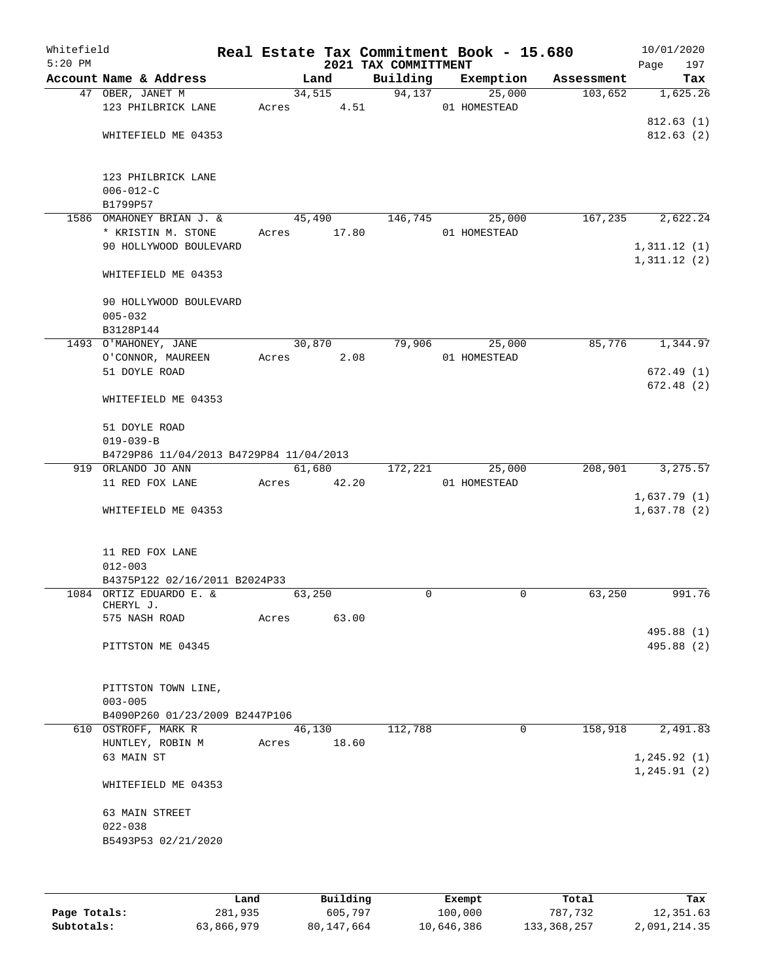| Whitefield<br>$5:20$ PM |                                                            |       |                | 2021 TAX COMMITTMENT | Real Estate Tax Commitment Book - 15.680 |            | Page                         | 10/01/2020<br>197        |
|-------------------------|------------------------------------------------------------|-------|----------------|----------------------|------------------------------------------|------------|------------------------------|--------------------------|
|                         | Account Name & Address                                     |       | Land           | Building             | Exemption                                | Assessment |                              | Tax                      |
|                         | 47 OBER, JANET M<br>123 PHILBRICK LANE                     | Acres | 34,515<br>4.51 | 94,137               | 25,000<br>01 HOMESTEAD                   | 103,652    |                              | 1,625.26                 |
|                         |                                                            |       |                |                      |                                          |            |                              | 812.63(1)                |
|                         | WHITEFIELD ME 04353                                        |       |                |                      |                                          |            |                              | 812.63(2)                |
|                         | 123 PHILBRICK LANE<br>$006 - 012 - C$                      |       |                |                      |                                          |            |                              |                          |
|                         | B1799P57                                                   |       |                |                      |                                          |            |                              |                          |
|                         | 1586 OMAHONEY BRIAN J. &                                   |       | 45,490         | 146,745              | 25,000                                   | 167,235    |                              | 2,622.24                 |
|                         | * KRISTIN M. STONE                                         | Acres | 17.80          |                      | 01 HOMESTEAD                             |            |                              |                          |
|                         | 90 HOLLYWOOD BOULEVARD                                     |       |                |                      |                                          |            | 1,311.12(1)<br>1,311.12(2)   |                          |
|                         | WHITEFIELD ME 04353                                        |       |                |                      |                                          |            |                              |                          |
|                         | 90 HOLLYWOOD BOULEVARD<br>$005 - 032$                      |       |                |                      |                                          |            |                              |                          |
|                         | B3128P144                                                  |       |                |                      |                                          |            |                              |                          |
|                         | 1493 O'MAHONEY, JANE                                       |       | 30,870         | 79,906               | 25,000                                   | 85,776     |                              | 1,344.97                 |
|                         | O'CONNOR, MAUREEN                                          | Acres | 2.08           |                      | 01 HOMESTEAD                             |            |                              |                          |
|                         | 51 DOYLE ROAD                                              |       |                |                      |                                          |            |                              | 672.49(1)                |
|                         | WHITEFIELD ME 04353                                        |       |                |                      |                                          |            |                              | 672.48(2)                |
|                         | 51 DOYLE ROAD                                              |       |                |                      |                                          |            |                              |                          |
|                         | $019 - 039 - B$<br>B4729P86 11/04/2013 B4729P84 11/04/2013 |       |                |                      |                                          |            |                              |                          |
|                         | 919 ORLANDO JO ANN                                         |       | 61,680         | 172,221              | 25,000                                   | 208,901    |                              | 3,275.57                 |
|                         | 11 RED FOX LANE                                            | Acres | 42.20          |                      | 01 HOMESTEAD                             |            |                              |                          |
|                         | WHITEFIELD ME 04353                                        |       |                |                      |                                          |            | 1,637.79(1)<br>1,637.78(2)   |                          |
|                         |                                                            |       |                |                      |                                          |            |                              |                          |
|                         | 11 RED FOX LANE<br>$012 - 003$                             |       |                |                      |                                          |            |                              |                          |
|                         | B4375P122 02/16/2011 B2024P33                              |       |                |                      |                                          |            |                              |                          |
|                         | 1084 ORTIZ EDUARDO E. &                                    |       | 63,250         | $\Omega$             | 0                                        | 63,250     |                              | 991.76                   |
|                         | CHERYL J.                                                  |       |                |                      |                                          |            |                              |                          |
|                         | 575 NASH ROAD                                              | Acres | 63.00          |                      |                                          |            |                              |                          |
|                         | PITTSTON ME 04345                                          |       |                |                      |                                          |            |                              | 495.88 (1)<br>495.88 (2) |
|                         | PITTSTON TOWN LINE,                                        |       |                |                      |                                          |            |                              |                          |
|                         | $003 - 005$                                                |       |                |                      |                                          |            |                              |                          |
|                         | B4090P260 01/23/2009 B2447P106                             |       |                |                      |                                          |            |                              |                          |
|                         | 610 OSTROFF, MARK R                                        |       | 46,130         | 112,788              | $\mathbf 0$                              | 158,918    |                              | 2,491.83                 |
|                         | HUNTLEY, ROBIN M                                           | Acres | 18.60          |                      |                                          |            |                              |                          |
|                         | 63 MAIN ST                                                 |       |                |                      |                                          |            | 1, 245.92(1)<br>1, 245.91(2) |                          |
|                         | WHITEFIELD ME 04353                                        |       |                |                      |                                          |            |                              |                          |
|                         | 63 MAIN STREET                                             |       |                |                      |                                          |            |                              |                          |
|                         | $022 - 038$                                                |       |                |                      |                                          |            |                              |                          |
|                         | B5493P53 02/21/2020                                        |       |                |                      |                                          |            |                              |                          |
|                         |                                                            |       |                |                      |                                          |            |                              |                          |
|                         |                                                            |       |                |                      |                                          |            |                              |                          |
|                         |                                                            |       |                |                      |                                          |            |                              |                          |

|              | Land       | Building   | Exempt     | Total       | Tax          |
|--------------|------------|------------|------------|-------------|--------------|
| Page Totals: | 281,935    | 605,797    | 100,000    | 787.732     | 12,351.63    |
| Subtotals:   | 63,866,979 | 80,147,664 | 10,646,386 | 133,368,257 | 2,091,214.35 |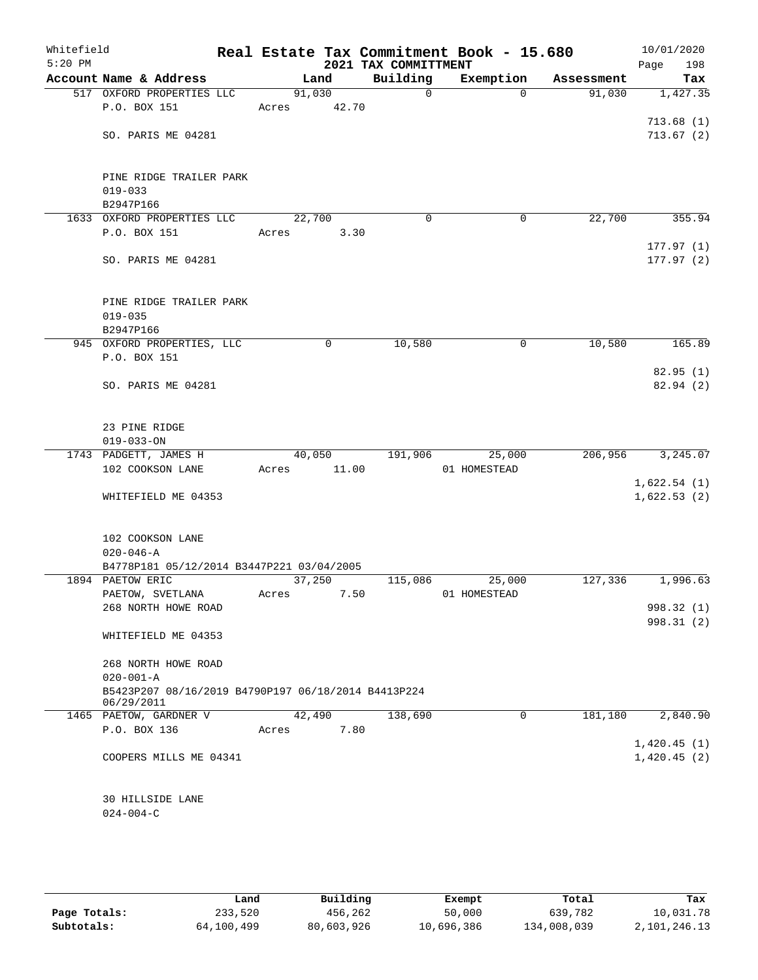| Whitefield<br>$5:20$ PM |                                                              |       |        | 2021 TAX COMMITTMENT | Real Estate Tax Commitment Book - 15.680 |            | 10/01/2020<br>Page<br>198  |
|-------------------------|--------------------------------------------------------------|-------|--------|----------------------|------------------------------------------|------------|----------------------------|
|                         | Account Name & Address                                       |       | Land   | Building             | Exemption                                | Assessment | Tax                        |
|                         | 517 OXFORD PROPERTIES LLC                                    |       | 91,030 | $\mathbf 0$          | $\Omega$                                 | 91,030     | 1,427.35                   |
|                         | P.O. BOX 151                                                 | Acres | 42.70  |                      |                                          |            |                            |
|                         |                                                              |       |        |                      |                                          |            | 713.68(1)                  |
|                         | SO. PARIS ME 04281                                           |       |        |                      |                                          |            | 713.67(2)                  |
|                         |                                                              |       |        |                      |                                          |            |                            |
|                         |                                                              |       |        |                      |                                          |            |                            |
|                         | PINE RIDGE TRAILER PARK                                      |       |        |                      |                                          |            |                            |
|                         | $019 - 033$                                                  |       |        |                      |                                          |            |                            |
|                         | B2947P166                                                    |       |        |                      |                                          |            |                            |
|                         | 1633 OXFORD PROPERTIES LLC                                   |       | 22,700 | $\mathbf 0$          | 0                                        | 22,700     | 355.94                     |
|                         | P.O. BOX 151                                                 | Acres |        | 3.30                 |                                          |            |                            |
|                         |                                                              |       |        |                      |                                          |            | 177.97(1)                  |
|                         | SO. PARIS ME 04281                                           |       |        |                      |                                          |            | 177.97(2)                  |
|                         |                                                              |       |        |                      |                                          |            |                            |
|                         |                                                              |       |        |                      |                                          |            |                            |
|                         | PINE RIDGE TRAILER PARK<br>$019 - 035$                       |       |        |                      |                                          |            |                            |
|                         |                                                              |       |        |                      |                                          |            |                            |
|                         | B2947P166<br>945 OXFORD PROPERTIES, LLC                      |       | 0      | 10,580               | 0                                        | 10,580     | 165.89                     |
|                         | P.O. BOX 151                                                 |       |        |                      |                                          |            |                            |
|                         |                                                              |       |        |                      |                                          |            | 82.95(1)                   |
|                         | SO. PARIS ME 04281                                           |       |        |                      |                                          |            | 82.94(2)                   |
|                         |                                                              |       |        |                      |                                          |            |                            |
|                         |                                                              |       |        |                      |                                          |            |                            |
|                         | 23 PINE RIDGE                                                |       |        |                      |                                          |            |                            |
|                         | $019 - 033 - ON$                                             |       |        |                      |                                          |            |                            |
|                         | 1743 PADGETT, JAMES H                                        |       | 40,050 | 191,906              | 25,000                                   | 206,956    | 3,245.07                   |
|                         | 102 COOKSON LANE                                             | Acres | 11.00  |                      | 01 HOMESTEAD                             |            |                            |
|                         |                                                              |       |        |                      |                                          |            | 1,622.54(1)                |
|                         | WHITEFIELD ME 04353                                          |       |        |                      |                                          |            | 1,622.53(2)                |
|                         |                                                              |       |        |                      |                                          |            |                            |
|                         |                                                              |       |        |                      |                                          |            |                            |
|                         | 102 COOKSON LANE                                             |       |        |                      |                                          |            |                            |
|                         | $020 - 046 - A$<br>B4778P181 05/12/2014 B3447P221 03/04/2005 |       |        |                      |                                          |            |                            |
|                         | 1894 PAETOW ERIC                                             |       | 37,250 | 115,086              | 25,000                                   | 127,336    | 1,996.63                   |
|                         | PAETOW, SVETLANA                                             | Acres |        | 7.50                 | 01 HOMESTEAD                             |            |                            |
|                         | 268 NORTH HOWE ROAD                                          |       |        |                      |                                          |            | 998.32 (1)                 |
|                         |                                                              |       |        |                      |                                          |            | 998.31 (2)                 |
|                         | WHITEFIELD ME 04353                                          |       |        |                      |                                          |            |                            |
|                         |                                                              |       |        |                      |                                          |            |                            |
|                         | 268 NORTH HOWE ROAD                                          |       |        |                      |                                          |            |                            |
|                         | $020 - 001 - A$                                              |       |        |                      |                                          |            |                            |
|                         | B5423P207 08/16/2019 B4790P197 06/18/2014 B4413P224          |       |        |                      |                                          |            |                            |
|                         | 06/29/2011                                                   |       |        |                      |                                          |            |                            |
|                         | 1465 PAETOW, GARDNER V                                       |       | 42,490 | 138,690              | $\Omega$                                 | 181,180    | 2,840.90                   |
|                         | P.O. BOX 136                                                 | Acres |        | 7.80                 |                                          |            |                            |
|                         | COOPERS MILLS ME 04341                                       |       |        |                      |                                          |            | 1,420.45(1)<br>1,420.45(2) |
|                         |                                                              |       |        |                      |                                          |            |                            |
|                         |                                                              |       |        |                      |                                          |            |                            |
|                         | 30 HILLSIDE LANE                                             |       |        |                      |                                          |            |                            |
|                         | $024 - 004 - C$                                              |       |        |                      |                                          |            |                            |
|                         |                                                              |       |        |                      |                                          |            |                            |

|              | Land       | Building   | Exempt     | Total       | Tax          |
|--------------|------------|------------|------------|-------------|--------------|
| Page Totals: | 233,520    | 456,262    | 50,000     | 639,782     | 10,031.78    |
| Subtotals:   | 64,100,499 | 80,603,926 | 10,696,386 | 134,008,039 | 2,101,246.13 |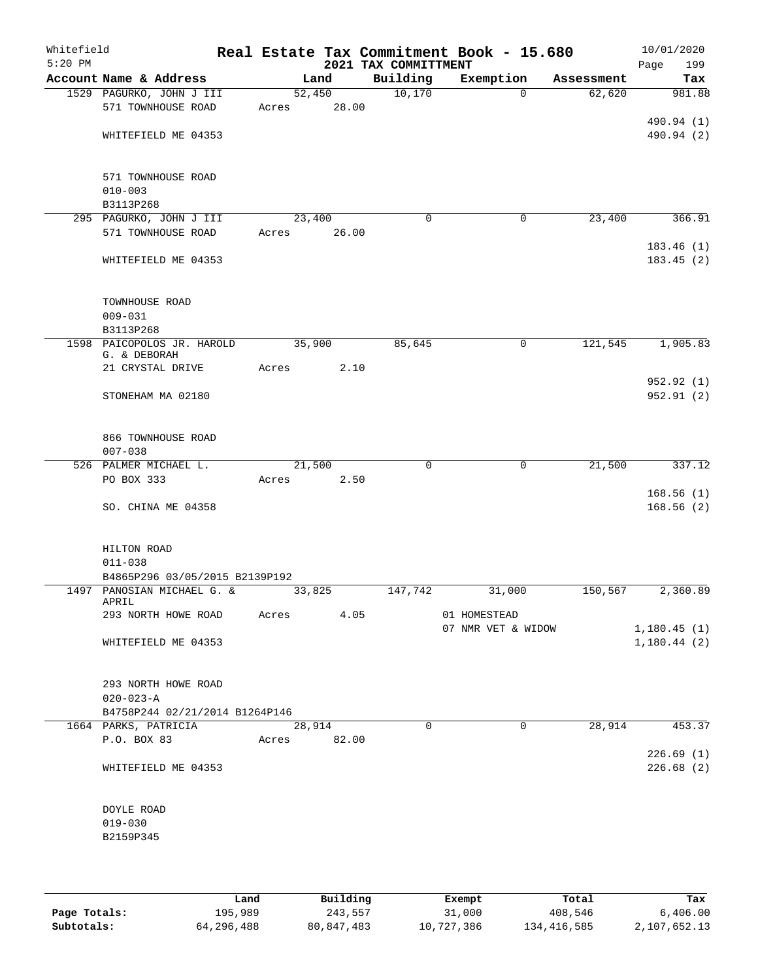| Whitefield<br>$5:20$ PM |                                                        |       |                | 2021 TAX COMMITTMENT | Real Estate Tax Commitment Book - 15.680 |            | 10/01/2020<br>Page<br>199 |
|-------------------------|--------------------------------------------------------|-------|----------------|----------------------|------------------------------------------|------------|---------------------------|
|                         | Account Name & Address                                 |       | Land           | Building             | Exemption                                | Assessment | Tax                       |
|                         | 1529 PAGURKO, JOHN J III                               |       | 52,450         | 10,170               | $\Omega$                                 | 62,620     | 981.88                    |
|                         | 571 TOWNHOUSE ROAD                                     | Acres | 28.00          |                      |                                          |            |                           |
|                         |                                                        |       |                |                      |                                          |            | 490.94 (1)                |
|                         | WHITEFIELD ME 04353                                    |       |                |                      |                                          |            | 490.94 (2)                |
|                         |                                                        |       |                |                      |                                          |            |                           |
|                         |                                                        |       |                |                      |                                          |            |                           |
|                         | 571 TOWNHOUSE ROAD<br>$010 - 003$                      |       |                |                      |                                          |            |                           |
|                         | B3113P268                                              |       |                |                      |                                          |            |                           |
|                         | 295 PAGURKO, JOHN J III                                |       | 23,400         | $\mathbf 0$          | $\mathbf 0$                              | 23,400     | 366.91                    |
|                         | 571 TOWNHOUSE ROAD                                     | Acres | 26.00          |                      |                                          |            |                           |
|                         |                                                        |       |                |                      |                                          |            | 183.46(1)                 |
|                         | WHITEFIELD ME 04353                                    |       |                |                      |                                          |            | 183.45 (2)                |
|                         |                                                        |       |                |                      |                                          |            |                           |
|                         |                                                        |       |                |                      |                                          |            |                           |
|                         | TOWNHOUSE ROAD                                         |       |                |                      |                                          |            |                           |
|                         | $009 - 031$                                            |       |                |                      |                                          |            |                           |
|                         | B3113P268                                              |       |                |                      |                                          | 121,545    |                           |
|                         | 1598 PAICOPOLOS JR. HAROLD<br>G. & DEBORAH             |       | 35,900         | 85,645               | 0                                        |            | 1,905.83                  |
|                         | 21 CRYSTAL DRIVE                                       | Acres | 2.10           |                      |                                          |            |                           |
|                         |                                                        |       |                |                      |                                          |            | 952.92 (1)                |
|                         | STONEHAM MA 02180                                      |       |                |                      |                                          |            | 952.91(2)                 |
|                         |                                                        |       |                |                      |                                          |            |                           |
|                         |                                                        |       |                |                      |                                          |            |                           |
|                         | 866 TOWNHOUSE ROAD                                     |       |                |                      |                                          |            |                           |
|                         | $007 - 038$                                            |       |                |                      |                                          |            |                           |
|                         | 526 PALMER MICHAEL L.<br>PO BOX 333                    | Acres | 21,500<br>2.50 | $\mathbf 0$          | $\mathbf 0$                              | 21,500     | 337.12                    |
|                         |                                                        |       |                |                      |                                          |            | 168.56(1)                 |
|                         | SO. CHINA ME 04358                                     |       |                |                      |                                          |            | 168.56(2)                 |
|                         |                                                        |       |                |                      |                                          |            |                           |
|                         |                                                        |       |                |                      |                                          |            |                           |
|                         | HILTON ROAD                                            |       |                |                      |                                          |            |                           |
|                         | $011 - 038$                                            |       |                |                      |                                          |            |                           |
|                         | B4865P296 03/05/2015 B2139P192                         |       |                |                      |                                          |            |                           |
|                         | 1497 PANOSIAN MICHAEL G. &<br>APRIL                    |       | 33,825         | 147,742              | 31,000                                   | 150,567    | 2,360.89                  |
|                         | 293 NORTH HOWE ROAD                                    | Acres | 4.05           |                      | 01 HOMESTEAD                             |            |                           |
|                         |                                                        |       |                |                      | 07 NMR VET & WIDOW                       |            | 1,180.45(1)               |
|                         | WHITEFIELD ME 04353                                    |       |                |                      |                                          |            | 1,180.44(2)               |
|                         |                                                        |       |                |                      |                                          |            |                           |
|                         |                                                        |       |                |                      |                                          |            |                           |
|                         | 293 NORTH HOWE ROAD                                    |       |                |                      |                                          |            |                           |
|                         | $020 - 023 - A$                                        |       |                |                      |                                          |            |                           |
|                         | B4758P244 02/21/2014 B1264P146<br>1664 PARKS, PATRICIA |       | 28,914         | $\Omega$             | $\Omega$                                 | 28,914     | 453.37                    |
|                         | P.O. BOX 83                                            |       | Acres 82.00    |                      |                                          |            |                           |
|                         |                                                        |       |                |                      |                                          |            | 226.69(1)                 |
|                         | WHITEFIELD ME 04353                                    |       |                |                      |                                          |            | 226.68(2)                 |
|                         |                                                        |       |                |                      |                                          |            |                           |
|                         |                                                        |       |                |                      |                                          |            |                           |
|                         | DOYLE ROAD                                             |       |                |                      |                                          |            |                           |
|                         | $019 - 030$                                            |       |                |                      |                                          |            |                           |
|                         | B2159P345                                              |       |                |                      |                                          |            |                           |
|                         |                                                        |       |                |                      |                                          |            |                           |
|                         |                                                        |       |                |                      |                                          |            |                           |

|              | Land       | Building   | Exempt     | Total       | Tax          |
|--------------|------------|------------|------------|-------------|--------------|
| Page Totals: | 195,989    | 243,557    | 31,000     | 408,546     | 6,406,00     |
| Subtotals:   | 64,296,488 | 80,847,483 | 10,727,386 | 134,416,585 | 2,107,652.13 |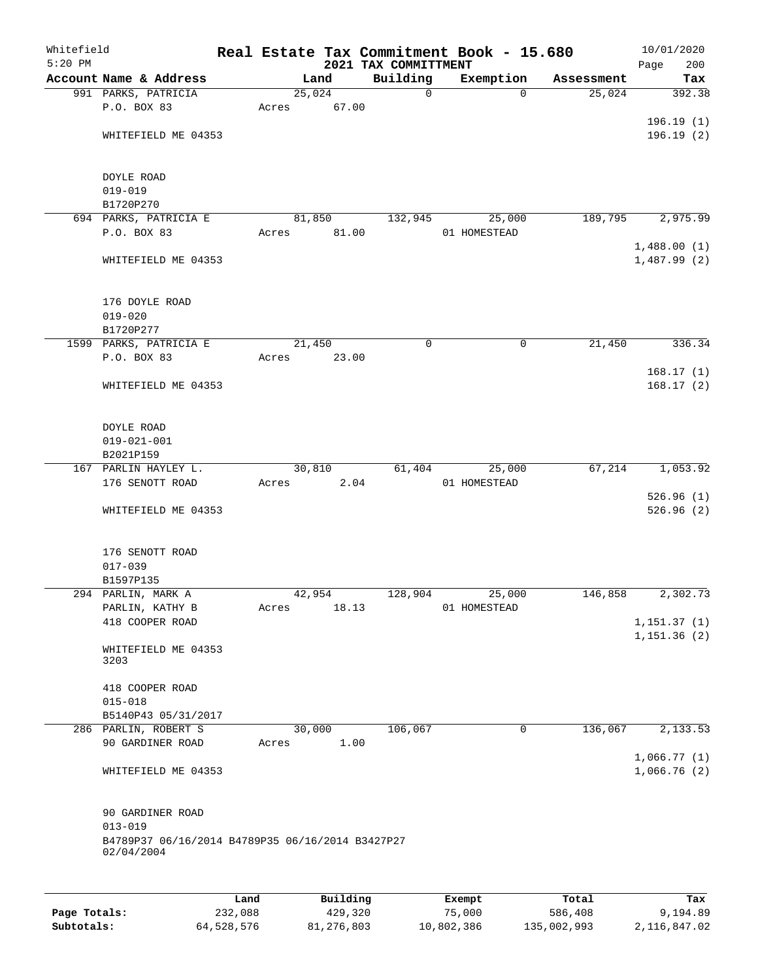| Whitefield<br>$5:20$ PM |                                                  |         |       |        |          | 2021 TAX COMMITTMENT | Real Estate Tax Commitment Book - 15.680 |            | 10/01/2020<br>200      |
|-------------------------|--------------------------------------------------|---------|-------|--------|----------|----------------------|------------------------------------------|------------|------------------------|
|                         | Account Name & Address                           |         |       | Land   |          | Building             | Exemption                                | Assessment | Page<br>Tax            |
|                         | 991 PARKS, PATRICIA                              |         |       | 25,024 |          | $\mathbf 0$          | $\Omega$                                 | 25,024     | 392.38                 |
|                         | P.O. BOX 83                                      |         | Acres |        | 67.00    |                      |                                          |            |                        |
|                         |                                                  |         |       |        |          |                      |                                          |            | 196.19(1)              |
|                         | WHITEFIELD ME 04353                              |         |       |        |          |                      |                                          |            | 196.19(2)              |
|                         |                                                  |         |       |        |          |                      |                                          |            |                        |
|                         |                                                  |         |       |        |          |                      |                                          |            |                        |
|                         | <b>DOYLE ROAD</b>                                |         |       |        |          |                      |                                          |            |                        |
|                         | $019 - 019$<br>B1720P270                         |         |       |        |          |                      |                                          |            |                        |
|                         | 694 PARKS, PATRICIA E                            |         |       | 81,850 |          | 132,945              | 25,000                                   | 189,795    | 2,975.99               |
|                         | P.O. BOX 83                                      |         | Acres |        | 81.00    |                      | 01 HOMESTEAD                             |            |                        |
|                         |                                                  |         |       |        |          |                      |                                          |            | 1,488.00(1)            |
|                         | WHITEFIELD ME 04353                              |         |       |        |          |                      |                                          |            | 1,487.99(2)            |
|                         |                                                  |         |       |        |          |                      |                                          |            |                        |
|                         |                                                  |         |       |        |          |                      |                                          |            |                        |
|                         | 176 DOYLE ROAD                                   |         |       |        |          |                      |                                          |            |                        |
|                         | $019 - 020$                                      |         |       |        |          |                      |                                          |            |                        |
|                         | B1720P277                                        |         |       |        |          |                      |                                          |            |                        |
|                         | 1599 PARKS, PATRICIA E                           |         |       | 21,450 |          | 0                    | 0                                        | 21,450     | 336.34                 |
|                         | P.O. BOX 83                                      |         | Acres |        | 23.00    |                      |                                          |            |                        |
|                         | WHITEFIELD ME 04353                              |         |       |        |          |                      |                                          |            | 168.17(1)<br>168.17(2) |
|                         |                                                  |         |       |        |          |                      |                                          |            |                        |
|                         |                                                  |         |       |        |          |                      |                                          |            |                        |
|                         | DOYLE ROAD                                       |         |       |        |          |                      |                                          |            |                        |
|                         | $019 - 021 - 001$                                |         |       |        |          |                      |                                          |            |                        |
|                         | B2021P159                                        |         |       |        |          |                      |                                          |            |                        |
|                         | 167 PARLIN HAYLEY L.                             |         |       | 30,810 |          | 61,404               | 25,000                                   | 67,214     | 1,053.92               |
|                         | 176 SENOTT ROAD                                  |         | Acres |        | 2.04     |                      | 01 HOMESTEAD                             |            |                        |
|                         |                                                  |         |       |        |          |                      |                                          |            | 526.96(1)              |
|                         | WHITEFIELD ME 04353                              |         |       |        |          |                      |                                          |            | 526.96(2)              |
|                         |                                                  |         |       |        |          |                      |                                          |            |                        |
|                         | 176 SENOTT ROAD                                  |         |       |        |          |                      |                                          |            |                        |
|                         | $017 - 039$                                      |         |       |        |          |                      |                                          |            |                        |
|                         | B1597P135                                        |         |       |        |          |                      |                                          |            |                        |
|                         | 294 PARLIN, MARK A                               |         |       | 42,954 |          | 128,904              | 25,000                                   | 146,858    | 2,302.73               |
|                         | PARLIN, KATHY B                                  |         | Acres |        | 18.13    |                      | 01 HOMESTEAD                             |            |                        |
|                         | 418 COOPER ROAD                                  |         |       |        |          |                      |                                          |            | 1, 151.37(1)           |
|                         |                                                  |         |       |        |          |                      |                                          |            | 1,151.36(2)            |
|                         | WHITEFIELD ME 04353<br>3203                      |         |       |        |          |                      |                                          |            |                        |
|                         |                                                  |         |       |        |          |                      |                                          |            |                        |
|                         | 418 COOPER ROAD                                  |         |       |        |          |                      |                                          |            |                        |
|                         | $015 - 018$                                      |         |       |        |          |                      |                                          |            |                        |
|                         | B5140P43 05/31/2017                              |         |       |        |          |                      |                                          |            |                        |
|                         | 286 PARLIN, ROBERT S                             |         |       | 30,000 |          | 106,067              | 0                                        | 136,067    | 2,133.53               |
|                         | 90 GARDINER ROAD                                 |         | Acres |        | 1.00     |                      |                                          |            |                        |
|                         |                                                  |         |       |        |          |                      |                                          |            | 1,066.77(1)            |
|                         | WHITEFIELD ME 04353                              |         |       |        |          |                      |                                          |            | 1,066.76(2)            |
|                         |                                                  |         |       |        |          |                      |                                          |            |                        |
|                         | 90 GARDINER ROAD                                 |         |       |        |          |                      |                                          |            |                        |
|                         | $013 - 019$                                      |         |       |        |          |                      |                                          |            |                        |
|                         | B4789P37 06/16/2014 B4789P35 06/16/2014 B3427P27 |         |       |        |          |                      |                                          |            |                        |
|                         | 02/04/2004                                       |         |       |        |          |                      |                                          |            |                        |
|                         |                                                  |         |       |        |          |                      |                                          |            |                        |
|                         |                                                  |         |       |        |          |                      |                                          |            |                        |
|                         |                                                  | Land    |       |        | Building |                      | Exempt                                   | Total      | Tax                    |
| Page Totals:            |                                                  | 232,088 |       |        | 429,320  |                      | 75,000                                   | 586,408    | 9,194.89               |

**Subtotals:** 64,528,576 81,276,803 10,802,386 135,002,993 2,116,847.02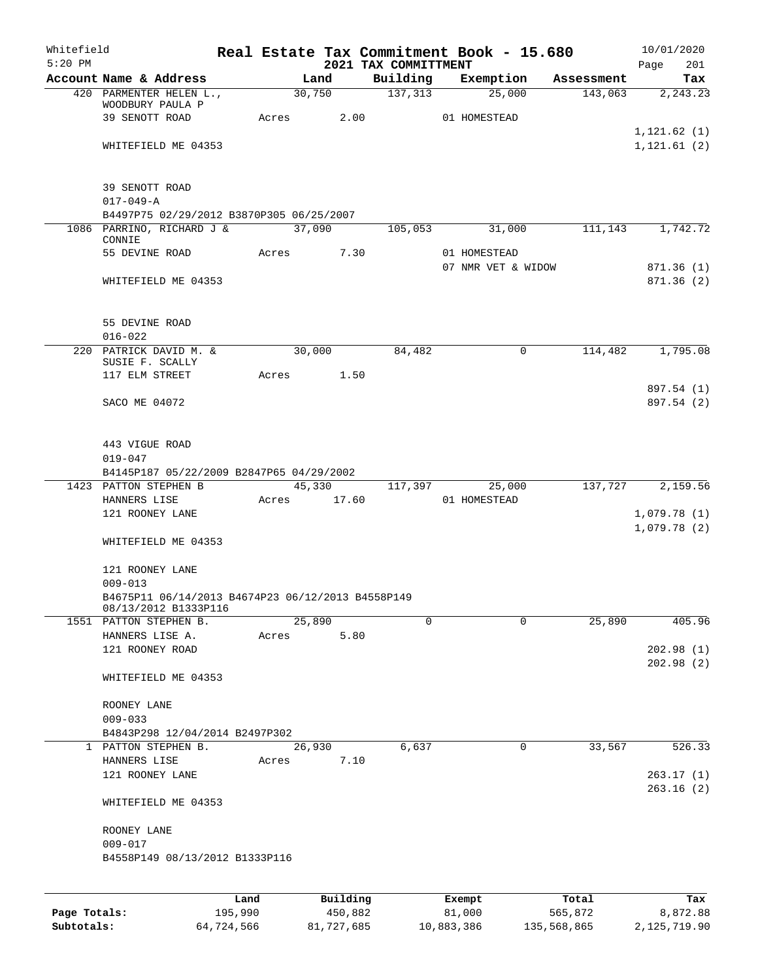| Whitefield<br>$5:20$ PM |                                                               |                 |             |        |                     | 2021 TAX COMMITTMENT | Real Estate Tax Commitment Book - 15.680 |                  | 10/01/2020<br>Page<br>201    |
|-------------------------|---------------------------------------------------------------|-----------------|-------------|--------|---------------------|----------------------|------------------------------------------|------------------|------------------------------|
|                         | Account Name & Address                                        |                 |             | Land   |                     |                      | Building Exemption Assessment            |                  | Tax                          |
|                         | 420 PARMENTER HELEN L.,<br>WOODBURY PAULA P<br>39 SENOTT ROAD |                 | Acres       | 30,750 | 2.00                | 137,313              | 25,000<br>01 HOMESTEAD                   | 143,063          | 2, 243.23                    |
|                         | WHITEFIELD ME 04353                                           |                 |             |        |                     |                      |                                          |                  | 1, 121.62(1)<br>1, 121.61(2) |
|                         |                                                               |                 |             |        |                     |                      |                                          |                  |                              |
|                         | 39 SENOTT ROAD<br>$017 - 049 - A$                             |                 |             |        |                     |                      |                                          |                  |                              |
|                         | B4497P75 02/29/2012 B3870P305 06/25/2007                      |                 |             |        |                     |                      |                                          |                  |                              |
|                         | 1086 PARRINO, RICHARD J &<br>CONNIE                           |                 | 37,090      |        |                     | 105,053              | 31,000                                   | 111,143          | 1,742.72                     |
|                         | 55 DEVINE ROAD                                                |                 | Acres       |        | 7.30                |                      | 01 HOMESTEAD<br>07 NMR VET & WIDOW       |                  | 871.36(1)                    |
|                         | WHITEFIELD ME 04353                                           |                 |             |        |                     |                      |                                          |                  | 871.36(2)                    |
|                         | 55 DEVINE ROAD<br>$016 - 022$                                 |                 |             |        |                     |                      |                                          |                  |                              |
|                         | 220 PATRICK DAVID M. &                                        |                 |             | 30,000 |                     | 84,482               | $\mathbf 0$                              | 114,482          | 1,795.08                     |
|                         | SUSIE F. SCALLY<br>117 ELM STREET                             |                 | Acres 1.50  |        |                     |                      |                                          |                  |                              |
|                         | SACO ME 04072                                                 |                 |             |        |                     |                      |                                          |                  | 897.54 (1)<br>897.54 (2)     |
|                         | 443 VIGUE ROAD<br>$019 - 047$                                 |                 |             |        |                     |                      |                                          |                  |                              |
|                         | B4145P187 05/22/2009 B2847P65 04/29/2002                      |                 |             |        |                     |                      |                                          |                  |                              |
|                         | 1423 PATTON STEPHEN B<br>HANNERS LISE                         |                 | Acres 17.60 |        |                     | 45,330 117,397       | 25,000<br>01 HOMESTEAD                   | 137,727          | 2,159.56                     |
|                         | 121 ROONEY LANE                                               |                 |             |        |                     |                      |                                          |                  | 1,079.78(1)<br>1,079.78(2)   |
|                         | WHITEFIELD ME 04353                                           |                 |             |        |                     |                      |                                          |                  |                              |
|                         | 121 ROONEY LANE<br>$009 - 013$                                |                 |             |        |                     |                      |                                          |                  |                              |
|                         | B4675P11 06/14/2013 B4674P23 06/12/2013 B4558P149             |                 |             |        |                     |                      |                                          |                  |                              |
|                         | 08/13/2012 B1333P116<br>1551 PATTON STEPHEN B.                |                 |             | 25,890 |                     | $\Omega$             | $\Omega$                                 | 25,890           | 405.96                       |
|                         | HANNERS LISE A.                                               |                 | Acres       |        | 5.80                |                      |                                          |                  |                              |
|                         | 121 ROONEY ROAD                                               |                 |             |        |                     |                      |                                          |                  | 202.98(1)<br>202.98(2)       |
|                         | WHITEFIELD ME 04353                                           |                 |             |        |                     |                      |                                          |                  |                              |
|                         | ROONEY LANE<br>$009 - 033$                                    |                 |             |        |                     |                      |                                          |                  |                              |
|                         | B4843P298 12/04/2014 B2497P302                                |                 |             |        |                     |                      |                                          |                  |                              |
|                         | 1 PATTON STEPHEN B.<br>HANNERS LISE                           |                 | Acres       | 26,930 | 7.10                | 6,637                | 0                                        | 33,567           | 526.33                       |
|                         | 121 ROONEY LANE                                               |                 |             |        |                     |                      |                                          |                  | 263.17(1)                    |
|                         | WHITEFIELD ME 04353                                           |                 |             |        |                     |                      |                                          |                  | 263.16(2)                    |
|                         | ROONEY LANE<br>$009 - 017$                                    |                 |             |        |                     |                      |                                          |                  |                              |
|                         | B4558P149 08/13/2012 B1333P116                                |                 |             |        |                     |                      |                                          |                  |                              |
|                         |                                                               |                 |             |        |                     |                      |                                          |                  |                              |
| Page Totals:            |                                                               | Land<br>195,990 |             |        | Building<br>450,882 |                      | Exempt<br>81,000                         | Total<br>565,872 | Tax<br>8,872.88              |

**Subtotals:** 64,724,566 81,727,685 10,883,386 135,568,865 2,125,719.90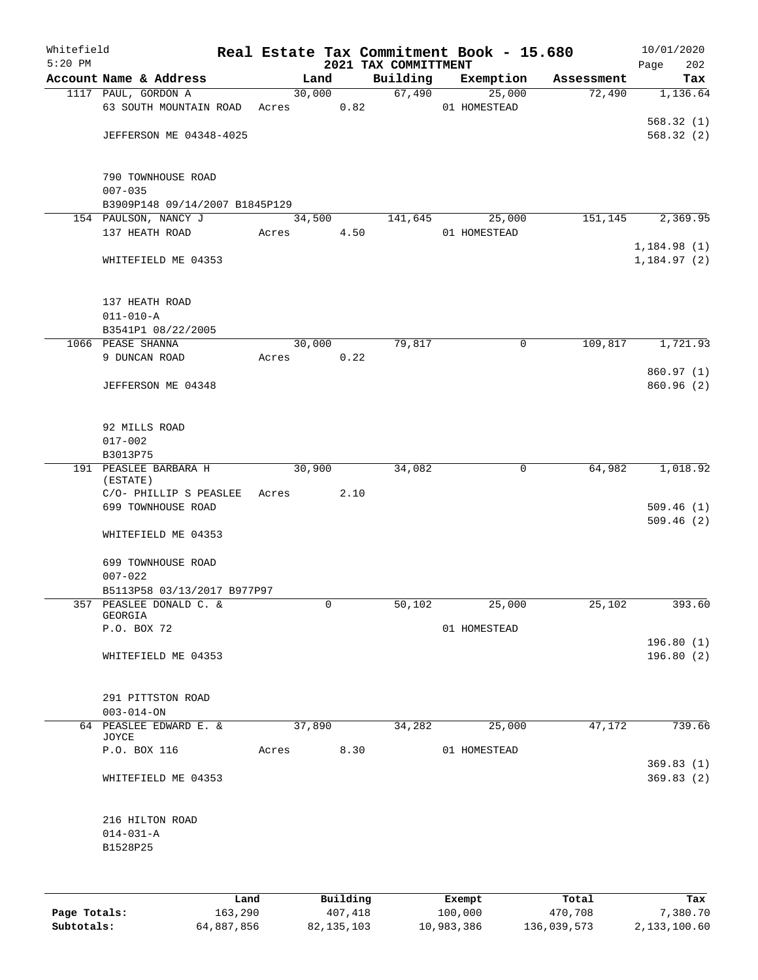| Whitefield<br>$5:20$ PM |                                   |      |       |        |          | 2021 TAX COMMITTMENT |              | Real Estate Tax Commitment Book - 15.680 |            | 10/01/2020<br>Page     | 202      |
|-------------------------|-----------------------------------|------|-------|--------|----------|----------------------|--------------|------------------------------------------|------------|------------------------|----------|
|                         | Account Name & Address            |      |       | Land   |          | Building             |              | Exemption                                | Assessment |                        | Tax      |
|                         | 1117 PAUL, GORDON A               |      |       | 30,000 |          | 67,490               |              | 25,000                                   | 72,490     |                        | 1,136.64 |
|                         | 63 SOUTH MOUNTAIN ROAD            |      | Acres |        | 0.82     |                      | 01 HOMESTEAD |                                          |            |                        |          |
|                         |                                   |      |       |        |          |                      |              |                                          |            | 568.32(1)              |          |
|                         | <b>JEFFERSON ME 04348-4025</b>    |      |       |        |          |                      |              |                                          |            | 568.32 (2)             |          |
|                         | 790 TOWNHOUSE ROAD<br>$007 - 035$ |      |       |        |          |                      |              |                                          |            |                        |          |
|                         | B3909P148 09/14/2007 B1845P129    |      |       |        |          |                      |              |                                          |            |                        |          |
|                         | 154 PAULSON, NANCY J              |      |       | 34,500 |          | 141,645              |              | 25,000                                   | 151,145    |                        | 2,369.95 |
|                         | 137 HEATH ROAD                    |      | Acres |        | 4.50     |                      | 01 HOMESTEAD |                                          |            |                        |          |
|                         |                                   |      |       |        |          |                      |              |                                          |            | 1,184.98 (1)           |          |
|                         | WHITEFIELD ME 04353               |      |       |        |          |                      |              |                                          |            | 1,184.97(2)            |          |
|                         | 137 HEATH ROAD<br>$011 - 010 - A$ |      |       |        |          |                      |              |                                          |            |                        |          |
|                         | B3541P1 08/22/2005                |      |       |        |          |                      |              |                                          |            |                        |          |
|                         | 1066 PEASE SHANNA                 |      |       | 30,000 |          | 79,817               |              | $\mathsf{O}$                             | 109,817    |                        | 1,721.93 |
|                         | 9 DUNCAN ROAD                     |      | Acres |        | 0.22     |                      |              |                                          |            |                        |          |
|                         |                                   |      |       |        |          |                      |              |                                          |            | 860.97 (1)             |          |
|                         | JEFFERSON ME 04348                |      |       |        |          |                      |              |                                          |            | 860.96(2)              |          |
|                         | 92 MILLS ROAD                     |      |       |        |          |                      |              |                                          |            |                        |          |
|                         | $017 - 002$                       |      |       |        |          |                      |              |                                          |            |                        |          |
|                         | B3013P75                          |      |       |        |          |                      |              |                                          |            |                        |          |
|                         | 191 PEASLEE BARBARA H<br>(ESTATE) |      |       | 30,900 |          | 34,082               |              | 0                                        | 64,982     |                        | 1,018.92 |
|                         | C/O- PHILLIP S PEASLEE            |      | Acres |        | 2.10     |                      |              |                                          |            |                        |          |
|                         | 699 TOWNHOUSE ROAD                |      |       |        |          |                      |              |                                          |            | 509.46(1)              |          |
|                         | WHITEFIELD ME 04353               |      |       |        |          |                      |              |                                          |            | 509.46(2)              |          |
|                         | 699 TOWNHOUSE ROAD<br>$007 - 022$ |      |       |        |          |                      |              |                                          |            |                        |          |
|                         | B5113P58 03/13/2017 B977P97       |      |       |        |          |                      |              |                                          |            |                        |          |
| 357                     | PEASLEE DONALD C. &               |      |       |        | 0        | 50,102               |              | 25,000                                   | 25,102     |                        | 393.60   |
|                         | GEORGIA                           |      |       |        |          |                      |              |                                          |            |                        |          |
|                         | P.O. BOX 72                       |      |       |        |          |                      | 01 HOMESTEAD |                                          |            |                        |          |
|                         | WHITEFIELD ME 04353               |      |       |        |          |                      |              |                                          |            | 196.80(1)<br>196.80(2) |          |
|                         | 291 PITTSTON ROAD                 |      |       |        |          |                      |              |                                          |            |                        |          |
|                         | $003 - 014 - ON$                  |      |       |        |          |                      |              |                                          |            |                        |          |
|                         | 64 PEASLEE EDWARD E. &<br>JOYCE   |      |       | 37,890 |          | 34,282               |              | 25,000                                   | 47,172     |                        | 739.66   |
|                         | P.O. BOX 116                      |      | Acres |        | 8.30     |                      | 01 HOMESTEAD |                                          |            |                        |          |
|                         | WHITEFIELD ME 04353               |      |       |        |          |                      |              |                                          |            | 369.83(1)<br>369.83(2) |          |
|                         | 216 HILTON ROAD                   |      |       |        |          |                      |              |                                          |            |                        |          |
|                         | $014 - 031 - A$                   |      |       |        |          |                      |              |                                          |            |                        |          |
|                         | B1528P25                          |      |       |        |          |                      |              |                                          |            |                        |          |
|                         |                                   |      |       |        |          |                      |              |                                          |            |                        |          |
|                         |                                   | Land |       |        | Building |                      | Exempt       |                                          | Total      |                        | Tax      |

|              | Lanu       | <b>BUILQING</b> | Lxempt     | TOLAT       | 1ax.         |
|--------------|------------|-----------------|------------|-------------|--------------|
| Page Totals: | 163,290    | 407,418         | 100,000    | 470,708     | 7,380.70     |
| Subtotals:   | 64,887,856 | 82,135,103      | 10,983,386 | 136,039,573 | 2,133,100.60 |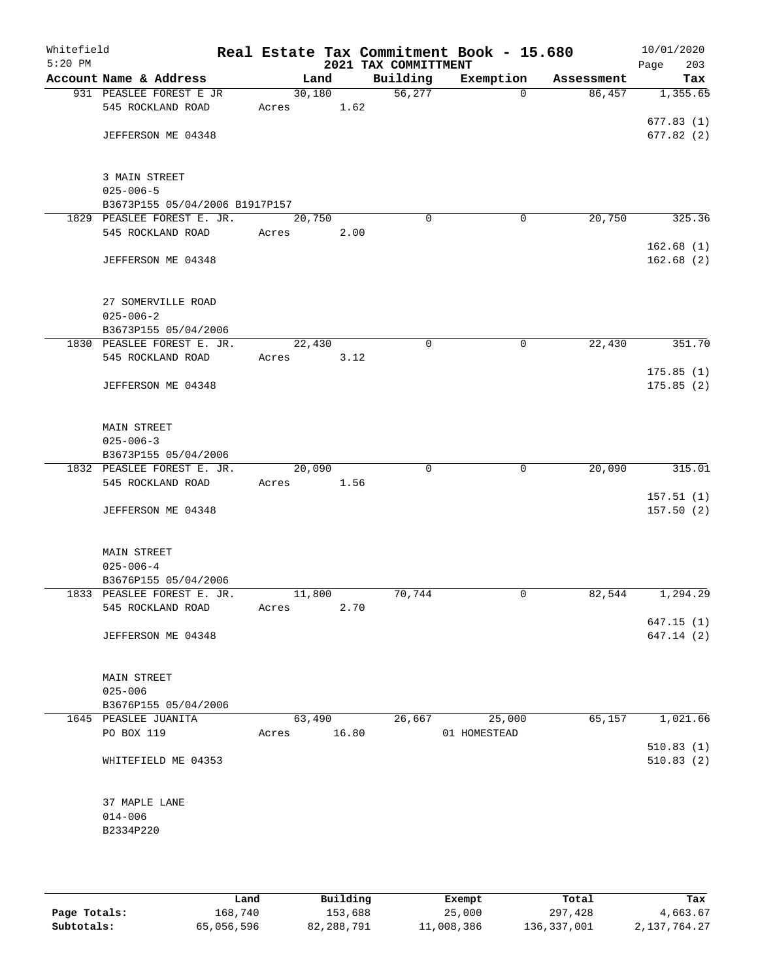| Whitefield<br>$5:20$ PM |                                                 |       |                | 2021 TAX COMMITTMENT | Real Estate Tax Commitment Book - 15.680 |            | 10/01/2020<br>Page<br>203 |
|-------------------------|-------------------------------------------------|-------|----------------|----------------------|------------------------------------------|------------|---------------------------|
|                         | Account Name & Address                          |       | Land           | Building             | Exemption                                | Assessment | Tax                       |
|                         | 931 PEASLEE FOREST E JR                         |       | 30,180         | 56, 277              | $\Omega$                                 | 86,457     | 1,355.65                  |
|                         | 545 ROCKLAND ROAD                               | Acres | 1.62           |                      |                                          |            | 677.83(1)                 |
|                         | JEFFERSON ME 04348                              |       |                |                      |                                          |            | 677.82 (2)                |
|                         |                                                 |       |                |                      |                                          |            |                           |
|                         | 3 MAIN STREET<br>$025 - 006 - 5$                |       |                |                      |                                          |            |                           |
|                         | B3673P155 05/04/2006 B1917P157                  |       |                |                      |                                          |            |                           |
|                         | 1829 PEASLEE FOREST E. JR.                      |       | 20,750         | $\Omega$             | 0                                        | 20,750     | 325.36                    |
|                         | 545 ROCKLAND ROAD                               | Acres | 2.00           |                      |                                          |            |                           |
|                         | JEFFERSON ME 04348                              |       |                |                      |                                          |            | 162.68(1)<br>162.68(2)    |
|                         | 27 SOMERVILLE ROAD                              |       |                |                      |                                          |            |                           |
|                         | $025 - 006 - 2$                                 |       |                |                      |                                          |            |                           |
|                         | B3673P155 05/04/2006                            |       |                |                      |                                          |            |                           |
|                         | 1830 PEASLEE FOREST E. JR.                      |       | 22,430         | 0                    | 0                                        | 22,430     | 351.70                    |
|                         | 545 ROCKLAND ROAD                               | Acres | 3.12           |                      |                                          |            |                           |
|                         | JEFFERSON ME 04348                              |       |                |                      |                                          |            | 175.85(1)<br>175.85(2)    |
|                         | MAIN STREET                                     |       |                |                      |                                          |            |                           |
|                         | $025 - 006 - 3$                                 |       |                |                      |                                          |            |                           |
|                         | B3673P155 05/04/2006                            |       |                |                      |                                          |            |                           |
|                         | 1832 PEASLEE FOREST E. JR.                      |       | 20,090         | $\Omega$             | $\mathbf 0$                              | 20,090     | 315.01                    |
|                         | 545 ROCKLAND ROAD                               | Acres | 1.56           |                      |                                          |            | 157.51(1)                 |
|                         | JEFFERSON ME 04348                              |       |                |                      |                                          |            | 157.50(2)                 |
|                         | <b>MAIN STREET</b>                              |       |                |                      |                                          |            |                           |
|                         | $025 - 006 - 4$                                 |       |                |                      |                                          |            |                           |
|                         | B3676P155 05/04/2006                            |       |                |                      |                                          |            |                           |
|                         | 1833 PEASLEE FOREST E. JR.<br>545 ROCKLAND ROAD | Acres | 11,800<br>2.70 | 70,744               | 0                                        | 82,544     | 1,294.29                  |
|                         |                                                 |       |                |                      |                                          |            | 647.15(1)                 |
|                         | JEFFERSON ME 04348                              |       |                |                      |                                          |            | 647.14 (2)                |
|                         | <b>MAIN STREET</b>                              |       |                |                      |                                          |            |                           |
|                         | $025 - 006$                                     |       |                |                      |                                          |            |                           |
|                         | B3676P155 05/04/2006<br>1645 PEASLEE JUANITA    |       | 63,490         | 26,667               | 25,000                                   | 65,157     | 1,021.66                  |
|                         | PO BOX 119                                      | Acres | 16.80          |                      | 01 HOMESTEAD                             |            |                           |
|                         |                                                 |       |                |                      |                                          |            | 510.83(1)                 |
|                         | WHITEFIELD ME 04353                             |       |                |                      |                                          |            | 510.83(2)                 |
|                         | 37 MAPLE LANE                                   |       |                |                      |                                          |            |                           |
|                         | $014 - 006$                                     |       |                |                      |                                          |            |                           |
|                         | B2334P220                                       |       |                |                      |                                          |            |                           |
|                         |                                                 |       |                |                      |                                          |            |                           |
|                         |                                                 |       |                |                      |                                          |            |                           |

|              | Land       | Building   | Exempt     | Total       | Tax          |
|--------------|------------|------------|------------|-------------|--------------|
| Page Totals: | 168,740    | 153,688    | 25,000     | 297,428     | 4,663.67     |
| Subtotals:   | 65,056,596 | 82,288,791 | 11,008,386 | 136,337,001 | 2,137,764.27 |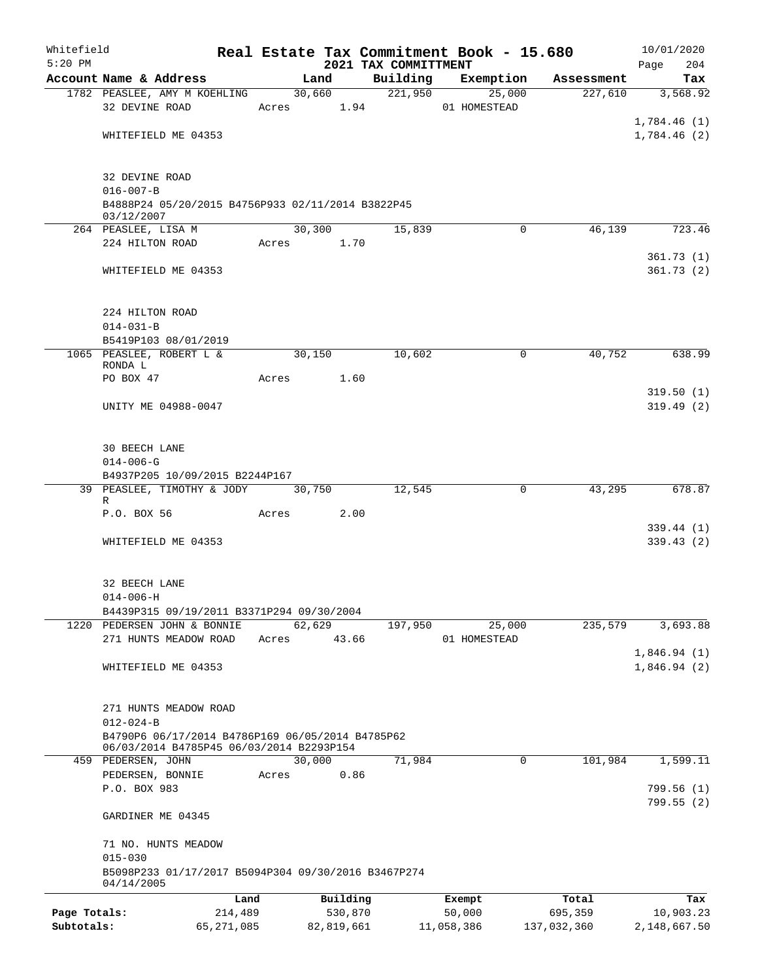| Whitefield   |                                                                          |       |        |                     |                      | Real Estate Tax Commitment Book - 15.680 |                  | 10/01/2020                 |
|--------------|--------------------------------------------------------------------------|-------|--------|---------------------|----------------------|------------------------------------------|------------------|----------------------------|
| $5:20$ PM    |                                                                          |       |        |                     | 2021 TAX COMMITTMENT |                                          |                  | Page<br>204                |
|              | Account Name & Address                                                   |       | Land   |                     | Building             | Exemption                                | Assessment       | Tax                        |
|              | 1782 PEASLEE, AMY M KOEHLING                                             |       |        | 30,660              | 221,950              | 25,000                                   | 227,610          | 3,568.92                   |
|              | 32 DEVINE ROAD                                                           |       |        | Acres 1.94          |                      | 01 HOMESTEAD                             |                  |                            |
|              | WHITEFIELD ME 04353                                                      |       |        |                     |                      |                                          |                  | 1,784.46(1)<br>1,784.46(2) |
|              |                                                                          |       |        |                     |                      |                                          |                  |                            |
|              |                                                                          |       |        |                     |                      |                                          |                  |                            |
|              | 32 DEVINE ROAD                                                           |       |        |                     |                      |                                          |                  |                            |
|              | $016 - 007 - B$                                                          |       |        |                     |                      |                                          |                  |                            |
|              | B4888P24 05/20/2015 B4756P933 02/11/2014 B3822P45<br>03/12/2007          |       |        |                     |                      |                                          |                  |                            |
|              | 264 PEASLEE, LISA M                                                      |       | 30,300 |                     | 15,839               | $\Omega$                                 | 46,139           | 723.46                     |
|              | 224 HILTON ROAD                                                          |       |        | Acres 1.70          |                      |                                          |                  |                            |
|              |                                                                          |       |        |                     |                      |                                          |                  | 361.73(1)                  |
|              | WHITEFIELD ME 04353                                                      |       |        |                     |                      |                                          |                  | 361.73(2)                  |
|              |                                                                          |       |        |                     |                      |                                          |                  |                            |
|              |                                                                          |       |        |                     |                      |                                          |                  |                            |
|              | 224 HILTON ROAD<br>$014 - 031 - B$                                       |       |        |                     |                      |                                          |                  |                            |
|              | B5419P103 08/01/2019                                                     |       |        |                     |                      |                                          |                  |                            |
|              | 1065 PEASLEE, ROBERT L &                                                 |       | 30,150 |                     | 10,602               | 0                                        | 40,752           | 638.99                     |
|              | RONDA L                                                                  |       |        |                     |                      |                                          |                  |                            |
|              | PO BOX 47                                                                | Acres |        | 1.60                |                      |                                          |                  |                            |
|              |                                                                          |       |        |                     |                      |                                          |                  | 319.50(1)                  |
|              | UNITY ME 04988-0047                                                      |       |        |                     |                      |                                          |                  | 319.49(2)                  |
|              |                                                                          |       |        |                     |                      |                                          |                  |                            |
|              | <b>30 BEECH LANE</b>                                                     |       |        |                     |                      |                                          |                  |                            |
|              | $014 - 006 - G$                                                          |       |        |                     |                      |                                          |                  |                            |
|              | B4937P205 10/09/2015 B2244P167                                           |       |        |                     |                      |                                          |                  |                            |
|              | 39 PEASLEE, TIMOTHY & JODY 30,750                                        |       |        |                     | 12,545               | 0                                        | 43,295           | 678.87                     |
|              | R<br>P.O. BOX 56                                                         |       | Acres  | 2.00                |                      |                                          |                  |                            |
|              |                                                                          |       |        |                     |                      |                                          |                  | 339.44 (1)                 |
|              | WHITEFIELD ME 04353                                                      |       |        |                     |                      |                                          |                  | 339.43(2)                  |
|              |                                                                          |       |        |                     |                      |                                          |                  |                            |
|              |                                                                          |       |        |                     |                      |                                          |                  |                            |
|              | 32 BEECH LANE                                                            |       |        |                     |                      |                                          |                  |                            |
|              | $014 - 006 - H$                                                          |       |        |                     |                      |                                          |                  |                            |
|              | B4439P315 09/19/2011 B3371P294 09/30/2004<br>1220 PEDERSEN JOHN & BONNIE |       | 62,629 |                     | 197,950              | 25,000                                   | 235,579          | 3,693.88                   |
|              | 271 HUNTS MEADOW ROAD                                                    | Acres |        | 43.66               |                      | 01 HOMESTEAD                             |                  |                            |
|              |                                                                          |       |        |                     |                      |                                          |                  | 1,846.94(1)                |
|              | WHITEFIELD ME 04353                                                      |       |        |                     |                      |                                          |                  | 1,846.94(2)                |
|              |                                                                          |       |        |                     |                      |                                          |                  |                            |
|              |                                                                          |       |        |                     |                      |                                          |                  |                            |
|              | 271 HUNTS MEADOW ROAD<br>$012 - 024 - B$                                 |       |        |                     |                      |                                          |                  |                            |
|              | B4790P6 06/17/2014 B4786P169 06/05/2014 B4785P62                         |       |        |                     |                      |                                          |                  |                            |
|              | 06/03/2014 B4785P45 06/03/2014 B2293P154                                 |       |        |                     |                      |                                          |                  |                            |
|              | 459 PEDERSEN, JOHN                                                       |       | 30,000 |                     | 71,984               | 0                                        | 101,984          | 1,599.11                   |
|              | PEDERSEN, BONNIE                                                         | Acres |        | 0.86                |                      |                                          |                  |                            |
|              | P.O. BOX 983                                                             |       |        |                     |                      |                                          |                  | 799.56(1)                  |
|              | GARDINER ME 04345                                                        |       |        |                     |                      |                                          |                  | 799.55(2)                  |
|              |                                                                          |       |        |                     |                      |                                          |                  |                            |
|              | 71 NO. HUNTS MEADOW                                                      |       |        |                     |                      |                                          |                  |                            |
|              | $015 - 030$                                                              |       |        |                     |                      |                                          |                  |                            |
|              | B5098P233 01/17/2017 B5094P304 09/30/2016 B3467P274                      |       |        |                     |                      |                                          |                  |                            |
|              | 04/14/2005                                                               |       |        |                     |                      |                                          |                  |                            |
| Page Totals: | 214,489                                                                  | Land  |        | Building<br>530,870 |                      | Exempt<br>50,000                         | Total<br>695,359 | Tax<br>10,903.23           |
| Subtotals:   | 65, 271, 085                                                             |       |        | 82,819,661          |                      | 11,058,386                               | 137,032,360      | 2,148,667.50               |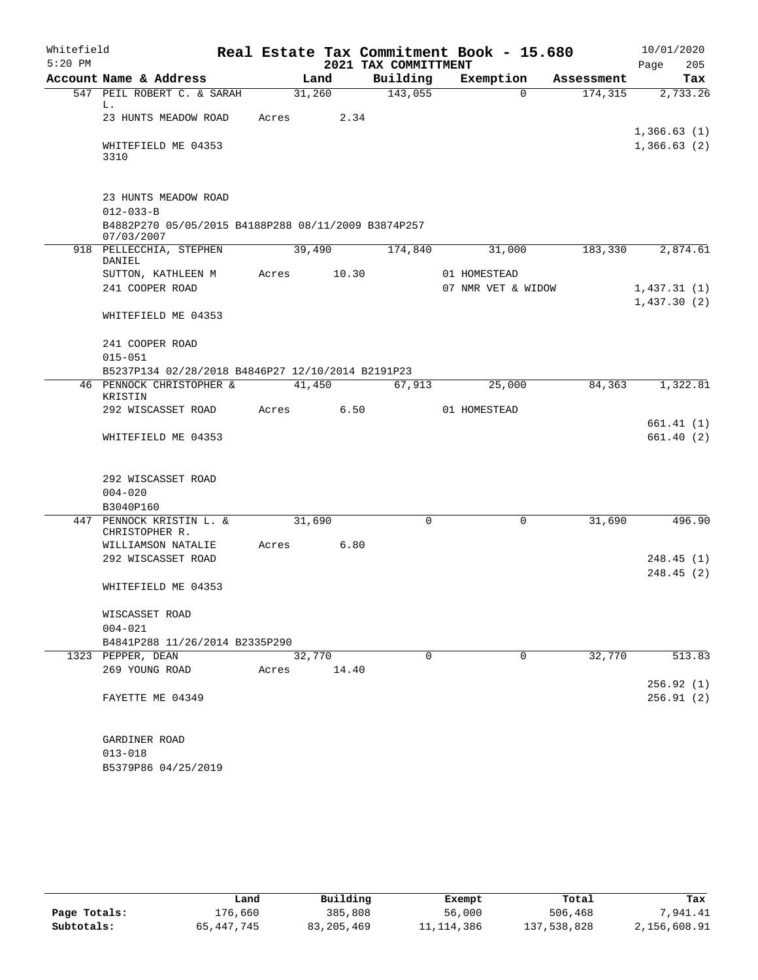| Whitefield<br>$5:20$ PM |                                                                   |       |        |       | Real Estate Tax Commitment Book - 15.680<br>2021 TAX COMMITTMENT |          |                    |          |            | 10/01/2020<br>Page         | 205        |
|-------------------------|-------------------------------------------------------------------|-------|--------|-------|------------------------------------------------------------------|----------|--------------------|----------|------------|----------------------------|------------|
|                         | Account Name & Address                                            |       | Land   |       | Building                                                         |          | Exemption          |          | Assessment |                            | Tax        |
|                         | 547 PEIL ROBERT C. & SARAH                                        |       | 31,260 |       | 143,055                                                          |          |                    | $\Omega$ | 174,315    |                            | 2,733.26   |
|                         | L.<br>23 HUNTS MEADOW ROAD                                        | Acres |        | 2.34  |                                                                  |          |                    |          |            |                            |            |
|                         | WHITEFIELD ME 04353                                               |       |        |       |                                                                  |          |                    |          |            | 1,366.63(1)<br>1,366.63(2) |            |
|                         | 3310                                                              |       |        |       |                                                                  |          |                    |          |            |                            |            |
|                         | 23 HUNTS MEADOW ROAD                                              |       |        |       |                                                                  |          |                    |          |            |                            |            |
|                         | $012 - 033 - B$                                                   |       |        |       |                                                                  |          |                    |          |            |                            |            |
|                         | B4882P270 05/05/2015 B4188P288 08/11/2009 B3874P257<br>07/03/2007 |       |        |       |                                                                  |          |                    |          |            |                            |            |
|                         | 918 PELLECCHIA, STEPHEN                                           |       | 39,490 |       | 174,840                                                          |          | 31,000             |          | 183,330    |                            | 2,874.61   |
|                         | DANIEL                                                            | Acres |        | 10.30 |                                                                  |          | 01 HOMESTEAD       |          |            |                            |            |
|                         | SUTTON, KATHLEEN M<br>241 COOPER ROAD                             |       |        |       |                                                                  |          |                    |          |            |                            |            |
|                         |                                                                   |       |        |       |                                                                  |          | 07 NMR VET & WIDOW |          |            | 1,437.31(1)                |            |
|                         | WHITEFIELD ME 04353                                               |       |        |       |                                                                  |          |                    |          |            | 1,437.30(2)                |            |
|                         | 241 COOPER ROAD                                                   |       |        |       |                                                                  |          |                    |          |            |                            |            |
|                         | $015 - 051$                                                       |       |        |       |                                                                  |          |                    |          |            |                            |            |
|                         | B5237P134 02/28/2018 B4846P27 12/10/2014 B2191P23                 |       |        |       |                                                                  |          |                    |          |            |                            |            |
|                         | 46 PENNOCK CHRISTOPHER &                                          |       | 41,450 |       |                                                                  | 67,913   | 25,000             |          | 84,363     |                            | 1,322.81   |
|                         | KRISTIN<br>292 WISCASSET ROAD                                     | Acres |        | 6.50  |                                                                  |          | 01 HOMESTEAD       |          |            |                            |            |
|                         |                                                                   |       |        |       |                                                                  |          |                    |          |            |                            | 661.41 (1) |
|                         | WHITEFIELD ME 04353                                               |       |        |       |                                                                  |          |                    |          |            |                            | 661.40(2)  |
|                         |                                                                   |       |        |       |                                                                  |          |                    |          |            |                            |            |
|                         | 292 WISCASSET ROAD                                                |       |        |       |                                                                  |          |                    |          |            |                            |            |
|                         | $004 - 020$                                                       |       |        |       |                                                                  |          |                    |          |            |                            |            |
|                         | B3040P160                                                         |       |        |       |                                                                  |          |                    |          |            |                            |            |
|                         | 447 PENNOCK KRISTIN L. &                                          |       | 31,690 |       |                                                                  | 0        |                    | 0        | 31,690     |                            | 496.90     |
|                         | CHRISTOPHER R.                                                    |       |        |       |                                                                  |          |                    |          |            |                            |            |
|                         | WILLIAMSON NATALIE                                                | Acres |        | 6.80  |                                                                  |          |                    |          |            |                            |            |
|                         | 292 WISCASSET ROAD                                                |       |        |       |                                                                  |          |                    |          |            |                            | 248.45(1)  |
|                         | WHITEFIELD ME 04353                                               |       |        |       |                                                                  |          |                    |          |            |                            | 248.45 (2) |
|                         | WISCASSET ROAD                                                    |       |        |       |                                                                  |          |                    |          |            |                            |            |
|                         | $004 - 021$                                                       |       |        |       |                                                                  |          |                    |          |            |                            |            |
|                         | B4841P288 11/26/2014 B2335P290                                    |       |        |       |                                                                  |          |                    |          |            |                            |            |
|                         | 1323 PEPPER, DEAN                                                 |       | 32,770 |       |                                                                  | $\Omega$ |                    | $\Omega$ | 32,770     |                            | 513.83     |
|                         | 269 YOUNG ROAD                                                    | Acres |        | 14.40 |                                                                  |          |                    |          |            |                            |            |
|                         |                                                                   |       |        |       |                                                                  |          |                    |          |            |                            | 256.92 (1) |
|                         | FAYETTE ME 04349                                                  |       |        |       |                                                                  |          |                    |          |            |                            | 256.91(2)  |
|                         | GARDINER ROAD                                                     |       |        |       |                                                                  |          |                    |          |            |                            |            |
|                         | $013 - 018$                                                       |       |        |       |                                                                  |          |                    |          |            |                            |            |
|                         | B5379P86 04/25/2019                                               |       |        |       |                                                                  |          |                    |          |            |                            |            |

|              | Land         | Building   | Exempt       | Total       | Tax          |
|--------------|--------------|------------|--------------|-------------|--------------|
| Page Totals: | 176,660      | 385,808    | 56,000       | 506,468     | 1,941.41     |
| Subtotals:   | 65, 447, 745 | 83,205,469 | 11, 114, 386 | 137,538,828 | 2,156,608.91 |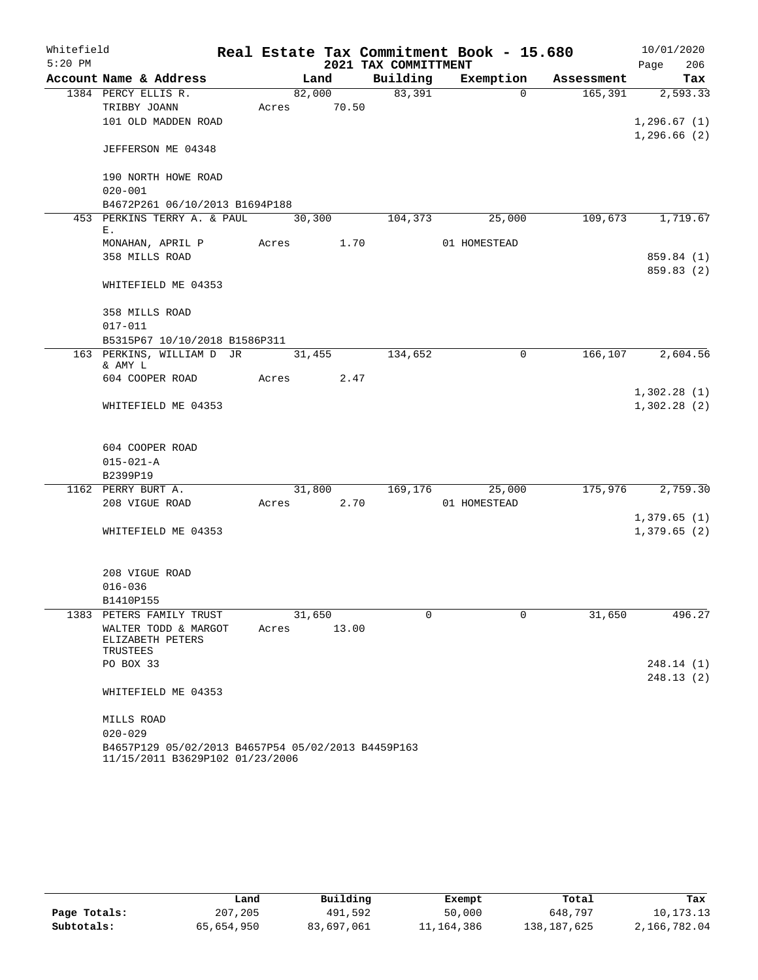| Whitefield |                                                    |       |        |            | Real Estate Tax Commitment Book - 15.680 |                |          |            | 10/01/2020   |            |
|------------|----------------------------------------------------|-------|--------|------------|------------------------------------------|----------------|----------|------------|--------------|------------|
| $5:20$ PM  |                                                    |       |        |            | 2021 TAX COMMITTMENT                     |                |          |            | Page         | 206        |
|            | Account Name & Address                             |       | Land   |            | Building                                 | Exemption      |          | Assessment |              | Tax        |
|            | 1384 PERCY ELLIS R.                                |       |        | 82,000     | 83,391                                   |                | $\Omega$ | 165,391    |              | 2,593.33   |
|            | TRIBBY JOANN                                       | Acres |        | 70.50      |                                          |                |          |            |              |            |
|            | 101 OLD MADDEN ROAD                                |       |        |            |                                          |                |          |            | 1, 296.67(1) |            |
|            | JEFFERSON ME 04348                                 |       |        |            |                                          |                |          |            | 1,296.66(2)  |            |
|            | 190 NORTH HOWE ROAD                                |       |        |            |                                          |                |          |            |              |            |
|            | $020 - 001$<br>B4672P261 06/10/2013 B1694P188      |       |        |            |                                          |                |          |            |              |            |
|            | 453 PERKINS TERRY A. & PAUL                        |       | 30,300 |            | 104,373                                  |                | 25,000   | 109,673    |              | 1,719.67   |
|            | Ε.                                                 |       |        |            |                                          |                |          |            |              |            |
|            | MONAHAN, APRIL P                                   | Acres |        | 1.70       |                                          | 01 HOMESTEAD   |          |            |              |            |
|            | 358 MILLS ROAD                                     |       |        |            |                                          |                |          |            |              | 859.84 (1) |
|            | WHITEFIELD ME 04353                                |       |        |            |                                          |                |          |            |              | 859.83 (2) |
|            | 358 MILLS ROAD                                     |       |        |            |                                          |                |          |            |              |            |
|            | $017 - 011$                                        |       |        |            |                                          |                |          |            |              |            |
|            | B5315P67 10/10/2018 B1586P311                      |       |        |            |                                          |                |          |            |              |            |
|            | 163 PERKINS, WILLIAM D JR<br>& AMY L               |       | 31,455 |            | 134,652                                  |                | 0        | 166, 107   |              | 2,604.56   |
|            | 604 COOPER ROAD                                    | Acres |        | 2.47       |                                          |                |          |            |              |            |
|            |                                                    |       |        |            |                                          |                |          |            | 1,302.28(1)  |            |
|            | WHITEFIELD ME 04353                                |       |        |            |                                          |                |          |            | 1,302.28(2)  |            |
|            |                                                    |       |        |            |                                          |                |          |            |              |            |
|            | 604 COOPER ROAD                                    |       |        |            |                                          |                |          |            |              |            |
|            | $015 - 021 - A$                                    |       |        |            |                                          |                |          |            |              |            |
|            | B2399P19                                           |       |        |            |                                          |                |          |            |              |            |
|            | 1162 PERRY BURT A.                                 |       |        | 31,800     |                                          | 169,176 25,000 |          | 175,976    |              | 2,759.30   |
|            | 208 VIGUE ROAD                                     |       |        | Acres 2.70 |                                          | 01 HOMESTEAD   |          |            |              |            |
|            |                                                    |       |        |            |                                          |                |          |            | 1,379.65(1)  |            |
|            | WHITEFIELD ME 04353                                |       |        |            |                                          |                |          |            | 1,379.65(2)  |            |
|            |                                                    |       |        |            |                                          |                |          |            |              |            |
|            | 208 VIGUE ROAD                                     |       |        |            |                                          |                |          |            |              |            |
|            | $016 - 036$                                        |       |        |            |                                          |                |          |            |              |            |
|            | B1410P155                                          |       |        |            |                                          |                |          |            |              |            |
|            | 1383 PETERS FAMILY TRUST                           |       | 31,650 |            | $\Omega$                                 |                | $\Omega$ | 31,650     |              | 496.27     |
|            | WALTER TODD & MARGOT<br>ELIZABETH PETERS           | Acres |        | 13.00      |                                          |                |          |            |              |            |
|            | TRUSTEES<br>PO BOX 33                              |       |        |            |                                          |                |          |            |              | 248.14(1)  |
|            |                                                    |       |        |            |                                          |                |          |            |              | 248.13(2)  |
|            | WHITEFIELD ME 04353                                |       |        |            |                                          |                |          |            |              |            |
|            | MILLS ROAD                                         |       |        |            |                                          |                |          |            |              |            |
|            | $020 - 029$                                        |       |        |            |                                          |                |          |            |              |            |
|            | B4657P129 05/02/2013 B4657P54 05/02/2013 B4459P163 |       |        |            |                                          |                |          |            |              |            |
|            | 11/15/2011 B3629P102 01/23/2006                    |       |        |            |                                          |                |          |            |              |            |

|              | Land       | Building   | Exempt       | Total       | Tax          |
|--------------|------------|------------|--------------|-------------|--------------|
| Page Totals: | 207,205    | 491,592    | 50,000       | 648,797     | 10,173.13    |
| Subtotals:   | 65,654,950 | 83,697,061 | 11, 164, 386 | 138,187,625 | 2,166,782.04 |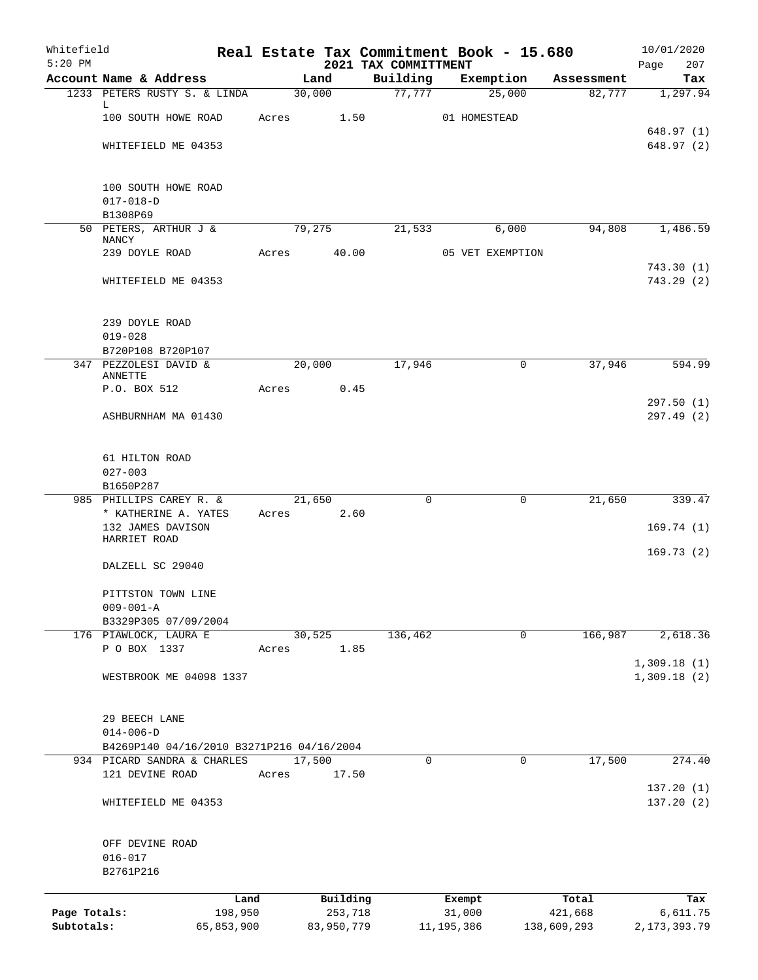| Whitefield<br>$5:20$ PM |                                           |       |            | 2021 TAX COMMITTMENT | Real Estate Tax Commitment Book - 15.680 |             | 10/01/2020<br>Page<br>207  |
|-------------------------|-------------------------------------------|-------|------------|----------------------|------------------------------------------|-------------|----------------------------|
|                         | Account Name & Address                    |       | Land       | Building             | Exemption                                | Assessment  | Tax                        |
|                         | 1233 PETERS RUSTY S. & LINDA              |       | 30,000     | 77,777               | 25,000                                   | 82,777      | 1,297.94                   |
|                         | L                                         |       |            |                      |                                          |             |                            |
|                         | 100 SOUTH HOWE ROAD                       | Acres | 1.50       |                      | 01 HOMESTEAD                             |             |                            |
|                         | WHITEFIELD ME 04353                       |       |            |                      |                                          |             | 648.97(1)<br>648.97(2)     |
|                         |                                           |       |            |                      |                                          |             |                            |
|                         | 100 SOUTH HOWE ROAD                       |       |            |                      |                                          |             |                            |
|                         | $017 - 018 - D$                           |       |            |                      |                                          |             |                            |
|                         | B1308P69                                  |       |            |                      |                                          |             |                            |
|                         | 50 PETERS, ARTHUR J &                     |       | 79,275     | 21,533               | 6,000                                    | 94,808      | 1,486.59                   |
|                         | NANCY<br>239 DOYLE ROAD                   | Acres | 40.00      |                      | 05 VET EXEMPTION                         |             |                            |
|                         |                                           |       |            |                      |                                          |             | 743.30(1)                  |
|                         | WHITEFIELD ME 04353                       |       |            |                      |                                          |             | 743.29(2)                  |
|                         |                                           |       |            |                      |                                          |             |                            |
|                         | 239 DOYLE ROAD                            |       |            |                      |                                          |             |                            |
|                         | $019 - 028$                               |       |            |                      |                                          |             |                            |
|                         | B720P108 B720P107                         |       |            |                      |                                          |             |                            |
|                         | 347 PEZZOLESI DAVID &<br>ANNETTE          |       | 20,000     | 17,946               | $\mathbf 0$                              | 37,946      | 594.99                     |
|                         | P.O. BOX 512                              | Acres | 0.45       |                      |                                          |             |                            |
|                         |                                           |       |            |                      |                                          |             | 297.50(1)                  |
|                         | ASHBURNHAM MA 01430                       |       |            |                      |                                          |             | 297.49(2)                  |
|                         | 61 HILTON ROAD                            |       |            |                      |                                          |             |                            |
|                         | $027 - 003$                               |       |            |                      |                                          |             |                            |
|                         | B1650P287                                 |       |            |                      |                                          |             |                            |
|                         | 985 PHILLIPS CAREY R. &                   |       | 21,650     | $\Omega$             | $\mathbf 0$                              | 21,650      | 339.47                     |
|                         | * KATHERINE A. YATES                      | Acres | 2.60       |                      |                                          |             |                            |
|                         | 132 JAMES DAVISON                         |       |            |                      |                                          |             | 169.74(1)                  |
|                         | HARRIET ROAD                              |       |            |                      |                                          |             |                            |
|                         | DALZELL SC 29040                          |       |            |                      |                                          |             | 169.73(2)                  |
|                         |                                           |       |            |                      |                                          |             |                            |
|                         | PITTSTON TOWN LINE                        |       |            |                      |                                          |             |                            |
|                         | $009 - 001 - A$                           |       |            |                      |                                          |             |                            |
|                         | B3329P305 07/09/2004                      |       |            |                      |                                          |             |                            |
|                         | 176 PIAWLOCK, LAURA E                     |       | 30,525     | 136,462              | 0                                        | 166,987     | 2,618.36                   |
|                         | P O BOX 1337                              | Acres | 1.85       |                      |                                          |             |                            |
|                         | WESTBROOK ME 04098 1337                   |       |            |                      |                                          |             | 1,309.18(1)<br>1,309.18(2) |
|                         |                                           |       |            |                      |                                          |             |                            |
|                         | 29 BEECH LANE                             |       |            |                      |                                          |             |                            |
|                         | $014 - 006 - D$                           |       |            |                      |                                          |             |                            |
|                         | B4269P140 04/16/2010 B3271P216 04/16/2004 |       |            |                      |                                          |             |                            |
|                         | 934 PICARD SANDRA & CHARLES               |       | 17,500     | 0                    | 0                                        | 17,500      | 274.40                     |
|                         | 121 DEVINE ROAD                           | Acres | 17.50      |                      |                                          |             |                            |
|                         |                                           |       |            |                      |                                          |             | 137.20(1)                  |
|                         | WHITEFIELD ME 04353                       |       |            |                      |                                          |             | 137.20(2)                  |
|                         | OFF DEVINE ROAD                           |       |            |                      |                                          |             |                            |
|                         | $016 - 017$                               |       |            |                      |                                          |             |                            |
|                         | B2761P216                                 |       |            |                      |                                          |             |                            |
|                         |                                           | Land  | Building   |                      | Exempt                                   | Total       | Tax                        |
| Page Totals:            | 198,950                                   |       | 253,718    |                      | 31,000                                   | 421,668     | 6,611.75                   |
| Subtotals:              | 65,853,900                                |       | 83,950,779 |                      | 11, 195, 386                             | 138,609,293 | 2, 173, 393. 79            |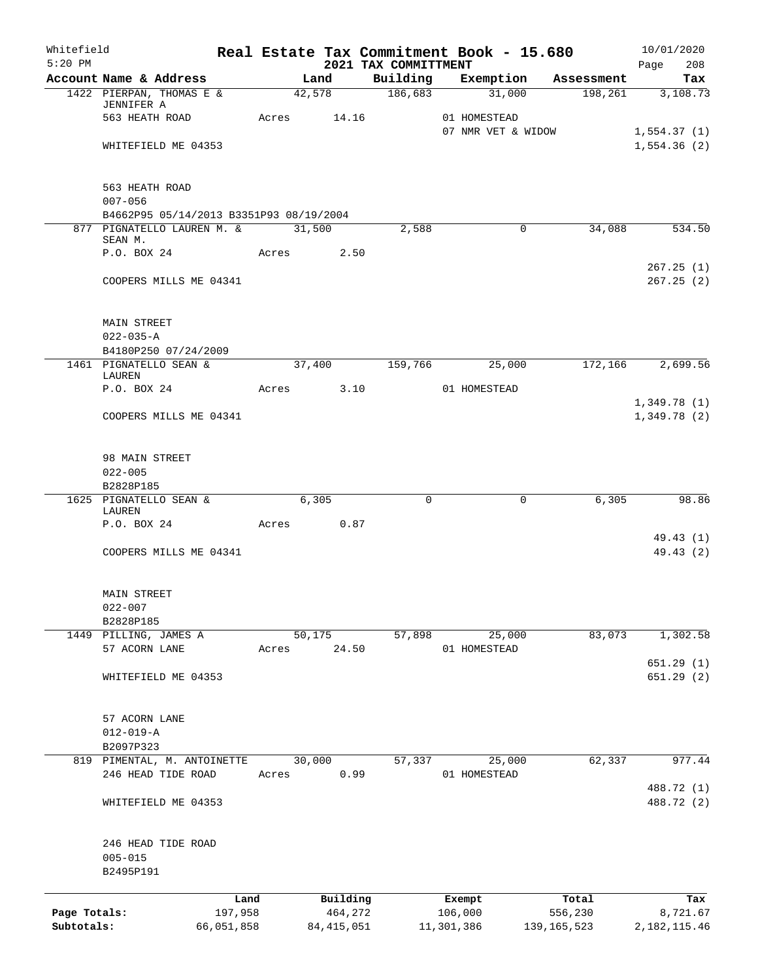| Whitefield   |                                                   |            |       |        |              |                                  | Real Estate Tax Commitment Book - 15.680 |               | 10/01/2020                 |
|--------------|---------------------------------------------------|------------|-------|--------|--------------|----------------------------------|------------------------------------------|---------------|----------------------------|
| $5:20$ PM    | Account Name & Address                            |            |       | Land   |              | 2021 TAX COMMITTMENT<br>Building | Exemption                                | Assessment    | Page<br>208<br>Tax         |
|              | 1422 PIERPAN, THOMAS E &                          |            |       | 42,578 |              | 186,683                          | 31,000                                   | 198,261       | 3,108.73                   |
|              | JENNIFER A                                        |            |       |        |              |                                  |                                          |               |                            |
|              | 563 HEATH ROAD                                    |            |       |        | Acres 14.16  |                                  | 01 HOMESTEAD<br>07 NMR VET & WIDOW       |               | 1,554.37(1)                |
|              | WHITEFIELD ME 04353                               |            |       |        |              |                                  |                                          |               | 1,554.36(2)                |
|              |                                                   |            |       |        |              |                                  |                                          |               |                            |
|              | 563 HEATH ROAD                                    |            |       |        |              |                                  |                                          |               |                            |
|              | $007 - 056$                                       |            |       |        |              |                                  |                                          |               |                            |
|              | B4662P95 05/14/2013 B3351P93 08/19/2004           |            |       |        |              |                                  |                                          |               |                            |
|              | 877 PIGNATELLO LAUREN M. &<br>SEAN M.             |            |       | 31,500 |              | 2,588                            | 0                                        | 34,088        | 534.50                     |
|              | P.O. BOX 24                                       |            | Acres |        | 2.50         |                                  |                                          |               |                            |
|              |                                                   |            |       |        |              |                                  |                                          |               | 267.25(1)                  |
|              | COOPERS MILLS ME 04341                            |            |       |        |              |                                  |                                          |               | 267.25(2)                  |
|              | MAIN STREET                                       |            |       |        |              |                                  |                                          |               |                            |
|              | $022 - 035 - A$                                   |            |       |        |              |                                  |                                          |               |                            |
|              | B4180P250 07/24/2009                              |            |       |        |              |                                  |                                          |               |                            |
|              | 1461 PIGNATELLO SEAN &<br>LAUREN                  |            |       | 37,400 |              | 159,766                          | 25,000                                   | 172,166       | 2,699.56                   |
|              | P.O. BOX 24                                       |            | Acres |        | 3.10         |                                  | 01 HOMESTEAD                             |               |                            |
|              | COOPERS MILLS ME 04341                            |            |       |        |              |                                  |                                          |               | 1,349.78(1)<br>1,349.78(2) |
|              |                                                   |            |       |        |              |                                  |                                          |               |                            |
|              | 98 MAIN STREET                                    |            |       |        |              |                                  |                                          |               |                            |
|              | $022 - 005$<br>B2828P185                          |            |       |        |              |                                  |                                          |               |                            |
|              | 1625 PIGNATELLO SEAN &                            |            |       | 6,305  |              | 0                                | 0                                        | 6,305         | 98.86                      |
|              | LAUREN                                            |            |       |        |              |                                  |                                          |               |                            |
|              | P.O. BOX 24                                       |            | Acres |        | 0.87         |                                  |                                          |               | 49.43 (1)                  |
|              | COOPERS MILLS ME 04341                            |            |       |        |              |                                  |                                          |               | 49.43 (2)                  |
|              | <b>MAIN STREET</b>                                |            |       |        |              |                                  |                                          |               |                            |
|              | $022 - 007$                                       |            |       |        |              |                                  |                                          |               |                            |
|              | B2828P185                                         |            |       |        |              |                                  |                                          |               |                            |
|              | 1449 PILLING, JAMES A<br>57 ACORN LANE            |            | Acres | 50,175 | 24.50        | 57,898                           | 25,000<br>01 HOMESTEAD                   | 83,073        | 1,302.58                   |
|              |                                                   |            |       |        |              |                                  |                                          |               | 651.29 (1)                 |
|              | WHITEFIELD ME 04353                               |            |       |        |              |                                  |                                          |               | 651.29 (2)                 |
|              | 57 ACORN LANE                                     |            |       |        |              |                                  |                                          |               |                            |
|              | $012 - 019 - A$                                   |            |       |        |              |                                  |                                          |               |                            |
|              | B2097P323                                         |            |       |        |              |                                  |                                          |               |                            |
|              | 819 PIMENTAL, M. ANTOINETTE<br>246 HEAD TIDE ROAD |            | Acres | 30,000 | 0.99         | 57,337                           | 25,000<br>01 HOMESTEAD                   | 62,337        | 977.44                     |
|              |                                                   |            |       |        |              |                                  |                                          |               | 488.72 (1)                 |
|              | WHITEFIELD ME 04353                               |            |       |        |              |                                  |                                          |               | 488.72 (2)                 |
|              | 246 HEAD TIDE ROAD                                |            |       |        |              |                                  |                                          |               |                            |
|              | $005 - 015$                                       |            |       |        |              |                                  |                                          |               |                            |
|              | B2495P191                                         |            |       |        |              |                                  |                                          |               |                            |
|              |                                                   | Land       |       |        | Building     |                                  | Exempt                                   | Total         | Tax                        |
| Page Totals: |                                                   | 197,958    |       |        | 464,272      |                                  | 106,000                                  | 556,230       | 8,721.67                   |
| Subtotals:   |                                                   | 66,051,858 |       |        | 84, 415, 051 |                                  | 11,301,386                               | 139, 165, 523 | 2, 182, 115.46             |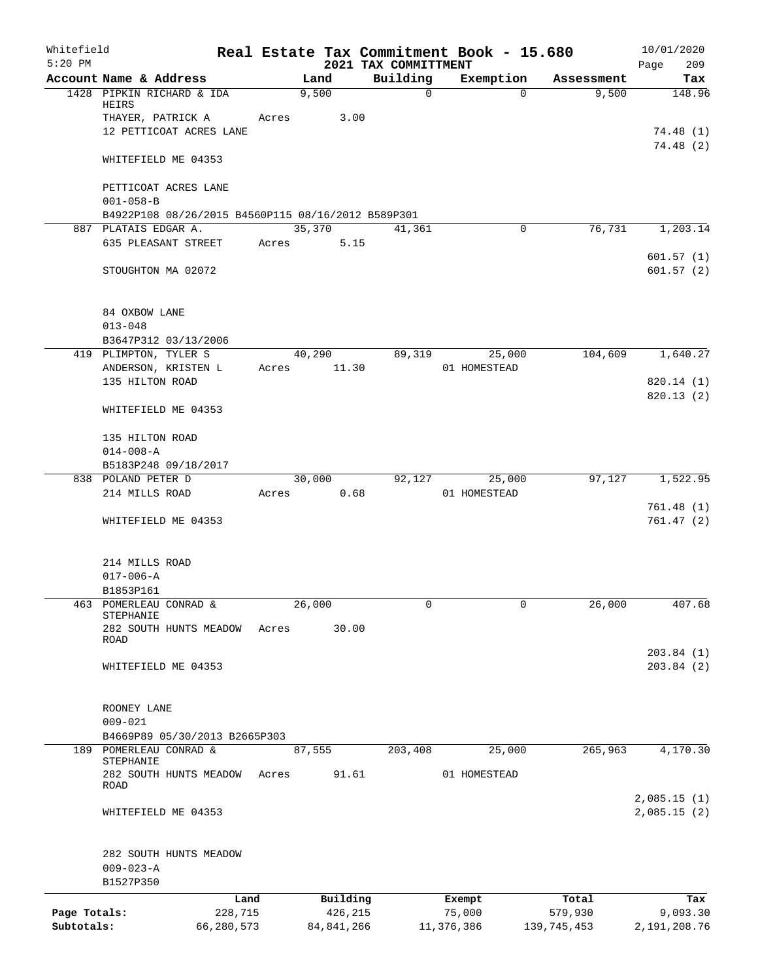| Whitefield<br>$5:20$ PM |                                                    |            |       |              |       | 2021 TAX COMMITTMENT | Real Estate Tax Commitment Book - 15.680 |          |               | 10/01/2020<br>Page<br>209 |
|-------------------------|----------------------------------------------------|------------|-------|--------------|-------|----------------------|------------------------------------------|----------|---------------|---------------------------|
|                         | Account Name & Address                             |            |       | Land         |       | Building             | Exemption                                |          | Assessment    | Tax                       |
|                         | 1428 PIPKIN RICHARD & IDA<br>HEIRS                 |            |       | 9,500        |       | $\Omega$             |                                          | $\Omega$ | 9,500         | 148.96                    |
|                         | THAYER, PATRICK A                                  |            | Acres |              | 3.00  |                      |                                          |          |               |                           |
|                         | 12 PETTICOAT ACRES LANE                            |            |       |              |       |                      |                                          |          |               | 74.48(1)                  |
|                         | WHITEFIELD ME 04353                                |            |       |              |       |                      |                                          |          |               | 74.48(2)                  |
|                         | PETTICOAT ACRES LANE                               |            |       |              |       |                      |                                          |          |               |                           |
|                         | $001 - 058 - B$                                    |            |       |              |       |                      |                                          |          |               |                           |
|                         | B4922P108 08/26/2015 B4560P115 08/16/2012 B589P301 |            |       |              |       |                      |                                          |          |               |                           |
|                         | 887 PLATAIS EDGAR A.                               |            |       | 35,370       |       | 41,361               |                                          | $\Omega$ | 76,731        | 1,203.14                  |
|                         | 635 PLEASANT STREET                                |            | Acres |              | 5.15  |                      |                                          |          |               |                           |
|                         | STOUGHTON MA 02072                                 |            |       |              |       |                      |                                          |          |               | 601.57(1)<br>601.57(2)    |
|                         | 84 OXBOW LANE<br>$013 - 048$                       |            |       |              |       |                      |                                          |          |               |                           |
|                         | B3647P312 03/13/2006                               |            |       |              |       |                      |                                          |          |               |                           |
|                         | 419 PLIMPTON, TYLER S                              |            |       | 40,290       |       | 89,319               | 25,000                                   |          | 104,609       | 1,640.27                  |
|                         | ANDERSON, KRISTEN L                                |            | Acres |              | 11.30 |                      | 01 HOMESTEAD                             |          |               |                           |
|                         | 135 HILTON ROAD                                    |            |       |              |       |                      |                                          |          |               | 820.14(1)                 |
|                         | WHITEFIELD ME 04353                                |            |       |              |       |                      |                                          |          |               | 820.13 (2)                |
|                         |                                                    |            |       |              |       |                      |                                          |          |               |                           |
|                         | 135 HILTON ROAD<br>$014 - 008 - A$                 |            |       |              |       |                      |                                          |          |               |                           |
|                         | B5183P248 09/18/2017                               |            |       |              |       |                      |                                          |          |               |                           |
|                         | 838 POLAND PETER D                                 |            |       | 30,000       |       | 92,127               | 25,000                                   |          | 97,127        | 1,522.95                  |
|                         | 214 MILLS ROAD                                     |            | Acres |              | 0.68  |                      | 01 HOMESTEAD                             |          |               |                           |
|                         | WHITEFIELD ME 04353                                |            |       |              |       |                      |                                          |          |               | 761.48(1)<br>761.47(2)    |
|                         | 214 MILLS ROAD                                     |            |       |              |       |                      |                                          |          |               |                           |
|                         | $017 - 006 - A$                                    |            |       |              |       |                      |                                          |          |               |                           |
|                         | B1853P161                                          |            |       |              |       |                      |                                          |          |               |                           |
|                         | 463 POMERLEAU CONRAD &                             |            |       | 26,000       |       | 0                    |                                          | 0        | 26,000        | 407.68                    |
|                         | STEPHANIE                                          |            |       |              |       |                      |                                          |          |               |                           |
|                         | 282 SOUTH HUNTS MEADOW<br>ROAD                     |            | Acres |              | 30.00 |                      |                                          |          |               |                           |
|                         | WHITEFIELD ME 04353                                |            |       |              |       |                      |                                          |          |               | 203.84(1)<br>203.84(2)    |
|                         | ROONEY LANE                                        |            |       |              |       |                      |                                          |          |               |                           |
|                         | $009 - 021$                                        |            |       |              |       |                      |                                          |          |               |                           |
|                         | B4669P89 05/30/2013 B2665P303                      |            |       |              |       |                      |                                          |          |               |                           |
|                         | 189 POMERLEAU CONRAD &                             |            |       | 87,555       |       | 203,408              | 25,000                                   |          | 265,963       | 4,170.30                  |
|                         | STEPHANIE<br>282 SOUTH HUNTS MEADOW                |            | Acres |              | 91.61 |                      | 01 HOMESTEAD                             |          |               |                           |
|                         | ROAD                                               |            |       |              |       |                      |                                          |          |               | 2,085.15(1)               |
|                         | WHITEFIELD ME 04353                                |            |       |              |       |                      |                                          |          |               | 2,085.15(2)               |
|                         | 282 SOUTH HUNTS MEADOW                             |            |       |              |       |                      |                                          |          |               |                           |
|                         | $009 - 023 - A$                                    |            |       |              |       |                      |                                          |          |               |                           |
|                         | B1527P350                                          |            |       |              |       |                      |                                          |          |               |                           |
|                         |                                                    | Land       |       | Building     |       |                      | Exempt                                   |          | Total         | Tax                       |
| Page Totals:            |                                                    | 228,715    |       | 426,215      |       |                      | 75,000                                   |          | 579,930       | 9,093.30                  |
| Subtotals:              |                                                    | 66,280,573 |       | 84, 841, 266 |       |                      | 11,376,386                               |          | 139, 745, 453 | 2,191,208.76              |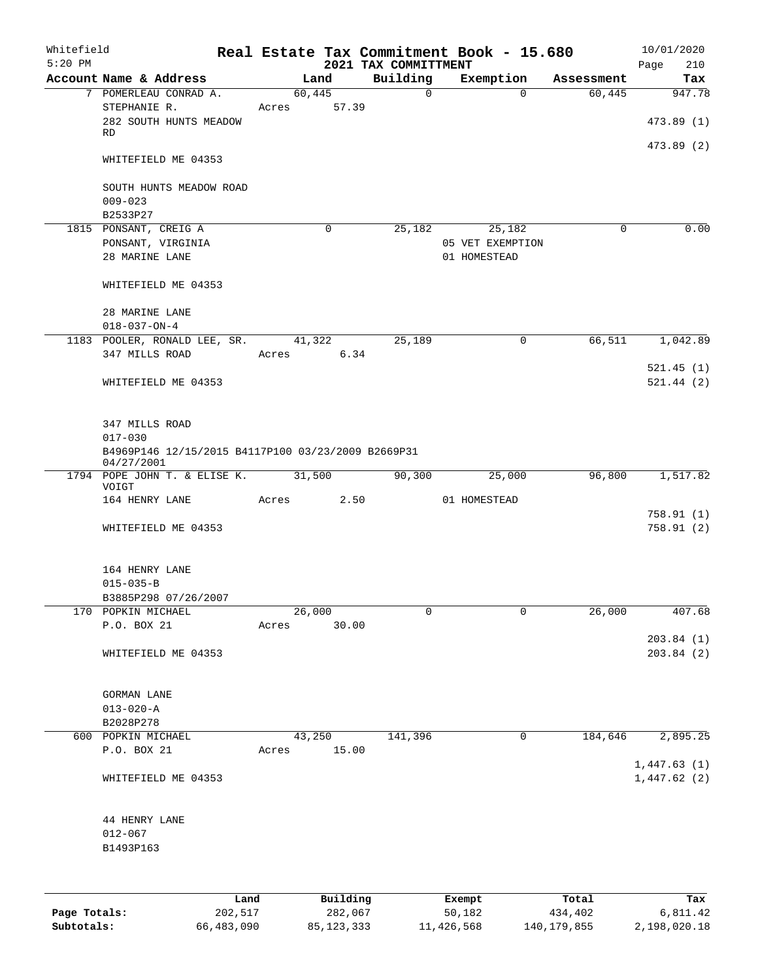| Whitefield<br>$5:20$ PM |                                                    |      |       |        |          | 2021 TAX COMMITTMENT | Real Estate Tax Commitment Book - 15.680 |            | 10/01/2020<br>Page<br>210 |
|-------------------------|----------------------------------------------------|------|-------|--------|----------|----------------------|------------------------------------------|------------|---------------------------|
|                         | Account Name & Address                             |      |       | Land   |          | Building             | Exemption                                | Assessment | Tax                       |
|                         | 7 POMERLEAU CONRAD A.                              |      |       | 60,445 |          | $\mathsf{O}$         | $\Omega$                                 | 60,445     | 947.78                    |
|                         | STEPHANIE R.                                       |      | Acres |        | 57.39    |                      |                                          |            |                           |
|                         | 282 SOUTH HUNTS MEADOW                             |      |       |        |          |                      |                                          |            | 473.89 (1)                |
|                         | RD                                                 |      |       |        |          |                      |                                          |            |                           |
|                         |                                                    |      |       |        |          |                      |                                          |            | 473.89 (2)                |
|                         | WHITEFIELD ME 04353                                |      |       |        |          |                      |                                          |            |                           |
|                         |                                                    |      |       |        |          |                      |                                          |            |                           |
|                         | SOUTH HUNTS MEADOW ROAD                            |      |       |        |          |                      |                                          |            |                           |
|                         | $009 - 023$                                        |      |       |        |          |                      |                                          |            |                           |
|                         | B2533P27                                           |      |       |        |          |                      |                                          |            |                           |
|                         | 1815 PONSANT, CREIG A                              |      |       |        | 0        | 25,182               | 25,182                                   | 0          | 0.00                      |
|                         | PONSANT, VIRGINIA                                  |      |       |        |          |                      | 05 VET EXEMPTION                         |            |                           |
|                         | 28 MARINE LANE                                     |      |       |        |          |                      | 01 HOMESTEAD                             |            |                           |
|                         |                                                    |      |       |        |          |                      |                                          |            |                           |
|                         | WHITEFIELD ME 04353                                |      |       |        |          |                      |                                          |            |                           |
|                         |                                                    |      |       |        |          |                      |                                          |            |                           |
|                         | 28 MARINE LANE                                     |      |       |        |          |                      |                                          |            |                           |
|                         | $018 - 037 - ON - 4$                               |      |       |        |          |                      |                                          |            |                           |
|                         |                                                    |      |       |        |          |                      |                                          |            | 1,042.89                  |
|                         | 1183 POOLER, RONALD LEE, SR.                       |      |       | 41,322 |          | 25,189               | 0                                        | 66,511     |                           |
|                         | 347 MILLS ROAD                                     |      | Acres |        | 6.34     |                      |                                          |            |                           |
|                         |                                                    |      |       |        |          |                      |                                          |            | 521.45(1)                 |
|                         | WHITEFIELD ME 04353                                |      |       |        |          |                      |                                          |            | 521.44(2)                 |
|                         |                                                    |      |       |        |          |                      |                                          |            |                           |
|                         |                                                    |      |       |        |          |                      |                                          |            |                           |
|                         | 347 MILLS ROAD                                     |      |       |        |          |                      |                                          |            |                           |
|                         | $017 - 030$                                        |      |       |        |          |                      |                                          |            |                           |
|                         | B4969P146 12/15/2015 B4117P100 03/23/2009 B2669P31 |      |       |        |          |                      |                                          |            |                           |
|                         | 04/27/2001<br>1794 POPE JOHN T. & ELISE K. 31,500  |      |       |        |          | 90,300               | 25,000                                   | 96,800     | 1,517.82                  |
|                         | VOIGT                                              |      |       |        |          |                      |                                          |            |                           |
|                         | 164 HENRY LANE                                     |      | Acres |        | 2.50     |                      | 01 HOMESTEAD                             |            |                           |
|                         |                                                    |      |       |        |          |                      |                                          |            | 758.91(1)                 |
|                         | WHITEFIELD ME 04353                                |      |       |        |          |                      |                                          |            | 758.91(2)                 |
|                         |                                                    |      |       |        |          |                      |                                          |            |                           |
|                         |                                                    |      |       |        |          |                      |                                          |            |                           |
|                         | 164 HENRY LANE                                     |      |       |        |          |                      |                                          |            |                           |
|                         | $015 - 035 - B$                                    |      |       |        |          |                      |                                          |            |                           |
|                         | B3885P298 07/26/2007                               |      |       |        |          |                      |                                          |            |                           |
|                         | 170 POPKIN MICHAEL                                 |      |       | 26,000 |          | 0                    | 0                                        | 26,000     | 407.68                    |
|                         | P.O. BOX 21                                        |      | Acres |        | 30.00    |                      |                                          |            |                           |
|                         |                                                    |      |       |        |          |                      |                                          |            | 203.84(1)                 |
|                         | WHITEFIELD ME 04353                                |      |       |        |          |                      |                                          |            | 203.84 (2)                |
|                         |                                                    |      |       |        |          |                      |                                          |            |                           |
|                         |                                                    |      |       |        |          |                      |                                          |            |                           |
|                         | GORMAN LANE                                        |      |       |        |          |                      |                                          |            |                           |
|                         | $013 - 020 - A$                                    |      |       |        |          |                      |                                          |            |                           |
|                         | B2028P278                                          |      |       |        |          |                      |                                          |            |                           |
|                         | 600 POPKIN MICHAEL                                 |      |       | 43,250 |          | 141,396              | 0                                        | 184,646    | 2,895.25                  |
|                         | P.O. BOX 21                                        |      | Acres |        | 15.00    |                      |                                          |            |                           |
|                         |                                                    |      |       |        |          |                      |                                          |            | 1,447.63(1)               |
|                         | WHITEFIELD ME 04353                                |      |       |        |          |                      |                                          |            | 1,447.62(2)               |
|                         |                                                    |      |       |        |          |                      |                                          |            |                           |
|                         |                                                    |      |       |        |          |                      |                                          |            |                           |
|                         | 44 HENRY LANE                                      |      |       |        |          |                      |                                          |            |                           |
|                         | $012 - 067$                                        |      |       |        |          |                      |                                          |            |                           |
|                         | B1493P163                                          |      |       |        |          |                      |                                          |            |                           |
|                         |                                                    |      |       |        |          |                      |                                          |            |                           |
|                         |                                                    |      |       |        |          |                      |                                          |            |                           |
|                         |                                                    |      |       |        |          |                      |                                          |            |                           |
|                         |                                                    | Land |       |        | Building |                      | Exempt                                   | Total      | Tax                       |

**Page Totals:** 202,517 282,067 50,182 434,402 6,811.42 **Subtotals:** 66,483,090 85,123,333 11,426,568 140,179,855 2,198,020.18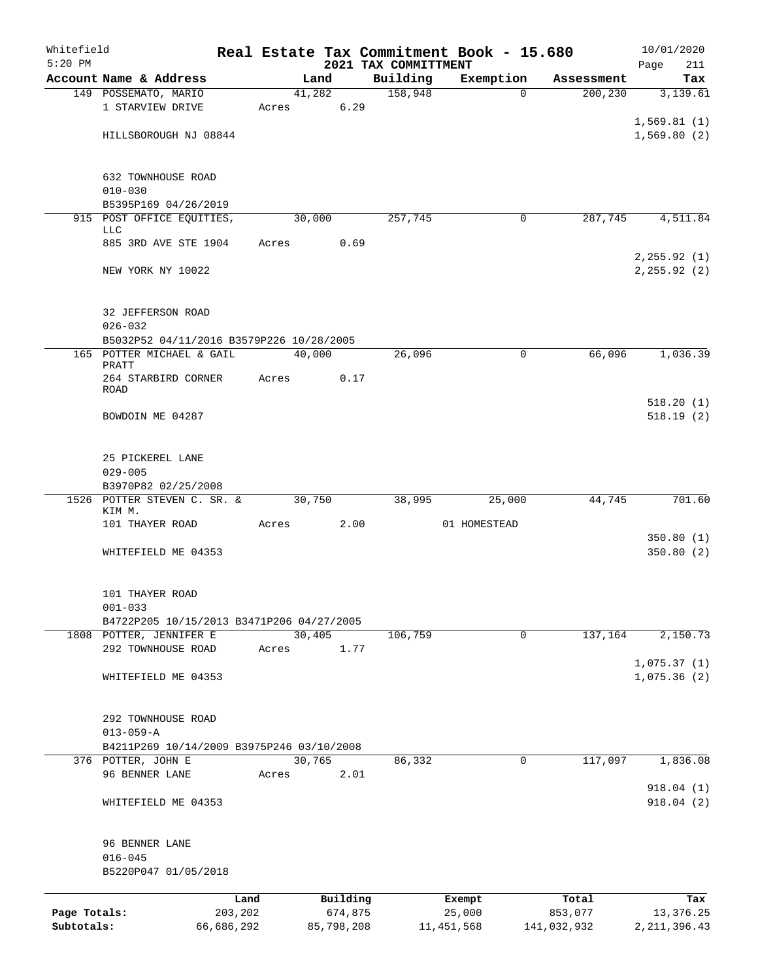| Whitefield<br>$5:20$ PM |                                                              |            |       |        |            | 2021 TAX COMMITTMENT | Real Estate Tax Commitment Book - 15.680 |             | 10/01/2020         |
|-------------------------|--------------------------------------------------------------|------------|-------|--------|------------|----------------------|------------------------------------------|-------------|--------------------|
|                         | Account Name & Address                                       |            |       | Land   |            | Building             | Exemption                                | Assessment  | Page<br>211<br>Tax |
|                         | 149 POSSEMATO, MARIO                                         |            |       | 41,282 |            | 158,948              | $\Omega$                                 | 200, 230    | 3,139.61           |
|                         | 1 STARVIEW DRIVE                                             |            | Acres |        | 6.29       |                      |                                          |             |                    |
|                         |                                                              |            |       |        |            |                      |                                          |             | 1,569.81(1)        |
|                         | HILLSBOROUGH NJ 08844                                        |            |       |        |            |                      |                                          |             | 1,569.80(2)        |
|                         |                                                              |            |       |        |            |                      |                                          |             |                    |
|                         | 632 TOWNHOUSE ROAD                                           |            |       |        |            |                      |                                          |             |                    |
|                         | $010 - 030$                                                  |            |       |        |            |                      |                                          |             |                    |
|                         | B5395P169 04/26/2019<br>915 POST OFFICE EQUITIES,            |            |       | 30,000 |            | 257,745              | 0                                        | 287,745     | 4,511.84           |
|                         | <b>LLC</b>                                                   |            |       |        |            |                      |                                          |             |                    |
|                         | 885 3RD AVE STE 1904                                         |            | Acres |        | 0.69       |                      |                                          |             |                    |
|                         |                                                              |            |       |        |            |                      |                                          |             | 2, 255.92(1)       |
|                         | NEW YORK NY 10022                                            |            |       |        |            |                      |                                          |             | 2, 255.92 (2)      |
|                         |                                                              |            |       |        |            |                      |                                          |             |                    |
|                         | 32 JEFFERSON ROAD                                            |            |       |        |            |                      |                                          |             |                    |
|                         | $026 - 032$<br>B5032P52 04/11/2016 B3579P226 10/28/2005      |            |       |        |            |                      |                                          |             |                    |
|                         | 165 POTTER MICHAEL & GAIL                                    |            |       | 40,000 |            | 26,096               | $\mathbf 0$                              | 66,096      | 1,036.39           |
|                         | PRATT                                                        |            |       |        |            |                      |                                          |             |                    |
|                         | 264 STARBIRD CORNER                                          |            | Acres |        | 0.17       |                      |                                          |             |                    |
|                         | <b>ROAD</b>                                                  |            |       |        |            |                      |                                          |             | 518.20(1)          |
|                         | BOWDOIN ME 04287                                             |            |       |        |            |                      |                                          |             | 518.19(2)          |
|                         |                                                              |            |       |        |            |                      |                                          |             |                    |
|                         | 25 PICKEREL LANE                                             |            |       |        |            |                      |                                          |             |                    |
|                         | $029 - 005$                                                  |            |       |        |            |                      |                                          |             |                    |
|                         | B3970P82 02/25/2008                                          |            |       |        |            |                      |                                          |             |                    |
|                         | 1526 POTTER STEVEN C. SR. &<br>KIM M.                        |            |       | 30,750 |            | 38,995               | 25,000                                   | 44,745      | 701.60             |
|                         | 101 THAYER ROAD                                              |            | Acres |        | 2.00       |                      | 01 HOMESTEAD                             |             |                    |
|                         |                                                              |            |       |        |            |                      |                                          |             | 350.80(1)          |
|                         | WHITEFIELD ME 04353                                          |            |       |        |            |                      |                                          |             | 350.80(2)          |
|                         |                                                              |            |       |        |            |                      |                                          |             |                    |
|                         | 101 THAYER ROAD<br>$001 - 033$                               |            |       |        |            |                      |                                          |             |                    |
|                         | B4722P205 10/15/2013 B3471P206 04/27/2005                    |            |       |        |            |                      |                                          |             |                    |
|                         | 1808 POTTER, JENNIFER E                                      |            |       | 30,405 |            | 106,759              | $\mathbf 0$                              | 137,164     | 2,150.73           |
|                         | 292 TOWNHOUSE ROAD                                           |            | Acres |        | 1.77       |                      |                                          |             |                    |
|                         |                                                              |            |       |        |            |                      |                                          |             | 1,075.37(1)        |
|                         | WHITEFIELD ME 04353                                          |            |       |        |            |                      |                                          |             | 1,075.36(2)        |
|                         |                                                              |            |       |        |            |                      |                                          |             |                    |
|                         | 292 TOWNHOUSE ROAD                                           |            |       |        |            |                      |                                          |             |                    |
|                         | $013 - 059 - A$<br>B4211P269 10/14/2009 B3975P246 03/10/2008 |            |       |        |            |                      |                                          |             |                    |
|                         | 376 POTTER, JOHN E                                           |            |       | 30,765 |            | 86,332               | 0                                        | 117,097     | 1,836.08           |
|                         | 96 BENNER LANE                                               |            | Acres |        | 2.01       |                      |                                          |             |                    |
|                         |                                                              |            |       |        |            |                      |                                          |             | 918.04(1)          |
|                         | WHITEFIELD ME 04353                                          |            |       |        |            |                      |                                          |             | 918.04 (2)         |
|                         | 96 BENNER LANE                                               |            |       |        |            |                      |                                          |             |                    |
|                         | $016 - 045$                                                  |            |       |        |            |                      |                                          |             |                    |
|                         | B5220P047 01/05/2018                                         |            |       |        |            |                      |                                          |             |                    |
|                         |                                                              | Land       |       |        | Building   |                      | Exempt                                   | Total       | Tax                |
| Page Totals:            |                                                              | 203,202    |       |        | 674,875    |                      | 25,000                                   | 853,077     | 13,376.25          |
| Subtotals:              |                                                              | 66,686,292 |       |        | 85,798,208 |                      | 11, 451, 568                             | 141,032,932 | 2, 211, 396.43     |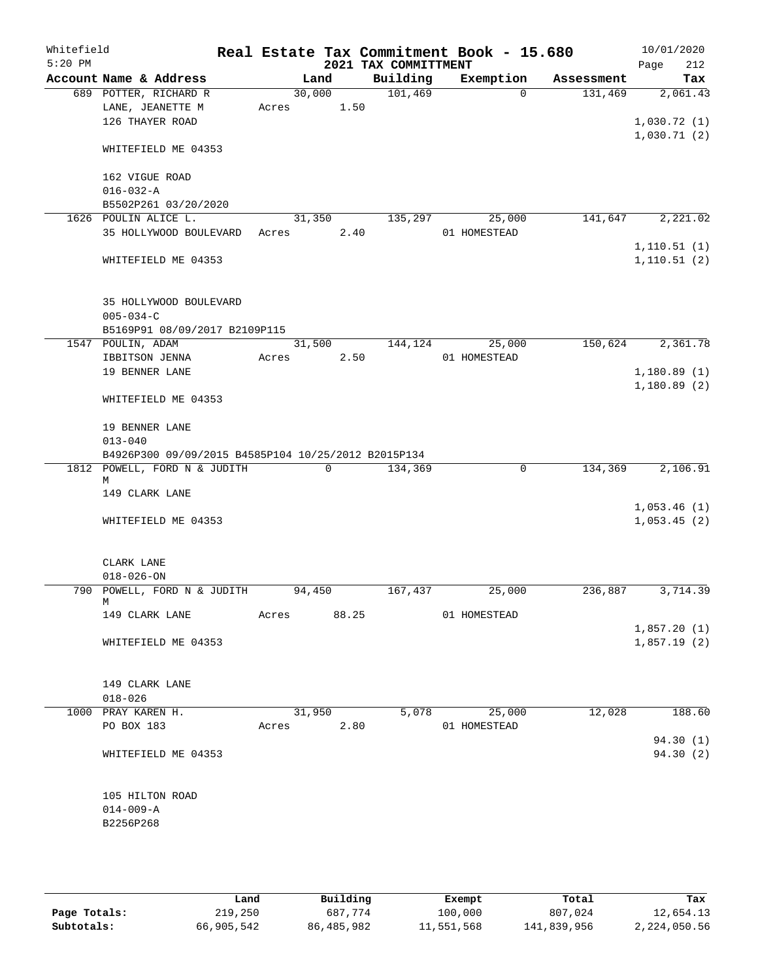| Whitefield |                                                                                     |            |        |                | Real Estate Tax Commitment Book - 15.680 |              |                |                      |      | 10/01/2020   |
|------------|-------------------------------------------------------------------------------------|------------|--------|----------------|------------------------------------------|--------------|----------------|----------------------|------|--------------|
| $5:20$ PM  |                                                                                     |            |        |                | 2021 TAX COMMITTMENT                     |              |                |                      | Page | 212          |
|            | Account Name & Address                                                              |            | Land   |                | Building                                 |              |                | Exemption Assessment |      | Tax          |
|            | 689 POTTER, RICHARD R                                                               |            | 30,000 |                | 101,469                                  |              | $\Omega$       | 131,469              |      | 2,061.43     |
|            | LANE, JEANETTE M<br>126 THAYER ROAD                                                 | Acres 1.50 |        |                |                                          |              |                |                      |      | 1,030.72(1)  |
|            |                                                                                     |            |        |                |                                          |              |                |                      |      | 1,030.71(2)  |
|            | WHITEFIELD ME 04353                                                                 |            |        |                |                                          |              |                |                      |      |              |
|            | 162 VIGUE ROAD                                                                      |            |        |                |                                          |              |                |                      |      |              |
|            | $016 - 032 - A$                                                                     |            |        |                |                                          |              |                |                      |      |              |
|            | B5502P261 03/20/2020                                                                |            |        |                |                                          |              |                |                      |      |              |
|            | 1626 POULIN ALICE L.                                                                |            | 31,350 |                | 135,297                                  |              | 25,000         | 141,647              |      | 2,221.02     |
|            | 35 HOLLYWOOD BOULEVARD                                                              | Acres      |        | 2.40           |                                          | 01 HOMESTEAD |                |                      |      |              |
|            |                                                                                     |            |        |                |                                          |              |                |                      |      | 1, 110.51(1) |
|            | WHITEFIELD ME 04353                                                                 |            |        |                |                                          |              |                |                      |      | 1, 110.51(2) |
|            | 35 HOLLYWOOD BOULEVARD                                                              |            |        |                |                                          |              |                |                      |      |              |
|            | $005 - 034 - C$                                                                     |            |        |                |                                          |              |                |                      |      |              |
|            | B5169P91 08/09/2017 B2109P115                                                       |            |        |                |                                          |              |                |                      |      |              |
|            | 1547 POULIN, ADAM                                                                   |            | 31,500 |                | 144,124                                  |              | 25,000         | 150,624              |      | 2,361.78     |
|            | IBBITSON JENNA                                                                      | Acres 2.50 |        |                |                                          | 01 HOMESTEAD |                |                      |      |              |
|            | 19 BENNER LANE                                                                      |            |        |                |                                          |              |                |                      |      | 1,180.89(1)  |
|            |                                                                                     |            |        |                |                                          |              |                |                      |      | 1,180.89(2)  |
|            | WHITEFIELD ME 04353                                                                 |            |        |                |                                          |              |                |                      |      |              |
|            | 19 BENNER LANE                                                                      |            |        |                |                                          |              |                |                      |      |              |
|            | $013 - 040$                                                                         |            |        |                |                                          |              |                |                      |      |              |
|            | B4926P300 09/09/2015 B4585P104 10/25/2012 B2015P134<br>1812 POWELL, FORD N & JUDITH |            |        | $\overline{0}$ | 134,369                                  |              | $\overline{0}$ | 134,369              |      | 2,106.91     |
|            | M                                                                                   |            |        |                |                                          |              |                |                      |      |              |
|            | 149 CLARK LANE                                                                      |            |        |                |                                          |              |                |                      |      |              |
|            |                                                                                     |            |        |                |                                          |              |                |                      |      | 1,053.46(1)  |
|            | WHITEFIELD ME 04353                                                                 |            |        |                |                                          |              |                |                      |      | 1,053.45(2)  |
|            | CLARK LANE                                                                          |            |        |                |                                          |              |                |                      |      |              |
|            | $018 - 026 - ON$                                                                    |            |        |                |                                          |              |                |                      |      |              |
|            | 790 POWELL, FORD N & JUDITH                                                         |            | 94,450 |                | 167,437                                  |              | 25,000         | 236,887              |      | 3,714.39     |
|            | М                                                                                   |            |        |                |                                          |              |                |                      |      |              |
|            | 149 CLARK LANE                                                                      | Acres      |        | 88.25          |                                          | 01 HOMESTEAD |                |                      |      |              |
|            |                                                                                     |            |        |                |                                          |              |                |                      |      | 1,857.20(1)  |
|            | WHITEFIELD ME 04353                                                                 |            |        |                |                                          |              |                |                      |      | 1,857.19(2)  |
|            | 149 CLARK LANE                                                                      |            |        |                |                                          |              |                |                      |      |              |
|            | $018 - 026$                                                                         |            |        |                |                                          |              |                |                      |      |              |
|            | 1000 PRAY KAREN H.                                                                  |            | 31,950 |                | 5,078                                    |              | 25,000         | 12,028               |      | 188.60       |
|            | PO BOX 183                                                                          | Acres      |        | 2.80           |                                          | 01 HOMESTEAD |                |                      |      |              |
|            |                                                                                     |            |        |                |                                          |              |                |                      |      | 94.30 (1)    |
|            | WHITEFIELD ME 04353                                                                 |            |        |                |                                          |              |                |                      |      | 94.30 (2)    |
|            | 105 HILTON ROAD                                                                     |            |        |                |                                          |              |                |                      |      |              |
|            | $014 - 009 - A$                                                                     |            |        |                |                                          |              |                |                      |      |              |
|            | B2256P268                                                                           |            |        |                |                                          |              |                |                      |      |              |
|            |                                                                                     |            |        |                |                                          |              |                |                      |      |              |
|            |                                                                                     |            |        |                |                                          |              |                |                      |      |              |
|            |                                                                                     |            |        |                |                                          |              |                |                      |      |              |

|              | Land       | Building   | Exempt     | Total       | Tax          |
|--------------|------------|------------|------------|-------------|--------------|
| Page Totals: | 219,250    | 687.774    | 100,000    | 807,024     | 12,654.13    |
| Subtotals:   | 66,905,542 | 86,485,982 | 11,551,568 | 141,839,956 | 2,224,050.56 |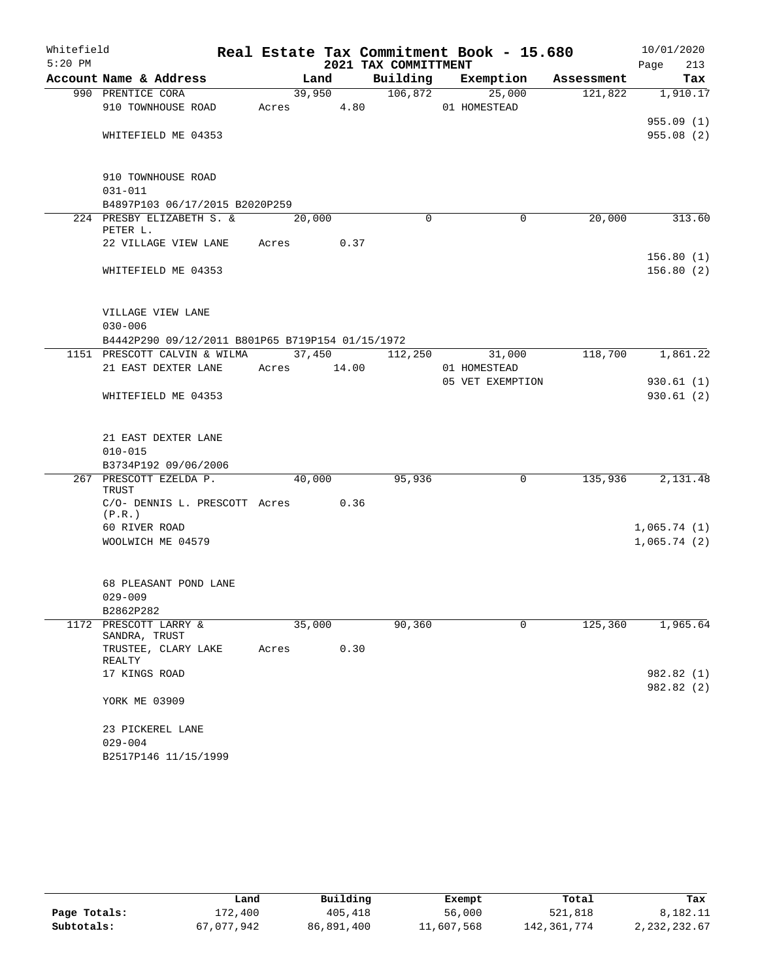| Whitefield |                                                  |             |        |                      | Real Estate Tax Commitment Book - 15.680 |            | 10/01/2020  |
|------------|--------------------------------------------------|-------------|--------|----------------------|------------------------------------------|------------|-------------|
| $5:20$ PM  |                                                  |             |        | 2021 TAX COMMITTMENT |                                          |            | Page<br>213 |
|            | Account Name & Address                           |             | Land   | Building             | Exemption                                | Assessment | Tax         |
|            | 990 PRENTICE CORA                                |             | 39,950 |                      | 106,872<br>25,000                        | 121,822    | 1,910.17    |
|            | 910 TOWNHOUSE ROAD                               | Acres 4.80  |        |                      | 01 HOMESTEAD                             |            |             |
|            |                                                  |             |        |                      |                                          |            | 955.09(1)   |
|            | WHITEFIELD ME 04353                              |             |        |                      |                                          |            | 955.08(2)   |
|            | 910 TOWNHOUSE ROAD                               |             |        |                      |                                          |            |             |
|            | $031 - 011$                                      |             |        |                      |                                          |            |             |
|            | B4897P103 06/17/2015 B2020P259                   |             |        |                      |                                          |            |             |
|            | 224 PRESBY ELIZABETH S. &                        |             | 20,000 | $\Omega$             | $\Omega$                                 | 20,000     | 313.60      |
|            | PETER L.                                         |             |        |                      |                                          |            |             |
|            | 22 VILLAGE VIEW LANE                             | Acres       | 0.37   |                      |                                          |            |             |
|            |                                                  |             |        |                      |                                          |            | 156.80(1)   |
|            | WHITEFIELD ME 04353                              |             |        |                      |                                          |            | 156.80(2)   |
|            |                                                  |             |        |                      |                                          |            |             |
|            | VILLAGE VIEW LANE                                |             |        |                      |                                          |            |             |
|            | $030 - 006$                                      |             |        |                      |                                          |            |             |
|            | B4442P290 09/12/2011 B801P65 B719P154 01/15/1972 |             |        |                      |                                          |            |             |
|            | 1151 PRESCOTT CALVIN & WILMA                     |             |        | 37,450 112,250       | 31,000                                   | 118,700    | 1,861.22    |
|            | 21 EAST DEXTER LANE                              | Acres 14.00 |        |                      | 01 HOMESTEAD                             |            |             |
|            |                                                  |             |        |                      | 05 VET EXEMPTION                         |            | 930.61(1)   |
|            | WHITEFIELD ME 04353                              |             |        |                      |                                          |            | 930.61(2)   |
|            |                                                  |             |        |                      |                                          |            |             |
|            | 21 EAST DEXTER LANE                              |             |        |                      |                                          |            |             |
|            | $010 - 015$                                      |             |        |                      |                                          |            |             |
|            | B3734P192 09/06/2006                             |             |        |                      |                                          |            |             |
|            | 267 PRESCOTT EZELDA P.                           |             | 40,000 | 95,936               | 0                                        | 135,936    | 2,131.48    |
|            | TRUST<br>C/O- DENNIS L. PRESCOTT Acres 0.36      |             |        |                      |                                          |            |             |
|            | (P.R.)                                           |             |        |                      |                                          |            |             |
|            | 60 RIVER ROAD                                    |             |        |                      |                                          |            | 1,065.74(1) |
|            | WOOLWICH ME 04579                                |             |        |                      |                                          |            | 1,065.74(2) |
|            |                                                  |             |        |                      |                                          |            |             |
|            | 68 PLEASANT POND LANE                            |             |        |                      |                                          |            |             |
|            | $029 - 009$                                      |             |        |                      |                                          |            |             |
|            | B2862P282                                        |             |        |                      |                                          |            |             |
| 1172       | PRESCOTT LARRY &                                 |             | 35,000 | 90,360               | 0                                        | 125,360    | 1,965.64    |
|            | SANDRA, TRUST                                    |             |        |                      |                                          |            |             |
|            | TRUSTEE, CLARY LAKE<br>REALTY                    | Acres       | 0.30   |                      |                                          |            |             |
|            | 17 KINGS ROAD                                    |             |        |                      |                                          |            | 982.82 (1)  |
|            |                                                  |             |        |                      |                                          |            | 982.82 (2)  |
|            | YORK ME 03909                                    |             |        |                      |                                          |            |             |
|            | 23 PICKEREL LANE                                 |             |        |                      |                                          |            |             |
|            | $029 - 004$                                      |             |        |                      |                                          |            |             |
|            | B2517P146 11/15/1999                             |             |        |                      |                                          |            |             |

|              | Land       | Building   | Exempt     | Total       | Tax            |
|--------------|------------|------------|------------|-------------|----------------|
| Page Totals: | 172,400    | 405,418    | 56,000     | 521,818     | 8,182.11       |
| Subtotals:   | 67.077.942 | 86,891,400 | 11,607,568 | 142,361,774 | 2, 232, 232.67 |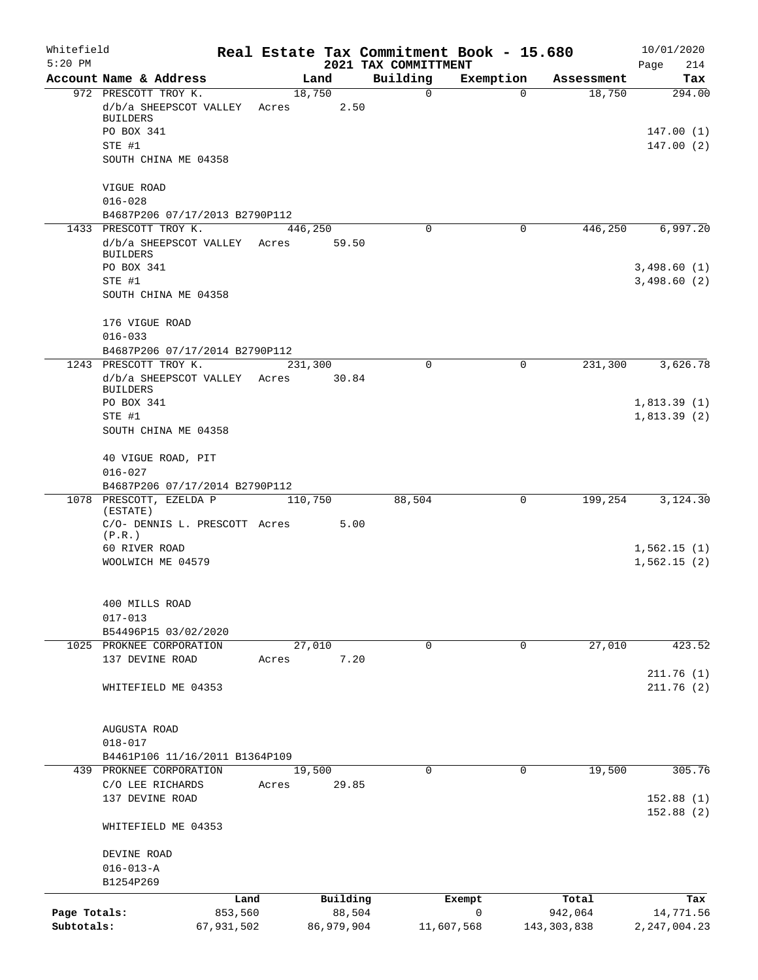| Whitefield<br>$5:20$ PM |                                                 |            |       |                  | 2021 TAX COMMITTMENT | Real Estate Tax Commitment Book - 15.680 |               | 10/01/2020<br>Page<br>214  |
|-------------------------|-------------------------------------------------|------------|-------|------------------|----------------------|------------------------------------------|---------------|----------------------------|
|                         | Account Name & Address                          |            |       | Land             | Building             | Exemption                                | Assessment    | Tax                        |
|                         | 972 PRESCOTT TROY K.                            |            |       | 18,750           | 0                    | $\Omega$                                 | 18,750        | 294.00                     |
|                         | d/b/a SHEEPSCOT VALLEY<br><b>BUILDERS</b>       |            | Acres | 2.50             |                      |                                          |               |                            |
|                         | PO BOX 341                                      |            |       |                  |                      |                                          |               | 147.00(1)                  |
|                         | STE #1                                          |            |       |                  |                      |                                          |               | 147.00(2)                  |
|                         | SOUTH CHINA ME 04358                            |            |       |                  |                      |                                          |               |                            |
|                         | VIGUE ROAD<br>$016 - 028$                       |            |       |                  |                      |                                          |               |                            |
|                         | B4687P206 07/17/2013 B2790P112                  |            |       |                  |                      |                                          |               |                            |
|                         | 1433 PRESCOTT TROY K.                           |            |       | 446,250          | 0                    | 0                                        | 446,250       | 6,997.20                   |
|                         | d/b/a SHEEPSCOT VALLEY                          |            | Acres | 59.50            |                      |                                          |               |                            |
|                         | <b>BUILDERS</b>                                 |            |       |                  |                      |                                          |               |                            |
|                         | PO BOX 341<br>STE #1                            |            |       |                  |                      |                                          |               | 3,498.60(1)<br>3,498.60(2) |
|                         | SOUTH CHINA ME 04358                            |            |       |                  |                      |                                          |               |                            |
|                         | 176 VIGUE ROAD                                  |            |       |                  |                      |                                          |               |                            |
|                         | $016 - 033$                                     |            |       |                  |                      |                                          |               |                            |
|                         | B4687P206 07/17/2014 B2790P112                  |            |       |                  |                      |                                          |               |                            |
|                         | 1243 PRESCOTT TROY K.<br>d/b/a SHEEPSCOT VALLEY |            | Acres | 231,300<br>30.84 | 0                    | 0                                        | 231,300       | 3,626.78                   |
|                         | <b>BUILDERS</b>                                 |            |       |                  |                      |                                          |               |                            |
|                         | PO BOX 341                                      |            |       |                  |                      |                                          |               | 1,813.39(1)                |
|                         | STE #1                                          |            |       |                  |                      |                                          |               | 1,813.39(2)                |
|                         | SOUTH CHINA ME 04358                            |            |       |                  |                      |                                          |               |                            |
|                         | 40 VIGUE ROAD, PIT<br>$016 - 027$               |            |       |                  |                      |                                          |               |                            |
|                         | B4687P206 07/17/2014 B2790P112                  |            |       |                  |                      |                                          |               |                            |
|                         | 1078 PRESCOTT, EZELDA P                         |            |       | 110,750          | 88,504               | 0                                        | 199,254       | 3,124.30                   |
|                         | (ESTATE)<br>C/O- DENNIS L. PRESCOTT Acres       |            |       | 5.00             |                      |                                          |               |                            |
|                         | (P,R.)                                          |            |       |                  |                      |                                          |               |                            |
|                         | 60 RIVER ROAD                                   |            |       |                  |                      |                                          |               | 1,562.15(1)                |
|                         | WOOLWICH ME 04579                               |            |       |                  |                      |                                          |               | 1,562.15(2)                |
|                         | 400 MILLS ROAD                                  |            |       |                  |                      |                                          |               |                            |
|                         | $017 - 013$                                     |            |       |                  |                      |                                          |               |                            |
|                         | B54496P15 03/02/2020                            |            |       |                  |                      |                                          |               |                            |
|                         | 1025 PROKNEE CORPORATION                        |            |       | 27,010           | 0                    | 0                                        | 27,010        | 423.52                     |
|                         | 137 DEVINE ROAD                                 |            | Acres | 7.20             |                      |                                          |               |                            |
|                         | WHITEFIELD ME 04353                             |            |       |                  |                      |                                          |               | 211.76(1)<br>211.76(2)     |
|                         |                                                 |            |       |                  |                      |                                          |               |                            |
|                         | AUGUSTA ROAD                                    |            |       |                  |                      |                                          |               |                            |
|                         | $018 - 017$                                     |            |       |                  |                      |                                          |               |                            |
|                         | B4461P106 11/16/2011 B1364P109                  |            |       |                  |                      |                                          |               |                            |
|                         | 439 PROKNEE CORPORATION                         |            |       | 19,500           | 0                    | $\mathbf 0$                              | 19,500        | 305.76                     |
|                         | C/O LEE RICHARDS<br>137 DEVINE ROAD             |            | Acres | 29.85            |                      |                                          |               | 152.88(1)                  |
|                         |                                                 |            |       |                  |                      |                                          |               | 152.88(2)                  |
|                         | WHITEFIELD ME 04353                             |            |       |                  |                      |                                          |               |                            |
|                         | DEVINE ROAD                                     |            |       |                  |                      |                                          |               |                            |
|                         | $016 - 013 - A$                                 |            |       |                  |                      |                                          |               |                            |
|                         | B1254P269                                       |            |       |                  |                      |                                          |               |                            |
|                         |                                                 | Land       |       | Building         |                      | Exempt                                   | Total         | Tax                        |
| Page Totals:            |                                                 | 853,560    |       | 88,504           |                      | 0                                        | 942,064       | 14,771.56                  |
| Subtotals:              |                                                 | 67,931,502 |       | 86,979,904       |                      | 11,607,568                               | 143, 303, 838 | 2, 247, 004.23             |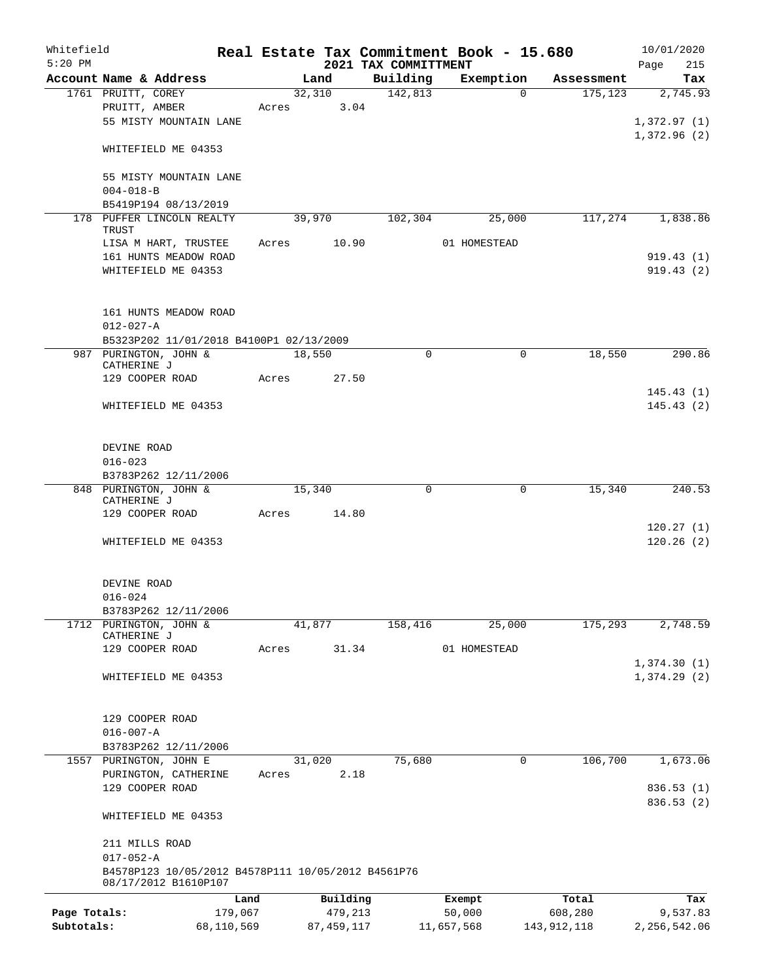| Whitefield   |                                                                            |            |       |        |            |                                     |                                  | Real Estate Tax Commitment Book - 15.680 |             |               | 10/01/2020         |
|--------------|----------------------------------------------------------------------------|------------|-------|--------|------------|-------------------------------------|----------------------------------|------------------------------------------|-------------|---------------|--------------------|
| $5:20$ PM    | Account Name & Address                                                     |            |       |        | Land       |                                     | 2021 TAX COMMITTMENT<br>Building |                                          |             | Assessment    | 215<br>Page<br>Tax |
|              | 1761 PRUITT, COREY                                                         |            |       | 32,310 |            |                                     | 142,813                          | Exemption                                | $\Omega$    | 175, 123      | 2,745.93           |
|              | PRUITT, AMBER                                                              |            | Acres |        | 3.04       |                                     |                                  |                                          |             |               |                    |
|              | 55 MISTY MOUNTAIN LANE                                                     |            |       |        |            |                                     |                                  |                                          |             |               | 1,372.97(1)        |
|              |                                                                            |            |       |        |            |                                     |                                  |                                          |             |               | 1,372.96(2)        |
|              | WHITEFIELD ME 04353                                                        |            |       |        |            |                                     |                                  |                                          |             |               |                    |
|              |                                                                            |            |       |        |            |                                     |                                  |                                          |             |               |                    |
|              | 55 MISTY MOUNTAIN LANE                                                     |            |       |        |            |                                     |                                  |                                          |             |               |                    |
|              | $004 - 018 - B$                                                            |            |       |        |            |                                     |                                  |                                          |             |               |                    |
|              | B5419P194 08/13/2019<br>178 PUFFER LINCOLN REALTY                          |            |       |        |            |                                     |                                  |                                          |             |               |                    |
|              | TRUST                                                                      |            |       | 39,970 |            |                                     | 102,304                          |                                          | 25,000      | 117,274       | 1,838.86           |
|              | LISA M HART, TRUSTEE                                                       |            | Acres |        | 10.90      |                                     |                                  | 01 HOMESTEAD                             |             |               |                    |
|              | 161 HUNTS MEADOW ROAD                                                      |            |       |        |            |                                     |                                  |                                          |             |               | 919.43(1)          |
|              | WHITEFIELD ME 04353                                                        |            |       |        |            |                                     |                                  |                                          |             |               | 919.43(2)          |
|              |                                                                            |            |       |        |            |                                     |                                  |                                          |             |               |                    |
|              |                                                                            |            |       |        |            |                                     |                                  |                                          |             |               |                    |
|              | 161 HUNTS MEADOW ROAD                                                      |            |       |        |            |                                     |                                  |                                          |             |               |                    |
|              | $012 - 027 - A$                                                            |            |       |        |            |                                     |                                  |                                          |             |               |                    |
|              | B5323P202 11/01/2018 B4100P1 02/13/2009                                    |            |       |        |            |                                     |                                  |                                          |             |               |                    |
|              | 987 PURINGTON, JOHN &<br>CATHERINE J                                       |            |       | 18,550 |            |                                     | $\mathbf 0$                      |                                          | $\mathbf 0$ | 18,550        | 290.86             |
|              | 129 COOPER ROAD                                                            |            | Acres |        | 27.50      |                                     |                                  |                                          |             |               |                    |
|              |                                                                            |            |       |        |            |                                     |                                  |                                          |             |               | 145.43(1)          |
|              | WHITEFIELD ME 04353                                                        |            |       |        |            |                                     |                                  |                                          |             |               | 145.43(2)          |
|              |                                                                            |            |       |        |            |                                     |                                  |                                          |             |               |                    |
|              |                                                                            |            |       |        |            |                                     |                                  |                                          |             |               |                    |
|              | DEVINE ROAD                                                                |            |       |        |            |                                     |                                  |                                          |             |               |                    |
|              | $016 - 023$                                                                |            |       |        |            |                                     |                                  |                                          |             |               |                    |
|              | B3783P262 12/11/2006<br>848 PURINGTON, JOHN &                              |            |       | 15,340 |            |                                     |                                  |                                          |             |               |                    |
|              | CATHERINE J                                                                |            |       |        |            |                                     |                                  |                                          |             |               |                    |
|              | 129 COOPER ROAD                                                            |            | Acres |        |            | 0<br>0<br>15,340<br>240.53<br>14.80 |                                  |                                          |             |               |                    |
|              |                                                                            |            |       |        |            |                                     |                                  |                                          |             |               | 120.27(1)          |
|              | WHITEFIELD ME 04353                                                        |            |       |        |            |                                     |                                  |                                          |             |               | 120.26(2)          |
|              |                                                                            |            |       |        |            |                                     |                                  |                                          |             |               |                    |
|              |                                                                            |            |       |        |            |                                     |                                  |                                          |             |               |                    |
|              | DEVINE ROAD                                                                |            |       |        |            |                                     |                                  |                                          |             |               |                    |
|              | $016 - 024$<br>B3783P262 12/11/2006                                        |            |       |        |            |                                     |                                  |                                          |             |               |                    |
|              | 1712 PURINGTON, JOHN &                                                     |            |       | 41,877 |            |                                     | 158,416                          |                                          | 25,000      | 175,293       | 2,748.59           |
|              | CATHERINE J                                                                |            |       |        |            |                                     |                                  |                                          |             |               |                    |
|              | 129 COOPER ROAD                                                            |            | Acres |        | 31.34      |                                     |                                  | 01 HOMESTEAD                             |             |               |                    |
|              |                                                                            |            |       |        |            |                                     |                                  |                                          |             |               | 1,374.30(1)        |
|              | WHITEFIELD ME 04353                                                        |            |       |        |            |                                     |                                  |                                          |             |               | 1,374.29(2)        |
|              |                                                                            |            |       |        |            |                                     |                                  |                                          |             |               |                    |
|              | 129 COOPER ROAD                                                            |            |       |        |            |                                     |                                  |                                          |             |               |                    |
|              | $016 - 007 - A$                                                            |            |       |        |            |                                     |                                  |                                          |             |               |                    |
|              | B3783P262 12/11/2006                                                       |            |       |        |            |                                     |                                  |                                          |             |               |                    |
|              | 1557 PURINGTON, JOHN E                                                     |            |       | 31,020 |            |                                     | 75,680                           |                                          | 0           | 106,700       | 1,673.06           |
|              | PURINGTON, CATHERINE                                                       |            | Acres |        | 2.18       |                                     |                                  |                                          |             |               |                    |
|              | 129 COOPER ROAD                                                            |            |       |        |            |                                     |                                  |                                          |             |               | 836.53(1)          |
|              |                                                                            |            |       |        |            |                                     |                                  |                                          |             |               | 836.53 (2)         |
|              | WHITEFIELD ME 04353                                                        |            |       |        |            |                                     |                                  |                                          |             |               |                    |
|              |                                                                            |            |       |        |            |                                     |                                  |                                          |             |               |                    |
|              | 211 MILLS ROAD                                                             |            |       |        |            |                                     |                                  |                                          |             |               |                    |
|              | $017 - 052 - A$                                                            |            |       |        |            |                                     |                                  |                                          |             |               |                    |
|              | B4578P123 10/05/2012 B4578P111 10/05/2012 B4561P76<br>08/17/2012 B1610P107 |            |       |        |            |                                     |                                  |                                          |             |               |                    |
|              |                                                                            | Land       |       |        | Building   |                                     |                                  | Exempt                                   |             | Total         | Tax                |
| Page Totals: |                                                                            | 179,067    |       |        | 479,213    |                                     |                                  | 50,000                                   |             | 608,280       | 9,537.83           |
| Subtotals:   |                                                                            | 68,110,569 |       |        | 87,459,117 |                                     |                                  | 11,657,568                               |             | 143, 912, 118 | 2, 256, 542.06     |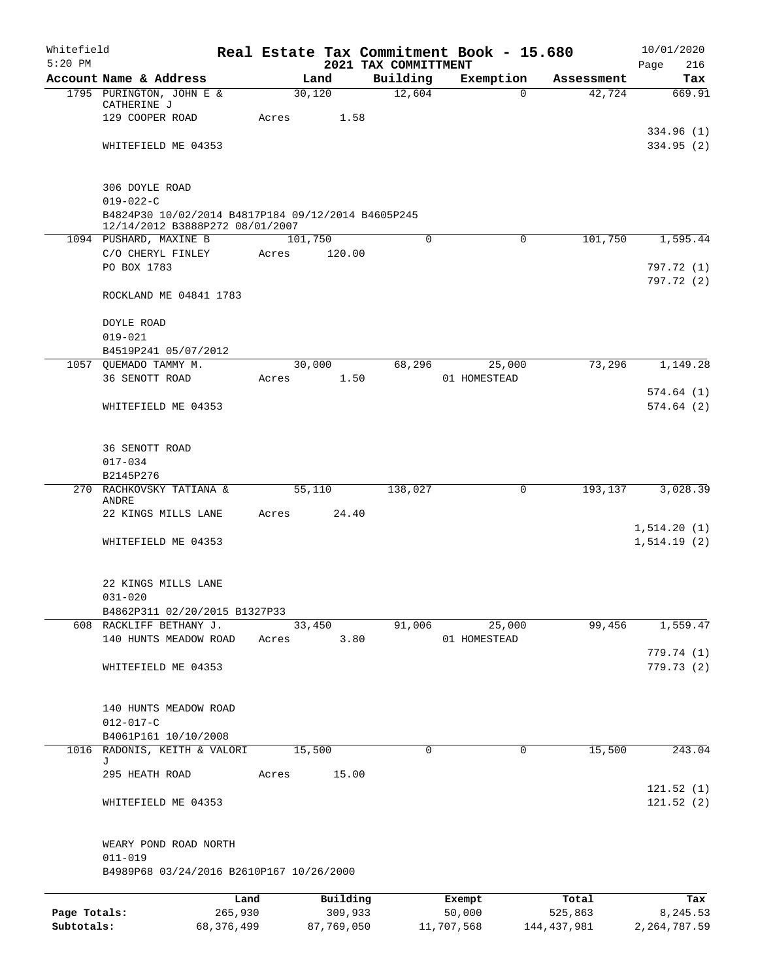| Whitefield   |                                                                                       |            |       |         |            | Real Estate Tax Commitment Book - 15.680 |            |              |          |             | 10/01/2020                  |
|--------------|---------------------------------------------------------------------------------------|------------|-------|---------|------------|------------------------------------------|------------|--------------|----------|-------------|-----------------------------|
| $5:20$ PM    | Account Name & Address                                                                |            |       | Land    |            | 2021 TAX COMMITTMENT<br>Building         |            | Exemption    |          | Assessment  | Page<br>216<br>Tax          |
|              | 1795 PURINGTON, JOHN E &                                                              |            |       | 30,120  |            | 12,604                                   |            |              | $\Omega$ | 42,724      | 669.91                      |
|              | CATHERINE J                                                                           |            |       |         |            |                                          |            |              |          |             |                             |
|              | 129 COOPER ROAD                                                                       |            | Acres |         | 1.58       |                                          |            |              |          |             |                             |
|              | WHITEFIELD ME 04353                                                                   |            |       |         |            |                                          |            |              |          |             | 334.96 (1)<br>334.95(2)     |
|              |                                                                                       |            |       |         |            |                                          |            |              |          |             |                             |
|              | 306 DOYLE ROAD                                                                        |            |       |         |            |                                          |            |              |          |             |                             |
|              | $019 - 022 - C$                                                                       |            |       |         |            |                                          |            |              |          |             |                             |
|              | B4824P30 10/02/2014 B4817P184 09/12/2014 B4605P245<br>12/14/2012 B3888P272 08/01/2007 |            |       |         |            |                                          |            |              |          |             |                             |
|              | 1094 PUSHARD, MAXINE B                                                                |            |       | 101,750 |            | 0                                        |            |              | 0        | 101,750     | 1,595.44                    |
|              | C/O CHERYL FINLEY                                                                     |            | Acres |         | 120.00     |                                          |            |              |          |             |                             |
|              | PO BOX 1783                                                                           |            |       |         |            |                                          |            |              |          |             | 797.72 (1)<br>797.72 (2)    |
|              | ROCKLAND ME 04841 1783                                                                |            |       |         |            |                                          |            |              |          |             |                             |
|              | DOYLE ROAD                                                                            |            |       |         |            |                                          |            |              |          |             |                             |
|              | $019 - 021$                                                                           |            |       |         |            |                                          |            |              |          |             |                             |
|              | B4519P241 05/07/2012                                                                  |            |       |         |            |                                          |            |              |          |             |                             |
|              | 1057 OUEMADO TAMMY M.                                                                 |            |       |         | 30,000     | 68,296                                   |            | 25,000       |          | 73,296      | 1,149.28                    |
|              | 36 SENOTT ROAD                                                                        |            | Acres |         | 1.50       |                                          |            | 01 HOMESTEAD |          |             |                             |
|              | WHITEFIELD ME 04353                                                                   |            |       |         |            |                                          |            |              |          |             | 574.64(1)<br>574.64(2)      |
|              | 36 SENOTT ROAD                                                                        |            |       |         |            |                                          |            |              |          |             |                             |
|              | $017 - 034$                                                                           |            |       |         |            |                                          |            |              |          |             |                             |
|              | B2145P276                                                                             |            |       |         |            |                                          |            |              |          |             |                             |
|              | 270 RACHKOVSKY TATIANA &<br>ANDRE                                                     |            |       | 55,110  |            | 138,027                                  |            |              | 0        | 193,137     | 3,028.39                    |
|              | 22 KINGS MILLS LANE                                                                   |            | Acres |         | 24.40      |                                          |            |              |          |             |                             |
|              | WHITEFIELD ME 04353                                                                   |            |       |         |            |                                          |            |              |          |             | 1,514.20(1)<br>1, 514.19(2) |
|              |                                                                                       |            |       |         |            |                                          |            |              |          |             |                             |
|              | 22 KINGS MILLS LANE                                                                   |            |       |         |            |                                          |            |              |          |             |                             |
|              | $031 - 020$                                                                           |            |       |         |            |                                          |            |              |          |             |                             |
|              | B4862P311 02/20/2015 B1327P33                                                         |            |       |         |            |                                          |            |              |          |             |                             |
|              | 608 RACKLIFF BETHANY J.                                                               |            |       | 33,450  |            | 91,006                                   |            | 25,000       |          | 99,456      | 1,559.47                    |
|              | 140 HUNTS MEADOW ROAD                                                                 |            | Acres |         | 3.80       |                                          |            | 01 HOMESTEAD |          |             | 779.74 (1)                  |
|              | WHITEFIELD ME 04353                                                                   |            |       |         |            |                                          |            |              |          |             | 779.73(2)                   |
|              |                                                                                       |            |       |         |            |                                          |            |              |          |             |                             |
|              | 140 HUNTS MEADOW ROAD                                                                 |            |       |         |            |                                          |            |              |          |             |                             |
|              | $012 - 017 - C$                                                                       |            |       |         |            |                                          |            |              |          |             |                             |
|              | B4061P161 10/10/2008<br>1016 RADONIS, KEITH & VALORI                                  |            |       | 15,500  |            | 0                                        |            |              | 0        | 15,500      | 243.04                      |
|              | J                                                                                     |            |       |         |            |                                          |            |              |          |             |                             |
|              | 295 HEATH ROAD                                                                        |            | Acres |         | 15.00      |                                          |            |              |          |             |                             |
|              |                                                                                       |            |       |         |            |                                          |            |              |          |             | 121.52(1)                   |
|              | WHITEFIELD ME 04353                                                                   |            |       |         |            |                                          |            |              |          |             | 121.52(2)                   |
|              | WEARY POND ROAD NORTH                                                                 |            |       |         |            |                                          |            |              |          |             |                             |
|              | $011 - 019$<br>B4989P68 03/24/2016 B2610P167 10/26/2000                               |            |       |         |            |                                          |            |              |          |             |                             |
|              |                                                                                       | Land       |       |         | Building   |                                          | Exempt     |              |          | Total       | Tax                         |
| Page Totals: |                                                                                       | 265,930    |       |         | 309,933    |                                          | 50,000     |              |          | 525,863     | 8,245.53                    |
| Subtotals:   |                                                                                       | 68,376,499 |       |         | 87,769,050 |                                          | 11,707,568 |              |          | 144,437,981 | 2, 264, 787.59              |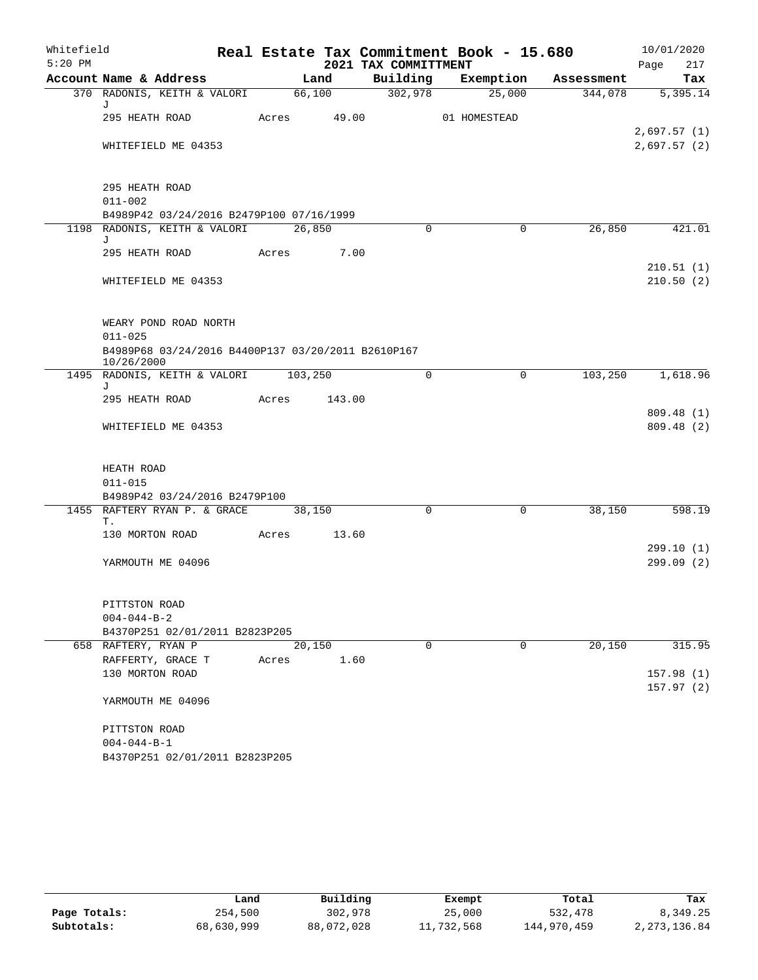| Whitefield |                                                                  |        |        | Real Estate Tax Commitment Book - 15.680 |                    |                |            |      | 10/01/2020              |
|------------|------------------------------------------------------------------|--------|--------|------------------------------------------|--------------------|----------------|------------|------|-------------------------|
| $5:20$ PM  |                                                                  |        |        | 2021 TAX COMMITTMENT                     |                    |                |            | Page | 217                     |
|            | Account Name & Address                                           |        | Land   |                                          | Building Exemption |                | Assessment |      | Tax                     |
|            | 370 RADONIS, KEITH & VALORI<br>J                                 | 66,100 |        | $\frac{302,978}{ }$                      |                    | 25,000         | 344,078    |      | 5,395.14                |
|            | 295 HEATH ROAD                                                   | Acres  | 49.00  |                                          | 01 HOMESTEAD       |                |            |      |                         |
|            |                                                                  |        |        |                                          |                    |                |            |      | 2,697.57(1)             |
|            | WHITEFIELD ME 04353                                              |        |        |                                          |                    |                |            |      | 2,697.57(2)             |
|            | 295 HEATH ROAD                                                   |        |        |                                          |                    |                |            |      |                         |
|            | $011 - 002$                                                      |        |        |                                          |                    |                |            |      |                         |
|            | B4989P42 03/24/2016 B2479P100 07/16/1999                         |        |        |                                          |                    |                |            |      |                         |
|            | 1198 RADONIS, KEITH & VALORI 26,850<br>J                         |        |        | $\Omega$                                 |                    | $\overline{0}$ | 26,850     |      | 421.01                  |
|            | 295 HEATH ROAD                                                   | Acres  | 7.00   |                                          |                    |                |            |      | 210.51(1)               |
|            | WHITEFIELD ME 04353                                              |        |        |                                          |                    |                |            |      | 210.50(2)               |
|            | WEARY POND ROAD NORTH<br>$011 - 025$                             |        |        |                                          |                    |                |            |      |                         |
|            | B4989P68 03/24/2016 B4400P137 03/20/2011 B2610P167<br>10/26/2000 |        |        |                                          |                    |                |            |      |                         |
| J          | 1495 RADONIS, KEITH & VALORI 103,250                             |        |        | $\Omega$                                 |                    | $\Omega$       | 103,250    |      | 1,618.96                |
|            | 295 HEATH ROAD                                                   | Acres  | 143.00 |                                          |                    |                |            |      |                         |
|            | WHITEFIELD ME 04353                                              |        |        |                                          |                    |                |            |      | 809.48 (1)<br>809.48(2) |
|            | HEATH ROAD<br>$011 - 015$                                        |        |        |                                          |                    |                |            |      |                         |
|            | B4989P42 03/24/2016 B2479P100<br>1455 RAFTERY RYAN P. & GRACE    | 38,150 |        | $\Omega$                                 |                    | $\Omega$       | 38,150     |      | 598.19                  |
|            | Τ.                                                               |        |        |                                          |                    |                |            |      |                         |
|            | 130 MORTON ROAD                                                  | Acres  | 13.60  |                                          |                    |                |            |      |                         |
|            | YARMOUTH ME 04096                                                |        |        |                                          |                    |                |            |      | 299.10(1)<br>299.09(2)  |
|            | PITTSTON ROAD                                                    |        |        |                                          |                    |                |            |      |                         |
|            | $004 - 044 - B - 2$                                              |        |        |                                          |                    |                |            |      |                         |
|            | B4370P251 02/01/2011 B2823P205                                   |        |        |                                          |                    |                |            |      |                         |
|            | 658 RAFTERY, RYAN P                                              | 20,150 |        | 0                                        |                    | $\mathbf 0$    | 20,150     |      | 315.95                  |
|            | RAFFERTY, GRACE T                                                | Acres  | 1.60   |                                          |                    |                |            |      | 157.98(1)               |
|            | 130 MORTON ROAD                                                  |        |        |                                          |                    |                |            |      | 157.97(2)               |
|            | YARMOUTH ME 04096                                                |        |        |                                          |                    |                |            |      |                         |
|            | PITTSTON ROAD                                                    |        |        |                                          |                    |                |            |      |                         |
|            | $004 - 044 - B - 1$                                              |        |        |                                          |                    |                |            |      |                         |
|            | B4370P251 02/01/2011 B2823P205                                   |        |        |                                          |                    |                |            |      |                         |

|              | Land       | Building   | Exempt     | Total       | Tax            |
|--------------|------------|------------|------------|-------------|----------------|
| Page Totals: | 254,500    | 302,978    | 25,000     | 532,478     | 8,349.25       |
| Subtotals:   | 68,630,999 | 88,072,028 | 11,732,568 | 144,970,459 | 2, 273, 136.84 |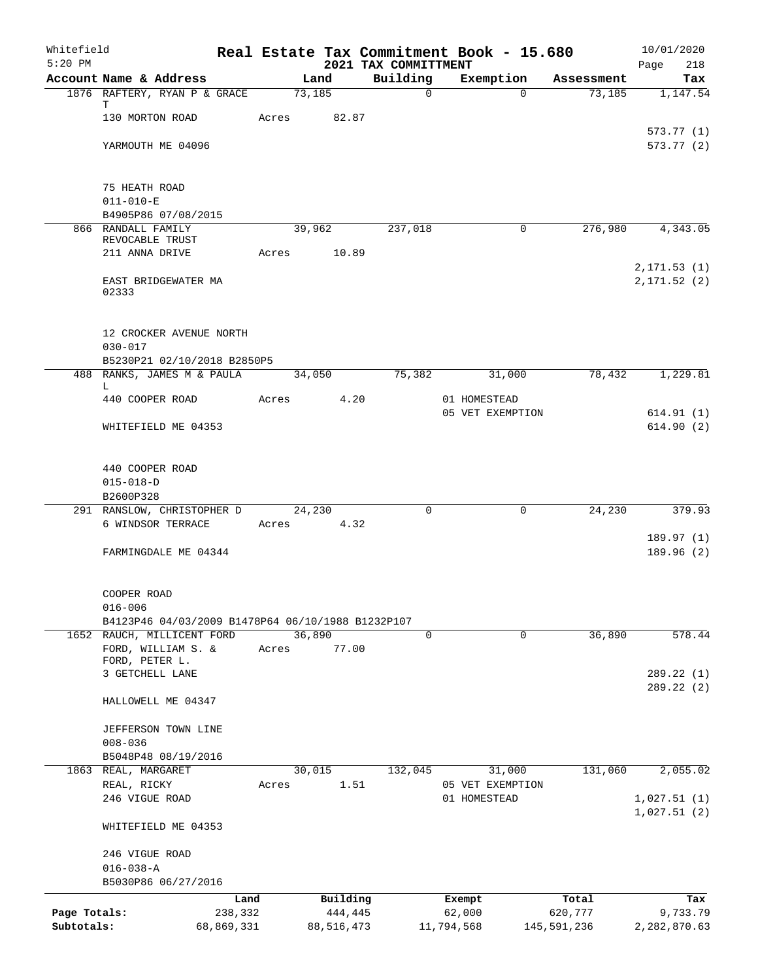| Whitefield<br>$5:20$ PM |                                                                                 |            |       |        |            | 2021 TAX COMMITTMENT | Real Estate Tax Commitment Book - 15.680 |             | 10/01/2020<br>Page<br>218  |
|-------------------------|---------------------------------------------------------------------------------|------------|-------|--------|------------|----------------------|------------------------------------------|-------------|----------------------------|
|                         | Account Name & Address                                                          |            |       | Land   |            | Building             | Exemption                                | Assessment  | Tax                        |
|                         | 1876 RAFTERY, RYAN P & GRACE                                                    |            |       | 73,185 |            | $\mathsf{O}$         | $\Omega$                                 | 73,185      | 1,147.54                   |
|                         | т<br>130 MORTON ROAD                                                            |            | Acres |        | 82.87      |                      |                                          |             |                            |
|                         | YARMOUTH ME 04096                                                               |            |       |        |            |                      |                                          |             | 573.77(1)<br>573.77 (2)    |
|                         | 75 HEATH ROAD<br>$011 - 010 - E$                                                |            |       |        |            |                      |                                          |             |                            |
|                         | B4905P86 07/08/2015                                                             |            |       |        |            |                      |                                          |             |                            |
|                         | 866 RANDALL FAMILY                                                              |            |       | 39,962 |            | 237,018              | 0                                        | 276,980     | 4,343.05                   |
|                         | REVOCABLE TRUST                                                                 |            |       |        |            |                      |                                          |             |                            |
|                         | 211 ANNA DRIVE                                                                  |            | Acres |        | 10.89      |                      |                                          |             | 2, 171.53(1)               |
|                         | EAST BRIDGEWATER MA<br>02333                                                    |            |       |        |            |                      |                                          |             | 2, 171.52(2)               |
|                         | 12 CROCKER AVENUE NORTH<br>$030 - 017$                                          |            |       |        |            |                      |                                          |             |                            |
|                         | B5230P21 02/10/2018 B2850P5                                                     |            |       |        |            |                      |                                          |             |                            |
|                         | 488 RANKS, JAMES M & PAULA                                                      |            |       | 34,050 |            | 75,382               | 31,000                                   | 78,432      | 1,229.81                   |
|                         | L<br>440 COOPER ROAD                                                            |            | Acres |        | 4.20       |                      | 01 HOMESTEAD                             |             |                            |
|                         |                                                                                 |            |       |        |            |                      | 05 VET EXEMPTION                         |             | 614.91(1)                  |
|                         | WHITEFIELD ME 04353                                                             |            |       |        |            |                      |                                          |             | 614.90(2)                  |
|                         | 440 COOPER ROAD                                                                 |            |       |        |            |                      |                                          |             |                            |
|                         | $015 - 018 - D$                                                                 |            |       |        |            |                      |                                          |             |                            |
|                         | B2600P328                                                                       |            |       |        |            | $\Omega$             | $\Omega$                                 |             |                            |
|                         | 291 RANSLOW, CHRISTOPHER D<br>6 WINDSOR TERRACE                                 |            | Acres | 24,230 | 4.32       |                      |                                          | 24,230      | 379.93                     |
|                         |                                                                                 |            |       |        |            |                      |                                          |             | 189.97(1)                  |
|                         | FARMINGDALE ME 04344                                                            |            |       |        |            |                      |                                          |             | 189.96(2)                  |
|                         | COOPER ROAD                                                                     |            |       |        |            |                      |                                          |             |                            |
|                         | $016 - 006$                                                                     |            |       |        |            |                      |                                          |             |                            |
|                         | B4123P46 04/03/2009 B1478P64 06/10/1988 B1232P107<br>1652 RAUCH, MILLICENT FORD |            |       | 36,890 |            | $\mathbf 0$          | $\mathbf 0$                              | 36,890      | 578.44                     |
|                         | FORD, WILLIAM S. &                                                              |            | Acres |        | 77.00      |                      |                                          |             |                            |
|                         | FORD, PETER L.                                                                  |            |       |        |            |                      |                                          |             |                            |
|                         | 3 GETCHELL LANE                                                                 |            |       |        |            |                      |                                          |             | 289.22 (1)                 |
|                         | HALLOWELL ME 04347                                                              |            |       |        |            |                      |                                          |             | 289.22 (2)                 |
|                         | JEFFERSON TOWN LINE                                                             |            |       |        |            |                      |                                          |             |                            |
|                         | $008 - 036$                                                                     |            |       |        |            |                      |                                          |             |                            |
|                         | B5048P48 08/19/2016                                                             |            |       |        |            |                      |                                          |             |                            |
|                         | 1863 REAL, MARGARET                                                             |            |       | 30,015 |            | 132,045              | 31,000                                   | 131,060     | 2,055.02                   |
|                         | REAL, RICKY<br>246 VIGUE ROAD                                                   |            | Acres |        | 1.51       |                      | 05 VET EXEMPTION<br>01 HOMESTEAD         |             |                            |
|                         |                                                                                 |            |       |        |            |                      |                                          |             | 1,027.51(1)<br>1,027.51(2) |
|                         | WHITEFIELD ME 04353                                                             |            |       |        |            |                      |                                          |             |                            |
|                         | 246 VIGUE ROAD                                                                  |            |       |        |            |                      |                                          |             |                            |
|                         | $016 - 038 - A$                                                                 |            |       |        |            |                      |                                          |             |                            |
|                         | B5030P86 06/27/2016                                                             |            |       |        |            |                      |                                          |             |                            |
|                         |                                                                                 | Land       |       |        | Building   |                      | Exempt                                   | Total       | Tax                        |
| Page Totals:            |                                                                                 | 238,332    |       |        | 444,445    |                      | 62,000                                   | 620,777     | 9,733.79                   |
| Subtotals:              |                                                                                 | 68,869,331 |       |        | 88,516,473 |                      | 11,794,568                               | 145,591,236 | 2,282,870.63               |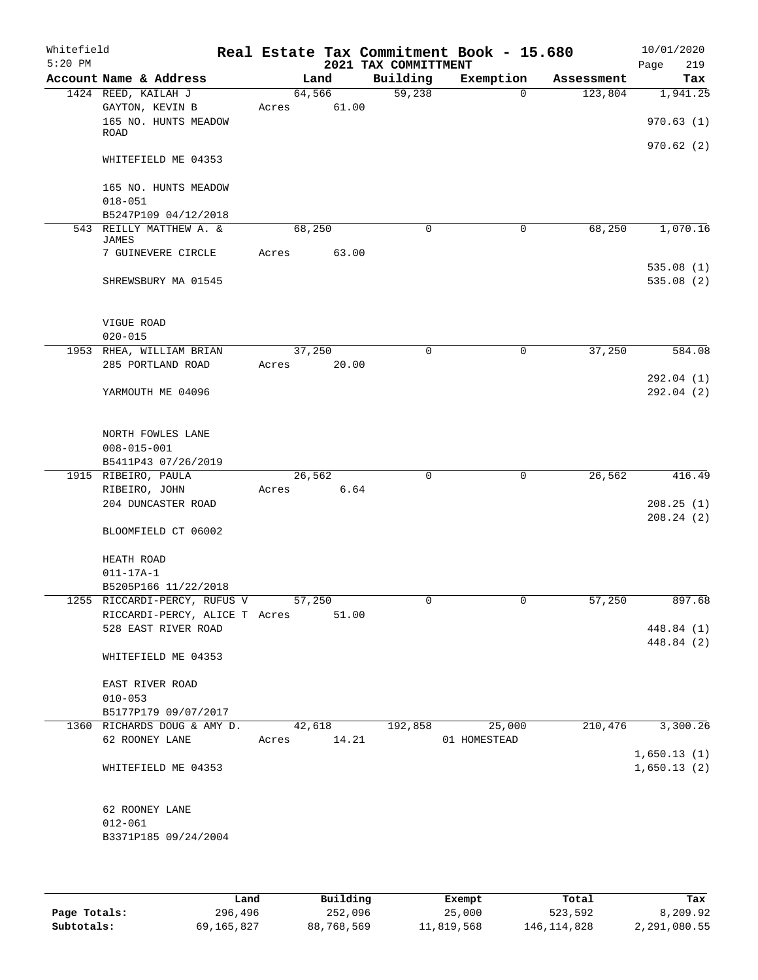| Whitefield<br>$5:20$ PM |                               |             |        |       | 2021 TAX COMMITTMENT | Real Estate Tax Commitment Book - 15.680 |             |            | 10/01/2020<br>219<br>Page |
|-------------------------|-------------------------------|-------------|--------|-------|----------------------|------------------------------------------|-------------|------------|---------------------------|
|                         | Account Name & Address        |             | Land   |       | Building             | Exemption                                |             | Assessment | Tax                       |
|                         | 1424 REED, KAILAH J           |             | 64,566 |       | 59,238               |                                          | $\mathbf 0$ | 123,804    | 1,941.25                  |
|                         | GAYTON, KEVIN B               | Acres       |        | 61.00 |                      |                                          |             |            |                           |
|                         | 165 NO. HUNTS MEADOW          |             |        |       |                      |                                          |             |            | 970.63(1)                 |
|                         | <b>ROAD</b>                   |             |        |       |                      |                                          |             |            |                           |
|                         |                               |             |        |       |                      |                                          |             |            | 970.62(2)                 |
|                         | WHITEFIELD ME 04353           |             |        |       |                      |                                          |             |            |                           |
|                         |                               |             |        |       |                      |                                          |             |            |                           |
|                         | 165 NO. HUNTS MEADOW          |             |        |       |                      |                                          |             |            |                           |
|                         | $018 - 051$                   |             |        |       |                      |                                          |             |            |                           |
|                         | B5247P109 04/12/2018          |             |        |       |                      |                                          |             |            |                           |
|                         | 543 REILLY MATTHEW A. &       |             | 68,250 |       | $\Omega$             |                                          | 0           | 68,250     | 1,070.16                  |
|                         | <b>JAMES</b>                  |             |        |       |                      |                                          |             |            |                           |
|                         | 7 GUINEVERE CIRCLE            | Acres       |        | 63.00 |                      |                                          |             |            |                           |
|                         |                               |             |        |       |                      |                                          |             |            | 535.08(1)                 |
|                         | SHREWSBURY MA 01545           |             |        |       |                      |                                          |             |            | 535.08(2)                 |
|                         |                               |             |        |       |                      |                                          |             |            |                           |
|                         |                               |             |        |       |                      |                                          |             |            |                           |
|                         | VIGUE ROAD                    |             |        |       |                      |                                          |             |            |                           |
|                         | $020 - 015$                   |             |        |       |                      |                                          |             |            |                           |
|                         | 1953 RHEA, WILLIAM BRIAN      |             | 37,250 |       | $\Omega$             |                                          | $\mathbf 0$ | 37,250     | 584.08                    |
|                         | 285 PORTLAND ROAD             | Acres       |        | 20.00 |                      |                                          |             |            |                           |
|                         |                               |             |        |       |                      |                                          |             |            | 292.04(1)                 |
|                         | YARMOUTH ME 04096             |             |        |       |                      |                                          |             |            | 292.04(2)                 |
|                         |                               |             |        |       |                      |                                          |             |            |                           |
|                         |                               |             |        |       |                      |                                          |             |            |                           |
|                         | NORTH FOWLES LANE             |             |        |       |                      |                                          |             |            |                           |
|                         | $008 - 015 - 001$             |             |        |       |                      |                                          |             |            |                           |
|                         | B5411P43 07/26/2019           |             |        |       |                      |                                          |             |            |                           |
|                         | 1915 RIBEIRO, PAULA           |             | 26,562 |       | $\mathbf 0$          |                                          | 0           | 26,562     | 416.49                    |
|                         | RIBEIRO, JOHN                 | Acres       |        | 6.64  |                      |                                          |             |            |                           |
|                         | 204 DUNCASTER ROAD            |             |        |       |                      |                                          |             |            | 208.25(1)                 |
|                         |                               |             |        |       |                      |                                          |             |            | 208.24 (2)                |
|                         | BLOOMFIELD CT 06002           |             |        |       |                      |                                          |             |            |                           |
|                         |                               |             |        |       |                      |                                          |             |            |                           |
|                         | HEATH ROAD                    |             |        |       |                      |                                          |             |            |                           |
|                         | $011 - 17A - 1$               |             |        |       |                      |                                          |             |            |                           |
|                         | B5205P166 11/22/2018          |             |        |       |                      |                                          |             |            |                           |
|                         | 1255 RICCARDI-PERCY, RUFUS V  |             | 57,250 |       |                      |                                          |             | 57,250     | 897.68                    |
|                         | RICCARDI-PERCY, ALICE T Acres |             |        | 51.00 |                      |                                          |             |            |                           |
|                         | 528 EAST RIVER ROAD           |             |        |       |                      |                                          |             |            | 448.84 (1)                |
|                         |                               |             |        |       |                      |                                          |             |            | 448.84 (2)                |
|                         | WHITEFIELD ME 04353           |             |        |       |                      |                                          |             |            |                           |
|                         |                               |             |        |       |                      |                                          |             |            |                           |
|                         | EAST RIVER ROAD               |             |        |       |                      |                                          |             |            |                           |
|                         | $010 - 053$                   |             |        |       |                      |                                          |             |            |                           |
|                         | B5177P179 09/07/2017          |             |        |       |                      |                                          |             |            |                           |
|                         | 1360 RICHARDS DOUG & AMY D.   |             | 42,618 |       | 192,858              | 25,000                                   |             | 210,476    | 3,300.26                  |
|                         | 62 ROONEY LANE                | Acres 14.21 |        |       |                      | 01 HOMESTEAD                             |             |            |                           |
|                         |                               |             |        |       |                      |                                          |             |            | 1,650.13(1)               |
|                         |                               |             |        |       |                      |                                          |             |            |                           |
|                         | WHITEFIELD ME 04353           |             |        |       |                      |                                          |             |            | 1,650.13(2)               |
|                         |                               |             |        |       |                      |                                          |             |            |                           |
|                         |                               |             |        |       |                      |                                          |             |            |                           |
|                         | 62 ROONEY LANE                |             |        |       |                      |                                          |             |            |                           |
|                         | $012 - 061$                   |             |        |       |                      |                                          |             |            |                           |
|                         | B3371P185 09/24/2004          |             |        |       |                      |                                          |             |            |                           |
|                         |                               |             |        |       |                      |                                          |             |            |                           |
|                         |                               |             |        |       |                      |                                          |             |            |                           |

|              | Land       | Building   | Exempt     | Total         | Tax          |
|--------------|------------|------------|------------|---------------|--------------|
| Page Totals: | 296,496    | 252,096    | 25,000     | 523,592       | 8,209.92     |
| Subtotals:   | 69,165,827 | 88,768,569 | 11,819,568 | 146, 114, 828 | 2,291,080.55 |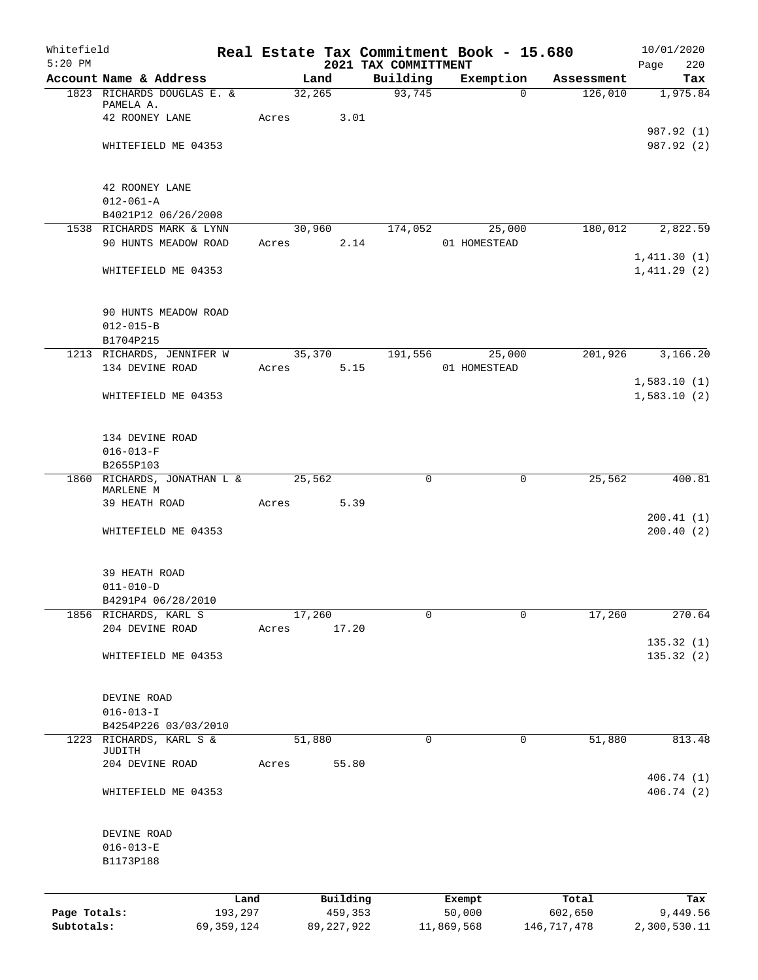| Whitefield<br>$5:20$ PM |                                |                 |       |        |                     | Real Estate Tax Commitment Book - 15.680 |                  |             |                  | 10/01/2020         |
|-------------------------|--------------------------------|-----------------|-------|--------|---------------------|------------------------------------------|------------------|-------------|------------------|--------------------|
|                         | Account Name & Address         |                 |       | Land   |                     | 2021 TAX COMMITTMENT<br>Building         |                  | Exemption   | Assessment       | Page<br>220<br>Tax |
|                         | 1823 RICHARDS DOUGLAS E. &     |                 |       | 32,265 |                     | 93,745                                   |                  | $\Omega$    | 126,010          | 1,975.84           |
|                         | PAMELA A.                      |                 |       |        |                     |                                          |                  |             |                  |                    |
|                         | 42 ROONEY LANE                 |                 | Acres |        | 3.01                |                                          |                  |             |                  |                    |
|                         |                                |                 |       |        |                     |                                          |                  |             |                  | 987.92 (1)         |
|                         | WHITEFIELD ME 04353            |                 |       |        |                     |                                          |                  |             |                  | 987.92 (2)         |
|                         | 42 ROONEY LANE                 |                 |       |        |                     |                                          |                  |             |                  |                    |
|                         | $012 - 061 - A$                |                 |       |        |                     |                                          |                  |             |                  |                    |
|                         | B4021P12 06/26/2008            |                 |       |        |                     |                                          |                  |             |                  |                    |
|                         | 1538 RICHARDS MARK & LYNN      |                 |       | 30,960 |                     | 174,052                                  |                  | 25,000      | 180,012          | 2,822.59           |
|                         | 90 HUNTS MEADOW ROAD           |                 | Acres |        | 2.14                |                                          | 01 HOMESTEAD     |             |                  |                    |
|                         |                                |                 |       |        |                     |                                          |                  |             |                  | 1,411.30(1)        |
|                         | WHITEFIELD ME 04353            |                 |       |        |                     |                                          |                  |             |                  | 1,411.29(2)        |
|                         | 90 HUNTS MEADOW ROAD           |                 |       |        |                     |                                          |                  |             |                  |                    |
|                         | $012 - 015 - B$                |                 |       |        |                     |                                          |                  |             |                  |                    |
|                         | B1704P215                      |                 |       |        |                     |                                          |                  |             |                  |                    |
|                         | 1213 RICHARDS, JENNIFER W      |                 |       | 35,370 |                     | 191,556                                  |                  | 25,000      | 201,926          | 3,166.20           |
|                         | 134 DEVINE ROAD                |                 | Acres |        | 5.15                |                                          | 01 HOMESTEAD     |             |                  |                    |
|                         |                                |                 |       |        |                     |                                          |                  |             |                  | 1,583.10(1)        |
|                         | WHITEFIELD ME 04353            |                 |       |        |                     |                                          |                  |             |                  | 1,583.10(2)        |
|                         | 134 DEVINE ROAD                |                 |       |        |                     |                                          |                  |             |                  |                    |
|                         | $016 - 013 - F$                |                 |       |        |                     |                                          |                  |             |                  |                    |
|                         | B2655P103                      |                 |       |        |                     |                                          |                  |             |                  |                    |
|                         | 1860 RICHARDS, JONATHAN L &    |                 |       | 25,562 |                     | 0                                        |                  | $\mathbf 0$ | 25,562           | 400.81             |
|                         | MARLENE M<br>39 HEATH ROAD     |                 | Acres |        | 5.39                |                                          |                  |             |                  |                    |
|                         |                                |                 |       |        |                     |                                          |                  |             |                  | 200.41(1)          |
|                         | WHITEFIELD ME 04353            |                 |       |        |                     |                                          |                  |             |                  | 200.40(2)          |
|                         | 39 HEATH ROAD                  |                 |       |        |                     |                                          |                  |             |                  |                    |
|                         | $011 - 010 - D$                |                 |       |        |                     |                                          |                  |             |                  |                    |
|                         | B4291P4 06/28/2010             |                 |       |        |                     |                                          |                  |             |                  |                    |
|                         | 1856 RICHARDS, KARL S          |                 |       | 17,260 |                     | 0                                        |                  | 0           | 17,260           | 270.64             |
|                         | 204 DEVINE ROAD                |                 | Acres |        | 17.20               |                                          |                  |             |                  |                    |
|                         |                                |                 |       |        |                     |                                          |                  |             |                  | 135.32 (1)         |
|                         | WHITEFIELD ME 04353            |                 |       |        |                     |                                          |                  |             |                  | 135.32(2)          |
|                         | DEVINE ROAD                    |                 |       |        |                     |                                          |                  |             |                  |                    |
|                         | $016 - 013 - I$                |                 |       |        |                     |                                          |                  |             |                  |                    |
|                         | B4254P226 03/03/2010           |                 |       |        |                     |                                          |                  |             |                  |                    |
| 1223                    | RICHARDS, KARL S &             |                 |       | 51,880 |                     | 0                                        |                  | $\mathbf 0$ | 51,880           | 813.48             |
|                         | JUDITH<br>204 DEVINE ROAD      |                 | Acres |        | 55.80               |                                          |                  |             |                  |                    |
|                         |                                |                 |       |        |                     |                                          |                  |             |                  | 406.74 (1)         |
|                         | WHITEFIELD ME 04353            |                 |       |        |                     |                                          |                  |             |                  | 406.74 (2)         |
|                         |                                |                 |       |        |                     |                                          |                  |             |                  |                    |
|                         | DEVINE ROAD<br>$016 - 013 - E$ |                 |       |        |                     |                                          |                  |             |                  |                    |
|                         | B1173P188                      |                 |       |        |                     |                                          |                  |             |                  |                    |
|                         |                                |                 |       |        |                     |                                          |                  |             |                  |                    |
| Page Totals:            |                                | Land<br>193,297 |       |        | Building<br>459,353 |                                          | Exempt<br>50,000 |             | Total<br>602,650 | Tax<br>9,449.56    |
| Subtotals:              |                                | 69,359,124      |       |        | 89, 227, 922        |                                          | 11,869,568       |             | 146, 717, 478    | 2,300,530.11       |
|                         |                                |                 |       |        |                     |                                          |                  |             |                  |                    |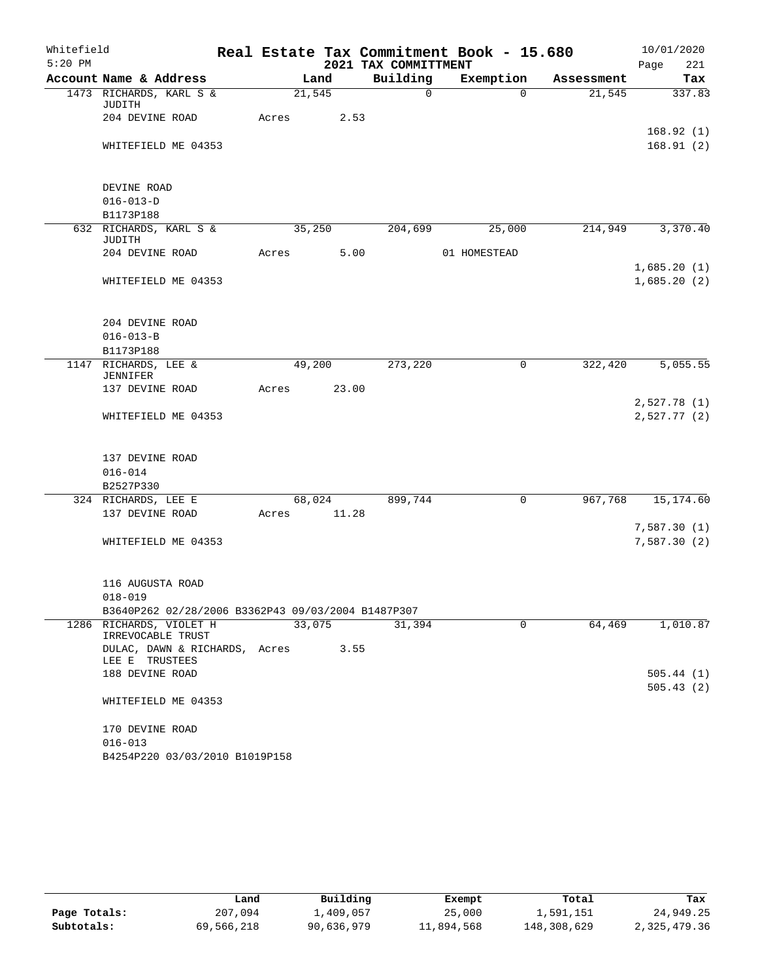| Whitefield |                                                    |       |        |      |                      | Real Estate Tax Commitment Book - 15.680 |            |      | 10/01/2020             |
|------------|----------------------------------------------------|-------|--------|------|----------------------|------------------------------------------|------------|------|------------------------|
| $5:20$ PM  |                                                    |       |        |      | 2021 TAX COMMITTMENT |                                          |            | Page | 221                    |
|            | Account Name & Address                             |       | Land   |      | Building             | Exemption                                | Assessment |      | Tax                    |
|            | 1473 RICHARDS, KARL S &<br>JUDITH                  |       | 21,545 |      | $\mathsf{O}$         | $\Omega$                                 | 21,545     |      | 337.83                 |
|            | 204 DEVINE ROAD                                    | Acres |        | 2.53 |                      |                                          |            |      |                        |
|            |                                                    |       |        |      |                      |                                          |            |      | 168.92(1)              |
|            | WHITEFIELD ME 04353                                |       |        |      |                      |                                          |            |      | 168.91(2)              |
|            |                                                    |       |        |      |                      |                                          |            |      |                        |
|            | DEVINE ROAD                                        |       |        |      |                      |                                          |            |      |                        |
|            | $016 - 013 - D$                                    |       |        |      |                      |                                          |            |      |                        |
|            | B1173P188                                          |       |        |      |                      |                                          |            |      |                        |
|            | 632 RICHARDS, KARL S &                             |       | 35,250 |      | 204,699              | 25,000                                   | 214,949    |      | 3,370.40               |
|            | JUDITH                                             |       |        |      |                      |                                          |            |      |                        |
|            | 204 DEVINE ROAD                                    | Acres |        | 5.00 |                      | 01 HOMESTEAD                             |            |      |                        |
|            |                                                    |       |        |      |                      |                                          |            |      | 1,685.20(1)            |
|            | WHITEFIELD ME 04353                                |       |        |      |                      |                                          |            |      | 1,685.20(2)            |
|            |                                                    |       |        |      |                      |                                          |            |      |                        |
|            |                                                    |       |        |      |                      |                                          |            |      |                        |
|            | 204 DEVINE ROAD                                    |       |        |      |                      |                                          |            |      |                        |
|            | $016 - 013 - B$                                    |       |        |      |                      |                                          |            |      |                        |
|            | B1173P188                                          |       |        |      |                      |                                          |            |      |                        |
|            | 1147 RICHARDS, LEE &<br><b>JENNIFER</b>            |       | 49,200 |      | 273,220              | 0                                        | 322,420    |      | 5,055.55               |
|            | 137 DEVINE ROAD                                    | Acres | 23.00  |      |                      |                                          |            |      |                        |
|            |                                                    |       |        |      |                      |                                          |            |      | 2,527.78(1)            |
|            | WHITEFIELD ME 04353                                |       |        |      |                      |                                          |            |      | 2,527.77(2)            |
|            |                                                    |       |        |      |                      |                                          |            |      |                        |
|            | 137 DEVINE ROAD                                    |       |        |      |                      |                                          |            |      |                        |
|            | $016 - 014$                                        |       |        |      |                      |                                          |            |      |                        |
|            | B2527P330                                          |       |        |      |                      |                                          |            |      |                        |
|            | 324 RICHARDS, LEE E                                |       | 68,024 |      | 899,744              | $\mathbf 0$                              | 967,768    |      | 15, 174.60             |
|            | 137 DEVINE ROAD                                    | Acres | 11.28  |      |                      |                                          |            |      |                        |
|            |                                                    |       |        |      |                      |                                          |            |      | 7,587.30(1)            |
|            | WHITEFIELD ME 04353                                |       |        |      |                      |                                          |            |      | 7,587.30(2)            |
|            |                                                    |       |        |      |                      |                                          |            |      |                        |
|            | 116 AUGUSTA ROAD                                   |       |        |      |                      |                                          |            |      |                        |
|            | $018 - 019$                                        |       |        |      |                      |                                          |            |      |                        |
|            | B3640P262 02/28/2006 B3362P43 09/03/2004 B1487P307 |       | 33,075 |      |                      |                                          |            |      |                        |
|            | 1286 RICHARDS, VIOLET H<br>IRREVOCABLE TRUST       |       |        |      | 31,394               | $\Omega$                                 | 64,469     |      | 1,010.87               |
|            | DULAC, DAWN & RICHARDS, Acres<br>LEE E TRUSTEES    |       |        | 3.55 |                      |                                          |            |      |                        |
|            | 188 DEVINE ROAD                                    |       |        |      |                      |                                          |            |      | 505.44(1)<br>505.43(2) |
|            | WHITEFIELD ME 04353                                |       |        |      |                      |                                          |            |      |                        |
|            | 170 DEVINE ROAD                                    |       |        |      |                      |                                          |            |      |                        |
|            | $016 - 013$                                        |       |        |      |                      |                                          |            |      |                        |
|            | B4254P220 03/03/2010 B1019P158                     |       |        |      |                      |                                          |            |      |                        |

|              | Land       | Building   | Exempt     | Total       | Tax          |
|--------------|------------|------------|------------|-------------|--------------|
| Page Totals: | 207,094    | 1,409,057  | 25,000     | 1,591,151   | 24,949.25    |
| Subtotals:   | 69,566,218 | 90,636,979 | 11,894,568 | 148,308,629 | 2,325,479.36 |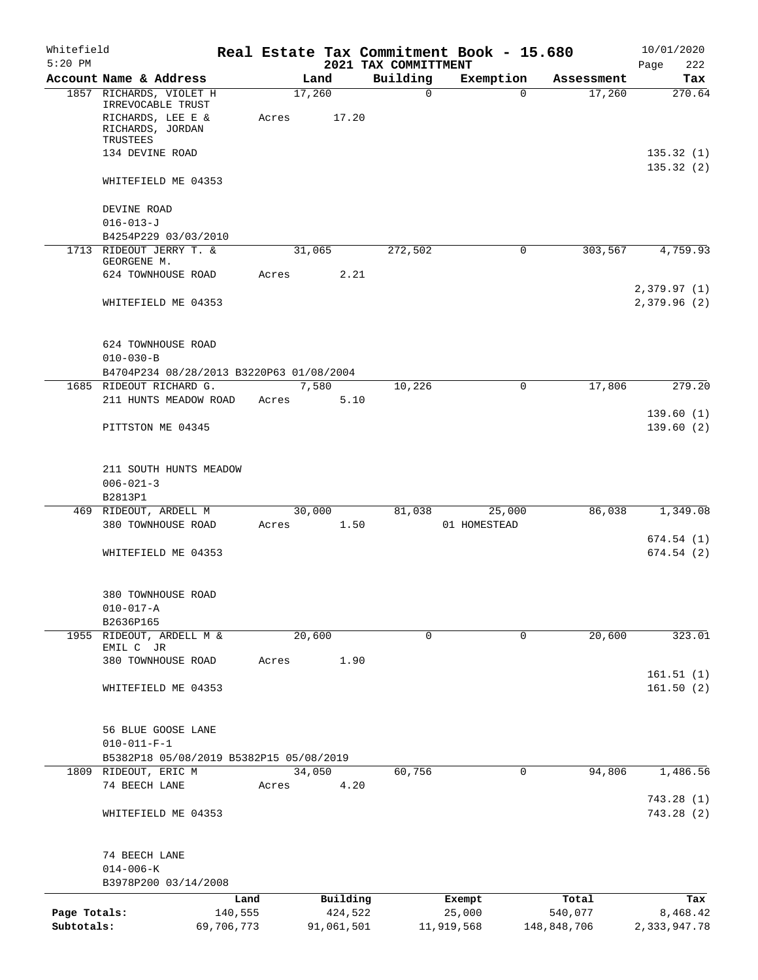| Whitefield<br>$5:20$ PM |                                                                     |                 |       |        |                     | 2021 TAX COMMITTMENT | Real Estate Tax Commitment Book - 15.680 |                  | 10/01/2020<br>222<br>Page |
|-------------------------|---------------------------------------------------------------------|-----------------|-------|--------|---------------------|----------------------|------------------------------------------|------------------|---------------------------|
|                         | Account Name & Address                                              |                 |       | Land   |                     | Building             | Exemption                                | Assessment       | Tax                       |
|                         | 1857 RICHARDS, VIOLET H<br>IRREVOCABLE TRUST                        |                 |       | 17,260 |                     | 0                    | $\Omega$                                 | 17,260           | 270.64                    |
|                         | RICHARDS, LEE E &<br>RICHARDS, JORDAN<br>TRUSTEES                   |                 | Acres |        | 17.20               |                      |                                          |                  |                           |
|                         | 134 DEVINE ROAD                                                     |                 |       |        |                     |                      |                                          |                  | 135.32(1)<br>135.32(2)    |
|                         | WHITEFIELD ME 04353                                                 |                 |       |        |                     |                      |                                          |                  |                           |
|                         | DEVINE ROAD<br>$016 - 013 - J$                                      |                 |       |        |                     |                      |                                          |                  |                           |
|                         | B4254P229 03/03/2010                                                |                 |       |        |                     |                      |                                          |                  |                           |
|                         | 1713 RIDEOUT JERRY T. &<br>GEORGENE M.                              |                 |       | 31,065 |                     | 272,502              | 0                                        | 303,567          | 4,759.93                  |
|                         | 624 TOWNHOUSE ROAD                                                  |                 | Acres |        | 2.21                |                      |                                          |                  |                           |
|                         |                                                                     |                 |       |        |                     |                      |                                          |                  | 2,379.97 (1)              |
|                         | WHITEFIELD ME 04353                                                 |                 |       |        |                     |                      |                                          |                  | 2,379.96 (2)              |
|                         | 624 TOWNHOUSE ROAD                                                  |                 |       |        |                     |                      |                                          |                  |                           |
|                         | $010 - 030 - B$                                                     |                 |       |        |                     |                      |                                          |                  |                           |
|                         | B4704P234 08/28/2013 B3220P63 01/08/2004<br>1685 RIDEOUT RICHARD G. |                 |       | 7,580  |                     | 10,226               | 0                                        | 17,806           | 279.20                    |
|                         | 211 HUNTS MEADOW ROAD                                               |                 | Acres |        | 5.10                |                      |                                          |                  | 139.60(1)                 |
|                         | PITTSTON ME 04345                                                   |                 |       |        |                     |                      |                                          |                  | 139.60(2)                 |
|                         | 211 SOUTH HUNTS MEADOW                                              |                 |       |        |                     |                      |                                          |                  |                           |
|                         | $006 - 021 - 3$<br>B2813P1                                          |                 |       |        |                     |                      |                                          |                  |                           |
|                         | 469 RIDEOUT, ARDELL M                                               |                 |       | 30,000 |                     | 81,038               | 25,000                                   | 86,038           | 1,349.08                  |
|                         | 380 TOWNHOUSE ROAD                                                  |                 | Acres |        | 1.50                |                      | 01 HOMESTEAD                             |                  |                           |
|                         | WHITEFIELD ME 04353                                                 |                 |       |        |                     |                      |                                          |                  | 674.54(1)<br>674.54(2)    |
|                         | 380 TOWNHOUSE ROAD                                                  |                 |       |        |                     |                      |                                          |                  |                           |
|                         | $010 - 017 - A$<br>B2636P165                                        |                 |       |        |                     |                      |                                          |                  |                           |
|                         | 1955 RIDEOUT, ARDELL M &<br>EMIL C JR                               |                 |       | 20,600 |                     | 0                    | $\mathbf 0$                              | 20,600           | 323.01                    |
|                         | 380 TOWNHOUSE ROAD                                                  |                 | Acres |        | 1.90                |                      |                                          |                  |                           |
|                         | WHITEFIELD ME 04353                                                 |                 |       |        |                     |                      |                                          |                  | 161.51(1)<br>161.50(2)    |
|                         | 56 BLUE GOOSE LANE                                                  |                 |       |        |                     |                      |                                          |                  |                           |
|                         | $010 - 011 - F - 1$                                                 |                 |       |        |                     |                      |                                          |                  |                           |
|                         | B5382P18 05/08/2019 B5382P15 05/08/2019                             |                 |       |        |                     |                      |                                          |                  |                           |
|                         | 1809 RIDEOUT, ERIC M                                                |                 |       | 34,050 |                     | 60,756               | 0                                        | 94,806           | 1,486.56                  |
|                         | 74 BEECH LANE                                                       |                 | Acres |        | 4.20                |                      |                                          |                  | 743.28 (1)                |
|                         | WHITEFIELD ME 04353                                                 |                 |       |        |                     |                      |                                          |                  | 743.28 (2)                |
|                         | 74 BEECH LANE                                                       |                 |       |        |                     |                      |                                          |                  |                           |
|                         | $014 - 006 - K$                                                     |                 |       |        |                     |                      |                                          |                  |                           |
|                         | B3978P200 03/14/2008                                                |                 |       |        |                     |                      |                                          |                  |                           |
| Page Totals:            |                                                                     | Land<br>140,555 |       |        | Building<br>424,522 |                      | Exempt<br>25,000                         | Total<br>540,077 | Tax<br>8,468.42           |
| Subtotals:              |                                                                     | 69,706,773      |       |        | 91,061,501          |                      | 11,919,568                               | 148,848,706      | 2,333,947.78              |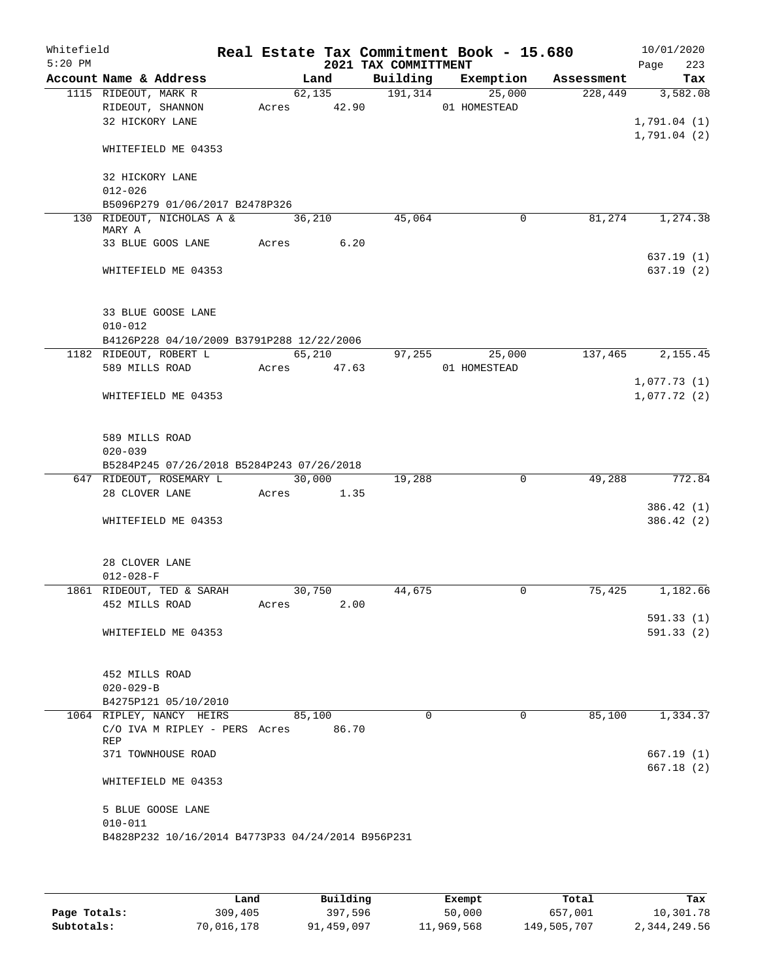| Whitefield<br>$5:20$ PM |                                                   |        |                      | 2021 TAX COMMITTMENT | Real Estate Tax Commitment Book - 15.680 |                               | 10/01/2020         |
|-------------------------|---------------------------------------------------|--------|----------------------|----------------------|------------------------------------------|-------------------------------|--------------------|
|                         | Account Name & Address                            |        | Land                 |                      |                                          | Building Exemption Assessment | Page<br>223<br>Tax |
|                         | 1115 RIDEOUT, MARK R                              |        | 62, 135              | $\overline{191,314}$ | 25,000                                   | 228,449                       | 3,582.08           |
|                         | RIDEOUT, SHANNON                                  |        | Acres 42.90          |                      | 01 HOMESTEAD                             |                               |                    |
|                         | 32 HICKORY LANE                                   |        |                      |                      |                                          |                               | 1,791.04(1)        |
|                         |                                                   |        |                      |                      |                                          |                               | 1,791.04(2)        |
|                         | WHITEFIELD ME 04353                               |        |                      |                      |                                          |                               |                    |
|                         |                                                   |        |                      |                      |                                          |                               |                    |
|                         | 32 HICKORY LANE                                   |        |                      |                      |                                          |                               |                    |
|                         | $012 - 026$<br>B5096P279 01/06/2017 B2478P326     |        |                      |                      |                                          |                               |                    |
|                         | 130 RIDEOUT, NICHOLAS A &                         | 36,210 |                      | 45,064               | 0                                        | 81,274                        | 1,274.38           |
|                         | MARY A                                            |        |                      |                      |                                          |                               |                    |
|                         | 33 BLUE GOOS LANE                                 |        | Acres 6.20           |                      |                                          |                               |                    |
|                         |                                                   |        |                      |                      |                                          |                               | 637.19(1)          |
|                         | WHITEFIELD ME 04353                               |        |                      |                      |                                          |                               | 637.19(2)          |
|                         |                                                   |        |                      |                      |                                          |                               |                    |
|                         |                                                   |        |                      |                      |                                          |                               |                    |
|                         | 33 BLUE GOOSE LANE<br>$010 - 012$                 |        |                      |                      |                                          |                               |                    |
|                         | B4126P228 04/10/2009 B3791P288 12/22/2006         |        |                      |                      |                                          |                               |                    |
|                         | 1182 RIDEOUT, ROBERT L                            |        | 65,210               | 97,255               | 25,000                                   | 137,465                       | 2,155.45           |
|                         | 589 MILLS ROAD                                    |        | Acres 47.63          |                      | 01 HOMESTEAD                             |                               |                    |
|                         |                                                   |        |                      |                      |                                          |                               | 1,077.73(1)        |
|                         | WHITEFIELD ME 04353                               |        |                      |                      |                                          |                               | 1,077.72(2)        |
|                         |                                                   |        |                      |                      |                                          |                               |                    |
|                         |                                                   |        |                      |                      |                                          |                               |                    |
|                         | 589 MILLS ROAD                                    |        |                      |                      |                                          |                               |                    |
|                         | $020 - 039$                                       |        |                      |                      |                                          |                               |                    |
|                         | B5284P245 07/26/2018 B5284P243 07/26/2018         |        |                      |                      |                                          |                               |                    |
|                         | 647 RIDEOUT, ROSEMARY L<br>28 CLOVER LANE         |        | 30,000<br>Acres 1.35 | 19,288               | $\mathbf 0$                              | 49,288                        | 772.84             |
|                         |                                                   |        |                      |                      |                                          |                               | 386.42(1)          |
|                         | WHITEFIELD ME 04353                               |        |                      |                      |                                          |                               | 386.42(2)          |
|                         |                                                   |        |                      |                      |                                          |                               |                    |
|                         |                                                   |        |                      |                      |                                          |                               |                    |
|                         | 28 CLOVER LANE                                    |        |                      |                      |                                          |                               |                    |
|                         | $012 - 028 - F$                                   |        |                      |                      |                                          |                               |                    |
|                         | 1861 RIDEOUT, TED & SARAH                         |        | 30,750               | 44,675               | 0                                        | 75,425                        | 1,182.66           |
|                         | 452 MILLS ROAD                                    | Acres  |                      | 2.00                 |                                          |                               |                    |
|                         |                                                   |        |                      |                      |                                          |                               | 591.33(1)          |
|                         | WHITEFIELD ME 04353                               |        |                      |                      |                                          |                               | 591.33(2)          |
|                         |                                                   |        |                      |                      |                                          |                               |                    |
|                         | 452 MILLS ROAD                                    |        |                      |                      |                                          |                               |                    |
|                         | $020 - 029 - B$                                   |        |                      |                      |                                          |                               |                    |
|                         | B4275P121 05/10/2010                              |        |                      |                      |                                          |                               |                    |
|                         | 1064 RIPLEY, NANCY HEIRS                          |        | 85,100               |                      | $\Omega$<br>$\Omega$                     | 85,100                        | 1,334.37           |
|                         | C/O IVA M RIPLEY - PERS Acres                     |        | 86.70                |                      |                                          |                               |                    |
|                         | REP                                               |        |                      |                      |                                          |                               |                    |
|                         | 371 TOWNHOUSE ROAD                                |        |                      |                      |                                          |                               | 667.19(1)          |
|                         |                                                   |        |                      |                      |                                          |                               | 667.18(2)          |
|                         | WHITEFIELD ME 04353                               |        |                      |                      |                                          |                               |                    |
|                         | 5 BLUE GOOSE LANE                                 |        |                      |                      |                                          |                               |                    |
|                         | $010 - 011$                                       |        |                      |                      |                                          |                               |                    |
|                         | B4828P232 10/16/2014 B4773P33 04/24/2014 B956P231 |        |                      |                      |                                          |                               |                    |
|                         |                                                   |        |                      |                      |                                          |                               |                    |

|              | Land       | Building   | Exempt     | Total       | Tax          |
|--------------|------------|------------|------------|-------------|--------------|
| Page Totals: | 309,405    | 397,596    | 50,000     | 657,001     | 10,301.78    |
| Subtotals:   | 70,016,178 | 91,459,097 | 11,969,568 | 149,505,707 | 2,344,249.56 |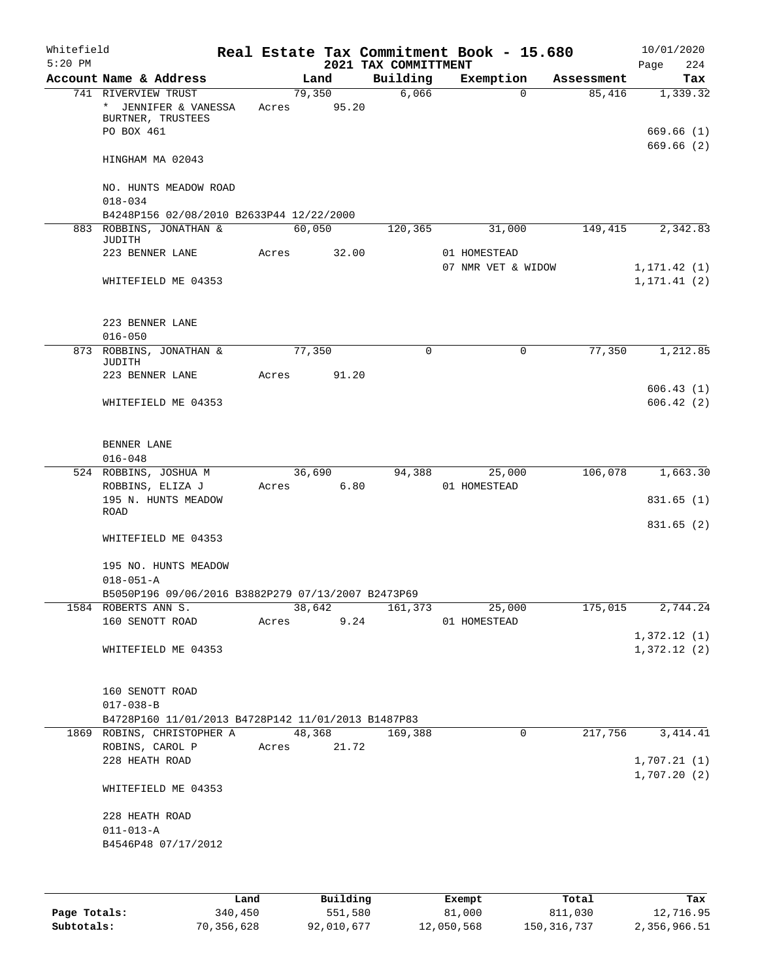| Whitefield<br>$5:20$ PM |                                                                                  |             |        |        | 2021 TAX COMMITTMENT | Real Estate Tax Commitment Book - 15.680 |            | 10/01/2020<br>Page<br>224  |
|-------------------------|----------------------------------------------------------------------------------|-------------|--------|--------|----------------------|------------------------------------------|------------|----------------------------|
|                         | Account Name & Address                                                           |             | Land   |        | Building             | Exemption                                | Assessment | Tax                        |
|                         | 741 RIVERVIEW TRUST<br>* JENNIFER & VANESSA<br>BURTNER, TRUSTEES<br>PO BOX 461   | Acres       | 79,350 | 95.20  | 6,066                | $\Omega$                                 | 85,416     | 1,339.32<br>669.66 (1)     |
|                         | HINGHAM MA 02043                                                                 |             |        |        |                      |                                          |            | 669.66(2)                  |
|                         | NO. HUNTS MEADOW ROAD<br>$018 - 034$<br>B4248P156 02/08/2010 B2633P44 12/22/2000 |             |        |        |                      |                                          |            |                            |
|                         | 883 ROBBINS, JONATHAN &                                                          |             | 60,050 |        | 120,365              | 31,000                                   | 149,415    | 2,342.83                   |
|                         | JUDITH                                                                           |             |        |        |                      |                                          |            |                            |
|                         | 223 BENNER LANE                                                                  | Acres       |        | 32.00  |                      | 01 HOMESTEAD<br>07 NMR VET & WIDOW       |            | 1, 171.42(1)               |
|                         | WHITEFIELD ME 04353                                                              |             |        |        |                      |                                          |            | 1, 171.41(2)               |
|                         | 223 BENNER LANE                                                                  |             |        |        |                      |                                          |            |                            |
|                         | $016 - 050$<br>873 ROBBINS, JONATHAN &                                           |             | 77,350 |        | $\Omega$             | 0                                        | 77,350     | 1,212.85                   |
|                         | <b>JUDITH</b>                                                                    |             |        |        |                      |                                          |            |                            |
|                         | 223 BENNER LANE                                                                  | Acres       |        | 91.20  |                      |                                          |            | 606.43(1)                  |
|                         | WHITEFIELD ME 04353                                                              |             |        |        |                      |                                          |            | 606.42(2)                  |
|                         | BENNER LANE<br>$016 - 048$                                                       |             |        |        |                      |                                          |            |                            |
|                         | 524 ROBBINS, JOSHUA M                                                            |             | 36,690 |        | 94,388               | 25,000                                   | 106,078    | 1,663.30                   |
|                         | ROBBINS, ELIZA J<br>195 N. HUNTS MEADOW                                          | Acres       |        | 6.80   |                      | 01 HOMESTEAD                             |            | 831.65(1)                  |
|                         | <b>ROAD</b>                                                                      |             |        |        |                      |                                          |            | 831.65 (2)                 |
|                         | WHITEFIELD ME 04353                                                              |             |        |        |                      |                                          |            |                            |
|                         | 195 NO. HUNTS MEADOW<br>$018 - 051 - A$                                          |             |        |        |                      |                                          |            |                            |
|                         | B5050P196 09/06/2016 B3882P279 07/13/2007 B2473P69                               |             |        |        |                      |                                          |            |                            |
|                         | 1584 ROBERTS ANN S.                                                              |             |        | 38,642 |                      | 161,373 25,000                           |            | 175,015 2,744.24           |
|                         | 160 SENOTT ROAD                                                                  | Acres 9.24  |        |        |                      | 01 HOMESTEAD                             |            |                            |
|                         | WHITEFIELD ME 04353                                                              |             |        |        |                      |                                          |            | 1,372.12(1)<br>1,372.12(2) |
|                         | 160 SENOTT ROAD<br>$017 - 038 - B$                                               |             |        |        |                      |                                          |            |                            |
|                         | B4728P160 11/01/2013 B4728P142 11/01/2013 B1487P83                               |             |        |        |                      |                                          |            |                            |
|                         | 1869 ROBINS, CHRISTOPHER A                                                       |             |        | 48,368 | 169,388              | 0                                        | 217,756    | 3, 414.41                  |
|                         | ROBINS, CAROL P<br>228 HEATH ROAD                                                | Acres 21.72 |        |        |                      |                                          |            | 1,707.21(1)                |
|                         | WHITEFIELD ME 04353                                                              |             |        |        |                      |                                          |            | 1,707.20(2)                |
|                         | 228 HEATH ROAD                                                                   |             |        |        |                      |                                          |            |                            |
|                         | $011 - 013 - A$                                                                  |             |        |        |                      |                                          |            |                            |
|                         | B4546P48 07/17/2012                                                              |             |        |        |                      |                                          |            |                            |
|                         |                                                                                  |             |        |        |                      |                                          |            |                            |

|              | Land       | Building   | Exempt     | Total       | Tax          |
|--------------|------------|------------|------------|-------------|--------------|
| Page Totals: | 340,450    | 551,580    | 81,000     | 811,030     | 12,716.95    |
| Subtotals:   | 70,356,628 | 92,010,677 | 12,050,568 | 150,316,737 | 2,356,966.51 |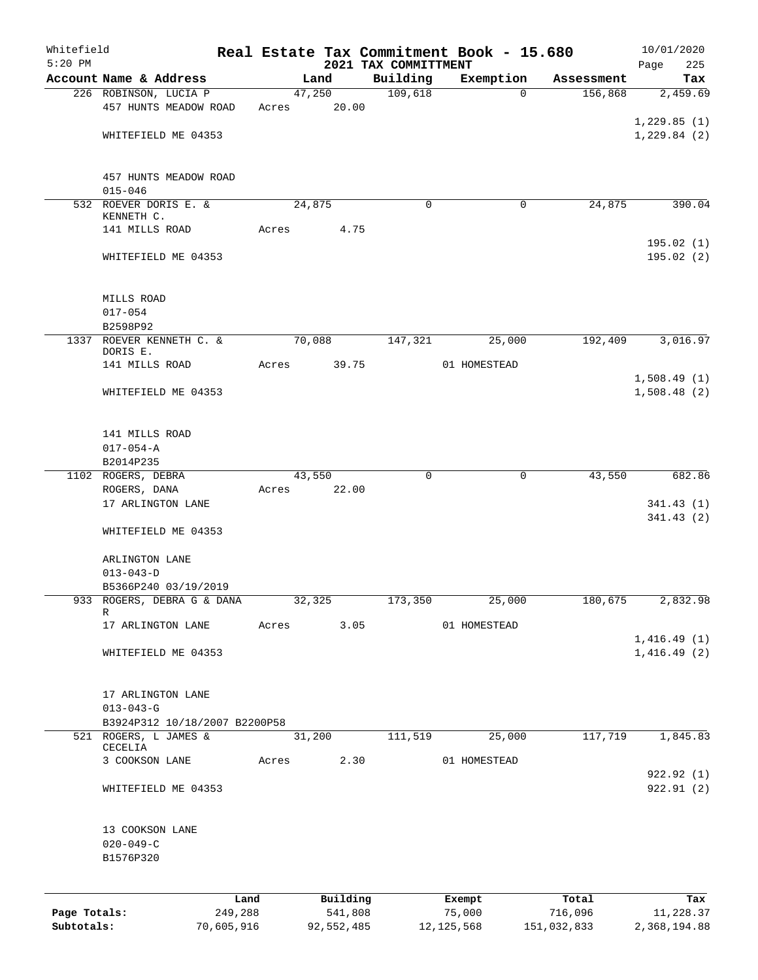| Whitefield   |                                      |         |       |                |          |                      | Real Estate Tax Commitment Book - 15.680 |                       | 10/01/2020               |
|--------------|--------------------------------------|---------|-------|----------------|----------|----------------------|------------------------------------------|-----------------------|--------------------------|
| $5:20$ PM    | Account Name & Address               |         |       |                |          | 2021 TAX COMMITTMENT |                                          |                       | Page<br>225<br>Tax       |
|              | 226 ROBINSON, LUCIA P                |         |       | Land<br>47,250 |          | Building<br>109,618  | Exemption<br>$\Omega$                    | Assessment<br>156,868 | 2,459.69                 |
|              | 457 HUNTS MEADOW ROAD                |         | Acres |                | 20.00    |                      |                                          |                       |                          |
|              |                                      |         |       |                |          |                      |                                          |                       | 1,229.85(1)              |
|              | WHITEFIELD ME 04353                  |         |       |                |          |                      |                                          |                       | 1,229.84(2)              |
|              |                                      |         |       |                |          |                      |                                          |                       |                          |
|              |                                      |         |       |                |          |                      |                                          |                       |                          |
|              | 457 HUNTS MEADOW ROAD                |         |       |                |          |                      |                                          |                       |                          |
|              | $015 - 046$<br>532 ROEVER DORIS E. & |         |       | 24,875         |          | 0                    | 0                                        | 24,875                | 390.04                   |
|              | KENNETH C.                           |         |       |                |          |                      |                                          |                       |                          |
|              | 141 MILLS ROAD                       |         | Acres |                | 4.75     |                      |                                          |                       |                          |
|              |                                      |         |       |                |          |                      |                                          |                       | 195.02(1)                |
|              | WHITEFIELD ME 04353                  |         |       |                |          |                      |                                          |                       | 195.02(2)                |
|              |                                      |         |       |                |          |                      |                                          |                       |                          |
|              | MILLS ROAD                           |         |       |                |          |                      |                                          |                       |                          |
|              | $017 - 054$                          |         |       |                |          |                      |                                          |                       |                          |
|              | B2598P92                             |         |       |                |          |                      |                                          |                       |                          |
|              | 1337 ROEVER KENNETH C. &<br>DORIS E. |         |       | 70,088         |          | 147,321              | 25,000                                   | 192,409               | 3,016.97                 |
|              | 141 MILLS ROAD                       |         | Acres |                | 39.75    |                      | 01 HOMESTEAD                             |                       |                          |
|              |                                      |         |       |                |          |                      |                                          |                       | 1,508.49(1)              |
|              | WHITEFIELD ME 04353                  |         |       |                |          |                      |                                          |                       | 1,508.48(2)              |
|              |                                      |         |       |                |          |                      |                                          |                       |                          |
|              |                                      |         |       |                |          |                      |                                          |                       |                          |
|              | 141 MILLS ROAD<br>$017 - 054 - A$    |         |       |                |          |                      |                                          |                       |                          |
|              | B2014P235                            |         |       |                |          |                      |                                          |                       |                          |
|              | 1102 ROGERS, DEBRA                   |         |       | 43,550         |          | $\mathbf 0$          | 0                                        | 43,550                | 682.86                   |
|              | ROGERS, DANA                         |         | Acres |                | 22.00    |                      |                                          |                       |                          |
|              | 17 ARLINGTON LANE                    |         |       |                |          |                      |                                          |                       | 341.43(1)                |
|              |                                      |         |       |                |          |                      |                                          |                       | 341.43(2)                |
|              | WHITEFIELD ME 04353                  |         |       |                |          |                      |                                          |                       |                          |
|              | ARLINGTON LANE                       |         |       |                |          |                      |                                          |                       |                          |
|              | $013 - 043 - D$                      |         |       |                |          |                      |                                          |                       |                          |
|              | B5366P240 03/19/2019                 |         |       |                |          |                      |                                          |                       |                          |
|              | 933 ROGERS, DEBRA G & DANA           |         |       | 32,325         |          | 173,350              | 25,000                                   | 180,675               | 2,832.98                 |
|              | R<br>17 ARLINGTON LANE               |         | Acres |                | 3.05     |                      | 01 HOMESTEAD                             |                       |                          |
|              |                                      |         |       |                |          |                      |                                          |                       | 1,416.49(1)              |
|              | WHITEFIELD ME 04353                  |         |       |                |          |                      |                                          |                       | 1,416.49(2)              |
|              |                                      |         |       |                |          |                      |                                          |                       |                          |
|              |                                      |         |       |                |          |                      |                                          |                       |                          |
|              | 17 ARLINGTON LANE<br>$013 - 043 - G$ |         |       |                |          |                      |                                          |                       |                          |
|              | B3924P312 10/18/2007 B2200P58        |         |       |                |          |                      |                                          |                       |                          |
|              | 521 ROGERS, L JAMES &                |         |       | 31,200         |          | 111,519              | 25,000                                   | 117,719               | 1,845.83                 |
|              | CECELIA                              |         |       |                |          |                      |                                          |                       |                          |
|              | 3 COOKSON LANE                       |         | Acres |                | 2.30     |                      | 01 HOMESTEAD                             |                       |                          |
|              | WHITEFIELD ME 04353                  |         |       |                |          |                      |                                          |                       | 922.92 (1)<br>922.91 (2) |
|              |                                      |         |       |                |          |                      |                                          |                       |                          |
|              |                                      |         |       |                |          |                      |                                          |                       |                          |
|              | 13 COOKSON LANE                      |         |       |                |          |                      |                                          |                       |                          |
|              | $020 - 049 - C$                      |         |       |                |          |                      |                                          |                       |                          |
|              | B1576P320                            |         |       |                |          |                      |                                          |                       |                          |
|              |                                      |         |       |                |          |                      |                                          |                       |                          |
|              |                                      | Land    |       |                | Building |                      | Exempt                                   | Total                 | Tax                      |
| Page Totals: |                                      | 249,288 |       |                | 541,808  |                      | 75,000                                   | 716,096               | 11,228.37                |

**Subtotals:** 70,605,916 92,552,485 12,125,568 151,032,833 2,368,194.88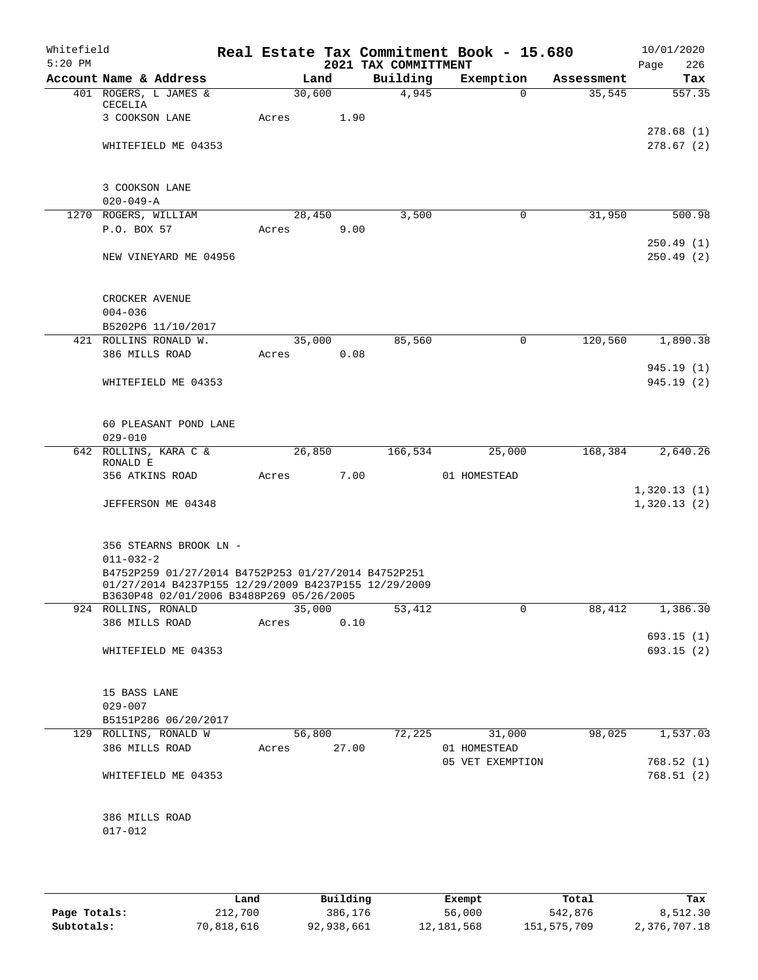| Whitefield<br>$5:20$ PM |                                           |                                                                                                                                                         |             |        | 2021 TAX COMMITTMENT | Real Estate Tax Commitment Book - 15.680 |            | 10/01/2020<br>Page<br>226  |
|-------------------------|-------------------------------------------|---------------------------------------------------------------------------------------------------------------------------------------------------------|-------------|--------|----------------------|------------------------------------------|------------|----------------------------|
|                         | Account Name & Address                    |                                                                                                                                                         |             | Land   | Building             | Exemption                                | Assessment | Tax                        |
|                         | 401 ROGERS, L JAMES &<br>CECELIA          |                                                                                                                                                         | 30,600      |        | 4,945                | $\Omega$                                 | 35,545     | 557.35                     |
|                         | 3 COOKSON LANE                            |                                                                                                                                                         | Acres       | 1.90   |                      |                                          |            | 278.68(1)                  |
|                         | WHITEFIELD ME 04353                       |                                                                                                                                                         |             |        |                      |                                          |            | 278.67(2)                  |
|                         | 3 COOKSON LANE<br>$020 - 049 - A$         |                                                                                                                                                         |             |        |                      |                                          |            |                            |
|                         | 1270 ROGERS, WILLIAM                      |                                                                                                                                                         |             | 28,450 | 3,500                | $\mathbf 0$                              | 31,950     | 500.98                     |
|                         | P.O. BOX 57                               |                                                                                                                                                         | Acres       | 9.00   |                      |                                          |            |                            |
|                         | NEW VINEYARD ME 04956                     |                                                                                                                                                         |             |        |                      |                                          |            | 250.49(1)<br>250.49(2)     |
|                         | CROCKER AVENUE                            |                                                                                                                                                         |             |        |                      |                                          |            |                            |
|                         | $004 - 036$                               |                                                                                                                                                         |             |        |                      |                                          |            |                            |
|                         | B5202P6 11/10/2017                        |                                                                                                                                                         |             |        |                      |                                          |            |                            |
|                         | 421 ROLLINS RONALD W.                     |                                                                                                                                                         |             | 35,000 | 85,560               | $\mathbf 0$                              | 120,560    | 1,890.38                   |
|                         | 386 MILLS ROAD                            |                                                                                                                                                         | Acres       | 0.08   |                      |                                          |            | 945.19 (1)                 |
|                         | WHITEFIELD ME 04353                       |                                                                                                                                                         |             |        |                      |                                          |            | 945.19(2)                  |
|                         | 60 PLEASANT POND LANE<br>$029 - 010$      |                                                                                                                                                         |             |        |                      |                                          |            |                            |
|                         | 642 ROLLINS, KARA C &                     |                                                                                                                                                         |             | 26,850 | 166,534              | 25,000                                   | 168,384    | 2,640.26                   |
|                         | RONALD E<br>356 ATKINS ROAD               |                                                                                                                                                         | Acres       | 7.00   |                      | 01 HOMESTEAD                             |            |                            |
|                         | JEFFERSON ME 04348                        |                                                                                                                                                         |             |        |                      |                                          |            | 1,320.13(1)<br>1,320.13(2) |
|                         |                                           |                                                                                                                                                         |             |        |                      |                                          |            |                            |
|                         | 356 STEARNS BROOK LN -<br>$011 - 032 - 2$ |                                                                                                                                                         |             |        |                      |                                          |            |                            |
|                         |                                           | B4752P259 01/27/2014 B4752P253 01/27/2014 B4752P251<br>01/27/2014 B4237P155 12/29/2009 B4237P155 12/29/2009<br>B3630P48 02/01/2006 B3488P269 05/26/2005 |             |        |                      |                                          |            |                            |
|                         | 924 ROLLINS, RONALD                       |                                                                                                                                                         |             | 35,000 | 53,412               | $\mathbf 0$                              | 88,412     | 1,386.30                   |
|                         | 386 MILLS ROAD                            |                                                                                                                                                         | Acres 0.10  |        |                      |                                          |            |                            |
|                         | WHITEFIELD ME 04353                       |                                                                                                                                                         |             |        |                      |                                          |            | 693.15 (1)<br>693.15(2)    |
|                         | 15 BASS LANE                              |                                                                                                                                                         |             |        |                      |                                          |            |                            |
|                         | $029 - 007$<br>B5151P286 06/20/2017       |                                                                                                                                                         |             |        |                      |                                          |            |                            |
|                         | 129 ROLLINS, RONALD W                     |                                                                                                                                                         |             | 56,800 | 72,225               | 31,000                                   | 98,025     | 1,537.03                   |
|                         | 386 MILLS ROAD                            |                                                                                                                                                         | Acres 27.00 |        |                      | 01 HOMESTEAD                             |            |                            |
|                         | WHITEFIELD ME 04353                       |                                                                                                                                                         |             |        |                      | 05 VET EXEMPTION                         |            | 768.52(1)<br>768.51(2)     |
|                         | 386 MILLS ROAD<br>$017 - 012$             |                                                                                                                                                         |             |        |                      |                                          |            |                            |
|                         |                                           |                                                                                                                                                         |             |        |                      |                                          |            |                            |

|              | Land       | Building   | Exempt       | Total       | Tax          |
|--------------|------------|------------|--------------|-------------|--------------|
| Page Totals: | 212,700    | 386,176    | 56,000       | 542,876     | 8,512.30     |
| Subtotals:   | 70,818,616 | 92,938,661 | 12, 181, 568 | 151,575,709 | 2,376,707.18 |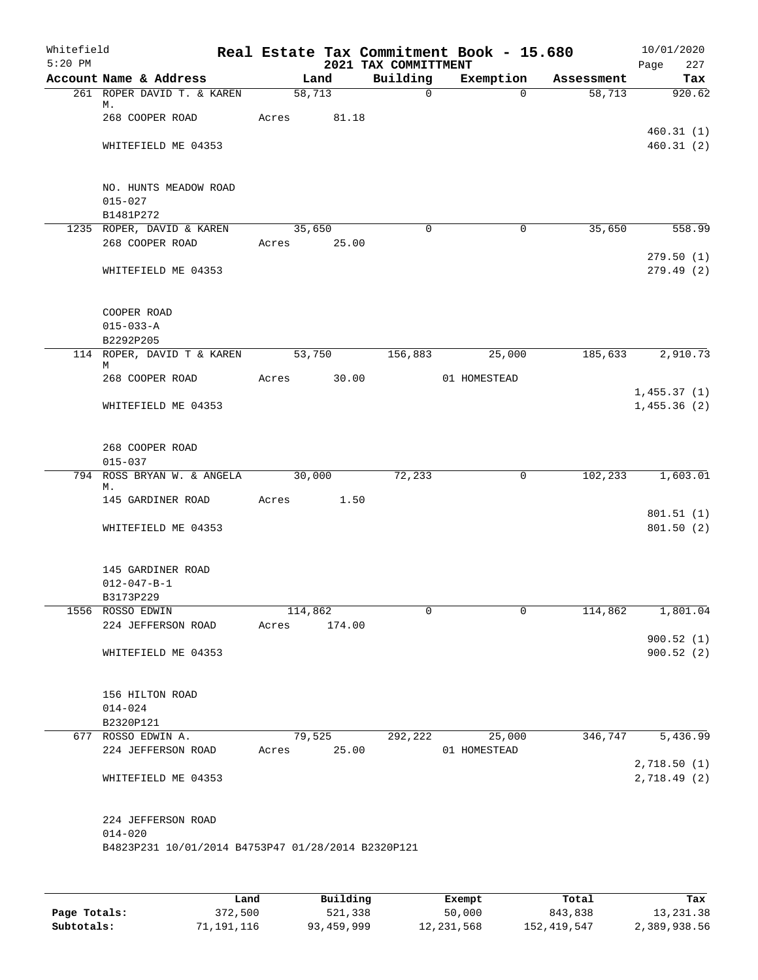| $5:20$ PM | Whitefield                                            |                                                    |         |        | Real Estate Tax Commitment Book - 15.680<br>2021 TAX COMMITTMENT |              |             |            | 10/01/2020<br>Page         | 227                    |
|-----------|-------------------------------------------------------|----------------------------------------------------|---------|--------|------------------------------------------------------------------|--------------|-------------|------------|----------------------------|------------------------|
|           | Account Name & Address                                |                                                    | Land    |        | Building                                                         |              | Exemption   | Assessment |                            | Tax                    |
|           | 261 ROPER DAVID T. & KAREN<br>М.                      |                                                    | 58,713  |        | $\mathbf 0$                                                      |              | $\Omega$    | 58,713     |                            | 920.62                 |
|           | 268 COOPER ROAD                                       | Acres                                              |         | 81.18  |                                                                  |              |             |            |                            |                        |
|           | WHITEFIELD ME 04353                                   |                                                    |         |        |                                                                  |              |             |            |                            | 460.31(1)<br>460.31(2) |
|           | NO. HUNTS MEADOW ROAD<br>$015 - 027$                  |                                                    |         |        |                                                                  |              |             |            |                            |                        |
|           | B1481P272                                             |                                                    |         |        |                                                                  |              |             |            |                            |                        |
|           | 1235 ROPER, DAVID & KAREN                             |                                                    | 35,650  |        | $\Omega$                                                         |              | $\mathbf 0$ | 35,650     |                            | 558.99                 |
|           | 268 COOPER ROAD                                       | Acres 25.00                                        |         |        |                                                                  |              |             |            |                            | 279.50(1)              |
|           | WHITEFIELD ME 04353                                   |                                                    |         |        |                                                                  |              |             |            |                            | 279.49(2)              |
|           | COOPER ROAD                                           |                                                    |         |        |                                                                  |              |             |            |                            |                        |
|           | $015 - 033 - A$<br>B2292P205                          |                                                    |         |        |                                                                  |              |             |            |                            |                        |
|           | 114 ROPER, DAVID T & KAREN                            |                                                    | 53,750  |        | 156,883                                                          |              | 25,000      | 185,633    |                            | 2,910.73               |
|           | М                                                     |                                                    |         |        |                                                                  |              |             |            |                            |                        |
|           | 268 COOPER ROAD                                       | Acres                                              |         | 30.00  |                                                                  | 01 HOMESTEAD |             |            |                            |                        |
|           |                                                       |                                                    |         |        |                                                                  |              |             |            | 1,455.37(1)                |                        |
|           | WHITEFIELD ME 04353                                   |                                                    |         |        |                                                                  |              |             |            | 1,455.36(2)                |                        |
|           | 268 COOPER ROAD                                       |                                                    |         |        |                                                                  |              |             |            |                            |                        |
|           | $015 - 037$                                           |                                                    |         |        |                                                                  |              |             |            |                            |                        |
|           | 794 ROSS BRYAN W. & ANGELA<br>М.                      |                                                    | 30,000  |        | 72,233                                                           |              | 0           | 102,233    |                            | 1,603.01               |
|           | 145 GARDINER ROAD                                     | Acres                                              |         | 1.50   |                                                                  |              |             |            |                            |                        |
|           |                                                       |                                                    |         |        |                                                                  |              |             |            |                            | 801.51(1)              |
|           | WHITEFIELD ME 04353                                   |                                                    |         |        |                                                                  |              |             |            |                            | 801.50 (2)             |
|           | 145 GARDINER ROAD<br>$012 - 047 - B - 1$<br>B3173P229 |                                                    |         |        |                                                                  |              |             |            |                            |                        |
|           | 1556 ROSSO EDWIN                                      |                                                    | 114,862 |        | 0                                                                |              | $\mathbf 0$ | 114,862    |                            | 1,801.04               |
|           | 224 JEFFERSON ROAD                                    | Acres                                              |         | 174.00 |                                                                  |              |             |            |                            |                        |
|           | WHITEFIELD ME 04353                                   |                                                    |         |        |                                                                  |              |             |            |                            | 900.52(1)<br>900.52(2) |
|           | 156 HILTON ROAD                                       |                                                    |         |        |                                                                  |              |             |            |                            |                        |
|           | $014 - 024$                                           |                                                    |         |        |                                                                  |              |             |            |                            |                        |
|           | B2320P121<br>677 ROSSO EDWIN A.                       |                                                    | 79,525  |        | 292,222                                                          |              | 25,000      | 346,747    |                            | 5,436.99               |
|           | 224 JEFFERSON ROAD                                    | Acres                                              |         | 25.00  |                                                                  | 01 HOMESTEAD |             |            |                            |                        |
|           | WHITEFIELD ME 04353                                   |                                                    |         |        |                                                                  |              |             |            | 2,718.50(1)<br>2,718.49(2) |                        |
|           | 224 JEFFERSON ROAD<br>$014 - 020$                     | B4823P231 10/01/2014 B4753P47 01/28/2014 B2320P121 |         |        |                                                                  |              |             |            |                            |                        |

|              | Land       | Building   | Exempt     | Total       | Tax          |
|--------------|------------|------------|------------|-------------|--------------|
| Page Totals: | 372,500    | 521,338    | 50,000     | 843,838     | 13,231.38    |
| Subtotals:   | 71,191,116 | 93,459,999 | 12,231,568 | 152,419,547 | 2,389,938.56 |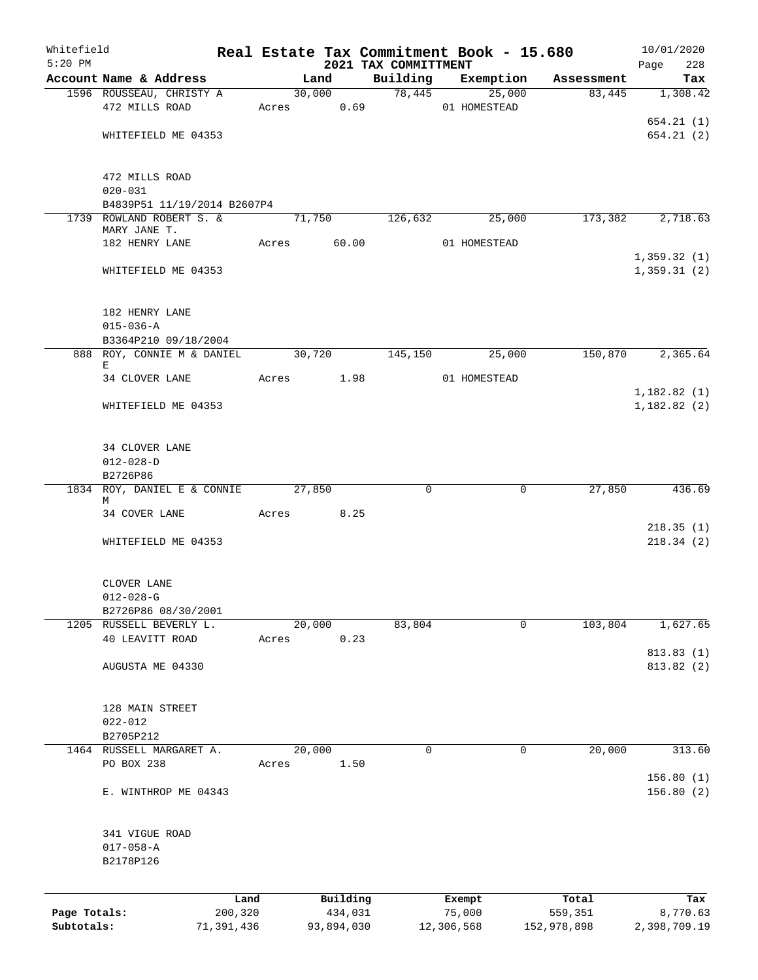| Whitefield   |                                            |            |             |        |            | Real Estate Tax Commitment Book - 15.680 |                        |             |             | 10/01/2020             |
|--------------|--------------------------------------------|------------|-------------|--------|------------|------------------------------------------|------------------------|-------------|-------------|------------------------|
| $5:20$ PM    |                                            |            |             |        |            | 2021 TAX COMMITTMENT                     |                        |             |             | Page<br>228            |
|              | Account Name & Address                     |            |             | Land   |            | Building                                 | Exemption              |             | Assessment  | Tax                    |
|              | 1596 ROUSSEAU, CHRISTY A<br>472 MILLS ROAD |            | Acres 0.69  |        | 30,000     |                                          | 78,445<br>01 HOMESTEAD | 25,000      | 83,445      | 1,308.42               |
|              |                                            |            |             |        |            |                                          |                        |             |             | 654.21(1)              |
|              | WHITEFIELD ME 04353                        |            |             |        |            |                                          |                        |             |             | 654.21(2)              |
|              |                                            |            |             |        |            |                                          |                        |             |             |                        |
|              | 472 MILLS ROAD                             |            |             |        |            |                                          |                        |             |             |                        |
|              | $020 - 031$                                |            |             |        |            |                                          |                        |             |             |                        |
|              | B4839P51 11/19/2014 B2607P4                |            |             |        |            |                                          |                        |             |             |                        |
|              | 1739 ROWLAND ROBERT S. &<br>MARY JANE T.   |            |             | 71,750 |            | 126,632                                  |                        | 25,000      | 173,382     | 2,718.63               |
|              | 182 HENRY LANE                             |            | Acres 60.00 |        |            |                                          | 01 HOMESTEAD           |             |             |                        |
|              |                                            |            |             |        |            |                                          |                        |             |             | 1,359.32(1)            |
|              | WHITEFIELD ME 04353                        |            |             |        |            |                                          |                        |             |             | 1,359.31(2)            |
|              |                                            |            |             |        |            |                                          |                        |             |             |                        |
|              | 182 HENRY LANE                             |            |             |        |            |                                          |                        |             |             |                        |
|              | $015 - 036 - A$                            |            |             |        |            |                                          |                        |             |             |                        |
|              | B3364P210 09/18/2004                       |            |             | 30,720 |            | 145,150                                  |                        | 25,000      | 150,870     | 2,365.64               |
|              | 888 ROY, CONNIE M & DANIEL<br>Е            |            |             |        |            |                                          |                        |             |             |                        |
|              | 34 CLOVER LANE                             |            | Acres 1.98  |        |            |                                          | 01 HOMESTEAD           |             |             |                        |
|              |                                            |            |             |        |            |                                          |                        |             |             | 1,182.82(1)            |
|              | WHITEFIELD ME 04353                        |            |             |        |            |                                          |                        |             |             | 1,182.82(2)            |
|              | 34 CLOVER LANE                             |            |             |        |            |                                          |                        |             |             |                        |
|              | $012 - 028 - D$                            |            |             |        |            |                                          |                        |             |             |                        |
|              | B2726P86                                   |            |             |        |            |                                          |                        |             |             |                        |
|              | 1834 ROY, DANIEL E & CONNIE                |            |             | 27,850 |            | $\mathbf 0$                              |                        | 0           | 27,850      | 436.69                 |
|              | М                                          |            |             |        |            |                                          |                        |             |             |                        |
|              | 34 COVER LANE                              |            | Acres 8.25  |        |            |                                          |                        |             |             |                        |
|              | WHITEFIELD ME 04353                        |            |             |        |            |                                          |                        |             |             | 218.35(1)<br>218.34(2) |
|              |                                            |            |             |        |            |                                          |                        |             |             |                        |
|              | CLOVER LANE                                |            |             |        |            |                                          |                        |             |             |                        |
|              | $012 - 028 - G$                            |            |             |        |            |                                          |                        |             |             |                        |
|              | B2726P86 08/30/2001                        |            |             |        |            |                                          |                        |             |             |                        |
|              | 1205 RUSSELL BEVERLY L.<br>40 LEAVITT ROAD |            | Acres       | 20,000 | 0.23       | 83,804                                   |                        | $\mathbf 0$ | 103,804     | 1,627.65               |
|              |                                            |            |             |        |            |                                          |                        |             |             | 813.83 (1)             |
|              | AUGUSTA ME 04330                           |            |             |        |            |                                          |                        |             |             | 813.82 (2)             |
|              |                                            |            |             |        |            |                                          |                        |             |             |                        |
|              | 128 MAIN STREET                            |            |             |        |            |                                          |                        |             |             |                        |
|              | $022 - 012$<br>B2705P212                   |            |             |        |            |                                          |                        |             |             |                        |
|              | 1464 RUSSELL MARGARET A.                   |            |             | 20,000 |            | 0                                        |                        | 0           | 20,000      | 313.60                 |
|              | PO BOX 238                                 |            | Acres       |        | 1.50       |                                          |                        |             |             |                        |
|              |                                            |            |             |        |            |                                          |                        |             |             | 156.80(1)              |
|              | E. WINTHROP ME 04343                       |            |             |        |            |                                          |                        |             |             | 156.80(2)              |
|              |                                            |            |             |        |            |                                          |                        |             |             |                        |
|              | 341 VIGUE ROAD<br>$017 - 058 - A$          |            |             |        |            |                                          |                        |             |             |                        |
|              | B2178P126                                  |            |             |        |            |                                          |                        |             |             |                        |
|              |                                            |            |             |        |            |                                          |                        |             |             |                        |
|              |                                            | Land       |             |        | Building   |                                          | Exempt                 |             | Total       | Tax                    |
| Page Totals: |                                            | 200,320    |             |        | 434,031    |                                          | 75,000                 |             | 559,351     | 8,770.63               |
| Subtotals:   |                                            | 71,391,436 |             |        | 93,894,030 |                                          | 12,306,568             |             | 152,978,898 | 2,398,709.19           |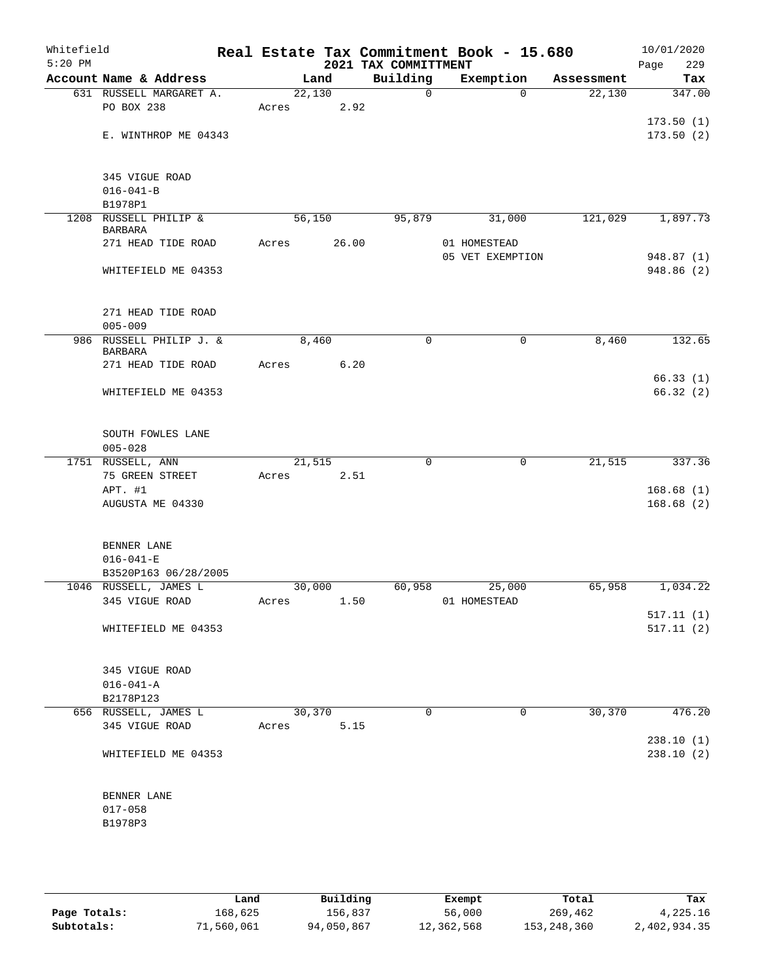| Whitefield<br>$5:20$ PM |                                         |        |       | 2021 TAX COMMITTMENT | Real Estate Tax Commitment Book - 15.680 |            | 10/01/2020<br>229<br>Page |
|-------------------------|-----------------------------------------|--------|-------|----------------------|------------------------------------------|------------|---------------------------|
|                         | Account Name & Address                  |        | Land  | Building             | Exemption                                | Assessment | Tax                       |
|                         | 631 RUSSELL MARGARET A.                 | 22,130 |       | $\mathbf 0$          | $\Omega$                                 | 22,130     | 347.00                    |
|                         | PO BOX 238                              | Acres  | 2.92  |                      |                                          |            |                           |
|                         |                                         |        |       |                      |                                          |            | 173.50(1)                 |
|                         | E. WINTHROP ME 04343                    |        |       |                      |                                          |            | 173.50(2)                 |
|                         |                                         |        |       |                      |                                          |            |                           |
|                         |                                         |        |       |                      |                                          |            |                           |
|                         | 345 VIGUE ROAD                          |        |       |                      |                                          |            |                           |
|                         | $016 - 041 - B$                         |        |       |                      |                                          |            |                           |
|                         | B1978P1                                 |        |       |                      |                                          |            |                           |
|                         | 1208 RUSSELL PHILIP &                   | 56,150 |       | 95,879               | 31,000                                   | 121,029    | 1,897.73                  |
|                         | <b>BARBARA</b><br>271 HEAD TIDE ROAD    | Acres  | 26.00 |                      | 01 HOMESTEAD                             |            |                           |
|                         |                                         |        |       |                      | 05 VET EXEMPTION                         |            | 948.87 (1)                |
|                         | WHITEFIELD ME 04353                     |        |       |                      |                                          |            | 948.86 (2)                |
|                         |                                         |        |       |                      |                                          |            |                           |
|                         |                                         |        |       |                      |                                          |            |                           |
|                         | 271 HEAD TIDE ROAD                      |        |       |                      |                                          |            |                           |
|                         | $005 - 009$                             |        |       |                      |                                          |            |                           |
|                         | 986 RUSSELL PHILIP J. &                 | 8,460  |       | $\mathbf 0$          | 0                                        | 8,460      | 132.65                    |
|                         | <b>BARBARA</b>                          |        |       |                      |                                          |            |                           |
|                         | 271 HEAD TIDE ROAD                      | Acres  | 6.20  |                      |                                          |            |                           |
|                         |                                         |        |       |                      |                                          |            | 66.33(1)                  |
|                         | WHITEFIELD ME 04353                     |        |       |                      |                                          |            | 66.32(2)                  |
|                         |                                         |        |       |                      |                                          |            |                           |
|                         |                                         |        |       |                      |                                          |            |                           |
|                         | SOUTH FOWLES LANE                       |        |       |                      |                                          |            |                           |
|                         | $005 - 028$                             |        |       |                      |                                          |            |                           |
|                         | 1751 RUSSELL, ANN                       | 21,515 |       | $\mathbf 0$          | $\mathbf 0$                              | 21,515     | 337.36                    |
|                         | 75 GREEN STREET                         | Acres  | 2.51  |                      |                                          |            |                           |
|                         | APT. #1                                 |        |       |                      |                                          |            | 168.68(1)                 |
|                         | AUGUSTA ME 04330                        |        |       |                      |                                          |            | 168.68(2)                 |
|                         |                                         |        |       |                      |                                          |            |                           |
|                         |                                         |        |       |                      |                                          |            |                           |
|                         | BENNER LANE                             |        |       |                      |                                          |            |                           |
|                         | $016 - 041 - E$                         |        |       |                      |                                          |            |                           |
|                         | B3520P163 06/28/2005                    | 30,000 |       |                      | 25,000                                   | 65,958     | 1,034.22                  |
|                         | 1046 RUSSELL, JAMES L<br>345 VIGUE ROAD |        |       | 60,958               | Acres 1.50 01 HOMESTEAD                  |            |                           |
|                         |                                         |        |       |                      |                                          |            | 517.11(1)                 |
|                         | WHITEFIELD ME 04353                     |        |       |                      |                                          |            | 517.11(2)                 |
|                         |                                         |        |       |                      |                                          |            |                           |
|                         |                                         |        |       |                      |                                          |            |                           |
|                         | 345 VIGUE ROAD                          |        |       |                      |                                          |            |                           |
|                         | $016 - 041 - A$                         |        |       |                      |                                          |            |                           |
|                         | B2178P123                               |        |       |                      |                                          |            |                           |
|                         | 656 RUSSELL, JAMES L                    | 30,370 |       | $\Omega$             | 0                                        | 30,370     | 476.20                    |
|                         | 345 VIGUE ROAD                          | Acres  | 5.15  |                      |                                          |            |                           |
|                         |                                         |        |       |                      |                                          |            | 238.10(1)                 |
|                         | WHITEFIELD ME 04353                     |        |       |                      |                                          |            | 238.10(2)                 |
|                         |                                         |        |       |                      |                                          |            |                           |
|                         |                                         |        |       |                      |                                          |            |                           |
|                         | BENNER LANE                             |        |       |                      |                                          |            |                           |
|                         | $017 - 058$                             |        |       |                      |                                          |            |                           |
|                         | B1978P3                                 |        |       |                      |                                          |            |                           |
|                         |                                         |        |       |                      |                                          |            |                           |
|                         |                                         |        |       |                      |                                          |            |                           |

|              | Land       | Building   | Exempt     | Total       | Tax          |
|--------------|------------|------------|------------|-------------|--------------|
| Page Totals: | 168,625    | 156,837    | 56,000     | 269,462     | 4,225.16     |
| Subtotals:   | 71,560,061 | 94,050,867 | 12,362,568 | 153,248,360 | 2,402,934.35 |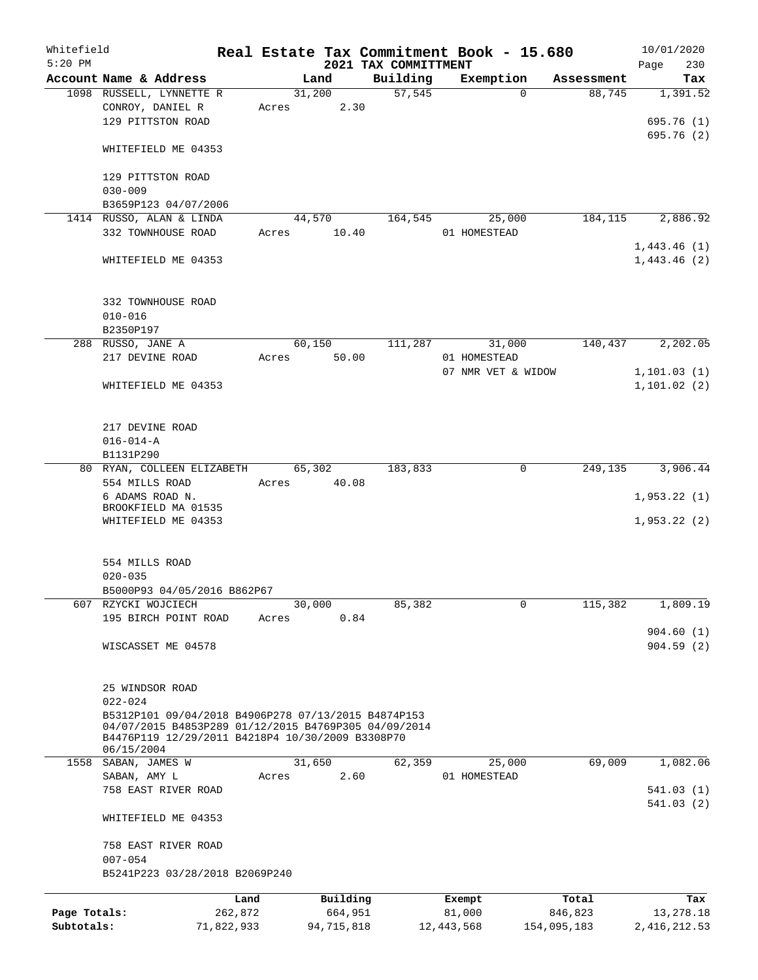| Whitefield<br>$5:20$ PM |                                                                                                                                                                 |            |       |        |            | 2021 TAX COMMITTMENT | Real Estate Tax Commitment Book - 15.680 |             | 10/01/2020<br>230<br>Page |
|-------------------------|-----------------------------------------------------------------------------------------------------------------------------------------------------------------|------------|-------|--------|------------|----------------------|------------------------------------------|-------------|---------------------------|
|                         | Account Name & Address                                                                                                                                          |            |       | Land   |            | Building             | Exemption                                | Assessment  | Tax                       |
|                         | 1098 RUSSELL, LYNNETTE R                                                                                                                                        |            |       | 31,200 |            | 57,545               | $\Omega$                                 | 88,745      | 1,391.52                  |
|                         | CONROY, DANIEL R                                                                                                                                                |            | Acres |        | 2.30       |                      |                                          |             |                           |
|                         | 129 PITTSTON ROAD                                                                                                                                               |            |       |        |            |                      |                                          |             | 695.76 (1)                |
|                         |                                                                                                                                                                 |            |       |        |            |                      |                                          |             | 695.76 (2)                |
|                         | WHITEFIELD ME 04353                                                                                                                                             |            |       |        |            |                      |                                          |             |                           |
|                         | 129 PITTSTON ROAD                                                                                                                                               |            |       |        |            |                      |                                          |             |                           |
|                         | $030 - 009$                                                                                                                                                     |            |       |        |            |                      |                                          |             |                           |
|                         | B3659P123 04/07/2006                                                                                                                                            |            |       |        |            |                      |                                          |             |                           |
|                         | 1414 RUSSO, ALAN & LINDA                                                                                                                                        |            |       | 44,570 |            | 164,545              | 25,000                                   | 184, 115    | 2,886.92                  |
|                         | 332 TOWNHOUSE ROAD                                                                                                                                              |            | Acres |        | 10.40      |                      | 01 HOMESTEAD                             |             |                           |
|                         |                                                                                                                                                                 |            |       |        |            |                      |                                          |             | 1,443.46(1)               |
|                         | WHITEFIELD ME 04353                                                                                                                                             |            |       |        |            |                      |                                          |             | 1,443.46(2)               |
|                         | 332 TOWNHOUSE ROAD                                                                                                                                              |            |       |        |            |                      |                                          |             |                           |
|                         | $010 - 016$                                                                                                                                                     |            |       |        |            |                      |                                          |             |                           |
|                         | B2350P197                                                                                                                                                       |            |       |        |            |                      |                                          |             |                           |
|                         | 288 RUSSO, JANE A                                                                                                                                               |            |       | 60,150 |            | 111,287              | 31,000                                   | 140,437     | 2,202.05                  |
|                         | 217 DEVINE ROAD                                                                                                                                                 |            | Acres |        | 50.00      |                      | 01 HOMESTEAD                             |             |                           |
|                         |                                                                                                                                                                 |            |       |        |            |                      | 07 NMR VET & WIDOW                       |             | 1, 101.03(1)              |
|                         | WHITEFIELD ME 04353                                                                                                                                             |            |       |        |            |                      |                                          |             | 1,101.02(2)               |
|                         |                                                                                                                                                                 |            |       |        |            |                      |                                          |             |                           |
|                         |                                                                                                                                                                 |            |       |        |            |                      |                                          |             |                           |
|                         | 217 DEVINE ROAD                                                                                                                                                 |            |       |        |            |                      |                                          |             |                           |
|                         | $016 - 014 - A$                                                                                                                                                 |            |       |        |            |                      |                                          |             |                           |
|                         | B1131P290                                                                                                                                                       |            |       |        |            |                      |                                          |             |                           |
|                         | 80 RYAN, COLLEEN ELIZABETH                                                                                                                                      |            |       | 65,302 |            | 183,833              | 0                                        | 249,135     | 3,906.44                  |
|                         | 554 MILLS ROAD                                                                                                                                                  |            | Acres |        | 40.08      |                      |                                          |             |                           |
|                         | 6 ADAMS ROAD N.                                                                                                                                                 |            |       |        |            |                      |                                          |             | 1,953.22(1)               |
|                         | BROOKFIELD MA 01535                                                                                                                                             |            |       |        |            |                      |                                          |             |                           |
|                         | WHITEFIELD ME 04353                                                                                                                                             |            |       |        |            |                      |                                          |             | 1,953.22(2)               |
|                         | 554 MILLS ROAD                                                                                                                                                  |            |       |        |            |                      |                                          |             |                           |
|                         | $020 - 035$                                                                                                                                                     |            |       |        |            |                      |                                          |             |                           |
|                         | B5000P93 04/05/2016 B862P67                                                                                                                                     |            |       |        |            |                      |                                          |             |                           |
|                         | 607 RZYCKI WOJCIECH                                                                                                                                             |            |       | 30,000 |            | 85,382               | 0                                        | 115,382     | 1,809.19                  |
|                         | 195 BIRCH POINT ROAD                                                                                                                                            |            | Acres |        | 0.84       |                      |                                          |             |                           |
|                         |                                                                                                                                                                 |            |       |        |            |                      |                                          |             | 904.60(1)                 |
|                         | WISCASSET ME 04578                                                                                                                                              |            |       |        |            |                      |                                          |             | 904.59(2)                 |
|                         |                                                                                                                                                                 |            |       |        |            |                      |                                          |             |                           |
|                         | 25 WINDSOR ROAD                                                                                                                                                 |            |       |        |            |                      |                                          |             |                           |
|                         | $022 - 024$                                                                                                                                                     |            |       |        |            |                      |                                          |             |                           |
|                         | B5312P101 09/04/2018 B4906P278 07/13/2015 B4874P153<br>04/07/2015 B4853P289 01/12/2015 B4769P305 04/09/2014<br>B4476P119 12/29/2011 B4218P4 10/30/2009 B3308P70 |            |       |        |            |                      |                                          |             |                           |
|                         | 06/15/2004                                                                                                                                                      |            |       |        |            |                      |                                          |             |                           |
|                         | 1558 SABAN, JAMES W                                                                                                                                             |            |       | 31,650 |            | 62,359               | 25,000                                   | 69,009      | 1,082.06                  |
|                         | SABAN, AMY L                                                                                                                                                    |            | Acres |        | 2.60       |                      | 01 HOMESTEAD                             |             |                           |
|                         | 758 EAST RIVER ROAD                                                                                                                                             |            |       |        |            |                      |                                          |             | 541.03(1)                 |
|                         | WHITEFIELD ME 04353                                                                                                                                             |            |       |        |            |                      |                                          |             | 541.03(2)                 |
|                         | 758 EAST RIVER ROAD                                                                                                                                             |            |       |        |            |                      |                                          |             |                           |
|                         | $007 - 054$                                                                                                                                                     |            |       |        |            |                      |                                          |             |                           |
|                         | B5241P223 03/28/2018 B2069P240                                                                                                                                  |            |       |        |            |                      |                                          |             |                           |
|                         |                                                                                                                                                                 | Land       |       |        | Building   |                      | Exempt                                   | Total       | Tax                       |
| Page Totals:            |                                                                                                                                                                 | 262,872    |       |        | 664,951    |                      | 81,000                                   | 846,823     | 13,278.18                 |
| Subtotals:              |                                                                                                                                                                 | 71,822,933 |       |        | 94,715,818 |                      | 12, 443, 568                             | 154,095,183 | 2, 416, 212.53            |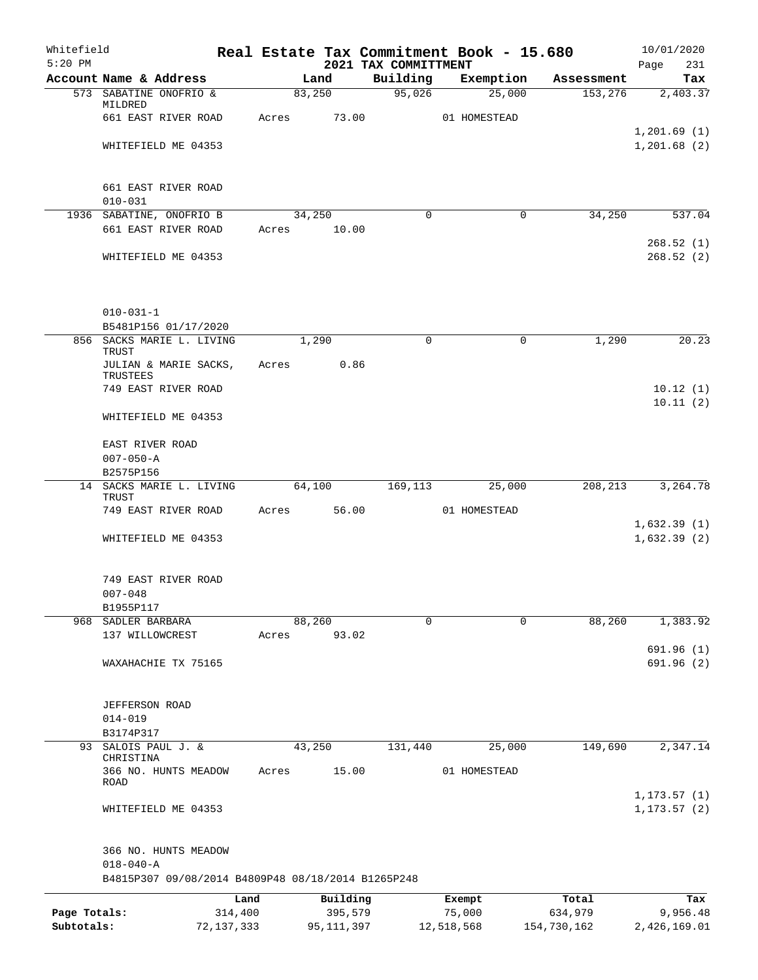| Whitefield<br>$5:20$ PM    |                                                    |                         |       |                         | Real Estate Tax Commitment Book - 15.680 |                      |             |                        | 10/01/2020                   |
|----------------------------|----------------------------------------------------|-------------------------|-------|-------------------------|------------------------------------------|----------------------|-------------|------------------------|------------------------------|
|                            | Account Name & Address                             |                         |       | Land                    | 2021 TAX COMMITTMENT<br>Building         | Exemption            |             | Assessment             | Page<br>231<br>Tax           |
|                            | 573 SABATINE ONOFRIO &                             |                         |       | 83,250                  | 95,026                                   |                      | 25,000      | 153,276                | 2,403.37                     |
|                            | MILDRED<br>661 EAST RIVER ROAD                     |                         | Acres | 73.00                   |                                          | 01 HOMESTEAD         |             |                        |                              |
|                            |                                                    |                         |       |                         |                                          |                      |             |                        | 1, 201.69(1)                 |
|                            | WHITEFIELD ME 04353                                |                         |       |                         |                                          |                      |             |                        | 1,201.68(2)                  |
|                            | 661 EAST RIVER ROAD                                |                         |       |                         |                                          |                      |             |                        |                              |
|                            | $010 - 031$                                        |                         |       |                         |                                          |                      |             |                        |                              |
|                            | 1936 SABATINE, ONOFRIO B                           |                         |       | 34,250                  | $\Omega$                                 |                      | $\mathbf 0$ | 34,250                 | 537.04                       |
|                            | 661 EAST RIVER ROAD                                |                         | Acres | 10.00                   |                                          |                      |             |                        | 268.52(1)                    |
|                            | WHITEFIELD ME 04353                                |                         |       |                         |                                          |                      |             |                        | 268.52(2)                    |
|                            | $010 - 031 - 1$                                    |                         |       |                         |                                          |                      |             |                        |                              |
|                            | B5481P156 01/17/2020                               |                         |       |                         |                                          |                      |             |                        |                              |
|                            | 856 SACKS MARIE L. LIVING<br>TRUST                 |                         |       | 1,290                   | $\mathbf 0$                              |                      | 0           | 1,290                  | 20.23                        |
|                            | JULIAN & MARIE SACKS,<br>TRUSTEES                  |                         | Acres | 0.86                    |                                          |                      |             |                        |                              |
|                            | 749 EAST RIVER ROAD                                |                         |       |                         |                                          |                      |             |                        | 10.12(1)<br>10.11(2)         |
|                            | WHITEFIELD ME 04353                                |                         |       |                         |                                          |                      |             |                        |                              |
|                            | EAST RIVER ROAD                                    |                         |       |                         |                                          |                      |             |                        |                              |
|                            | $007 - 050 - A$                                    |                         |       |                         |                                          |                      |             |                        |                              |
|                            | B2575P156                                          |                         |       |                         |                                          |                      |             |                        |                              |
|                            | 14 SACKS MARIE L. LIVING<br>TRUST                  |                         |       | 64,100                  | 169,113                                  |                      | 25,000      | 208,213                | 3,264.78                     |
|                            | 749 EAST RIVER ROAD                                |                         | Acres | 56.00                   |                                          | 01 HOMESTEAD         |             |                        |                              |
|                            | WHITEFIELD ME 04353                                |                         |       |                         |                                          |                      |             |                        | 1,632.39(1)<br>1,632.39(2)   |
|                            | 749 EAST RIVER ROAD                                |                         |       |                         |                                          |                      |             |                        |                              |
|                            | $007 - 048$                                        |                         |       |                         |                                          |                      |             |                        |                              |
|                            | B1955P117                                          |                         |       |                         |                                          |                      |             |                        |                              |
| 968                        | SADLER BARBARA                                     |                         |       | 88,260<br>93.02         | 0                                        |                      | $\Omega$    | 88,260                 | 1,383.92                     |
|                            | 137 WILLOWCREST                                    |                         | Acres |                         |                                          |                      |             |                        | 691.96 (1)                   |
|                            | WAXAHACHIE TX 75165                                |                         |       |                         |                                          |                      |             |                        | 691.96(2)                    |
|                            | <b>JEFFERSON ROAD</b>                              |                         |       |                         |                                          |                      |             |                        |                              |
|                            | $014 - 019$                                        |                         |       |                         |                                          |                      |             |                        |                              |
| 93                         | B3174P317<br>SALOIS PAUL J. &                      |                         |       | 43,250                  | 131,440                                  |                      | 25,000      | 149,690                | 2,347.14                     |
|                            | CHRISTINA                                          |                         |       | 15.00                   |                                          | 01 HOMESTEAD         |             |                        |                              |
|                            | 366 NO. HUNTS MEADOW<br>ROAD                       |                         | Acres |                         |                                          |                      |             |                        |                              |
|                            | WHITEFIELD ME 04353                                |                         |       |                         |                                          |                      |             |                        | 1, 173.57(1)<br>1, 173.57(2) |
|                            | 366 NO. HUNTS MEADOW<br>$018 - 040 - A$            |                         |       |                         |                                          |                      |             |                        |                              |
|                            | B4815P307 09/08/2014 B4809P48 08/18/2014 B1265P248 |                         |       |                         |                                          |                      |             |                        |                              |
|                            |                                                    | Land                    |       | Building                |                                          | Exempt               |             | Total                  | Tax                          |
| Page Totals:<br>Subtotals: |                                                    | 314,400<br>72, 137, 333 |       | 395,579<br>95, 111, 397 |                                          | 75,000<br>12,518,568 |             | 634,979<br>154,730,162 | 9,956.48<br>2,426,169.01     |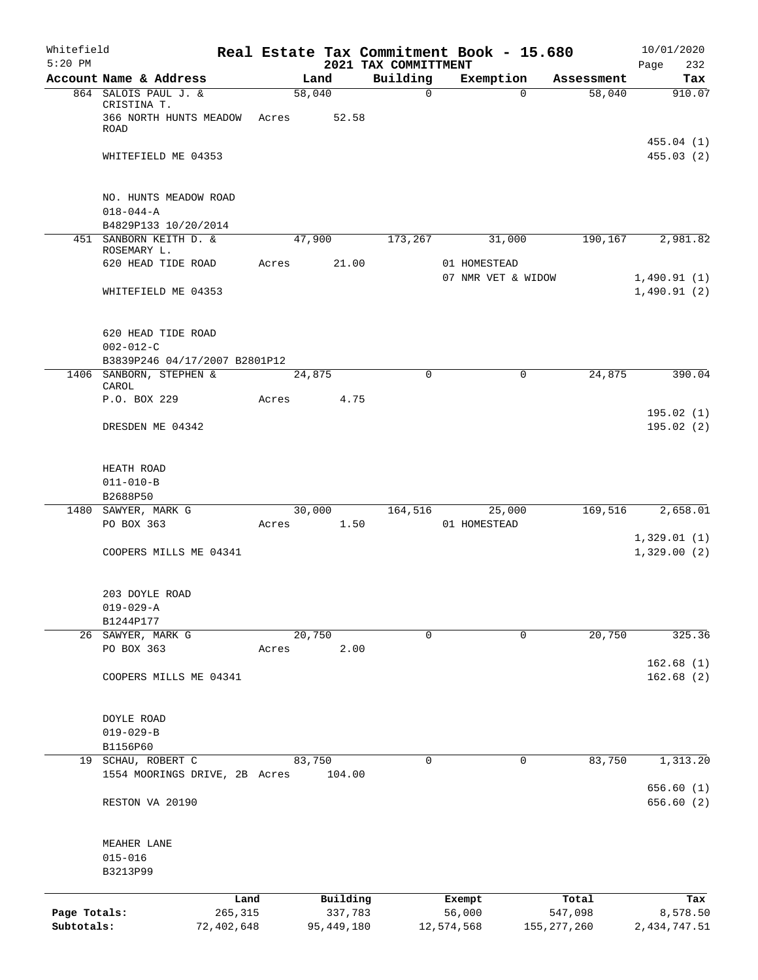| Whitefield<br>$5:20$ PM    |                                                                     |                       |       |        |                       | Real Estate Tax Commitment Book - 15.680<br>2021 TAX COMMITTMENT |                      |             |                          | 10/01/2020<br>Page<br>232  |
|----------------------------|---------------------------------------------------------------------|-----------------------|-------|--------|-----------------------|------------------------------------------------------------------|----------------------|-------------|--------------------------|----------------------------|
|                            | Account Name & Address                                              |                       |       | Land   |                       | Building                                                         | Exemption            |             | Assessment               | Tax                        |
|                            | 864 SALOIS PAUL J. &<br>CRISTINA T.<br>366 NORTH HUNTS MEADOW Acres |                       |       | 58,040 | 52.58                 | $\mathbf 0$                                                      |                      | $\Omega$    | 58,040                   | 910.07                     |
|                            | ROAD<br>WHITEFIELD ME 04353                                         |                       |       |        |                       |                                                                  |                      |             |                          | 455.04 (1)<br>455.03 (2)   |
|                            |                                                                     |                       |       |        |                       |                                                                  |                      |             |                          |                            |
|                            | NO. HUNTS MEADOW ROAD<br>$018 - 044 - A$                            |                       |       |        |                       |                                                                  |                      |             |                          |                            |
|                            | B4829P133 10/20/2014<br>451 SANBORN KEITH D. &                      |                       |       | 47,900 |                       | 173,267                                                          |                      | 31,000      | 190,167                  | 2,981.82                   |
|                            | ROSEMARY L.<br>620 HEAD TIDE ROAD                                   |                       | Acres |        | 21.00                 |                                                                  | 01 HOMESTEAD         |             |                          |                            |
|                            | WHITEFIELD ME 04353                                                 |                       |       |        |                       |                                                                  | 07 NMR VET & WIDOW   |             |                          | 1,490.91(1)<br>1,490.91(2) |
|                            | 620 HEAD TIDE ROAD<br>$002 - 012 - C$                               |                       |       |        |                       |                                                                  |                      |             |                          |                            |
|                            | B3839P246 04/17/2007 B2801P12                                       |                       |       |        |                       |                                                                  |                      |             |                          |                            |
|                            | 1406 SANBORN, STEPHEN &<br>CAROL                                    |                       |       | 24,875 |                       | $\mathbf 0$                                                      |                      | $\mathbf 0$ | 24,875                   | 390.04                     |
|                            | P.O. BOX 229<br>DRESDEN ME 04342                                    |                       | Acres |        | 4.75                  |                                                                  |                      |             |                          | 195.02(1)<br>195.02(2)     |
|                            |                                                                     |                       |       |        |                       |                                                                  |                      |             |                          |                            |
|                            | HEATH ROAD                                                          |                       |       |        |                       |                                                                  |                      |             |                          |                            |
|                            | $011 - 010 - B$                                                     |                       |       |        |                       |                                                                  |                      |             |                          |                            |
|                            | B2688P50<br>1480 SAWYER, MARK G                                     |                       |       | 30,000 |                       | 164,516                                                          |                      | 25,000      | 169,516                  | 2,658.01                   |
|                            | PO BOX 363                                                          |                       | Acres |        | 1.50                  |                                                                  | 01 HOMESTEAD         |             |                          |                            |
|                            | COOPERS MILLS ME 04341                                              |                       |       |        |                       |                                                                  |                      |             |                          | 1,329.01(1)<br>1,329.00(2) |
|                            |                                                                     |                       |       |        |                       |                                                                  |                      |             |                          |                            |
|                            | 203 DOYLE ROAD                                                      |                       |       |        |                       |                                                                  |                      |             |                          |                            |
|                            | $019 - 029 - A$<br>B1244P177                                        |                       |       |        |                       |                                                                  |                      |             |                          |                            |
|                            | 26 SAWYER, MARK G                                                   |                       |       | 20,750 |                       | 0                                                                |                      | 0           | 20,750                   | 325.36                     |
|                            | PO BOX 363                                                          |                       | Acres |        | 2.00                  |                                                                  |                      |             |                          |                            |
|                            | COOPERS MILLS ME 04341                                              |                       |       |        |                       |                                                                  |                      |             |                          | 162.68(1)<br>162.68(2)     |
|                            | DOYLE ROAD                                                          |                       |       |        |                       |                                                                  |                      |             |                          |                            |
|                            | $019 - 029 - B$                                                     |                       |       |        |                       |                                                                  |                      |             |                          |                            |
|                            | B1156P60                                                            |                       |       |        |                       | 0                                                                |                      |             | 83,750                   |                            |
|                            | 19 SCHAU, ROBERT C<br>1554 MOORINGS DRIVE, 2B Acres                 |                       |       | 83,750 | 104.00                |                                                                  |                      | 0           |                          | 1,313.20<br>656.60(1)      |
|                            | RESTON VA 20190                                                     |                       |       |        |                       |                                                                  |                      |             |                          | 656.60(2)                  |
|                            | MEAHER LANE                                                         |                       |       |        |                       |                                                                  |                      |             |                          |                            |
|                            | $015 - 016$<br>B3213P99                                             |                       |       |        |                       |                                                                  |                      |             |                          |                            |
|                            |                                                                     | Land                  |       |        | Building              |                                                                  | Exempt               |             | Total                    | Tax                        |
| Page Totals:<br>Subtotals: |                                                                     | 265,315<br>72,402,648 |       |        | 337,783<br>95,449,180 |                                                                  | 56,000<br>12,574,568 |             | 547,098<br>155, 277, 260 | 8,578.50<br>2,434,747.51   |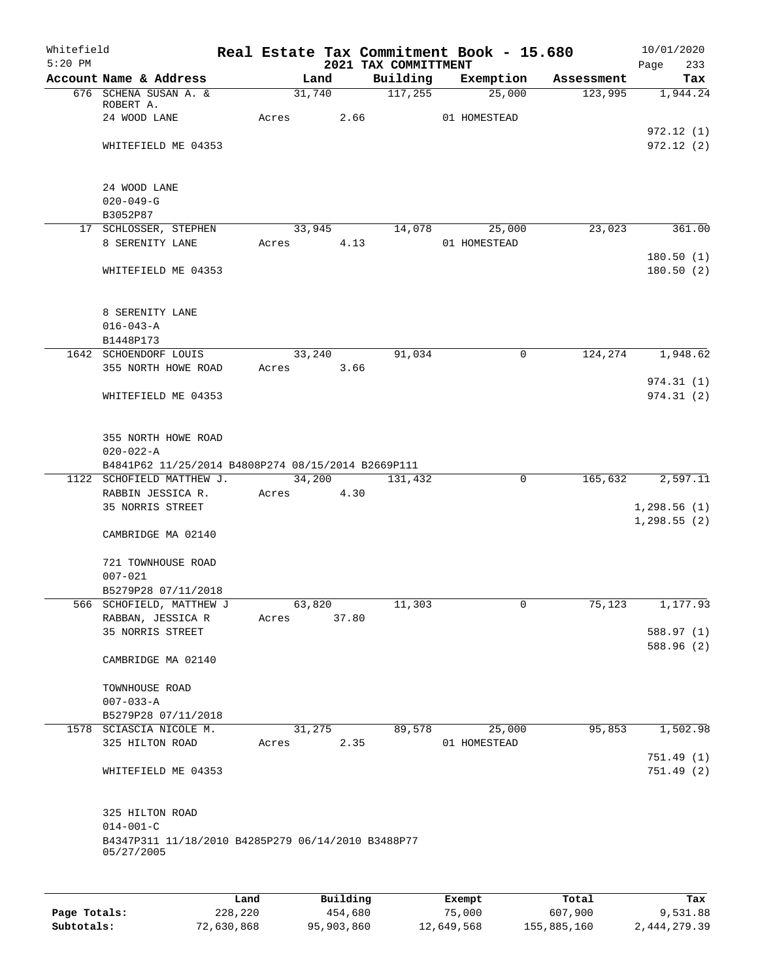| Whitefield<br>$5:20$ PM |                                                                       |       |                | 2021 TAX COMMITTMENT | Real Estate Tax Commitment Book - 15.680 |            | 10/01/2020<br>233<br>Page |
|-------------------------|-----------------------------------------------------------------------|-------|----------------|----------------------|------------------------------------------|------------|---------------------------|
|                         | Account Name & Address                                                |       | Land           | Building             | Exemption                                | Assessment | Tax                       |
|                         | 676 SCHENA SUSAN A. &                                                 |       | 31,740         | 117,255              | 25,000                                   | 123,995    | 1,944.24                  |
|                         | ROBERT A.                                                             |       |                |                      |                                          |            |                           |
|                         | 24 WOOD LANE                                                          | Acres | 2.66           |                      | 01 HOMESTEAD                             |            | 972.12(1)                 |
|                         | WHITEFIELD ME 04353                                                   |       |                |                      |                                          |            | 972.12(2)                 |
|                         |                                                                       |       |                |                      |                                          |            |                           |
|                         |                                                                       |       |                |                      |                                          |            |                           |
|                         | 24 WOOD LANE                                                          |       |                |                      |                                          |            |                           |
|                         | $020 - 049 - G$                                                       |       |                |                      |                                          |            |                           |
|                         | B3052P87                                                              |       |                |                      |                                          |            |                           |
|                         | 17 SCHLOSSER, STEPHEN<br>8 SERENITY LANE                              | Acres | 33,945<br>4.13 | 14,078               | 25,000<br>01 HOMESTEAD                   | 23,023     | 361.00                    |
|                         |                                                                       |       |                |                      |                                          |            | 180.50(1)                 |
|                         | WHITEFIELD ME 04353                                                   |       |                |                      |                                          |            | 180.50(2)                 |
|                         |                                                                       |       |                |                      |                                          |            |                           |
|                         |                                                                       |       |                |                      |                                          |            |                           |
|                         | 8 SERENITY LANE                                                       |       |                |                      |                                          |            |                           |
|                         | $016 - 043 - A$                                                       |       |                |                      |                                          |            |                           |
|                         | B1448P173<br>1642 SCHOENDORF LOUIS                                    |       | 33,240         | 91,034               | $\mathsf{O}$                             | 124,274    | 1,948.62                  |
|                         | 355 NORTH HOWE ROAD                                                   | Acres | 3.66           |                      |                                          |            |                           |
|                         |                                                                       |       |                |                      |                                          |            | 974.31(1)                 |
|                         | WHITEFIELD ME 04353                                                   |       |                |                      |                                          |            | 974.31(2)                 |
|                         |                                                                       |       |                |                      |                                          |            |                           |
|                         |                                                                       |       |                |                      |                                          |            |                           |
|                         | 355 NORTH HOWE ROAD                                                   |       |                |                      |                                          |            |                           |
|                         | $020 - 022 - A$<br>B4841P62 11/25/2014 B4808P274 08/15/2014 B2669P111 |       |                |                      |                                          |            |                           |
|                         | 1122 SCHOFIELD MATTHEW J.                                             |       | 34,200         | 131,432              | $\mathbf 0$                              | 165,632    | 2,597.11                  |
|                         | RABBIN JESSICA R.                                                     | Acres | 4.30           |                      |                                          |            |                           |
|                         | 35 NORRIS STREET                                                      |       |                |                      |                                          |            | 1,298.56(1)               |
|                         |                                                                       |       |                |                      |                                          |            | 1, 298.55(2)              |
|                         | CAMBRIDGE MA 02140                                                    |       |                |                      |                                          |            |                           |
|                         | 721 TOWNHOUSE ROAD                                                    |       |                |                      |                                          |            |                           |
|                         | $007 - 021$                                                           |       |                |                      |                                          |            |                           |
|                         | B5279P28 07/11/2018                                                   |       |                |                      |                                          |            |                           |
|                         | 566 SCHOFIELD, MATTHEW J                                              |       | 63,820         | 11,303               | 0                                        | 75,123     | 1,177.93                  |
|                         | RABBAN, JESSICA R                                                     | Acres | 37.80          |                      |                                          |            |                           |
|                         | 35 NORRIS STREET                                                      |       |                |                      |                                          |            | 588.97 (1)                |
|                         |                                                                       |       |                |                      |                                          |            | 588.96 (2)                |
|                         | CAMBRIDGE MA 02140                                                    |       |                |                      |                                          |            |                           |
|                         | TOWNHOUSE ROAD                                                        |       |                |                      |                                          |            |                           |
|                         | $007 - 033 - A$                                                       |       |                |                      |                                          |            |                           |
|                         | B5279P28 07/11/2018                                                   |       |                |                      |                                          |            |                           |
|                         | 1578 SCIASCIA NICOLE M.                                               |       | 31,275         | 89,578               | 25,000                                   | 95,853     | 1,502.98                  |
|                         | 325 HILTON ROAD                                                       | Acres | 2.35           |                      | 01 HOMESTEAD                             |            |                           |
|                         | WHITEFIELD ME 04353                                                   |       |                |                      |                                          |            | 751.49(1)<br>751.49(2)    |
|                         |                                                                       |       |                |                      |                                          |            |                           |
|                         |                                                                       |       |                |                      |                                          |            |                           |
|                         | 325 HILTON ROAD                                                       |       |                |                      |                                          |            |                           |
|                         | $014 - 001 - C$                                                       |       |                |                      |                                          |            |                           |
|                         | B4347P311 11/18/2010 B4285P279 06/14/2010 B3488P77<br>05/27/2005      |       |                |                      |                                          |            |                           |
|                         |                                                                       |       |                |                      |                                          |            |                           |
|                         |                                                                       |       |                |                      |                                          |            |                           |
|                         |                                                                       | Land  | Building       |                      | Exempt                                   | Total      | Tax                       |

**Page Totals:** 228,220 454,680 75,000 607,900 9,531.88 **Subtotals:** 72,630,868 95,903,860 12,649,568 155,885,160 2,444,279.39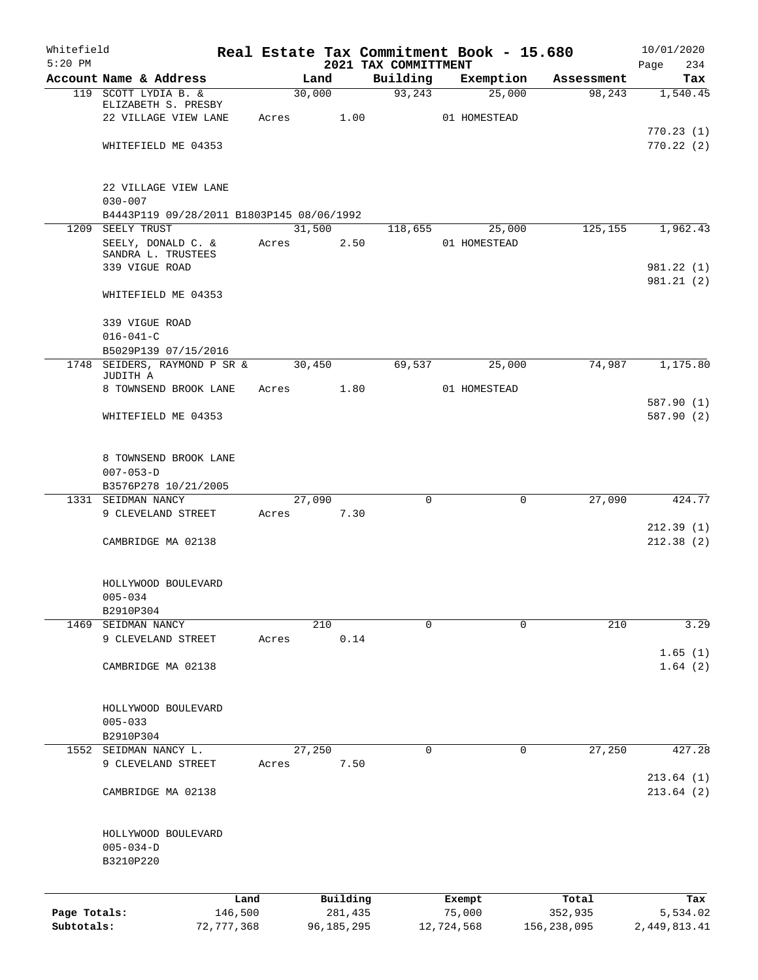| Whitefield                 |                                           |              |       |        |                       |                                  | Real Estate Tax Commitment Book - 15.680 |                        | 10/01/2020               |
|----------------------------|-------------------------------------------|--------------|-------|--------|-----------------------|----------------------------------|------------------------------------------|------------------------|--------------------------|
| $5:20$ PM                  | Account Name & Address                    |              |       | Land   |                       | 2021 TAX COMMITTMENT<br>Building | Exemption                                | Assessment             | Page<br>234<br>Tax       |
|                            | 119 SCOTT LYDIA B. &                      |              |       | 30,000 |                       | 93,243                           | 25,000                                   | 98, 243                | 1,540.45                 |
|                            | ELIZABETH S. PRESBY                       |              |       |        |                       |                                  |                                          |                        |                          |
|                            | 22 VILLAGE VIEW LANE                      |              | Acres |        | 1.00                  |                                  | 01 HOMESTEAD                             |                        |                          |
|                            | WHITEFIELD ME 04353                       |              |       |        |                       |                                  |                                          |                        | 770.23(1)<br>770.22(2)   |
|                            |                                           |              |       |        |                       |                                  |                                          |                        |                          |
|                            | 22 VILLAGE VIEW LANE                      |              |       |        |                       |                                  |                                          |                        |                          |
|                            | $030 - 007$                               |              |       |        |                       |                                  |                                          |                        |                          |
|                            | B4443P119 09/28/2011 B1803P145 08/06/1992 |              |       |        |                       |                                  |                                          |                        |                          |
|                            | 1209 SEELY TRUST                          |              |       | 31,500 |                       | 118,655                          | 25,000                                   | 125,155                | 1,962.43                 |
|                            | SEELY, DONALD C. &<br>SANDRA L. TRUSTEES  |              | Acres |        | 2.50                  |                                  | 01 HOMESTEAD                             |                        |                          |
|                            | 339 VIGUE ROAD                            |              |       |        |                       |                                  |                                          |                        | 981.22 (1)               |
|                            |                                           |              |       |        |                       |                                  |                                          |                        | 981.21(2)                |
|                            | WHITEFIELD ME 04353                       |              |       |        |                       |                                  |                                          |                        |                          |
|                            | 339 VIGUE ROAD                            |              |       |        |                       |                                  |                                          |                        |                          |
|                            | $016 - 041 - C$                           |              |       |        |                       |                                  |                                          |                        |                          |
|                            | B5029P139 07/15/2016                      |              |       |        |                       |                                  |                                          |                        |                          |
|                            | 1748 SEIDERS, RAYMOND P SR &<br>JUDITH A  |              |       | 30,450 |                       | 69,537                           | 25,000                                   | 74,987                 | 1,175.80                 |
|                            | 8 TOWNSEND BROOK LANE                     |              | Acres |        | 1.80                  |                                  | 01 HOMESTEAD                             |                        |                          |
|                            | WHITEFIELD ME 04353                       |              |       |        |                       |                                  |                                          |                        | 587.90 (1)<br>587.90 (2) |
|                            |                                           |              |       |        |                       |                                  |                                          |                        |                          |
|                            | 8 TOWNSEND BROOK LANE                     |              |       |        |                       |                                  |                                          |                        |                          |
|                            | $007 - 053 - D$                           |              |       |        |                       |                                  |                                          |                        |                          |
|                            | B3576P278 10/21/2005                      |              |       |        |                       |                                  |                                          |                        |                          |
|                            | 1331 SEIDMAN NANCY                        |              |       | 27,090 |                       | $\Omega$                         | $\mathbf 0$                              | 27,090                 | 424.77                   |
|                            | 9 CLEVELAND STREET                        |              | Acres |        | 7.30                  |                                  |                                          |                        |                          |
|                            | CAMBRIDGE MA 02138                        |              |       |        |                       |                                  |                                          |                        | 212.39(1)<br>212.38(2)   |
|                            |                                           |              |       |        |                       |                                  |                                          |                        |                          |
|                            | HOLLYWOOD BOULEVARD                       |              |       |        |                       |                                  |                                          |                        |                          |
|                            | $005 - 034$                               |              |       |        |                       |                                  |                                          |                        |                          |
|                            | B2910P304                                 |              |       |        |                       |                                  |                                          |                        |                          |
|                            | 1469 SEIDMAN NANCY                        |              |       | 210    |                       | $\Omega$                         | $\Omega$                                 | 210                    | 3.29                     |
|                            | 9 CLEVELAND STREET                        |              | Acres |        | 0.14                  |                                  |                                          |                        | 1.65(1)                  |
|                            | CAMBRIDGE MA 02138                        |              |       |        |                       |                                  |                                          |                        | 1.64(2)                  |
|                            |                                           |              |       |        |                       |                                  |                                          |                        |                          |
|                            | HOLLYWOOD BOULEVARD                       |              |       |        |                       |                                  |                                          |                        |                          |
|                            | $005 - 033$                               |              |       |        |                       |                                  |                                          |                        |                          |
|                            | B2910P304                                 |              |       |        |                       |                                  |                                          |                        |                          |
|                            | 1552 SEIDMAN NANCY L.                     |              |       | 27,250 |                       | 0                                | 0                                        | 27,250                 | 427.28                   |
|                            | 9 CLEVELAND STREET                        |              | Acres |        | 7.50                  |                                  |                                          |                        |                          |
|                            |                                           |              |       |        |                       |                                  |                                          |                        | 213.64(1)                |
|                            | CAMBRIDGE MA 02138                        |              |       |        |                       |                                  |                                          |                        | 213.64(2)                |
|                            | HOLLYWOOD BOULEVARD                       |              |       |        |                       |                                  |                                          |                        |                          |
|                            | $005 - 034 - D$                           |              |       |        |                       |                                  |                                          |                        |                          |
|                            | B3210P220                                 |              |       |        |                       |                                  |                                          |                        |                          |
|                            |                                           |              |       |        |                       |                                  |                                          |                        |                          |
|                            |                                           | Land         |       |        | Building              |                                  | Exempt                                   | Total                  | Tax                      |
| Page Totals:<br>Subtotals: |                                           | 146,500      |       |        | 281,435<br>96,185,295 |                                  | 75,000<br>12,724,568                     | 352,935<br>156,238,095 | 5,534.02<br>2,449,813.41 |
|                            |                                           | 72, 777, 368 |       |        |                       |                                  |                                          |                        |                          |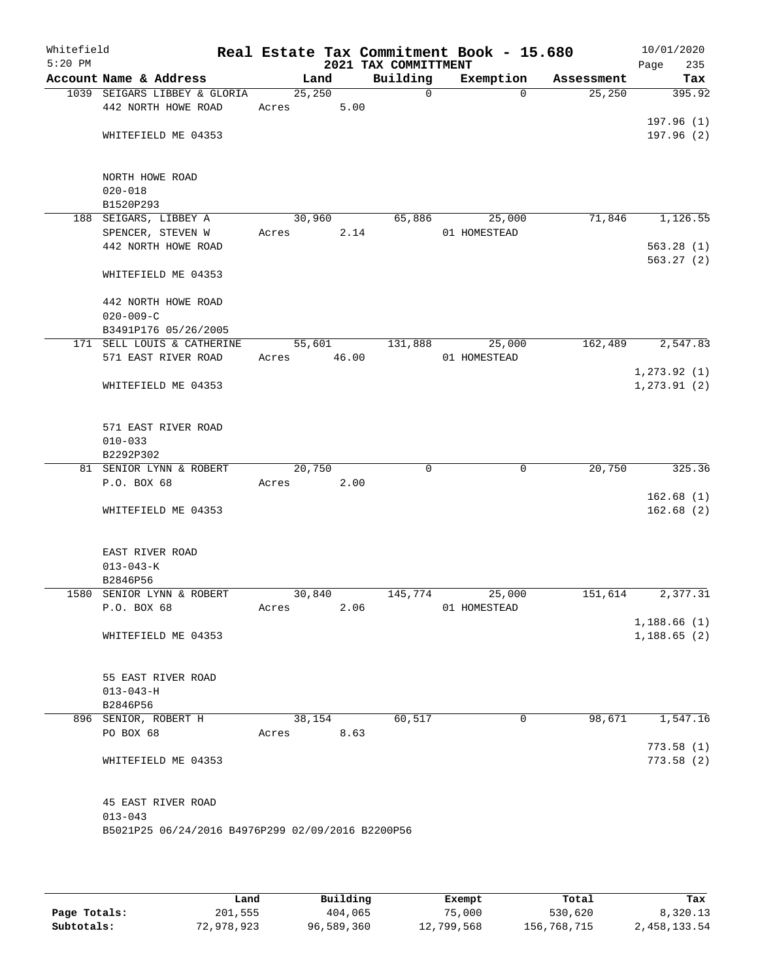| Whitefield<br>$5:20$ PM |                                                   |             |        | 2021 TAX COMMITTMENT | Real Estate Tax Commitment Book - 15.680 |            | 10/01/2020<br>Page<br>235 |
|-------------------------|---------------------------------------------------|-------------|--------|----------------------|------------------------------------------|------------|---------------------------|
|                         | Account Name & Address                            |             | Land   | Building             | Exemption                                | Assessment | Tax                       |
|                         | 1039 SEIGARS LIBBEY & GLORIA                      | 25,250      |        | $\Omega$             | $\Omega$                                 | 25,250     | 395.92                    |
|                         | 442 NORTH HOWE ROAD                               | Acres       | 5.00   |                      |                                          |            |                           |
|                         |                                                   |             |        |                      |                                          |            | 197.96(1)                 |
|                         | WHITEFIELD ME 04353                               |             |        |                      |                                          |            | 197.96(2)                 |
|                         |                                                   |             |        |                      |                                          |            |                           |
|                         |                                                   |             |        |                      |                                          |            |                           |
|                         | NORTH HOWE ROAD<br>$020 - 018$                    |             |        |                      |                                          |            |                           |
|                         | B1520P293                                         |             |        |                      |                                          |            |                           |
|                         | 188 SEIGARS, LIBBEY A                             | 30,960      |        | 65,886               | 25,000                                   | 71,846     | 1,126.55                  |
|                         | SPENCER, STEVEN W                                 | Acres       |        | 2.14                 | 01 HOMESTEAD                             |            |                           |
|                         | 442 NORTH HOWE ROAD                               |             |        |                      |                                          |            | 563.28(1)                 |
|                         |                                                   |             |        |                      |                                          |            | 563.27(2)                 |
|                         | WHITEFIELD ME 04353                               |             |        |                      |                                          |            |                           |
|                         | 442 NORTH HOWE ROAD                               |             |        |                      |                                          |            |                           |
|                         | $020 - 009 - C$                                   |             |        |                      |                                          |            |                           |
|                         | B3491P176 05/26/2005                              |             |        |                      |                                          |            |                           |
|                         | 171 SELL LOUIS & CATHERINE                        |             | 55,601 | 131,888              | 25,000                                   | 162,489    | 2,547.83                  |
|                         | 571 EAST RIVER ROAD                               | Acres 46.00 |        |                      | 01 HOMESTEAD                             |            |                           |
|                         |                                                   |             |        |                      |                                          |            | 1, 273.92(1)              |
|                         | WHITEFIELD ME 04353                               |             |        |                      |                                          |            | 1, 273.91(2)              |
|                         |                                                   |             |        |                      |                                          |            |                           |
|                         | 571 EAST RIVER ROAD                               |             |        |                      |                                          |            |                           |
|                         | $010 - 033$                                       |             |        |                      |                                          |            |                           |
|                         | B2292P302                                         |             |        |                      |                                          |            |                           |
|                         | 81 SENIOR LYNN & ROBERT                           | 20,750      |        | 0                    | 0                                        | 20,750     | 325.36                    |
|                         | P.O. BOX 68                                       | Acres       | 2.00   |                      |                                          |            |                           |
|                         |                                                   |             |        |                      |                                          |            | 162.68(1)                 |
|                         | WHITEFIELD ME 04353                               |             |        |                      |                                          |            | 162.68(2)                 |
|                         |                                                   |             |        |                      |                                          |            |                           |
|                         | EAST RIVER ROAD                                   |             |        |                      |                                          |            |                           |
|                         | $013 - 043 - K$<br>B2846P56                       |             |        |                      |                                          |            |                           |
|                         | 1580 SENIOR LYNN & ROBERT                         | 30,840      |        | 145,774              | 25,000                                   | 151,614    | 2,377.31                  |
|                         | P.O. BOX 68                                       | Acres       | 2.06   |                      | 01 HOMESTEAD                             |            |                           |
|                         |                                                   |             |        |                      |                                          |            | 1,188.66(1)               |
|                         | WHITEFIELD ME 04353                               |             |        |                      |                                          |            | 1,188.65(2)               |
|                         |                                                   |             |        |                      |                                          |            |                           |
|                         |                                                   |             |        |                      |                                          |            |                           |
|                         | 55 EAST RIVER ROAD                                |             |        |                      |                                          |            |                           |
|                         | $013 - 043 - H$<br>B2846P56                       |             |        |                      |                                          |            |                           |
|                         | 896 SENIOR, ROBERT H                              |             | 38,154 | 60,517               | $\mathsf{O}$                             | 98,671     | 1,547.16                  |
|                         | PO BOX 68                                         | Acres       | 8.63   |                      |                                          |            |                           |
|                         |                                                   |             |        |                      |                                          |            | 773.58(1)                 |
|                         | WHITEFIELD ME 04353                               |             |        |                      |                                          |            | 773.58(2)                 |
|                         |                                                   |             |        |                      |                                          |            |                           |
|                         | 45 EAST RIVER ROAD                                |             |        |                      |                                          |            |                           |
|                         | $013 - 043$                                       |             |        |                      |                                          |            |                           |
|                         | B5021P25 06/24/2016 B4976P299 02/09/2016 B2200P56 |             |        |                      |                                          |            |                           |
|                         |                                                   |             |        |                      |                                          |            |                           |
|                         |                                                   |             |        |                      |                                          |            |                           |

|              | Land       | Building   | Exempt     | Total       | Tax          |
|--------------|------------|------------|------------|-------------|--------------|
| Page Totals: | 201,555    | 404,065    | 75,000     | 530,620     | 8,320.13     |
| Subtotals:   | 72,978,923 | 96,589,360 | 12,799,568 | 156,768,715 | 2,458,133.54 |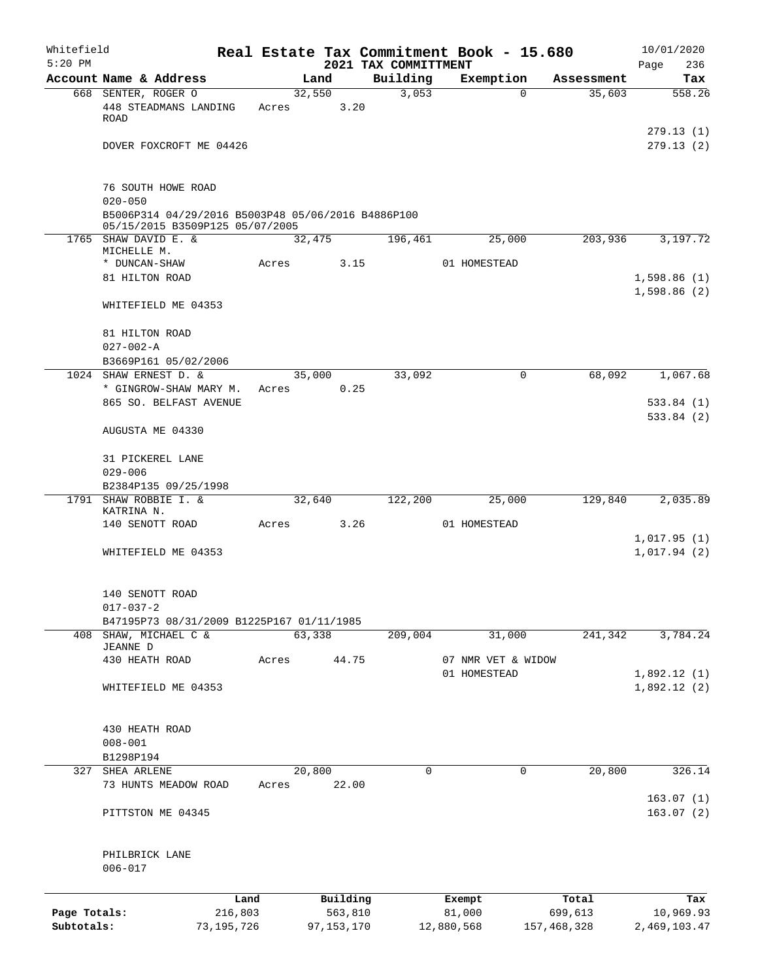| Whitefield<br>$5:20$ PM |                                                                                       |         |       |          | 2021 TAX COMMITTMENT |         | Real Estate Tax Commitment Book - 15.680 |            | 10/01/2020<br>Page<br>236  |
|-------------------------|---------------------------------------------------------------------------------------|---------|-------|----------|----------------------|---------|------------------------------------------|------------|----------------------------|
|                         | Account Name & Address                                                                |         |       | Land     | Building             |         | Exemption                                | Assessment | Tax                        |
|                         | 668 SENTER, ROGER O                                                                   |         |       | 32,550   |                      | 3,053   | $\mathbf 0$                              | 35,603     | 558.26                     |
|                         | 448 STEADMANS LANDING<br>ROAD                                                         |         | Acres | 3.20     |                      |         |                                          |            |                            |
|                         | DOVER FOXCROFT ME 04426                                                               |         |       |          |                      |         |                                          |            | 279.13(1)<br>279.13(2)     |
|                         |                                                                                       |         |       |          |                      |         |                                          |            |                            |
|                         | 76 SOUTH HOWE ROAD<br>$020 - 050$                                                     |         |       |          |                      |         |                                          |            |                            |
|                         | B5006P314 04/29/2016 B5003P48 05/06/2016 B4886P100<br>05/15/2015 B3509P125 05/07/2005 |         |       |          |                      |         |                                          |            |                            |
|                         | 1765 SHAW DAVID E. &<br>MICHELLE M.                                                   |         |       | 32,475   | 196,461              |         | 25,000                                   | 203,936    | 3,197.72                   |
|                         | * DUNCAN-SHAW                                                                         |         | Acres | 3.15     |                      |         | 01 HOMESTEAD                             |            |                            |
|                         | 81 HILTON ROAD                                                                        |         |       |          |                      |         |                                          |            | 1,598.86(1)<br>1,598.86(2) |
|                         | WHITEFIELD ME 04353                                                                   |         |       |          |                      |         |                                          |            |                            |
|                         | 81 HILTON ROAD                                                                        |         |       |          |                      |         |                                          |            |                            |
|                         | $027 - 002 - A$<br>B3669P161 05/02/2006                                               |         |       |          |                      |         |                                          |            |                            |
|                         | 1024 SHAW ERNEST D. &                                                                 |         |       | 35,000   |                      | 33,092  | 0                                        | 68,092     | 1,067.68                   |
|                         | * GINGROW-SHAW MARY M.                                                                |         | Acres | 0.25     |                      |         |                                          |            |                            |
|                         | 865 SO. BELFAST AVENUE                                                                |         |       |          |                      |         |                                          |            | 533.84(1)<br>533.84 (2)    |
|                         | AUGUSTA ME 04330                                                                      |         |       |          |                      |         |                                          |            |                            |
|                         | 31 PICKEREL LANE                                                                      |         |       |          |                      |         |                                          |            |                            |
|                         | $029 - 006$                                                                           |         |       |          |                      |         |                                          |            |                            |
|                         | B2384P135 09/25/1998                                                                  |         |       |          |                      |         |                                          |            |                            |
|                         | 1791 SHAW ROBBIE I. &<br>KATRINA N.                                                   |         |       | 32,640   | 122,200              |         | 25,000                                   | 129,840    | 2,035.89                   |
|                         | 140 SENOTT ROAD                                                                       |         | Acres | 3.26     |                      |         | 01 HOMESTEAD                             |            | 1,017.95(1)                |
|                         | WHITEFIELD ME 04353                                                                   |         |       |          |                      |         |                                          |            | 1,017.94(2)                |
|                         | 140 SENOTT ROAD                                                                       |         |       |          |                      |         |                                          |            |                            |
|                         | $017 - 037 - 2$                                                                       |         |       |          |                      |         |                                          |            |                            |
|                         | B47195P73 08/31/2009 B1225P167 01/11/1985                                             |         |       |          |                      |         |                                          |            |                            |
| 408                     | SHAW, MICHAEL C &<br>JEANNE D                                                         |         |       | 63,338   |                      | 209,004 | 31,000                                   | 241,342    | 3,784.24                   |
|                         | 430 HEATH ROAD                                                                        |         | Acres | 44.75    |                      |         | 07 NMR VET & WIDOW                       |            |                            |
|                         | WHITEFIELD ME 04353                                                                   |         |       |          |                      |         | 01 HOMESTEAD                             |            | 1,892.12(1)<br>1,892.12(2) |
|                         | 430 HEATH ROAD                                                                        |         |       |          |                      |         |                                          |            |                            |
|                         | $008 - 001$                                                                           |         |       |          |                      |         |                                          |            |                            |
|                         | B1298P194                                                                             |         |       |          |                      |         |                                          |            |                            |
| 327                     | SHEA ARLENE                                                                           |         |       | 20,800   |                      | 0       | $\mathbf 0$                              | 20,800     | 326.14                     |
|                         | 73 HUNTS MEADOW ROAD                                                                  |         | Acres | 22.00    |                      |         |                                          |            |                            |
|                         | PITTSTON ME 04345                                                                     |         |       |          |                      |         |                                          |            | 163.07(1)<br>163.07(2)     |
|                         | PHILBRICK LANE                                                                        |         |       |          |                      |         |                                          |            |                            |
|                         | $006 - 017$                                                                           |         |       |          |                      |         |                                          |            |                            |
|                         |                                                                                       | Land    |       | Building |                      |         | Exempt                                   | Total      | Tax                        |
| Page Totals:            |                                                                                       | 216,803 |       | 563,810  |                      |         | 81,000                                   | 699,613    | 10,969.93                  |

**Subtotals:** 73,195,726 97,153,170 12,880,568 157,468,328 2,469,103.47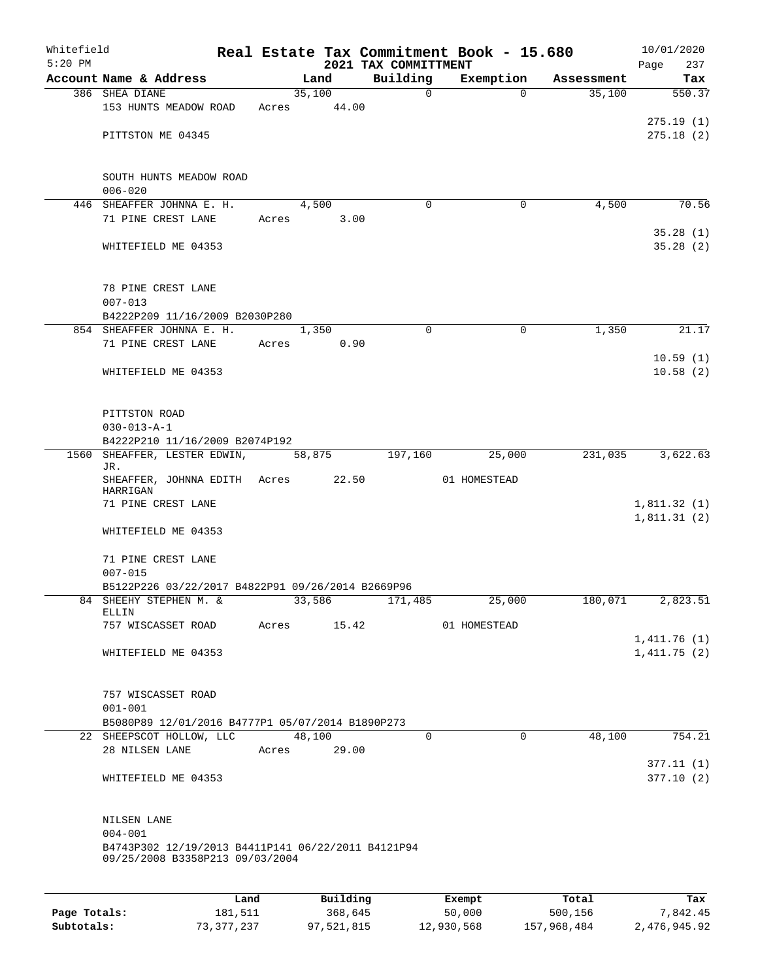| Whitefield<br>$5:20$ PM |                                                    |             |       |        | 2021 TAX COMMITTMENT | Real Estate Tax Commitment Book - 15.680 |            | 10/01/2020<br>Page<br>237 |
|-------------------------|----------------------------------------------------|-------------|-------|--------|----------------------|------------------------------------------|------------|---------------------------|
|                         | Account Name & Address                             |             |       | Land   | Building             | Exemption                                | Assessment | Tax                       |
|                         | 386 SHEA DIANE                                     |             |       | 35,100 | $\mathbf 0$          | $\Omega$                                 | 35,100     | 550.37                    |
|                         | 153 HUNTS MEADOW ROAD                              | Acres       |       | 44.00  |                      |                                          |            |                           |
|                         |                                                    |             |       |        |                      |                                          |            | 275.19(1)                 |
|                         | PITTSTON ME 04345                                  |             |       |        |                      |                                          |            | 275.18(2)                 |
|                         |                                                    |             |       |        |                      |                                          |            |                           |
|                         |                                                    |             |       |        |                      |                                          |            |                           |
|                         | SOUTH HUNTS MEADOW ROAD                            |             |       |        |                      |                                          |            |                           |
|                         | $006 - 020$                                        |             |       |        |                      |                                          |            |                           |
|                         | 446 SHEAFFER JOHNNA E. H.                          |             |       | 4,500  | $\Omega$             | $\Omega$                                 | 4,500      | 70.56                     |
|                         | 71 PINE CREST LANE                                 |             | Acres | 3.00   |                      |                                          |            |                           |
|                         |                                                    |             |       |        |                      |                                          |            | 35.28(1)                  |
|                         | WHITEFIELD ME 04353                                |             |       |        |                      |                                          |            | 35.28(2)                  |
|                         |                                                    |             |       |        |                      |                                          |            |                           |
|                         | 78 PINE CREST LANE                                 |             |       |        |                      |                                          |            |                           |
|                         | $007 - 013$                                        |             |       |        |                      |                                          |            |                           |
|                         | B4222P209 11/16/2009 B2030P280                     |             |       |        |                      |                                          |            |                           |
|                         | 854 SHEAFFER JOHNNA E. H.                          |             |       | 1,350  | $\Omega$             | 0                                        | 1,350      | 21.17                     |
|                         | 71 PINE CREST LANE                                 | Acres       |       | 0.90   |                      |                                          |            |                           |
|                         |                                                    |             |       |        |                      |                                          |            | 10.59(1)                  |
|                         | WHITEFIELD ME 04353                                |             |       |        |                      |                                          |            | 10.58(2)                  |
|                         |                                                    |             |       |        |                      |                                          |            |                           |
|                         |                                                    |             |       |        |                      |                                          |            |                           |
|                         | PITTSTON ROAD                                      |             |       |        |                      |                                          |            |                           |
|                         | $030 - 013 - A - 1$                                |             |       |        |                      |                                          |            |                           |
|                         | B4222P210 11/16/2009 B2074P192                     |             |       |        |                      |                                          |            |                           |
| 1560                    | SHEAFFER, LESTER EDWIN,<br>JR.                     |             |       | 58,875 | 197,160              | 25,000                                   | 231,035    | 3,622.63                  |
|                         | SHEAFFER, JOHNNA EDITH Acres                       |             |       | 22.50  |                      | 01 HOMESTEAD                             |            |                           |
|                         | HARRIGAN                                           |             |       |        |                      |                                          |            |                           |
|                         | 71 PINE CREST LANE                                 |             |       |        |                      |                                          |            | 1,811.32(1)               |
|                         |                                                    |             |       |        |                      |                                          |            | 1,811.31(2)               |
|                         | WHITEFIELD ME 04353                                |             |       |        |                      |                                          |            |                           |
|                         | 71 PINE CREST LANE                                 |             |       |        |                      |                                          |            |                           |
|                         | $007 - 015$                                        |             |       |        |                      |                                          |            |                           |
|                         | B5122P226 03/22/2017 B4822P91 09/26/2014 B2669P96  |             |       |        |                      |                                          |            |                           |
|                         | 84 SHEEHY STEPHEN M. &                             |             |       |        | 33,586 171,485       | 25,000                                   | 180,071    | 2,823.51                  |
|                         | ELLIN                                              |             |       |        |                      |                                          |            |                           |
|                         | 757 WISCASSET ROAD                                 | Acres 15.42 |       |        |                      | 01 HOMESTEAD                             |            |                           |
|                         |                                                    |             |       |        |                      |                                          |            | 1,411.76(1)               |
|                         | WHITEFIELD ME 04353                                |             |       |        |                      |                                          |            | 1,411.75(2)               |
|                         |                                                    |             |       |        |                      |                                          |            |                           |
|                         | 757 WISCASSET ROAD                                 |             |       |        |                      |                                          |            |                           |
|                         | $001 - 001$                                        |             |       |        |                      |                                          |            |                           |
|                         | B5080P89 12/01/2016 B4777P1 05/07/2014 B1890P273   |             |       |        |                      |                                          |            |                           |
|                         | 22 SHEEPSCOT HOLLOW, LLC 48,100                    |             |       |        | $\Omega$             | $\Omega$                                 | 48,100     | 754.21                    |
|                         | 28 NILSEN LANE Acres 29.00                         |             |       |        |                      |                                          |            |                           |
|                         |                                                    |             |       |        |                      |                                          |            | 377.11(1)                 |
|                         | WHITEFIELD ME 04353                                |             |       |        |                      |                                          |            | 377.10(2)                 |
|                         |                                                    |             |       |        |                      |                                          |            |                           |
|                         |                                                    |             |       |        |                      |                                          |            |                           |
|                         | NILSEN LANE                                        |             |       |        |                      |                                          |            |                           |
|                         | $004 - 001$                                        |             |       |        |                      |                                          |            |                           |
|                         | B4743P302 12/19/2013 B4411P141 06/22/2011 B4121P94 |             |       |        |                      |                                          |            |                           |
|                         | 09/25/2008 B3358P213 09/03/2004                    |             |       |        |                      |                                          |            |                           |
|                         |                                                    |             |       |        |                      |                                          |            |                           |
|                         |                                                    |             |       |        | Land Building Frempt |                                          | $T$ otal   | Tav                       |

|              | Land       | Building   | Exempt     | Total       | Tax          |
|--------------|------------|------------|------------|-------------|--------------|
| Page Totals: | 181,511    | 368,645    | 50,000     | 500,156     | 7,842.45     |
| Subtotals:   | 73,377,237 | 97,521,815 | 12,930,568 | 157,968,484 | 2,476,945.92 |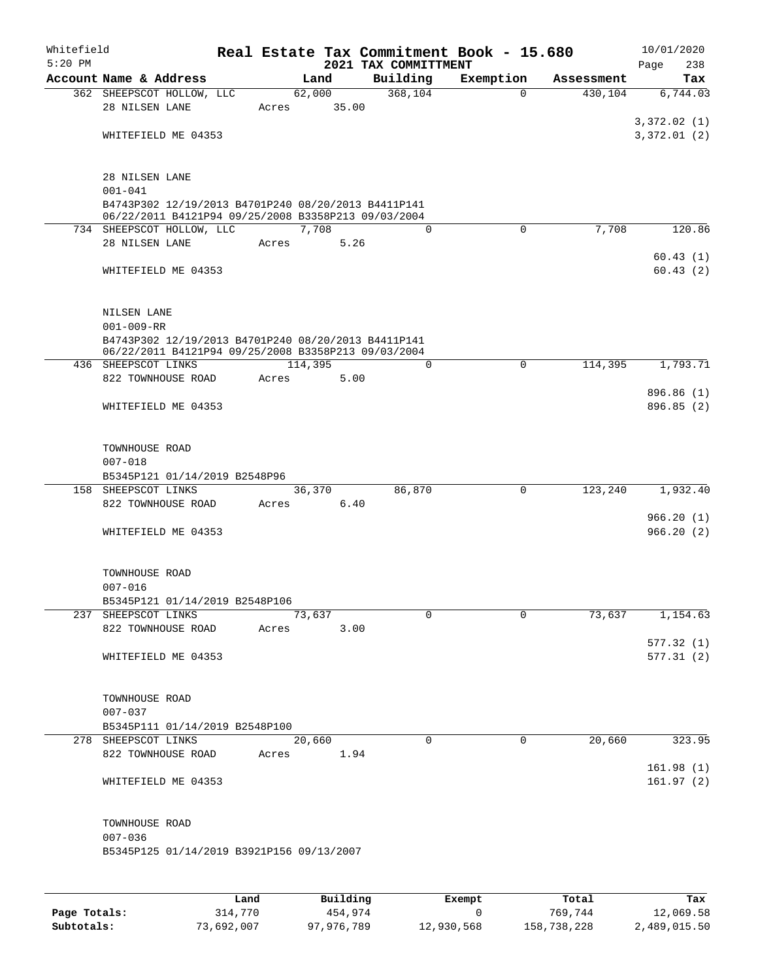| Whitefield<br>$5:20$ PM |                                                                    |       |            |       | Real Estate Tax Commitment Book - 15.680 |           |          |            | 10/01/2020  |            |
|-------------------------|--------------------------------------------------------------------|-------|------------|-------|------------------------------------------|-----------|----------|------------|-------------|------------|
|                         | Account Name & Address                                             |       | Land       |       | 2021 TAX COMMITTMENT<br>Building         | Exemption |          | Assessment | Page        | 238<br>Tax |
|                         | 362 SHEEPSCOT HOLLOW, LLC                                          |       | 62,000     |       | 368,104                                  |           | $\Omega$ | 430,104    |             | 6,744.03   |
|                         | 28 NILSEN LANE                                                     | Acres |            | 35.00 |                                          |           |          |            |             |            |
|                         |                                                                    |       |            |       |                                          |           |          |            | 3,372.02(1) |            |
|                         | WHITEFIELD ME 04353                                                |       |            |       |                                          |           |          |            | 3,372.01(2) |            |
|                         |                                                                    |       |            |       |                                          |           |          |            |             |            |
|                         |                                                                    |       |            |       |                                          |           |          |            |             |            |
|                         | 28 NILSEN LANE                                                     |       |            |       |                                          |           |          |            |             |            |
|                         | $001 - 041$<br>B4743P302 12/19/2013 B4701P240 08/20/2013 B4411P141 |       |            |       |                                          |           |          |            |             |            |
|                         | 06/22/2011 B4121P94 09/25/2008 B3358P213 09/03/2004                |       |            |       |                                          |           |          |            |             |            |
|                         | 734 SHEEPSCOT HOLLOW, LLC                                          |       | 7,708      |       | $\Omega$                                 |           | $\Omega$ | 7,708      |             | 120.86     |
|                         | 28 NILSEN LANE                                                     | Acres |            | 5.26  |                                          |           |          |            |             |            |
|                         |                                                                    |       |            |       |                                          |           |          |            |             | 60.43(1)   |
|                         | WHITEFIELD ME 04353                                                |       |            |       |                                          |           |          |            |             | 60.43(2)   |
|                         |                                                                    |       |            |       |                                          |           |          |            |             |            |
|                         | NILSEN LANE                                                        |       |            |       |                                          |           |          |            |             |            |
|                         | $001 - 009 - RR$                                                   |       |            |       |                                          |           |          |            |             |            |
|                         | B4743P302 12/19/2013 B4701P240 08/20/2013 B4411P141                |       |            |       |                                          |           |          |            |             |            |
|                         | 06/22/2011 B4121P94 09/25/2008 B3358P213 09/03/2004                |       |            |       |                                          |           |          |            |             |            |
|                         | 436 SHEEPSCOT LINKS<br>822 TOWNHOUSE ROAD                          | Acres | 114,395    | 5.00  | $\Omega$                                 |           | $\Omega$ | 114,395    |             | 1,793.71   |
|                         |                                                                    |       |            |       |                                          |           |          |            | 896.86 (1)  |            |
|                         | WHITEFIELD ME 04353                                                |       |            |       |                                          |           |          |            | 896.85 (2)  |            |
|                         |                                                                    |       |            |       |                                          |           |          |            |             |            |
|                         |                                                                    |       |            |       |                                          |           |          |            |             |            |
|                         | TOWNHOUSE ROAD                                                     |       |            |       |                                          |           |          |            |             |            |
|                         | $007 - 018$                                                        |       |            |       |                                          |           |          |            |             |            |
|                         | B5345P121 01/14/2019 B2548P96<br>158 SHEEPSCOT LINKS               |       | 36,370     |       | 86,870                                   |           | 0        | 123,240    |             | 1,932.40   |
|                         | 822 TOWNHOUSE ROAD                                                 | Acres |            | 6.40  |                                          |           |          |            |             |            |
|                         |                                                                    |       |            |       |                                          |           |          |            | 966.20(1)   |            |
|                         | WHITEFIELD ME 04353                                                |       |            |       |                                          |           |          |            | 966.20(2)   |            |
|                         |                                                                    |       |            |       |                                          |           |          |            |             |            |
|                         |                                                                    |       |            |       |                                          |           |          |            |             |            |
|                         | TOWNHOUSE ROAD                                                     |       |            |       |                                          |           |          |            |             |            |
|                         | $007 - 016$<br>B5345P121 01/14/2019 B2548P106                      |       |            |       |                                          |           |          |            |             |            |
|                         | 237 SHEEPSCOT LINKS                                                |       | 73,637     |       | 0                                        |           | $\Omega$ | 73,637     |             | 1,154.63   |
|                         | 822 TOWNHOUSE ROAD                                                 | Acres |            | 3.00  |                                          |           |          |            |             |            |
|                         |                                                                    |       |            |       |                                          |           |          |            | 577.32(1)   |            |
|                         | WHITEFIELD ME 04353                                                |       |            |       |                                          |           |          |            | 577.31(2)   |            |
|                         |                                                                    |       |            |       |                                          |           |          |            |             |            |
|                         | TOWNHOUSE ROAD                                                     |       |            |       |                                          |           |          |            |             |            |
|                         | $007 - 037$                                                        |       |            |       |                                          |           |          |            |             |            |
|                         | B5345P111 01/14/2019 B2548P100                                     |       |            |       |                                          |           |          |            |             |            |
|                         | 278 SHEEPSCOT LINKS                                                |       | 20,660     |       | $\mathbf 0$                              |           | $\Omega$ | 20,660     |             | 323.95     |
|                         | 822 TOWNHOUSE ROAD                                                 |       | Acres 1.94 |       |                                          |           |          |            |             |            |
|                         |                                                                    |       |            |       |                                          |           |          |            | 161.98(1)   |            |
|                         | WHITEFIELD ME 04353                                                |       |            |       |                                          |           |          |            | 161.97(2)   |            |
|                         |                                                                    |       |            |       |                                          |           |          |            |             |            |
|                         | TOWNHOUSE ROAD                                                     |       |            |       |                                          |           |          |            |             |            |
|                         | $007 - 036$                                                        |       |            |       |                                          |           |          |            |             |            |
|                         | B5345P125 01/14/2019 B3921P156 09/13/2007                          |       |            |       |                                          |           |          |            |             |            |
|                         |                                                                    |       |            |       |                                          |           |          |            |             |            |
|                         |                                                                    |       |            |       |                                          |           |          |            |             |            |

|              | Land       | Building   | Exempt     | Total       | Tax          |
|--------------|------------|------------|------------|-------------|--------------|
| Page Totals: | 314.770    | 454,974    |            | 769,744     | 12,069.58    |
| Subtotals:   | 73,692,007 | 97,976,789 | 12,930,568 | 158,738,228 | 2,489,015.50 |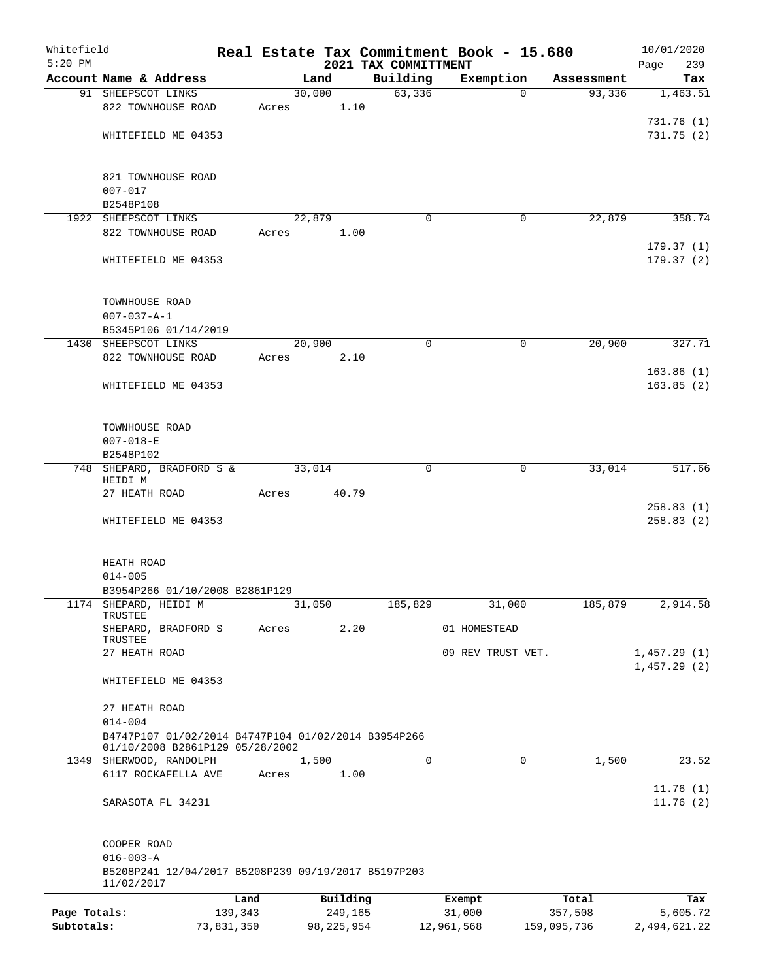| Whitefield<br>$5:20$ PM |                                                     |            |       |        |              | Real Estate Tax Commitment Book - 15.680<br>2021 TAX COMMITTMENT |                   |             |             | 10/01/2020<br>Page<br>239 |
|-------------------------|-----------------------------------------------------|------------|-------|--------|--------------|------------------------------------------------------------------|-------------------|-------------|-------------|---------------------------|
|                         | Account Name & Address                              |            |       | Land   |              | Building                                                         | Exemption         |             | Assessment  | Tax                       |
|                         | 91 SHEEPSCOT LINKS                                  |            |       | 30,000 |              | 63,336                                                           |                   | $\Omega$    | 93,336      | 1,463.51                  |
|                         | 822 TOWNHOUSE ROAD                                  |            | Acres |        | 1.10         |                                                                  |                   |             |             |                           |
|                         |                                                     |            |       |        |              |                                                                  |                   |             |             | 731.76(1)                 |
|                         | WHITEFIELD ME 04353                                 |            |       |        |              |                                                                  |                   |             |             | 731.75(2)                 |
|                         |                                                     |            |       |        |              |                                                                  |                   |             |             |                           |
|                         |                                                     |            |       |        |              |                                                                  |                   |             |             |                           |
|                         | 821 TOWNHOUSE ROAD                                  |            |       |        |              |                                                                  |                   |             |             |                           |
|                         | $007 - 017$                                         |            |       |        |              |                                                                  |                   |             |             |                           |
|                         | B2548P108                                           |            |       |        |              |                                                                  |                   |             |             |                           |
|                         | 1922 SHEEPSCOT LINKS                                |            |       | 22,879 |              | $\Omega$                                                         |                   | 0           | 22,879      | 358.74                    |
|                         | 822 TOWNHOUSE ROAD                                  |            | Acres |        | 1.00         |                                                                  |                   |             |             | 179.37(1)                 |
|                         | WHITEFIELD ME 04353                                 |            |       |        |              |                                                                  |                   |             |             | 179.37(2)                 |
|                         |                                                     |            |       |        |              |                                                                  |                   |             |             |                           |
|                         |                                                     |            |       |        |              |                                                                  |                   |             |             |                           |
|                         | TOWNHOUSE ROAD                                      |            |       |        |              |                                                                  |                   |             |             |                           |
|                         | $007 - 037 - A - 1$                                 |            |       |        |              |                                                                  |                   |             |             |                           |
|                         | B5345P106 01/14/2019                                |            |       |        |              |                                                                  |                   |             |             |                           |
|                         | 1430 SHEEPSCOT LINKS                                |            |       | 20,900 |              | 0                                                                |                   | $\mathbf 0$ | 20,900      | 327.71                    |
|                         | 822 TOWNHOUSE ROAD                                  |            | Acres |        | 2.10         |                                                                  |                   |             |             |                           |
|                         |                                                     |            |       |        |              |                                                                  |                   |             |             | 163.86(1)                 |
|                         | WHITEFIELD ME 04353                                 |            |       |        |              |                                                                  |                   |             |             | 163.85(2)                 |
|                         |                                                     |            |       |        |              |                                                                  |                   |             |             |                           |
|                         |                                                     |            |       |        |              |                                                                  |                   |             |             |                           |
|                         | TOWNHOUSE ROAD                                      |            |       |        |              |                                                                  |                   |             |             |                           |
|                         | $007 - 018 - E$                                     |            |       |        |              |                                                                  |                   |             |             |                           |
|                         | B2548P102                                           |            |       |        |              | 0                                                                |                   | $\mathbf 0$ | 33,014      | 517.66                    |
|                         | 748 SHEPARD, BRADFORD S &<br>HEIDI M                |            |       | 33,014 |              |                                                                  |                   |             |             |                           |
|                         | 27 HEATH ROAD                                       |            | Acres |        | 40.79        |                                                                  |                   |             |             |                           |
|                         |                                                     |            |       |        |              |                                                                  |                   |             |             | 258.83(1)                 |
|                         | WHITEFIELD ME 04353                                 |            |       |        |              |                                                                  |                   |             |             | 258.83(2)                 |
|                         |                                                     |            |       |        |              |                                                                  |                   |             |             |                           |
|                         |                                                     |            |       |        |              |                                                                  |                   |             |             |                           |
|                         | HEATH ROAD                                          |            |       |        |              |                                                                  |                   |             |             |                           |
|                         | $014 - 005$                                         |            |       |        |              |                                                                  |                   |             |             |                           |
|                         | B3954P266 01/10/2008 B2861P129                      |            |       |        |              |                                                                  |                   |             |             |                           |
| 1174                    | SHEPARD, HEIDI M<br>TRUSTEE                         |            |       | 31,050 |              | 185,829                                                          |                   | 31,000      | 185,879     | 2,914.58                  |
|                         | SHEPARD, BRADFORD S                                 |            | Acres |        | 2.20         |                                                                  | 01 HOMESTEAD      |             |             |                           |
|                         | TRUSTEE                                             |            |       |        |              |                                                                  |                   |             |             |                           |
|                         | 27 HEATH ROAD                                       |            |       |        |              |                                                                  | 09 REV TRUST VET. |             |             | 1,457.29(1)               |
|                         |                                                     |            |       |        |              |                                                                  |                   |             |             | 1,457.29(2)               |
|                         | WHITEFIELD ME 04353                                 |            |       |        |              |                                                                  |                   |             |             |                           |
|                         | 27 HEATH ROAD                                       |            |       |        |              |                                                                  |                   |             |             |                           |
|                         | $014 - 004$                                         |            |       |        |              |                                                                  |                   |             |             |                           |
|                         | B4747P107 01/02/2014 B4747P104 01/02/2014 B3954P266 |            |       |        |              |                                                                  |                   |             |             |                           |
|                         | 01/10/2008 B2861P129 05/28/2002                     |            |       |        |              |                                                                  |                   |             |             |                           |
|                         | 1349 SHERWOOD, RANDOLPH                             |            |       | 1,500  |              | $\Omega$                                                         |                   | 0           | 1,500       | 23.52                     |
|                         | 6117 ROCKAFELLA AVE                                 |            | Acres |        | 1.00         |                                                                  |                   |             |             |                           |
|                         |                                                     |            |       |        |              |                                                                  |                   |             |             | 11.76(1)                  |
|                         | SARASOTA FL 34231                                   |            |       |        |              |                                                                  |                   |             |             | 11.76(2)                  |
|                         |                                                     |            |       |        |              |                                                                  |                   |             |             |                           |
|                         | COOPER ROAD                                         |            |       |        |              |                                                                  |                   |             |             |                           |
|                         | $016 - 003 - A$                                     |            |       |        |              |                                                                  |                   |             |             |                           |
|                         | B5208P241 12/04/2017 B5208P239 09/19/2017 B5197P203 |            |       |        |              |                                                                  |                   |             |             |                           |
|                         | 11/02/2017                                          |            |       |        |              |                                                                  |                   |             |             |                           |
|                         |                                                     | Land       |       |        | Building     |                                                                  | Exempt            |             | Total       | Tax                       |
| Page Totals:            |                                                     | 139,343    |       |        | 249,165      |                                                                  | 31,000            |             | 357,508     | 5,605.72                  |
| Subtotals:              |                                                     | 73,831,350 |       |        | 98, 225, 954 |                                                                  | 12,961,568        |             | 159,095,736 | 2,494,621.22              |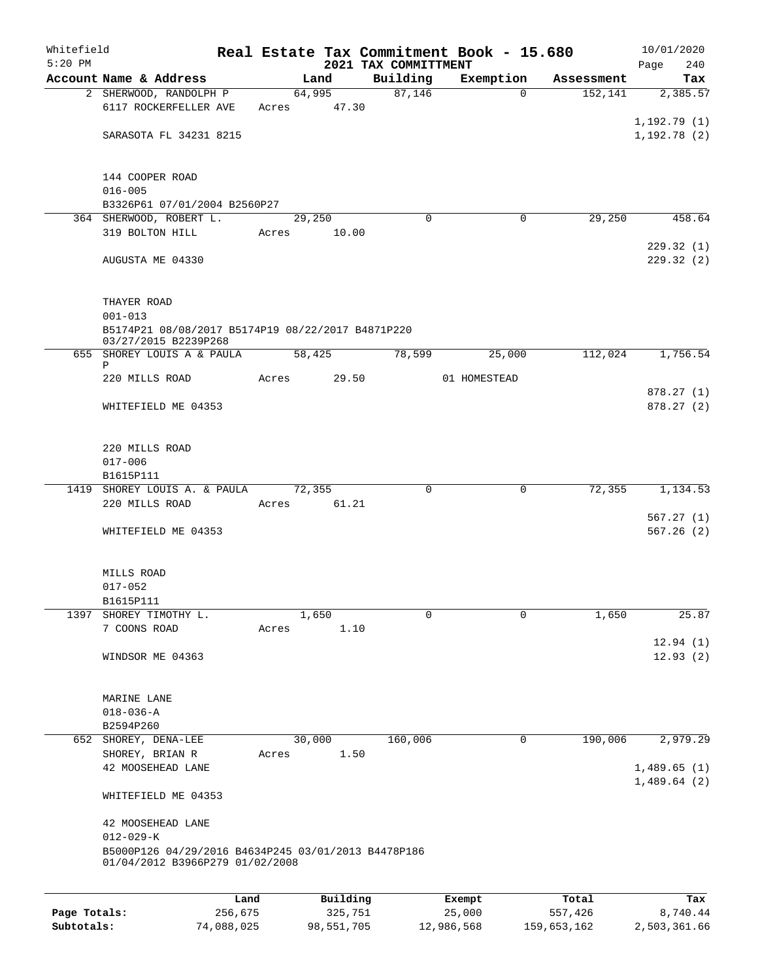| Whitefield   |                                                     |         |        |          |                      | Real Estate Tax Commitment Book - 15.680 |                        | 10/01/2020      |
|--------------|-----------------------------------------------------|---------|--------|----------|----------------------|------------------------------------------|------------------------|-----------------|
| $5:20$ PM    | Account Name & Address                              |         |        |          | 2021 TAX COMMITTMENT |                                          |                        | Page<br>240     |
|              | 2 SHERWOOD, RANDOLPH P                              |         | 64,995 | Land     | Building<br>87,146   | Exemption<br>$\Omega$                    | Assessment<br>152, 141 | Tax<br>2,385.57 |
|              | 6117 ROCKERFELLER AVE                               |         | Acres  | 47.30    |                      |                                          |                        |                 |
|              |                                                     |         |        |          |                      |                                          |                        | 1, 192.79(1)    |
|              | SARASOTA FL 34231 8215                              |         |        |          |                      |                                          |                        | 1,192.78(2)     |
|              |                                                     |         |        |          |                      |                                          |                        |                 |
|              |                                                     |         |        |          |                      |                                          |                        |                 |
|              | 144 COOPER ROAD                                     |         |        |          |                      |                                          |                        |                 |
|              | $016 - 005$                                         |         |        |          |                      |                                          |                        |                 |
|              | B3326P61 07/01/2004 B2560P27                        |         |        |          |                      |                                          |                        |                 |
|              | 364 SHERWOOD, ROBERT L.                             |         | 29,250 |          | $\Omega$             | 0                                        | 29,250                 | 458.64          |
|              | 319 BOLTON HILL                                     |         | Acres  | 10.00    |                      |                                          |                        | 229.32(1)       |
|              | AUGUSTA ME 04330                                    |         |        |          |                      |                                          |                        | 229.32(2)       |
|              |                                                     |         |        |          |                      |                                          |                        |                 |
|              |                                                     |         |        |          |                      |                                          |                        |                 |
|              | THAYER ROAD                                         |         |        |          |                      |                                          |                        |                 |
|              | $001 - 013$                                         |         |        |          |                      |                                          |                        |                 |
|              | B5174P21 08/08/2017 B5174P19 08/22/2017 B4871P220   |         |        |          |                      |                                          |                        |                 |
|              | 03/27/2015 B2239P268                                |         |        |          |                      | 25,000                                   |                        |                 |
|              | 655 SHOREY LOUIS A & PAULA<br>P                     |         | 58,425 |          | 78,599               |                                          | 112,024                | 1,756.54        |
|              | 220 MILLS ROAD                                      |         | Acres  | 29.50    |                      | 01 HOMESTEAD                             |                        |                 |
|              |                                                     |         |        |          |                      |                                          |                        | 878.27 (1)      |
|              | WHITEFIELD ME 04353                                 |         |        |          |                      |                                          |                        | 878.27(2)       |
|              |                                                     |         |        |          |                      |                                          |                        |                 |
|              |                                                     |         |        |          |                      |                                          |                        |                 |
|              | 220 MILLS ROAD                                      |         |        |          |                      |                                          |                        |                 |
|              | $017 - 006$<br>B1615P111                            |         |        |          |                      |                                          |                        |                 |
|              | 1419 SHOREY LOUIS A. & PAULA                        |         | 72,355 |          | 0                    | 0                                        | 72,355                 | 1,134.53        |
|              | 220 MILLS ROAD                                      |         | Acres  | 61.21    |                      |                                          |                        |                 |
|              |                                                     |         |        |          |                      |                                          |                        | 567.27(1)       |
|              | WHITEFIELD ME 04353                                 |         |        |          |                      |                                          |                        | 567.26(2)       |
|              |                                                     |         |        |          |                      |                                          |                        |                 |
|              |                                                     |         |        |          |                      |                                          |                        |                 |
|              | MILLS ROAD                                          |         |        |          |                      |                                          |                        |                 |
|              | $017 - 052$                                         |         |        |          |                      |                                          |                        |                 |
|              | B1615P111                                           |         |        |          |                      |                                          |                        |                 |
| 1397         | SHOREY TIMOTHY L.<br>7 COONS ROAD                   |         |        | 1,650    | 0                    | 0                                        | 1,650                  | 25.87           |
|              |                                                     |         | Acres  | 1.10     |                      |                                          |                        | 12.94(1)        |
|              | WINDSOR ME 04363                                    |         |        |          |                      |                                          |                        | 12.93(2)        |
|              |                                                     |         |        |          |                      |                                          |                        |                 |
|              |                                                     |         |        |          |                      |                                          |                        |                 |
|              | MARINE LANE                                         |         |        |          |                      |                                          |                        |                 |
|              | $018 - 036 - A$                                     |         |        |          |                      |                                          |                        |                 |
|              | B2594P260                                           |         |        |          |                      |                                          |                        |                 |
|              | 652 SHOREY, DENA-LEE                                |         | 30,000 |          | 160,006              | 0                                        | 190,006                | 2,979.29        |
|              | SHOREY, BRIAN R                                     |         | Acres  | 1.50     |                      |                                          |                        |                 |
|              | 42 MOOSEHEAD LANE                                   |         |        |          |                      |                                          |                        | 1,489.65(1)     |
|              |                                                     |         |        |          |                      |                                          |                        | 1,489.64(2)     |
|              | WHITEFIELD ME 04353                                 |         |        |          |                      |                                          |                        |                 |
|              | 42 MOOSEHEAD LANE                                   |         |        |          |                      |                                          |                        |                 |
|              | $012 - 029 - K$                                     |         |        |          |                      |                                          |                        |                 |
|              | B5000P126 04/29/2016 B4634P245 03/01/2013 B4478P186 |         |        |          |                      |                                          |                        |                 |
|              | 01/04/2012 B3966P279 01/02/2008                     |         |        |          |                      |                                          |                        |                 |
|              |                                                     |         |        |          |                      |                                          |                        |                 |
|              |                                                     | Land    |        | Building |                      | Exempt                                   | Total                  | Tax             |
| Page Totals: |                                                     | 256,675 |        | 325,751  |                      | 25,000                                   | 557,426                | 8,740.44        |
|              |                                                     |         |        |          |                      |                                          |                        |                 |

**Subtotals:** 74,088,025 98,551,705 12,986,568 159,653,162 2,503,361.66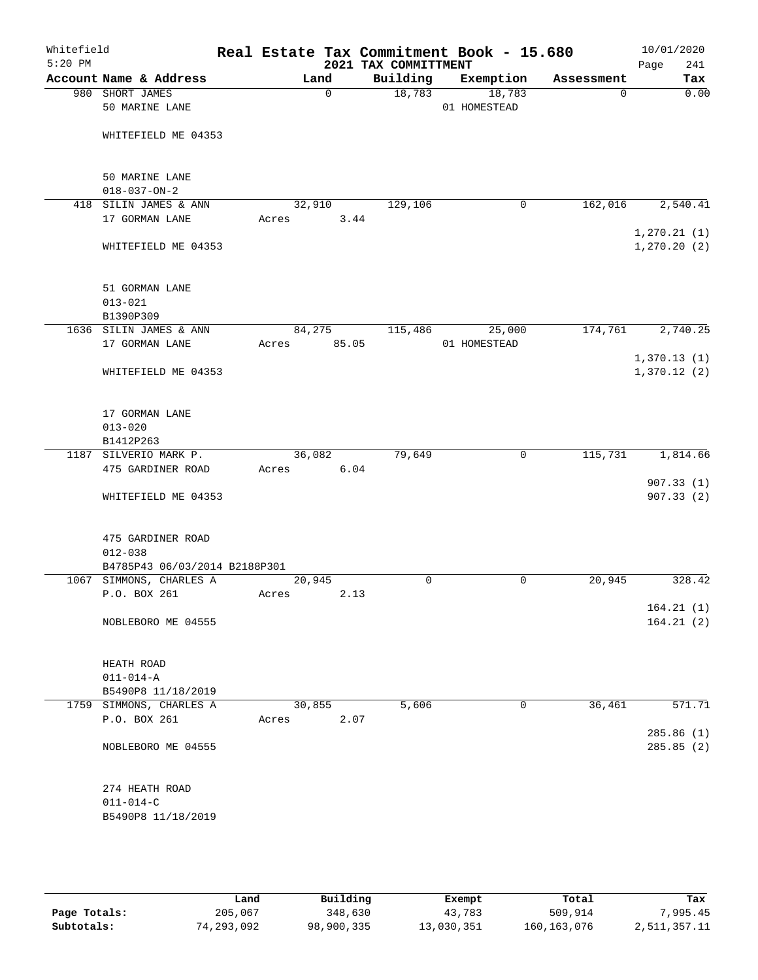| Whitefield<br>$5:20$ PM |                                            |       |             | 2021 TAX COMMITTMENT | Real Estate Tax Commitment Book - 15.680 |            | 10/01/2020<br>Page<br>241    |
|-------------------------|--------------------------------------------|-------|-------------|----------------------|------------------------------------------|------------|------------------------------|
|                         | Account Name & Address                     |       | Land        | Building             | Exemption                                | Assessment | Tax                          |
|                         | 980 SHORT JAMES<br>50 MARINE LANE          |       | $\mathbf 0$ | 18,783               | 18,783<br>01 HOMESTEAD                   | 0          | 0.00                         |
|                         | WHITEFIELD ME 04353                        |       |             |                      |                                          |            |                              |
|                         | 50 MARINE LANE<br>$018 - 037 - ON - 2$     |       |             |                      |                                          |            |                              |
|                         | 418 SILIN JAMES & ANN                      |       | 32,910      | 129,106              | 0                                        | 162,016    | 2,540.41                     |
|                         | 17 GORMAN LANE                             | Acres | 3.44        |                      |                                          |            |                              |
|                         | WHITEFIELD ME 04353                        |       |             |                      |                                          |            | 1, 270.21(1)<br>1, 270.20(2) |
|                         | 51 GORMAN LANE<br>$013 - 021$<br>B1390P309 |       |             |                      |                                          |            |                              |
|                         | 1636 SILIN JAMES & ANN                     |       | 84,275      | 115,486              | 25,000                                   | 174,761    | 2,740.25                     |
|                         | 17 GORMAN LANE                             | Acres | 85.05       |                      | 01 HOMESTEAD                             |            |                              |
|                         | WHITEFIELD ME 04353                        |       |             |                      |                                          |            | 1,370.13(1)<br>1,370.12(2)   |
|                         | 17 GORMAN LANE<br>$013 - 020$              |       |             |                      |                                          |            |                              |
|                         | B1412P263                                  |       |             |                      |                                          |            |                              |
|                         | 1187 SILVERIO MARK P.                      |       | 36,082      | 79,649               | 0                                        | 115,731    | 1,814.66                     |
|                         | 475 GARDINER ROAD                          | Acres | 6.04        |                      |                                          |            |                              |
|                         | WHITEFIELD ME 04353                        |       |             |                      |                                          |            | 907.33(1)<br>907.33(2)       |
|                         | 475 GARDINER ROAD<br>$012 - 038$           |       |             |                      |                                          |            |                              |
|                         | B4785P43 06/03/2014 B2188P301              |       |             |                      |                                          |            |                              |
|                         | 1067 SIMMONS, CHARLES A                    |       | 20,945      | 0                    | $\mathsf{O}$                             | 20,945     | 328.42                       |
|                         | P.O. BOX 261                               | Acres | 2.13        |                      |                                          |            | 164.21(1)                    |
|                         | NOBLEBORO ME 04555                         |       |             |                      |                                          |            | 164.21(2)                    |
|                         | HEATH ROAD                                 |       |             |                      |                                          |            |                              |
|                         | $011 - 014 - A$                            |       |             |                      |                                          |            |                              |
|                         | B5490P8 11/18/2019                         |       |             |                      |                                          |            |                              |
|                         | 1759 SIMMONS, CHARLES A                    |       | 30,855      | 5,606                | 0                                        | 36,461     | 571.71                       |
|                         | P.O. BOX 261                               | Acres | 2.07        |                      |                                          |            |                              |
|                         | NOBLEBORO ME 04555                         |       |             |                      |                                          |            | 285.86 (1)<br>285.85 (2)     |
|                         | 274 HEATH ROAD<br>$011 - 014 - C$          |       |             |                      |                                          |            |                              |
|                         | B5490P8 11/18/2019                         |       |             |                      |                                          |            |                              |

|              | Land       | Building   | Exempt     | Total         | Tax          |
|--------------|------------|------------|------------|---------------|--------------|
| Page Totals: | 205,067    | 348,630    | 43,783     | 509,914       | ,995.45      |
| Subtotals:   | 74,293,092 | 98,900,335 | 13,030,351 | 160, 163, 076 | 2,511,357.11 |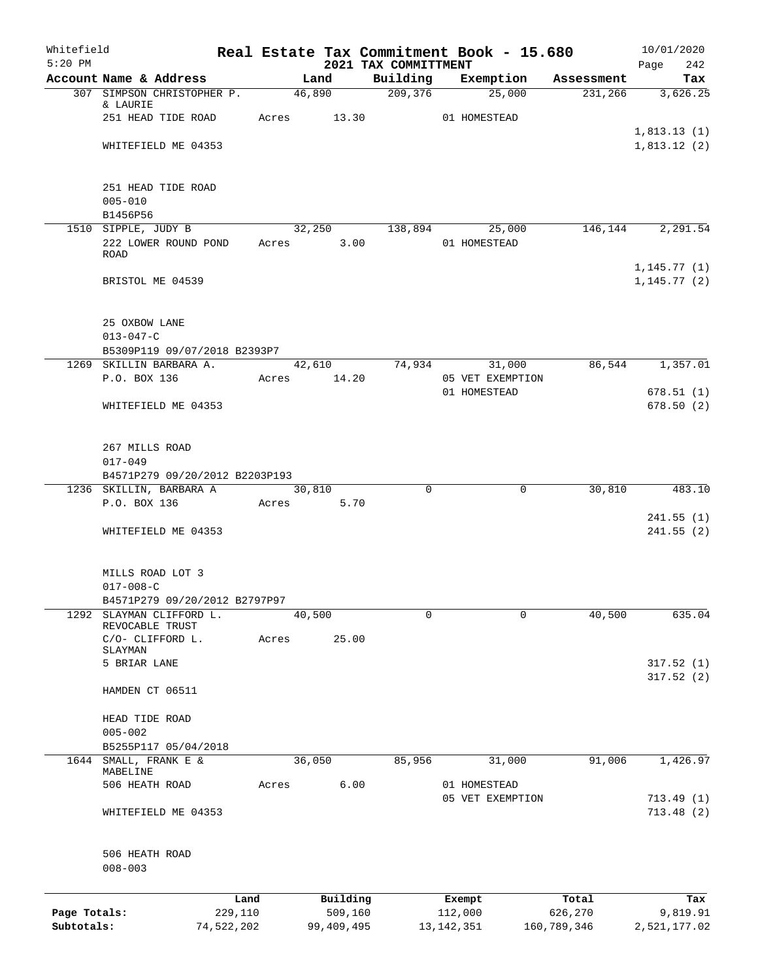| Whitefield<br>$5:20$ PM    |                                                           |                       |       |                       | 2021 TAX COMMITTMENT | Real Estate Tax Commitment Book - 15.680 |                        | 10/01/2020<br>242<br>Page    |
|----------------------------|-----------------------------------------------------------|-----------------------|-------|-----------------------|----------------------|------------------------------------------|------------------------|------------------------------|
|                            | Account Name & Address                                    |                       |       | Land                  | Building             | Exemption                                | Assessment             | Tax                          |
|                            | 307 SIMPSON CHRISTOPHER P.<br>& LAURIE                    |                       |       | 46,890                | 209,376              | 25,000                                   | 231,266                | 3,626.25                     |
|                            | 251 HEAD TIDE ROAD                                        |                       | Acres | 13.30                 |                      | 01 HOMESTEAD                             |                        |                              |
|                            |                                                           |                       |       |                       |                      |                                          |                        | 1,813.13(1)                  |
|                            | WHITEFIELD ME 04353                                       |                       |       |                       |                      |                                          |                        | 1,813.12(2)                  |
|                            | 251 HEAD TIDE ROAD                                        |                       |       |                       |                      |                                          |                        |                              |
|                            | $005 - 010$                                               |                       |       |                       |                      |                                          |                        |                              |
|                            | B1456P56<br>1510 SIPPLE, JUDY B                           |                       |       | 32,250                | 138,894              | 25,000                                   | 146,144                | 2,291.54                     |
|                            | 222 LOWER ROUND POND<br>ROAD                              |                       | Acres | 3.00                  |                      | 01 HOMESTEAD                             |                        |                              |
|                            | BRISTOL ME 04539                                          |                       |       |                       |                      |                                          |                        | 1, 145.77(1)<br>1, 145.77(2) |
|                            | 25 OXBOW LANE                                             |                       |       |                       |                      |                                          |                        |                              |
|                            | $013 - 047 - C$                                           |                       |       |                       |                      |                                          |                        |                              |
|                            | B5309P119 09/07/2018 B2393P7<br>1269 SKILLIN BARBARA A.   |                       |       | 42,610                | 74,934               | 31,000                                   | 86,544                 | 1,357.01                     |
|                            | P.O. BOX 136                                              |                       | Acres | 14.20                 |                      | 05 VET EXEMPTION                         |                        |                              |
|                            |                                                           |                       |       |                       |                      | 01 HOMESTEAD                             |                        | 678.51(1)                    |
|                            | WHITEFIELD ME 04353                                       |                       |       |                       |                      |                                          |                        | 678.50(2)                    |
|                            | 267 MILLS ROAD                                            |                       |       |                       |                      |                                          |                        |                              |
|                            | $017 - 049$                                               |                       |       |                       |                      |                                          |                        |                              |
|                            | B4571P279 09/20/2012 B2203P193<br>1236 SKILLIN, BARBARA A |                       |       | 30,810                | $\mathbf 0$          | $\mathbf 0$                              | 30,810                 | 483.10                       |
|                            | P.O. BOX 136                                              |                       | Acres | 5.70                  |                      |                                          |                        |                              |
|                            | WHITEFIELD ME 04353                                       |                       |       |                       |                      |                                          |                        | 241.55(1)<br>241.55(2)       |
|                            |                                                           |                       |       |                       |                      |                                          |                        |                              |
|                            | MILLS ROAD LOT 3                                          |                       |       |                       |                      |                                          |                        |                              |
|                            | $017 - 008 - C$                                           |                       |       |                       |                      |                                          |                        |                              |
| 1292                       | B4571P279 09/20/2012 B2797P97<br>SLAYMAN CLIFFORD L.      |                       |       | 40,500                | 0                    | $\mathbf 0$                              | 40,500                 | 635.04                       |
|                            | REVOCABLE TRUST                                           |                       |       |                       |                      |                                          |                        |                              |
|                            | C/O- CLIFFORD L.<br>SLAYMAN                               |                       | Acres | 25.00                 |                      |                                          |                        |                              |
|                            | 5 BRIAR LANE                                              |                       |       |                       |                      |                                          |                        | 317.52(1)                    |
|                            |                                                           |                       |       |                       |                      |                                          |                        | 317.52(2)                    |
|                            | HAMDEN CT 06511                                           |                       |       |                       |                      |                                          |                        |                              |
|                            | HEAD TIDE ROAD                                            |                       |       |                       |                      |                                          |                        |                              |
|                            | $005 - 002$                                               |                       |       |                       |                      |                                          |                        |                              |
|                            | B5255P117 05/04/2018                                      |                       |       |                       |                      |                                          |                        |                              |
| 1644                       | SMALL, FRANK E $\&$<br>MABELINE                           |                       |       | 36,050                | 85,956               | 31,000                                   | 91,006                 | 1,426.97                     |
|                            | 506 HEATH ROAD                                            |                       | Acres | 6.00                  |                      | 01 HOMESTEAD<br>05 VET EXEMPTION         |                        | 713.49(1)                    |
|                            | WHITEFIELD ME 04353                                       |                       |       |                       |                      |                                          |                        | 713.48(2)                    |
|                            | 506 HEATH ROAD                                            |                       |       |                       |                      |                                          |                        |                              |
|                            | $008 - 003$                                               |                       |       |                       |                      |                                          |                        |                              |
|                            |                                                           | Land                  |       | Building              |                      | Exempt                                   | Total                  | Tax                          |
| Page Totals:<br>Subtotals: |                                                           | 229,110<br>74,522,202 |       | 509,160<br>99,409,495 |                      | 112,000<br>13, 142, 351                  | 626,270<br>160,789,346 | 9,819.91<br>2,521,177.02     |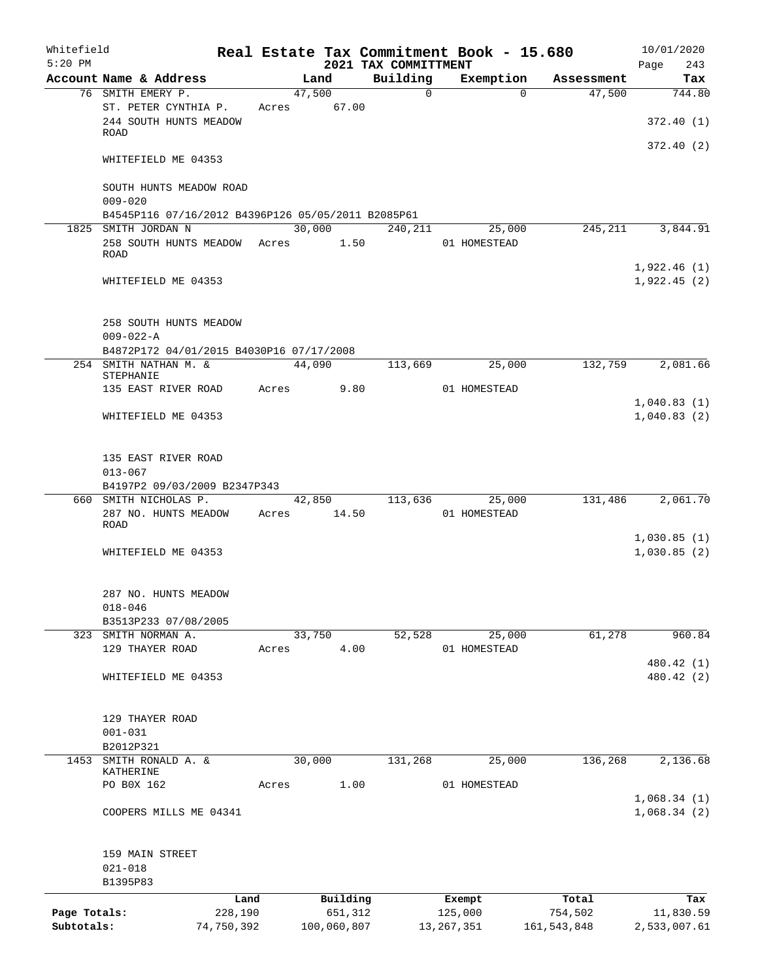| Whitefield<br>$5:20$ PM |                                                                   |            |       |        |             | 2021 TAX COMMITTMENT | Real Estate Tax Commitment Book - 15.680 |                    | 10/01/2020<br>Page<br>243 |
|-------------------------|-------------------------------------------------------------------|------------|-------|--------|-------------|----------------------|------------------------------------------|--------------------|---------------------------|
|                         | Account Name & Address                                            |            |       | Land   |             | Building             | Exemption                                | Assessment         | Tax                       |
|                         | 76 SMITH EMERY P.                                                 |            |       | 47,500 |             | $\Omega$             |                                          | 47,500<br>$\Omega$ | 744.80                    |
|                         | ST. PETER CYNTHIA P.<br>244 SOUTH HUNTS MEADOW                    |            | Acres |        | 67.00       |                      |                                          |                    | 372.40(1)                 |
|                         | ROAD                                                              |            |       |        |             |                      |                                          |                    |                           |
|                         | WHITEFIELD ME 04353                                               |            |       |        |             |                      |                                          |                    | 372.40(2)                 |
|                         | SOUTH HUNTS MEADOW ROAD<br>$009 - 020$                            |            |       |        |             |                      |                                          |                    |                           |
|                         | B4545P116 07/16/2012 B4396P126 05/05/2011 B2085P61                |            |       |        |             |                      |                                          |                    |                           |
|                         | 1825 SMITH JORDAN N                                               |            |       | 30,000 |             | 240,211              | 25,000                                   | 245,211            | 3,844.91                  |
|                         | 258 SOUTH HUNTS MEADOW<br>ROAD                                    |            | Acres |        | 1.50        |                      | 01 HOMESTEAD                             |                    | 1,922.46(1)               |
|                         | WHITEFIELD ME 04353                                               |            |       |        |             |                      |                                          |                    | 1,922.45(2)               |
|                         | 258 SOUTH HUNTS MEADOW                                            |            |       |        |             |                      |                                          |                    |                           |
|                         | $009 - 022 - A$                                                   |            |       |        |             |                      |                                          |                    |                           |
|                         | B4872P172 04/01/2015 B4030P16 07/17/2008<br>254 SMITH NATHAN M. & |            |       | 44,090 |             | 113,669              | 25,000                                   | 132,759            | 2,081.66                  |
|                         | STEPHANIE<br>135 EAST RIVER ROAD                                  |            |       |        |             |                      | 01 HOMESTEAD                             |                    |                           |
|                         |                                                                   |            | Acres |        | 9.80        |                      |                                          |                    | 1,040.83(1)               |
|                         | WHITEFIELD ME 04353                                               |            |       |        |             |                      |                                          |                    | 1,040.83(2)               |
|                         | 135 EAST RIVER ROAD                                               |            |       |        |             |                      |                                          |                    |                           |
|                         | $013 - 067$                                                       |            |       |        |             |                      |                                          |                    |                           |
|                         | B4197P2 09/03/2009 B2347P343                                      |            |       |        |             |                      |                                          |                    |                           |
|                         | 660 SMITH NICHOLAS P.<br>287 NO. HUNTS MEADOW<br><b>ROAD</b>      |            | Acres | 42,850 | 14.50       | 113,636              | 25,000<br>01 HOMESTEAD                   | 131,486            | 2,061.70                  |
|                         |                                                                   |            |       |        |             |                      |                                          |                    | 1,030.85(1)               |
|                         | WHITEFIELD ME 04353                                               |            |       |        |             |                      |                                          |                    | 1,030.85(2)               |
|                         | 287 NO. HUNTS MEADOW                                              |            |       |        |             |                      |                                          |                    |                           |
|                         | $018 - 046$<br>B3513P233 07/08/2005                               |            |       |        |             |                      |                                          |                    |                           |
| 323                     | SMITH NORMAN A.                                                   |            |       | 33,750 |             | 52,528               | 25,000                                   | 61,278             | 960.84                    |
|                         | 129 THAYER ROAD                                                   |            | Acres |        | 4.00        |                      | 01 HOMESTEAD                             |                    |                           |
|                         |                                                                   |            |       |        |             |                      |                                          |                    | 480.42 (1)                |
|                         | WHITEFIELD ME 04353                                               |            |       |        |             |                      |                                          |                    | 480.42 (2)                |
|                         | 129 THAYER ROAD                                                   |            |       |        |             |                      |                                          |                    |                           |
|                         | $001 - 031$                                                       |            |       |        |             |                      |                                          |                    |                           |
|                         | B2012P321                                                         |            |       |        |             |                      |                                          |                    |                           |
| 1453                    | SMITH RONALD A. &<br>KATHERINE                                    |            |       | 30,000 |             | 131,268              | 25,000                                   | 136,268            | 2,136.68                  |
|                         | PO B0X 162                                                        |            | Acres |        | 1.00        |                      | 01 HOMESTEAD                             |                    |                           |
|                         |                                                                   |            |       |        |             |                      |                                          |                    | 1,068.34(1)               |
|                         | COOPERS MILLS ME 04341                                            |            |       |        |             |                      |                                          |                    | 1,068.34(2)               |
|                         | 159 MAIN STREET                                                   |            |       |        |             |                      |                                          |                    |                           |
|                         | $021 - 018$                                                       |            |       |        |             |                      |                                          |                    |                           |
|                         | B1395P83                                                          | Land       |       |        | Building    |                      | Exempt                                   | Total              | Tax                       |
| Page Totals:            |                                                                   | 228,190    |       |        | 651,312     |                      | 125,000                                  | 754,502            | 11,830.59                 |
| Subtotals:              |                                                                   | 74,750,392 |       |        | 100,060,807 |                      | 13, 267, 351                             | 161, 543, 848      | 2,533,007.61              |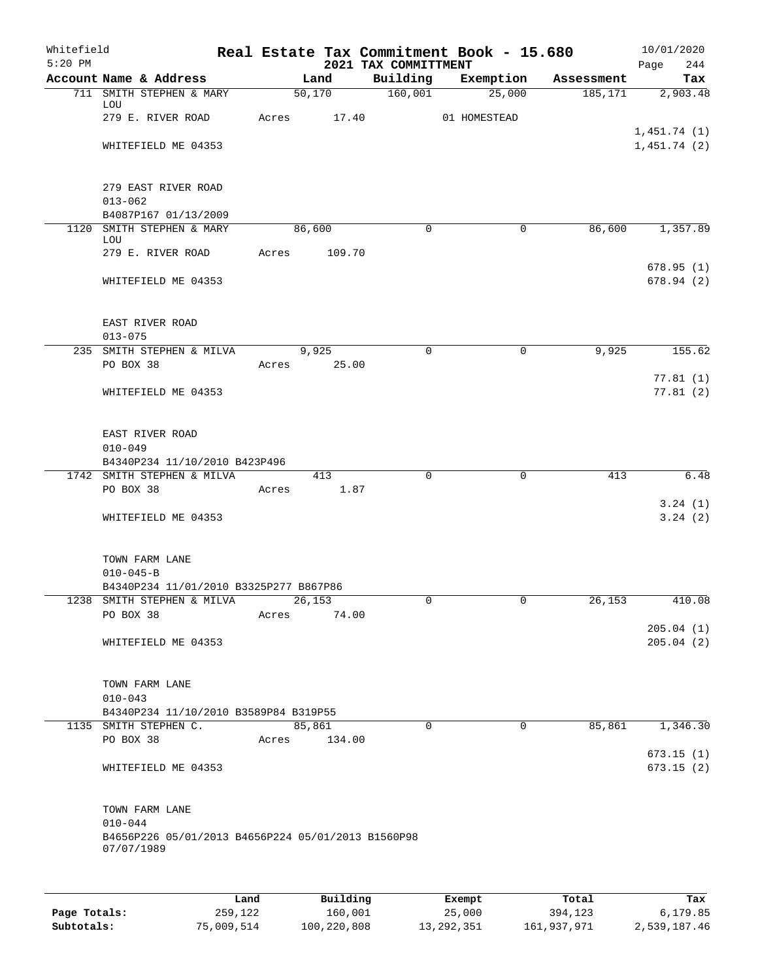| Whitefield<br>$5:20$ PM |                                                                                     |       |       |        |             | 2021 TAX COMMITTMENT | Real Estate Tax Commitment Book - 15.680 |             |            | Page        | 10/01/2020<br>244      |
|-------------------------|-------------------------------------------------------------------------------------|-------|-------|--------|-------------|----------------------|------------------------------------------|-------------|------------|-------------|------------------------|
|                         | Account Name & Address                                                              |       |       | Land   |             | Building             | Exemption                                |             | Assessment |             | Tax                    |
|                         | 711 SMITH STEPHEN & MARY                                                            |       |       | 50,170 |             | 160,001              | 25,000                                   |             | 185, 171   |             | 2,903.48               |
|                         | LOU<br>279 E. RIVER ROAD                                                            |       | Acres |        | 17.40       |                      | 01 HOMESTEAD                             |             |            |             |                        |
|                         | WHITEFIELD ME 04353                                                                 |       |       |        |             |                      |                                          |             |            | 1,451.74(1) | 1,451.74(2)            |
|                         | 279 EAST RIVER ROAD<br>$013 - 062$                                                  |       |       |        |             |                      |                                          |             |            |             |                        |
|                         | B4087P167 01/13/2009                                                                |       |       |        |             |                      |                                          |             |            |             |                        |
|                         | 1120 SMITH STEPHEN & MARY                                                           |       |       | 86,600 |             | $\mathbf 0$          |                                          | $\mathbf 0$ | 86,600     |             | 1,357.89               |
|                         | LOU<br>279 E. RIVER ROAD                                                            |       | Acres |        | 109.70      |                      |                                          |             |            |             |                        |
|                         | WHITEFIELD ME 04353                                                                 |       |       |        |             |                      |                                          |             |            |             | 678.95(1)<br>678.94(2) |
|                         | EAST RIVER ROAD                                                                     |       |       |        |             |                      |                                          |             |            |             |                        |
|                         | $013 - 075$<br>235 SMITH STEPHEN & MILVA                                            |       |       | 9,925  |             | $\Omega$             |                                          | $\mathbf 0$ | 9,925      |             | 155.62                 |
|                         | PO BOX 38                                                                           |       | Acres |        | 25.00       |                      |                                          |             |            |             |                        |
|                         | WHITEFIELD ME 04353                                                                 |       |       |        |             |                      |                                          |             |            |             | 77.81(1)<br>77.81(2)   |
|                         | EAST RIVER ROAD<br>$010 - 049$                                                      |       |       |        |             |                      |                                          |             |            |             |                        |
|                         | B4340P234 11/10/2010 B423P496                                                       |       |       |        |             |                      |                                          |             |            |             |                        |
|                         | 1742 SMITH STEPHEN & MILVA<br>PO BOX 38                                             |       | Acres |        | 413<br>1.87 | $\mathbf 0$          |                                          | $\mathbf 0$ | 413        |             | 6.48                   |
|                         | WHITEFIELD ME 04353                                                                 |       |       |        |             |                      |                                          |             |            |             | 3.24(1)<br>3.24(2)     |
|                         | TOWN FARM LANE<br>$010 - 045 - B$                                                   |       |       |        |             |                      |                                          |             |            |             |                        |
|                         | B4340P234 11/01/2010 B3325P277 B867P86                                              |       |       |        |             |                      |                                          |             |            |             |                        |
|                         | 1238 SMITH STEPHEN & MILVA<br>PO BOX 38                                             |       | Acres | 26,153 | 74.00       |                      |                                          | 0           | 26, 153    |             | 410.08                 |
|                         | WHITEFIELD ME 04353                                                                 |       |       |        |             |                      |                                          |             |            |             | 205.04(1)<br>205.04(2) |
|                         |                                                                                     |       |       |        |             |                      |                                          |             |            |             |                        |
|                         | TOWN FARM LANE<br>$010 - 043$                                                       |       |       |        |             |                      |                                          |             |            |             |                        |
|                         | B4340P234 11/10/2010 B3589P84 B319P55<br>1135 SMITH STEPHEN C.                      |       |       |        |             | $\Omega$             |                                          | $\Omega$    | 85,861     |             | 1,346.30               |
|                         | PO BOX 38                                                                           |       | Acres | 85,861 | 134.00      |                      |                                          |             |            |             |                        |
|                         | WHITEFIELD ME 04353                                                                 |       |       |        |             |                      |                                          |             |            |             | 673.15(1)<br>673.15(2) |
|                         | TOWN FARM LANE<br>$010 - 044$<br>B4656P226 05/01/2013 B4656P224 05/01/2013 B1560P98 |       |       |        |             |                      |                                          |             |            |             |                        |
|                         | 07/07/1989                                                                          |       |       |        |             |                      |                                          |             |            |             |                        |
|                         |                                                                                     |       |       |        |             |                      |                                          |             |            |             |                        |
|                         |                                                                                     | Land. |       |        | Building    |                      | <b>Fromnt</b>                            |             | $T$ ctal   |             | Tox                    |

|              | Land       | Building    | Exempt     | Total       | Tax          |
|--------------|------------|-------------|------------|-------------|--------------|
| Page Totals: | 259,122    | 160,001     | 25,000     | 394,123     | 6,179.85     |
| Subtotals:   | 75,009,514 | 100,220,808 | 13,292,351 | 161,937,971 | 2,539,187.46 |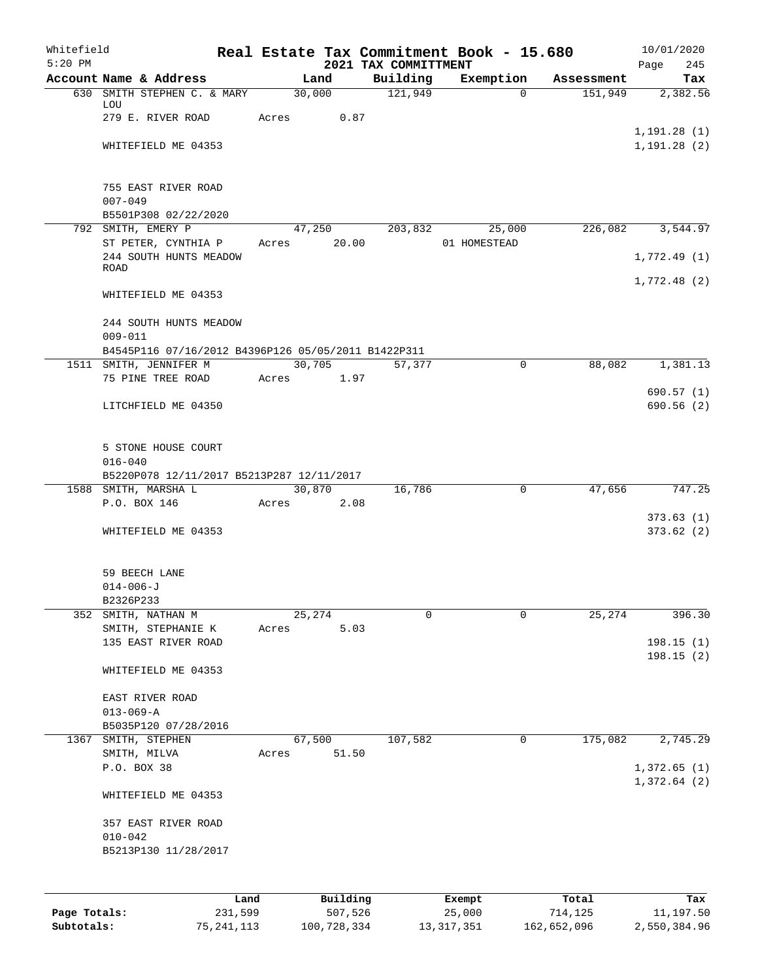| Whitefield   |                                                                               |       |                     |                                  | Real Estate Tax Commitment Book - 15.680 |                  | 10/01/2020                   |
|--------------|-------------------------------------------------------------------------------|-------|---------------------|----------------------------------|------------------------------------------|------------------|------------------------------|
| $5:20$ PM    | Account Name & Address                                                        |       | Land                | 2021 TAX COMMITTMENT<br>Building | Exemption                                | Assessment       | 245<br>Page<br>Tax           |
|              | 630 SMITH STEPHEN C. & MARY                                                   |       | 30,000              | 121,949                          | $\Omega$                                 | 151,949          | 2,382.56                     |
|              | LOU<br>279 E. RIVER ROAD                                                      | Acres | 0.87                |                                  |                                          |                  |                              |
|              | WHITEFIELD ME 04353                                                           |       |                     |                                  |                                          |                  | 1, 191.28(1)<br>1, 191.28(2) |
|              | 755 EAST RIVER ROAD<br>$007 - 049$<br>B5501P308 02/22/2020                    |       |                     |                                  |                                          |                  |                              |
|              | 792 SMITH, EMERY P                                                            |       | 47,250              | 203,832                          | 25,000                                   | 226,082          | 3,544.97                     |
|              | ST PETER, CYNTHIA P<br>244 SOUTH HUNTS MEADOW<br>ROAD                         | Acres | 20.00               |                                  | 01 HOMESTEAD                             |                  | 1,772.49(1)                  |
|              | WHITEFIELD ME 04353                                                           |       |                     |                                  |                                          |                  | 1,772.48(2)                  |
|              | 244 SOUTH HUNTS MEADOW<br>$009 - 011$                                         |       |                     |                                  |                                          |                  |                              |
|              | B4545P116 07/16/2012 B4396P126 05/05/2011 B1422P311<br>1511 SMITH, JENNIFER M |       | 30,705              | 57,377                           | $\mathbf{0}$                             | 88,082           | 1,381.13                     |
|              | 75 PINE TREE ROAD                                                             | Acres | 1.97                |                                  |                                          |                  |                              |
|              | LITCHFIELD ME 04350                                                           |       |                     |                                  |                                          |                  | 690.57(1)<br>690.56(2)       |
|              | 5 STONE HOUSE COURT<br>$016 - 040$                                            |       |                     |                                  |                                          |                  |                              |
|              | B5220P078 12/11/2017 B5213P287 12/11/2017<br>1588 SMITH, MARSHA L             |       | 30,870              | 16,786                           | $\mathbf 0$                              | 47,656           | 747.25                       |
|              | P.O. BOX 146                                                                  | Acres | 2.08                |                                  |                                          |                  |                              |
|              | WHITEFIELD ME 04353                                                           |       |                     |                                  |                                          |                  | 373.63(1)<br>373.62(2)       |
|              | 59 BEECH LANE<br>$014 - 006 - J$<br>B2326P233                                 |       |                     |                                  |                                          |                  |                              |
|              | 352 SMITH, NATHAN M                                                           |       | 25,274              | 0                                | $\mathbf 0$                              | 25,274           | 396.30                       |
|              | SMITH, STEPHANIE K<br>135 EAST RIVER ROAD                                     | Acres | 5.03                |                                  |                                          |                  | 198.15(1)                    |
|              | WHITEFIELD ME 04353                                                           |       |                     |                                  |                                          |                  | 198.15(2)                    |
|              | EAST RIVER ROAD<br>$013 - 069 - A$<br>B5035P120 07/28/2016                    |       |                     |                                  |                                          |                  |                              |
|              | 1367 SMITH, STEPHEN                                                           |       | 67,500              | 107,582                          | $\mathbf 0$                              | 175,082          | 2,745.29                     |
|              | SMITH, MILVA<br>P.O. BOX 38                                                   | Acres | 51.50               |                                  |                                          |                  | 1,372.65(1)                  |
|              | WHITEFIELD ME 04353                                                           |       |                     |                                  |                                          |                  | 1,372.64(2)                  |
|              | 357 EAST RIVER ROAD<br>$010 - 042$<br>B5213P130 11/28/2017                    |       |                     |                                  |                                          |                  |                              |
|              |                                                                               |       |                     |                                  |                                          |                  |                              |
| Page Totals: | Land<br>231,599                                                               |       | Building<br>507,526 |                                  | Exempt<br>25,000                         | Total<br>714,125 | Tax<br>11,197.50             |

**Subtotals:** 75,241,113 100,728,334 13,317,351 162,652,096 2,550,384.96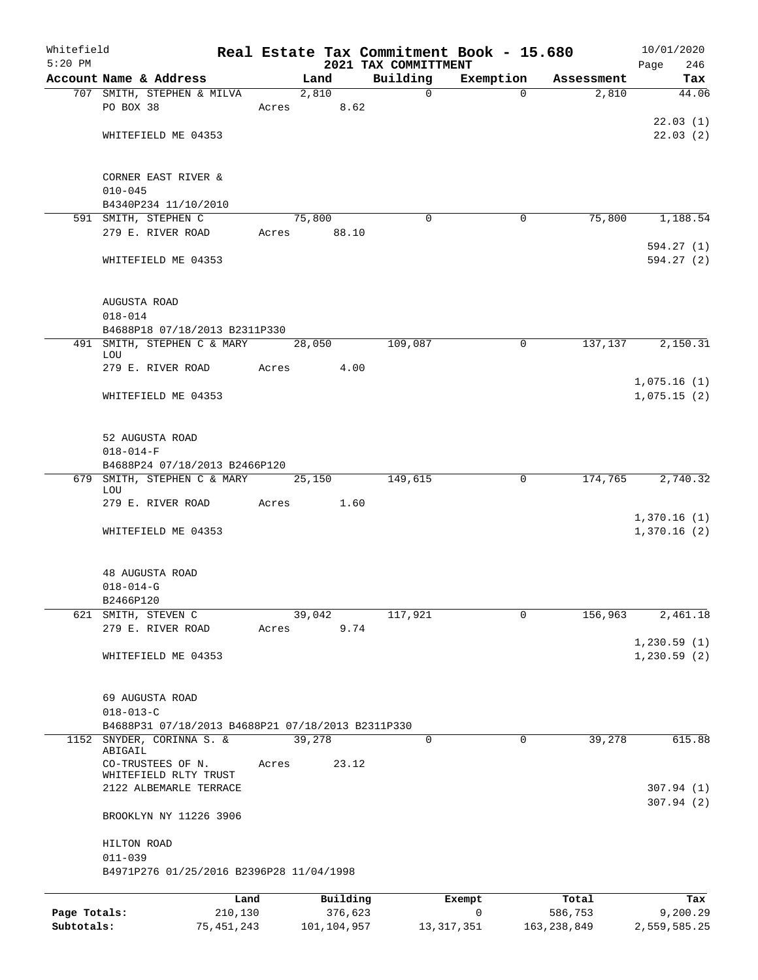| Whitefield<br>$5:20$ PM |                                                   |                 |       |        |                     | 2021 TAX COMMITTMENT | Real Estate Tax Commitment Book - 15.680 |             |                  | 10/01/2020<br>Page<br>246 |
|-------------------------|---------------------------------------------------|-----------------|-------|--------|---------------------|----------------------|------------------------------------------|-------------|------------------|---------------------------|
|                         | Account Name & Address                            |                 |       | Land   |                     | Building             | Exemption                                |             | Assessment       | Tax                       |
|                         | 707 SMITH, STEPHEN & MILVA                        |                 |       | 2,810  |                     | 0                    |                                          | $\Omega$    | 2,810            | 44.06                     |
|                         | PO BOX 38                                         |                 | Acres |        | 8.62                |                      |                                          |             |                  |                           |
|                         |                                                   |                 |       |        |                     |                      |                                          |             |                  | 22.03(1)                  |
|                         | WHITEFIELD ME 04353                               |                 |       |        |                     |                      |                                          |             |                  | 22.03(2)                  |
|                         |                                                   |                 |       |        |                     |                      |                                          |             |                  |                           |
|                         |                                                   |                 |       |        |                     |                      |                                          |             |                  |                           |
|                         | CORNER EAST RIVER &                               |                 |       |        |                     |                      |                                          |             |                  |                           |
|                         | $010 - 045$                                       |                 |       |        |                     |                      |                                          |             |                  |                           |
|                         | B4340P234 11/10/2010<br>591 SMITH, STEPHEN C      |                 |       | 75,800 |                     | $\Omega$             |                                          | 0           | 75,800           | 1,188.54                  |
|                         | 279 E. RIVER ROAD                                 |                 | Acres |        | 88.10               |                      |                                          |             |                  |                           |
|                         |                                                   |                 |       |        |                     |                      |                                          |             |                  | 594.27(1)                 |
|                         | WHITEFIELD ME 04353                               |                 |       |        |                     |                      |                                          |             |                  | 594.27 (2)                |
|                         |                                                   |                 |       |        |                     |                      |                                          |             |                  |                           |
|                         |                                                   |                 |       |        |                     |                      |                                          |             |                  |                           |
|                         | AUGUSTA ROAD                                      |                 |       |        |                     |                      |                                          |             |                  |                           |
|                         | $018 - 014$                                       |                 |       |        |                     |                      |                                          |             |                  |                           |
|                         | B4688P18 07/18/2013 B2311P330                     |                 |       |        |                     |                      |                                          |             |                  |                           |
| 491                     | SMITH, STEPHEN C & MARY                           |                 |       | 28,050 |                     | 109,087              |                                          | 0           | 137,137          | 2,150.31                  |
|                         | LOU<br>279 E. RIVER ROAD                          |                 | Acres |        | 4.00                |                      |                                          |             |                  |                           |
|                         |                                                   |                 |       |        |                     |                      |                                          |             |                  | 1,075.16(1)               |
|                         | WHITEFIELD ME 04353                               |                 |       |        |                     |                      |                                          |             |                  | 1,075.15(2)               |
|                         |                                                   |                 |       |        |                     |                      |                                          |             |                  |                           |
|                         |                                                   |                 |       |        |                     |                      |                                          |             |                  |                           |
|                         | 52 AUGUSTA ROAD                                   |                 |       |        |                     |                      |                                          |             |                  |                           |
|                         | $018 - 014 - F$                                   |                 |       |        |                     |                      |                                          |             |                  |                           |
|                         | B4688P24 07/18/2013 B2466P120                     |                 |       |        |                     |                      |                                          |             |                  |                           |
| 679                     | SMITH, STEPHEN C & MARY                           |                 |       | 25,150 |                     | 149,615              |                                          | 0           | 174,765          | 2,740.32                  |
|                         | LOU                                               |                 |       |        |                     |                      |                                          |             |                  |                           |
|                         | 279 E. RIVER ROAD                                 |                 | Acres |        | 1.60                |                      |                                          |             |                  | 1,370.16(1)               |
|                         | WHITEFIELD ME 04353                               |                 |       |        |                     |                      |                                          |             |                  | 1,370.16(2)               |
|                         |                                                   |                 |       |        |                     |                      |                                          |             |                  |                           |
|                         |                                                   |                 |       |        |                     |                      |                                          |             |                  |                           |
|                         | 48 AUGUSTA ROAD                                   |                 |       |        |                     |                      |                                          |             |                  |                           |
|                         | $018 - 014 - G$                                   |                 |       |        |                     |                      |                                          |             |                  |                           |
|                         | B2466P120                                         |                 |       |        |                     |                      |                                          |             |                  |                           |
| 621                     | SMITH, STEVEN C                                   |                 |       | 39,042 |                     | 117,921              |                                          | 0           | 156,963          | 2,461.18                  |
|                         | 279 E. RIVER ROAD                                 |                 | Acres |        | 9.74                |                      |                                          |             |                  |                           |
|                         |                                                   |                 |       |        |                     |                      |                                          |             |                  | 1,230.59(1)               |
|                         | WHITEFIELD ME 04353                               |                 |       |        |                     |                      |                                          |             |                  | 1, 230.59(2)              |
|                         |                                                   |                 |       |        |                     |                      |                                          |             |                  |                           |
|                         | 69 AUGUSTA ROAD                                   |                 |       |        |                     |                      |                                          |             |                  |                           |
|                         | $018 - 013 - C$                                   |                 |       |        |                     |                      |                                          |             |                  |                           |
|                         | B4688P31 07/18/2013 B4688P21 07/18/2013 B2311P330 |                 |       |        |                     |                      |                                          |             |                  |                           |
| 1152                    | SNYDER, CORINNA S. &                              |                 |       | 39,278 |                     | $\mathsf{O}$         |                                          | $\mathbf 0$ | 39,278           | 615.88                    |
|                         | ABIGAIL                                           |                 |       |        |                     |                      |                                          |             |                  |                           |
|                         | CO-TRUSTEES OF N.<br>WHITEFIELD RLTY TRUST        |                 | Acres |        | 23.12               |                      |                                          |             |                  |                           |
|                         | 2122 ALBEMARLE TERRACE                            |                 |       |        |                     |                      |                                          |             |                  | 307.94(1)                 |
|                         |                                                   |                 |       |        |                     |                      |                                          |             |                  | 307.94(2)                 |
|                         | BROOKLYN NY 11226 3906                            |                 |       |        |                     |                      |                                          |             |                  |                           |
|                         |                                                   |                 |       |        |                     |                      |                                          |             |                  |                           |
|                         | HILTON ROAD                                       |                 |       |        |                     |                      |                                          |             |                  |                           |
|                         | $011 - 039$                                       |                 |       |        |                     |                      |                                          |             |                  |                           |
|                         | B4971P276 01/25/2016 B2396P28 11/04/1998          |                 |       |        |                     |                      |                                          |             |                  |                           |
|                         |                                                   |                 |       |        |                     |                      |                                          |             |                  |                           |
| Page Totals:            |                                                   | Land<br>210,130 |       |        | Building<br>376,623 |                      | Exempt<br>0                              |             | Total<br>586,753 | Tax<br>9,200.29           |
|                         |                                                   |                 |       |        |                     |                      |                                          |             |                  |                           |

**Subtotals:** 75,451,243 101,104,957 13,317,351 163,238,849 2,559,585.25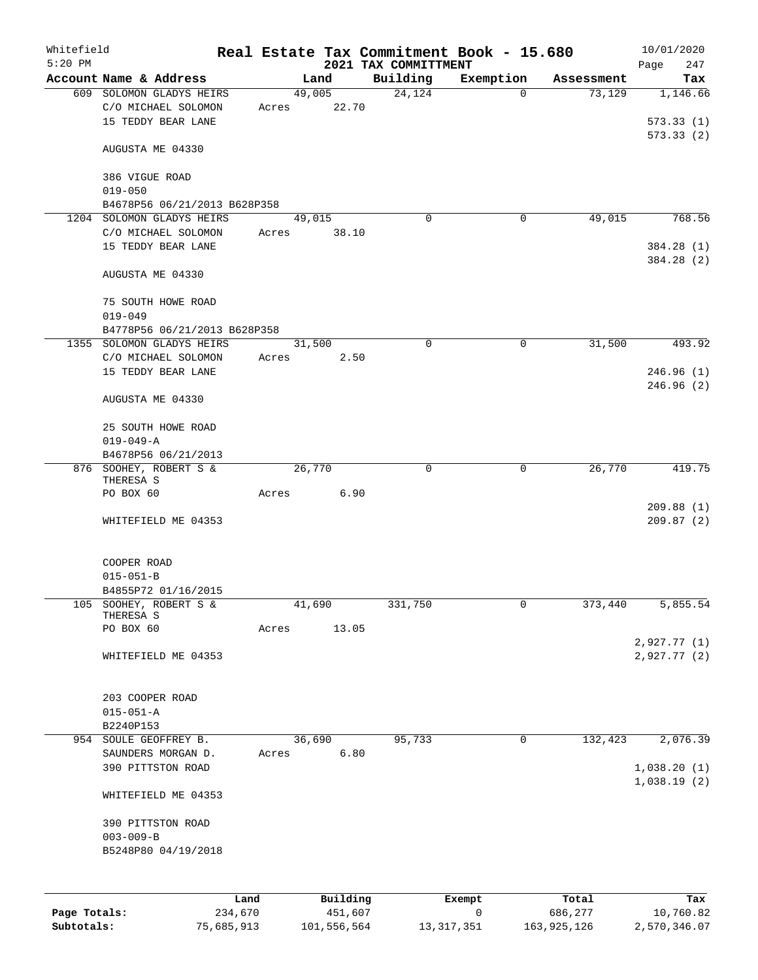| Whitefield<br>$5:20$ PM |                                     |                 |       |        |                     |                                  | Real Estate Tax Commitment Book - 15.680 |             |                  | 10/01/2020         |
|-------------------------|-------------------------------------|-----------------|-------|--------|---------------------|----------------------------------|------------------------------------------|-------------|------------------|--------------------|
|                         | Account Name & Address              |                 |       |        | Land                | 2021 TAX COMMITTMENT<br>Building | Exemption                                |             | Assessment       | 247<br>Page<br>Tax |
|                         | 609 SOLOMON GLADYS HEIRS            |                 |       | 49,005 |                     | 24,124                           | $\overline{0}$                           |             | 73,129           | 1,146.66           |
|                         | C/O MICHAEL SOLOMON                 |                 | Acres |        | 22.70               |                                  |                                          |             |                  |                    |
|                         | 15 TEDDY BEAR LANE                  |                 |       |        |                     |                                  |                                          |             |                  | 573.33(1)          |
|                         |                                     |                 |       |        |                     |                                  |                                          |             |                  | 573.33(2)          |
|                         | AUGUSTA ME 04330                    |                 |       |        |                     |                                  |                                          |             |                  |                    |
|                         | 386 VIGUE ROAD                      |                 |       |        |                     |                                  |                                          |             |                  |                    |
|                         | $019 - 050$                         |                 |       |        |                     |                                  |                                          |             |                  |                    |
|                         | B4678P56 06/21/2013 B628P358        |                 |       |        |                     |                                  |                                          |             |                  |                    |
|                         | 1204 SOLOMON GLADYS HEIRS           |                 |       | 49,015 |                     | $\Omega$                         | 0                                        |             | 49,015           | 768.56             |
|                         | C/O MICHAEL SOLOMON                 |                 | Acres |        | 38.10               |                                  |                                          |             |                  |                    |
|                         | 15 TEDDY BEAR LANE                  |                 |       |        |                     |                                  |                                          |             |                  | 384.28 (1)         |
|                         |                                     |                 |       |        |                     |                                  |                                          |             |                  | 384.28 (2)         |
|                         | AUGUSTA ME 04330                    |                 |       |        |                     |                                  |                                          |             |                  |                    |
|                         | 75 SOUTH HOWE ROAD                  |                 |       |        |                     |                                  |                                          |             |                  |                    |
|                         | $019 - 049$                         |                 |       |        |                     |                                  |                                          |             |                  |                    |
|                         | B4778P56 06/21/2013 B628P358        |                 |       |        |                     |                                  |                                          |             |                  |                    |
|                         | 1355 SOLOMON GLADYS HEIRS           |                 |       | 31,500 |                     | $\mathbf 0$                      | 0                                        |             | 31,500           | 493.92             |
|                         | C/O MICHAEL SOLOMON                 |                 | Acres |        | 2.50                |                                  |                                          |             |                  |                    |
|                         | 15 TEDDY BEAR LANE                  |                 |       |        |                     |                                  |                                          |             |                  | 246.96(1)          |
|                         |                                     |                 |       |        |                     |                                  |                                          |             |                  | 246.96(2)          |
|                         | AUGUSTA ME 04330                    |                 |       |        |                     |                                  |                                          |             |                  |                    |
|                         |                                     |                 |       |        |                     |                                  |                                          |             |                  |                    |
|                         | 25 SOUTH HOWE ROAD                  |                 |       |        |                     |                                  |                                          |             |                  |                    |
|                         | $019 - 049 - A$                     |                 |       |        |                     |                                  |                                          |             |                  |                    |
|                         | B4678P56 06/21/2013                 |                 |       |        |                     |                                  |                                          |             |                  |                    |
|                         | 876 SOOHEY, ROBERT S &<br>THERESA S |                 |       | 26,770 |                     | $\mathbf 0$                      | $\mathbf 0$                              |             | 26,770           | 419.75             |
|                         | PO BOX 60                           |                 | Acres |        | 6.90                |                                  |                                          |             |                  |                    |
|                         |                                     |                 |       |        |                     |                                  |                                          |             |                  | 209.88(1)          |
|                         | WHITEFIELD ME 04353                 |                 |       |        |                     |                                  |                                          |             |                  | 209.87(2)          |
|                         |                                     |                 |       |        |                     |                                  |                                          |             |                  |                    |
|                         | COOPER ROAD                         |                 |       |        |                     |                                  |                                          |             |                  |                    |
|                         | $015 - 051 - B$                     |                 |       |        |                     |                                  |                                          |             |                  |                    |
|                         | B4855P72 01/16/2015                 |                 |       |        |                     |                                  |                                          |             |                  |                    |
| 105                     | SOOHEY, ROBERT S &                  |                 |       | 41,690 |                     | 331,750                          | 0                                        |             | 373,440          | 5,855.54           |
|                         | THERESA S                           |                 |       |        |                     |                                  |                                          |             |                  |                    |
|                         | PO BOX 60                           |                 | Acres |        | 13.05               |                                  |                                          |             |                  |                    |
|                         |                                     |                 |       |        |                     |                                  |                                          |             |                  | 2,927.77(1)        |
|                         | WHITEFIELD ME 04353                 |                 |       |        |                     |                                  |                                          |             |                  | 2,927.77 (2)       |
|                         |                                     |                 |       |        |                     |                                  |                                          |             |                  |                    |
|                         | 203 COOPER ROAD                     |                 |       |        |                     |                                  |                                          |             |                  |                    |
|                         | $015 - 051 - A$                     |                 |       |        |                     |                                  |                                          |             |                  |                    |
|                         | B2240P153                           |                 |       |        |                     |                                  |                                          |             |                  |                    |
|                         | 954 SOULE GEOFFREY B.               |                 |       | 36,690 |                     | 95,733                           | $\mathbf 0$                              |             | 132,423          | 2,076.39           |
|                         | SAUNDERS MORGAN D.                  |                 | Acres |        | 6.80                |                                  |                                          |             |                  |                    |
|                         | 390 PITTSTON ROAD                   |                 |       |        |                     |                                  |                                          |             |                  | 1,038.20(1)        |
|                         | WHITEFIELD ME 04353                 |                 |       |        |                     |                                  |                                          |             |                  | 1,038.19(2)        |
|                         | 390 PITTSTON ROAD                   |                 |       |        |                     |                                  |                                          |             |                  |                    |
|                         | $003 - 009 - B$                     |                 |       |        |                     |                                  |                                          |             |                  |                    |
|                         | B5248P80 04/19/2018                 |                 |       |        |                     |                                  |                                          |             |                  |                    |
|                         |                                     |                 |       |        |                     |                                  |                                          |             |                  |                    |
|                         |                                     |                 |       |        |                     |                                  |                                          |             |                  |                    |
| Page Totals:            |                                     | Land<br>234,670 |       |        | Building<br>451,607 |                                  | Exempt<br>0                              |             | Total<br>686,277 | Tax<br>10,760.82   |
| Subtotals:              |                                     | 75,685,913      |       |        | 101,556,564         |                                  | 13, 317, 351                             | 163,925,126 |                  | 2,570,346.07       |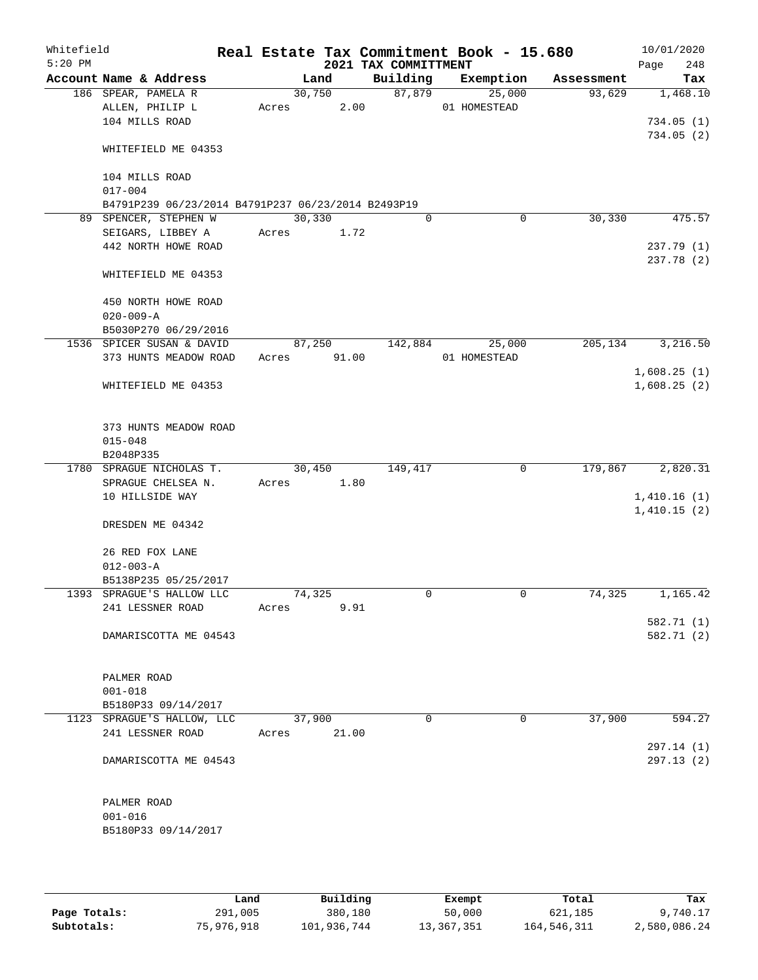| Whitefield<br>$5:20$ PM |                                                    |             |        |       | 2021 TAX COMMITTMENT | Real Estate Tax Commitment Book - 15.680 |        |            | 10/01/2020<br>Page<br>248 |
|-------------------------|----------------------------------------------------|-------------|--------|-------|----------------------|------------------------------------------|--------|------------|---------------------------|
|                         | Account Name & Address                             |             | Land   |       | Building             | Exemption                                |        | Assessment | Tax                       |
|                         | 186 SPEAR, PAMELA R                                |             | 30,750 |       | 87,879               |                                          | 25,000 | 93,629     | 1,468.10                  |
|                         | ALLEN, PHILIP L                                    | Acres       |        | 2.00  |                      | 01 HOMESTEAD                             |        |            |                           |
|                         | 104 MILLS ROAD                                     |             |        |       |                      |                                          |        |            | 734.05(1)                 |
|                         | WHITEFIELD ME 04353                                |             |        |       |                      |                                          |        |            | 734.05(2)                 |
|                         | 104 MILLS ROAD                                     |             |        |       |                      |                                          |        |            |                           |
|                         | $017 - 004$                                        |             |        |       |                      |                                          |        |            |                           |
|                         | B4791P239 06/23/2014 B4791P237 06/23/2014 B2493P19 |             |        |       |                      |                                          |        |            |                           |
|                         | 89 SPENCER, STEPHEN W                              |             | 30,330 |       | 0                    |                                          | 0      | 30, 330    | 475.57                    |
|                         | SEIGARS, LIBBEY A                                  | Acres       |        | 1.72  |                      |                                          |        |            |                           |
|                         | 442 NORTH HOWE ROAD                                |             |        |       |                      |                                          |        |            | 237.79 (1)                |
|                         | WHITEFIELD ME 04353                                |             |        |       |                      |                                          |        |            | 237.78 (2)                |
|                         | 450 NORTH HOWE ROAD                                |             |        |       |                      |                                          |        |            |                           |
|                         | $020 - 009 - A$                                    |             |        |       |                      |                                          |        |            |                           |
|                         | B5030P270 06/29/2016                               |             |        |       |                      |                                          |        |            |                           |
|                         | 1536 SPICER SUSAN & DAVID                          |             | 87,250 |       | 142,884              |                                          | 25,000 | 205,134    | 3,216.50                  |
|                         | 373 HUNTS MEADOW ROAD                              | Acres 91.00 |        |       |                      | 01 HOMESTEAD                             |        |            |                           |
|                         |                                                    |             |        |       |                      |                                          |        |            | 1,608.25(1)               |
|                         | WHITEFIELD ME 04353                                |             |        |       |                      |                                          |        |            | 1,608.25(2)               |
|                         |                                                    |             |        |       |                      |                                          |        |            |                           |
|                         | 373 HUNTS MEADOW ROAD                              |             |        |       |                      |                                          |        |            |                           |
|                         | $015 - 048$                                        |             |        |       |                      |                                          |        |            |                           |
|                         | B2048P335                                          |             |        |       |                      |                                          |        |            |                           |
|                         | 1780 SPRAGUE NICHOLAS T.                           |             | 30,450 |       | 149,417              |                                          | 0      | 179,867    | 2,820.31                  |
|                         | SPRAGUE CHELSEA N.                                 | Acres       |        | 1.80  |                      |                                          |        |            |                           |
|                         | 10 HILLSIDE WAY                                    |             |        |       |                      |                                          |        |            | 1,410.16(1)               |
|                         |                                                    |             |        |       |                      |                                          |        |            | 1,410.15(2)               |
|                         | DRESDEN ME 04342                                   |             |        |       |                      |                                          |        |            |                           |
|                         | 26 RED FOX LANE                                    |             |        |       |                      |                                          |        |            |                           |
|                         | $012 - 003 - A$                                    |             |        |       |                      |                                          |        |            |                           |
|                         | B5138P235 05/25/2017                               |             |        |       |                      |                                          |        |            |                           |
|                         | 1393 SPRAGUE'S HALLOW LLC                          |             | 74,325 |       | 0                    |                                          | 0      | 74,325     | 1,165.42                  |
|                         | 241 LESSNER ROAD                                   | Acres       |        | 9.91  |                      |                                          |        |            |                           |
|                         |                                                    |             |        |       |                      |                                          |        |            | 582.71 (1)                |
|                         | DAMARISCOTTA ME 04543                              |             |        |       |                      |                                          |        |            | 582.71 (2)                |
|                         | PALMER ROAD                                        |             |        |       |                      |                                          |        |            |                           |
|                         | $001 - 018$                                        |             |        |       |                      |                                          |        |            |                           |
|                         | B5180P33 09/14/2017                                |             |        |       |                      |                                          |        |            |                           |
|                         | 1123 SPRAGUE'S HALLOW, LLC                         |             | 37,900 |       | $\Omega$             |                                          | 0      | 37,900     | 594.27                    |
|                         | 241 LESSNER ROAD                                   | Acres       |        | 21.00 |                      |                                          |        |            |                           |
|                         |                                                    |             |        |       |                      |                                          |        |            | 297.14 (1)                |
|                         | DAMARISCOTTA ME 04543                              |             |        |       |                      |                                          |        |            | 297.13(2)                 |
|                         | PALMER ROAD                                        |             |        |       |                      |                                          |        |            |                           |
|                         | $001 - 016$                                        |             |        |       |                      |                                          |        |            |                           |
|                         | B5180P33 09/14/2017                                |             |        |       |                      |                                          |        |            |                           |
|                         |                                                    |             |        |       |                      |                                          |        |            |                           |
|                         |                                                    |             |        |       |                      |                                          |        |            |                           |

|              | Land       | Building    | Exempt     | Total       | Tax          |
|--------------|------------|-------------|------------|-------------|--------------|
| Page Totals: | 291,005    | 380,180     | 50,000     | 621,185     | 9,740.17     |
| Subtotals:   | 75,976,918 | 101,936,744 | 13,367,351 | 164,546,311 | 2,580,086.24 |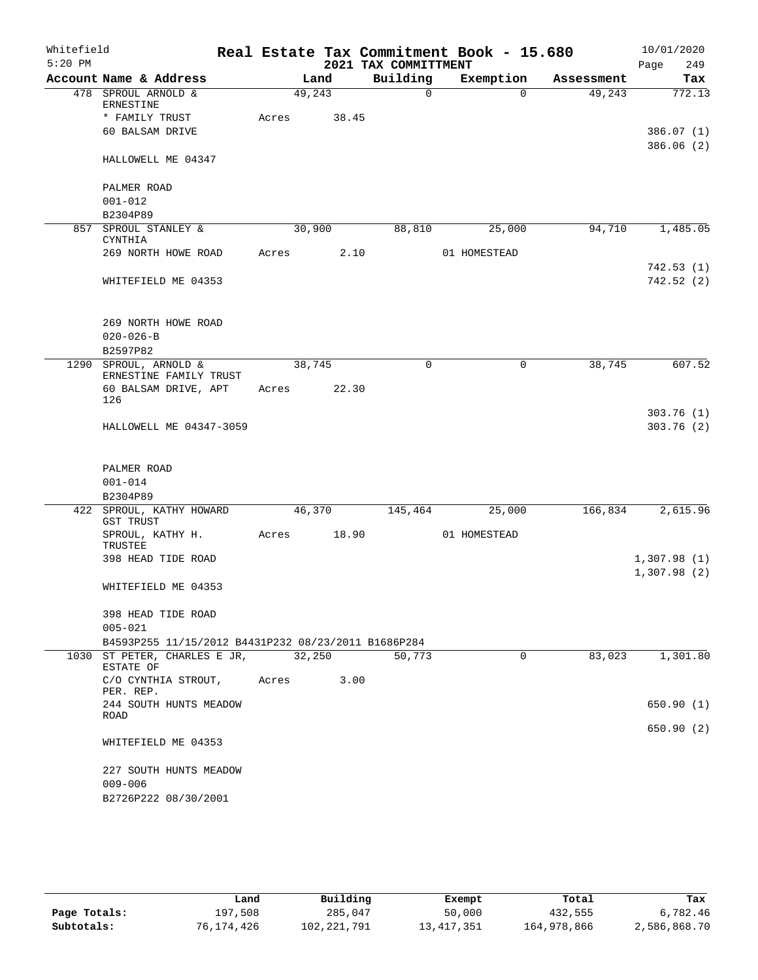| Whitefield |                                                     |       |        |       |                      | Real Estate Tax Commitment Book - 15.680 |             | 10/01/2020                 |
|------------|-----------------------------------------------------|-------|--------|-------|----------------------|------------------------------------------|-------------|----------------------------|
| $5:20$ PM  |                                                     |       |        |       | 2021 TAX COMMITTMENT |                                          |             | 249<br>Page                |
|            | Account Name & Address                              |       | Land   |       | Building             | Exemption                                | Assessment  | Tax                        |
|            | 478 SPROUL ARNOLD &<br><b>ERNESTINE</b>             |       | 49,243 |       | $\mathbf 0$          | $\Omega$                                 | 49,243      | 772.13                     |
|            | * FAMILY TRUST                                      | Acres | 38.45  |       |                      |                                          |             |                            |
|            | 60 BALSAM DRIVE                                     |       |        |       |                      |                                          |             | 386.07 (1)                 |
|            | HALLOWELL ME 04347                                  |       |        |       |                      |                                          |             | 386.06 (2)                 |
|            | PALMER ROAD                                         |       |        |       |                      |                                          |             |                            |
|            | $001 - 012$                                         |       |        |       |                      |                                          |             |                            |
|            | B2304P89                                            |       |        |       |                      |                                          |             |                            |
|            | 857 SPROUL STANLEY &<br><b>CYNTHIA</b>              |       | 30,900 |       | 88,810               | 25,000                                   | 94,710      | 1,485.05                   |
|            | 269 NORTH HOWE ROAD                                 | Acres |        | 2.10  |                      | 01 HOMESTEAD                             |             |                            |
|            |                                                     |       |        |       |                      |                                          |             | 742.53(1)                  |
|            | WHITEFIELD ME 04353                                 |       |        |       |                      |                                          |             | 742.52 (2)                 |
|            | 269 NORTH HOWE ROAD                                 |       |        |       |                      |                                          |             |                            |
|            | $020 - 026 - B$                                     |       |        |       |                      |                                          |             |                            |
|            | B2597P82                                            |       |        |       |                      |                                          |             |                            |
|            | 1290 SPROUL, ARNOLD &<br>ERNESTINE FAMILY TRUST     |       | 38,745 |       | $\mathbf 0$          | 0                                        | 38,745      | 607.52                     |
|            | 60 BALSAM DRIVE, APT<br>126                         | Acres | 22.30  |       |                      |                                          |             |                            |
|            |                                                     |       |        |       |                      |                                          |             | 303.76(1)                  |
|            | HALLOWELL ME 04347-3059                             |       |        |       |                      |                                          |             | 303.76(2)                  |
|            |                                                     |       |        |       |                      |                                          |             |                            |
|            | PALMER ROAD                                         |       |        |       |                      |                                          |             |                            |
|            | $001 - 014$<br>B2304P89                             |       |        |       |                      |                                          |             |                            |
|            | 422 SPROUL, KATHY HOWARD<br>GST TRUST               |       | 46,370 |       | 145,464              | 25,000                                   | 166,834     | 2,615.96                   |
|            | SPROUL, KATHY H.<br>TRUSTEE                         | Acres |        | 18.90 |                      | 01 HOMESTEAD                             |             |                            |
|            | 398 HEAD TIDE ROAD                                  |       |        |       |                      |                                          |             | 1,307.98(1)<br>1,307.98(2) |
|            | WHITEFIELD ME 04353                                 |       |        |       |                      |                                          |             |                            |
|            | 398 HEAD TIDE ROAD                                  |       |        |       |                      |                                          |             |                            |
|            | $005 - 021$                                         |       |        |       |                      |                                          |             |                            |
|            | B4593P255 11/15/2012 B4431P232 08/23/2011 B1686P284 |       |        |       |                      |                                          |             |                            |
|            | 1030 ST PETER, CHARLES E JR,<br>ESTATE OF           |       | 32,250 |       | 50,773               |                                          | 83,023<br>0 | 1,301.80                   |
|            | C/O CYNTHIA STROUT,<br>PER. REP.                    |       | Acres  | 3.00  |                      |                                          |             |                            |
|            | 244 SOUTH HUNTS MEADOW<br>ROAD                      |       |        |       |                      |                                          |             | 650.90(1)                  |
|            | WHITEFIELD ME 04353                                 |       |        |       |                      |                                          |             | 650.90 (2)                 |
|            | 227 SOUTH HUNTS MEADOW                              |       |        |       |                      |                                          |             |                            |
|            | $009 - 006$                                         |       |        |       |                      |                                          |             |                            |
|            | B2726P222 08/30/2001                                |       |        |       |                      |                                          |             |                            |

|              | Land       | Building      |              | Total       | Tax          |
|--------------|------------|---------------|--------------|-------------|--------------|
|              |            |               | Exempt       |             |              |
| Page Totals: | 197,508    | 285,047       | 50,000       | 432,555     | 6,782.46     |
| Subtotals:   | 76,174,426 | 102, 221, 791 | 13, 417, 351 | 164,978,866 | 2,586,868.70 |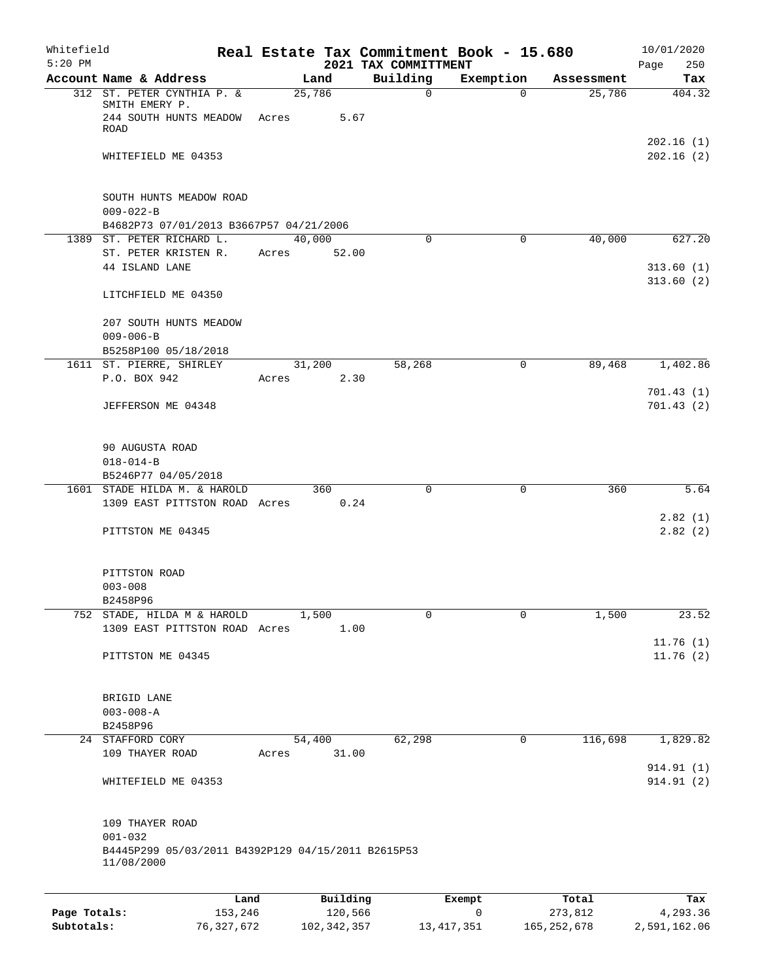| Whitefield   |                                                                      |            |       |               |                                  | Real Estate Tax Commitment Book - 15.680 |               | 10/01/2020              |
|--------------|----------------------------------------------------------------------|------------|-------|---------------|----------------------------------|------------------------------------------|---------------|-------------------------|
| $5:20$ PM    | Account Name & Address                                               |            |       | Land          | 2021 TAX COMMITTMENT<br>Building | Exemption                                | Assessment    | 250<br>Page<br>Tax      |
|              | 312 ST. PETER CYNTHIA P. &                                           |            |       | 25,786        | $\mathbf 0$                      | $\Omega$                                 | 25,786        | 404.32                  |
|              | SMITH EMERY P.<br>244 SOUTH HUNTS MEADOW Acres<br><b>ROAD</b>        |            |       | 5.67          |                                  |                                          |               |                         |
|              | WHITEFIELD ME 04353                                                  |            |       |               |                                  |                                          |               | 202.16(1)<br>202.16(2)  |
|              |                                                                      |            |       |               |                                  |                                          |               |                         |
|              | SOUTH HUNTS MEADOW ROAD<br>$009 - 022 - B$                           |            |       |               |                                  |                                          |               |                         |
|              | B4682P73 07/01/2013 B3667P57 04/21/2006<br>1389 ST. PETER RICHARD L. |            |       | 40,000        | $\mathbf 0$                      | $\mathbf 0$                              | 40,000        | 627.20                  |
|              | ST. PETER KRISTEN R.                                                 |            | Acres | 52.00         |                                  |                                          |               |                         |
|              | 44 ISLAND LANE                                                       |            |       |               |                                  |                                          |               | 313.60(1)<br>313.60(2)  |
|              | LITCHFIELD ME 04350                                                  |            |       |               |                                  |                                          |               |                         |
|              | 207 SOUTH HUNTS MEADOW                                               |            |       |               |                                  |                                          |               |                         |
|              | $009 - 006 - B$                                                      |            |       |               |                                  |                                          |               |                         |
|              | B5258P100 05/18/2018                                                 |            |       |               |                                  |                                          |               |                         |
|              | 1611 ST. PIERRE, SHIRLEY<br>P.O. BOX 942                             |            |       | 31,200        | 58,268                           | $\mathbf 0$                              | 89,468        | 1,402.86                |
|              |                                                                      |            | Acres | 2.30          |                                  |                                          |               | 701.43(1)               |
|              | JEFFERSON ME 04348                                                   |            |       |               |                                  |                                          |               | 701.43(2)               |
|              | 90 AUGUSTA ROAD                                                      |            |       |               |                                  |                                          |               |                         |
|              | $018 - 014 - B$                                                      |            |       |               |                                  |                                          |               |                         |
|              | B5246P77 04/05/2018                                                  |            |       |               |                                  |                                          |               |                         |
|              | 1601 STADE HILDA M. & HAROLD<br>1309 EAST PITTSTON ROAD Acres        |            |       | 360<br>0.24   | $\mathbf 0$                      | $\mathbf 0$                              | 360           | 5.64                    |
|              | PITTSTON ME 04345                                                    |            |       |               |                                  |                                          |               | 2.82(1)<br>2.82(2)      |
|              |                                                                      |            |       |               |                                  |                                          |               |                         |
|              | PITTSTON ROAD                                                        |            |       |               |                                  |                                          |               |                         |
|              | $003 - 008$                                                          |            |       |               |                                  |                                          |               |                         |
|              | B2458P96                                                             |            |       |               |                                  |                                          |               |                         |
|              | 752 STADE, HILDA M & HAROLD<br>1309 EAST PITTSTON ROAD Acres         |            |       | 1,500<br>1.00 | 0                                | 0                                        | 1,500         | 23.52                   |
|              |                                                                      |            |       |               |                                  |                                          |               | 11.76(1)                |
|              | PITTSTON ME 04345                                                    |            |       |               |                                  |                                          |               | 11.76(2)                |
|              |                                                                      |            |       |               |                                  |                                          |               |                         |
|              | BRIGID LANE<br>$003 - 008 - A$                                       |            |       |               |                                  |                                          |               |                         |
|              | B2458P96                                                             |            |       |               |                                  |                                          |               |                         |
|              | 24 STAFFORD CORY                                                     |            |       | 54,400        | 62,298                           | 0                                        | 116,698       | 1,829.82                |
|              | 109 THAYER ROAD                                                      |            | Acres | 31.00         |                                  |                                          |               |                         |
|              | WHITEFIELD ME 04353                                                  |            |       |               |                                  |                                          |               | 914.91(1)<br>914.91 (2) |
|              | 109 THAYER ROAD                                                      |            |       |               |                                  |                                          |               |                         |
|              | $001 - 032$                                                          |            |       |               |                                  |                                          |               |                         |
|              | B4445P299 05/03/2011 B4392P129 04/15/2011 B2615P53<br>11/08/2000     |            |       |               |                                  |                                          |               |                         |
|              |                                                                      | Land       |       | Building      |                                  | Exempt                                   | Total         | Tax                     |
| Page Totals: |                                                                      | 153,246    |       | 120,566       |                                  | 0                                        | 273,812       | 4,293.36                |
| Subtotals:   |                                                                      | 76,327,672 |       | 102,342,357   |                                  | 13, 417, 351                             | 165, 252, 678 | 2,591,162.06            |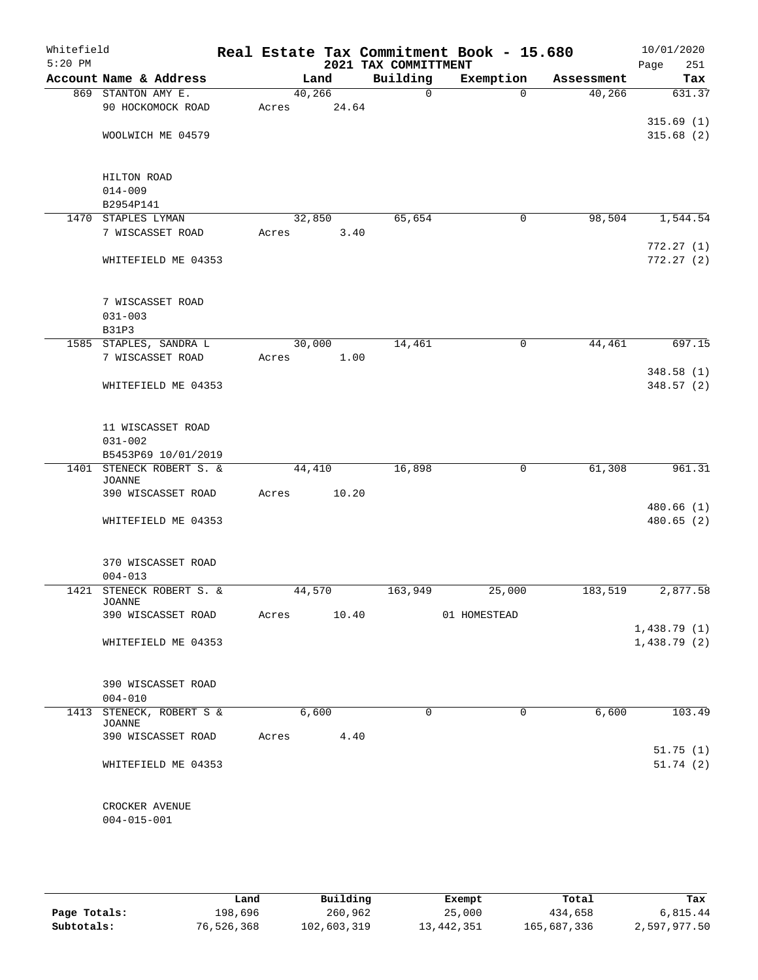| Whitefield |                                           |        |       |                      |          | Real Estate Tax Commitment Book - 15.680 |          |            | 10/01/2020             |
|------------|-------------------------------------------|--------|-------|----------------------|----------|------------------------------------------|----------|------------|------------------------|
| $5:20$ PM  |                                           |        |       | 2021 TAX COMMITTMENT |          |                                          |          |            | 251<br>Page            |
|            | Account Name & Address                    |        | Land  | Building             |          | Exemption                                |          | Assessment | Tax                    |
|            | 869 STANTON AMY E.                        | 40,266 |       |                      | $\Omega$ |                                          | $\Omega$ | 40,266     | 631.37                 |
|            | 90 HOCKOMOCK ROAD                         | Acres  | 24.64 |                      |          |                                          |          |            |                        |
|            | WOOLWICH ME 04579                         |        |       |                      |          |                                          |          |            | 315.69(1)<br>315.68(2) |
|            |                                           |        |       |                      |          |                                          |          |            |                        |
|            |                                           |        |       |                      |          |                                          |          |            |                        |
|            | HILTON ROAD                               |        |       |                      |          |                                          |          |            |                        |
|            | $014 - 009$                               |        |       |                      |          |                                          |          |            |                        |
|            | B2954P141                                 |        |       |                      |          |                                          |          |            |                        |
|            | 1470 STAPLES LYMAN                        | 32,850 |       |                      | 65,654   |                                          | 0        | 98,504     | 1,544.54               |
|            | 7 WISCASSET ROAD                          | Acres  | 3.40  |                      |          |                                          |          |            |                        |
|            |                                           |        |       |                      |          |                                          |          |            | 772.27(1)              |
|            | WHITEFIELD ME 04353                       |        |       |                      |          |                                          |          |            | 772.27(2)              |
|            |                                           |        |       |                      |          |                                          |          |            |                        |
|            | 7 WISCASSET ROAD                          |        |       |                      |          |                                          |          |            |                        |
|            | $031 - 003$                               |        |       |                      |          |                                          |          |            |                        |
|            | <b>B31P3</b>                              |        |       |                      |          |                                          |          |            |                        |
|            | 1585 STAPLES, SANDRA L                    | 30,000 |       |                      | 14,461   |                                          | 0        | 44,461     | 697.15                 |
|            | 7 WISCASSET ROAD                          | Acres  | 1.00  |                      |          |                                          |          |            |                        |
|            |                                           |        |       |                      |          |                                          |          |            | 348.58(1)              |
|            | WHITEFIELD ME 04353                       |        |       |                      |          |                                          |          |            | 348.57(2)              |
|            |                                           |        |       |                      |          |                                          |          |            |                        |
|            |                                           |        |       |                      |          |                                          |          |            |                        |
|            | 11 WISCASSET ROAD                         |        |       |                      |          |                                          |          |            |                        |
|            | $031 - 002$                               |        |       |                      |          |                                          |          |            |                        |
|            | B5453P69 10/01/2019                       |        |       |                      |          |                                          |          |            |                        |
|            | 1401 STENECK ROBERT S. &<br><b>JOANNE</b> | 44,410 |       |                      | 16,898   |                                          | 0        | 61,308     | 961.31                 |
|            | 390 WISCASSET ROAD                        | Acres  | 10.20 |                      |          |                                          |          |            |                        |
|            |                                           |        |       |                      |          |                                          |          |            | 480.66(1)              |
|            | WHITEFIELD ME 04353                       |        |       |                      |          |                                          |          |            | 480.65(2)              |
|            |                                           |        |       |                      |          |                                          |          |            |                        |
|            |                                           |        |       |                      |          |                                          |          |            |                        |
|            | 370 WISCASSET ROAD                        |        |       |                      |          |                                          |          |            |                        |
|            | $004 - 013$<br>1421 STENECK ROBERT S. &   | 44,570 |       |                      | 163,949  | 25,000                                   |          | 183,519    | 2,877.58               |
|            | JOANNE                                    |        |       |                      |          |                                          |          |            |                        |
|            | 390 WISCASSET ROAD                        | Acres  | 10.40 |                      |          | 01 HOMESTEAD                             |          |            |                        |
|            |                                           |        |       |                      |          |                                          |          |            | 1,438.79(1)            |
|            | WHITEFIELD ME 04353                       |        |       |                      |          |                                          |          |            | 1,438.79(2)            |
|            |                                           |        |       |                      |          |                                          |          |            |                        |
|            | 390 WISCASSET ROAD                        |        |       |                      |          |                                          |          |            |                        |
|            | $004 - 010$                               |        |       |                      |          |                                          |          |            |                        |
|            | 1413 STENECK, ROBERT S &                  |        | 6,600 |                      | $\Omega$ |                                          | 0        | 6,600      | 103.49                 |
|            | JOANNE                                    |        |       |                      |          |                                          |          |            |                        |
|            | 390 WISCASSET ROAD                        | Acres  | 4.40  |                      |          |                                          |          |            |                        |
|            |                                           |        |       |                      |          |                                          |          |            | 51.75(1)               |
|            | WHITEFIELD ME 04353                       |        |       |                      |          |                                          |          |            | 51.74(2)               |
|            |                                           |        |       |                      |          |                                          |          |            |                        |
|            |                                           |        |       |                      |          |                                          |          |            |                        |
|            | CROCKER AVENUE                            |        |       |                      |          |                                          |          |            |                        |
|            | $004 - 015 - 001$                         |        |       |                      |          |                                          |          |            |                        |
|            |                                           |        |       |                      |          |                                          |          |            |                        |

|              | Land       | Building    | Exempt       | Total       | Tax          |
|--------------|------------|-------------|--------------|-------------|--------------|
| Page Totals: | 198,696    | 260,962     | 25,000       | 434,658     | 6,815.44     |
| Subtotals:   | 76,526,368 | 102,603,319 | 13, 442, 351 | 165,687,336 | 2,597,977.50 |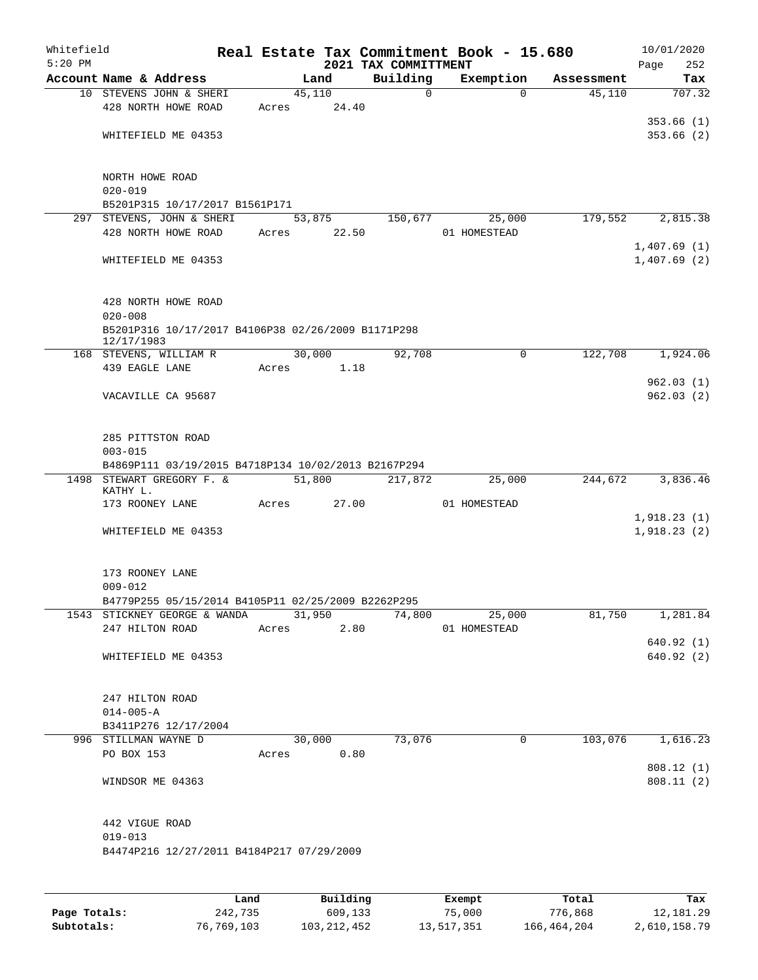| Whitefield<br>$5:20$ PM |                                                     |       |        |                | 2021 TAX COMMITTMENT |             | Real Estate Tax Commitment Book - 15.680 |            | 10/01/2020<br>Page<br>252 |
|-------------------------|-----------------------------------------------------|-------|--------|----------------|----------------------|-------------|------------------------------------------|------------|---------------------------|
|                         | Account Name & Address                              |       |        | Land           | Building             |             | Exemption                                | Assessment | Tax                       |
|                         | 10 STEVENS JOHN & SHERI                             |       | 45,110 |                |                      | $\mathbf 0$ | $\Omega$                                 | 45,110     | 707.32                    |
|                         | 428 NORTH HOWE ROAD                                 | Acres |        | 24.40          |                      |             |                                          |            |                           |
|                         |                                                     |       |        |                |                      |             |                                          |            | 353.66(1)                 |
|                         | WHITEFIELD ME 04353                                 |       |        |                |                      |             |                                          |            | 353.66(2)                 |
|                         |                                                     |       |        |                |                      |             |                                          |            |                           |
|                         | NORTH HOWE ROAD                                     |       |        |                |                      |             |                                          |            |                           |
|                         | $020 - 019$                                         |       |        |                |                      |             |                                          |            |                           |
|                         | B5201P315 10/17/2017 B1561P171                      |       |        |                |                      |             |                                          |            |                           |
|                         | 297 STEVENS, JOHN & SHERI                           |       | 53,875 |                | 150,677              |             | 25,000                                   | 179,552    | 2,815.38                  |
|                         | 428 NORTH HOWE ROAD                                 | Acres |        | 22.50          |                      |             | 01 HOMESTEAD                             |            |                           |
|                         |                                                     |       |        |                |                      |             |                                          |            | 1,407.69(1)               |
|                         | WHITEFIELD ME 04353                                 |       |        |                |                      |             |                                          |            | 1,407.69(2)               |
|                         |                                                     |       |        |                |                      |             |                                          |            |                           |
|                         | 428 NORTH HOWE ROAD                                 |       |        |                |                      |             |                                          |            |                           |
|                         | $020 - 008$                                         |       |        |                |                      |             |                                          |            |                           |
|                         | B5201P316 10/17/2017 B4106P38 02/26/2009 B1171P298  |       |        |                |                      |             |                                          |            |                           |
|                         | 12/17/1983                                          |       |        |                |                      |             |                                          |            |                           |
|                         | 168 STEVENS, WILLIAM R<br>439 EAGLE LANE            | Acres | 30,000 | 1.18           | 92,708               |             | $\mathbf 0$                              | 122,708    | 1,924.06                  |
|                         |                                                     |       |        |                |                      |             |                                          |            | 962.03(1)                 |
|                         | VACAVILLE CA 95687                                  |       |        |                |                      |             |                                          |            | 962.03(2)                 |
|                         |                                                     |       |        |                |                      |             |                                          |            |                           |
|                         |                                                     |       |        |                |                      |             |                                          |            |                           |
|                         | 285 PITTSTON ROAD                                   |       |        |                |                      |             |                                          |            |                           |
|                         | $003 - 015$                                         |       |        |                |                      |             |                                          |            |                           |
| 1498                    | B4869P111 03/19/2015 B4718P134 10/02/2013 B2167P294 |       |        |                |                      |             |                                          |            |                           |
|                         | STEWART GREGORY F. &<br>KATHY L.                    |       | 51,800 |                | 217,872              |             | 25,000                                   | 244,672    | 3,836.46                  |
|                         | 173 ROONEY LANE                                     | Acres |        | 27.00          |                      |             | 01 HOMESTEAD                             |            |                           |
|                         |                                                     |       |        |                |                      |             |                                          |            | 1,918.23(1)               |
|                         | WHITEFIELD ME 04353                                 |       |        |                |                      |             |                                          |            | 1,918.23(2)               |
|                         |                                                     |       |        |                |                      |             |                                          |            |                           |
|                         | 173 ROONEY LANE                                     |       |        |                |                      |             |                                          |            |                           |
|                         | $009 - 012$                                         |       |        |                |                      |             |                                          |            |                           |
|                         | B4779P255 05/15/2014 B4105P11 02/25/2009 B2262P295  |       |        |                |                      |             |                                          |            |                           |
|                         | 1543 STICKNEY GEORGE & WANDA                        |       |        | 31,950         | 74,800               |             | 25,000                                   | 81,750     | 1,281.84                  |
|                         | 247 HILTON ROAD                                     |       |        | Acres 2.80     |                      |             | 01 HOMESTEAD                             |            |                           |
|                         |                                                     |       |        |                |                      |             |                                          |            | 640.92(1)                 |
|                         | WHITEFIELD ME 04353                                 |       |        |                |                      |             |                                          |            | 640.92 (2)                |
|                         |                                                     |       |        |                |                      |             |                                          |            |                           |
|                         | 247 HILTON ROAD                                     |       |        |                |                      |             |                                          |            |                           |
|                         | $014 - 005 - A$                                     |       |        |                |                      |             |                                          |            |                           |
|                         | B3411P276 12/17/2004                                |       |        |                |                      |             |                                          |            |                           |
|                         | 996 STILLMAN WAYNE D                                |       |        | 30,000         | 73,076               |             | $\mathbf 0$                              | 103,076    | 1,616.23                  |
|                         | PO BOX 153                                          |       |        | Acres 0.80     |                      |             |                                          |            |                           |
|                         |                                                     |       |        |                |                      |             |                                          |            | 808.12 (1)                |
|                         | WINDSOR ME 04363                                    |       |        |                |                      |             |                                          |            | 808.11(2)                 |
|                         |                                                     |       |        |                |                      |             |                                          |            |                           |
|                         | 442 VIGUE ROAD                                      |       |        |                |                      |             |                                          |            |                           |
|                         | $019 - 013$                                         |       |        |                |                      |             |                                          |            |                           |
|                         | B4474P216 12/27/2011 B4184P217 07/29/2009           |       |        |                |                      |             |                                          |            |                           |
|                         |                                                     |       |        |                |                      |             |                                          |            |                           |
|                         |                                                     |       |        |                |                      |             |                                          |            |                           |
|                         |                                                     |       |        | <b>Duildi-</b> |                      |             |                                          |            |                           |

|              | Land       | Building      | Exempt     | Total       | Tax          |
|--------------|------------|---------------|------------|-------------|--------------|
| Page Totals: | 242,735    | 609,133       | 75,000     | 776,868     | 12, 181, 29  |
| Subtotals:   | 76,769,103 | 103, 212, 452 | 13,517,351 | 166,464,204 | 2,610,158.79 |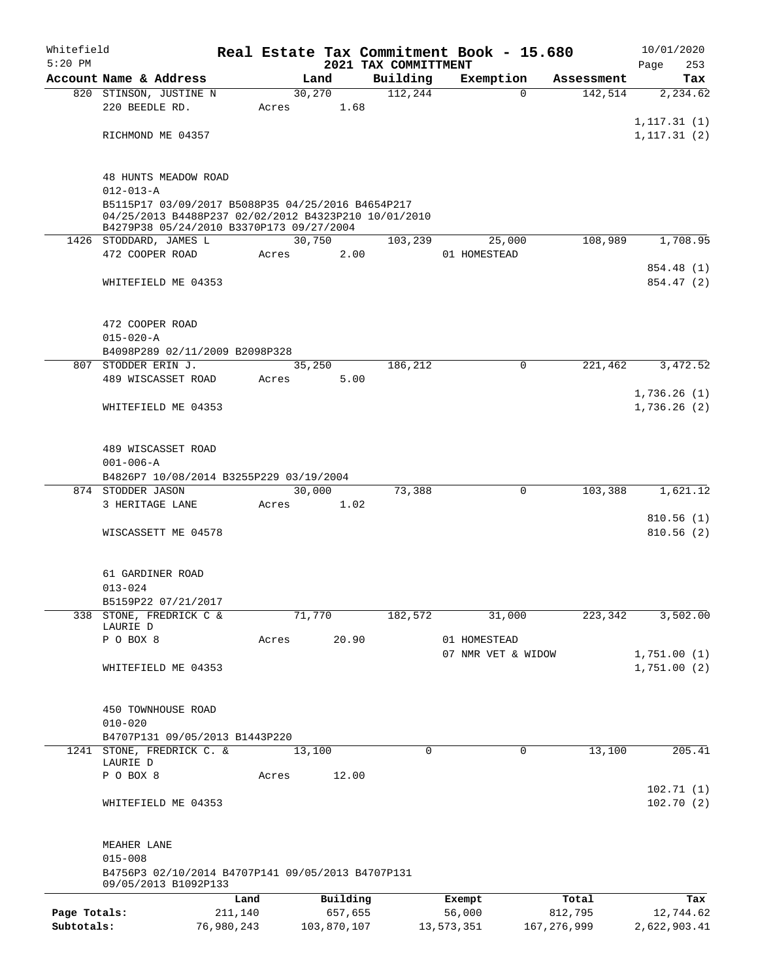| Whitefield   |                                                                    |            |       |             |                                  | Real Estate Tax Commitment Book - 15.680 |               | 10/01/2020             |
|--------------|--------------------------------------------------------------------|------------|-------|-------------|----------------------------------|------------------------------------------|---------------|------------------------|
| $5:20$ PM    | Account Name & Address                                             |            |       | Land        | 2021 TAX COMMITTMENT<br>Building | Exemption                                | Assessment    | 253<br>Page            |
|              | 820 STINSON, JUSTINE N                                             |            |       | 30,270      | 112,244                          | $\Omega$                                 | 142,514       | Tax<br>2,234.62        |
|              | 220 BEEDLE RD.                                                     |            | Acres | 1.68        |                                  |                                          |               |                        |
|              |                                                                    |            |       |             |                                  |                                          |               | 1, 117.31(1)           |
|              | RICHMOND ME 04357                                                  |            |       |             |                                  |                                          |               | 1, 117.31(2)           |
|              |                                                                    |            |       |             |                                  |                                          |               |                        |
|              |                                                                    |            |       |             |                                  |                                          |               |                        |
|              | <b>48 HUNTS MEADOW ROAD</b><br>$012 - 013 - A$                     |            |       |             |                                  |                                          |               |                        |
|              | B5115P17 03/09/2017 B5088P35 04/25/2016 B4654P217                  |            |       |             |                                  |                                          |               |                        |
|              | 04/25/2013 B4488P237 02/02/2012 B4323P210 10/01/2010               |            |       |             |                                  |                                          |               |                        |
|              | B4279P38 05/24/2010 B3370P173 09/27/2004<br>1426 STODDARD, JAMES L |            |       | 30,750      | 103,239                          | 25,000                                   | 108,989       | 1,708.95               |
|              | 472 COOPER ROAD                                                    |            | Acres | 2.00        |                                  | 01 HOMESTEAD                             |               |                        |
|              |                                                                    |            |       |             |                                  |                                          |               | 854.48 (1)             |
|              | WHITEFIELD ME 04353                                                |            |       |             |                                  |                                          |               | 854.47 (2)             |
|              |                                                                    |            |       |             |                                  |                                          |               |                        |
|              |                                                                    |            |       |             |                                  |                                          |               |                        |
|              | 472 COOPER ROAD                                                    |            |       |             |                                  |                                          |               |                        |
|              | $015 - 020 - A$<br>B4098P289 02/11/2009 B2098P328                  |            |       |             |                                  |                                          |               |                        |
|              | 807 STODDER ERIN J.                                                |            |       | 35,250      | 186,212                          | 0                                        | 221,462       | 3,472.52               |
|              | 489 WISCASSET ROAD                                                 |            | Acres | 5.00        |                                  |                                          |               |                        |
|              |                                                                    |            |       |             |                                  |                                          |               | 1,736.26(1)            |
|              | WHITEFIELD ME 04353                                                |            |       |             |                                  |                                          |               | 1,736.26(2)            |
|              |                                                                    |            |       |             |                                  |                                          |               |                        |
|              |                                                                    |            |       |             |                                  |                                          |               |                        |
|              | 489 WISCASSET ROAD<br>$001 - 006 - A$                              |            |       |             |                                  |                                          |               |                        |
|              | B4826P7 10/08/2014 B3255P229 03/19/2004                            |            |       |             |                                  |                                          |               |                        |
|              | 874 STODDER JASON                                                  |            |       | 30,000      | 73,388                           | $\mathbf 0$                              | 103,388       | 1,621.12               |
|              | 3 HERITAGE LANE                                                    |            | Acres | 1.02        |                                  |                                          |               |                        |
|              |                                                                    |            |       |             |                                  |                                          |               | 810.56(1)              |
|              | WISCASSETT ME 04578                                                |            |       |             |                                  |                                          |               | 810.56(2)              |
|              |                                                                    |            |       |             |                                  |                                          |               |                        |
|              | 61 GARDINER ROAD                                                   |            |       |             |                                  |                                          |               |                        |
|              | $013 - 024$                                                        |            |       |             |                                  |                                          |               |                        |
|              | B5159P22 07/21/2017                                                |            |       |             |                                  |                                          |               |                        |
|              | 338 STONE, FREDRICK C &                                            |            |       | 71,770      | 182,572                          | 31,000                                   | 223,342       | 3, 502.00              |
|              | LAURIE D<br>P O BOX 8                                              |            | Acres | 20.90       |                                  | 01 HOMESTEAD                             |               |                        |
|              |                                                                    |            |       |             |                                  | 07 NMR VET & WIDOW                       |               | 1,751.00(1)            |
|              | WHITEFIELD ME 04353                                                |            |       |             |                                  |                                          |               | 1,751.00(2)            |
|              |                                                                    |            |       |             |                                  |                                          |               |                        |
|              |                                                                    |            |       |             |                                  |                                          |               |                        |
|              | 450 TOWNHOUSE ROAD<br>$010 - 020$                                  |            |       |             |                                  |                                          |               |                        |
|              | B4707P131 09/05/2013 B1443P220                                     |            |       |             |                                  |                                          |               |                        |
|              | 1241 STONE, FREDRICK C. &                                          |            |       | 13,100      | $\mathbf 0$                      |                                          | 0<br>13,100   | 205.41                 |
|              | LAURIE D                                                           |            |       |             |                                  |                                          |               |                        |
|              | P O BOX 8                                                          |            | Acres | 12.00       |                                  |                                          |               |                        |
|              | WHITEFIELD ME 04353                                                |            |       |             |                                  |                                          |               | 102.71(1)<br>102.70(2) |
|              |                                                                    |            |       |             |                                  |                                          |               |                        |
|              |                                                                    |            |       |             |                                  |                                          |               |                        |
|              | MEAHER LANE                                                        |            |       |             |                                  |                                          |               |                        |
|              | $015 - 008$                                                        |            |       |             |                                  |                                          |               |                        |
|              | B4756P3 02/10/2014 B4707P141 09/05/2013 B4707P131                  |            |       |             |                                  |                                          |               |                        |
|              | 09/05/2013 B1092P133                                               | Land       |       | Building    |                                  | Exempt                                   | Total         | Tax                    |
| Page Totals: |                                                                    | 211,140    |       | 657,655     |                                  | 56,000                                   | 812,795       | 12,744.62              |
| Subtotals:   |                                                                    | 76,980,243 |       | 103,870,107 |                                  | 13,573,351                               | 167, 276, 999 | 2,622,903.41           |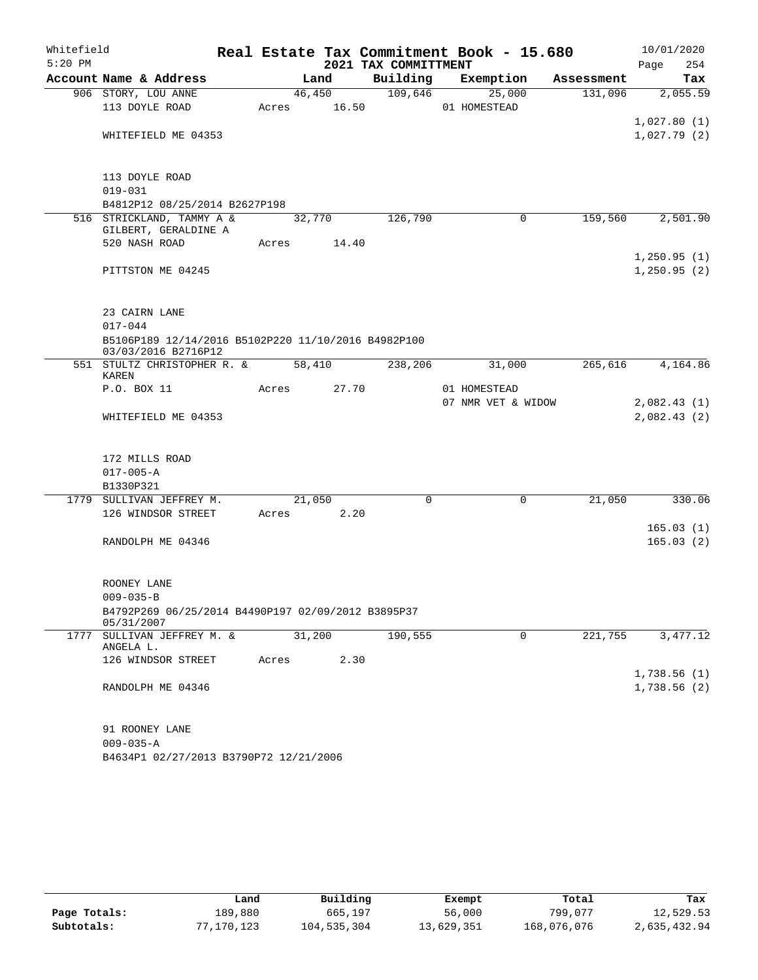| Whitefield |                                                            |       |        |        |                      | Real Estate Tax Commitment Book - 15.680 |            | 10/01/2020  |
|------------|------------------------------------------------------------|-------|--------|--------|----------------------|------------------------------------------|------------|-------------|
| $5:20$ PM  |                                                            |       |        |        | 2021 TAX COMMITTMENT |                                          |            | Page<br>254 |
|            | Account Name & Address                                     |       | Land   |        | Building             | Exemption                                | Assessment | Tax         |
|            | 906 STORY, LOU ANNE                                        |       |        | 46,450 | 109,646              | 25,000                                   | 131,096    | 2,055.59    |
|            | 113 DOYLE ROAD                                             | Acres |        | 16.50  |                      | 01 HOMESTEAD                             |            |             |
|            |                                                            |       |        |        |                      |                                          |            | 1,027.80(1) |
|            | WHITEFIELD ME 04353                                        |       |        |        |                      |                                          |            | 1,027.79(2) |
|            |                                                            |       |        |        |                      |                                          |            |             |
|            |                                                            |       |        |        |                      |                                          |            |             |
|            | 113 DOYLE ROAD                                             |       |        |        |                      |                                          |            |             |
|            | $019 - 031$                                                |       |        |        |                      |                                          |            |             |
|            | B4812P12 08/25/2014 B2627P198<br>516 STRICKLAND, TAMMY A & |       | 32,770 |        | 126,790              | 0                                        | 159,560    | 2,501.90    |
|            | GILBERT, GERALDINE A                                       |       |        |        |                      |                                          |            |             |
|            | 520 NASH ROAD                                              | Acres |        | 14.40  |                      |                                          |            |             |
|            |                                                            |       |        |        |                      |                                          |            | 1,250.95(1) |
|            | PITTSTON ME 04245                                          |       |        |        |                      |                                          |            | 1,250.95(2) |
|            |                                                            |       |        |        |                      |                                          |            |             |
|            |                                                            |       |        |        |                      |                                          |            |             |
|            | 23 CAIRN LANE                                              |       |        |        |                      |                                          |            |             |
|            | $017 - 044$                                                |       |        |        |                      |                                          |            |             |
|            | B5106P189 12/14/2016 B5102P220 11/10/2016 B4982P100        |       |        |        |                      |                                          |            |             |
|            | 03/03/2016 B2716P12<br>551 STULTZ CHRISTOPHER R. &         |       | 58,410 |        | 238,206              | 31,000                                   | 265,616    | 4,164.86    |
|            | KAREN                                                      |       |        |        |                      |                                          |            |             |
|            | P.O. BOX 11                                                | Acres |        | 27.70  |                      | 01 HOMESTEAD                             |            |             |
|            |                                                            |       |        |        |                      | 07 NMR VET & WIDOW                       |            | 2,082.43(1) |
|            | WHITEFIELD ME 04353                                        |       |        |        |                      |                                          |            | 2,082.43(2) |
|            |                                                            |       |        |        |                      |                                          |            |             |
|            |                                                            |       |        |        |                      |                                          |            |             |
|            | 172 MILLS ROAD                                             |       |        |        |                      |                                          |            |             |
|            | $017 - 005 - A$                                            |       |        |        |                      |                                          |            |             |
|            | B1330P321                                                  |       |        |        |                      |                                          |            |             |
|            | 1779 SULLIVAN JEFFREY M.                                   |       | 21,050 |        | $\mathbf 0$          | 0                                        | 21,050     | 330.06      |
|            | 126 WINDSOR STREET                                         | Acres |        | 2.20   |                      |                                          |            |             |
|            |                                                            |       |        |        |                      |                                          |            | 165.03(1)   |
|            | RANDOLPH ME 04346                                          |       |        |        |                      |                                          |            | 165.03(2)   |
|            |                                                            |       |        |        |                      |                                          |            |             |
|            | ROONEY LANE                                                |       |        |        |                      |                                          |            |             |
|            | $009 - 035 - B$                                            |       |        |        |                      |                                          |            |             |
|            | B4792P269 06/25/2014 B4490P197 02/09/2012 B3895P37         |       |        |        |                      |                                          |            |             |
|            | 05/31/2007                                                 |       |        |        |                      |                                          |            |             |
|            | 1777 SULLIVAN JEFFREY M. &                                 |       | 31,200 |        | 190,555              | 0                                        | 221,755    | 3,477.12    |
|            | ANGELA L.                                                  |       |        |        |                      |                                          |            |             |
|            | 126 WINDSOR STREET                                         | Acres |        | 2.30   |                      |                                          |            |             |
|            |                                                            |       |        |        |                      |                                          |            | 1,738.56(1) |
|            | RANDOLPH ME 04346                                          |       |        |        |                      |                                          |            | 1,738.56(2) |
|            |                                                            |       |        |        |                      |                                          |            |             |
|            | 91 ROONEY LANE                                             |       |        |        |                      |                                          |            |             |
|            | $009 - 035 - A$                                            |       |        |        |                      |                                          |            |             |
|            | B4634P1 02/27/2013 B3790P72 12/21/2006                     |       |        |        |                      |                                          |            |             |

|              | Land       | Building    | Exempt     | Total       | Tax          |
|--------------|------------|-------------|------------|-------------|--------------|
| Page Totals: | 189,880    | 665,197     | 56,000     | 799,077     | 12,529.53    |
| Subtotals:   | 77,170,123 | 104,535,304 | 13,629,351 | 168,076,076 | 2,635,432.94 |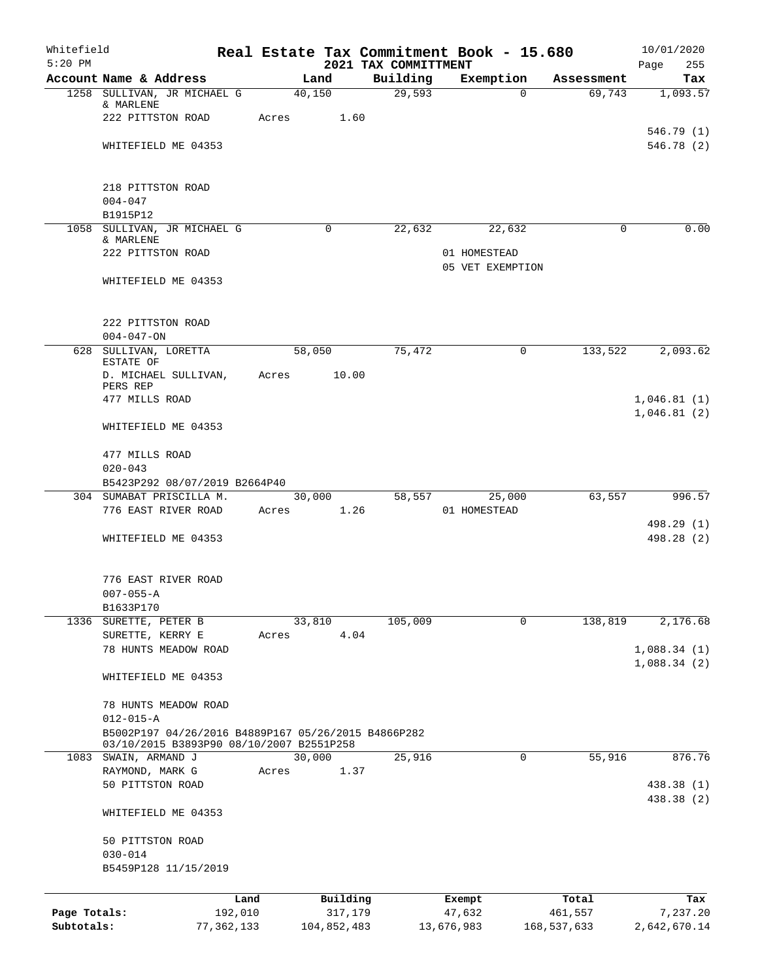| Whitefield<br>$5:20$ PM |                                                                                                 |        |             | Real Estate Tax Commitment Book - 15.680<br>2021 TAX COMMITTMENT |                  |                  |                  | 10/01/2020<br>Page<br>255  |
|-------------------------|-------------------------------------------------------------------------------------------------|--------|-------------|------------------------------------------------------------------|------------------|------------------|------------------|----------------------------|
|                         | Account Name & Address                                                                          |        | Land        | Building                                                         |                  | Exemption        | Assessment       | Tax                        |
|                         | 1258 SULLIVAN, JR MICHAEL G<br>& MARLENE                                                        | 40,150 |             | 29,593                                                           |                  | $\Omega$         | 69,743           | 1,093.57                   |
|                         | 222 PITTSTON ROAD                                                                               | Acres  | 1.60        |                                                                  |                  |                  |                  |                            |
|                         | WHITEFIELD ME 04353                                                                             |        |             |                                                                  |                  |                  |                  | 546.79(1)<br>546.78(2)     |
|                         |                                                                                                 |        |             |                                                                  |                  |                  |                  |                            |
|                         | 218 PITTSTON ROAD<br>$004 - 047$                                                                |        |             |                                                                  |                  |                  |                  |                            |
|                         | B1915P12                                                                                        |        |             |                                                                  |                  |                  |                  |                            |
|                         | 1058 SULLIVAN, JR MICHAEL G<br>& MARLENE                                                        |        | $\mathbf 0$ | 22,632                                                           |                  | 22,632           | $\Omega$         | 0.00                       |
|                         | 222 PITTSTON ROAD                                                                               |        |             |                                                                  | 01 HOMESTEAD     | 05 VET EXEMPTION |                  |                            |
|                         | WHITEFIELD ME 04353                                                                             |        |             |                                                                  |                  |                  |                  |                            |
|                         | 222 PITTSTON ROAD                                                                               |        |             |                                                                  |                  |                  |                  |                            |
|                         | $004 - 047 - ON$                                                                                |        |             |                                                                  |                  |                  |                  |                            |
|                         | 628 SULLIVAN, LORETTA<br>ESTATE OF                                                              | 58,050 |             | 75,472                                                           |                  | $\mathbf 0$      | 133,522          | 2,093.62                   |
|                         | D. MICHAEL SULLIVAN,<br>PERS REP                                                                | Acres  | 10.00       |                                                                  |                  |                  |                  |                            |
|                         | 477 MILLS ROAD                                                                                  |        |             |                                                                  |                  |                  |                  | 1,046.81(1)<br>1,046.81(2) |
|                         | WHITEFIELD ME 04353                                                                             |        |             |                                                                  |                  |                  |                  |                            |
|                         | 477 MILLS ROAD<br>$020 - 043$                                                                   |        |             |                                                                  |                  |                  |                  |                            |
|                         | B5423P292 08/07/2019 B2664P40                                                                   |        |             |                                                                  |                  |                  |                  |                            |
|                         | 304 SUMABAT PRISCILLA M.                                                                        |        | 30,000      | 58,557                                                           |                  | 25,000           | 63,557           | 996.57                     |
|                         | 776 EAST RIVER ROAD                                                                             | Acres  | 1.26        |                                                                  | 01 HOMESTEAD     |                  |                  | 498.29 (1)                 |
|                         | WHITEFIELD ME 04353                                                                             |        |             |                                                                  |                  |                  |                  | 498.28 (2)                 |
|                         | 776 EAST RIVER ROAD                                                                             |        |             |                                                                  |                  |                  |                  |                            |
|                         | $007 - 055 - A$                                                                                 |        |             |                                                                  |                  |                  |                  |                            |
|                         | B1633P170                                                                                       |        |             |                                                                  |                  |                  |                  |                            |
|                         | 1336 SURETTE, PETER B                                                                           |        | 33,810      | 105,009                                                          |                  | $\mathbf 0$      | 138,819          | 2,176.68                   |
|                         | SURETTE, KERRY E<br>78 HUNTS MEADOW ROAD                                                        | Acres  | 4.04        |                                                                  |                  |                  |                  | 1,088.34(1)                |
|                         |                                                                                                 |        |             |                                                                  |                  |                  |                  | 1,088.34(2)                |
|                         | WHITEFIELD ME 04353                                                                             |        |             |                                                                  |                  |                  |                  |                            |
|                         | 78 HUNTS MEADOW ROAD<br>$012 - 015 - A$                                                         |        |             |                                                                  |                  |                  |                  |                            |
|                         | B5002P197 04/26/2016 B4889P167 05/26/2015 B4866P282<br>03/10/2015 B3893P90 08/10/2007 B2551P258 |        |             |                                                                  |                  |                  |                  |                            |
|                         | 1083 SWAIN, ARMAND J                                                                            | 30,000 |             | 25,916                                                           |                  | 0                | 55,916           | 876.76                     |
|                         | RAYMOND, MARK G                                                                                 | Acres  | 1.37        |                                                                  |                  |                  |                  |                            |
|                         | 50 PITTSTON ROAD                                                                                |        |             |                                                                  |                  |                  |                  | 438.38 (1)<br>438.38 (2)   |
|                         | WHITEFIELD ME 04353                                                                             |        |             |                                                                  |                  |                  |                  |                            |
|                         | 50 PITTSTON ROAD                                                                                |        |             |                                                                  |                  |                  |                  |                            |
|                         | $030 - 014$                                                                                     |        |             |                                                                  |                  |                  |                  |                            |
|                         | B5459P128 11/15/2019                                                                            |        |             |                                                                  |                  |                  |                  |                            |
|                         |                                                                                                 |        | Building    |                                                                  |                  |                  |                  |                            |
| Page Totals:            | Land<br>192,010                                                                                 |        | 317,179     |                                                                  | Exempt<br>47,632 |                  | Total<br>461,557 | Tax<br>7,237.20            |
| Subtotals:              | 77,362,133                                                                                      |        | 104,852,483 |                                                                  | 13,676,983       |                  | 168,537,633      | 2,642,670.14               |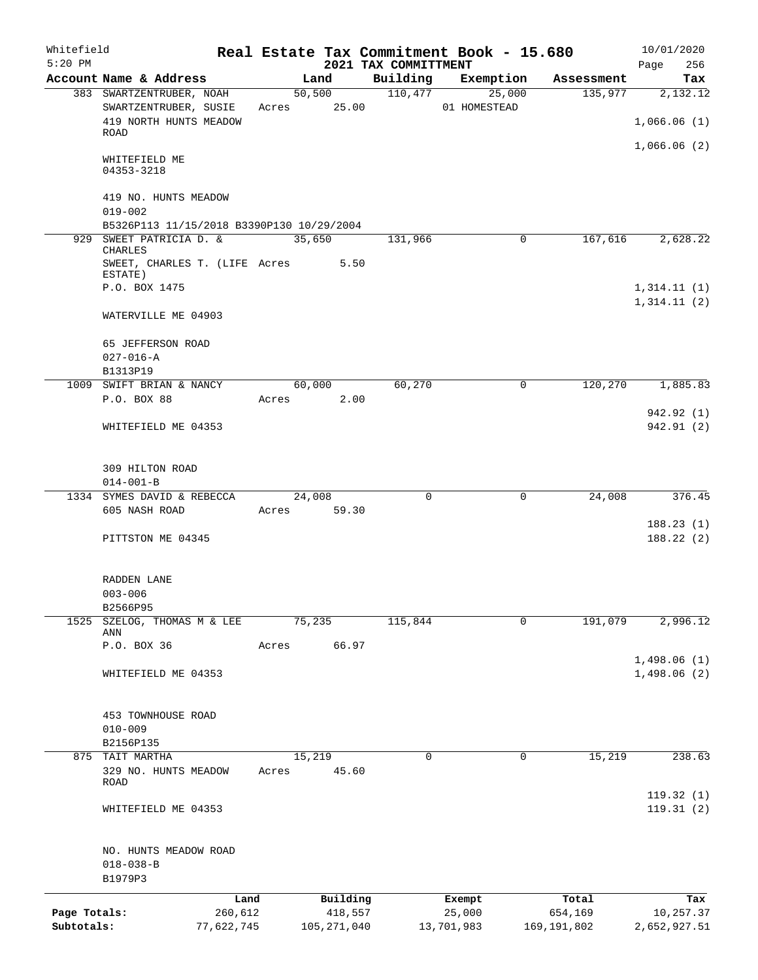| Whitefield<br>$5:20$ PM |                                                            |            |       |               |          | 2021 TAX COMMITTMENT | Real Estate Tax Commitment Book - 15.680 |               | 10/01/2020<br>Page<br>256  |
|-------------------------|------------------------------------------------------------|------------|-------|---------------|----------|----------------------|------------------------------------------|---------------|----------------------------|
|                         | Account Name & Address                                     |            |       | Land          |          | Building             | Exemption                                | Assessment    | Tax                        |
|                         | 383 SWARTZENTRUBER, NOAH                                   |            |       | 50,500        |          | 110,477              | 25,000                                   | 135,977       | 2,132.12                   |
|                         | SWARTZENTRUBER, SUSIE<br>419 NORTH HUNTS MEADOW            |            |       | Acres 25.00   |          |                      | 01 HOMESTEAD                             |               | 1,066.06(1)                |
|                         | ROAD                                                       |            |       |               |          |                      |                                          |               | 1,066.06(2)                |
|                         | WHITEFIELD ME<br>04353-3218                                |            |       |               |          |                      |                                          |               |                            |
|                         | 419 NO. HUNTS MEADOW<br>$019 - 002$                        |            |       |               |          |                      |                                          |               |                            |
|                         | B5326P113 11/15/2018 B3390P130 10/29/2004                  |            |       |               |          |                      |                                          |               |                            |
|                         | 929 SWEET PATRICIA D. &                                    |            |       | 35,650        |          | 131,966              | 0                                        | 167,616       | 2,628.22                   |
|                         | <b>CHARLES</b><br>SWEET, CHARLES T. (LIFE Acres<br>ESTATE) |            |       |               | 5.50     |                      |                                          |               |                            |
|                         | P.O. BOX 1475                                              |            |       |               |          |                      |                                          |               | 1,314.11(1)                |
|                         |                                                            |            |       |               |          |                      |                                          |               | 1, 314.11(2)               |
|                         | WATERVILLE ME 04903                                        |            |       |               |          |                      |                                          |               |                            |
|                         | 65 JEFFERSON ROAD<br>$027 - 016 - A$                       |            |       |               |          |                      |                                          |               |                            |
|                         | B1313P19                                                   |            |       |               |          |                      |                                          |               |                            |
|                         | 1009 SWIFT BRIAN & NANCY                                   |            |       | 60,000        |          | 60,270               | $\mathbf 0$                              | 120,270       | 1,885.83                   |
|                         | P.O. BOX 88                                                |            | Acres |               | 2.00     |                      |                                          |               | 942.92 (1)                 |
|                         | WHITEFIELD ME 04353                                        |            |       |               |          |                      |                                          |               | 942.91 (2)                 |
|                         | 309 HILTON ROAD                                            |            |       |               |          |                      |                                          |               |                            |
|                         | $014 - 001 - B$                                            |            |       |               |          |                      |                                          |               |                            |
|                         | 1334 SYMES DAVID & REBECCA                                 |            |       | 24,008        |          | $\Omega$             | $\Omega$                                 | 24,008        | 376.45                     |
|                         | 605 NASH ROAD                                              |            | Acres |               | 59.30    |                      |                                          |               | 188.23(1)                  |
|                         | PITTSTON ME 04345                                          |            |       |               |          |                      |                                          |               | 188.22(2)                  |
|                         | RADDEN LANE                                                |            |       |               |          |                      |                                          |               |                            |
|                         | $003 - 006$                                                |            |       |               |          |                      |                                          |               |                            |
|                         | B2566P95                                                   |            |       |               |          |                      |                                          |               |                            |
| 1525                    | SZELOG, THOMAS M & LEE<br>ANN                              |            |       | 75,235        |          | 115,844              | 0                                        | 191,079       | 2,996.12                   |
|                         | P.O. BOX 36                                                |            | Acres |               | 66.97    |                      |                                          |               |                            |
|                         | WHITEFIELD ME 04353                                        |            |       |               |          |                      |                                          |               | 1,498.06(1)<br>1,498.06(2) |
|                         | 453 TOWNHOUSE ROAD                                         |            |       |               |          |                      |                                          |               |                            |
|                         | $010 - 009$                                                |            |       |               |          |                      |                                          |               |                            |
|                         | B2156P135                                                  |            |       |               |          |                      |                                          |               |                            |
|                         | 875 TAIT MARTHA                                            |            |       | 15,219        |          | $\Omega$             | 0                                        | 15,219        | 238.63                     |
|                         | 329 NO. HUNTS MEADOW<br>ROAD                               |            | Acres |               | 45.60    |                      |                                          |               | 119.32(1)                  |
|                         | WHITEFIELD ME 04353                                        |            |       |               |          |                      |                                          |               | 119.31(2)                  |
|                         | NO. HUNTS MEADOW ROAD                                      |            |       |               |          |                      |                                          |               |                            |
|                         | $018 - 038 - B$<br>B1979P3                                 |            |       |               |          |                      |                                          |               |                            |
|                         |                                                            | Land       |       |               | Building |                      | Exempt                                   | Total         | Tax                        |
| Page Totals:            |                                                            | 260,612    |       |               | 418,557  |                      | 25,000                                   | 654,169       | 10,257.37                  |
| Subtotals:              |                                                            | 77,622,745 |       | 105, 271, 040 |          |                      | 13,701,983                               | 169, 191, 802 | 2,652,927.51               |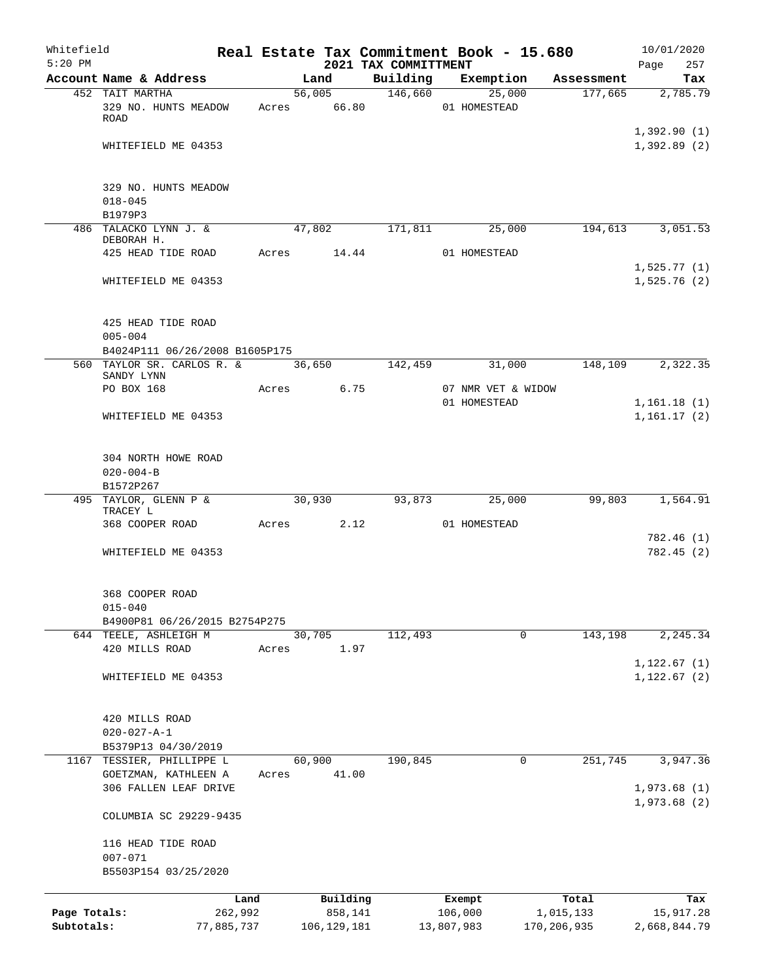| Whitefield   |                                          |                 |       |        |               |                                  |            | Real Estate Tax Commitment Book - 15.680 |                       | 10/01/2020         |
|--------------|------------------------------------------|-----------------|-------|--------|---------------|----------------------------------|------------|------------------------------------------|-----------------------|--------------------|
| $5:20$ PM    | Account Name & Address                   |                 |       | Land   |               | 2021 TAX COMMITTMENT<br>Building |            | Exemption                                |                       | Page<br>257<br>Tax |
|              | 452 TAIT MARTHA                          |                 |       |        | 56,005        | 146,660                          |            | 25,000                                   | Assessment<br>177,665 | 2,785.79           |
|              | 329 NO. HUNTS MEADOW                     |                 | Acres |        | 66.80         |                                  |            | 01 HOMESTEAD                             |                       |                    |
|              | ROAD                                     |                 |       |        |               |                                  |            |                                          |                       |                    |
|              |                                          |                 |       |        |               |                                  |            |                                          |                       | 1,392.90(1)        |
|              | WHITEFIELD ME 04353                      |                 |       |        |               |                                  |            |                                          |                       | 1,392.89(2)        |
|              |                                          |                 |       |        |               |                                  |            |                                          |                       |                    |
|              |                                          |                 |       |        |               |                                  |            |                                          |                       |                    |
|              | 329 NO. HUNTS MEADOW                     |                 |       |        |               |                                  |            |                                          |                       |                    |
|              | $018 - 045$                              |                 |       |        |               |                                  |            |                                          |                       |                    |
|              | B1979P3                                  |                 |       |        |               |                                  |            |                                          |                       |                    |
|              | 486 TALACKO LYNN J. &<br>DEBORAH H.      |                 |       | 47,802 |               | 171,811                          |            | 25,000                                   | 194,613               | 3,051.53           |
|              | 425 HEAD TIDE ROAD                       |                 | Acres |        | 14.44         |                                  |            | 01 HOMESTEAD                             |                       |                    |
|              |                                          |                 |       |        |               |                                  |            |                                          |                       | 1,525.77(1)        |
|              | WHITEFIELD ME 04353                      |                 |       |        |               |                                  |            |                                          |                       | 1,525.76(2)        |
|              |                                          |                 |       |        |               |                                  |            |                                          |                       |                    |
|              |                                          |                 |       |        |               |                                  |            |                                          |                       |                    |
|              | 425 HEAD TIDE ROAD                       |                 |       |        |               |                                  |            |                                          |                       |                    |
|              | $005 - 004$                              |                 |       |        |               |                                  |            |                                          |                       |                    |
|              | B4024P111 06/26/2008 B1605P175           |                 |       |        |               |                                  |            |                                          |                       |                    |
|              | 560 TAYLOR SR. CARLOS R. &<br>SANDY LYNN |                 |       | 36,650 |               | 142,459                          |            | 31,000                                   | 148,109               | 2,322.35           |
|              | PO BOX 168                               |                 | Acres |        | 6.75          |                                  |            | 07 NMR VET & WIDOW                       |                       |                    |
|              |                                          |                 |       |        |               |                                  |            | 01 HOMESTEAD                             |                       | 1,161.18(1)        |
|              | WHITEFIELD ME 04353                      |                 |       |        |               |                                  |            |                                          |                       | 1,161.17(2)        |
|              |                                          |                 |       |        |               |                                  |            |                                          |                       |                    |
|              |                                          |                 |       |        |               |                                  |            |                                          |                       |                    |
|              | 304 NORTH HOWE ROAD                      |                 |       |        |               |                                  |            |                                          |                       |                    |
|              | $020 - 004 - B$                          |                 |       |        |               |                                  |            |                                          |                       |                    |
|              | B1572P267                                |                 |       |        |               |                                  |            |                                          |                       |                    |
|              | 495 TAYLOR, GLENN P &                    |                 |       | 30,930 |               | 93,873                           |            | 25,000                                   | 99,803                | 1,564.91           |
|              | TRACEY L<br>368 COOPER ROAD              |                 | Acres |        | 2.12          |                                  |            | 01 HOMESTEAD                             |                       |                    |
|              |                                          |                 |       |        |               |                                  |            |                                          |                       | 782.46 (1)         |
|              | WHITEFIELD ME 04353                      |                 |       |        |               |                                  |            |                                          |                       | 782.45(2)          |
|              |                                          |                 |       |        |               |                                  |            |                                          |                       |                    |
|              |                                          |                 |       |        |               |                                  |            |                                          |                       |                    |
|              | 368 COOPER ROAD                          |                 |       |        |               |                                  |            |                                          |                       |                    |
|              | $015 - 040$                              |                 |       |        |               |                                  |            |                                          |                       |                    |
|              | B4900P81 06/26/2015 B2754P275            |                 |       |        |               |                                  |            |                                          |                       |                    |
|              | 644 TEELE, ASHLEIGH M                    |                 |       | 30,705 |               | 112,493                          |            | $\mathbf 0$                              | 143,198               | 2,245.34           |
|              | 420 MILLS ROAD                           |                 | Acres |        | 1.97          |                                  |            |                                          |                       |                    |
|              |                                          |                 |       |        |               |                                  |            |                                          |                       | 1, 122.67(1)       |
|              | WHITEFIELD ME 04353                      |                 |       |        |               |                                  |            |                                          |                       | 1, 122.67(2)       |
|              |                                          |                 |       |        |               |                                  |            |                                          |                       |                    |
|              | 420 MILLS ROAD                           |                 |       |        |               |                                  |            |                                          |                       |                    |
|              | $020 - 027 - A - 1$                      |                 |       |        |               |                                  |            |                                          |                       |                    |
|              | B5379P13 04/30/2019                      |                 |       |        |               |                                  |            |                                          |                       |                    |
|              | 1167 TESSIER, PHILLIPPE L                |                 |       | 60,900 |               | 190,845                          |            | 0                                        | 251,745               | 3,947.36           |
|              | GOETZMAN, KATHLEEN A                     |                 | Acres |        | 41.00         |                                  |            |                                          |                       |                    |
|              | 306 FALLEN LEAF DRIVE                    |                 |       |        |               |                                  |            |                                          |                       | 1,973.68(1)        |
|              |                                          |                 |       |        |               |                                  |            |                                          |                       | 1,973.68(2)        |
|              | COLUMBIA SC 29229-9435                   |                 |       |        |               |                                  |            |                                          |                       |                    |
|              |                                          |                 |       |        |               |                                  |            |                                          |                       |                    |
|              | 116 HEAD TIDE ROAD                       |                 |       |        |               |                                  |            |                                          |                       |                    |
|              | $007 - 071$                              |                 |       |        |               |                                  |            |                                          |                       |                    |
|              | B5503P154 03/25/2020                     |                 |       |        |               |                                  |            |                                          |                       |                    |
|              |                                          |                 |       |        | Building      |                                  |            |                                          |                       |                    |
| Page Totals: |                                          | Land<br>262,992 |       |        | 858,141       |                                  |            | Exempt<br>106,000                        | Total<br>1,015,133    | Tax<br>15,917.28   |
| Subtotals:   |                                          | 77,885,737      |       |        | 106, 129, 181 |                                  | 13,807,983 |                                          | 170,206,935           | 2,668,844.79       |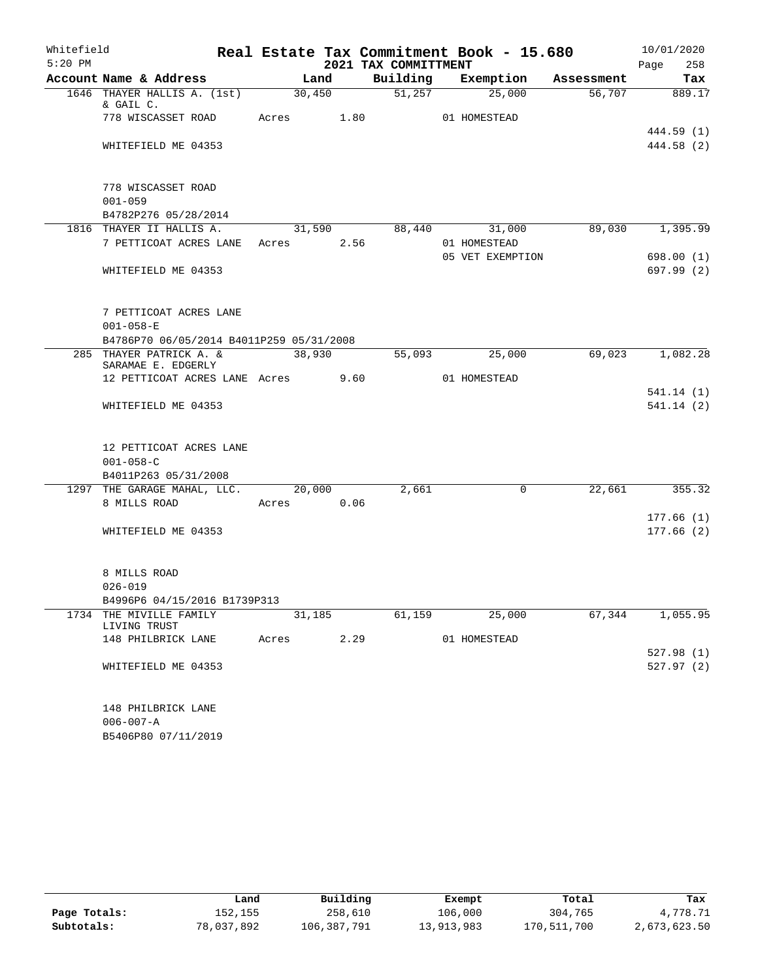| Whitefield |                                                                    |            |        |                      | Real Estate Tax Commitment Book - 15.680 |            | 10/01/2020             |
|------------|--------------------------------------------------------------------|------------|--------|----------------------|------------------------------------------|------------|------------------------|
| $5:20$ PM  |                                                                    |            |        | 2021 TAX COMMITTMENT |                                          |            | 258<br>Page            |
|            | Account Name & Address                                             | Land       |        | Building             | Exemption                                | Assessment | Tax                    |
|            | 1646 THAYER HALLIS A. (1st)<br>& GAIL C.                           |            | 30,450 | 51,257               | 25,000                                   | 56,707     | 889.17                 |
|            | 778 WISCASSET ROAD                                                 | Acres      | 1.80   |                      | 01 HOMESTEAD                             |            | 444.59 (1)             |
|            | WHITEFIELD ME 04353                                                |            |        |                      |                                          |            | 444.58 (2)             |
|            | 778 WISCASSET ROAD<br>$001 - 059$                                  |            |        |                      |                                          |            |                        |
|            | B4782P276 05/28/2014                                               |            |        |                      |                                          |            |                        |
|            | 1816 THAYER II HALLIS A.                                           |            | 31,590 | 88,440               | 31,000                                   | 89,030     | 1,395.99               |
|            | 7 PETTICOAT ACRES LANE                                             | Acres 2.56 |        |                      | 01 HOMESTEAD                             |            |                        |
|            |                                                                    |            |        |                      | 05 VET EXEMPTION                         |            | 698.00 (1)             |
|            | WHITEFIELD ME 04353                                                |            |        |                      |                                          |            | 697.99 (2)             |
|            | 7 PETTICOAT ACRES LANE                                             |            |        |                      |                                          |            |                        |
|            | $001 - 058 - E$                                                    |            |        |                      |                                          |            |                        |
|            | B4786P70 06/05/2014 B4011P259 05/31/2008                           |            |        |                      |                                          |            |                        |
|            | 285 THAYER PATRICK A. &<br>SARAMAE E. EDGERLY                      |            | 38,930 | 55,093               | 25,000                                   | 69,023     | 1,082.28               |
|            | 12 PETTICOAT ACRES LANE Acres 9.60                                 |            |        |                      | 01 HOMESTEAD                             |            |                        |
|            | WHITEFIELD ME 04353                                                |            |        |                      |                                          |            | 541.14(1)<br>541.14(2) |
|            | 12 PETTICOAT ACRES LANE<br>$001 - 058 - C$<br>B4011P263 05/31/2008 |            |        |                      |                                          |            |                        |
|            | 1297 THE GARAGE MAHAL, LLC. 20,000                                 |            |        | 2,661                | $\mathbf 0$                              | 22,661     | 355.32                 |
|            | 8 MILLS ROAD                                                       | Acres 0.06 |        |                      |                                          |            |                        |
|            | WHITEFIELD ME 04353                                                |            |        |                      |                                          |            | 177.66(1)<br>177.66(2) |
|            |                                                                    |            |        |                      |                                          |            |                        |
|            | 8 MILLS ROAD                                                       |            |        |                      |                                          |            |                        |
|            | $026 - 019$                                                        |            |        |                      |                                          |            |                        |
|            | B4996P6 04/15/2016 B1739P313                                       |            |        |                      |                                          |            |                        |
|            | 1734 THE MIVILLE FAMILY<br>LIVING TRUST                            | 31,185     |        | 61,159               | 25,000                                   | 67,344     | 1,055.95               |
|            | 148 PHILBRICK LANE                                                 | Acres 2.29 |        |                      | 01 HOMESTEAD                             |            |                        |
|            | WHITEFIELD ME 04353                                                |            |        |                      |                                          |            | 527.98(1)<br>527.97(2) |
|            | 148 PHILBRICK LANE<br>$006 - 007 - A$<br>B5406P80 07/11/2019       |            |        |                      |                                          |            |                        |

|              | Land       | Building    | Exempt     | Total       | Tax          |
|--------------|------------|-------------|------------|-------------|--------------|
| Page Totals: | 152,155    | 258,610     | 106,000    | 304,765     | 4,778.71     |
| Subtotals:   | 78,037,892 | 106,387,791 | 13,913,983 | 170,511,700 | 2,673,623.50 |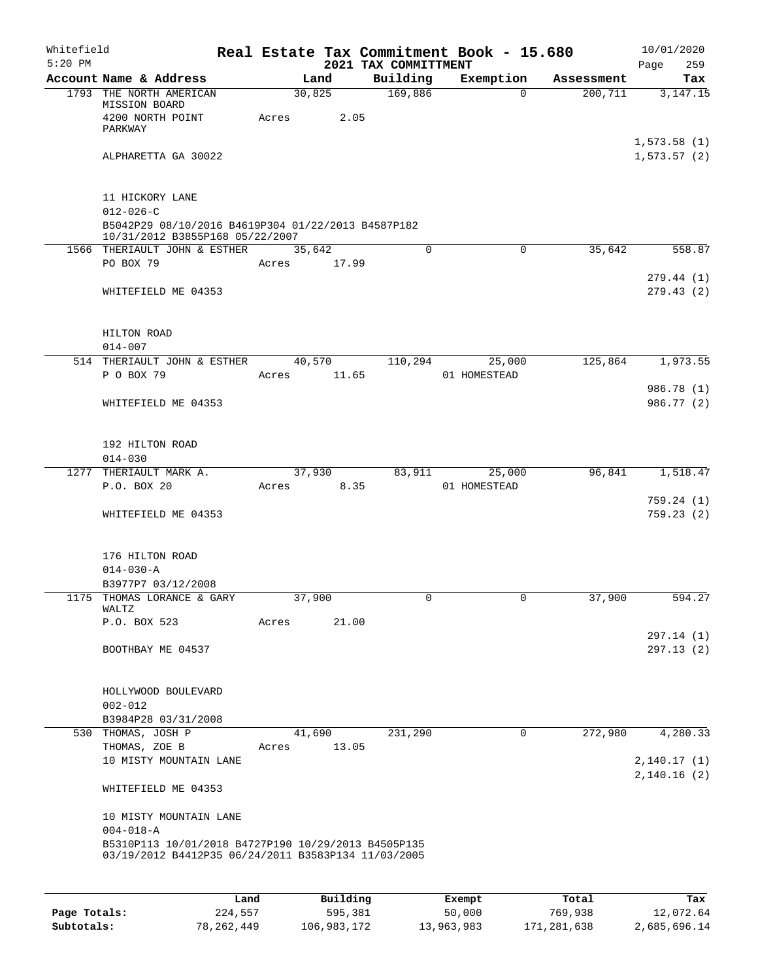| Whitefield<br>$5:20$ PM |                                                                                                            |       |                | 2021 TAX COMMITTMENT | Real Estate Tax Commitment Book - 15.680 |            | 10/01/2020<br>Page<br>259   |
|-------------------------|------------------------------------------------------------------------------------------------------------|-------|----------------|----------------------|------------------------------------------|------------|-----------------------------|
|                         | Account Name & Address                                                                                     |       | Land           | Building             | Exemption                                | Assessment | Tax                         |
|                         | 1793 THE NORTH AMERICAN<br>MISSION BOARD<br>4200 NORTH POINT<br>PARKWAY                                    | Acres | 30,825<br>2.05 | 169,886              | $\Omega$                                 | 200, 711   | 3, 147. 15                  |
|                         | ALPHARETTA GA 30022                                                                                        |       |                |                      |                                          |            | 1,573.58(1)<br>1, 573.57(2) |
|                         | 11 HICKORY LANE<br>$012 - 026 - C$                                                                         |       |                |                      |                                          |            |                             |
|                         | B5042P29 08/10/2016 B4619P304 01/22/2013 B4587P182<br>10/31/2012 B3855P168 05/22/2007                      |       |                |                      |                                          |            |                             |
|                         | 1566 THERIAULT JOHN & ESTHER                                                                               |       | 35,642         | $\mathbf 0$          | $\mathbf 0$                              | 35,642     | 558.87                      |
|                         | PO BOX 79                                                                                                  | Acres | 17.99          |                      |                                          |            |                             |
|                         | WHITEFIELD ME 04353                                                                                        |       |                |                      |                                          |            | 279.44(1)<br>279.43(2)      |
|                         | HILTON ROAD<br>$014 - 007$                                                                                 |       |                |                      |                                          |            |                             |
|                         | 514 THERIAULT JOHN & ESTHER                                                                                |       | 40,570         | 110,294              | 25,000                                   | 125,864    | 1,973.55                    |
|                         | P O BOX 79                                                                                                 | Acres | 11.65          |                      | 01 HOMESTEAD                             |            |                             |
|                         | WHITEFIELD ME 04353                                                                                        |       |                |                      |                                          |            | 986.78 (1)<br>986.77 (2)    |
|                         | 192 HILTON ROAD<br>$014 - 030$                                                                             |       |                |                      |                                          |            |                             |
|                         | 1277 THERIAULT MARK A.                                                                                     |       | 37,930         | 83,911               | 25,000                                   | 96,841     | 1,518.47                    |
|                         | P.O. BOX 20                                                                                                | Acres | 8.35           |                      | 01 HOMESTEAD                             |            | 759.24(1)                   |
|                         | WHITEFIELD ME 04353                                                                                        |       |                |                      |                                          |            | 759.23(2)                   |
|                         | 176 HILTON ROAD<br>$014 - 030 - A$                                                                         |       |                |                      |                                          |            |                             |
|                         | B3977P7 03/12/2008<br>1175 THOMAS LORANCE & GARY                                                           |       | 37,900         | 0                    | $\mathbf 0$                              | 37,900     | 594.27                      |
|                         | WALTZ                                                                                                      |       |                |                      |                                          |            |                             |
|                         | P.O. BOX 523                                                                                               | Acres | 21.00          |                      |                                          |            |                             |
|                         | BOOTHBAY ME 04537                                                                                          |       |                |                      |                                          |            | 297.14(1)<br>297.13(2)      |
|                         | HOLLYWOOD BOULEVARD<br>$002 - 012$                                                                         |       |                |                      |                                          |            |                             |
|                         | B3984P28 03/31/2008                                                                                        |       |                |                      |                                          |            |                             |
|                         | 530 THOMAS, JOSH P                                                                                         |       | 41,690         | 231,290              | 0                                        | 272,980    | 4,280.33                    |
|                         | THOMAS, ZOE B<br>10 MISTY MOUNTAIN LANE                                                                    | Acres | 13.05          |                      |                                          |            | 2,140.17(1)                 |
|                         | WHITEFIELD ME 04353                                                                                        |       |                |                      |                                          |            | 2,140.16(2)                 |
|                         | 10 MISTY MOUNTAIN LANE                                                                                     |       |                |                      |                                          |            |                             |
|                         | $004 - 018 - A$                                                                                            |       |                |                      |                                          |            |                             |
|                         | B5310P113 10/01/2018 B4727P190 10/29/2013 B4505P135<br>03/19/2012 B4412P35 06/24/2011 B3583P134 11/03/2005 |       |                |                      |                                          |            |                             |
|                         |                                                                                                            |       |                |                      |                                          |            |                             |

|              | Land         | Building    | Exempt     | Total       | Tax          |
|--------------|--------------|-------------|------------|-------------|--------------|
| Page Totals: | 224,557      | 595,381     | 50,000     | 769,938     | 12,072.64    |
| Subtotals:   | 78, 262, 449 | 106,983,172 | 13,963,983 | 171,281,638 | 2,685,696.14 |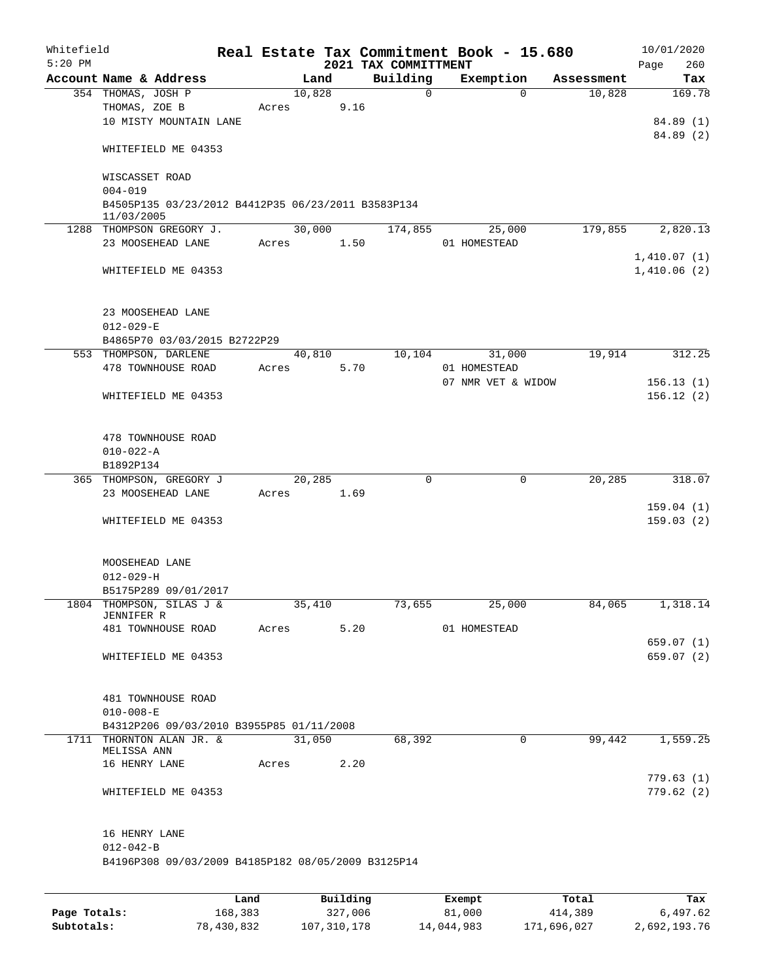| Whitefield<br>$5:20$ PM |                                                                                 |       |       |        |          | 2021 TAX COMMITTMENT | Real Estate Tax Commitment Book - 15.680 |            | 10/01/2020<br>260<br>Page |
|-------------------------|---------------------------------------------------------------------------------|-------|-------|--------|----------|----------------------|------------------------------------------|------------|---------------------------|
|                         | Account Name & Address                                                          |       |       | Land   |          | Building             | Exemption                                | Assessment | Tax                       |
|                         | 354 THOMAS, JOSH P                                                              |       |       | 10,828 |          | 0                    | $\Omega$                                 | 10,828     | 169.78                    |
|                         | THOMAS, ZOE B                                                                   |       | Acres |        | 9.16     |                      |                                          |            |                           |
|                         | 10 MISTY MOUNTAIN LANE                                                          |       |       |        |          |                      |                                          |            | 84.89(1)                  |
|                         | WHITEFIELD ME 04353                                                             |       |       |        |          |                      |                                          |            | 84.89 (2)                 |
|                         | WISCASSET ROAD                                                                  |       |       |        |          |                      |                                          |            |                           |
|                         | $004 - 019$<br>B4505P135 03/23/2012 B4412P35 06/23/2011 B3583P134<br>11/03/2005 |       |       |        |          |                      |                                          |            |                           |
|                         | 1288 THOMPSON GREGORY J.                                                        |       |       | 30,000 |          | 174,855              | 25,000                                   | 179,855    | 2,820.13                  |
|                         | 23 MOOSEHEAD LANE                                                               |       | Acres |        | 1.50     |                      | 01 HOMESTEAD                             |            |                           |
|                         |                                                                                 |       |       |        |          |                      |                                          |            | 1,410.07(1)               |
|                         | WHITEFIELD ME 04353                                                             |       |       |        |          |                      |                                          |            | 1,410.06(2)               |
|                         | 23 MOOSEHEAD LANE                                                               |       |       |        |          |                      |                                          |            |                           |
|                         | $012 - 029 - E$                                                                 |       |       |        |          |                      |                                          |            |                           |
|                         | B4865P70 03/03/2015 B2722P29                                                    |       |       |        |          |                      |                                          |            |                           |
|                         | 553 THOMPSON, DARLENE                                                           |       |       | 40,810 |          | 10,104               | 31,000                                   | 19,914     | 312.25                    |
|                         | 478 TOWNHOUSE ROAD                                                              |       | Acres |        | 5.70     |                      | 01 HOMESTEAD                             |            |                           |
|                         |                                                                                 |       |       |        |          |                      | 07 NMR VET & WIDOW                       |            | 156.13(1)                 |
|                         | WHITEFIELD ME 04353                                                             |       |       |        |          |                      |                                          |            | 156.12(2)                 |
|                         | 478 TOWNHOUSE ROAD                                                              |       |       |        |          |                      |                                          |            |                           |
|                         | $010 - 022 - A$                                                                 |       |       |        |          |                      |                                          |            |                           |
|                         | B1892P134                                                                       |       |       |        |          |                      |                                          |            |                           |
|                         | 365 THOMPSON, GREGORY J                                                         |       |       | 20,285 |          | 0                    | $\mathbf 0$                              | 20,285     | 318.07                    |
|                         | 23 MOOSEHEAD LANE                                                               |       | Acres |        | 1.69     |                      |                                          |            | 159.04(1)                 |
|                         | WHITEFIELD ME 04353                                                             |       |       |        |          |                      |                                          |            | 159.03(2)                 |
|                         |                                                                                 |       |       |        |          |                      |                                          |            |                           |
|                         | MOOSEHEAD LANE                                                                  |       |       |        |          |                      |                                          |            |                           |
|                         | $012 - 029 - H$                                                                 |       |       |        |          |                      |                                          |            |                           |
|                         | B5175P289 09/01/2017<br>1804 THOMPSON, SILAS J &                                |       |       | 35,410 |          | 73,655               | 25,000                                   | 84,065     | 1,318.14                  |
|                         | JENNIFER R                                                                      |       |       |        |          |                      |                                          |            |                           |
|                         | 481 TOWNHOUSE ROAD                                                              |       | Acres |        | 5.20     |                      | 01 HOMESTEAD                             |            |                           |
|                         |                                                                                 |       |       |        |          |                      |                                          |            | 659.07(1)                 |
|                         | WHITEFIELD ME 04353                                                             |       |       |        |          |                      |                                          |            | 659.07(2)                 |
|                         | 481 TOWNHOUSE ROAD                                                              |       |       |        |          |                      |                                          |            |                           |
|                         | $010 - 008 - E$                                                                 |       |       |        |          |                      |                                          |            |                           |
|                         | B4312P206 09/03/2010 B3955P85 01/11/2008                                        |       |       |        |          |                      |                                          |            |                           |
|                         | 1711 THORNTON ALAN JR. &<br>MELISSA ANN                                         |       |       | 31,050 |          | 68,392               | $\mathbf 0$                              | 99,442     | 1,559.25                  |
|                         | 16 HENRY LANE                                                                   |       | Acres |        | 2.20     |                      |                                          |            |                           |
|                         |                                                                                 |       |       |        |          |                      |                                          |            | 779.63 (1)                |
|                         | WHITEFIELD ME 04353                                                             |       |       |        |          |                      |                                          |            | 779.62 (2)                |
|                         | 16 HENRY LANE                                                                   |       |       |        |          |                      |                                          |            |                           |
|                         | $012 - 042 - B$                                                                 |       |       |        |          |                      |                                          |            |                           |
|                         | B4196P308 09/03/2009 B4185P182 08/05/2009 B3125P14                              |       |       |        |          |                      |                                          |            |                           |
|                         |                                                                                 |       |       |        |          |                      |                                          |            |                           |
|                         |                                                                                 | Land. |       |        | Building |                      | $F$ vomnt                                | $T$ ctal   | Tov                       |

|              | Land       | Building    | Exempt     | Total       | Tax          |
|--------------|------------|-------------|------------|-------------|--------------|
| Page Totals: | 168,383    | 327,006     | 81,000     | 414,389     | 6,497.62     |
| Subtotals:   | 78,430,832 | 107,310,178 | 14,044,983 | 171,696,027 | 2,692,193.76 |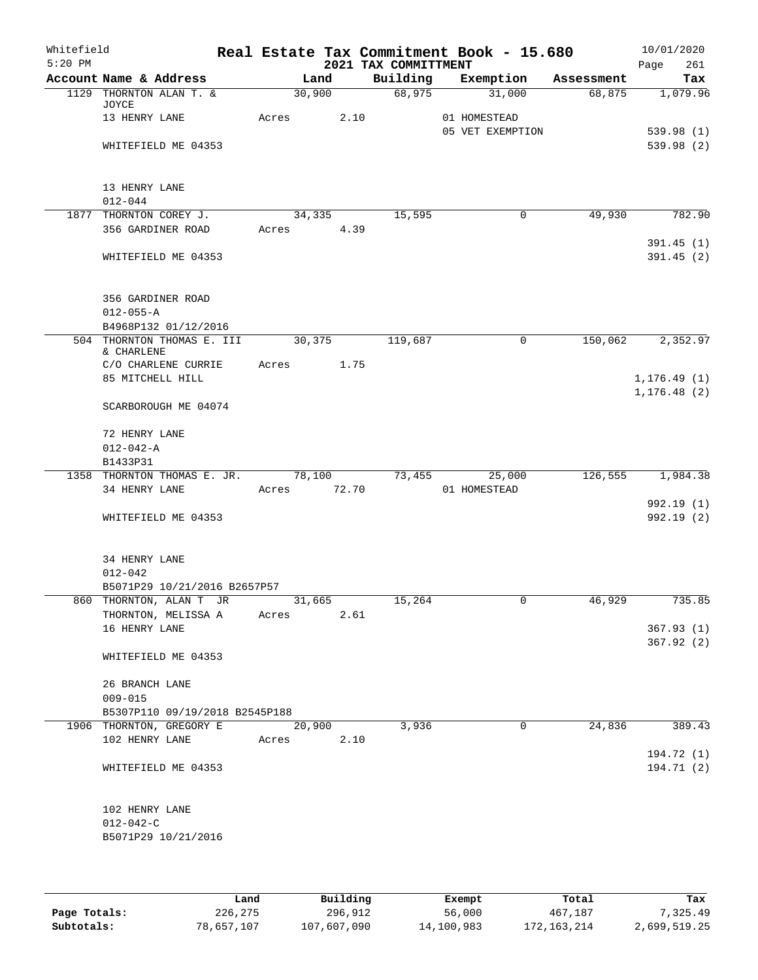| Whitefield<br>$5:20$ PM |                                                            |                       |        | 2021 TAX COMMITTMENT | Real Estate Tax Commitment Book - 15.680 |         | 10/01/2020<br>261<br>Page    |
|-------------------------|------------------------------------------------------------|-----------------------|--------|----------------------|------------------------------------------|---------|------------------------------|
|                         | Account Name & Address                                     |                       | Land   |                      | Building Exemption Assessment            |         | Tax                          |
|                         | 1129 THORNTON ALAN T. &<br>JOYCE                           |                       | 30,900 | 68,975               | 31,000                                   | 68,875  | 1,079.96                     |
|                         | 13 HENRY LANE                                              | Acres                 | 2.10   |                      | 01 HOMESTEAD<br>05 VET EXEMPTION         |         | 539.98(1)                    |
|                         | WHITEFIELD ME 04353                                        |                       |        |                      |                                          |         | 539.98 (2)                   |
|                         | 13 HENRY LANE                                              |                       |        |                      |                                          |         |                              |
|                         | $012 - 044$<br>1877 THORNTON COREY J.                      |                       | 34,335 | 15,595               | $\mathbf 0$                              | 49,930  | 782.90                       |
|                         | 356 GARDINER ROAD                                          | Acres 4.39            |        |                      |                                          |         |                              |
|                         |                                                            |                       |        |                      |                                          |         | 391.45(1)                    |
|                         | WHITEFIELD ME 04353                                        |                       |        |                      |                                          |         | 391.45(2)                    |
|                         | 356 GARDINER ROAD<br>$012 - 055 - A$                       |                       |        |                      |                                          |         |                              |
|                         | B4968P132 01/12/2016                                       |                       |        |                      |                                          |         |                              |
|                         | 504 THORNTON THOMAS E. III<br>& CHARLENE                   | 30,375                |        | 119,687              | 0                                        | 150,062 | 2,352.97                     |
|                         | C/O CHARLENE CURRIE                                        | Acres 1.75            |        |                      |                                          |         |                              |
|                         | 85 MITCHELL HILL                                           |                       |        |                      |                                          |         | 1, 176.49(1)<br>1, 176.48(2) |
|                         | SCARBOROUGH ME 04074                                       |                       |        |                      |                                          |         |                              |
|                         | 72 HENRY LANE                                              |                       |        |                      |                                          |         |                              |
|                         | $012 - 042 - A$                                            |                       |        |                      |                                          |         |                              |
|                         | B1433P31                                                   |                       |        |                      |                                          |         |                              |
|                         | 1358 THORNTON THOMAS E. JR.<br>34 HENRY LANE               | 78,100<br>Acres 72.70 |        |                      | 73,455 25,000<br>01 HOMESTEAD            | 126,555 | 1,984.38                     |
|                         |                                                            |                       |        |                      |                                          |         | 992.19 (1)                   |
|                         | WHITEFIELD ME 04353                                        |                       |        |                      |                                          |         | 992.19(2)                    |
|                         | 34 HENRY LANE                                              |                       |        |                      |                                          |         |                              |
|                         | $012 - 042$                                                |                       |        |                      |                                          |         |                              |
|                         | B5071P29 10/21/2016 B2657P57<br>860 THORNTON, ALAN T JR    |                       | 31,665 | 15,264               | 0                                        | 46,929  | 735.85                       |
|                         | THORNTON, MELISSA A                                        | Acres                 | 2.61   |                      |                                          |         |                              |
|                         | 16 HENRY LANE                                              |                       |        |                      |                                          |         | 367.93(1)                    |
|                         | WHITEFIELD ME 04353                                        |                       |        |                      |                                          |         | 367.92(2)                    |
|                         | 26 BRANCH LANE                                             |                       |        |                      |                                          |         |                              |
|                         | $009 - 015$                                                |                       |        |                      |                                          |         |                              |
|                         | B5307P110 09/19/2018 B2545P188<br>1906 THORNTON, GREGORY E |                       | 20,900 | 3,936                | $\overline{0}$                           | 24,836  | 389.43                       |
|                         | 102 HENRY LANE                                             | Acres                 | 2.10   |                      |                                          |         |                              |
|                         | WHITEFIELD ME 04353                                        |                       |        |                      |                                          |         | 194.72 (1)<br>194.71 (2)     |
|                         | 102 HENRY LANE                                             |                       |        |                      |                                          |         |                              |
|                         | $012 - 042 - C$                                            |                       |        |                      |                                          |         |                              |
|                         | B5071P29 10/21/2016                                        |                       |        |                      |                                          |         |                              |
|                         |                                                            |                       |        |                      |                                          |         |                              |

|              | Land       | Building    | Exempt     | Total       | Tax          |
|--------------|------------|-------------|------------|-------------|--------------|
| Page Totals: | 226,275    | 296,912     | 56,000     | 467,187     | 7.325.49     |
| Subtotals:   | 78,657,107 | 107,607,090 | 14,100,983 | 172,163,214 | 2,699,519.25 |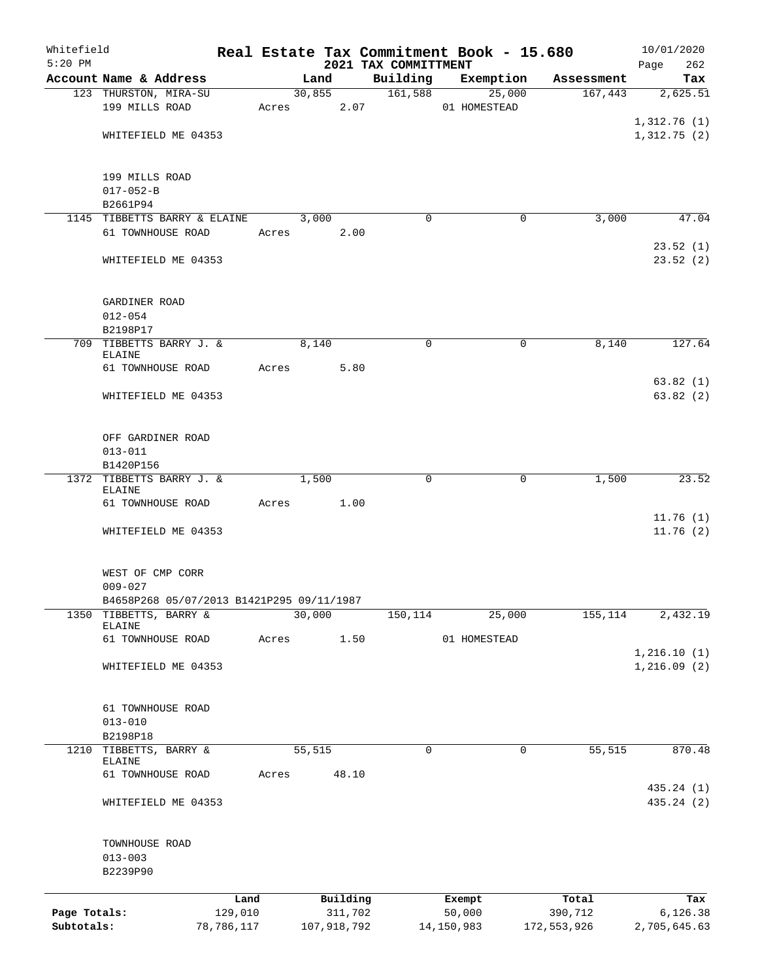| Whitefield                 |                                           |                       |            |        |                        |                                  | Real Estate Tax Commitment Book - 15.680 |        |                        | 10/01/2020               |
|----------------------------|-------------------------------------------|-----------------------|------------|--------|------------------------|----------------------------------|------------------------------------------|--------|------------------------|--------------------------|
| $5:20$ PM                  | Account Name & Address                    |                       |            | Land   |                        | 2021 TAX COMMITTMENT<br>Building | Exemption                                |        | Assessment             | Page<br>262              |
|                            | 123 THURSTON, MIRA-SU                     |                       |            |        | 30,855                 | 161,588                          |                                          | 25,000 | 167,443                | Tax<br>2,625.51          |
|                            | 199 MILLS ROAD                            |                       | Acres 2.07 |        |                        |                                  | 01 HOMESTEAD                             |        |                        |                          |
|                            |                                           |                       |            |        |                        |                                  |                                          |        |                        | 1,312.76(1)              |
|                            | WHITEFIELD ME 04353                       |                       |            |        |                        |                                  |                                          |        |                        | 1,312.75(2)              |
|                            |                                           |                       |            |        |                        |                                  |                                          |        |                        |                          |
|                            |                                           |                       |            |        |                        |                                  |                                          |        |                        |                          |
|                            | 199 MILLS ROAD<br>$017 - 052 - B$         |                       |            |        |                        |                                  |                                          |        |                        |                          |
|                            | B2661P94                                  |                       |            |        |                        |                                  |                                          |        |                        |                          |
|                            | 1145 TIBBETTS BARRY & ELAINE              |                       |            | 3,000  |                        | $\Omega$                         |                                          | 0      | 3,000                  | 47.04                    |
|                            | 61 TOWNHOUSE ROAD                         |                       | Acres      |        | 2.00                   |                                  |                                          |        |                        |                          |
|                            |                                           |                       |            |        |                        |                                  |                                          |        |                        | 23.52(1)                 |
|                            | WHITEFIELD ME 04353                       |                       |            |        |                        |                                  |                                          |        |                        | 23.52(2)                 |
|                            |                                           |                       |            |        |                        |                                  |                                          |        |                        |                          |
|                            | GARDINER ROAD                             |                       |            |        |                        |                                  |                                          |        |                        |                          |
|                            | $012 - 054$                               |                       |            |        |                        |                                  |                                          |        |                        |                          |
|                            | B2198P17                                  |                       |            |        |                        |                                  |                                          |        |                        |                          |
|                            | 709 TIBBETTS BARRY J. &                   |                       |            | 8,140  |                        | $\mathbf 0$                      |                                          | 0      | 8,140                  | 127.64                   |
|                            | ELAINE<br>61 TOWNHOUSE ROAD               |                       | Acres      |        | 5.80                   |                                  |                                          |        |                        |                          |
|                            |                                           |                       |            |        |                        |                                  |                                          |        |                        | 63.82(1)                 |
|                            | WHITEFIELD ME 04353                       |                       |            |        |                        |                                  |                                          |        |                        | 63.82(2)                 |
|                            |                                           |                       |            |        |                        |                                  |                                          |        |                        |                          |
|                            |                                           |                       |            |        |                        |                                  |                                          |        |                        |                          |
|                            | OFF GARDINER ROAD<br>$013 - 011$          |                       |            |        |                        |                                  |                                          |        |                        |                          |
|                            | B1420P156                                 |                       |            |        |                        |                                  |                                          |        |                        |                          |
|                            | 1372 TIBBETTS BARRY J. &                  |                       |            | 1,500  |                        | $\mathbf 0$                      |                                          | 0      | 1,500                  | 23.52                    |
|                            | ELAINE                                    |                       |            |        |                        |                                  |                                          |        |                        |                          |
|                            | 61 TOWNHOUSE ROAD                         |                       | Acres      |        | 1.00                   |                                  |                                          |        |                        |                          |
|                            |                                           |                       |            |        |                        |                                  |                                          |        |                        | 11.76(1)<br>11.76(2)     |
|                            | WHITEFIELD ME 04353                       |                       |            |        |                        |                                  |                                          |        |                        |                          |
|                            |                                           |                       |            |        |                        |                                  |                                          |        |                        |                          |
|                            | WEST OF CMP CORR                          |                       |            |        |                        |                                  |                                          |        |                        |                          |
|                            | $009 - 027$                               |                       |            |        |                        |                                  |                                          |        |                        |                          |
|                            | B4658P268 05/07/2013 B1421P295 09/11/1987 |                       |            |        |                        |                                  |                                          |        |                        |                          |
|                            | 1350 TIBBETTS, BARRY &<br>ELAINE          |                       |            | 30,000 |                        | 150,114                          |                                          | 25,000 | 155,114                | 2,432.19                 |
|                            | 61 TOWNHOUSE ROAD                         |                       | Acres      |        | 1.50                   |                                  | 01 HOMESTEAD                             |        |                        |                          |
|                            |                                           |                       |            |        |                        |                                  |                                          |        |                        | 1,216.10(1)              |
|                            | WHITEFIELD ME 04353                       |                       |            |        |                        |                                  |                                          |        |                        | 1,216.09(2)              |
|                            |                                           |                       |            |        |                        |                                  |                                          |        |                        |                          |
|                            | 61 TOWNHOUSE ROAD                         |                       |            |        |                        |                                  |                                          |        |                        |                          |
|                            | $013 - 010$                               |                       |            |        |                        |                                  |                                          |        |                        |                          |
|                            | B2198P18                                  |                       |            |        |                        |                                  |                                          |        |                        |                          |
| 1210                       | TIBBETTS, BARRY &                         |                       |            | 55,515 |                        | 0                                |                                          | 0      | $\overline{55,515}$    | 870.48                   |
|                            | ELAINE<br>61 TOWNHOUSE ROAD               |                       | Acres      |        | 48.10                  |                                  |                                          |        |                        |                          |
|                            |                                           |                       |            |        |                        |                                  |                                          |        |                        | 435.24 (1)               |
|                            | WHITEFIELD ME 04353                       |                       |            |        |                        |                                  |                                          |        |                        | 435.24 (2)               |
|                            |                                           |                       |            |        |                        |                                  |                                          |        |                        |                          |
|                            | TOWNHOUSE ROAD<br>$013 - 003$             |                       |            |        |                        |                                  |                                          |        |                        |                          |
|                            | B2239P90                                  |                       |            |        |                        |                                  |                                          |        |                        |                          |
|                            |                                           |                       |            |        |                        |                                  |                                          |        |                        |                          |
|                            |                                           | Land                  |            |        | Building               |                                  | Exempt                                   |        | Total                  | Tax                      |
| Page Totals:<br>Subtotals: |                                           | 129,010<br>78,786,117 |            |        | 311,702<br>107,918,792 |                                  | 50,000<br>14,150,983                     |        | 390,712<br>172,553,926 | 6,126.38<br>2,705,645.63 |
|                            |                                           |                       |            |        |                        |                                  |                                          |        |                        |                          |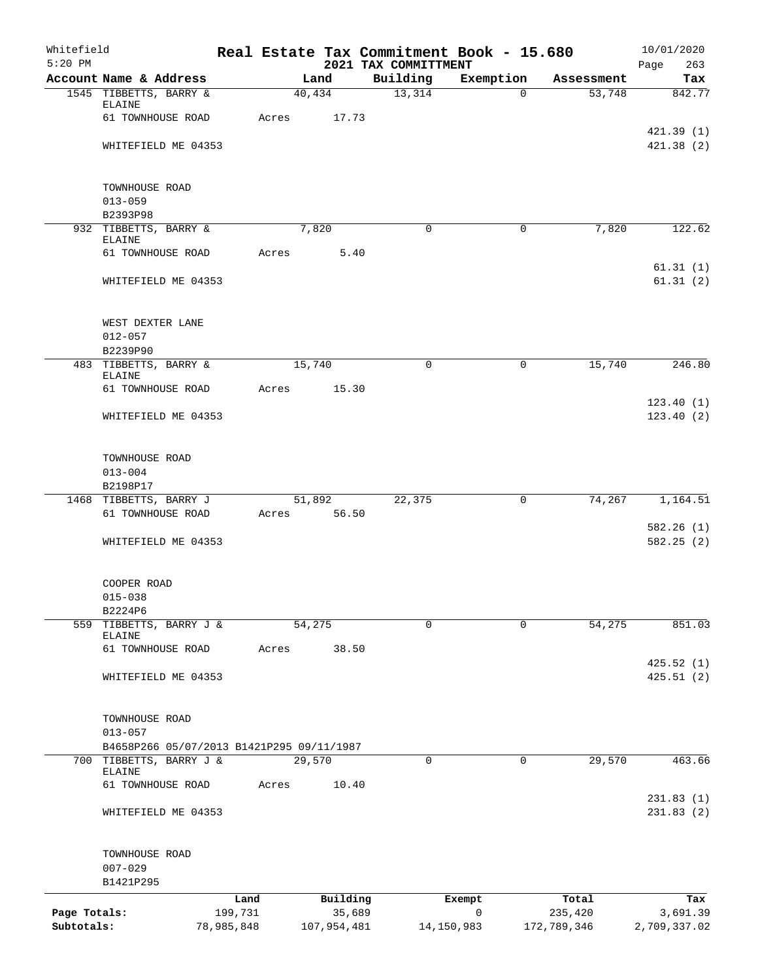| Whitefield<br>$5:20$ PM |                                                                      |                 |                    | 2021 TAX COMMITTMENT | Real Estate Tax Commitment Book - 15.680 |                  | 10/01/2020<br>Page<br>263 |
|-------------------------|----------------------------------------------------------------------|-----------------|--------------------|----------------------|------------------------------------------|------------------|---------------------------|
|                         | Account Name & Address                                               |                 | Land               | Building             | Exemption                                | Assessment       | Tax                       |
|                         | 1545 TIBBETTS, BARRY &                                               |                 | 40,434             | 13,314               | $\Omega$                                 | 53,748           | 842.77                    |
|                         | ELAINE                                                               |                 |                    |                      |                                          |                  |                           |
|                         | 61 TOWNHOUSE ROAD                                                    | Acres           | 17.73              |                      |                                          |                  | 421.39(1)                 |
|                         | WHITEFIELD ME 04353                                                  |                 |                    |                      |                                          |                  | 421.38(2)                 |
|                         |                                                                      |                 |                    |                      |                                          |                  |                           |
|                         |                                                                      |                 |                    |                      |                                          |                  |                           |
|                         | TOWNHOUSE ROAD<br>$013 - 059$                                        |                 |                    |                      |                                          |                  |                           |
|                         | B2393P98                                                             |                 |                    |                      |                                          |                  |                           |
|                         | 932 TIBBETTS, BARRY &                                                |                 | 7,820              | $\mathbf 0$          | $\mathbf 0$                              | 7,820            | 122.62                    |
|                         | ELAINE                                                               |                 |                    |                      |                                          |                  |                           |
|                         | 61 TOWNHOUSE ROAD                                                    | Acres           | 5.40               |                      |                                          |                  | 61.31(1)                  |
|                         | WHITEFIELD ME 04353                                                  |                 |                    |                      |                                          |                  | 61.31(2)                  |
|                         |                                                                      |                 |                    |                      |                                          |                  |                           |
|                         |                                                                      |                 |                    |                      |                                          |                  |                           |
|                         | WEST DEXTER LANE                                                     |                 |                    |                      |                                          |                  |                           |
|                         | $012 - 057$<br>B2239P90                                              |                 |                    |                      |                                          |                  |                           |
|                         | 483 TIBBETTS, BARRY &                                                |                 | 15,740             | $\Omega$             | $\Omega$                                 | 15,740           | 246.80                    |
|                         | <b>ELAINE</b>                                                        |                 |                    |                      |                                          |                  |                           |
|                         | 61 TOWNHOUSE ROAD                                                    | Acres           | 15.30              |                      |                                          |                  | 123.40(1)                 |
|                         | WHITEFIELD ME 04353                                                  |                 |                    |                      |                                          |                  | 123.40(2)                 |
|                         |                                                                      |                 |                    |                      |                                          |                  |                           |
|                         |                                                                      |                 |                    |                      |                                          |                  |                           |
|                         | TOWNHOUSE ROAD                                                       |                 |                    |                      |                                          |                  |                           |
|                         | $013 - 004$<br>B2198P17                                              |                 |                    |                      |                                          |                  |                           |
|                         | 1468 TIBBETTS, BARRY J                                               |                 | 51,892             | 22,375               | 0                                        | 74,267           | 1,164.51                  |
|                         | 61 TOWNHOUSE ROAD                                                    | Acres           | 56.50              |                      |                                          |                  |                           |
|                         |                                                                      |                 |                    |                      |                                          |                  | 582.26(1)                 |
|                         | WHITEFIELD ME 04353                                                  |                 |                    |                      |                                          |                  | 582.25 (2)                |
|                         |                                                                      |                 |                    |                      |                                          |                  |                           |
|                         | COOPER ROAD                                                          |                 |                    |                      |                                          |                  |                           |
|                         | $015 - 038$                                                          |                 |                    |                      |                                          |                  |                           |
|                         | B2224P6<br>559 TIBBETTS, BARRY J &                                   |                 | 54,275             | 0                    | $\mathbf 0$                              | 54,275           | 851.03                    |
|                         | ELAINE                                                               |                 |                    |                      |                                          |                  |                           |
|                         | 61 TOWNHOUSE ROAD                                                    | Acres           | 38.50              |                      |                                          |                  |                           |
|                         |                                                                      |                 |                    |                      |                                          |                  | 425.52(1)                 |
|                         | WHITEFIELD ME 04353                                                  |                 |                    |                      |                                          |                  | 425.51(2)                 |
|                         |                                                                      |                 |                    |                      |                                          |                  |                           |
|                         | TOWNHOUSE ROAD                                                       |                 |                    |                      |                                          |                  |                           |
|                         | $013 - 057$                                                          |                 |                    |                      |                                          |                  |                           |
|                         | B4658P266 05/07/2013 B1421P295 09/11/1987<br>700 TIBBETTS, BARRY J & |                 | 29,570             | 0                    | 0                                        | 29,570           | 463.66                    |
|                         | ELAINE                                                               |                 |                    |                      |                                          |                  |                           |
|                         | 61 TOWNHOUSE ROAD                                                    | Acres           | 10.40              |                      |                                          |                  |                           |
|                         | WHITEFIELD ME 04353                                                  |                 |                    |                      |                                          |                  | 231.83(1)<br>231.83(2)    |
|                         |                                                                      |                 |                    |                      |                                          |                  |                           |
|                         |                                                                      |                 |                    |                      |                                          |                  |                           |
|                         | TOWNHOUSE ROAD                                                       |                 |                    |                      |                                          |                  |                           |
|                         | $007 - 029$<br>B1421P295                                             |                 |                    |                      |                                          |                  |                           |
|                         |                                                                      |                 |                    |                      |                                          |                  |                           |
| Page Totals:            |                                                                      | Land<br>199,731 | Building<br>35,689 |                      | Exempt<br>$\mathbf 0$                    | Total<br>235,420 | Tax<br>3,691.39           |
| Subtotals:              |                                                                      | 78,985,848      | 107,954,481        |                      | 14,150,983                               | 172,789,346      | 2,709,337.02              |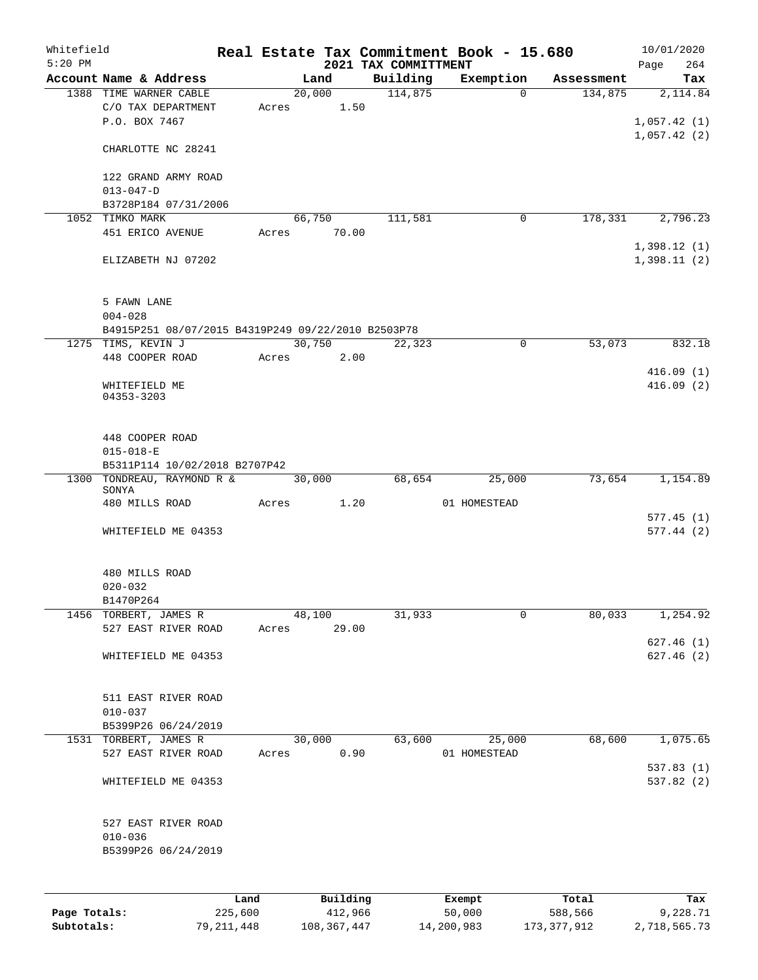| Whitefield<br>$5:20$ PM |                                                    |      |       |        |             | 2021 TAX COMMITTMENT | Real Estate Tax Commitment Book - 15.680 |            | 10/01/2020<br>Page<br>264 |
|-------------------------|----------------------------------------------------|------|-------|--------|-------------|----------------------|------------------------------------------|------------|---------------------------|
|                         | Account Name & Address                             |      |       | Land   |             | Building             | Exemption                                | Assessment | Tax                       |
|                         | 1388 TIME WARNER CABLE                             |      |       | 20,000 |             | 114,875              | $\Omega$                                 | 134,875    | 2,114.84                  |
|                         | C/O TAX DEPARTMENT                                 |      | Acres |        | 1.50        |                      |                                          |            |                           |
|                         | P.O. BOX 7467                                      |      |       |        |             |                      |                                          |            | 1,057.42(1)               |
|                         |                                                    |      |       |        |             |                      |                                          |            | 1,057.42(2)               |
|                         | CHARLOTTE NC 28241                                 |      |       |        |             |                      |                                          |            |                           |
|                         |                                                    |      |       |        |             |                      |                                          |            |                           |
|                         | 122 GRAND ARMY ROAD                                |      |       |        |             |                      |                                          |            |                           |
|                         | $013 - 047 - D$                                    |      |       |        |             |                      |                                          |            |                           |
|                         | B3728P184 07/31/2006                               |      |       |        |             |                      |                                          |            |                           |
|                         | 1052 TIMKO MARK                                    |      |       | 66,750 |             | 111,581              | 0                                        | 178,331    | 2,796.23                  |
|                         | 451 ERICO AVENUE                                   |      |       |        | Acres 70.00 |                      |                                          |            |                           |
|                         |                                                    |      |       |        |             |                      |                                          |            | 1,398.12(1)               |
|                         | ELIZABETH NJ 07202                                 |      |       |        |             |                      |                                          |            | 1,398.11(2)               |
|                         |                                                    |      |       |        |             |                      |                                          |            |                           |
|                         | 5 FAWN LANE                                        |      |       |        |             |                      |                                          |            |                           |
|                         | $004 - 028$                                        |      |       |        |             |                      |                                          |            |                           |
|                         | B4915P251 08/07/2015 B4319P249 09/22/2010 B2503P78 |      |       |        |             |                      |                                          |            |                           |
|                         | 1275 TIMS, KEVIN J                                 |      |       |        | 30,750      | 22,323               | 0                                        | 53,073     | 832.18                    |
|                         | 448 COOPER ROAD                                    |      | Acres |        | 2.00        |                      |                                          |            |                           |
|                         |                                                    |      |       |        |             |                      |                                          |            | 416.09(1)                 |
|                         | WHITEFIELD ME                                      |      |       |        |             |                      |                                          |            | 416.09(2)                 |
|                         | 04353-3203                                         |      |       |        |             |                      |                                          |            |                           |
|                         |                                                    |      |       |        |             |                      |                                          |            |                           |
|                         |                                                    |      |       |        |             |                      |                                          |            |                           |
|                         | 448 COOPER ROAD                                    |      |       |        |             |                      |                                          |            |                           |
|                         | $015 - 018 - E$                                    |      |       |        |             |                      |                                          |            |                           |
|                         | B5311P114 10/02/2018 B2707P42                      |      |       |        |             |                      |                                          |            |                           |
|                         | 1300 TONDREAU, RAYMOND R &                         |      |       | 30,000 |             | 68,654               | 25,000                                   | 73,654     | 1,154.89                  |
|                         | SONYA<br>480 MILLS ROAD                            |      | Acres |        | 1.20        |                      | 01 HOMESTEAD                             |            |                           |
|                         |                                                    |      |       |        |             |                      |                                          |            | 577.45(1)                 |
|                         | WHITEFIELD ME 04353                                |      |       |        |             |                      |                                          |            | 577.44(2)                 |
|                         |                                                    |      |       |        |             |                      |                                          |            |                           |
|                         |                                                    |      |       |        |             |                      |                                          |            |                           |
|                         | 480 MILLS ROAD                                     |      |       |        |             |                      |                                          |            |                           |
|                         | $020 - 032$                                        |      |       |        |             |                      |                                          |            |                           |
|                         | B1470P264                                          |      |       |        |             |                      |                                          |            |                           |
|                         | 1456 TORBERT, JAMES R                              |      |       | 48,100 |             | 31,933               | 0                                        | 80,033     | 1,254.92                  |
|                         | 527 EAST RIVER ROAD                                |      | Acres |        | 29.00       |                      |                                          |            |                           |
|                         |                                                    |      |       |        |             |                      |                                          |            | 627.46(1)                 |
|                         | WHITEFIELD ME 04353                                |      |       |        |             |                      |                                          |            | 627.46(2)                 |
|                         |                                                    |      |       |        |             |                      |                                          |            |                           |
|                         |                                                    |      |       |        |             |                      |                                          |            |                           |
|                         | 511 EAST RIVER ROAD                                |      |       |        |             |                      |                                          |            |                           |
|                         | $010 - 037$                                        |      |       |        |             |                      |                                          |            |                           |
|                         | B5399P26 06/24/2019                                |      |       |        |             |                      |                                          |            |                           |
|                         | 1531 TORBERT, JAMES R                              |      |       | 30,000 |             | 63,600               | 25,000                                   | 68,600     | 1,075.65                  |
|                         | 527 EAST RIVER ROAD                                |      | Acres |        | 0.90        |                      | 01 HOMESTEAD                             |            |                           |
|                         |                                                    |      |       |        |             |                      |                                          |            | 537.83(1)                 |
|                         | WHITEFIELD ME 04353                                |      |       |        |             |                      |                                          |            | 537.82(2)                 |
|                         |                                                    |      |       |        |             |                      |                                          |            |                           |
|                         |                                                    |      |       |        |             |                      |                                          |            |                           |
|                         | 527 EAST RIVER ROAD                                |      |       |        |             |                      |                                          |            |                           |
|                         | $010 - 036$                                        |      |       |        |             |                      |                                          |            |                           |
|                         | B5399P26 06/24/2019                                |      |       |        |             |                      |                                          |            |                           |
|                         |                                                    |      |       |        |             |                      |                                          |            |                           |
|                         |                                                    |      |       |        |             |                      |                                          |            |                           |
|                         |                                                    | Land |       |        | Building    |                      | Exempt                                   | Total      | Tax                       |

|              | ------     | ---------   | --------   | -----       | ----         |
|--------------|------------|-------------|------------|-------------|--------------|
| Page Totals: | 225,600    | 412,966     | 50,000     | 588,566     | 9,228.71     |
| Subtotals:   | 79,211,448 | 108,367,447 | 14,200,983 | 173,377,912 | 2,718,565.73 |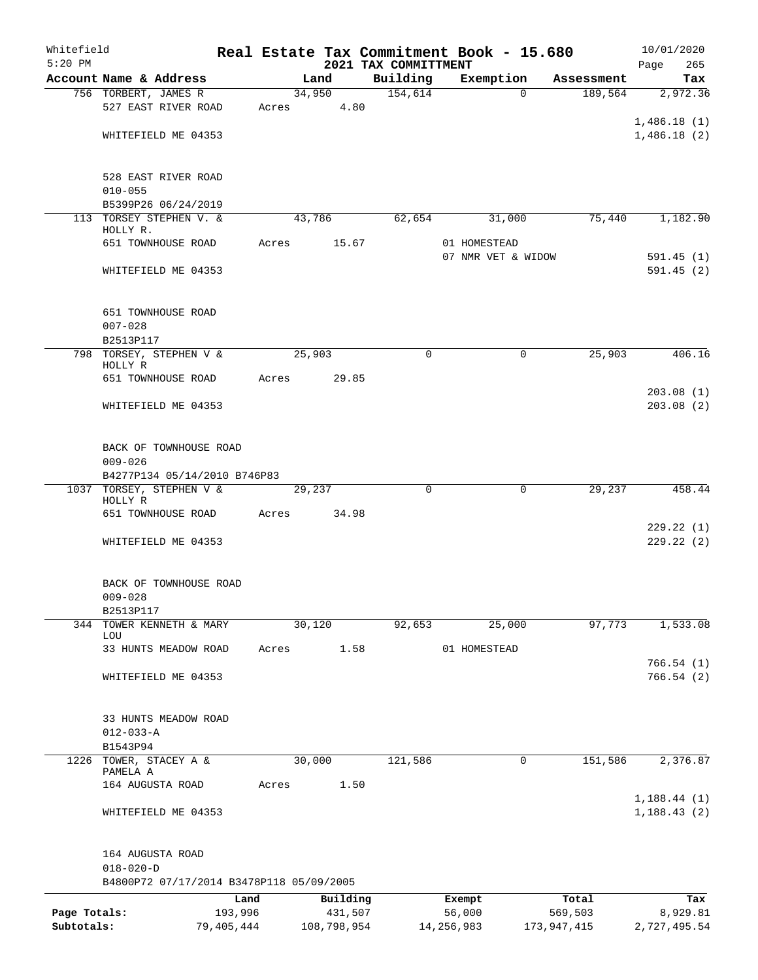| Whitefield   |                                                          |                 |       |        |                     | Real Estate Tax Commitment Book - 15.680 |                    |             |                  | 10/01/2020             |
|--------------|----------------------------------------------------------|-----------------|-------|--------|---------------------|------------------------------------------|--------------------|-------------|------------------|------------------------|
| $5:20$ PM    | Account Name & Address                                   |                 |       | Land   |                     | 2021 TAX COMMITTMENT<br>Building         | Exemption          |             | Assessment       | Page<br>265<br>Tax     |
|              | 756 TORBERT, JAMES R                                     |                 |       | 34,950 |                     | 154,614                                  |                    | $\Omega$    | 189,564          | 2,972.36               |
|              | 527 EAST RIVER ROAD                                      |                 | Acres |        | 4.80                |                                          |                    |             |                  |                        |
|              |                                                          |                 |       |        |                     |                                          |                    |             |                  | 1,486.18(1)            |
|              | WHITEFIELD ME 04353                                      |                 |       |        |                     |                                          |                    |             |                  | 1,486.18(2)            |
|              | 528 EAST RIVER ROAD                                      |                 |       |        |                     |                                          |                    |             |                  |                        |
|              | $010 - 055$                                              |                 |       |        |                     |                                          |                    |             |                  |                        |
|              | B5399P26 06/24/2019                                      |                 |       |        |                     |                                          |                    |             |                  |                        |
|              | 113 TORSEY STEPHEN V. &<br>HOLLY R.                      |                 |       | 43,786 |                     | 62,654                                   |                    | 31,000      | 75,440           | 1,182.90               |
|              | 651 TOWNHOUSE ROAD                                       |                 | Acres |        | 15.67               |                                          | 01 HOMESTEAD       |             |                  |                        |
|              |                                                          |                 |       |        |                     |                                          | 07 NMR VET & WIDOW |             |                  | 591.45(1)              |
|              | WHITEFIELD ME 04353                                      |                 |       |        |                     |                                          |                    |             |                  | 591.45(2)              |
|              | 651 TOWNHOUSE ROAD                                       |                 |       |        |                     |                                          |                    |             |                  |                        |
|              | $007 - 028$                                              |                 |       |        |                     |                                          |                    |             |                  |                        |
|              | B2513P117                                                |                 |       |        |                     |                                          |                    |             |                  |                        |
| 798          | TORSEY, STEPHEN V &<br>HOLLY R                           |                 |       | 25,903 |                     | $\mathbf 0$                              |                    | $\mathbf 0$ | 25,903           | 406.16                 |
|              | 651 TOWNHOUSE ROAD                                       |                 | Acres |        | 29.85               |                                          |                    |             |                  |                        |
|              |                                                          |                 |       |        |                     |                                          |                    |             |                  | 203.08(1)              |
|              | WHITEFIELD ME 04353                                      |                 |       |        |                     |                                          |                    |             |                  | 203.08(2)              |
|              | BACK OF TOWNHOUSE ROAD                                   |                 |       |        |                     |                                          |                    |             |                  |                        |
|              | $009 - 026$                                              |                 |       |        |                     |                                          |                    |             |                  |                        |
|              | B4277P134 05/14/2010 B746P83<br>1037 TORSEY, STEPHEN V & |                 |       | 29,237 |                     | $\mathbf 0$                              |                    | 0           | 29,237           | 458.44                 |
|              | HOLLY R                                                  |                 |       |        |                     |                                          |                    |             |                  |                        |
|              | 651 TOWNHOUSE ROAD                                       |                 | Acres |        | 34.98               |                                          |                    |             |                  |                        |
|              | WHITEFIELD ME 04353                                      |                 |       |        |                     |                                          |                    |             |                  | 229.22(1)<br>229.22(2) |
|              | BACK OF TOWNHOUSE ROAD                                   |                 |       |        |                     |                                          |                    |             |                  |                        |
|              | $009 - 028$                                              |                 |       |        |                     |                                          |                    |             |                  |                        |
|              | B2513P117                                                |                 |       |        |                     |                                          |                    |             |                  |                        |
|              | 344 TOWER KENNETH & MARY<br>LOU                          |                 |       | 30,120 |                     | 92,653                                   |                    | 25,000      | 97,773           | 1,533.08               |
|              | 33 HUNTS MEADOW ROAD                                     |                 | Acres |        | 1.58                |                                          | 01 HOMESTEAD       |             |                  |                        |
|              |                                                          |                 |       |        |                     |                                          |                    |             |                  | 766.54(1)              |
|              | WHITEFIELD ME 04353                                      |                 |       |        |                     |                                          |                    |             |                  | 766.54(2)              |
|              | 33 HUNTS MEADOW ROAD                                     |                 |       |        |                     |                                          |                    |             |                  |                        |
|              | $012 - 033 - A$                                          |                 |       |        |                     |                                          |                    |             |                  |                        |
|              | B1543P94                                                 |                 |       |        |                     |                                          |                    |             |                  |                        |
| 1226         | TOWER, STACEY A &<br>PAMELA A                            |                 |       | 30,000 |                     | 121,586                                  |                    | 0           | 151,586          | 2,376.87               |
|              | 164 AUGUSTA ROAD                                         |                 | Acres |        | 1.50                |                                          |                    |             |                  |                        |
|              |                                                          |                 |       |        |                     |                                          |                    |             |                  | 1,188.44(1)            |
|              | WHITEFIELD ME 04353                                      |                 |       |        |                     |                                          |                    |             |                  | 1, 188.43(2)           |
|              | 164 AUGUSTA ROAD                                         |                 |       |        |                     |                                          |                    |             |                  |                        |
|              | $018 - 020 - D$                                          |                 |       |        |                     |                                          |                    |             |                  |                        |
|              | B4800P72 07/17/2014 B3478P118 05/09/2005                 |                 |       |        |                     |                                          |                    |             |                  |                        |
| Page Totals: |                                                          | Land<br>193,996 |       |        | Building<br>431,507 |                                          | Exempt<br>56,000   |             | Total<br>569,503 | Tax<br>8,929.81        |
| Subtotals:   |                                                          | 79,405,444      |       |        | 108,798,954         |                                          | 14, 256, 983       |             | 173,947,415      | 2,727,495.54           |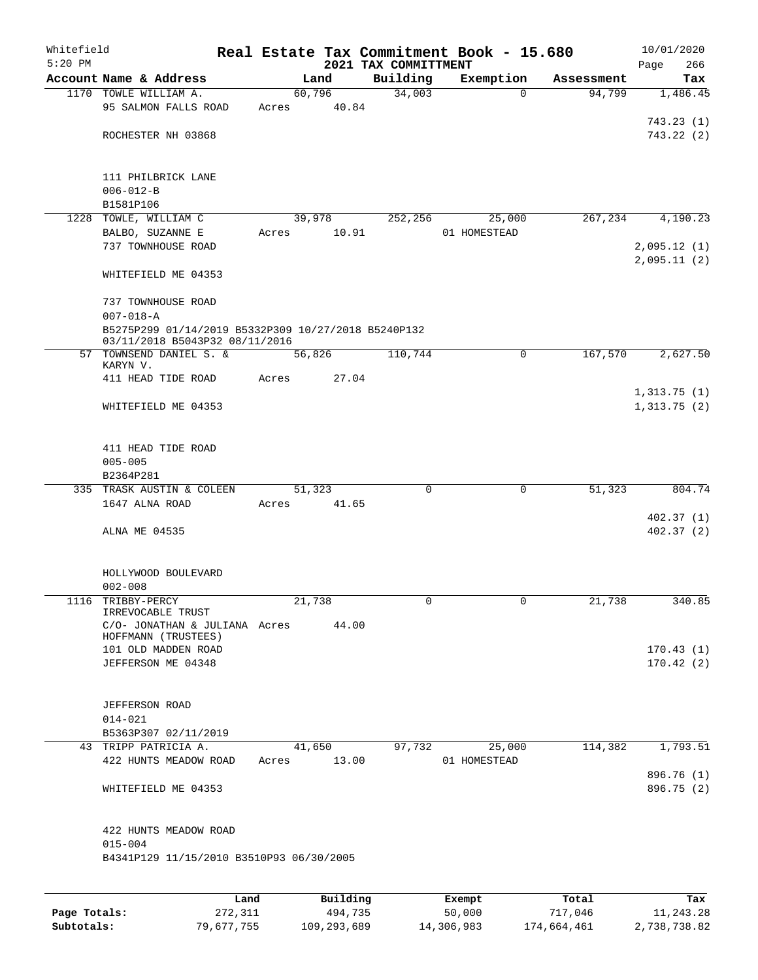| Whitefield<br>$5:20$ PM |                                                                                       |      |       |        |             | 2021 TAX COMMITTMENT | Real Estate Tax Commitment Book - 15.680 |             |            |      | 10/01/2020               |
|-------------------------|---------------------------------------------------------------------------------------|------|-------|--------|-------------|----------------------|------------------------------------------|-------------|------------|------|--------------------------|
|                         | Account Name & Address                                                                |      |       | Land   |             | Building             | Exemption                                |             | Assessment | Page | 266<br>Tax               |
|                         | 1170 TOWLE WILLIAM A.                                                                 |      |       | 60,796 |             | 34,003               |                                          | $\Omega$    | 94,799     |      | 1,486.45                 |
|                         | 95 SALMON FALLS ROAD                                                                  |      | Acres |        | 40.84       |                      |                                          |             |            |      |                          |
|                         |                                                                                       |      |       |        |             |                      |                                          |             |            |      | 743.23(1)                |
|                         | ROCHESTER NH 03868                                                                    |      |       |        |             |                      |                                          |             |            |      | 743.22 (2)               |
|                         | 111 PHILBRICK LANE                                                                    |      |       |        |             |                      |                                          |             |            |      |                          |
|                         | $006 - 012 - B$                                                                       |      |       |        |             |                      |                                          |             |            |      |                          |
|                         | B1581P106                                                                             |      |       |        |             |                      |                                          |             |            |      |                          |
|                         | 1228 TOWLE, WILLIAM C                                                                 |      |       | 39,978 |             | 252,256              | 25,000                                   |             | 267,234    |      | 4,190.23                 |
|                         | BALBO, SUZANNE E                                                                      |      | Acres |        | 10.91       |                      | 01 HOMESTEAD                             |             |            |      |                          |
|                         | 737 TOWNHOUSE ROAD                                                                    |      |       |        |             |                      |                                          |             |            |      | 2,095.12(1)              |
|                         | WHITEFIELD ME 04353                                                                   |      |       |        |             |                      |                                          |             |            |      | 2,095.11(2)              |
|                         | 737 TOWNHOUSE ROAD                                                                    |      |       |        |             |                      |                                          |             |            |      |                          |
|                         | $007 - 018 - A$                                                                       |      |       |        |             |                      |                                          |             |            |      |                          |
|                         | B5275P299 01/14/2019 B5332P309 10/27/2018 B5240P132<br>03/11/2018 B5043P32 08/11/2016 |      |       |        |             |                      |                                          |             |            |      |                          |
|                         | 57 TOWNSEND DANIEL S. &<br>KARYN V.                                                   |      |       | 56,826 |             | 110,744              |                                          | $\mathbf 0$ | 167,570    |      | 2,627.50                 |
|                         | 411 HEAD TIDE ROAD                                                                    |      | Acres |        | 27.04       |                      |                                          |             |            |      |                          |
|                         |                                                                                       |      |       |        |             |                      |                                          |             |            |      | 1,313.75(1)              |
|                         | WHITEFIELD ME 04353                                                                   |      |       |        |             |                      |                                          |             |            |      | 1,313.75(2)              |
|                         | 411 HEAD TIDE ROAD                                                                    |      |       |        |             |                      |                                          |             |            |      |                          |
|                         | $005 - 005$                                                                           |      |       |        |             |                      |                                          |             |            |      |                          |
|                         | B2364P281                                                                             |      |       |        |             |                      |                                          |             |            |      |                          |
|                         | 335 TRASK AUSTIN & COLEEN                                                             |      |       | 51,323 |             | 0                    |                                          | $\mathbf 0$ | 51,323     |      | 804.74                   |
|                         | 1647 ALNA ROAD                                                                        |      |       |        | Acres 41.65 |                      |                                          |             |            |      |                          |
|                         |                                                                                       |      |       |        |             |                      |                                          |             |            |      | 402.37(1)                |
|                         | ALNA ME 04535                                                                         |      |       |        |             |                      |                                          |             |            |      | 402.37(2)                |
|                         | HOLLYWOOD BOULEVARD                                                                   |      |       |        |             |                      |                                          |             |            |      |                          |
|                         | $002 - 008$                                                                           |      |       |        |             |                      |                                          |             |            |      |                          |
|                         | 1116 TRIBBY-PERCY<br>IRREVOCABLE TRUST                                                |      |       | 21,738 |             |                      |                                          |             | 21,738     |      | 340.85                   |
|                         | C/O- JONATHAN & JULIANA Acres                                                         |      |       |        | 44.00       |                      |                                          |             |            |      |                          |
|                         | HOFFMANN (TRUSTEES)                                                                   |      |       |        |             |                      |                                          |             |            |      |                          |
|                         | 101 OLD MADDEN ROAD                                                                   |      |       |        |             |                      |                                          |             |            |      | 170.43(1)                |
|                         | JEFFERSON ME 04348                                                                    |      |       |        |             |                      |                                          |             |            |      | 170.42(2)                |
|                         | <b>JEFFERSON ROAD</b>                                                                 |      |       |        |             |                      |                                          |             |            |      |                          |
|                         | $014 - 021$                                                                           |      |       |        |             |                      |                                          |             |            |      |                          |
|                         | B5363P307 02/11/2019                                                                  |      |       |        |             |                      |                                          |             |            |      |                          |
|                         | 43 TRIPP PATRICIA A.                                                                  |      |       | 41,650 |             | 97,732               | 25,000                                   |             | 114,382    |      | 1,793.51                 |
|                         | 422 HUNTS MEADOW ROAD                                                                 |      | Acres |        | 13.00       |                      | 01 HOMESTEAD                             |             |            |      |                          |
|                         | WHITEFIELD ME 04353                                                                   |      |       |        |             |                      |                                          |             |            |      | 896.76 (1)<br>896.75 (2) |
|                         | 422 HUNTS MEADOW ROAD                                                                 |      |       |        |             |                      |                                          |             |            |      |                          |
|                         | $015 - 004$                                                                           |      |       |        |             |                      |                                          |             |            |      |                          |
|                         | B4341P129 11/15/2010 B3510P93 06/30/2005                                              |      |       |        |             |                      |                                          |             |            |      |                          |
|                         |                                                                                       |      |       |        |             |                      |                                          |             |            |      |                          |
|                         |                                                                                       | Land |       |        | Building    |                      | Exempt                                   |             | Total      |      | Tax                      |

|              | --------   | ____________ | ______     | --------    | --------     |
|--------------|------------|--------------|------------|-------------|--------------|
| Page Totals: | 272,311    | 494,735      | 50,000     | 717,046     | 11,243.28    |
| Subtotals:   | 79,677,755 | 109,293,689  | 14,306,983 | 174,664,461 | 2,738,738.82 |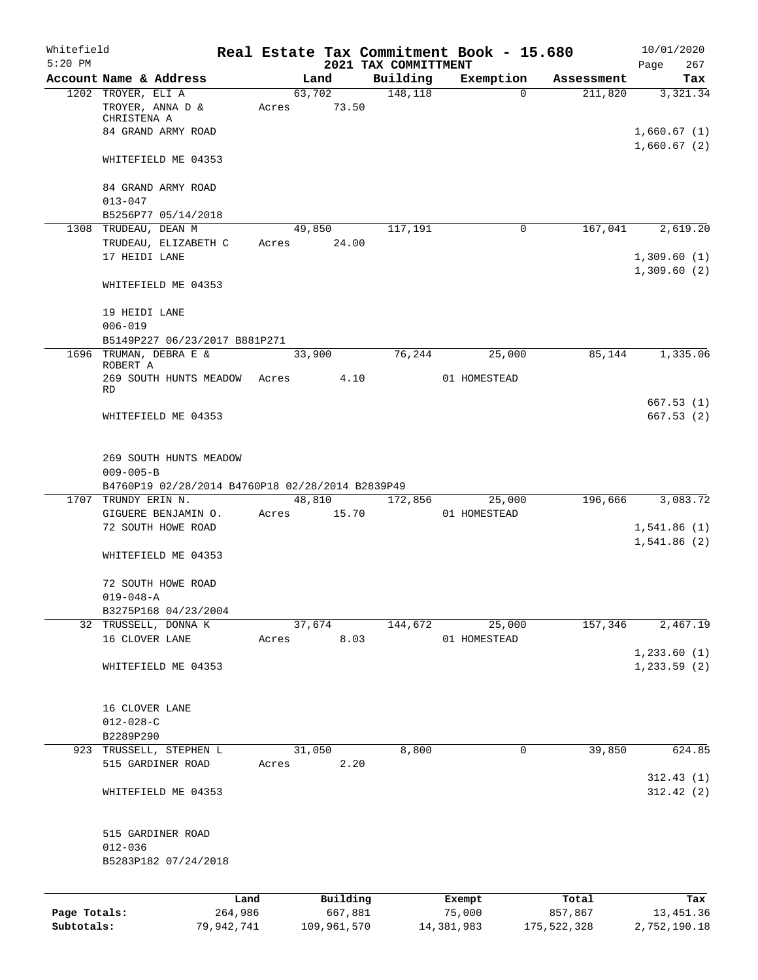| Whitefield   |                                                       |                 |       |                     |                      | Real Estate Tax Commitment Book - 15.680 |                  | 10/01/2020                 |
|--------------|-------------------------------------------------------|-----------------|-------|---------------------|----------------------|------------------------------------------|------------------|----------------------------|
| $5:20$ PM    |                                                       |                 |       |                     | 2021 TAX COMMITTMENT |                                          |                  | 267<br>Page                |
|              | Account Name & Address                                |                 |       | Land                | Building             | Exemption<br>$\Omega$                    | Assessment       | Tax                        |
|              | 1202 TROYER, ELI A<br>TROYER, ANNA D &<br>CHRISTENA A |                 | Acres | 63,702<br>73.50     | 148,118              |                                          | 211,820          | 3,321.34                   |
|              | 84 GRAND ARMY ROAD                                    |                 |       |                     |                      |                                          |                  | 1,660.67(1)<br>1,660.67(2) |
|              | WHITEFIELD ME 04353                                   |                 |       |                     |                      |                                          |                  |                            |
|              | 84 GRAND ARMY ROAD<br>$013 - 047$                     |                 |       |                     |                      |                                          |                  |                            |
|              | B5256P77 05/14/2018                                   |                 |       |                     |                      |                                          |                  |                            |
|              | 1308 TRUDEAU, DEAN M                                  |                 |       | 49,850              | 117,191              | $\mathbf 0$                              | 167,041          | 2,619.20                   |
|              | TRUDEAU, ELIZABETH C                                  |                 | Acres | 24.00               |                      |                                          |                  |                            |
|              | 17 HEIDI LANE                                         |                 |       |                     |                      |                                          |                  | 1,309.60(1)<br>1,309.60(2) |
|              | WHITEFIELD ME 04353                                   |                 |       |                     |                      |                                          |                  |                            |
|              | 19 HEIDI LANE                                         |                 |       |                     |                      |                                          |                  |                            |
|              | $006 - 019$<br>B5149P227 06/23/2017 B881P271          |                 |       |                     |                      |                                          |                  |                            |
|              | 1696 TRUMAN, DEBRA E &                                |                 |       | 33,900              | 76,244               | 25,000                                   | 85,144           | 1,335.06                   |
|              | ROBERT A                                              |                 | Acres |                     |                      |                                          |                  |                            |
|              | 269 SOUTH HUNTS MEADOW<br>RD                          |                 |       | 4.10                |                      | 01 HOMESTEAD                             |                  |                            |
|              | WHITEFIELD ME 04353                                   |                 |       |                     |                      |                                          |                  | 667.53(1)<br>667.53(2)     |
|              | 269 SOUTH HUNTS MEADOW                                |                 |       |                     |                      |                                          |                  |                            |
|              | $009 - 005 - B$                                       |                 |       |                     |                      |                                          |                  |                            |
|              | B4760P19 02/28/2014 B4760P18 02/28/2014 B2839P49      |                 |       |                     |                      |                                          |                  |                            |
|              | 1707 TRUNDY ERIN N.                                   |                 |       | 48,810              | 172,856              | 25,000                                   | 196,666          | 3,083.72                   |
|              | GIGUERE BENJAMIN O.                                   |                 | Acres | 15.70               |                      | 01 HOMESTEAD                             |                  |                            |
|              | 72 SOUTH HOWE ROAD                                    |                 |       |                     |                      |                                          |                  | 1,541.86(1)                |
|              | WHITEFIELD ME 04353                                   |                 |       |                     |                      |                                          |                  | 1,541.86(2)                |
|              | 72 SOUTH HOWE ROAD                                    |                 |       |                     |                      |                                          |                  |                            |
|              | $019 - 048 - A$                                       |                 |       |                     |                      |                                          |                  |                            |
|              | B3275P168 04/23/2004                                  |                 |       |                     |                      |                                          |                  |                            |
|              | 32 TRUSSELL, DONNA K                                  |                 |       | 37,674              | 144,672              | 25,000                                   | 157,346          | 2,467.19                   |
|              | 16 CLOVER LANE                                        |                 | Acres | 8.03                |                      | 01 HOMESTEAD                             |                  | 1, 233.60(1)               |
|              | WHITEFIELD ME 04353                                   |                 |       |                     |                      |                                          |                  | 1, 233.59(2)               |
|              | 16 CLOVER LANE                                        |                 |       |                     |                      |                                          |                  |                            |
|              | $012 - 028 - C$                                       |                 |       |                     |                      |                                          |                  |                            |
|              | B2289P290                                             |                 |       |                     |                      |                                          |                  |                            |
|              | 923 TRUSSELL, STEPHEN L                               |                 |       | 31,050              | 8,800                | 0                                        | 39,850           | 624.85                     |
|              | 515 GARDINER ROAD                                     |                 | Acres | 2.20                |                      |                                          |                  |                            |
|              | WHITEFIELD ME 04353                                   |                 |       |                     |                      |                                          |                  | 312.43(1)<br>312.42(2)     |
|              | 515 GARDINER ROAD                                     |                 |       |                     |                      |                                          |                  |                            |
|              | $012 - 036$                                           |                 |       |                     |                      |                                          |                  |                            |
|              | B5283P182 07/24/2018                                  |                 |       |                     |                      |                                          |                  |                            |
|              |                                                       |                 |       |                     |                      |                                          |                  |                            |
| Page Totals: |                                                       | Land<br>264,986 |       | Building<br>667,881 |                      | Exempt<br>75,000                         | Total<br>857,867 | Tax<br>13,451.36           |
| Subtotals:   |                                                       | 79,942,741      |       | 109,961,570         |                      | 14,381,983                               | 175,522,328      | 2,752,190.18               |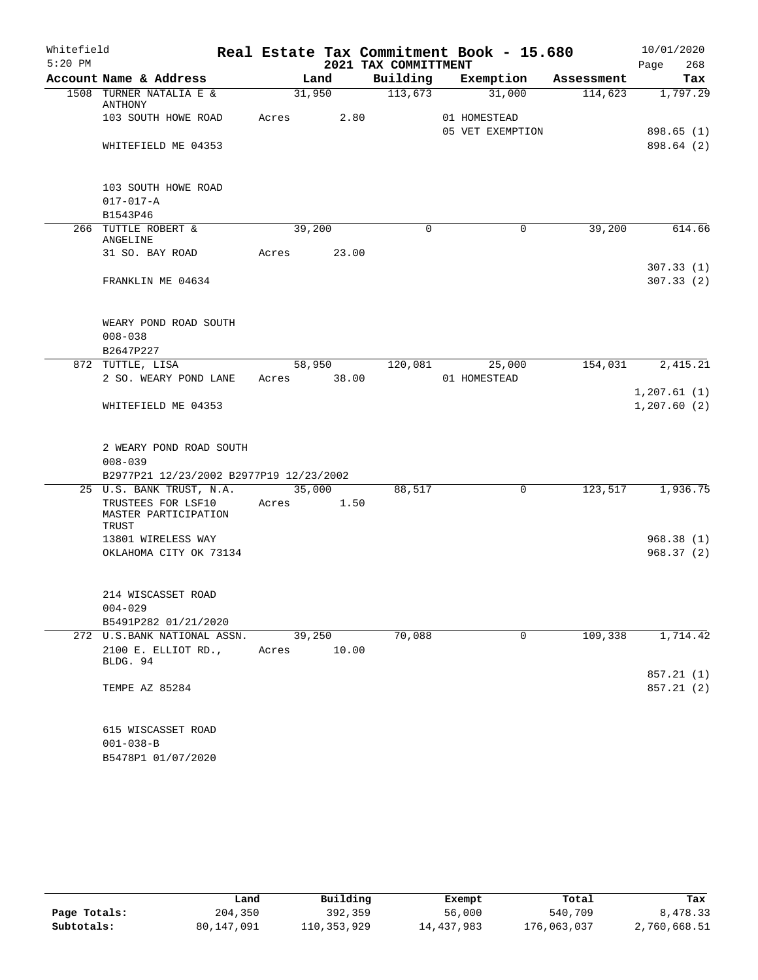| Whitefield |                                                                                   |             |                 |                      | Real Estate Tax Commitment Book - 15.680 |            | 10/01/2020   |
|------------|-----------------------------------------------------------------------------------|-------------|-----------------|----------------------|------------------------------------------|------------|--------------|
| $5:20$ PM  |                                                                                   |             |                 | 2021 TAX COMMITTMENT |                                          |            | Page<br>268  |
|            | Account Name & Address                                                            |             | Land            |                      | Building Exemption                       | Assessment | Tax          |
|            | 1508 TURNER NATALIA E &<br>ANTHONY                                                |             | 31,950          | 113,673              | 31,000                                   | 114,623    | 1,797.29     |
|            | 103 SOUTH HOWE ROAD                                                               | Acres       |                 | 2.80                 | 01 HOMESTEAD<br>05 VET EXEMPTION         |            | 898.65 (1)   |
|            | WHITEFIELD ME 04353                                                               |             |                 |                      |                                          |            | 898.64 (2)   |
|            | 103 SOUTH HOWE ROAD                                                               |             |                 |                      |                                          |            |              |
|            | $017 - 017 - A$<br>B1543P46                                                       |             |                 |                      |                                          |            |              |
|            | 266 TUTTLE ROBERT &                                                               |             | 39,200          | $\Omega$             | $\Omega$                                 | 39,200     | 614.66       |
|            | ANGELINE<br>31 SO. BAY ROAD                                                       | Acres       | 23.00           |                      |                                          |            |              |
|            |                                                                                   |             |                 |                      |                                          |            | 307.33(1)    |
|            | FRANKLIN ME 04634                                                                 |             |                 |                      |                                          |            | 307.33(2)    |
|            | WEARY POND ROAD SOUTH<br>$008 - 038$                                              |             |                 |                      |                                          |            |              |
|            | B2647P227                                                                         |             |                 |                      |                                          |            |              |
|            | 872 TUTTLE, LISA                                                                  |             | 58,950          | 120,081              | 25,000                                   | 154,031    | 2,415.21     |
|            | 2 SO. WEARY POND LANE                                                             | Acres 38.00 |                 |                      | 01 HOMESTEAD                             |            | 1, 207.61(1) |
|            | WHITEFIELD ME 04353                                                               |             |                 |                      |                                          |            | 1, 207.60(2) |
|            | 2 WEARY POND ROAD SOUTH<br>$008 - 039$<br>B2977P21 12/23/2002 B2977P19 12/23/2002 |             |                 |                      |                                          |            |              |
|            | 25 U.S. BANK TRUST, N.A.                                                          | 35,000      |                 | 88,517               | 0                                        | 123,517    | 1,936.75     |
|            | TRUSTEES FOR LSF10<br>MASTER PARTICIPATION<br>TRUST                               | Acres       | 1.50            |                      |                                          |            |              |
|            | 13801 WIRELESS WAY                                                                |             |                 |                      |                                          |            | 968.38(1)    |
|            | OKLAHOMA CITY OK 73134                                                            |             |                 |                      |                                          |            | 968.37(2)    |
|            | 214 WISCASSET ROAD                                                                |             |                 |                      |                                          |            |              |
|            | $004 - 029$                                                                       |             |                 |                      |                                          |            |              |
|            | B5491P282 01/21/2020                                                              |             |                 |                      |                                          |            |              |
|            | 272 U.S.BANK NATIONAL ASSN.<br>2100 E. ELLIOT RD.,<br>BLDG. 94                    | Acres       | 39,250<br>10.00 | 70,088               | $\mathbf 0$                              | 109,338    | 1,714.42     |
|            |                                                                                   |             |                 |                      |                                          |            | 857.21(1)    |
|            | TEMPE AZ 85284                                                                    |             |                 |                      |                                          |            | 857.21(2)    |
|            | 615 WISCASSET ROAD                                                                |             |                 |                      |                                          |            |              |
|            | $001 - 038 - B$<br>B5478P1 01/07/2020                                             |             |                 |                      |                                          |            |              |

|              | Land       | Building    | Exempt     | Total       | Tax          |
|--------------|------------|-------------|------------|-------------|--------------|
| Page Totals: | 204,350    | 392,359     | 56,000     | 540,709     | 8,478.33     |
| Subtotals:   | 80,147,091 | 110,353,929 | 14,437,983 | 176,063,037 | 2,760,668.51 |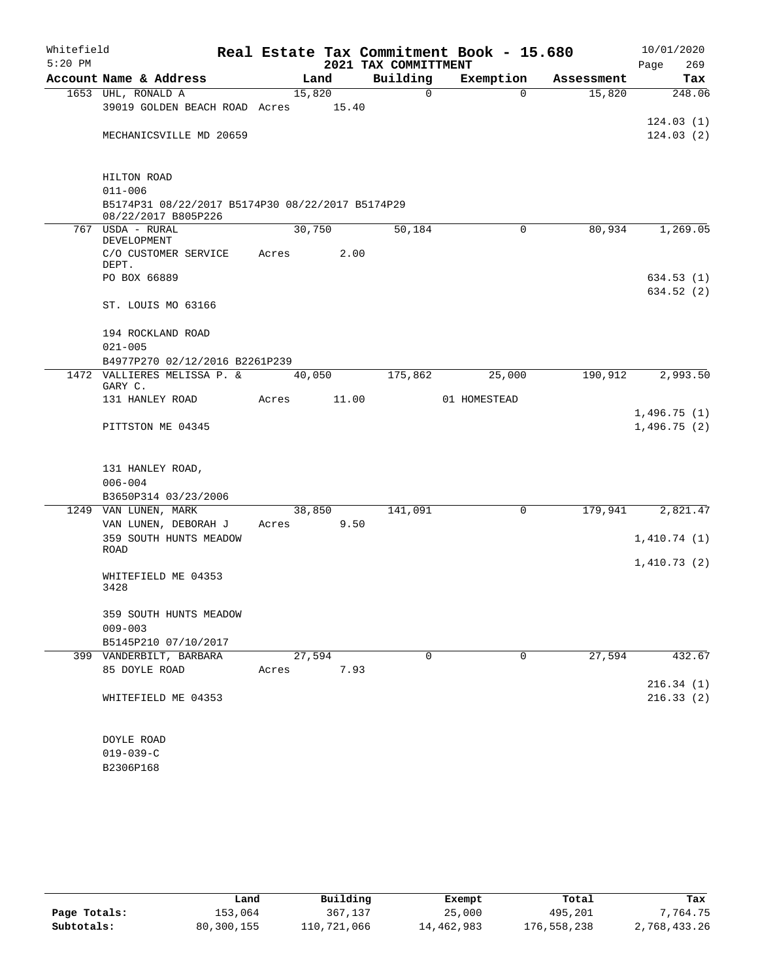| Whitefield<br>$5:20$ PM |                                                  |                 |       | 2021 TAX COMMITTMENT | Real Estate Tax Commitment Book - 15.680 |            | 10/01/2020<br>269<br>Page |
|-------------------------|--------------------------------------------------|-----------------|-------|----------------------|------------------------------------------|------------|---------------------------|
|                         | Account Name & Address                           |                 | Land  | Building             | Exemption                                | Assessment | Tax                       |
|                         | 1653 UHL, RONALD A                               | 15,820          |       | 0                    | $\Omega$                                 | 15,820     | 248.06                    |
|                         | 39019 GOLDEN BEACH ROAD Acres                    |                 | 15.40 |                      |                                          |            |                           |
|                         |                                                  |                 |       |                      |                                          |            | 124.03(1)                 |
|                         | MECHANICSVILLE MD 20659                          |                 |       |                      |                                          |            | 124.03(2)                 |
|                         | HILTON ROAD                                      |                 |       |                      |                                          |            |                           |
|                         | $011 - 006$                                      |                 |       |                      |                                          |            |                           |
|                         | B5174P31 08/22/2017 B5174P30 08/22/2017 B5174P29 |                 |       |                      |                                          |            |                           |
|                         | 08/22/2017 B805P226                              |                 |       |                      |                                          |            |                           |
|                         | 767 USDA - RURAL<br>DEVELOPMENT                  | 30,750          |       | 50,184               | $\mathbf 0$                              | 80,934     | 1,269.05                  |
|                         | C/O CUSTOMER SERVICE<br>DEPT.                    | Acres           | 2.00  |                      |                                          |            |                           |
|                         | PO BOX 66889                                     |                 |       |                      |                                          |            | 634.53 (1)                |
|                         |                                                  |                 |       |                      |                                          |            | 634.52 (2)                |
|                         | ST. LOUIS MO 63166                               |                 |       |                      |                                          |            |                           |
|                         | 194 ROCKLAND ROAD                                |                 |       |                      |                                          |            |                           |
|                         | $021 - 005$                                      |                 |       |                      |                                          |            |                           |
|                         | B4977P270 02/12/2016 B2261P239                   |                 |       |                      |                                          |            |                           |
|                         | 1472 VALLIERES MELISSA P. &<br>GARY C.           | 40,050          |       | 175,862              | 25,000                                   | 190,912    | 2,993.50                  |
|                         | 131 HANLEY ROAD                                  | Acres           | 11.00 |                      | 01 HOMESTEAD                             |            |                           |
|                         |                                                  |                 |       |                      |                                          |            | 1,496.75(1)               |
|                         | PITTSTON ME 04345                                |                 |       |                      |                                          |            | 1,496.75(2)               |
|                         |                                                  |                 |       |                      |                                          |            |                           |
|                         | 131 HANLEY ROAD,                                 |                 |       |                      |                                          |            |                           |
|                         | $006 - 004$                                      |                 |       |                      |                                          |            |                           |
|                         | B3650P314 03/23/2006                             |                 |       |                      |                                          |            |                           |
|                         | 1249 VAN LUNEN, MARK<br>VAN LUNEN, DEBORAH J     | 38,850<br>Acres | 9.50  | 141,091              | 0                                        | 179,941    | 2,821.47                  |
|                         | 359 SOUTH HUNTS MEADOW                           |                 |       |                      |                                          |            | 1,410.74(1)               |
|                         | <b>ROAD</b>                                      |                 |       |                      |                                          |            |                           |
|                         |                                                  |                 |       |                      |                                          |            | 1,410.73(2)               |
|                         | WHITEFIELD ME 04353<br>3428                      |                 |       |                      |                                          |            |                           |
|                         | 359 SOUTH HUNTS MEADOW                           |                 |       |                      |                                          |            |                           |
|                         | $009 - 003$                                      |                 |       |                      |                                          |            |                           |
|                         | B5145P210 07/10/2017                             |                 |       |                      |                                          |            |                           |
|                         | 399 VANDERBILT, BARBARA                          | 27,594          |       | $\mathbf 0$          | $\mathbf 0$                              | 27,594     | 432.67                    |
|                         | 85 DOYLE ROAD                                    | Acres           | 7.93  |                      |                                          |            |                           |
|                         |                                                  |                 |       |                      |                                          |            | 216.34(1)                 |
|                         | WHITEFIELD ME 04353                              |                 |       |                      |                                          |            | 216.33(2)                 |
|                         | DOYLE ROAD                                       |                 |       |                      |                                          |            |                           |
|                         | $019 - 039 - C$                                  |                 |       |                      |                                          |            |                           |
|                         | B2306P168                                        |                 |       |                      |                                          |            |                           |

| B2306P16 |  |  |
|----------|--|--|
|          |  |  |

|              | Land       | Building    | Exempt     | Total       | Tax          |
|--------------|------------|-------------|------------|-------------|--------------|
| Page Totals: | 153,064    | 367,137     | 25,000     | 495,201     | 7.764.75     |
| Subtotals:   | 80,300,155 | 110,721,066 | 14,462,983 | 176,558,238 | 2,768,433.26 |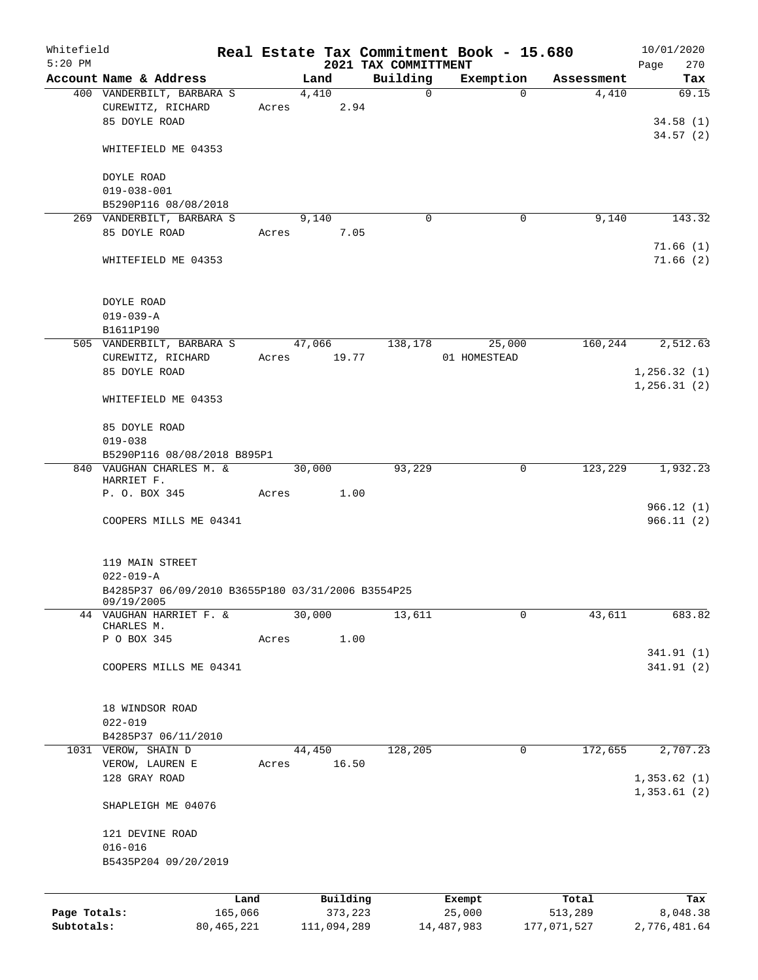| Whitefield                 |                                                                                                       |                         |        |               |          | Real Estate Tax Commitment Book - 15.680 |                        |             |                        | 10/01/2020               |
|----------------------------|-------------------------------------------------------------------------------------------------------|-------------------------|--------|---------------|----------|------------------------------------------|------------------------|-------------|------------------------|--------------------------|
| $5:20$ PM                  |                                                                                                       |                         |        |               |          | 2021 TAX COMMITTMENT                     |                        |             |                        | Page<br>270              |
|                            | Account Name & Address<br>400 VANDERBILT, BARBARA S                                                   |                         |        | Land<br>4,410 |          | Building<br>$\mathbf 0$                  | Exemption              | $\Omega$    | Assessment<br>4,410    | Tax<br>69.15             |
|                            | CUREWITZ, RICHARD                                                                                     |                         | Acres  |               | 2.94     |                                          |                        |             |                        |                          |
|                            | 85 DOYLE ROAD                                                                                         |                         |        |               |          |                                          |                        |             |                        | 34.58(1)                 |
|                            |                                                                                                       |                         |        |               |          |                                          |                        |             |                        | 34.57(2)                 |
|                            | WHITEFIELD ME 04353                                                                                   |                         |        |               |          |                                          |                        |             |                        |                          |
|                            | DOYLE ROAD                                                                                            |                         |        |               |          |                                          |                        |             |                        |                          |
|                            | $019 - 038 - 001$                                                                                     |                         |        |               |          |                                          |                        |             |                        |                          |
|                            | B5290P116 08/08/2018                                                                                  |                         |        |               |          |                                          |                        |             |                        |                          |
|                            | 269 VANDERBILT, BARBARA S                                                                             |                         |        | 9,140         |          | $\Omega$                                 |                        | 0           | 9,140                  | 143.32                   |
|                            | 85 DOYLE ROAD                                                                                         |                         | Acres  |               | 7.05     |                                          |                        |             |                        |                          |
|                            | WHITEFIELD ME 04353                                                                                   |                         |        |               |          |                                          |                        |             |                        | 71.66(1)<br>71.66(2)     |
|                            | DOYLE ROAD                                                                                            |                         |        |               |          |                                          |                        |             |                        |                          |
|                            | $019 - 039 - A$<br>B1611P190                                                                          |                         |        |               |          |                                          |                        |             |                        |                          |
|                            | 505 VANDERBILT, BARBARA S                                                                             |                         | 47,066 |               |          | 138,178                                  |                        | 25,000      | 160,244                | 2,512.63                 |
|                            | CUREWITZ, RICHARD                                                                                     |                         | Acres  |               | 19.77    |                                          | 01 HOMESTEAD           |             |                        |                          |
|                            | 85 DOYLE ROAD                                                                                         |                         |        |               |          |                                          |                        |             |                        | 1, 256.32(1)             |
|                            |                                                                                                       |                         |        |               |          |                                          |                        |             |                        | 1, 256.31(2)             |
|                            | WHITEFIELD ME 04353                                                                                   |                         |        |               |          |                                          |                        |             |                        |                          |
|                            | 85 DOYLE ROAD                                                                                         |                         |        |               |          |                                          |                        |             |                        |                          |
|                            | $019 - 038$                                                                                           |                         |        |               |          |                                          |                        |             |                        |                          |
|                            | B5290P116 08/08/2018 B895P1                                                                           |                         |        |               |          |                                          |                        |             |                        |                          |
|                            | 840 VAUGHAN CHARLES M. &<br>HARRIET F.                                                                |                         |        | 30,000        |          | 93,229                                   |                        | $\mathbf 0$ | 123,229                | 1,932.23                 |
|                            | P. O. BOX 345                                                                                         |                         | Acres  |               | 1.00     |                                          |                        |             |                        |                          |
|                            | COOPERS MILLS ME 04341                                                                                |                         |        |               |          |                                          |                        |             |                        | 966.12(1)<br>966.11(2)   |
|                            | 119 MAIN STREET<br>$022 - 019 - A$<br>B4285P37 06/09/2010 B3655P180 03/31/2006 B3554P25<br>09/19/2005 |                         |        |               |          |                                          |                        |             |                        |                          |
|                            | 44 VAUGHAN HARRIET F. &                                                                               |                         |        | 30,000        |          | 13,611                                   |                        | 0           | 43,611                 | 683.82                   |
|                            | CHARLES M.                                                                                            |                         |        |               |          |                                          |                        |             |                        |                          |
|                            | P O BOX 345                                                                                           |                         | Acres  |               | 1.00     |                                          |                        |             |                        | 341.91(1)                |
|                            | COOPERS MILLS ME 04341                                                                                |                         |        |               |          |                                          |                        |             |                        | 341.91(2)                |
|                            | 18 WINDSOR ROAD<br>$022 - 019$                                                                        |                         |        |               |          |                                          |                        |             |                        |                          |
|                            | B4285P37 06/11/2010                                                                                   |                         |        |               |          |                                          |                        |             |                        |                          |
|                            | 1031 VEROW, SHAIN D                                                                                   |                         |        | 44,450        |          | 128,205                                  |                        | 0           | 172,655                | 2,707.23                 |
|                            | VEROW, LAUREN E<br>128 GRAY ROAD                                                                      |                         | Acres  |               | 16.50    |                                          |                        |             |                        | 1,353.62(1)              |
|                            | SHAPLEIGH ME 04076                                                                                    |                         |        |               |          |                                          |                        |             |                        | 1,353.61(2)              |
|                            | 121 DEVINE ROAD                                                                                       |                         |        |               |          |                                          |                        |             |                        |                          |
|                            | $016 - 016$                                                                                           |                         |        |               |          |                                          |                        |             |                        |                          |
|                            | B5435P204 09/20/2019                                                                                  |                         |        |               |          |                                          |                        |             |                        |                          |
|                            |                                                                                                       |                         |        |               |          |                                          |                        |             |                        |                          |
|                            |                                                                                                       | Land                    |        |               | Building |                                          | Exempt                 |             | Total                  | Tax                      |
| Page Totals:<br>Subtotals: |                                                                                                       | 165,066<br>80, 465, 221 |        | 111,094,289   | 373,223  |                                          | 25,000<br>14, 487, 983 |             | 513,289<br>177,071,527 | 8,048.38<br>2,776,481.64 |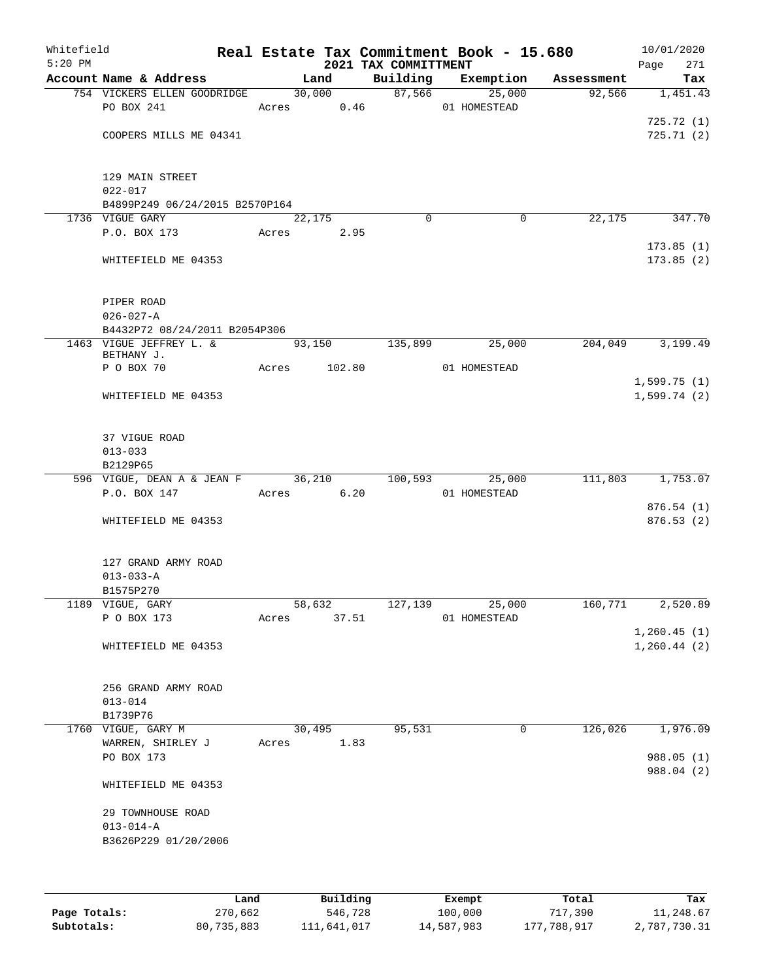| Whitefield<br>$5:20$ PM |                                        |            |                     |            | 2021 TAX COMMITTMENT | Real Estate Tax Commitment Book - 15.680 |            | Page | 10/01/2020<br>271 |
|-------------------------|----------------------------------------|------------|---------------------|------------|----------------------|------------------------------------------|------------|------|-------------------|
|                         | Account Name & Address                 |            | Land                |            | Building             | Exemption                                | Assessment |      | Tax               |
|                         | 754 VICKERS ELLEN GOODRIDGE            |            |                     | 30,000     | 87,566               | 25,000                                   | 92,566     |      | 1,451.43          |
|                         | PO BOX 241                             |            |                     | Acres 0.46 |                      | 01 HOMESTEAD                             |            |      |                   |
|                         |                                        |            |                     |            |                      |                                          |            |      | 725.72(1)         |
|                         | COOPERS MILLS ME 04341                 |            |                     |            |                      |                                          |            |      | 725.71(2)         |
|                         |                                        |            |                     |            |                      |                                          |            |      |                   |
|                         | 129 MAIN STREET                        |            |                     |            |                      |                                          |            |      |                   |
|                         | $022 - 017$                            |            |                     |            |                      |                                          |            |      |                   |
|                         | B4899P249 06/24/2015 B2570P164         |            |                     |            |                      |                                          |            |      |                   |
|                         | 1736 VIGUE GARY                        |            | $\overline{22,175}$ |            | $\Omega$             | 0                                        | 22,175     |      | 347.70            |
|                         | P.O. BOX 173                           | Acres      |                     | 2.95       |                      |                                          |            |      | 173.85(1)         |
|                         | WHITEFIELD ME 04353                    |            |                     |            |                      |                                          |            |      | 173.85(2)         |
|                         |                                        |            |                     |            |                      |                                          |            |      |                   |
|                         |                                        |            |                     |            |                      |                                          |            |      |                   |
|                         | PIPER ROAD                             |            |                     |            |                      |                                          |            |      |                   |
|                         | $026 - 027 - A$                        |            |                     |            |                      |                                          |            |      |                   |
|                         | B4432P72 08/24/2011 B2054P306          |            |                     |            |                      |                                          |            |      |                   |
|                         | 1463 VIGUE JEFFREY L. &<br>BETHANY J.  |            | 93,150              |            | 135,899              | 25,000                                   | 204,049    |      | 3,199.49          |
|                         | P O BOX 70                             | Acres      |                     | 102.80     |                      | 01 HOMESTEAD                             |            |      |                   |
|                         |                                        |            |                     |            |                      |                                          |            |      | 1,599.75(1)       |
|                         | WHITEFIELD ME 04353                    |            |                     |            |                      |                                          |            |      | 1,599.74(2)       |
|                         |                                        |            |                     |            |                      |                                          |            |      |                   |
|                         |                                        |            |                     |            |                      |                                          |            |      |                   |
|                         | 37 VIGUE ROAD                          |            |                     |            |                      |                                          |            |      |                   |
|                         | $013 - 033$<br>B2129P65                |            |                     |            |                      |                                          |            |      |                   |
|                         | 596 VIGUE, DEAN A & JEAN F 36,210      |            |                     |            | 100,593              | 25,000                                   | 111,803    |      | 1,753.07          |
|                         | P.O. BOX 147                           | Acres 6.20 |                     |            |                      | 01 HOMESTEAD                             |            |      |                   |
|                         |                                        |            |                     |            |                      |                                          |            |      | 876.54(1)         |
|                         | WHITEFIELD ME 04353                    |            |                     |            |                      |                                          |            |      | 876.53(2)         |
|                         |                                        |            |                     |            |                      |                                          |            |      |                   |
|                         |                                        |            |                     |            |                      |                                          |            |      |                   |
|                         | 127 GRAND ARMY ROAD<br>$013 - 033 - A$ |            |                     |            |                      |                                          |            |      |                   |
|                         | B1575P270                              |            |                     |            |                      |                                          |            |      |                   |
|                         | 1189 VIGUE, GARY                       |            | 58,632              |            | 127,139              | 25,000                                   | 160,771    |      | 2,520.89          |
|                         | P O BOX 173                            | Acres      |                     | 37.51      |                      | 01 HOMESTEAD                             |            |      |                   |
|                         |                                        |            |                     |            |                      |                                          |            |      | 1, 260.45(1)      |
|                         | WHITEFIELD ME 04353                    |            |                     |            |                      |                                          |            |      | 1, 260.44(2)      |
|                         |                                        |            |                     |            |                      |                                          |            |      |                   |
|                         |                                        |            |                     |            |                      |                                          |            |      |                   |
|                         | 256 GRAND ARMY ROAD<br>$013 - 014$     |            |                     |            |                      |                                          |            |      |                   |
|                         | B1739P76                               |            |                     |            |                      |                                          |            |      |                   |
|                         | 1760 VIGUE, GARY M                     |            | 30,495              |            | 95,531               | $\mathbf 0$                              | 126,026    |      | 1,976.09          |
|                         | WARREN, SHIRLEY J                      |            |                     | Acres 1.83 |                      |                                          |            |      |                   |
|                         | PO BOX 173                             |            |                     |            |                      |                                          |            |      | 988.05 (1)        |
|                         |                                        |            |                     |            |                      |                                          |            |      | 988.04 (2)        |
|                         | WHITEFIELD ME 04353                    |            |                     |            |                      |                                          |            |      |                   |
|                         | 29 TOWNHOUSE ROAD                      |            |                     |            |                      |                                          |            |      |                   |
|                         | $013 - 014 - A$                        |            |                     |            |                      |                                          |            |      |                   |
|                         | B3626P229 01/20/2006                   |            |                     |            |                      |                                          |            |      |                   |
|                         |                                        |            |                     |            |                      |                                          |            |      |                   |
|                         |                                        |            |                     |            |                      |                                          |            |      |                   |
|                         |                                        |            |                     |            |                      |                                          |            |      |                   |

|              | Land       | Building    | Exempt     | Total       | Tax          |
|--------------|------------|-------------|------------|-------------|--------------|
| Page Totals: | 270,662    | 546,728     | 100,000    | 717,390     | 11,248.67    |
| Subtotals:   | 80,735,883 | 111,641,017 | 14,587,983 | 177,788,917 | 2,787,730.31 |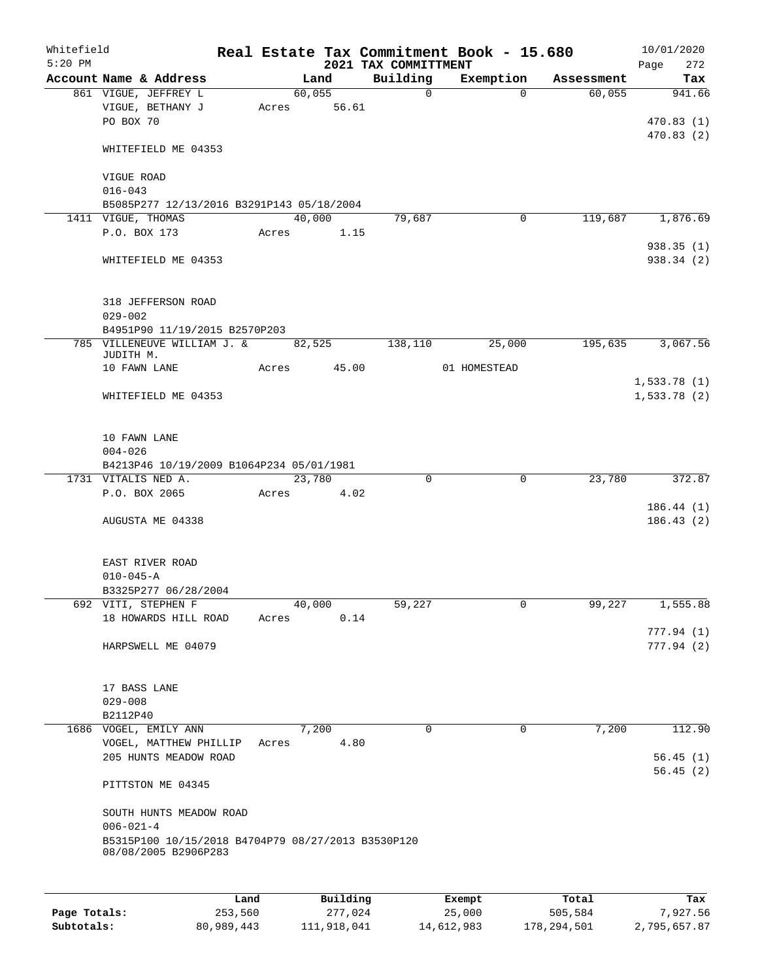| Whitefield<br>$5:20$ PM |                                                                            |                 |       |        |                     | 2021 TAX COMMITTMENT | Real Estate Tax Commitment Book - 15.680 |                  | 10/01/2020<br>Page<br>272  |
|-------------------------|----------------------------------------------------------------------------|-----------------|-------|--------|---------------------|----------------------|------------------------------------------|------------------|----------------------------|
|                         | Account Name & Address                                                     |                 |       | Land   |                     | Building             | Exemption                                | Assessment       | Tax                        |
|                         | 861 VIGUE, JEFFREY L<br>VIGUE, BETHANY J<br>PO BOX 70                      |                 | Acres | 60,055 | 56.61               | $\mathbf 0$          | $\Omega$                                 | 60,055           | 941.66<br>470.83(1)        |
|                         | WHITEFIELD ME 04353                                                        |                 |       |        |                     |                      |                                          |                  | 470.83(2)                  |
|                         | VIGUE ROAD<br>$016 - 043$                                                  |                 |       |        |                     |                      |                                          |                  |                            |
|                         | B5085P277 12/13/2016 B3291P143 05/18/2004                                  |                 |       |        |                     |                      |                                          |                  |                            |
|                         | 1411 VIGUE, THOMAS                                                         |                 |       | 40,000 |                     | 79,687               | 0                                        | 119,687          | 1,876.69                   |
|                         | P.O. BOX 173                                                               |                 | Acres |        | 1.15                |                      |                                          |                  |                            |
|                         | WHITEFIELD ME 04353                                                        |                 |       |        |                     |                      |                                          |                  | 938.35(1)<br>938.34 (2)    |
|                         | 318 JEFFERSON ROAD<br>$029 - 002$                                          |                 |       |        |                     |                      |                                          |                  |                            |
|                         | B4951P90 11/19/2015 B2570P203                                              |                 |       |        |                     |                      |                                          |                  |                            |
|                         | 785 VILLENEUVE WILLIAM J. &<br>JUDITH M.                                   |                 |       | 82,525 |                     | 138,110              | 25,000                                   | 195,635          | 3,067.56                   |
|                         | 10 FAWN LANE                                                               |                 | Acres |        | 45.00               |                      | 01 HOMESTEAD                             |                  |                            |
|                         | WHITEFIELD ME 04353                                                        |                 |       |        |                     |                      |                                          |                  | 1,533.78(1)<br>1,533.78(2) |
|                         | 10 FAWN LANE<br>$004 - 026$                                                |                 |       |        |                     |                      |                                          |                  |                            |
|                         | B4213P46 10/19/2009 B1064P234 05/01/1981                                   |                 |       |        |                     |                      |                                          |                  |                            |
|                         | 1731 VITALIS NED A.                                                        |                 |       | 23,780 |                     | $\mathbf 0$          | $\mathbf 0$                              | 23,780           | 372.87                     |
|                         | P.O. BOX 2065                                                              |                 | Acres |        | 4.02                |                      |                                          |                  | 186.44(1)                  |
|                         | AUGUSTA ME 04338                                                           |                 |       |        |                     |                      |                                          |                  | 186.43(2)                  |
|                         | EAST RIVER ROAD<br>$010 - 045 - A$                                         |                 |       |        |                     |                      |                                          |                  |                            |
|                         | B3325P277 06/28/2004                                                       |                 |       |        |                     |                      |                                          |                  |                            |
|                         | 692 VITI, STEPHEN F                                                        |                 |       | 40,000 |                     | 59,227               | 0                                        | 99,227           | 1,555.88                   |
|                         | 18 HOWARDS HILL ROAD                                                       |                 | Acres |        | 0.14                |                      |                                          |                  |                            |
|                         | HARPSWELL ME 04079                                                         |                 |       |        |                     |                      |                                          |                  | 777.94(1)<br>777.94(2)     |
|                         | 17 BASS LANE                                                               |                 |       |        |                     |                      |                                          |                  |                            |
|                         | $029 - 008$<br>B2112P40                                                    |                 |       |        |                     |                      |                                          |                  |                            |
|                         | 1686 VOGEL, EMILY ANN                                                      |                 |       | 7,200  |                     | $\Omega$             | 0                                        | 7,200            | 112.90                     |
|                         | VOGEL, MATTHEW PHILLIP<br>205 HUNTS MEADOW ROAD                            |                 | Acres |        | 4.80                |                      |                                          |                  | 56.45(1)                   |
|                         | PITTSTON ME 04345                                                          |                 |       |        |                     |                      |                                          |                  | 56.45(2)                   |
|                         | SOUTH HUNTS MEADOW ROAD<br>$006 - 021 - 4$                                 |                 |       |        |                     |                      |                                          |                  |                            |
|                         | B5315P100 10/15/2018 B4704P79 08/27/2013 B3530P120<br>08/08/2005 B2906P283 |                 |       |        |                     |                      |                                          |                  |                            |
|                         |                                                                            |                 |       |        |                     |                      |                                          |                  |                            |
| Page Totals:            |                                                                            | Land<br>253,560 |       |        | Building<br>277,024 |                      | Exempt<br>25,000                         | Total<br>505,584 | Tax<br>7,927.56            |

**Subtotals:** 80,989,443 111,918,041 14,612,983 178,294,501 2,795,657.87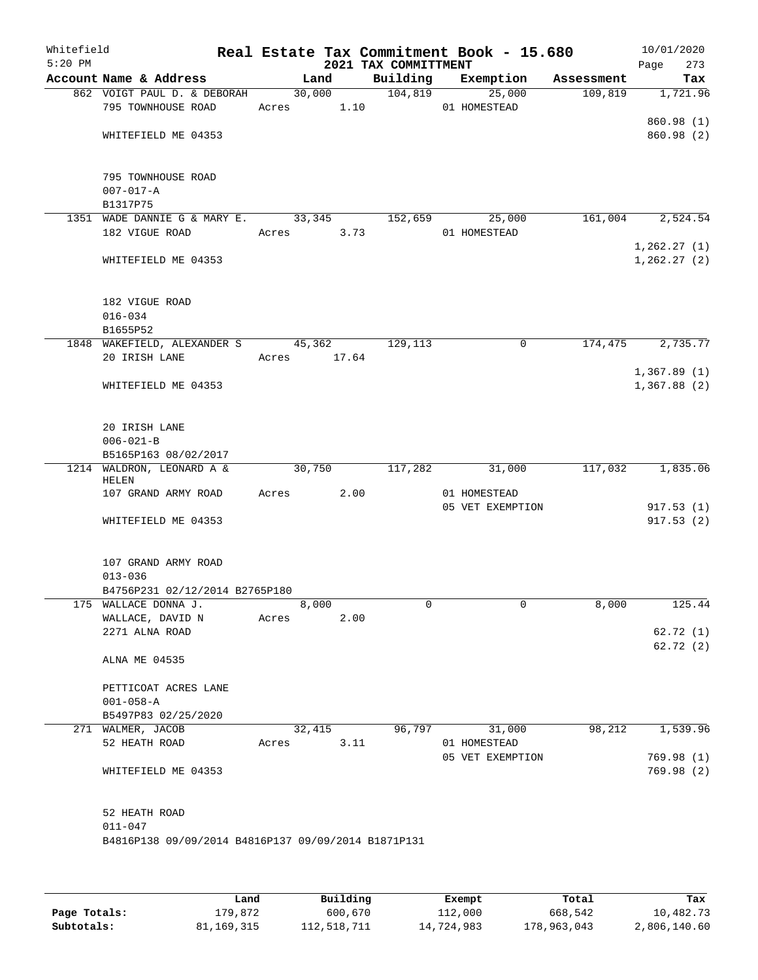| Whitefield<br>$5:20$ PM |                                                                                     |        |                | Real Estate Tax Commitment Book - 15.680<br>2021 TAX COMMITTMENT |                                  |            |         | 10/01/2020<br>Page<br>273  |
|-------------------------|-------------------------------------------------------------------------------------|--------|----------------|------------------------------------------------------------------|----------------------------------|------------|---------|----------------------------|
|                         | Account Name & Address                                                              |        | Land           | Building                                                         | Exemption                        | Assessment |         | Tax                        |
|                         | 862 VOIGT PAUL D. & DEBORAH<br>795 TOWNHOUSE ROAD                                   | Acres  | 30,000<br>1.10 | 104,819                                                          | 25,000<br>01 HOMESTEAD           |            | 109,819 | 1,721.96                   |
|                         | WHITEFIELD ME 04353                                                                 |        |                |                                                                  |                                  |            |         | 860.98 (1)<br>860.98 (2)   |
|                         | 795 TOWNHOUSE ROAD<br>$007 - 017 - A$<br>B1317P75                                   |        |                |                                                                  |                                  |            |         |                            |
|                         | 1351 WADE DANNIE G & MARY E.<br>182 VIGUE ROAD                                      | Acres  | 33,345<br>3.73 | 152,659                                                          | 25,000<br>01 HOMESTEAD           |            | 161,004 | 2,524.54                   |
|                         |                                                                                     |        |                |                                                                  |                                  |            |         | 1,262.27(1)                |
|                         | WHITEFIELD ME 04353                                                                 |        |                |                                                                  |                                  |            |         | 1, 262.27(2)               |
|                         | 182 VIGUE ROAD<br>$016 - 034$                                                       |        |                |                                                                  |                                  |            |         |                            |
|                         | B1655P52                                                                            |        |                |                                                                  |                                  |            |         |                            |
|                         | 1848 WAKEFIELD, ALEXANDER S                                                         |        | 45,362         | 129,113                                                          |                                  | 0          | 174,475 | 2,735.77                   |
|                         | 20 IRISH LANE                                                                       | Acres  | 17.64          |                                                                  |                                  |            |         |                            |
|                         | WHITEFIELD ME 04353                                                                 |        |                |                                                                  |                                  |            |         | 1,367.89(1)<br>1,367.88(2) |
|                         | 20 IRISH LANE<br>$006 - 021 - B$                                                    |        |                |                                                                  |                                  |            |         |                            |
|                         | B5165P163 08/02/2017                                                                |        |                |                                                                  |                                  |            |         |                            |
|                         | 1214 WALDRON, LEONARD A &                                                           | 30,750 |                | 117,282                                                          | 31,000                           |            | 117,032 | 1,835.06                   |
|                         | HELEN                                                                               |        |                |                                                                  |                                  |            |         |                            |
|                         | 107 GRAND ARMY ROAD                                                                 | Acres  | 2.00           |                                                                  | 01 HOMESTEAD<br>05 VET EXEMPTION |            |         | 917.53(1)                  |
|                         | WHITEFIELD ME 04353                                                                 |        |                |                                                                  |                                  |            |         | 917.53(2)                  |
|                         | 107 GRAND ARMY ROAD                                                                 |        |                |                                                                  |                                  |            |         |                            |
|                         | $013 - 036$<br>B4756P231 02/12/2014 B2765P180                                       |        |                |                                                                  |                                  |            |         |                            |
|                         | 175 WALLACE DONNA J.                                                                |        | 8,000          | 0                                                                |                                  | 0          | 8,000   | 125.44                     |
|                         | WALLACE, DAVID N                                                                    | Acres  | 2.00           |                                                                  |                                  |            |         |                            |
|                         | 2271 ALNA ROAD                                                                      |        |                |                                                                  |                                  |            |         | 62.72(1)                   |
|                         | ALNA ME 04535                                                                       |        |                |                                                                  |                                  |            |         | 62.72(2)                   |
|                         | PETTICOAT ACRES LANE<br>$001 - 058 - A$                                             |        |                |                                                                  |                                  |            |         |                            |
|                         | B5497P83 02/25/2020                                                                 |        |                |                                                                  |                                  |            |         |                            |
|                         | 271 WALMER, JACOB                                                                   | 32,415 |                | 96,797                                                           | 31,000                           |            | 98,212  | 1,539.96                   |
|                         | 52 HEATH ROAD                                                                       | Acres  | 3.11           |                                                                  | 01 HOMESTEAD                     |            |         |                            |
|                         | WHITEFIELD ME 04353                                                                 |        |                |                                                                  | 05 VET EXEMPTION                 |            |         | 769.98(1)<br>769.98 (2)    |
|                         | 52 HEATH ROAD<br>$011 - 047$<br>B4816P138 09/09/2014 B4816P137 09/09/2014 B1871P131 |        |                |                                                                  |                                  |            |         |                            |

|              | Land       | Building    | Exempt     | Total       | Tax          |
|--------------|------------|-------------|------------|-------------|--------------|
| Page Totals: | 179,872    | 600,670     | 112,000    | 668,542     | 10,482.73    |
| Subtotals:   | 81,169,315 | 112,518,711 | 14,724,983 | 178,963,043 | 2,806,140.60 |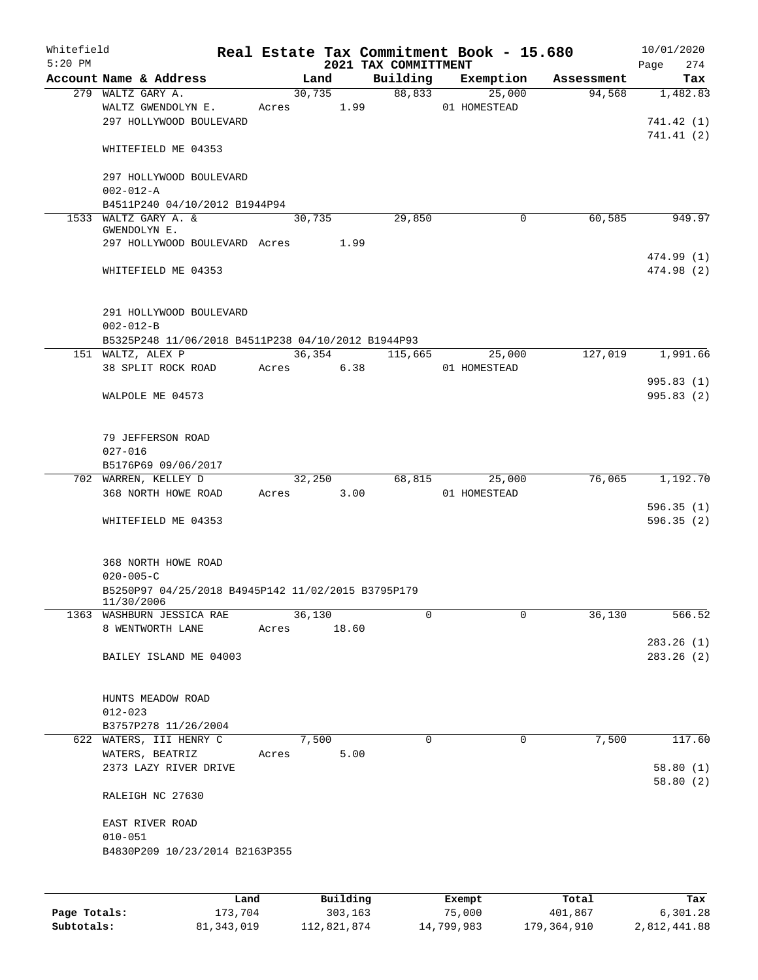| Whitefield<br>$5:20$ PM |                                                    |       |            |      | 2021 TAX COMMITTMENT | Real Estate Tax Commitment Book - 15.680 |            | 10/01/2020<br>Page<br>274 |
|-------------------------|----------------------------------------------------|-------|------------|------|----------------------|------------------------------------------|------------|---------------------------|
|                         | Account Name & Address                             |       | Land       |      | Building             | Exemption                                | Assessment | Tax                       |
|                         | 279 WALTZ GARY A.                                  |       | 30,735     |      | 88,833               | 25,000                                   | 94,568     | 1,482.83                  |
|                         | WALTZ GWENDOLYN E.                                 |       | Acres 1.99 |      |                      | 01 HOMESTEAD                             |            |                           |
|                         | 297 HOLLYWOOD BOULEVARD                            |       |            |      |                      |                                          |            | 741.42 (1)                |
|                         |                                                    |       |            |      |                      |                                          |            | 741.41(2)                 |
|                         | WHITEFIELD ME 04353                                |       |            |      |                      |                                          |            |                           |
|                         |                                                    |       |            |      |                      |                                          |            |                           |
|                         | 297 HOLLYWOOD BOULEVARD                            |       |            |      |                      |                                          |            |                           |
|                         | $002 - 012 - A$                                    |       |            |      |                      |                                          |            |                           |
|                         | B4511P240 04/10/2012 B1944P94                      |       |            |      |                      |                                          |            |                           |
|                         | 1533 WALTZ GARY A. &<br>GWENDOLYN E.               |       | 30,735     |      | 29,850               | 0                                        | 60,585     | 949.97                    |
|                         | 297 HOLLYWOOD BOULEVARD Acres                      |       | 1.99       |      |                      |                                          |            |                           |
|                         |                                                    |       |            |      |                      |                                          |            | 474.99 (1)                |
|                         | WHITEFIELD ME 04353                                |       |            |      |                      |                                          |            | 474.98 (2)                |
|                         |                                                    |       |            |      |                      |                                          |            |                           |
|                         |                                                    |       |            |      |                      |                                          |            |                           |
|                         | 291 HOLLYWOOD BOULEVARD                            |       |            |      |                      |                                          |            |                           |
|                         | $002 - 012 - B$                                    |       |            |      |                      |                                          |            |                           |
|                         | B5325P248 11/06/2018 B4511P238 04/10/2012 B1944P93 |       |            |      |                      |                                          |            |                           |
|                         | 151 WALTZ, ALEX P                                  |       | 36,354     |      | 115,665              | 25,000                                   | 127,019    | 1,991.66                  |
|                         | 38 SPLIT ROCK ROAD                                 |       | Acres 6.38 |      |                      | 01 HOMESTEAD                             |            |                           |
|                         |                                                    |       |            |      |                      |                                          |            | 995.83(1)                 |
|                         | WALPOLE ME 04573                                   |       |            |      |                      |                                          |            | 995.83(2)                 |
|                         |                                                    |       |            |      |                      |                                          |            |                           |
|                         |                                                    |       |            |      |                      |                                          |            |                           |
|                         | 79 JEFFERSON ROAD                                  |       |            |      |                      |                                          |            |                           |
|                         | $027 - 016$                                        |       |            |      |                      |                                          |            |                           |
|                         | B5176P69 09/06/2017                                |       |            |      |                      |                                          |            |                           |
|                         | 702 WARREN, KELLEY D<br>368 NORTH HOWE ROAD        |       | 32,250     |      | 68,815               | 25,000                                   | 76,065     | 1,192.70                  |
|                         |                                                    | Acres | 3.00       |      |                      | 01 HOMESTEAD                             |            | 596.35(1)                 |
|                         | WHITEFIELD ME 04353                                |       |            |      |                      |                                          |            | 596.35(2)                 |
|                         |                                                    |       |            |      |                      |                                          |            |                           |
|                         |                                                    |       |            |      |                      |                                          |            |                           |
|                         | 368 NORTH HOWE ROAD                                |       |            |      |                      |                                          |            |                           |
|                         | $020 - 005 - C$                                    |       |            |      |                      |                                          |            |                           |
|                         | B5250P97 04/25/2018 B4945P142 11/02/2015 B3795P179 |       |            |      |                      |                                          |            |                           |
|                         | 11/30/2006                                         |       |            |      |                      |                                          |            |                           |
|                         | 1363 WASHBURN JESSICA RAE                          |       | 36,130     |      | 0                    | $\mathbf 0$                              | 36,130     | 566.52                    |
|                         | 8 WENTWORTH LANE                                   | Acres | 18.60      |      |                      |                                          |            |                           |
|                         | BAILEY ISLAND ME 04003                             |       |            |      |                      |                                          |            | 283.26(1)<br>283.26(2)    |
|                         |                                                    |       |            |      |                      |                                          |            |                           |
|                         |                                                    |       |            |      |                      |                                          |            |                           |
|                         | HUNTS MEADOW ROAD                                  |       |            |      |                      |                                          |            |                           |
|                         | $012 - 023$                                        |       |            |      |                      |                                          |            |                           |
|                         | B3757P278 11/26/2004                               |       |            |      |                      |                                          |            |                           |
|                         | 622 WATERS, III HENRY C                            |       | 7,500      |      | 0                    | 0                                        | 7,500      | 117.60                    |
|                         | WATERS, BEATRIZ                                    |       | Acres      | 5.00 |                      |                                          |            |                           |
|                         | 2373 LAZY RIVER DRIVE                              |       |            |      |                      |                                          |            | 58.80(1)                  |
|                         |                                                    |       |            |      |                      |                                          |            | 58.80(2)                  |
|                         | RALEIGH NC 27630                                   |       |            |      |                      |                                          |            |                           |
|                         |                                                    |       |            |      |                      |                                          |            |                           |
|                         | EAST RIVER ROAD                                    |       |            |      |                      |                                          |            |                           |
|                         | $010 - 051$                                        |       |            |      |                      |                                          |            |                           |
|                         | B4830P209 10/23/2014 B2163P355                     |       |            |      |                      |                                          |            |                           |
|                         |                                                    |       |            |      |                      |                                          |            |                           |
|                         |                                                    |       |            |      |                      |                                          |            |                           |
|                         |                                                    | Land  | Building   |      |                      | Exempt                                   | Total      | Tax                       |

|              | Lanu       | <b>BUILQING</b> | LXCMDL     | TOLAT       | 1ax.         |
|--------------|------------|-----------------|------------|-------------|--------------|
| Page Totals: | 173.704    | 303,163         | 75,000     | 401,867     | 6,301.28     |
| Subtotals:   | 81,343,019 | 112,821,874     | 14,799,983 | 179,364,910 | 2,812,441.88 |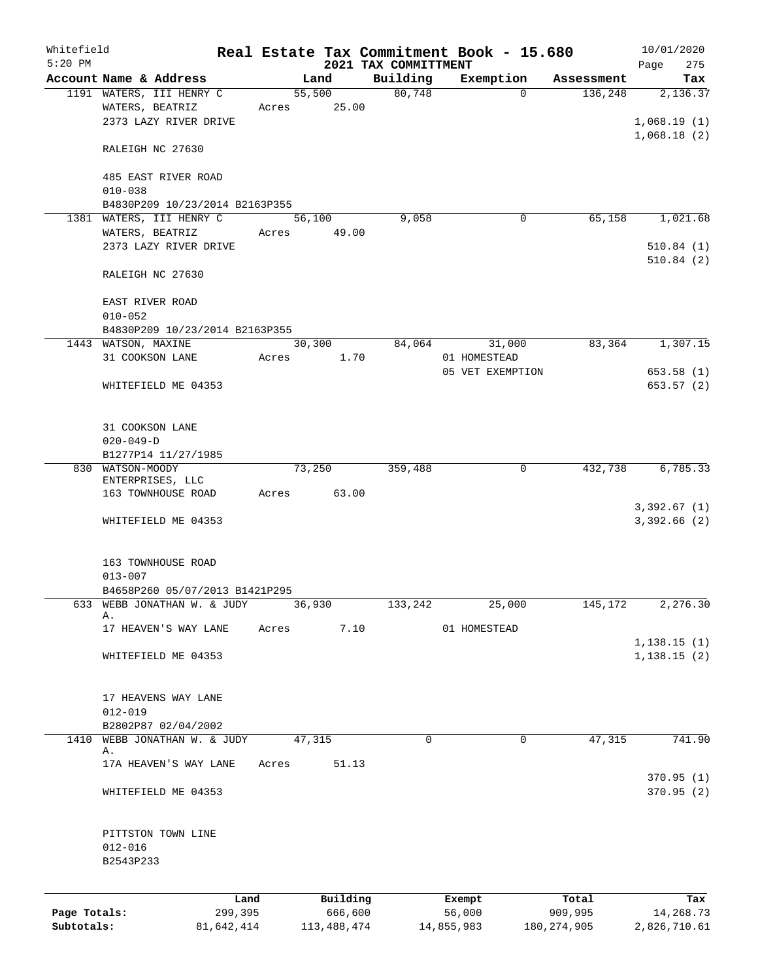| Whitefield<br>$5:20$ PM |                                                |            |       |        |             | 2021 TAX COMMITTMENT | Real Estate Tax Commitment Book - 15.680 |                       | 10/01/2020<br>275<br>Page  |
|-------------------------|------------------------------------------------|------------|-------|--------|-------------|----------------------|------------------------------------------|-----------------------|----------------------------|
|                         | Account Name & Address                         |            |       | Land   |             | Building             | Exemption                                | Assessment            | Tax                        |
|                         | 1191 WATERS, III HENRY C                       |            |       | 55,500 |             | 80,748               |                                          | 136,248<br>$\Omega$   | 2,136.37                   |
|                         | WATERS, BEATRIZ                                |            | Acres |        | 25.00       |                      |                                          |                       |                            |
|                         | 2373 LAZY RIVER DRIVE                          |            |       |        |             |                      |                                          |                       | 1,068.19(1)                |
|                         |                                                |            |       |        |             |                      |                                          |                       | 1,068.18(2)                |
|                         | RALEIGH NC 27630                               |            |       |        |             |                      |                                          |                       |                            |
|                         |                                                |            |       |        |             |                      |                                          |                       |                            |
|                         | 485 EAST RIVER ROAD                            |            |       |        |             |                      |                                          |                       |                            |
|                         | $010 - 038$                                    |            |       |        |             |                      |                                          |                       |                            |
|                         | B4830P209 10/23/2014 B2163P355                 |            |       |        |             |                      |                                          |                       |                            |
|                         | 1381 WATERS, III HENRY C                       |            |       | 56,100 |             | 9,058                |                                          | 65,158<br>0           | 1,021.68                   |
|                         | WATERS, BEATRIZ                                |            | Acres |        | 49.00       |                      |                                          |                       |                            |
|                         | 2373 LAZY RIVER DRIVE                          |            |       |        |             |                      |                                          |                       | 510.84(1)<br>510.84(2)     |
|                         | RALEIGH NC 27630                               |            |       |        |             |                      |                                          |                       |                            |
|                         |                                                |            |       |        |             |                      |                                          |                       |                            |
|                         | EAST RIVER ROAD                                |            |       |        |             |                      |                                          |                       |                            |
|                         | $010 - 052$                                    |            |       |        |             |                      |                                          |                       |                            |
|                         | B4830P209 10/23/2014 B2163P355                 |            |       |        |             |                      |                                          |                       |                            |
|                         | 1443 WATSON, MAXINE                            |            |       | 30,300 |             | 84,064               | 31,000                                   | 83,364                | 1,307.15                   |
|                         | 31 COOKSON LANE                                |            | Acres |        | 1.70        |                      | 01 HOMESTEAD                             |                       |                            |
|                         |                                                |            |       |        |             |                      | 05 VET EXEMPTION                         |                       | 653.58(1)                  |
|                         | WHITEFIELD ME 04353                            |            |       |        |             |                      |                                          |                       | 653.57(2)                  |
|                         |                                                |            |       |        |             |                      |                                          |                       |                            |
|                         |                                                |            |       |        |             |                      |                                          |                       |                            |
|                         | 31 COOKSON LANE                                |            |       |        |             |                      |                                          |                       |                            |
|                         | $020 - 049 - D$                                |            |       |        |             |                      |                                          |                       |                            |
|                         | B1277P14 11/27/1985                            |            |       |        |             |                      |                                          |                       |                            |
|                         | 830 WATSON-MOODY                               |            |       | 73,250 |             | 359,488              |                                          | 432,738<br>0          | 6,785.33                   |
|                         | ENTERPRISES, LLC                               |            |       |        |             |                      |                                          |                       |                            |
|                         | 163 TOWNHOUSE ROAD                             |            | Acres |        | 63.00       |                      |                                          |                       |                            |
|                         | WHITEFIELD ME 04353                            |            |       |        |             |                      |                                          |                       | 3,392.67(1)<br>3,392.66(2) |
|                         |                                                |            |       |        |             |                      |                                          |                       |                            |
|                         |                                                |            |       |        |             |                      |                                          |                       |                            |
|                         | 163 TOWNHOUSE ROAD                             |            |       |        |             |                      |                                          |                       |                            |
|                         | $013 - 007$                                    |            |       |        |             |                      |                                          |                       |                            |
|                         | B4658P260 05/07/2013 B1421P295                 |            |       |        |             |                      |                                          |                       |                            |
|                         | 633 WEBB JONATHAN W. & JUDY                    |            |       | 36,930 |             | 133,242              | 25,000                                   | 145,172               | 2,276.30                   |
|                         | Α.                                             |            |       |        |             |                      |                                          |                       |                            |
|                         | 17 HEAVEN'S WAY LANE                           |            | Acres |        | 7.10        |                      | 01 HOMESTEAD                             |                       |                            |
|                         |                                                |            |       |        |             |                      |                                          |                       | 1,138.15(1)                |
|                         | WHITEFIELD ME 04353                            |            |       |        |             |                      |                                          |                       | 1,138.15(2)                |
|                         |                                                |            |       |        |             |                      |                                          |                       |                            |
|                         |                                                |            |       |        |             |                      |                                          |                       |                            |
|                         | 17 HEAVENS WAY LANE                            |            |       |        |             |                      |                                          |                       |                            |
|                         | $012 - 019$                                    |            |       |        |             |                      |                                          |                       |                            |
| 1410                    | B2802P87 02/04/2002<br>WEBB JONATHAN W. & JUDY |            |       |        |             | 0                    |                                          | 47,315<br>$\mathbf 0$ | 741.90                     |
|                         | Α.                                             |            |       | 47,315 |             |                      |                                          |                       |                            |
|                         | 17A HEAVEN'S WAY LANE                          |            | Acres |        | 51.13       |                      |                                          |                       |                            |
|                         |                                                |            |       |        |             |                      |                                          |                       | 370.95(1)                  |
|                         | WHITEFIELD ME 04353                            |            |       |        |             |                      |                                          |                       | 370.95(2)                  |
|                         |                                                |            |       |        |             |                      |                                          |                       |                            |
|                         |                                                |            |       |        |             |                      |                                          |                       |                            |
|                         | PITTSTON TOWN LINE                             |            |       |        |             |                      |                                          |                       |                            |
|                         | $012 - 016$                                    |            |       |        |             |                      |                                          |                       |                            |
|                         | B2543P233                                      |            |       |        |             |                      |                                          |                       |                            |
|                         |                                                |            |       |        |             |                      |                                          |                       |                            |
|                         |                                                | Land       |       |        | Building    |                      | Exempt                                   | Total                 | Tax                        |
| Page Totals:            |                                                | 299,395    |       |        | 666,600     |                      | 56,000                                   | 909,995               | 14,268.73                  |
| Subtotals:              |                                                | 81,642,414 |       |        | 113,488,474 |                      | 14,855,983                               | 180, 274, 905         | 2,826,710.61               |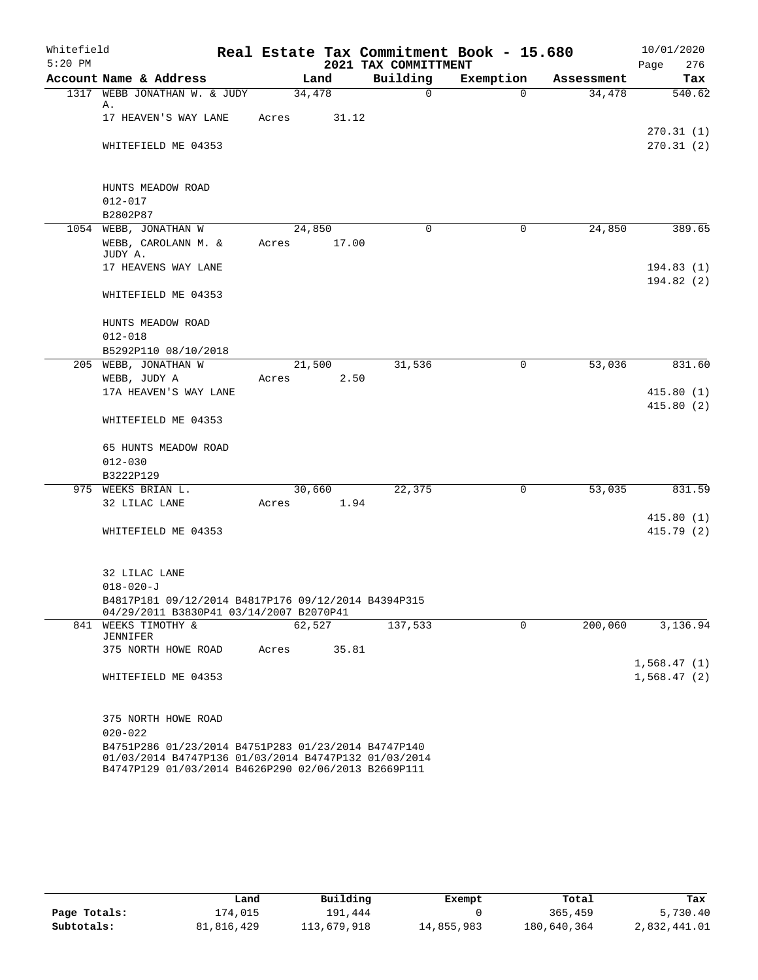| Whitefield<br>$5:20$ PM |                                                                                                             |        |        | Real Estate Tax Commitment Book - 15.680 |                       |            | 10/01/2020  |
|-------------------------|-------------------------------------------------------------------------------------------------------------|--------|--------|------------------------------------------|-----------------------|------------|-------------|
|                         |                                                                                                             |        |        | 2021 TAX COMMITTMENT                     |                       |            | Page<br>276 |
|                         | Account Name & Address<br>1317 WEBB JONATHAN W. & JUDY                                                      |        | Land   | Building<br>$\mathsf{O}$                 | Exemption<br>$\Omega$ | Assessment | Tax         |
|                         | Α.                                                                                                          | 34,478 |        |                                          |                       | 34,478     | 540.62      |
|                         | 17 HEAVEN'S WAY LANE                                                                                        | Acres  | 31.12  |                                          |                       |            |             |
|                         |                                                                                                             |        |        |                                          |                       |            | 270.31(1)   |
|                         | WHITEFIELD ME 04353                                                                                         |        |        |                                          |                       |            | 270.31(2)   |
|                         |                                                                                                             |        |        |                                          |                       |            |             |
|                         |                                                                                                             |        |        |                                          |                       |            |             |
|                         | HUNTS MEADOW ROAD                                                                                           |        |        |                                          |                       |            |             |
|                         | $012 - 017$<br>B2802P87                                                                                     |        |        |                                          |                       |            |             |
|                         | 1054 WEBB, JONATHAN W                                                                                       | 24,850 |        | $\Omega$                                 | 0                     | 24,850     | 389.65      |
|                         | WEBB, CAROLANN M. &                                                                                         |        | 17.00  |                                          |                       |            |             |
|                         | JUDY A.                                                                                                     | Acres  |        |                                          |                       |            |             |
|                         | 17 HEAVENS WAY LANE                                                                                         |        |        |                                          |                       |            | 194.83(1)   |
|                         |                                                                                                             |        |        |                                          |                       |            | 194.82(2)   |
|                         | WHITEFIELD ME 04353                                                                                         |        |        |                                          |                       |            |             |
|                         |                                                                                                             |        |        |                                          |                       |            |             |
|                         | HUNTS MEADOW ROAD                                                                                           |        |        |                                          |                       |            |             |
|                         | $012 - 018$                                                                                                 |        |        |                                          |                       |            |             |
|                         | B5292P110 08/10/2018                                                                                        |        |        |                                          |                       |            |             |
|                         | 205 WEBB, JONATHAN W                                                                                        |        | 21,500 | 31,536                                   | 0                     | 53,036     | 831.60      |
|                         | WEBB, JUDY A                                                                                                | Acres  | 2.50   |                                          |                       |            |             |
|                         | 17A HEAVEN'S WAY LANE                                                                                       |        |        |                                          |                       |            | 415.80(1)   |
|                         |                                                                                                             |        |        |                                          |                       |            | 415.80(2)   |
|                         | WHITEFIELD ME 04353                                                                                         |        |        |                                          |                       |            |             |
|                         |                                                                                                             |        |        |                                          |                       |            |             |
|                         | 65 HUNTS MEADOW ROAD                                                                                        |        |        |                                          |                       |            |             |
|                         | $012 - 030$<br>B3222P129                                                                                    |        |        |                                          |                       |            |             |
|                         | 975 WEEKS BRIAN L.                                                                                          | 30,660 |        | 22,375                                   | $\mathbf 0$           | 53,035     | 831.59      |
|                         | 32 LILAC LANE                                                                                               | Acres  | 1.94   |                                          |                       |            |             |
|                         |                                                                                                             |        |        |                                          |                       |            | 415.80(1)   |
|                         | WHITEFIELD ME 04353                                                                                         |        |        |                                          |                       |            | 415.79(2)   |
|                         |                                                                                                             |        |        |                                          |                       |            |             |
|                         |                                                                                                             |        |        |                                          |                       |            |             |
|                         | 32 LILAC LANE                                                                                               |        |        |                                          |                       |            |             |
|                         | $018 - 020 - J$                                                                                             |        |        |                                          |                       |            |             |
|                         | B4817P181 09/12/2014 B4817P176 09/12/2014 B4394P315                                                         |        |        |                                          |                       |            |             |
|                         | 04/29/2011 B3830P41 03/14/2007 B2070P41                                                                     |        |        |                                          |                       |            |             |
|                         | 841 WEEKS TIMOTHY &<br><b>JENNIFER</b>                                                                      | 62,527 |        | 137,533                                  | $\mathbf 0$           | 200,060    | 3,136.94    |
|                         | 375 NORTH HOWE ROAD                                                                                         | Acres  | 35.81  |                                          |                       |            |             |
|                         |                                                                                                             |        |        |                                          |                       |            | 1,568.47(1) |
|                         | WHITEFIELD ME 04353                                                                                         |        |        |                                          |                       |            | 1,568.47(2) |
|                         |                                                                                                             |        |        |                                          |                       |            |             |
|                         |                                                                                                             |        |        |                                          |                       |            |             |
|                         | 375 NORTH HOWE ROAD                                                                                         |        |        |                                          |                       |            |             |
|                         | $020 - 022$                                                                                                 |        |        |                                          |                       |            |             |
|                         | B4751P286 01/23/2014 B4751P283 01/23/2014 B4747P140                                                         |        |        |                                          |                       |            |             |
|                         | 01/03/2014 B4747P136 01/03/2014 B4747P132 01/03/2014<br>B4747P129 01/03/2014 B4626P290 02/06/2013 B2669P111 |        |        |                                          |                       |            |             |

|              | Land       | Building    | Exempt     | Total       | Tax          |
|--------------|------------|-------------|------------|-------------|--------------|
| Page Totals: | 174,015    | 191,444     |            | 365,459     | 5,730.40     |
| Subtotals:   | 81,816,429 | 113,679,918 | 14,855,983 | 180,640,364 | 2,832,441.01 |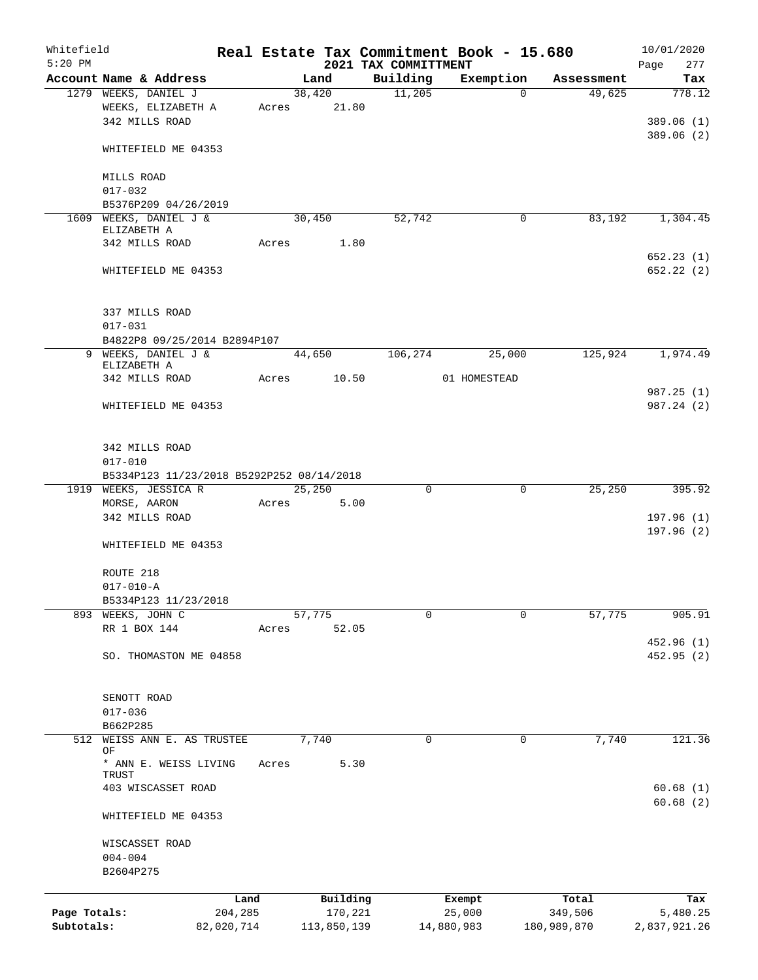| Whitefield<br>$5:20$ PM |                                           |                 |       |        |                     | 2021 TAX COMMITTMENT | Real Estate Tax Commitment Book - 15.680 |                       | 10/01/2020<br>277<br>Page |
|-------------------------|-------------------------------------------|-----------------|-------|--------|---------------------|----------------------|------------------------------------------|-----------------------|---------------------------|
|                         | Account Name & Address                    |                 |       | Land   |                     | Building             | Exemption                                | Assessment            | Tax                       |
|                         | 1279 WEEKS, DANIEL J                      |                 |       | 38,420 |                     | 11,205               |                                          | 49,625<br>$\Omega$    | 778.12                    |
|                         | WEEKS, ELIZABETH A                        |                 | Acres |        | 21.80               |                      |                                          |                       |                           |
|                         | 342 MILLS ROAD                            |                 |       |        |                     |                      |                                          |                       | 389.06(1)                 |
|                         |                                           |                 |       |        |                     |                      |                                          |                       | 389.06(2)                 |
|                         | WHITEFIELD ME 04353                       |                 |       |        |                     |                      |                                          |                       |                           |
|                         |                                           |                 |       |        |                     |                      |                                          |                       |                           |
|                         | MILLS ROAD<br>$017 - 032$                 |                 |       |        |                     |                      |                                          |                       |                           |
|                         | B5376P209 04/26/2019                      |                 |       |        |                     |                      |                                          |                       |                           |
|                         | 1609 WEEKS, DANIEL J &                    |                 |       | 30,450 |                     | 52,742               |                                          | $\mathbf 0$<br>83,192 | 1,304.45                  |
|                         | ELIZABETH A                               |                 |       |        |                     |                      |                                          |                       |                           |
|                         | 342 MILLS ROAD                            |                 | Acres |        | 1.80                |                      |                                          |                       |                           |
|                         |                                           |                 |       |        |                     |                      |                                          |                       | 652.23(1)                 |
|                         | WHITEFIELD ME 04353                       |                 |       |        |                     |                      |                                          |                       | 652.22 (2)                |
|                         |                                           |                 |       |        |                     |                      |                                          |                       |                           |
|                         |                                           |                 |       |        |                     |                      |                                          |                       |                           |
|                         | 337 MILLS ROAD                            |                 |       |        |                     |                      |                                          |                       |                           |
|                         | $017 - 031$                               |                 |       |        |                     |                      |                                          |                       |                           |
|                         | B4822P8 09/25/2014 B2894P107              |                 |       |        |                     |                      |                                          |                       |                           |
| 9                       | WEEKS, DANIEL J &<br>ELIZABETH A          |                 |       | 44,650 |                     | 106,274              | 25,000                                   | 125,924               | 1,974.49                  |
|                         | 342 MILLS ROAD                            |                 | Acres |        | 10.50               |                      | 01 HOMESTEAD                             |                       |                           |
|                         |                                           |                 |       |        |                     |                      |                                          |                       | 987.25 (1)                |
|                         | WHITEFIELD ME 04353                       |                 |       |        |                     |                      |                                          |                       | 987.24 (2)                |
|                         |                                           |                 |       |        |                     |                      |                                          |                       |                           |
|                         |                                           |                 |       |        |                     |                      |                                          |                       |                           |
|                         | 342 MILLS ROAD                            |                 |       |        |                     |                      |                                          |                       |                           |
|                         | $017 - 010$                               |                 |       |        |                     |                      |                                          |                       |                           |
|                         | B5334P123 11/23/2018 B5292P252 08/14/2018 |                 |       |        |                     |                      |                                          |                       |                           |
|                         | 1919 WEEKS, JESSICA R                     |                 |       | 25,250 |                     | $\mathbf 0$          |                                          | $\mathbf 0$<br>25,250 | 395.92                    |
|                         | MORSE, AARON                              |                 | Acres |        | 5.00                |                      |                                          |                       |                           |
|                         | 342 MILLS ROAD                            |                 |       |        |                     |                      |                                          |                       | 197.96(1)                 |
|                         |                                           |                 |       |        |                     |                      |                                          |                       | 197.96(2)                 |
|                         | WHITEFIELD ME 04353                       |                 |       |        |                     |                      |                                          |                       |                           |
|                         |                                           |                 |       |        |                     |                      |                                          |                       |                           |
|                         | ROUTE 218                                 |                 |       |        |                     |                      |                                          |                       |                           |
|                         | $017 - 010 - A$                           |                 |       |        |                     |                      |                                          |                       |                           |
|                         | B5334P123 11/23/2018                      |                 |       |        |                     | 0                    |                                          | 0                     | 905.91                    |
|                         | 893 WEEKS, JOHN C<br>RR 1 BOX 144         |                 |       | 57,775 | 52.05               |                      |                                          | 57,775                |                           |
|                         |                                           |                 | Acres |        |                     |                      |                                          |                       | 452.96(1)                 |
|                         | SO. THOMASTON ME 04858                    |                 |       |        |                     |                      |                                          |                       | 452.95 (2)                |
|                         |                                           |                 |       |        |                     |                      |                                          |                       |                           |
|                         |                                           |                 |       |        |                     |                      |                                          |                       |                           |
|                         | SENOTT ROAD                               |                 |       |        |                     |                      |                                          |                       |                           |
|                         | $017 - 036$                               |                 |       |        |                     |                      |                                          |                       |                           |
|                         | B662P285                                  |                 |       |        |                     |                      |                                          |                       |                           |
| 512                     | WEISS ANN E. AS TRUSTEE                   |                 |       | 7,740  |                     | $\mathbf 0$          |                                          | $\mathbf 0$<br>7,740  | 121.36                    |
|                         | ΟF                                        |                 |       |        |                     |                      |                                          |                       |                           |
|                         | * ANN E. WEISS LIVING<br>TRUST            |                 | Acres |        | 5.30                |                      |                                          |                       |                           |
|                         | 403 WISCASSET ROAD                        |                 |       |        |                     |                      |                                          |                       | 60.68(1)                  |
|                         |                                           |                 |       |        |                     |                      |                                          |                       | 60.68(2)                  |
|                         | WHITEFIELD ME 04353                       |                 |       |        |                     |                      |                                          |                       |                           |
|                         |                                           |                 |       |        |                     |                      |                                          |                       |                           |
|                         | WISCASSET ROAD                            |                 |       |        |                     |                      |                                          |                       |                           |
|                         | $004 - 004$                               |                 |       |        |                     |                      |                                          |                       |                           |
|                         | B2604P275                                 |                 |       |        |                     |                      |                                          |                       |                           |
|                         |                                           |                 |       |        |                     |                      |                                          |                       |                           |
| Page Totals:            |                                           | Land<br>204,285 |       |        | Building<br>170,221 |                      | Exempt<br>25,000                         | Total<br>349,506      | Tax<br>5,480.25           |
| Subtotals:              |                                           | 82,020,714      |       |        | 113,850,139         |                      | 14,880,983                               | 180,989,870           | 2,837,921.26              |
|                         |                                           |                 |       |        |                     |                      |                                          |                       |                           |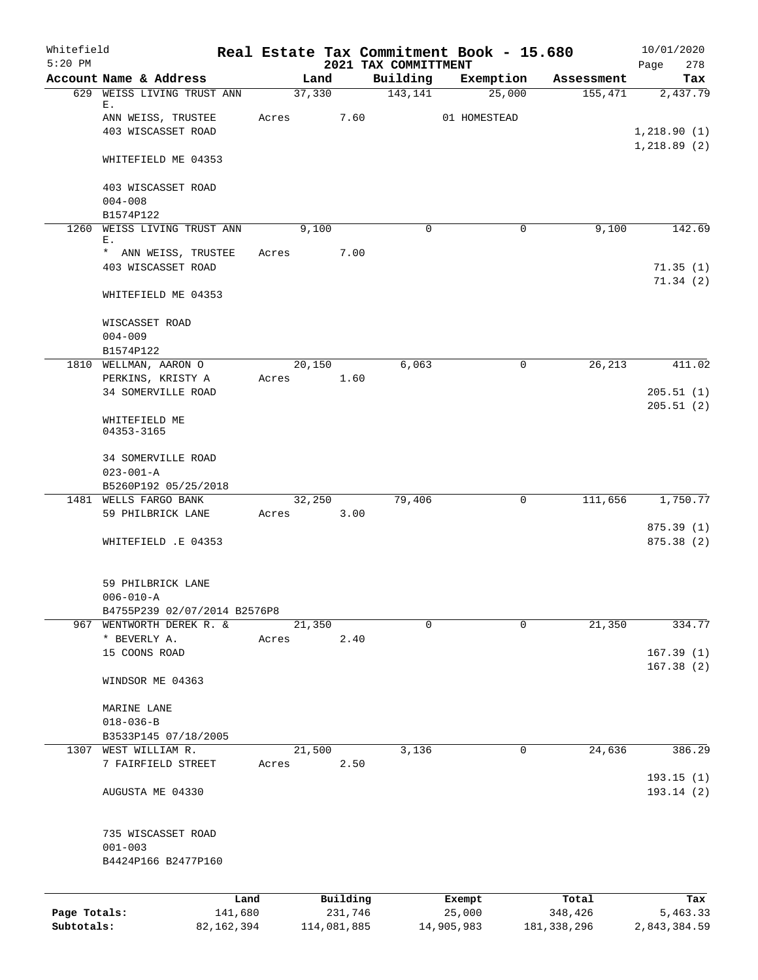| Whitefield<br>$5:20$ PM |                                                          |       |             |                     | 2021 TAX COMMITTMENT | Real Estate Tax Commitment Book - 15.680 |                  | 10/01/2020<br>Page<br>278 |
|-------------------------|----------------------------------------------------------|-------|-------------|---------------------|----------------------|------------------------------------------|------------------|---------------------------|
|                         | Account Name & Address                                   |       | Land        |                     | Building             | Exemption                                | Assessment       | Tax                       |
| 629                     | WEISS LIVING TRUST ANN                                   |       | 37,330      |                     | 143,141              | 25,000                                   | 155,471          | 2,437.79                  |
|                         | Е.<br>ANN WEISS, TRUSTEE                                 | Acres |             | 7.60                |                      | 01 HOMESTEAD                             |                  |                           |
|                         | 403 WISCASSET ROAD                                       |       |             |                     |                      |                                          |                  | 1,218.90(1)               |
|                         |                                                          |       |             |                     |                      |                                          |                  | 1,218.89(2)               |
|                         | WHITEFIELD ME 04353                                      |       |             |                     |                      |                                          |                  |                           |
|                         | 403 WISCASSET ROAD                                       |       |             |                     |                      |                                          |                  |                           |
|                         | $004 - 008$                                              |       |             |                     |                      |                                          |                  |                           |
|                         | B1574P122                                                |       |             |                     |                      |                                          |                  |                           |
| 1260                    | WEISS LIVING TRUST ANN<br>Ε.                             |       | 9,100       |                     | 0                    | 0                                        | 9,100            | 142.69                    |
|                         | * ANN WEISS, TRUSTEE                                     | Acres |             | 7.00                |                      |                                          |                  |                           |
|                         | 403 WISCASSET ROAD                                       |       |             |                     |                      |                                          |                  | 71.35(1)                  |
|                         | WHITEFIELD ME 04353                                      |       |             |                     |                      |                                          |                  | 71.34(2)                  |
|                         | WISCASSET ROAD                                           |       |             |                     |                      |                                          |                  |                           |
|                         | $004 - 009$                                              |       |             |                     |                      |                                          |                  |                           |
|                         | B1574P122                                                |       |             |                     |                      |                                          |                  |                           |
|                         | 1810 WELLMAN, AARON O                                    |       | 20,150      |                     | 6,063                | 0                                        | 26,213           | 411.02                    |
|                         | PERKINS, KRISTY A<br><b>34 SOMERVILLE ROAD</b>           | Acres |             | 1.60                |                      |                                          |                  |                           |
|                         |                                                          |       |             |                     |                      |                                          |                  | 205.51(1)<br>205.51(2)    |
|                         | WHITEFIELD ME<br>04353-3165                              |       |             |                     |                      |                                          |                  |                           |
|                         | <b>34 SOMERVILLE ROAD</b>                                |       |             |                     |                      |                                          |                  |                           |
|                         | $023 - 001 - A$                                          |       |             |                     |                      |                                          |                  |                           |
|                         | B5260P192 05/25/2018                                     |       |             |                     |                      |                                          |                  |                           |
|                         | 1481 WELLS FARGO BANK                                    |       | 32,250      |                     | 79,406               | $\mathbf 0$                              | 111,656          | 1,750.77                  |
|                         | 59 PHILBRICK LANE                                        | Acres |             | 3.00                |                      |                                          |                  | 875.39(1)                 |
|                         | WHITEFIELD .E 04353                                      |       |             |                     |                      |                                          |                  | 875.38 (2)                |
|                         |                                                          |       |             |                     |                      |                                          |                  |                           |
|                         | 59 PHILBRICK LANE                                        |       |             |                     |                      |                                          |                  |                           |
|                         | $006 - 010 - A$                                          |       |             |                     |                      |                                          |                  |                           |
|                         | B4755P239 02/07/2014 B2576P8<br>967 WENTWORTH DEREK R. & |       | 21,350      |                     | $\mathbf 0$          | 0                                        | 21,350           | 334.77                    |
|                         | * BEVERLY A.                                             | Acres |             | 2.40                |                      |                                          |                  |                           |
|                         | 15 COONS ROAD                                            |       |             |                     |                      |                                          |                  | 167.39(1)                 |
|                         | WINDSOR ME 04363                                         |       |             |                     |                      |                                          |                  | 167.38(2)                 |
|                         |                                                          |       |             |                     |                      |                                          |                  |                           |
|                         | MARINE LANE                                              |       |             |                     |                      |                                          |                  |                           |
|                         | $018 - 036 - B$                                          |       |             |                     |                      |                                          |                  |                           |
|                         | B3533P145 07/18/2005<br>1307 WEST WILLIAM R.             |       |             |                     |                      |                                          |                  | 386.29                    |
|                         | 7 FAIRFIELD STREET                                       | Acres | 21,500      | 2.50                | 3,136                | 0                                        | 24,636           |                           |
|                         |                                                          |       |             |                     |                      |                                          |                  | 193.15(1)                 |
|                         | AUGUSTA ME 04330                                         |       |             |                     |                      |                                          |                  | 193.14 (2)                |
|                         | 735 WISCASSET ROAD                                       |       |             |                     |                      |                                          |                  |                           |
|                         | $001 - 003$                                              |       |             |                     |                      |                                          |                  |                           |
|                         | B4424P166 B2477P160                                      |       |             |                     |                      |                                          |                  |                           |
|                         |                                                          |       |             |                     |                      |                                          |                  |                           |
| Page Totals:            | Land<br>141,680                                          |       |             | Building<br>231,746 |                      | Exempt<br>25,000                         | Total<br>348,426 | Tax<br>5,463.33           |
| Subtotals:              | 82, 162, 394                                             |       | 114,081,885 |                     |                      | 14,905,983                               | 181, 338, 296    | 2,843,384.59              |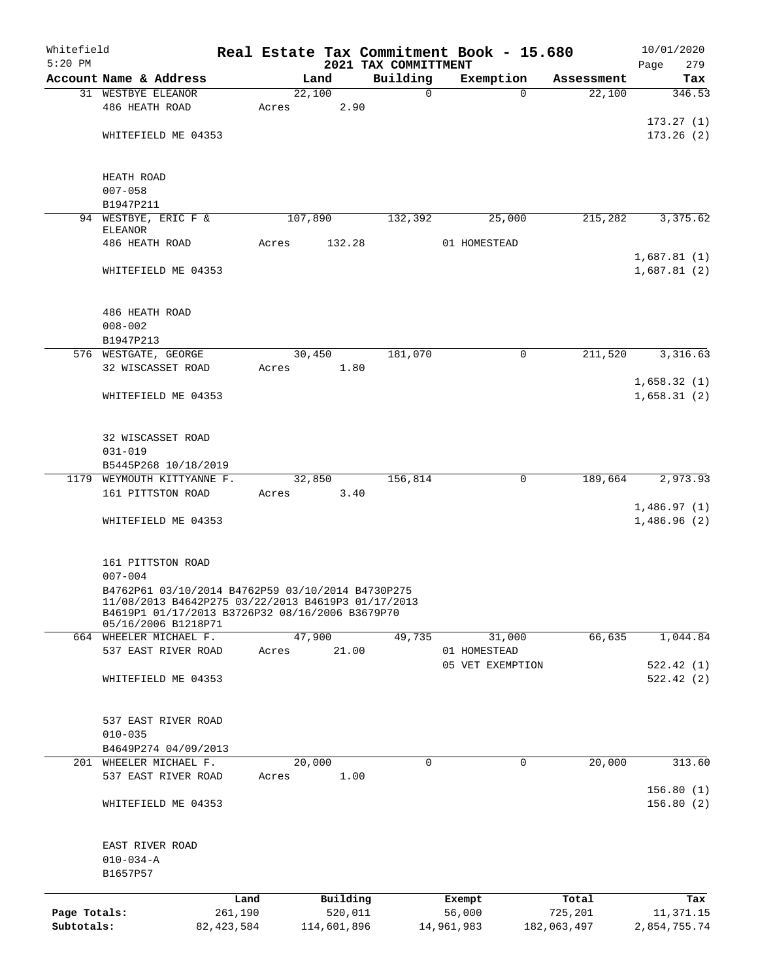| Whitefield<br>$5:20$ PM |                                                    |                 |         |                     | 2021 TAX COMMITTMENT |          | Real Estate Tax Commitment Book - 15.680 |                  | 10/01/2020<br>279<br>Page |  |  |
|-------------------------|----------------------------------------------------|-----------------|---------|---------------------|----------------------|----------|------------------------------------------|------------------|---------------------------|--|--|
|                         | Account Name & Address                             |                 |         | Land                | Building             |          | Exemption                                | Assessment       | Tax                       |  |  |
|                         | 31 WESTBYE ELEANOR                                 |                 |         | 22,100              |                      | $\Omega$ | $\Omega$                                 | 22,100           | 346.53                    |  |  |
|                         | 486 HEATH ROAD                                     |                 | Acres   | 2.90                |                      |          |                                          |                  |                           |  |  |
|                         |                                                    |                 |         |                     |                      |          |                                          |                  | 173.27(1)                 |  |  |
|                         | WHITEFIELD ME 04353                                |                 |         |                     |                      |          |                                          |                  | 173.26(2)                 |  |  |
|                         |                                                    |                 |         |                     |                      |          |                                          |                  |                           |  |  |
|                         |                                                    |                 |         |                     |                      |          |                                          |                  |                           |  |  |
|                         | HEATH ROAD                                         |                 |         |                     |                      |          |                                          |                  |                           |  |  |
|                         | $007 - 058$                                        |                 |         |                     |                      |          |                                          |                  |                           |  |  |
|                         | B1947P211                                          |                 |         |                     |                      |          |                                          |                  |                           |  |  |
|                         | 94 WESTBYE, ERIC F &<br><b>ELEANOR</b>             |                 | 107,890 |                     | 132,392              |          | 25,000                                   | 215,282          | 3,375.62                  |  |  |
|                         | 486 HEATH ROAD                                     |                 | Acres   | 132.28              |                      |          | 01 HOMESTEAD                             |                  |                           |  |  |
|                         |                                                    |                 |         |                     |                      |          |                                          |                  | 1,687.81(1)               |  |  |
|                         | WHITEFIELD ME 04353                                |                 |         |                     |                      |          |                                          |                  | 1,687.81(2)               |  |  |
|                         |                                                    |                 |         |                     |                      |          |                                          |                  |                           |  |  |
|                         |                                                    |                 |         |                     |                      |          |                                          |                  |                           |  |  |
|                         | 486 HEATH ROAD                                     |                 |         |                     |                      |          |                                          |                  |                           |  |  |
|                         | $008 - 002$                                        |                 |         |                     |                      |          |                                          |                  |                           |  |  |
|                         | B1947P213                                          |                 |         |                     |                      |          |                                          |                  |                           |  |  |
|                         | 576 WESTGATE, GEORGE                               |                 |         | 30,450              | 181,070              |          | 0                                        | 211,520          | 3,316.63                  |  |  |
|                         | 32 WISCASSET ROAD                                  |                 | Acres   | 1.80                |                      |          |                                          |                  |                           |  |  |
|                         |                                                    |                 |         |                     |                      |          |                                          |                  | 1,658.32(1)               |  |  |
|                         | WHITEFIELD ME 04353                                |                 |         |                     |                      |          |                                          |                  | 1,658.31(2)               |  |  |
|                         |                                                    |                 |         |                     |                      |          |                                          |                  |                           |  |  |
|                         |                                                    |                 |         |                     |                      |          |                                          |                  |                           |  |  |
|                         | 32 WISCASSET ROAD                                  |                 |         |                     |                      |          |                                          |                  |                           |  |  |
|                         | $031 - 019$                                        |                 |         |                     |                      |          |                                          |                  |                           |  |  |
|                         | B5445P268 10/18/2019                               |                 |         |                     |                      |          |                                          |                  |                           |  |  |
|                         | 1179 WEYMOUTH KITTYANNE F.                         |                 |         | 32,850              | 156,814              |          | 0                                        | 189,664          | 2,973.93                  |  |  |
|                         | 161 PITTSTON ROAD                                  |                 | Acres   | 3.40                |                      |          |                                          |                  |                           |  |  |
|                         |                                                    |                 |         |                     |                      |          |                                          |                  | 1,486.97(1)               |  |  |
|                         | WHITEFIELD ME 04353                                |                 |         |                     |                      |          |                                          |                  | 1,486.96(2)               |  |  |
|                         |                                                    |                 |         |                     |                      |          |                                          |                  |                           |  |  |
|                         | 161 PITTSTON ROAD                                  |                 |         |                     |                      |          |                                          |                  |                           |  |  |
|                         | $007 - 004$                                        |                 |         |                     |                      |          |                                          |                  |                           |  |  |
|                         | B4762P61 03/10/2014 B4762P59 03/10/2014 B4730P275  |                 |         |                     |                      |          |                                          |                  |                           |  |  |
|                         | 11/08/2013 B4642P275 03/22/2013 B4619P3 01/17/2013 |                 |         |                     |                      |          |                                          |                  |                           |  |  |
|                         | B4619P1 01/17/2013 B3726P32 08/16/2006 B3679P70    |                 |         |                     |                      |          |                                          |                  |                           |  |  |
|                         | 05/16/2006 B1218P71<br>664 WHEELER MICHAEL F.      |                 |         | 47,900              | 49,735               |          | 31,000                                   | 66,635           | 1,044.84                  |  |  |
|                         | 537 EAST RIVER ROAD                                |                 | Acres   | 21.00               |                      |          | 01 HOMESTEAD                             |                  |                           |  |  |
|                         |                                                    |                 |         |                     |                      |          | 05 VET EXEMPTION                         |                  | 522.42(1)                 |  |  |
|                         | WHITEFIELD ME 04353                                |                 |         |                     |                      |          |                                          |                  | 522.42(2)                 |  |  |
|                         |                                                    |                 |         |                     |                      |          |                                          |                  |                           |  |  |
|                         |                                                    |                 |         |                     |                      |          |                                          |                  |                           |  |  |
|                         | 537 EAST RIVER ROAD                                |                 |         |                     |                      |          |                                          |                  |                           |  |  |
|                         | $010 - 035$                                        |                 |         |                     |                      |          |                                          |                  |                           |  |  |
|                         | B4649P274 04/09/2013                               |                 |         |                     |                      |          |                                          |                  |                           |  |  |
|                         | 201 WHEELER MICHAEL F.                             |                 |         | 20,000              |                      | 0        | $\mathbf 0$                              | 20,000           | 313.60                    |  |  |
|                         | 537 EAST RIVER ROAD                                |                 | Acres   | 1.00                |                      |          |                                          |                  |                           |  |  |
|                         |                                                    |                 |         |                     |                      |          |                                          |                  | 156.80(1)                 |  |  |
|                         | WHITEFIELD ME 04353                                |                 |         |                     |                      |          |                                          |                  | 156.80(2)                 |  |  |
|                         |                                                    |                 |         |                     |                      |          |                                          |                  |                           |  |  |
|                         |                                                    |                 |         |                     |                      |          |                                          |                  |                           |  |  |
|                         | EAST RIVER ROAD                                    |                 |         |                     |                      |          |                                          |                  |                           |  |  |
|                         | $010 - 034 - A$                                    |                 |         |                     |                      |          |                                          |                  |                           |  |  |
|                         | B1657P57                                           |                 |         |                     |                      |          |                                          |                  |                           |  |  |
|                         |                                                    |                 |         |                     |                      |          |                                          |                  |                           |  |  |
| Page Totals:            |                                                    | Land<br>261,190 |         | Building<br>520,011 |                      |          | Exempt<br>56,000                         | Total<br>725,201 | Tax<br>11,371.15          |  |  |
| Subtotals:              |                                                    | 82, 423, 584    |         | 114,601,896         |                      |          | 14,961,983                               | 182,063,497      | 2,854,755.74              |  |  |
|                         |                                                    |                 |         |                     |                      |          |                                          |                  |                           |  |  |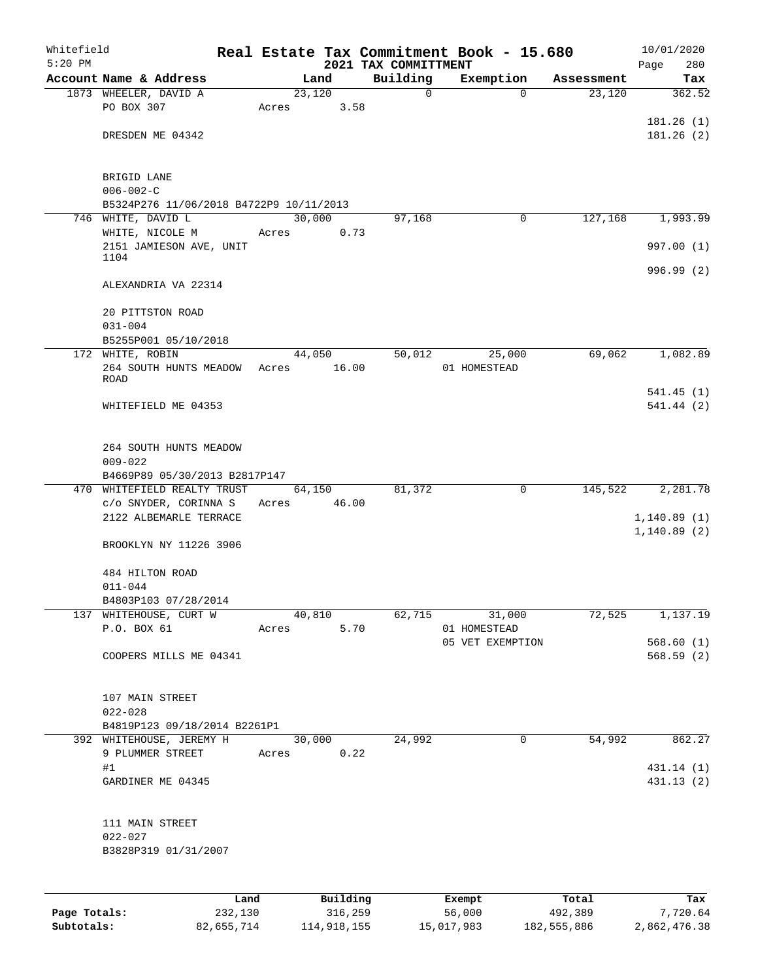| Whitefield<br>$5:20$ PM |                                          |      |       |        |             |                                  | Real Estate Tax Commitment Book - 15.680 |            | 10/01/2020         |
|-------------------------|------------------------------------------|------|-------|--------|-------------|----------------------------------|------------------------------------------|------------|--------------------|
|                         | Account Name & Address                   |      |       | Land   |             | 2021 TAX COMMITTMENT<br>Building | Exemption                                | Assessment | Page<br>280<br>Tax |
|                         | 1873 WHEELER, DAVID A                    |      |       | 23,120 |             | 0                                | $\Omega$                                 | 23,120     | 362.52             |
|                         | PO BOX 307                               |      | Acres |        | 3.58        |                                  |                                          |            |                    |
|                         |                                          |      |       |        |             |                                  |                                          |            | 181.26(1)          |
|                         | DRESDEN ME 04342                         |      |       |        |             |                                  |                                          |            | 181.26(2)          |
|                         |                                          |      |       |        |             |                                  |                                          |            |                    |
|                         | BRIGID LANE                              |      |       |        |             |                                  |                                          |            |                    |
|                         | $006 - 002 - C$                          |      |       |        |             |                                  |                                          |            |                    |
|                         | B5324P276 11/06/2018 B4722P9 10/11/2013  |      |       |        |             |                                  |                                          |            |                    |
|                         | 746 WHITE, DAVID L                       |      |       | 30,000 |             | 97,168                           | 0                                        | 127,168    | 1,993.99           |
|                         | WHITE, NICOLE M                          |      | Acres |        | 0.73        |                                  |                                          |            |                    |
|                         | 2151 JAMIESON AVE, UNIT                  |      |       |        |             |                                  |                                          |            | 997.00 (1)         |
|                         | 1104                                     |      |       |        |             |                                  |                                          |            | 996.99 (2)         |
|                         | ALEXANDRIA VA 22314                      |      |       |        |             |                                  |                                          |            |                    |
|                         |                                          |      |       |        |             |                                  |                                          |            |                    |
|                         | 20 PITTSTON ROAD                         |      |       |        |             |                                  |                                          |            |                    |
|                         | $031 - 004$                              |      |       |        |             |                                  |                                          |            |                    |
|                         | B5255P001 05/10/2018<br>172 WHITE, ROBIN |      |       | 44,050 |             | 50,012                           |                                          | 69,062     | 1,082.89           |
|                         | 264 SOUTH HUNTS MEADOW                   |      |       |        | Acres 16.00 |                                  | 25,000<br>01 HOMESTEAD                   |            |                    |
|                         | <b>ROAD</b>                              |      |       |        |             |                                  |                                          |            |                    |
|                         |                                          |      |       |        |             |                                  |                                          |            | 541.45(1)          |
|                         | WHITEFIELD ME 04353                      |      |       |        |             |                                  |                                          |            | 541.44(2)          |
|                         |                                          |      |       |        |             |                                  |                                          |            |                    |
|                         | 264 SOUTH HUNTS MEADOW                   |      |       |        |             |                                  |                                          |            |                    |
|                         | $009 - 022$                              |      |       |        |             |                                  |                                          |            |                    |
|                         | B4669P89 05/30/2013 B2817P147            |      |       |        |             |                                  |                                          |            |                    |
|                         | 470 WHITEFIELD REALTY TRUST              |      |       |        | 64,150      | 81,372                           | 0                                        | 145,522    | 2,281.78           |
|                         | c/o SNYDER, CORINNA S                    |      |       |        | Acres 46.00 |                                  |                                          |            |                    |
|                         | 2122 ALBEMARLE TERRACE                   |      |       |        |             |                                  |                                          |            | 1,140.89(1)        |
|                         |                                          |      |       |        |             |                                  |                                          |            | 1,140.89(2)        |
|                         | BROOKLYN NY 11226 3906                   |      |       |        |             |                                  |                                          |            |                    |
|                         | 484 HILTON ROAD                          |      |       |        |             |                                  |                                          |            |                    |
|                         | $011 - 044$                              |      |       |        |             |                                  |                                          |            |                    |
|                         | B4803P103 07/28/2014                     |      |       |        |             |                                  |                                          |            |                    |
|                         | 137 WHITEHOUSE, CURT W                   |      |       |        | 40,810      | $\frac{62,715}{ }$               | 31,000                                   | 72,525     | 1,137.19           |
|                         | P.O. BOX 61                              |      |       |        | Acres 5.70  |                                  | 01 HOMESTEAD                             |            |                    |
|                         |                                          |      |       |        |             |                                  | 05 VET EXEMPTION                         |            | 568.60(1)          |
|                         | COOPERS MILLS ME 04341                   |      |       |        |             |                                  |                                          |            | 568.59 (2)         |
|                         |                                          |      |       |        |             |                                  |                                          |            |                    |
|                         | 107 MAIN STREET                          |      |       |        |             |                                  |                                          |            |                    |
|                         | $022 - 028$                              |      |       |        |             |                                  |                                          |            |                    |
|                         | B4819P123 09/18/2014 B2261P1             |      |       |        |             |                                  |                                          |            |                    |
|                         | 392 WHITEHOUSE, JEREMY H 30,000          |      |       |        |             | 24,992                           | $\mathsf{O}$                             |            | 54,992 862.27      |
|                         | 9 PLUMMER STREET Acres 0.22              |      |       |        |             |                                  |                                          |            |                    |
|                         | #1                                       |      |       |        |             |                                  |                                          |            | 431.14 (1)         |
|                         | GARDINER ME 04345                        |      |       |        |             |                                  |                                          |            | 431.13 (2)         |
|                         |                                          |      |       |        |             |                                  |                                          |            |                    |
|                         | 111 MAIN STREET                          |      |       |        |             |                                  |                                          |            |                    |
|                         | $022 - 027$                              |      |       |        |             |                                  |                                          |            |                    |
|                         | B3828P319 01/31/2007                     |      |       |        |             |                                  |                                          |            |                    |
|                         |                                          |      |       |        |             |                                  |                                          |            |                    |
|                         |                                          |      |       |        |             |                                  |                                          |            |                    |
|                         |                                          | Land |       |        | Building    |                                  | Exempt                                   | Total      | Tax                |

|              | --------   | ____________ | ______     | --------    | --------     |
|--------------|------------|--------------|------------|-------------|--------------|
| Page Totals: | 232,130    | 316,259      | 56,000     | 492,389     | 7,720.64     |
| Subtotals:   | 82,655,714 | 114,918,155  | 15,017,983 | 182,555,886 | 2,862,476.38 |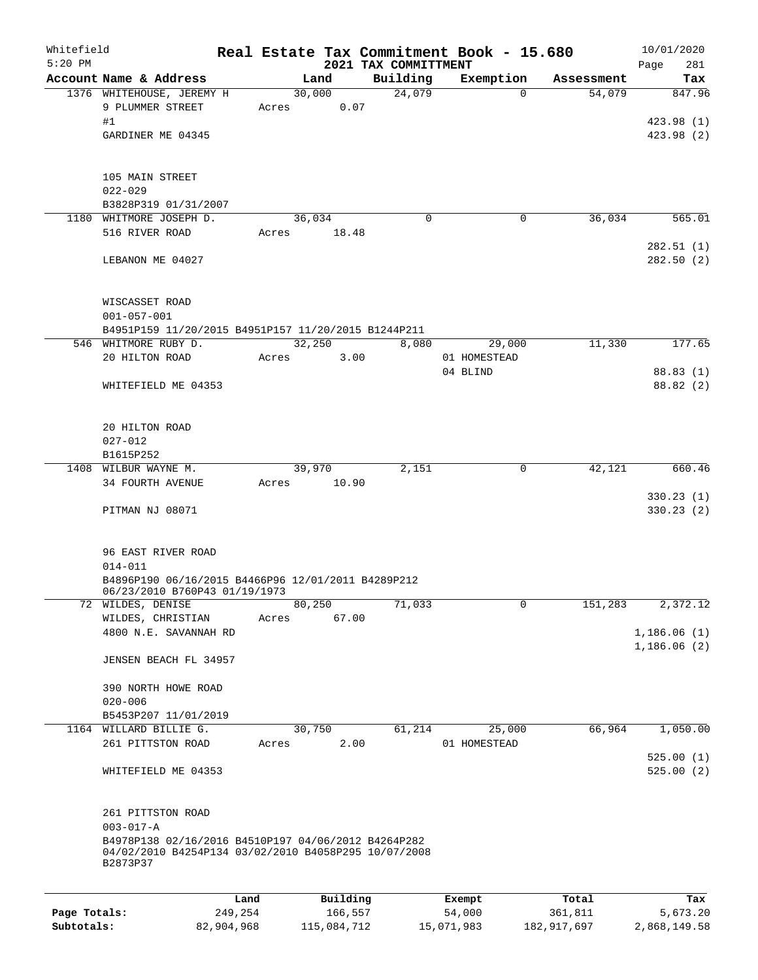| Whitefield<br>$5:20$ PM |                                                                                                                          |                 |                     | 2021 TAX COMMITTMENT | Real Estate Tax Commitment Book - 15.680 |                  | 10/01/2020<br>281<br>Page          |
|-------------------------|--------------------------------------------------------------------------------------------------------------------------|-----------------|---------------------|----------------------|------------------------------------------|------------------|------------------------------------|
|                         | Account Name & Address                                                                                                   |                 | Land                | Building             | Exemption                                | Assessment       | Tax                                |
|                         | 1376 WHITEHOUSE, JEREMY H<br>9 PLUMMER STREET<br>#1<br>GARDINER ME 04345                                                 | Acres           | 30,000<br>0.07      | 24,079               | $\Omega$                                 | 54,079           | 847.96<br>423.98 (1)<br>423.98 (2) |
|                         | 105 MAIN STREET<br>$022 - 029$<br>B3828P319 01/31/2007                                                                   |                 |                     |                      |                                          |                  |                                    |
|                         | 1180 WHITMORE JOSEPH D.                                                                                                  |                 | 36,034              | $\mathbf 0$          | $\mathbf 0$                              | 36,034           | 565.01                             |
|                         | 516 RIVER ROAD<br>LEBANON ME 04027                                                                                       | Acres           | 18.48               |                      |                                          |                  | 282.51(1)<br>282.50(2)             |
|                         | WISCASSET ROAD<br>$001 - 057 - 001$                                                                                      |                 |                     |                      |                                          |                  |                                    |
|                         | B4951P159 11/20/2015 B4951P157 11/20/2015 B1244P211                                                                      |                 |                     |                      |                                          |                  |                                    |
|                         | 546 WHITMORE RUBY D.                                                                                                     |                 | 32,250              | 8,080                | 29,000                                   | 11,330           | 177.65                             |
|                         | 20 HILTON ROAD                                                                                                           | Acres           | 3.00                |                      | 01 HOMESTEAD                             |                  |                                    |
|                         | WHITEFIELD ME 04353                                                                                                      |                 |                     |                      | 04 BLIND                                 |                  | 88.83 (1)<br>88.82 (2)             |
|                         | 20 HILTON ROAD<br>$027 - 012$                                                                                            |                 |                     |                      |                                          |                  |                                    |
|                         | B1615P252<br>1408 WILBUR WAYNE M.                                                                                        |                 | 39,970              | 2,151                | $\mathbf 0$                              | 42,121           | 660.46                             |
|                         | 34 FOURTH AVENUE                                                                                                         | Acres           | 10.90               |                      |                                          |                  | 330.23(1)                          |
|                         | PITMAN NJ 08071                                                                                                          |                 |                     |                      |                                          |                  | 330.23 (2)                         |
|                         | 96 EAST RIVER ROAD<br>$014 - 011$<br>B4896P190 06/16/2015 B4466P96 12/01/2011 B4289P212<br>06/23/2010 B760P43 01/19/1973 |                 |                     |                      |                                          |                  |                                    |
|                         | 72 WILDES, DENISE                                                                                                        |                 | 80,250              | 71,033               | $\mathsf{O}$                             | 151,283          | 2,372.12                           |
|                         | WILDES, CHRISTIAN                                                                                                        | Acres           | 67.00               |                      |                                          |                  |                                    |
|                         | 4800 N.E. SAVANNAH RD<br>JENSEN BEACH FL 34957                                                                           |                 |                     |                      |                                          |                  | 1,186.06(1)<br>1,186.06(2)         |
|                         | 390 NORTH HOWE ROAD                                                                                                      |                 |                     |                      |                                          |                  |                                    |
|                         | $020 - 006$                                                                                                              |                 |                     |                      |                                          |                  |                                    |
|                         | B5453P207 11/01/2019                                                                                                     |                 |                     |                      |                                          |                  |                                    |
|                         | 1164 WILLARD BILLIE G.<br>261 PITTSTON ROAD                                                                              | Acres           | 30,750<br>2.00      | 61,214               | 25,000<br>01 HOMESTEAD                   | 66,964           | 1,050.00                           |
|                         | WHITEFIELD ME 04353                                                                                                      |                 |                     |                      |                                          |                  | 525.00(1)<br>525.00(2)             |
|                         | 261 PITTSTON ROAD<br>$003 - 017 - A$                                                                                     |                 |                     |                      |                                          |                  |                                    |
|                         | B4978P138 02/16/2016 B4510P197 04/06/2012 B4264P282<br>04/02/2010 B4254P134 03/02/2010 B4058P295 10/07/2008<br>B2873P37  |                 |                     |                      |                                          |                  |                                    |
|                         |                                                                                                                          |                 |                     |                      |                                          |                  |                                    |
| Page Totals:            |                                                                                                                          | Land<br>249,254 | Building<br>166,557 |                      | Exempt<br>54,000                         | Total<br>361,811 | Tax<br>5,673.20                    |

**Subtotals:** 82,904,968 115,084,712 15,071,983 182,917,697 2,868,149.58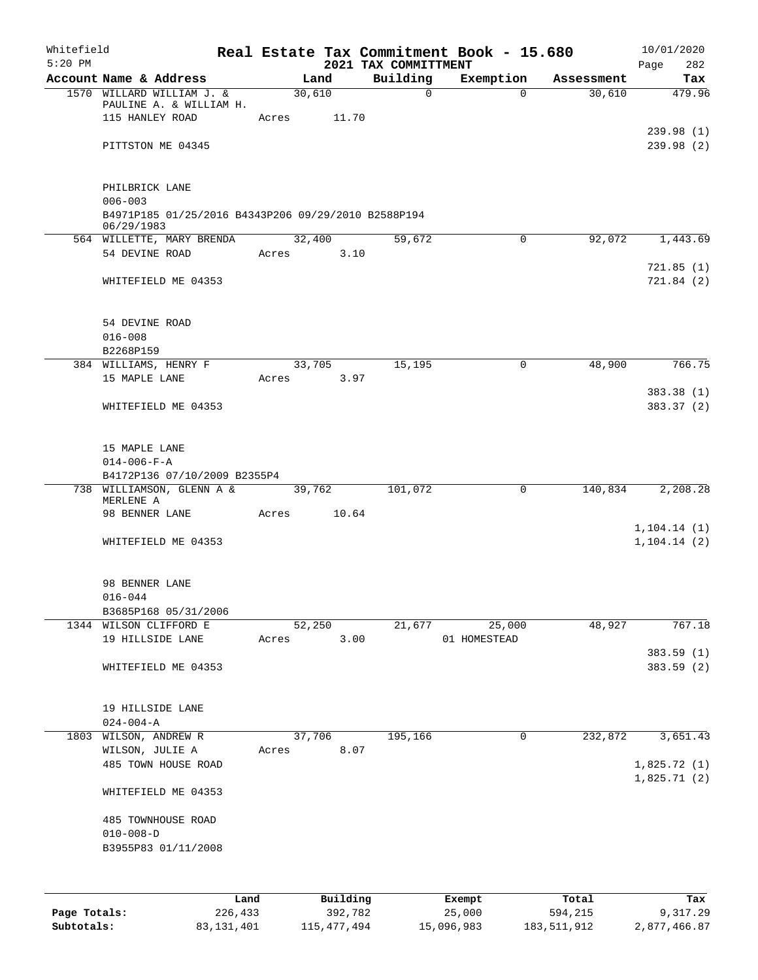| Whitefield   |                                                                      |       |                     |                                  | Real Estate Tax Commitment Book - 15.680 |                  | 10/01/2020                   |
|--------------|----------------------------------------------------------------------|-------|---------------------|----------------------------------|------------------------------------------|------------------|------------------------------|
| $5:20$ PM    | Account Name & Address                                               |       | Land                | 2021 TAX COMMITTMENT<br>Building | Exemption                                | Assessment       | Page<br>282<br>Tax           |
|              | 1570 WILLARD WILLIAM J. &<br>PAULINE A. & WILLIAM H.                 |       | 30,610              | $\mathbf 0$                      | $\Omega$                                 | 30,610           | 479.96                       |
|              | 115 HANLEY ROAD                                                      | Acres | 11.70               |                                  |                                          |                  | 239.98(1)                    |
|              | PITTSTON ME 04345                                                    |       |                     |                                  |                                          |                  | 239.98(2)                    |
|              | PHILBRICK LANE<br>$006 - 003$                                        |       |                     |                                  |                                          |                  |                              |
|              | B4971P185 01/25/2016 B4343P206 09/29/2010 B2588P194<br>06/29/1983    |       |                     |                                  |                                          |                  |                              |
|              | 564 WILLETTE, MARY BRENDA<br>54 DEVINE ROAD                          | Acres | 32,400<br>3.10      | 59,672                           | 0                                        | 92,072           | 1,443.69                     |
|              | WHITEFIELD ME 04353                                                  |       |                     |                                  |                                          |                  | 721.85(1)<br>721.84(2)       |
|              | 54 DEVINE ROAD<br>$016 - 008$<br>B2268P159                           |       |                     |                                  |                                          |                  |                              |
|              | 384 WILLIAMS, HENRY F                                                |       | 33,705              | 15,195                           | 0                                        | 48,900           | 766.75                       |
|              | 15 MAPLE LANE                                                        | Acres | 3.97                |                                  |                                          |                  |                              |
|              | WHITEFIELD ME 04353                                                  |       |                     |                                  |                                          |                  | 383.38 (1)<br>383.37 (2)     |
|              | 15 MAPLE LANE<br>$014 - 006 - F - A$<br>B4172P136 07/10/2009 B2355P4 |       |                     |                                  |                                          |                  |                              |
|              | 738 WILLIAMSON, GLENN A &<br>MERLENE A                               |       | 39,762              | 101,072                          | 0                                        | 140,834          | 2,208.28                     |
|              | 98 BENNER LANE                                                       | Acres | 10.64               |                                  |                                          |                  |                              |
|              | WHITEFIELD ME 04353                                                  |       |                     |                                  |                                          |                  | 1, 104.14(1)<br>1, 104.14(2) |
|              | 98 BENNER LANE<br>$016 - 044$                                        |       |                     |                                  |                                          |                  |                              |
|              | B3685P168 05/31/2006<br>1344 WILSON CLIFFORD E                       |       | 52,250              | 21,677                           | 25,000                                   | 48,927           | 767.18                       |
|              | 19 HILLSIDE LANE                                                     | Acres | 3.00                |                                  | 01 HOMESTEAD                             |                  |                              |
|              | WHITEFIELD ME 04353                                                  |       |                     |                                  |                                          |                  | 383.59 (1)<br>383.59 (2)     |
|              | 19 HILLSIDE LANE<br>$024 - 004 - A$                                  |       |                     |                                  |                                          |                  |                              |
| 1803         | WILSON, ANDREW R                                                     |       | 37,706              | 195,166                          | 0                                        | 232,872          | 3,651.43                     |
|              | WILSON, JULIE A<br>485 TOWN HOUSE ROAD                               | Acres | 8.07                |                                  |                                          |                  | 1,825.72(1)                  |
|              | WHITEFIELD ME 04353                                                  |       |                     |                                  |                                          |                  | 1,825.71(2)                  |
|              | 485 TOWNHOUSE ROAD<br>$010 - 008 - D$<br>B3955P83 01/11/2008         |       |                     |                                  |                                          |                  |                              |
|              |                                                                      |       |                     |                                  |                                          |                  |                              |
| Page Totals: | Land<br>226,433                                                      |       | Building<br>392,782 |                                  | Exempt<br>25,000                         | Total<br>594,215 | Tax<br>9,317.29              |

**Subtotals:** 83,131,401 115,477,494 15,096,983 183,511,912 2,877,466.87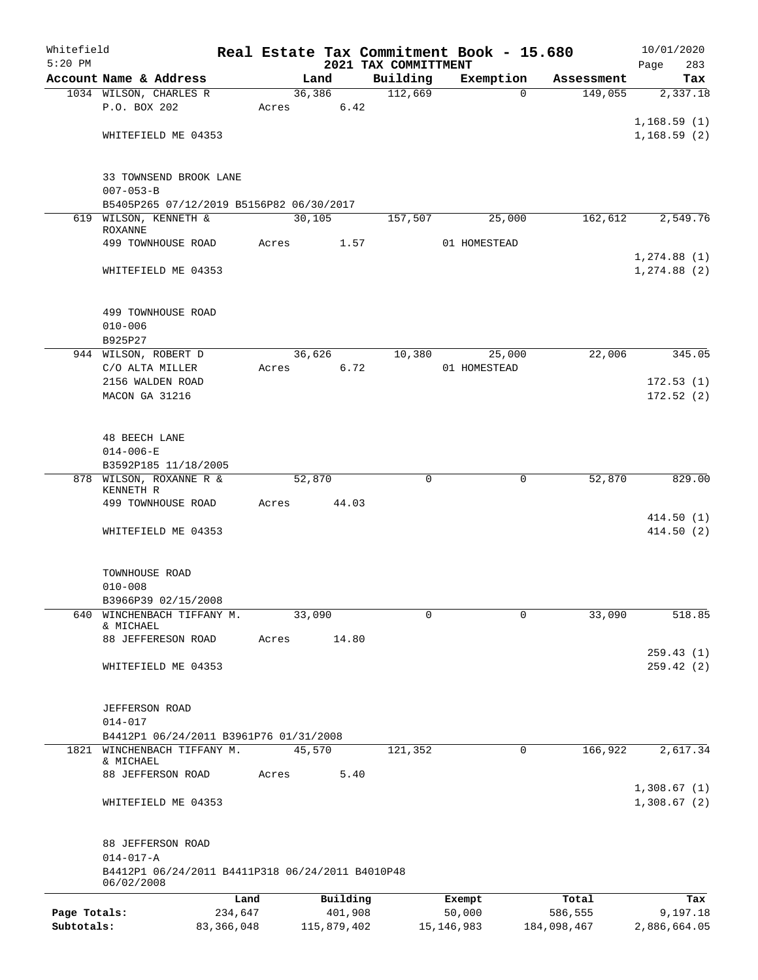| Whitefield   |                                                                     |              |       |        |             |                                  |   | Real Estate Tax Commitment Book - 15.680 |          |             | 10/01/2020             |
|--------------|---------------------------------------------------------------------|--------------|-------|--------|-------------|----------------------------------|---|------------------------------------------|----------|-------------|------------------------|
| $5:20$ PM    | Account Name & Address                                              |              |       | Land   |             | 2021 TAX COMMITTMENT<br>Building |   | Exemption                                |          | Assessment  | Page<br>283<br>Tax     |
|              | 1034 WILSON, CHARLES R                                              |              |       | 36,386 |             | 112,669                          |   |                                          | $\Omega$ | 149,055     | 2,337.18               |
|              | P.O. BOX 202                                                        |              | Acres |        | 6.42        |                                  |   |                                          |          |             |                        |
|              |                                                                     |              |       |        |             |                                  |   |                                          |          |             | 1,168.59(1)            |
|              | WHITEFIELD ME 04353                                                 |              |       |        |             |                                  |   |                                          |          |             | 1,168.59(2)            |
|              |                                                                     |              |       |        |             |                                  |   |                                          |          |             |                        |
|              | 33 TOWNSEND BROOK LANE                                              |              |       |        |             |                                  |   |                                          |          |             |                        |
|              | $007 - 053 - B$                                                     |              |       |        |             |                                  |   |                                          |          |             |                        |
|              | B5405P265 07/12/2019 B5156P82 06/30/2017<br>WILSON, KENNETH &       |              |       | 30,105 |             |                                  |   | 25,000                                   |          | 162,612     |                        |
| 619          | <b>ROXANNE</b>                                                      |              |       |        |             | 157,507                          |   |                                          |          |             | 2,549.76               |
|              | 499 TOWNHOUSE ROAD                                                  |              | Acres |        | 1.57        |                                  |   | 01 HOMESTEAD                             |          |             |                        |
|              |                                                                     |              |       |        |             |                                  |   |                                          |          |             | 1, 274.88(1)           |
|              | WHITEFIELD ME 04353                                                 |              |       |        |             |                                  |   |                                          |          |             | 1, 274.88 (2)          |
|              |                                                                     |              |       |        |             |                                  |   |                                          |          |             |                        |
|              | 499 TOWNHOUSE ROAD                                                  |              |       |        |             |                                  |   |                                          |          |             |                        |
|              | $010 - 006$                                                         |              |       |        |             |                                  |   |                                          |          |             |                        |
|              | B925P27                                                             |              |       |        |             |                                  |   |                                          |          |             |                        |
|              | 944 WILSON, ROBERT D                                                |              |       | 36,626 |             | 10,380                           |   | 25,000                                   |          | 22,006      | 345.05                 |
|              | C/O ALTA MILLER                                                     |              | Acres |        | 6.72        |                                  |   | 01 HOMESTEAD                             |          |             |                        |
|              | 2156 WALDEN ROAD<br>MACON GA 31216                                  |              |       |        |             |                                  |   |                                          |          |             | 172.53(1)<br>172.52(2) |
|              |                                                                     |              |       |        |             |                                  |   |                                          |          |             |                        |
|              |                                                                     |              |       |        |             |                                  |   |                                          |          |             |                        |
|              | <b>48 BEECH LANE</b>                                                |              |       |        |             |                                  |   |                                          |          |             |                        |
|              | $014 - 006 - E$                                                     |              |       |        |             |                                  |   |                                          |          |             |                        |
|              | B3592P185 11/18/2005<br>WILSON, ROXANNE R &                         |              |       | 52,870 |             |                                  | 0 |                                          | 0        | 52,870      | 829.00                 |
| 878          | KENNETH R                                                           |              |       |        |             |                                  |   |                                          |          |             |                        |
|              | 499 TOWNHOUSE ROAD                                                  |              | Acres |        | 44.03       |                                  |   |                                          |          |             |                        |
|              |                                                                     |              |       |        |             |                                  |   |                                          |          |             | 414.50(1)              |
|              | WHITEFIELD ME 04353                                                 |              |       |        |             |                                  |   |                                          |          |             | 414.50(2)              |
|              |                                                                     |              |       |        |             |                                  |   |                                          |          |             |                        |
|              | TOWNHOUSE ROAD                                                      |              |       |        |             |                                  |   |                                          |          |             |                        |
|              | $010 - 008$                                                         |              |       |        |             |                                  |   |                                          |          |             |                        |
|              | B3966P39 02/15/2008                                                 |              |       |        |             |                                  |   |                                          |          |             |                        |
| 640          | WINCHENBACH TIFFANY M.                                              |              |       | 33,090 |             |                                  | 0 |                                          | 0        | 33,090      | 518.85                 |
|              | & MICHAEL<br>88 JEFFERESON ROAD                                     |              | Acres |        | 14.80       |                                  |   |                                          |          |             |                        |
|              |                                                                     |              |       |        |             |                                  |   |                                          |          |             | 259.43(1)              |
|              | WHITEFIELD ME 04353                                                 |              |       |        |             |                                  |   |                                          |          |             | 259.42(2)              |
|              |                                                                     |              |       |        |             |                                  |   |                                          |          |             |                        |
|              | JEFFERSON ROAD                                                      |              |       |        |             |                                  |   |                                          |          |             |                        |
|              | $014 - 017$                                                         |              |       |        |             |                                  |   |                                          |          |             |                        |
|              | B4412P1 06/24/2011 B3961P76 01/31/2008                              |              |       |        |             |                                  |   |                                          |          |             |                        |
| 1821         | WINCHENBACH TIFFANY M.                                              |              |       | 45,570 |             | 121,352                          |   |                                          | 0        | 166,922     | 2,617.34               |
|              | & MICHAEL                                                           |              |       |        |             |                                  |   |                                          |          |             |                        |
|              | 88 JEFFERSON ROAD                                                   |              | Acres |        | 5.40        |                                  |   |                                          |          |             | 1,308.67(1)            |
|              | WHITEFIELD ME 04353                                                 |              |       |        |             |                                  |   |                                          |          |             | 1,308.67(2)            |
|              |                                                                     |              |       |        |             |                                  |   |                                          |          |             |                        |
|              |                                                                     |              |       |        |             |                                  |   |                                          |          |             |                        |
|              | 88 JEFFERSON ROAD                                                   |              |       |        |             |                                  |   |                                          |          |             |                        |
|              | $014 - 017 - A$<br>B4412P1 06/24/2011 B4411P318 06/24/2011 B4010P48 |              |       |        |             |                                  |   |                                          |          |             |                        |
|              | 06/02/2008                                                          |              |       |        |             |                                  |   |                                          |          |             |                        |
|              |                                                                     | Land         |       |        | Building    |                                  |   | Exempt                                   |          | Total       | Tax                    |
| Page Totals: |                                                                     | 234,647      |       |        | 401,908     |                                  |   | 50,000                                   |          | 586,555     | 9,197.18               |
| Subtotals:   |                                                                     | 83, 366, 048 |       |        | 115,879,402 |                                  |   | 15, 146, 983                             |          | 184,098,467 | 2,886,664.05           |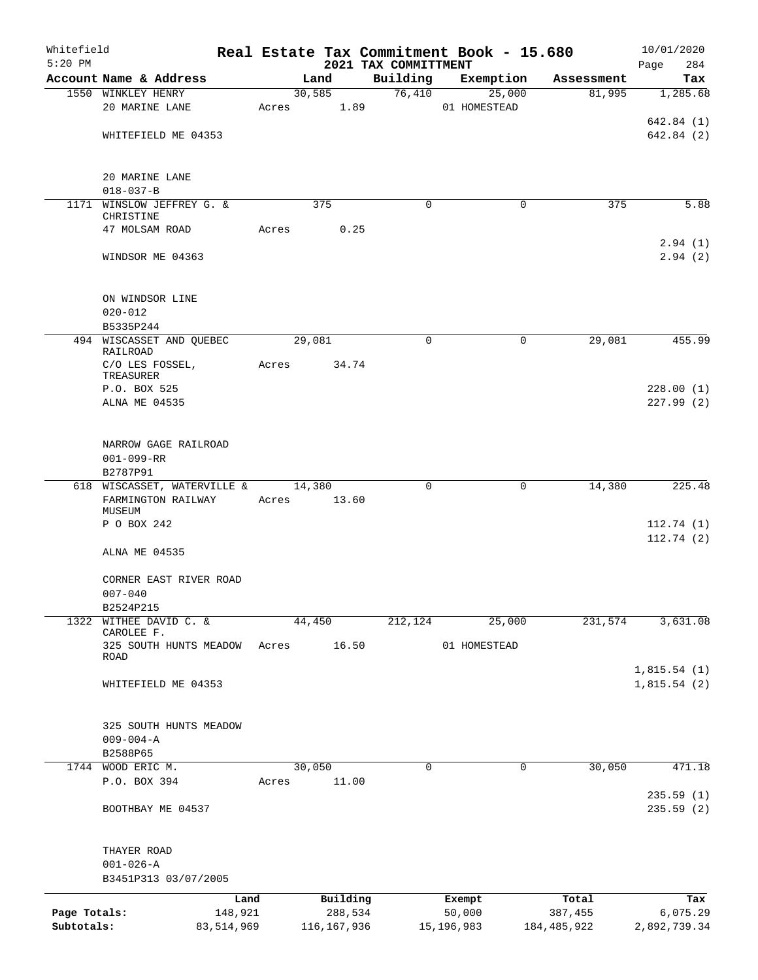| Whitefield   |                                          |              |       |             |      |                                  | Real Estate Tax Commitment Book - 15.680 |             | 10/01/2020             |
|--------------|------------------------------------------|--------------|-------|-------------|------|----------------------------------|------------------------------------------|-------------|------------------------|
| $5:20$ PM    | Account Name & Address                   |              |       | Land        |      | 2021 TAX COMMITTMENT<br>Building | Exemption                                | Assessment  | Page<br>284<br>Tax     |
|              | 1550 WINKLEY HENRY                       |              |       | 30,585      |      | 76,410                           | 25,000                                   | 81,995      | 1,285.68               |
|              | 20 MARINE LANE                           |              |       | Acres 1.89  |      |                                  | 01 HOMESTEAD                             |             |                        |
|              |                                          |              |       |             |      |                                  |                                          |             | 642.84 (1)             |
|              | WHITEFIELD ME 04353                      |              |       |             |      |                                  |                                          |             | 642.84 (2)             |
|              | 20 MARINE LANE<br>$018 - 037 - B$        |              |       |             |      |                                  |                                          |             |                        |
|              | 1171 WINSLOW JEFFREY G. &                |              |       | 375         |      | $\Omega$                         | $\Omega$                                 | 375         | 5.88                   |
|              | CHRISTINE                                |              |       |             |      |                                  |                                          |             |                        |
|              | 47 MOLSAM ROAD                           |              | Acres |             | 0.25 |                                  |                                          |             |                        |
|              | WINDSOR ME 04363                         |              |       |             |      |                                  |                                          |             | 2.94(1)<br>2.94(2)     |
|              | ON WINDSOR LINE<br>$020 - 012$           |              |       |             |      |                                  |                                          |             |                        |
|              | B5335P244                                |              |       |             |      |                                  |                                          |             |                        |
|              | 494 WISCASSET AND OUEBEC                 |              |       | 29,081      |      | 0                                | $\mathbf 0$                              | 29,081      | 455.99                 |
|              | RAILROAD<br>C/O LES FOSSEL,<br>TREASURER |              | Acres | 34.74       |      |                                  |                                          |             |                        |
|              | P.O. BOX 525                             |              |       |             |      |                                  |                                          |             | 228.00(1)              |
|              | ALNA ME 04535                            |              |       |             |      |                                  |                                          |             | 227.99(2)              |
|              | NARROW GAGE RAILROAD<br>$001 - 099 - RR$ |              |       |             |      |                                  |                                          |             |                        |
|              | B2787P91                                 |              |       |             |      |                                  |                                          |             |                        |
|              | 618 WISCASSET, WATERVILLE &              |              |       | 14,380      |      | $\Omega$                         | 0                                        | 14,380      | 225.48                 |
|              | FARMINGTON RAILWAY                       |              | Acres | 13.60       |      |                                  |                                          |             |                        |
|              | MUSEUM<br>P O BOX 242                    |              |       |             |      |                                  |                                          |             | 112.74(1)              |
|              |                                          |              |       |             |      |                                  |                                          |             | 112.74(2)              |
|              | ALNA ME 04535                            |              |       |             |      |                                  |                                          |             |                        |
|              | CORNER EAST RIVER ROAD                   |              |       |             |      |                                  |                                          |             |                        |
|              | $007 - 040$                              |              |       |             |      |                                  |                                          |             |                        |
| 1322         | B2524P215<br>WITHEE DAVID C. &           |              |       |             |      | 212, 124                         |                                          | 231,574     | 3,631.08               |
|              | CAROLEE F.                               |              |       | 44,450      |      |                                  | 25,000                                   |             |                        |
|              | 325 SOUTH HUNTS MEADOW                   |              | Acres | 16.50       |      |                                  | 01 HOMESTEAD                             |             |                        |
|              | <b>ROAD</b>                              |              |       |             |      |                                  |                                          |             | 1,815.54(1)            |
|              | WHITEFIELD ME 04353                      |              |       |             |      |                                  |                                          |             | 1,815.54(2)            |
|              | 325 SOUTH HUNTS MEADOW                   |              |       |             |      |                                  |                                          |             |                        |
|              | $009 - 004 - A$                          |              |       |             |      |                                  |                                          |             |                        |
|              | B2588P65                                 |              |       |             |      |                                  |                                          |             |                        |
|              | 1744 WOOD ERIC M.                        |              |       | 30,050      |      | 0                                | 0                                        | 30,050      | 471.18                 |
|              | P.O. BOX 394                             |              | Acres | 11.00       |      |                                  |                                          |             |                        |
|              | BOOTHBAY ME 04537                        |              |       |             |      |                                  |                                          |             | 235.59(1)<br>235.59(2) |
|              | THAYER ROAD                              |              |       |             |      |                                  |                                          |             |                        |
|              | $001 - 026 - A$                          |              |       |             |      |                                  |                                          |             |                        |
|              | B3451P313 03/07/2005                     |              |       |             |      |                                  |                                          |             |                        |
|              |                                          | Land         |       | Building    |      |                                  | Exempt                                   | Total       | Tax                    |
| Page Totals: |                                          | 148,921      |       | 288,534     |      |                                  | 50,000                                   | 387,455     | 6,075.29               |
| Subtotals:   |                                          | 83, 514, 969 |       | 116,167,936 |      |                                  | 15, 196, 983                             | 184,485,922 | 2,892,739.34           |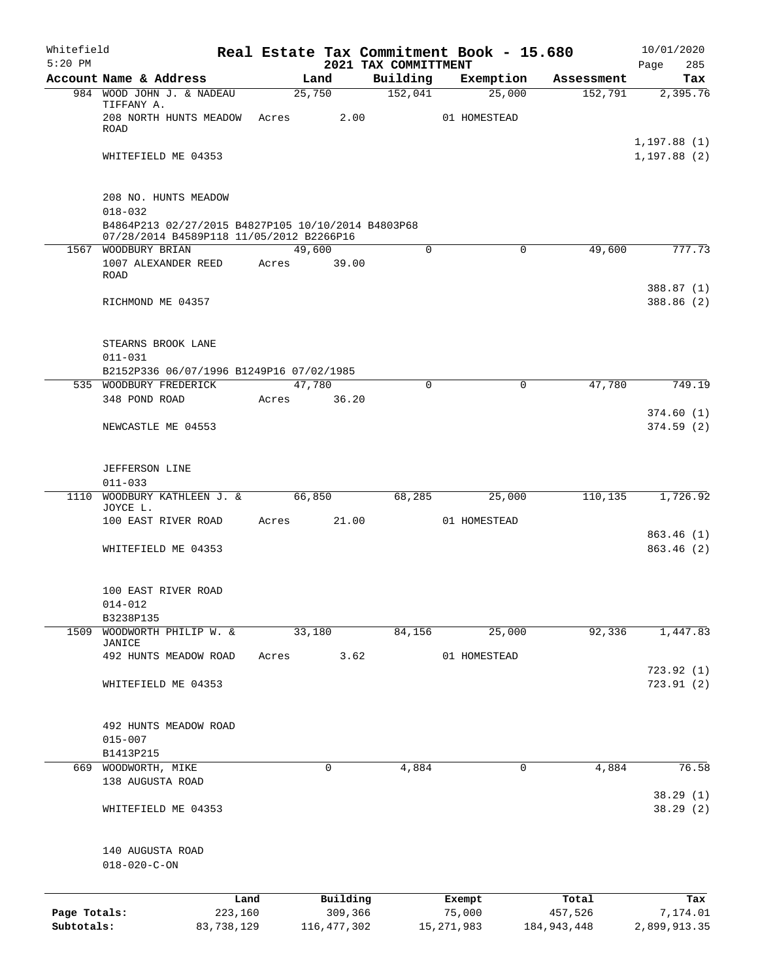| Whitefield   |                                                                                                |         |       |                |      |                      | Real Estate Tax Commitment Book - 15.680 |                       | 10/01/2020                   |
|--------------|------------------------------------------------------------------------------------------------|---------|-------|----------------|------|----------------------|------------------------------------------|-----------------------|------------------------------|
| $5:20$ PM    | Account Name & Address                                                                         |         |       |                |      | 2021 TAX COMMITTMENT |                                          |                       | 285<br>Page                  |
|              | 984 WOOD JOHN J. & NADEAU                                                                      |         |       | Land<br>25,750 |      | Building<br>152,041  | Exemption<br>25,000                      | Assessment<br>152,791 | Tax<br>2,395.76              |
|              | TIFFANY A.                                                                                     |         |       |                |      |                      |                                          |                       |                              |
|              | 208 NORTH HUNTS MEADOW                                                                         |         | Acres |                | 2.00 |                      | 01 HOMESTEAD                             |                       |                              |
|              | <b>ROAD</b>                                                                                    |         |       |                |      |                      |                                          |                       |                              |
|              | WHITEFIELD ME 04353                                                                            |         |       |                |      |                      |                                          |                       | 1, 197.88(1)<br>1, 197.88(2) |
|              |                                                                                                |         |       |                |      |                      |                                          |                       |                              |
|              |                                                                                                |         |       |                |      |                      |                                          |                       |                              |
|              | 208 NO. HUNTS MEADOW                                                                           |         |       |                |      |                      |                                          |                       |                              |
|              | $018 - 032$                                                                                    |         |       |                |      |                      |                                          |                       |                              |
|              | B4864P213 02/27/2015 B4827P105 10/10/2014 B4803P68<br>07/28/2014 B4589P118 11/05/2012 B2266P16 |         |       |                |      |                      |                                          |                       |                              |
| 1567         | WOODBURY BRIAN                                                                                 |         |       | 49,600         |      | $\Omega$             | $\mathbf 0$                              | 49,600                | 777.73                       |
|              | 1007 ALEXANDER REED                                                                            |         | Acres | 39.00          |      |                      |                                          |                       |                              |
|              | <b>ROAD</b>                                                                                    |         |       |                |      |                      |                                          |                       |                              |
|              |                                                                                                |         |       |                |      |                      |                                          |                       | 388.87 (1)                   |
|              | RICHMOND ME 04357                                                                              |         |       |                |      |                      |                                          |                       | 388.86 (2)                   |
|              |                                                                                                |         |       |                |      |                      |                                          |                       |                              |
|              | STEARNS BROOK LANE                                                                             |         |       |                |      |                      |                                          |                       |                              |
|              | $011 - 031$                                                                                    |         |       |                |      |                      |                                          |                       |                              |
|              | B2152P336 06/07/1996 B1249P16 07/02/1985                                                       |         |       |                |      |                      |                                          |                       |                              |
|              | 535 WOODBURY FREDERICK                                                                         |         |       | 47,780         |      | $\mathbf 0$          | 0                                        | 47,780                | 749.19                       |
|              | 348 POND ROAD                                                                                  |         | Acres | 36.20          |      |                      |                                          |                       |                              |
|              | NEWCASTLE ME 04553                                                                             |         |       |                |      |                      |                                          |                       | 374.60(1)<br>374.59(2)       |
|              |                                                                                                |         |       |                |      |                      |                                          |                       |                              |
|              |                                                                                                |         |       |                |      |                      |                                          |                       |                              |
|              | JEFFERSON LINE                                                                                 |         |       |                |      |                      |                                          |                       |                              |
|              | $011 - 033$                                                                                    |         |       |                |      |                      |                                          |                       |                              |
|              | 1110 WOODBURY KATHLEEN J. &<br>JOYCE L.                                                        |         |       | 66,850         |      | 68,285               | 25,000                                   | 110,135               | 1,726.92                     |
|              | 100 EAST RIVER ROAD                                                                            |         | Acres | 21.00          |      |                      | 01 HOMESTEAD                             |                       |                              |
|              |                                                                                                |         |       |                |      |                      |                                          |                       | 863.46 (1)                   |
|              | WHITEFIELD ME 04353                                                                            |         |       |                |      |                      |                                          |                       | 863.46(2)                    |
|              |                                                                                                |         |       |                |      |                      |                                          |                       |                              |
|              |                                                                                                |         |       |                |      |                      |                                          |                       |                              |
|              | 100 EAST RIVER ROAD                                                                            |         |       |                |      |                      |                                          |                       |                              |
|              | 014-012<br>B3238P135                                                                           |         |       |                |      |                      |                                          |                       |                              |
| 1509         | WOODWORTH PHILIP W. &                                                                          |         |       | 33,180         |      | 84,156               | 25,000                                   | 92,336                | 1,447.83                     |
|              | JANICE                                                                                         |         |       |                |      |                      |                                          |                       |                              |
|              | 492 HUNTS MEADOW ROAD                                                                          |         | Acres |                | 3.62 |                      | 01 HOMESTEAD                             |                       |                              |
|              | WHITEFIELD ME 04353                                                                            |         |       |                |      |                      |                                          |                       | 723.92 (1)<br>723.91(2)      |
|              |                                                                                                |         |       |                |      |                      |                                          |                       |                              |
|              |                                                                                                |         |       |                |      |                      |                                          |                       |                              |
|              | 492 HUNTS MEADOW ROAD                                                                          |         |       |                |      |                      |                                          |                       |                              |
|              | $015 - 007$                                                                                    |         |       |                |      |                      |                                          |                       |                              |
|              | B1413P215                                                                                      |         |       |                |      |                      |                                          |                       |                              |
|              | 669 WOODWORTH, MIKE<br>138 AUGUSTA ROAD                                                        |         |       | 0              |      | 4,884                | 0                                        | 4,884                 | 76.58                        |
|              |                                                                                                |         |       |                |      |                      |                                          |                       | 38.29(1)                     |
|              | WHITEFIELD ME 04353                                                                            |         |       |                |      |                      |                                          |                       | 38.29(2)                     |
|              |                                                                                                |         |       |                |      |                      |                                          |                       |                              |
|              |                                                                                                |         |       |                |      |                      |                                          |                       |                              |
|              | 140 AUGUSTA ROAD                                                                               |         |       |                |      |                      |                                          |                       |                              |
|              | $018 - 020 - C - ON$                                                                           |         |       |                |      |                      |                                          |                       |                              |
|              |                                                                                                |         |       |                |      |                      |                                          |                       |                              |
|              |                                                                                                | Land    |       | Building       |      |                      | Exempt                                   | Total                 | Tax                          |
| Page Totals: |                                                                                                | 223,160 |       | 309,366        |      |                      | 75,000                                   | 457,526               | 7,174.01                     |

**Subtotals:** 83,738,129 116,477,302 15,271,983 184,943,448 2,899,913.35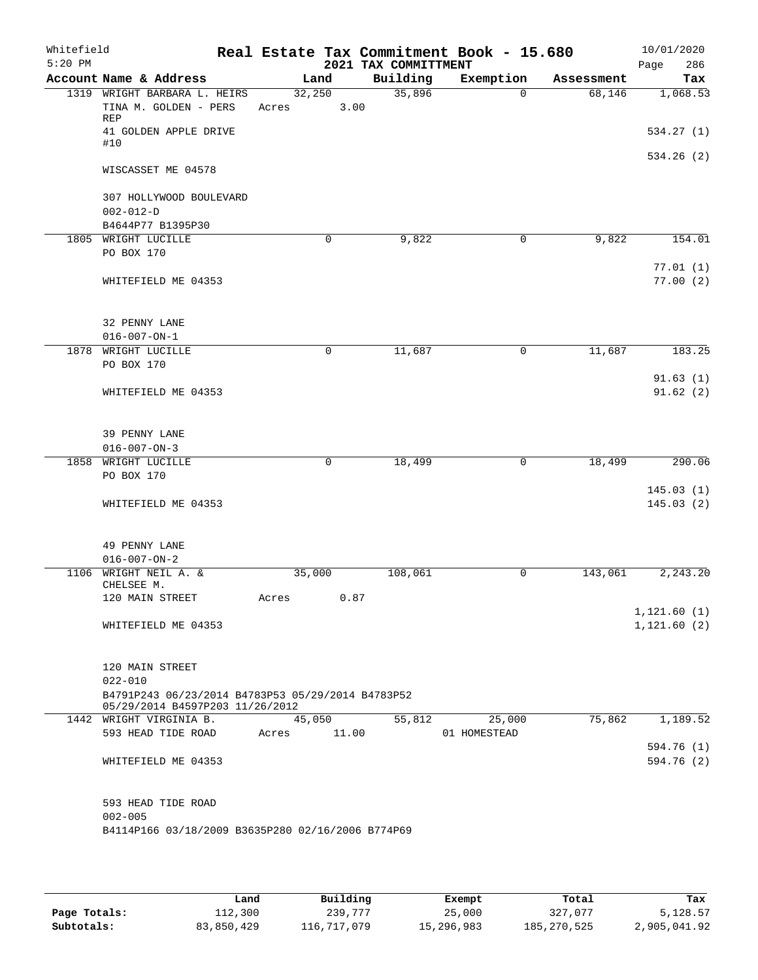| Whitefield<br>$5:20$ PM |                                                                                                     |            |             | 2021 TAX COMMITTMENT | Real Estate Tax Commitment Book - 15.680 |            | 10/01/2020<br>286<br>Page    |
|-------------------------|-----------------------------------------------------------------------------------------------------|------------|-------------|----------------------|------------------------------------------|------------|------------------------------|
|                         | Account Name & Address                                                                              | Land       |             | Building             | Exemption                                | Assessment | Tax                          |
|                         | 1319 WRIGHT BARBARA L. HEIRS                                                                        | 32,250     |             | 35,896               | $\Omega$                                 | 68,146     | 1,068.53                     |
|                         | TINA M. GOLDEN - PERS<br><b>REP</b>                                                                 | Acres      | 3.00        |                      |                                          |            |                              |
|                         | 41 GOLDEN APPLE DRIVE<br>#10                                                                        |            |             |                      |                                          |            | 534.27(1)                    |
|                         | WISCASSET ME 04578                                                                                  |            |             |                      |                                          |            | 534.26(2)                    |
|                         | 307 HOLLYWOOD BOULEVARD<br>$002 - 012 - D$                                                          |            |             |                      |                                          |            |                              |
|                         | B4644P77 B1395P30                                                                                   |            |             |                      |                                          |            |                              |
|                         | 1805 WRIGHT LUCILLE                                                                                 |            | $\mathbf 0$ | 9,822                | 0                                        | 9,822      | 154.01                       |
|                         | PO BOX 170                                                                                          |            |             |                      |                                          |            |                              |
|                         | WHITEFIELD ME 04353                                                                                 |            |             |                      |                                          |            | 77.01(1)<br>77.00(2)         |
|                         | 32 PENNY LANE<br>$016 - 007 - ON - 1$                                                               |            |             |                      |                                          |            |                              |
|                         | 1878 WRIGHT LUCILLE                                                                                 |            | $\mathbf 0$ | 11,687               | 0                                        | 11,687     | 183.25                       |
|                         | PO BOX 170                                                                                          |            |             |                      |                                          |            |                              |
|                         | WHITEFIELD ME 04353                                                                                 |            |             |                      |                                          |            | 91.63(1)<br>91.62(2)         |
|                         | 39 PENNY LANE                                                                                       |            |             |                      |                                          |            |                              |
|                         | $016 - 007 - ON - 3$                                                                                |            |             |                      |                                          |            |                              |
| 1858                    | WRIGHT LUCILLE                                                                                      |            | $\mathbf 0$ | 18,499               | $\mathbf 0$                              | 18,499     | 290.06                       |
|                         | PO BOX 170                                                                                          |            |             |                      |                                          |            |                              |
|                         | WHITEFIELD ME 04353                                                                                 |            |             |                      |                                          |            | 145.03(1)<br>145.03(2)       |
|                         | 49 PENNY LANE<br>$016 - 007 - ON - 2$                                                               |            |             |                      |                                          |            |                              |
| 1106                    | WRIGHT NEIL A. &<br>CHELSEE M.                                                                      | 35,000     |             | 108,061              | 0                                        | 143,061    | 2, 243.20                    |
|                         | 120 MAIN STREET                                                                                     | Acres 0.87 |             |                      |                                          |            |                              |
|                         | WHITEFIELD ME 04353                                                                                 |            |             |                      |                                          |            | 1, 121.60(1)<br>1, 121.60(2) |
|                         | 120 MAIN STREET                                                                                     |            |             |                      |                                          |            |                              |
|                         | $022 - 010$<br>B4791P243 06/23/2014 B4783P53 05/29/2014 B4783P52<br>05/29/2014 B4597P203 11/26/2012 |            |             |                      |                                          |            |                              |
|                         | 1442 WRIGHT VIRGINIA B.                                                                             |            | 45,050      | 55,812               | 25,000                                   | 75,862     | 1,189.52                     |
|                         | 593 HEAD TIDE ROAD                                                                                  | Acres      | 11.00       |                      | 01 HOMESTEAD                             |            |                              |
|                         | WHITEFIELD ME 04353                                                                                 |            |             |                      |                                          |            | 594.76 (1)<br>594.76 (2)     |
|                         | 593 HEAD TIDE ROAD<br>$002 - 005$                                                                   |            |             |                      |                                          |            |                              |
|                         | B4114P166 03/18/2009 B3635P280 02/16/2006 B774P69                                                   |            |             |                      |                                          |            |                              |
|                         |                                                                                                     |            |             |                      |                                          |            |                              |

|              | Land       | Building    | Exempt     | Total         | Tax          |
|--------------|------------|-------------|------------|---------------|--------------|
| Page Totals: | 112,300    | 239,777     | 25,000     | 327,077       | 5,128.57     |
| Subtotals:   | 83,850,429 | 116,717,079 | 15,296,983 | 185, 270, 525 | 2,905,041.92 |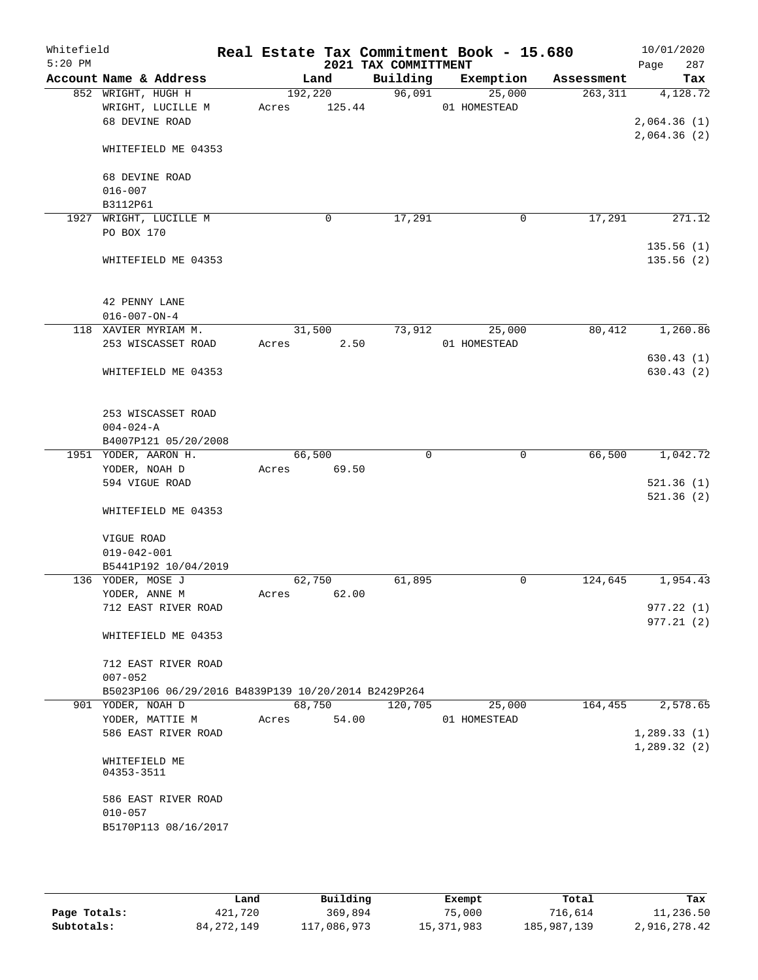| Whitefield<br>$5:20$ PM |                                                                          |       |         |        | 2021 TAX COMMITTMENT | Real Estate Tax Commitment Book - 15.680 |              | 10/01/2020<br>287<br>Page |
|-------------------------|--------------------------------------------------------------------------|-------|---------|--------|----------------------|------------------------------------------|--------------|---------------------------|
|                         | Account Name & Address                                                   |       | Land    |        | Building             | Exemption                                | Assessment   | Tax                       |
|                         | 852 WRIGHT, HUGH H                                                       |       | 192,220 |        | 96,091               | 25,000                                   | 263,311      | 4,128.72                  |
|                         | WRIGHT, LUCILLE M                                                        | Acres |         | 125.44 |                      | 01 HOMESTEAD                             |              |                           |
|                         | 68 DEVINE ROAD                                                           |       |         |        |                      |                                          |              | 2,064.36(1)               |
|                         |                                                                          |       |         |        |                      |                                          |              | 2,064.36(2)               |
|                         | WHITEFIELD ME 04353                                                      |       |         |        |                      |                                          |              |                           |
|                         |                                                                          |       |         |        |                      |                                          |              |                           |
|                         | 68 DEVINE ROAD                                                           |       |         |        |                      |                                          |              |                           |
|                         | $016 - 007$                                                              |       |         |        |                      |                                          |              |                           |
|                         | B3112P61                                                                 |       |         |        |                      |                                          |              |                           |
|                         | 1927 WRIGHT, LUCILLE M                                                   |       | 0       |        | 17,291               |                                          | 17,291<br>0  | 271.12                    |
|                         | PO BOX 170                                                               |       |         |        |                      |                                          |              |                           |
|                         |                                                                          |       |         |        |                      |                                          |              | 135.56(1)                 |
|                         | WHITEFIELD ME 04353                                                      |       |         |        |                      |                                          |              | 135.56(2)                 |
|                         |                                                                          |       |         |        |                      |                                          |              |                           |
|                         |                                                                          |       |         |        |                      |                                          |              |                           |
|                         | 42 PENNY LANE                                                            |       |         |        |                      |                                          |              |                           |
|                         | $016 - 007 - ON - 4$                                                     |       |         |        |                      |                                          |              |                           |
|                         | 118 XAVIER MYRIAM M.                                                     |       | 31,500  |        | 73,912               | 25,000                                   | 80,412       | 1,260.86                  |
|                         | 253 WISCASSET ROAD                                                       | Acres |         | 2.50   |                      | 01 HOMESTEAD                             |              |                           |
|                         |                                                                          |       |         |        |                      |                                          |              | 630.43(1)                 |
|                         | WHITEFIELD ME 04353                                                      |       |         |        |                      |                                          |              | 630.43(2)                 |
|                         |                                                                          |       |         |        |                      |                                          |              |                           |
|                         |                                                                          |       |         |        |                      |                                          |              |                           |
|                         | 253 WISCASSET ROAD                                                       |       |         |        |                      |                                          |              |                           |
|                         | $004 - 024 - A$                                                          |       |         |        |                      |                                          |              |                           |
|                         | B4007P121 05/20/2008                                                     |       |         |        |                      |                                          |              |                           |
|                         | 1951 YODER, AARON H.                                                     |       | 66,500  |        | $\mathbf 0$          |                                          | 66,500<br>0  | 1,042.72                  |
|                         | YODER, NOAH D                                                            | Acres | 69.50   |        |                      |                                          |              |                           |
|                         | 594 VIGUE ROAD                                                           |       |         |        |                      |                                          |              | 521.36(1)                 |
|                         |                                                                          |       |         |        |                      |                                          |              | 521.36(2)                 |
|                         | WHITEFIELD ME 04353                                                      |       |         |        |                      |                                          |              |                           |
|                         |                                                                          |       |         |        |                      |                                          |              |                           |
|                         | VIGUE ROAD                                                               |       |         |        |                      |                                          |              |                           |
|                         | $019 - 042 - 001$                                                        |       |         |        |                      |                                          |              |                           |
|                         | B5441P192 10/04/2019                                                     |       |         |        |                      |                                          |              |                           |
|                         | 136 YODER, MOSE J                                                        |       | 62,750  |        | 61,895               |                                          | 0<br>124,645 | 1,954.43                  |
|                         | YODER, ANNE M                                                            | Acres |         | 62.00  |                      |                                          |              |                           |
|                         | 712 EAST RIVER ROAD                                                      |       |         |        |                      |                                          |              | 977.22 (1)                |
|                         |                                                                          |       |         |        |                      |                                          |              | 977.21 (2)                |
|                         | WHITEFIELD ME 04353                                                      |       |         |        |                      |                                          |              |                           |
|                         |                                                                          |       |         |        |                      |                                          |              |                           |
|                         | 712 EAST RIVER ROAD                                                      |       |         |        |                      |                                          |              |                           |
|                         | $007 - 052$                                                              |       |         |        |                      |                                          |              |                           |
|                         | B5023P106 06/29/2016 B4839P139 10/20/2014 B2429P264<br>901 YODER, NOAH D |       | 68,750  |        | 120,705              | 25,000                                   | 164,455      | 2,578.65                  |
|                         | YODER, MATTIE M                                                          | Acres |         | 54.00  |                      | 01 HOMESTEAD                             |              |                           |
|                         | 586 EAST RIVER ROAD                                                      |       |         |        |                      |                                          |              | 1, 289.33(1)              |
|                         |                                                                          |       |         |        |                      |                                          |              | 1,289.32(2)               |
|                         |                                                                          |       |         |        |                      |                                          |              |                           |
|                         | WHITEFIELD ME<br>04353-3511                                              |       |         |        |                      |                                          |              |                           |
|                         |                                                                          |       |         |        |                      |                                          |              |                           |
|                         | 586 EAST RIVER ROAD                                                      |       |         |        |                      |                                          |              |                           |
|                         | $010 - 057$                                                              |       |         |        |                      |                                          |              |                           |
|                         | B5170P113 08/16/2017                                                     |       |         |        |                      |                                          |              |                           |
|                         |                                                                          |       |         |        |                      |                                          |              |                           |
|                         |                                                                          |       |         |        |                      |                                          |              |                           |

|              | Land         | Building    | Exempt       | Total       | Tax          |
|--------------|--------------|-------------|--------------|-------------|--------------|
| Page Totals: | 421,720      | 369,894     | 75,000       | 716,614     | 11,236.50    |
| Subtotals:   | 84, 272, 149 | 117,086,973 | 15, 371, 983 | 185,987,139 | 2,916,278.42 |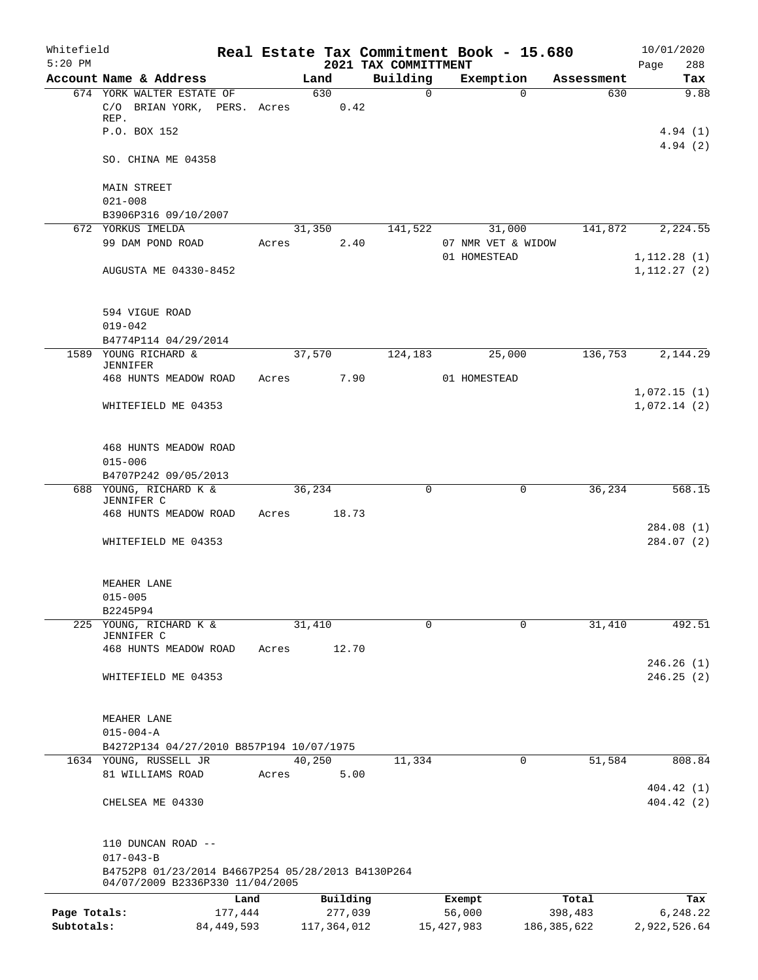| Whitefield<br>$5:20$ PM |                                                                                      |              |       |        |               | 2021 TAX COMMITTMENT | Real Estate Tax Commitment Book - 15.680 |               | 10/01/2020<br>288<br>Page    |
|-------------------------|--------------------------------------------------------------------------------------|--------------|-------|--------|---------------|----------------------|------------------------------------------|---------------|------------------------------|
|                         | Account Name & Address                                                               |              |       | Land   |               | Building             | Exemption                                | Assessment    | Tax                          |
|                         | 674 YORK WALTER ESTATE OF                                                            |              |       |        | 630           | $\Omega$             | $\Omega$                                 | 630           | 9.88                         |
|                         | C/O BRIAN YORK, PERS. Acres<br>REP.                                                  |              |       |        | 0.42          |                      |                                          |               |                              |
|                         | P.O. BOX 152                                                                         |              |       |        |               |                      |                                          |               | 4.94(1)<br>4.94(2)           |
|                         | SO. CHINA ME 04358                                                                   |              |       |        |               |                      |                                          |               |                              |
|                         | MAIN STREET<br>$021 - 008$                                                           |              |       |        |               |                      |                                          |               |                              |
|                         | B3906P316 09/10/2007                                                                 |              |       |        |               |                      |                                          |               |                              |
|                         | 672 YORKUS IMELDA                                                                    |              |       | 31,350 |               | 141,522              | 31,000                                   | 141,872       | 2,224.55                     |
|                         | 99 DAM POND ROAD                                                                     |              | Acres |        | 2.40          |                      | 07 NMR VET & WIDOW                       |               |                              |
|                         | AUGUSTA ME 04330-8452                                                                |              |       |        |               |                      | 01 HOMESTEAD                             |               | 1, 112.28(1)<br>1, 112.27(2) |
|                         | 594 VIGUE ROAD                                                                       |              |       |        |               |                      |                                          |               |                              |
|                         | $019 - 042$<br>B4774P114 04/29/2014                                                  |              |       |        |               |                      |                                          |               |                              |
|                         | 1589 YOUNG RICHARD &                                                                 |              |       | 37,570 |               | 124,183              | 25,000                                   | 136,753       | 2,144.29                     |
|                         | JENNIFER<br>468 HUNTS MEADOW ROAD                                                    |              | Acres |        | 7.90          |                      | 01 HOMESTEAD                             |               |                              |
|                         |                                                                                      |              |       |        |               |                      |                                          |               | 1,072.15(1)                  |
|                         | WHITEFIELD ME 04353                                                                  |              |       |        |               |                      |                                          |               | 1,072.14(2)                  |
|                         | 468 HUNTS MEADOW ROAD                                                                |              |       |        |               |                      |                                          |               |                              |
|                         | $015 - 006$                                                                          |              |       |        |               |                      |                                          |               |                              |
|                         | B4707P242 09/05/2013<br>688 YOUNG, RICHARD K &                                       |              |       | 36,234 |               | 0                    | 0                                        | 36,234        | 568.15                       |
|                         | JENNIFER C                                                                           |              |       |        |               |                      |                                          |               |                              |
|                         | 468 HUNTS MEADOW ROAD                                                                |              | Acres |        | 18.73         |                      |                                          |               |                              |
|                         | WHITEFIELD ME 04353                                                                  |              |       |        |               |                      |                                          |               | 284.08(1)<br>284.07 (2)      |
|                         | MEAHER LANE                                                                          |              |       |        |               |                      |                                          |               |                              |
|                         | $015 - 005$                                                                          |              |       |        |               |                      |                                          |               |                              |
|                         | B2245P94                                                                             |              |       |        |               |                      |                                          |               |                              |
|                         | 225 YOUNG, RICHARD K &<br>JENNIFER C                                                 |              |       | 31,410 |               | $\Omega$             | $\Omega$                                 | 31,410        | 492.51                       |
|                         | 468 HUNTS MEADOW ROAD                                                                |              | Acres |        | 12.70         |                      |                                          |               |                              |
|                         |                                                                                      |              |       |        |               |                      |                                          |               | 246.26(1)                    |
|                         | WHITEFIELD ME 04353                                                                  |              |       |        |               |                      |                                          |               | 246.25(2)                    |
|                         | MEAHER LANE                                                                          |              |       |        |               |                      |                                          |               |                              |
|                         | $015 - 004 - A$                                                                      |              |       |        |               |                      |                                          |               |                              |
|                         | B4272P134 04/27/2010 B857P194 10/07/1975<br>1634 YOUNG, RUSSELL JR                   |              |       | 40,250 |               | 11,334               | 0                                        | 51,584        | 808.84                       |
|                         | 81 WILLIAMS ROAD                                                                     |              | Acres |        | 5.00          |                      |                                          |               |                              |
|                         |                                                                                      |              |       |        |               |                      |                                          |               | 404.42(1)                    |
|                         | CHELSEA ME 04330                                                                     |              |       |        |               |                      |                                          |               | 404.42(2)                    |
|                         | 110 DUNCAN ROAD --<br>$017 - 043 - B$                                                |              |       |        |               |                      |                                          |               |                              |
|                         | B4752P8 01/23/2014 B4667P254 05/28/2013 B4130P264<br>04/07/2009 B2336P330 11/04/2005 |              |       |        |               |                      |                                          |               |                              |
|                         |                                                                                      | Land         |       |        | Building      |                      | Exempt                                   | Total         | Tax                          |
| Page Totals:            |                                                                                      | 177,444      |       |        | 277,039       |                      | 56,000                                   | 398,483       | 6,248.22                     |
| Subtotals:              |                                                                                      | 84, 449, 593 |       |        | 117, 364, 012 |                      | 15, 427, 983                             | 186, 385, 622 | 2,922,526.64                 |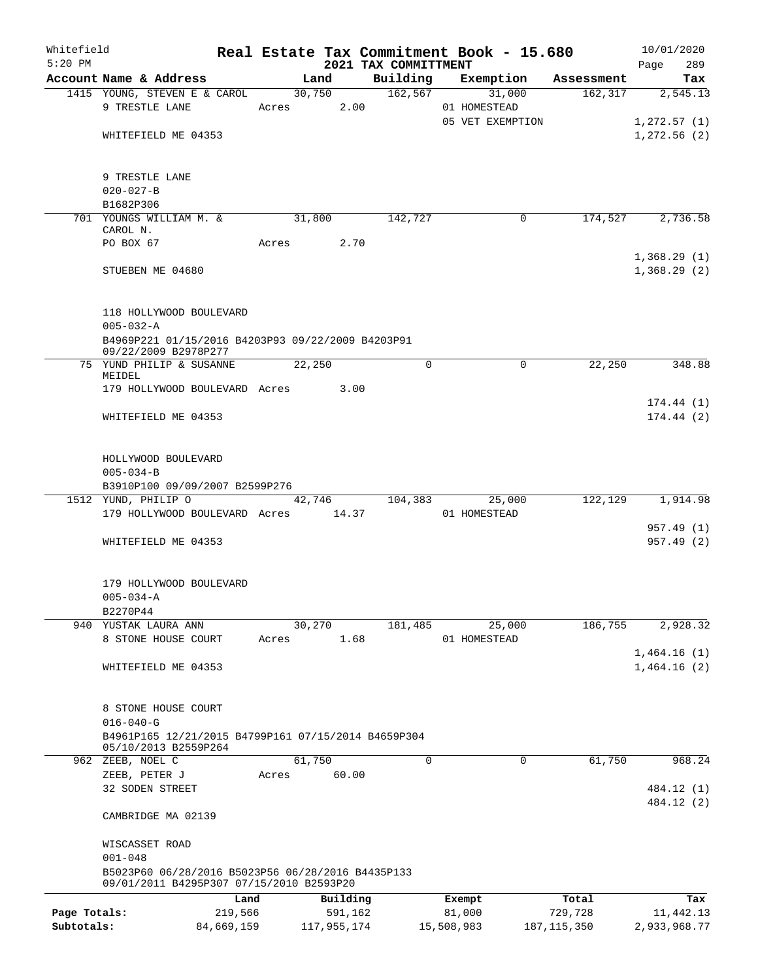| Whitefield<br>$5:20$ PM |                                                                                               |            |       |             |          | 2021 TAX COMMITTMENT | Real Estate Tax Commitment Book - 15.680 |                       | 10/01/2020<br>289<br>Page |  |
|-------------------------|-----------------------------------------------------------------------------------------------|------------|-------|-------------|----------|----------------------|------------------------------------------|-----------------------|---------------------------|--|
|                         | Account Name & Address                                                                        |            |       | Land        |          | Building             | Exemption                                | Assessment            | Tax                       |  |
|                         | 1415 YOUNG, STEVEN E & CAROL                                                                  |            |       | 30,750      |          | 162,567              | 31,000                                   | 162, 317              | 2,545.13                  |  |
|                         | 9 TRESTLE LANE                                                                                |            |       | Acres       | 2.00     |                      | 01 HOMESTEAD                             |                       |                           |  |
|                         |                                                                                               |            |       |             |          |                      | 05 VET EXEMPTION                         |                       | 1,272.57(1)               |  |
|                         | WHITEFIELD ME 04353                                                                           |            |       |             |          |                      |                                          |                       | 1,272.56(2)               |  |
|                         |                                                                                               |            |       |             |          |                      |                                          |                       |                           |  |
|                         | 9 TRESTLE LANE                                                                                |            |       |             |          |                      |                                          |                       |                           |  |
|                         |                                                                                               |            |       |             |          |                      |                                          |                       |                           |  |
|                         | $020 - 027 - B$<br>B1682P306                                                                  |            |       |             |          |                      |                                          |                       |                           |  |
|                         |                                                                                               |            |       |             |          |                      |                                          |                       |                           |  |
|                         | 701 YOUNGS WILLIAM M. &<br>CAROL N.                                                           |            |       | 31,800      |          | 142,727              |                                          | 174,527<br>0          | 2,736.58                  |  |
|                         | PO BOX 67                                                                                     |            |       | Acres       | 2.70     |                      |                                          |                       |                           |  |
|                         |                                                                                               |            |       |             |          |                      |                                          |                       | 1,368.29(1)               |  |
|                         | STUEBEN ME 04680                                                                              |            |       |             |          |                      |                                          |                       | 1,368.29(2)               |  |
|                         |                                                                                               |            |       |             |          |                      |                                          |                       |                           |  |
|                         |                                                                                               |            |       |             |          |                      |                                          |                       |                           |  |
|                         | 118 HOLLYWOOD BOULEVARD                                                                       |            |       |             |          |                      |                                          |                       |                           |  |
|                         |                                                                                               |            |       |             |          |                      |                                          |                       |                           |  |
|                         | $005 - 032 - A$<br>B4969P221 01/15/2016 B4203P93 09/22/2009 B4203P91                          |            |       |             |          |                      |                                          |                       |                           |  |
|                         | 09/22/2009 B2978P277                                                                          |            |       |             |          |                      |                                          |                       |                           |  |
|                         | 75 YUND PHILIP & SUSANNE                                                                      |            |       | 22,250      |          | $\Omega$             |                                          | $\mathbf 0$<br>22,250 | 348.88                    |  |
|                         | MEIDEL                                                                                        |            |       |             |          |                      |                                          |                       |                           |  |
|                         | 179 HOLLYWOOD BOULEVARD Acres                                                                 |            |       |             | 3.00     |                      |                                          |                       |                           |  |
|                         |                                                                                               |            |       |             |          |                      |                                          |                       | 174.44(1)                 |  |
|                         | WHITEFIELD ME 04353                                                                           |            |       |             |          |                      |                                          |                       | 174.44(2)                 |  |
|                         |                                                                                               |            |       |             |          |                      |                                          |                       |                           |  |
|                         |                                                                                               |            |       |             |          |                      |                                          |                       |                           |  |
|                         | HOLLYWOOD BOULEVARD                                                                           |            |       |             |          |                      |                                          |                       |                           |  |
|                         | $005 - 034 - B$                                                                               |            |       |             |          |                      |                                          |                       |                           |  |
|                         | B3910P100 09/09/2007 B2599P276                                                                |            |       |             |          |                      |                                          |                       |                           |  |
|                         | 1512 YUND, PHILIP O                                                                           |            |       | 42,746      |          | 104,383              | 25,000                                   | 122,129               | 1,914.98                  |  |
|                         | 179 HOLLYWOOD BOULEVARD Acres 14.37                                                           |            |       |             |          |                      | 01 HOMESTEAD                             |                       |                           |  |
|                         |                                                                                               |            |       |             |          |                      |                                          |                       | 957.49 (1)                |  |
|                         | WHITEFIELD ME 04353                                                                           |            |       |             |          |                      |                                          |                       | 957.49 (2)                |  |
|                         |                                                                                               |            |       |             |          |                      |                                          |                       |                           |  |
|                         |                                                                                               |            |       |             |          |                      |                                          |                       |                           |  |
|                         | 179 HOLLYWOOD BOULEVARD                                                                       |            |       |             |          |                      |                                          |                       |                           |  |
|                         | $005 - 034 - A$                                                                               |            |       |             |          |                      |                                          |                       |                           |  |
|                         | B2270P44                                                                                      |            |       |             |          |                      |                                          |                       |                           |  |
|                         | 940 YUSTAK LAURA ANN                                                                          |            |       | 30,270      |          | 181,485              | 25,000                                   | 186,755               | 2,928.32                  |  |
|                         | 8 STONE HOUSE COURT                                                                           |            | Acres |             | 1.68     |                      | 01 HOMESTEAD                             |                       |                           |  |
|                         |                                                                                               |            |       |             |          |                      |                                          |                       | 1,464.16(1)               |  |
|                         | WHITEFIELD ME 04353                                                                           |            |       |             |          |                      |                                          |                       | 1,464.16(2)               |  |
|                         |                                                                                               |            |       |             |          |                      |                                          |                       |                           |  |
|                         |                                                                                               |            |       |             |          |                      |                                          |                       |                           |  |
|                         | 8 STONE HOUSE COURT                                                                           |            |       |             |          |                      |                                          |                       |                           |  |
|                         | $016 - 040 - G$                                                                               |            |       |             |          |                      |                                          |                       |                           |  |
|                         | B4961P165 12/21/2015 B4799P161 07/15/2014 B4659P304<br>05/10/2013 B2559P264                   |            |       |             |          |                      |                                          |                       |                           |  |
|                         | 962 ZEEB, NOEL C                                                                              |            |       | 61,750      |          | 0                    |                                          | 61,750<br>0           | 968.24                    |  |
|                         | ZEEB, PETER J                                                                                 |            | Acres |             | 60.00    |                      |                                          |                       |                           |  |
|                         | 32 SODEN STREET                                                                               |            |       |             |          |                      |                                          |                       | 484.12 (1)                |  |
|                         |                                                                                               |            |       |             |          |                      |                                          |                       | 484.12 (2)                |  |
|                         | CAMBRIDGE MA 02139                                                                            |            |       |             |          |                      |                                          |                       |                           |  |
|                         |                                                                                               |            |       |             |          |                      |                                          |                       |                           |  |
|                         | WISCASSET ROAD                                                                                |            |       |             |          |                      |                                          |                       |                           |  |
|                         | $001 - 048$                                                                                   |            |       |             |          |                      |                                          |                       |                           |  |
|                         |                                                                                               |            |       |             |          |                      |                                          |                       |                           |  |
|                         | B5023P60 06/28/2016 B5023P56 06/28/2016 B4435P133<br>09/01/2011 B4295P307 07/15/2010 B2593P20 |            |       |             |          |                      |                                          |                       |                           |  |
|                         |                                                                                               | Land       |       |             | Building |                      | Exempt                                   | Total                 | Tax                       |  |
| Page Totals:            |                                                                                               | 219,566    |       |             | 591,162  |                      | 81,000                                   | 729,728               | 11,442.13                 |  |
| Subtotals:              |                                                                                               | 84,669,159 |       | 117,955,174 |          |                      | 15,508,983                               | 187, 115, 350         | 2,933,968.77              |  |